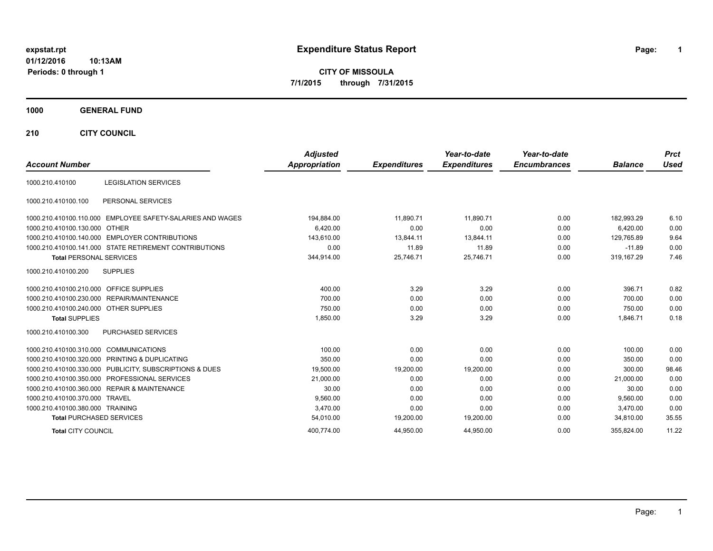**CITY OF MISSOULA 7/1/2015 through 7/31/2015**

## **1000 GENERAL FUND**

**210 CITY COUNCIL**

| <b>Account Number</b>                  |                                                            | <b>Adjusted</b><br>Appropriation | <b>Expenditures</b> | Year-to-date<br><b>Expenditures</b> | Year-to-date<br><b>Encumbrances</b> | <b>Balance</b> | <b>Prct</b><br><b>Used</b> |
|----------------------------------------|------------------------------------------------------------|----------------------------------|---------------------|-------------------------------------|-------------------------------------|----------------|----------------------------|
| 1000.210.410100                        | <b>LEGISLATION SERVICES</b>                                |                                  |                     |                                     |                                     |                |                            |
| 1000.210.410100.100                    | PERSONAL SERVICES                                          |                                  |                     |                                     |                                     |                |                            |
|                                        | 1000.210.410100.110.000 EMPLOYEE SAFETY-SALARIES AND WAGES | 194,884.00                       | 11,890.71           | 11,890.71                           | 0.00                                | 182,993.29     | 6.10                       |
| 1000.210.410100.130.000                | <b>OTHER</b>                                               | 6,420.00                         | 0.00                | 0.00                                | 0.00                                | 6.420.00       | 0.00                       |
|                                        | 1000.210.410100.140.000 EMPLOYER CONTRIBUTIONS             | 143,610.00                       | 13,844.11           | 13,844.11                           | 0.00                                | 129.765.89     | 9.64                       |
|                                        | 1000.210.410100.141.000 STATE RETIREMENT CONTRIBUTIONS     | 0.00                             | 11.89               | 11.89                               | 0.00                                | $-11.89$       | 0.00                       |
| <b>Total PERSONAL SERVICES</b>         |                                                            | 344,914.00                       | 25,746.71           | 25,746.71                           | 0.00                                | 319,167.29     | 7.46                       |
| 1000.210.410100.200                    | <b>SUPPLIES</b>                                            |                                  |                     |                                     |                                     |                |                            |
| 1000.210.410100.210.000                | <b>OFFICE SUPPLIES</b>                                     | 400.00                           | 3.29                | 3.29                                | 0.00                                | 396.71         | 0.82                       |
|                                        | 1000.210.410100.230.000 REPAIR/MAINTENANCE                 | 700.00                           | 0.00                | 0.00                                | 0.00                                | 700.00         | 0.00                       |
| 1000.210.410100.240.000 OTHER SUPPLIES |                                                            | 750.00                           | 0.00                | 0.00                                | 0.00                                | 750.00         | 0.00                       |
| <b>Total SUPPLIES</b>                  |                                                            | 1,850.00                         | 3.29                | 3.29                                | 0.00                                | 1,846.71       | 0.18                       |
| 1000.210.410100.300                    | <b>PURCHASED SERVICES</b>                                  |                                  |                     |                                     |                                     |                |                            |
| 1000.210.410100.310.000 COMMUNICATIONS |                                                            | 100.00                           | 0.00                | 0.00                                | 0.00                                | 100.00         | 0.00                       |
|                                        | 1000.210.410100.320.000 PRINTING & DUPLICATING             | 350.00                           | 0.00                | 0.00                                | 0.00                                | 350.00         | 0.00                       |
|                                        | 1000.210.410100.330.000 PUBLICITY, SUBSCRIPTIONS & DUES    | 19,500.00                        | 19,200.00           | 19,200.00                           | 0.00                                | 300.00         | 98.46                      |
|                                        | 1000.210.410100.350.000 PROFESSIONAL SERVICES              | 21,000.00                        | 0.00                | 0.00                                | 0.00                                | 21,000.00      | 0.00                       |
|                                        | 1000.210.410100.360.000 REPAIR & MAINTENANCE               | 30.00                            | 0.00                | 0.00                                | 0.00                                | 30.00          | 0.00                       |
| 1000.210.410100.370.000 TRAVEL         |                                                            | 9,560.00                         | 0.00                | 0.00                                | 0.00                                | 9.560.00       | 0.00                       |
| 1000.210.410100.380.000 TRAINING       |                                                            | 3.470.00                         | 0.00                | 0.00                                | 0.00                                | 3.470.00       | 0.00                       |
| <b>Total PURCHASED SERVICES</b>        |                                                            | 54,010.00                        | 19,200.00           | 19,200.00                           | 0.00                                | 34,810.00      | 35.55                      |
| <b>Total CITY COUNCIL</b>              |                                                            | 400,774.00                       | 44,950.00           | 44,950.00                           | 0.00                                | 355,824.00     | 11.22                      |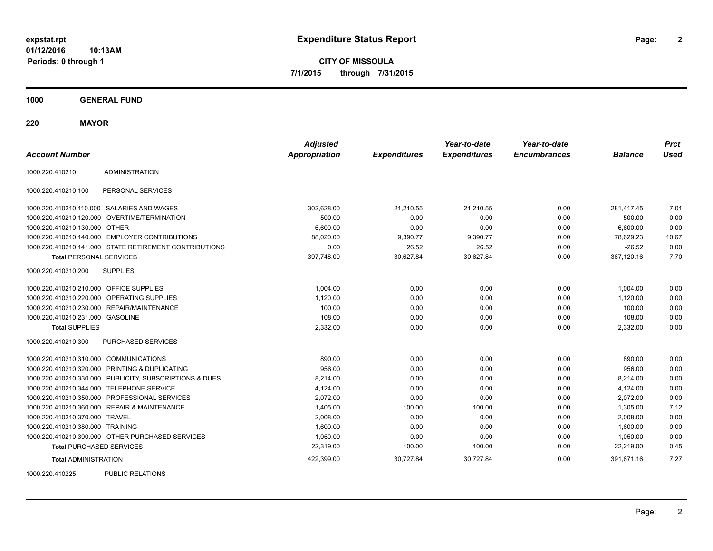**CITY OF MISSOULA 7/1/2015 through 7/31/2015**

**1000 GENERAL FUND**

**220 MAYOR**

| <b>Account Number</b>                   |                                                         | <b>Adjusted</b><br><b>Appropriation</b> | <b>Expenditures</b> | Year-to-date<br><b>Expenditures</b> | Year-to-date<br><b>Encumbrances</b> | <b>Balance</b> | <b>Prct</b><br><b>Used</b> |
|-----------------------------------------|---------------------------------------------------------|-----------------------------------------|---------------------|-------------------------------------|-------------------------------------|----------------|----------------------------|
| 1000.220.410210                         | <b>ADMINISTRATION</b>                                   |                                         |                     |                                     |                                     |                |                            |
| 1000.220.410210.100                     | PERSONAL SERVICES                                       |                                         |                     |                                     |                                     |                |                            |
|                                         | 1000.220.410210.110.000 SALARIES AND WAGES              | 302,628.00                              | 21,210.55           | 21,210.55                           | 0.00                                | 281.417.45     | 7.01                       |
|                                         | 1000.220.410210.120.000 OVERTIME/TERMINATION            | 500.00                                  | 0.00                | 0.00                                | 0.00                                | 500.00         | 0.00                       |
| 1000.220.410210.130.000 OTHER           |                                                         | 6,600.00                                | 0.00                | 0.00                                | 0.00                                | 6,600.00       | 0.00                       |
|                                         | 1000.220.410210.140.000 EMPLOYER CONTRIBUTIONS          | 88,020.00                               | 9,390.77            | 9,390.77                            | 0.00                                | 78,629.23      | 10.67                      |
|                                         | 1000.220.410210.141.000 STATE RETIREMENT CONTRIBUTIONS  | 0.00                                    | 26.52               | 26.52                               | 0.00                                | $-26.52$       | 0.00                       |
| <b>Total PERSONAL SERVICES</b>          |                                                         | 397,748.00                              | 30,627.84           | 30,627.84                           | 0.00                                | 367,120.16     | 7.70                       |
| 1000.220.410210.200                     | <b>SUPPLIES</b>                                         |                                         |                     |                                     |                                     |                |                            |
| 1000.220.410210.210.000 OFFICE SUPPLIES |                                                         | 1,004.00                                | 0.00                | 0.00                                | 0.00                                | 1,004.00       | 0.00                       |
|                                         | 1000.220.410210.220.000 OPERATING SUPPLIES              | 1,120.00                                | 0.00                | 0.00                                | 0.00                                | 1,120.00       | 0.00                       |
|                                         | 1000.220.410210.230.000 REPAIR/MAINTENANCE              | 100.00                                  | 0.00                | 0.00                                | 0.00                                | 100.00         | 0.00                       |
| 1000.220.410210.231.000 GASOLINE        |                                                         | 108.00                                  | 0.00                | 0.00                                | 0.00                                | 108.00         | 0.00                       |
| <b>Total SUPPLIES</b>                   |                                                         | 2,332.00                                | 0.00                | 0.00                                | 0.00                                | 2,332.00       | 0.00                       |
| 1000.220.410210.300                     | PURCHASED SERVICES                                      |                                         |                     |                                     |                                     |                |                            |
| 1000.220.410210.310.000 COMMUNICATIONS  |                                                         | 890.00                                  | 0.00                | 0.00                                | 0.00                                | 890.00         | 0.00                       |
|                                         | 1000.220.410210.320.000 PRINTING & DUPLICATING          | 956.00                                  | 0.00                | 0.00                                | 0.00                                | 956.00         | 0.00                       |
|                                         | 1000.220.410210.330.000 PUBLICITY, SUBSCRIPTIONS & DUES | 8,214.00                                | 0.00                | 0.00                                | 0.00                                | 8,214.00       | 0.00                       |
|                                         | 1000.220.410210.344.000 TELEPHONE SERVICE               | 4,124.00                                | 0.00                | 0.00                                | 0.00                                | 4,124.00       | 0.00                       |
|                                         | 1000.220.410210.350.000 PROFESSIONAL SERVICES           | 2,072.00                                | 0.00                | 0.00                                | 0.00                                | 2,072.00       | 0.00                       |
|                                         | 1000.220.410210.360.000 REPAIR & MAINTENANCE            | 1,405.00                                | 100.00              | 100.00                              | 0.00                                | 1,305.00       | 7.12                       |
| 1000.220.410210.370.000 TRAVEL          |                                                         | 2.008.00                                | 0.00                | 0.00                                | 0.00                                | 2,008.00       | 0.00                       |
| 1000.220.410210.380.000 TRAINING        |                                                         | 1,600.00                                | 0.00                | 0.00                                | 0.00                                | 1,600.00       | 0.00                       |
|                                         | 1000.220.410210.390.000 OTHER PURCHASED SERVICES        | 1,050.00                                | 0.00                | 0.00                                | 0.00                                | 1,050.00       | 0.00                       |
| <b>Total PURCHASED SERVICES</b>         |                                                         | 22,319.00                               | 100.00              | 100.00                              | 0.00                                | 22,219.00      | 0.45                       |
| <b>Total ADMINISTRATION</b>             |                                                         | 422,399.00                              | 30,727.84           | 30,727.84                           | 0.00                                | 391,671.16     | 7.27                       |
| 1000000110000                           | BURLIO BEL ITIOHO                                       |                                         |                     |                                     |                                     |                |                            |

1000.220.410225 PUBLIC RELATIONS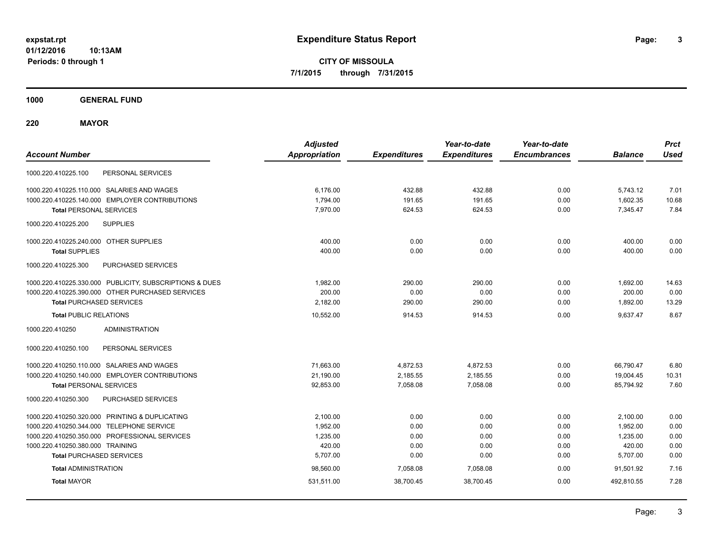**CITY OF MISSOULA 7/1/2015 through 7/31/2015**

**1000 GENERAL FUND**

**220 MAYOR**

| <b>Account Number</b>                                   | <b>Adjusted</b><br><b>Appropriation</b> | <b>Expenditures</b> | Year-to-date<br><b>Expenditures</b> | Year-to-date<br><b>Encumbrances</b> | <b>Balance</b> | <b>Prct</b><br><b>Used</b> |
|---------------------------------------------------------|-----------------------------------------|---------------------|-------------------------------------|-------------------------------------|----------------|----------------------------|
| PERSONAL SERVICES<br>1000.220.410225.100                |                                         |                     |                                     |                                     |                |                            |
| 1000.220.410225.110.000 SALARIES AND WAGES              | 6,176.00                                | 432.88              | 432.88                              | 0.00                                | 5,743.12       | 7.01                       |
| 1000.220.410225.140.000 EMPLOYER CONTRIBUTIONS          | 1.794.00                                | 191.65              | 191.65                              | 0.00                                | 1,602.35       | 10.68                      |
| <b>Total PERSONAL SERVICES</b>                          | 7.970.00                                | 624.53              | 624.53                              | 0.00                                | 7,345.47       | 7.84                       |
| 1000.220.410225.200<br><b>SUPPLIES</b>                  |                                         |                     |                                     |                                     |                |                            |
| 1000.220.410225.240.000 OTHER SUPPLIES                  | 400.00                                  | 0.00                | 0.00                                | 0.00                                | 400.00         | 0.00                       |
| <b>Total SUPPLIES</b>                                   | 400.00                                  | 0.00                | 0.00                                | 0.00                                | 400.00         | 0.00                       |
| 1000.220.410225.300<br>PURCHASED SERVICES               |                                         |                     |                                     |                                     |                |                            |
| 1000.220.410225.330.000 PUBLICITY, SUBSCRIPTIONS & DUES | 1,982.00                                | 290.00              | 290.00                              | 0.00                                | 1,692.00       | 14.63                      |
| 1000.220.410225.390.000 OTHER PURCHASED SERVICES        | 200.00                                  | 0.00                | 0.00                                | 0.00                                | 200.00         | 0.00                       |
| <b>Total PURCHASED SERVICES</b>                         | 2,182.00                                | 290.00              | 290.00                              | 0.00                                | 1,892.00       | 13.29                      |
| <b>Total PUBLIC RELATIONS</b>                           | 10,552.00                               | 914.53              | 914.53                              | 0.00                                | 9.637.47       | 8.67                       |
| 1000.220.410250<br><b>ADMINISTRATION</b>                |                                         |                     |                                     |                                     |                |                            |
| 1000.220.410250.100<br>PERSONAL SERVICES                |                                         |                     |                                     |                                     |                |                            |
| 1000.220.410250.110.000 SALARIES AND WAGES              | 71,663.00                               | 4,872.53            | 4,872.53                            | 0.00                                | 66,790.47      | 6.80                       |
| 1000.220.410250.140.000 EMPLOYER CONTRIBUTIONS          | 21,190.00                               | 2,185.55            | 2,185.55                            | 0.00                                | 19,004.45      | 10.31                      |
| <b>Total PERSONAL SERVICES</b>                          | 92,853.00                               | 7,058.08            | 7,058.08                            | 0.00                                | 85,794.92      | 7.60                       |
| PURCHASED SERVICES<br>1000.220.410250.300               |                                         |                     |                                     |                                     |                |                            |
| 1000.220.410250.320.000 PRINTING & DUPLICATING          | 2,100.00                                | 0.00                | 0.00                                | 0.00                                | 2,100.00       | 0.00                       |
| 1000.220.410250.344.000 TELEPHONE SERVICE               | 1,952.00                                | 0.00                | 0.00                                | 0.00                                | 1,952.00       | 0.00                       |
| 1000.220.410250.350.000 PROFESSIONAL SERVICES           | 1,235.00                                | 0.00                | 0.00                                | 0.00                                | 1,235.00       | 0.00                       |
| 1000.220.410250.380.000 TRAINING                        | 420.00                                  | 0.00                | 0.00                                | 0.00                                | 420.00         | 0.00                       |
| <b>Total PURCHASED SERVICES</b>                         | 5,707.00                                | 0.00                | 0.00                                | 0.00                                | 5,707.00       | 0.00                       |
| <b>Total ADMINISTRATION</b>                             | 98,560.00                               | 7,058.08            | 7,058.08                            | 0.00                                | 91.501.92      | 7.16                       |
| <b>Total MAYOR</b>                                      | 531,511.00                              | 38,700.45           | 38.700.45                           | 0.00                                | 492,810.55     | 7.28                       |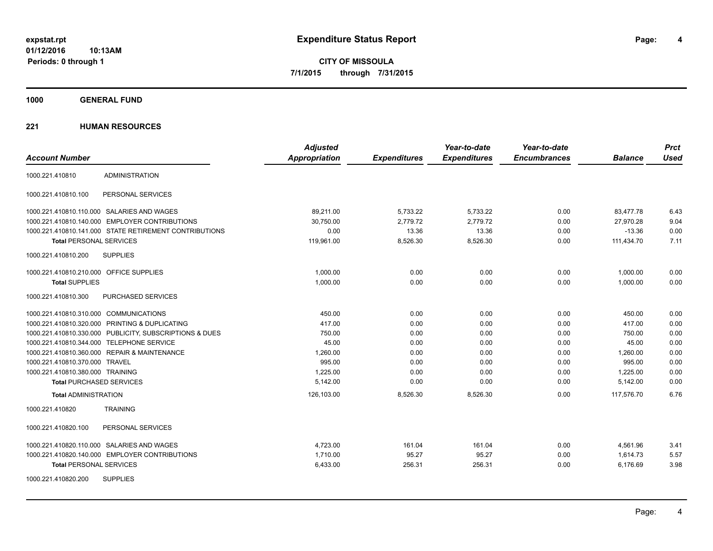**CITY OF MISSOULA 7/1/2015 through 7/31/2015**

**1000 GENERAL FUND**

|                                                         | <b>Adjusted</b>      |                     | Year-to-date        | Year-to-date        |                | <b>Prct</b> |
|---------------------------------------------------------|----------------------|---------------------|---------------------|---------------------|----------------|-------------|
| <b>Account Number</b>                                   | <b>Appropriation</b> | <b>Expenditures</b> | <b>Expenditures</b> | <b>Encumbrances</b> | <b>Balance</b> | <b>Used</b> |
| <b>ADMINISTRATION</b><br>1000.221.410810                |                      |                     |                     |                     |                |             |
| 1000.221.410810.100<br>PERSONAL SERVICES                |                      |                     |                     |                     |                |             |
| 1000.221.410810.110.000 SALARIES AND WAGES              | 89,211.00            | 5,733.22            | 5,733.22            | 0.00                | 83,477.78      | 6.43        |
| 1000.221.410810.140.000 EMPLOYER CONTRIBUTIONS          | 30,750.00            | 2,779.72            | 2.779.72            | 0.00                | 27,970.28      | 9.04        |
| 1000.221.410810.141.000 STATE RETIREMENT CONTRIBUTIONS  | 0.00                 | 13.36               | 13.36               | 0.00                | $-13.36$       | 0.00        |
| <b>Total PERSONAL SERVICES</b>                          | 119,961.00           | 8,526.30            | 8,526.30            | 0.00                | 111,434.70     | 7.11        |
| <b>SUPPLIES</b><br>1000.221.410810.200                  |                      |                     |                     |                     |                |             |
| 1000.221.410810.210.000 OFFICE SUPPLIES                 | 1.000.00             | 0.00                | 0.00                | 0.00                | 1,000.00       | 0.00        |
| <b>Total SUPPLIES</b>                                   | 1,000.00             | 0.00                | 0.00                | 0.00                | 1,000.00       | 0.00        |
| PURCHASED SERVICES<br>1000.221.410810.300               |                      |                     |                     |                     |                |             |
| 1000.221.410810.310.000 COMMUNICATIONS                  | 450.00               | 0.00                | 0.00                | 0.00                | 450.00         | 0.00        |
| 1000.221.410810.320.000 PRINTING & DUPLICATING          | 417.00               | 0.00                | 0.00                | 0.00                | 417.00         | 0.00        |
| 1000.221.410810.330.000 PUBLICITY, SUBSCRIPTIONS & DUES | 750.00               | 0.00                | 0.00                | 0.00                | 750.00         | 0.00        |
| 1000.221.410810.344.000 TELEPHONE SERVICE               | 45.00                | 0.00                | 0.00                | 0.00                | 45.00          | 0.00        |
| 1000.221.410810.360.000 REPAIR & MAINTENANCE            | 1,260.00             | 0.00                | 0.00                | 0.00                | 1,260.00       | 0.00        |
| 1000.221.410810.370.000 TRAVEL                          | 995.00               | 0.00                | 0.00                | 0.00                | 995.00         | 0.00        |
| 1000.221.410810.380.000 TRAINING                        | 1,225.00             | 0.00                | 0.00                | 0.00                | 1,225.00       | 0.00        |
| <b>Total PURCHASED SERVICES</b>                         | 5,142.00             | 0.00                | 0.00                | 0.00                | 5,142.00       | 0.00        |
| <b>Total ADMINISTRATION</b>                             | 126,103.00           | 8,526.30            | 8,526.30            | 0.00                | 117,576.70     | 6.76        |
| 1000.221.410820<br><b>TRAINING</b>                      |                      |                     |                     |                     |                |             |
| 1000.221.410820.100<br>PERSONAL SERVICES                |                      |                     |                     |                     |                |             |
| 1000.221.410820.110.000 SALARIES AND WAGES              | 4,723.00             | 161.04              | 161.04              | 0.00                | 4,561.96       | 3.41        |
| 1000.221.410820.140.000 EMPLOYER CONTRIBUTIONS          | 1,710.00             | 95.27               | 95.27               | 0.00                | 1,614.73       | 5.57        |
| <b>Total PERSONAL SERVICES</b>                          | 6,433.00             | 256.31              | 256.31              | 0.00                | 6,176.69       | 3.98        |
| <b>SUPPLIES</b><br>1000.221.410820.200                  |                      |                     |                     |                     |                |             |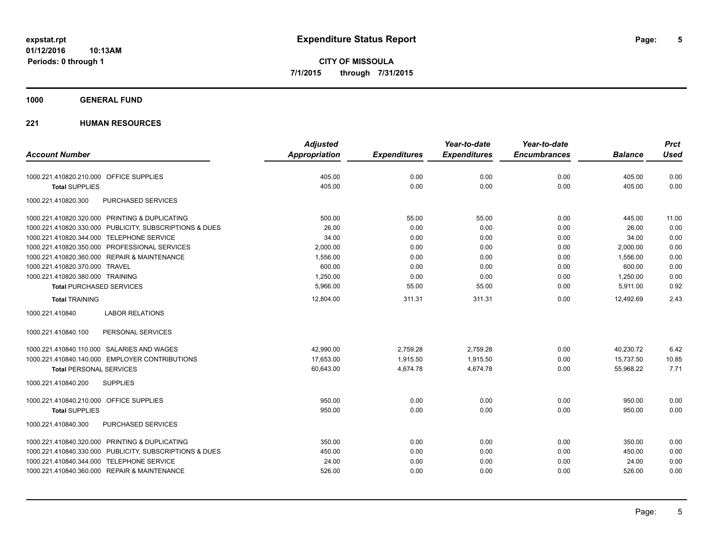**CITY OF MISSOULA 7/1/2015 through 7/31/2015**

## **1000 GENERAL FUND**

|                                                         | <b>Adjusted</b> |                     | Year-to-date        | Year-to-date        |                | <b>Prct</b> |
|---------------------------------------------------------|-----------------|---------------------|---------------------|---------------------|----------------|-------------|
| <b>Account Number</b>                                   | Appropriation   | <b>Expenditures</b> | <b>Expenditures</b> | <b>Encumbrances</b> | <b>Balance</b> | <b>Used</b> |
| 1000.221.410820.210.000 OFFICE SUPPLIES                 | 405.00          | 0.00                | 0.00                | 0.00                | 405.00         | 0.00        |
| <b>Total SUPPLIES</b>                                   | 405.00          | 0.00                | 0.00                | 0.00                | 405.00         | 0.00        |
| 1000.221.410820.300<br><b>PURCHASED SERVICES</b>        |                 |                     |                     |                     |                |             |
| 1000.221.410820.320.000 PRINTING & DUPLICATING          | 500.00          | 55.00               | 55.00               | 0.00                | 445.00         | 11.00       |
| 1000.221.410820.330.000 PUBLICITY, SUBSCRIPTIONS & DUES | 26.00           | 0.00                | 0.00                | 0.00                | 26.00          | 0.00        |
| 1000.221.410820.344.000 TELEPHONE SERVICE               | 34.00           | 0.00                | 0.00                | 0.00                | 34.00          | 0.00        |
| 1000.221.410820.350.000 PROFESSIONAL SERVICES           | 2,000.00        | 0.00                | 0.00                | 0.00                | 2,000.00       | 0.00        |
| 1000.221.410820.360.000 REPAIR & MAINTENANCE            | 1,556.00        | 0.00                | 0.00                | 0.00                | 1,556.00       | 0.00        |
| 1000.221.410820.370.000 TRAVEL                          | 600.00          | 0.00                | 0.00                | 0.00                | 600.00         | 0.00        |
| 1000.221.410820.380.000 TRAINING                        | 1,250.00        | 0.00                | 0.00                | 0.00                | 1,250.00       | 0.00        |
| <b>Total PURCHASED SERVICES</b>                         | 5,966.00        | 55.00               | 55.00               | 0.00                | 5,911.00       | 0.92        |
| <b>Total TRAINING</b>                                   | 12,804.00       | 311.31              | 311.31              | 0.00                | 12,492.69      | 2.43        |
| 1000.221.410840<br><b>LABOR RELATIONS</b>               |                 |                     |                     |                     |                |             |
| 1000.221.410840.100<br>PERSONAL SERVICES                |                 |                     |                     |                     |                |             |
| 1000.221.410840.110.000 SALARIES AND WAGES              | 42,990.00       | 2,759.28            | 2,759.28            | 0.00                | 40,230.72      | 6.42        |
| 1000.221.410840.140.000 EMPLOYER CONTRIBUTIONS          | 17.653.00       | 1.915.50            | 1,915.50            | 0.00                | 15.737.50      | 10.85       |
| <b>Total PERSONAL SERVICES</b>                          | 60,643.00       | 4,674.78            | 4,674.78            | 0.00                | 55,968.22      | 7.71        |
| <b>SUPPLIES</b><br>1000.221.410840.200                  |                 |                     |                     |                     |                |             |
| 1000.221.410840.210.000 OFFICE SUPPLIES                 | 950.00          | 0.00                | 0.00                | 0.00                | 950.00         | 0.00        |
| <b>Total SUPPLIES</b>                                   | 950.00          | 0.00                | 0.00                | 0.00                | 950.00         | 0.00        |
| PURCHASED SERVICES<br>1000.221.410840.300               |                 |                     |                     |                     |                |             |
| 1000.221.410840.320.000 PRINTING & DUPLICATING          | 350.00          | 0.00                | 0.00                | 0.00                | 350.00         | 0.00        |
| 1000.221.410840.330.000 PUBLICITY, SUBSCRIPTIONS & DUES | 450.00          | 0.00                | 0.00                | 0.00                | 450.00         | 0.00        |
| 1000.221.410840.344.000 TELEPHONE SERVICE               | 24.00           | 0.00                | 0.00                | 0.00                | 24.00          | 0.00        |
| 1000.221.410840.360.000 REPAIR & MAINTENANCE            | 526.00          | 0.00                | 0.00                | 0.00                | 526.00         | 0.00        |
|                                                         |                 |                     |                     |                     |                |             |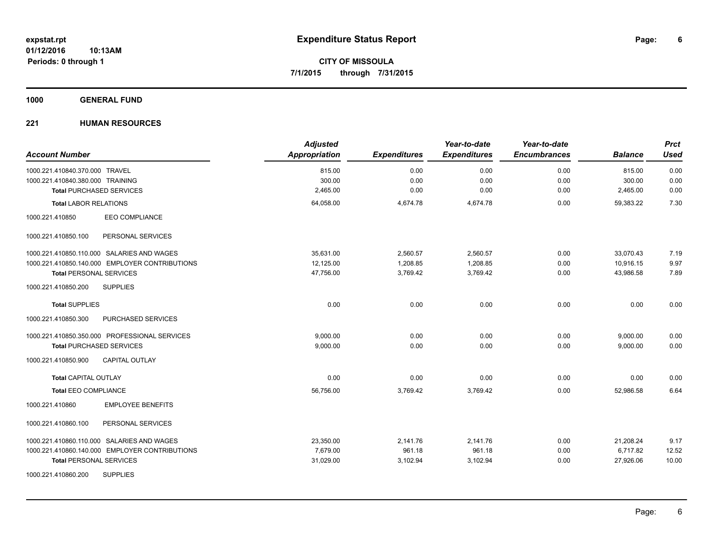**1000 GENERAL FUND**

| <b>Account Number</b>                          | <b>Adjusted</b><br>Appropriation | <b>Expenditures</b> | Year-to-date<br><b>Expenditures</b> | Year-to-date<br><b>Encumbrances</b> | <b>Balance</b> | <b>Prct</b><br><b>Used</b> |
|------------------------------------------------|----------------------------------|---------------------|-------------------------------------|-------------------------------------|----------------|----------------------------|
| 1000.221.410840.370.000 TRAVEL                 | 815.00                           | 0.00                | 0.00                                | 0.00                                | 815.00         | 0.00                       |
| 1000.221.410840.380.000 TRAINING               | 300.00                           | 0.00                | 0.00                                | 0.00                                | 300.00         | 0.00                       |
| <b>Total PURCHASED SERVICES</b>                | 2,465.00                         | 0.00                | 0.00                                | 0.00                                | 2,465.00       | 0.00                       |
| <b>Total LABOR RELATIONS</b>                   | 64,058.00                        | 4,674.78            | 4,674.78                            | 0.00                                | 59,383.22      | 7.30                       |
| EEO COMPLIANCE<br>1000.221.410850              |                                  |                     |                                     |                                     |                |                            |
| 1000.221.410850.100<br>PERSONAL SERVICES       |                                  |                     |                                     |                                     |                |                            |
| 1000.221.410850.110.000 SALARIES AND WAGES     | 35.631.00                        | 2,560.57            | 2,560.57                            | 0.00                                | 33,070.43      | 7.19                       |
| 1000.221.410850.140.000 EMPLOYER CONTRIBUTIONS | 12,125.00                        | 1,208.85            | 1,208.85                            | 0.00                                | 10,916.15      | 9.97                       |
| <b>Total PERSONAL SERVICES</b>                 | 47,756.00                        | 3,769.42            | 3,769.42                            | 0.00                                | 43.986.58      | 7.89                       |
| 1000.221.410850.200<br><b>SUPPLIES</b>         |                                  |                     |                                     |                                     |                |                            |
| <b>Total SUPPLIES</b>                          | 0.00                             | 0.00                | 0.00                                | 0.00                                | 0.00           | 0.00                       |
| 1000.221.410850.300<br>PURCHASED SERVICES      |                                  |                     |                                     |                                     |                |                            |
| 1000.221.410850.350.000 PROFESSIONAL SERVICES  | 9.000.00                         | 0.00                | 0.00                                | 0.00                                | 9,000.00       | 0.00                       |
| <b>Total PURCHASED SERVICES</b>                | 9,000.00                         | 0.00                | 0.00                                | 0.00                                | 9,000.00       | 0.00                       |
| 1000.221.410850.900<br><b>CAPITAL OUTLAY</b>   |                                  |                     |                                     |                                     |                |                            |
| <b>Total CAPITAL OUTLAY</b>                    | 0.00                             | 0.00                | 0.00                                | 0.00                                | 0.00           | 0.00                       |
| <b>Total EEO COMPLIANCE</b>                    | 56,756.00                        | 3,769.42            | 3,769.42                            | 0.00                                | 52,986.58      | 6.64                       |
| <b>EMPLOYEE BENEFITS</b><br>1000.221.410860    |                                  |                     |                                     |                                     |                |                            |
| 1000.221.410860.100<br>PERSONAL SERVICES       |                                  |                     |                                     |                                     |                |                            |
| 1000.221.410860.110.000 SALARIES AND WAGES     | 23,350.00                        | 2,141.76            | 2,141.76                            | 0.00                                | 21,208.24      | 9.17                       |
| 1000.221.410860.140.000 EMPLOYER CONTRIBUTIONS | 7,679.00                         | 961.18              | 961.18                              | 0.00                                | 6,717.82       | 12.52                      |
| <b>Total PERSONAL SERVICES</b>                 | 31,029.00                        | 3,102.94            | 3,102.94                            | 0.00                                | 27,926.06      | 10.00                      |
| <b>SUPPLIES</b><br>1000.221.410860.200         |                                  |                     |                                     |                                     |                |                            |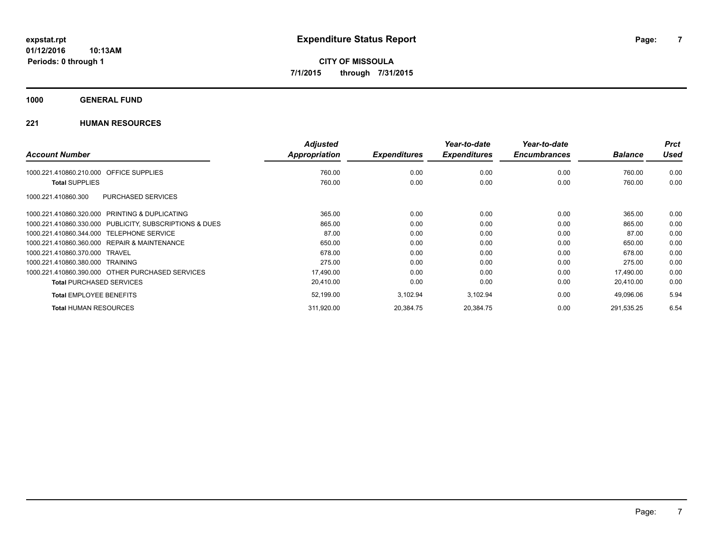## **1000 GENERAL FUND**

|                                                         | <b>Adjusted</b>      |                     | Year-to-date        | Year-to-date        |                | <b>Prct</b> |
|---------------------------------------------------------|----------------------|---------------------|---------------------|---------------------|----------------|-------------|
| <b>Account Number</b>                                   | <b>Appropriation</b> | <b>Expenditures</b> | <b>Expenditures</b> | <b>Encumbrances</b> | <b>Balance</b> | <b>Used</b> |
| 1000.221.410860.210.000 OFFICE SUPPLIES                 | 760.00               | 0.00                | 0.00                | 0.00                | 760.00         | 0.00        |
| <b>Total SUPPLIES</b>                                   | 760.00               | 0.00                | 0.00                | 0.00                | 760.00         | 0.00        |
| PURCHASED SERVICES<br>1000.221.410860.300               |                      |                     |                     |                     |                |             |
| 1000.221.410860.320.000 PRINTING & DUPLICATING          | 365.00               | 0.00                | 0.00                | 0.00                | 365.00         | 0.00        |
| 1000.221.410860.330.000 PUBLICITY, SUBSCRIPTIONS & DUES | 865.00               | 0.00                | 0.00                | 0.00                | 865.00         | 0.00        |
| 1000.221.410860.344.000 TELEPHONE SERVICE               | 87.00                | 0.00                | 0.00                | 0.00                | 87.00          | 0.00        |
| 1000.221.410860.360.000 REPAIR & MAINTENANCE            | 650.00               | 0.00                | 0.00                | 0.00                | 650.00         | 0.00        |
| 1000.221.410860.370.000 TRAVEL                          | 678.00               | 0.00                | 0.00                | 0.00                | 678.00         | 0.00        |
| 1000.221.410860.380.000 TRAINING                        | 275.00               | 0.00                | 0.00                | 0.00                | 275.00         | 0.00        |
| 1000.221.410860.390.000 OTHER PURCHASED SERVICES        | 17,490.00            | 0.00                | 0.00                | 0.00                | 17,490.00      | 0.00        |
| <b>Total PURCHASED SERVICES</b>                         | 20,410.00            | 0.00                | 0.00                | 0.00                | 20,410.00      | 0.00        |
| <b>Total EMPLOYEE BENEFITS</b>                          | 52,199.00            | 3,102.94            | 3,102.94            | 0.00                | 49,096.06      | 5.94        |
| <b>Total HUMAN RESOURCES</b>                            | 311,920.00           | 20,384.75           | 20,384.75           | 0.00                | 291,535.25     | 6.54        |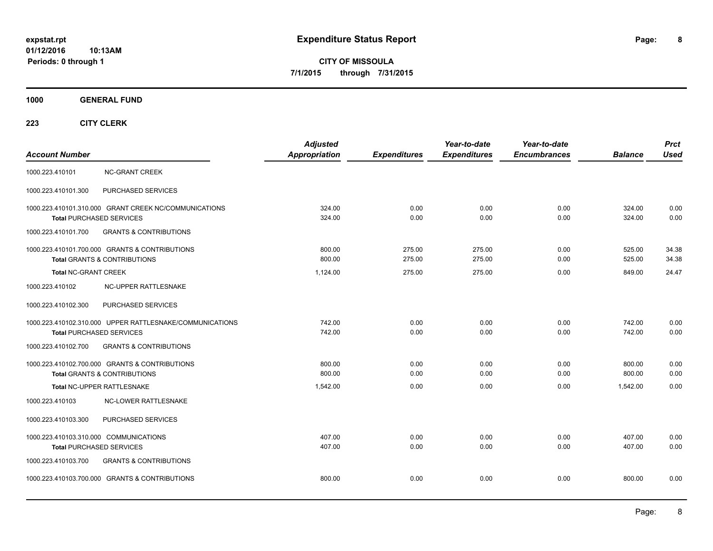**CITY OF MISSOULA 7/1/2015 through 7/31/2015**

**1000 GENERAL FUND**

| <b>Account Number</b>                                                                       | <b>Adjusted</b><br><b>Appropriation</b> | <b>Expenditures</b> | Year-to-date<br><b>Expenditures</b> | Year-to-date<br><b>Encumbrances</b> | <b>Balance</b>   | <b>Prct</b><br><b>Used</b> |
|---------------------------------------------------------------------------------------------|-----------------------------------------|---------------------|-------------------------------------|-------------------------------------|------------------|----------------------------|
| 1000.223.410101<br><b>NC-GRANT CREEK</b>                                                    |                                         |                     |                                     |                                     |                  |                            |
| 1000.223.410101.300<br>PURCHASED SERVICES                                                   |                                         |                     |                                     |                                     |                  |                            |
| 1000.223.410101.310.000 GRANT CREEK NC/COMMUNICATIONS<br><b>Total PURCHASED SERVICES</b>    | 324.00<br>324.00                        | 0.00<br>0.00        | 0.00<br>0.00                        | 0.00<br>0.00                        | 324.00<br>324.00 | 0.00<br>0.00               |
| 1000.223.410101.700<br><b>GRANTS &amp; CONTRIBUTIONS</b>                                    |                                         |                     |                                     |                                     |                  |                            |
| 1000.223.410101.700.000 GRANTS & CONTRIBUTIONS<br><b>Total GRANTS &amp; CONTRIBUTIONS</b>   | 800.00<br>800.00                        | 275.00<br>275.00    | 275.00<br>275.00                    | 0.00<br>0.00                        | 525.00<br>525.00 | 34.38<br>34.38             |
| <b>Total NC-GRANT CREEK</b>                                                                 | 1.124.00                                | 275.00              | 275.00                              | 0.00                                | 849.00           | 24.47                      |
| NC-UPPER RATTLESNAKE<br>1000.223.410102                                                     |                                         |                     |                                     |                                     |                  |                            |
| PURCHASED SERVICES<br>1000.223.410102.300                                                   |                                         |                     |                                     |                                     |                  |                            |
| 1000.223.410102.310.000 UPPER RATTLESNAKE/COMMUNICATIONS<br><b>Total PURCHASED SERVICES</b> | 742.00<br>742.00                        | 0.00<br>0.00        | 0.00<br>0.00                        | 0.00<br>0.00                        | 742.00<br>742.00 | 0.00<br>0.00               |
| <b>GRANTS &amp; CONTRIBUTIONS</b><br>1000.223.410102.700                                    |                                         |                     |                                     |                                     |                  |                            |
| 1000.223.410102.700.000 GRANTS & CONTRIBUTIONS<br><b>Total GRANTS &amp; CONTRIBUTIONS</b>   | 800.00<br>800.00                        | 0.00<br>0.00        | 0.00<br>0.00                        | 0.00<br>0.00                        | 800.00<br>800.00 | 0.00<br>0.00               |
| Total NC-UPPER RATTLESNAKE                                                                  | 1,542.00                                | 0.00                | 0.00                                | 0.00                                | 1,542.00         | 0.00                       |
| 1000.223.410103<br><b>NC-LOWER RATTLESNAKE</b>                                              |                                         |                     |                                     |                                     |                  |                            |
| PURCHASED SERVICES<br>1000.223.410103.300                                                   |                                         |                     |                                     |                                     |                  |                            |
| 1000.223.410103.310.000 COMMUNICATIONS<br>Total PURCHASED SERVICES                          | 407.00<br>407.00                        | 0.00<br>0.00        | 0.00<br>0.00                        | 0.00<br>0.00                        | 407.00<br>407.00 | 0.00<br>0.00               |
| <b>GRANTS &amp; CONTRIBUTIONS</b><br>1000.223.410103.700                                    |                                         |                     |                                     |                                     |                  |                            |
| 1000.223.410103.700.000 GRANTS & CONTRIBUTIONS                                              | 800.00                                  | 0.00                | 0.00                                | 0.00                                | 800.00           | 0.00                       |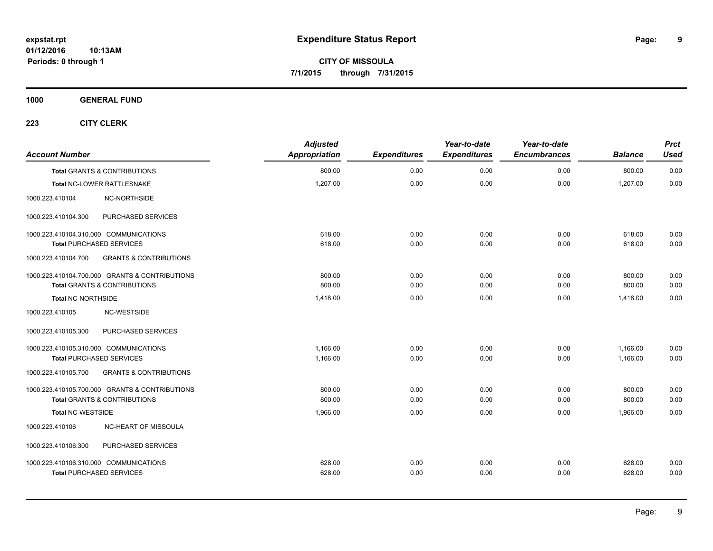**CITY OF MISSOULA 7/1/2015 through 7/31/2015**

**1000 GENERAL FUND**

| <b>Account Number</b>                  |                                                | <b>Adjusted</b><br>Appropriation | <b>Expenditures</b> | Year-to-date<br><b>Expenditures</b> | Year-to-date<br><b>Encumbrances</b> | <b>Balance</b> | <b>Prct</b><br><b>Used</b> |
|----------------------------------------|------------------------------------------------|----------------------------------|---------------------|-------------------------------------|-------------------------------------|----------------|----------------------------|
|                                        | <b>Total GRANTS &amp; CONTRIBUTIONS</b>        | 800.00                           | 0.00                | 0.00                                | 0.00                                | 800.00         | 0.00                       |
|                                        | Total NC-LOWER RATTLESNAKE                     | 1,207.00                         | 0.00                | 0.00                                | 0.00                                | 1,207.00       | 0.00                       |
| 1000.223.410104                        | NC-NORTHSIDE                                   |                                  |                     |                                     |                                     |                |                            |
| 1000.223.410104.300                    | PURCHASED SERVICES                             |                                  |                     |                                     |                                     |                |                            |
| 1000.223.410104.310.000 COMMUNICATIONS |                                                | 618.00                           | 0.00                | 0.00                                | 0.00                                | 618.00         | 0.00                       |
| <b>Total PURCHASED SERVICES</b>        |                                                | 618.00                           | 0.00                | 0.00                                | 0.00                                | 618.00         | 0.00                       |
| 1000.223.410104.700                    | <b>GRANTS &amp; CONTRIBUTIONS</b>              |                                  |                     |                                     |                                     |                |                            |
|                                        | 1000.223.410104.700.000 GRANTS & CONTRIBUTIONS | 800.00                           | 0.00                | 0.00                                | 0.00                                | 800.00         | 0.00                       |
|                                        | <b>Total GRANTS &amp; CONTRIBUTIONS</b>        | 800.00                           | 0.00                | 0.00                                | 0.00                                | 800.00         | 0.00                       |
| Total NC-NORTHSIDE                     |                                                | 1,418.00                         | 0.00                | 0.00                                | 0.00                                | 1,418.00       | 0.00                       |
| 1000.223.410105                        | NC-WESTSIDE                                    |                                  |                     |                                     |                                     |                |                            |
| 1000.223.410105.300                    | PURCHASED SERVICES                             |                                  |                     |                                     |                                     |                |                            |
| 1000.223.410105.310.000 COMMUNICATIONS |                                                | 1.166.00                         | 0.00                | 0.00                                | 0.00                                | 1,166.00       | 0.00                       |
| <b>Total PURCHASED SERVICES</b>        |                                                | 1,166.00                         | 0.00                | 0.00                                | 0.00                                | 1,166.00       | 0.00                       |
| 1000.223.410105.700                    | <b>GRANTS &amp; CONTRIBUTIONS</b>              |                                  |                     |                                     |                                     |                |                            |
|                                        | 1000.223.410105.700.000 GRANTS & CONTRIBUTIONS | 800.00                           | 0.00                | 0.00                                | 0.00                                | 800.00         | 0.00                       |
|                                        | <b>Total GRANTS &amp; CONTRIBUTIONS</b>        | 800.00                           | 0.00                | 0.00                                | 0.00                                | 800.00         | 0.00                       |
| <b>Total NC-WESTSIDE</b>               |                                                | 1,966.00                         | 0.00                | 0.00                                | 0.00                                | 1,966.00       | 0.00                       |
| 1000.223.410106                        | NC-HEART OF MISSOULA                           |                                  |                     |                                     |                                     |                |                            |
| 1000.223.410106.300                    | PURCHASED SERVICES                             |                                  |                     |                                     |                                     |                |                            |
| 1000.223.410106.310.000 COMMUNICATIONS |                                                | 628.00                           | 0.00                | 0.00                                | 0.00                                | 628.00         | 0.00                       |
| <b>Total PURCHASED SERVICES</b>        |                                                | 628.00                           | 0.00                | 0.00                                | 0.00                                | 628.00         | 0.00                       |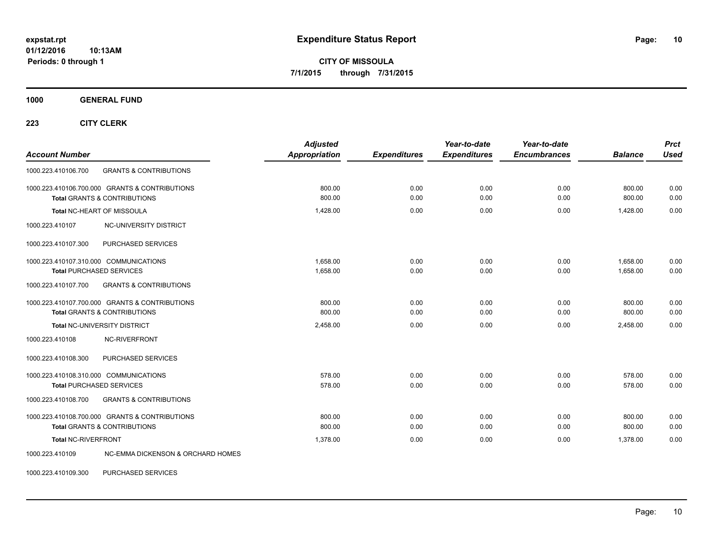**CITY OF MISSOULA 7/1/2015 through 7/31/2015**

**1000 GENERAL FUND**

**223 CITY CLERK**

| <b>Account Number</b>                                                                     | <b>Adjusted</b><br><b>Appropriation</b> | <b>Expenditures</b> | Year-to-date<br><b>Expenditures</b> | Year-to-date<br><b>Encumbrances</b> | <b>Balance</b>       | <b>Prct</b><br><b>Used</b> |
|-------------------------------------------------------------------------------------------|-----------------------------------------|---------------------|-------------------------------------|-------------------------------------|----------------------|----------------------------|
| 1000.223.410106.700<br><b>GRANTS &amp; CONTRIBUTIONS</b>                                  |                                         |                     |                                     |                                     |                      |                            |
| 1000.223.410106.700.000 GRANTS & CONTRIBUTIONS<br><b>Total GRANTS &amp; CONTRIBUTIONS</b> | 800.00<br>800.00                        | 0.00<br>0.00        | 0.00<br>0.00                        | 0.00<br>0.00                        | 800.00<br>800.00     | 0.00<br>0.00               |
| Total NC-HEART OF MISSOULA                                                                | 1,428.00                                | 0.00                | 0.00                                | 0.00                                | 1,428.00             | 0.00                       |
| 1000.223.410107<br>NC-UNIVERSITY DISTRICT                                                 |                                         |                     |                                     |                                     |                      |                            |
| PURCHASED SERVICES<br>1000.223.410107.300                                                 |                                         |                     |                                     |                                     |                      |                            |
| 1000.223.410107.310.000 COMMUNICATIONS<br><b>Total PURCHASED SERVICES</b>                 | 1.658.00<br>1,658.00                    | 0.00<br>0.00        | 0.00<br>0.00                        | 0.00<br>0.00                        | 1.658.00<br>1,658.00 | 0.00<br>0.00               |
| 1000.223.410107.700<br><b>GRANTS &amp; CONTRIBUTIONS</b>                                  |                                         |                     |                                     |                                     |                      |                            |
| 1000.223.410107.700.000 GRANTS & CONTRIBUTIONS<br><b>Total GRANTS &amp; CONTRIBUTIONS</b> | 800.00<br>800.00                        | 0.00<br>0.00        | 0.00<br>0.00                        | 0.00<br>0.00                        | 800.00<br>800.00     | 0.00<br>0.00               |
| Total NC-UNIVERSITY DISTRICT                                                              | 2,458.00                                | 0.00                | 0.00                                | 0.00                                | 2,458.00             | 0.00                       |
| <b>NC-RIVERFRONT</b><br>1000.223.410108                                                   |                                         |                     |                                     |                                     |                      |                            |
| 1000.223.410108.300<br>PURCHASED SERVICES                                                 |                                         |                     |                                     |                                     |                      |                            |
| 1000.223.410108.310.000 COMMUNICATIONS<br><b>Total PURCHASED SERVICES</b>                 | 578.00<br>578.00                        | 0.00<br>0.00        | 0.00<br>0.00                        | 0.00<br>0.00                        | 578.00<br>578.00     | 0.00<br>0.00               |
| <b>GRANTS &amp; CONTRIBUTIONS</b><br>1000.223.410108.700                                  |                                         |                     |                                     |                                     |                      |                            |
| 1000.223.410108.700.000 GRANTS & CONTRIBUTIONS<br><b>Total GRANTS &amp; CONTRIBUTIONS</b> | 800.00<br>800.00                        | 0.00<br>0.00        | 0.00<br>0.00                        | 0.00<br>0.00                        | 800.00<br>800.00     | 0.00<br>0.00               |
| <b>Total NC-RIVERFRONT</b>                                                                | 1.378.00                                | 0.00                | 0.00                                | 0.00                                | 1,378.00             | 0.00                       |
| <b>NC-EMMA DICKENSON &amp; ORCHARD HOMES</b><br>1000.223.410109                           |                                         |                     |                                     |                                     |                      |                            |

1000.223.410109.300 PURCHASED SERVICES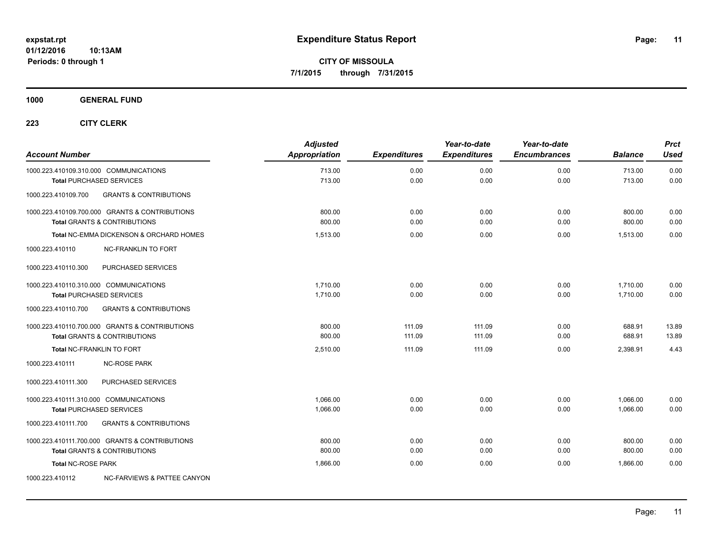**1000 GENERAL FUND**

| <b>Account Number</b>                  |                                                                                           | <b>Adjusted</b><br>Appropriation | <b>Expenditures</b> | Year-to-date<br><b>Expenditures</b> | Year-to-date<br><b>Encumbrances</b> | <b>Balance</b>       | <b>Prct</b><br><b>Used</b> |
|----------------------------------------|-------------------------------------------------------------------------------------------|----------------------------------|---------------------|-------------------------------------|-------------------------------------|----------------------|----------------------------|
|                                        | 1000.223.410109.310.000 COMMUNICATIONS<br><b>Total PURCHASED SERVICES</b>                 | 713.00<br>713.00                 | 0.00<br>0.00        | 0.00<br>0.00                        | 0.00<br>0.00                        | 713.00<br>713.00     | 0.00<br>0.00               |
| 1000.223.410109.700                    | <b>GRANTS &amp; CONTRIBUTIONS</b>                                                         |                                  |                     |                                     |                                     |                      |                            |
|                                        | 1000.223.410109.700.000 GRANTS & CONTRIBUTIONS<br><b>Total GRANTS &amp; CONTRIBUTIONS</b> | 800.00<br>800.00                 | 0.00<br>0.00        | 0.00<br>0.00                        | 0.00<br>0.00                        | 800.00<br>800.00     | 0.00<br>0.00               |
|                                        | <b>Total NC-EMMA DICKENSON &amp; ORCHARD HOMES</b>                                        | 1,513.00                         | 0.00                | 0.00                                | 0.00                                | 1,513.00             | 0.00                       |
| 1000.223.410110                        | <b>NC-FRANKLIN TO FORT</b>                                                                |                                  |                     |                                     |                                     |                      |                            |
| 1000.223.410110.300                    | PURCHASED SERVICES                                                                        |                                  |                     |                                     |                                     |                      |                            |
| 1000.223.410110.310.000 COMMUNICATIONS | <b>Total PURCHASED SERVICES</b>                                                           | 1,710.00<br>1,710.00             | 0.00<br>0.00        | 0.00<br>0.00                        | 0.00<br>0.00                        | 1,710.00<br>1,710.00 | 0.00<br>0.00               |
| 1000.223.410110.700                    | <b>GRANTS &amp; CONTRIBUTIONS</b>                                                         |                                  |                     |                                     |                                     |                      |                            |
|                                        | 1000.223.410110.700.000 GRANTS & CONTRIBUTIONS<br><b>Total GRANTS &amp; CONTRIBUTIONS</b> | 800.00<br>800.00                 | 111.09<br>111.09    | 111.09<br>111.09                    | 0.00<br>0.00                        | 688.91<br>688.91     | 13.89<br>13.89             |
|                                        | <b>Total NC-FRANKLIN TO FORT</b>                                                          | 2,510.00                         | 111.09              | 111.09                              | 0.00                                | 2,398.91             | 4.43                       |
| 1000.223.410111                        | <b>NC-ROSE PARK</b>                                                                       |                                  |                     |                                     |                                     |                      |                            |
| 1000.223.410111.300                    | PURCHASED SERVICES                                                                        |                                  |                     |                                     |                                     |                      |                            |
| 1000.223.410111.310.000 COMMUNICATIONS | <b>Total PURCHASED SERVICES</b>                                                           | 1.066.00<br>1,066.00             | 0.00<br>0.00        | 0.00<br>0.00                        | 0.00<br>0.00                        | 1,066.00<br>1,066.00 | 0.00<br>0.00               |
| 1000.223.410111.700                    | <b>GRANTS &amp; CONTRIBUTIONS</b>                                                         |                                  |                     |                                     |                                     |                      |                            |
|                                        | 1000.223.410111.700.000 GRANTS & CONTRIBUTIONS<br><b>Total GRANTS &amp; CONTRIBUTIONS</b> | 800.00<br>800.00                 | 0.00<br>0.00        | 0.00<br>0.00                        | 0.00<br>0.00                        | 800.00<br>800.00     | 0.00<br>0.00               |
| <b>Total NC-ROSE PARK</b>              |                                                                                           | 1,866.00                         | 0.00                | 0.00                                | 0.00                                | 1.866.00             | 0.00                       |
| 1000.223.410112                        | <b>NC-FARVIEWS &amp; PATTEE CANYON</b>                                                    |                                  |                     |                                     |                                     |                      |                            |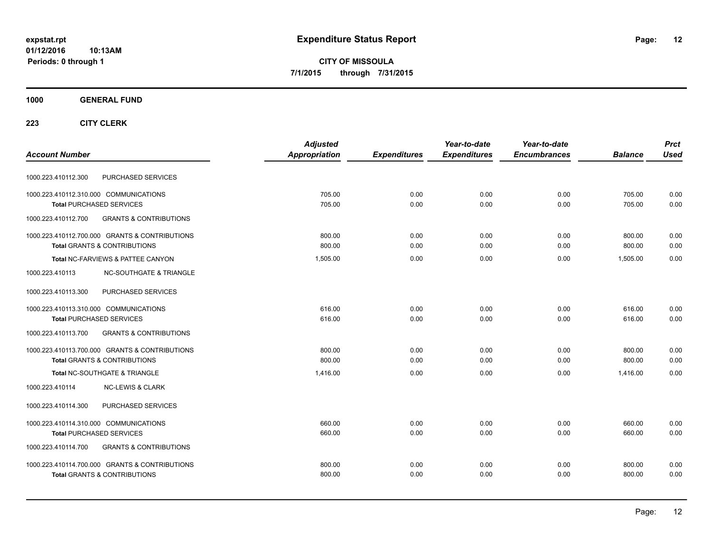**CITY OF MISSOULA 7/1/2015 through 7/31/2015**

## **1000 GENERAL FUND**

|                                                          | <b>Adjusted</b> |                     | Year-to-date        | Year-to-date        |                | <b>Prct</b> |
|----------------------------------------------------------|-----------------|---------------------|---------------------|---------------------|----------------|-------------|
| <b>Account Number</b>                                    | Appropriation   | <b>Expenditures</b> | <b>Expenditures</b> | <b>Encumbrances</b> | <b>Balance</b> | <b>Used</b> |
| PURCHASED SERVICES<br>1000.223.410112.300                |                 |                     |                     |                     |                |             |
| 1000.223.410112.310.000 COMMUNICATIONS                   | 705.00          | 0.00                | 0.00                | 0.00                | 705.00         | 0.00        |
| <b>Total PURCHASED SERVICES</b>                          | 705.00          | 0.00                | 0.00                | 0.00                | 705.00         | 0.00        |
| 1000.223.410112.700<br><b>GRANTS &amp; CONTRIBUTIONS</b> |                 |                     |                     |                     |                |             |
| 1000.223.410112.700.000 GRANTS & CONTRIBUTIONS           | 800.00          | 0.00                | 0.00                | 0.00                | 800.00         | 0.00        |
| <b>Total GRANTS &amp; CONTRIBUTIONS</b>                  | 800.00          | 0.00                | 0.00                | 0.00                | 800.00         | 0.00        |
| Total NC-FARVIEWS & PATTEE CANYON                        | 1,505.00        | 0.00                | 0.00                | 0.00                | 1.505.00       | 0.00        |
| <b>NC-SOUTHGATE &amp; TRIANGLE</b><br>1000.223.410113    |                 |                     |                     |                     |                |             |
| 1000.223.410113.300<br>PURCHASED SERVICES                |                 |                     |                     |                     |                |             |
| 1000.223.410113.310.000 COMMUNICATIONS                   | 616.00          | 0.00                | 0.00                | 0.00                | 616.00         | 0.00        |
| <b>Total PURCHASED SERVICES</b>                          | 616.00          | 0.00                | 0.00                | 0.00                | 616.00         | 0.00        |
| 1000.223.410113.700<br><b>GRANTS &amp; CONTRIBUTIONS</b> |                 |                     |                     |                     |                |             |
| 1000.223.410113.700.000 GRANTS & CONTRIBUTIONS           | 800.00          | 0.00                | 0.00                | 0.00                | 800.00         | 0.00        |
| Total GRANTS & CONTRIBUTIONS                             | 800.00          | 0.00                | 0.00                | 0.00                | 800.00         | 0.00        |
| Total NC-SOUTHGATE & TRIANGLE                            | 1.416.00        | 0.00                | 0.00                | 0.00                | 1.416.00       | 0.00        |
| 1000.223.410114<br><b>NC-LEWIS &amp; CLARK</b>           |                 |                     |                     |                     |                |             |
| PURCHASED SERVICES<br>1000.223.410114.300                |                 |                     |                     |                     |                |             |
| 1000.223.410114.310.000 COMMUNICATIONS                   | 660.00          | 0.00                | 0.00                | 0.00                | 660.00         | 0.00        |
| <b>Total PURCHASED SERVICES</b>                          | 660.00          | 0.00                | 0.00                | 0.00                | 660.00         | 0.00        |
| <b>GRANTS &amp; CONTRIBUTIONS</b><br>1000.223.410114.700 |                 |                     |                     |                     |                |             |
| 1000.223.410114.700.000 GRANTS & CONTRIBUTIONS           | 800.00          | 0.00                | 0.00                | 0.00                | 800.00         | 0.00        |
| <b>Total GRANTS &amp; CONTRIBUTIONS</b>                  | 800.00          | 0.00                | 0.00                | 0.00                | 800.00         | 0.00        |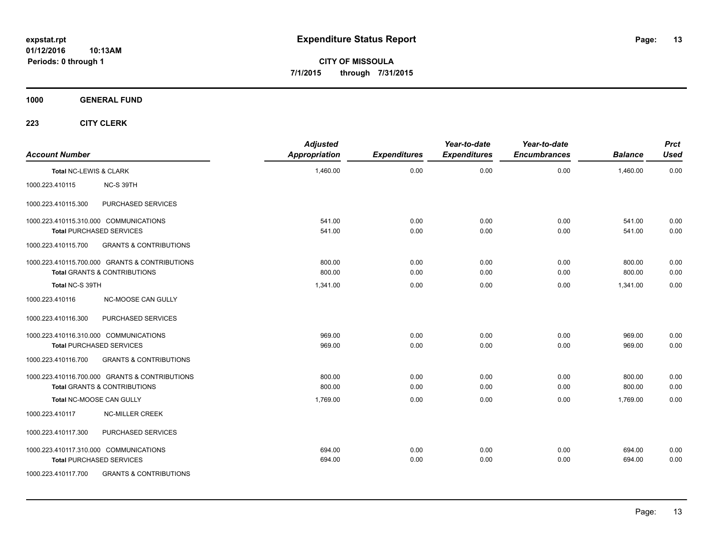**CITY OF MISSOULA 7/1/2015 through 7/31/2015**

**1000 GENERAL FUND**

| <b>Account Number</b>  |                                                | <b>Adjusted</b><br><b>Appropriation</b> | <b>Expenditures</b> | Year-to-date<br><b>Expenditures</b> | Year-to-date<br><b>Encumbrances</b> | <b>Balance</b> | <b>Prct</b><br><b>Used</b> |
|------------------------|------------------------------------------------|-----------------------------------------|---------------------|-------------------------------------|-------------------------------------|----------------|----------------------------|
| Total NC-LEWIS & CLARK |                                                | 1,460.00                                | 0.00                | 0.00                                | 0.00                                | 1,460.00       | 0.00                       |
| 1000.223.410115        | NC-S 39TH                                      |                                         |                     |                                     |                                     |                |                            |
| 1000.223.410115.300    | PURCHASED SERVICES                             |                                         |                     |                                     |                                     |                |                            |
|                        | 1000.223.410115.310.000 COMMUNICATIONS         | 541.00                                  | 0.00                | 0.00                                | 0.00                                | 541.00         | 0.00                       |
|                        | <b>Total PURCHASED SERVICES</b>                | 541.00                                  | 0.00                | 0.00                                | 0.00                                | 541.00         | 0.00                       |
| 1000.223.410115.700    | <b>GRANTS &amp; CONTRIBUTIONS</b>              |                                         |                     |                                     |                                     |                |                            |
|                        | 1000.223.410115.700.000 GRANTS & CONTRIBUTIONS | 800.00                                  | 0.00                | 0.00                                | 0.00                                | 800.00         | 0.00                       |
|                        | <b>Total GRANTS &amp; CONTRIBUTIONS</b>        | 800.00                                  | 0.00                | 0.00                                | 0.00                                | 800.00         | 0.00                       |
| Total NC-S 39TH        |                                                | 1,341.00                                | 0.00                | 0.00                                | 0.00                                | 1.341.00       | 0.00                       |
| 1000.223.410116        | <b>NC-MOOSE CAN GULLY</b>                      |                                         |                     |                                     |                                     |                |                            |
| 1000.223.410116.300    | PURCHASED SERVICES                             |                                         |                     |                                     |                                     |                |                            |
|                        | 1000.223.410116.310.000 COMMUNICATIONS         | 969.00                                  | 0.00                | 0.00                                | 0.00                                | 969.00         | 0.00                       |
|                        | <b>Total PURCHASED SERVICES</b>                | 969.00                                  | 0.00                | 0.00                                | 0.00                                | 969.00         | 0.00                       |
| 1000.223.410116.700    | <b>GRANTS &amp; CONTRIBUTIONS</b>              |                                         |                     |                                     |                                     |                |                            |
|                        | 1000.223.410116.700.000 GRANTS & CONTRIBUTIONS | 800.00                                  | 0.00                | 0.00                                | 0.00                                | 800.00         | 0.00                       |
|                        | <b>Total GRANTS &amp; CONTRIBUTIONS</b>        | 800.00                                  | 0.00                | 0.00                                | 0.00                                | 800.00         | 0.00                       |
|                        | <b>Total NC-MOOSE CAN GULLY</b>                | 1.769.00                                | 0.00                | 0.00                                | 0.00                                | 1.769.00       | 0.00                       |
| 1000.223.410117        | <b>NC-MILLER CREEK</b>                         |                                         |                     |                                     |                                     |                |                            |
| 1000.223.410117.300    | PURCHASED SERVICES                             |                                         |                     |                                     |                                     |                |                            |
|                        | 1000.223.410117.310.000 COMMUNICATIONS         | 694.00                                  | 0.00                | 0.00                                | 0.00                                | 694.00         | 0.00                       |
|                        | <b>Total PURCHASED SERVICES</b>                | 694.00                                  | 0.00                | 0.00                                | 0.00                                | 694.00         | 0.00                       |
| 1000.223.410117.700    | <b>GRANTS &amp; CONTRIBUTIONS</b>              |                                         |                     |                                     |                                     |                |                            |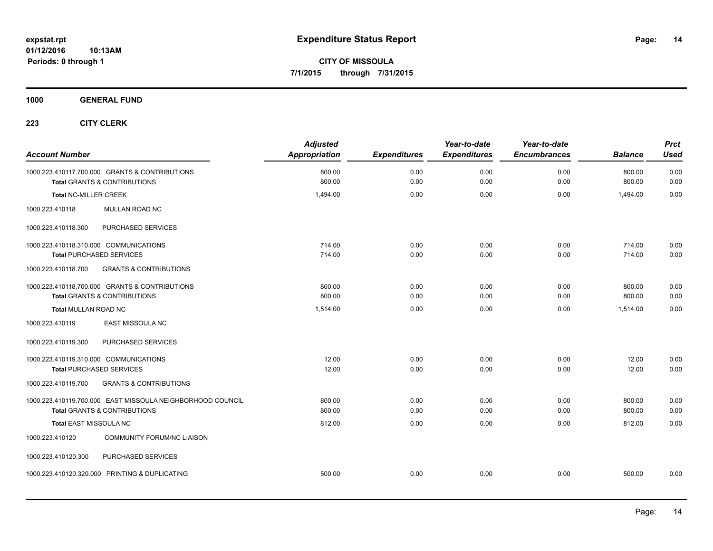**CITY OF MISSOULA 7/1/2015 through 7/31/2015**

**1000 GENERAL FUND**

| <b>Account Number</b>                                      | <b>Adjusted</b><br><b>Appropriation</b> | <b>Expenditures</b> | Year-to-date<br><b>Expenditures</b> | Year-to-date<br><b>Encumbrances</b> | <b>Balance</b> | <b>Prct</b><br><b>Used</b> |
|------------------------------------------------------------|-----------------------------------------|---------------------|-------------------------------------|-------------------------------------|----------------|----------------------------|
| 1000.223.410117.700.000 GRANTS & CONTRIBUTIONS             | 800.00                                  | 0.00                | 0.00                                | 0.00                                | 800.00         | 0.00                       |
| <b>Total GRANTS &amp; CONTRIBUTIONS</b>                    | 800.00                                  | 0.00                | 0.00                                | 0.00                                | 800.00         | 0.00                       |
| <b>Total NC-MILLER CREEK</b>                               | 1,494.00                                | 0.00                | 0.00                                | 0.00                                | 1,494.00       | 0.00                       |
| 1000.223.410118<br>MULLAN ROAD NC                          |                                         |                     |                                     |                                     |                |                            |
| 1000.223.410118.300<br>PURCHASED SERVICES                  |                                         |                     |                                     |                                     |                |                            |
| 1000.223.410118.310.000 COMMUNICATIONS                     | 714.00                                  | 0.00                | 0.00                                | 0.00                                | 714.00         | 0.00                       |
| <b>Total PURCHASED SERVICES</b>                            | 714.00                                  | 0.00                | 0.00                                | 0.00                                | 714.00         | 0.00                       |
| <b>GRANTS &amp; CONTRIBUTIONS</b><br>1000.223.410118.700   |                                         |                     |                                     |                                     |                |                            |
| 1000.223.410118.700.000 GRANTS & CONTRIBUTIONS             | 800.00                                  | 0.00                | 0.00                                | 0.00                                | 800.00         | 0.00                       |
| <b>Total GRANTS &amp; CONTRIBUTIONS</b>                    | 800.00                                  | 0.00                | 0.00                                | 0.00                                | 800.00         | 0.00                       |
| <b>Total MULLAN ROAD NC</b>                                | 1,514.00                                | 0.00                | 0.00                                | 0.00                                | 1,514.00       | 0.00                       |
| EAST MISSOULA NC<br>1000.223.410119                        |                                         |                     |                                     |                                     |                |                            |
| PURCHASED SERVICES<br>1000.223.410119.300                  |                                         |                     |                                     |                                     |                |                            |
| 1000.223.410119.310.000 COMMUNICATIONS                     | 12.00                                   | 0.00                | 0.00                                | 0.00                                | 12.00          | 0.00                       |
| <b>Total PURCHASED SERVICES</b>                            | 12.00                                   | 0.00                | 0.00                                | 0.00                                | 12.00          | 0.00                       |
| 1000.223.410119.700<br><b>GRANTS &amp; CONTRIBUTIONS</b>   |                                         |                     |                                     |                                     |                |                            |
| 1000.223.410119.700.000 EAST MISSOULA NEIGHBORHOOD COUNCIL | 800.00                                  | 0.00                | 0.00                                | 0.00                                | 800.00         | 0.00                       |
| <b>Total GRANTS &amp; CONTRIBUTIONS</b>                    | 800.00                                  | 0.00                | 0.00                                | 0.00                                | 800.00         | 0.00                       |
| Total EAST MISSOULA NC                                     | 812.00                                  | 0.00                | 0.00                                | 0.00                                | 812.00         | 0.00                       |
| 1000.223.410120<br><b>COMMUNITY FORUM/NC LIAISON</b>       |                                         |                     |                                     |                                     |                |                            |
| 1000.223.410120.300<br>PURCHASED SERVICES                  |                                         |                     |                                     |                                     |                |                            |
| 1000.223.410120.320.000 PRINTING & DUPLICATING             | 500.00                                  | 0.00                | 0.00                                | 0.00                                | 500.00         | 0.00                       |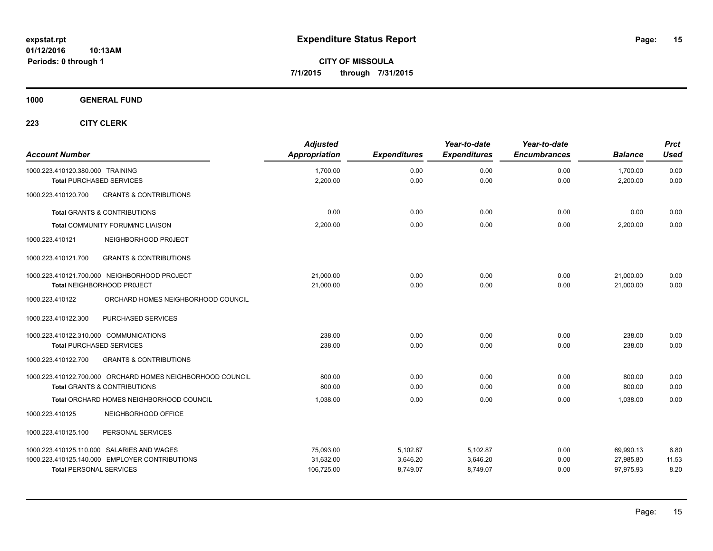**CITY OF MISSOULA 7/1/2015 through 7/31/2015**

## **1000 GENERAL FUND**

| <b>Account Number</b>                  |                                                                                                       | <b>Adjusted</b><br>Appropriation     | <b>Expenditures</b>              | Year-to-date<br><b>Expenditures</b> | Year-to-date<br><b>Encumbrances</b> | <b>Balance</b>                      | <b>Prct</b><br><b>Used</b> |
|----------------------------------------|-------------------------------------------------------------------------------------------------------|--------------------------------------|----------------------------------|-------------------------------------|-------------------------------------|-------------------------------------|----------------------------|
| 1000.223.410120.380.000 TRAINING       | <b>Total PURCHASED SERVICES</b>                                                                       | 1,700.00<br>2,200.00                 | 0.00<br>0.00                     | 0.00<br>0.00                        | 0.00<br>0.00                        | 1,700.00<br>2,200.00                | 0.00<br>0.00               |
| 1000.223.410120.700                    | <b>GRANTS &amp; CONTRIBUTIONS</b>                                                                     |                                      |                                  |                                     |                                     |                                     |                            |
|                                        | <b>Total GRANTS &amp; CONTRIBUTIONS</b>                                                               | 0.00                                 | 0.00                             | 0.00                                | 0.00                                | 0.00                                | 0.00                       |
|                                        | Total COMMUNITY FORUM/NC LIAISON                                                                      | 2,200.00                             | 0.00                             | 0.00                                | 0.00                                | 2,200.00                            | 0.00                       |
| 1000.223.410121                        | NEIGHBORHOOD PROJECT                                                                                  |                                      |                                  |                                     |                                     |                                     |                            |
| 1000.223.410121.700                    | <b>GRANTS &amp; CONTRIBUTIONS</b>                                                                     |                                      |                                  |                                     |                                     |                                     |                            |
|                                        | 1000.223.410121.700.000 NEIGHBORHOOD PROJECT<br><b>Total NEIGHBORHOOD PROJECT</b>                     | 21,000.00<br>21,000.00               | 0.00<br>0.00                     | 0.00<br>0.00                        | 0.00<br>0.00                        | 21,000.00<br>21.000.00              | 0.00<br>0.00               |
| 1000.223.410122                        | ORCHARD HOMES NEIGHBORHOOD COUNCIL                                                                    |                                      |                                  |                                     |                                     |                                     |                            |
| 1000.223.410122.300                    | <b>PURCHASED SERVICES</b>                                                                             |                                      |                                  |                                     |                                     |                                     |                            |
| 1000.223.410122.310.000 COMMUNICATIONS | <b>Total PURCHASED SERVICES</b>                                                                       | 238.00<br>238.00                     | 0.00<br>0.00                     | 0.00<br>0.00                        | 0.00<br>0.00                        | 238.00<br>238.00                    | 0.00<br>0.00               |
| 1000.223.410122.700                    | <b>GRANTS &amp; CONTRIBUTIONS</b>                                                                     |                                      |                                  |                                     |                                     |                                     |                            |
|                                        | 1000.223.410122.700.000 ORCHARD HOMES NEIGHBORHOOD COUNCIL<br><b>Total GRANTS &amp; CONTRIBUTIONS</b> | 800.00<br>800.00                     | 0.00<br>0.00                     | 0.00<br>0.00                        | 0.00<br>0.00                        | 800.00<br>800.00                    | 0.00<br>0.00               |
|                                        | Total ORCHARD HOMES NEIGHBORHOOD COUNCIL                                                              | 1,038.00                             | 0.00                             | 0.00                                | 0.00                                | 1.038.00                            | 0.00                       |
| 1000.223.410125                        | NEIGHBORHOOD OFFICE                                                                                   |                                      |                                  |                                     |                                     |                                     |                            |
| 1000.223.410125.100                    | PERSONAL SERVICES                                                                                     |                                      |                                  |                                     |                                     |                                     |                            |
| <b>Total PERSONAL SERVICES</b>         | 1000.223.410125.110.000 SALARIES AND WAGES<br>1000.223.410125.140.000 EMPLOYER CONTRIBUTIONS          | 75,093.00<br>31,632.00<br>106,725.00 | 5,102.87<br>3,646.20<br>8,749.07 | 5,102.87<br>3,646.20<br>8,749.07    | 0.00<br>0.00<br>0.00                | 69,990.13<br>27,985.80<br>97,975.93 | 6.80<br>11.53<br>8.20      |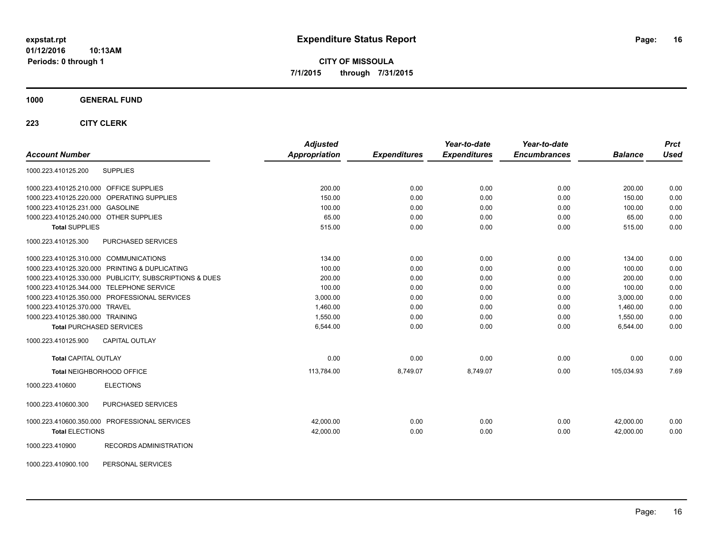**CITY OF MISSOULA 7/1/2015 through 7/31/2015**

#### **1000 GENERAL FUND**

| <b>Account Number</b>                                   | <b>Adjusted</b><br><b>Appropriation</b> | <b>Expenditures</b> | Year-to-date<br><b>Expenditures</b> | Year-to-date<br><b>Encumbrances</b> | <b>Balance</b> | <b>Prct</b><br><b>Used</b> |
|---------------------------------------------------------|-----------------------------------------|---------------------|-------------------------------------|-------------------------------------|----------------|----------------------------|
|                                                         |                                         |                     |                                     |                                     |                |                            |
| <b>SUPPLIES</b><br>1000.223.410125.200                  |                                         |                     |                                     |                                     |                |                            |
| 1000.223.410125.210.000 OFFICE SUPPLIES                 | 200.00                                  | 0.00                | 0.00                                | 0.00                                | 200.00         | 0.00                       |
| 1000.223.410125.220.000 OPERATING SUPPLIES              | 150.00                                  | 0.00                | 0.00                                | 0.00                                | 150.00         | 0.00                       |
| 1000.223.410125.231.000 GASOLINE                        | 100.00                                  | 0.00                | 0.00                                | 0.00                                | 100.00         | 0.00                       |
| 1000.223.410125.240.000 OTHER SUPPLIES                  | 65.00                                   | 0.00                | 0.00                                | 0.00                                | 65.00          | 0.00                       |
| <b>Total SUPPLIES</b>                                   | 515.00                                  | 0.00                | 0.00                                | 0.00                                | 515.00         | 0.00                       |
| <b>PURCHASED SERVICES</b><br>1000.223.410125.300        |                                         |                     |                                     |                                     |                |                            |
| 1000.223.410125.310.000 COMMUNICATIONS                  | 134.00                                  | 0.00                | 0.00                                | 0.00                                | 134.00         | 0.00                       |
| 1000.223.410125.320.000 PRINTING & DUPLICATING          | 100.00                                  | 0.00                | 0.00                                | 0.00                                | 100.00         | 0.00                       |
| 1000.223.410125.330.000 PUBLICITY, SUBSCRIPTIONS & DUES | 200.00                                  | 0.00                | 0.00                                | 0.00                                | 200.00         | 0.00                       |
| 1000.223.410125.344.000 TELEPHONE SERVICE               | 100.00                                  | 0.00                | 0.00                                | 0.00                                | 100.00         | 0.00                       |
| 1000.223.410125.350.000 PROFESSIONAL SERVICES           | 3,000.00                                | 0.00                | 0.00                                | 0.00                                | 3,000.00       | 0.00                       |
| 1000.223.410125.370.000 TRAVEL                          | 1,460.00                                | 0.00                | 0.00                                | 0.00                                | 1,460.00       | 0.00                       |
| 1000.223.410125.380.000 TRAINING                        | 1.550.00                                | 0.00                | 0.00                                | 0.00                                | 1.550.00       | 0.00                       |
| <b>Total PURCHASED SERVICES</b>                         | 6,544.00                                | 0.00                | 0.00                                | 0.00                                | 6,544.00       | 0.00                       |
| <b>CAPITAL OUTLAY</b><br>1000.223.410125.900            |                                         |                     |                                     |                                     |                |                            |
| <b>Total CAPITAL OUTLAY</b>                             | 0.00                                    | 0.00                | 0.00                                | 0.00                                | 0.00           | 0.00                       |
| Total NEIGHBORHOOD OFFICE                               | 113,784.00                              | 8,749.07            | 8,749.07                            | 0.00                                | 105,034.93     | 7.69                       |
| 1000.223.410600<br><b>ELECTIONS</b>                     |                                         |                     |                                     |                                     |                |                            |
| PURCHASED SERVICES<br>1000.223.410600.300               |                                         |                     |                                     |                                     |                |                            |
| 1000.223.410600.350.000 PROFESSIONAL SERVICES           | 42,000.00                               | 0.00                | 0.00                                | 0.00                                | 42,000.00      | 0.00                       |
| <b>Total ELECTIONS</b>                                  | 42,000.00                               | 0.00                | 0.00                                | 0.00                                | 42.000.00      | 0.00                       |
| RECORDS ADMINISTRATION<br>1000.223.410900               |                                         |                     |                                     |                                     |                |                            |
| PERSONAL SERVICES<br>1000.223.410900.100                |                                         |                     |                                     |                                     |                |                            |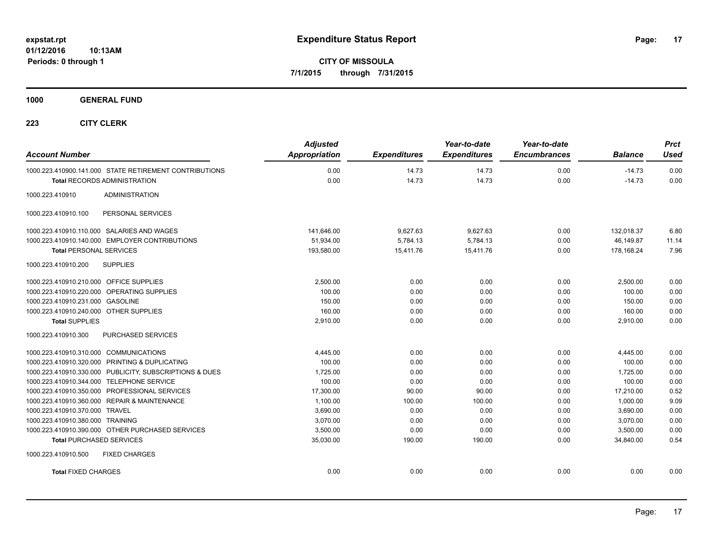**CITY OF MISSOULA 7/1/2015 through 7/31/2015**

**1000 GENERAL FUND**

| <b>Account Number</b>                                   | <b>Adjusted</b><br><b>Appropriation</b> | <b>Expenditures</b> | Year-to-date<br><b>Expenditures</b> | Year-to-date<br><b>Encumbrances</b> | <b>Balance</b> | <b>Prct</b><br><b>Used</b> |
|---------------------------------------------------------|-----------------------------------------|---------------------|-------------------------------------|-------------------------------------|----------------|----------------------------|
| 1000.223.410900.141.000 STATE RETIREMENT CONTRIBUTIONS  | 0.00                                    | 14.73               | 14.73                               | 0.00                                | $-14.73$       | 0.00                       |
| <b>Total RECORDS ADMINISTRATION</b>                     | 0.00                                    | 14.73               | 14.73                               | 0.00                                | $-14.73$       | 0.00                       |
| 1000.223.410910<br><b>ADMINISTRATION</b>                |                                         |                     |                                     |                                     |                |                            |
| 1000.223.410910.100<br>PERSONAL SERVICES                |                                         |                     |                                     |                                     |                |                            |
| 1000.223.410910.110.000 SALARIES AND WAGES              | 141,646.00                              | 9,627.63            | 9,627.63                            | 0.00                                | 132,018.37     | 6.80                       |
| 1000.223.410910.140.000 EMPLOYER CONTRIBUTIONS          | 51,934.00                               | 5,784.13            | 5,784.13                            | 0.00                                | 46,149.87      | 11.14                      |
| <b>Total PERSONAL SERVICES</b>                          | 193,580.00                              | 15,411.76           | 15,411.76                           | 0.00                                | 178,168.24     | 7.96                       |
| 1000.223.410910.200<br><b>SUPPLIES</b>                  |                                         |                     |                                     |                                     |                |                            |
| 1000.223.410910.210.000 OFFICE SUPPLIES                 | 2.500.00                                | 0.00                | 0.00                                | 0.00                                | 2,500.00       | 0.00                       |
| 1000.223.410910.220.000 OPERATING SUPPLIES              | 100.00                                  | 0.00                | 0.00                                | 0.00                                | 100.00         | 0.00                       |
| 1000.223.410910.231.000 GASOLINE                        | 150.00                                  | 0.00                | 0.00                                | 0.00                                | 150.00         | 0.00                       |
| 1000.223.410910.240.000 OTHER SUPPLIES                  | 160.00                                  | 0.00                | 0.00                                | 0.00                                | 160.00         | 0.00                       |
| <b>Total SUPPLIES</b>                                   | 2,910.00                                | 0.00                | 0.00                                | 0.00                                | 2,910.00       | 0.00                       |
| 1000.223.410910.300<br>PURCHASED SERVICES               |                                         |                     |                                     |                                     |                |                            |
| 1000.223.410910.310.000 COMMUNICATIONS                  | 4,445.00                                | 0.00                | 0.00                                | 0.00                                | 4,445.00       | 0.00                       |
| 1000.223.410910.320.000 PRINTING & DUPLICATING          | 100.00                                  | 0.00                | 0.00                                | 0.00                                | 100.00         | 0.00                       |
| 1000.223.410910.330.000 PUBLICITY, SUBSCRIPTIONS & DUES | 1,725.00                                | 0.00                | 0.00                                | 0.00                                | 1,725.00       | 0.00                       |
| 1000.223.410910.344.000 TELEPHONE SERVICE               | 100.00                                  | 0.00                | 0.00                                | 0.00                                | 100.00         | 0.00                       |
| 1000.223.410910.350.000 PROFESSIONAL SERVICES           | 17,300.00                               | 90.00               | 90.00                               | 0.00                                | 17,210.00      | 0.52                       |
| 1000.223.410910.360.000 REPAIR & MAINTENANCE            | 1,100.00                                | 100.00              | 100.00                              | 0.00                                | 1,000.00       | 9.09                       |
| 1000.223.410910.370.000 TRAVEL                          | 3,690.00                                | 0.00                | 0.00                                | 0.00                                | 3,690.00       | 0.00                       |
| 1000.223.410910.380.000 TRAINING                        | 3.070.00                                | 0.00                | 0.00                                | 0.00                                | 3,070.00       | 0.00                       |
| 1000.223.410910.390.000 OTHER PURCHASED SERVICES        | 3,500.00                                | 0.00                | 0.00                                | 0.00                                | 3,500.00       | 0.00                       |
| <b>Total PURCHASED SERVICES</b>                         | 35,030.00                               | 190.00              | 190.00                              | 0.00                                | 34,840.00      | 0.54                       |
| 1000.223.410910.500<br><b>FIXED CHARGES</b>             |                                         |                     |                                     |                                     |                |                            |
| <b>Total FIXED CHARGES</b>                              | 0.00                                    | 0.00                | 0.00                                | 0.00                                | 0.00           | 0.00                       |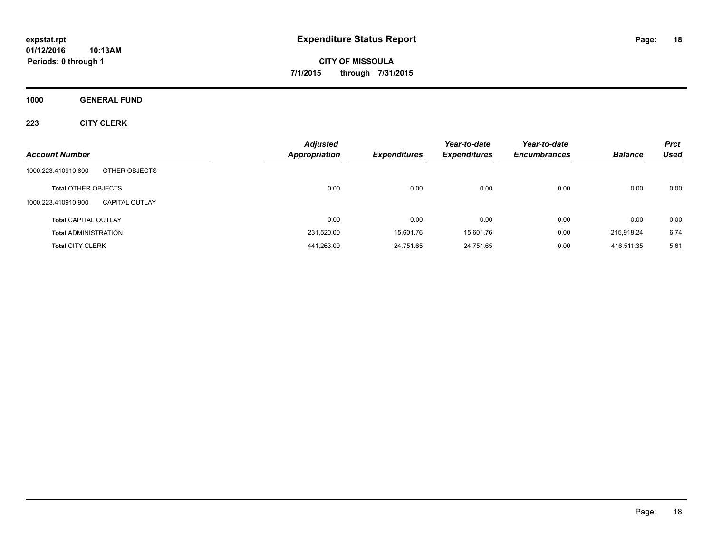**CITY OF MISSOULA 7/1/2015 through 7/31/2015**

**1000 GENERAL FUND**

| <b>Account Number</b>                        | <b>Adjusted</b><br><b>Appropriation</b> | <b>Expenditures</b> | Year-to-date<br><b>Expenditures</b> | Year-to-date<br><b>Encumbrances</b> | <b>Balance</b> | <b>Prct</b><br><b>Used</b> |
|----------------------------------------------|-----------------------------------------|---------------------|-------------------------------------|-------------------------------------|----------------|----------------------------|
| OTHER OBJECTS<br>1000.223.410910.800         |                                         |                     |                                     |                                     |                |                            |
| <b>Total OTHER OBJECTS</b>                   | 0.00                                    | 0.00                | 0.00                                | 0.00                                | 0.00           | 0.00                       |
| 1000.223.410910.900<br><b>CAPITAL OUTLAY</b> |                                         |                     |                                     |                                     |                |                            |
| <b>Total CAPITAL OUTLAY</b>                  | 0.00                                    | 0.00                | 0.00                                | 0.00                                | 0.00           | 0.00                       |
| <b>Total ADMINISTRATION</b>                  | 231,520.00                              | 15,601.76           | 15,601.76                           | 0.00                                | 215,918.24     | 6.74                       |
| <b>Total CITY CLERK</b>                      | 441,263.00                              | 24,751.65           | 24,751.65                           | 0.00                                | 416,511.35     | 5.61                       |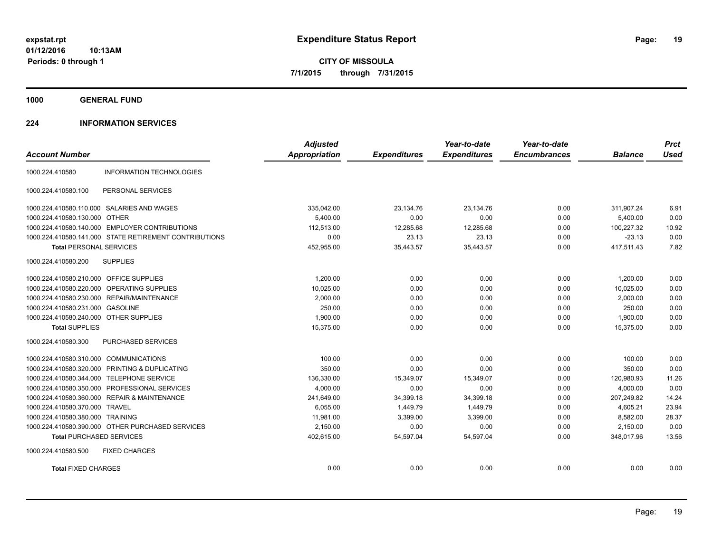**CITY OF MISSOULA 7/1/2015 through 7/31/2015**

**1000 GENERAL FUND**

## **224 INFORMATION SERVICES**

|                                              |                                                        | <b>Adjusted</b>      |                     | Year-to-date        | Year-to-date        |                | <b>Prct</b> |
|----------------------------------------------|--------------------------------------------------------|----------------------|---------------------|---------------------|---------------------|----------------|-------------|
| <b>Account Number</b>                        |                                                        | <b>Appropriation</b> | <b>Expenditures</b> | <b>Expenditures</b> | <b>Encumbrances</b> | <b>Balance</b> | <b>Used</b> |
| 1000.224.410580                              | <b>INFORMATION TECHNOLOGIES</b>                        |                      |                     |                     |                     |                |             |
| 1000.224.410580.100                          | PERSONAL SERVICES                                      |                      |                     |                     |                     |                |             |
| 1000.224.410580.110.000 SALARIES AND WAGES   |                                                        | 335,042.00           | 23,134.76           | 23,134.76           | 0.00                | 311.907.24     | 6.91        |
| 1000.224.410580.130.000 OTHER                |                                                        | 5,400.00             | 0.00                | 0.00                | 0.00                | 5,400.00       | 0.00        |
|                                              | 1000.224.410580.140.000 EMPLOYER CONTRIBUTIONS         | 112.513.00           | 12,285.68           | 12.285.68           | 0.00                | 100.227.32     | 10.92       |
|                                              | 1000.224.410580.141.000 STATE RETIREMENT CONTRIBUTIONS | 0.00                 | 23.13               | 23.13               | 0.00                | $-23.13$       | 0.00        |
| <b>Total PERSONAL SERVICES</b>               |                                                        | 452,955.00           | 35,443.57           | 35,443.57           | 0.00                | 417,511.43     | 7.82        |
| 1000.224.410580.200                          | <b>SUPPLIES</b>                                        |                      |                     |                     |                     |                |             |
| 1000.224.410580.210.000 OFFICE SUPPLIES      |                                                        | 1,200.00             | 0.00                | 0.00                | 0.00                | 1,200.00       | 0.00        |
| 1000.224.410580.220.000 OPERATING SUPPLIES   |                                                        | 10.025.00            | 0.00                | 0.00                | 0.00                | 10.025.00      | 0.00        |
| 1000.224.410580.230.000 REPAIR/MAINTENANCE   |                                                        | 2,000.00             | 0.00                | 0.00                | 0.00                | 2,000.00       | 0.00        |
| 1000.224.410580.231.000 GASOLINE             |                                                        | 250.00               | 0.00                | 0.00                | 0.00                | 250.00         | 0.00        |
| 1000.224.410580.240.000 OTHER SUPPLIES       |                                                        | 1,900.00             | 0.00                | 0.00                | 0.00                | 1,900.00       | 0.00        |
| <b>Total SUPPLIES</b>                        |                                                        | 15,375.00            | 0.00                | 0.00                | 0.00                | 15,375.00      | 0.00        |
| 1000.224.410580.300                          | PURCHASED SERVICES                                     |                      |                     |                     |                     |                |             |
| 1000.224.410580.310.000 COMMUNICATIONS       |                                                        | 100.00               | 0.00                | 0.00                | 0.00                | 100.00         | 0.00        |
|                                              | 1000.224.410580.320.000 PRINTING & DUPLICATING         | 350.00               | 0.00                | 0.00                | 0.00                | 350.00         | 0.00        |
| 1000.224.410580.344.000 TELEPHONE SERVICE    |                                                        | 136,330.00           | 15,349.07           | 15,349.07           | 0.00                | 120,980.93     | 11.26       |
|                                              | 1000.224.410580.350.000 PROFESSIONAL SERVICES          | 4,000.00             | 0.00                | 0.00                | 0.00                | 4.000.00       | 0.00        |
| 1000.224.410580.360.000 REPAIR & MAINTENANCE |                                                        | 241,649.00           | 34,399.18           | 34,399.18           | 0.00                | 207,249.82     | 14.24       |
| 1000.224.410580.370.000 TRAVEL               |                                                        | 6,055.00             | 1,449.79            | 1,449.79            | 0.00                | 4.605.21       | 23.94       |
| 1000.224.410580.380.000 TRAINING             |                                                        | 11,981.00            | 3,399.00            | 3,399.00            | 0.00                | 8,582.00       | 28.37       |
|                                              | 1000.224.410580.390.000 OTHER PURCHASED SERVICES       | 2,150.00             | 0.00                | 0.00                | 0.00                | 2,150.00       | 0.00        |
| <b>Total PURCHASED SERVICES</b>              |                                                        | 402,615.00           | 54,597.04           | 54,597.04           | 0.00                | 348,017.96     | 13.56       |
| 1000.224.410580.500                          | <b>FIXED CHARGES</b>                                   |                      |                     |                     |                     |                |             |
| <b>Total FIXED CHARGES</b>                   |                                                        | 0.00                 | 0.00                | 0.00                | 0.00                | 0.00           | 0.00        |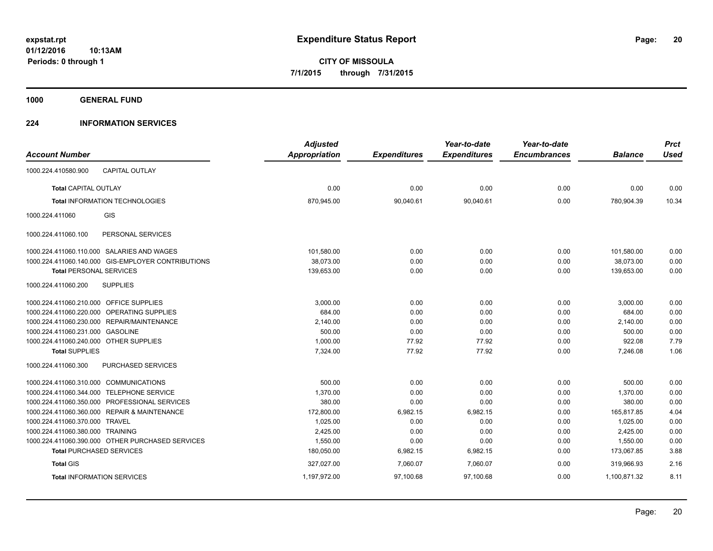**1000 GENERAL FUND**

## **224 INFORMATION SERVICES**

|                                         |                                                    | <b>Adjusted</b>      |                     | Year-to-date        | Year-to-date        |                | <b>Prct</b> |
|-----------------------------------------|----------------------------------------------------|----------------------|---------------------|---------------------|---------------------|----------------|-------------|
| <b>Account Number</b>                   |                                                    | <b>Appropriation</b> | <b>Expenditures</b> | <b>Expenditures</b> | <b>Encumbrances</b> | <b>Balance</b> | <b>Used</b> |
| 1000.224.410580.900                     | <b>CAPITAL OUTLAY</b>                              |                      |                     |                     |                     |                |             |
| <b>Total CAPITAL OUTLAY</b>             |                                                    | 0.00                 | 0.00                | 0.00                | 0.00                | 0.00           | 0.00        |
|                                         | <b>Total INFORMATION TECHNOLOGIES</b>              | 870,945.00           | 90,040.61           | 90,040.61           | 0.00                | 780,904.39     | 10.34       |
| 1000.224.411060                         | GIS                                                |                      |                     |                     |                     |                |             |
| 1000.224.411060.100                     | PERSONAL SERVICES                                  |                      |                     |                     |                     |                |             |
|                                         | 1000.224.411060.110.000 SALARIES AND WAGES         | 101,580.00           | 0.00                | 0.00                | 0.00                | 101,580.00     | 0.00        |
|                                         | 1000.224.411060.140.000 GIS-EMPLOYER CONTRIBUTIONS | 38.073.00            | 0.00                | 0.00                | 0.00                | 38,073.00      | 0.00        |
| <b>Total PERSONAL SERVICES</b>          |                                                    | 139,653.00           | 0.00                | 0.00                | 0.00                | 139,653.00     | 0.00        |
| 1000.224.411060.200                     | <b>SUPPLIES</b>                                    |                      |                     |                     |                     |                |             |
| 1000.224.411060.210.000 OFFICE SUPPLIES |                                                    | 3,000.00             | 0.00                | 0.00                | 0.00                | 3,000.00       | 0.00        |
|                                         | 1000.224.411060.220.000 OPERATING SUPPLIES         | 684.00               | 0.00                | 0.00                | 0.00                | 684.00         | 0.00        |
|                                         | 1000.224.411060.230.000 REPAIR/MAINTENANCE         | 2,140.00             | 0.00                | 0.00                | 0.00                | 2,140.00       | 0.00        |
| 1000.224.411060.231.000 GASOLINE        |                                                    | 500.00               | 0.00                | 0.00                | 0.00                | 500.00         | 0.00        |
| 1000.224.411060.240.000 OTHER SUPPLIES  |                                                    | 1,000.00             | 77.92               | 77.92               | 0.00                | 922.08         | 7.79        |
| <b>Total SUPPLIES</b>                   |                                                    | 7,324.00             | 77.92               | 77.92               | 0.00                | 7,246.08       | 1.06        |
| 1000.224.411060.300                     | PURCHASED SERVICES                                 |                      |                     |                     |                     |                |             |
| 1000.224.411060.310.000 COMMUNICATIONS  |                                                    | 500.00               | 0.00                | 0.00                | 0.00                | 500.00         | 0.00        |
|                                         | 1000.224.411060.344.000 TELEPHONE SERVICE          | 1,370.00             | 0.00                | 0.00                | 0.00                | 1,370.00       | 0.00        |
|                                         | 1000.224.411060.350.000 PROFESSIONAL SERVICES      | 380.00               | 0.00                | 0.00                | 0.00                | 380.00         | 0.00        |
|                                         | 1000.224.411060.360.000 REPAIR & MAINTENANCE       | 172,800.00           | 6,982.15            | 6,982.15            | 0.00                | 165,817.85     | 4.04        |
| 1000.224.411060.370.000 TRAVEL          |                                                    | 1,025.00             | 0.00                | 0.00                | 0.00                | 1,025.00       | 0.00        |
| 1000.224.411060.380.000 TRAINING        |                                                    | 2,425.00             | 0.00                | 0.00                | 0.00                | 2,425.00       | 0.00        |
|                                         | 1000.224.411060.390.000 OTHER PURCHASED SERVICES   | 1,550.00             | 0.00                | 0.00                | 0.00                | 1,550.00       | 0.00        |
| <b>Total PURCHASED SERVICES</b>         |                                                    | 180,050.00           | 6,982.15            | 6,982.15            | 0.00                | 173,067.85     | 3.88        |
| <b>Total GIS</b>                        |                                                    | 327,027.00           | 7,060.07            | 7,060.07            | 0.00                | 319.966.93     | 2.16        |
|                                         | <b>Total INFORMATION SERVICES</b>                  | 1,197,972.00         | 97,100.68           | 97,100.68           | 0.00                | 1,100,871.32   | 8.11        |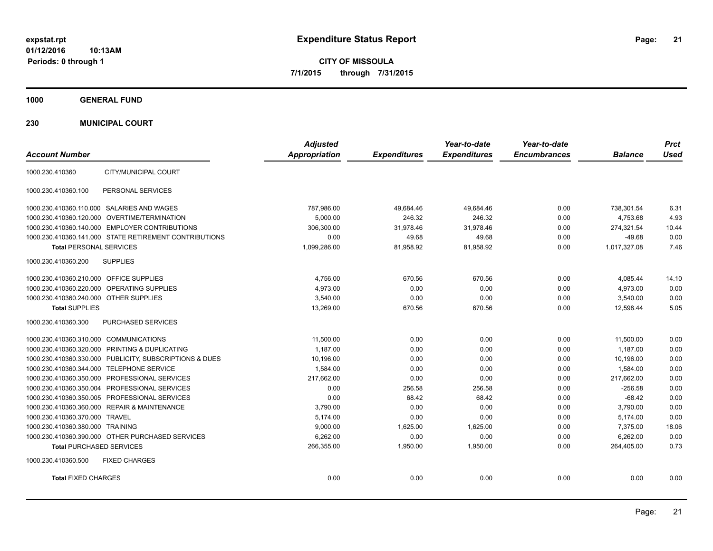**CITY OF MISSOULA 7/1/2015 through 7/31/2015**

**1000 GENERAL FUND**

**230 MUNICIPAL COURT**

| <b>Account Number</b>                                   | <b>Adjusted</b><br>Appropriation | <b>Expenditures</b> | Year-to-date<br><b>Expenditures</b> | Year-to-date<br><b>Encumbrances</b> | <b>Balance</b> | <b>Prct</b><br><b>Used</b> |
|---------------------------------------------------------|----------------------------------|---------------------|-------------------------------------|-------------------------------------|----------------|----------------------------|
| CITY/MUNICIPAL COURT<br>1000.230.410360                 |                                  |                     |                                     |                                     |                |                            |
| 1000.230.410360.100<br>PERSONAL SERVICES                |                                  |                     |                                     |                                     |                |                            |
| 1000.230.410360.110.000 SALARIES AND WAGES              | 787,986.00                       | 49,684.46           | 49,684.46                           | 0.00                                | 738,301.54     | 6.31                       |
| 1000.230.410360.120.000 OVERTIME/TERMINATION            | 5,000.00                         | 246.32              | 246.32                              | 0.00                                | 4,753.68       | 4.93                       |
| 1000.230.410360.140.000 EMPLOYER CONTRIBUTIONS          | 306.300.00                       | 31.978.46           | 31.978.46                           | 0.00                                | 274,321.54     | 10.44                      |
| 1000.230.410360.141.000 STATE RETIREMENT CONTRIBUTIONS  | 0.00                             | 49.68               | 49.68                               | 0.00                                | $-49.68$       | 0.00                       |
| <b>Total PERSONAL SERVICES</b>                          | 1,099,286.00                     | 81.958.92           | 81.958.92                           | 0.00                                | 1.017.327.08   | 7.46                       |
| <b>SUPPLIES</b><br>1000.230.410360.200                  |                                  |                     |                                     |                                     |                |                            |
| 1000.230.410360.210.000 OFFICE SUPPLIES                 | 4,756.00                         | 670.56              | 670.56                              | 0.00                                | 4,085.44       | 14.10                      |
| 1000.230.410360.220.000 OPERATING SUPPLIES              | 4,973.00                         | 0.00                | 0.00                                | 0.00                                | 4,973.00       | 0.00                       |
| 1000.230.410360.240.000 OTHER SUPPLIES                  | 3,540.00                         | 0.00                | 0.00                                | 0.00                                | 3,540.00       | 0.00                       |
| <b>Total SUPPLIES</b>                                   | 13,269.00                        | 670.56              | 670.56                              | 0.00                                | 12,598.44      | 5.05                       |
| 1000.230.410360.300<br>PURCHASED SERVICES               |                                  |                     |                                     |                                     |                |                            |
| 1000.230.410360.310.000 COMMUNICATIONS                  | 11,500.00                        | 0.00                | 0.00                                | 0.00                                | 11,500.00      | 0.00                       |
| 1000.230.410360.320.000 PRINTING & DUPLICATING          | 1.187.00                         | 0.00                | 0.00                                | 0.00                                | 1.187.00       | 0.00                       |
| 1000.230.410360.330.000 PUBLICITY, SUBSCRIPTIONS & DUES | 10,196.00                        | 0.00                | 0.00                                | 0.00                                | 10,196.00      | 0.00                       |
| 1000.230.410360.344.000 TELEPHONE SERVICE               | 1.584.00                         | 0.00                | 0.00                                | 0.00                                | 1.584.00       | 0.00                       |
| 1000.230.410360.350.000 PROFESSIONAL SERVICES           | 217.662.00                       | 0.00                | 0.00                                | 0.00                                | 217,662.00     | 0.00                       |
| 1000.230.410360.350.004 PROFESSIONAL SERVICES           | 0.00                             | 256.58              | 256.58                              | 0.00                                | $-256.58$      | 0.00                       |
| 1000.230.410360.350.005 PROFESSIONAL SERVICES           | 0.00                             | 68.42               | 68.42                               | 0.00                                | $-68.42$       | 0.00                       |
| 1000.230.410360.360.000 REPAIR & MAINTENANCE            | 3,790.00                         | 0.00                | 0.00                                | 0.00                                | 3,790.00       | 0.00                       |
| 1000.230.410360.370.000 TRAVEL                          | 5.174.00                         | 0.00                | 0.00                                | 0.00                                | 5,174.00       | 0.00                       |
| 1000.230.410360.380.000 TRAINING                        | 9,000.00                         | 1,625.00            | 1,625.00                            | 0.00                                | 7,375.00       | 18.06                      |
| 1000.230.410360.390.000 OTHER PURCHASED SERVICES        | 6,262.00                         | 0.00                | 0.00                                | 0.00                                | 6,262.00       | 0.00                       |
| <b>Total PURCHASED SERVICES</b>                         | 266,355.00                       | 1,950.00            | 1,950.00                            | 0.00                                | 264,405.00     | 0.73                       |
| 1000.230.410360.500<br><b>FIXED CHARGES</b>             |                                  |                     |                                     |                                     |                |                            |
| <b>Total FIXED CHARGES</b>                              | 0.00                             | 0.00                | 0.00                                | 0.00                                | 0.00           | 0.00                       |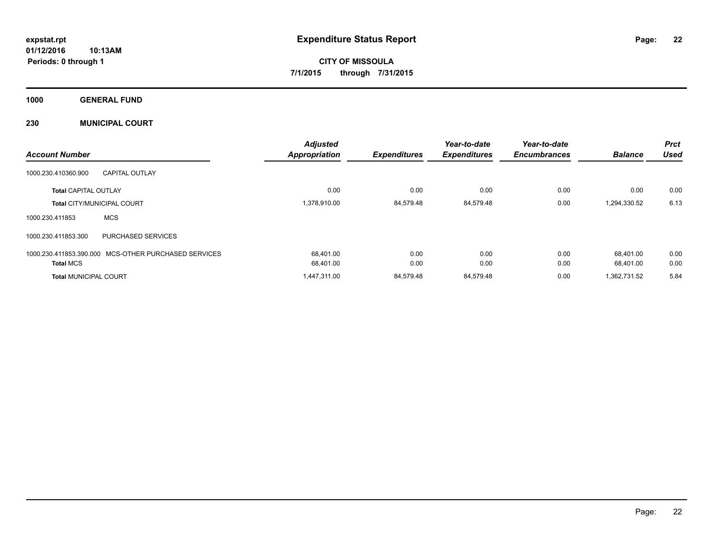**CITY OF MISSOULA 7/1/2015 through 7/31/2015**

**1000 GENERAL FUND**

**230 MUNICIPAL COURT**

|                                                         | <b>Adjusted</b>      |                     | Year-to-date        | Year-to-date        |                | <b>Prct</b> |
|---------------------------------------------------------|----------------------|---------------------|---------------------|---------------------|----------------|-------------|
| <b>Account Number</b>                                   | <b>Appropriation</b> | <b>Expenditures</b> | <b>Expenditures</b> | <b>Encumbrances</b> | <b>Balance</b> | <b>Used</b> |
| 1000.230.410360.900<br><b>CAPITAL OUTLAY</b>            |                      |                     |                     |                     |                |             |
| <b>Total CAPITAL OUTLAY</b>                             | 0.00                 | 0.00                | 0.00                | 0.00                | 0.00           | 0.00        |
| Total CITY/MUNICIPAL COURT                              | 1,378,910.00         | 84,579.48           | 84,579.48           | 0.00                | 1,294,330.52   | 6.13        |
| <b>MCS</b><br>1000.230.411853                           |                      |                     |                     |                     |                |             |
| 1000.230.411853.300<br><b>PURCHASED SERVICES</b>        |                      |                     |                     |                     |                |             |
| MCS-OTHER PURCHASED SERVICES<br>1000.230.411853.390.000 | 68.401.00            | 0.00                | 0.00                | 0.00                | 68.401.00      | 0.00        |
| <b>Total MCS</b>                                        | 68,401.00            | 0.00                | 0.00                | 0.00                | 68.401.00      | 0.00        |
| <b>Total MUNICIPAL COURT</b>                            | 1,447,311.00         | 84,579.48           | 84,579.48           | 0.00                | 1,362,731.52   | 5.84        |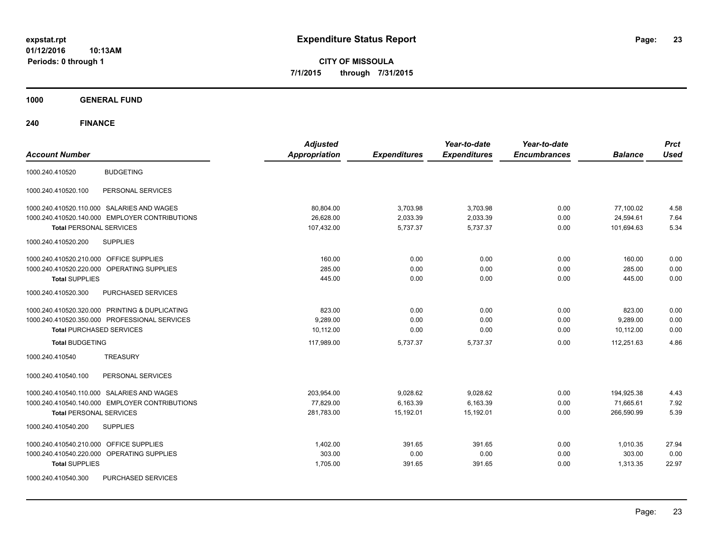**CITY OF MISSOULA 7/1/2015 through 7/31/2015**

**1000 GENERAL FUND**

| <b>Account Number</b>                                | <b>Adjusted</b><br><b>Appropriation</b> | <b>Expenditures</b> | Year-to-date<br><b>Expenditures</b> | Year-to-date<br><b>Encumbrances</b> | <b>Balance</b> | <b>Prct</b><br><b>Used</b> |
|------------------------------------------------------|-----------------------------------------|---------------------|-------------------------------------|-------------------------------------|----------------|----------------------------|
|                                                      |                                         |                     |                                     |                                     |                |                            |
| <b>BUDGETING</b><br>1000.240.410520                  |                                         |                     |                                     |                                     |                |                            |
| PERSONAL SERVICES<br>1000.240.410520.100             |                                         |                     |                                     |                                     |                |                            |
| 1000.240.410520.110.000 SALARIES AND WAGES           | 80,804.00                               | 3,703.98            | 3,703.98                            | 0.00                                | 77,100.02      | 4.58                       |
| 1000.240.410520.140.000 EMPLOYER CONTRIBUTIONS       | 26,628.00                               | 2,033.39            | 2,033.39                            | 0.00                                | 24,594.61      | 7.64                       |
| <b>Total PERSONAL SERVICES</b>                       | 107,432.00                              | 5,737.37            | 5,737.37                            | 0.00                                | 101,694.63     | 5.34                       |
| 1000.240.410520.200<br><b>SUPPLIES</b>               |                                         |                     |                                     |                                     |                |                            |
| 1000.240.410520.210.000 OFFICE SUPPLIES              | 160.00                                  | 0.00                | 0.00                                | 0.00                                | 160.00         | 0.00                       |
| 1000.240.410520.220.000 OPERATING SUPPLIES           | 285.00                                  | 0.00                | 0.00                                | 0.00                                | 285.00         | 0.00                       |
| <b>Total SUPPLIES</b>                                | 445.00                                  | 0.00                | 0.00                                | 0.00                                | 445.00         | 0.00                       |
| 1000.240.410520.300<br><b>PURCHASED SERVICES</b>     |                                         |                     |                                     |                                     |                |                            |
| 1000.240.410520.320.000 PRINTING & DUPLICATING       | 823.00                                  | 0.00                | 0.00                                | 0.00                                | 823.00         | 0.00                       |
| 1000.240.410520.350.000 PROFESSIONAL SERVICES        | 9,289.00                                | 0.00                | 0.00                                | 0.00                                | 9,289.00       | 0.00                       |
| <b>Total PURCHASED SERVICES</b>                      | 10,112.00                               | 0.00                | 0.00                                | 0.00                                | 10,112.00      | 0.00                       |
| <b>Total BUDGETING</b>                               | 117,989.00                              | 5,737.37            | 5,737.37                            | 0.00                                | 112,251.63     | 4.86                       |
| <b>TREASURY</b><br>1000.240.410540                   |                                         |                     |                                     |                                     |                |                            |
| PERSONAL SERVICES<br>1000.240.410540.100             |                                         |                     |                                     |                                     |                |                            |
| 1000.240.410540.110.000 SALARIES AND WAGES           | 203,954.00                              | 9,028.62            | 9,028.62                            | 0.00                                | 194,925.38     | 4.43                       |
| 1000.240.410540.140.000 EMPLOYER CONTRIBUTIONS       | 77,829.00                               | 6,163.39            | 6,163.39                            | 0.00                                | 71,665.61      | 7.92                       |
| <b>Total PERSONAL SERVICES</b>                       | 281,783.00                              | 15,192.01           | 15,192.01                           | 0.00                                | 266,590.99     | 5.39                       |
| 1000.240.410540.200<br><b>SUPPLIES</b>               |                                         |                     |                                     |                                     |                |                            |
| 1000.240.410540.210.000 OFFICE SUPPLIES              | 1,402.00                                | 391.65              | 391.65                              | 0.00                                | 1,010.35       | 27.94                      |
| 1000.240.410540.220.000<br><b>OPERATING SUPPLIES</b> | 303.00                                  | 0.00                | 0.00                                | 0.00                                | 303.00         | 0.00                       |
| <b>Total SUPPLIES</b>                                | 1,705.00                                | 391.65              | 391.65                              | 0.00                                | 1,313.35       | 22.97                      |
| 1000.240.410540.300<br>PURCHASED SERVICES            |                                         |                     |                                     |                                     |                |                            |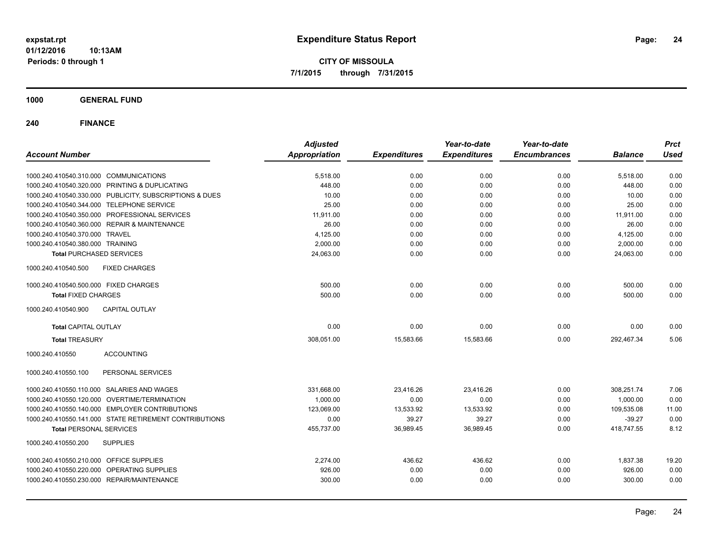**CITY OF MISSOULA 7/1/2015 through 7/31/2015**

**1000 GENERAL FUND**

| <b>Account Number</b>                                   | <b>Adjusted</b><br><b>Appropriation</b> | <b>Expenditures</b> | Year-to-date<br><b>Expenditures</b> | Year-to-date<br><b>Encumbrances</b> | <b>Balance</b> | <b>Prct</b><br><b>Used</b> |
|---------------------------------------------------------|-----------------------------------------|---------------------|-------------------------------------|-------------------------------------|----------------|----------------------------|
|                                                         |                                         |                     |                                     |                                     |                |                            |
| 1000.240.410540.310.000 COMMUNICATIONS                  | 5,518.00                                | 0.00                | 0.00                                | 0.00                                | 5,518.00       | 0.00                       |
| 1000.240.410540.320.000 PRINTING & DUPLICATING          | 448.00                                  | 0.00                | 0.00                                | 0.00                                | 448.00         | 0.00                       |
| 1000.240.410540.330.000 PUBLICITY, SUBSCRIPTIONS & DUES | 10.00                                   | 0.00                | 0.00                                | 0.00                                | 10.00          | 0.00                       |
| 1000.240.410540.344.000 TELEPHONE SERVICE               | 25.00                                   | 0.00                | 0.00                                | 0.00                                | 25.00          | 0.00                       |
| 1000.240.410540.350.000 PROFESSIONAL SERVICES           | 11,911.00                               | 0.00                | 0.00                                | 0.00                                | 11,911.00      | 0.00                       |
| 1000.240.410540.360.000 REPAIR & MAINTENANCE            | 26.00                                   | 0.00                | 0.00                                | 0.00                                | 26.00          | 0.00                       |
| 1000.240.410540.370.000 TRAVEL                          | 4,125.00                                | 0.00                | 0.00                                | 0.00                                | 4,125.00       | 0.00                       |
| 1000.240.410540.380.000 TRAINING                        | 2,000.00                                | 0.00                | 0.00                                | 0.00                                | 2,000.00       | 0.00                       |
| <b>Total PURCHASED SERVICES</b>                         | 24,063.00                               | 0.00                | 0.00                                | 0.00                                | 24.063.00      | 0.00                       |
| 1000.240.410540.500<br><b>FIXED CHARGES</b>             |                                         |                     |                                     |                                     |                |                            |
| 1000.240.410540.500.000 FIXED CHARGES                   | 500.00                                  | 0.00                | 0.00                                | 0.00                                | 500.00         | 0.00                       |
| <b>Total FIXED CHARGES</b>                              | 500.00                                  | 0.00                | 0.00                                | 0.00                                | 500.00         | 0.00                       |
| <b>CAPITAL OUTLAY</b><br>1000.240.410540.900            |                                         |                     |                                     |                                     |                |                            |
| <b>Total CAPITAL OUTLAY</b>                             | 0.00                                    | 0.00                | 0.00                                | 0.00                                | 0.00           | 0.00                       |
| <b>Total TREASURY</b>                                   | 308,051.00                              | 15,583.66           | 15,583.66                           | 0.00                                | 292.467.34     | 5.06                       |
| <b>ACCOUNTING</b><br>1000.240.410550                    |                                         |                     |                                     |                                     |                |                            |
| PERSONAL SERVICES<br>1000.240.410550.100                |                                         |                     |                                     |                                     |                |                            |
| 1000.240.410550.110.000 SALARIES AND WAGES              | 331,668.00                              | 23,416.26           | 23,416.26                           | 0.00                                | 308,251.74     | 7.06                       |
| 1000.240.410550.120.000 OVERTIME/TERMINATION            | 1,000.00                                | 0.00                | 0.00                                | 0.00                                | 1.000.00       | 0.00                       |
| 1000.240.410550.140.000 EMPLOYER CONTRIBUTIONS          | 123,069.00                              | 13,533.92           | 13,533.92                           | 0.00                                | 109,535.08     | 11.00                      |
| 1000.240.410550.141.000 STATE RETIREMENT CONTRIBUTIONS  | 0.00                                    | 39.27               | 39.27                               | 0.00                                | $-39.27$       | 0.00                       |
| <b>Total PERSONAL SERVICES</b>                          | 455,737.00                              | 36,989.45           | 36,989.45                           | 0.00                                | 418,747.55     | 8.12                       |
| 1000.240.410550.200<br><b>SUPPLIES</b>                  |                                         |                     |                                     |                                     |                |                            |
| 1000.240.410550.210.000 OFFICE SUPPLIES                 | 2,274.00                                | 436.62              | 436.62                              | 0.00                                | 1,837.38       | 19.20                      |
| 1000.240.410550.220.000 OPERATING SUPPLIES              | 926.00                                  | 0.00                | 0.00                                | 0.00                                | 926.00         | 0.00                       |
| 1000.240.410550.230.000 REPAIR/MAINTENANCE              | 300.00                                  | 0.00                | 0.00                                | 0.00                                | 300.00         | 0.00                       |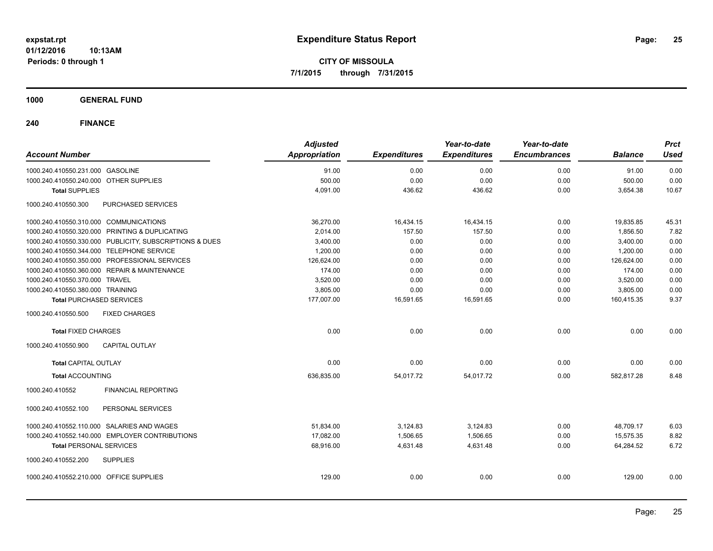**CITY OF MISSOULA 7/1/2015 through 7/31/2015**

**1000 GENERAL FUND**

| <b>Account Number</b>                                   |                            | <b>Adjusted</b><br><b>Appropriation</b> | <b>Expenditures</b> | Year-to-date<br><b>Expenditures</b> | Year-to-date<br><b>Encumbrances</b> | <b>Balance</b> | <b>Prct</b><br><b>Used</b> |
|---------------------------------------------------------|----------------------------|-----------------------------------------|---------------------|-------------------------------------|-------------------------------------|----------------|----------------------------|
| 1000.240.410550.231.000 GASOLINE                        |                            | 91.00                                   | 0.00                | 0.00                                | 0.00                                | 91.00          | 0.00                       |
| 1000.240.410550.240.000 OTHER SUPPLIES                  |                            | 500.00                                  | 0.00                | 0.00                                | 0.00                                | 500.00         | 0.00                       |
| <b>Total SUPPLIES</b>                                   |                            | 4,091.00                                | 436.62              | 436.62                              | 0.00                                | 3,654.38       | 10.67                      |
| 1000.240.410550.300                                     | PURCHASED SERVICES         |                                         |                     |                                     |                                     |                |                            |
| 1000.240.410550.310.000 COMMUNICATIONS                  |                            | 36,270.00                               | 16,434.15           | 16,434.15                           | 0.00                                | 19,835.85      | 45.31                      |
| 1000.240.410550.320.000 PRINTING & DUPLICATING          |                            | 2,014.00                                | 157.50              | 157.50                              | 0.00                                | 1,856.50       | 7.82                       |
| 1000.240.410550.330.000 PUBLICITY, SUBSCRIPTIONS & DUES |                            | 3,400.00                                | 0.00                | 0.00                                | 0.00                                | 3,400.00       | 0.00                       |
| 1000.240.410550.344.000 TELEPHONE SERVICE               |                            | 1,200.00                                | 0.00                | 0.00                                | 0.00                                | 1,200.00       | 0.00                       |
| 1000.240.410550.350.000 PROFESSIONAL SERVICES           |                            | 126,624.00                              | 0.00                | 0.00                                | 0.00                                | 126,624.00     | 0.00                       |
| 1000.240.410550.360.000 REPAIR & MAINTENANCE            |                            | 174.00                                  | 0.00                | 0.00                                | 0.00                                | 174.00         | 0.00                       |
| 1000.240.410550.370.000 TRAVEL                          |                            | 3,520.00                                | 0.00                | 0.00                                | 0.00                                | 3,520.00       | 0.00                       |
| 1000.240.410550.380.000 TRAINING                        |                            | 3,805.00                                | 0.00                | 0.00                                | 0.00                                | 3,805.00       | 0.00                       |
| <b>Total PURCHASED SERVICES</b>                         |                            | 177,007.00                              | 16,591.65           | 16,591.65                           | 0.00                                | 160,415.35     | 9.37                       |
| <b>FIXED CHARGES</b><br>1000.240.410550.500             |                            |                                         |                     |                                     |                                     |                |                            |
| <b>Total FIXED CHARGES</b>                              |                            | 0.00                                    | 0.00                | 0.00                                | 0.00                                | 0.00           | 0.00                       |
| 1000.240.410550.900<br><b>CAPITAL OUTLAY</b>            |                            |                                         |                     |                                     |                                     |                |                            |
| <b>Total CAPITAL OUTLAY</b>                             |                            | 0.00                                    | 0.00                | 0.00                                | 0.00                                | 0.00           | 0.00                       |
| <b>Total ACCOUNTING</b>                                 |                            | 636,835.00                              | 54,017.72           | 54,017.72                           | 0.00                                | 582,817.28     | 8.48                       |
| 1000.240.410552                                         | <b>FINANCIAL REPORTING</b> |                                         |                     |                                     |                                     |                |                            |
| 1000.240.410552.100                                     | PERSONAL SERVICES          |                                         |                     |                                     |                                     |                |                            |
| 1000.240.410552.110.000 SALARIES AND WAGES              |                            | 51,834.00                               | 3,124.83            | 3,124.83                            | 0.00                                | 48,709.17      | 6.03                       |
| 1000.240.410552.140.000 EMPLOYER CONTRIBUTIONS          |                            | 17,082.00                               | 1,506.65            | 1,506.65                            | 0.00                                | 15,575.35      | 8.82                       |
| <b>Total PERSONAL SERVICES</b>                          |                            | 68,916.00                               | 4,631.48            | 4,631.48                            | 0.00                                | 64,284.52      | 6.72                       |
| 1000.240.410552.200<br><b>SUPPLIES</b>                  |                            |                                         |                     |                                     |                                     |                |                            |
| 1000.240.410552.210.000 OFFICE SUPPLIES                 |                            | 129.00                                  | 0.00                | 0.00                                | 0.00                                | 129.00         | 0.00                       |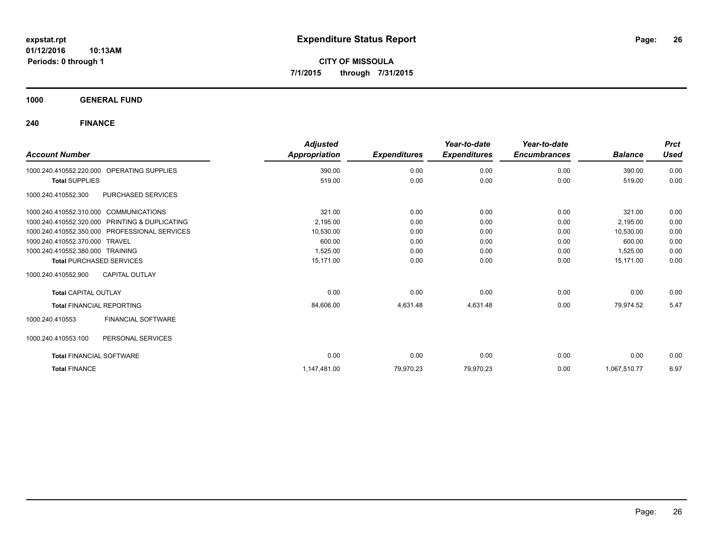**CITY OF MISSOULA 7/1/2015 through 7/31/2015**

**1000 GENERAL FUND**

|                                                |                           | <b>Adjusted</b> |                     | Year-to-date        | Year-to-date        |                | <b>Prct</b> |
|------------------------------------------------|---------------------------|-----------------|---------------------|---------------------|---------------------|----------------|-------------|
| <b>Account Number</b>                          |                           | Appropriation   | <b>Expenditures</b> | <b>Expenditures</b> | <b>Encumbrances</b> | <b>Balance</b> | <b>Used</b> |
| 1000.240.410552.220.000                        | <b>OPERATING SUPPLIES</b> | 390.00          | 0.00                | 0.00                | 0.00                | 390.00         | 0.00        |
| <b>Total SUPPLIES</b>                          |                           | 519.00          | 0.00                | 0.00                | 0.00                | 519.00         | 0.00        |
| 1000.240.410552.300                            | PURCHASED SERVICES        |                 |                     |                     |                     |                |             |
| 1000.240.410552.310.000 COMMUNICATIONS         |                           | 321.00          | 0.00                | 0.00                | 0.00                | 321.00         | 0.00        |
| 1000.240.410552.320.000 PRINTING & DUPLICATING |                           | 2,195.00        | 0.00                | 0.00                | 0.00                | 2,195.00       | 0.00        |
| 1000.240.410552.350.000 PROFESSIONAL SERVICES  |                           | 10,530.00       | 0.00                | 0.00                | 0.00                | 10,530.00      | 0.00        |
| 1000.240.410552.370.000 TRAVEL                 |                           | 600.00          | 0.00                | 0.00                | 0.00                | 600.00         | 0.00        |
| 1000.240.410552.380.000 TRAINING               |                           | 1,525.00        | 0.00                | 0.00                | 0.00                | 1,525.00       | 0.00        |
| <b>Total PURCHASED SERVICES</b>                |                           | 15.171.00       | 0.00                | 0.00                | 0.00                | 15.171.00      | 0.00        |
| 1000.240.410552.900                            | <b>CAPITAL OUTLAY</b>     |                 |                     |                     |                     |                |             |
| <b>Total CAPITAL OUTLAY</b>                    |                           | 0.00            | 0.00                | 0.00                | 0.00                | 0.00           | 0.00        |
| <b>Total FINANCIAL REPORTING</b>               |                           | 84,606.00       | 4,631.48            | 4,631.48            | 0.00                | 79,974.52      | 5.47        |
| 1000.240.410553                                | <b>FINANCIAL SOFTWARE</b> |                 |                     |                     |                     |                |             |
| 1000.240.410553.100                            | PERSONAL SERVICES         |                 |                     |                     |                     |                |             |
| <b>Total FINANCIAL SOFTWARE</b>                |                           | 0.00            | 0.00                | 0.00                | 0.00                | 0.00           | 0.00        |
| <b>Total FINANCE</b>                           |                           | 1,147,481.00    | 79,970.23           | 79,970.23           | 0.00                | 1,067,510.77   | 6.97        |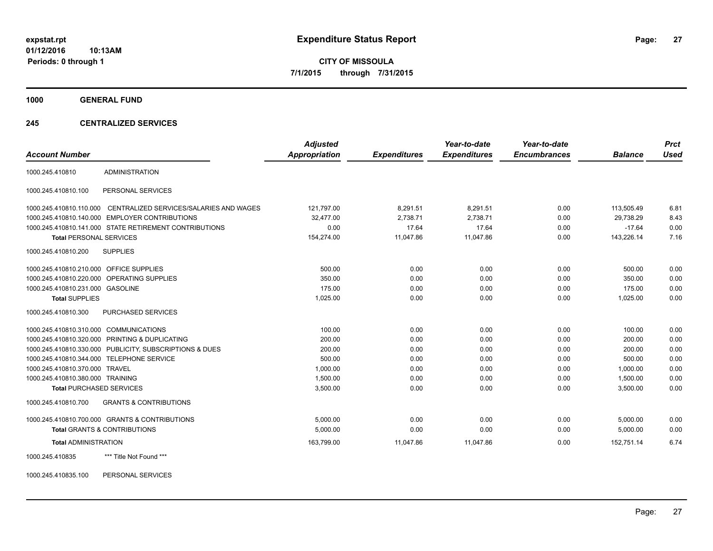**CITY OF MISSOULA 7/1/2015 through 7/31/2015**

**1000 GENERAL FUND**

#### **245 CENTRALIZED SERVICES**

| <b>Account Number</b>                   |                                                         | <b>Adjusted</b><br><b>Appropriation</b> | <b>Expenditures</b> | Year-to-date<br><b>Expenditures</b> | Year-to-date<br><b>Encumbrances</b> | <b>Balance</b> | <b>Prct</b><br><b>Used</b> |
|-----------------------------------------|---------------------------------------------------------|-----------------------------------------|---------------------|-------------------------------------|-------------------------------------|----------------|----------------------------|
| 1000.245.410810                         | <b>ADMINISTRATION</b>                                   |                                         |                     |                                     |                                     |                |                            |
| 1000.245.410810.100                     | PERSONAL SERVICES                                       |                                         |                     |                                     |                                     |                |                            |
| 1000.245.410810.110.000                 | CENTRALIZED SERVICES/SALARIES AND WAGES                 | 121,797.00                              | 8,291.51            | 8,291.51                            | 0.00                                | 113,505.49     | 6.81                       |
|                                         | 1000.245.410810.140.000 EMPLOYER CONTRIBUTIONS          | 32,477.00                               | 2,738.71            | 2,738.71                            | 0.00                                | 29,738.29      | 8.43                       |
|                                         | 1000.245.410810.141.000 STATE RETIREMENT CONTRIBUTIONS  | 0.00                                    | 17.64               | 17.64                               | 0.00                                | $-17.64$       | 0.00                       |
| <b>Total PERSONAL SERVICES</b>          |                                                         | 154,274.00                              | 11,047.86           | 11,047.86                           | 0.00                                | 143,226.14     | 7.16                       |
| 1000.245.410810.200                     | <b>SUPPLIES</b>                                         |                                         |                     |                                     |                                     |                |                            |
| 1000.245.410810.210.000 OFFICE SUPPLIES |                                                         | 500.00                                  | 0.00                | 0.00                                | 0.00                                | 500.00         | 0.00                       |
|                                         | 1000.245.410810.220.000 OPERATING SUPPLIES              | 350.00                                  | 0.00                | 0.00                                | 0.00                                | 350.00         | 0.00                       |
| 1000.245.410810.231.000 GASOLINE        |                                                         | 175.00                                  | 0.00                | 0.00                                | 0.00                                | 175.00         | 0.00                       |
| <b>Total SUPPLIES</b>                   |                                                         | 1,025.00                                | 0.00                | 0.00                                | 0.00                                | 1,025.00       | 0.00                       |
| 1000.245.410810.300                     | <b>PURCHASED SERVICES</b>                               |                                         |                     |                                     |                                     |                |                            |
| 1000.245.410810.310.000 COMMUNICATIONS  |                                                         | 100.00                                  | 0.00                | 0.00                                | 0.00                                | 100.00         | 0.00                       |
|                                         | 1000.245.410810.320.000 PRINTING & DUPLICATING          | 200.00                                  | 0.00                | 0.00                                | 0.00                                | 200.00         | 0.00                       |
|                                         | 1000.245.410810.330.000 PUBLICITY, SUBSCRIPTIONS & DUES | 200.00                                  | 0.00                | 0.00                                | 0.00                                | 200.00         | 0.00                       |
|                                         | 1000.245.410810.344.000 TELEPHONE SERVICE               | 500.00                                  | 0.00                | 0.00                                | 0.00                                | 500.00         | 0.00                       |
| 1000.245.410810.370.000 TRAVEL          |                                                         | 1,000.00                                | 0.00                | 0.00                                | 0.00                                | 1.000.00       | 0.00                       |
| 1000.245.410810.380.000 TRAINING        |                                                         | 1,500.00                                | 0.00                | 0.00                                | 0.00                                | 1,500.00       | 0.00                       |
| <b>Total PURCHASED SERVICES</b>         |                                                         | 3,500.00                                | 0.00                | 0.00                                | 0.00                                | 3,500.00       | 0.00                       |
| 1000.245.410810.700                     | <b>GRANTS &amp; CONTRIBUTIONS</b>                       |                                         |                     |                                     |                                     |                |                            |
|                                         | 1000.245.410810.700.000 GRANTS & CONTRIBUTIONS          | 5.000.00                                | 0.00                | 0.00                                | 0.00                                | 5.000.00       | 0.00                       |
|                                         | <b>Total GRANTS &amp; CONTRIBUTIONS</b>                 | 5,000.00                                | 0.00                | 0.00                                | 0.00                                | 5,000.00       | 0.00                       |
| <b>Total ADMINISTRATION</b>             |                                                         | 163,799.00                              | 11,047.86           | 11,047.86                           | 0.00                                | 152.751.14     | 6.74                       |
| 1000.245.410835                         | *** Title Not Found ***                                 |                                         |                     |                                     |                                     |                |                            |

1000.245.410835.100 PERSONAL SERVICES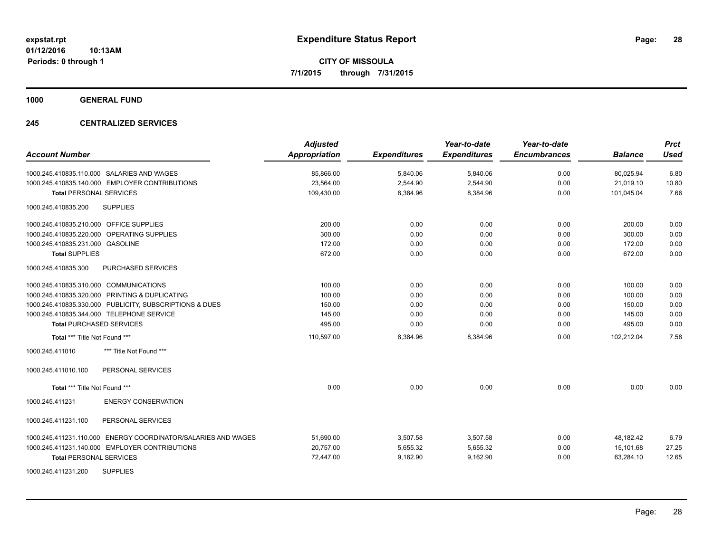**1000 GENERAL FUND**

## **245 CENTRALIZED SERVICES**

| <b>Account Number</b>                                            | <b>Adjusted</b><br><b>Appropriation</b> | <b>Expenditures</b> | Year-to-date<br><b>Expenditures</b> | Year-to-date<br><b>Encumbrances</b> | <b>Balance</b> | <b>Prct</b><br><b>Used</b> |
|------------------------------------------------------------------|-----------------------------------------|---------------------|-------------------------------------|-------------------------------------|----------------|----------------------------|
| 1000.245.410835.110.000 SALARIES AND WAGES                       | 85,866.00                               | 5,840.06            | 5,840.06                            | 0.00                                | 80,025.94      | 6.80                       |
| 1000.245.410835.140.000 EMPLOYER CONTRIBUTIONS                   | 23,564.00                               | 2,544.90            | 2,544.90                            | 0.00                                | 21.019.10      | 10.80                      |
| <b>Total PERSONAL SERVICES</b>                                   | 109,430.00                              | 8,384.96            | 8,384.96                            | 0.00                                | 101,045.04     | 7.66                       |
| <b>SUPPLIES</b><br>1000.245.410835.200                           |                                         |                     |                                     |                                     |                |                            |
| 1000.245.410835.210.000 OFFICE SUPPLIES                          | 200.00                                  | 0.00                | 0.00                                | 0.00                                | 200.00         | 0.00                       |
| 1000.245.410835.220.000 OPERATING SUPPLIES                       | 300.00                                  | 0.00                | 0.00                                | 0.00                                | 300.00         | 0.00                       |
| 1000.245.410835.231.000 GASOLINE                                 | 172.00                                  | 0.00                | 0.00                                | 0.00                                | 172.00         | 0.00                       |
| <b>Total SUPPLIES</b>                                            | 672.00                                  | 0.00                | 0.00                                | 0.00                                | 672.00         | 0.00                       |
| 1000.245.410835.300<br><b>PURCHASED SERVICES</b>                 |                                         |                     |                                     |                                     |                |                            |
| 1000.245.410835.310.000 COMMUNICATIONS                           | 100.00                                  | 0.00                | 0.00                                | 0.00                                | 100.00         | 0.00                       |
| 1000.245.410835.320.000 PRINTING & DUPLICATING                   | 100.00                                  | 0.00                | 0.00                                | 0.00                                | 100.00         | 0.00                       |
| 1000.245.410835.330.000 PUBLICITY, SUBSCRIPTIONS & DUES          | 150.00                                  | 0.00                | 0.00                                | 0.00                                | 150.00         | 0.00                       |
| 1000.245.410835.344.000 TELEPHONE SERVICE                        | 145.00                                  | 0.00                | 0.00                                | 0.00                                | 145.00         | 0.00                       |
| <b>Total PURCHASED SERVICES</b>                                  | 495.00                                  | 0.00                | 0.00                                | 0.00                                | 495.00         | 0.00                       |
| Total *** Title Not Found ***                                    | 110,597.00                              | 8,384.96            | 8,384.96                            | 0.00                                | 102,212.04     | 7.58                       |
| 1000.245.411010<br>*** Title Not Found ***                       |                                         |                     |                                     |                                     |                |                            |
| PERSONAL SERVICES<br>1000.245.411010.100                         |                                         |                     |                                     |                                     |                |                            |
| Total *** Title Not Found ***                                    | 0.00                                    | 0.00                | 0.00                                | 0.00                                | 0.00           | 0.00                       |
| <b>ENERGY CONSERVATION</b><br>1000.245.411231                    |                                         |                     |                                     |                                     |                |                            |
| 1000.245.411231.100<br>PERSONAL SERVICES                         |                                         |                     |                                     |                                     |                |                            |
| ENERGY COORDINATOR/SALARIES AND WAGES<br>1000.245.411231.110.000 | 51,690.00                               | 3,507.58            | 3,507.58                            | 0.00                                | 48,182.42      | 6.79                       |
| 1000.245.411231.140.000 EMPLOYER CONTRIBUTIONS                   | 20,757.00                               | 5,655.32            | 5,655.32                            | 0.00                                | 15.101.68      | 27.25                      |
| <b>Total PERSONAL SERVICES</b>                                   | 72,447.00                               | 9,162.90            | 9,162.90                            | 0.00                                | 63,284.10      | 12.65                      |
| <b>SUPPLIES</b><br>1000.245.411231.200                           |                                         |                     |                                     |                                     |                |                            |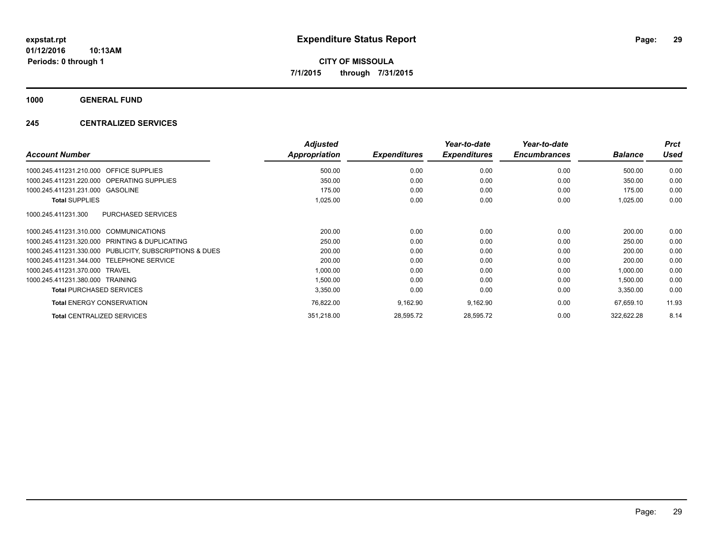**1000 GENERAL FUND**

## **245 CENTRALIZED SERVICES**

|                                                         | <b>Adjusted</b> |                     | Year-to-date        | Year-to-date        |                | <b>Prct</b> |
|---------------------------------------------------------|-----------------|---------------------|---------------------|---------------------|----------------|-------------|
| <b>Account Number</b>                                   | Appropriation   | <b>Expenditures</b> | <b>Expenditures</b> | <b>Encumbrances</b> | <b>Balance</b> | <b>Used</b> |
| 1000.245.411231.210.000<br><b>OFFICE SUPPLIES</b>       | 500.00          | 0.00                | 0.00                | 0.00                | 500.00         | 0.00        |
| 1000.245.411231.220.000 OPERATING SUPPLIES              | 350.00          | 0.00                | 0.00                | 0.00                | 350.00         | 0.00        |
| 1000.245.411231.231.000 GASOLINE                        | 175.00          | 0.00                | 0.00                | 0.00                | 175.00         | 0.00        |
| <b>Total SUPPLIES</b>                                   | 1,025.00        | 0.00                | 0.00                | 0.00                | 1,025.00       | 0.00        |
| <b>PURCHASED SERVICES</b><br>1000.245.411231.300        |                 |                     |                     |                     |                |             |
| 1000.245.411231.310.000 COMMUNICATIONS                  | 200.00          | 0.00                | 0.00                | 0.00                | 200.00         | 0.00        |
| 1000.245.411231.320.000 PRINTING & DUPLICATING          | 250.00          | 0.00                | 0.00                | 0.00                | 250.00         | 0.00        |
| 1000.245.411231.330.000 PUBLICITY, SUBSCRIPTIONS & DUES | 200.00          | 0.00                | 0.00                | 0.00                | 200.00         | 0.00        |
| <b>TELEPHONE SERVICE</b><br>1000.245.411231.344.000     | 200.00          | 0.00                | 0.00                | 0.00                | 200.00         | 0.00        |
| 1000.245.411231.370.000 TRAVEL                          | 1,000.00        | 0.00                | 0.00                | 0.00                | 1,000.00       | 0.00        |
| 1000.245.411231.380.000 TRAINING                        | 1,500.00        | 0.00                | 0.00                | 0.00                | 1,500.00       | 0.00        |
| <b>Total PURCHASED SERVICES</b>                         | 3,350.00        | 0.00                | 0.00                | 0.00                | 3,350.00       | 0.00        |
| <b>Total ENERGY CONSERVATION</b>                        | 76,822.00       | 9,162.90            | 9,162.90            | 0.00                | 67,659.10      | 11.93       |
| <b>Total CENTRALIZED SERVICES</b>                       | 351,218.00      | 28,595.72           | 28,595.72           | 0.00                | 322,622.28     | 8.14        |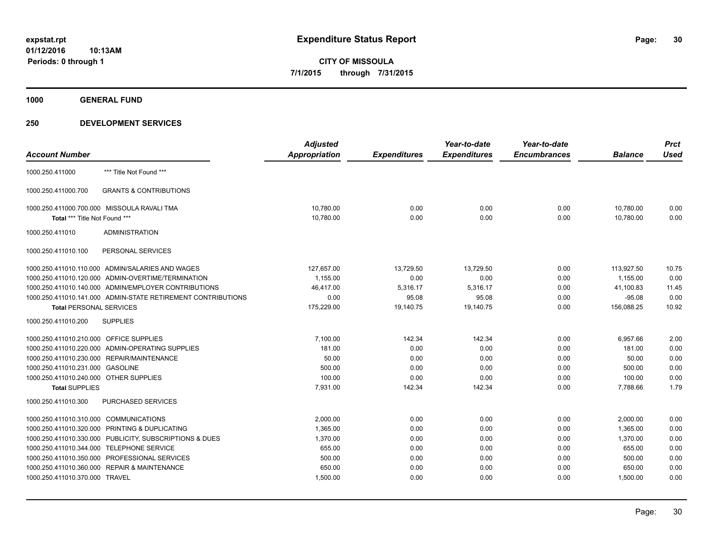**1000 GENERAL FUND**

|                                         |                                                              | <b>Adjusted</b>      |                     | Year-to-date        | Year-to-date        |                | <b>Prct</b> |
|-----------------------------------------|--------------------------------------------------------------|----------------------|---------------------|---------------------|---------------------|----------------|-------------|
| <b>Account Number</b>                   |                                                              | <b>Appropriation</b> | <b>Expenditures</b> | <b>Expenditures</b> | <b>Encumbrances</b> | <b>Balance</b> | <b>Used</b> |
| 1000.250.411000                         | *** Title Not Found ***                                      |                      |                     |                     |                     |                |             |
| 1000.250.411000.700                     | <b>GRANTS &amp; CONTRIBUTIONS</b>                            |                      |                     |                     |                     |                |             |
|                                         | 1000.250.411000.700.000 MISSOULA RAVALI TMA                  | 10,780.00            | 0.00                | 0.00                | 0.00                | 10,780.00      | 0.00        |
| Total *** Title Not Found ***           |                                                              | 10,780.00            | 0.00                | 0.00                | 0.00                | 10,780.00      | 0.00        |
| 1000.250.411010                         | <b>ADMINISTRATION</b>                                        |                      |                     |                     |                     |                |             |
| 1000.250.411010.100                     | PERSONAL SERVICES                                            |                      |                     |                     |                     |                |             |
|                                         | 1000.250.411010.110.000 ADMIN/SALARIES AND WAGES             | 127,657.00           | 13,729.50           | 13,729.50           | 0.00                | 113,927.50     | 10.75       |
|                                         | 1000.250.411010.120.000 ADMIN-OVERTIME/TERMINATION           | 1,155.00             | 0.00                | 0.00                | 0.00                | 1,155.00       | 0.00        |
|                                         | 1000.250.411010.140.000 ADMIN/EMPLOYER CONTRIBUTIONS         | 46,417.00            | 5,316.17            | 5,316.17            | 0.00                | 41,100.83      | 11.45       |
|                                         | 1000.250.411010.141.000 ADMIN-STATE RETIREMENT CONTRIBUTIONS | 0.00                 | 95.08               | 95.08               | 0.00                | $-95.08$       | 0.00        |
| <b>Total PERSONAL SERVICES</b>          |                                                              | 175,229.00           | 19,140.75           | 19,140.75           | 0.00                | 156,088.25     | 10.92       |
| 1000.250.411010.200                     | <b>SUPPLIES</b>                                              |                      |                     |                     |                     |                |             |
| 1000.250.411010.210.000 OFFICE SUPPLIES |                                                              | 7,100.00             | 142.34              | 142.34              | 0.00                | 6,957.66       | 2.00        |
|                                         | 1000.250.411010.220.000 ADMIN-OPERATING SUPPLIES             | 181.00               | 0.00                | 0.00                | 0.00                | 181.00         | 0.00        |
|                                         | 1000.250.411010.230.000 REPAIR/MAINTENANCE                   | 50.00                | 0.00                | 0.00                | 0.00                | 50.00          | 0.00        |
| 1000.250.411010.231.000 GASOLINE        |                                                              | 500.00               | 0.00                | 0.00                | 0.00                | 500.00         | 0.00        |
| 1000.250.411010.240.000 OTHER SUPPLIES  |                                                              | 100.00               | 0.00                | 0.00                | 0.00                | 100.00         | 0.00        |
| <b>Total SUPPLIES</b>                   |                                                              | 7,931.00             | 142.34              | 142.34              | 0.00                | 7,788.66       | 1.79        |
| 1000.250.411010.300                     | <b>PURCHASED SERVICES</b>                                    |                      |                     |                     |                     |                |             |
| 1000.250.411010.310.000 COMMUNICATIONS  |                                                              | 2,000.00             | 0.00                | 0.00                | 0.00                | 2,000.00       | 0.00        |
|                                         | 1000.250.411010.320.000 PRINTING & DUPLICATING               | 1.365.00             | 0.00                | 0.00                | 0.00                | 1.365.00       | 0.00        |
|                                         | 1000.250.411010.330.000 PUBLICITY, SUBSCRIPTIONS & DUES      | 1,370.00             | 0.00                | 0.00                | 0.00                | 1,370.00       | 0.00        |
| 1000.250.411010.344.000                 | TELEPHONE SERVICE                                            | 655.00               | 0.00                | 0.00                | 0.00                | 655.00         | 0.00        |
|                                         | 1000.250.411010.350.000 PROFESSIONAL SERVICES                | 500.00               | 0.00                | 0.00                | 0.00                | 500.00         | 0.00        |
|                                         | 1000.250.411010.360.000 REPAIR & MAINTENANCE                 | 650.00               | 0.00                | 0.00                | 0.00                | 650.00         | 0.00        |
| 1000.250.411010.370.000 TRAVEL          |                                                              | 1,500.00             | 0.00                | 0.00                | 0.00                | 1,500.00       | 0.00        |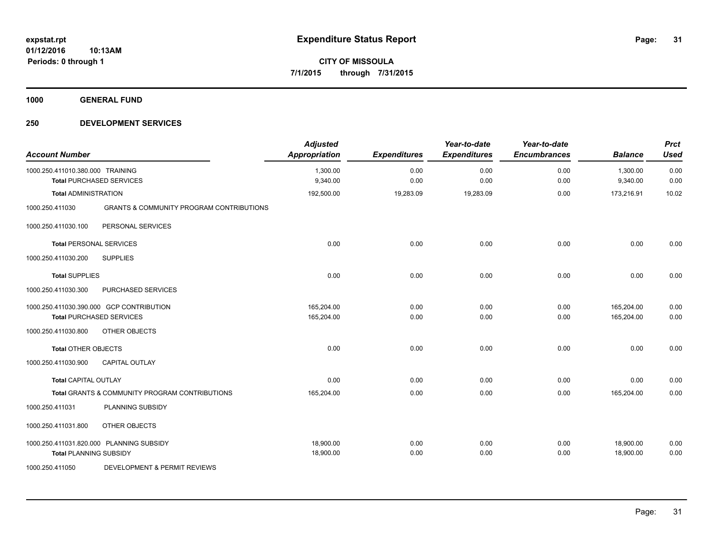**1000 GENERAL FUND**

| <b>Account Number</b>            |                                                                             | <b>Adjusted</b><br><b>Appropriation</b> | <b>Expenditures</b> | Year-to-date<br><b>Expenditures</b> | Year-to-date<br><b>Encumbrances</b> | <b>Balance</b>           | <b>Prct</b><br><b>Used</b> |
|----------------------------------|-----------------------------------------------------------------------------|-----------------------------------------|---------------------|-------------------------------------|-------------------------------------|--------------------------|----------------------------|
| 1000.250.411010.380.000 TRAINING | <b>Total PURCHASED SERVICES</b>                                             | 1,300.00<br>9,340.00                    | 0.00<br>0.00        | 0.00<br>0.00                        | 0.00<br>0.00                        | 1,300.00<br>9,340.00     | 0.00<br>0.00               |
| <b>Total ADMINISTRATION</b>      |                                                                             | 192,500.00                              | 19,283.09           | 19,283.09                           | 0.00                                | 173,216.91               | 10.02                      |
| 1000.250.411030                  | <b>GRANTS &amp; COMMUNITY PROGRAM CONTRIBUTIONS</b>                         |                                         |                     |                                     |                                     |                          |                            |
| 1000.250.411030.100              | PERSONAL SERVICES                                                           |                                         |                     |                                     |                                     |                          |                            |
|                                  | <b>Total PERSONAL SERVICES</b>                                              | 0.00                                    | 0.00                | 0.00                                | 0.00                                | 0.00                     | 0.00                       |
| 1000.250.411030.200              | <b>SUPPLIES</b>                                                             |                                         |                     |                                     |                                     |                          |                            |
| <b>Total SUPPLIES</b>            |                                                                             | 0.00                                    | 0.00                | 0.00                                | 0.00                                | 0.00                     | 0.00                       |
| 1000.250.411030.300              | PURCHASED SERVICES                                                          |                                         |                     |                                     |                                     |                          |                            |
|                                  | 1000.250.411030.390.000 GCP CONTRIBUTION<br><b>Total PURCHASED SERVICES</b> | 165,204.00<br>165,204.00                | 0.00<br>0.00        | 0.00<br>0.00                        | 0.00<br>0.00                        | 165,204.00<br>165,204.00 | 0.00<br>0.00               |
| 1000.250.411030.800              | OTHER OBJECTS                                                               |                                         |                     |                                     |                                     |                          |                            |
| <b>Total OTHER OBJECTS</b>       |                                                                             | 0.00                                    | 0.00                | 0.00                                | 0.00                                | 0.00                     | 0.00                       |
| 1000.250.411030.900              | <b>CAPITAL OUTLAY</b>                                                       |                                         |                     |                                     |                                     |                          |                            |
| <b>Total CAPITAL OUTLAY</b>      |                                                                             | 0.00                                    | 0.00                | 0.00                                | 0.00                                | 0.00                     | 0.00                       |
|                                  | Total GRANTS & COMMUNITY PROGRAM CONTRIBUTIONS                              | 165,204.00                              | 0.00                | 0.00                                | 0.00                                | 165,204.00               | 0.00                       |
| 1000.250.411031                  | PLANNING SUBSIDY                                                            |                                         |                     |                                     |                                     |                          |                            |
| 1000.250.411031.800              | OTHER OBJECTS                                                               |                                         |                     |                                     |                                     |                          |                            |
| <b>Total PLANNING SUBSIDY</b>    | 1000.250.411031.820.000 PLANNING SUBSIDY                                    | 18,900.00<br>18,900.00                  | 0.00<br>0.00        | 0.00<br>0.00                        | 0.00<br>0.00                        | 18,900.00<br>18,900.00   | 0.00<br>0.00               |
| 1000.250.411050                  | DEVELOPMENT & PERMIT REVIEWS                                                |                                         |                     |                                     |                                     |                          |                            |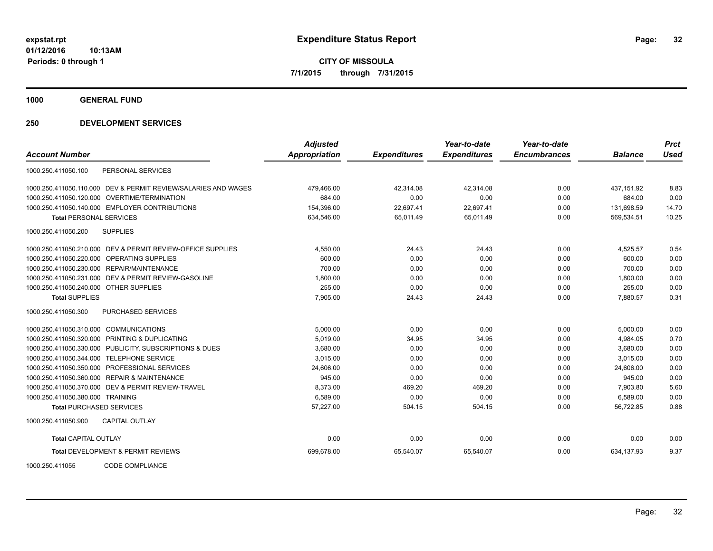**1000 GENERAL FUND**

## **250 DEVELOPMENT SERVICES**

|                                                                | <b>Adjusted</b>      |                     | Year-to-date        | Year-to-date        |                | <b>Prct</b> |
|----------------------------------------------------------------|----------------------|---------------------|---------------------|---------------------|----------------|-------------|
| <b>Account Number</b>                                          | <b>Appropriation</b> | <b>Expenditures</b> | <b>Expenditures</b> | <b>Encumbrances</b> | <b>Balance</b> | <b>Used</b> |
| PERSONAL SERVICES<br>1000.250.411050.100                       |                      |                     |                     |                     |                |             |
| 1000.250.411050.110.000 DEV & PERMIT REVIEW/SALARIES AND WAGES | 479.466.00           | 42.314.08           | 42.314.08           | 0.00                | 437.151.92     | 8.83        |
| 1000.250.411050.120.000 OVERTIME/TERMINATION                   | 684.00               | 0.00                | 0.00                | 0.00                | 684.00         | 0.00        |
| 1000.250.411050.140.000 EMPLOYER CONTRIBUTIONS                 | 154,396.00           | 22,697.41           | 22,697.41           | 0.00                | 131,698.59     | 14.70       |
| <b>Total PERSONAL SERVICES</b>                                 | 634,546.00           | 65,011.49           | 65,011.49           | 0.00                | 569,534.51     | 10.25       |
| 1000.250.411050.200<br><b>SUPPLIES</b>                         |                      |                     |                     |                     |                |             |
| 1000.250.411050.210.000 DEV & PERMIT REVIEW-OFFICE SUPPLIES    | 4,550.00             | 24.43               | 24.43               | 0.00                | 4,525.57       | 0.54        |
| 1000.250.411050.220.000 OPERATING SUPPLIES                     | 600.00               | 0.00                | 0.00                | 0.00                | 600.00         | 0.00        |
| 1000.250.411050.230.000 REPAIR/MAINTENANCE                     | 700.00               | 0.00                | 0.00                | 0.00                | 700.00         | 0.00        |
| 1000.250.411050.231.000 DEV & PERMIT REVIEW-GASOLINE           | 1,800.00             | 0.00                | 0.00                | 0.00                | 1,800.00       | 0.00        |
| 1000.250.411050.240.000 OTHER SUPPLIES                         | 255.00               | 0.00                | 0.00                | 0.00                | 255.00         | 0.00        |
| <b>Total SUPPLIES</b>                                          | 7,905.00             | 24.43               | 24.43               | 0.00                | 7,880.57       | 0.31        |
| <b>PURCHASED SERVICES</b><br>1000.250.411050.300               |                      |                     |                     |                     |                |             |
| 1000.250.411050.310.000 COMMUNICATIONS                         | 5.000.00             | 0.00                | 0.00                | 0.00                | 5.000.00       | 0.00        |
| 1000.250.411050.320.000 PRINTING & DUPLICATING                 | 5,019.00             | 34.95               | 34.95               | 0.00                | 4,984.05       | 0.70        |
| 1000.250.411050.330.000 PUBLICITY, SUBSCRIPTIONS & DUES        | 3,680.00             | 0.00                | 0.00                | 0.00                | 3,680.00       | 0.00        |
| 1000.250.411050.344.000 TELEPHONE SERVICE                      | 3.015.00             | 0.00                | 0.00                | 0.00                | 3.015.00       | 0.00        |
| PROFESSIONAL SERVICES<br>1000.250.411050.350.000               | 24,606.00            | 0.00                | 0.00                | 0.00                | 24,606.00      | 0.00        |
| <b>REPAIR &amp; MAINTENANCE</b><br>1000.250.411050.360.000     | 945.00               | 0.00                | 0.00                | 0.00                | 945.00         | 0.00        |
| 1000.250.411050.370.000 DEV & PERMIT REVIEW-TRAVEL             | 8.373.00             | 469.20              | 469.20              | 0.00                | 7.903.80       | 5.60        |
| 1000.250.411050.380.000 TRAINING                               | 6,589.00             | 0.00                | 0.00                | 0.00                | 6,589.00       | 0.00        |
| <b>Total PURCHASED SERVICES</b>                                | 57,227.00            | 504.15              | 504.15              | 0.00                | 56,722.85      | 0.88        |
| CAPITAL OUTLAY<br>1000.250.411050.900                          |                      |                     |                     |                     |                |             |
| <b>Total CAPITAL OUTLAY</b>                                    | 0.00                 | 0.00                | 0.00                | 0.00                | 0.00           | 0.00        |
| <b>Total DEVELOPMENT &amp; PERMIT REVIEWS</b>                  | 699.678.00           | 65,540.07           | 65,540.07           | 0.00                | 634.137.93     | 9.37        |

1000.250.411055 CODE COMPLIANCE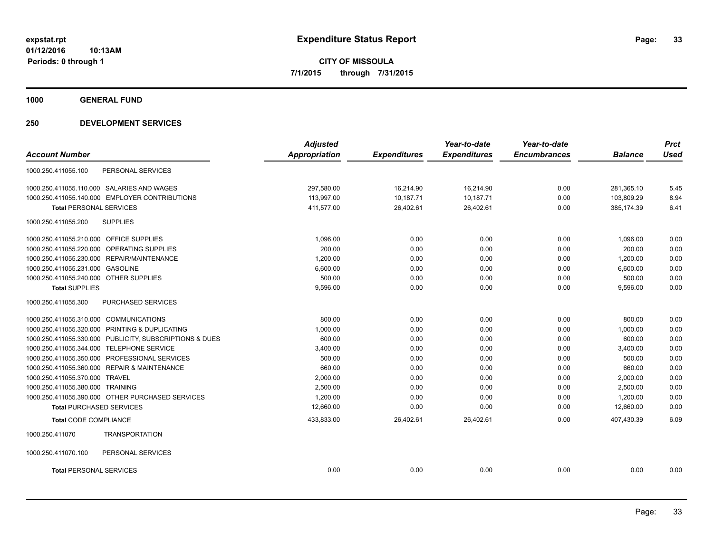**1000 GENERAL FUND**

| <b>Account Number</b>                        |                                                         | <b>Adjusted</b><br><b>Appropriation</b> | <b>Expenditures</b> | Year-to-date<br><b>Expenditures</b> | Year-to-date<br><b>Encumbrances</b> | <b>Balance</b> | <b>Prct</b><br><b>Used</b> |
|----------------------------------------------|---------------------------------------------------------|-----------------------------------------|---------------------|-------------------------------------|-------------------------------------|----------------|----------------------------|
|                                              |                                                         |                                         |                     |                                     |                                     |                |                            |
| 1000.250.411055.100                          | PERSONAL SERVICES                                       |                                         |                     |                                     |                                     |                |                            |
| 1000.250.411055.110.000 SALARIES AND WAGES   |                                                         | 297,580.00                              | 16,214.90           | 16,214.90                           | 0.00                                | 281,365.10     | 5.45                       |
|                                              | 1000.250.411055.140.000 EMPLOYER CONTRIBUTIONS          | 113,997.00                              | 10,187.71           | 10,187.71                           | 0.00                                | 103,809.29     | 8.94                       |
| <b>Total PERSONAL SERVICES</b>               |                                                         | 411,577.00                              | 26,402.61           | 26,402.61                           | 0.00                                | 385,174.39     | 6.41                       |
| 1000.250.411055.200                          | <b>SUPPLIES</b>                                         |                                         |                     |                                     |                                     |                |                            |
| 1000.250.411055.210.000 OFFICE SUPPLIES      |                                                         | 1,096.00                                | 0.00                | 0.00                                | 0.00                                | 1,096.00       | 0.00                       |
| 1000.250.411055.220.000 OPERATING SUPPLIES   |                                                         | 200.00                                  | 0.00                | 0.00                                | 0.00                                | 200.00         | 0.00                       |
| 1000.250.411055.230.000 REPAIR/MAINTENANCE   |                                                         | 1.200.00                                | 0.00                | 0.00                                | 0.00                                | 1.200.00       | 0.00                       |
| 1000.250.411055.231.000 GASOLINE             |                                                         | 6,600.00                                | 0.00                | 0.00                                | 0.00                                | 6,600.00       | 0.00                       |
| 1000.250.411055.240.000 OTHER SUPPLIES       |                                                         | 500.00                                  | 0.00                | 0.00                                | 0.00                                | 500.00         | 0.00                       |
| <b>Total SUPPLIES</b>                        |                                                         | 9,596.00                                | 0.00                | 0.00                                | 0.00                                | 9,596.00       | 0.00                       |
| 1000.250.411055.300                          | PURCHASED SERVICES                                      |                                         |                     |                                     |                                     |                |                            |
| 1000.250.411055.310.000 COMMUNICATIONS       |                                                         | 800.00                                  | 0.00                | 0.00                                | 0.00                                | 800.00         | 0.00                       |
|                                              | 1000.250.411055.320.000 PRINTING & DUPLICATING          | 1,000.00                                | 0.00                | 0.00                                | 0.00                                | 1,000.00       | 0.00                       |
|                                              | 1000.250.411055.330.000 PUBLICITY, SUBSCRIPTIONS & DUES | 600.00                                  | 0.00                | 0.00                                | 0.00                                | 600.00         | 0.00                       |
| 1000.250.411055.344.000 TELEPHONE SERVICE    |                                                         | 3,400.00                                | 0.00                | 0.00                                | 0.00                                | 3,400.00       | 0.00                       |
|                                              | 1000.250.411055.350.000 PROFESSIONAL SERVICES           | 500.00                                  | 0.00                | 0.00                                | 0.00                                | 500.00         | 0.00                       |
| 1000.250.411055.360.000 REPAIR & MAINTENANCE |                                                         | 660.00                                  | 0.00                | 0.00                                | 0.00                                | 660.00         | 0.00                       |
| 1000.250.411055.370.000                      | <b>TRAVEL</b>                                           | 2,000.00                                | 0.00                | 0.00                                | 0.00                                | 2,000.00       | 0.00                       |
| 1000.250.411055.380.000 TRAINING             |                                                         | 2,500.00                                | 0.00                | 0.00                                | 0.00                                | 2,500.00       | 0.00                       |
|                                              | 1000.250.411055.390.000 OTHER PURCHASED SERVICES        | 1,200.00                                | 0.00                | 0.00                                | 0.00                                | 1,200.00       | 0.00                       |
| <b>Total PURCHASED SERVICES</b>              |                                                         | 12,660.00                               | 0.00                | 0.00                                | 0.00                                | 12,660.00      | 0.00                       |
| Total CODE COMPLIANCE                        |                                                         | 433,833.00                              | 26,402.61           | 26,402.61                           | 0.00                                | 407,430.39     | 6.09                       |
| 1000.250.411070                              | <b>TRANSPORTATION</b>                                   |                                         |                     |                                     |                                     |                |                            |
| 1000.250.411070.100                          | PERSONAL SERVICES                                       |                                         |                     |                                     |                                     |                |                            |
| <b>Total PERSONAL SERVICES</b>               |                                                         | 0.00                                    | 0.00                | 0.00                                | 0.00                                | 0.00           | 0.00                       |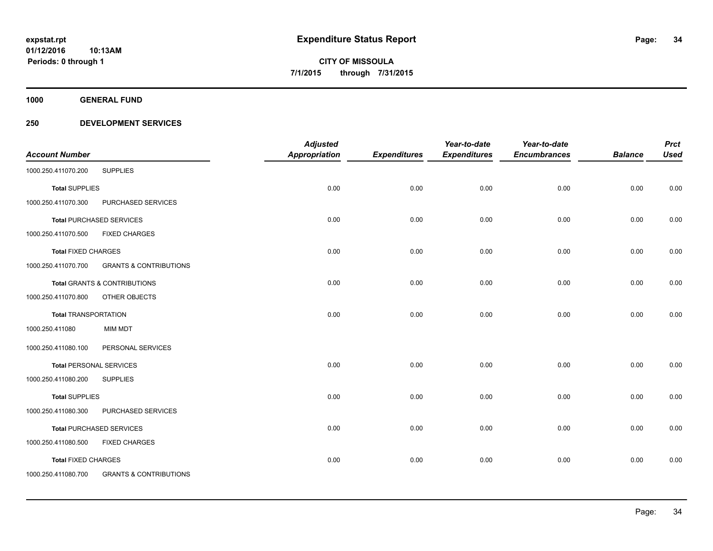**1000 GENERAL FUND**

|                                |                                         | <b>Adjusted</b>      |                     | Year-to-date        | Year-to-date        |                | <b>Prct</b> |
|--------------------------------|-----------------------------------------|----------------------|---------------------|---------------------|---------------------|----------------|-------------|
| <b>Account Number</b>          |                                         | <b>Appropriation</b> | <b>Expenditures</b> | <b>Expenditures</b> | <b>Encumbrances</b> | <b>Balance</b> | <b>Used</b> |
| 1000.250.411070.200            | <b>SUPPLIES</b>                         |                      |                     |                     |                     |                |             |
| <b>Total SUPPLIES</b>          |                                         | 0.00                 | 0.00                | 0.00                | 0.00                | 0.00           | 0.00        |
| 1000.250.411070.300            | PURCHASED SERVICES                      |                      |                     |                     |                     |                |             |
|                                | <b>Total PURCHASED SERVICES</b>         | 0.00                 | 0.00                | 0.00                | 0.00                | 0.00           | 0.00        |
| 1000.250.411070.500            | <b>FIXED CHARGES</b>                    |                      |                     |                     |                     |                |             |
| <b>Total FIXED CHARGES</b>     |                                         | 0.00                 | 0.00                | 0.00                | 0.00                | 0.00           | 0.00        |
| 1000.250.411070.700            | <b>GRANTS &amp; CONTRIBUTIONS</b>       |                      |                     |                     |                     |                |             |
|                                | <b>Total GRANTS &amp; CONTRIBUTIONS</b> | 0.00                 | 0.00                | 0.00                | 0.00                | 0.00           | 0.00        |
| 1000.250.411070.800            | OTHER OBJECTS                           |                      |                     |                     |                     |                |             |
| <b>Total TRANSPORTATION</b>    |                                         | 0.00                 | 0.00                | 0.00                | 0.00                | 0.00           | 0.00        |
| 1000.250.411080                | <b>MIM MDT</b>                          |                      |                     |                     |                     |                |             |
| 1000.250.411080.100            | PERSONAL SERVICES                       |                      |                     |                     |                     |                |             |
| <b>Total PERSONAL SERVICES</b> |                                         | 0.00                 | 0.00                | 0.00                | 0.00                | 0.00           | 0.00        |
| 1000.250.411080.200            | <b>SUPPLIES</b>                         |                      |                     |                     |                     |                |             |
| <b>Total SUPPLIES</b>          |                                         | 0.00                 | 0.00                | 0.00                | 0.00                | 0.00           | 0.00        |
| 1000.250.411080.300            | PURCHASED SERVICES                      |                      |                     |                     |                     |                |             |
|                                | <b>Total PURCHASED SERVICES</b>         | 0.00                 | 0.00                | 0.00                | 0.00                | 0.00           | 0.00        |
| 1000.250.411080.500            | <b>FIXED CHARGES</b>                    |                      |                     |                     |                     |                |             |
| <b>Total FIXED CHARGES</b>     |                                         | 0.00                 | 0.00                | 0.00                | 0.00                | 0.00           | 0.00        |
| 1000.250.411080.700            | <b>GRANTS &amp; CONTRIBUTIONS</b>       |                      |                     |                     |                     |                |             |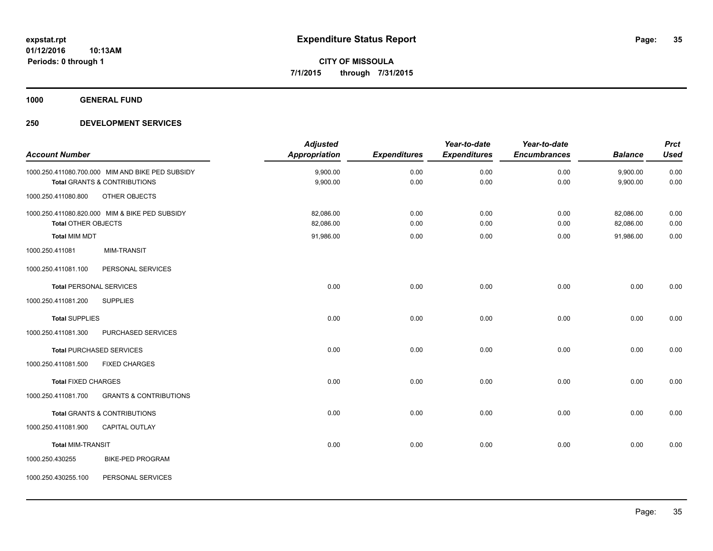**1000 GENERAL FUND**

|                                |                                                  | <b>Adjusted</b>      |                     | Year-to-date        | Year-to-date        |                | <b>Prct</b> |
|--------------------------------|--------------------------------------------------|----------------------|---------------------|---------------------|---------------------|----------------|-------------|
| <b>Account Number</b>          |                                                  | <b>Appropriation</b> | <b>Expenditures</b> | <b>Expenditures</b> | <b>Encumbrances</b> | <b>Balance</b> | <b>Used</b> |
|                                | 1000.250.411080.700.000 MIM AND BIKE PED SUBSIDY | 9,900.00             | 0.00                | 0.00                | 0.00                | 9,900.00       | 0.00        |
|                                | <b>Total GRANTS &amp; CONTRIBUTIONS</b>          | 9,900.00             | 0.00                | 0.00                | 0.00                | 9,900.00       | 0.00        |
| 1000.250.411080.800            | OTHER OBJECTS                                    |                      |                     |                     |                     |                |             |
|                                | 1000.250.411080.820.000 MIM & BIKE PED SUBSIDY   | 82,086.00            | 0.00                | 0.00                | 0.00                | 82,086.00      | 0.00        |
| <b>Total OTHER OBJECTS</b>     |                                                  | 82,086.00            | 0.00                | 0.00                | 0.00                | 82,086.00      | 0.00        |
| <b>Total MIM MDT</b>           |                                                  | 91,986.00            | 0.00                | 0.00                | 0.00                | 91,986.00      | 0.00        |
| 1000.250.411081                | MIM-TRANSIT                                      |                      |                     |                     |                     |                |             |
| 1000.250.411081.100            | PERSONAL SERVICES                                |                      |                     |                     |                     |                |             |
| <b>Total PERSONAL SERVICES</b> |                                                  | 0.00                 | 0.00                | 0.00                | 0.00                | 0.00           | 0.00        |
| 1000.250.411081.200            | <b>SUPPLIES</b>                                  |                      |                     |                     |                     |                |             |
| <b>Total SUPPLIES</b>          |                                                  | 0.00                 | 0.00                | 0.00                | 0.00                | 0.00           | 0.00        |
| 1000.250.411081.300            | PURCHASED SERVICES                               |                      |                     |                     |                     |                |             |
|                                | <b>Total PURCHASED SERVICES</b>                  | 0.00                 | 0.00                | 0.00                | 0.00                | 0.00           | 0.00        |
| 1000.250.411081.500            | <b>FIXED CHARGES</b>                             |                      |                     |                     |                     |                |             |
| <b>Total FIXED CHARGES</b>     |                                                  | 0.00                 | 0.00                | 0.00                | 0.00                | 0.00           | 0.00        |
| 1000.250.411081.700            | <b>GRANTS &amp; CONTRIBUTIONS</b>                |                      |                     |                     |                     |                |             |
|                                | <b>Total GRANTS &amp; CONTRIBUTIONS</b>          | 0.00                 | 0.00                | 0.00                | 0.00                | 0.00           | 0.00        |
| 1000.250.411081.900            | <b>CAPITAL OUTLAY</b>                            |                      |                     |                     |                     |                |             |
| <b>Total MIM-TRANSIT</b>       |                                                  | 0.00                 | 0.00                | 0.00                | 0.00                | 0.00           | 0.00        |
| 1000.250.430255                | <b>BIKE-PED PROGRAM</b>                          |                      |                     |                     |                     |                |             |
| 1000.250.430255.100            | PERSONAL SERVICES                                |                      |                     |                     |                     |                |             |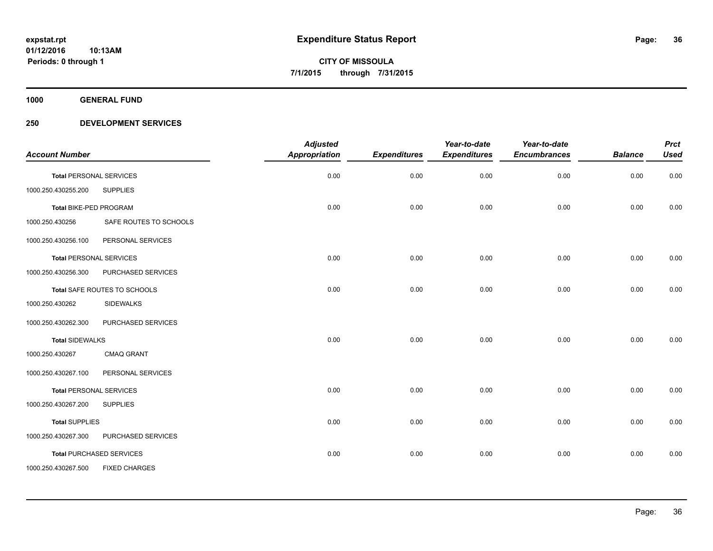**1000 GENERAL FUND**

| <b>Account Number</b>          |                                 | <b>Adjusted</b><br><b>Appropriation</b> | <b>Expenditures</b> | Year-to-date<br><b>Expenditures</b> | Year-to-date<br><b>Encumbrances</b> | <b>Balance</b> | <b>Prct</b><br><b>Used</b> |
|--------------------------------|---------------------------------|-----------------------------------------|---------------------|-------------------------------------|-------------------------------------|----------------|----------------------------|
| <b>Total PERSONAL SERVICES</b> |                                 | 0.00                                    | 0.00                | 0.00                                | 0.00                                | 0.00           | 0.00                       |
| 1000.250.430255.200            | <b>SUPPLIES</b>                 |                                         |                     |                                     |                                     |                |                            |
| Total BIKE-PED PROGRAM         |                                 | 0.00                                    | 0.00                | 0.00                                | 0.00                                | 0.00           | 0.00                       |
| 1000.250.430256                | SAFE ROUTES TO SCHOOLS          |                                         |                     |                                     |                                     |                |                            |
| 1000.250.430256.100            | PERSONAL SERVICES               |                                         |                     |                                     |                                     |                |                            |
|                                | <b>Total PERSONAL SERVICES</b>  | 0.00                                    | 0.00                | 0.00                                | 0.00                                | 0.00           | 0.00                       |
| 1000.250.430256.300            | PURCHASED SERVICES              |                                         |                     |                                     |                                     |                |                            |
|                                | Total SAFE ROUTES TO SCHOOLS    | 0.00                                    | 0.00                | 0.00                                | 0.00                                | 0.00           | 0.00                       |
| 1000.250.430262                | <b>SIDEWALKS</b>                |                                         |                     |                                     |                                     |                |                            |
| 1000.250.430262.300            | PURCHASED SERVICES              |                                         |                     |                                     |                                     |                |                            |
| <b>Total SIDEWALKS</b>         |                                 | 0.00                                    | 0.00                | 0.00                                | 0.00                                | 0.00           | 0.00                       |
| 1000.250.430267                | <b>CMAQ GRANT</b>               |                                         |                     |                                     |                                     |                |                            |
| 1000.250.430267.100            | PERSONAL SERVICES               |                                         |                     |                                     |                                     |                |                            |
|                                | <b>Total PERSONAL SERVICES</b>  | 0.00                                    | 0.00                | 0.00                                | 0.00                                | 0.00           | 0.00                       |
| 1000.250.430267.200            | <b>SUPPLIES</b>                 |                                         |                     |                                     |                                     |                |                            |
| <b>Total SUPPLIES</b>          |                                 | 0.00                                    | 0.00                | 0.00                                | 0.00                                | 0.00           | 0.00                       |
| 1000.250.430267.300            | PURCHASED SERVICES              |                                         |                     |                                     |                                     |                |                            |
|                                | <b>Total PURCHASED SERVICES</b> | 0.00                                    | 0.00                | 0.00                                | 0.00                                | 0.00           | 0.00                       |
| 1000.250.430267.500            | <b>FIXED CHARGES</b>            |                                         |                     |                                     |                                     |                |                            |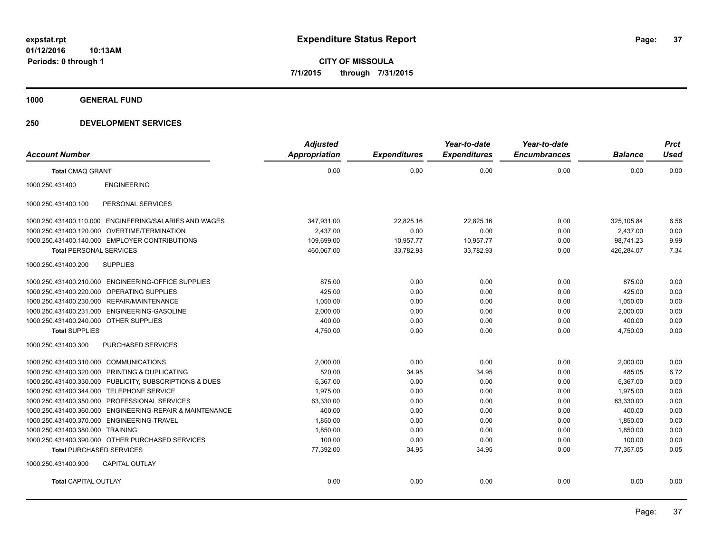**1000 GENERAL FUND**

## **250 DEVELOPMENT SERVICES**

| <b>Account Number</b>                                    | <b>Adjusted</b><br>Appropriation | <b>Expenditures</b> | Year-to-date<br><b>Expenditures</b> | Year-to-date<br><b>Encumbrances</b> | <b>Balance</b> | <b>Prct</b><br><b>Used</b> |
|----------------------------------------------------------|----------------------------------|---------------------|-------------------------------------|-------------------------------------|----------------|----------------------------|
| <b>Total CMAQ GRANT</b>                                  | 0.00                             | 0.00                | 0.00                                | 0.00                                | 0.00           | 0.00                       |
|                                                          |                                  |                     |                                     |                                     |                |                            |
| <b>ENGINEERING</b><br>1000.250.431400                    |                                  |                     |                                     |                                     |                |                            |
| 1000.250.431400.100<br>PERSONAL SERVICES                 |                                  |                     |                                     |                                     |                |                            |
| 1000.250.431400.110.000 ENGINEERING/SALARIES AND WAGES   | 347,931.00                       | 22,825.16           | 22,825.16                           | 0.00                                | 325,105.84     | 6.56                       |
| 1000.250.431400.120.000 OVERTIME/TERMINATION             | 2,437.00                         | 0.00                | 0.00                                | 0.00                                | 2,437.00       | 0.00                       |
| 1000.250.431400.140.000 EMPLOYER CONTRIBUTIONS           | 109,699.00                       | 10,957.77           | 10,957.77                           | 0.00                                | 98.741.23      | 9.99                       |
| <b>Total PERSONAL SERVICES</b>                           | 460,067.00                       | 33,782.93           | 33,782.93                           | 0.00                                | 426,284.07     | 7.34                       |
| 1000.250.431400.200<br><b>SUPPLIES</b>                   |                                  |                     |                                     |                                     |                |                            |
| 1000.250.431400.210.000 ENGINEERING-OFFICE SUPPLIES      | 875.00                           | 0.00                | 0.00                                | 0.00                                | 875.00         | 0.00                       |
| 1000.250.431400.220.000 OPERATING SUPPLIES               | 425.00                           | 0.00                | 0.00                                | 0.00                                | 425.00         | 0.00                       |
| 1000.250.431400.230.000 REPAIR/MAINTENANCE               | 1,050.00                         | 0.00                | 0.00                                | 0.00                                | 1,050.00       | 0.00                       |
| 1000.250.431400.231.000 ENGINEERING-GASOLINE             | 2,000.00                         | 0.00                | 0.00                                | 0.00                                | 2,000.00       | 0.00                       |
| 1000.250.431400.240.000 OTHER SUPPLIES                   | 400.00                           | 0.00                | 0.00                                | 0.00                                | 400.00         | 0.00                       |
| <b>Total SUPPLIES</b>                                    | 4,750.00                         | 0.00                | 0.00                                | 0.00                                | 4,750.00       | 0.00                       |
| 1000.250.431400.300<br>PURCHASED SERVICES                |                                  |                     |                                     |                                     |                |                            |
| 1000.250.431400.310.000 COMMUNICATIONS                   | 2,000.00                         | 0.00                | 0.00                                | 0.00                                | 2,000.00       | 0.00                       |
| 1000.250.431400.320.000 PRINTING & DUPLICATING           | 520.00                           | 34.95               | 34.95                               | 0.00                                | 485.05         | 6.72                       |
| 1000.250.431400.330.000 PUBLICITY, SUBSCRIPTIONS & DUES  | 5,367.00                         | 0.00                | 0.00                                | 0.00                                | 5,367.00       | 0.00                       |
| 1000.250.431400.344.000 TELEPHONE SERVICE                | 1,975.00                         | 0.00                | 0.00                                | 0.00                                | 1,975.00       | 0.00                       |
| 1000.250.431400.350.000 PROFESSIONAL SERVICES            | 63,330.00                        | 0.00                | 0.00                                | 0.00                                | 63,330.00      | 0.00                       |
| 1000.250.431400.360.000 ENGINEERING-REPAIR & MAINTENANCE | 400.00                           | 0.00                | 0.00                                | 0.00                                | 400.00         | 0.00                       |
| 1000.250.431400.370.000 ENGINEERING-TRAVEL               | 1,850.00                         | 0.00                | 0.00                                | 0.00                                | 1,850.00       | 0.00                       |
| 1000.250.431400.380.000 TRAINING                         | 1,850.00                         | 0.00                | 0.00                                | 0.00                                | 1,850.00       | 0.00                       |
| 1000.250.431400.390.000 OTHER PURCHASED SERVICES         | 100.00                           | 0.00                | 0.00                                | 0.00                                | 100.00         | 0.00                       |
| <b>Total PURCHASED SERVICES</b>                          | 77,392.00                        | 34.95               | 34.95                               | 0.00                                | 77,357.05      | 0.05                       |
| 1000.250.431400.900<br><b>CAPITAL OUTLAY</b>             |                                  |                     |                                     |                                     |                |                            |
| <b>Total CAPITAL OUTLAY</b>                              | 0.00                             | 0.00                | 0.00                                | 0.00                                | 0.00           | 0.00                       |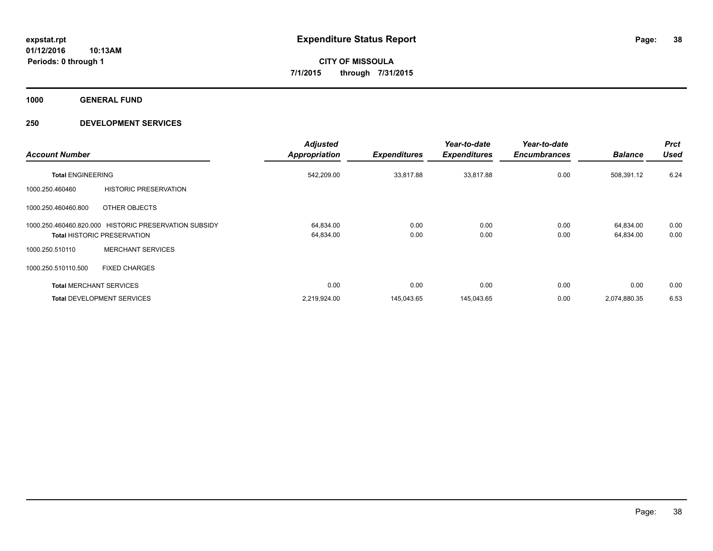**1000 GENERAL FUND**

## **250 DEVELOPMENT SERVICES**

| <b>Account Number</b>          |                                                                                             | <b>Adjusted</b><br>Appropriation | <b>Expenditures</b> | Year-to-date<br><b>Expenditures</b> | Year-to-date<br><b>Encumbrances</b> | <b>Balance</b>         | <b>Prct</b><br><b>Used</b> |
|--------------------------------|---------------------------------------------------------------------------------------------|----------------------------------|---------------------|-------------------------------------|-------------------------------------|------------------------|----------------------------|
| <b>Total ENGINEERING</b>       |                                                                                             | 542,209.00                       | 33,817.88           | 33,817.88                           | 0.00                                | 508,391.12             | 6.24                       |
| 1000.250.460460                | <b>HISTORIC PRESERVATION</b>                                                                |                                  |                     |                                     |                                     |                        |                            |
| 1000.250.460460.800            | OTHER OBJECTS                                                                               |                                  |                     |                                     |                                     |                        |                            |
|                                | 1000.250.460460.820.000 HISTORIC PRESERVATION SUBSIDY<br><b>Total HISTORIC PRESERVATION</b> | 64,834.00<br>64,834.00           | 0.00<br>0.00        | 0.00<br>0.00                        | 0.00<br>0.00                        | 64,834.00<br>64,834.00 | 0.00<br>0.00               |
| 1000.250.510110                | <b>MERCHANT SERVICES</b>                                                                    |                                  |                     |                                     |                                     |                        |                            |
| 1000.250.510110.500            | <b>FIXED CHARGES</b>                                                                        |                                  |                     |                                     |                                     |                        |                            |
| <b>Total MERCHANT SERVICES</b> |                                                                                             | 0.00                             | 0.00                | 0.00                                | 0.00                                | 0.00                   | 0.00                       |
|                                | <b>Total DEVELOPMENT SERVICES</b>                                                           | 2,219,924.00                     | 145.043.65          | 145,043.65                          | 0.00                                | 2,074,880.35           | 6.53                       |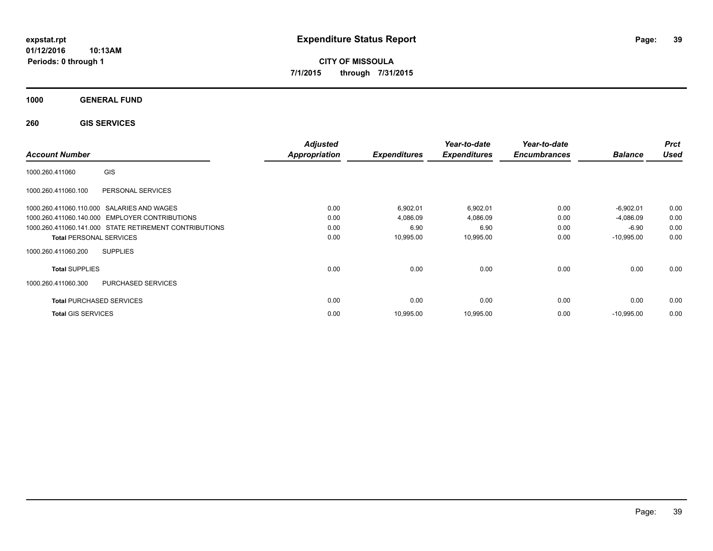**CITY OF MISSOULA 7/1/2015 through 7/31/2015**

**1000 GENERAL FUND**

**260 GIS SERVICES**

| <b>Account Number</b>                                  | <b>Adjusted</b><br><b>Appropriation</b> | <b>Expenditures</b> | Year-to-date<br><b>Expenditures</b> | Year-to-date<br><b>Encumbrances</b> | <b>Balance</b> | <b>Prct</b><br><b>Used</b> |
|--------------------------------------------------------|-----------------------------------------|---------------------|-------------------------------------|-------------------------------------|----------------|----------------------------|
| GIS<br>1000.260.411060                                 |                                         |                     |                                     |                                     |                |                            |
| 1000.260.411060.100<br>PERSONAL SERVICES               |                                         |                     |                                     |                                     |                |                            |
| 1000.260.411060.110.000 SALARIES AND WAGES             | 0.00                                    | 6,902.01            | 6,902.01                            | 0.00                                | $-6,902.01$    | 0.00                       |
| 1000.260.411060.140.000 EMPLOYER CONTRIBUTIONS         | 0.00                                    | 4,086.09            | 4,086.09                            | 0.00                                | $-4,086.09$    | 0.00                       |
| 1000.260.411060.141.000 STATE RETIREMENT CONTRIBUTIONS | 0.00                                    | 6.90                | 6.90                                | 0.00                                | $-6.90$        | 0.00                       |
| <b>Total PERSONAL SERVICES</b>                         | 0.00                                    | 10,995.00           | 10,995.00                           | 0.00                                | $-10,995.00$   | 0.00                       |
| 1000.260.411060.200<br><b>SUPPLIES</b>                 |                                         |                     |                                     |                                     |                |                            |
| <b>Total SUPPLIES</b>                                  | 0.00                                    | 0.00                | 0.00                                | 0.00                                | 0.00           | 0.00                       |
| <b>PURCHASED SERVICES</b><br>1000.260.411060.300       |                                         |                     |                                     |                                     |                |                            |
| <b>Total PURCHASED SERVICES</b>                        | 0.00                                    | 0.00                | 0.00                                | 0.00                                | 0.00           | 0.00                       |
| <b>Total GIS SERVICES</b>                              | 0.00                                    | 10,995.00           | 10,995.00                           | 0.00                                | $-10,995.00$   | 0.00                       |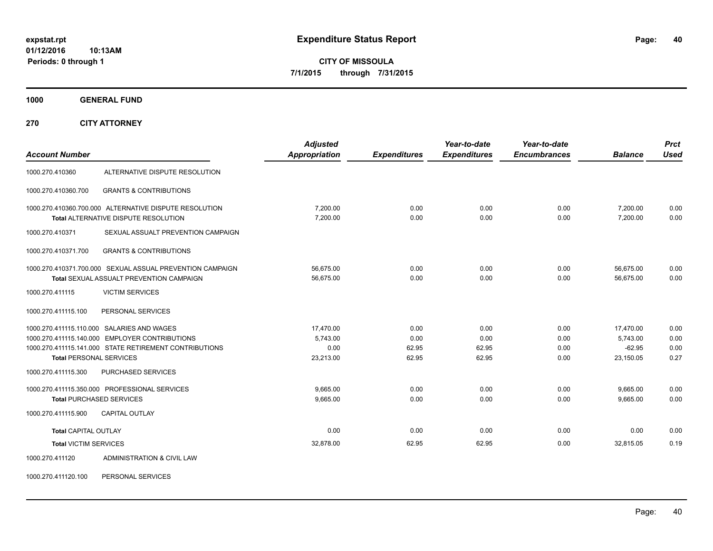**CITY OF MISSOULA 7/1/2015 through 7/31/2015**

**1000 GENERAL FUND**

**270 CITY ATTORNEY**

| <b>Account Number</b>          |                                                                                                                                                        | <b>Adjusted</b><br>Appropriation           | <b>Expenditures</b>            | Year-to-date<br><b>Expenditures</b> | Year-to-date<br><b>Encumbrances</b> | <b>Balance</b>                                 | <b>Prct</b><br><b>Used</b>   |
|--------------------------------|--------------------------------------------------------------------------------------------------------------------------------------------------------|--------------------------------------------|--------------------------------|-------------------------------------|-------------------------------------|------------------------------------------------|------------------------------|
| 1000.270.410360                | ALTERNATIVE DISPUTE RESOLUTION                                                                                                                         |                                            |                                |                                     |                                     |                                                |                              |
| 1000.270.410360.700            | <b>GRANTS &amp; CONTRIBUTIONS</b>                                                                                                                      |                                            |                                |                                     |                                     |                                                |                              |
|                                | 1000.270.410360.700.000 ALTERNATIVE DISPUTE RESOLUTION<br><b>Total ALTERNATIVE DISPUTE RESOLUTION</b>                                                  | 7.200.00<br>7.200.00                       | 0.00<br>0.00                   | 0.00<br>0.00                        | 0.00<br>0.00                        | 7,200.00<br>7.200.00                           | 0.00<br>0.00                 |
| 1000.270.410371                | SEXUAL ASSUALT PREVENTION CAMPAIGN                                                                                                                     |                                            |                                |                                     |                                     |                                                |                              |
| 1000.270.410371.700            | <b>GRANTS &amp; CONTRIBUTIONS</b>                                                                                                                      |                                            |                                |                                     |                                     |                                                |                              |
|                                | 1000.270.410371.700.000 SEXUAL ASSUAL PREVENTION CAMPAIGN<br><b>Total SEXUAL ASSUALT PREVENTION CAMPAIGN</b>                                           | 56,675.00<br>56,675.00                     | 0.00<br>0.00                   | 0.00<br>0.00                        | 0.00<br>0.00                        | 56,675.00<br>56,675.00                         | 0.00<br>0.00                 |
| 1000.270.411115                | <b>VICTIM SERVICES</b>                                                                                                                                 |                                            |                                |                                     |                                     |                                                |                              |
| 1000.270.411115.100            | PERSONAL SERVICES                                                                                                                                      |                                            |                                |                                     |                                     |                                                |                              |
| <b>Total PERSONAL SERVICES</b> | 1000.270.411115.110.000 SALARIES AND WAGES<br>1000.270.411115.140.000 EMPLOYER CONTRIBUTIONS<br>1000.270.411115.141.000 STATE RETIREMENT CONTRIBUTIONS | 17,470.00<br>5.743.00<br>0.00<br>23,213.00 | 0.00<br>0.00<br>62.95<br>62.95 | 0.00<br>0.00<br>62.95<br>62.95      | 0.00<br>0.00<br>0.00<br>0.00        | 17,470.00<br>5.743.00<br>$-62.95$<br>23,150.05 | 0.00<br>0.00<br>0.00<br>0.27 |
| 1000.270.411115.300            | <b>PURCHASED SERVICES</b>                                                                                                                              |                                            |                                |                                     |                                     |                                                |                              |
|                                | 1000.270.411115.350.000 PROFESSIONAL SERVICES<br><b>Total PURCHASED SERVICES</b>                                                                       | 9,665.00<br>9,665.00                       | 0.00<br>0.00                   | 0.00<br>0.00                        | 0.00<br>0.00                        | 9,665.00<br>9,665.00                           | 0.00<br>0.00                 |
| 1000.270.411115.900            | <b>CAPITAL OUTLAY</b>                                                                                                                                  |                                            |                                |                                     |                                     |                                                |                              |
| <b>Total CAPITAL OUTLAY</b>    |                                                                                                                                                        | 0.00                                       | 0.00                           | 0.00                                | 0.00                                | 0.00                                           | 0.00                         |
| <b>Total VICTIM SERVICES</b>   |                                                                                                                                                        | 32,878.00                                  | 62.95                          | 62.95                               | 0.00                                | 32,815.05                                      | 0.19                         |
| 1000.270.411120                | ADMINISTRATION & CIVIL LAW                                                                                                                             |                                            |                                |                                     |                                     |                                                |                              |

1000.270.411120.100 PERSONAL SERVICES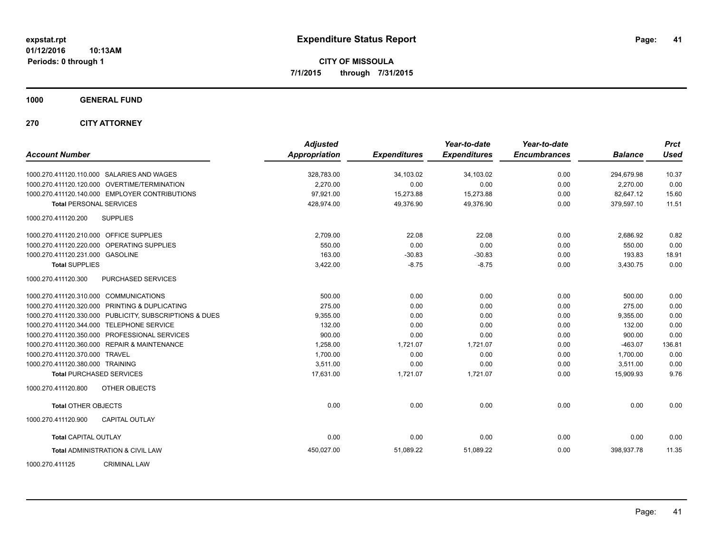**CITY OF MISSOULA 7/1/2015 through 7/31/2015**

**1000 GENERAL FUND**

**270 CITY ATTORNEY**

| <b>Account Number</b>                   |                                                         | <b>Adjusted</b><br>Appropriation | <b>Expenditures</b> | Year-to-date<br><b>Expenditures</b> | Year-to-date<br><b>Encumbrances</b> | <b>Balance</b> | <b>Prct</b><br><b>Used</b> |
|-----------------------------------------|---------------------------------------------------------|----------------------------------|---------------------|-------------------------------------|-------------------------------------|----------------|----------------------------|
|                                         | 1000.270.411120.110.000 SALARIES AND WAGES              | 328,783.00                       | 34,103.02           | 34,103.02                           | 0.00                                | 294,679.98     | 10.37                      |
|                                         | 1000.270.411120.120.000 OVERTIME/TERMINATION            | 2,270.00                         | 0.00                | 0.00                                | 0.00                                | 2,270.00       | 0.00                       |
|                                         | 1000.270.411120.140.000 EMPLOYER CONTRIBUTIONS          | 97,921.00                        | 15,273.88           | 15,273.88                           | 0.00                                | 82,647.12      | 15.60                      |
| <b>Total PERSONAL SERVICES</b>          |                                                         | 428,974.00                       | 49,376.90           | 49,376.90                           | 0.00                                | 379,597.10     | 11.51                      |
| 1000.270.411120.200                     | <b>SUPPLIES</b>                                         |                                  |                     |                                     |                                     |                |                            |
| 1000.270.411120.210.000 OFFICE SUPPLIES |                                                         | 2,709.00                         | 22.08               | 22.08                               | 0.00                                | 2,686.92       | 0.82                       |
|                                         | 1000.270.411120.220.000 OPERATING SUPPLIES              | 550.00                           | 0.00                | 0.00                                | 0.00                                | 550.00         | 0.00                       |
| 1000.270.411120.231.000 GASOLINE        |                                                         | 163.00                           | $-30.83$            | $-30.83$                            | 0.00                                | 193.83         | 18.91                      |
| <b>Total SUPPLIES</b>                   |                                                         | 3,422.00                         | $-8.75$             | $-8.75$                             | 0.00                                | 3,430.75       | 0.00                       |
| 1000.270.411120.300                     | PURCHASED SERVICES                                      |                                  |                     |                                     |                                     |                |                            |
| 1000.270.411120.310.000 COMMUNICATIONS  |                                                         | 500.00                           | 0.00                | 0.00                                | 0.00                                | 500.00         | 0.00                       |
|                                         | 1000.270.411120.320.000 PRINTING & DUPLICATING          | 275.00                           | 0.00                | 0.00                                | 0.00                                | 275.00         | 0.00                       |
|                                         | 1000.270.411120.330.000 PUBLICITY, SUBSCRIPTIONS & DUES | 9,355.00                         | 0.00                | 0.00                                | 0.00                                | 9,355.00       | 0.00                       |
|                                         | 1000.270.411120.344.000 TELEPHONE SERVICE               | 132.00                           | 0.00                | 0.00                                | 0.00                                | 132.00         | 0.00                       |
|                                         | 1000.270.411120.350.000 PROFESSIONAL SERVICES           | 900.00                           | 0.00                | 0.00                                | 0.00                                | 900.00         | 0.00                       |
|                                         | 1000.270.411120.360.000 REPAIR & MAINTENANCE            | 1,258.00                         | 1,721.07            | 1,721.07                            | 0.00                                | $-463.07$      | 136.81                     |
| 1000.270.411120.370.000 TRAVEL          |                                                         | 1,700.00                         | 0.00                | 0.00                                | 0.00                                | 1,700.00       | 0.00                       |
| 1000.270.411120.380.000 TRAINING        |                                                         | 3,511.00                         | 0.00                | 0.00                                | 0.00                                | 3,511.00       | 0.00                       |
|                                         | <b>Total PURCHASED SERVICES</b>                         | 17,631.00                        | 1,721.07            | 1,721.07                            | 0.00                                | 15.909.93      | 9.76                       |
| 1000.270.411120.800                     | <b>OTHER OBJECTS</b>                                    |                                  |                     |                                     |                                     |                |                            |
| <b>Total OTHER OBJECTS</b>              |                                                         | 0.00                             | 0.00                | 0.00                                | 0.00                                | 0.00           | 0.00                       |
| 1000.270.411120.900                     | <b>CAPITAL OUTLAY</b>                                   |                                  |                     |                                     |                                     |                |                            |
| <b>Total CAPITAL OUTLAY</b>             |                                                         | 0.00                             | 0.00                | 0.00                                | 0.00                                | 0.00           | 0.00                       |
|                                         | <b>Total ADMINISTRATION &amp; CIVIL LAW</b>             | 450,027.00                       | 51,089.22           | 51,089.22                           | 0.00                                | 398,937.78     | 11.35                      |
| 1000.270.411125                         | <b>CRIMINAL LAW</b>                                     |                                  |                     |                                     |                                     |                |                            |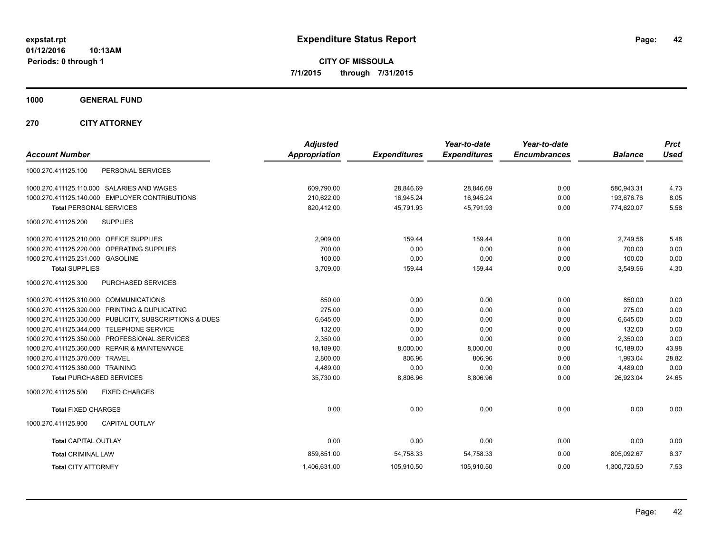**CITY OF MISSOULA 7/1/2015 through 7/31/2015**

**1000 GENERAL FUND**

**270 CITY ATTORNEY**

| <b>Account Number</b>                                   | <b>Adjusted</b><br><b>Appropriation</b> | <b>Expenditures</b> | Year-to-date<br><b>Expenditures</b> | Year-to-date<br><b>Encumbrances</b> | <b>Balance</b> | <b>Prct</b><br><b>Used</b> |
|---------------------------------------------------------|-----------------------------------------|---------------------|-------------------------------------|-------------------------------------|----------------|----------------------------|
| PERSONAL SERVICES<br>1000.270.411125.100                |                                         |                     |                                     |                                     |                |                            |
| 1000.270.411125.110.000 SALARIES AND WAGES              | 609,790.00                              | 28,846.69           | 28,846.69                           | 0.00                                | 580,943.31     | 4.73                       |
| 1000.270.411125.140.000 EMPLOYER CONTRIBUTIONS          | 210,622.00                              | 16,945.24           | 16.945.24                           | 0.00                                | 193.676.76     | 8.05                       |
| <b>Total PERSONAL SERVICES</b>                          | 820,412.00                              | 45,791.93           | 45,791.93                           | 0.00                                | 774,620.07     | 5.58                       |
| <b>SUPPLIES</b><br>1000.270.411125.200                  |                                         |                     |                                     |                                     |                |                            |
| 1000.270.411125.210.000 OFFICE SUPPLIES                 | 2,909.00                                | 159.44              | 159.44                              | 0.00                                | 2,749.56       | 5.48                       |
| 1000.270.411125.220.000 OPERATING SUPPLIES              | 700.00                                  | 0.00                | 0.00                                | 0.00                                | 700.00         | 0.00                       |
| 1000.270.411125.231.000 GASOLINE                        | 100.00                                  | 0.00                | 0.00                                | 0.00                                | 100.00         | 0.00                       |
| <b>Total SUPPLIES</b>                                   | 3,709.00                                | 159.44              | 159.44                              | 0.00                                | 3,549.56       | 4.30                       |
| 1000.270.411125.300<br>PURCHASED SERVICES               |                                         |                     |                                     |                                     |                |                            |
| 1000.270.411125.310.000 COMMUNICATIONS                  | 850.00                                  | 0.00                | 0.00                                | 0.00                                | 850.00         | 0.00                       |
| 1000.270.411125.320.000 PRINTING & DUPLICATING          | 275.00                                  | 0.00                | 0.00                                | 0.00                                | 275.00         | 0.00                       |
| 1000.270.411125.330.000 PUBLICITY, SUBSCRIPTIONS & DUES | 6,645.00                                | 0.00                | 0.00                                | 0.00                                | 6.645.00       | 0.00                       |
| 1000.270.411125.344.000 TELEPHONE SERVICE               | 132.00                                  | 0.00                | 0.00                                | 0.00                                | 132.00         | 0.00                       |
| 1000.270.411125.350.000 PROFESSIONAL SERVICES           | 2,350.00                                | 0.00                | 0.00                                | 0.00                                | 2,350.00       | 0.00                       |
| 1000.270.411125.360.000 REPAIR & MAINTENANCE            | 18,189.00                               | 8,000.00            | 8,000.00                            | 0.00                                | 10,189.00      | 43.98                      |
| 1000.270.411125.370.000 TRAVEL                          | 2,800.00                                | 806.96              | 806.96                              | 0.00                                | 1,993.04       | 28.82                      |
| 1000.270.411125.380.000 TRAINING                        | 4,489.00                                | 0.00                | 0.00                                | 0.00                                | 4,489.00       | 0.00                       |
| <b>Total PURCHASED SERVICES</b>                         | 35,730.00                               | 8,806.96            | 8,806.96                            | 0.00                                | 26,923.04      | 24.65                      |
| <b>FIXED CHARGES</b><br>1000.270.411125.500             |                                         |                     |                                     |                                     |                |                            |
| <b>Total FIXED CHARGES</b>                              | 0.00                                    | 0.00                | 0.00                                | 0.00                                | 0.00           | 0.00                       |
| 1000.270.411125.900<br><b>CAPITAL OUTLAY</b>            |                                         |                     |                                     |                                     |                |                            |
| <b>Total CAPITAL OUTLAY</b>                             | 0.00                                    | 0.00                | 0.00                                | 0.00                                | 0.00           | 0.00                       |
| <b>Total CRIMINAL LAW</b>                               | 859,851.00                              | 54,758.33           | 54,758.33                           | 0.00                                | 805,092.67     | 6.37                       |
| <b>Total CITY ATTORNEY</b>                              | 1,406,631.00                            | 105,910.50          | 105,910.50                          | 0.00                                | 1,300,720.50   | 7.53                       |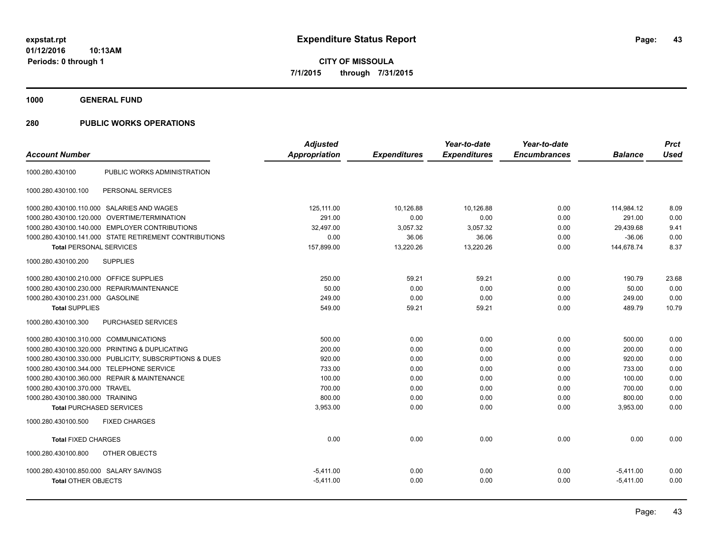**1000 GENERAL FUND**

|                                         |                                                         | <b>Adjusted</b>      |                     | Year-to-date        | Year-to-date        |                | <b>Prct</b> |
|-----------------------------------------|---------------------------------------------------------|----------------------|---------------------|---------------------|---------------------|----------------|-------------|
| <b>Account Number</b>                   |                                                         | <b>Appropriation</b> | <b>Expenditures</b> | <b>Expenditures</b> | <b>Encumbrances</b> | <b>Balance</b> | <b>Used</b> |
| 1000.280.430100                         | PUBLIC WORKS ADMINISTRATION                             |                      |                     |                     |                     |                |             |
| 1000.280.430100.100                     | PERSONAL SERVICES                                       |                      |                     |                     |                     |                |             |
|                                         | 1000.280.430100.110.000 SALARIES AND WAGES              | 125,111.00           | 10,126.88           | 10,126.88           | 0.00                | 114,984.12     | 8.09        |
| 1000.280.430100.120.000                 | OVERTIME/TERMINATION                                    | 291.00               | 0.00                | 0.00                | 0.00                | 291.00         | 0.00        |
|                                         | 1000.280.430100.140.000 EMPLOYER CONTRIBUTIONS          | 32,497.00            | 3,057.32            | 3,057.32            | 0.00                | 29,439.68      | 9.41        |
|                                         | 1000.280.430100.141.000 STATE RETIREMENT CONTRIBUTIONS  | 0.00                 | 36.06               | 36.06               | 0.00                | $-36.06$       | 0.00        |
| <b>Total PERSONAL SERVICES</b>          |                                                         | 157,899.00           | 13,220.26           | 13,220.26           | 0.00                | 144,678.74     | 8.37        |
| 1000.280.430100.200                     | <b>SUPPLIES</b>                                         |                      |                     |                     |                     |                |             |
| 1000.280.430100.210.000 OFFICE SUPPLIES |                                                         | 250.00               | 59.21               | 59.21               | 0.00                | 190.79         | 23.68       |
| 1000.280.430100.230.000                 | REPAIR/MAINTENANCE                                      | 50.00                | 0.00                | 0.00                | 0.00                | 50.00          | 0.00        |
| 1000.280.430100.231.000 GASOLINE        |                                                         | 249.00               | 0.00                | 0.00                | 0.00                | 249.00         | 0.00        |
| <b>Total SUPPLIES</b>                   |                                                         | 549.00               | 59.21               | 59.21               | 0.00                | 489.79         | 10.79       |
| 1000.280.430100.300                     | PURCHASED SERVICES                                      |                      |                     |                     |                     |                |             |
| 1000.280.430100.310.000 COMMUNICATIONS  |                                                         | 500.00               | 0.00                | 0.00                | 0.00                | 500.00         | 0.00        |
|                                         | 1000.280.430100.320.000 PRINTING & DUPLICATING          | 200.00               | 0.00                | 0.00                | 0.00                | 200.00         | 0.00        |
|                                         | 1000.280.430100.330.000 PUBLICITY, SUBSCRIPTIONS & DUES | 920.00               | 0.00                | 0.00                | 0.00                | 920.00         | 0.00        |
|                                         | 1000.280.430100.344.000 TELEPHONE SERVICE               | 733.00               | 0.00                | 0.00                | 0.00                | 733.00         | 0.00        |
|                                         | 1000.280.430100.360.000 REPAIR & MAINTENANCE            | 100.00               | 0.00                | 0.00                | 0.00                | 100.00         | 0.00        |
| 1000.280.430100.370.000 TRAVEL          |                                                         | 700.00               | 0.00                | 0.00                | 0.00                | 700.00         | 0.00        |
| 1000.280.430100.380.000 TRAINING        |                                                         | 800.00               | 0.00                | 0.00                | 0.00                | 800.00         | 0.00        |
| <b>Total PURCHASED SERVICES</b>         |                                                         | 3,953.00             | 0.00                | 0.00                | 0.00                | 3,953.00       | 0.00        |
| 1000.280.430100.500                     | <b>FIXED CHARGES</b>                                    |                      |                     |                     |                     |                |             |
| <b>Total FIXED CHARGES</b>              |                                                         | 0.00                 | 0.00                | 0.00                | 0.00                | 0.00           | 0.00        |
| 1000.280.430100.800                     | OTHER OBJECTS                                           |                      |                     |                     |                     |                |             |
| 1000.280.430100.850.000 SALARY SAVINGS  |                                                         | $-5,411.00$          | 0.00                | 0.00                | 0.00                | $-5,411.00$    | 0.00        |
| <b>Total OTHER OBJECTS</b>              |                                                         | $-5,411.00$          | 0.00                | 0.00                | 0.00                | $-5,411.00$    | 0.00        |
|                                         |                                                         |                      |                     |                     |                     |                |             |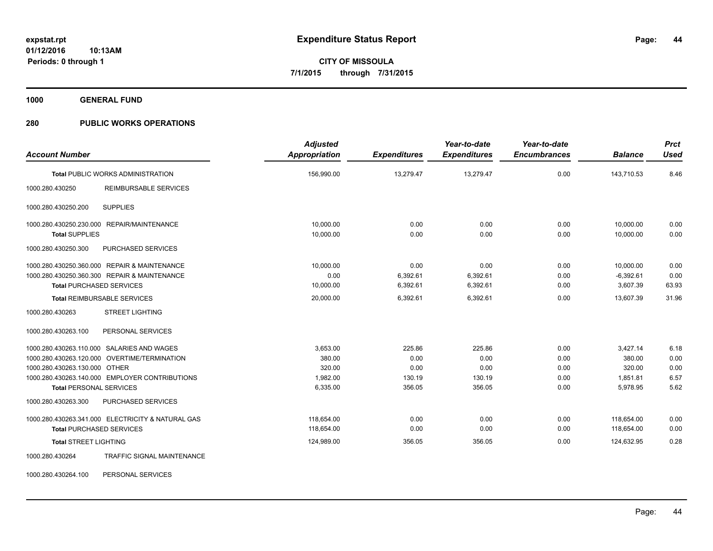**1000 GENERAL FUND**

## **280 PUBLIC WORKS OPERATIONS**

| <b>Account Number</b>                                                                                                                                                                                           | <b>Adjusted</b><br><b>Appropriation</b>              | <b>Expenditures</b>                        | Year-to-date<br><b>Expenditures</b>        | Year-to-date<br><b>Encumbrances</b>  | <b>Balance</b>                                       | <b>Prct</b><br><b>Used</b>           |
|-----------------------------------------------------------------------------------------------------------------------------------------------------------------------------------------------------------------|------------------------------------------------------|--------------------------------------------|--------------------------------------------|--------------------------------------|------------------------------------------------------|--------------------------------------|
| <b>Total PUBLIC WORKS ADMINISTRATION</b>                                                                                                                                                                        | 156,990.00                                           | 13,279.47                                  | 13,279.47                                  | 0.00                                 | 143,710.53                                           | 8.46                                 |
| 1000.280.430250<br><b>REIMBURSABLE SERVICES</b>                                                                                                                                                                 |                                                      |                                            |                                            |                                      |                                                      |                                      |
| <b>SUPPLIES</b><br>1000.280.430250.200                                                                                                                                                                          |                                                      |                                            |                                            |                                      |                                                      |                                      |
| 1000.280.430250.230.000 REPAIR/MAINTENANCE<br><b>Total SUPPLIES</b>                                                                                                                                             | 10,000.00<br>10,000.00                               | 0.00<br>0.00                               | 0.00<br>0.00                               | 0.00<br>0.00                         | 10,000.00<br>10,000.00                               | 0.00<br>0.00                         |
| PURCHASED SERVICES<br>1000.280.430250.300                                                                                                                                                                       |                                                      |                                            |                                            |                                      |                                                      |                                      |
| 1000.280.430250.360.000 REPAIR & MAINTENANCE<br>1000.280.430250.360.300 REPAIR & MAINTENANCE<br><b>Total PURCHASED SERVICES</b>                                                                                 | 10.000.00<br>0.00<br>10,000.00                       | 0.00<br>6,392.61<br>6,392.61               | 0.00<br>6,392.61<br>6,392.61               | 0.00<br>0.00<br>0.00                 | 10,000.00<br>$-6,392.61$<br>3,607.39                 | 0.00<br>0.00<br>63.93                |
| <b>Total REIMBURSABLE SERVICES</b>                                                                                                                                                                              | 20,000.00                                            | 6,392.61                                   | 6,392.61                                   | 0.00                                 | 13.607.39                                            | 31.96                                |
| <b>STREET LIGHTING</b><br>1000.280.430263                                                                                                                                                                       |                                                      |                                            |                                            |                                      |                                                      |                                      |
| 1000.280.430263.100<br>PERSONAL SERVICES                                                                                                                                                                        |                                                      |                                            |                                            |                                      |                                                      |                                      |
| 1000.280.430263.110.000 SALARIES AND WAGES<br>1000.280.430263.120.000 OVERTIME/TERMINATION<br>1000.280.430263.130.000 OTHER<br>1000.280.430263.140.000 EMPLOYER CONTRIBUTIONS<br><b>Total PERSONAL SERVICES</b> | 3.653.00<br>380.00<br>320.00<br>1,982.00<br>6,335.00 | 225.86<br>0.00<br>0.00<br>130.19<br>356.05 | 225.86<br>0.00<br>0.00<br>130.19<br>356.05 | 0.00<br>0.00<br>0.00<br>0.00<br>0.00 | 3,427.14<br>380.00<br>320.00<br>1,851.81<br>5,978.95 | 6.18<br>0.00<br>0.00<br>6.57<br>5.62 |
| 1000.280.430263.300<br>PURCHASED SERVICES                                                                                                                                                                       |                                                      |                                            |                                            |                                      |                                                      |                                      |
| 1000.280.430263.341.000 ELECTRICITY & NATURAL GAS<br><b>Total PURCHASED SERVICES</b><br><b>Total STREET LIGHTING</b>                                                                                            | 118,654.00<br>118,654.00<br>124,989.00               | 0.00<br>0.00<br>356.05                     | 0.00<br>0.00<br>356.05                     | 0.00<br>0.00<br>0.00                 | 118,654.00<br>118,654.00<br>124,632.95               | 0.00<br>0.00<br>0.28                 |
| 1000.280.430264<br><b>TRAFFIC SIGNAL MAINTENANCE</b>                                                                                                                                                            |                                                      |                                            |                                            |                                      |                                                      |                                      |

1000.280.430264.100 PERSONAL SERVICES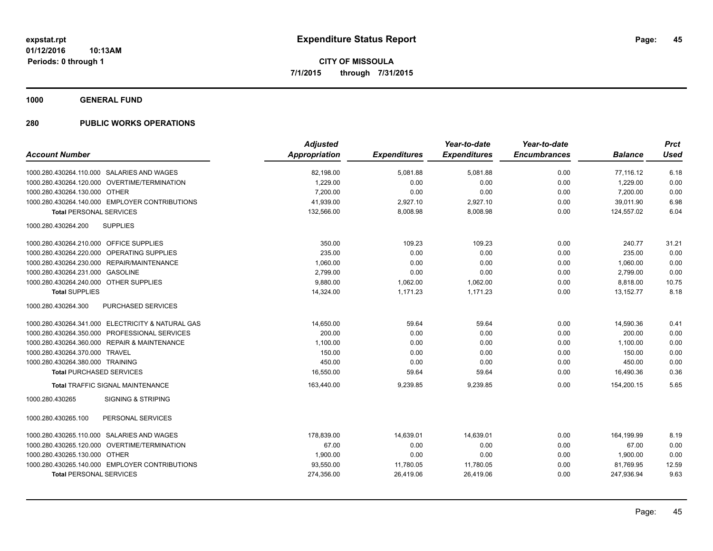**1000 GENERAL FUND**

|                                                   | <b>Adjusted</b>      |                     | Year-to-date        | Year-to-date        |                | <b>Prct</b> |
|---------------------------------------------------|----------------------|---------------------|---------------------|---------------------|----------------|-------------|
| <b>Account Number</b>                             | <b>Appropriation</b> | <b>Expenditures</b> | <b>Expenditures</b> | <b>Encumbrances</b> | <b>Balance</b> | <b>Used</b> |
| 1000.280.430264.110.000 SALARIES AND WAGES        | 82,198.00            | 5,081.88            | 5,081.88            | 0.00                | 77,116.12      | 6.18        |
| 1000.280.430264.120.000 OVERTIME/TERMINATION      | 1,229.00             | 0.00                | 0.00                | 0.00                | 1,229.00       | 0.00        |
| 1000.280.430264.130.000 OTHER                     | 7,200.00             | 0.00                | 0.00                | 0.00                | 7,200.00       | 0.00        |
| 1000.280.430264.140.000 EMPLOYER CONTRIBUTIONS    | 41,939.00            | 2,927.10            | 2,927.10            | 0.00                | 39,011.90      | 6.98        |
| <b>Total PERSONAL SERVICES</b>                    | 132,566.00           | 8,008.98            | 8,008.98            | 0.00                | 124.557.02     | 6.04        |
| <b>SUPPLIES</b><br>1000.280.430264.200            |                      |                     |                     |                     |                |             |
| 1000.280.430264.210.000 OFFICE SUPPLIES           | 350.00               | 109.23              | 109.23              | 0.00                | 240.77         | 31.21       |
| 1000.280.430264.220.000 OPERATING SUPPLIES        | 235.00               | 0.00                | 0.00                | 0.00                | 235.00         | 0.00        |
| 1000.280.430264.230.000 REPAIR/MAINTENANCE        | 1,060.00             | 0.00                | 0.00                | 0.00                | 1,060.00       | 0.00        |
| 1000.280.430264.231.000 GASOLINE                  | 2,799.00             | 0.00                | 0.00                | 0.00                | 2,799.00       | 0.00        |
| 1000.280.430264.240.000 OTHER SUPPLIES            | 9,880.00             | 1,062.00            | 1,062.00            | 0.00                | 8,818.00       | 10.75       |
| <b>Total SUPPLIES</b>                             | 14,324.00            | 1,171.23            | 1,171.23            | 0.00                | 13,152.77      | 8.18        |
| <b>PURCHASED SERVICES</b><br>1000.280.430264.300  |                      |                     |                     |                     |                |             |
| 1000.280.430264.341.000 ELECTRICITY & NATURAL GAS | 14,650.00            | 59.64               | 59.64               | 0.00                | 14,590.36      | 0.41        |
| 1000.280.430264.350.000 PROFESSIONAL SERVICES     | 200.00               | 0.00                | 0.00                | 0.00                | 200.00         | 0.00        |
| 1000.280.430264.360.000 REPAIR & MAINTENANCE      | 1.100.00             | 0.00                | 0.00                | 0.00                | 1,100.00       | 0.00        |
| 1000.280.430264.370.000 TRAVEL                    | 150.00               | 0.00                | 0.00                | 0.00                | 150.00         | 0.00        |
| 1000.280.430264.380.000 TRAINING                  | 450.00               | 0.00                | 0.00                | 0.00                | 450.00         | 0.00        |
| <b>Total PURCHASED SERVICES</b>                   | 16,550.00            | 59.64               | 59.64               | 0.00                | 16,490.36      | 0.36        |
| Total TRAFFIC SIGNAL MAINTENANCE                  | 163,440.00           | 9,239.85            | 9,239.85            | 0.00                | 154,200.15     | 5.65        |
| <b>SIGNING &amp; STRIPING</b><br>1000.280.430265  |                      |                     |                     |                     |                |             |
| 1000.280.430265.100<br>PERSONAL SERVICES          |                      |                     |                     |                     |                |             |
| 1000.280.430265.110.000 SALARIES AND WAGES        | 178,839.00           | 14,639.01           | 14,639.01           | 0.00                | 164,199.99     | 8.19        |
| 1000.280.430265.120.000 OVERTIME/TERMINATION      | 67.00                | 0.00                | 0.00                | 0.00                | 67.00          | 0.00        |
| 1000.280.430265.130.000 OTHER                     | 1,900.00             | 0.00                | 0.00                | 0.00                | 1,900.00       | 0.00        |
| 1000.280.430265.140.000 EMPLOYER CONTRIBUTIONS    | 93,550.00            | 11,780.05           | 11,780.05           | 0.00                | 81,769.95      | 12.59       |
| <b>Total PERSONAL SERVICES</b>                    | 274,356.00           | 26,419.06           | 26,419.06           | 0.00                | 247,936.94     | 9.63        |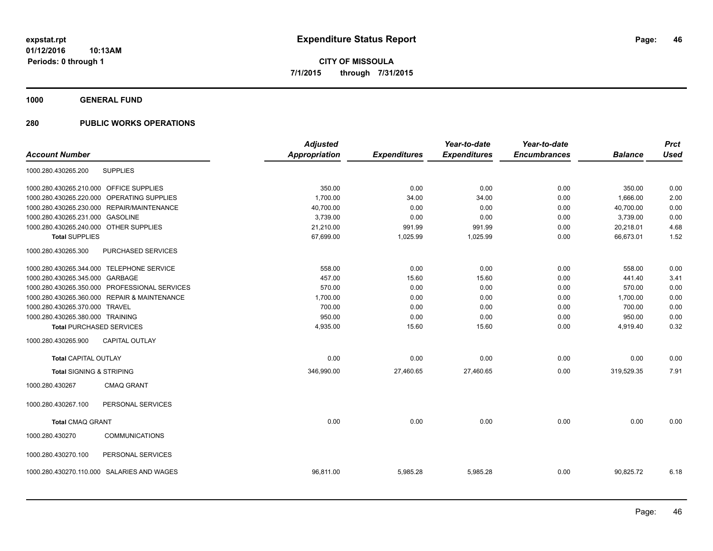**1000 GENERAL FUND**

|                                               | <b>Adjusted</b> |                     | Year-to-date        | Year-to-date        |                | <b>Prct</b> |
|-----------------------------------------------|-----------------|---------------------|---------------------|---------------------|----------------|-------------|
| <b>Account Number</b>                         | Appropriation   | <b>Expenditures</b> | <b>Expenditures</b> | <b>Encumbrances</b> | <b>Balance</b> | <b>Used</b> |
| <b>SUPPLIES</b><br>1000.280.430265.200        |                 |                     |                     |                     |                |             |
| 1000.280.430265.210.000 OFFICE SUPPLIES       | 350.00          | 0.00                | 0.00                | 0.00                | 350.00         | 0.00        |
| 1000.280.430265.220.000 OPERATING SUPPLIES    | 1,700.00        | 34.00               | 34.00               | 0.00                | 1,666.00       | 2.00        |
| 1000.280.430265.230.000 REPAIR/MAINTENANCE    | 40,700.00       | 0.00                | 0.00                | 0.00                | 40,700.00      | 0.00        |
| 1000.280.430265.231.000 GASOLINE              | 3,739.00        | 0.00                | 0.00                | 0.00                | 3,739.00       | 0.00        |
| 1000.280.430265.240.000 OTHER SUPPLIES        | 21,210.00       | 991.99              | 991.99              | 0.00                | 20,218.01      | 4.68        |
| <b>Total SUPPLIES</b>                         | 67,699.00       | 1,025.99            | 1,025.99            | 0.00                | 66,673.01      | 1.52        |
| 1000.280.430265.300<br>PURCHASED SERVICES     |                 |                     |                     |                     |                |             |
| 1000.280.430265.344.000 TELEPHONE SERVICE     | 558.00          | 0.00                | 0.00                | 0.00                | 558.00         | 0.00        |
| 1000.280.430265.345.000 GARBAGE               | 457.00          | 15.60               | 15.60               | 0.00                | 441.40         | 3.41        |
| 1000.280.430265.350.000 PROFESSIONAL SERVICES | 570.00          | 0.00                | 0.00                | 0.00                | 570.00         | 0.00        |
| 1000.280.430265.360.000 REPAIR & MAINTENANCE  | 1,700.00        | 0.00                | 0.00                | 0.00                | 1,700.00       | 0.00        |
| 1000.280.430265.370.000 TRAVEL                | 700.00          | 0.00                | 0.00                | 0.00                | 700.00         | 0.00        |
| 1000.280.430265.380.000 TRAINING              | 950.00          | 0.00                | 0.00                | 0.00                | 950.00         | 0.00        |
| <b>Total PURCHASED SERVICES</b>               | 4,935.00        | 15.60               | 15.60               | 0.00                | 4,919.40       | 0.32        |
| CAPITAL OUTLAY<br>1000.280.430265.900         |                 |                     |                     |                     |                |             |
| Total CAPITAL OUTLAY                          | 0.00            | 0.00                | 0.00                | 0.00                | 0.00           | 0.00        |
| <b>Total SIGNING &amp; STRIPING</b>           | 346,990.00      | 27,460.65           | 27,460.65           | 0.00                | 319,529.35     | 7.91        |
| 1000.280.430267<br><b>CMAQ GRANT</b>          |                 |                     |                     |                     |                |             |
| 1000.280.430267.100<br>PERSONAL SERVICES      |                 |                     |                     |                     |                |             |
| <b>Total CMAQ GRANT</b>                       | 0.00            | 0.00                | 0.00                | 0.00                | 0.00           | 0.00        |
| <b>COMMUNICATIONS</b><br>1000.280.430270      |                 |                     |                     |                     |                |             |
| 1000.280.430270.100<br>PERSONAL SERVICES      |                 |                     |                     |                     |                |             |
| SALARIES AND WAGES<br>1000.280.430270.110.000 | 96,811.00       | 5,985.28            | 5,985.28            | 0.00                | 90,825.72      | 6.18        |
|                                               |                 |                     |                     |                     |                |             |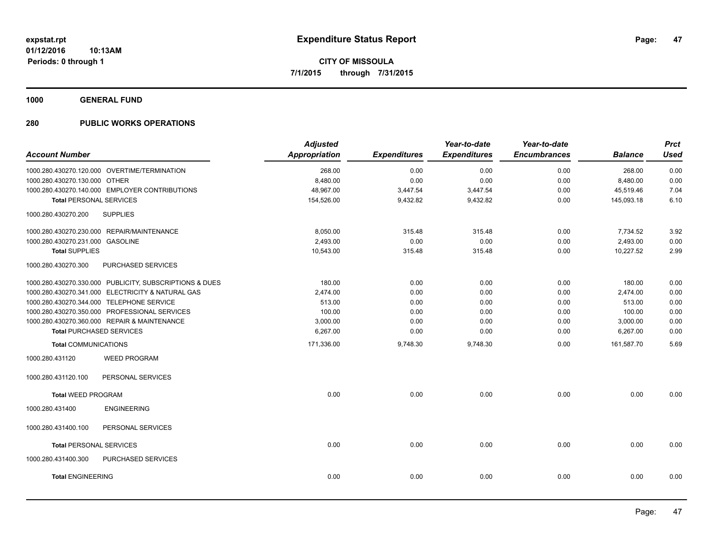**1000 GENERAL FUND**

| <b>Account Number</b>            |                                                         | <b>Adjusted</b><br><b>Appropriation</b> | <b>Expenditures</b> | Year-to-date<br><b>Expenditures</b> | Year-to-date<br><b>Encumbrances</b> | <b>Balance</b> | <b>Prct</b><br><b>Used</b> |
|----------------------------------|---------------------------------------------------------|-----------------------------------------|---------------------|-------------------------------------|-------------------------------------|----------------|----------------------------|
|                                  | 1000.280.430270.120.000 OVERTIME/TERMINATION            | 268.00                                  | 0.00                | 0.00                                | 0.00                                | 268.00         | 0.00                       |
| 1000.280.430270.130.000 OTHER    |                                                         | 8,480.00                                | 0.00                | 0.00                                | 0.00                                | 8,480.00       | 0.00                       |
|                                  | 1000.280.430270.140.000 EMPLOYER CONTRIBUTIONS          | 48,967.00                               | 3,447.54            | 3,447.54                            | 0.00                                | 45,519.46      | 7.04                       |
| <b>Total PERSONAL SERVICES</b>   |                                                         | 154,526.00                              | 9,432.82            | 9,432.82                            | 0.00                                | 145,093.18     | 6.10                       |
| 1000.280.430270.200              | <b>SUPPLIES</b>                                         |                                         |                     |                                     |                                     |                |                            |
|                                  | 1000.280.430270.230.000 REPAIR/MAINTENANCE              | 8,050.00                                | 315.48              | 315.48                              | 0.00                                | 7,734.52       | 3.92                       |
| 1000.280.430270.231.000 GASOLINE |                                                         | 2,493.00                                | 0.00                | 0.00                                | 0.00                                | 2,493.00       | 0.00                       |
| <b>Total SUPPLIES</b>            |                                                         | 10,543.00                               | 315.48              | 315.48                              | 0.00                                | 10.227.52      | 2.99                       |
| 1000.280.430270.300              | PURCHASED SERVICES                                      |                                         |                     |                                     |                                     |                |                            |
|                                  | 1000.280.430270.330.000 PUBLICITY, SUBSCRIPTIONS & DUES | 180.00                                  | 0.00                | 0.00                                | 0.00                                | 180.00         | 0.00                       |
|                                  | 1000.280.430270.341.000 ELECTRICITY & NATURAL GAS       | 2,474.00                                | 0.00                | 0.00                                | 0.00                                | 2,474.00       | 0.00                       |
|                                  | 1000.280.430270.344.000 TELEPHONE SERVICE               | 513.00                                  | 0.00                | 0.00                                | 0.00                                | 513.00         | 0.00                       |
|                                  | 1000.280.430270.350.000 PROFESSIONAL SERVICES           | 100.00                                  | 0.00                | 0.00                                | 0.00                                | 100.00         | 0.00                       |
|                                  | 1000.280.430270.360.000 REPAIR & MAINTENANCE            | 3,000.00                                | 0.00                | 0.00                                | 0.00                                | 3,000.00       | 0.00                       |
|                                  | <b>Total PURCHASED SERVICES</b>                         | 6,267.00                                | 0.00                | 0.00                                | 0.00                                | 6,267.00       | 0.00                       |
| <b>Total COMMUNICATIONS</b>      |                                                         | 171,336.00                              | 9,748.30            | 9,748.30                            | 0.00                                | 161,587.70     | 5.69                       |
| 1000.280.431120                  | <b>WEED PROGRAM</b>                                     |                                         |                     |                                     |                                     |                |                            |
| 1000.280.431120.100              | PERSONAL SERVICES                                       |                                         |                     |                                     |                                     |                |                            |
| <b>Total WEED PROGRAM</b>        |                                                         | 0.00                                    | 0.00                | 0.00                                | 0.00                                | 0.00           | 0.00                       |
| 1000.280.431400                  | <b>ENGINEERING</b>                                      |                                         |                     |                                     |                                     |                |                            |
| 1000.280.431400.100              | PERSONAL SERVICES                                       |                                         |                     |                                     |                                     |                |                            |
| <b>Total PERSONAL SERVICES</b>   |                                                         | 0.00                                    | 0.00                | 0.00                                | 0.00                                | 0.00           | 0.00                       |
| 1000.280.431400.300              | PURCHASED SERVICES                                      |                                         |                     |                                     |                                     |                |                            |
| <b>Total ENGINEERING</b>         |                                                         | 0.00                                    | 0.00                | 0.00                                | 0.00                                | 0.00           | 0.00                       |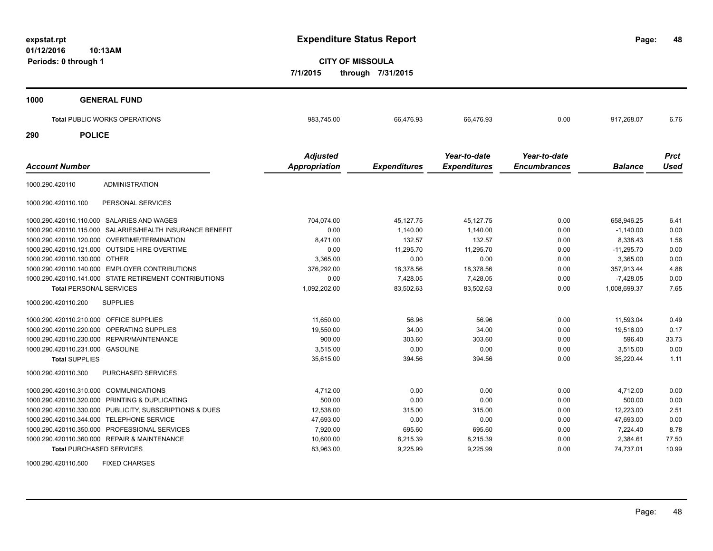**48**

**CITY OF MISSOULA 7/1/2015 through 7/31/2015**

| 1000                  | <b>GENERAL FUND</b>                                       |                 |                     |                     |                     |                |             |
|-----------------------|-----------------------------------------------------------|-----------------|---------------------|---------------------|---------------------|----------------|-------------|
|                       |                                                           |                 |                     |                     |                     |                |             |
|                       | Total PUBLIC WORKS OPERATIONS                             | 983,745.00      | 66,476.93           | 66,476.93           | 0.00                | 917,268.07     | 6.76        |
| 290                   | <b>POLICE</b>                                             |                 |                     |                     |                     |                |             |
|                       |                                                           | <b>Adjusted</b> |                     | Year-to-date        | Year-to-date        |                | <b>Prct</b> |
| <b>Account Number</b> |                                                           | Appropriation   | <b>Expenditures</b> | <b>Expenditures</b> | <b>Encumbrances</b> | <b>Balance</b> | <b>Used</b> |
| 1000.290.420110       | <b>ADMINISTRATION</b>                                     |                 |                     |                     |                     |                |             |
| 1000.290.420110.100   | PERSONAL SERVICES                                         |                 |                     |                     |                     |                |             |
|                       | 1000.290.420110.110.000 SALARIES AND WAGES                | 704,074.00      | 45,127.75           | 45,127.75           | 0.00                | 658,946.25     | 6.41        |
|                       | 1000.290.420110.115.000 SALARIES/HEALTH INSURANCE BENEFIT | 0.00            | 1,140.00            | 1,140.00            | 0.00                | $-1,140.00$    | 0.00        |
|                       | 1000.290.420110.120.000 OVERTIME/TERMINATION              | 8.471.00        | 132.57              | 132.57              | 0.00                | 8.338.43       | 1.56        |
|                       | 1000.290.420110.121.000 OUTSIDE HIRE OVERTIME             | 0.00            | 11,295.70           | 11,295.70           | 0.00                | $-11,295.70$   | 0.00        |
|                       | 1000.290.420110.130.000 OTHER                             | 3,365.00        | 0.00                | 0.00                | 0.00                | 3,365.00       | 0.00        |
|                       | 1000.290.420110.140.000 EMPLOYER CONTRIBUTIONS            | 376,292.00      | 18,378.56           | 18,378.56           | 0.00                | 357,913.44     | 4.88        |
|                       | 1000.290.420110.141.000 STATE RETIREMENT CONTRIBUTIONS    | 0.00            | 7,428.05            | 7,428.05            | 0.00                | $-7,428.05$    | 0.00        |
|                       | <b>Total PERSONAL SERVICES</b>                            | 1,092,202.00    | 83,502.63           | 83,502.63           | 0.00                | 1,008,699.37   | 7.65        |
| 1000.290.420110.200   | <b>SUPPLIES</b>                                           |                 |                     |                     |                     |                |             |
|                       | 1000.290.420110.210.000 OFFICE SUPPLIES                   | 11,650.00       | 56.96               | 56.96               | 0.00                | 11,593.04      | 0.49        |
|                       | 1000.290.420110.220.000 OPERATING SUPPLIES                | 19,550.00       | 34.00               | 34.00               | 0.00                | 19,516.00      | 0.17        |
|                       | 1000.290.420110.230.000 REPAIR/MAINTENANCE                | 900.00          | 303.60              | 303.60              | 0.00                | 596.40         | 33.73       |
|                       | 1000.290.420110.231.000 GASOLINE                          | 3,515.00        | 0.00                | 0.00                | 0.00                | 3,515.00       | 0.00        |
|                       | <b>Total SUPPLIES</b>                                     | 35,615.00       | 394.56              | 394.56              | 0.00                | 35,220.44      | 1.11        |
| 1000.290.420110.300   | PURCHASED SERVICES                                        |                 |                     |                     |                     |                |             |
|                       | 1000.290.420110.310.000 COMMUNICATIONS                    | 4,712.00        | 0.00                | 0.00                | 0.00                | 4,712.00       | 0.00        |
|                       | 1000.290.420110.320.000 PRINTING & DUPLICATING            | 500.00          | 0.00                | 0.00                | 0.00                | 500.00         | 0.00        |
|                       | 1000.290.420110.330.000 PUBLICITY, SUBSCRIPTIONS & DUES   | 12,538.00       | 315.00              | 315.00              | 0.00                | 12,223.00      | 2.51        |
|                       | 1000.290.420110.344.000 TELEPHONE SERVICE                 | 47,693.00       | 0.00                | 0.00                | 0.00                | 47,693.00      | 0.00        |
|                       | 1000.290.420110.350.000 PROFESSIONAL SERVICES             | 7.920.00        | 695.60              | 695.60              | 0.00                | 7.224.40       | 8.78        |
|                       | 1000.290.420110.360.000 REPAIR & MAINTENANCE              | 10.600.00       | 8.215.39            | 8.215.39            | 0.00                | 2.384.61       | 77.50       |

**Total** PURCHASED SERVICES 83,963.00 9,225.99 9,225.99 0.00 74,737.01 10.99

1000.290.420110.500 FIXED CHARGES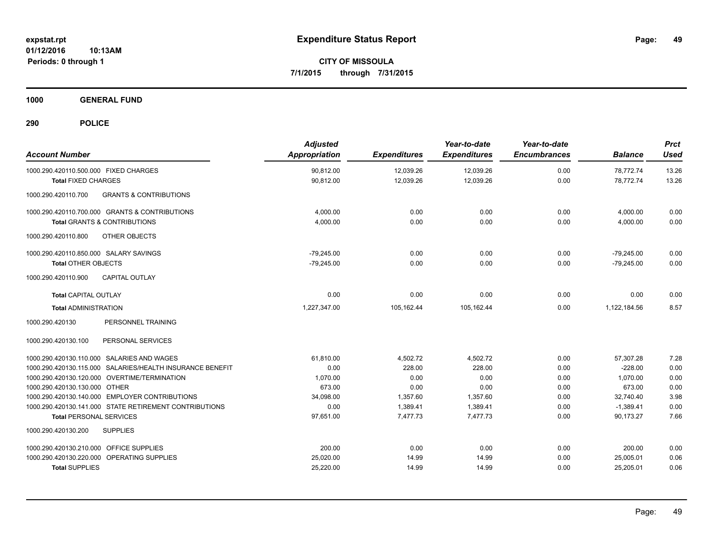**CITY OF MISSOULA 7/1/2015 through 7/31/2015**

**1000 GENERAL FUND**

| <b>Account Number</b>                                     | <b>Adjusted</b><br>Appropriation | <b>Expenditures</b> | Year-to-date<br><b>Expenditures</b> | Year-to-date<br><b>Encumbrances</b> | <b>Balance</b> | <b>Prct</b><br><b>Used</b> |
|-----------------------------------------------------------|----------------------------------|---------------------|-------------------------------------|-------------------------------------|----------------|----------------------------|
| 1000.290.420110.500.000 FIXED CHARGES                     | 90,812.00                        | 12,039.26           | 12,039.26                           | 0.00                                | 78,772.74      | 13.26                      |
| <b>Total FIXED CHARGES</b>                                | 90.812.00                        | 12.039.26           | 12.039.26                           | 0.00                                | 78.772.74      | 13.26                      |
| <b>GRANTS &amp; CONTRIBUTIONS</b><br>1000.290.420110.700  |                                  |                     |                                     |                                     |                |                            |
| 1000.290.420110.700.000 GRANTS & CONTRIBUTIONS            | 4.000.00                         | 0.00                | 0.00                                | 0.00                                | 4,000.00       | 0.00                       |
| <b>Total GRANTS &amp; CONTRIBUTIONS</b>                   | 4,000.00                         | 0.00                | 0.00                                | 0.00                                | 4,000.00       | 0.00                       |
| 1000.290.420110.800<br>OTHER OBJECTS                      |                                  |                     |                                     |                                     |                |                            |
| 1000.290.420110.850.000 SALARY SAVINGS                    | $-79,245.00$                     | 0.00                | 0.00                                | 0.00                                | $-79,245.00$   | 0.00                       |
| <b>Total OTHER OBJECTS</b>                                | $-79,245.00$                     | 0.00                | 0.00                                | 0.00                                | $-79,245.00$   | 0.00                       |
| 1000.290.420110.900<br><b>CAPITAL OUTLAY</b>              |                                  |                     |                                     |                                     |                |                            |
| <b>Total CAPITAL OUTLAY</b>                               | 0.00                             | 0.00                | 0.00                                | 0.00                                | 0.00           | 0.00                       |
| <b>Total ADMINISTRATION</b>                               | 1.227.347.00                     | 105.162.44          | 105.162.44                          | 0.00                                | 1,122,184.56   | 8.57                       |
| 1000.290.420130<br>PERSONNEL TRAINING                     |                                  |                     |                                     |                                     |                |                            |
| PERSONAL SERVICES<br>1000.290.420130.100                  |                                  |                     |                                     |                                     |                |                            |
| 1000.290.420130.110.000 SALARIES AND WAGES                | 61.810.00                        | 4,502.72            | 4.502.72                            | 0.00                                | 57.307.28      | 7.28                       |
| 1000.290.420130.115.000 SALARIES/HEALTH INSURANCE BENEFIT | 0.00                             | 228.00              | 228.00                              | 0.00                                | $-228.00$      | 0.00                       |
| 1000.290.420130.120.000 OVERTIME/TERMINATION              | 1,070.00                         | 0.00                | 0.00                                | 0.00                                | 1,070.00       | 0.00                       |
| 1000.290.420130.130.000 OTHER                             | 673.00                           | 0.00                | 0.00                                | 0.00                                | 673.00         | 0.00                       |
| 1000.290.420130.140.000 EMPLOYER CONTRIBUTIONS            | 34,098.00                        | 1,357.60            | 1,357.60                            | 0.00                                | 32,740.40      | 3.98                       |
| 1000.290.420130.141.000 STATE RETIREMENT CONTRIBUTIONS    | 0.00                             | 1,389.41            | 1,389.41                            | 0.00                                | $-1.389.41$    | 0.00                       |
| <b>Total PERSONAL SERVICES</b>                            | 97,651.00                        | 7,477.73            | 7.477.73                            | 0.00                                | 90.173.27      | 7.66                       |
| <b>SUPPLIES</b><br>1000.290.420130.200                    |                                  |                     |                                     |                                     |                |                            |
| 1000.290.420130.210.000 OFFICE SUPPLIES                   | 200.00                           | 0.00                | 0.00                                | 0.00                                | 200.00         | 0.00                       |
| OPERATING SUPPLIES<br>1000.290.420130.220.000             | 25,020.00                        | 14.99               | 14.99                               | 0.00                                | 25,005.01      | 0.06                       |
| <b>Total SUPPLIES</b>                                     | 25,220.00                        | 14.99               | 14.99                               | 0.00                                | 25,205.01      | 0.06                       |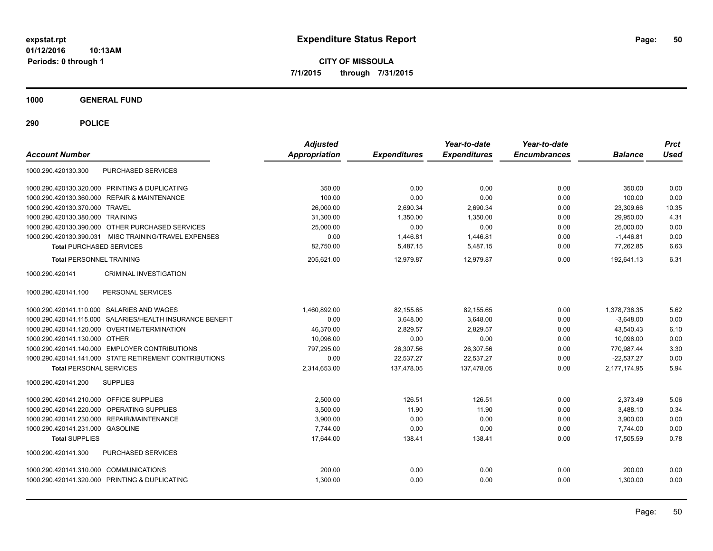**CITY OF MISSOULA 7/1/2015 through 7/31/2015**

**1000 GENERAL FUND**

| <b>Account Number</b>                                     | <b>Adjusted</b><br><b>Appropriation</b> | <b>Expenditures</b> | Year-to-date<br><b>Expenditures</b> | Year-to-date<br><b>Encumbrances</b> | <b>Balance</b> | <b>Prct</b><br><b>Used</b> |
|-----------------------------------------------------------|-----------------------------------------|---------------------|-------------------------------------|-------------------------------------|----------------|----------------------------|
| <b>PURCHASED SERVICES</b><br>1000.290.420130.300          |                                         |                     |                                     |                                     |                |                            |
| 1000.290.420130.320.000 PRINTING & DUPLICATING            | 350.00                                  | 0.00                | 0.00                                | 0.00                                | 350.00         | 0.00                       |
| 1000.290.420130.360.000 REPAIR & MAINTENANCE              | 100.00                                  | 0.00                | 0.00                                | 0.00                                | 100.00         | 0.00                       |
| 1000.290.420130.370.000 TRAVEL                            | 26,000.00                               | 2,690.34            | 2,690.34                            | 0.00                                | 23,309.66      | 10.35                      |
| 1000.290.420130.380.000 TRAINING                          | 31,300.00                               | 1,350.00            | 1,350.00                            | 0.00                                | 29,950.00      | 4.31                       |
| 1000.290.420130.390.000 OTHER PURCHASED SERVICES          | 25,000.00                               | 0.00                | 0.00                                | 0.00                                | 25.000.00      | 0.00                       |
| 1000.290.420130.390.031 MISC TRAINING/TRAVEL EXPENSES     | 0.00                                    | 1,446.81            | 1,446.81                            | 0.00                                | $-1,446.81$    | 0.00                       |
| <b>Total PURCHASED SERVICES</b>                           | 82,750.00                               | 5,487.15            | 5,487.15                            | 0.00                                | 77,262.85      | 6.63                       |
| <b>Total PERSONNEL TRAINING</b>                           | 205,621.00                              | 12,979.87           | 12,979.87                           | 0.00                                | 192,641.13     | 6.31                       |
| 1000.290.420141<br><b>CRIMINAL INVESTIGATION</b>          |                                         |                     |                                     |                                     |                |                            |
| PERSONAL SERVICES<br>1000.290.420141.100                  |                                         |                     |                                     |                                     |                |                            |
| 1000.290.420141.110.000 SALARIES AND WAGES                | 1.460.892.00                            | 82.155.65           | 82.155.65                           | 0.00                                | 1,378,736.35   | 5.62                       |
| 1000.290.420141.115.000 SALARIES/HEALTH INSURANCE BENEFIT | 0.00                                    | 3.648.00            | 3.648.00                            | 0.00                                | $-3.648.00$    | 0.00                       |
| 1000.290.420141.120.000 OVERTIME/TERMINATION              | 46.370.00                               | 2.829.57            | 2.829.57                            | 0.00                                | 43.540.43      | 6.10                       |
| 1000.290.420141.130.000 OTHER                             | 10,096.00                               | 0.00                | 0.00                                | 0.00                                | 10,096.00      | 0.00                       |
| 1000.290.420141.140.000 EMPLOYER CONTRIBUTIONS            | 797,295.00                              | 26,307.56           | 26,307.56                           | 0.00                                | 770,987.44     | 3.30                       |
| 1000.290.420141.141.000 STATE RETIREMENT CONTRIBUTIONS    | 0.00                                    | 22,537.27           | 22,537.27                           | 0.00                                | $-22,537.27$   | 0.00                       |
| <b>Total PERSONAL SERVICES</b>                            | 2,314,653.00                            | 137,478.05          | 137,478.05                          | 0.00                                | 2,177,174.95   | 5.94                       |
| 1000.290.420141.200<br><b>SUPPLIES</b>                    |                                         |                     |                                     |                                     |                |                            |
| 1000.290.420141.210.000 OFFICE SUPPLIES                   | 2.500.00                                | 126.51              | 126.51                              | 0.00                                | 2.373.49       | 5.06                       |
| 1000.290.420141.220.000 OPERATING SUPPLIES                | 3,500.00                                | 11.90               | 11.90                               | 0.00                                | 3,488.10       | 0.34                       |
| 1000.290.420141.230.000 REPAIR/MAINTENANCE                | 3,900.00                                | 0.00                | 0.00                                | 0.00                                | 3,900.00       | 0.00                       |
| 1000.290.420141.231.000 GASOLINE                          | 7,744.00                                | 0.00                | 0.00                                | 0.00                                | 7,744.00       | 0.00                       |
| <b>Total SUPPLIES</b>                                     | 17,644.00                               | 138.41              | 138.41                              | 0.00                                | 17,505.59      | 0.78                       |
| 1000.290.420141.300<br><b>PURCHASED SERVICES</b>          |                                         |                     |                                     |                                     |                |                            |
| 1000.290.420141.310.000 COMMUNICATIONS                    | 200.00                                  | 0.00                | 0.00                                | 0.00                                | 200.00         | 0.00                       |
| 1000.290.420141.320.000 PRINTING & DUPLICATING            | 1,300.00                                | 0.00                | 0.00                                | 0.00                                | 1,300.00       | 0.00                       |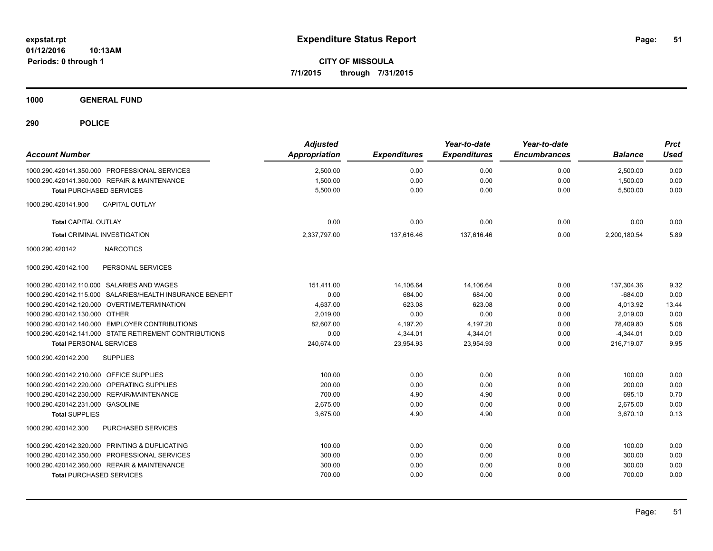**CITY OF MISSOULA 7/1/2015 through 7/31/2015**

**1000 GENERAL FUND**

| <b>Account Number</b>                                     | <b>Adjusted</b><br><b>Appropriation</b> | <b>Expenditures</b> | Year-to-date<br><b>Expenditures</b> | Year-to-date<br><b>Encumbrances</b> | <b>Balance</b> | <b>Prct</b><br><b>Used</b> |
|-----------------------------------------------------------|-----------------------------------------|---------------------|-------------------------------------|-------------------------------------|----------------|----------------------------|
| 1000.290.420141.350.000 PROFESSIONAL SERVICES             | 2,500.00                                | 0.00                | 0.00                                | 0.00                                | 2,500.00       | 0.00                       |
| 1000.290.420141.360.000 REPAIR & MAINTENANCE              | 1,500.00                                | 0.00                | 0.00                                | 0.00                                | 1,500.00       | 0.00                       |
| <b>Total PURCHASED SERVICES</b>                           | 5,500.00                                | 0.00                | 0.00                                | 0.00                                | 5,500.00       | 0.00                       |
| 1000.290.420141.900<br><b>CAPITAL OUTLAY</b>              |                                         |                     |                                     |                                     |                |                            |
| <b>Total CAPITAL OUTLAY</b>                               | 0.00                                    | 0.00                | 0.00                                | 0.00                                | 0.00           | 0.00                       |
| <b>Total CRIMINAL INVESTIGATION</b>                       | 2,337,797.00                            | 137,616.46          | 137,616.46                          | 0.00                                | 2,200,180.54   | 5.89                       |
| <b>NARCOTICS</b><br>1000.290.420142                       |                                         |                     |                                     |                                     |                |                            |
| 1000.290.420142.100<br>PERSONAL SERVICES                  |                                         |                     |                                     |                                     |                |                            |
| 1000.290.420142.110.000 SALARIES AND WAGES                | 151,411.00                              | 14,106.64           | 14,106.64                           | 0.00                                | 137,304.36     | 9.32                       |
| 1000.290.420142.115.000 SALARIES/HEALTH INSURANCE BENEFIT | 0.00                                    | 684.00              | 684.00                              | 0.00                                | $-684.00$      | 0.00                       |
| 1000.290.420142.120.000 OVERTIME/TERMINATION              | 4,637.00                                | 623.08              | 623.08                              | 0.00                                | 4,013.92       | 13.44                      |
| 1000.290.420142.130.000 OTHER                             | 2,019.00                                | 0.00                | 0.00                                | 0.00                                | 2.019.00       | 0.00                       |
| 1000.290.420142.140.000 EMPLOYER CONTRIBUTIONS            | 82,607.00                               | 4,197.20            | 4,197.20                            | 0.00                                | 78,409.80      | 5.08                       |
| 1000.290.420142.141.000 STATE RETIREMENT CONTRIBUTIONS    | 0.00                                    | 4,344.01            | 4,344.01                            | 0.00                                | $-4.344.01$    | 0.00                       |
| <b>Total PERSONAL SERVICES</b>                            | 240,674.00                              | 23,954.93           | 23,954.93                           | 0.00                                | 216,719.07     | 9.95                       |
| 1000.290.420142.200<br><b>SUPPLIES</b>                    |                                         |                     |                                     |                                     |                |                            |
| 1000.290.420142.210.000 OFFICE SUPPLIES                   | 100.00                                  | 0.00                | 0.00                                | 0.00                                | 100.00         | 0.00                       |
| 1000.290.420142.220.000 OPERATING SUPPLIES                | 200.00                                  | 0.00                | 0.00                                | 0.00                                | 200.00         | 0.00                       |
| 1000.290.420142.230.000 REPAIR/MAINTENANCE                | 700.00                                  | 4.90                | 4.90                                | 0.00                                | 695.10         | 0.70                       |
| 1000.290.420142.231.000 GASOLINE                          | 2,675.00                                | 0.00                | 0.00                                | 0.00                                | 2,675.00       | 0.00                       |
| <b>Total SUPPLIES</b>                                     | 3,675.00                                | 4.90                | 4.90                                | 0.00                                | 3,670.10       | 0.13                       |
| PURCHASED SERVICES<br>1000.290.420142.300                 |                                         |                     |                                     |                                     |                |                            |
| 1000.290.420142.320.000 PRINTING & DUPLICATING            | 100.00                                  | 0.00                | 0.00                                | 0.00                                | 100.00         | 0.00                       |
| 1000.290.420142.350.000 PROFESSIONAL SERVICES             | 300.00                                  | 0.00                | 0.00                                | 0.00                                | 300.00         | 0.00                       |
| 1000.290.420142.360.000 REPAIR & MAINTENANCE              | 300.00                                  | 0.00                | 0.00                                | 0.00                                | 300.00         | 0.00                       |
| <b>Total PURCHASED SERVICES</b>                           | 700.00                                  | 0.00                | 0.00                                | 0.00                                | 700.00         | 0.00                       |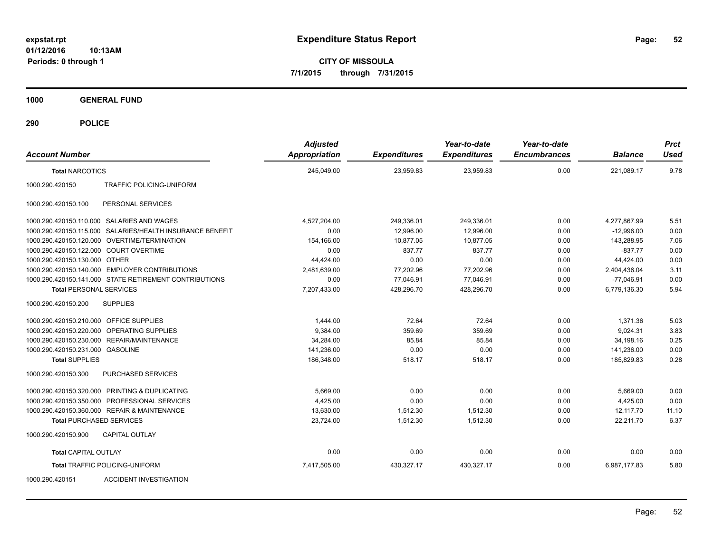**CITY OF MISSOULA 7/1/2015 through 7/31/2015**

**1000 GENERAL FUND**

| <b>Account Number</b>                   |                                                           | <b>Adjusted</b><br><b>Appropriation</b> | <b>Expenditures</b> | Year-to-date<br><b>Expenditures</b> | Year-to-date<br><b>Encumbrances</b> | <b>Balance</b> | <b>Prct</b><br><b>Used</b> |
|-----------------------------------------|-----------------------------------------------------------|-----------------------------------------|---------------------|-------------------------------------|-------------------------------------|----------------|----------------------------|
| <b>Total NARCOTICS</b>                  |                                                           | 245,049.00                              | 23,959.83           | 23,959.83                           | 0.00                                | 221,089.17     | 9.78                       |
| 1000.290.420150                         | <b>TRAFFIC POLICING-UNIFORM</b>                           |                                         |                     |                                     |                                     |                |                            |
| 1000.290.420150.100                     | PERSONAL SERVICES                                         |                                         |                     |                                     |                                     |                |                            |
|                                         | 1000.290.420150.110.000 SALARIES AND WAGES                | 4,527,204.00                            | 249,336.01          | 249,336.01                          | 0.00                                | 4,277,867.99   | 5.51                       |
|                                         | 1000.290.420150.115.000 SALARIES/HEALTH INSURANCE BENEFIT | 0.00                                    | 12,996.00           | 12,996.00                           | 0.00                                | $-12,996.00$   | 0.00                       |
|                                         | 1000.290.420150.120.000 OVERTIME/TERMINATION              | 154,166.00                              | 10,877.05           | 10,877.05                           | 0.00                                | 143,288.95     | 7.06                       |
| 1000.290.420150.122.000 COURT OVERTIME  |                                                           | 0.00                                    | 837.77              | 837.77                              | 0.00                                | $-837.77$      | 0.00                       |
| 1000.290.420150.130.000 OTHER           |                                                           | 44,424.00                               | 0.00                | 0.00                                | 0.00                                | 44,424.00      | 0.00                       |
|                                         | 1000.290.420150.140.000 EMPLOYER CONTRIBUTIONS            | 2,481,639.00                            | 77,202.96           | 77,202.96                           | 0.00                                | 2,404,436.04   | 3.11                       |
|                                         | 1000.290.420150.141.000 STATE RETIREMENT CONTRIBUTIONS    | 0.00                                    | 77,046.91           | 77,046.91                           | 0.00                                | $-77,046.91$   | 0.00                       |
| <b>Total PERSONAL SERVICES</b>          |                                                           | 7,207,433.00                            | 428,296.70          | 428,296.70                          | 0.00                                | 6,779,136.30   | 5.94                       |
| 1000.290.420150.200                     | <b>SUPPLIES</b>                                           |                                         |                     |                                     |                                     |                |                            |
| 1000.290.420150.210.000 OFFICE SUPPLIES |                                                           | 1,444.00                                | 72.64               | 72.64                               | 0.00                                | 1,371.36       | 5.03                       |
|                                         | 1000.290.420150.220.000 OPERATING SUPPLIES                | 9,384.00                                | 359.69              | 359.69                              | 0.00                                | 9,024.31       | 3.83                       |
| 1000.290.420150.230.000                 | <b>REPAIR/MAINTENANCE</b>                                 | 34,284.00                               | 85.84               | 85.84                               | 0.00                                | 34,198.16      | 0.25                       |
| 1000.290.420150.231.000                 | <b>GASOLINE</b>                                           | 141.236.00                              | 0.00                | 0.00                                | 0.00                                | 141.236.00     | 0.00                       |
| <b>Total SUPPLIES</b>                   |                                                           | 186,348.00                              | 518.17              | 518.17                              | 0.00                                | 185,829.83     | 0.28                       |
| 1000.290.420150.300                     | PURCHASED SERVICES                                        |                                         |                     |                                     |                                     |                |                            |
|                                         | 1000.290.420150.320.000 PRINTING & DUPLICATING            | 5,669.00                                | 0.00                | 0.00                                | 0.00                                | 5,669.00       | 0.00                       |
|                                         | 1000.290.420150.350.000 PROFESSIONAL SERVICES             | 4,425.00                                | 0.00                | 0.00                                | 0.00                                | 4,425.00       | 0.00                       |
|                                         | 1000.290.420150.360.000 REPAIR & MAINTENANCE              | 13,630.00                               | 1,512.30            | 1,512.30                            | 0.00                                | 12.117.70      | 11.10                      |
|                                         | <b>Total PURCHASED SERVICES</b>                           | 23,724.00                               | 1,512.30            | 1,512.30                            | 0.00                                | 22,211.70      | 6.37                       |
| 1000.290.420150.900                     | <b>CAPITAL OUTLAY</b>                                     |                                         |                     |                                     |                                     |                |                            |
| <b>Total CAPITAL OUTLAY</b>             |                                                           | 0.00                                    | 0.00                | 0.00                                | 0.00                                | 0.00           | 0.00                       |
|                                         | <b>Total TRAFFIC POLICING-UNIFORM</b>                     | 7,417,505.00                            | 430,327.17          | 430,327.17                          | 0.00                                | 6,987,177.83   | 5.80                       |
| 1000.290.420151                         | <b>ACCIDENT INVESTIGATION</b>                             |                                         |                     |                                     |                                     |                |                            |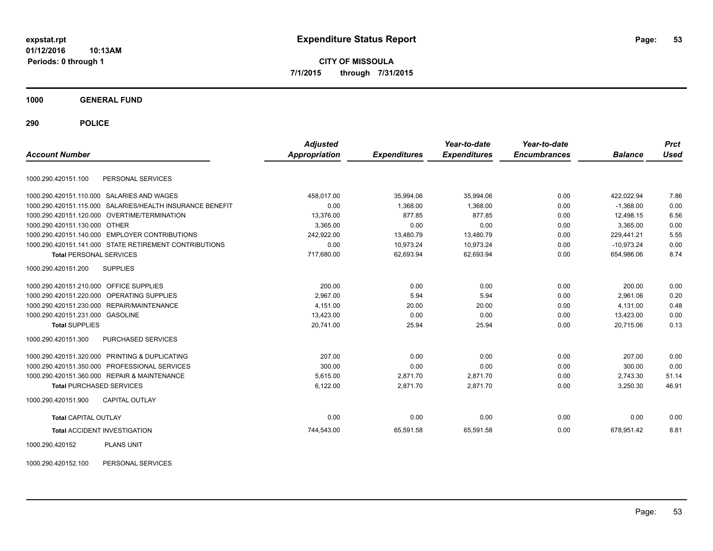**CITY OF MISSOULA 7/1/2015 through 7/31/2015**

**1000 GENERAL FUND**

**290 POLICE**

| <b>Account Number</b>                   |                                                           | <b>Adjusted</b><br><b>Appropriation</b> | <b>Expenditures</b> | Year-to-date<br><b>Expenditures</b> | Year-to-date<br><b>Encumbrances</b> | <b>Balance</b> | <b>Prct</b><br><b>Used</b> |
|-----------------------------------------|-----------------------------------------------------------|-----------------------------------------|---------------------|-------------------------------------|-------------------------------------|----------------|----------------------------|
| 1000.290.420151.100                     | PERSONAL SERVICES                                         |                                         |                     |                                     |                                     |                |                            |
|                                         | 1000.290.420151.110.000 SALARIES AND WAGES                | 458,017.00                              | 35,994.06           | 35,994.06                           | 0.00                                | 422,022.94     | 7.86                       |
|                                         | 1000.290.420151.115.000 SALARIES/HEALTH INSURANCE BENEFIT | 0.00                                    | 1.368.00            | 1.368.00                            | 0.00                                | $-1.368.00$    | 0.00                       |
|                                         | 1000.290.420151.120.000 OVERTIME/TERMINATION              | 13,376.00                               | 877.85              | 877.85                              | 0.00                                | 12,498.15      | 6.56                       |
| 1000.290.420151.130.000 OTHER           |                                                           | 3,365.00                                | 0.00                | 0.00                                | 0.00                                | 3.365.00       | 0.00                       |
|                                         | 1000.290.420151.140.000 EMPLOYER CONTRIBUTIONS            | 242,922.00                              | 13,480.79           | 13,480.79                           | 0.00                                | 229,441.21     | 5.55                       |
|                                         | 1000.290.420151.141.000 STATE RETIREMENT CONTRIBUTIONS    | 0.00                                    | 10.973.24           | 10,973.24                           | 0.00                                | $-10.973.24$   | 0.00                       |
| <b>Total PERSONAL SERVICES</b>          |                                                           | 717,680.00                              | 62,693.94           | 62,693.94                           | 0.00                                | 654,986.06     | 8.74                       |
| 1000.290.420151.200                     | <b>SUPPLIES</b>                                           |                                         |                     |                                     |                                     |                |                            |
| 1000.290.420151.210.000 OFFICE SUPPLIES |                                                           | 200.00                                  | 0.00                | 0.00                                | 0.00                                | 200.00         | 0.00                       |
|                                         | 1000.290.420151.220.000 OPERATING SUPPLIES                | 2.967.00                                | 5.94                | 5.94                                | 0.00                                | 2.961.06       | 0.20                       |
|                                         | 1000.290.420151.230.000 REPAIR/MAINTENANCE                | 4,151.00                                | 20.00               | 20.00                               | 0.00                                | 4,131.00       | 0.48                       |
| 1000.290.420151.231.000 GASOLINE        |                                                           | 13.423.00                               | 0.00                | 0.00                                | 0.00                                | 13.423.00      | 0.00                       |
| <b>Total SUPPLIES</b>                   |                                                           | 20,741.00                               | 25.94               | 25.94                               | 0.00                                | 20,715.06      | 0.13                       |
| 1000.290.420151.300                     | <b>PURCHASED SERVICES</b>                                 |                                         |                     |                                     |                                     |                |                            |
|                                         | 1000.290.420151.320.000 PRINTING & DUPLICATING            | 207.00                                  | 0.00                | 0.00                                | 0.00                                | 207.00         | 0.00                       |
|                                         | 1000.290.420151.350.000 PROFESSIONAL SERVICES             | 300.00                                  | 0.00                | 0.00                                | 0.00                                | 300.00         | 0.00                       |
|                                         | 1000.290.420151.360.000 REPAIR & MAINTENANCE              | 5,615.00                                | 2,871.70            | 2,871.70                            | 0.00                                | 2,743.30       | 51.14                      |
| <b>Total PURCHASED SERVICES</b>         |                                                           | 6,122.00                                | 2,871.70            | 2,871.70                            | 0.00                                | 3,250.30       | 46.91                      |
| 1000.290.420151.900                     | <b>CAPITAL OUTLAY</b>                                     |                                         |                     |                                     |                                     |                |                            |
| <b>Total CAPITAL OUTLAY</b>             |                                                           | 0.00                                    | 0.00                | 0.00                                | 0.00                                | 0.00           | 0.00                       |
|                                         | <b>Total ACCIDENT INVESTIGATION</b>                       | 744,543.00                              | 65,591.58           | 65,591.58                           | 0.00                                | 678,951.42     | 8.81                       |
| 1000.290.420152                         | <b>PLANS UNIT</b>                                         |                                         |                     |                                     |                                     |                |                            |

1000.290.420152.100 PERSONAL SERVICES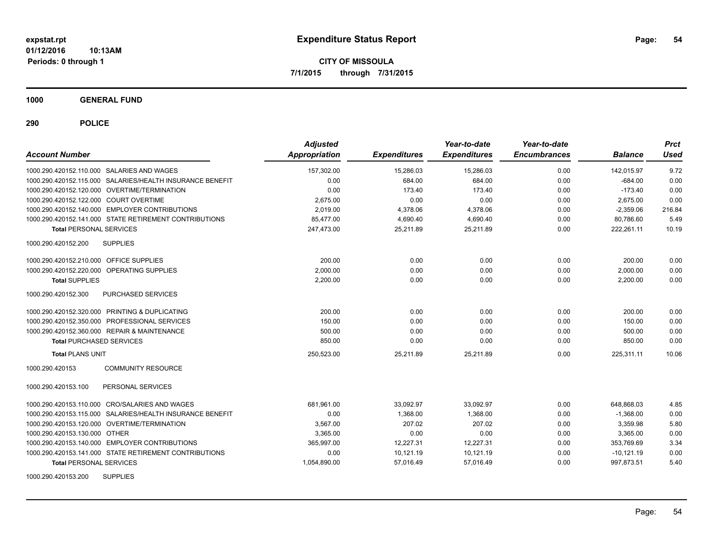**CITY OF MISSOULA 7/1/2015 through 7/31/2015**

**1000 GENERAL FUND**

| <b>Account Number</b>                                     | <b>Adjusted</b><br>Appropriation | <b>Expenditures</b> | Year-to-date<br><b>Expenditures</b> | Year-to-date<br><b>Encumbrances</b> | <b>Balance</b> | <b>Prct</b><br><b>Used</b> |
|-----------------------------------------------------------|----------------------------------|---------------------|-------------------------------------|-------------------------------------|----------------|----------------------------|
| 1000.290.420152.110.000 SALARIES AND WAGES                | 157.302.00                       | 15,286.03           | 15,286.03                           | 0.00                                | 142,015.97     | 9.72                       |
| 1000.290.420152.115.000 SALARIES/HEALTH INSURANCE BENEFIT | 0.00                             | 684.00              | 684.00                              | 0.00                                | $-684.00$      | 0.00                       |
| 1000.290.420152.120.000 OVERTIME/TERMINATION              | 0.00                             | 173.40              | 173.40                              | 0.00                                | $-173.40$      | 0.00                       |
| 1000.290.420152.122.000 COURT OVERTIME                    | 2,675.00                         | 0.00                | 0.00                                | 0.00                                | 2,675.00       | 0.00                       |
| 1000.290.420152.140.000 EMPLOYER CONTRIBUTIONS            | 2.019.00                         | 4,378.06            | 4,378.06                            | 0.00                                | $-2.359.06$    | 216.84                     |
| 1000.290.420152.141.000 STATE RETIREMENT CONTRIBUTIONS    | 85,477.00                        | 4,690.40            | 4,690.40                            | 0.00                                | 80,786.60      | 5.49                       |
| <b>Total PERSONAL SERVICES</b>                            | 247,473.00                       | 25,211.89           | 25,211.89                           | 0.00                                | 222,261.11     | 10.19                      |
| <b>SUPPLIES</b><br>1000.290.420152.200                    |                                  |                     |                                     |                                     |                |                            |
| 1000.290.420152.210.000 OFFICE SUPPLIES                   | 200.00                           | 0.00                | 0.00                                | 0.00                                | 200.00         | 0.00                       |
| 1000.290.420152.220.000 OPERATING SUPPLIES                | 2,000.00                         | 0.00                | 0.00                                | 0.00                                | 2,000.00       | 0.00                       |
| <b>Total SUPPLIES</b>                                     | 2,200.00                         | 0.00                | 0.00                                | 0.00                                | 2,200.00       | 0.00                       |
| <b>PURCHASED SERVICES</b><br>1000.290.420152.300          |                                  |                     |                                     |                                     |                |                            |
| 1000.290.420152.320.000 PRINTING & DUPLICATING            | 200.00                           | 0.00                | 0.00                                | 0.00                                | 200.00         | 0.00                       |
| 1000.290.420152.350.000 PROFESSIONAL SERVICES             | 150.00                           | 0.00                | 0.00                                | 0.00                                | 150.00         | 0.00                       |
| 1000.290.420152.360.000 REPAIR & MAINTENANCE              | 500.00                           | 0.00                | 0.00                                | 0.00                                | 500.00         | 0.00                       |
| <b>Total PURCHASED SERVICES</b>                           | 850.00                           | 0.00                | 0.00                                | 0.00                                | 850.00         | 0.00                       |
| <b>Total PLANS UNIT</b>                                   | 250,523.00                       | 25.211.89           | 25.211.89                           | 0.00                                | 225.311.11     | 10.06                      |
| <b>COMMUNITY RESOURCE</b><br>1000.290.420153              |                                  |                     |                                     |                                     |                |                            |
| 1000.290.420153.100<br>PERSONAL SERVICES                  |                                  |                     |                                     |                                     |                |                            |
| 1000.290.420153.110.000 CRO/SALARIES AND WAGES            | 681.961.00                       | 33.092.97           | 33.092.97                           | 0.00                                | 648.868.03     | 4.85                       |
| 1000.290.420153.115.000 SALARIES/HEALTH INSURANCE BENEFIT | 0.00                             | 1.368.00            | 1.368.00                            | 0.00                                | $-1,368.00$    | 0.00                       |
| 1000.290.420153.120.000 OVERTIME/TERMINATION              | 3.567.00                         | 207.02              | 207.02                              | 0.00                                | 3,359.98       | 5.80                       |
| 1000.290.420153.130.000 OTHER                             | 3,365.00                         | 0.00                | 0.00                                | 0.00                                | 3,365.00       | 0.00                       |
| 1000.290.420153.140.000 EMPLOYER CONTRIBUTIONS            | 365,997.00                       | 12,227.31           | 12,227.31                           | 0.00                                | 353,769.69     | 3.34                       |
| 1000.290.420153.141.000 STATE RETIREMENT CONTRIBUTIONS    | 0.00                             | 10,121.19           | 10,121.19                           | 0.00                                | $-10,121.19$   | 0.00                       |
| <b>Total PERSONAL SERVICES</b>                            | 1,054,890.00                     | 57,016.49           | 57,016.49                           | 0.00                                | 997,873.51     | 5.40                       |
| <b>SUPPLIES</b><br>1000.290.420153.200                    |                                  |                     |                                     |                                     |                |                            |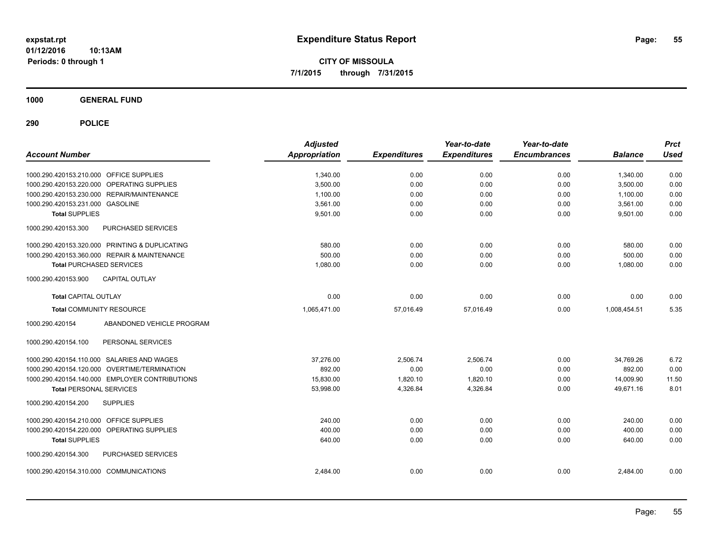**CITY OF MISSOULA 7/1/2015 through 7/31/2015**

**1000 GENERAL FUND**

| <b>Account Number</b>                          |                                                | <b>Adjusted</b><br><b>Appropriation</b> | <b>Expenditures</b> | Year-to-date<br><b>Expenditures</b> | Year-to-date<br><b>Encumbrances</b> | <b>Balance</b> | <b>Prct</b><br><b>Used</b> |
|------------------------------------------------|------------------------------------------------|-----------------------------------------|---------------------|-------------------------------------|-------------------------------------|----------------|----------------------------|
| 1000.290.420153.210.000 OFFICE SUPPLIES        |                                                | 1,340.00                                | 0.00                | 0.00                                | 0.00                                | 1,340.00       | 0.00                       |
| 1000.290.420153.220.000 OPERATING SUPPLIES     |                                                | 3,500.00                                | 0.00                | 0.00                                | 0.00                                | 3,500.00       | 0.00                       |
| 1000.290.420153.230.000 REPAIR/MAINTENANCE     |                                                | 1,100.00                                | 0.00                | 0.00                                | 0.00                                | 1,100.00       | 0.00                       |
| 1000.290.420153.231.000 GASOLINE               |                                                | 3,561.00                                | 0.00                | 0.00                                | 0.00                                | 3,561.00       | 0.00                       |
| <b>Total SUPPLIES</b>                          |                                                | 9,501.00                                | 0.00                | 0.00                                | 0.00                                | 9,501.00       | 0.00                       |
| 1000.290.420153.300                            | <b>PURCHASED SERVICES</b>                      |                                         |                     |                                     |                                     |                |                            |
| 1000.290.420153.320.000 PRINTING & DUPLICATING |                                                | 580.00                                  | 0.00                | 0.00                                | 0.00                                | 580.00         | 0.00                       |
| 1000.290.420153.360.000 REPAIR & MAINTENANCE   |                                                | 500.00                                  | 0.00                | 0.00                                | 0.00                                | 500.00         | 0.00                       |
| <b>Total PURCHASED SERVICES</b>                |                                                | 1,080.00                                | 0.00                | 0.00                                | 0.00                                | 1,080.00       | 0.00                       |
| 1000.290.420153.900                            | <b>CAPITAL OUTLAY</b>                          |                                         |                     |                                     |                                     |                |                            |
| <b>Total CAPITAL OUTLAY</b>                    |                                                | 0.00                                    | 0.00                | 0.00                                | 0.00                                | 0.00           | 0.00                       |
| <b>Total COMMUNITY RESOURCE</b>                |                                                | 1,065,471.00                            | 57,016.49           | 57,016.49                           | 0.00                                | 1,008,454.51   | 5.35                       |
| 1000.290.420154                                | ABANDONED VEHICLE PROGRAM                      |                                         |                     |                                     |                                     |                |                            |
| 1000.290.420154.100                            | PERSONAL SERVICES                              |                                         |                     |                                     |                                     |                |                            |
| 1000.290.420154.110.000 SALARIES AND WAGES     |                                                | 37,276.00                               | 2,506.74            | 2,506.74                            | 0.00                                | 34,769.26      | 6.72                       |
| 1000.290.420154.120.000 OVERTIME/TERMINATION   |                                                | 892.00                                  | 0.00                | 0.00                                | 0.00                                | 892.00         | 0.00                       |
|                                                | 1000.290.420154.140.000 EMPLOYER CONTRIBUTIONS | 15,830.00                               | 1,820.10            | 1,820.10                            | 0.00                                | 14,009.90      | 11.50                      |
| <b>Total PERSONAL SERVICES</b>                 |                                                | 53,998.00                               | 4,326.84            | 4,326.84                            | 0.00                                | 49,671.16      | 8.01                       |
| 1000.290.420154.200                            | <b>SUPPLIES</b>                                |                                         |                     |                                     |                                     |                |                            |
| 1000.290.420154.210.000 OFFICE SUPPLIES        |                                                | 240.00                                  | 0.00                | 0.00                                | 0.00                                | 240.00         | 0.00                       |
| 1000.290.420154.220.000 OPERATING SUPPLIES     |                                                | 400.00                                  | 0.00                | 0.00                                | 0.00                                | 400.00         | 0.00                       |
| <b>Total SUPPLIES</b>                          |                                                | 640.00                                  | 0.00                | 0.00                                | 0.00                                | 640.00         | 0.00                       |
| 1000.290.420154.300                            | PURCHASED SERVICES                             |                                         |                     |                                     |                                     |                |                            |
| 1000.290.420154.310.000 COMMUNICATIONS         |                                                | 2.484.00                                | 0.00                | 0.00                                | 0.00                                | 2,484.00       | 0.00                       |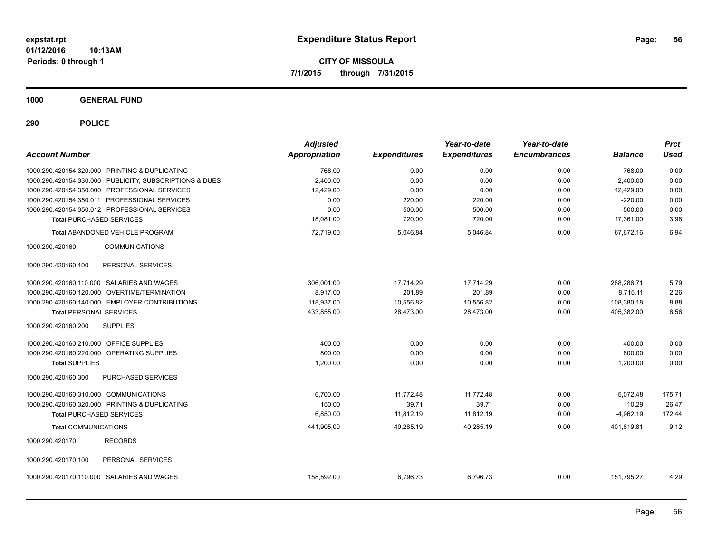**CITY OF MISSOULA 7/1/2015 through 7/31/2015**

**1000 GENERAL FUND**

| <b>Account Number</b>                                   | <b>Adjusted</b><br><b>Appropriation</b> | <b>Expenditures</b> | Year-to-date<br><b>Expenditures</b> | Year-to-date<br><b>Encumbrances</b> | <b>Balance</b> | <b>Prct</b><br><b>Used</b> |
|---------------------------------------------------------|-----------------------------------------|---------------------|-------------------------------------|-------------------------------------|----------------|----------------------------|
| 1000.290.420154.320.000 PRINTING & DUPLICATING          | 768.00                                  | 0.00                | 0.00                                | 0.00                                | 768.00         | 0.00                       |
| 1000.290.420154.330.000 PUBLICITY, SUBSCRIPTIONS & DUES | 2,400.00                                | 0.00                | 0.00                                | 0.00                                | 2,400.00       | 0.00                       |
| 1000.290.420154.350.000 PROFESSIONAL SERVICES           | 12,429.00                               | 0.00                | 0.00                                | 0.00                                | 12,429.00      | 0.00                       |
| 1000.290.420154.350.011 PROFESSIONAL SERVICES           | 0.00                                    | 220.00              | 220.00                              | 0.00                                | $-220.00$      | 0.00                       |
| 1000.290.420154.350.012 PROFESSIONAL SERVICES           | 0.00                                    | 500.00              | 500.00                              | 0.00                                | $-500.00$      | 0.00                       |
| <b>Total PURCHASED SERVICES</b>                         | 18,081.00                               | 720.00              | 720.00                              | 0.00                                | 17,361.00      | 3.98                       |
| <b>Total ABANDONED VEHICLE PROGRAM</b>                  | 72,719.00                               | 5,046.84            | 5,046.84                            | 0.00                                | 67,672.16      | 6.94                       |
| 1000.290.420160<br><b>COMMUNICATIONS</b>                |                                         |                     |                                     |                                     |                |                            |
| PERSONAL SERVICES<br>1000.290.420160.100                |                                         |                     |                                     |                                     |                |                            |
| 1000.290.420160.110.000 SALARIES AND WAGES              | 306,001.00                              | 17,714.29           | 17,714.29                           | 0.00                                | 288,286.71     | 5.79                       |
| 1000.290.420160.120.000 OVERTIME/TERMINATION            | 8,917.00                                | 201.89              | 201.89                              | 0.00                                | 8,715.11       | 2.26                       |
| 1000.290.420160.140.000 EMPLOYER CONTRIBUTIONS          | 118,937.00                              | 10,556.82           | 10,556.82                           | 0.00                                | 108,380.18     | 8.88                       |
| <b>Total PERSONAL SERVICES</b>                          | 433,855.00                              | 28,473.00           | 28,473.00                           | 0.00                                | 405,382.00     | 6.56                       |
| <b>SUPPLIES</b><br>1000.290.420160.200                  |                                         |                     |                                     |                                     |                |                            |
| 1000.290.420160.210.000 OFFICE SUPPLIES                 | 400.00                                  | 0.00                | 0.00                                | 0.00                                | 400.00         | 0.00                       |
| 1000.290.420160.220.000 OPERATING SUPPLIES              | 800.00                                  | 0.00                | 0.00                                | 0.00                                | 800.00         | 0.00                       |
| <b>Total SUPPLIES</b>                                   | 1,200.00                                | 0.00                | 0.00                                | 0.00                                | 1,200.00       | 0.00                       |
| 1000.290.420160.300<br>PURCHASED SERVICES               |                                         |                     |                                     |                                     |                |                            |
| 1000.290.420160.310.000 COMMUNICATIONS                  | 6,700.00                                | 11,772.48           | 11,772.48                           | 0.00                                | $-5,072.48$    | 175.71                     |
| 1000.290.420160.320.000 PRINTING & DUPLICATING          | 150.00                                  | 39.71               | 39.71                               | 0.00                                | 110.29         | 26.47                      |
| <b>Total PURCHASED SERVICES</b>                         | 6,850.00                                | 11,812.19           | 11,812.19                           | 0.00                                | $-4,962.19$    | 172.44                     |
| <b>Total COMMUNICATIONS</b>                             | 441,905.00                              | 40,285.19           | 40,285.19                           | 0.00                                | 401,619.81     | 9.12                       |
| 1000.290.420170<br><b>RECORDS</b>                       |                                         |                     |                                     |                                     |                |                            |
| 1000.290.420170.100<br>PERSONAL SERVICES                |                                         |                     |                                     |                                     |                |                            |
| 1000.290.420170.110.000 SALARIES AND WAGES              | 158,592.00                              | 6,796.73            | 6,796.73                            | 0.00                                | 151,795.27     | 4.29                       |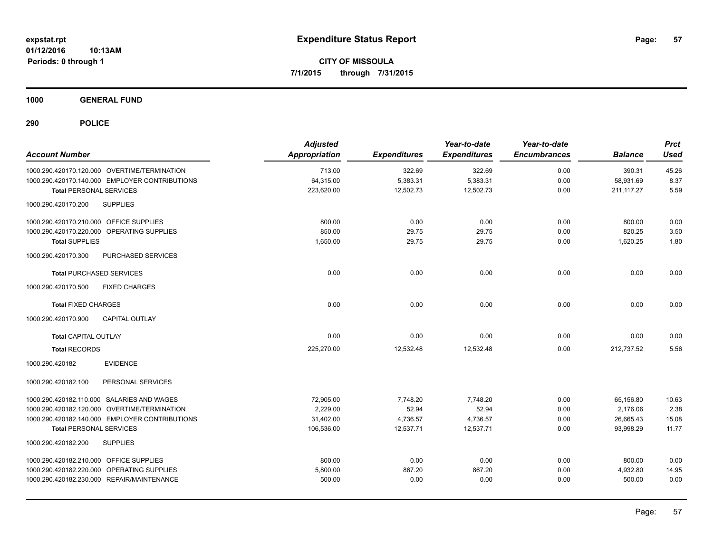**CITY OF MISSOULA 7/1/2015 through 7/31/2015**

**1000 GENERAL FUND**

| <b>Account Number</b>                          | <b>Adjusted</b><br><b>Appropriation</b> | <b>Expenditures</b> | Year-to-date<br><b>Expenditures</b> | Year-to-date<br><b>Encumbrances</b> | <b>Balance</b> | <b>Prct</b><br><b>Used</b> |
|------------------------------------------------|-----------------------------------------|---------------------|-------------------------------------|-------------------------------------|----------------|----------------------------|
| 1000.290.420170.120.000 OVERTIME/TERMINATION   | 713.00                                  | 322.69              | 322.69                              | 0.00                                | 390.31         | 45.26                      |
| 1000.290.420170.140.000 EMPLOYER CONTRIBUTIONS | 64,315.00                               | 5,383.31            | 5,383.31                            | 0.00                                | 58,931.69      | 8.37                       |
| <b>Total PERSONAL SERVICES</b>                 | 223,620.00                              | 12,502.73           | 12,502.73                           | 0.00                                | 211, 117.27    | 5.59                       |
| <b>SUPPLIES</b><br>1000.290.420170.200         |                                         |                     |                                     |                                     |                |                            |
| 1000.290.420170.210.000 OFFICE SUPPLIES        | 800.00                                  | 0.00                | 0.00                                | 0.00                                | 800.00         | 0.00                       |
| 1000.290.420170.220.000 OPERATING SUPPLIES     | 850.00                                  | 29.75               | 29.75                               | 0.00                                | 820.25         | 3.50                       |
| <b>Total SUPPLIES</b>                          | 1,650.00                                | 29.75               | 29.75                               | 0.00                                | 1,620.25       | 1.80                       |
| PURCHASED SERVICES<br>1000.290.420170.300      |                                         |                     |                                     |                                     |                |                            |
| <b>Total PURCHASED SERVICES</b>                | 0.00                                    | 0.00                | 0.00                                | 0.00                                | 0.00           | 0.00                       |
| 1000.290.420170.500<br><b>FIXED CHARGES</b>    |                                         |                     |                                     |                                     |                |                            |
| <b>Total FIXED CHARGES</b>                     | 0.00                                    | 0.00                | 0.00                                | 0.00                                | 0.00           | 0.00                       |
| <b>CAPITAL OUTLAY</b><br>1000.290.420170.900   |                                         |                     |                                     |                                     |                |                            |
| <b>Total CAPITAL OUTLAY</b>                    | 0.00                                    | 0.00                | 0.00                                | 0.00                                | 0.00           | 0.00                       |
| <b>Total RECORDS</b>                           | 225,270.00                              | 12,532.48           | 12,532.48                           | 0.00                                | 212,737.52     | 5.56                       |
| <b>EVIDENCE</b><br>1000.290.420182             |                                         |                     |                                     |                                     |                |                            |
| PERSONAL SERVICES<br>1000.290.420182.100       |                                         |                     |                                     |                                     |                |                            |
| 1000.290.420182.110.000 SALARIES AND WAGES     | 72,905.00                               | 7,748.20            | 7,748.20                            | 0.00                                | 65,156.80      | 10.63                      |
| 1000.290.420182.120.000 OVERTIME/TERMINATION   | 2,229.00                                | 52.94               | 52.94                               | 0.00                                | 2,176.06       | 2.38                       |
| 1000.290.420182.140.000 EMPLOYER CONTRIBUTIONS | 31,402.00                               | 4,736.57            | 4,736.57                            | 0.00                                | 26,665.43      | 15.08                      |
| <b>Total PERSONAL SERVICES</b>                 | 106,536.00                              | 12,537.71           | 12,537.71                           | 0.00                                | 93,998.29      | 11.77                      |
| 1000.290.420182.200<br><b>SUPPLIES</b>         |                                         |                     |                                     |                                     |                |                            |
| 1000.290.420182.210.000 OFFICE SUPPLIES        | 800.00                                  | 0.00                | 0.00                                | 0.00                                | 800.00         | 0.00                       |
| 1000.290.420182.220.000 OPERATING SUPPLIES     | 5,800.00                                | 867.20              | 867.20                              | 0.00                                | 4,932.80       | 14.95                      |
| 1000.290.420182.230.000 REPAIR/MAINTENANCE     | 500.00                                  | 0.00                | 0.00                                | 0.00                                | 500.00         | 0.00                       |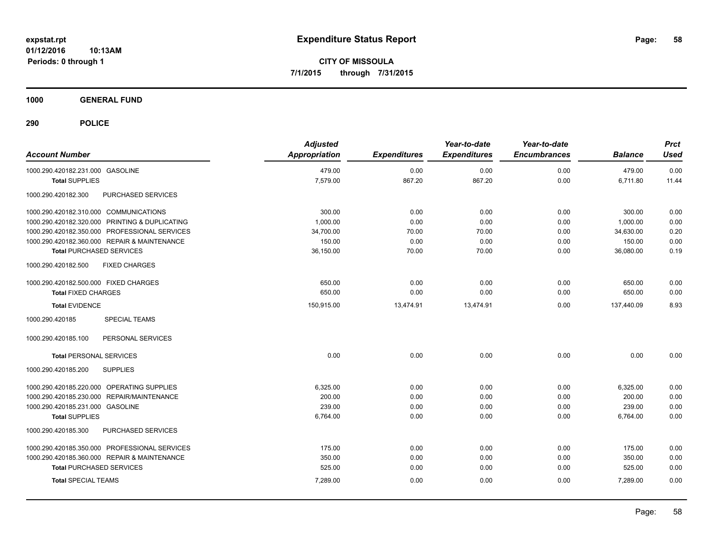**CITY OF MISSOULA 7/1/2015 through 7/31/2015**

**1000 GENERAL FUND**

| <b>Account Number</b>                                | <b>Adjusted</b><br><b>Appropriation</b> | <b>Expenditures</b> | Year-to-date<br><b>Expenditures</b> | Year-to-date<br><b>Encumbrances</b> | <b>Balance</b> | <b>Prct</b><br><b>Used</b> |
|------------------------------------------------------|-----------------------------------------|---------------------|-------------------------------------|-------------------------------------|----------------|----------------------------|
| 1000.290.420182.231.000 GASOLINE                     | 479.00                                  | 0.00                | 0.00                                | 0.00                                | 479.00         | 0.00                       |
| <b>Total SUPPLIES</b>                                | 7,579.00                                | 867.20              | 867.20                              | 0.00                                | 6,711.80       | 11.44                      |
| PURCHASED SERVICES<br>1000.290.420182.300            |                                         |                     |                                     |                                     |                |                            |
| 1000.290.420182.310.000 COMMUNICATIONS               | 300.00                                  | 0.00                | 0.00                                | 0.00                                | 300.00         | 0.00                       |
| 1000.290.420182.320.000 PRINTING & DUPLICATING       | 1,000.00                                | 0.00                | 0.00                                | 0.00                                | 1,000.00       | 0.00                       |
| 1000.290.420182.350.000 PROFESSIONAL SERVICES        | 34,700.00                               | 70.00               | 70.00                               | 0.00                                | 34,630.00      | 0.20                       |
| 1000.290.420182.360.000 REPAIR & MAINTENANCE         | 150.00                                  | 0.00                | 0.00                                | 0.00                                | 150.00         | 0.00                       |
| <b>Total PURCHASED SERVICES</b>                      | 36,150.00                               | 70.00               | 70.00                               | 0.00                                | 36,080.00      | 0.19                       |
| 1000.290.420182.500<br><b>FIXED CHARGES</b>          |                                         |                     |                                     |                                     |                |                            |
| 1000.290.420182.500.000 FIXED CHARGES                | 650.00                                  | 0.00                | 0.00                                | 0.00                                | 650.00         | 0.00                       |
| <b>Total FIXED CHARGES</b>                           | 650.00                                  | 0.00                | 0.00                                | 0.00                                | 650.00         | 0.00                       |
| <b>Total EVIDENCE</b>                                | 150,915.00                              | 13,474.91           | 13,474.91                           | 0.00                                | 137,440.09     | 8.93                       |
| <b>SPECIAL TEAMS</b><br>1000.290.420185              |                                         |                     |                                     |                                     |                |                            |
| 1000.290.420185.100<br>PERSONAL SERVICES             |                                         |                     |                                     |                                     |                |                            |
| <b>Total PERSONAL SERVICES</b>                       | 0.00                                    | 0.00                | 0.00                                | 0.00                                | 0.00           | 0.00                       |
| <b>SUPPLIES</b><br>1000.290.420185.200               |                                         |                     |                                     |                                     |                |                            |
| 1000.290.420185.220.000 OPERATING SUPPLIES           | 6,325.00                                | 0.00                | 0.00                                | 0.00                                | 6,325.00       | 0.00                       |
| <b>REPAIR/MAINTENANCE</b><br>1000.290.420185.230.000 | 200.00                                  | 0.00                | 0.00                                | 0.00                                | 200.00         | 0.00                       |
| 1000.290.420185.231.000 GASOLINE                     | 239.00                                  | 0.00                | 0.00                                | 0.00                                | 239.00         | 0.00                       |
| <b>Total SUPPLIES</b>                                | 6,764.00                                | 0.00                | 0.00                                | 0.00                                | 6,764.00       | 0.00                       |
| 1000.290.420185.300<br>PURCHASED SERVICES            |                                         |                     |                                     |                                     |                |                            |
| 1000.290.420185.350.000 PROFESSIONAL SERVICES        | 175.00                                  | 0.00                | 0.00                                | 0.00                                | 175.00         | 0.00                       |
| 1000.290.420185.360.000 REPAIR & MAINTENANCE         | 350.00                                  | 0.00                | 0.00                                | 0.00                                | 350.00         | 0.00                       |
| <b>Total PURCHASED SERVICES</b>                      | 525.00                                  | 0.00                | 0.00                                | 0.00                                | 525.00         | 0.00                       |
| <b>Total SPECIAL TEAMS</b>                           | 7,289.00                                | 0.00                | 0.00                                | 0.00                                | 7.289.00       | 0.00                       |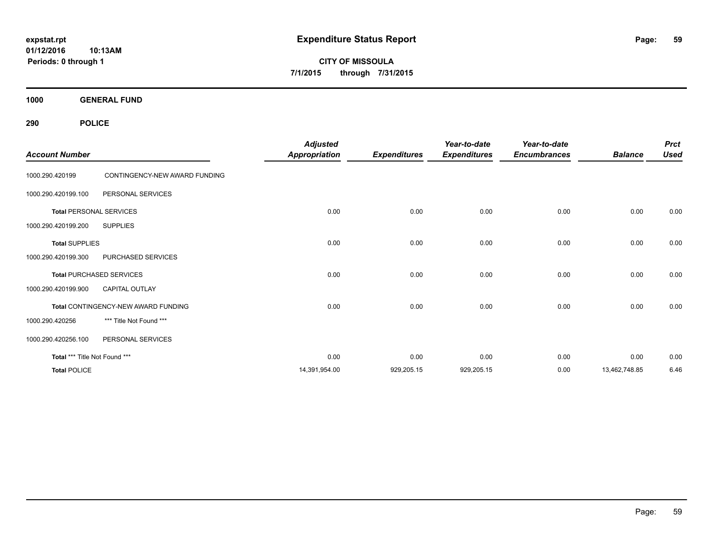**CITY OF MISSOULA 7/1/2015 through 7/31/2015**

**1000 GENERAL FUND**

| <b>Account Number</b>         |                                     | <b>Adjusted</b><br><b>Appropriation</b> | <b>Expenditures</b> | Year-to-date<br><b>Expenditures</b> | Year-to-date<br><b>Encumbrances</b> | <b>Balance</b> | <b>Prct</b><br><b>Used</b> |
|-------------------------------|-------------------------------------|-----------------------------------------|---------------------|-------------------------------------|-------------------------------------|----------------|----------------------------|
| 1000.290.420199               | CONTINGENCY-NEW AWARD FUNDING       |                                         |                     |                                     |                                     |                |                            |
| 1000.290.420199.100           | PERSONAL SERVICES                   |                                         |                     |                                     |                                     |                |                            |
|                               | <b>Total PERSONAL SERVICES</b>      | 0.00                                    | 0.00                | 0.00                                | 0.00                                | 0.00           | 0.00                       |
| 1000.290.420199.200           | <b>SUPPLIES</b>                     |                                         |                     |                                     |                                     |                |                            |
| <b>Total SUPPLIES</b>         |                                     | 0.00                                    | 0.00                | 0.00                                | 0.00                                | 0.00           | 0.00                       |
| 1000.290.420199.300           | PURCHASED SERVICES                  |                                         |                     |                                     |                                     |                |                            |
|                               | <b>Total PURCHASED SERVICES</b>     | 0.00                                    | 0.00                | 0.00                                | 0.00                                | 0.00           | 0.00                       |
| 1000.290.420199.900           | <b>CAPITAL OUTLAY</b>               |                                         |                     |                                     |                                     |                |                            |
|                               | Total CONTINGENCY-NEW AWARD FUNDING | 0.00                                    | 0.00                | 0.00                                | 0.00                                | 0.00           | 0.00                       |
| 1000.290.420256               | *** Title Not Found ***             |                                         |                     |                                     |                                     |                |                            |
| 1000.290.420256.100           | PERSONAL SERVICES                   |                                         |                     |                                     |                                     |                |                            |
| Total *** Title Not Found *** |                                     | 0.00                                    | 0.00                | 0.00                                | 0.00                                | 0.00           | 0.00                       |
| <b>Total POLICE</b>           |                                     | 14,391,954.00                           | 929,205.15          | 929,205.15                          | 0.00                                | 13,462,748.85  | 6.46                       |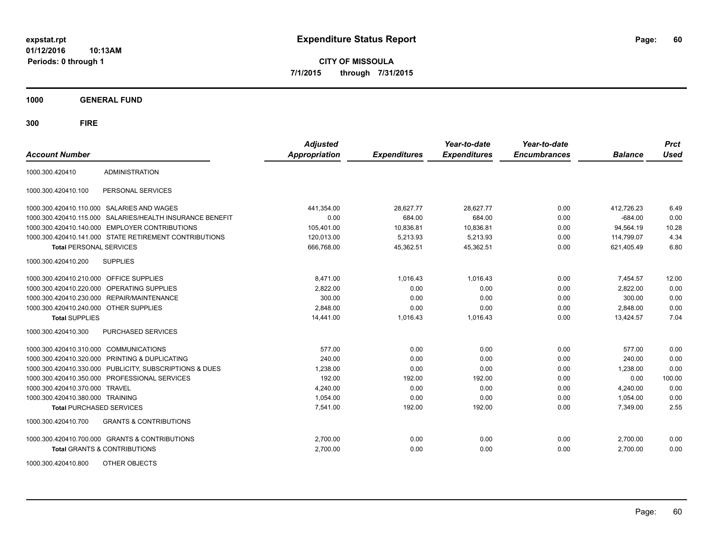**CITY OF MISSOULA 7/1/2015 through 7/31/2015**

**1000 GENERAL FUND**

| <b>Account Number</b>                   |                                                         | <b>Adjusted</b><br><b>Appropriation</b> | <b>Expenditures</b> | Year-to-date<br><b>Expenditures</b> | Year-to-date<br><b>Encumbrances</b> | <b>Balance</b> | <b>Prct</b><br><b>Used</b> |
|-----------------------------------------|---------------------------------------------------------|-----------------------------------------|---------------------|-------------------------------------|-------------------------------------|----------------|----------------------------|
| 1000.300.420410                         | <b>ADMINISTRATION</b>                                   |                                         |                     |                                     |                                     |                |                            |
| 1000.300.420410.100                     | PERSONAL SERVICES                                       |                                         |                     |                                     |                                     |                |                            |
|                                         | 1000.300.420410.110.000 SALARIES AND WAGES              | 441,354.00                              | 28,627.77           | 28,627.77                           | 0.00                                | 412,726.23     | 6.49                       |
| 1000.300.420410.115.000                 | SALARIES/HEALTH INSURANCE BENEFIT                       | 0.00                                    | 684.00              | 684.00                              | 0.00                                | $-684.00$      | 0.00                       |
|                                         | 1000.300.420410.140.000 EMPLOYER CONTRIBUTIONS          | 105,401.00                              | 10,836.81           | 10,836.81                           | 0.00                                | 94.564.19      | 10.28                      |
|                                         | 1000.300.420410.141.000 STATE RETIREMENT CONTRIBUTIONS  | 120,013.00                              | 5,213.93            | 5,213.93                            | 0.00                                | 114,799.07     | 4.34                       |
| <b>Total PERSONAL SERVICES</b>          |                                                         | 666,768.00                              | 45,362.51           | 45,362.51                           | 0.00                                | 621,405.49     | 6.80                       |
| 1000.300.420410.200                     | <b>SUPPLIES</b>                                         |                                         |                     |                                     |                                     |                |                            |
| 1000.300.420410.210.000 OFFICE SUPPLIES |                                                         | 8,471.00                                | 1,016.43            | 1,016.43                            | 0.00                                | 7,454.57       | 12.00                      |
|                                         | 1000.300.420410.220.000 OPERATING SUPPLIES              | 2,822.00                                | 0.00                | 0.00                                | 0.00                                | 2,822.00       | 0.00                       |
|                                         | 1000.300.420410.230.000 REPAIR/MAINTENANCE              | 300.00                                  | 0.00                | 0.00                                | 0.00                                | 300.00         | 0.00                       |
| 1000.300.420410.240.000 OTHER SUPPLIES  |                                                         | 2.848.00                                | 0.00                | 0.00                                | 0.00                                | 2,848.00       | 0.00                       |
| <b>Total SUPPLIES</b>                   |                                                         | 14,441.00                               | 1,016.43            | 1,016.43                            | 0.00                                | 13,424.57      | 7.04                       |
| 1000.300.420410.300                     | <b>PURCHASED SERVICES</b>                               |                                         |                     |                                     |                                     |                |                            |
| 1000.300.420410.310.000                 | <b>COMMUNICATIONS</b>                                   | 577.00                                  | 0.00                | 0.00                                | 0.00                                | 577.00         | 0.00                       |
|                                         | 1000.300.420410.320.000 PRINTING & DUPLICATING          | 240.00                                  | 0.00                | 0.00                                | 0.00                                | 240.00         | 0.00                       |
|                                         | 1000.300.420410.330.000 PUBLICITY, SUBSCRIPTIONS & DUES | 1,238.00                                | 0.00                | 0.00                                | 0.00                                | 1.238.00       | 0.00                       |
|                                         | 1000.300.420410.350.000 PROFESSIONAL SERVICES           | 192.00                                  | 192.00              | 192.00                              | 0.00                                | 0.00           | 100.00                     |
| 1000.300.420410.370.000                 | <b>TRAVEL</b>                                           | 4,240.00                                | 0.00                | 0.00                                | 0.00                                | 4,240.00       | 0.00                       |
| 1000.300.420410.380.000 TRAINING        |                                                         | 1,054.00                                | 0.00                | 0.00                                | 0.00                                | 1,054.00       | 0.00                       |
| <b>Total PURCHASED SERVICES</b>         |                                                         | 7,541.00                                | 192.00              | 192.00                              | 0.00                                | 7,349.00       | 2.55                       |
| 1000.300.420410.700                     | <b>GRANTS &amp; CONTRIBUTIONS</b>                       |                                         |                     |                                     |                                     |                |                            |
|                                         | 1000.300.420410.700.000 GRANTS & CONTRIBUTIONS          | 2,700.00                                | 0.00                | 0.00                                | 0.00                                | 2,700.00       | 0.00                       |
|                                         | <b>Total GRANTS &amp; CONTRIBUTIONS</b>                 | 2,700.00                                | 0.00                | 0.00                                | 0.00                                | 2,700.00       | 0.00                       |
| 1000.300.420410.800                     | OTHER OBJECTS                                           |                                         |                     |                                     |                                     |                |                            |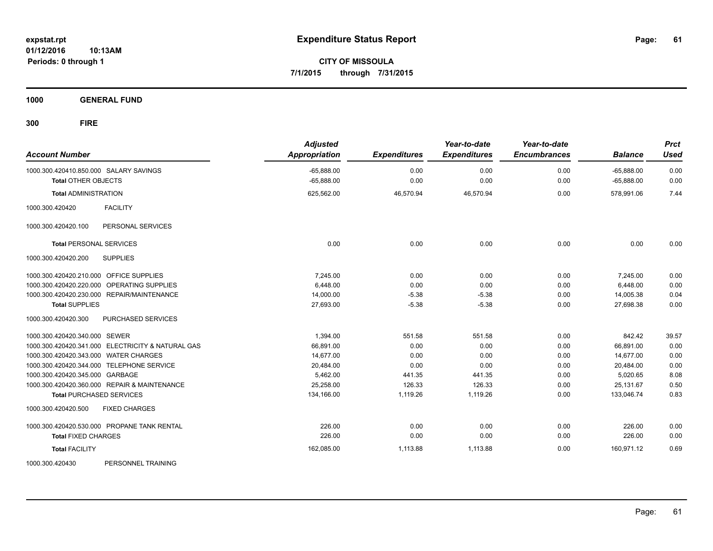**CITY OF MISSOULA 7/1/2015 through 7/31/2015**

**1000 GENERAL FUND**

| <b>Account Number</b>                             | <b>Adjusted</b><br><b>Appropriation</b> | <b>Expenditures</b> | Year-to-date<br><b>Expenditures</b> | Year-to-date<br><b>Encumbrances</b> | <b>Balance</b> | <b>Prct</b><br><b>Used</b> |
|---------------------------------------------------|-----------------------------------------|---------------------|-------------------------------------|-------------------------------------|----------------|----------------------------|
| 1000.300.420410.850.000 SALARY SAVINGS            | $-65,888.00$                            | 0.00                | 0.00                                | 0.00                                | $-65,888.00$   | 0.00                       |
| <b>Total OTHER OBJECTS</b>                        | $-65,888.00$                            | 0.00                | 0.00                                | 0.00                                | $-65,888.00$   | 0.00                       |
| <b>Total ADMINISTRATION</b>                       | 625,562.00                              | 46,570.94           | 46,570.94                           | 0.00                                | 578,991.06     | 7.44                       |
| <b>FACILITY</b><br>1000.300.420420                |                                         |                     |                                     |                                     |                |                            |
| 1000.300.420420.100<br>PERSONAL SERVICES          |                                         |                     |                                     |                                     |                |                            |
| <b>Total PERSONAL SERVICES</b>                    | 0.00                                    | 0.00                | 0.00                                | 0.00                                | 0.00           | 0.00                       |
| <b>SUPPLIES</b><br>1000.300.420420.200            |                                         |                     |                                     |                                     |                |                            |
| 1000.300.420420.210.000 OFFICE SUPPLIES           | 7.245.00                                | 0.00                | 0.00                                | 0.00                                | 7,245.00       | 0.00                       |
| 1000.300.420420.220.000 OPERATING SUPPLIES        | 6.448.00                                | 0.00                | 0.00                                | 0.00                                | 6.448.00       | 0.00                       |
| 1000.300.420420.230.000 REPAIR/MAINTENANCE        | 14,000.00                               | $-5.38$             | $-5.38$                             | 0.00                                | 14,005.38      | 0.04                       |
| <b>Total SUPPLIES</b>                             | 27,693.00                               | $-5.38$             | $-5.38$                             | 0.00                                | 27,698.38      | 0.00                       |
| 1000.300.420420.300<br>PURCHASED SERVICES         |                                         |                     |                                     |                                     |                |                            |
| 1000.300.420420.340.000 SEWER                     | 1,394.00                                | 551.58              | 551.58                              | 0.00                                | 842.42         | 39.57                      |
| 1000.300.420420.341.000 ELECTRICITY & NATURAL GAS | 66,891.00                               | 0.00                | 0.00                                | 0.00                                | 66,891.00      | 0.00                       |
| 1000.300.420420.343.000 WATER CHARGES             | 14,677.00                               | 0.00                | 0.00                                | 0.00                                | 14,677.00      | 0.00                       |
| 1000.300.420420.344.000 TELEPHONE SERVICE         | 20,484.00                               | 0.00                | 0.00                                | 0.00                                | 20,484.00      | 0.00                       |
| 1000.300.420420.345.000 GARBAGE                   | 5,462.00                                | 441.35              | 441.35                              | 0.00                                | 5,020.65       | 8.08                       |
| 1000.300.420420.360.000 REPAIR & MAINTENANCE      | 25,258.00                               | 126.33              | 126.33                              | 0.00                                | 25,131.67      | 0.50                       |
| <b>Total PURCHASED SERVICES</b>                   | 134,166.00                              | 1,119.26            | 1,119.26                            | 0.00                                | 133,046.74     | 0.83                       |
| <b>FIXED CHARGES</b><br>1000.300.420420.500       |                                         |                     |                                     |                                     |                |                            |
| 1000.300.420420.530.000 PROPANE TANK RENTAL       | 226.00                                  | 0.00                | 0.00                                | 0.00                                | 226.00         | 0.00                       |
| <b>Total FIXED CHARGES</b>                        | 226.00                                  | 0.00                | 0.00                                | 0.00                                | 226.00         | 0.00                       |
| <b>Total FACILITY</b>                             | 162,085.00                              | 1,113.88            | 1,113.88                            | 0.00                                | 160,971.12     | 0.69                       |
| 1000.300.420430<br>PERSONNEL TRAINING             |                                         |                     |                                     |                                     |                |                            |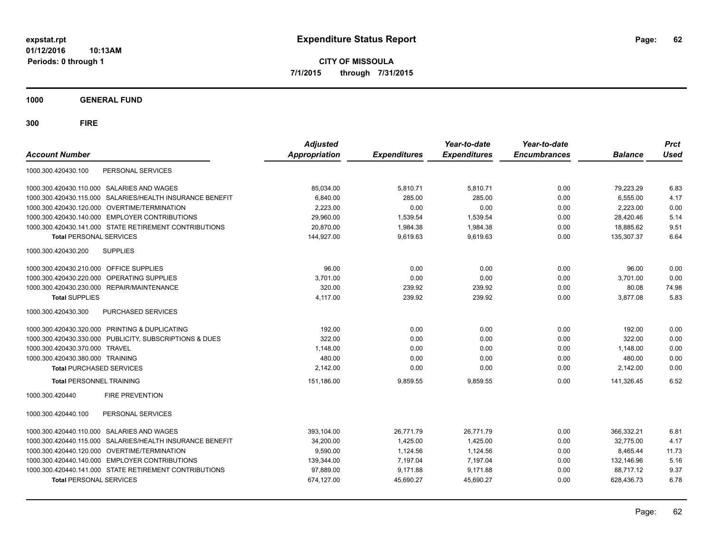**CITY OF MISSOULA 7/1/2015 through 7/31/2015**

**1000 GENERAL FUND**

| <b>Account Number</b>                                        | <b>Adjusted</b><br>Appropriation | <b>Expenditures</b> | Year-to-date<br><b>Expenditures</b> | Year-to-date<br><b>Encumbrances</b> | <b>Balance</b> | <b>Prct</b><br><b>Used</b> |
|--------------------------------------------------------------|----------------------------------|---------------------|-------------------------------------|-------------------------------------|----------------|----------------------------|
| PERSONAL SERVICES<br>1000.300.420430.100                     |                                  |                     |                                     |                                     |                |                            |
| 1000.300.420430.110.000 SALARIES AND WAGES                   | 85,034.00                        | 5,810.71            | 5,810.71                            | 0.00                                | 79,223.29      | 6.83                       |
| SALARIES/HEALTH INSURANCE BENEFIT<br>1000.300.420430.115.000 | 6,840.00                         | 285.00              | 285.00                              | 0.00                                | 6,555.00       | 4.17                       |
| 1000.300.420430.120.000 OVERTIME/TERMINATION                 | 2,223.00                         | 0.00                | 0.00                                | 0.00                                | 2,223.00       | 0.00                       |
| 1000.300.420430.140.000 EMPLOYER CONTRIBUTIONS               | 29,960.00                        | 1,539.54            | 1,539.54                            | 0.00                                | 28,420.46      | 5.14                       |
| 1000.300.420430.141.000 STATE RETIREMENT CONTRIBUTIONS       | 20.870.00                        | 1,984.38            | 1.984.38                            | 0.00                                | 18,885.62      | 9.51                       |
| <b>Total PERSONAL SERVICES</b>                               | 144,927.00                       | 9.619.63            | 9.619.63                            | 0.00                                | 135.307.37     | 6.64                       |
| 1000.300.420430.200<br><b>SUPPLIES</b>                       |                                  |                     |                                     |                                     |                |                            |
| 1000.300.420430.210.000 OFFICE SUPPLIES                      | 96.00                            | 0.00                | 0.00                                | 0.00                                | 96.00          | 0.00                       |
| 1000.300.420430.220.000 OPERATING SUPPLIES                   | 3,701.00                         | 0.00                | 0.00                                | 0.00                                | 3,701.00       | 0.00                       |
| 1000.300.420430.230.000 REPAIR/MAINTENANCE                   | 320.00                           | 239.92              | 239.92                              | 0.00                                | 80.08          | 74.98                      |
| <b>Total SUPPLIES</b>                                        | 4,117.00                         | 239.92              | 239.92                              | 0.00                                | 3,877.08       | 5.83                       |
| PURCHASED SERVICES<br>1000.300.420430.300                    |                                  |                     |                                     |                                     |                |                            |
| 1000.300.420430.320.000 PRINTING & DUPLICATING               | 192.00                           | 0.00                | 0.00                                | 0.00                                | 192.00         | 0.00                       |
| 1000.300.420430.330.000 PUBLICITY, SUBSCRIPTIONS & DUES      | 322.00                           | 0.00                | 0.00                                | 0.00                                | 322.00         | 0.00                       |
| 1000.300.420430.370.000 TRAVEL                               | 1,148.00                         | 0.00                | 0.00                                | 0.00                                | 1,148.00       | 0.00                       |
| 1000.300.420430.380.000 TRAINING                             | 480.00                           | 0.00                | 0.00                                | 0.00                                | 480.00         | 0.00                       |
| <b>Total PURCHASED SERVICES</b>                              | 2,142.00                         | 0.00                | 0.00                                | 0.00                                | 2,142.00       | 0.00                       |
| <b>Total PERSONNEL TRAINING</b>                              | 151,186.00                       | 9,859.55            | 9,859.55                            | 0.00                                | 141,326.45     | 6.52                       |
| 1000.300.420440<br><b>FIRE PREVENTION</b>                    |                                  |                     |                                     |                                     |                |                            |
| 1000.300.420440.100<br>PERSONAL SERVICES                     |                                  |                     |                                     |                                     |                |                            |
| 1000.300.420440.110.000 SALARIES AND WAGES                   | 393.104.00                       | 26.771.79           | 26.771.79                           | 0.00                                | 366.332.21     | 6.81                       |
| SALARIES/HEALTH INSURANCE BENEFIT<br>1000.300.420440.115.000 | 34,200.00                        | 1,425.00            | 1,425.00                            | 0.00                                | 32.775.00      | 4.17                       |
| 1000.300.420440.120.000 OVERTIME/TERMINATION                 | 9,590.00                         | 1,124.56            | 1,124.56                            | 0.00                                | 8,465.44       | 11.73                      |
| 1000.300.420440.140.000 EMPLOYER CONTRIBUTIONS               | 139,344.00                       | 7,197.04            | 7,197.04                            | 0.00                                | 132,146.96     | 5.16                       |
| 1000.300.420440.141.000 STATE RETIREMENT CONTRIBUTIONS       | 97,889.00                        | 9,171.88            | 9,171.88                            | 0.00                                | 88,717.12      | 9.37                       |
| <b>Total PERSONAL SERVICES</b>                               | 674,127.00                       | 45,690.27           | 45,690.27                           | 0.00                                | 628,436.73     | 6.78                       |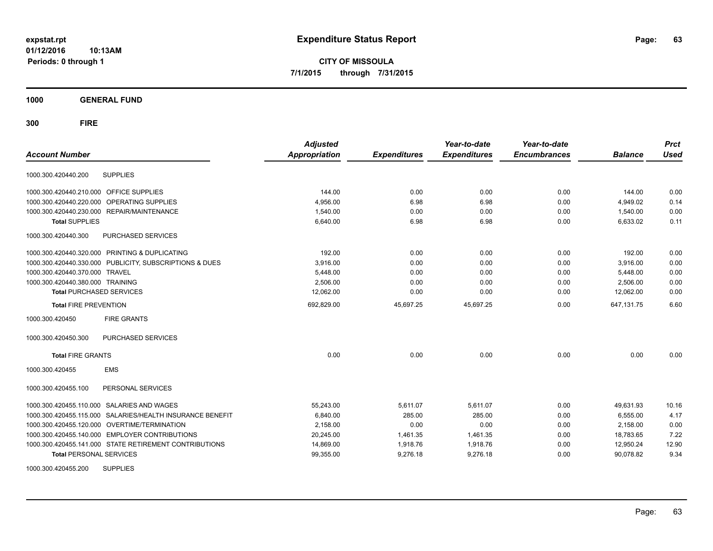**CITY OF MISSOULA 7/1/2015 through 7/31/2015**

**1000 GENERAL FUND**

| <b>Account Number</b>                   |                                                         | <b>Adjusted</b><br>Appropriation | <b>Expenditures</b> | Year-to-date<br><b>Expenditures</b> | Year-to-date<br><b>Encumbrances</b> | <b>Balance</b> | <b>Prct</b><br><b>Used</b> |
|-----------------------------------------|---------------------------------------------------------|----------------------------------|---------------------|-------------------------------------|-------------------------------------|----------------|----------------------------|
|                                         |                                                         |                                  |                     |                                     |                                     |                |                            |
| 1000.300.420440.200                     | <b>SUPPLIES</b>                                         |                                  |                     |                                     |                                     |                |                            |
| 1000.300.420440.210.000 OFFICE SUPPLIES |                                                         | 144.00                           | 0.00                | 0.00                                | 0.00                                | 144.00         | 0.00                       |
| 1000.300.420440.220.000                 | OPERATING SUPPLIES                                      | 4,956.00                         | 6.98                | 6.98                                | 0.00                                | 4,949.02       | 0.14                       |
|                                         | 1000.300.420440.230.000 REPAIR/MAINTENANCE              | 1,540.00                         | 0.00                | 0.00                                | 0.00                                | 1,540.00       | 0.00                       |
| <b>Total SUPPLIES</b>                   |                                                         | 6,640.00                         | 6.98                | 6.98                                | 0.00                                | 6,633.02       | 0.11                       |
| 1000.300.420440.300                     | PURCHASED SERVICES                                      |                                  |                     |                                     |                                     |                |                            |
|                                         | 1000.300.420440.320.000 PRINTING & DUPLICATING          | 192.00                           | 0.00                | 0.00                                | 0.00                                | 192.00         | 0.00                       |
|                                         | 1000.300.420440.330.000 PUBLICITY, SUBSCRIPTIONS & DUES | 3,916.00                         | 0.00                | 0.00                                | 0.00                                | 3,916.00       | 0.00                       |
| 1000.300.420440.370.000 TRAVEL          |                                                         | 5,448.00                         | 0.00                | 0.00                                | 0.00                                | 5,448.00       | 0.00                       |
| 1000.300.420440.380.000 TRAINING        |                                                         | 2,506.00                         | 0.00                | 0.00                                | 0.00                                | 2,506.00       | 0.00                       |
| <b>Total PURCHASED SERVICES</b>         |                                                         | 12,062.00                        | 0.00                | 0.00                                | 0.00                                | 12,062.00      | 0.00                       |
| <b>Total FIRE PREVENTION</b>            |                                                         | 692,829.00                       | 45,697.25           | 45,697.25                           | 0.00                                | 647, 131.75    | 6.60                       |
| 1000.300.420450                         | <b>FIRE GRANTS</b>                                      |                                  |                     |                                     |                                     |                |                            |
| 1000.300.420450.300                     | PURCHASED SERVICES                                      |                                  |                     |                                     |                                     |                |                            |
| <b>Total FIRE GRANTS</b>                |                                                         | 0.00                             | 0.00                | 0.00                                | 0.00                                | 0.00           | 0.00                       |
| 1000.300.420455                         | <b>EMS</b>                                              |                                  |                     |                                     |                                     |                |                            |
| 1000.300.420455.100                     | PERSONAL SERVICES                                       |                                  |                     |                                     |                                     |                |                            |
| 1000.300.420455.110.000                 | <b>SALARIES AND WAGES</b>                               | 55,243.00                        | 5,611.07            | 5,611.07                            | 0.00                                | 49,631.93      | 10.16                      |
| 1000.300.420455.115.000                 | SALARIES/HEALTH INSURANCE BENEFIT                       | 6,840.00                         | 285.00              | 285.00                              | 0.00                                | 6,555.00       | 4.17                       |
|                                         | 1000.300.420455.120.000 OVERTIME/TERMINATION            | 2,158.00                         | 0.00                | 0.00                                | 0.00                                | 2,158.00       | 0.00                       |
|                                         | 1000.300.420455.140.000 EMPLOYER CONTRIBUTIONS          | 20,245.00                        | 1,461.35            | 1,461.35                            | 0.00                                | 18,783.65      | 7.22                       |
|                                         | 1000.300.420455.141.000 STATE RETIREMENT CONTRIBUTIONS  | 14,869.00                        | 1,918.76            | 1,918.76                            | 0.00                                | 12,950.24      | 12.90                      |
| <b>Total PERSONAL SERVICES</b>          |                                                         | 99,355.00                        | 9,276.18            | 9,276.18                            | 0.00                                | 90,078.82      | 9.34                       |
| 1000.300.420455.200                     | <b>SUPPLIES</b>                                         |                                  |                     |                                     |                                     |                |                            |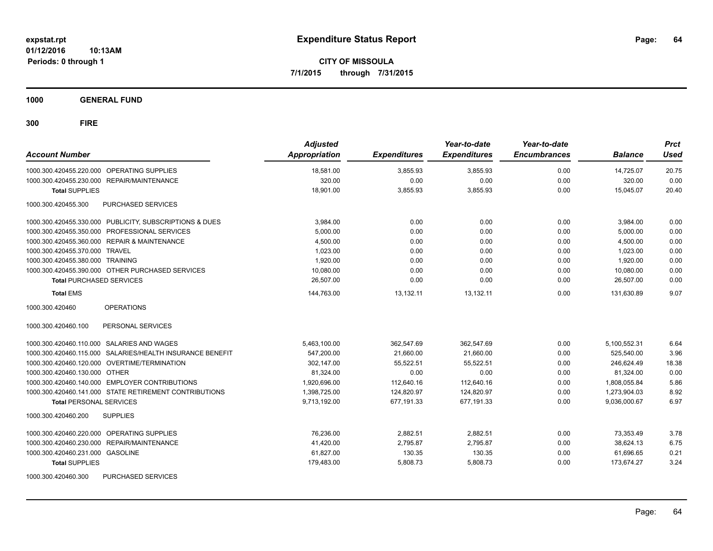**CITY OF MISSOULA 7/1/2015 through 7/31/2015**

**1000 GENERAL FUND**

| <b>Account Number</b>                                     | <b>Adjusted</b><br><b>Appropriation</b> | <b>Expenditures</b> | Year-to-date<br><b>Expenditures</b> | Year-to-date<br><b>Encumbrances</b> | <b>Balance</b> | <b>Prct</b><br><b>Used</b> |
|-----------------------------------------------------------|-----------------------------------------|---------------------|-------------------------------------|-------------------------------------|----------------|----------------------------|
| 1000.300.420455.220.000 OPERATING SUPPLIES                | 18.581.00                               | 3.855.93            | 3.855.93                            | 0.00                                | 14,725.07      | 20.75                      |
| 1000.300.420455.230.000 REPAIR/MAINTENANCE                | 320.00                                  | 0.00                | 0.00                                | 0.00                                | 320.00         | 0.00                       |
| <b>Total SUPPLIES</b>                                     | 18.901.00                               | 3.855.93            | 3.855.93                            | 0.00                                | 15.045.07      | 20.40                      |
| 1000.300.420455.300<br>PURCHASED SERVICES                 |                                         |                     |                                     |                                     |                |                            |
| 1000.300.420455.330.000 PUBLICITY, SUBSCRIPTIONS & DUES   | 3,984.00                                | 0.00                | 0.00                                | 0.00                                | 3,984.00       | 0.00                       |
| 1000.300.420455.350.000 PROFESSIONAL SERVICES             | 5,000.00                                | 0.00                | 0.00                                | 0.00                                | 5,000.00       | 0.00                       |
| 1000.300.420455.360.000 REPAIR & MAINTENANCE              | 4,500.00                                | 0.00                | 0.00                                | 0.00                                | 4,500.00       | 0.00                       |
| 1000.300.420455.370.000 TRAVEL                            | 1.023.00                                | 0.00                | 0.00                                | 0.00                                | 1,023.00       | 0.00                       |
| 1000.300.420455.380.000 TRAINING                          | 1,920.00                                | 0.00                | 0.00                                | 0.00                                | 1,920.00       | 0.00                       |
| 1000.300.420455.390.000 OTHER PURCHASED SERVICES          | 10,080.00                               | 0.00                | 0.00                                | 0.00                                | 10,080.00      | 0.00                       |
| <b>Total PURCHASED SERVICES</b>                           | 26,507.00                               | 0.00                | 0.00                                | 0.00                                | 26,507.00      | 0.00                       |
| <b>Total EMS</b>                                          | 144,763.00                              | 13,132.11           | 13.132.11                           | 0.00                                | 131.630.89     | 9.07                       |
| <b>OPERATIONS</b><br>1000.300.420460                      |                                         |                     |                                     |                                     |                |                            |
| 1000.300.420460.100<br>PERSONAL SERVICES                  |                                         |                     |                                     |                                     |                |                            |
| 1000.300.420460.110.000 SALARIES AND WAGES                | 5,463,100.00                            | 362,547.69          | 362,547.69                          | 0.00                                | 5,100,552.31   | 6.64                       |
| 1000.300.420460.115.000 SALARIES/HEALTH INSURANCE BENEFIT | 547,200.00                              | 21,660.00           | 21,660.00                           | 0.00                                | 525,540.00     | 3.96                       |
| 1000.300.420460.120.000 OVERTIME/TERMINATION              | 302,147.00                              | 55,522.51           | 55,522.51                           | 0.00                                | 246,624.49     | 18.38                      |
| 1000.300.420460.130.000 OTHER                             | 81,324.00                               | 0.00                | 0.00                                | 0.00                                | 81,324.00      | 0.00                       |
| 1000.300.420460.140.000 EMPLOYER CONTRIBUTIONS            | 1,920,696.00                            | 112,640.16          | 112,640.16                          | 0.00                                | 1,808,055.84   | 5.86                       |
| 1000.300.420460.141.000 STATE RETIREMENT CONTRIBUTIONS    | 1,398,725.00                            | 124,820.97          | 124,820.97                          | 0.00                                | 1,273,904.03   | 8.92                       |
| <b>Total PERSONAL SERVICES</b>                            | 9,713,192.00                            | 677,191.33          | 677,191.33                          | 0.00                                | 9,036,000.67   | 6.97                       |
| 1000.300.420460.200<br><b>SUPPLIES</b>                    |                                         |                     |                                     |                                     |                |                            |
| 1000.300.420460.220.000 OPERATING SUPPLIES                | 76.236.00                               | 2.882.51            | 2.882.51                            | 0.00                                | 73.353.49      | 3.78                       |
| 1000.300.420460.230.000<br><b>REPAIR/MAINTENANCE</b>      | 41,420.00                               | 2,795.87            | 2,795.87                            | 0.00                                | 38,624.13      | 6.75                       |
| 1000.300.420460.231.000 GASOLINE                          | 61,827.00                               | 130.35              | 130.35                              | 0.00                                | 61,696.65      | 0.21                       |
| <b>Total SUPPLIES</b>                                     | 179,483.00                              | 5,808.73            | 5,808.73                            | 0.00                                | 173,674.27     | 3.24                       |
| PURCHASED SERVICES<br>1000.300.420460.300                 |                                         |                     |                                     |                                     |                |                            |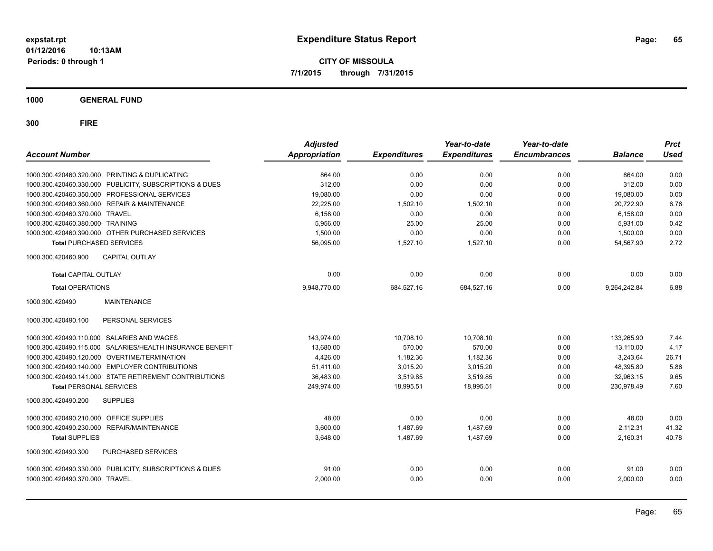**CITY OF MISSOULA 7/1/2015 through 7/31/2015**

**1000 GENERAL FUND**

| <b>Account Number</b>                   |                                                           | <b>Adjusted</b><br>Appropriation | <b>Expenditures</b> | Year-to-date<br><b>Expenditures</b> | Year-to-date<br><b>Encumbrances</b> | <b>Balance</b> | <b>Prct</b><br><b>Used</b> |
|-----------------------------------------|-----------------------------------------------------------|----------------------------------|---------------------|-------------------------------------|-------------------------------------|----------------|----------------------------|
|                                         | 1000.300.420460.320.000 PRINTING & DUPLICATING            | 864.00                           | 0.00                | 0.00                                | 0.00                                | 864.00         | 0.00                       |
|                                         | 1000.300.420460.330.000 PUBLICITY, SUBSCRIPTIONS & DUES   | 312.00                           | 0.00                | 0.00                                | 0.00                                | 312.00         | 0.00                       |
|                                         | 1000.300.420460.350.000 PROFESSIONAL SERVICES             | 19,080.00                        | 0.00                | 0.00                                | 0.00                                | 19,080.00      | 0.00                       |
|                                         | 1000.300.420460.360.000 REPAIR & MAINTENANCE              | 22,225.00                        | 1,502.10            | 1,502.10                            | 0.00                                | 20,722.90      | 6.76                       |
| 1000.300.420460.370.000 TRAVEL          |                                                           | 6,158.00                         | 0.00                | 0.00                                | 0.00                                | 6.158.00       | 0.00                       |
| 1000.300.420460.380.000 TRAINING        |                                                           | 5,956.00                         | 25.00               | 25.00                               | 0.00                                | 5,931.00       | 0.42                       |
|                                         | 1000.300.420460.390.000 OTHER PURCHASED SERVICES          | 1,500.00                         | 0.00                | 0.00                                | 0.00                                | 1,500.00       | 0.00                       |
| <b>Total PURCHASED SERVICES</b>         |                                                           | 56,095.00                        | 1,527.10            | 1,527.10                            | 0.00                                | 54,567.90      | 2.72                       |
| 1000.300.420460.900                     | <b>CAPITAL OUTLAY</b>                                     |                                  |                     |                                     |                                     |                |                            |
| <b>Total CAPITAL OUTLAY</b>             |                                                           | 0.00                             | 0.00                | 0.00                                | 0.00                                | 0.00           | 0.00                       |
| <b>Total OPERATIONS</b>                 |                                                           | 9,948,770.00                     | 684,527.16          | 684,527.16                          | 0.00                                | 9,264,242.84   | 6.88                       |
| 1000.300.420490                         | <b>MAINTENANCE</b>                                        |                                  |                     |                                     |                                     |                |                            |
| 1000.300.420490.100                     | PERSONAL SERVICES                                         |                                  |                     |                                     |                                     |                |                            |
|                                         | 1000.300.420490.110.000 SALARIES AND WAGES                | 143,974.00                       | 10,708.10           | 10,708.10                           | 0.00                                | 133,265.90     | 7.44                       |
|                                         | 1000.300.420490.115.000 SALARIES/HEALTH INSURANCE BENEFIT | 13,680.00                        | 570.00              | 570.00                              | 0.00                                | 13,110.00      | 4.17                       |
|                                         | 1000.300.420490.120.000 OVERTIME/TERMINATION              | 4,426.00                         | 1,182.36            | 1,182.36                            | 0.00                                | 3,243.64       | 26.71                      |
|                                         | 1000.300.420490.140.000 EMPLOYER CONTRIBUTIONS            | 51,411.00                        | 3,015.20            | 3,015.20                            | 0.00                                | 48,395.80      | 5.86                       |
|                                         | 1000.300.420490.141.000 STATE RETIREMENT CONTRIBUTIONS    | 36,483.00                        | 3,519.85            | 3,519.85                            | 0.00                                | 32,963.15      | 9.65                       |
| <b>Total PERSONAL SERVICES</b>          |                                                           | 249,974.00                       | 18,995.51           | 18,995.51                           | 0.00                                | 230,978.49     | 7.60                       |
| 1000.300.420490.200                     | <b>SUPPLIES</b>                                           |                                  |                     |                                     |                                     |                |                            |
| 1000.300.420490.210.000 OFFICE SUPPLIES |                                                           | 48.00                            | 0.00                | 0.00                                | 0.00                                | 48.00          | 0.00                       |
|                                         | 1000.300.420490.230.000 REPAIR/MAINTENANCE                | 3,600.00                         | 1,487.69            | 1.487.69                            | 0.00                                | 2.112.31       | 41.32                      |
| <b>Total SUPPLIES</b>                   |                                                           | 3,648.00                         | 1,487.69            | 1,487.69                            | 0.00                                | 2,160.31       | 40.78                      |
| 1000.300.420490.300                     | PURCHASED SERVICES                                        |                                  |                     |                                     |                                     |                |                            |
|                                         | 1000.300.420490.330.000 PUBLICITY, SUBSCRIPTIONS & DUES   | 91.00                            | 0.00                | 0.00                                | 0.00                                | 91.00          | 0.00                       |
| 1000.300.420490.370.000 TRAVEL          |                                                           | 2,000.00                         | 0.00                | 0.00                                | 0.00                                | 2,000.00       | 0.00                       |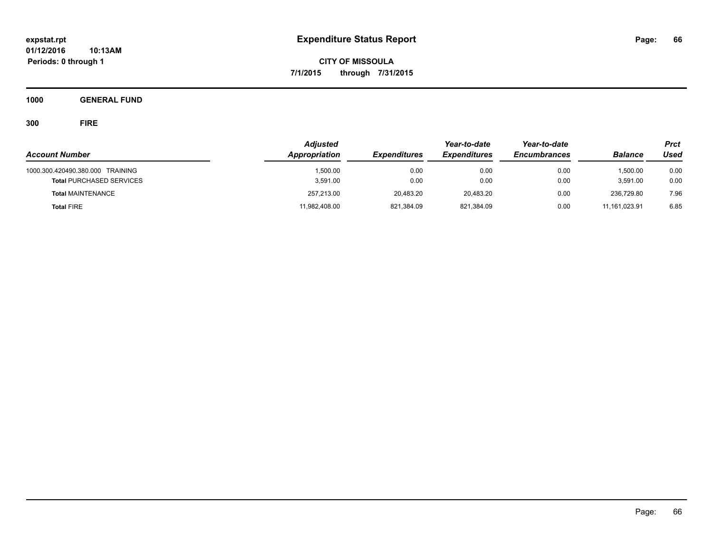**CITY OF MISSOULA 7/1/2015 through 7/31/2015**

**1000 GENERAL FUND**

| <b>Account Number</b>                                               | <b>Adjusted</b><br>Appropriation | <b>Expenditures</b> | Year-to-date<br><b>Expenditures</b> | Year-to-date<br><b>Encumbrances</b> | <b>Balance</b>       | <b>Prct</b><br>Used |
|---------------------------------------------------------------------|----------------------------------|---------------------|-------------------------------------|-------------------------------------|----------------------|---------------------|
| 1000.300.420490.380.000 TRAINING<br><b>Total PURCHASED SERVICES</b> | 1.500.00<br>3,591.00             | 0.00<br>0.00        | 0.00<br>0.00                        | 0.00<br>0.00                        | 1.500.00<br>3,591.00 | 0.00<br>0.00        |
| <b>Total MAINTENANCE</b>                                            | 257,213.00                       | 20.483.20           | 20.483.20                           | 0.00                                | 236.729.80           | 7.96                |
| <b>Total FIRE</b>                                                   | 11,982,408.00                    | 821,384.09          | 821,384.09                          | 0.00                                | 11.161.023.91        | 6.85                |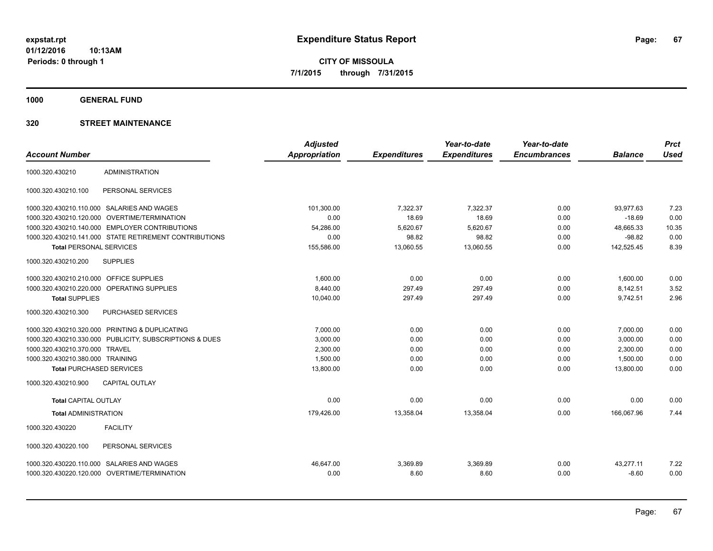**CITY OF MISSOULA 7/1/2015 through 7/31/2015**

**1000 GENERAL FUND**

|                                         |                                                         | <b>Adjusted</b>      |                     | Year-to-date        | Year-to-date        |                | <b>Prct</b> |
|-----------------------------------------|---------------------------------------------------------|----------------------|---------------------|---------------------|---------------------|----------------|-------------|
| <b>Account Number</b>                   |                                                         | <b>Appropriation</b> | <b>Expenditures</b> | <b>Expenditures</b> | <b>Encumbrances</b> | <b>Balance</b> | <b>Used</b> |
| 1000.320.430210                         | <b>ADMINISTRATION</b>                                   |                      |                     |                     |                     |                |             |
| 1000.320.430210.100                     | PERSONAL SERVICES                                       |                      |                     |                     |                     |                |             |
|                                         | 1000.320.430210.110.000 SALARIES AND WAGES              | 101.300.00           | 7.322.37            | 7.322.37            | 0.00                | 93.977.63      | 7.23        |
| 1000.320.430210.120.000                 | <b>OVERTIME/TERMINATION</b>                             | 0.00                 | 18.69               | 18.69               | 0.00                | $-18.69$       | 0.00        |
|                                         | 1000.320.430210.140.000 EMPLOYER CONTRIBUTIONS          | 54,286.00            | 5,620.67            | 5,620.67            | 0.00                | 48,665.33      | 10.35       |
|                                         | 1000.320.430210.141.000 STATE RETIREMENT CONTRIBUTIONS  | 0.00                 | 98.82               | 98.82               | 0.00                | $-98.82$       | 0.00        |
| <b>Total PERSONAL SERVICES</b>          |                                                         | 155,586.00           | 13,060.55           | 13,060.55           | 0.00                | 142,525.45     | 8.39        |
| 1000.320.430210.200                     | <b>SUPPLIES</b>                                         |                      |                     |                     |                     |                |             |
| 1000.320.430210.210.000 OFFICE SUPPLIES |                                                         | 1,600.00             | 0.00                | 0.00                | 0.00                | 1,600.00       | 0.00        |
|                                         | 1000.320.430210.220.000 OPERATING SUPPLIES              | 8,440.00             | 297.49              | 297.49              | 0.00                | 8,142.51       | 3.52        |
| <b>Total SUPPLIES</b>                   |                                                         | 10,040.00            | 297.49              | 297.49              | 0.00                | 9,742.51       | 2.96        |
| 1000.320.430210.300                     | PURCHASED SERVICES                                      |                      |                     |                     |                     |                |             |
|                                         | 1000.320.430210.320.000 PRINTING & DUPLICATING          | 7,000.00             | 0.00                | 0.00                | 0.00                | 7,000.00       | 0.00        |
|                                         | 1000.320.430210.330.000 PUBLICITY, SUBSCRIPTIONS & DUES | 3,000.00             | 0.00                | 0.00                | 0.00                | 3,000.00       | 0.00        |
| 1000.320.430210.370.000 TRAVEL          |                                                         | 2,300.00             | 0.00                | 0.00                | 0.00                | 2,300.00       | 0.00        |
| 1000.320.430210.380.000 TRAINING        |                                                         | 1,500.00             | 0.00                | 0.00                | 0.00                | 1,500.00       | 0.00        |
| <b>Total PURCHASED SERVICES</b>         |                                                         | 13,800.00            | 0.00                | 0.00                | 0.00                | 13,800.00      | 0.00        |
| 1000.320.430210.900                     | <b>CAPITAL OUTLAY</b>                                   |                      |                     |                     |                     |                |             |
| <b>Total CAPITAL OUTLAY</b>             |                                                         | 0.00                 | 0.00                | 0.00                | 0.00                | 0.00           | 0.00        |
| <b>Total ADMINISTRATION</b>             |                                                         | 179,426.00           | 13,358.04           | 13,358.04           | 0.00                | 166,067.96     | 7.44        |
| 1000.320.430220                         | <b>FACILITY</b>                                         |                      |                     |                     |                     |                |             |
| 1000.320.430220.100                     | PERSONAL SERVICES                                       |                      |                     |                     |                     |                |             |
|                                         | 1000.320.430220.110.000 SALARIES AND WAGES              | 46.647.00            | 3,369.89            | 3,369.89            | 0.00                | 43.277.11      | 7.22        |
|                                         | 1000.320.430220.120.000 OVERTIME/TERMINATION            | 0.00                 | 8.60                | 8.60                | 0.00                | $-8.60$        | 0.00        |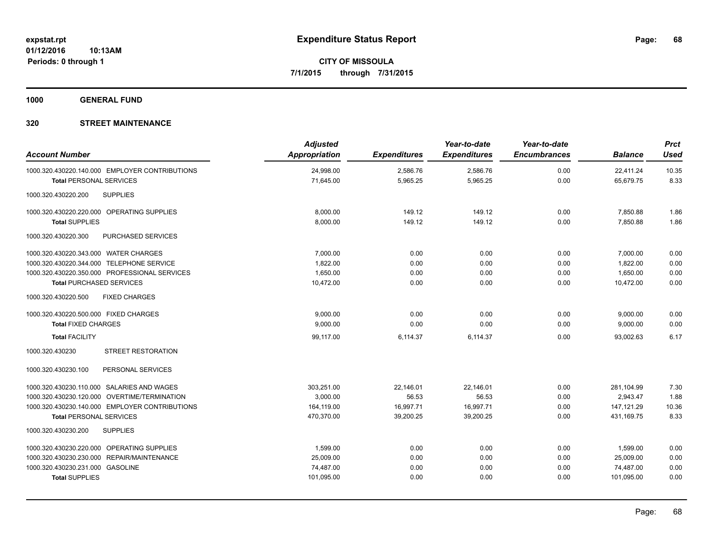**1000 GENERAL FUND**

| <b>Account Number</b>                                                            | <b>Adjusted</b><br><b>Appropriation</b> | <b>Expenditures</b>  | Year-to-date<br><b>Expenditures</b> | Year-to-date<br><b>Encumbrances</b> | <b>Balance</b>         | <b>Prct</b><br><b>Used</b> |
|----------------------------------------------------------------------------------|-----------------------------------------|----------------------|-------------------------------------|-------------------------------------|------------------------|----------------------------|
| 1000.320.430220.140.000 EMPLOYER CONTRIBUTIONS<br><b>Total PERSONAL SERVICES</b> | 24,998.00<br>71,645.00                  | 2,586.76<br>5,965.25 | 2,586.76<br>5,965.25                | 0.00<br>0.00                        | 22,411.24<br>65,679.75 | 10.35<br>8.33              |
| <b>SUPPLIES</b><br>1000.320.430220.200                                           |                                         |                      |                                     |                                     |                        |                            |
| 1000.320.430220.220.000 OPERATING SUPPLIES                                       | 8,000.00                                | 149.12               | 149.12                              | 0.00                                | 7,850.88               | 1.86                       |
| <b>Total SUPPLIES</b>                                                            | 8,000.00                                | 149.12               | 149.12                              | 0.00                                | 7,850.88               | 1.86                       |
| 1000.320.430220.300<br><b>PURCHASED SERVICES</b>                                 |                                         |                      |                                     |                                     |                        |                            |
| 1000.320.430220.343.000 WATER CHARGES                                            | 7,000.00                                | 0.00                 | 0.00                                | 0.00                                | 7,000.00               | 0.00                       |
| 1000.320.430220.344.000 TELEPHONE SERVICE                                        | 1.822.00                                | 0.00                 | 0.00                                | 0.00                                | 1,822.00               | 0.00                       |
| 1000.320.430220.350.000 PROFESSIONAL SERVICES                                    | 1,650.00                                | 0.00                 | 0.00                                | 0.00                                | 1,650.00               | 0.00                       |
| <b>Total PURCHASED SERVICES</b>                                                  | 10,472.00                               | 0.00                 | 0.00                                | 0.00                                | 10,472.00              | 0.00                       |
| 1000.320.430220.500<br><b>FIXED CHARGES</b>                                      |                                         |                      |                                     |                                     |                        |                            |
| 1000.320.430220.500.000 FIXED CHARGES                                            | 9,000.00                                | 0.00                 | 0.00                                | 0.00                                | 9,000.00               | 0.00                       |
| <b>Total FIXED CHARGES</b>                                                       | 9,000.00                                | 0.00                 | 0.00                                | 0.00                                | 9,000.00               | 0.00                       |
| <b>Total FACILITY</b>                                                            | 99,117.00                               | 6,114.37             | 6,114.37                            | 0.00                                | 93,002.63              | 6.17                       |
| <b>STREET RESTORATION</b><br>1000.320.430230                                     |                                         |                      |                                     |                                     |                        |                            |
| 1000.320.430230.100<br>PERSONAL SERVICES                                         |                                         |                      |                                     |                                     |                        |                            |
| 1000.320.430230.110.000 SALARIES AND WAGES                                       | 303,251.00                              | 22,146.01            | 22,146.01                           | 0.00                                | 281,104.99             | 7.30                       |
| 1000.320.430230.120.000 OVERTIME/TERMINATION                                     | 3,000.00                                | 56.53                | 56.53                               | 0.00                                | 2,943.47               | 1.88                       |
| 1000.320.430230.140.000 EMPLOYER CONTRIBUTIONS                                   | 164,119.00                              | 16,997.71            | 16,997.71                           | 0.00                                | 147, 121.29            | 10.36                      |
| <b>Total PERSONAL SERVICES</b>                                                   | 470,370.00                              | 39,200.25            | 39.200.25                           | 0.00                                | 431.169.75             | 8.33                       |
| 1000.320.430230.200<br><b>SUPPLIES</b>                                           |                                         |                      |                                     |                                     |                        |                            |
| 1000.320.430230.220.000 OPERATING SUPPLIES                                       | 1,599.00                                | 0.00                 | 0.00                                | 0.00                                | 1,599.00               | 0.00                       |
| 1000.320.430230.230.000 REPAIR/MAINTENANCE                                       | 25,009.00                               | 0.00                 | 0.00                                | 0.00                                | 25,009.00              | 0.00                       |
| 1000.320.430230.231.000 GASOLINE                                                 | 74,487.00                               | 0.00                 | 0.00                                | 0.00                                | 74,487.00              | 0.00                       |
| <b>Total SUPPLIES</b>                                                            | 101,095.00                              | 0.00                 | 0.00                                | 0.00                                | 101,095.00             | 0.00                       |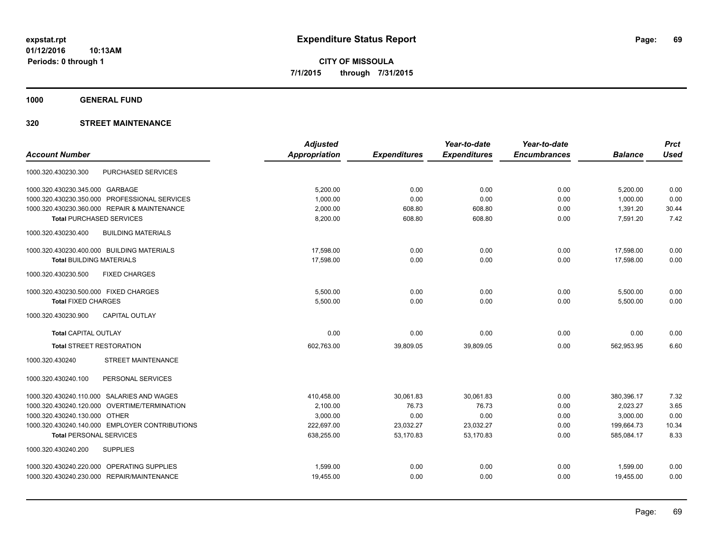**1000 GENERAL FUND**

| <b>Adjusted</b>      |                     | Year-to-date        | Year-to-date        |                | <b>Prct</b> |
|----------------------|---------------------|---------------------|---------------------|----------------|-------------|
| <b>Appropriation</b> | <b>Expenditures</b> | <b>Expenditures</b> | <b>Encumbrances</b> | <b>Balance</b> | <b>Used</b> |
|                      |                     |                     |                     |                |             |
| 5,200.00             | 0.00                | 0.00                | 0.00                | 5,200.00       | 0.00        |
| 1,000.00             | 0.00                | 0.00                | 0.00                | 1,000.00       | 0.00        |
| 2,000.00             | 608.80              | 608.80              | 0.00                | 1,391.20       | 30.44       |
| 8,200.00             | 608.80              | 608.80              | 0.00                | 7,591.20       | 7.42        |
|                      |                     |                     |                     |                |             |
| 17,598.00            | 0.00                | 0.00                | 0.00                | 17,598.00      | 0.00        |
| 17,598.00            | 0.00                | 0.00                | 0.00                | 17,598.00      | 0.00        |
|                      |                     |                     |                     |                |             |
| 5.500.00             | 0.00                | 0.00                | 0.00                | 5,500.00       | 0.00        |
| 5,500.00             | 0.00                | 0.00                | 0.00                | 5,500.00       | 0.00        |
|                      |                     |                     |                     |                |             |
| 0.00                 | 0.00                | 0.00                | 0.00                | 0.00           | 0.00        |
| 602,763.00           | 39,809.05           | 39,809.05           | 0.00                | 562,953.95     | 6.60        |
|                      |                     |                     |                     |                |             |
|                      |                     |                     |                     |                |             |
| 410,458.00           | 30,061.83           | 30,061.83           | 0.00                | 380,396.17     | 7.32        |
| 2,100.00             | 76.73               | 76.73               | 0.00                | 2,023.27       | 3.65        |
| 3,000.00             | 0.00                | 0.00                | 0.00                | 3,000.00       | 0.00        |
| 222,697.00           | 23,032.27           | 23,032.27           | 0.00                | 199,664.73     | 10.34       |
| 638,255.00           | 53,170.83           | 53,170.83           | 0.00                | 585,084.17     | 8.33        |
|                      |                     |                     |                     |                |             |
| 1,599.00             | 0.00                | 0.00                | 0.00                | 1,599.00       | 0.00        |
| 19,455.00            | 0.00                | 0.00                | 0.00                | 19,455.00      | 0.00        |
|                      |                     |                     |                     |                |             |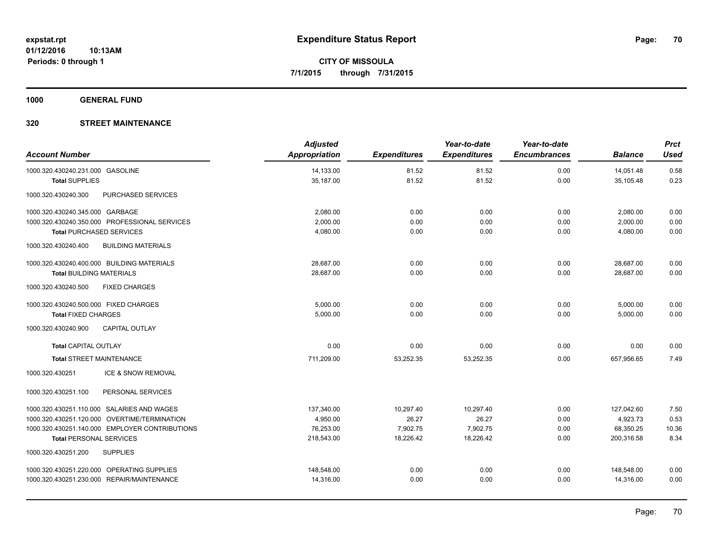**1000 GENERAL FUND**

| <b>Account Number</b>                            | <b>Adjusted</b><br>Appropriation | <b>Expenditures</b> | Year-to-date<br><b>Expenditures</b> | Year-to-date<br><b>Encumbrances</b> | <b>Balance</b> | <b>Prct</b><br><b>Used</b> |
|--------------------------------------------------|----------------------------------|---------------------|-------------------------------------|-------------------------------------|----------------|----------------------------|
| 1000.320.430240.231.000 GASOLINE                 | 14,133.00                        | 81.52               | 81.52                               | 0.00                                | 14.051.48      | 0.58                       |
| <b>Total SUPPLIES</b>                            | 35,187.00                        | 81.52               | 81.52                               | 0.00                                | 35,105.48      | 0.23                       |
| PURCHASED SERVICES<br>1000.320.430240.300        |                                  |                     |                                     |                                     |                |                            |
| 1000.320.430240.345.000 GARBAGE                  | 2,080.00                         | 0.00                | 0.00                                | 0.00                                | 2,080.00       | 0.00                       |
| 1000.320.430240.350.000 PROFESSIONAL SERVICES    | 2,000.00                         | 0.00                | 0.00                                | 0.00                                | 2,000.00       | 0.00                       |
| <b>Total PURCHASED SERVICES</b>                  | 4,080.00                         | 0.00                | 0.00                                | 0.00                                | 4,080.00       | 0.00                       |
| <b>BUILDING MATERIALS</b><br>1000.320.430240.400 |                                  |                     |                                     |                                     |                |                            |
| 1000.320.430240.400.000 BUILDING MATERIALS       | 28,687.00                        | 0.00                | 0.00                                | 0.00                                | 28,687.00      | 0.00                       |
| <b>Total BUILDING MATERIALS</b>                  | 28,687.00                        | 0.00                | 0.00                                | 0.00                                | 28,687.00      | 0.00                       |
| <b>FIXED CHARGES</b><br>1000.320.430240.500      |                                  |                     |                                     |                                     |                |                            |
| 1000.320.430240.500.000 FIXED CHARGES            | 5,000.00                         | 0.00                | 0.00                                | 0.00                                | 5,000.00       | 0.00                       |
| <b>Total FIXED CHARGES</b>                       | 5,000.00                         | 0.00                | 0.00                                | 0.00                                | 5,000.00       | 0.00                       |
| <b>CAPITAL OUTLAY</b><br>1000.320.430240.900     |                                  |                     |                                     |                                     |                |                            |
| <b>Total CAPITAL OUTLAY</b>                      | 0.00                             | 0.00                | 0.00                                | 0.00                                | 0.00           | 0.00                       |
| <b>Total STREET MAINTENANCE</b>                  | 711,209.00                       | 53,252.35           | 53,252.35                           | 0.00                                | 657,956.65     | 7.49                       |
| ICE & SNOW REMOVAL<br>1000.320.430251            |                                  |                     |                                     |                                     |                |                            |
| PERSONAL SERVICES<br>1000.320.430251.100         |                                  |                     |                                     |                                     |                |                            |
| 1000.320.430251.110.000 SALARIES AND WAGES       | 137,340.00                       | 10,297.40           | 10,297.40                           | 0.00                                | 127,042.60     | 7.50                       |
| 1000.320.430251.120.000 OVERTIME/TERMINATION     | 4.950.00                         | 26.27               | 26.27                               | 0.00                                | 4,923.73       | 0.53                       |
| 1000.320.430251.140.000 EMPLOYER CONTRIBUTIONS   | 76,253.00                        | 7,902.75            | 7,902.75                            | 0.00                                | 68,350.25      | 10.36                      |
| <b>Total PERSONAL SERVICES</b>                   | 218,543.00                       | 18,226.42           | 18,226.42                           | 0.00                                | 200,316.58     | 8.34                       |
| <b>SUPPLIES</b><br>1000.320.430251.200           |                                  |                     |                                     |                                     |                |                            |
| 1000.320.430251.220.000 OPERATING SUPPLIES       | 148,548.00                       | 0.00                | 0.00                                | 0.00                                | 148,548.00     | 0.00                       |
| 1000.320.430251.230.000 REPAIR/MAINTENANCE       | 14,316.00                        | 0.00                | 0.00                                | 0.00                                | 14,316.00      | 0.00                       |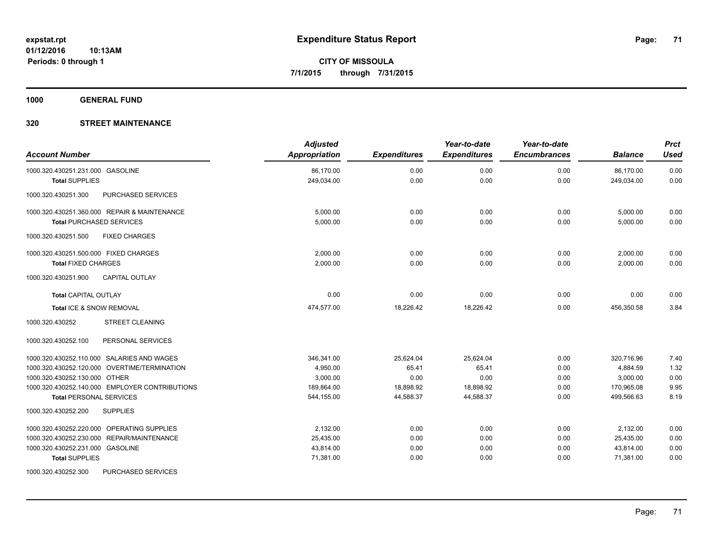**1000 GENERAL FUND**

## **320 STREET MAINTENANCE**

| <b>Account Number</b>                            | <b>Adjusted</b><br><b>Appropriation</b> | <b>Expenditures</b> | Year-to-date<br><b>Expenditures</b> | Year-to-date<br><b>Encumbrances</b> | <b>Balance</b> | <b>Prct</b><br><b>Used</b> |
|--------------------------------------------------|-----------------------------------------|---------------------|-------------------------------------|-------------------------------------|----------------|----------------------------|
| 1000.320.430251.231.000 GASOLINE                 | 86,170.00                               | 0.00                | 0.00                                | 0.00                                | 86,170.00      | 0.00                       |
| <b>Total SUPPLIES</b>                            | 249,034.00                              | 0.00                | 0.00                                | 0.00                                | 249,034.00     | 0.00                       |
| 1000.320.430251.300<br><b>PURCHASED SERVICES</b> |                                         |                     |                                     |                                     |                |                            |
| 1000.320.430251.360.000 REPAIR & MAINTENANCE     | 5,000.00                                | 0.00                | 0.00                                | 0.00                                | 5,000.00       | 0.00                       |
| <b>Total PURCHASED SERVICES</b>                  | 5,000.00                                | 0.00                | 0.00                                | 0.00                                | 5,000.00       | 0.00                       |
| 1000.320.430251.500<br><b>FIXED CHARGES</b>      |                                         |                     |                                     |                                     |                |                            |
| 1000.320.430251.500.000 FIXED CHARGES            | 2,000.00                                | 0.00                | 0.00                                | 0.00                                | 2,000.00       | 0.00                       |
| <b>Total FIXED CHARGES</b>                       | 2,000.00                                | 0.00                | 0.00                                | 0.00                                | 2.000.00       | 0.00                       |
| CAPITAL OUTLAY<br>1000.320.430251.900            |                                         |                     |                                     |                                     |                |                            |
| <b>Total CAPITAL OUTLAY</b>                      | 0.00                                    | 0.00                | 0.00                                | 0.00                                | 0.00           | 0.00                       |
| Total ICE & SNOW REMOVAL                         | 474,577.00                              | 18,226.42           | 18,226.42                           | 0.00                                | 456,350.58     | 3.84                       |
| 1000.320.430252<br><b>STREET CLEANING</b>        |                                         |                     |                                     |                                     |                |                            |
| PERSONAL SERVICES<br>1000.320.430252.100         |                                         |                     |                                     |                                     |                |                            |
| 1000.320.430252.110.000 SALARIES AND WAGES       | 346,341.00                              | 25,624.04           | 25,624.04                           | 0.00                                | 320,716.96     | 7.40                       |
| 1000.320.430252.120.000 OVERTIME/TERMINATION     | 4.950.00                                | 65.41               | 65.41                               | 0.00                                | 4,884.59       | 1.32                       |
| 1000.320.430252.130.000 OTHER                    | 3,000.00                                | 0.00                | 0.00                                | 0.00                                | 3,000.00       | 0.00                       |
| 1000.320.430252.140.000 EMPLOYER CONTRIBUTIONS   | 189,864.00                              | 18,898.92           | 18,898.92                           | 0.00                                | 170,965.08     | 9.95                       |
| <b>Total PERSONAL SERVICES</b>                   | 544,155.00                              | 44,588.37           | 44,588.37                           | 0.00                                | 499,566.63     | 8.19                       |
| <b>SUPPLIES</b><br>1000.320.430252.200           |                                         |                     |                                     |                                     |                |                            |
| 1000.320.430252.220.000 OPERATING SUPPLIES       | 2,132.00                                | 0.00                | 0.00                                | 0.00                                | 2,132.00       | 0.00                       |
| 1000.320.430252.230.000 REPAIR/MAINTENANCE       | 25,435.00                               | 0.00                | 0.00                                | 0.00                                | 25,435.00      | 0.00                       |
| 1000.320.430252.231.000 GASOLINE                 | 43,814.00                               | 0.00                | 0.00                                | 0.00                                | 43,814.00      | 0.00                       |
| <b>Total SUPPLIES</b>                            | 71,381.00                               | 0.00                | 0.00                                | 0.00                                | 71,381.00      | 0.00                       |
| <b>PUBOULOFB OFBUGES</b>                         |                                         |                     |                                     |                                     |                |                            |

1000.320.430252.300 PURCHASED SERVICES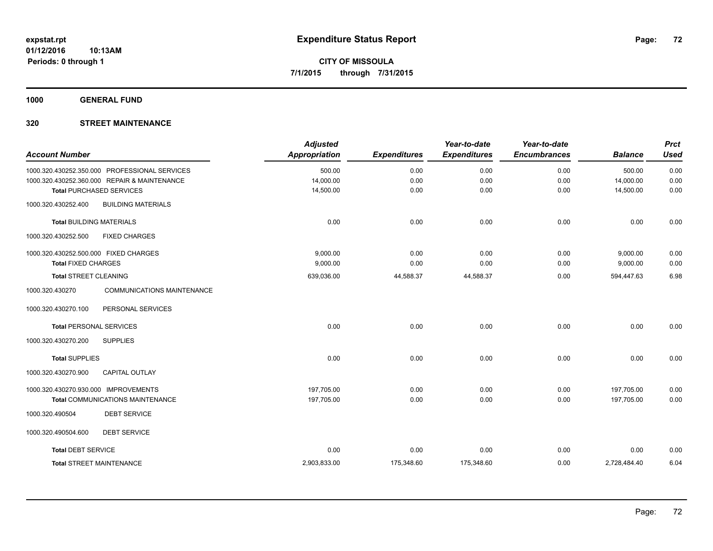**1000 GENERAL FUND**

| <b>Account Number</b>                                | <b>Adjusted</b><br><b>Appropriation</b> | <b>Expenditures</b> | Year-to-date<br><b>Expenditures</b> | Year-to-date<br><b>Encumbrances</b> | <b>Balance</b> | <b>Prct</b><br><b>Used</b> |
|------------------------------------------------------|-----------------------------------------|---------------------|-------------------------------------|-------------------------------------|----------------|----------------------------|
| 1000.320.430252.350.000 PROFESSIONAL SERVICES        | 500.00                                  | 0.00                | 0.00                                | 0.00                                | 500.00         | 0.00                       |
| 1000.320.430252.360.000 REPAIR & MAINTENANCE         | 14,000.00                               | 0.00                | 0.00                                | 0.00                                | 14,000.00      | 0.00                       |
| <b>Total PURCHASED SERVICES</b>                      | 14,500.00                               | 0.00                | 0.00                                | 0.00                                | 14,500.00      | 0.00                       |
| 1000.320.430252.400<br><b>BUILDING MATERIALS</b>     |                                         |                     |                                     |                                     |                |                            |
| <b>Total BUILDING MATERIALS</b>                      | 0.00                                    | 0.00                | 0.00                                | 0.00                                | 0.00           | 0.00                       |
| <b>FIXED CHARGES</b><br>1000.320.430252.500          |                                         |                     |                                     |                                     |                |                            |
| 1000.320.430252.500.000 FIXED CHARGES                | 9,000.00                                | 0.00                | 0.00                                | 0.00                                | 9,000.00       | 0.00                       |
| <b>Total FIXED CHARGES</b>                           | 9,000.00                                | 0.00                | 0.00                                | 0.00                                | 9,000.00       | 0.00                       |
| <b>Total STREET CLEANING</b>                         | 639,036.00                              | 44,588.37           | 44,588.37                           | 0.00                                | 594,447.63     | 6.98                       |
| 1000.320.430270<br><b>COMMUNICATIONS MAINTENANCE</b> |                                         |                     |                                     |                                     |                |                            |
| 1000.320.430270.100<br>PERSONAL SERVICES             |                                         |                     |                                     |                                     |                |                            |
| <b>Total PERSONAL SERVICES</b>                       | 0.00                                    | 0.00                | 0.00                                | 0.00                                | 0.00           | 0.00                       |
| <b>SUPPLIES</b><br>1000.320.430270.200               |                                         |                     |                                     |                                     |                |                            |
| <b>Total SUPPLIES</b>                                | 0.00                                    | 0.00                | 0.00                                | 0.00                                | 0.00           | 0.00                       |
| <b>CAPITAL OUTLAY</b><br>1000.320.430270.900         |                                         |                     |                                     |                                     |                |                            |
| 1000.320.430270.930.000 IMPROVEMENTS                 | 197,705.00                              | 0.00                | 0.00                                | 0.00                                | 197,705.00     | 0.00                       |
| <b>Total COMMUNICATIONS MAINTENANCE</b>              | 197,705.00                              | 0.00                | 0.00                                | 0.00                                | 197.705.00     | 0.00                       |
| <b>DEBT SERVICE</b><br>1000.320.490504               |                                         |                     |                                     |                                     |                |                            |
| <b>DEBT SERVICE</b><br>1000.320.490504.600           |                                         |                     |                                     |                                     |                |                            |
| <b>Total DEBT SERVICE</b>                            | 0.00                                    | 0.00                | 0.00                                | 0.00                                | 0.00           | 0.00                       |
| <b>Total STREET MAINTENANCE</b>                      | 2,903,833.00                            | 175,348.60          | 175,348.60                          | 0.00                                | 2,728,484.40   | 6.04                       |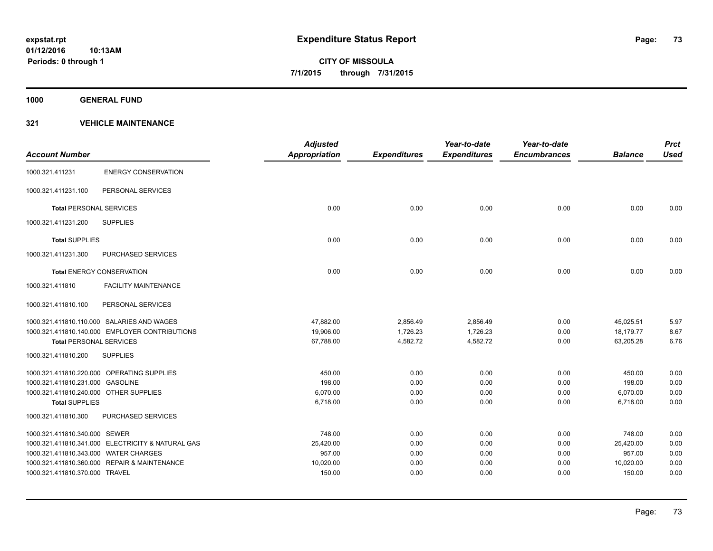**1000 GENERAL FUND**

| <b>Account Number</b>                  |                                                   | <b>Adjusted</b><br><b>Appropriation</b> | <b>Expenditures</b> | Year-to-date<br><b>Expenditures</b> | Year-to-date<br><b>Encumbrances</b> | <b>Balance</b> | <b>Prct</b><br><b>Used</b> |
|----------------------------------------|---------------------------------------------------|-----------------------------------------|---------------------|-------------------------------------|-------------------------------------|----------------|----------------------------|
| 1000.321.411231                        | <b>ENERGY CONSERVATION</b>                        |                                         |                     |                                     |                                     |                |                            |
| 1000.321.411231.100                    | PERSONAL SERVICES                                 |                                         |                     |                                     |                                     |                |                            |
| <b>Total PERSONAL SERVICES</b>         |                                                   | 0.00                                    | 0.00                | 0.00                                | 0.00                                | 0.00           | 0.00                       |
| 1000.321.411231.200                    | <b>SUPPLIES</b>                                   |                                         |                     |                                     |                                     |                |                            |
| <b>Total SUPPLIES</b>                  |                                                   | 0.00                                    | 0.00                | 0.00                                | 0.00                                | 0.00           | 0.00                       |
| 1000.321.411231.300                    | <b>PURCHASED SERVICES</b>                         |                                         |                     |                                     |                                     |                |                            |
|                                        | <b>Total ENERGY CONSERVATION</b>                  | 0.00                                    | 0.00                | 0.00                                | 0.00                                | 0.00           | 0.00                       |
| 1000.321.411810                        | <b>FACILITY MAINTENANCE</b>                       |                                         |                     |                                     |                                     |                |                            |
| 1000.321.411810.100                    | PERSONAL SERVICES                                 |                                         |                     |                                     |                                     |                |                            |
|                                        | 1000.321.411810.110.000 SALARIES AND WAGES        | 47,882.00                               | 2,856.49            | 2,856.49                            | 0.00                                | 45,025.51      | 5.97                       |
|                                        | 1000.321.411810.140.000 EMPLOYER CONTRIBUTIONS    | 19,906.00                               | 1,726.23            | 1,726.23                            | 0.00                                | 18,179.77      | 8.67                       |
| <b>Total PERSONAL SERVICES</b>         |                                                   | 67,788.00                               | 4,582.72            | 4,582.72                            | 0.00                                | 63,205.28      | 6.76                       |
| 1000.321.411810.200                    | <b>SUPPLIES</b>                                   |                                         |                     |                                     |                                     |                |                            |
|                                        | 1000.321.411810.220.000 OPERATING SUPPLIES        | 450.00                                  | 0.00                | 0.00                                | 0.00                                | 450.00         | 0.00                       |
| 1000.321.411810.231.000 GASOLINE       |                                                   | 198.00                                  | 0.00                | 0.00                                | 0.00                                | 198.00         | 0.00                       |
| 1000.321.411810.240.000 OTHER SUPPLIES |                                                   | 6,070.00                                | 0.00                | 0.00                                | 0.00                                | 6,070.00       | 0.00                       |
| <b>Total SUPPLIES</b>                  |                                                   | 6,718.00                                | 0.00                | 0.00                                | 0.00                                | 6,718.00       | 0.00                       |
| 1000.321.411810.300                    | PURCHASED SERVICES                                |                                         |                     |                                     |                                     |                |                            |
| 1000.321.411810.340.000 SEWER          |                                                   | 748.00                                  | 0.00                | 0.00                                | 0.00                                | 748.00         | 0.00                       |
|                                        | 1000.321.411810.341.000 ELECTRICITY & NATURAL GAS | 25,420.00                               | 0.00                | 0.00                                | 0.00                                | 25,420.00      | 0.00                       |
| 1000.321.411810.343.000 WATER CHARGES  |                                                   | 957.00                                  | 0.00                | 0.00                                | 0.00                                | 957.00         | 0.00                       |
|                                        | 1000.321.411810.360.000 REPAIR & MAINTENANCE      | 10,020.00                               | 0.00                | 0.00                                | 0.00                                | 10,020.00      | 0.00                       |
| 1000.321.411810.370.000 TRAVEL         |                                                   | 150.00                                  | 0.00                | 0.00                                | 0.00                                | 150.00         | 0.00                       |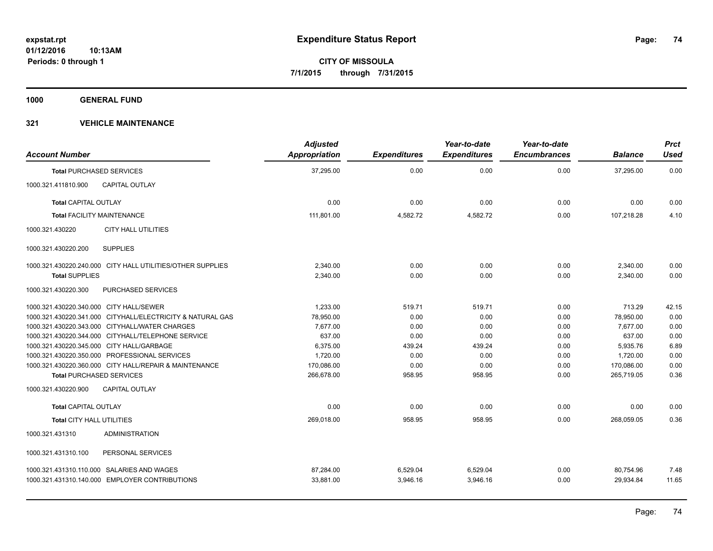**1000 GENERAL FUND**

| <b>Account Number</b>                                                                        | <b>Adjusted</b><br><b>Appropriation</b> | <b>Expenditures</b>  | Year-to-date<br><b>Expenditures</b> | Year-to-date<br><b>Encumbrances</b> | <b>Balance</b>         | <b>Prct</b><br><b>Used</b> |
|----------------------------------------------------------------------------------------------|-----------------------------------------|----------------------|-------------------------------------|-------------------------------------|------------------------|----------------------------|
| <b>Total PURCHASED SERVICES</b>                                                              | 37,295.00                               | 0.00                 | 0.00                                | 0.00                                | 37,295.00              | 0.00                       |
| <b>CAPITAL OUTLAY</b><br>1000.321.411810.900                                                 |                                         |                      |                                     |                                     |                        |                            |
| <b>Total CAPITAL OUTLAY</b>                                                                  | 0.00                                    | 0.00                 | 0.00                                | 0.00                                | 0.00                   | 0.00                       |
| <b>Total FACILITY MAINTENANCE</b>                                                            | 111,801.00                              | 4,582.72             | 4,582.72                            | 0.00                                | 107,218.28             | 4.10                       |
| 1000.321.430220<br><b>CITY HALL UTILITIES</b>                                                |                                         |                      |                                     |                                     |                        |                            |
| 1000.321.430220.200<br><b>SUPPLIES</b>                                                       |                                         |                      |                                     |                                     |                        |                            |
| 1000.321.430220.240.000 CITY HALL UTILITIES/OTHER SUPPLIES                                   | 2,340.00                                | 0.00                 | 0.00                                | 0.00                                | 2,340.00               | 0.00                       |
| <b>Total SUPPLIES</b>                                                                        | 2,340.00                                | 0.00                 | 0.00                                | 0.00                                | 2,340.00               | 0.00                       |
| 1000.321.430220.300<br><b>PURCHASED SERVICES</b>                                             |                                         |                      |                                     |                                     |                        |                            |
| 1000.321.430220.340.000 CITY HALL/SEWER                                                      | 1.233.00                                | 519.71               | 519.71                              | 0.00                                | 713.29                 | 42.15                      |
| 1000.321.430220.341.000 CITYHALL/ELECTRICITY & NATURAL GAS                                   | 78,950.00                               | 0.00                 | 0.00                                | 0.00                                | 78,950.00              | 0.00                       |
| 1000.321.430220.343.000 CITYHALL/WATER CHARGES                                               | 7,677.00                                | 0.00                 | 0.00                                | 0.00                                | 7,677.00               | 0.00                       |
| 1000.321.430220.344.000 CITYHALL/TELEPHONE SERVICE                                           | 637.00                                  | 0.00                 | 0.00                                | 0.00                                | 637.00                 | 0.00                       |
| 1000.321.430220.345.000 CITY HALL/GARBAGE                                                    | 6,375.00                                | 439.24               | 439.24                              | 0.00                                | 5,935.76               | 6.89                       |
| 1000.321.430220.350.000 PROFESSIONAL SERVICES                                                | 1,720.00                                | 0.00                 | 0.00                                | 0.00                                | 1,720.00               | 0.00                       |
| 1000.321.430220.360.000 CITY HALL/REPAIR & MAINTENANCE                                       | 170,086.00                              | 0.00                 | 0.00                                | 0.00                                | 170,086.00             | 0.00                       |
| <b>Total PURCHASED SERVICES</b>                                                              | 266,678.00                              | 958.95               | 958.95                              | 0.00                                | 265,719.05             | 0.36                       |
| 1000.321.430220.900<br><b>CAPITAL OUTLAY</b>                                                 |                                         |                      |                                     |                                     |                        |                            |
| <b>Total CAPITAL OUTLAY</b>                                                                  | 0.00                                    | 0.00                 | 0.00                                | 0.00                                | 0.00                   | 0.00                       |
| <b>Total CITY HALL UTILITIES</b>                                                             | 269,018.00                              | 958.95               | 958.95                              | 0.00                                | 268,059.05             | 0.36                       |
| <b>ADMINISTRATION</b><br>1000.321.431310                                                     |                                         |                      |                                     |                                     |                        |                            |
| PERSONAL SERVICES<br>1000.321.431310.100                                                     |                                         |                      |                                     |                                     |                        |                            |
| 1000.321.431310.110.000 SALARIES AND WAGES<br>1000.321.431310.140.000 EMPLOYER CONTRIBUTIONS | 87,284.00<br>33,881.00                  | 6,529.04<br>3,946.16 | 6,529.04<br>3,946.16                | 0.00<br>0.00                        | 80,754.96<br>29,934.84 | 7.48<br>11.65              |
|                                                                                              |                                         |                      |                                     |                                     |                        |                            |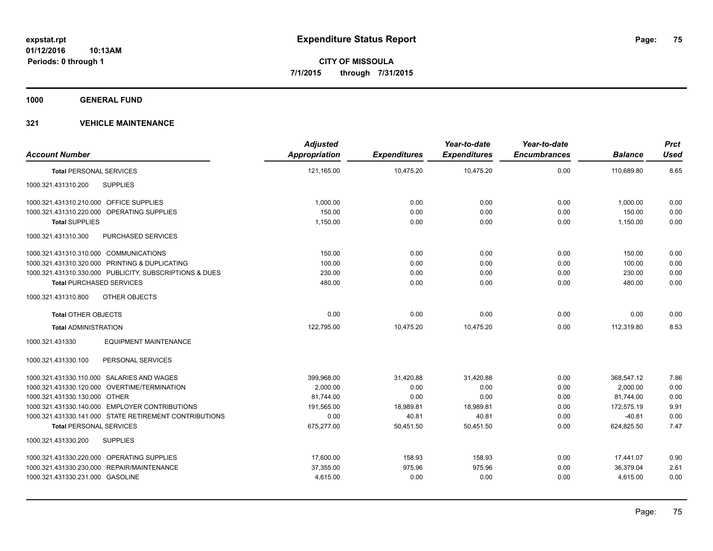**1000 GENERAL FUND**

|                                                         | <b>Adjusted</b> |                     | Year-to-date        | Year-to-date        |                | <b>Prct</b> |
|---------------------------------------------------------|-----------------|---------------------|---------------------|---------------------|----------------|-------------|
| <b>Account Number</b>                                   | Appropriation   | <b>Expenditures</b> | <b>Expenditures</b> | <b>Encumbrances</b> | <b>Balance</b> | <b>Used</b> |
| <b>Total PERSONAL SERVICES</b>                          | 121,165.00      | 10,475.20           | 10,475.20           | 0.00                | 110,689.80     | 8.65        |
| <b>SUPPLIES</b><br>1000.321.431310.200                  |                 |                     |                     |                     |                |             |
| 1000.321.431310.210.000 OFFICE SUPPLIES                 | 1,000.00        | 0.00                | 0.00                | 0.00                | 1,000.00       | 0.00        |
| 1000.321.431310.220.000 OPERATING SUPPLIES              | 150.00          | 0.00                | 0.00                | 0.00                | 150.00         | 0.00        |
| <b>Total SUPPLIES</b>                                   | 1,150.00        | 0.00                | 0.00                | 0.00                | 1,150.00       | 0.00        |
| 1000.321.431310.300<br>PURCHASED SERVICES               |                 |                     |                     |                     |                |             |
| 1000.321.431310.310.000 COMMUNICATIONS                  | 150.00          | 0.00                | 0.00                | 0.00                | 150.00         | 0.00        |
| 1000.321.431310.320.000 PRINTING & DUPLICATING          | 100.00          | 0.00                | 0.00                | 0.00                | 100.00         | 0.00        |
| 1000.321.431310.330.000 PUBLICITY, SUBSCRIPTIONS & DUES | 230.00          | 0.00                | 0.00                | 0.00                | 230.00         | 0.00        |
| <b>Total PURCHASED SERVICES</b>                         | 480.00          | 0.00                | 0.00                | 0.00                | 480.00         | 0.00        |
| OTHER OBJECTS<br>1000.321.431310.800                    |                 |                     |                     |                     |                |             |
| <b>Total OTHER OBJECTS</b>                              | 0.00            | 0.00                | 0.00                | 0.00                | 0.00           | 0.00        |
| <b>Total ADMINISTRATION</b>                             | 122,795.00      | 10,475.20           | 10,475.20           | 0.00                | 112,319.80     | 8.53        |
| 1000.321.431330<br><b>EQUIPMENT MAINTENANCE</b>         |                 |                     |                     |                     |                |             |
| PERSONAL SERVICES<br>1000.321.431330.100                |                 |                     |                     |                     |                |             |
| 1000.321.431330.110.000 SALARIES AND WAGES              | 399,968.00      | 31,420.88           | 31,420.88           | 0.00                | 368,547.12     | 7.86        |
| 1000.321.431330.120.000 OVERTIME/TERMINATION            | 2.000.00        | 0.00                | 0.00                | 0.00                | 2.000.00       | 0.00        |
| 1000.321.431330.130.000 OTHER                           | 81,744.00       | 0.00                | 0.00                | 0.00                | 81,744.00      | 0.00        |
| 1000.321.431330.140.000 EMPLOYER CONTRIBUTIONS          | 191,565.00      | 18,989.81           | 18,989.81           | 0.00                | 172,575.19     | 9.91        |
| 1000.321.431330.141.000 STATE RETIREMENT CONTRIBUTIONS  | 0.00            | 40.81               | 40.81               | 0.00                | $-40.81$       | 0.00        |
| <b>Total PERSONAL SERVICES</b>                          | 675,277.00      | 50,451.50           | 50,451.50           | 0.00                | 624,825.50     | 7.47        |
| 1000.321.431330.200<br><b>SUPPLIES</b>                  |                 |                     |                     |                     |                |             |
| 1000.321.431330.220.000 OPERATING SUPPLIES              | 17,600.00       | 158.93              | 158.93              | 0.00                | 17,441.07      | 0.90        |
| 1000.321.431330.230.000 REPAIR/MAINTENANCE              | 37,355.00       | 975.96              | 975.96              | 0.00                | 36,379.04      | 2.61        |
| 1000.321.431330.231.000 GASOLINE                        | 4,615.00        | 0.00                | 0.00                | 0.00                | 4,615.00       | 0.00        |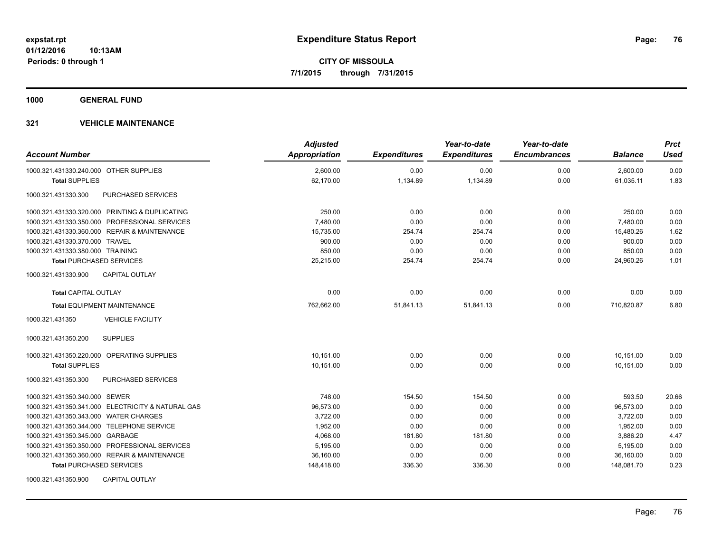**1000 GENERAL FUND**

| <b>Account Number</b>                             | <b>Adjusted</b><br>Appropriation | <b>Expenditures</b> | Year-to-date<br><b>Expenditures</b> | Year-to-date<br><b>Encumbrances</b> | <b>Balance</b> | <b>Prct</b><br><b>Used</b> |
|---------------------------------------------------|----------------------------------|---------------------|-------------------------------------|-------------------------------------|----------------|----------------------------|
| 1000.321.431330.240.000 OTHER SUPPLIES            | 2,600.00                         | 0.00                | 0.00                                | 0.00                                | 2,600.00       | 0.00                       |
| <b>Total SUPPLIES</b>                             | 62,170.00                        | 1,134.89            | 1,134.89                            | 0.00                                | 61,035.11      | 1.83                       |
| 1000.321.431330.300<br>PURCHASED SERVICES         |                                  |                     |                                     |                                     |                |                            |
| 1000.321.431330.320.000 PRINTING & DUPLICATING    | 250.00                           | 0.00                | 0.00                                | 0.00                                | 250.00         | 0.00                       |
| 1000.321.431330.350.000 PROFESSIONAL SERVICES     | 7,480.00                         | 0.00                | 0.00                                | 0.00                                | 7,480.00       | 0.00                       |
| 1000.321.431330.360.000 REPAIR & MAINTENANCE      | 15,735.00                        | 254.74              | 254.74                              | 0.00                                | 15,480.26      | 1.62                       |
| 1000.321.431330.370.000 TRAVEL                    | 900.00                           | 0.00                | 0.00                                | 0.00                                | 900.00         | 0.00                       |
| 1000.321.431330.380.000 TRAINING                  | 850.00                           | 0.00                | 0.00                                | 0.00                                | 850.00         | 0.00                       |
| <b>Total PURCHASED SERVICES</b>                   | 25,215.00                        | 254.74              | 254.74                              | 0.00                                | 24,960.26      | 1.01                       |
| 1000.321.431330.900<br><b>CAPITAL OUTLAY</b>      |                                  |                     |                                     |                                     |                |                            |
| <b>Total CAPITAL OUTLAY</b>                       | 0.00                             | 0.00                | 0.00                                | 0.00                                | 0.00           | 0.00                       |
| <b>Total EQUIPMENT MAINTENANCE</b>                | 762,662.00                       | 51,841.13           | 51,841.13                           | 0.00                                | 710,820.87     | 6.80                       |
| 1000.321.431350<br><b>VEHICLE FACILITY</b>        |                                  |                     |                                     |                                     |                |                            |
| <b>SUPPLIES</b><br>1000.321.431350.200            |                                  |                     |                                     |                                     |                |                            |
| 1000.321.431350.220.000 OPERATING SUPPLIES        | 10,151.00                        | 0.00                | 0.00                                | 0.00                                | 10,151.00      | 0.00                       |
| <b>Total SUPPLIES</b>                             | 10,151.00                        | 0.00                | 0.00                                | 0.00                                | 10,151.00      | 0.00                       |
| 1000.321.431350.300<br>PURCHASED SERVICES         |                                  |                     |                                     |                                     |                |                            |
| 1000.321.431350.340.000 SEWER                     | 748.00                           | 154.50              | 154.50                              | 0.00                                | 593.50         | 20.66                      |
| 1000.321.431350.341.000 ELECTRICITY & NATURAL GAS | 96,573.00                        | 0.00                | 0.00                                | 0.00                                | 96,573.00      | 0.00                       |
| 1000.321.431350.343.000 WATER CHARGES             | 3,722.00                         | 0.00                | 0.00                                | 0.00                                | 3,722.00       | 0.00                       |
| 1000.321.431350.344.000 TELEPHONE SERVICE         | 1,952.00                         | 0.00                | 0.00                                | 0.00                                | 1,952.00       | 0.00                       |
| 1000.321.431350.345.000 GARBAGE                   | 4,068.00                         | 181.80              | 181.80                              | 0.00                                | 3,886.20       | 4.47                       |
| 1000.321.431350.350.000 PROFESSIONAL SERVICES     | 5,195.00                         | 0.00                | 0.00                                | 0.00                                | 5,195.00       | 0.00                       |
| 1000.321.431350.360.000 REPAIR & MAINTENANCE      | 36,160.00                        | 0.00                | 0.00                                | 0.00                                | 36,160.00      | 0.00                       |
| <b>Total PURCHASED SERVICES</b>                   | 148,418.00                       | 336.30              | 336.30                              | 0.00                                | 148,081.70     | 0.23                       |
| <b>CAPITAL OUTLAY</b><br>1000.321.431350.900      |                                  |                     |                                     |                                     |                |                            |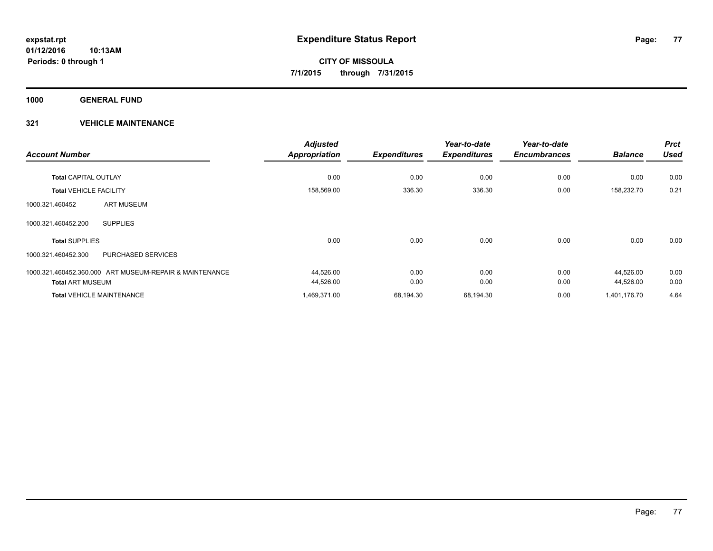**1000 GENERAL FUND**

|                                                         | <b>Adjusted</b>      |                     | Year-to-date        | Year-to-date        |                | <b>Prct</b> |
|---------------------------------------------------------|----------------------|---------------------|---------------------|---------------------|----------------|-------------|
| <b>Account Number</b>                                   | <b>Appropriation</b> | <b>Expenditures</b> | <b>Expenditures</b> | <b>Encumbrances</b> | <b>Balance</b> | <b>Used</b> |
| <b>Total CAPITAL OUTLAY</b>                             | 0.00                 | 0.00                | 0.00                | 0.00                | 0.00           | 0.00        |
| <b>Total VEHICLE FACILITY</b>                           | 158,569.00           | 336.30              | 336.30              | 0.00                | 158,232.70     | 0.21        |
| <b>ART MUSEUM</b><br>1000.321.460452                    |                      |                     |                     |                     |                |             |
| <b>SUPPLIES</b><br>1000.321.460452.200                  |                      |                     |                     |                     |                |             |
| <b>Total SUPPLIES</b>                                   | 0.00                 | 0.00                | 0.00                | 0.00                | 0.00           | 0.00        |
| 1000.321.460452.300<br><b>PURCHASED SERVICES</b>        |                      |                     |                     |                     |                |             |
| 1000.321.460452.360.000 ART MUSEUM-REPAIR & MAINTENANCE | 44,526.00            | 0.00                | 0.00                | 0.00                | 44,526.00      | 0.00        |
| <b>Total ART MUSEUM</b>                                 | 44,526.00            | 0.00                | 0.00                | 0.00                | 44,526.00      | 0.00        |
| <b>Total VEHICLE MAINTENANCE</b>                        | 1,469,371.00         | 68,194.30           | 68,194.30           | 0.00                | 1,401,176.70   | 4.64        |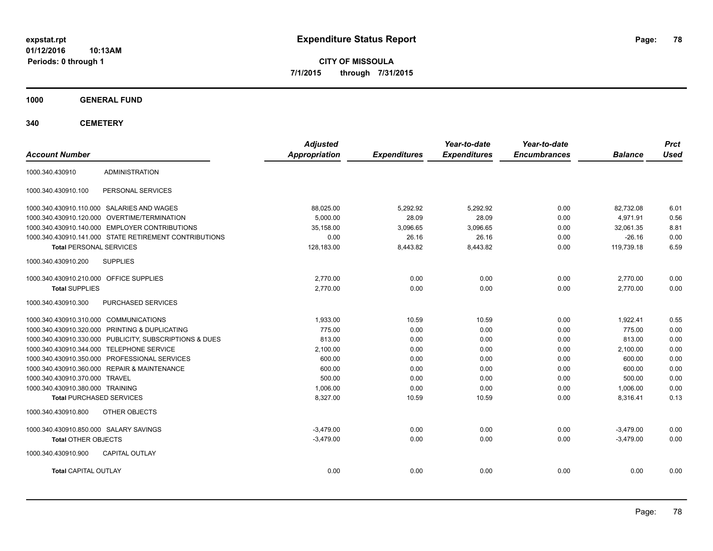**CITY OF MISSOULA 7/1/2015 through 7/31/2015**

**1000 GENERAL FUND**

| <b>Account Number</b>                   |                                                         | <b>Adjusted</b><br>Appropriation | <b>Expenditures</b> | Year-to-date<br><b>Expenditures</b> | Year-to-date<br><b>Encumbrances</b> | <b>Balance</b> | <b>Prct</b><br><b>Used</b> |
|-----------------------------------------|---------------------------------------------------------|----------------------------------|---------------------|-------------------------------------|-------------------------------------|----------------|----------------------------|
| 1000.340.430910                         | <b>ADMINISTRATION</b>                                   |                                  |                     |                                     |                                     |                |                            |
| 1000.340.430910.100                     | PERSONAL SERVICES                                       |                                  |                     |                                     |                                     |                |                            |
|                                         | 1000.340.430910.110.000 SALARIES AND WAGES              | 88,025.00                        | 5,292.92            | 5,292.92                            | 0.00                                | 82,732.08      | 6.01                       |
| 1000.340.430910.120.000                 | <b>OVERTIME/TERMINATION</b>                             | 5.000.00                         | 28.09               | 28.09                               | 0.00                                | 4.971.91       | 0.56                       |
|                                         | 1000.340.430910.140.000 EMPLOYER CONTRIBUTIONS          | 35.158.00                        | 3.096.65            | 3.096.65                            | 0.00                                | 32.061.35      | 8.81                       |
|                                         | 1000.340.430910.141.000 STATE RETIREMENT CONTRIBUTIONS  | 0.00                             | 26.16               | 26.16                               | 0.00                                | $-26.16$       | 0.00                       |
| <b>Total PERSONAL SERVICES</b>          |                                                         | 128,183.00                       | 8,443.82            | 8,443.82                            | 0.00                                | 119,739.18     | 6.59                       |
| 1000.340.430910.200                     | <b>SUPPLIES</b>                                         |                                  |                     |                                     |                                     |                |                            |
| 1000.340.430910.210.000 OFFICE SUPPLIES |                                                         | 2.770.00                         | 0.00                | 0.00                                | 0.00                                | 2.770.00       | 0.00                       |
| <b>Total SUPPLIES</b>                   |                                                         | 2,770.00                         | 0.00                | 0.00                                | 0.00                                | 2.770.00       | 0.00                       |
| 1000.340.430910.300                     | PURCHASED SERVICES                                      |                                  |                     |                                     |                                     |                |                            |
| 1000.340.430910.310.000 COMMUNICATIONS  |                                                         | 1,933.00                         | 10.59               | 10.59                               | 0.00                                | 1,922.41       | 0.55                       |
|                                         | 1000.340.430910.320.000 PRINTING & DUPLICATING          | 775.00                           | 0.00                | 0.00                                | 0.00                                | 775.00         | 0.00                       |
|                                         | 1000.340.430910.330.000 PUBLICITY, SUBSCRIPTIONS & DUES | 813.00                           | 0.00                | 0.00                                | 0.00                                | 813.00         | 0.00                       |
|                                         | 1000.340.430910.344.000 TELEPHONE SERVICE               | 2,100.00                         | 0.00                | 0.00                                | 0.00                                | 2,100.00       | 0.00                       |
|                                         | 1000.340.430910.350.000 PROFESSIONAL SERVICES           | 600.00                           | 0.00                | 0.00                                | 0.00                                | 600.00         | 0.00                       |
|                                         | 1000.340.430910.360.000 REPAIR & MAINTENANCE            | 600.00                           | 0.00                | 0.00                                | 0.00                                | 600.00         | 0.00                       |
| 1000.340.430910.370.000 TRAVEL          |                                                         | 500.00                           | 0.00                | 0.00                                | 0.00                                | 500.00         | 0.00                       |
| 1000.340.430910.380.000 TRAINING        |                                                         | 1,006.00                         | 0.00                | 0.00                                | 0.00                                | 1,006.00       | 0.00                       |
| <b>Total PURCHASED SERVICES</b>         |                                                         | 8,327.00                         | 10.59               | 10.59                               | 0.00                                | 8,316.41       | 0.13                       |
| 1000.340.430910.800                     | OTHER OBJECTS                                           |                                  |                     |                                     |                                     |                |                            |
| 1000.340.430910.850.000 SALARY SAVINGS  |                                                         | $-3.479.00$                      | 0.00                | 0.00                                | 0.00                                | $-3,479.00$    | 0.00                       |
| <b>Total OTHER OBJECTS</b>              |                                                         | $-3,479.00$                      | 0.00                | 0.00                                | 0.00                                | $-3,479.00$    | 0.00                       |
| 1000.340.430910.900                     | <b>CAPITAL OUTLAY</b>                                   |                                  |                     |                                     |                                     |                |                            |
| <b>Total CAPITAL OUTLAY</b>             |                                                         | 0.00                             | 0.00                | 0.00                                | 0.00                                | 0.00           | 0.00                       |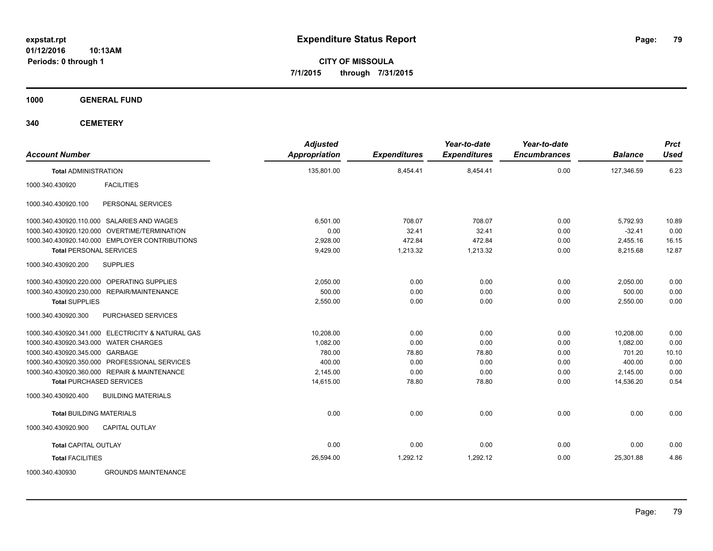**CITY OF MISSOULA 7/1/2015 through 7/31/2015**

**1000 GENERAL FUND**

| <b>Account Number</b>                             | <b>Adjusted</b><br><b>Appropriation</b> | <b>Expenditures</b> | Year-to-date<br><b>Expenditures</b> | Year-to-date<br><b>Encumbrances</b> | <b>Balance</b> | <b>Prct</b><br><b>Used</b> |
|---------------------------------------------------|-----------------------------------------|---------------------|-------------------------------------|-------------------------------------|----------------|----------------------------|
| <b>Total ADMINISTRATION</b>                       | 135,801.00                              | 8,454.41            | 8,454.41                            | 0.00                                | 127,346.59     | 6.23                       |
| <b>FACILITIES</b><br>1000.340.430920              |                                         |                     |                                     |                                     |                |                            |
| PERSONAL SERVICES<br>1000.340.430920.100          |                                         |                     |                                     |                                     |                |                            |
| 1000.340.430920.110.000 SALARIES AND WAGES        | 6.501.00                                | 708.07              | 708.07                              | 0.00                                | 5,792.93       | 10.89                      |
| 1000.340.430920.120.000 OVERTIME/TERMINATION      | 0.00                                    | 32.41               | 32.41                               | 0.00                                | $-32.41$       | 0.00                       |
| 1000.340.430920.140.000 EMPLOYER CONTRIBUTIONS    | 2,928.00                                | 472.84              | 472.84                              | 0.00                                | 2,455.16       | 16.15                      |
| <b>Total PERSONAL SERVICES</b>                    | 9,429.00                                | 1,213.32            | 1,213.32                            | 0.00                                | 8,215.68       | 12.87                      |
| <b>SUPPLIES</b><br>1000.340.430920.200            |                                         |                     |                                     |                                     |                |                            |
| 1000.340.430920.220.000 OPERATING SUPPLIES        | 2,050.00                                | 0.00                | 0.00                                | 0.00                                | 2,050.00       | 0.00                       |
| 1000.340.430920.230.000 REPAIR/MAINTENANCE        | 500.00                                  | 0.00                | 0.00                                | 0.00                                | 500.00         | 0.00                       |
| <b>Total SUPPLIES</b>                             | 2,550.00                                | 0.00                | 0.00                                | 0.00                                | 2,550.00       | 0.00                       |
| 1000.340.430920.300<br>PURCHASED SERVICES         |                                         |                     |                                     |                                     |                |                            |
| 1000.340.430920.341.000 ELECTRICITY & NATURAL GAS | 10,208.00                               | 0.00                | 0.00                                | 0.00                                | 10,208.00      | 0.00                       |
| 1000.340.430920.343.000 WATER CHARGES             | 1.082.00                                | 0.00                | 0.00                                | 0.00                                | 1,082.00       | 0.00                       |
| 1000.340.430920.345.000 GARBAGE                   | 780.00                                  | 78.80               | 78.80                               | 0.00                                | 701.20         | 10.10                      |
| 1000.340.430920.350.000 PROFESSIONAL SERVICES     | 400.00                                  | 0.00                | 0.00                                | 0.00                                | 400.00         | 0.00                       |
| 1000.340.430920.360.000 REPAIR & MAINTENANCE      | 2,145.00                                | 0.00                | 0.00                                | 0.00                                | 2,145.00       | 0.00                       |
| <b>Total PURCHASED SERVICES</b>                   | 14,615.00                               | 78.80               | 78.80                               | 0.00                                | 14,536.20      | 0.54                       |
| 1000.340.430920.400<br><b>BUILDING MATERIALS</b>  |                                         |                     |                                     |                                     |                |                            |
| <b>Total BUILDING MATERIALS</b>                   | 0.00                                    | 0.00                | 0.00                                | 0.00                                | 0.00           | 0.00                       |
| 1000.340.430920.900<br>CAPITAL OUTLAY             |                                         |                     |                                     |                                     |                |                            |
| <b>Total CAPITAL OUTLAY</b>                       | 0.00                                    | 0.00                | 0.00                                | 0.00                                | 0.00           | 0.00                       |
| <b>Total FACILITIES</b>                           | 26,594.00                               | 1,292.12            | 1,292.12                            | 0.00                                | 25,301.88      | 4.86                       |
| <b>GROUNDS MAINTENANCE</b><br>1000.340.430930     |                                         |                     |                                     |                                     |                |                            |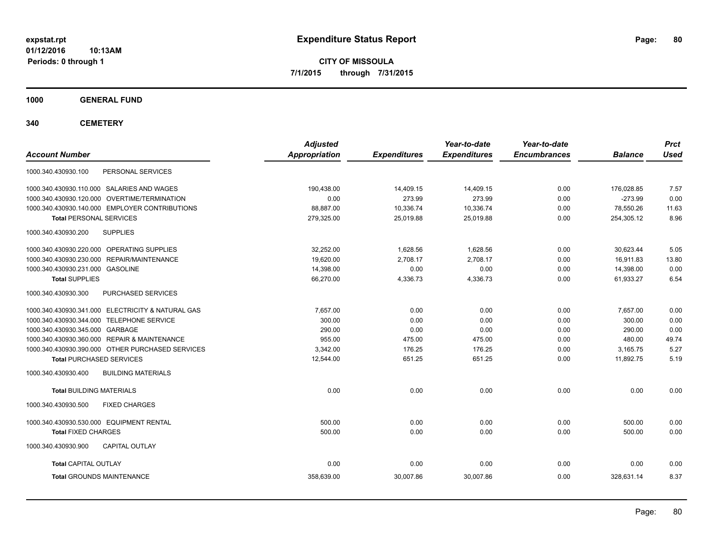**CITY OF MISSOULA 7/1/2015 through 7/31/2015**

**1000 GENERAL FUND**

| <b>Account Number</b>                             | <b>Adjusted</b><br><b>Appropriation</b> | <b>Expenditures</b> | Year-to-date<br><b>Expenditures</b> | Year-to-date<br><b>Encumbrances</b> | <b>Balance</b> | <b>Prct</b><br><b>Used</b> |
|---------------------------------------------------|-----------------------------------------|---------------------|-------------------------------------|-------------------------------------|----------------|----------------------------|
| 1000.340.430930.100<br>PERSONAL SERVICES          |                                         |                     |                                     |                                     |                |                            |
| 1000.340.430930.110.000 SALARIES AND WAGES        | 190.438.00                              | 14,409.15           | 14,409.15                           | 0.00                                | 176.028.85     | 7.57                       |
| 1000.340.430930.120.000 OVERTIME/TERMINATION      | 0.00                                    | 273.99              | 273.99                              | 0.00                                | $-273.99$      | 0.00                       |
| 1000.340.430930.140.000 EMPLOYER CONTRIBUTIONS    | 88,887.00                               | 10,336.74           | 10,336.74                           | 0.00                                | 78,550.26      | 11.63                      |
| <b>Total PERSONAL SERVICES</b>                    | 279,325.00                              | 25,019.88           | 25,019.88                           | 0.00                                | 254,305.12     | 8.96                       |
| 1000.340.430930.200<br><b>SUPPLIES</b>            |                                         |                     |                                     |                                     |                |                            |
| 1000.340.430930.220.000 OPERATING SUPPLIES        | 32.252.00                               | 1.628.56            | 1,628.56                            | 0.00                                | 30.623.44      | 5.05                       |
| 1000.340.430930.230.000 REPAIR/MAINTENANCE        | 19,620.00                               | 2,708.17            | 2,708.17                            | 0.00                                | 16,911.83      | 13.80                      |
| 1000.340.430930.231.000 GASOLINE                  | 14,398.00                               | 0.00                | 0.00                                | 0.00                                | 14,398.00      | 0.00                       |
| <b>Total SUPPLIES</b>                             | 66,270.00                               | 4,336.73            | 4,336.73                            | 0.00                                | 61,933.27      | 6.54                       |
| 1000.340.430930.300<br>PURCHASED SERVICES         |                                         |                     |                                     |                                     |                |                            |
| 1000.340.430930.341.000 ELECTRICITY & NATURAL GAS | 7.657.00                                | 0.00                | 0.00                                | 0.00                                | 7.657.00       | 0.00                       |
| 1000.340.430930.344.000 TELEPHONE SERVICE         | 300.00                                  | 0.00                | 0.00                                | 0.00                                | 300.00         | 0.00                       |
| 1000.340.430930.345.000 GARBAGE                   | 290.00                                  | 0.00                | 0.00                                | 0.00                                | 290.00         | 0.00                       |
| 1000.340.430930.360.000 REPAIR & MAINTENANCE      | 955.00                                  | 475.00              | 475.00                              | 0.00                                | 480.00         | 49.74                      |
| 1000.340.430930.390.000 OTHER PURCHASED SERVICES  | 3.342.00                                | 176.25              | 176.25                              | 0.00                                | 3.165.75       | 5.27                       |
| <b>Total PURCHASED SERVICES</b>                   | 12.544.00                               | 651.25              | 651.25                              | 0.00                                | 11,892.75      | 5.19                       |
| 1000.340.430930.400<br><b>BUILDING MATERIALS</b>  |                                         |                     |                                     |                                     |                |                            |
| <b>Total BUILDING MATERIALS</b>                   | 0.00                                    | 0.00                | 0.00                                | 0.00                                | 0.00           | 0.00                       |
| 1000.340.430930.500<br><b>FIXED CHARGES</b>       |                                         |                     |                                     |                                     |                |                            |
| 1000.340.430930.530.000 EQUIPMENT RENTAL          | 500.00                                  | 0.00                | 0.00                                | 0.00                                | 500.00         | 0.00                       |
| <b>Total FIXED CHARGES</b>                        | 500.00                                  | 0.00                | 0.00                                | 0.00                                | 500.00         | 0.00                       |
| 1000.340.430930.900<br><b>CAPITAL OUTLAY</b>      |                                         |                     |                                     |                                     |                |                            |
| <b>Total CAPITAL OUTLAY</b>                       | 0.00                                    | 0.00                | 0.00                                | 0.00                                | 0.00           | 0.00                       |
| <b>Total GROUNDS MAINTENANCE</b>                  | 358,639.00                              | 30,007.86           | 30,007.86                           | 0.00                                | 328,631.14     | 8.37                       |
|                                                   |                                         |                     |                                     |                                     |                |                            |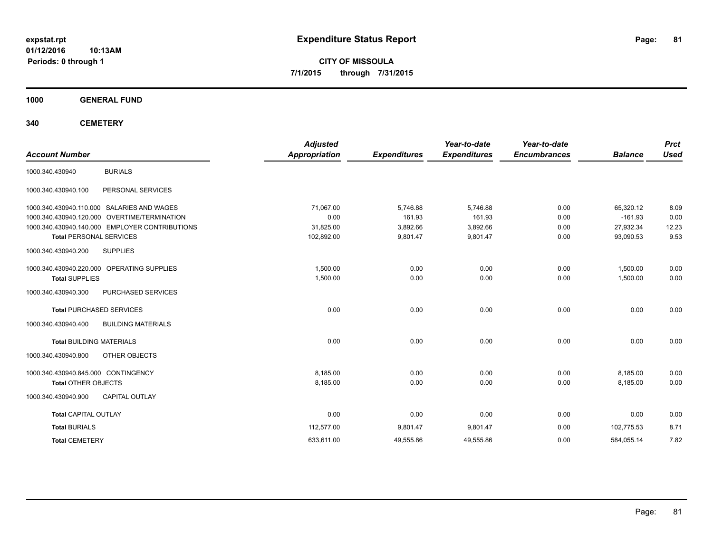**CITY OF MISSOULA 7/1/2015 through 7/31/2015**

**1000 GENERAL FUND**

| <b>Account Number</b>               |                                                | <b>Adjusted</b><br><b>Appropriation</b> | <b>Expenditures</b> | Year-to-date<br><b>Expenditures</b> | Year-to-date<br><b>Encumbrances</b> | <b>Balance</b> | <b>Prct</b><br><b>Used</b> |
|-------------------------------------|------------------------------------------------|-----------------------------------------|---------------------|-------------------------------------|-------------------------------------|----------------|----------------------------|
| 1000.340.430940                     | <b>BURIALS</b>                                 |                                         |                     |                                     |                                     |                |                            |
| 1000.340.430940.100                 | PERSONAL SERVICES                              |                                         |                     |                                     |                                     |                |                            |
|                                     | 1000.340.430940.110.000 SALARIES AND WAGES     | 71,067.00                               | 5,746.88            | 5,746.88                            | 0.00                                | 65,320.12      | 8.09                       |
|                                     | 1000.340.430940.120.000 OVERTIME/TERMINATION   | 0.00                                    | 161.93              | 161.93                              | 0.00                                | $-161.93$      | 0.00                       |
|                                     | 1000.340.430940.140.000 EMPLOYER CONTRIBUTIONS | 31,825.00                               | 3,892.66            | 3,892.66                            | 0.00                                | 27,932.34      | 12.23                      |
| <b>Total PERSONAL SERVICES</b>      |                                                | 102,892.00                              | 9,801.47            | 9,801.47                            | 0.00                                | 93,090.53      | 9.53                       |
| 1000.340.430940.200                 | <b>SUPPLIES</b>                                |                                         |                     |                                     |                                     |                |                            |
|                                     | 1000.340.430940.220.000 OPERATING SUPPLIES     | 1,500.00                                | 0.00                | 0.00                                | 0.00                                | 1,500.00       | 0.00                       |
| <b>Total SUPPLIES</b>               |                                                | 1,500.00                                | 0.00                | 0.00                                | 0.00                                | 1,500.00       | 0.00                       |
| 1000.340.430940.300                 | PURCHASED SERVICES                             |                                         |                     |                                     |                                     |                |                            |
|                                     | <b>Total PURCHASED SERVICES</b>                | 0.00                                    | 0.00                | 0.00                                | 0.00                                | 0.00           | 0.00                       |
| 1000.340.430940.400                 | <b>BUILDING MATERIALS</b>                      |                                         |                     |                                     |                                     |                |                            |
| <b>Total BUILDING MATERIALS</b>     |                                                | 0.00                                    | 0.00                | 0.00                                | 0.00                                | 0.00           | 0.00                       |
| 1000.340.430940.800                 | <b>OTHER OBJECTS</b>                           |                                         |                     |                                     |                                     |                |                            |
| 1000.340.430940.845.000 CONTINGENCY |                                                | 8,185.00                                | 0.00                | 0.00                                | 0.00                                | 8,185.00       | 0.00                       |
| <b>Total OTHER OBJECTS</b>          |                                                | 8,185.00                                | 0.00                | 0.00                                | 0.00                                | 8,185.00       | 0.00                       |
| 1000.340.430940.900                 | <b>CAPITAL OUTLAY</b>                          |                                         |                     |                                     |                                     |                |                            |
| <b>Total CAPITAL OUTLAY</b>         |                                                | 0.00                                    | 0.00                | 0.00                                | 0.00                                | 0.00           | 0.00                       |
| <b>Total BURIALS</b>                |                                                | 112,577.00                              | 9,801.47            | 9,801.47                            | 0.00                                | 102.775.53     | 8.71                       |
| <b>Total CEMETERY</b>               |                                                | 633,611.00                              | 49,555.86           | 49,555.86                           | 0.00                                | 584,055.14     | 7.82                       |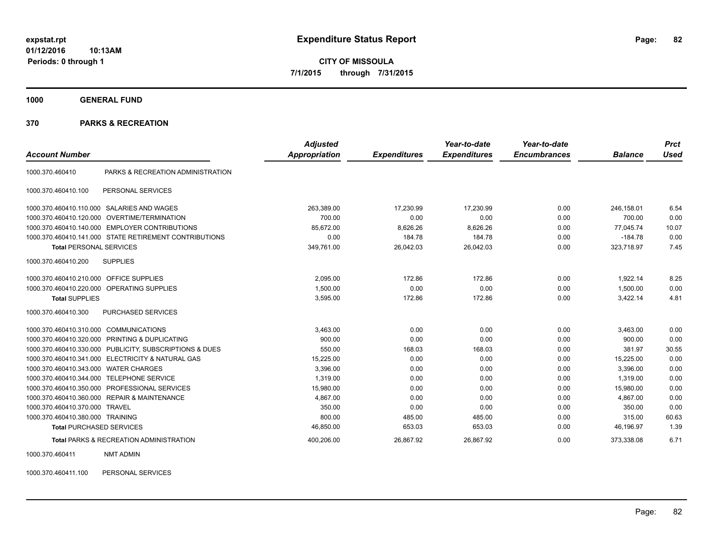**CITY OF MISSOULA 7/1/2015 through 7/31/2015**

**1000 GENERAL FUND**

#### **370 PARKS & RECREATION**

| <b>Account Number</b>            |                                                        | <b>Adjusted</b><br>Appropriation | <b>Expenditures</b> | Year-to-date<br><b>Expenditures</b> | Year-to-date<br><b>Encumbrances</b> | <b>Balance</b> | <b>Prct</b><br><b>Used</b> |
|----------------------------------|--------------------------------------------------------|----------------------------------|---------------------|-------------------------------------|-------------------------------------|----------------|----------------------------|
| 1000.370.460410                  | PARKS & RECREATION ADMINISTRATION                      |                                  |                     |                                     |                                     |                |                            |
| 1000.370.460410.100              | PERSONAL SERVICES                                      |                                  |                     |                                     |                                     |                |                            |
| 1000.370.460410.110.000          | <b>SALARIES AND WAGES</b>                              | 263,389.00                       | 17.230.99           | 17,230.99                           | 0.00                                | 246.158.01     | 6.54                       |
| 1000.370.460410.120.000          | <b>OVERTIME/TERMINATION</b>                            | 700.00                           | 0.00                | 0.00                                | 0.00                                | 700.00         | 0.00                       |
| 1000.370.460410.140.000          | <b>EMPLOYER CONTRIBUTIONS</b>                          | 85,672.00                        | 8,626.26            | 8,626.26                            | 0.00                                | 77,045.74      | 10.07                      |
|                                  | 1000.370.460410.141.000 STATE RETIREMENT CONTRIBUTIONS | 0.00                             | 184.78              | 184.78                              | 0.00                                | $-184.78$      | 0.00                       |
| <b>Total PERSONAL SERVICES</b>   |                                                        | 349,761.00                       | 26,042.03           | 26,042.03                           | 0.00                                | 323,718.97     | 7.45                       |
| 1000.370.460410.200              | <b>SUPPLIES</b>                                        |                                  |                     |                                     |                                     |                |                            |
| 1000.370.460410.210.000          | <b>OFFICE SUPPLIES</b>                                 | 2,095.00                         | 172.86              | 172.86                              | 0.00                                | 1,922.14       | 8.25                       |
| 1000.370.460410.220.000          | <b>OPERATING SUPPLIES</b>                              | 1,500.00                         | 0.00                | 0.00                                | 0.00                                | 1,500.00       | 0.00                       |
| <b>Total SUPPLIES</b>            |                                                        | 3,595.00                         | 172.86              | 172.86                              | 0.00                                | 3,422.14       | 4.81                       |
| 1000.370.460410.300              | PURCHASED SERVICES                                     |                                  |                     |                                     |                                     |                |                            |
| 1000.370.460410.310.000          | <b>COMMUNICATIONS</b>                                  | 3,463.00                         | 0.00                | 0.00                                | 0.00                                | 3,463.00       | 0.00                       |
| 1000.370.460410.320.000          | PRINTING & DUPLICATING                                 | 900.00                           | 0.00                | 0.00                                | 0.00                                | 900.00         | 0.00                       |
| 1000.370.460410.330.000          | PUBLICITY, SUBSCRIPTIONS & DUES                        | 550.00                           | 168.03              | 168.03                              | 0.00                                | 381.97         | 30.55                      |
|                                  | 1000.370.460410.341.000 ELECTRICITY & NATURAL GAS      | 15,225.00                        | 0.00                | 0.00                                | 0.00                                | 15,225.00      | 0.00                       |
| 1000.370.460410.343.000          | <b>WATER CHARGES</b>                                   | 3.396.00                         | 0.00                | 0.00                                | 0.00                                | 3.396.00       | 0.00                       |
| 1000.370.460410.344.000          | <b>TELEPHONE SERVICE</b>                               | 1,319.00                         | 0.00                | 0.00                                | 0.00                                | 1,319.00       | 0.00                       |
| 1000.370.460410.350.000          | PROFESSIONAL SERVICES                                  | 15,980.00                        | 0.00                | 0.00                                | 0.00                                | 15,980.00      | 0.00                       |
| 1000.370.460410.360.000          | <b>REPAIR &amp; MAINTENANCE</b>                        | 4,867.00                         | 0.00                | 0.00                                | 0.00                                | 4,867.00       | 0.00                       |
| 1000.370.460410.370.000          | <b>TRAVEL</b>                                          | 350.00                           | 0.00                | 0.00                                | 0.00                                | 350.00         | 0.00                       |
| 1000.370.460410.380.000 TRAINING |                                                        | 800.00                           | 485.00              | 485.00                              | 0.00                                | 315.00         | 60.63                      |
| <b>Total PURCHASED SERVICES</b>  |                                                        | 46,850.00                        | 653.03              | 653.03                              | 0.00                                | 46,196.97      | 1.39                       |
|                                  | <b>Total PARKS &amp; RECREATION ADMINISTRATION</b>     | 400.206.00                       | 26.867.92           | 26,867.92                           | 0.00                                | 373,338.08     | 6.71                       |

1000.370.460411 NMT ADMIN

1000.370.460411.100 PERSONAL SERVICES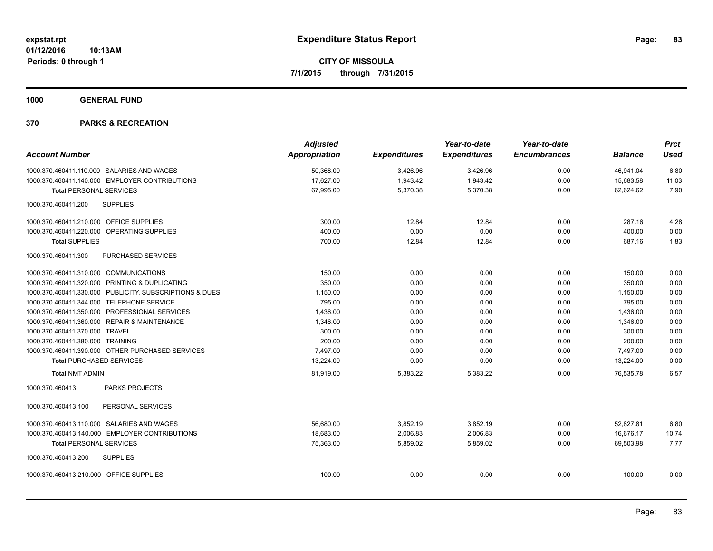**1000 GENERAL FUND**

|                                           |                                                         | <b>Adjusted</b>      |                     | Year-to-date        | Year-to-date        |                | <b>Prct</b> |
|-------------------------------------------|---------------------------------------------------------|----------------------|---------------------|---------------------|---------------------|----------------|-------------|
| <b>Account Number</b>                     |                                                         | <b>Appropriation</b> | <b>Expenditures</b> | <b>Expenditures</b> | <b>Encumbrances</b> | <b>Balance</b> | <b>Used</b> |
|                                           | 1000.370.460411.110.000 SALARIES AND WAGES              | 50,368.00            | 3,426.96            | 3,426.96            | 0.00                | 46,941.04      | 6.80        |
|                                           | 1000.370.460411.140.000 EMPLOYER CONTRIBUTIONS          | 17,627.00            | 1,943.42            | 1,943.42            | 0.00                | 15,683.58      | 11.03       |
| <b>Total PERSONAL SERVICES</b>            |                                                         | 67,995.00            | 5,370.38            | 5,370.38            | 0.00                | 62,624.62      | 7.90        |
| 1000.370.460411.200                       | <b>SUPPLIES</b>                                         |                      |                     |                     |                     |                |             |
| 1000.370.460411.210.000 OFFICE SUPPLIES   |                                                         | 300.00               | 12.84               | 12.84               | 0.00                | 287.16         | 4.28        |
|                                           | 1000.370.460411.220.000 OPERATING SUPPLIES              | 400.00               | 0.00                | 0.00                | 0.00                | 400.00         | 0.00        |
| <b>Total SUPPLIES</b>                     |                                                         | 700.00               | 12.84               | 12.84               | 0.00                | 687.16         | 1.83        |
| 1000.370.460411.300                       | PURCHASED SERVICES                                      |                      |                     |                     |                     |                |             |
| 1000.370.460411.310.000 COMMUNICATIONS    |                                                         | 150.00               | 0.00                | 0.00                | 0.00                | 150.00         | 0.00        |
|                                           | 1000.370.460411.320.000 PRINTING & DUPLICATING          | 350.00               | 0.00                | 0.00                | 0.00                | 350.00         | 0.00        |
|                                           | 1000.370.460411.330.000 PUBLICITY, SUBSCRIPTIONS & DUES | 1,150.00             | 0.00                | 0.00                | 0.00                | 1,150.00       | 0.00        |
| 1000.370.460411.344.000 TELEPHONE SERVICE |                                                         | 795.00               | 0.00                | 0.00                | 0.00                | 795.00         | 0.00        |
|                                           | 1000.370.460411.350.000 PROFESSIONAL SERVICES           | 1,436.00             | 0.00                | 0.00                | 0.00                | 1,436.00       | 0.00        |
|                                           | 1000.370.460411.360.000 REPAIR & MAINTENANCE            | 1.346.00             | 0.00                | 0.00                | 0.00                | 1.346.00       | 0.00        |
| 1000.370.460411.370.000 TRAVEL            |                                                         | 300.00               | 0.00                | 0.00                | 0.00                | 300.00         | 0.00        |
| 1000.370.460411.380.000 TRAINING          |                                                         | 200.00               | 0.00                | 0.00                | 0.00                | 200.00         | 0.00        |
|                                           | 1000.370.460411.390.000 OTHER PURCHASED SERVICES        | 7.497.00             | 0.00                | 0.00                | 0.00                | 7,497.00       | 0.00        |
| <b>Total PURCHASED SERVICES</b>           |                                                         | 13,224.00            | 0.00                | 0.00                | 0.00                | 13,224.00      | 0.00        |
| <b>Total NMT ADMIN</b>                    |                                                         | 81,919.00            | 5,383.22            | 5,383.22            | 0.00                | 76,535.78      | 6.57        |
| 1000.370.460413                           | <b>PARKS PROJECTS</b>                                   |                      |                     |                     |                     |                |             |
| 1000.370.460413.100                       | PERSONAL SERVICES                                       |                      |                     |                     |                     |                |             |
|                                           | 1000.370.460413.110.000 SALARIES AND WAGES              | 56,680.00            | 3,852.19            | 3,852.19            | 0.00                | 52,827.81      | 6.80        |
|                                           | 1000.370.460413.140.000 EMPLOYER CONTRIBUTIONS          | 18,683.00            | 2,006.83            | 2,006.83            | 0.00                | 16,676.17      | 10.74       |
| <b>Total PERSONAL SERVICES</b>            |                                                         | 75,363.00            | 5,859.02            | 5,859.02            | 0.00                | 69,503.98      | 7.77        |
| 1000.370.460413.200                       | <b>SUPPLIES</b>                                         |                      |                     |                     |                     |                |             |
| 1000.370.460413.210.000 OFFICE SUPPLIES   |                                                         | 100.00               | 0.00                | 0.00                | 0.00                | 100.00         | 0.00        |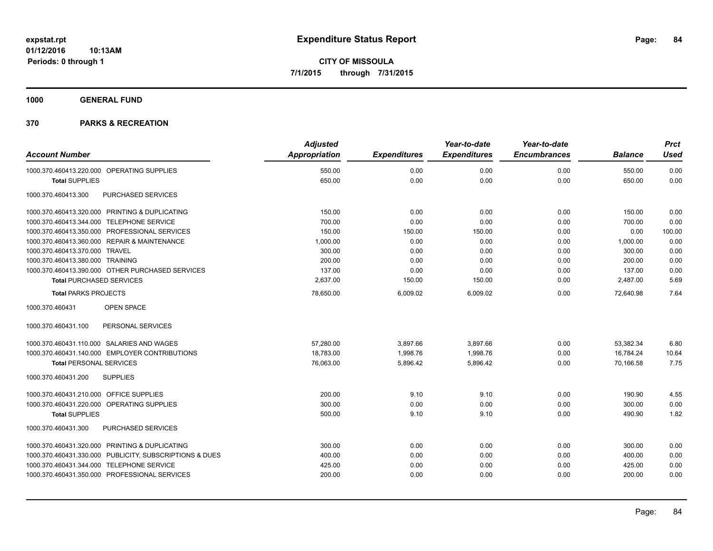**1000 GENERAL FUND**

|                                                         | <b>Adjusted</b>      |                     | Year-to-date        | Year-to-date        |                | <b>Prct</b> |
|---------------------------------------------------------|----------------------|---------------------|---------------------|---------------------|----------------|-------------|
| <b>Account Number</b>                                   | <b>Appropriation</b> | <b>Expenditures</b> | <b>Expenditures</b> | <b>Encumbrances</b> | <b>Balance</b> | <b>Used</b> |
| 1000.370.460413.220.000 OPERATING SUPPLIES              | 550.00               | 0.00                | 0.00                | 0.00                | 550.00         | 0.00        |
| <b>Total SUPPLIES</b>                                   | 650.00               | 0.00                | 0.00                | 0.00                | 650.00         | 0.00        |
| PURCHASED SERVICES<br>1000.370.460413.300               |                      |                     |                     |                     |                |             |
| 1000.370.460413.320.000 PRINTING & DUPLICATING          | 150.00               | 0.00                | 0.00                | 0.00                | 150.00         | 0.00        |
| 1000.370.460413.344.000 TELEPHONE SERVICE               | 700.00               | 0.00                | 0.00                | 0.00                | 700.00         | 0.00        |
| 1000.370.460413.350.000 PROFESSIONAL SERVICES           | 150.00               | 150.00              | 150.00              | 0.00                | 0.00           | 100.00      |
| 1000.370.460413.360.000 REPAIR & MAINTENANCE            | 1,000.00             | 0.00                | 0.00                | 0.00                | 1,000.00       | 0.00        |
| 1000.370.460413.370.000 TRAVEL                          | 300.00               | 0.00                | 0.00                | 0.00                | 300.00         | 0.00        |
| 1000.370.460413.380.000 TRAINING                        | 200.00               | 0.00                | 0.00                | 0.00                | 200.00         | 0.00        |
| 1000.370.460413.390.000 OTHER PURCHASED SERVICES        | 137.00               | 0.00                | 0.00                | 0.00                | 137.00         | 0.00        |
| <b>Total PURCHASED SERVICES</b>                         | 2,637.00             | 150.00              | 150.00              | 0.00                | 2,487.00       | 5.69        |
| <b>Total PARKS PROJECTS</b>                             | 78,650.00            | 6,009.02            | 6,009.02            | 0.00                | 72.640.98      | 7.64        |
| OPEN SPACE<br>1000.370.460431                           |                      |                     |                     |                     |                |             |
| 1000.370.460431.100<br>PERSONAL SERVICES                |                      |                     |                     |                     |                |             |
| 1000.370.460431.110.000 SALARIES AND WAGES              | 57,280.00            | 3,897.66            | 3,897.66            | 0.00                | 53,382.34      | 6.80        |
| 1000.370.460431.140.000 EMPLOYER CONTRIBUTIONS          | 18,783.00            | 1,998.76            | 1,998.76            | 0.00                | 16,784.24      | 10.64       |
| <b>Total PERSONAL SERVICES</b>                          | 76,063.00            | 5,896.42            | 5,896.42            | 0.00                | 70,166.58      | 7.75        |
| <b>SUPPLIES</b><br>1000.370.460431.200                  |                      |                     |                     |                     |                |             |
| 1000.370.460431.210.000 OFFICE SUPPLIES                 | 200.00               | 9.10                | 9.10                | 0.00                | 190.90         | 4.55        |
| 1000.370.460431.220.000 OPERATING SUPPLIES              | 300.00               | 0.00                | 0.00                | 0.00                | 300.00         | 0.00        |
| <b>Total SUPPLIES</b>                                   | 500.00               | 9.10                | 9.10                | 0.00                | 490.90         | 1.82        |
| PURCHASED SERVICES<br>1000.370.460431.300               |                      |                     |                     |                     |                |             |
| 1000.370.460431.320.000 PRINTING & DUPLICATING          | 300.00               | 0.00                | 0.00                | 0.00                | 300.00         | 0.00        |
| 1000.370.460431.330.000 PUBLICITY, SUBSCRIPTIONS & DUES | 400.00               | 0.00                | 0.00                | 0.00                | 400.00         | 0.00        |
| 1000.370.460431.344.000 TELEPHONE SERVICE               | 425.00               | 0.00                | 0.00                | 0.00                | 425.00         | 0.00        |
| 1000.370.460431.350.000 PROFESSIONAL SERVICES           | 200.00               | 0.00                | 0.00                | 0.00                | 200.00         | 0.00        |
|                                                         |                      |                     |                     |                     |                |             |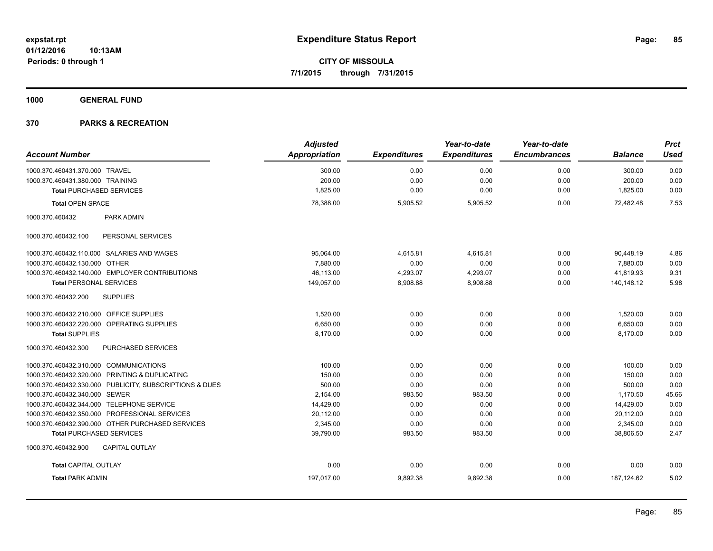**1000 GENERAL FUND**

|                                                         | <b>Adjusted</b> |                     | Year-to-date        | Year-to-date        |                | <b>Prct</b> |
|---------------------------------------------------------|-----------------|---------------------|---------------------|---------------------|----------------|-------------|
| <b>Account Number</b>                                   | Appropriation   | <b>Expenditures</b> | <b>Expenditures</b> | <b>Encumbrances</b> | <b>Balance</b> | <b>Used</b> |
| 1000.370.460431.370.000 TRAVEL                          | 300.00          | 0.00                | 0.00                | 0.00                | 300.00         | 0.00        |
| 1000.370.460431.380.000 TRAINING                        | 200.00          | 0.00                | 0.00                | 0.00                | 200.00         | 0.00        |
| <b>Total PURCHASED SERVICES</b>                         | 1,825.00        | 0.00                | 0.00                | 0.00                | 1,825.00       | 0.00        |
| <b>Total OPEN SPACE</b>                                 | 78,388.00       | 5,905.52            | 5,905.52            | 0.00                | 72,482.48      | 7.53        |
| 1000.370.460432<br>PARK ADMIN                           |                 |                     |                     |                     |                |             |
| PERSONAL SERVICES<br>1000.370.460432.100                |                 |                     |                     |                     |                |             |
| 1000.370.460432.110.000 SALARIES AND WAGES              | 95,064.00       | 4,615.81            | 4,615.81            | 0.00                | 90,448.19      | 4.86        |
| 1000.370.460432.130.000 OTHER                           | 7.880.00        | 0.00                | 0.00                | 0.00                | 7.880.00       | 0.00        |
| 1000.370.460432.140.000 EMPLOYER CONTRIBUTIONS          | 46,113.00       | 4,293.07            | 4,293.07            | 0.00                | 41,819.93      | 9.31        |
| <b>Total PERSONAL SERVICES</b>                          | 149,057.00      | 8,908.88            | 8,908.88            | 0.00                | 140,148.12     | 5.98        |
| <b>SUPPLIES</b><br>1000.370.460432.200                  |                 |                     |                     |                     |                |             |
| 1000.370.460432.210.000 OFFICE SUPPLIES                 | 1.520.00        | 0.00                | 0.00                | 0.00                | 1,520.00       | 0.00        |
| 1000.370.460432.220.000 OPERATING SUPPLIES              | 6,650.00        | 0.00                | 0.00                | 0.00                | 6,650.00       | 0.00        |
| <b>Total SUPPLIES</b>                                   | 8,170.00        | 0.00                | 0.00                | 0.00                | 8,170.00       | 0.00        |
| 1000.370.460432.300<br><b>PURCHASED SERVICES</b>        |                 |                     |                     |                     |                |             |
| 1000.370.460432.310.000 COMMUNICATIONS                  | 100.00          | 0.00                | 0.00                | 0.00                | 100.00         | 0.00        |
| 1000.370.460432.320.000 PRINTING & DUPLICATING          | 150.00          | 0.00                | 0.00                | 0.00                | 150.00         | 0.00        |
| 1000.370.460432.330.000 PUBLICITY, SUBSCRIPTIONS & DUES | 500.00          | 0.00                | 0.00                | 0.00                | 500.00         | 0.00        |
| 1000.370.460432.340.000 SEWER                           | 2,154.00        | 983.50              | 983.50              | 0.00                | 1,170.50       | 45.66       |
| 1000.370.460432.344.000 TELEPHONE SERVICE               | 14,429.00       | 0.00                | 0.00                | 0.00                | 14,429.00      | 0.00        |
| 1000.370.460432.350.000 PROFESSIONAL SERVICES           | 20,112.00       | 0.00                | 0.00                | 0.00                | 20,112.00      | 0.00        |
| 1000.370.460432.390.000 OTHER PURCHASED SERVICES        | 2,345.00        | 0.00                | 0.00                | 0.00                | 2,345.00       | 0.00        |
| <b>Total PURCHASED SERVICES</b>                         | 39,790.00       | 983.50              | 983.50              | 0.00                | 38,806.50      | 2.47        |
| <b>CAPITAL OUTLAY</b><br>1000.370.460432.900            |                 |                     |                     |                     |                |             |
| <b>Total CAPITAL OUTLAY</b>                             | 0.00            | 0.00                | 0.00                | 0.00                | 0.00           | 0.00        |
| <b>Total PARK ADMIN</b>                                 | 197,017.00      | 9,892.38            | 9,892.38            | 0.00                | 187, 124.62    | 5.02        |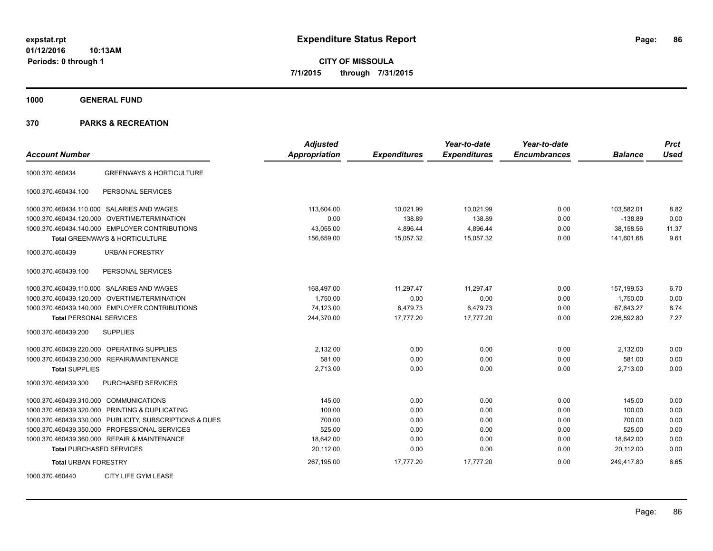**CITY OF MISSOULA 7/1/2015 through 7/31/2015**

**1000 GENERAL FUND**

| <b>Account Number</b>                                   | <b>Adjusted</b><br><b>Appropriation</b> | <b>Expenditures</b> | Year-to-date<br><b>Expenditures</b> | Year-to-date<br><b>Encumbrances</b> | <b>Balance</b> | <b>Prct</b><br><b>Used</b> |
|---------------------------------------------------------|-----------------------------------------|---------------------|-------------------------------------|-------------------------------------|----------------|----------------------------|
| <b>GREENWAYS &amp; HORTICULTURE</b><br>1000.370.460434  |                                         |                     |                                     |                                     |                |                            |
| 1000.370.460434.100<br>PERSONAL SERVICES                |                                         |                     |                                     |                                     |                |                            |
| 1000.370.460434.110.000 SALARIES AND WAGES              | 113,604.00                              | 10,021.99           | 10,021.99                           | 0.00                                | 103,582.01     | 8.82                       |
| <b>OVERTIME/TERMINATION</b><br>1000.370.460434.120.000  | 0.00                                    | 138.89              | 138.89                              | 0.00                                | $-138.89$      | 0.00                       |
| 1000.370.460434.140.000 EMPLOYER CONTRIBUTIONS          | 43,055.00                               | 4,896.44            | 4,896.44                            | 0.00                                | 38,158.56      | 11.37                      |
| <b>Total GREENWAYS &amp; HORTICULTURE</b>               | 156,659.00                              | 15,057.32           | 15,057.32                           | 0.00                                | 141.601.68     | 9.61                       |
| 1000.370.460439<br><b>URBAN FORESTRY</b>                |                                         |                     |                                     |                                     |                |                            |
| PERSONAL SERVICES<br>1000.370.460439.100                |                                         |                     |                                     |                                     |                |                            |
| 1000.370.460439.110.000 SALARIES AND WAGES              | 168,497.00                              | 11.297.47           | 11.297.47                           | 0.00                                | 157,199.53     | 6.70                       |
| 1000.370.460439.120.000<br><b>OVERTIME/TERMINATION</b>  | 1,750.00                                | 0.00                | 0.00                                | 0.00                                | 1,750.00       | 0.00                       |
| 1000.370.460439.140.000 EMPLOYER CONTRIBUTIONS          | 74,123.00                               | 6,479.73            | 6,479.73                            | 0.00                                | 67,643.27      | 8.74                       |
| <b>Total PERSONAL SERVICES</b>                          | 244,370.00                              | 17,777.20           | 17,777.20                           | 0.00                                | 226,592.80     | 7.27                       |
| 1000.370.460439.200<br><b>SUPPLIES</b>                  |                                         |                     |                                     |                                     |                |                            |
| OPERATING SUPPLIES<br>1000.370.460439.220.000           | 2,132.00                                | 0.00                | 0.00                                | 0.00                                | 2,132.00       | 0.00                       |
| 1000.370.460439.230.000 REPAIR/MAINTENANCE              | 581.00                                  | 0.00                | 0.00                                | 0.00                                | 581.00         | 0.00                       |
| <b>Total SUPPLIES</b>                                   | 2,713.00                                | 0.00                | 0.00                                | 0.00                                | 2,713.00       | 0.00                       |
| <b>PURCHASED SERVICES</b><br>1000.370.460439.300        |                                         |                     |                                     |                                     |                |                            |
| 1000.370.460439.310.000 COMMUNICATIONS                  | 145.00                                  | 0.00                | 0.00                                | 0.00                                | 145.00         | 0.00                       |
| 1000.370.460439.320.000 PRINTING & DUPLICATING          | 100.00                                  | 0.00                | 0.00                                | 0.00                                | 100.00         | 0.00                       |
| 1000.370.460439.330.000 PUBLICITY, SUBSCRIPTIONS & DUES | 700.00                                  | 0.00                | 0.00                                | 0.00                                | 700.00         | 0.00                       |
| 1000.370.460439.350.000<br>PROFESSIONAL SERVICES        | 525.00                                  | 0.00                | 0.00                                | 0.00                                | 525.00         | 0.00                       |
| 1000.370.460439.360.000 REPAIR & MAINTENANCE            | 18,642.00                               | 0.00                | 0.00                                | 0.00                                | 18,642.00      | 0.00                       |
| <b>Total PURCHASED SERVICES</b>                         | 20,112.00                               | 0.00                | 0.00                                | 0.00                                | 20,112.00      | 0.00                       |
| <b>Total URBAN FORESTRY</b>                             | 267,195.00                              | 17,777.20           | 17,777.20                           | 0.00                                | 249,417.80     | 6.65                       |
| CITY LIFE GYM LEASE<br>1000.370.460440                  |                                         |                     |                                     |                                     |                |                            |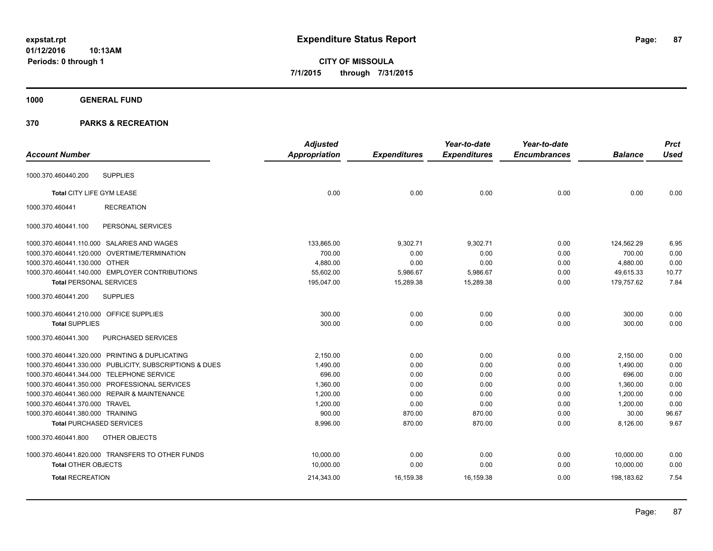**CITY OF MISSOULA 7/1/2015 through 7/31/2015**

# **1000 GENERAL FUND**

| <b>Account Number</b>                   |                                                         | <b>Adjusted</b><br>Appropriation | <b>Expenditures</b> | Year-to-date<br><b>Expenditures</b> | Year-to-date<br><b>Encumbrances</b> | <b>Balance</b> | <b>Prct</b><br><b>Used</b> |
|-----------------------------------------|---------------------------------------------------------|----------------------------------|---------------------|-------------------------------------|-------------------------------------|----------------|----------------------------|
|                                         |                                                         |                                  |                     |                                     |                                     |                |                            |
| 1000.370.460440.200                     | <b>SUPPLIES</b>                                         |                                  |                     |                                     |                                     |                |                            |
| Total CITY LIFE GYM LEASE               |                                                         | 0.00                             | 0.00                | 0.00                                | 0.00                                | 0.00           | 0.00                       |
| 1000.370.460441                         | <b>RECREATION</b>                                       |                                  |                     |                                     |                                     |                |                            |
| 1000.370.460441.100                     | PERSONAL SERVICES                                       |                                  |                     |                                     |                                     |                |                            |
|                                         | 1000.370.460441.110.000 SALARIES AND WAGES              | 133,865.00                       | 9,302.71            | 9,302.71                            | 0.00                                | 124,562.29     | 6.95                       |
|                                         | 1000.370.460441.120.000 OVERTIME/TERMINATION            | 700.00                           | 0.00                | 0.00                                | 0.00                                | 700.00         | 0.00                       |
| 1000.370.460441.130.000 OTHER           |                                                         | 4,880.00                         | 0.00                | 0.00                                | 0.00                                | 4,880.00       | 0.00                       |
|                                         | 1000.370.460441.140.000 EMPLOYER CONTRIBUTIONS          | 55,602.00                        | 5,986.67            | 5,986.67                            | 0.00                                | 49,615.33      | 10.77                      |
| <b>Total PERSONAL SERVICES</b>          |                                                         | 195,047.00                       | 15,289.38           | 15,289.38                           | 0.00                                | 179,757.62     | 7.84                       |
| 1000.370.460441.200                     | <b>SUPPLIES</b>                                         |                                  |                     |                                     |                                     |                |                            |
| 1000.370.460441.210.000 OFFICE SUPPLIES |                                                         | 300.00                           | 0.00                | 0.00                                | 0.00                                | 300.00         | 0.00                       |
| <b>Total SUPPLIES</b>                   |                                                         | 300.00                           | 0.00                | 0.00                                | 0.00                                | 300.00         | 0.00                       |
| 1000.370.460441.300                     | <b>PURCHASED SERVICES</b>                               |                                  |                     |                                     |                                     |                |                            |
|                                         | 1000.370.460441.320.000 PRINTING & DUPLICATING          | 2,150.00                         | 0.00                | 0.00                                | 0.00                                | 2,150.00       | 0.00                       |
|                                         | 1000.370.460441.330.000 PUBLICITY, SUBSCRIPTIONS & DUES | 1,490.00                         | 0.00                | 0.00                                | 0.00                                | 1,490.00       | 0.00                       |
|                                         | 1000.370.460441.344.000 TELEPHONE SERVICE               | 696.00                           | 0.00                | 0.00                                | 0.00                                | 696.00         | 0.00                       |
|                                         | 1000.370.460441.350.000 PROFESSIONAL SERVICES           | 1,360.00                         | 0.00                | 0.00                                | 0.00                                | 1,360.00       | 0.00                       |
|                                         | 1000.370.460441.360.000 REPAIR & MAINTENANCE            | 1,200.00                         | 0.00                | 0.00                                | 0.00                                | 1,200.00       | 0.00                       |
| 1000.370.460441.370.000 TRAVEL          |                                                         | 1,200.00                         | 0.00                | 0.00                                | 0.00                                | 1,200.00       | 0.00                       |
| 1000.370.460441.380.000 TRAINING        |                                                         | 900.00                           | 870.00              | 870.00                              | 0.00                                | 30.00          | 96.67                      |
| <b>Total PURCHASED SERVICES</b>         |                                                         | 8,996.00                         | 870.00              | 870.00                              | 0.00                                | 8,126.00       | 9.67                       |
| 1000.370.460441.800                     | OTHER OBJECTS                                           |                                  |                     |                                     |                                     |                |                            |
|                                         | 1000.370.460441.820.000 TRANSFERS TO OTHER FUNDS        | 10,000.00                        | 0.00                | 0.00                                | 0.00                                | 10,000.00      | 0.00                       |
| <b>Total OTHER OBJECTS</b>              |                                                         | 10,000.00                        | 0.00                | 0.00                                | 0.00                                | 10,000.00      | 0.00                       |
| <b>Total RECREATION</b>                 |                                                         | 214,343.00                       | 16,159.38           | 16,159.38                           | 0.00                                | 198,183.62     | 7.54                       |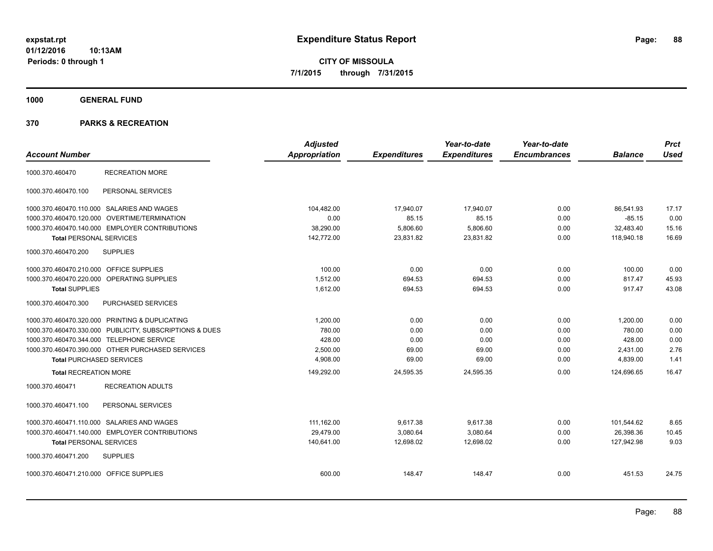**CITY OF MISSOULA 7/1/2015 through 7/31/2015**

**1000 GENERAL FUND**

| <b>Account Number</b>                   |                                                         | <b>Adjusted</b><br><b>Appropriation</b> | <b>Expenditures</b> | Year-to-date<br><b>Expenditures</b> | Year-to-date<br><b>Encumbrances</b> | <b>Balance</b> | <b>Prct</b><br><b>Used</b> |
|-----------------------------------------|---------------------------------------------------------|-----------------------------------------|---------------------|-------------------------------------|-------------------------------------|----------------|----------------------------|
| 1000.370.460470                         | <b>RECREATION MORE</b>                                  |                                         |                     |                                     |                                     |                |                            |
| 1000.370.460470.100                     | PERSONAL SERVICES                                       |                                         |                     |                                     |                                     |                |                            |
|                                         | 1000.370.460470.110.000 SALARIES AND WAGES              | 104.482.00                              | 17,940.07           | 17.940.07                           | 0.00                                | 86,541.93      | 17.17                      |
|                                         | 1000.370.460470.120.000 OVERTIME/TERMINATION            | 0.00                                    | 85.15               | 85.15                               | 0.00                                | $-85.15$       | 0.00                       |
|                                         | 1000.370.460470.140.000 EMPLOYER CONTRIBUTIONS          | 38,290.00                               | 5,806.60            | 5,806.60                            | 0.00                                | 32,483.40      | 15.16                      |
| <b>Total PERSONAL SERVICES</b>          |                                                         | 142,772.00                              | 23,831.82           | 23,831.82                           | 0.00                                | 118,940.18     | 16.69                      |
| 1000.370.460470.200                     | <b>SUPPLIES</b>                                         |                                         |                     |                                     |                                     |                |                            |
| 1000.370.460470.210.000 OFFICE SUPPLIES |                                                         | 100.00                                  | 0.00                | 0.00                                | 0.00                                | 100.00         | 0.00                       |
|                                         | 1000.370.460470.220.000 OPERATING SUPPLIES              | 1,512.00                                | 694.53              | 694.53                              | 0.00                                | 817.47         | 45.93                      |
| <b>Total SUPPLIES</b>                   |                                                         | 1,612.00                                | 694.53              | 694.53                              | 0.00                                | 917.47         | 43.08                      |
| 1000.370.460470.300                     | PURCHASED SERVICES                                      |                                         |                     |                                     |                                     |                |                            |
|                                         | 1000.370.460470.320.000 PRINTING & DUPLICATING          | 1,200.00                                | 0.00                | 0.00                                | 0.00                                | 1.200.00       | 0.00                       |
|                                         | 1000.370.460470.330.000 PUBLICITY, SUBSCRIPTIONS & DUES | 780.00                                  | 0.00                | 0.00                                | 0.00                                | 780.00         | 0.00                       |
|                                         | 1000.370.460470.344.000 TELEPHONE SERVICE               | 428.00                                  | 0.00                | 0.00                                | 0.00                                | 428.00         | 0.00                       |
|                                         | 1000.370.460470.390.000 OTHER PURCHASED SERVICES        | 2,500.00                                | 69.00               | 69.00                               | 0.00                                | 2,431.00       | 2.76                       |
| <b>Total PURCHASED SERVICES</b>         |                                                         | 4,908.00                                | 69.00               | 69.00                               | 0.00                                | 4,839.00       | 1.41                       |
| <b>Total RECREATION MORE</b>            |                                                         | 149,292.00                              | 24,595.35           | 24,595.35                           | 0.00                                | 124,696.65     | 16.47                      |
| 1000.370.460471                         | <b>RECREATION ADULTS</b>                                |                                         |                     |                                     |                                     |                |                            |
| 1000.370.460471.100                     | PERSONAL SERVICES                                       |                                         |                     |                                     |                                     |                |                            |
|                                         | 1000.370.460471.110.000 SALARIES AND WAGES              | 111,162.00                              | 9,617.38            | 9,617.38                            | 0.00                                | 101,544.62     | 8.65                       |
|                                         | 1000.370.460471.140.000 EMPLOYER CONTRIBUTIONS          | 29.479.00                               | 3.080.64            | 3.080.64                            | 0.00                                | 26,398.36      | 10.45                      |
| <b>Total PERSONAL SERVICES</b>          |                                                         | 140,641.00                              | 12,698.02           | 12,698.02                           | 0.00                                | 127,942.98     | 9.03                       |
| 1000.370.460471.200                     | <b>SUPPLIES</b>                                         |                                         |                     |                                     |                                     |                |                            |
| 1000.370.460471.210.000 OFFICE SUPPLIES |                                                         | 600.00                                  | 148.47              | 148.47                              | 0.00                                | 451.53         | 24.75                      |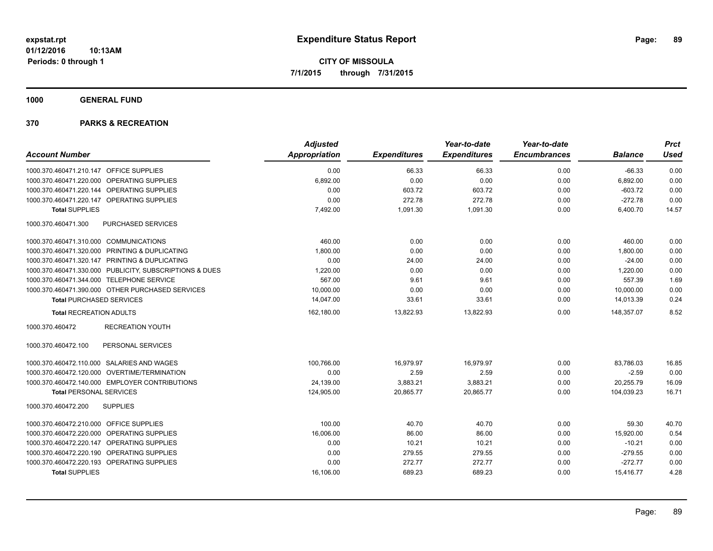**1000 GENERAL FUND**

|                                                         | <b>Adjusted</b> |                     | Year-to-date        | Year-to-date        |                | <b>Prct</b> |
|---------------------------------------------------------|-----------------|---------------------|---------------------|---------------------|----------------|-------------|
| <b>Account Number</b>                                   | Appropriation   | <b>Expenditures</b> | <b>Expenditures</b> | <b>Encumbrances</b> | <b>Balance</b> | Used        |
| 1000.370.460471.210.147 OFFICE SUPPLIES                 | 0.00            | 66.33               | 66.33               | 0.00                | $-66.33$       | 0.00        |
| 1000.370.460471.220.000 OPERATING SUPPLIES              | 6,892.00        | 0.00                | 0.00                | 0.00                | 6,892.00       | 0.00        |
| 1000.370.460471.220.144 OPERATING SUPPLIES              | 0.00            | 603.72              | 603.72              | 0.00                | $-603.72$      | 0.00        |
| 1000.370.460471.220.147 OPERATING SUPPLIES              | 0.00            | 272.78              | 272.78              | 0.00                | $-272.78$      | 0.00        |
| <b>Total SUPPLIES</b>                                   | 7,492.00        | 1,091.30            | 1,091.30            | 0.00                | 6,400.70       | 14.57       |
| PURCHASED SERVICES<br>1000.370.460471.300               |                 |                     |                     |                     |                |             |
| 1000.370.460471.310.000 COMMUNICATIONS                  | 460.00          | 0.00                | 0.00                | 0.00                | 460.00         | 0.00        |
| 1000.370.460471.320.000 PRINTING & DUPLICATING          | 1,800.00        | 0.00                | 0.00                | 0.00                | 1,800.00       | 0.00        |
| 1000.370.460471.320.147 PRINTING & DUPLICATING          | 0.00            | 24.00               | 24.00               | 0.00                | $-24.00$       | 0.00        |
| 1000.370.460471.330.000 PUBLICITY, SUBSCRIPTIONS & DUES | 1,220.00        | 0.00                | 0.00                | 0.00                | 1,220.00       | 0.00        |
| 1000.370.460471.344.000 TELEPHONE SERVICE               | 567.00          | 9.61                | 9.61                | 0.00                | 557.39         | 1.69        |
| 1000.370.460471.390.000 OTHER PURCHASED SERVICES        | 10,000.00       | 0.00                | 0.00                | 0.00                | 10,000.00      | 0.00        |
| <b>Total PURCHASED SERVICES</b>                         | 14,047.00       | 33.61               | 33.61               | 0.00                | 14,013.39      | 0.24        |
| <b>Total RECREATION ADULTS</b>                          | 162,180.00      | 13,822.93           | 13.822.93           | 0.00                | 148.357.07     | 8.52        |
| 1000.370.460472<br><b>RECREATION YOUTH</b>              |                 |                     |                     |                     |                |             |
| 1000.370.460472.100<br>PERSONAL SERVICES                |                 |                     |                     |                     |                |             |
| 1000.370.460472.110.000 SALARIES AND WAGES              | 100,766.00      | 16,979.97           | 16,979.97           | 0.00                | 83,786.03      | 16.85       |
| 1000.370.460472.120.000 OVERTIME/TERMINATION            | 0.00            | 2.59                | 2.59                | 0.00                | $-2.59$        | 0.00        |
| 1000.370.460472.140.000 EMPLOYER CONTRIBUTIONS          | 24,139.00       | 3,883.21            | 3,883.21            | 0.00                | 20,255.79      | 16.09       |
| <b>Total PERSONAL SERVICES</b>                          | 124,905.00      | 20,865.77           | 20,865.77           | 0.00                | 104,039.23     | 16.71       |
| 1000.370.460472.200<br><b>SUPPLIES</b>                  |                 |                     |                     |                     |                |             |
| 1000.370.460472.210.000 OFFICE SUPPLIES                 | 100.00          | 40.70               | 40.70               | 0.00                | 59.30          | 40.70       |
| 1000.370.460472.220.000 OPERATING SUPPLIES              | 16,006.00       | 86.00               | 86.00               | 0.00                | 15,920.00      | 0.54        |
| 1000.370.460472.220.147 OPERATING SUPPLIES              | 0.00            | 10.21               | 10.21               | 0.00                | $-10.21$       | 0.00        |
| 1000.370.460472.220.190 OPERATING SUPPLIES              | 0.00            | 279.55              | 279.55              | 0.00                | $-279.55$      | 0.00        |
| 1000.370.460472.220.193 OPERATING SUPPLIES              | 0.00            | 272.77              | 272.77              | 0.00                | $-272.77$      | 0.00        |
| <b>Total SUPPLIES</b>                                   | 16,106.00       | 689.23              | 689.23              | 0.00                | 15,416.77      | 4.28        |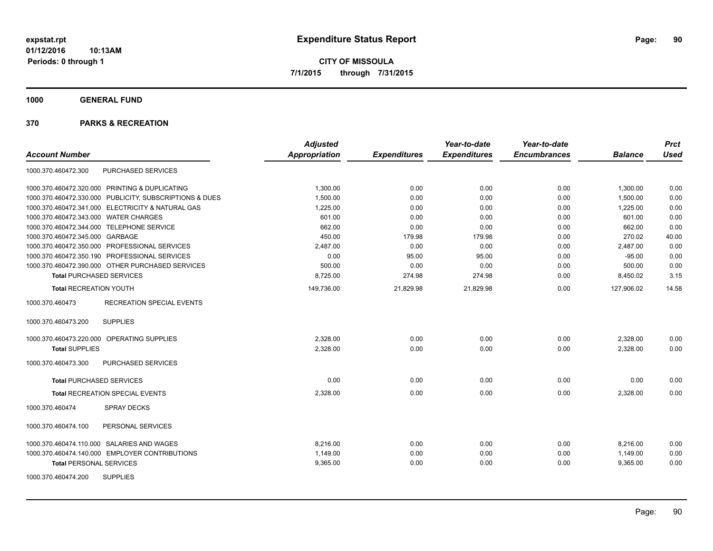**1000 GENERAL FUND**

| <b>Account Number</b>                                   | <b>Adjusted</b><br>Appropriation | <b>Expenditures</b> | Year-to-date<br><b>Expenditures</b> | Year-to-date<br><b>Encumbrances</b> | <b>Balance</b> | <b>Prct</b><br><b>Used</b> |
|---------------------------------------------------------|----------------------------------|---------------------|-------------------------------------|-------------------------------------|----------------|----------------------------|
|                                                         |                                  |                     |                                     |                                     |                |                            |
| PURCHASED SERVICES<br>1000.370.460472.300               |                                  |                     |                                     |                                     |                |                            |
| 1000.370.460472.320.000 PRINTING & DUPLICATING          | 1,300.00                         | 0.00                | 0.00                                | 0.00                                | 1,300.00       | 0.00                       |
| 1000.370.460472.330.000 PUBLICITY, SUBSCRIPTIONS & DUES | 1,500.00                         | 0.00                | 0.00                                | 0.00                                | 1,500.00       | 0.00                       |
| 1000.370.460472.341.000 ELECTRICITY & NATURAL GAS       | 1,225.00                         | 0.00                | 0.00                                | 0.00                                | 1,225.00       | 0.00                       |
| 1000.370.460472.343.000 WATER CHARGES                   | 601.00                           | 0.00                | 0.00                                | 0.00                                | 601.00         | 0.00                       |
| 1000.370.460472.344.000 TELEPHONE SERVICE               | 662.00                           | 0.00                | 0.00                                | 0.00                                | 662.00         | 0.00                       |
| 1000.370.460472.345.000 GARBAGE                         | 450.00                           | 179.98              | 179.98                              | 0.00                                | 270.02         | 40.00                      |
| 1000.370.460472.350.000 PROFESSIONAL SERVICES           | 2.487.00                         | 0.00                | 0.00                                | 0.00                                | 2,487.00       | 0.00                       |
| 1000.370.460472.350.190 PROFESSIONAL SERVICES           | 0.00                             | 95.00               | 95.00                               | 0.00                                | $-95.00$       | 0.00                       |
| 1000.370.460472.390.000 OTHER PURCHASED SERVICES        | 500.00                           | 0.00                | 0.00                                | 0.00                                | 500.00         | 0.00                       |
| <b>Total PURCHASED SERVICES</b>                         | 8,725.00                         | 274.98              | 274.98                              | 0.00                                | 8,450.02       | 3.15                       |
| <b>Total RECREATION YOUTH</b>                           | 149,736.00                       | 21,829.98           | 21,829.98                           | 0.00                                | 127,906.02     | 14.58                      |
| <b>RECREATION SPECIAL EVENTS</b><br>1000.370.460473     |                                  |                     |                                     |                                     |                |                            |
| <b>SUPPLIES</b><br>1000.370.460473.200                  |                                  |                     |                                     |                                     |                |                            |
| 1000.370.460473.220.000 OPERATING SUPPLIES              | 2,328.00                         | 0.00                | 0.00                                | 0.00                                | 2,328.00       | 0.00                       |
| <b>Total SUPPLIES</b>                                   | 2.328.00                         | 0.00                | 0.00                                | 0.00                                | 2,328.00       | 0.00                       |
| 1000.370.460473.300<br>PURCHASED SERVICES               |                                  |                     |                                     |                                     |                |                            |
| <b>Total PURCHASED SERVICES</b>                         | 0.00                             | 0.00                | 0.00                                | 0.00                                | 0.00           | 0.00                       |
| <b>Total RECREATION SPECIAL EVENTS</b>                  | 2.328.00                         | 0.00                | 0.00                                | 0.00                                | 2,328.00       | 0.00                       |
| 1000.370.460474<br><b>SPRAY DECKS</b>                   |                                  |                     |                                     |                                     |                |                            |
| 1000.370.460474.100<br>PERSONAL SERVICES                |                                  |                     |                                     |                                     |                |                            |
| 1000.370.460474.110.000 SALARIES AND WAGES              | 8,216.00                         | 0.00                | 0.00                                | 0.00                                | 8,216.00       | 0.00                       |
| 1000.370.460474.140.000 EMPLOYER CONTRIBUTIONS          | 1.149.00                         | 0.00                | 0.00                                | 0.00                                | 1,149.00       | 0.00                       |
| <b>Total PERSONAL SERVICES</b>                          | 9,365.00                         | 0.00                | 0.00                                | 0.00                                | 9,365.00       | 0.00                       |
| <b>SUPPLIES</b><br>1000.370.460474.200                  |                                  |                     |                                     |                                     |                |                            |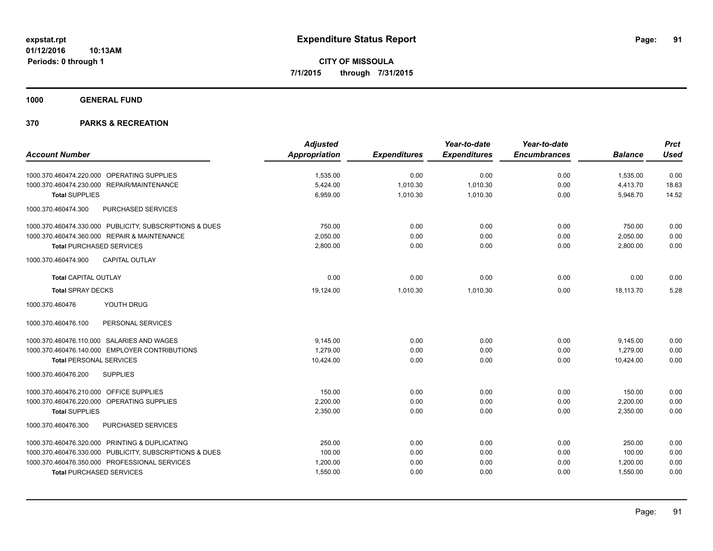**1000 GENERAL FUND**

|                                                         | <b>Adjusted</b> |                     | Year-to-date        | Year-to-date        |                | <b>Prct</b> |
|---------------------------------------------------------|-----------------|---------------------|---------------------|---------------------|----------------|-------------|
| <b>Account Number</b>                                   | Appropriation   | <b>Expenditures</b> | <b>Expenditures</b> | <b>Encumbrances</b> | <b>Balance</b> | <b>Used</b> |
| 1000.370.460474.220.000 OPERATING SUPPLIES              | 1,535.00        | 0.00                | 0.00                | 0.00                | 1,535.00       | 0.00        |
| 1000.370.460474.230.000 REPAIR/MAINTENANCE              | 5,424.00        | 1,010.30            | 1,010.30            | 0.00                | 4,413.70       | 18.63       |
| <b>Total SUPPLIES</b>                                   | 6,959.00        | 1,010.30            | 1,010.30            | 0.00                | 5,948.70       | 14.52       |
| 1000.370.460474.300<br>PURCHASED SERVICES               |                 |                     |                     |                     |                |             |
| 1000.370.460474.330.000 PUBLICITY, SUBSCRIPTIONS & DUES | 750.00          | 0.00                | 0.00                | 0.00                | 750.00         | 0.00        |
| 1000.370.460474.360.000 REPAIR & MAINTENANCE            | 2,050.00        | 0.00                | 0.00                | 0.00                | 2,050.00       | 0.00        |
| <b>Total PURCHASED SERVICES</b>                         | 2,800.00        | 0.00                | 0.00                | 0.00                | 2,800.00       | 0.00        |
| CAPITAL OUTLAY<br>1000.370.460474.900                   |                 |                     |                     |                     |                |             |
| <b>Total CAPITAL OUTLAY</b>                             | 0.00            | 0.00                | 0.00                | 0.00                | 0.00           | 0.00        |
| <b>Total SPRAY DECKS</b>                                | 19,124.00       | 1,010.30            | 1,010.30            | 0.00                | 18,113.70      | 5.28        |
| 1000.370.460476<br>YOUTH DRUG                           |                 |                     |                     |                     |                |             |
| 1000.370.460476.100<br>PERSONAL SERVICES                |                 |                     |                     |                     |                |             |
| 1000.370.460476.110.000 SALARIES AND WAGES              | 9,145.00        | 0.00                | 0.00                | 0.00                | 9,145.00       | 0.00        |
| 1000.370.460476.140.000 EMPLOYER CONTRIBUTIONS          | 1,279.00        | 0.00                | 0.00                | 0.00                | 1,279.00       | 0.00        |
| <b>Total PERSONAL SERVICES</b>                          | 10,424.00       | 0.00                | 0.00                | 0.00                | 10,424.00      | 0.00        |
| 1000.370.460476.200<br><b>SUPPLIES</b>                  |                 |                     |                     |                     |                |             |
| 1000.370.460476.210.000 OFFICE SUPPLIES                 | 150.00          | 0.00                | 0.00                | 0.00                | 150.00         | 0.00        |
| 1000.370.460476.220.000 OPERATING SUPPLIES              | 2.200.00        | 0.00                | 0.00                | 0.00                | 2,200.00       | 0.00        |
| <b>Total SUPPLIES</b>                                   | 2,350.00        | 0.00                | 0.00                | 0.00                | 2,350.00       | 0.00        |
| PURCHASED SERVICES<br>1000.370.460476.300               |                 |                     |                     |                     |                |             |
| 1000.370.460476.320.000 PRINTING & DUPLICATING          | 250.00          | 0.00                | 0.00                | 0.00                | 250.00         | 0.00        |
| 1000.370.460476.330.000 PUBLICITY, SUBSCRIPTIONS & DUES | 100.00          | 0.00                | 0.00                | 0.00                | 100.00         | 0.00        |
| 1000.370.460476.350.000 PROFESSIONAL SERVICES           | 1,200.00        | 0.00                | 0.00                | 0.00                | 1,200.00       | 0.00        |
| <b>Total PURCHASED SERVICES</b>                         | 1,550.00        | 0.00                | 0.00                | 0.00                | 1,550.00       | 0.00        |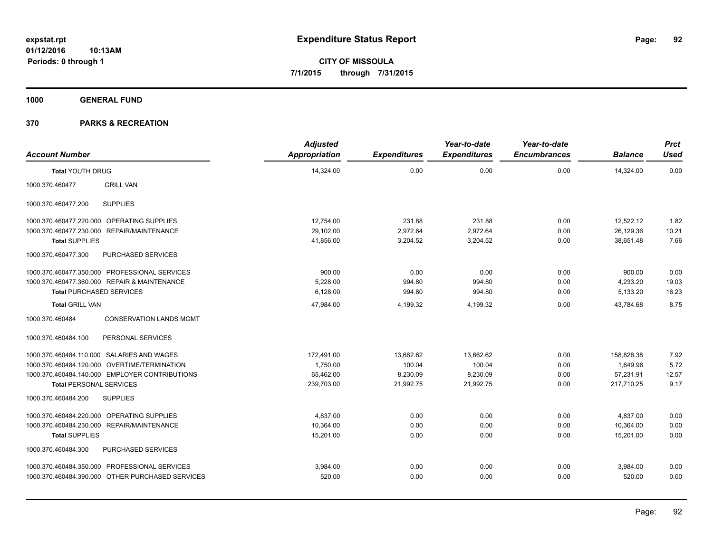**1000 GENERAL FUND**

| <b>Account Number</b>           |                                                  | <b>Adjusted</b><br><b>Appropriation</b> | <b>Expenditures</b> | Year-to-date<br><b>Expenditures</b> | Year-to-date<br><b>Encumbrances</b> | <b>Balance</b> | <b>Prct</b><br><b>Used</b> |
|---------------------------------|--------------------------------------------------|-----------------------------------------|---------------------|-------------------------------------|-------------------------------------|----------------|----------------------------|
| <b>Total YOUTH DRUG</b>         |                                                  | 14,324.00                               | 0.00                | 0.00                                | 0.00                                | 14,324.00      | 0.00                       |
| 1000.370.460477                 | <b>GRILL VAN</b>                                 |                                         |                     |                                     |                                     |                |                            |
| 1000.370.460477.200             | <b>SUPPLIES</b>                                  |                                         |                     |                                     |                                     |                |                            |
|                                 | 1000.370.460477.220.000 OPERATING SUPPLIES       | 12,754.00                               | 231.88              | 231.88                              | 0.00                                | 12,522.12      | 1.82                       |
| 1000.370.460477.230.000         | REPAIR/MAINTENANCE                               | 29,102.00                               | 2,972.64            | 2,972.64                            | 0.00                                | 26,129.36      | 10.21                      |
| <b>Total SUPPLIES</b>           |                                                  | 41,856.00                               | 3,204.52            | 3,204.52                            | 0.00                                | 38,651.48      | 7.66                       |
| 1000.370.460477.300             | PURCHASED SERVICES                               |                                         |                     |                                     |                                     |                |                            |
|                                 | 1000.370.460477.350.000 PROFESSIONAL SERVICES    | 900.00                                  | 0.00                | 0.00                                | 0.00                                | 900.00         | 0.00                       |
|                                 | 1000.370.460477.360.000 REPAIR & MAINTENANCE     | 5,228.00                                | 994.80              | 994.80                              | 0.00                                | 4,233.20       | 19.03                      |
| <b>Total PURCHASED SERVICES</b> |                                                  | 6,128.00                                | 994.80              | 994.80                              | 0.00                                | 5,133.20       | 16.23                      |
| <b>Total GRILL VAN</b>          |                                                  | 47,984.00                               | 4,199.32            | 4,199.32                            | 0.00                                | 43.784.68      | 8.75                       |
| 1000.370.460484                 | <b>CONSERVATION LANDS MGMT</b>                   |                                         |                     |                                     |                                     |                |                            |
| 1000.370.460484.100             | PERSONAL SERVICES                                |                                         |                     |                                     |                                     |                |                            |
|                                 | 1000.370.460484.110.000 SALARIES AND WAGES       | 172,491.00                              | 13,662.62           | 13,662.62                           | 0.00                                | 158.828.38     | 7.92                       |
|                                 | 1000.370.460484.120.000 OVERTIME/TERMINATION     | 1,750.00                                | 100.04              | 100.04                              | 0.00                                | 1,649.96       | 5.72                       |
|                                 | 1000.370.460484.140.000 EMPLOYER CONTRIBUTIONS   | 65,462.00                               | 8,230.09            | 8,230.09                            | 0.00                                | 57,231.91      | 12.57                      |
| <b>Total PERSONAL SERVICES</b>  |                                                  | 239,703.00                              | 21,992.75           | 21,992.75                           | 0.00                                | 217,710.25     | 9.17                       |
| 1000.370.460484.200             | <b>SUPPLIES</b>                                  |                                         |                     |                                     |                                     |                |                            |
| 1000.370.460484.220.000         | OPERATING SUPPLIES                               | 4,837.00                                | 0.00                | 0.00                                | 0.00                                | 4,837.00       | 0.00                       |
| 1000.370.460484.230.000         | <b>REPAIR/MAINTENANCE</b>                        | 10.364.00                               | 0.00                | 0.00                                | 0.00                                | 10,364.00      | 0.00                       |
| <b>Total SUPPLIES</b>           |                                                  | 15,201.00                               | 0.00                | 0.00                                | 0.00                                | 15,201.00      | 0.00                       |
| 1000.370.460484.300             | PURCHASED SERVICES                               |                                         |                     |                                     |                                     |                |                            |
|                                 | 1000.370.460484.350.000 PROFESSIONAL SERVICES    | 3,984.00                                | 0.00                | 0.00                                | 0.00                                | 3,984.00       | 0.00                       |
|                                 | 1000.370.460484.390.000 OTHER PURCHASED SERVICES | 520.00                                  | 0.00                | 0.00                                | 0.00                                | 520.00         | 0.00                       |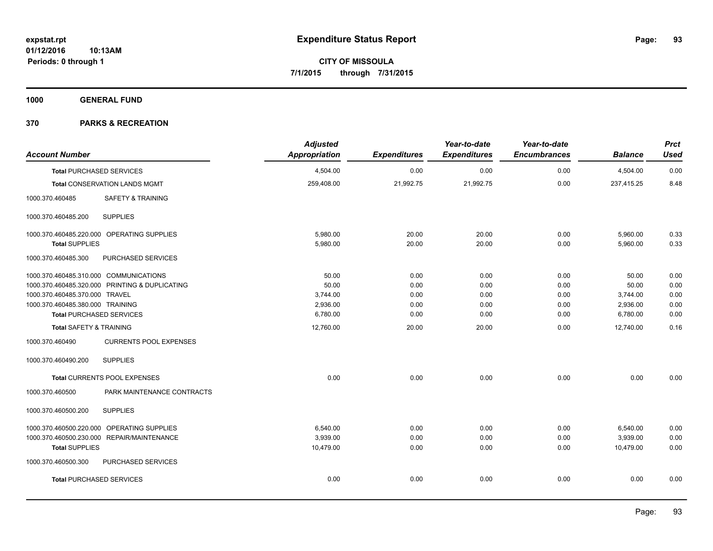**1000 GENERAL FUND**

| <b>Account Number</b>                            | <b>Adjusted</b><br><b>Appropriation</b> | <b>Expenditures</b> | Year-to-date<br><b>Expenditures</b> | Year-to-date<br><b>Encumbrances</b> | <b>Balance</b> | <b>Prct</b><br><b>Used</b> |
|--------------------------------------------------|-----------------------------------------|---------------------|-------------------------------------|-------------------------------------|----------------|----------------------------|
| <b>Total PURCHASED SERVICES</b>                  | 4,504.00                                | 0.00                | 0.00                                | 0.00                                | 4,504.00       | 0.00                       |
| <b>Total CONSERVATION LANDS MGMT</b>             | 259,408.00                              | 21,992.75           | 21,992.75                           | 0.00                                | 237,415.25     | 8.48                       |
| 1000.370.460485<br><b>SAFETY &amp; TRAINING</b>  |                                         |                     |                                     |                                     |                |                            |
| 1000.370.460485.200<br><b>SUPPLIES</b>           |                                         |                     |                                     |                                     |                |                            |
| 1000.370.460485.220.000 OPERATING SUPPLIES       | 5,980.00                                | 20.00               | 20.00                               | 0.00                                | 5,960.00       | 0.33                       |
| <b>Total SUPPLIES</b>                            | 5,980.00                                | 20.00               | 20.00                               | 0.00                                | 5,960.00       | 0.33                       |
| PURCHASED SERVICES<br>1000.370.460485.300        |                                         |                     |                                     |                                     |                |                            |
| 1000.370.460485.310.000 COMMUNICATIONS           | 50.00                                   | 0.00                | 0.00                                | 0.00                                | 50.00          | 0.00                       |
| 1000.370.460485.320.000 PRINTING & DUPLICATING   | 50.00                                   | 0.00                | 0.00                                | 0.00                                | 50.00          | 0.00                       |
| 1000.370.460485.370.000 TRAVEL                   | 3,744.00                                | 0.00                | 0.00                                | 0.00                                | 3,744.00       | 0.00                       |
| 1000.370.460485.380.000 TRAINING                 | 2,936.00                                | 0.00                | 0.00                                | 0.00                                | 2,936.00       | 0.00                       |
| <b>Total PURCHASED SERVICES</b>                  | 6,780.00                                | 0.00                | 0.00                                | 0.00                                | 6,780.00       | 0.00                       |
| <b>Total SAFETY &amp; TRAINING</b>               | 12,760.00                               | 20.00               | 20.00                               | 0.00                                | 12,740.00      | 0.16                       |
| <b>CURRENTS POOL EXPENSES</b><br>1000.370.460490 |                                         |                     |                                     |                                     |                |                            |
| 1000.370.460490.200<br><b>SUPPLIES</b>           |                                         |                     |                                     |                                     |                |                            |
| <b>Total CURRENTS POOL EXPENSES</b>              | 0.00                                    | 0.00                | 0.00                                | 0.00                                | 0.00           | 0.00                       |
| 1000.370.460500<br>PARK MAINTENANCE CONTRACTS    |                                         |                     |                                     |                                     |                |                            |
| <b>SUPPLIES</b><br>1000.370.460500.200           |                                         |                     |                                     |                                     |                |                            |
| 1000.370.460500.220.000 OPERATING SUPPLIES       | 6,540.00                                | 0.00                | 0.00                                | 0.00                                | 6,540.00       | 0.00                       |
| 1000.370.460500.230.000 REPAIR/MAINTENANCE       | 3,939.00                                | 0.00                | 0.00                                | 0.00                                | 3,939.00       | 0.00                       |
| <b>Total SUPPLIES</b>                            | 10,479.00                               | 0.00                | 0.00                                | 0.00                                | 10,479.00      | 0.00                       |
| PURCHASED SERVICES<br>1000.370.460500.300        |                                         |                     |                                     |                                     |                |                            |
| <b>Total PURCHASED SERVICES</b>                  | 0.00                                    | 0.00                | 0.00                                | 0.00                                | 0.00           | 0.00                       |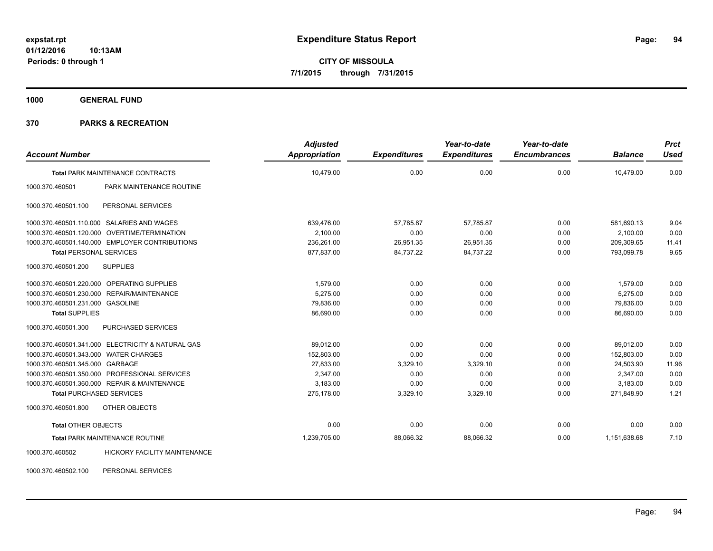**1000 GENERAL FUND**

# **370 PARKS & RECREATION**

| <b>Account Number</b>                 |                                                   | <b>Adjusted</b><br><b>Appropriation</b> | <b>Expenditures</b> | Year-to-date<br><b>Expenditures</b> | Year-to-date<br><b>Encumbrances</b> | <b>Balance</b> | <b>Prct</b><br><b>Used</b> |
|---------------------------------------|---------------------------------------------------|-----------------------------------------|---------------------|-------------------------------------|-------------------------------------|----------------|----------------------------|
|                                       |                                                   | 10,479.00                               | 0.00                | 0.00                                | 0.00                                | 10,479.00      | 0.00                       |
|                                       | <b>Total PARK MAINTENANCE CONTRACTS</b>           |                                         |                     |                                     |                                     |                |                            |
| 1000.370.460501                       | PARK MAINTENANCE ROUTINE                          |                                         |                     |                                     |                                     |                |                            |
| 1000.370.460501.100                   | PERSONAL SERVICES                                 |                                         |                     |                                     |                                     |                |                            |
|                                       | 1000.370.460501.110.000 SALARIES AND WAGES        | 639,476.00                              | 57,785.87           | 57.785.87                           | 0.00                                | 581,690.13     | 9.04                       |
|                                       | 1000.370.460501.120.000 OVERTIME/TERMINATION      | 2,100.00                                | 0.00                | 0.00                                | 0.00                                | 2,100.00       | 0.00                       |
|                                       | 1000.370.460501.140.000 EMPLOYER CONTRIBUTIONS    | 236,261.00                              | 26,951.35           | 26,951.35                           | 0.00                                | 209,309.65     | 11.41                      |
| <b>Total PERSONAL SERVICES</b>        |                                                   | 877,837.00                              | 84,737.22           | 84,737.22                           | 0.00                                | 793,099.78     | 9.65                       |
| 1000.370.460501.200                   | <b>SUPPLIES</b>                                   |                                         |                     |                                     |                                     |                |                            |
|                                       | 1000.370.460501.220.000 OPERATING SUPPLIES        | 1.579.00                                | 0.00                | 0.00                                | 0.00                                | 1.579.00       | 0.00                       |
|                                       | 1000.370.460501.230.000 REPAIR/MAINTENANCE        | 5.275.00                                | 0.00                | 0.00                                | 0.00                                | 5,275.00       | 0.00                       |
| 1000.370.460501.231.000 GASOLINE      |                                                   | 79,836.00                               | 0.00                | 0.00                                | 0.00                                | 79,836.00      | 0.00                       |
| <b>Total SUPPLIES</b>                 |                                                   | 86,690.00                               | 0.00                | 0.00                                | 0.00                                | 86,690.00      | 0.00                       |
| 1000.370.460501.300                   | PURCHASED SERVICES                                |                                         |                     |                                     |                                     |                |                            |
|                                       | 1000.370.460501.341.000 ELECTRICITY & NATURAL GAS | 89,012.00                               | 0.00                | 0.00                                | 0.00                                | 89,012.00      | 0.00                       |
| 1000.370.460501.343.000 WATER CHARGES |                                                   | 152,803.00                              | 0.00                | 0.00                                | 0.00                                | 152,803.00     | 0.00                       |
| 1000.370.460501.345.000 GARBAGE       |                                                   | 27,833.00                               | 3,329.10            | 3,329.10                            | 0.00                                | 24,503.90      | 11.96                      |
|                                       | 1000.370.460501.350.000 PROFESSIONAL SERVICES     | 2,347.00                                | 0.00                | 0.00                                | 0.00                                | 2,347.00       | 0.00                       |
|                                       | 1000.370.460501.360.000 REPAIR & MAINTENANCE      | 3,183.00                                | 0.00                | 0.00                                | 0.00                                | 3.183.00       | 0.00                       |
| <b>Total PURCHASED SERVICES</b>       |                                                   | 275,178.00                              | 3,329.10            | 3,329.10                            | 0.00                                | 271,848.90     | 1.21                       |
| 1000.370.460501.800                   | OTHER OBJECTS                                     |                                         |                     |                                     |                                     |                |                            |
| <b>Total OTHER OBJECTS</b>            |                                                   | 0.00                                    | 0.00                | 0.00                                | 0.00                                | 0.00           | 0.00                       |
|                                       | <b>Total PARK MAINTENANCE ROUTINE</b>             | 1,239,705.00                            | 88,066.32           | 88,066.32                           | 0.00                                | 1,151,638.68   | 7.10                       |
| 1000.370.460502                       | <b>HICKORY FACILITY MAINTENANCE</b>               |                                         |                     |                                     |                                     |                |                            |

1000.370.460502.100 PERSONAL SERVICES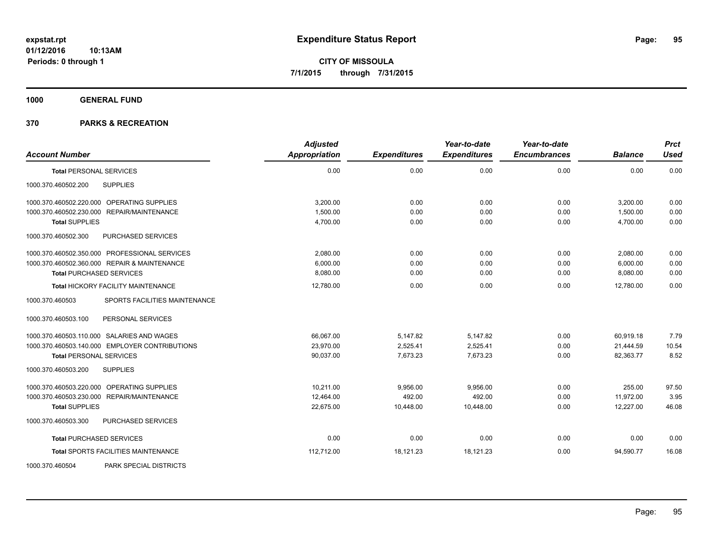**1000 GENERAL FUND**

| <b>Account Number</b>                            | <b>Adjusted</b><br><b>Appropriation</b> | <b>Expenditures</b> | Year-to-date<br><b>Expenditures</b> | Year-to-date<br><b>Encumbrances</b> | <b>Balance</b> | Prct<br><b>Used</b> |
|--------------------------------------------------|-----------------------------------------|---------------------|-------------------------------------|-------------------------------------|----------------|---------------------|
| <b>Total PERSONAL SERVICES</b>                   | 0.00                                    | 0.00                | 0.00                                | 0.00                                | 0.00           | 0.00                |
| <b>SUPPLIES</b><br>1000.370.460502.200           |                                         |                     |                                     |                                     |                |                     |
| 1000.370.460502.220.000 OPERATING SUPPLIES       | 3,200.00                                | 0.00                | 0.00                                | 0.00                                | 3,200.00       | 0.00                |
| 1000.370.460502.230.000 REPAIR/MAINTENANCE       | 1.500.00                                | 0.00                | 0.00                                | 0.00                                | 1,500.00       | 0.00                |
| <b>Total SUPPLIES</b>                            | 4,700.00                                | 0.00                | 0.00                                | 0.00                                | 4,700.00       | 0.00                |
| 1000.370.460502.300<br>PURCHASED SERVICES        |                                         |                     |                                     |                                     |                |                     |
| 1000.370.460502.350.000 PROFESSIONAL SERVICES    | 2,080.00                                | 0.00                | 0.00                                | 0.00                                | 2,080.00       | 0.00                |
| 1000.370.460502.360.000 REPAIR & MAINTENANCE     | 6,000.00                                | 0.00                | 0.00                                | 0.00                                | 6,000.00       | 0.00                |
| <b>Total PURCHASED SERVICES</b>                  | 8,080.00                                | 0.00                | 0.00                                | 0.00                                | 8,080.00       | 0.00                |
| <b>Total HICKORY FACILITY MAINTENANCE</b>        | 12,780.00                               | 0.00                | 0.00                                | 0.00                                | 12,780.00      | 0.00                |
| SPORTS FACILITIES MAINTENANCE<br>1000.370.460503 |                                         |                     |                                     |                                     |                |                     |
| 1000.370.460503.100<br>PERSONAL SERVICES         |                                         |                     |                                     |                                     |                |                     |
| 1000.370.460503.110.000 SALARIES AND WAGES       | 66,067.00                               | 5,147.82            | 5,147.82                            | 0.00                                | 60,919.18      | 7.79                |
| 1000.370.460503.140.000 EMPLOYER CONTRIBUTIONS   | 23,970.00                               | 2,525.41            | 2,525.41                            | 0.00                                | 21,444.59      | 10.54               |
| <b>Total PERSONAL SERVICES</b>                   | 90,037.00                               | 7,673.23            | 7,673.23                            | 0.00                                | 82,363.77      | 8.52                |
| 1000.370.460503.200<br><b>SUPPLIES</b>           |                                         |                     |                                     |                                     |                |                     |
| 1000.370.460503.220.000 OPERATING SUPPLIES       | 10.211.00                               | 9,956.00            | 9,956.00                            | 0.00                                | 255.00         | 97.50               |
| 1000.370.460503.230.000 REPAIR/MAINTENANCE       | 12,464.00                               | 492.00              | 492.00                              | 0.00                                | 11,972.00      | 3.95                |
| <b>Total SUPPLIES</b>                            | 22,675.00                               | 10,448.00           | 10,448.00                           | 0.00                                | 12,227.00      | 46.08               |
| 1000.370.460503.300<br>PURCHASED SERVICES        |                                         |                     |                                     |                                     |                |                     |
| <b>Total PURCHASED SERVICES</b>                  | 0.00                                    | 0.00                | 0.00                                | 0.00                                | 0.00           | 0.00                |
| Total SPORTS FACILITIES MAINTENANCE              | 112,712.00                              | 18,121.23           | 18,121.23                           | 0.00                                | 94,590.77      | 16.08               |
| 1000.370.460504<br>PARK SPECIAL DISTRICTS        |                                         |                     |                                     |                                     |                |                     |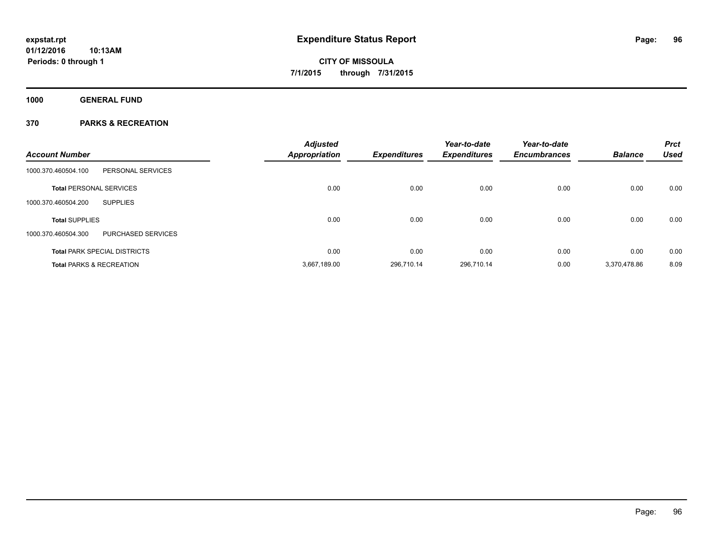**Periods: 0 through 1**

**CITY OF MISSOULA 7/1/2015 through 7/31/2015**

**1000 GENERAL FUND**

| <b>Account Number</b>                     | <b>Adjusted</b><br><b>Appropriation</b> | <b>Expenditures</b> | Year-to-date<br><b>Expenditures</b> | Year-to-date<br><b>Encumbrances</b> | <b>Balance</b> | <b>Prct</b><br><b>Used</b> |
|-------------------------------------------|-----------------------------------------|---------------------|-------------------------------------|-------------------------------------|----------------|----------------------------|
| 1000.370.460504.100<br>PERSONAL SERVICES  |                                         |                     |                                     |                                     |                |                            |
| <b>Total PERSONAL SERVICES</b>            | 0.00                                    | 0.00                | 0.00                                | 0.00                                | 0.00           | 0.00                       |
| 1000.370.460504.200<br><b>SUPPLIES</b>    |                                         |                     |                                     |                                     |                |                            |
| <b>Total SUPPLIES</b>                     | 0.00                                    | 0.00                | 0.00                                | 0.00                                | 0.00           | 0.00                       |
| PURCHASED SERVICES<br>1000.370.460504.300 |                                         |                     |                                     |                                     |                |                            |
| <b>Total PARK SPECIAL DISTRICTS</b>       | 0.00                                    | 0.00                | 0.00                                | 0.00                                | 0.00           | 0.00                       |
| <b>Total PARKS &amp; RECREATION</b>       | 3,667,189.00                            | 296.710.14          | 296.710.14                          | 0.00                                | 3.370.478.86   | 8.09                       |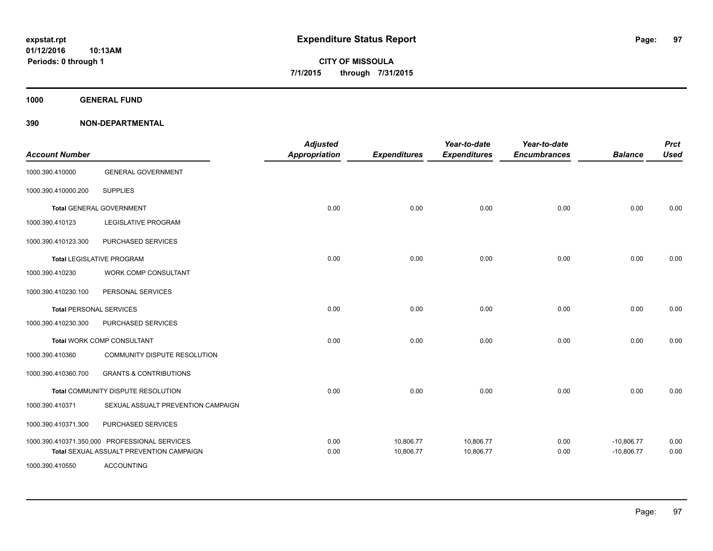**1000 GENERAL FUND**

| <b>Account Number</b>          |                                                                                           | <b>Adjusted</b><br>Appropriation | <b>Expenditures</b>    | Year-to-date<br><b>Expenditures</b> | Year-to-date<br><b>Encumbrances</b> | <b>Balance</b>               | <b>Prct</b><br><b>Used</b> |
|--------------------------------|-------------------------------------------------------------------------------------------|----------------------------------|------------------------|-------------------------------------|-------------------------------------|------------------------------|----------------------------|
| 1000.390.410000                | <b>GENERAL GOVERNMENT</b>                                                                 |                                  |                        |                                     |                                     |                              |                            |
| 1000.390.410000.200            | <b>SUPPLIES</b>                                                                           |                                  |                        |                                     |                                     |                              |                            |
|                                | <b>Total GENERAL GOVERNMENT</b>                                                           | 0.00                             | 0.00                   | 0.00                                | 0.00                                | 0.00                         | 0.00                       |
| 1000.390.410123                | LEGISLATIVE PROGRAM                                                                       |                                  |                        |                                     |                                     |                              |                            |
| 1000.390.410123.300            | PURCHASED SERVICES                                                                        |                                  |                        |                                     |                                     |                              |                            |
|                                | <b>Total LEGISLATIVE PROGRAM</b>                                                          | 0.00                             | 0.00                   | 0.00                                | 0.00                                | 0.00                         | 0.00                       |
| 1000.390.410230                | WORK COMP CONSULTANT                                                                      |                                  |                        |                                     |                                     |                              |                            |
| 1000.390.410230.100            | PERSONAL SERVICES                                                                         |                                  |                        |                                     |                                     |                              |                            |
| <b>Total PERSONAL SERVICES</b> |                                                                                           | 0.00                             | 0.00                   | 0.00                                | 0.00                                | 0.00                         | 0.00                       |
| 1000.390.410230.300            | PURCHASED SERVICES                                                                        |                                  |                        |                                     |                                     |                              |                            |
|                                | Total WORK COMP CONSULTANT                                                                | 0.00                             | 0.00                   | 0.00                                | 0.00                                | 0.00                         | 0.00                       |
| 1000.390.410360                | COMMUNITY DISPUTE RESOLUTION                                                              |                                  |                        |                                     |                                     |                              |                            |
| 1000.390.410360.700            | <b>GRANTS &amp; CONTRIBUTIONS</b>                                                         |                                  |                        |                                     |                                     |                              |                            |
|                                | Total COMMUNITY DISPUTE RESOLUTION                                                        | 0.00                             | 0.00                   | 0.00                                | 0.00                                | 0.00                         | 0.00                       |
| 1000.390.410371                | SEXUAL ASSUALT PREVENTION CAMPAIGN                                                        |                                  |                        |                                     |                                     |                              |                            |
| 1000.390.410371.300            | PURCHASED SERVICES                                                                        |                                  |                        |                                     |                                     |                              |                            |
|                                | 1000.390.410371.350.000 PROFESSIONAL SERVICES<br>Total SEXUAL ASSUALT PREVENTION CAMPAIGN | 0.00<br>0.00                     | 10,806.77<br>10,806.77 | 10,806.77<br>10,806.77              | 0.00<br>0.00                        | $-10,806.77$<br>$-10,806.77$ | 0.00<br>0.00               |
| 1000.390.410550                | <b>ACCOUNTING</b>                                                                         |                                  |                        |                                     |                                     |                              |                            |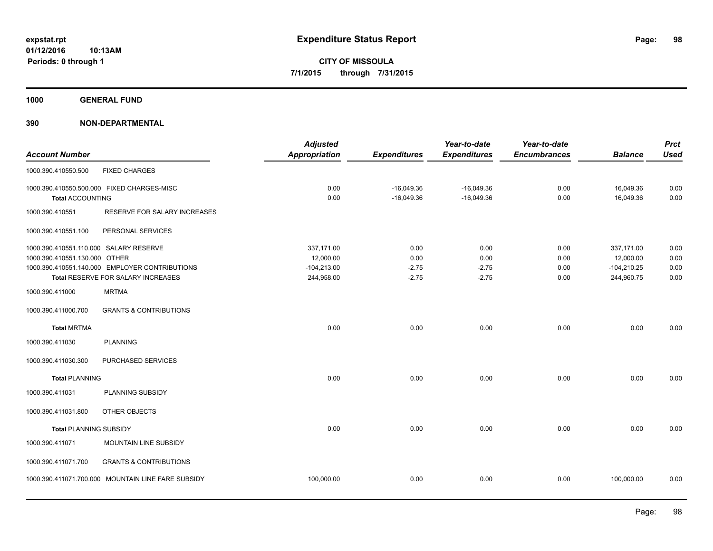**1000 GENERAL FUND**

|                                            |                                                    | <b>Adjusted</b> |                     | Year-to-date        | Year-to-date        |                | <b>Prct</b> |
|--------------------------------------------|----------------------------------------------------|-----------------|---------------------|---------------------|---------------------|----------------|-------------|
| <b>Account Number</b>                      |                                                    | Appropriation   | <b>Expenditures</b> | <b>Expenditures</b> | <b>Encumbrances</b> | <b>Balance</b> | <b>Used</b> |
| 1000.390.410550.500                        | <b>FIXED CHARGES</b>                               |                 |                     |                     |                     |                |             |
| 1000.390.410550.500.000 FIXED CHARGES-MISC |                                                    | 0.00            | $-16,049.36$        | $-16,049.36$        | 0.00                | 16,049.36      | 0.00        |
| <b>Total ACCOUNTING</b>                    |                                                    | 0.00            | $-16,049.36$        | $-16,049.36$        | 0.00                | 16,049.36      | 0.00        |
| 1000.390.410551                            | RESERVE FOR SALARY INCREASES                       |                 |                     |                     |                     |                |             |
| 1000.390.410551.100                        | PERSONAL SERVICES                                  |                 |                     |                     |                     |                |             |
| 1000.390.410551.110.000 SALARY RESERVE     |                                                    | 337,171.00      | 0.00                | 0.00                | 0.00                | 337,171.00     | 0.00        |
| 1000.390.410551.130.000 OTHER              |                                                    | 12,000.00       | 0.00                | 0.00                | 0.00                | 12,000.00      | 0.00        |
|                                            | 1000.390.410551.140.000 EMPLOYER CONTRIBUTIONS     | $-104,213.00$   | $-2.75$             | $-2.75$             | 0.00                | $-104,210.25$  | 0.00        |
|                                            | Total RESERVE FOR SALARY INCREASES                 | 244,958.00      | $-2.75$             | $-2.75$             | 0.00                | 244,960.75     | 0.00        |
| 1000.390.411000                            | <b>MRTMA</b>                                       |                 |                     |                     |                     |                |             |
| 1000.390.411000.700                        | <b>GRANTS &amp; CONTRIBUTIONS</b>                  |                 |                     |                     |                     |                |             |
| <b>Total MRTMA</b>                         |                                                    | 0.00            | 0.00                | 0.00                | 0.00                | 0.00           | 0.00        |
| 1000.390.411030                            | <b>PLANNING</b>                                    |                 |                     |                     |                     |                |             |
| 1000.390.411030.300                        | PURCHASED SERVICES                                 |                 |                     |                     |                     |                |             |
| <b>Total PLANNING</b>                      |                                                    | 0.00            | 0.00                | 0.00                | 0.00                | 0.00           | 0.00        |
| 1000.390.411031                            | PLANNING SUBSIDY                                   |                 |                     |                     |                     |                |             |
| 1000.390.411031.800                        | OTHER OBJECTS                                      |                 |                     |                     |                     |                |             |
| <b>Total PLANNING SUBSIDY</b>              |                                                    | 0.00            | 0.00                | 0.00                | 0.00                | 0.00           | 0.00        |
| 1000.390.411071                            | MOUNTAIN LINE SUBSIDY                              |                 |                     |                     |                     |                |             |
| 1000.390.411071.700                        | <b>GRANTS &amp; CONTRIBUTIONS</b>                  |                 |                     |                     |                     |                |             |
|                                            | 1000.390.411071.700.000 MOUNTAIN LINE FARE SUBSIDY | 100,000.00      | 0.00                | 0.00                | 0.00                | 100,000.00     | 0.00        |
|                                            |                                                    |                 |                     |                     |                     |                |             |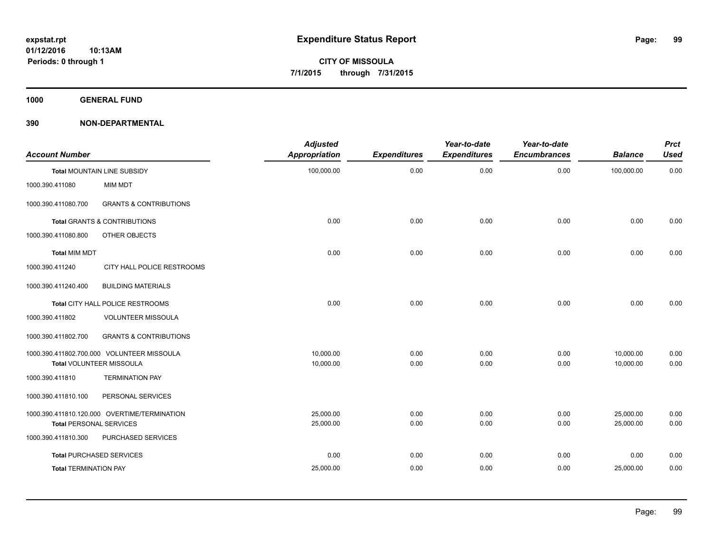**1000 GENERAL FUND**

| <b>Account Number</b>          |                                              | <b>Adjusted</b><br><b>Appropriation</b> | <b>Expenditures</b> | Year-to-date<br><b>Expenditures</b> | Year-to-date<br><b>Encumbrances</b> | <b>Balance</b> | <b>Prct</b><br><b>Used</b> |
|--------------------------------|----------------------------------------------|-----------------------------------------|---------------------|-------------------------------------|-------------------------------------|----------------|----------------------------|
|                                | Total MOUNTAIN LINE SUBSIDY                  | 100,000.00                              | 0.00                | 0.00                                | 0.00                                | 100,000.00     | 0.00                       |
| 1000.390.411080                | MIM MDT                                      |                                         |                     |                                     |                                     |                |                            |
| 1000.390.411080.700            | <b>GRANTS &amp; CONTRIBUTIONS</b>            |                                         |                     |                                     |                                     |                |                            |
|                                | <b>Total GRANTS &amp; CONTRIBUTIONS</b>      | 0.00                                    | 0.00                | 0.00                                | 0.00                                | 0.00           | 0.00                       |
| 1000.390.411080.800            | OTHER OBJECTS                                |                                         |                     |                                     |                                     |                |                            |
| <b>Total MIM MDT</b>           |                                              | 0.00                                    | 0.00                | 0.00                                | 0.00                                | 0.00           | 0.00                       |
| 1000.390.411240                | CITY HALL POLICE RESTROOMS                   |                                         |                     |                                     |                                     |                |                            |
| 1000.390.411240.400            | <b>BUILDING MATERIALS</b>                    |                                         |                     |                                     |                                     |                |                            |
|                                | Total CITY HALL POLICE RESTROOMS             | 0.00                                    | 0.00                | 0.00                                | 0.00                                | 0.00           | 0.00                       |
| 1000.390.411802                | <b>VOLUNTEER MISSOULA</b>                    |                                         |                     |                                     |                                     |                |                            |
| 1000.390.411802.700            | <b>GRANTS &amp; CONTRIBUTIONS</b>            |                                         |                     |                                     |                                     |                |                            |
|                                | 1000.390.411802.700.000 VOLUNTEER MISSOULA   | 10.000.00                               | 0.00                | 0.00                                | 0.00                                | 10,000.00      | 0.00                       |
|                                | Total VOLUNTEER MISSOULA                     | 10,000.00                               | 0.00                | 0.00                                | 0.00                                | 10,000.00      | 0.00                       |
| 1000.390.411810                | <b>TERMINATION PAY</b>                       |                                         |                     |                                     |                                     |                |                            |
| 1000.390.411810.100            | PERSONAL SERVICES                            |                                         |                     |                                     |                                     |                |                            |
|                                | 1000.390.411810.120.000 OVERTIME/TERMINATION | 25,000.00                               | 0.00                | 0.00                                | 0.00                                | 25,000.00      | 0.00                       |
| <b>Total PERSONAL SERVICES</b> |                                              | 25,000.00                               | 0.00                | 0.00                                | 0.00                                | 25,000.00      | 0.00                       |
| 1000.390.411810.300            | PURCHASED SERVICES                           |                                         |                     |                                     |                                     |                |                            |
|                                | <b>Total PURCHASED SERVICES</b>              | 0.00                                    | 0.00                | 0.00                                | 0.00                                | 0.00           | 0.00                       |
| <b>Total TERMINATION PAY</b>   |                                              | 25,000.00                               | 0.00                | 0.00                                | 0.00                                | 25,000.00      | 0.00                       |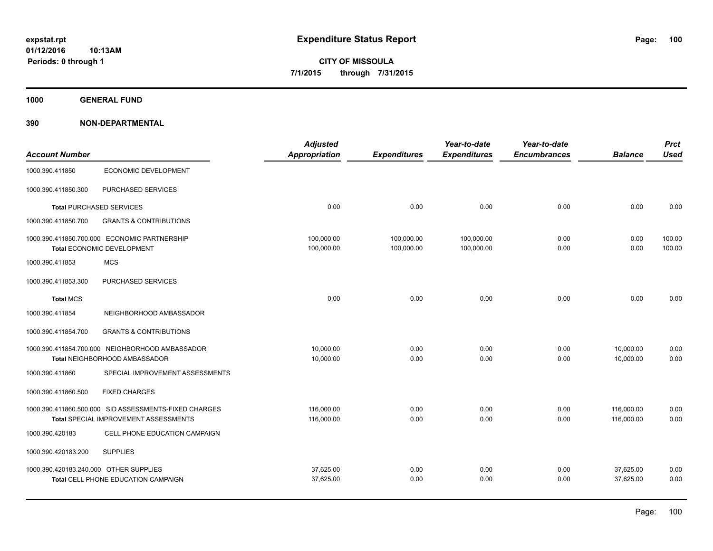**1000 GENERAL FUND**

|                                        |                                                                                  | <b>Adjusted</b>          |                          | Year-to-date             | Year-to-date        |                        | <b>Prct</b>      |
|----------------------------------------|----------------------------------------------------------------------------------|--------------------------|--------------------------|--------------------------|---------------------|------------------------|------------------|
| <b>Account Number</b>                  |                                                                                  | Appropriation            | <b>Expenditures</b>      | <b>Expenditures</b>      | <b>Encumbrances</b> | <b>Balance</b>         | <b>Used</b>      |
| 1000.390.411850                        | ECONOMIC DEVELOPMENT                                                             |                          |                          |                          |                     |                        |                  |
| 1000.390.411850.300                    | PURCHASED SERVICES                                                               |                          |                          |                          |                     |                        |                  |
|                                        | <b>Total PURCHASED SERVICES</b>                                                  | 0.00                     | 0.00                     | 0.00                     | 0.00                | 0.00                   | 0.00             |
| 1000.390.411850.700                    | <b>GRANTS &amp; CONTRIBUTIONS</b>                                                |                          |                          |                          |                     |                        |                  |
|                                        | 1000.390.411850.700.000 ECONOMIC PARTNERSHIP<br>Total ECONOMIC DEVELOPMENT       | 100,000.00<br>100,000.00 | 100,000.00<br>100,000.00 | 100,000.00<br>100,000.00 | 0.00<br>0.00        | 0.00<br>0.00           | 100.00<br>100.00 |
| 1000.390.411853                        | <b>MCS</b>                                                                       |                          |                          |                          |                     |                        |                  |
| 1000.390.411853.300                    | PURCHASED SERVICES                                                               |                          |                          |                          |                     |                        |                  |
| <b>Total MCS</b>                       |                                                                                  | 0.00                     | 0.00                     | 0.00                     | 0.00                | 0.00                   | 0.00             |
| 1000.390.411854                        | NEIGHBORHOOD AMBASSADOR                                                          |                          |                          |                          |                     |                        |                  |
| 1000.390.411854.700                    | <b>GRANTS &amp; CONTRIBUTIONS</b>                                                |                          |                          |                          |                     |                        |                  |
|                                        | 1000.390.411854.700.000 NEIGHBORHOOD AMBASSADOR<br>Total NEIGHBORHOOD AMBASSADOR | 10.000.00<br>10,000.00   | 0.00<br>0.00             | 0.00<br>0.00             | 0.00<br>0.00        | 10.000.00<br>10,000.00 | 0.00<br>0.00     |
|                                        |                                                                                  |                          |                          |                          |                     |                        |                  |
| 1000.390.411860                        | SPECIAL IMPROVEMENT ASSESSMENTS                                                  |                          |                          |                          |                     |                        |                  |
| 1000.390.411860.500                    | <b>FIXED CHARGES</b>                                                             |                          |                          |                          |                     |                        |                  |
|                                        | 1000.390.411860.500.000 SID ASSESSMENTS-FIXED CHARGES                            | 116,000.00               | 0.00                     | 0.00                     | 0.00                | 116,000.00             | 0.00             |
|                                        | <b>Total SPECIAL IMPROVEMENT ASSESSMENTS</b>                                     | 116,000.00               | 0.00                     | 0.00                     | 0.00                | 116,000.00             | 0.00             |
| 1000.390.420183                        | CELL PHONE EDUCATION CAMPAIGN                                                    |                          |                          |                          |                     |                        |                  |
| 1000.390.420183.200                    | <b>SUPPLIES</b>                                                                  |                          |                          |                          |                     |                        |                  |
| 1000.390.420183.240.000 OTHER SUPPLIES |                                                                                  | 37,625.00                | 0.00                     | 0.00                     | 0.00                | 37,625.00              | 0.00             |
|                                        | Total CELL PHONE EDUCATION CAMPAIGN                                              | 37,625.00                | 0.00                     | 0.00                     | 0.00                | 37,625.00              | 0.00             |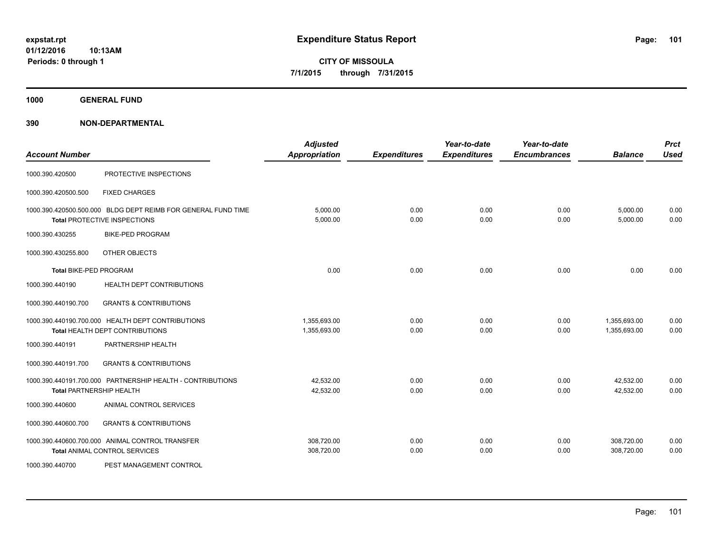**CITY OF MISSOULA 7/1/2015 through 7/31/2015**

**1000 GENERAL FUND**

| <b>Account Number</b>         |                                                                                               | <b>Adjusted</b><br><b>Appropriation</b> | <b>Expenditures</b> | Year-to-date<br><b>Expenditures</b> | Year-to-date<br><b>Encumbrances</b> | <b>Balance</b>               | <b>Prct</b><br><b>Used</b> |
|-------------------------------|-----------------------------------------------------------------------------------------------|-----------------------------------------|---------------------|-------------------------------------|-------------------------------------|------------------------------|----------------------------|
| 1000.390.420500               | PROTECTIVE INSPECTIONS                                                                        |                                         |                     |                                     |                                     |                              |                            |
| 1000.390.420500.500           | <b>FIXED CHARGES</b>                                                                          |                                         |                     |                                     |                                     |                              |                            |
|                               | 1000.390.420500.500.000 BLDG DEPT REIMB FOR GENERAL FUND TIME<br>Total PROTECTIVE INSPECTIONS | 5,000.00<br>5,000.00                    | 0.00<br>0.00        | 0.00<br>0.00                        | 0.00<br>0.00                        | 5,000.00<br>5,000.00         | 0.00<br>0.00               |
| 1000.390.430255               | <b>BIKE-PED PROGRAM</b>                                                                       |                                         |                     |                                     |                                     |                              |                            |
| 1000.390.430255.800           | OTHER OBJECTS                                                                                 |                                         |                     |                                     |                                     |                              |                            |
| <b>Total BIKE-PED PROGRAM</b> |                                                                                               | 0.00                                    | 0.00                | 0.00                                | 0.00                                | 0.00                         | 0.00                       |
| 1000.390.440190               | HEALTH DEPT CONTRIBUTIONS                                                                     |                                         |                     |                                     |                                     |                              |                            |
| 1000.390.440190.700           | <b>GRANTS &amp; CONTRIBUTIONS</b>                                                             |                                         |                     |                                     |                                     |                              |                            |
|                               | 1000.390.440190.700.000 HEALTH DEPT CONTRIBUTIONS<br>Total HEALTH DEPT CONTRIBUTIONS          | 1,355,693.00<br>1,355,693.00            | 0.00<br>0.00        | 0.00<br>0.00                        | 0.00<br>0.00                        | 1,355,693.00<br>1,355,693.00 | 0.00<br>0.00               |
| 1000.390.440191               | PARTNERSHIP HEALTH                                                                            |                                         |                     |                                     |                                     |                              |                            |
| 1000.390.440191.700           | <b>GRANTS &amp; CONTRIBUTIONS</b>                                                             |                                         |                     |                                     |                                     |                              |                            |
|                               | 1000.390.440191.700.000 PARTNERSHIP HEALTH - CONTRIBUTIONS<br><b>Total PARTNERSHIP HEALTH</b> | 42,532.00<br>42,532.00                  | 0.00<br>0.00        | 0.00<br>0.00                        | 0.00<br>0.00                        | 42,532.00<br>42,532.00       | 0.00<br>0.00               |
| 1000.390.440600               | ANIMAL CONTROL SERVICES                                                                       |                                         |                     |                                     |                                     |                              |                            |
| 1000.390.440600.700           | <b>GRANTS &amp; CONTRIBUTIONS</b>                                                             |                                         |                     |                                     |                                     |                              |                            |
|                               | 1000.390.440600.700.000 ANIMAL CONTROL TRANSFER<br><b>Total ANIMAL CONTROL SERVICES</b>       | 308,720.00<br>308,720.00                | 0.00<br>0.00        | 0.00<br>0.00                        | 0.00<br>0.00                        | 308,720.00<br>308,720.00     | 0.00<br>0.00               |
| 1000.390.440700               | PEST MANAGEMENT CONTROL                                                                       |                                         |                     |                                     |                                     |                              |                            |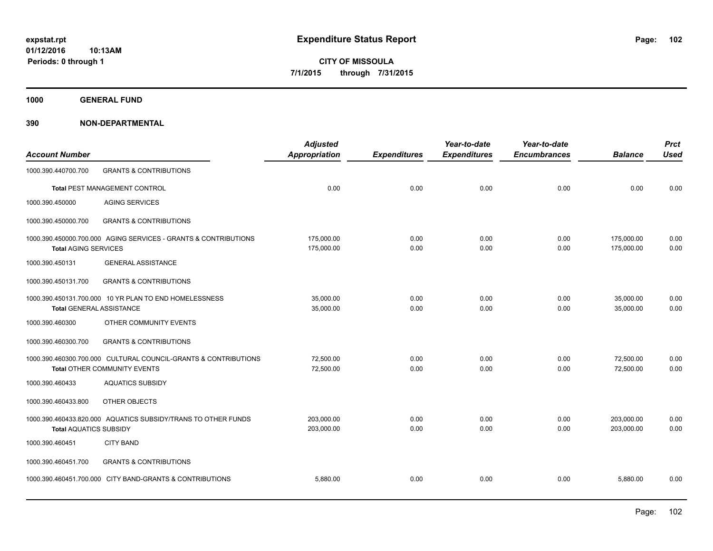**Periods: 0 through 1**

**CITY OF MISSOULA 7/1/2015 through 7/31/2015**

**1000 GENERAL FUND**

| <b>Account Number</b>           |                                                                                                        | <b>Adjusted</b><br><b>Appropriation</b> | <b>Expenditures</b> | Year-to-date<br><b>Expenditures</b> | Year-to-date<br><b>Encumbrances</b> | <b>Balance</b>           | <b>Prct</b><br><b>Used</b> |
|---------------------------------|--------------------------------------------------------------------------------------------------------|-----------------------------------------|---------------------|-------------------------------------|-------------------------------------|--------------------------|----------------------------|
| 1000.390.440700.700             | <b>GRANTS &amp; CONTRIBUTIONS</b>                                                                      |                                         |                     |                                     |                                     |                          |                            |
|                                 | Total PEST MANAGEMENT CONTROL                                                                          | 0.00                                    | 0.00                | 0.00                                | 0.00                                | 0.00                     | 0.00                       |
| 1000.390.450000                 | <b>AGING SERVICES</b>                                                                                  |                                         |                     |                                     |                                     |                          |                            |
| 1000.390.450000.700             | <b>GRANTS &amp; CONTRIBUTIONS</b>                                                                      |                                         |                     |                                     |                                     |                          |                            |
| <b>Total AGING SERVICES</b>     | 1000.390.450000.700.000 AGING SERVICES - GRANTS & CONTRIBUTIONS                                        | 175,000.00<br>175,000.00                | 0.00<br>0.00        | 0.00<br>0.00                        | 0.00<br>0.00                        | 175,000.00<br>175,000.00 | 0.00<br>0.00               |
| 1000.390.450131                 | <b>GENERAL ASSISTANCE</b>                                                                              |                                         |                     |                                     |                                     |                          |                            |
| 1000.390.450131.700             | <b>GRANTS &amp; CONTRIBUTIONS</b>                                                                      |                                         |                     |                                     |                                     |                          |                            |
| <b>Total GENERAL ASSISTANCE</b> | 1000.390.450131.700.000 10 YR PLAN TO END HOMELESSNESS                                                 | 35,000.00<br>35,000.00                  | 0.00<br>0.00        | 0.00<br>0.00                        | 0.00<br>0.00                        | 35,000.00<br>35,000.00   | 0.00<br>0.00               |
| 1000.390.460300                 | OTHER COMMUNITY EVENTS                                                                                 |                                         |                     |                                     |                                     |                          |                            |
| 1000.390.460300.700             | <b>GRANTS &amp; CONTRIBUTIONS</b>                                                                      |                                         |                     |                                     |                                     |                          |                            |
|                                 | 1000.390.460300.700.000 CULTURAL COUNCIL-GRANTS & CONTRIBUTIONS<br><b>Total OTHER COMMUNITY EVENTS</b> | 72,500.00<br>72,500.00                  | 0.00<br>0.00        | 0.00<br>0.00                        | 0.00<br>0.00                        | 72,500.00<br>72,500.00   | 0.00<br>0.00               |
| 1000.390.460433                 | <b>AQUATICS SUBSIDY</b>                                                                                |                                         |                     |                                     |                                     |                          |                            |
| 1000.390.460433.800             | OTHER OBJECTS                                                                                          |                                         |                     |                                     |                                     |                          |                            |
| <b>Total AQUATICS SUBSIDY</b>   | 1000.390.460433.820.000 AQUATICS SUBSIDY/TRANS TO OTHER FUNDS                                          | 203,000.00<br>203,000.00                | 0.00<br>0.00        | 0.00<br>0.00                        | 0.00<br>0.00                        | 203,000.00<br>203,000.00 | 0.00<br>0.00               |
| 1000.390.460451                 | <b>CITY BAND</b>                                                                                       |                                         |                     |                                     |                                     |                          |                            |
| 1000.390.460451.700             | <b>GRANTS &amp; CONTRIBUTIONS</b>                                                                      |                                         |                     |                                     |                                     |                          |                            |
|                                 | 1000.390.460451.700.000 CITY BAND-GRANTS & CONTRIBUTIONS                                               | 5,880.00                                | 0.00                | 0.00                                | 0.00                                | 5,880.00                 | 0.00                       |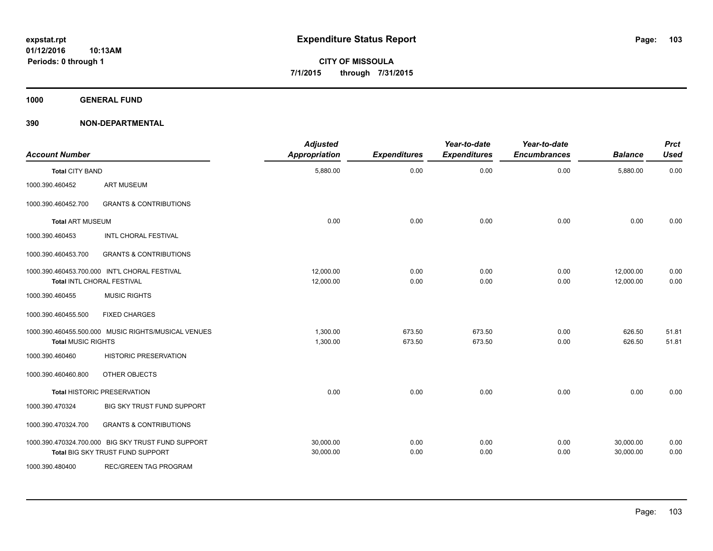**1000 GENERAL FUND**

| <b>Account Number</b>     |                                                                                        | <b>Adjusted</b><br>Appropriation | <b>Expenditures</b> | Year-to-date<br><b>Expenditures</b> | Year-to-date<br><b>Encumbrances</b> | <b>Balance</b>         | <b>Prct</b><br><b>Used</b> |
|---------------------------|----------------------------------------------------------------------------------------|----------------------------------|---------------------|-------------------------------------|-------------------------------------|------------------------|----------------------------|
| <b>Total CITY BAND</b>    |                                                                                        | 5,880.00                         | 0.00                | 0.00                                | 0.00                                | 5,880.00               | 0.00                       |
| 1000.390.460452           | <b>ART MUSEUM</b>                                                                      |                                  |                     |                                     |                                     |                        |                            |
| 1000.390.460452.700       | <b>GRANTS &amp; CONTRIBUTIONS</b>                                                      |                                  |                     |                                     |                                     |                        |                            |
| <b>Total ART MUSEUM</b>   |                                                                                        | 0.00                             | 0.00                | 0.00                                | 0.00                                | 0.00                   | 0.00                       |
| 1000.390.460453           | INTL CHORAL FESTIVAL                                                                   |                                  |                     |                                     |                                     |                        |                            |
| 1000.390.460453.700       | <b>GRANTS &amp; CONTRIBUTIONS</b>                                                      |                                  |                     |                                     |                                     |                        |                            |
|                           | 1000.390.460453.700.000 INT'L CHORAL FESTIVAL<br>Total INTL CHORAL FESTIVAL            | 12.000.00<br>12,000.00           | 0.00<br>0.00        | 0.00<br>0.00                        | 0.00<br>0.00                        | 12.000.00<br>12,000.00 | 0.00<br>0.00               |
| 1000.390.460455           | <b>MUSIC RIGHTS</b>                                                                    |                                  |                     |                                     |                                     |                        |                            |
| 1000.390.460455.500       | <b>FIXED CHARGES</b>                                                                   |                                  |                     |                                     |                                     |                        |                            |
| <b>Total MUSIC RIGHTS</b> | 1000.390.460455.500.000 MUSIC RIGHTS/MUSICAL VENUES                                    | 1,300.00<br>1,300.00             | 673.50<br>673.50    | 673.50<br>673.50                    | 0.00<br>0.00                        | 626.50<br>626.50       | 51.81<br>51.81             |
| 1000.390.460460           | <b>HISTORIC PRESERVATION</b>                                                           |                                  |                     |                                     |                                     |                        |                            |
| 1000.390.460460.800       | OTHER OBJECTS                                                                          |                                  |                     |                                     |                                     |                        |                            |
|                           | <b>Total HISTORIC PRESERVATION</b>                                                     | 0.00                             | 0.00                | 0.00                                | 0.00                                | 0.00                   | 0.00                       |
| 1000.390.470324           | BIG SKY TRUST FUND SUPPORT                                                             |                                  |                     |                                     |                                     |                        |                            |
| 1000.390.470324.700       | <b>GRANTS &amp; CONTRIBUTIONS</b>                                                      |                                  |                     |                                     |                                     |                        |                            |
|                           | 1000.390.470324.700.000 BIG SKY TRUST FUND SUPPORT<br>Total BIG SKY TRUST FUND SUPPORT | 30,000.00<br>30,000.00           | 0.00<br>0.00        | 0.00<br>0.00                        | 0.00<br>0.00                        | 30,000.00<br>30.000.00 | 0.00<br>0.00               |
| 1000.390.480400           | REC/GREEN TAG PROGRAM                                                                  |                                  |                     |                                     |                                     |                        |                            |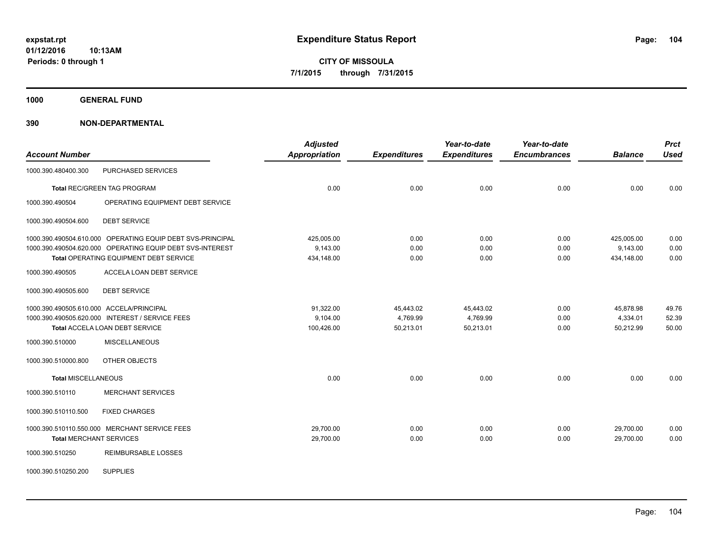**1000 GENERAL FUND**

| <b>Account Number</b>                                      | <b>Adjusted</b><br><b>Appropriation</b> | <b>Expenditures</b> | Year-to-date<br><b>Expenditures</b> | Year-to-date<br><b>Encumbrances</b> | <b>Balance</b> | <b>Prct</b><br><b>Used</b> |
|------------------------------------------------------------|-----------------------------------------|---------------------|-------------------------------------|-------------------------------------|----------------|----------------------------|
| PURCHASED SERVICES<br>1000.390.480400.300                  |                                         |                     |                                     |                                     |                |                            |
| <b>Total REC/GREEN TAG PROGRAM</b>                         | 0.00                                    | 0.00                | 0.00                                | 0.00                                | 0.00           | 0.00                       |
| OPERATING EQUIPMENT DEBT SERVICE<br>1000.390.490504        |                                         |                     |                                     |                                     |                |                            |
| 1000.390.490504.600<br><b>DEBT SERVICE</b>                 |                                         |                     |                                     |                                     |                |                            |
| 1000.390.490504.610.000 OPERATING EQUIP DEBT SVS-PRINCIPAL | 425,005.00                              | 0.00                | 0.00                                | 0.00                                | 425,005.00     | 0.00                       |
| 1000.390.490504.620.000 OPERATING EQUIP DEBT SVS-INTEREST  | 9,143.00                                | 0.00                | 0.00                                | 0.00                                | 9,143.00       | 0.00                       |
| Total OPERATING EQUIPMENT DEBT SERVICE                     | 434,148.00                              | 0.00                | 0.00                                | 0.00                                | 434,148.00     | 0.00                       |
| ACCELA LOAN DEBT SERVICE<br>1000.390.490505                |                                         |                     |                                     |                                     |                |                            |
| <b>DEBT SERVICE</b><br>1000.390.490505.600                 |                                         |                     |                                     |                                     |                |                            |
| 1000.390.490505.610.000 ACCELA/PRINCIPAL                   | 91,322.00                               | 45,443.02           | 45,443.02                           | 0.00                                | 45,878.98      | 49.76                      |
| 1000.390.490505.620.000 INTEREST / SERVICE FEES            | 9,104.00                                | 4,769.99            | 4,769.99                            | 0.00                                | 4,334.01       | 52.39                      |
| <b>Total ACCELA LOAN DEBT SERVICE</b>                      | 100,426.00                              | 50,213.01           | 50,213.01                           | 0.00                                | 50,212.99      | 50.00                      |
| 1000.390.510000<br><b>MISCELLANEOUS</b>                    |                                         |                     |                                     |                                     |                |                            |
| 1000.390.510000.800<br>OTHER OBJECTS                       |                                         |                     |                                     |                                     |                |                            |
| <b>Total MISCELLANEOUS</b>                                 | 0.00                                    | 0.00                | 0.00                                | 0.00                                | 0.00           | 0.00                       |
| <b>MERCHANT SERVICES</b><br>1000.390.510110                |                                         |                     |                                     |                                     |                |                            |
| 1000.390.510110.500<br><b>FIXED CHARGES</b>                |                                         |                     |                                     |                                     |                |                            |
| 1000.390.510110.550.000 MERCHANT SERVICE FEES              | 29,700.00                               | 0.00                | 0.00                                | 0.00                                | 29,700.00      | 0.00                       |
| <b>Total MERCHANT SERVICES</b>                             | 29,700.00                               | 0.00                | 0.00                                | 0.00                                | 29,700.00      | 0.00                       |
| 1000.390.510250<br><b>REIMBURSABLE LOSSES</b>              |                                         |                     |                                     |                                     |                |                            |
| <b>SUPPLIES</b><br>1000.390.510250.200                     |                                         |                     |                                     |                                     |                |                            |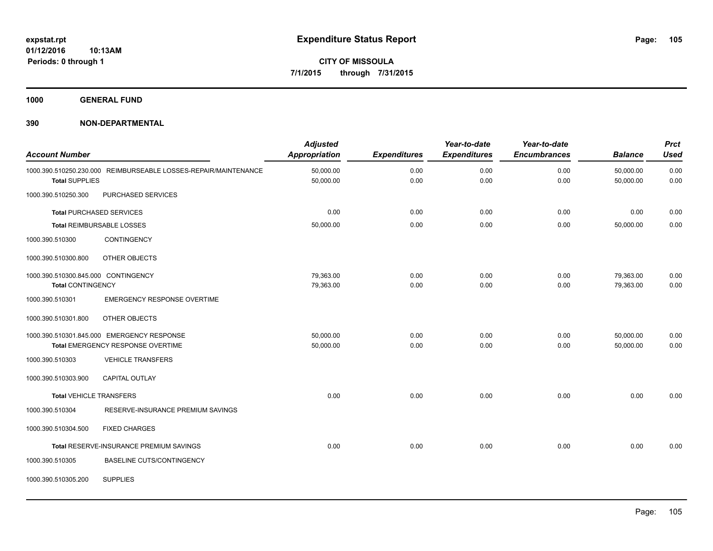**1000 GENERAL FUND**

| <b>Account Number</b>               |                                                                 | <b>Adjusted</b><br><b>Appropriation</b> | <b>Expenditures</b> | Year-to-date<br><b>Expenditures</b> | Year-to-date<br><b>Encumbrances</b> | <b>Balance</b>         | <b>Prct</b><br><b>Used</b> |
|-------------------------------------|-----------------------------------------------------------------|-----------------------------------------|---------------------|-------------------------------------|-------------------------------------|------------------------|----------------------------|
| <b>Total SUPPLIES</b>               | 1000.390.510250.230.000 REIMBURSEABLE LOSSES-REPAIR/MAINTENANCE | 50,000.00<br>50,000.00                  | 0.00<br>0.00        | 0.00<br>0.00                        | 0.00<br>0.00                        | 50,000.00<br>50,000.00 | 0.00<br>0.00               |
| 1000.390.510250.300                 | PURCHASED SERVICES                                              |                                         |                     |                                     |                                     |                        |                            |
|                                     | <b>Total PURCHASED SERVICES</b>                                 | 0.00                                    | 0.00                | 0.00                                | 0.00                                | 0.00                   | 0.00                       |
|                                     | <b>Total REIMBURSABLE LOSSES</b>                                | 50,000.00                               | 0.00                | 0.00                                | 0.00                                | 50,000.00              | 0.00                       |
| 1000.390.510300                     | CONTINGENCY                                                     |                                         |                     |                                     |                                     |                        |                            |
| 1000.390.510300.800                 | OTHER OBJECTS                                                   |                                         |                     |                                     |                                     |                        |                            |
| 1000.390.510300.845.000 CONTINGENCY |                                                                 | 79,363.00                               | 0.00                | 0.00                                | 0.00                                | 79,363.00              | 0.00                       |
| <b>Total CONTINGENCY</b>            |                                                                 | 79,363.00                               | 0.00                | 0.00                                | 0.00                                | 79,363.00              | 0.00                       |
| 1000.390.510301                     | <b>EMERGENCY RESPONSE OVERTIME</b>                              |                                         |                     |                                     |                                     |                        |                            |
| 1000.390.510301.800                 | OTHER OBJECTS                                                   |                                         |                     |                                     |                                     |                        |                            |
|                                     | 1000.390.510301.845.000 EMERGENCY RESPONSE                      | 50,000.00                               | 0.00                | 0.00                                | 0.00                                | 50,000.00              | 0.00                       |
|                                     | Total EMERGENCY RESPONSE OVERTIME                               | 50,000.00                               | 0.00                | 0.00                                | 0.00                                | 50,000.00              | 0.00                       |
| 1000.390.510303                     | <b>VEHICLE TRANSFERS</b>                                        |                                         |                     |                                     |                                     |                        |                            |
| 1000.390.510303.900                 | <b>CAPITAL OUTLAY</b>                                           |                                         |                     |                                     |                                     |                        |                            |
| <b>Total VEHICLE TRANSFERS</b>      |                                                                 | 0.00                                    | 0.00                | 0.00                                | 0.00                                | 0.00                   | 0.00                       |
| 1000.390.510304                     | RESERVE-INSURANCE PREMIUM SAVINGS                               |                                         |                     |                                     |                                     |                        |                            |
| 1000.390.510304.500                 | <b>FIXED CHARGES</b>                                            |                                         |                     |                                     |                                     |                        |                            |
|                                     | Total RESERVE-INSURANCE PREMIUM SAVINGS                         | 0.00                                    | 0.00                | 0.00                                | 0.00                                | 0.00                   | 0.00                       |
| 1000.390.510305                     | <b>BASELINE CUTS/CONTINGENCY</b>                                |                                         |                     |                                     |                                     |                        |                            |
| 1000.390.510305.200                 | <b>SUPPLIES</b>                                                 |                                         |                     |                                     |                                     |                        |                            |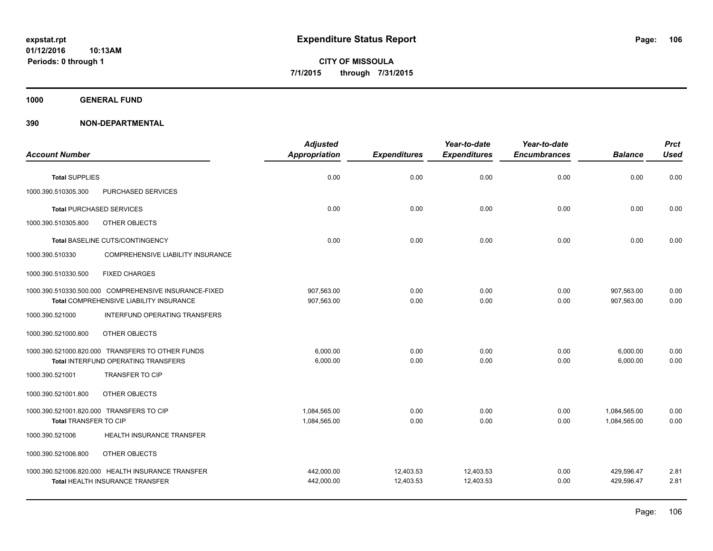**CITY OF MISSOULA 7/1/2015 through 7/31/2015**

**1000 GENERAL FUND**

|                                                                                                  | <b>Adjusted</b>          |                     | Year-to-date        | Year-to-date        |                          | <b>Prct</b>  |
|--------------------------------------------------------------------------------------------------|--------------------------|---------------------|---------------------|---------------------|--------------------------|--------------|
| <b>Account Number</b>                                                                            | <b>Appropriation</b>     | <b>Expenditures</b> | <b>Expenditures</b> | <b>Encumbrances</b> | <b>Balance</b>           | <b>Used</b>  |
| <b>Total SUPPLIES</b>                                                                            | 0.00                     | 0.00                | 0.00                | 0.00                | 0.00                     | 0.00         |
| PURCHASED SERVICES<br>1000.390.510305.300                                                        |                          |                     |                     |                     |                          |              |
| <b>Total PURCHASED SERVICES</b>                                                                  | 0.00                     | 0.00                | 0.00                | 0.00                | 0.00                     | 0.00         |
| OTHER OBJECTS<br>1000.390.510305.800                                                             |                          |                     |                     |                     |                          |              |
| Total BASELINE CUTS/CONTINGENCY                                                                  | 0.00                     | 0.00                | 0.00                | 0.00                | 0.00                     | 0.00         |
| 1000.390.510330<br><b>COMPREHENSIVE LIABILITY INSURANCE</b>                                      |                          |                     |                     |                     |                          |              |
| <b>FIXED CHARGES</b><br>1000.390.510330.500                                                      |                          |                     |                     |                     |                          |              |
| 1000.390.510330.500.000 COMPREHENSIVE INSURANCE-FIXED<br>Total COMPREHENSIVE LIABILITY INSURANCE | 907,563.00<br>907,563.00 | 0.00<br>0.00        | 0.00<br>0.00        | 0.00<br>0.00        | 907,563.00<br>907,563.00 | 0.00<br>0.00 |
| 1000.390.521000<br>INTERFUND OPERATING TRANSFERS                                                 |                          |                     |                     |                     |                          |              |
| OTHER OBJECTS<br>1000.390.521000.800                                                             |                          |                     |                     |                     |                          |              |
| 1000.390.521000.820.000 TRANSFERS TO OTHER FUNDS                                                 | 6.000.00                 | 0.00                | 0.00                | 0.00                | 6,000.00                 | 0.00         |
| Total INTERFUND OPERATING TRANSFERS                                                              | 6,000.00                 | 0.00                | 0.00                | 0.00                | 6,000.00                 | 0.00         |
| 1000.390.521001<br><b>TRANSFER TO CIP</b>                                                        |                          |                     |                     |                     |                          |              |
| OTHER OBJECTS<br>1000.390.521001.800                                                             |                          |                     |                     |                     |                          |              |
| 1000.390.521001.820.000 TRANSFERS TO CIP                                                         | 1,084,565.00             | 0.00                | 0.00                | 0.00                | 1,084,565.00             | 0.00         |
| Total TRANSFER TO CIP                                                                            | 1,084,565.00             | 0.00                | 0.00                | 0.00                | 1,084,565.00             | 0.00         |
| HEALTH INSURANCE TRANSFER<br>1000.390.521006                                                     |                          |                     |                     |                     |                          |              |
| OTHER OBJECTS<br>1000.390.521006.800                                                             |                          |                     |                     |                     |                          |              |
| 1000.390.521006.820.000 HEALTH INSURANCE TRANSFER                                                | 442,000.00               | 12,403.53           | 12,403.53           | 0.00                | 429,596.47               | 2.81         |
| Total HEALTH INSURANCE TRANSFER                                                                  | 442,000.00               | 12,403.53           | 12,403.53           | 0.00                | 429,596.47               | 2.81         |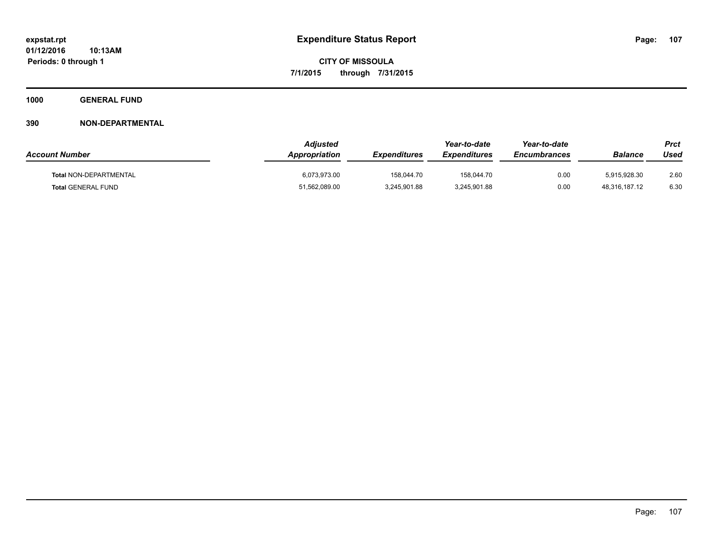**1000 GENERAL FUND**

| <b>Account Number</b>     | <b>Adjusted</b><br><b>Appropriation</b> | <b>Expenditures</b> | Year-to-date<br><i><b>Expenditures</b></i> | Year-to-date<br><b>Encumbrances</b> | <b>Balance</b> | Prct<br>Used |
|---------------------------|-----------------------------------------|---------------------|--------------------------------------------|-------------------------------------|----------------|--------------|
| Total NON-DEPARTMENTAL    | 6,073,973.00                            | 158.044.70          | 158.044.70                                 | 0.00                                | 5,915,928.30   | 2.60         |
| <b>Total GENERAL FUND</b> | 51,562,089.00                           | 3,245,901.88        | 3,245,901.88                               | 0.00                                | 48,316,187.12  | 6.30         |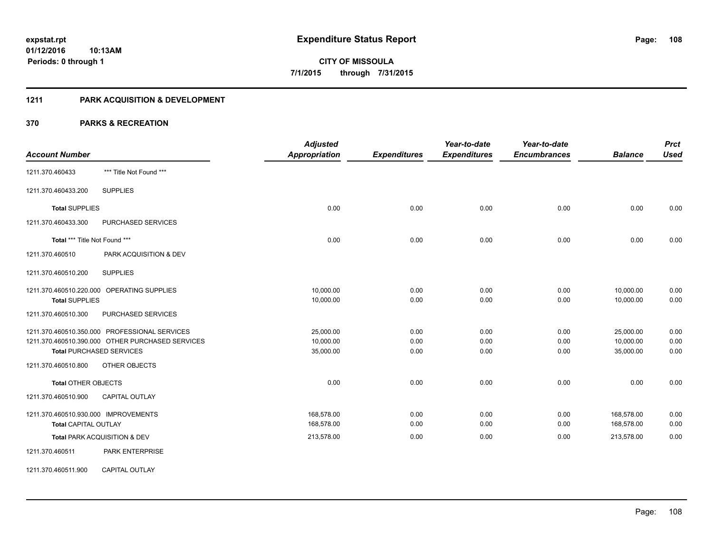## **1211 PARK ACQUISITION & DEVELOPMENT**

|                                               |                                                  | <b>Adjusted</b>      |                     | Year-to-date        | Year-to-date        |                | <b>Prct</b> |
|-----------------------------------------------|--------------------------------------------------|----------------------|---------------------|---------------------|---------------------|----------------|-------------|
| <b>Account Number</b>                         |                                                  | <b>Appropriation</b> | <b>Expenditures</b> | <b>Expenditures</b> | <b>Encumbrances</b> | <b>Balance</b> | <b>Used</b> |
| 1211.370.460433                               | *** Title Not Found ***                          |                      |                     |                     |                     |                |             |
| 1211.370.460433.200                           | <b>SUPPLIES</b>                                  |                      |                     |                     |                     |                |             |
| <b>Total SUPPLIES</b>                         |                                                  | 0.00                 | 0.00                | 0.00                | 0.00                | 0.00           | 0.00        |
| 1211.370.460433.300                           | PURCHASED SERVICES                               |                      |                     |                     |                     |                |             |
| Total *** Title Not Found ***                 |                                                  | 0.00                 | 0.00                | 0.00                | 0.00                | 0.00           | 0.00        |
| 1211.370.460510                               | PARK ACQUISITION & DEV                           |                      |                     |                     |                     |                |             |
| 1211.370.460510.200                           | <b>SUPPLIES</b>                                  |                      |                     |                     |                     |                |             |
| 1211.370.460510.220.000 OPERATING SUPPLIES    |                                                  | 10,000.00            | 0.00                | 0.00                | 0.00                | 10,000.00      | 0.00        |
| <b>Total SUPPLIES</b>                         |                                                  | 10,000.00            | 0.00                | 0.00                | 0.00                | 10,000.00      | 0.00        |
| 1211.370.460510.300                           | PURCHASED SERVICES                               |                      |                     |                     |                     |                |             |
| 1211.370.460510.350.000 PROFESSIONAL SERVICES |                                                  | 25,000.00            | 0.00                | 0.00                | 0.00                | 25,000.00      | 0.00        |
|                                               | 1211.370.460510.390.000 OTHER PURCHASED SERVICES | 10,000.00            | 0.00                | 0.00                | 0.00                | 10,000.00      | 0.00        |
| <b>Total PURCHASED SERVICES</b>               |                                                  | 35,000.00            | 0.00                | 0.00                | 0.00                | 35,000.00      | 0.00        |
| 1211.370.460510.800                           | OTHER OBJECTS                                    |                      |                     |                     |                     |                |             |
| <b>Total OTHER OBJECTS</b>                    |                                                  | 0.00                 | 0.00                | 0.00                | 0.00                | 0.00           | 0.00        |
| 1211.370.460510.900                           | CAPITAL OUTLAY                                   |                      |                     |                     |                     |                |             |
| 1211.370.460510.930.000 IMPROVEMENTS          |                                                  | 168,578.00           | 0.00                | 0.00                | 0.00                | 168,578.00     | 0.00        |
| <b>Total CAPITAL OUTLAY</b>                   |                                                  | 168,578.00           | 0.00                | 0.00                | 0.00                | 168,578.00     | 0.00        |
| Total PARK ACQUISITION & DEV                  |                                                  | 213,578.00           | 0.00                | 0.00                | 0.00                | 213,578.00     | 0.00        |
| 1211.370.460511                               | PARK ENTERPRISE                                  |                      |                     |                     |                     |                |             |
| 1211.370.460511.900                           | <b>CAPITAL OUTLAY</b>                            |                      |                     |                     |                     |                |             |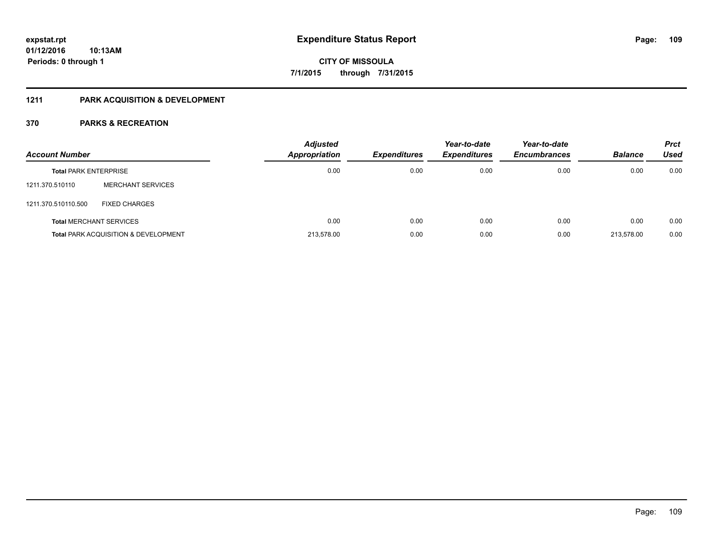#### **1211 PARK ACQUISITION & DEVELOPMENT**

| <b>Account Number</b>        |                                                 | <b>Adjusted</b><br><b>Appropriation</b> | <b>Expenditures</b> | Year-to-date<br><b>Expenditures</b> | Year-to-date<br><b>Encumbrances</b> | <b>Balance</b> | <b>Prct</b><br>Used |
|------------------------------|-------------------------------------------------|-----------------------------------------|---------------------|-------------------------------------|-------------------------------------|----------------|---------------------|
| <b>Total PARK ENTERPRISE</b> |                                                 | 0.00                                    | 0.00                | 0.00                                | 0.00                                | 0.00           | 0.00                |
| 1211.370.510110              | <b>MERCHANT SERVICES</b>                        |                                         |                     |                                     |                                     |                |                     |
| 1211.370.510110.500          | <b>FIXED CHARGES</b>                            |                                         |                     |                                     |                                     |                |                     |
|                              | <b>Total MERCHANT SERVICES</b>                  | 0.00                                    | 0.00                | 0.00                                | 0.00                                | 0.00           | 0.00                |
|                              | <b>Total PARK ACQUISITION &amp; DEVELOPMENT</b> | 213.578.00                              | 0.00                | 0.00                                | 0.00                                | 213.578.00     | 0.00                |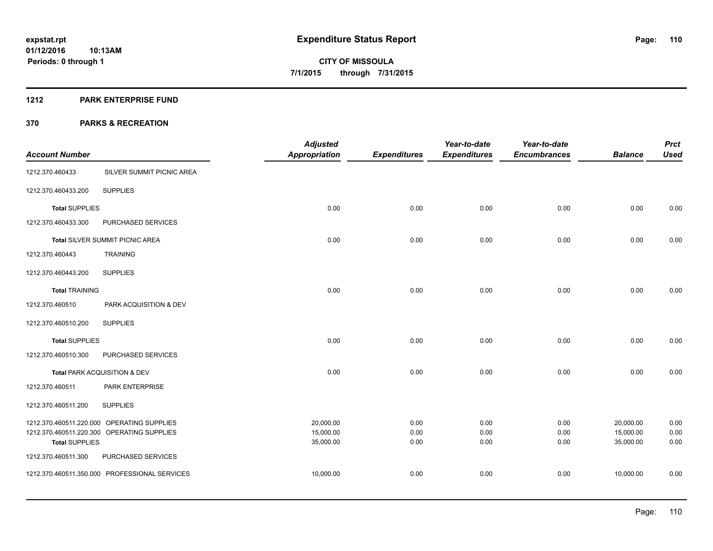#### **1212 PARK ENTERPRISE FUND**

|                         |                                            | <b>Adjusted</b>        |                     | Year-to-date        | Year-to-date        |                        | <b>Prct</b>  |
|-------------------------|--------------------------------------------|------------------------|---------------------|---------------------|---------------------|------------------------|--------------|
| <b>Account Number</b>   |                                            | <b>Appropriation</b>   | <b>Expenditures</b> | <b>Expenditures</b> | <b>Encumbrances</b> | <b>Balance</b>         | <b>Used</b>  |
| 1212.370.460433         | SILVER SUMMIT PICNIC AREA                  |                        |                     |                     |                     |                        |              |
| 1212.370.460433.200     | <b>SUPPLIES</b>                            |                        |                     |                     |                     |                        |              |
| <b>Total SUPPLIES</b>   |                                            | 0.00                   | 0.00                | 0.00                | 0.00                | 0.00                   | 0.00         |
| 1212.370.460433.300     | PURCHASED SERVICES                         |                        |                     |                     |                     |                        |              |
|                         | Total SILVER SUMMIT PICNIC AREA            | 0.00                   | 0.00                | 0.00                | 0.00                | 0.00                   | 0.00         |
| 1212.370.460443         | <b>TRAINING</b>                            |                        |                     |                     |                     |                        |              |
| 1212.370.460443.200     | <b>SUPPLIES</b>                            |                        |                     |                     |                     |                        |              |
| <b>Total TRAINING</b>   |                                            | 0.00                   | 0.00                | 0.00                | 0.00                | 0.00                   | 0.00         |
| 1212.370.460510         | PARK ACQUISITION & DEV                     |                        |                     |                     |                     |                        |              |
| 1212.370.460510.200     | <b>SUPPLIES</b>                            |                        |                     |                     |                     |                        |              |
| <b>Total SUPPLIES</b>   |                                            | 0.00                   | 0.00                | 0.00                | 0.00                | 0.00                   | 0.00         |
| 1212.370.460510.300     | PURCHASED SERVICES                         |                        |                     |                     |                     |                        |              |
|                         | Total PARK ACQUISITION & DEV               | 0.00                   | 0.00                | 0.00                | 0.00                | 0.00                   | 0.00         |
| 1212.370.460511         | PARK ENTERPRISE                            |                        |                     |                     |                     |                        |              |
| 1212.370.460511.200     | <b>SUPPLIES</b>                            |                        |                     |                     |                     |                        |              |
|                         | 1212.370.460511.220.000 OPERATING SUPPLIES | 20,000.00              | 0.00                | 0.00                | 0.00                | 20,000.00              | 0.00         |
| <b>Total SUPPLIES</b>   | 1212.370.460511.220.300 OPERATING SUPPLIES | 15,000.00<br>35,000.00 | 0.00<br>0.00        | 0.00<br>0.00        | 0.00<br>0.00        | 15,000.00<br>35,000.00 | 0.00<br>0.00 |
| 1212.370.460511.300     | PURCHASED SERVICES                         |                        |                     |                     |                     |                        |              |
| 1212.370.460511.350.000 | PROFESSIONAL SERVICES                      | 10,000.00              | 0.00                | 0.00                | 0.00                | 10,000.00              | 0.00         |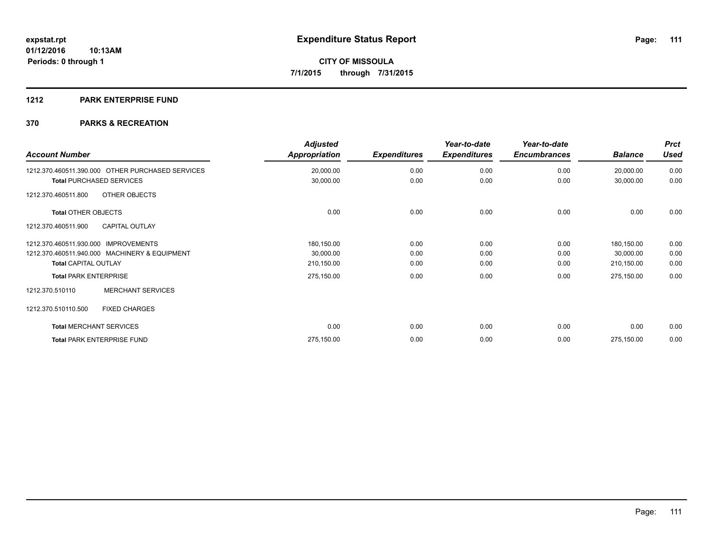#### **1212 PARK ENTERPRISE FUND**

| <b>Account Number</b>                            | <b>Adjusted</b><br><b>Appropriation</b> | <b>Expenditures</b> | Year-to-date<br><b>Expenditures</b> | Year-to-date<br><b>Encumbrances</b> | <b>Balance</b> | <b>Prct</b><br><b>Used</b> |
|--------------------------------------------------|-----------------------------------------|---------------------|-------------------------------------|-------------------------------------|----------------|----------------------------|
| 1212.370.460511.390.000 OTHER PURCHASED SERVICES | 20,000.00                               | 0.00                | 0.00                                | 0.00                                | 20,000.00      | 0.00                       |
| <b>Total PURCHASED SERVICES</b>                  | 30,000.00                               | 0.00                | 0.00                                | 0.00                                | 30,000.00      | 0.00                       |
| OTHER OBJECTS<br>1212.370.460511.800             |                                         |                     |                                     |                                     |                |                            |
| <b>Total OTHER OBJECTS</b>                       | 0.00                                    | 0.00                | 0.00                                | 0.00                                | 0.00           | 0.00                       |
| <b>CAPITAL OUTLAY</b><br>1212.370.460511.900     |                                         |                     |                                     |                                     |                |                            |
| <b>IMPROVEMENTS</b><br>1212.370.460511.930.000   | 180,150.00                              | 0.00                | 0.00                                | 0.00                                | 180,150.00     | 0.00                       |
| 1212.370.460511.940.000 MACHINERY & EQUIPMENT    | 30,000.00                               | 0.00                | 0.00                                | 0.00                                | 30,000.00      | 0.00                       |
| <b>Total CAPITAL OUTLAY</b>                      | 210,150.00                              | 0.00                | 0.00                                | 0.00                                | 210,150.00     | 0.00                       |
| <b>Total PARK ENTERPRISE</b>                     | 275,150.00                              | 0.00                | 0.00                                | 0.00                                | 275,150.00     | 0.00                       |
| <b>MERCHANT SERVICES</b><br>1212.370.510110      |                                         |                     |                                     |                                     |                |                            |
| 1212.370.510110.500<br><b>FIXED CHARGES</b>      |                                         |                     |                                     |                                     |                |                            |
| <b>Total MERCHANT SERVICES</b>                   | 0.00                                    | 0.00                | 0.00                                | 0.00                                | 0.00           | 0.00                       |
| <b>Total PARK ENTERPRISE FUND</b>                | 275,150.00                              | 0.00                | 0.00                                | 0.00                                | 275,150.00     | 0.00                       |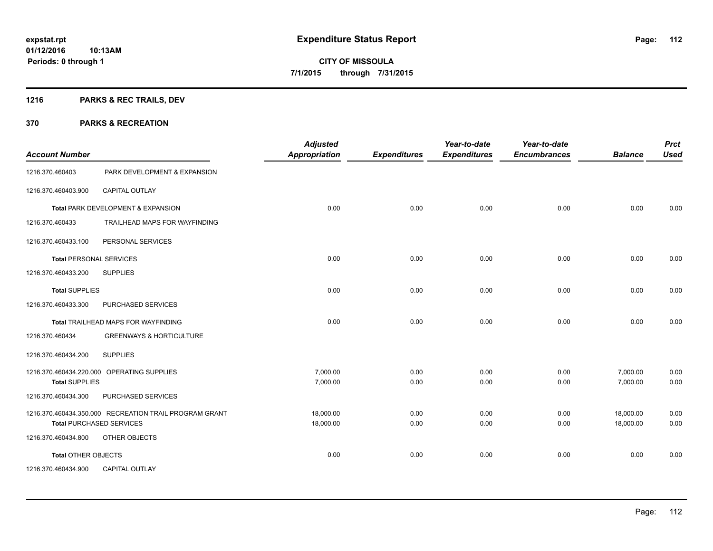### **1216 PARKS & REC TRAILS, DEV**

| <b>Account Number</b>          |                                                        | <b>Adjusted</b><br><b>Appropriation</b> | <b>Expenditures</b> | Year-to-date<br><b>Expenditures</b> | Year-to-date<br><b>Encumbrances</b> | <b>Balance</b> | <b>Prct</b><br><b>Used</b> |
|--------------------------------|--------------------------------------------------------|-----------------------------------------|---------------------|-------------------------------------|-------------------------------------|----------------|----------------------------|
| 1216.370.460403                | PARK DEVELOPMENT & EXPANSION                           |                                         |                     |                                     |                                     |                |                            |
| 1216.370.460403.900            | <b>CAPITAL OUTLAY</b>                                  |                                         |                     |                                     |                                     |                |                            |
|                                | Total PARK DEVELOPMENT & EXPANSION                     | 0.00                                    | 0.00                | 0.00                                | 0.00                                | 0.00           | 0.00                       |
| 1216.370.460433                | TRAILHEAD MAPS FOR WAYFINDING                          |                                         |                     |                                     |                                     |                |                            |
| 1216.370.460433.100            | PERSONAL SERVICES                                      |                                         |                     |                                     |                                     |                |                            |
| <b>Total PERSONAL SERVICES</b> |                                                        | 0.00                                    | 0.00                | 0.00                                | 0.00                                | 0.00           | 0.00                       |
| 1216.370.460433.200            | <b>SUPPLIES</b>                                        |                                         |                     |                                     |                                     |                |                            |
| <b>Total SUPPLIES</b>          |                                                        | 0.00                                    | 0.00                | 0.00                                | 0.00                                | 0.00           | 0.00                       |
| 1216.370.460433.300            | PURCHASED SERVICES                                     |                                         |                     |                                     |                                     |                |                            |
|                                | Total TRAILHEAD MAPS FOR WAYFINDING                    | 0.00                                    | 0.00                | 0.00                                | 0.00                                | 0.00           | 0.00                       |
| 1216.370.460434                | <b>GREENWAYS &amp; HORTICULTURE</b>                    |                                         |                     |                                     |                                     |                |                            |
| 1216.370.460434.200            | <b>SUPPLIES</b>                                        |                                         |                     |                                     |                                     |                |                            |
|                                | 1216.370.460434.220.000 OPERATING SUPPLIES             | 7,000.00                                | 0.00                | 0.00                                | 0.00                                | 7,000.00       | 0.00                       |
| <b>Total SUPPLIES</b>          |                                                        | 7,000.00                                | 0.00                | 0.00                                | 0.00                                | 7,000.00       | 0.00                       |
| 1216.370.460434.300            | PURCHASED SERVICES                                     |                                         |                     |                                     |                                     |                |                            |
|                                | 1216.370.460434.350.000 RECREATION TRAIL PROGRAM GRANT | 18,000.00                               | 0.00                | 0.00                                | 0.00                                | 18,000.00      | 0.00                       |
|                                | <b>Total PURCHASED SERVICES</b>                        | 18,000.00                               | 0.00                | 0.00                                | 0.00                                | 18,000.00      | 0.00                       |
| 1216.370.460434.800            | OTHER OBJECTS                                          |                                         |                     |                                     |                                     |                |                            |
| <b>Total OTHER OBJECTS</b>     |                                                        | 0.00                                    | 0.00                | 0.00                                | 0.00                                | 0.00           | 0.00                       |
| 1216.370.460434.900            | <b>CAPITAL OUTLAY</b>                                  |                                         |                     |                                     |                                     |                |                            |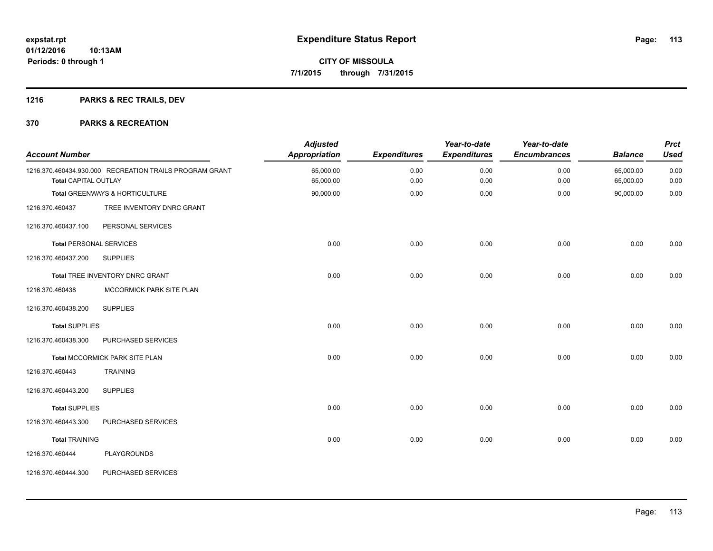### **1216 PARKS & REC TRAILS, DEV**

| <b>Account Number</b>          |                                                         | <b>Adjusted</b><br>Appropriation | <b>Expenditures</b> | Year-to-date<br><b>Expenditures</b> | Year-to-date<br><b>Encumbrances</b> | <b>Balance</b>         | <b>Prct</b><br><b>Used</b> |
|--------------------------------|---------------------------------------------------------|----------------------------------|---------------------|-------------------------------------|-------------------------------------|------------------------|----------------------------|
| <b>Total CAPITAL OUTLAY</b>    | 1216.370.460434.930.000 RECREATION TRAILS PROGRAM GRANT | 65,000.00<br>65,000.00           | 0.00<br>0.00        | 0.00<br>0.00                        | 0.00<br>0.00                        | 65,000.00<br>65,000.00 | 0.00<br>0.00               |
|                                | Total GREENWAYS & HORTICULTURE                          | 90,000.00                        | 0.00                | 0.00                                | 0.00                                | 90,000.00              | 0.00                       |
| 1216.370.460437                | TREE INVENTORY DNRC GRANT                               |                                  |                     |                                     |                                     |                        |                            |
| 1216.370.460437.100            | PERSONAL SERVICES                                       |                                  |                     |                                     |                                     |                        |                            |
| <b>Total PERSONAL SERVICES</b> |                                                         | 0.00                             | 0.00                | 0.00                                | 0.00                                | 0.00                   | 0.00                       |
| 1216.370.460437.200            | <b>SUPPLIES</b>                                         |                                  |                     |                                     |                                     |                        |                            |
|                                | Total TREE INVENTORY DNRC GRANT                         | 0.00                             | 0.00                | 0.00                                | 0.00                                | 0.00                   | 0.00                       |
| 1216.370.460438                | MCCORMICK PARK SITE PLAN                                |                                  |                     |                                     |                                     |                        |                            |
| 1216.370.460438.200            | <b>SUPPLIES</b>                                         |                                  |                     |                                     |                                     |                        |                            |
| <b>Total SUPPLIES</b>          |                                                         | 0.00                             | 0.00                | 0.00                                | 0.00                                | 0.00                   | 0.00                       |
| 1216.370.460438.300            | PURCHASED SERVICES                                      |                                  |                     |                                     |                                     |                        |                            |
|                                | Total MCCORMICK PARK SITE PLAN                          | 0.00                             | 0.00                | 0.00                                | 0.00                                | 0.00                   | 0.00                       |
| 1216.370.460443                | <b>TRAINING</b>                                         |                                  |                     |                                     |                                     |                        |                            |
| 1216.370.460443.200            | <b>SUPPLIES</b>                                         |                                  |                     |                                     |                                     |                        |                            |
| <b>Total SUPPLIES</b>          |                                                         | 0.00                             | 0.00                | 0.00                                | 0.00                                | 0.00                   | 0.00                       |
| 1216.370.460443.300            | PURCHASED SERVICES                                      |                                  |                     |                                     |                                     |                        |                            |
| <b>Total TRAINING</b>          |                                                         | 0.00                             | 0.00                | 0.00                                | 0.00                                | 0.00                   | 0.00                       |
| 1216.370.460444                | <b>PLAYGROUNDS</b>                                      |                                  |                     |                                     |                                     |                        |                            |
| 1216.370.460444.300            | PURCHASED SERVICES                                      |                                  |                     |                                     |                                     |                        |                            |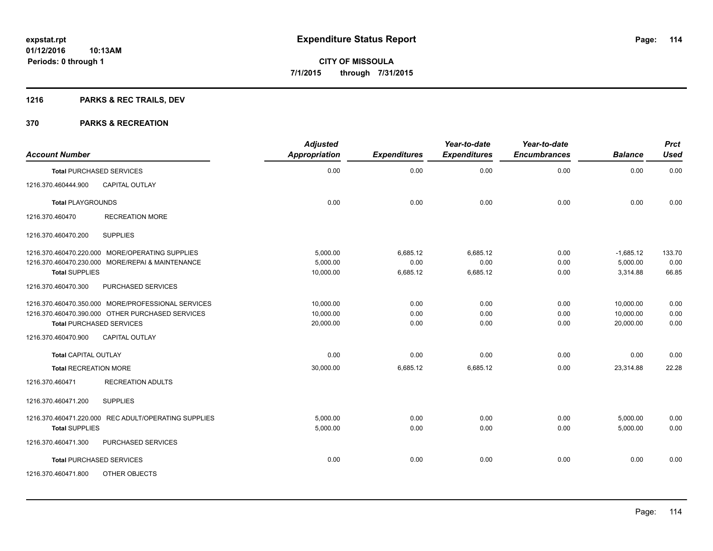### **1216 PARKS & REC TRAILS, DEV**

| <b>Account Number</b>        |                                                      | <b>Adjusted</b><br>Appropriation | <b>Expenditures</b> | Year-to-date<br><b>Expenditures</b> | Year-to-date<br><b>Encumbrances</b> | <b>Balance</b> | <b>Prct</b><br><b>Used</b> |
|------------------------------|------------------------------------------------------|----------------------------------|---------------------|-------------------------------------|-------------------------------------|----------------|----------------------------|
|                              | <b>Total PURCHASED SERVICES</b>                      | 0.00                             | 0.00                | 0.00                                | 0.00                                | 0.00           | 0.00                       |
|                              |                                                      |                                  |                     |                                     |                                     |                |                            |
| 1216.370.460444.900          | <b>CAPITAL OUTLAY</b>                                |                                  |                     |                                     |                                     |                |                            |
| <b>Total PLAYGROUNDS</b>     |                                                      | 0.00                             | 0.00                | 0.00                                | 0.00                                | 0.00           | 0.00                       |
| 1216.370.460470              | <b>RECREATION MORE</b>                               |                                  |                     |                                     |                                     |                |                            |
| 1216.370.460470.200          | <b>SUPPLIES</b>                                      |                                  |                     |                                     |                                     |                |                            |
|                              | 1216.370.460470.220.000 MORE/OPERATING SUPPLIES      | 5.000.00                         | 6.685.12            | 6.685.12                            | 0.00                                | $-1,685.12$    | 133.70                     |
|                              | 1216.370.460470.230.000 MORE/REPAI & MAINTENANCE     | 5.000.00                         | 0.00                | 0.00                                | 0.00                                | 5,000.00       | 0.00                       |
| <b>Total SUPPLIES</b>        |                                                      | 10,000.00                        | 6,685.12            | 6,685.12                            | 0.00                                | 3,314.88       | 66.85                      |
| 1216.370.460470.300          | PURCHASED SERVICES                                   |                                  |                     |                                     |                                     |                |                            |
|                              | 1216.370.460470.350.000 MORE/PROFESSIONAL SERVICES   | 10,000.00                        | 0.00                | 0.00                                | 0.00                                | 10,000.00      | 0.00                       |
|                              | 1216.370.460470.390.000 OTHER PURCHASED SERVICES     | 10,000.00                        | 0.00                | 0.00                                | 0.00                                | 10,000.00      | 0.00                       |
|                              | <b>Total PURCHASED SERVICES</b>                      | 20,000.00                        | 0.00                | 0.00                                | 0.00                                | 20,000.00      | 0.00                       |
| 1216.370.460470.900          | <b>CAPITAL OUTLAY</b>                                |                                  |                     |                                     |                                     |                |                            |
| <b>Total CAPITAL OUTLAY</b>  |                                                      | 0.00                             | 0.00                | 0.00                                | 0.00                                | 0.00           | 0.00                       |
| <b>Total RECREATION MORE</b> |                                                      | 30,000.00                        | 6,685.12            | 6,685.12                            | 0.00                                | 23,314.88      | 22.28                      |
| 1216.370.460471              | <b>RECREATION ADULTS</b>                             |                                  |                     |                                     |                                     |                |                            |
| 1216.370.460471.200          | <b>SUPPLIES</b>                                      |                                  |                     |                                     |                                     |                |                            |
|                              | 1216.370.460471.220.000 REC ADULT/OPERATING SUPPLIES | 5,000.00                         | 0.00                | 0.00                                | 0.00                                | 5,000.00       | 0.00                       |
| <b>Total SUPPLIES</b>        |                                                      | 5,000.00                         | 0.00                | 0.00                                | 0.00                                | 5,000.00       | 0.00                       |
| 1216.370.460471.300          | <b>PURCHASED SERVICES</b>                            |                                  |                     |                                     |                                     |                |                            |
|                              | <b>Total PURCHASED SERVICES</b>                      | 0.00                             | 0.00                | 0.00                                | 0.00                                | 0.00           | 0.00                       |
| 1216.370.460471.800          | OTHER OBJECTS                                        |                                  |                     |                                     |                                     |                |                            |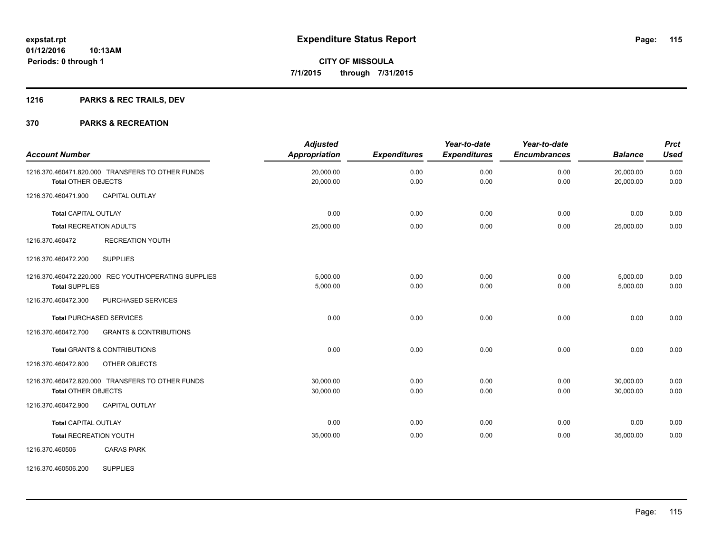### **1216 PARKS & REC TRAILS, DEV**

#### **370 PARKS & RECREATION**

| <b>Account Number</b>          |                                                      | <b>Adjusted</b><br>Appropriation | <b>Expenditures</b> | Year-to-date<br><b>Expenditures</b> | Year-to-date<br><b>Encumbrances</b> | <b>Balance</b>         | <b>Prct</b><br><b>Used</b> |
|--------------------------------|------------------------------------------------------|----------------------------------|---------------------|-------------------------------------|-------------------------------------|------------------------|----------------------------|
| <b>Total OTHER OBJECTS</b>     | 1216.370.460471.820.000 TRANSFERS TO OTHER FUNDS     | 20,000.00<br>20,000.00           | 0.00<br>0.00        | 0.00<br>0.00                        | 0.00<br>0.00                        | 20,000.00<br>20.000.00 | 0.00<br>0.00               |
| 1216.370.460471.900            | <b>CAPITAL OUTLAY</b>                                |                                  |                     |                                     |                                     |                        |                            |
| <b>Total CAPITAL OUTLAY</b>    |                                                      | 0.00                             | 0.00                | 0.00                                | 0.00                                | 0.00                   | 0.00                       |
| <b>Total RECREATION ADULTS</b> |                                                      | 25,000.00                        | 0.00                | 0.00                                | 0.00                                | 25,000.00              | 0.00                       |
| 1216.370.460472                | <b>RECREATION YOUTH</b>                              |                                  |                     |                                     |                                     |                        |                            |
| 1216.370.460472.200            | <b>SUPPLIES</b>                                      |                                  |                     |                                     |                                     |                        |                            |
|                                | 1216.370.460472.220.000 REC YOUTH/OPERATING SUPPLIES | 5,000.00                         | 0.00                | 0.00                                | 0.00                                | 5,000.00               | 0.00                       |
| <b>Total SUPPLIES</b>          |                                                      | 5,000.00                         | 0.00                | 0.00                                | 0.00                                | 5,000.00               | 0.00                       |
| 1216.370.460472.300            | PURCHASED SERVICES                                   |                                  |                     |                                     |                                     |                        |                            |
|                                | <b>Total PURCHASED SERVICES</b>                      | 0.00                             | 0.00                | 0.00                                | 0.00                                | 0.00                   | 0.00                       |
| 1216.370.460472.700            | <b>GRANTS &amp; CONTRIBUTIONS</b>                    |                                  |                     |                                     |                                     |                        |                            |
|                                | <b>Total GRANTS &amp; CONTRIBUTIONS</b>              | 0.00                             | 0.00                | 0.00                                | 0.00                                | 0.00                   | 0.00                       |
| 1216.370.460472.800            | OTHER OBJECTS                                        |                                  |                     |                                     |                                     |                        |                            |
|                                | 1216.370.460472.820.000 TRANSFERS TO OTHER FUNDS     | 30.000.00                        | 0.00                | 0.00                                | 0.00                                | 30,000.00              | 0.00                       |
| <b>Total OTHER OBJECTS</b>     |                                                      | 30,000.00                        | 0.00                | 0.00                                | 0.00                                | 30,000.00              | 0.00                       |
| 1216.370.460472.900            | <b>CAPITAL OUTLAY</b>                                |                                  |                     |                                     |                                     |                        |                            |
| <b>Total CAPITAL OUTLAY</b>    |                                                      | 0.00                             | 0.00                | 0.00                                | 0.00                                | 0.00                   | 0.00                       |
| <b>Total RECREATION YOUTH</b>  |                                                      | 35,000.00                        | 0.00                | 0.00                                | 0.00                                | 35,000.00              | 0.00                       |
| 1216.370.460506                | <b>CARAS PARK</b>                                    |                                  |                     |                                     |                                     |                        |                            |

1216.370.460506.200 SUPPLIES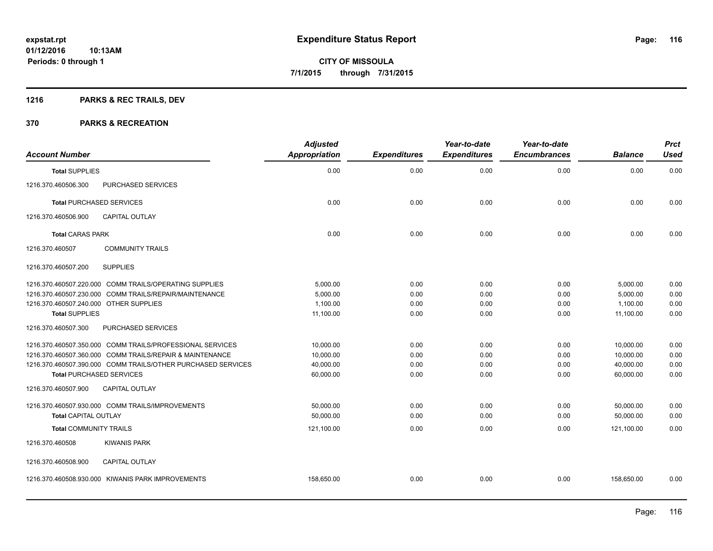### **1216 PARKS & REC TRAILS, DEV**

| <b>Account Number</b>                  |                                                              | <b>Adjusted</b><br><b>Appropriation</b> | <b>Expenditures</b> | Year-to-date<br><b>Expenditures</b> | Year-to-date<br><b>Encumbrances</b> | <b>Balance</b> | <b>Prct</b><br><b>Used</b> |
|----------------------------------------|--------------------------------------------------------------|-----------------------------------------|---------------------|-------------------------------------|-------------------------------------|----------------|----------------------------|
| <b>Total SUPPLIES</b>                  |                                                              | 0.00                                    | 0.00                | 0.00                                | 0.00                                | 0.00           | 0.00                       |
| 1216.370.460506.300                    | PURCHASED SERVICES                                           |                                         |                     |                                     |                                     |                |                            |
| <b>Total PURCHASED SERVICES</b>        |                                                              | 0.00                                    | 0.00                | 0.00                                | 0.00                                | 0.00           | 0.00                       |
| 1216.370.460506.900                    | <b>CAPITAL OUTLAY</b>                                        |                                         |                     |                                     |                                     |                |                            |
| <b>Total CARAS PARK</b>                |                                                              | 0.00                                    | 0.00                | 0.00                                | 0.00                                | 0.00           | 0.00                       |
| 1216.370.460507                        | <b>COMMUNITY TRAILS</b>                                      |                                         |                     |                                     |                                     |                |                            |
| 1216.370.460507.200                    | <b>SUPPLIES</b>                                              |                                         |                     |                                     |                                     |                |                            |
|                                        | 1216.370.460507.220.000 COMM TRAILS/OPERATING SUPPLIES       | 5,000.00                                | 0.00                | 0.00                                | 0.00                                | 5,000.00       | 0.00                       |
|                                        | 1216.370.460507.230.000 COMM TRAILS/REPAIR/MAINTENANCE       | 5,000.00                                | 0.00                | 0.00                                | 0.00                                | 5,000.00       | 0.00                       |
| 1216.370.460507.240.000 OTHER SUPPLIES |                                                              | 1,100.00                                | 0.00                | 0.00                                | 0.00                                | 1,100.00       | 0.00                       |
| <b>Total SUPPLIES</b>                  |                                                              | 11,100.00                               | 0.00                | 0.00                                | 0.00                                | 11,100.00      | 0.00                       |
| 1216.370.460507.300                    | PURCHASED SERVICES                                           |                                         |                     |                                     |                                     |                |                            |
|                                        | 1216.370.460507.350.000 COMM TRAILS/PROFESSIONAL SERVICES    | 10,000.00                               | 0.00                | 0.00                                | 0.00                                | 10,000.00      | 0.00                       |
|                                        | 1216.370.460507.360.000 COMM TRAILS/REPAIR & MAINTENANCE     | 10,000.00                               | 0.00                | 0.00                                | 0.00                                | 10,000.00      | 0.00                       |
|                                        | 1216.370.460507.390.000 COMM TRAILS/OTHER PURCHASED SERVICES | 40,000.00                               | 0.00                | 0.00                                | 0.00                                | 40.000.00      | 0.00                       |
| <b>Total PURCHASED SERVICES</b>        |                                                              | 60,000.00                               | 0.00                | 0.00                                | 0.00                                | 60,000.00      | 0.00                       |
| 1216.370.460507.900                    | <b>CAPITAL OUTLAY</b>                                        |                                         |                     |                                     |                                     |                |                            |
|                                        | 1216.370.460507.930.000 COMM TRAILS/IMPROVEMENTS             | 50,000.00                               | 0.00                | 0.00                                | 0.00                                | 50,000.00      | 0.00                       |
| <b>Total CAPITAL OUTLAY</b>            |                                                              | 50,000.00                               | 0.00                | 0.00                                | 0.00                                | 50,000.00      | 0.00                       |
| <b>Total COMMUNITY TRAILS</b>          |                                                              | 121,100.00                              | 0.00                | 0.00                                | 0.00                                | 121,100.00     | 0.00                       |
| 1216.370.460508                        | <b>KIWANIS PARK</b>                                          |                                         |                     |                                     |                                     |                |                            |
| 1216.370.460508.900                    | <b>CAPITAL OUTLAY</b>                                        |                                         |                     |                                     |                                     |                |                            |
|                                        | 1216.370.460508.930.000 KIWANIS PARK IMPROVEMENTS            | 158,650.00                              | 0.00                | 0.00                                | 0.00                                | 158,650.00     | 0.00                       |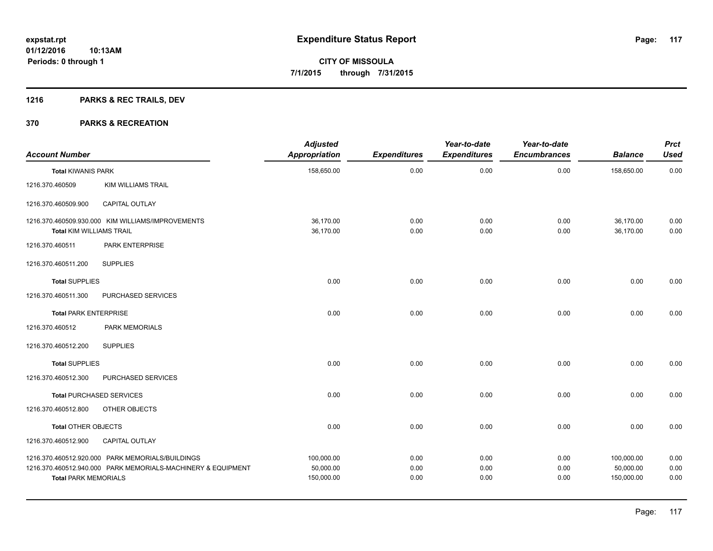### **1216 PARKS & REC TRAILS, DEV**

| <b>Account Number</b>        |                                                                                                                  | <b>Adjusted</b><br><b>Appropriation</b> | <b>Expenditures</b>  | Year-to-date<br><b>Expenditures</b> | Year-to-date<br><b>Encumbrances</b> | <b>Balance</b>                        | <b>Prct</b><br><b>Used</b> |
|------------------------------|------------------------------------------------------------------------------------------------------------------|-----------------------------------------|----------------------|-------------------------------------|-------------------------------------|---------------------------------------|----------------------------|
| <b>Total KIWANIS PARK</b>    |                                                                                                                  | 158,650.00                              | 0.00                 | 0.00                                | 0.00                                | 158,650.00                            | 0.00                       |
| 1216.370.460509              | <b>KIM WILLIAMS TRAIL</b>                                                                                        |                                         |                      |                                     |                                     |                                       |                            |
| 1216.370.460509.900          | <b>CAPITAL OUTLAY</b>                                                                                            |                                         |                      |                                     |                                     |                                       |                            |
| Total KIM WILLIAMS TRAIL     | 1216.370.460509.930.000 KIM WILLIAMS/IMPROVEMENTS                                                                | 36,170.00<br>36,170.00                  | 0.00<br>0.00         | 0.00<br>0.00                        | 0.00<br>0.00                        | 36,170.00<br>36,170.00                | 0.00<br>0.00               |
| 1216.370.460511              | PARK ENTERPRISE                                                                                                  |                                         |                      |                                     |                                     |                                       |                            |
| 1216.370.460511.200          | <b>SUPPLIES</b>                                                                                                  |                                         |                      |                                     |                                     |                                       |                            |
| <b>Total SUPPLIES</b>        |                                                                                                                  | 0.00                                    | 0.00                 | 0.00                                | 0.00                                | 0.00                                  | 0.00                       |
| 1216.370.460511.300          | PURCHASED SERVICES                                                                                               |                                         |                      |                                     |                                     |                                       |                            |
| <b>Total PARK ENTERPRISE</b> |                                                                                                                  | 0.00                                    | 0.00                 | 0.00                                | 0.00                                | 0.00                                  | 0.00                       |
| 1216.370.460512              | PARK MEMORIALS                                                                                                   |                                         |                      |                                     |                                     |                                       |                            |
| 1216.370.460512.200          | <b>SUPPLIES</b>                                                                                                  |                                         |                      |                                     |                                     |                                       |                            |
| <b>Total SUPPLIES</b>        |                                                                                                                  | 0.00                                    | 0.00                 | 0.00                                | 0.00                                | 0.00                                  | 0.00                       |
| 1216.370.460512.300          | PURCHASED SERVICES                                                                                               |                                         |                      |                                     |                                     |                                       |                            |
|                              | <b>Total PURCHASED SERVICES</b>                                                                                  | 0.00                                    | 0.00                 | 0.00                                | 0.00                                | 0.00                                  | 0.00                       |
| 1216.370.460512.800          | OTHER OBJECTS                                                                                                    |                                         |                      |                                     |                                     |                                       |                            |
| Total OTHER OBJECTS          |                                                                                                                  | 0.00                                    | 0.00                 | 0.00                                | 0.00                                | 0.00                                  | 0.00                       |
| 1216.370.460512.900          | CAPITAL OUTLAY                                                                                                   |                                         |                      |                                     |                                     |                                       |                            |
| <b>Total PARK MEMORIALS</b>  | 1216.370.460512.920.000 PARK MEMORIALS/BUILDINGS<br>1216.370.460512.940.000 PARK MEMORIALS-MACHINERY & EQUIPMENT | 100,000.00<br>50,000.00<br>150,000.00   | 0.00<br>0.00<br>0.00 | 0.00<br>0.00<br>0.00                | 0.00<br>0.00<br>0.00                | 100,000.00<br>50,000.00<br>150,000.00 | 0.00<br>0.00<br>0.00       |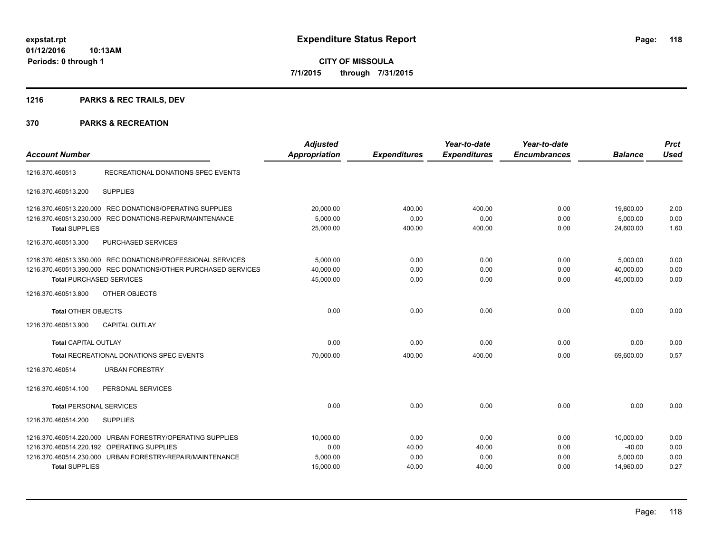### **1216 PARKS & REC TRAILS, DEV**

| <b>Account Number</b>                                                                                                                                                | <b>Adjusted</b><br><b>Appropriation</b> | <b>Expenditures</b>   | Year-to-date<br><b>Expenditures</b> | Year-to-date<br><b>Encumbrances</b> | <b>Balance</b>                     | <b>Prct</b><br><b>Used</b> |
|----------------------------------------------------------------------------------------------------------------------------------------------------------------------|-----------------------------------------|-----------------------|-------------------------------------|-------------------------------------|------------------------------------|----------------------------|
| RECREATIONAL DONATIONS SPEC EVENTS<br>1216.370.460513                                                                                                                |                                         |                       |                                     |                                     |                                    |                            |
| <b>SUPPLIES</b><br>1216.370.460513.200                                                                                                                               |                                         |                       |                                     |                                     |                                    |                            |
| 1216.370.460513.220.000 REC DONATIONS/OPERATING SUPPLIES                                                                                                             | 20,000.00                               | 400.00                | 400.00                              | 0.00                                | 19,600.00                          | 2.00                       |
| 1216.370.460513.230.000 REC DONATIONS-REPAIR/MAINTENANCE<br><b>Total SUPPLIES</b>                                                                                    | 5,000.00<br>25,000.00                   | 0.00<br>400.00        | 0.00<br>400.00                      | 0.00<br>0.00                        | 5,000.00<br>24,600.00              | 0.00<br>1.60               |
| <b>PURCHASED SERVICES</b><br>1216.370.460513.300                                                                                                                     |                                         |                       |                                     |                                     |                                    |                            |
| 1216.370.460513.350.000 REC DONATIONS/PROFESSIONAL SERVICES<br>1216.370.460513.390.000 REC DONATIONS/OTHER PURCHASED SERVICES<br><b>Total PURCHASED SERVICES</b>     | 5,000.00<br>40,000.00<br>45,000.00      | 0.00<br>0.00<br>0.00  | 0.00<br>0.00<br>0.00                | 0.00<br>0.00<br>0.00                | 5,000.00<br>40,000.00<br>45,000.00 | 0.00<br>0.00<br>0.00       |
| 1216.370.460513.800<br>OTHER OBJECTS                                                                                                                                 |                                         |                       |                                     |                                     |                                    |                            |
| <b>Total OTHER OBJECTS</b>                                                                                                                                           | 0.00                                    | 0.00                  | 0.00                                | 0.00                                | 0.00                               | 0.00                       |
| 1216.370.460513.900<br><b>CAPITAL OUTLAY</b>                                                                                                                         |                                         |                       |                                     |                                     |                                    |                            |
| <b>Total CAPITAL OUTLAY</b>                                                                                                                                          | 0.00                                    | 0.00                  | 0.00                                | 0.00                                | 0.00                               | 0.00                       |
| <b>Total RECREATIONAL DONATIONS SPEC EVENTS</b>                                                                                                                      | 70.000.00                               | 400.00                | 400.00                              | 0.00                                | 69.600.00                          | 0.57                       |
| 1216.370.460514<br><b>URBAN FORESTRY</b>                                                                                                                             |                                         |                       |                                     |                                     |                                    |                            |
| PERSONAL SERVICES<br>1216.370.460514.100                                                                                                                             |                                         |                       |                                     |                                     |                                    |                            |
| <b>Total PERSONAL SERVICES</b>                                                                                                                                       | 0.00                                    | 0.00                  | 0.00                                | 0.00                                | 0.00                               | 0.00                       |
| 1216.370.460514.200<br><b>SUPPLIES</b>                                                                                                                               |                                         |                       |                                     |                                     |                                    |                            |
| 1216.370.460514.220.000 URBAN FORESTRY/OPERATING SUPPLIES<br>1216.370.460514.220.192 OPERATING SUPPLIES<br>1216.370.460514.230.000 URBAN FORESTRY-REPAIR/MAINTENANCE | 10,000.00<br>0.00<br>5,000.00           | 0.00<br>40.00<br>0.00 | 0.00<br>40.00<br>0.00               | 0.00<br>0.00<br>0.00                | 10,000.00<br>$-40.00$<br>5,000.00  | 0.00<br>0.00<br>0.00       |
| <b>Total SUPPLIES</b>                                                                                                                                                | 15,000.00                               | 40.00                 | 40.00                               | 0.00                                | 14,960.00                          | 0.27                       |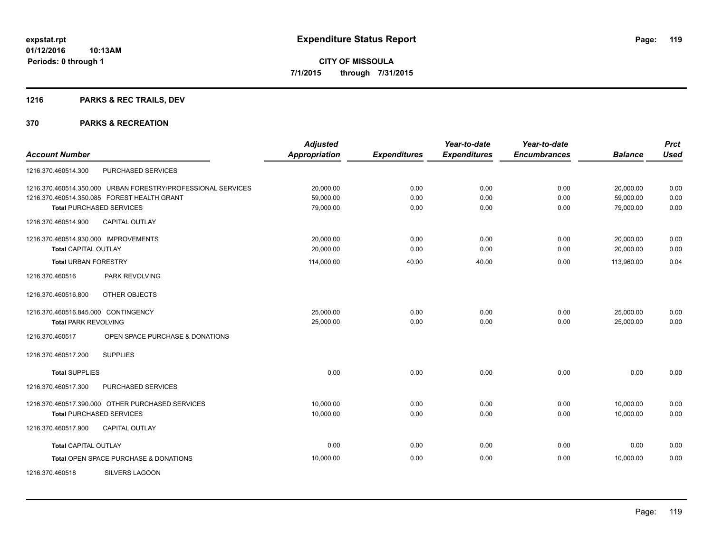### **1216 PARKS & REC TRAILS, DEV**

|                                      |                                                              | <b>Adjusted</b>      |                     | Year-to-date        | Year-to-date        |                | <b>Prct</b> |
|--------------------------------------|--------------------------------------------------------------|----------------------|---------------------|---------------------|---------------------|----------------|-------------|
| <b>Account Number</b>                |                                                              | <b>Appropriation</b> | <b>Expenditures</b> | <b>Expenditures</b> | <b>Encumbrances</b> | <b>Balance</b> | <b>Used</b> |
| 1216.370.460514.300                  | PURCHASED SERVICES                                           |                      |                     |                     |                     |                |             |
|                                      | 1216.370.460514.350.000 URBAN FORESTRY/PROFESSIONAL SERVICES | 20,000.00            | 0.00                | 0.00                | 0.00                | 20,000.00      | 0.00        |
|                                      | 1216.370.460514.350.085 FOREST HEALTH GRANT                  | 59,000.00            | 0.00                | 0.00                | 0.00                | 59,000.00      | 0.00        |
|                                      | <b>Total PURCHASED SERVICES</b>                              | 79,000.00            | 0.00                | 0.00                | 0.00                | 79,000.00      | 0.00        |
| 1216.370.460514.900                  | <b>CAPITAL OUTLAY</b>                                        |                      |                     |                     |                     |                |             |
| 1216.370.460514.930.000 IMPROVEMENTS |                                                              | 20,000.00            | 0.00                | 0.00                | 0.00                | 20,000.00      | 0.00        |
| <b>Total CAPITAL OUTLAY</b>          |                                                              | 20,000.00            | 0.00                | 0.00                | 0.00                | 20,000.00      | 0.00        |
| <b>Total URBAN FORESTRY</b>          |                                                              | 114,000.00           | 40.00               | 40.00               | 0.00                | 113,960.00     | 0.04        |
| 1216.370.460516                      | PARK REVOLVING                                               |                      |                     |                     |                     |                |             |
| 1216.370.460516.800                  | OTHER OBJECTS                                                |                      |                     |                     |                     |                |             |
| 1216.370.460516.845.000 CONTINGENCY  |                                                              | 25,000.00            | 0.00                | 0.00                | 0.00                | 25,000.00      | 0.00        |
| <b>Total PARK REVOLVING</b>          |                                                              | 25,000.00            | 0.00                | 0.00                | 0.00                | 25,000.00      | 0.00        |
| 1216.370.460517                      | OPEN SPACE PURCHASE & DONATIONS                              |                      |                     |                     |                     |                |             |
| 1216.370.460517.200                  | <b>SUPPLIES</b>                                              |                      |                     |                     |                     |                |             |
| <b>Total SUPPLIES</b>                |                                                              | 0.00                 | 0.00                | 0.00                | 0.00                | 0.00           | 0.00        |
| 1216.370.460517.300                  | PURCHASED SERVICES                                           |                      |                     |                     |                     |                |             |
|                                      | 1216.370.460517.390.000 OTHER PURCHASED SERVICES             | 10,000.00            | 0.00                | 0.00                | 0.00                | 10,000.00      | 0.00        |
|                                      | <b>Total PURCHASED SERVICES</b>                              | 10,000.00            | 0.00                | 0.00                | 0.00                | 10,000.00      | 0.00        |
| 1216.370.460517.900                  | <b>CAPITAL OUTLAY</b>                                        |                      |                     |                     |                     |                |             |
| <b>Total CAPITAL OUTLAY</b>          |                                                              | 0.00                 | 0.00                | 0.00                | 0.00                | 0.00           | 0.00        |
|                                      | Total OPEN SPACE PURCHASE & DONATIONS                        | 10,000.00            | 0.00                | 0.00                | 0.00                | 10,000.00      | 0.00        |
| 1216.370.460518                      | SILVERS LAGOON                                               |                      |                     |                     |                     |                |             |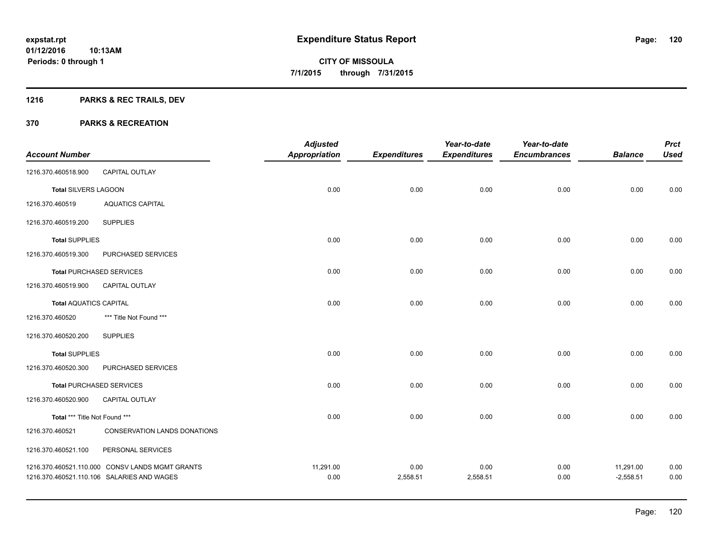### **1216 PARKS & REC TRAILS, DEV**

|                               |                                                 | <b>Adjusted</b>      |                     | Year-to-date        | Year-to-date        |                | <b>Prct</b> |
|-------------------------------|-------------------------------------------------|----------------------|---------------------|---------------------|---------------------|----------------|-------------|
| <b>Account Number</b>         |                                                 | <b>Appropriation</b> | <b>Expenditures</b> | <b>Expenditures</b> | <b>Encumbrances</b> | <b>Balance</b> | <b>Used</b> |
| 1216.370.460518.900           | <b>CAPITAL OUTLAY</b>                           |                      |                     |                     |                     |                |             |
| <b>Total SILVERS LAGOON</b>   |                                                 | 0.00                 | 0.00                | 0.00                | 0.00                | 0.00           | 0.00        |
| 1216.370.460519               | <b>AQUATICS CAPITAL</b>                         |                      |                     |                     |                     |                |             |
| 1216.370.460519.200           | <b>SUPPLIES</b>                                 |                      |                     |                     |                     |                |             |
| <b>Total SUPPLIES</b>         |                                                 | 0.00                 | 0.00                | 0.00                | 0.00                | 0.00           | 0.00        |
| 1216.370.460519.300           | PURCHASED SERVICES                              |                      |                     |                     |                     |                |             |
|                               | <b>Total PURCHASED SERVICES</b>                 | 0.00                 | 0.00                | 0.00                | 0.00                | 0.00           | 0.00        |
| 1216.370.460519.900           | <b>CAPITAL OUTLAY</b>                           |                      |                     |                     |                     |                |             |
| <b>Total AQUATICS CAPITAL</b> |                                                 | 0.00                 | 0.00                | 0.00                | 0.00                | 0.00           | 0.00        |
| 1216.370.460520               | *** Title Not Found ***                         |                      |                     |                     |                     |                |             |
| 1216.370.460520.200           | <b>SUPPLIES</b>                                 |                      |                     |                     |                     |                |             |
| <b>Total SUPPLIES</b>         |                                                 | 0.00                 | 0.00                | 0.00                | 0.00                | 0.00           | 0.00        |
| 1216.370.460520.300           | PURCHASED SERVICES                              |                      |                     |                     |                     |                |             |
|                               | <b>Total PURCHASED SERVICES</b>                 | 0.00                 | 0.00                | 0.00                | 0.00                | 0.00           | 0.00        |
| 1216.370.460520.900           | CAPITAL OUTLAY                                  |                      |                     |                     |                     |                |             |
| Total *** Title Not Found *** |                                                 | 0.00                 | 0.00                | 0.00                | 0.00                | 0.00           | 0.00        |
| 1216.370.460521               | CONSERVATION LANDS DONATIONS                    |                      |                     |                     |                     |                |             |
| 1216.370.460521.100           | PERSONAL SERVICES                               |                      |                     |                     |                     |                |             |
|                               | 1216.370.460521.110.000 CONSV LANDS MGMT GRANTS | 11,291.00            | 0.00                | 0.00                | 0.00                | 11,291.00      | 0.00        |
|                               | 1216.370.460521.110.106 SALARIES AND WAGES      | 0.00                 | 2,558.51            | 2,558.51            | 0.00                | $-2,558.51$    | 0.00        |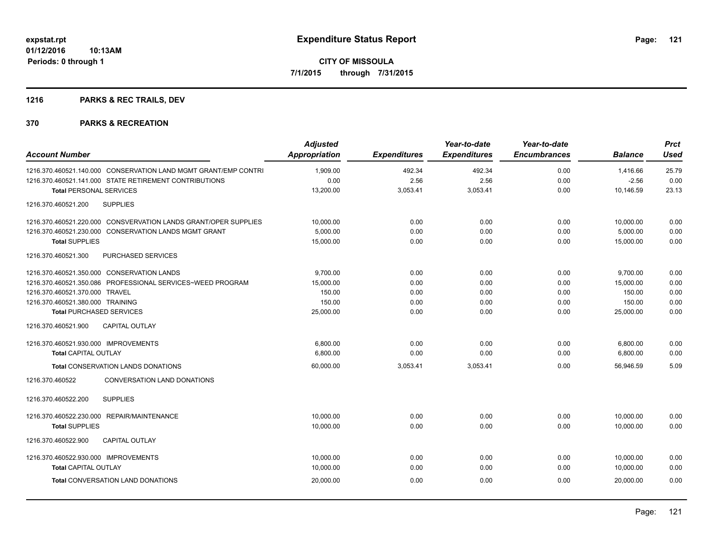### **1216 PARKS & REC TRAILS, DEV**

| <b>Account Number</b>                                           | <b>Adjusted</b><br><b>Appropriation</b> | <b>Expenditures</b> | Year-to-date<br><b>Expenditures</b> | Year-to-date<br><b>Encumbrances</b> | <b>Balance</b> | <b>Prct</b><br><b>Used</b> |
|-----------------------------------------------------------------|-----------------------------------------|---------------------|-------------------------------------|-------------------------------------|----------------|----------------------------|
| 1216.370.460521.140.000 CONSERVATION LAND MGMT GRANT/EMP CONTRI | 1,909.00                                | 492.34              | 492.34                              | 0.00                                | 1.416.66       | 25.79                      |
| 1216.370.460521.141.000 STATE RETIREMENT CONTRIBUTIONS          | 0.00                                    | 2.56                | 2.56                                | 0.00                                | $-2.56$        | 0.00                       |
| <b>Total PERSONAL SERVICES</b>                                  | 13,200.00                               | 3,053.41            | 3,053.41                            | 0.00                                | 10,146.59      | 23.13                      |
| <b>SUPPLIES</b><br>1216.370.460521.200                          |                                         |                     |                                     |                                     |                |                            |
| 1216.370.460521.220.000 CONSVERVATION LANDS GRANT/OPER SUPPLIES | 10,000.00                               | 0.00                | 0.00                                | 0.00                                | 10,000.00      | 0.00                       |
| 1216.370.460521.230.000 CONSERVATION LANDS MGMT GRANT           | 5,000.00                                | 0.00                | 0.00                                | 0.00                                | 5,000.00       | 0.00                       |
| <b>Total SUPPLIES</b>                                           | 15,000.00                               | 0.00                | 0.00                                | 0.00                                | 15,000.00      | 0.00                       |
| PURCHASED SERVICES<br>1216.370.460521.300                       |                                         |                     |                                     |                                     |                |                            |
| 1216.370.460521.350.000 CONSERVATION LANDS                      | 9,700.00                                | 0.00                | 0.00                                | 0.00                                | 9,700.00       | 0.00                       |
| 1216.370.460521.350.086 PROFESSIONAL SERVICES~WEED PROGRAM      | 15,000.00                               | 0.00                | 0.00                                | 0.00                                | 15,000.00      | 0.00                       |
| 1216.370.460521.370.000 TRAVEL                                  | 150.00                                  | 0.00                | 0.00                                | 0.00                                | 150.00         | 0.00                       |
| 1216.370.460521.380.000 TRAINING                                | 150.00                                  | 0.00                | 0.00                                | 0.00                                | 150.00         | 0.00                       |
| <b>Total PURCHASED SERVICES</b>                                 | 25,000.00                               | 0.00                | 0.00                                | 0.00                                | 25,000.00      | 0.00                       |
| 1216.370.460521.900<br><b>CAPITAL OUTLAY</b>                    |                                         |                     |                                     |                                     |                |                            |
| 1216.370.460521.930.000 IMPROVEMENTS                            | 6,800.00                                | 0.00                | 0.00                                | 0.00                                | 6,800.00       | 0.00                       |
| <b>Total CAPITAL OUTLAY</b>                                     | 6,800.00                                | 0.00                | 0.00                                | 0.00                                | 6,800.00       | 0.00                       |
| Total CONSERVATION LANDS DONATIONS                              | 60,000.00                               | 3,053.41            | 3,053.41                            | 0.00                                | 56,946.59      | 5.09                       |
| 1216.370.460522<br>CONVERSATION LAND DONATIONS                  |                                         |                     |                                     |                                     |                |                            |
| 1216.370.460522.200<br><b>SUPPLIES</b>                          |                                         |                     |                                     |                                     |                |                            |
| 1216.370.460522.230.000 REPAIR/MAINTENANCE                      | 10,000.00                               | 0.00                | 0.00                                | 0.00                                | 10,000.00      | 0.00                       |
| <b>Total SUPPLIES</b>                                           | 10,000.00                               | 0.00                | 0.00                                | 0.00                                | 10,000.00      | 0.00                       |
| CAPITAL OUTLAY<br>1216.370.460522.900                           |                                         |                     |                                     |                                     |                |                            |
| 1216.370.460522.930.000 IMPROVEMENTS                            | 10,000.00                               | 0.00                | 0.00                                | 0.00                                | 10,000.00      | 0.00                       |
| <b>Total CAPITAL OUTLAY</b>                                     | 10,000.00                               | 0.00                | 0.00                                | 0.00                                | 10.000.00      | 0.00                       |
| <b>Total CONVERSATION LAND DONATIONS</b>                        | 20,000.00                               | 0.00                | 0.00                                | 0.00                                | 20.000.00      | 0.00                       |
|                                                                 |                                         |                     |                                     |                                     |                |                            |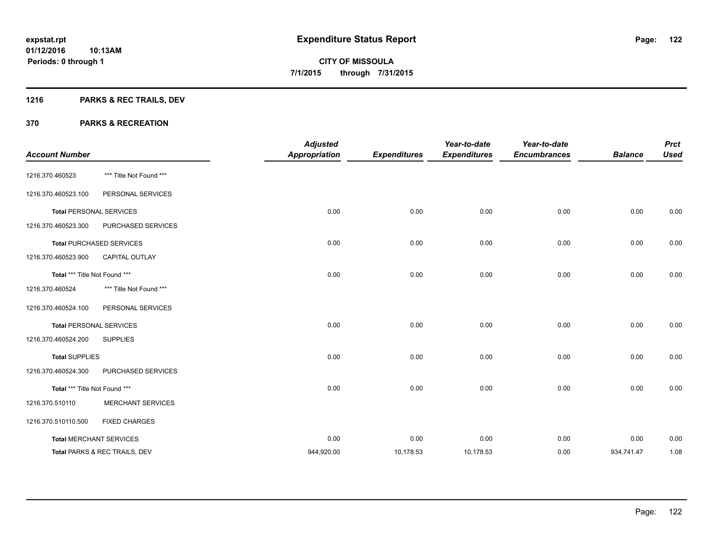### **1216 PARKS & REC TRAILS, DEV**

|                               |                                 | <b>Adjusted</b>      |                     | Year-to-date        | Year-to-date        |                | <b>Prct</b> |
|-------------------------------|---------------------------------|----------------------|---------------------|---------------------|---------------------|----------------|-------------|
| <b>Account Number</b>         |                                 | <b>Appropriation</b> | <b>Expenditures</b> | <b>Expenditures</b> | <b>Encumbrances</b> | <b>Balance</b> | <b>Used</b> |
| 1216.370.460523               | *** Title Not Found ***         |                      |                     |                     |                     |                |             |
| 1216.370.460523.100           | PERSONAL SERVICES               |                      |                     |                     |                     |                |             |
|                               | <b>Total PERSONAL SERVICES</b>  | 0.00                 | 0.00                | 0.00                | 0.00                | 0.00           | 0.00        |
| 1216.370.460523.300           | PURCHASED SERVICES              |                      |                     |                     |                     |                |             |
|                               | <b>Total PURCHASED SERVICES</b> | 0.00                 | 0.00                | 0.00                | 0.00                | 0.00           | 0.00        |
| 1216.370.460523.900           | <b>CAPITAL OUTLAY</b>           |                      |                     |                     |                     |                |             |
| Total *** Title Not Found *** |                                 | 0.00                 | 0.00                | 0.00                | 0.00                | 0.00           | 0.00        |
| 1216.370.460524               | *** Title Not Found ***         |                      |                     |                     |                     |                |             |
| 1216.370.460524.100           | PERSONAL SERVICES               |                      |                     |                     |                     |                |             |
|                               | <b>Total PERSONAL SERVICES</b>  | 0.00                 | 0.00                | 0.00                | 0.00                | 0.00           | 0.00        |
| 1216.370.460524.200           | <b>SUPPLIES</b>                 |                      |                     |                     |                     |                |             |
| <b>Total SUPPLIES</b>         |                                 | 0.00                 | 0.00                | 0.00                | 0.00                | 0.00           | 0.00        |
| 1216.370.460524.300           | PURCHASED SERVICES              |                      |                     |                     |                     |                |             |
| Total *** Title Not Found *** |                                 | 0.00                 | 0.00                | 0.00                | 0.00                | 0.00           | 0.00        |
| 1216.370.510110               | <b>MERCHANT SERVICES</b>        |                      |                     |                     |                     |                |             |
| 1216.370.510110.500           | <b>FIXED CHARGES</b>            |                      |                     |                     |                     |                |             |
|                               | <b>Total MERCHANT SERVICES</b>  | 0.00                 | 0.00                | 0.00                | 0.00                | 0.00           | 0.00        |
|                               | Total PARKS & REC TRAILS, DEV   | 944,920.00           | 10,178.53           | 10,178.53           | 0.00                | 934,741.47     | 1.08        |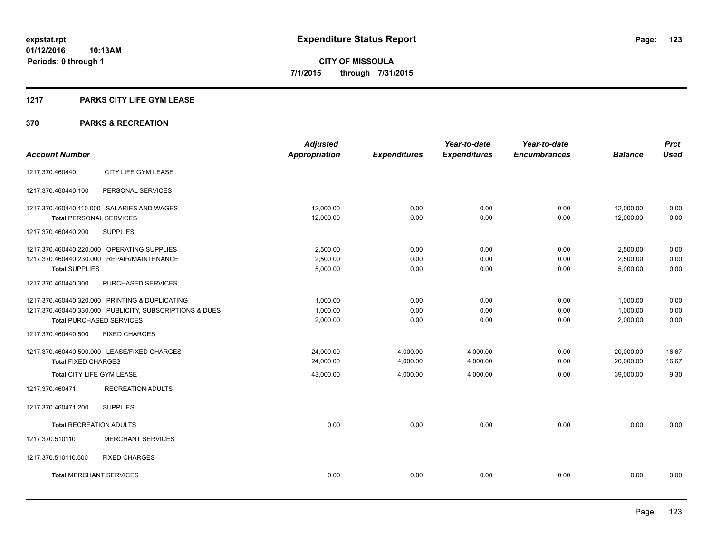#### **1217 PARKS CITY LIFE GYM LEASE**

|                                                         | <b>Adjusted</b>      |                     | Year-to-date        | Year-to-date        |                | <b>Prct</b> |
|---------------------------------------------------------|----------------------|---------------------|---------------------|---------------------|----------------|-------------|
| <b>Account Number</b>                                   | <b>Appropriation</b> | <b>Expenditures</b> | <b>Expenditures</b> | <b>Encumbrances</b> | <b>Balance</b> | <b>Used</b> |
| CITY LIFE GYM LEASE<br>1217.370.460440                  |                      |                     |                     |                     |                |             |
| 1217.370.460440.100<br>PERSONAL SERVICES                |                      |                     |                     |                     |                |             |
| 1217.370.460440.110.000 SALARIES AND WAGES              | 12,000.00            | 0.00                | 0.00                | 0.00                | 12,000.00      | 0.00        |
| <b>Total PERSONAL SERVICES</b>                          | 12,000.00            | 0.00                | 0.00                | 0.00                | 12,000.00      | 0.00        |
| 1217.370.460440.200<br><b>SUPPLIES</b>                  |                      |                     |                     |                     |                |             |
| 1217.370.460440.220.000 OPERATING SUPPLIES              | 2,500.00             | 0.00                | 0.00                | 0.00                | 2,500.00       | 0.00        |
| 1217.370.460440.230.000 REPAIR/MAINTENANCE              | 2,500.00             | 0.00                | 0.00                | 0.00                | 2,500.00       | 0.00        |
| <b>Total SUPPLIES</b>                                   | 5,000.00             | 0.00                | 0.00                | 0.00                | 5,000.00       | 0.00        |
| 1217.370.460440.300<br>PURCHASED SERVICES               |                      |                     |                     |                     |                |             |
| 1217.370.460440.320.000 PRINTING & DUPLICATING          | 1.000.00             | 0.00                | 0.00                | 0.00                | 1,000.00       | 0.00        |
| 1217.370.460440.330.000 PUBLICITY, SUBSCRIPTIONS & DUES | 1,000.00             | 0.00                | 0.00                | 0.00                | 1,000.00       | 0.00        |
| <b>Total PURCHASED SERVICES</b>                         | 2,000.00             | 0.00                | 0.00                | 0.00                | 2,000.00       | 0.00        |
| 1217.370.460440.500<br><b>FIXED CHARGES</b>             |                      |                     |                     |                     |                |             |
| 1217.370.460440.500.000 LEASE/FIXED CHARGES             | 24.000.00            | 4,000.00            | 4,000.00            | 0.00                | 20,000.00      | 16.67       |
| <b>Total FIXED CHARGES</b>                              | 24,000.00            | 4,000.00            | 4,000.00            | 0.00                | 20,000.00      | 16.67       |
| Total CITY LIFE GYM LEASE                               | 43,000.00            | 4,000.00            | 4,000.00            | 0.00                | 39,000.00      | 9.30        |
| 1217.370.460471<br><b>RECREATION ADULTS</b>             |                      |                     |                     |                     |                |             |
| <b>SUPPLIES</b><br>1217.370.460471.200                  |                      |                     |                     |                     |                |             |
| <b>Total RECREATION ADULTS</b>                          | 0.00                 | 0.00                | 0.00                | 0.00                | 0.00           | 0.00        |
| 1217.370.510110<br><b>MERCHANT SERVICES</b>             |                      |                     |                     |                     |                |             |
| 1217.370.510110.500<br><b>FIXED CHARGES</b>             |                      |                     |                     |                     |                |             |
| <b>Total MERCHANT SERVICES</b>                          | 0.00                 | 0.00                | 0.00                | 0.00                | 0.00           | 0.00        |
|                                                         |                      |                     |                     |                     |                |             |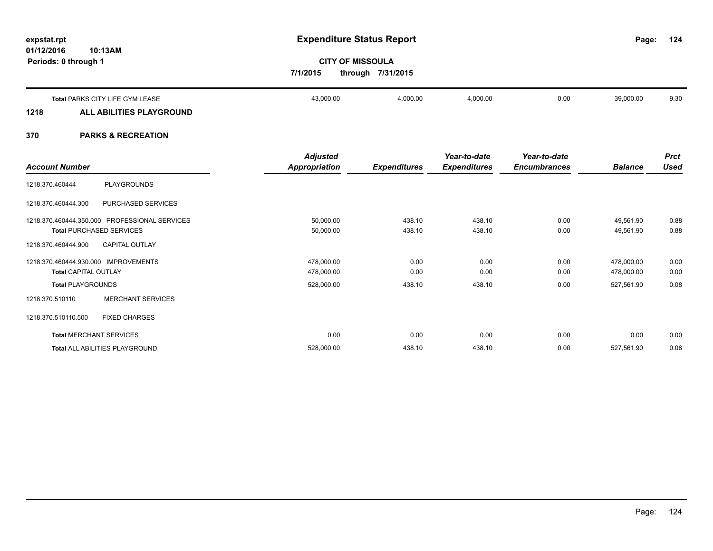**01/12/2016**

# **10:13AM**

**Periods: 0 through 1**

**124**

# **CITY OF MISSOULA 7/1/2015 through 7/31/2015**

|      | Total PARKS CITY LIFE GYM LEASE | 43,000.00 | 4,000.00 | 4,000.00 | 0.00 | 39,000.00 | 9.30 |
|------|---------------------------------|-----------|----------|----------|------|-----------|------|
| 1218 | ALL ABILITIES PLAYGROUND        |           |          |          |      |           |      |
|      |                                 |           |          |          |      |           |      |

| <b>Account Number</b>                                                            | <b>Adjusted</b><br><b>Appropriation</b> | <b>Expenditures</b> | Year-to-date<br><b>Expenditures</b> | Year-to-date<br><b>Encumbrances</b> | <b>Balance</b>           | <b>Prct</b><br><b>Used</b> |
|----------------------------------------------------------------------------------|-----------------------------------------|---------------------|-------------------------------------|-------------------------------------|--------------------------|----------------------------|
| <b>PLAYGROUNDS</b><br>1218.370.460444                                            |                                         |                     |                                     |                                     |                          |                            |
| PURCHASED SERVICES<br>1218.370.460444.300                                        |                                         |                     |                                     |                                     |                          |                            |
| 1218.370.460444.350.000 PROFESSIONAL SERVICES<br><b>Total PURCHASED SERVICES</b> | 50,000.00<br>50,000.00                  | 438.10<br>438.10    | 438.10<br>438.10                    | 0.00<br>0.00                        | 49,561.90<br>49,561.90   | 0.88<br>0.88               |
| <b>CAPITAL OUTLAY</b><br>1218.370.460444.900                                     |                                         |                     |                                     |                                     |                          |                            |
| 1218.370.460444.930.000 IMPROVEMENTS<br><b>Total CAPITAL OUTLAY</b>              | 478,000.00<br>478,000.00                | 0.00<br>0.00        | 0.00<br>0.00                        | 0.00<br>0.00                        | 478,000.00<br>478,000.00 | 0.00<br>0.00               |
| <b>Total PLAYGROUNDS</b>                                                         | 528,000.00                              | 438.10              | 438.10                              | 0.00                                | 527,561.90               | 0.08                       |
| <b>MERCHANT SERVICES</b><br>1218.370.510110                                      |                                         |                     |                                     |                                     |                          |                            |
| <b>FIXED CHARGES</b><br>1218.370.510110.500                                      |                                         |                     |                                     |                                     |                          |                            |
| <b>Total MERCHANT SERVICES</b>                                                   | 0.00                                    | 0.00                | 0.00                                | 0.00                                | 0.00                     | 0.00                       |
| Total ALL ABILITIES PLAYGROUND                                                   | 528,000.00                              | 438.10              | 438.10                              | 0.00                                | 527,561.90               | 0.08                       |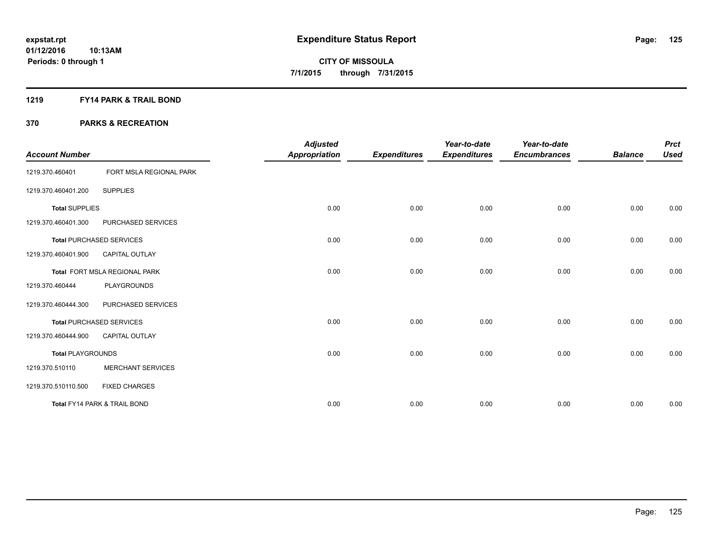#### **1219 FY14 PARK & TRAIL BOND**

| <b>Account Number</b>    |                                 | <b>Adjusted</b><br><b>Appropriation</b> | <b>Expenditures</b> | Year-to-date<br><b>Expenditures</b> | Year-to-date<br><b>Encumbrances</b> | <b>Balance</b> | <b>Prct</b><br><b>Used</b> |
|--------------------------|---------------------------------|-----------------------------------------|---------------------|-------------------------------------|-------------------------------------|----------------|----------------------------|
| 1219.370.460401          | FORT MSLA REGIONAL PARK         |                                         |                     |                                     |                                     |                |                            |
| 1219.370.460401.200      | <b>SUPPLIES</b>                 |                                         |                     |                                     |                                     |                |                            |
| <b>Total SUPPLIES</b>    |                                 | 0.00                                    | 0.00                | 0.00                                | 0.00                                | 0.00           | 0.00                       |
| 1219.370.460401.300      | PURCHASED SERVICES              |                                         |                     |                                     |                                     |                |                            |
|                          | <b>Total PURCHASED SERVICES</b> | 0.00                                    | 0.00                | 0.00                                | 0.00                                | 0.00           | 0.00                       |
| 1219.370.460401.900      | CAPITAL OUTLAY                  |                                         |                     |                                     |                                     |                |                            |
|                          | Total FORT MSLA REGIONAL PARK   | 0.00                                    | 0.00                | 0.00                                | 0.00                                | 0.00           | 0.00                       |
| 1219.370.460444          | PLAYGROUNDS                     |                                         |                     |                                     |                                     |                |                            |
| 1219.370.460444.300      | PURCHASED SERVICES              |                                         |                     |                                     |                                     |                |                            |
|                          | <b>Total PURCHASED SERVICES</b> | 0.00                                    | 0.00                | 0.00                                | 0.00                                | 0.00           | 0.00                       |
| 1219.370.460444.900      | <b>CAPITAL OUTLAY</b>           |                                         |                     |                                     |                                     |                |                            |
| <b>Total PLAYGROUNDS</b> |                                 | 0.00                                    | 0.00                | 0.00                                | 0.00                                | 0.00           | 0.00                       |
| 1219.370.510110          | <b>MERCHANT SERVICES</b>        |                                         |                     |                                     |                                     |                |                            |
| 1219.370.510110.500      | <b>FIXED CHARGES</b>            |                                         |                     |                                     |                                     |                |                            |
|                          | Total FY14 PARK & TRAIL BOND    | 0.00                                    | 0.00                | 0.00                                | 0.00                                | 0.00           | 0.00                       |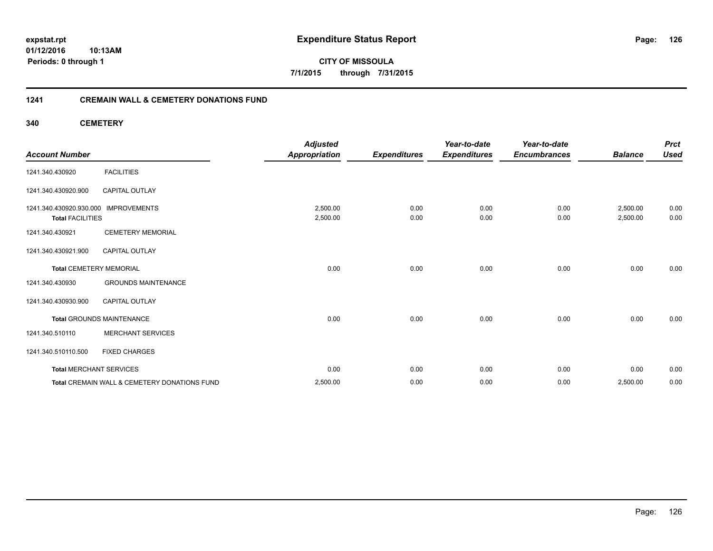**01/12/2016 10:13AM Periods: 0 through 1**

**CITY OF MISSOULA 7/1/2015 through 7/31/2015**

#### **1241 CREMAIN WALL & CEMETERY DONATIONS FUND**

**340 CEMETERY**

| <b>Account Number</b>                                           |                                              | <b>Adjusted</b><br><b>Appropriation</b> | <b>Expenditures</b> | Year-to-date<br><b>Expenditures</b> | Year-to-date<br><b>Encumbrances</b> | <b>Balance</b>       | <b>Prct</b><br><b>Used</b> |
|-----------------------------------------------------------------|----------------------------------------------|-----------------------------------------|---------------------|-------------------------------------|-------------------------------------|----------------------|----------------------------|
| 1241.340.430920                                                 | <b>FACILITIES</b>                            |                                         |                     |                                     |                                     |                      |                            |
| 1241.340.430920.900                                             | <b>CAPITAL OUTLAY</b>                        |                                         |                     |                                     |                                     |                      |                            |
| 1241.340.430920.930.000 IMPROVEMENTS<br><b>Total FACILITIES</b> |                                              | 2,500.00<br>2,500.00                    | 0.00<br>0.00        | 0.00<br>0.00                        | 0.00<br>0.00                        | 2,500.00<br>2,500.00 | 0.00<br>0.00               |
| 1241.340.430921                                                 | <b>CEMETERY MEMORIAL</b>                     |                                         |                     |                                     |                                     |                      |                            |
| 1241.340.430921.900                                             | <b>CAPITAL OUTLAY</b>                        |                                         |                     |                                     |                                     |                      |                            |
| <b>Total CEMETERY MEMORIAL</b>                                  |                                              | 0.00                                    | 0.00                | 0.00                                | 0.00                                | 0.00                 | 0.00                       |
| 1241.340.430930                                                 | <b>GROUNDS MAINTENANCE</b>                   |                                         |                     |                                     |                                     |                      |                            |
| 1241.340.430930.900                                             | <b>CAPITAL OUTLAY</b>                        |                                         |                     |                                     |                                     |                      |                            |
|                                                                 | <b>Total GROUNDS MAINTENANCE</b>             | 0.00                                    | 0.00                | 0.00                                | 0.00                                | 0.00                 | 0.00                       |
| 1241.340.510110                                                 | <b>MERCHANT SERVICES</b>                     |                                         |                     |                                     |                                     |                      |                            |
| 1241.340.510110.500                                             | <b>FIXED CHARGES</b>                         |                                         |                     |                                     |                                     |                      |                            |
| <b>Total MERCHANT SERVICES</b>                                  |                                              | 0.00                                    | 0.00                | 0.00                                | 0.00                                | 0.00                 | 0.00                       |
|                                                                 | Total CREMAIN WALL & CEMETERY DONATIONS FUND | 2,500.00                                | 0.00                | 0.00                                | 0.00                                | 2,500.00             | 0.00                       |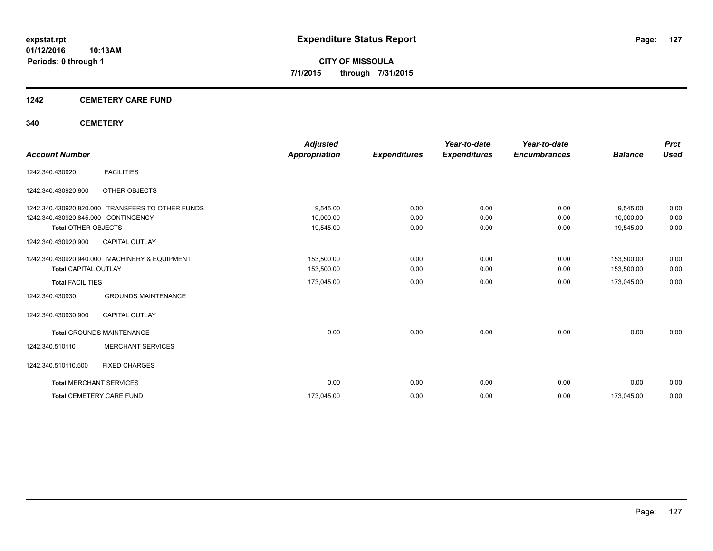#### **1242 CEMETERY CARE FUND**

#### **340 CEMETERY**

|                                     |                                                  | <b>Adjusted</b>      |                     | Year-to-date        | Year-to-date        |                | <b>Prct</b> |
|-------------------------------------|--------------------------------------------------|----------------------|---------------------|---------------------|---------------------|----------------|-------------|
| <b>Account Number</b>               |                                                  | <b>Appropriation</b> | <b>Expenditures</b> | <b>Expenditures</b> | <b>Encumbrances</b> | <b>Balance</b> | <b>Used</b> |
| 1242.340.430920                     | <b>FACILITIES</b>                                |                      |                     |                     |                     |                |             |
| 1242.340.430920.800                 | OTHER OBJECTS                                    |                      |                     |                     |                     |                |             |
|                                     | 1242.340.430920.820.000 TRANSFERS TO OTHER FUNDS | 9,545.00             | 0.00                | 0.00                | 0.00                | 9,545.00       | 0.00        |
| 1242.340.430920.845.000 CONTINGENCY |                                                  | 10,000.00            | 0.00                | 0.00                | 0.00                | 10,000.00      | 0.00        |
| <b>Total OTHER OBJECTS</b>          |                                                  | 19,545.00            | 0.00                | 0.00                | 0.00                | 19,545.00      | 0.00        |
| 1242.340.430920.900                 | <b>CAPITAL OUTLAY</b>                            |                      |                     |                     |                     |                |             |
|                                     | 1242.340.430920.940.000 MACHINERY & EQUIPMENT    | 153,500.00           | 0.00                | 0.00                | 0.00                | 153,500.00     | 0.00        |
| <b>Total CAPITAL OUTLAY</b>         |                                                  | 153,500.00           | 0.00                | 0.00                | 0.00                | 153,500.00     | 0.00        |
| <b>Total FACILITIES</b>             |                                                  | 173,045.00           | 0.00                | 0.00                | 0.00                | 173,045.00     | 0.00        |
| 1242.340.430930                     | <b>GROUNDS MAINTENANCE</b>                       |                      |                     |                     |                     |                |             |
| 1242.340.430930.900                 | <b>CAPITAL OUTLAY</b>                            |                      |                     |                     |                     |                |             |
|                                     | <b>Total GROUNDS MAINTENANCE</b>                 | 0.00                 | 0.00                | 0.00                | 0.00                | 0.00           | 0.00        |
| 1242.340.510110                     | <b>MERCHANT SERVICES</b>                         |                      |                     |                     |                     |                |             |
| 1242.340.510110.500                 | <b>FIXED CHARGES</b>                             |                      |                     |                     |                     |                |             |
|                                     | <b>Total MERCHANT SERVICES</b>                   | 0.00                 | 0.00                | 0.00                | 0.00                | 0.00           | 0.00        |
|                                     | <b>Total CEMETERY CARE FUND</b>                  | 173,045.00           | 0.00                | 0.00                | 0.00                | 173,045.00     | 0.00        |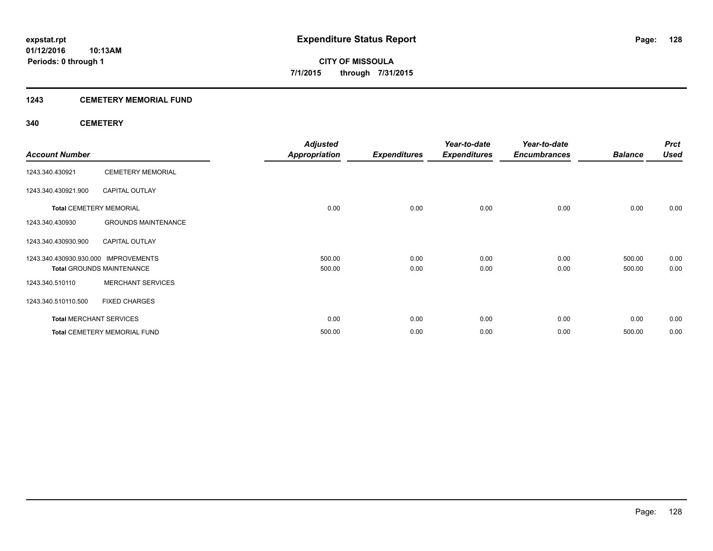#### **1243 CEMETERY MEMORIAL FUND**

#### **340 CEMETERY**

|                                      |                                     | <b>Adjusted</b>      |                     | Year-to-date        | Year-to-date        |                | <b>Prct</b> |
|--------------------------------------|-------------------------------------|----------------------|---------------------|---------------------|---------------------|----------------|-------------|
| <b>Account Number</b>                |                                     | <b>Appropriation</b> | <b>Expenditures</b> | <b>Expenditures</b> | <b>Encumbrances</b> | <b>Balance</b> | <b>Used</b> |
| 1243.340.430921                      | <b>CEMETERY MEMORIAL</b>            |                      |                     |                     |                     |                |             |
| 1243.340.430921.900                  | <b>CAPITAL OUTLAY</b>               |                      |                     |                     |                     |                |             |
|                                      | <b>Total CEMETERY MEMORIAL</b>      | 0.00                 | 0.00                | 0.00                | 0.00                | 0.00           | 0.00        |
| 1243.340.430930                      | <b>GROUNDS MAINTENANCE</b>          |                      |                     |                     |                     |                |             |
| 1243.340.430930.900                  | <b>CAPITAL OUTLAY</b>               |                      |                     |                     |                     |                |             |
| 1243.340.430930.930.000 IMPROVEMENTS |                                     | 500.00               | 0.00                | 0.00                | 0.00                | 500.00         | 0.00        |
|                                      | <b>Total GROUNDS MAINTENANCE</b>    | 500.00               | 0.00                | 0.00                | 0.00                | 500.00         | 0.00        |
| 1243.340.510110                      | <b>MERCHANT SERVICES</b>            |                      |                     |                     |                     |                |             |
| 1243.340.510110.500                  | <b>FIXED CHARGES</b>                |                      |                     |                     |                     |                |             |
|                                      | <b>Total MERCHANT SERVICES</b>      | 0.00                 | 0.00                | 0.00                | 0.00                | 0.00           | 0.00        |
|                                      | <b>Total CEMETERY MEMORIAL FUND</b> | 500.00               | 0.00                | 0.00                | 0.00                | 500.00         | 0.00        |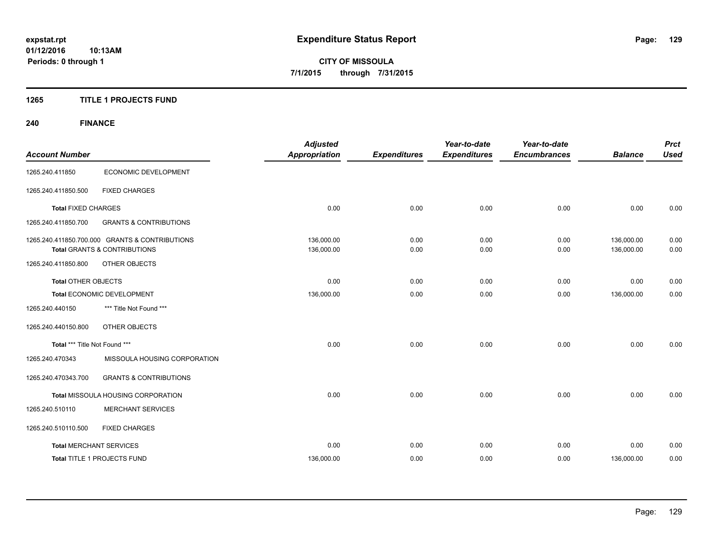#### **1265 TITLE 1 PROJECTS FUND**

### **240 FINANCE**

| <b>Account Number</b>          |                                                                                           | <b>Adjusted</b><br><b>Appropriation</b> | <b>Expenditures</b> | Year-to-date<br><b>Expenditures</b> | Year-to-date<br><b>Encumbrances</b> | <b>Balance</b>           | <b>Prct</b><br><b>Used</b> |
|--------------------------------|-------------------------------------------------------------------------------------------|-----------------------------------------|---------------------|-------------------------------------|-------------------------------------|--------------------------|----------------------------|
| 1265.240.411850                | ECONOMIC DEVELOPMENT                                                                      |                                         |                     |                                     |                                     |                          |                            |
| 1265.240.411850.500            | <b>FIXED CHARGES</b>                                                                      |                                         |                     |                                     |                                     |                          |                            |
| <b>Total FIXED CHARGES</b>     |                                                                                           | 0.00                                    | 0.00                | 0.00                                | 0.00                                | 0.00                     | 0.00                       |
| 1265.240.411850.700            | <b>GRANTS &amp; CONTRIBUTIONS</b>                                                         |                                         |                     |                                     |                                     |                          |                            |
|                                | 1265.240.411850.700.000 GRANTS & CONTRIBUTIONS<br><b>Total GRANTS &amp; CONTRIBUTIONS</b> | 136,000.00<br>136,000.00                | 0.00<br>0.00        | 0.00<br>0.00                        | 0.00<br>0.00                        | 136,000.00<br>136,000.00 | 0.00<br>0.00               |
| 1265.240.411850.800            | OTHER OBJECTS                                                                             |                                         |                     |                                     |                                     |                          |                            |
| Total OTHER OBJECTS            |                                                                                           | 0.00                                    | 0.00                | 0.00                                | 0.00                                | 0.00                     | 0.00                       |
|                                | Total ECONOMIC DEVELOPMENT                                                                |                                         | 0.00                | 0.00                                | 0.00                                | 136,000.00               | 0.00                       |
| 1265.240.440150                | *** Title Not Found ***                                                                   |                                         |                     |                                     |                                     |                          |                            |
| 1265.240.440150.800            | OTHER OBJECTS                                                                             |                                         |                     |                                     |                                     |                          |                            |
| Total *** Title Not Found ***  |                                                                                           | 0.00                                    | 0.00                | 0.00                                | 0.00                                | 0.00                     | 0.00                       |
| 1265.240.470343                | MISSOULA HOUSING CORPORATION                                                              |                                         |                     |                                     |                                     |                          |                            |
| 1265.240.470343.700            | <b>GRANTS &amp; CONTRIBUTIONS</b>                                                         |                                         |                     |                                     |                                     |                          |                            |
|                                | Total MISSOULA HOUSING CORPORATION                                                        | 0.00                                    | 0.00                | 0.00                                | 0.00                                | 0.00                     | 0.00                       |
| 1265.240.510110                | <b>MERCHANT SERVICES</b>                                                                  |                                         |                     |                                     |                                     |                          |                            |
| 1265.240.510110.500            | <b>FIXED CHARGES</b>                                                                      |                                         |                     |                                     |                                     |                          |                            |
| <b>Total MERCHANT SERVICES</b> |                                                                                           | 0.00                                    | 0.00                | 0.00                                | 0.00                                | 0.00                     | 0.00                       |
|                                | Total TITLE 1 PROJECTS FUND                                                               | 136,000.00                              | 0.00                | 0.00                                | 0.00                                | 136,000.00               | 0.00                       |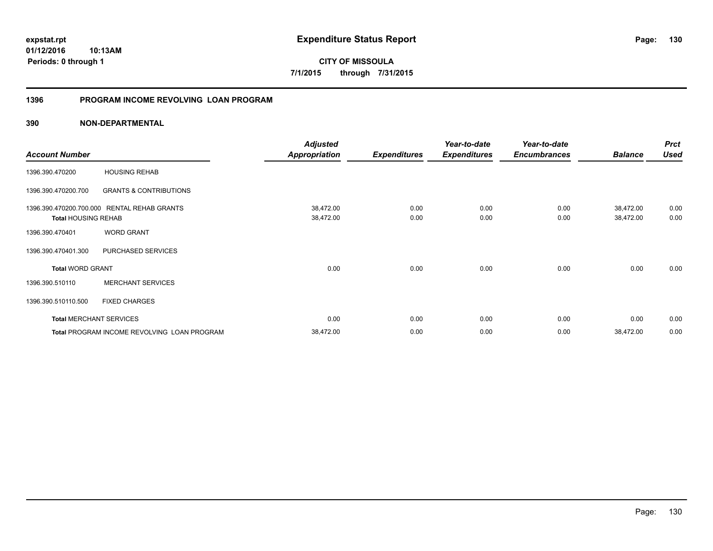**01/12/2016 10:13AM Periods: 0 through 1**

**CITY OF MISSOULA 7/1/2015 through 7/31/2015**

#### **1396 PROGRAM INCOME REVOLVING LOAN PROGRAM**

|                                |                                             | <b>Adjusted</b>      |                     | Year-to-date        | Year-to-date        |                | <b>Prct</b> |
|--------------------------------|---------------------------------------------|----------------------|---------------------|---------------------|---------------------|----------------|-------------|
| <b>Account Number</b>          |                                             | <b>Appropriation</b> | <b>Expenditures</b> | <b>Expenditures</b> | <b>Encumbrances</b> | <b>Balance</b> | <b>Used</b> |
| 1396.390.470200                | <b>HOUSING REHAB</b>                        |                      |                     |                     |                     |                |             |
| 1396.390.470200.700            | <b>GRANTS &amp; CONTRIBUTIONS</b>           |                      |                     |                     |                     |                |             |
| 1396.390.470200.700.000        | <b>RENTAL REHAB GRANTS</b>                  | 38,472.00            | 0.00                | 0.00                | 0.00                | 38,472.00      | 0.00        |
| <b>Total HOUSING REHAB</b>     |                                             | 38,472.00            | 0.00                | 0.00                | 0.00                | 38,472.00      | 0.00        |
| 1396.390.470401                | <b>WORD GRANT</b>                           |                      |                     |                     |                     |                |             |
| 1396.390.470401.300            | PURCHASED SERVICES                          |                      |                     |                     |                     |                |             |
| <b>Total WORD GRANT</b>        |                                             | 0.00                 | 0.00                | 0.00                | 0.00                | 0.00           | 0.00        |
| 1396.390.510110                | <b>MERCHANT SERVICES</b>                    |                      |                     |                     |                     |                |             |
| 1396.390.510110.500            | <b>FIXED CHARGES</b>                        |                      |                     |                     |                     |                |             |
| <b>Total MERCHANT SERVICES</b> |                                             | 0.00                 | 0.00                | 0.00                | 0.00                | 0.00           | 0.00        |
|                                | Total PROGRAM INCOME REVOLVING LOAN PROGRAM | 38,472.00            | 0.00                | 0.00                | 0.00                | 38,472.00      | 0.00        |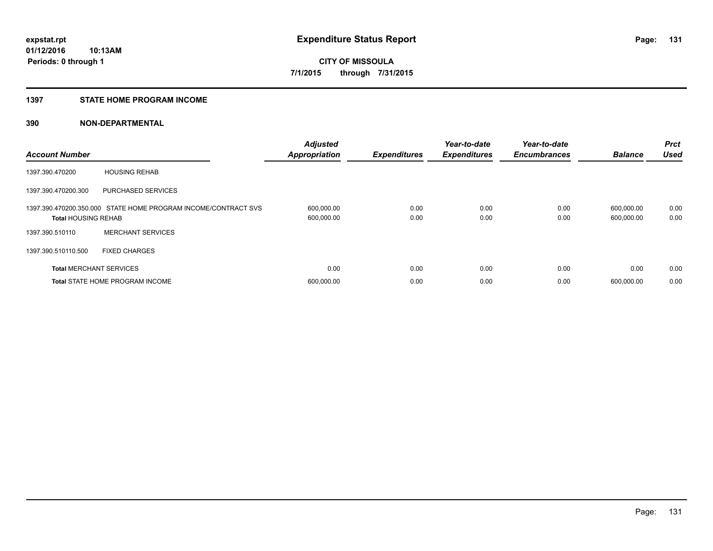#### **1397 STATE HOME PROGRAM INCOME**

| <b>Account Number</b>          |                                                                | <b>Adjusted</b><br><b>Appropriation</b> | <b>Expenditures</b> | Year-to-date<br><b>Expenditures</b> | Year-to-date<br><b>Encumbrances</b> | <b>Balance</b>           | <b>Prct</b><br><b>Used</b> |
|--------------------------------|----------------------------------------------------------------|-----------------------------------------|---------------------|-------------------------------------|-------------------------------------|--------------------------|----------------------------|
| 1397.390.470200                | <b>HOUSING REHAB</b>                                           |                                         |                     |                                     |                                     |                          |                            |
| 1397.390.470200.300            | <b>PURCHASED SERVICES</b>                                      |                                         |                     |                                     |                                     |                          |                            |
| <b>Total HOUSING REHAB</b>     | 1397.390.470200.350.000 STATE HOME PROGRAM INCOME/CONTRACT SVS | 600,000.00<br>600,000.00                | 0.00<br>0.00        | 0.00<br>0.00                        | 0.00<br>0.00                        | 600,000.00<br>600,000.00 | 0.00<br>0.00               |
| 1397.390.510110                | <b>MERCHANT SERVICES</b>                                       |                                         |                     |                                     |                                     |                          |                            |
| 1397.390.510110.500            | <b>FIXED CHARGES</b>                                           |                                         |                     |                                     |                                     |                          |                            |
| <b>Total MERCHANT SERVICES</b> |                                                                | 0.00                                    | 0.00                | 0.00                                | 0.00                                | 0.00                     | 0.00                       |
|                                | <b>Total STATE HOME PROGRAM INCOME</b>                         | 600,000.00                              | 0.00                | 0.00                                | 0.00                                | 600.000.00               | 0.00                       |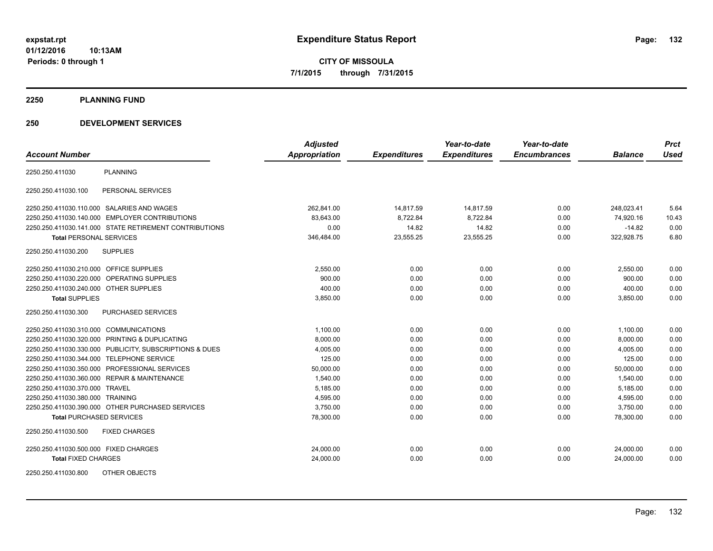**2250 PLANNING FUND**

#### **250 DEVELOPMENT SERVICES**

| <b>Account Number</b>                   |                                                         | <b>Adjusted</b><br>Appropriation | <b>Expenditures</b> | Year-to-date<br><b>Expenditures</b> | Year-to-date<br><b>Encumbrances</b> | <b>Balance</b> | <b>Prct</b><br><b>Used</b> |
|-----------------------------------------|---------------------------------------------------------|----------------------------------|---------------------|-------------------------------------|-------------------------------------|----------------|----------------------------|
|                                         |                                                         |                                  |                     |                                     |                                     |                |                            |
| 2250.250.411030                         | <b>PLANNING</b>                                         |                                  |                     |                                     |                                     |                |                            |
| 2250.250.411030.100                     | PERSONAL SERVICES                                       |                                  |                     |                                     |                                     |                |                            |
|                                         | 2250.250.411030.110.000 SALARIES AND WAGES              | 262,841.00                       | 14,817.59           | 14,817.59                           | 0.00                                | 248,023.41     | 5.64                       |
|                                         | 2250.250.411030.140.000 EMPLOYER CONTRIBUTIONS          | 83,643.00                        | 8,722.84            | 8,722.84                            | 0.00                                | 74,920.16      | 10.43                      |
|                                         | 2250.250.411030.141.000 STATE RETIREMENT CONTRIBUTIONS  | 0.00                             | 14.82               | 14.82                               | 0.00                                | $-14.82$       | 0.00                       |
| <b>Total PERSONAL SERVICES</b>          |                                                         | 346,484.00                       | 23,555.25           | 23,555.25                           | 0.00                                | 322,928.75     | 6.80                       |
| 2250.250.411030.200                     | <b>SUPPLIES</b>                                         |                                  |                     |                                     |                                     |                |                            |
| 2250.250.411030.210.000 OFFICE SUPPLIES |                                                         | 2,550.00                         | 0.00                | 0.00                                | 0.00                                | 2,550.00       | 0.00                       |
|                                         | 2250.250.411030.220.000 OPERATING SUPPLIES              | 900.00                           | 0.00                | 0.00                                | 0.00                                | 900.00         | 0.00                       |
| 2250.250.411030.240.000 OTHER SUPPLIES  |                                                         | 400.00                           | 0.00                | 0.00                                | 0.00                                | 400.00         | 0.00                       |
| <b>Total SUPPLIES</b>                   |                                                         | 3,850.00                         | 0.00                | 0.00                                | 0.00                                | 3,850.00       | 0.00                       |
| 2250.250.411030.300                     | <b>PURCHASED SERVICES</b>                               |                                  |                     |                                     |                                     |                |                            |
| 2250.250.411030.310.000 COMMUNICATIONS  |                                                         | 1,100.00                         | 0.00                | 0.00                                | 0.00                                | 1,100.00       | 0.00                       |
|                                         | 2250.250.411030.320.000 PRINTING & DUPLICATING          | 8,000.00                         | 0.00                | 0.00                                | 0.00                                | 8,000.00       | 0.00                       |
|                                         | 2250.250.411030.330.000 PUBLICITY, SUBSCRIPTIONS & DUES | 4,005.00                         | 0.00                | 0.00                                | 0.00                                | 4,005.00       | 0.00                       |
|                                         | 2250.250.411030.344.000 TELEPHONE SERVICE               | 125.00                           | 0.00                | 0.00                                | 0.00                                | 125.00         | 0.00                       |
|                                         | 2250.250.411030.350.000 PROFESSIONAL SERVICES           | 50,000.00                        | 0.00                | 0.00                                | 0.00                                | 50.000.00      | 0.00                       |
|                                         | 2250.250.411030.360.000 REPAIR & MAINTENANCE            | 1,540.00                         | 0.00                | 0.00                                | 0.00                                | 1,540.00       | 0.00                       |
| 2250.250.411030.370.000 TRAVEL          |                                                         | 5,185.00                         | 0.00                | 0.00                                | 0.00                                | 5,185.00       | 0.00                       |
| 2250.250.411030.380.000 TRAINING        |                                                         | 4,595.00                         | 0.00                | 0.00                                | 0.00                                | 4,595.00       | 0.00                       |
|                                         | 2250.250.411030.390.000 OTHER PURCHASED SERVICES        | 3,750.00                         | 0.00                | 0.00                                | 0.00                                | 3,750.00       | 0.00                       |
| <b>Total PURCHASED SERVICES</b>         |                                                         | 78,300.00                        | 0.00                | 0.00                                | 0.00                                | 78,300.00      | 0.00                       |
| 2250.250.411030.500                     | <b>FIXED CHARGES</b>                                    |                                  |                     |                                     |                                     |                |                            |
| 2250.250.411030.500.000 FIXED CHARGES   |                                                         | 24,000.00                        | 0.00                | 0.00                                | 0.00                                | 24,000.00      | 0.00                       |
| <b>Total FIXED CHARGES</b>              |                                                         | 24,000.00                        | 0.00                | 0.00                                | 0.00                                | 24,000.00      | 0.00                       |
| 2250.250.411030.800                     | OTHER OBJECTS                                           |                                  |                     |                                     |                                     |                |                            |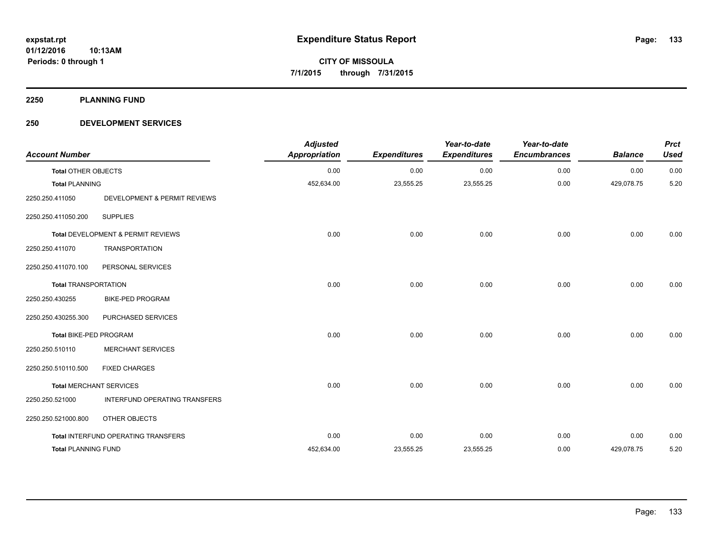**2250 PLANNING FUND**

#### **250 DEVELOPMENT SERVICES**

| <b>Account Number</b>         |                                     | <b>Adjusted</b><br>Appropriation | <b>Expenditures</b> | Year-to-date<br><b>Expenditures</b> | Year-to-date<br><b>Encumbrances</b> | <b>Balance</b> | <b>Prct</b><br><b>Used</b> |
|-------------------------------|-------------------------------------|----------------------------------|---------------------|-------------------------------------|-------------------------------------|----------------|----------------------------|
| <b>Total OTHER OBJECTS</b>    |                                     | 0.00                             | 0.00                | 0.00                                | 0.00                                | 0.00           | 0.00                       |
| <b>Total PLANNING</b>         |                                     | 452,634.00                       | 23,555.25           | 23,555.25                           | 0.00                                | 429,078.75     | 5.20                       |
| 2250.250.411050               | DEVELOPMENT & PERMIT REVIEWS        |                                  |                     |                                     |                                     |                |                            |
| 2250.250.411050.200           | <b>SUPPLIES</b>                     |                                  |                     |                                     |                                     |                |                            |
|                               | Total DEVELOPMENT & PERMIT REVIEWS  | 0.00                             | 0.00                | 0.00                                | 0.00                                | 0.00           | 0.00                       |
| 2250.250.411070               | <b>TRANSPORTATION</b>               |                                  |                     |                                     |                                     |                |                            |
| 2250.250.411070.100           | PERSONAL SERVICES                   |                                  |                     |                                     |                                     |                |                            |
| <b>Total TRANSPORTATION</b>   |                                     | 0.00                             | 0.00                | 0.00                                | 0.00                                | 0.00           | 0.00                       |
| 2250.250.430255               | <b>BIKE-PED PROGRAM</b>             |                                  |                     |                                     |                                     |                |                            |
| 2250.250.430255.300           | PURCHASED SERVICES                  |                                  |                     |                                     |                                     |                |                            |
| <b>Total BIKE-PED PROGRAM</b> |                                     | 0.00                             | 0.00                | 0.00                                | 0.00                                | 0.00           | 0.00                       |
| 2250.250.510110               | <b>MERCHANT SERVICES</b>            |                                  |                     |                                     |                                     |                |                            |
| 2250.250.510110.500           | <b>FIXED CHARGES</b>                |                                  |                     |                                     |                                     |                |                            |
|                               | <b>Total MERCHANT SERVICES</b>      | 0.00                             | 0.00                | 0.00                                | 0.00                                | 0.00           | 0.00                       |
| 2250.250.521000               | INTERFUND OPERATING TRANSFERS       |                                  |                     |                                     |                                     |                |                            |
| 2250.250.521000.800           | OTHER OBJECTS                       |                                  |                     |                                     |                                     |                |                            |
|                               | Total INTERFUND OPERATING TRANSFERS | 0.00                             | 0.00                | 0.00                                | 0.00                                | 0.00           | 0.00                       |
| <b>Total PLANNING FUND</b>    |                                     | 452,634.00                       | 23,555.25           | 23,555.25                           | 0.00                                | 429,078.75     | 5.20                       |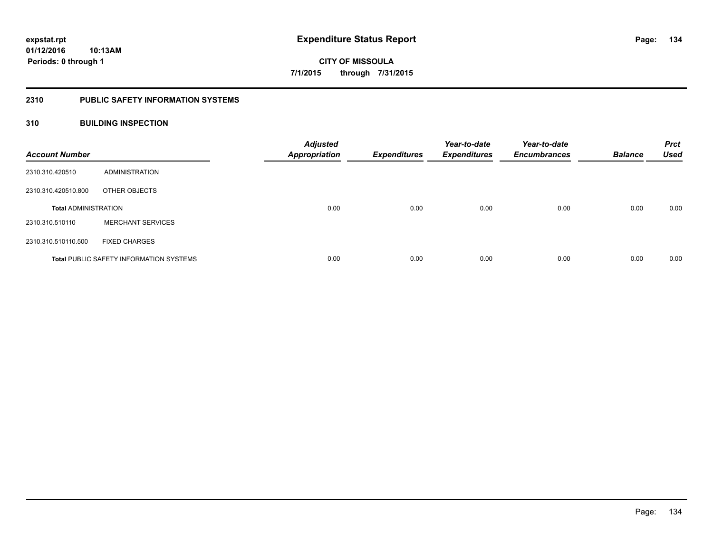#### **2310 PUBLIC SAFETY INFORMATION SYSTEMS**

#### **310 BUILDING INSPECTION**

| <b>Account Number</b>       |                                                | <b>Adjusted</b><br><b>Appropriation</b> | <b>Expenditures</b> | Year-to-date<br><b>Expenditures</b> | Year-to-date<br><b>Encumbrances</b> | <b>Balance</b> | <b>Prct</b><br><b>Used</b> |
|-----------------------------|------------------------------------------------|-----------------------------------------|---------------------|-------------------------------------|-------------------------------------|----------------|----------------------------|
| 2310.310.420510             | ADMINISTRATION                                 |                                         |                     |                                     |                                     |                |                            |
| 2310.310.420510.800         | OTHER OBJECTS                                  |                                         |                     |                                     |                                     |                |                            |
| <b>Total ADMINISTRATION</b> |                                                | 0.00                                    | 0.00                | 0.00                                | 0.00                                | 0.00           | 0.00                       |
| 2310.310.510110             | <b>MERCHANT SERVICES</b>                       |                                         |                     |                                     |                                     |                |                            |
| 2310.310.510110.500         | <b>FIXED CHARGES</b>                           |                                         |                     |                                     |                                     |                |                            |
|                             | <b>Total PUBLIC SAFETY INFORMATION SYSTEMS</b> | 0.00                                    | 0.00                | 0.00                                | 0.00                                | 0.00           | 0.00                       |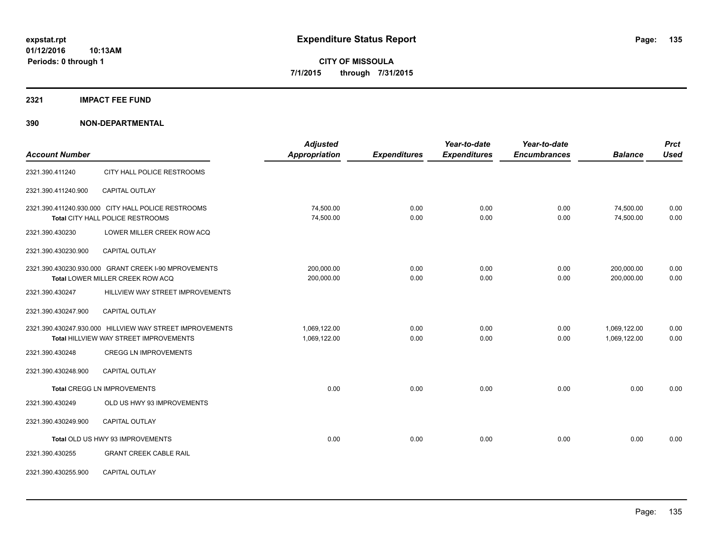#### **2321 IMPACT FEE FUND**

| <b>Account Number</b> |                                                                                                    | <b>Adjusted</b><br><b>Appropriation</b> | <b>Expenditures</b> | Year-to-date<br><b>Expenditures</b> | Year-to-date<br><b>Encumbrances</b> | <b>Balance</b>               | <b>Prct</b><br><b>Used</b> |
|-----------------------|----------------------------------------------------------------------------------------------------|-----------------------------------------|---------------------|-------------------------------------|-------------------------------------|------------------------------|----------------------------|
| 2321.390.411240       | CITY HALL POLICE RESTROOMS                                                                         |                                         |                     |                                     |                                     |                              |                            |
| 2321.390.411240.900   | <b>CAPITAL OUTLAY</b>                                                                              |                                         |                     |                                     |                                     |                              |                            |
|                       | 2321.390.411240.930.000 CITY HALL POLICE RESTROOMS<br><b>Total CITY HALL POLICE RESTROOMS</b>      | 74,500.00<br>74,500.00                  | 0.00<br>0.00        | 0.00<br>0.00                        | 0.00<br>0.00                        | 74,500.00<br>74,500.00       | 0.00<br>0.00               |
| 2321.390.430230       | LOWER MILLER CREEK ROW ACQ                                                                         |                                         |                     |                                     |                                     |                              |                            |
| 2321.390.430230.900   | <b>CAPITAL OUTLAY</b>                                                                              |                                         |                     |                                     |                                     |                              |                            |
|                       | 2321.390.430230.930.000 GRANT CREEK I-90 MPROVEMENTS<br>Total LOWER MILLER CREEK ROW ACQ           | 200,000.00<br>200,000.00                | 0.00<br>0.00        | 0.00<br>0.00                        | 0.00<br>0.00                        | 200,000.00<br>200,000.00     | 0.00<br>0.00               |
| 2321.390.430247       | HILLVIEW WAY STREET IMPROVEMENTS                                                                   |                                         |                     |                                     |                                     |                              |                            |
| 2321.390.430247.900   | <b>CAPITAL OUTLAY</b>                                                                              |                                         |                     |                                     |                                     |                              |                            |
|                       | 2321.390.430247.930.000 HILLVIEW WAY STREET IMPROVEMENTS<br>Total HILLVIEW WAY STREET IMPROVEMENTS | 1,069,122.00<br>1,069,122.00            | 0.00<br>0.00        | 0.00<br>0.00                        | 0.00<br>0.00                        | 1,069,122.00<br>1,069,122.00 | 0.00<br>0.00               |
| 2321.390.430248       | <b>CREGG LN IMPROVEMENTS</b>                                                                       |                                         |                     |                                     |                                     |                              |                            |
| 2321.390.430248.900   | <b>CAPITAL OUTLAY</b>                                                                              |                                         |                     |                                     |                                     |                              |                            |
|                       | <b>Total CREGG LN IMPROVEMENTS</b>                                                                 | 0.00                                    | 0.00                | 0.00                                | 0.00                                | 0.00                         | 0.00                       |
| 2321.390.430249       | OLD US HWY 93 IMPROVEMENTS                                                                         |                                         |                     |                                     |                                     |                              |                            |
| 2321.390.430249.900   | CAPITAL OUTLAY                                                                                     |                                         |                     |                                     |                                     |                              |                            |
|                       | Total OLD US HWY 93 IMPROVEMENTS                                                                   | 0.00                                    | 0.00                | 0.00                                | 0.00                                | 0.00                         | 0.00                       |
| 2321.390.430255       | <b>GRANT CREEK CABLE RAIL</b>                                                                      |                                         |                     |                                     |                                     |                              |                            |
| 2321.390.430255.900   | <b>CAPITAL OUTLAY</b>                                                                              |                                         |                     |                                     |                                     |                              |                            |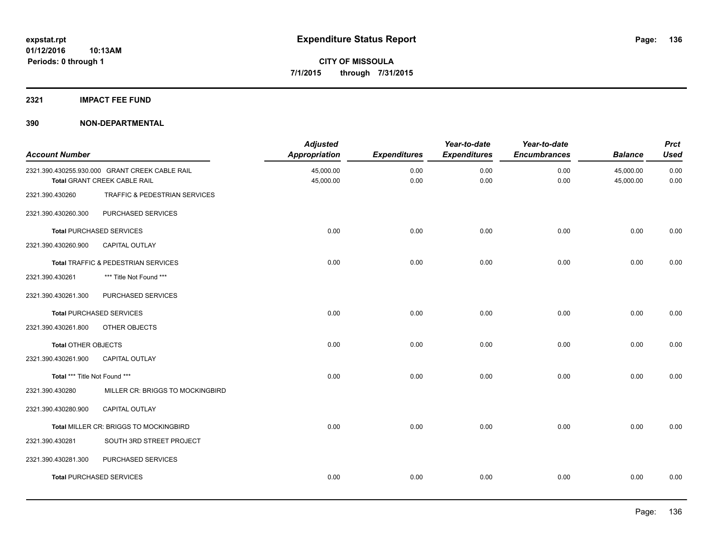#### **2321 IMPACT FEE FUND**

| <b>Account Number</b>         |                                                                                       | <b>Adjusted</b><br><b>Appropriation</b> | <b>Expenditures</b> | Year-to-date<br><b>Expenditures</b> | Year-to-date<br><b>Encumbrances</b> | <b>Balance</b>         | <b>Prct</b><br><b>Used</b> |
|-------------------------------|---------------------------------------------------------------------------------------|-----------------------------------------|---------------------|-------------------------------------|-------------------------------------|------------------------|----------------------------|
|                               | 2321.390.430255.930.000 GRANT CREEK CABLE RAIL<br><b>Total GRANT CREEK CABLE RAIL</b> | 45,000.00<br>45,000.00                  | 0.00<br>0.00        | 0.00<br>0.00                        | 0.00<br>0.00                        | 45,000.00<br>45,000.00 | 0.00<br>0.00               |
| 2321.390.430260               | TRAFFIC & PEDESTRIAN SERVICES                                                         |                                         |                     |                                     |                                     |                        |                            |
| 2321.390.430260.300           | PURCHASED SERVICES                                                                    |                                         |                     |                                     |                                     |                        |                            |
|                               | <b>Total PURCHASED SERVICES</b>                                                       | 0.00                                    | 0.00                | 0.00                                | 0.00                                | 0.00                   | 0.00                       |
| 2321.390.430260.900           | CAPITAL OUTLAY                                                                        |                                         |                     |                                     |                                     |                        |                            |
|                               | Total TRAFFIC & PEDESTRIAN SERVICES                                                   | 0.00                                    | 0.00                | 0.00                                | 0.00                                | 0.00                   | 0.00                       |
| 2321.390.430261               | *** Title Not Found ***                                                               |                                         |                     |                                     |                                     |                        |                            |
| 2321.390.430261.300           | PURCHASED SERVICES                                                                    |                                         |                     |                                     |                                     |                        |                            |
|                               | <b>Total PURCHASED SERVICES</b>                                                       | 0.00                                    | 0.00                | 0.00                                | 0.00                                | 0.00                   | 0.00                       |
| 2321.390.430261.800           | OTHER OBJECTS                                                                         |                                         |                     |                                     |                                     |                        |                            |
| Total OTHER OBJECTS           |                                                                                       | 0.00                                    | 0.00                | 0.00                                | 0.00                                | 0.00                   | 0.00                       |
| 2321.390.430261.900           | CAPITAL OUTLAY                                                                        |                                         |                     |                                     |                                     |                        |                            |
| Total *** Title Not Found *** |                                                                                       | 0.00                                    | 0.00                | 0.00                                | 0.00                                | 0.00                   | 0.00                       |
| 2321.390.430280               | MILLER CR: BRIGGS TO MOCKINGBIRD                                                      |                                         |                     |                                     |                                     |                        |                            |
| 2321.390.430280.900           | CAPITAL OUTLAY                                                                        |                                         |                     |                                     |                                     |                        |                            |
|                               | <b>Total MILLER CR: BRIGGS TO MOCKINGBIRD</b>                                         | 0.00                                    | 0.00                | 0.00                                | 0.00                                | 0.00                   | 0.00                       |
| 2321.390.430281               | SOUTH 3RD STREET PROJECT                                                              |                                         |                     |                                     |                                     |                        |                            |
| 2321.390.430281.300           | PURCHASED SERVICES                                                                    |                                         |                     |                                     |                                     |                        |                            |
|                               | <b>Total PURCHASED SERVICES</b>                                                       | 0.00                                    | 0.00                | 0.00                                | 0.00                                | 0.00                   | 0.00                       |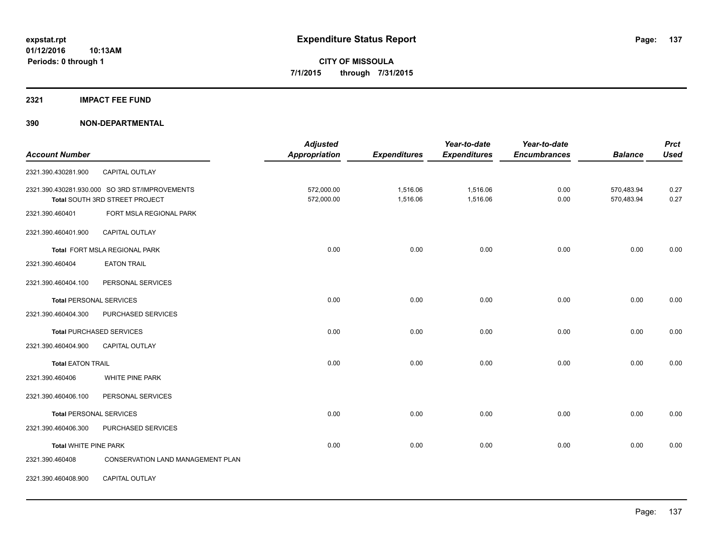#### **2321 IMPACT FEE FUND**

| <b>Account Number</b>          |                                                | <b>Adjusted</b><br><b>Appropriation</b> |                     | Year-to-date        | Year-to-date<br><b>Encumbrances</b> | <b>Balance</b> | <b>Prct</b><br><b>Used</b> |
|--------------------------------|------------------------------------------------|-----------------------------------------|---------------------|---------------------|-------------------------------------|----------------|----------------------------|
|                                |                                                |                                         | <b>Expenditures</b> | <b>Expenditures</b> |                                     |                |                            |
| 2321.390.430281.900            | CAPITAL OUTLAY                                 |                                         |                     |                     |                                     |                |                            |
|                                | 2321.390.430281.930.000 SO 3RD ST/IMPROVEMENTS | 572,000.00                              | 1,516.06            | 1,516.06            | 0.00                                | 570,483.94     | 0.27                       |
|                                | Total SOUTH 3RD STREET PROJECT                 | 572,000.00                              | 1,516.06            | 1,516.06            | 0.00                                | 570,483.94     | 0.27                       |
| 2321.390.460401                | FORT MSLA REGIONAL PARK                        |                                         |                     |                     |                                     |                |                            |
| 2321.390.460401.900            | CAPITAL OUTLAY                                 |                                         |                     |                     |                                     |                |                            |
|                                | Total FORT MSLA REGIONAL PARK                  | 0.00                                    | 0.00                | 0.00                | 0.00                                | 0.00           | 0.00                       |
| 2321.390.460404                | <b>EATON TRAIL</b>                             |                                         |                     |                     |                                     |                |                            |
| 2321.390.460404.100            | PERSONAL SERVICES                              |                                         |                     |                     |                                     |                |                            |
| <b>Total PERSONAL SERVICES</b> |                                                | 0.00                                    | 0.00                | 0.00                | 0.00                                | 0.00           | 0.00                       |
| 2321.390.460404.300            | PURCHASED SERVICES                             |                                         |                     |                     |                                     |                |                            |
|                                | <b>Total PURCHASED SERVICES</b>                | 0.00                                    | 0.00                | 0.00                | 0.00                                | 0.00           | 0.00                       |
| 2321.390.460404.900            | <b>CAPITAL OUTLAY</b>                          |                                         |                     |                     |                                     |                |                            |
| <b>Total EATON TRAIL</b>       |                                                | 0.00                                    | 0.00                | 0.00                | 0.00                                | 0.00           | 0.00                       |
| 2321.390.460406                | WHITE PINE PARK                                |                                         |                     |                     |                                     |                |                            |
| 2321.390.460406.100            | PERSONAL SERVICES                              |                                         |                     |                     |                                     |                |                            |
| <b>Total PERSONAL SERVICES</b> |                                                | 0.00                                    | 0.00                | 0.00                | 0.00                                | 0.00           | 0.00                       |
| 2321.390.460406.300            | PURCHASED SERVICES                             |                                         |                     |                     |                                     |                |                            |
| <b>Total WHITE PINE PARK</b>   |                                                | 0.00                                    | 0.00                | 0.00                | 0.00                                | 0.00           | 0.00                       |
| 2321.390.460408                | CONSERVATION LAND MANAGEMENT PLAN              |                                         |                     |                     |                                     |                |                            |
| 2321.390.460408.900            | CAPITAL OUTLAY                                 |                                         |                     |                     |                                     |                |                            |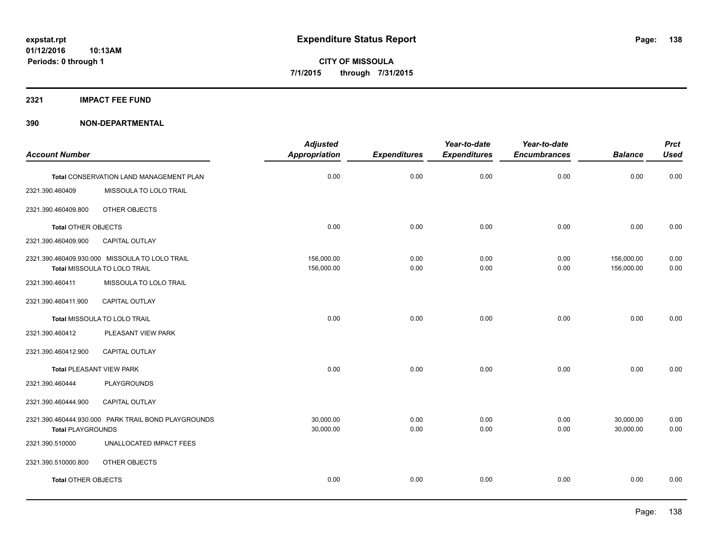**2321 IMPACT FEE FUND**

| <b>Account Number</b>           |                                                                                | <b>Adjusted</b><br><b>Appropriation</b> | <b>Expenditures</b> | Year-to-date<br><b>Expenditures</b> | Year-to-date<br><b>Encumbrances</b> | <b>Balance</b>           | <b>Prct</b><br><b>Used</b> |
|---------------------------------|--------------------------------------------------------------------------------|-----------------------------------------|---------------------|-------------------------------------|-------------------------------------|--------------------------|----------------------------|
|                                 | Total CONSERVATION LAND MANAGEMENT PLAN                                        | 0.00                                    | 0.00                | 0.00                                | 0.00                                | 0.00                     | 0.00                       |
| 2321.390.460409                 | MISSOULA TO LOLO TRAIL                                                         |                                         |                     |                                     |                                     |                          |                            |
| 2321.390.460409.800             | OTHER OBJECTS                                                                  |                                         |                     |                                     |                                     |                          |                            |
| <b>Total OTHER OBJECTS</b>      |                                                                                | 0.00                                    | 0.00                | 0.00                                | 0.00                                | 0.00                     | 0.00                       |
| 2321.390.460409.900             | CAPITAL OUTLAY                                                                 |                                         |                     |                                     |                                     |                          |                            |
|                                 | 2321.390.460409.930.000 MISSOULA TO LOLO TRAIL<br>Total MISSOULA TO LOLO TRAIL | 156,000.00<br>156,000.00                | 0.00<br>0.00        | 0.00<br>0.00                        | 0.00<br>0.00                        | 156,000.00<br>156,000.00 | 0.00<br>0.00               |
| 2321.390.460411                 | MISSOULA TO LOLO TRAIL                                                         |                                         |                     |                                     |                                     |                          |                            |
| 2321.390.460411.900             | CAPITAL OUTLAY                                                                 |                                         |                     |                                     |                                     |                          |                            |
|                                 | Total MISSOULA TO LOLO TRAIL                                                   | 0.00                                    | 0.00                | 0.00                                | 0.00                                | 0.00                     | 0.00                       |
| 2321.390.460412                 | PLEASANT VIEW PARK                                                             |                                         |                     |                                     |                                     |                          |                            |
| 2321.390.460412.900             | CAPITAL OUTLAY                                                                 |                                         |                     |                                     |                                     |                          |                            |
| <b>Total PLEASANT VIEW PARK</b> |                                                                                | 0.00                                    | 0.00                | 0.00                                | 0.00                                | 0.00                     | 0.00                       |
| 2321.390.460444                 | <b>PLAYGROUNDS</b>                                                             |                                         |                     |                                     |                                     |                          |                            |
| 2321.390.460444.900             | <b>CAPITAL OUTLAY</b>                                                          |                                         |                     |                                     |                                     |                          |                            |
| <b>Total PLAYGROUNDS</b>        | 2321.390.460444.930.000 PARK TRAIL BOND PLAYGROUNDS                            | 30,000.00<br>30,000.00                  | 0.00<br>0.00        | 0.00<br>0.00                        | 0.00<br>0.00                        | 30,000.00<br>30,000.00   | 0.00<br>0.00               |
| 2321.390.510000                 | UNALLOCATED IMPACT FEES                                                        |                                         |                     |                                     |                                     |                          |                            |
| 2321.390.510000.800             | OTHER OBJECTS                                                                  |                                         |                     |                                     |                                     |                          |                            |
| <b>Total OTHER OBJECTS</b>      |                                                                                | 0.00                                    | 0.00                | 0.00                                | 0.00                                | 0.00                     | 0.00                       |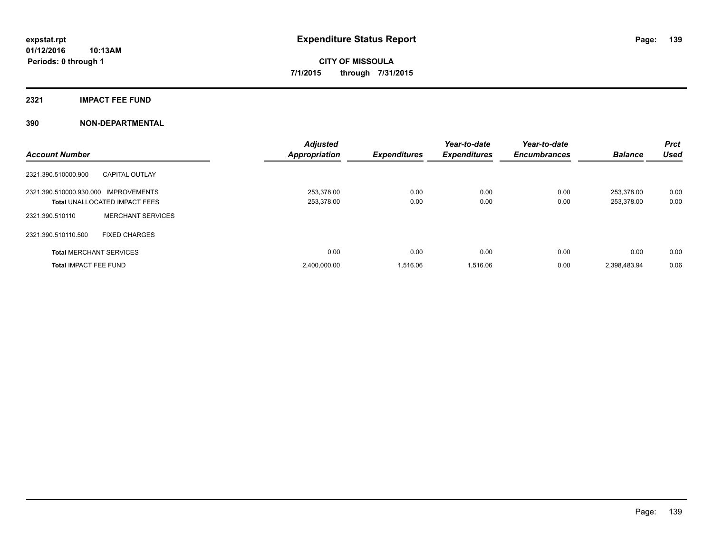#### **2321 IMPACT FEE FUND**

| <b>Account Number</b>                |                                      | <b>Adjusted</b><br>Appropriation | <b>Expenditures</b> | Year-to-date<br><b>Expenditures</b> | Year-to-date<br><b>Encumbrances</b> | <b>Balance</b>           | <b>Prct</b><br><b>Used</b> |
|--------------------------------------|--------------------------------------|----------------------------------|---------------------|-------------------------------------|-------------------------------------|--------------------------|----------------------------|
| 2321.390.510000.900                  | <b>CAPITAL OUTLAY</b>                |                                  |                     |                                     |                                     |                          |                            |
| 2321.390.510000.930.000 IMPROVEMENTS | <b>Total UNALLOCATED IMPACT FEES</b> | 253.378.00<br>253,378.00         | 0.00<br>0.00        | 0.00<br>0.00                        | 0.00<br>0.00                        | 253.378.00<br>253,378.00 | 0.00<br>0.00               |
| 2321.390.510110                      | <b>MERCHANT SERVICES</b>             |                                  |                     |                                     |                                     |                          |                            |
| 2321.390.510110.500                  | <b>FIXED CHARGES</b>                 |                                  |                     |                                     |                                     |                          |                            |
|                                      | <b>Total MERCHANT SERVICES</b>       | 0.00                             | 0.00                | 0.00                                | 0.00                                | 0.00                     | 0.00                       |
| <b>Total IMPACT FEE FUND</b>         |                                      | 2,400,000.00                     | 1.516.06            | 1.516.06                            | 0.00                                | 2,398,483.94             | 0.06                       |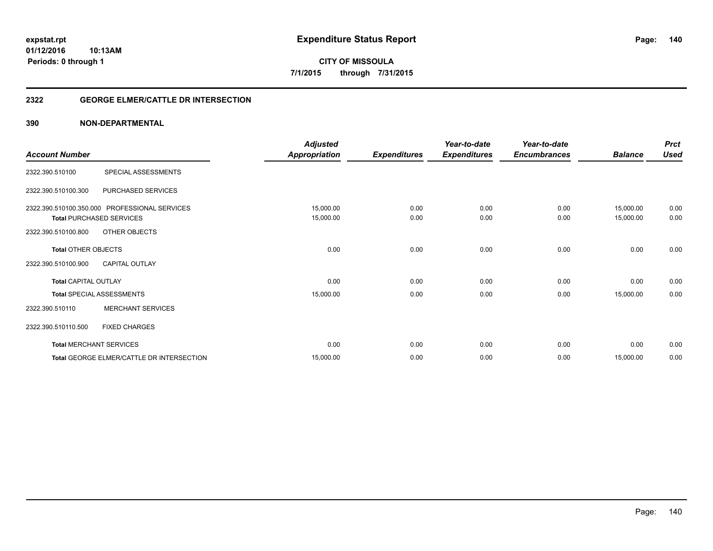**140**

**01/12/2016 10:13AM Periods: 0 through 1**

**CITY OF MISSOULA 7/1/2015 through 7/31/2015**

#### **2322 GEORGE ELMER/CATTLE DR INTERSECTION**

|                             |                                               | <b>Adjusted</b>      |                     | Year-to-date        | Year-to-date        |                | <b>Prct</b> |
|-----------------------------|-----------------------------------------------|----------------------|---------------------|---------------------|---------------------|----------------|-------------|
| <b>Account Number</b>       |                                               | <b>Appropriation</b> | <b>Expenditures</b> | <b>Expenditures</b> | <b>Encumbrances</b> | <b>Balance</b> | <b>Used</b> |
| 2322.390.510100             | SPECIAL ASSESSMENTS                           |                      |                     |                     |                     |                |             |
| 2322.390.510100.300         | PURCHASED SERVICES                            |                      |                     |                     |                     |                |             |
|                             | 2322.390.510100.350.000 PROFESSIONAL SERVICES | 15,000.00            | 0.00                | 0.00                | 0.00                | 15,000.00      | 0.00        |
|                             | <b>Total PURCHASED SERVICES</b>               | 15,000.00            | 0.00                | 0.00                | 0.00                | 15,000.00      | 0.00        |
| 2322.390.510100.800         | OTHER OBJECTS                                 |                      |                     |                     |                     |                |             |
| <b>Total OTHER OBJECTS</b>  |                                               | 0.00                 | 0.00                | 0.00                | 0.00                | 0.00           | 0.00        |
| 2322.390.510100.900         | <b>CAPITAL OUTLAY</b>                         |                      |                     |                     |                     |                |             |
| <b>Total CAPITAL OUTLAY</b> |                                               | 0.00                 | 0.00                | 0.00                | 0.00                | 0.00           | 0.00        |
|                             | <b>Total SPECIAL ASSESSMENTS</b>              | 15,000.00            | 0.00                | 0.00                | 0.00                | 15,000.00      | 0.00        |
| 2322.390.510110             | <b>MERCHANT SERVICES</b>                      |                      |                     |                     |                     |                |             |
| 2322.390.510110.500         | <b>FIXED CHARGES</b>                          |                      |                     |                     |                     |                |             |
|                             | <b>Total MERCHANT SERVICES</b>                | 0.00                 | 0.00                | 0.00                | 0.00                | 0.00           | 0.00        |
|                             | Total GEORGE ELMER/CATTLE DR INTERSECTION     | 15,000.00            | 0.00                | 0.00                | 0.00                | 15,000.00      | 0.00        |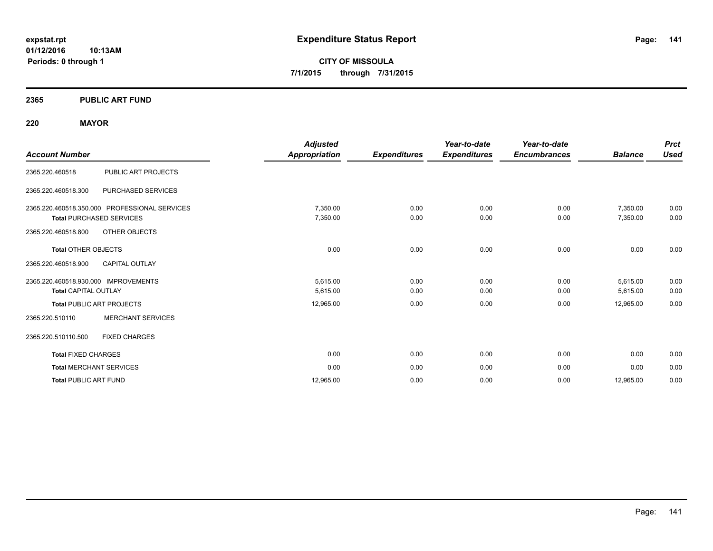**01/12/2016 10:13AM Periods: 0 through 1**

**CITY OF MISSOULA 7/1/2015 through 7/31/2015**

#### **2365 PUBLIC ART FUND**

#### **220 MAYOR**

| <b>Account Number</b>                                                                                                    | <b>Adjusted</b><br>Appropriation | <b>Expenditures</b> | Year-to-date<br><b>Expenditures</b> | Year-to-date<br><b>Encumbrances</b> | <b>Balance</b>       | <b>Prct</b><br><b>Used</b> |
|--------------------------------------------------------------------------------------------------------------------------|----------------------------------|---------------------|-------------------------------------|-------------------------------------|----------------------|----------------------------|
| PUBLIC ART PROJECTS<br>2365.220.460518                                                                                   |                                  |                     |                                     |                                     |                      |                            |
| 2365.220.460518.300<br>PURCHASED SERVICES                                                                                |                                  |                     |                                     |                                     |                      |                            |
| 2365.220.460518.350.000 PROFESSIONAL SERVICES<br><b>Total PURCHASED SERVICES</b><br>2365.220.460518.800<br>OTHER OBJECTS | 7,350.00<br>7,350.00             | 0.00<br>0.00        | 0.00<br>0.00                        | 0.00<br>0.00                        | 7,350.00<br>7,350.00 | 0.00<br>0.00               |
| <b>Total OTHER OBJECTS</b><br><b>CAPITAL OUTLAY</b><br>2365.220.460518.900                                               | 0.00                             | 0.00                | 0.00                                | 0.00                                | 0.00                 | 0.00                       |
| 2365.220.460518.930.000 IMPROVEMENTS<br><b>Total CAPITAL OUTLAY</b>                                                      | 5,615.00<br>5,615.00             | 0.00<br>0.00        | 0.00<br>0.00                        | 0.00<br>0.00                        | 5,615.00<br>5,615.00 | 0.00<br>0.00               |
| <b>Total PUBLIC ART PROJECTS</b>                                                                                         | 12,965.00                        | 0.00                | 0.00                                | 0.00                                | 12,965.00            | 0.00                       |
| <b>MERCHANT SERVICES</b><br>2365.220.510110                                                                              |                                  |                     |                                     |                                     |                      |                            |
| 2365.220.510110.500<br><b>FIXED CHARGES</b>                                                                              |                                  |                     |                                     |                                     |                      |                            |
| <b>Total FIXED CHARGES</b>                                                                                               | 0.00                             | 0.00                | 0.00                                | 0.00                                | 0.00                 | 0.00                       |
| <b>Total MERCHANT SERVICES</b>                                                                                           | 0.00                             | 0.00                | 0.00                                | 0.00                                | 0.00                 | 0.00                       |
| <b>Total PUBLIC ART FUND</b>                                                                                             | 12.965.00                        | 0.00                | 0.00                                | 0.00                                | 12,965.00            | 0.00                       |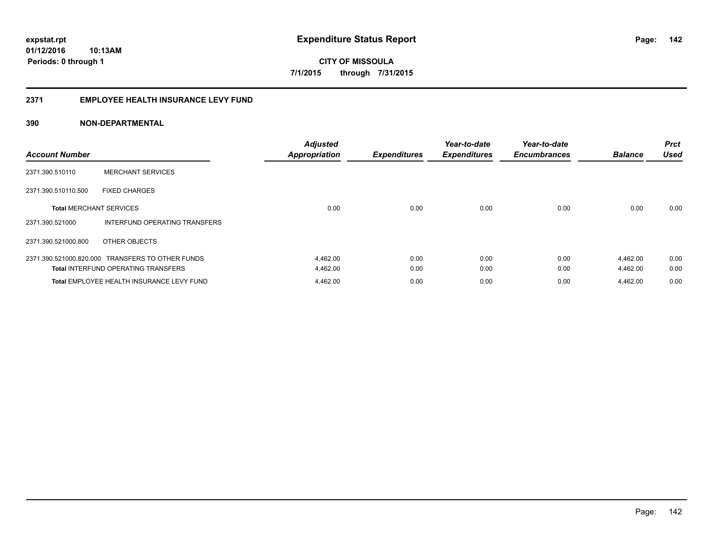#### **2371 EMPLOYEE HEALTH INSURANCE LEVY FUND**

| <b>Account Number</b>          |                                                  | <b>Adjusted</b><br><b>Appropriation</b> | <b>Expenditures</b> | Year-to-date<br><b>Expenditures</b> | Year-to-date<br><b>Encumbrances</b> | <b>Balance</b> | <b>Prct</b><br><b>Used</b> |
|--------------------------------|--------------------------------------------------|-----------------------------------------|---------------------|-------------------------------------|-------------------------------------|----------------|----------------------------|
| 2371.390.510110                | <b>MERCHANT SERVICES</b>                         |                                         |                     |                                     |                                     |                |                            |
| 2371.390.510110.500            | <b>FIXED CHARGES</b>                             |                                         |                     |                                     |                                     |                |                            |
| <b>Total MERCHANT SERVICES</b> |                                                  | 0.00                                    | 0.00                | 0.00                                | 0.00                                | 0.00           | 0.00                       |
| 2371.390.521000                | <b>INTERFUND OPERATING TRANSFERS</b>             |                                         |                     |                                     |                                     |                |                            |
| 2371.390.521000.800            | OTHER OBJECTS                                    |                                         |                     |                                     |                                     |                |                            |
|                                | 2371.390.521000.820.000 TRANSFERS TO OTHER FUNDS | 4,462.00                                | 0.00                | 0.00                                | 0.00                                | 4,462.00       | 0.00                       |
|                                | <b>Total INTERFUND OPERATING TRANSFERS</b>       | 4,462.00                                | 0.00                | 0.00                                | 0.00                                | 4,462.00       | 0.00                       |
|                                | Total EMPLOYEE HEALTH INSURANCE LEVY FUND        | 4,462.00                                | 0.00                | 0.00                                | 0.00                                | 4,462.00       | 0.00                       |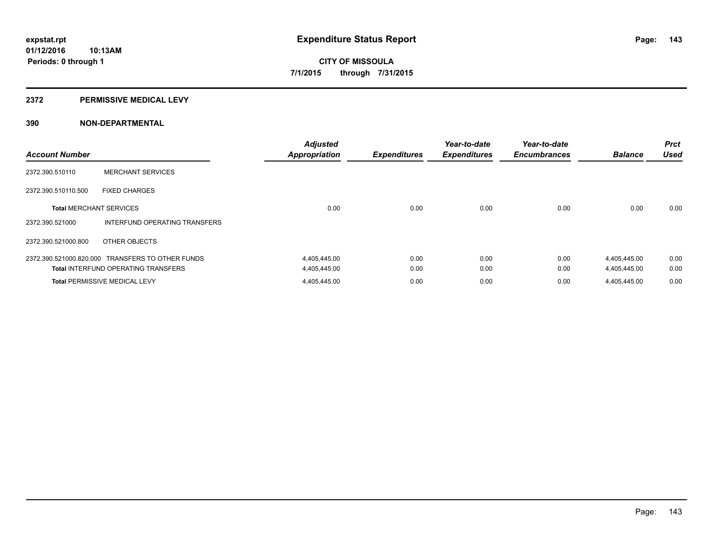#### **2372 PERMISSIVE MEDICAL LEVY**

| <b>Account Number</b>          |                                                  | <b>Adjusted</b><br><b>Appropriation</b> | <b>Expenditures</b> | Year-to-date<br><b>Expenditures</b> | Year-to-date<br><b>Encumbrances</b> | <b>Balance</b> | <b>Prct</b><br><b>Used</b> |
|--------------------------------|--------------------------------------------------|-----------------------------------------|---------------------|-------------------------------------|-------------------------------------|----------------|----------------------------|
| 2372.390.510110                | <b>MERCHANT SERVICES</b>                         |                                         |                     |                                     |                                     |                |                            |
| 2372.390.510110.500            | <b>FIXED CHARGES</b>                             |                                         |                     |                                     |                                     |                |                            |
| <b>Total MERCHANT SERVICES</b> |                                                  | 0.00                                    | 0.00                | 0.00                                | 0.00                                | 0.00           | 0.00                       |
| 2372.390.521000                | INTERFUND OPERATING TRANSFERS                    |                                         |                     |                                     |                                     |                |                            |
| 2372.390.521000.800            | OTHER OBJECTS                                    |                                         |                     |                                     |                                     |                |                            |
|                                | 2372.390.521000.820.000 TRANSFERS TO OTHER FUNDS | 4,405,445.00                            | 0.00                | 0.00                                | 0.00                                | 4,405,445.00   | 0.00                       |
|                                | <b>Total INTERFUND OPERATING TRANSFERS</b>       | 4,405,445.00                            | 0.00                | 0.00                                | 0.00                                | 4,405,445.00   | 0.00                       |
|                                | <b>Total PERMISSIVE MEDICAL LEVY</b>             | 4,405,445.00                            | 0.00                | 0.00                                | 0.00                                | 4.405.445.00   | 0.00                       |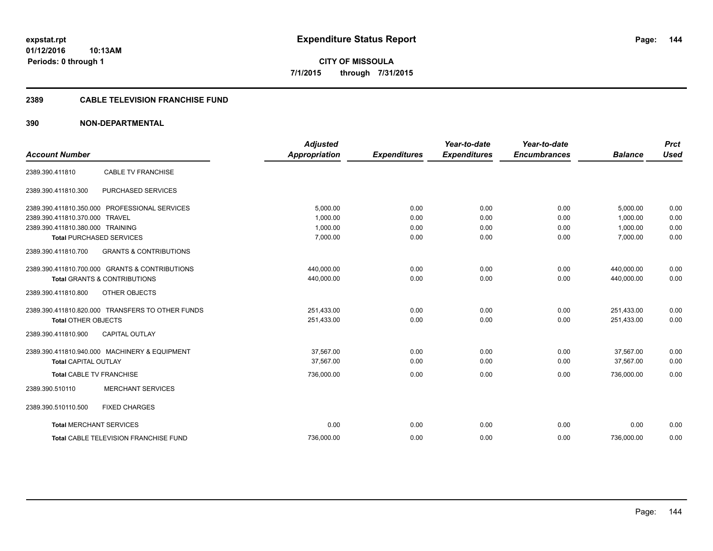**144**

**01/12/2016 10:13AM Periods: 0 through 1**

**CITY OF MISSOULA 7/1/2015 through 7/31/2015**

#### **2389 CABLE TELEVISION FRANCHISE FUND**

| <b>Account Number</b>                         |                                                  | <b>Adjusted</b><br><b>Appropriation</b> | <b>Expenditures</b> | Year-to-date<br><b>Expenditures</b> | Year-to-date<br><b>Encumbrances</b> | <b>Balance</b> | <b>Prct</b><br><b>Used</b> |
|-----------------------------------------------|--------------------------------------------------|-----------------------------------------|---------------------|-------------------------------------|-------------------------------------|----------------|----------------------------|
| 2389.390.411810                               | <b>CABLE TV FRANCHISE</b>                        |                                         |                     |                                     |                                     |                |                            |
|                                               |                                                  |                                         |                     |                                     |                                     |                |                            |
| 2389.390.411810.300                           | PURCHASED SERVICES                               |                                         |                     |                                     |                                     |                |                            |
|                                               | 2389.390.411810.350.000 PROFESSIONAL SERVICES    | 5,000.00                                | 0.00                | 0.00                                | 0.00                                | 5,000.00       | 0.00                       |
| 2389.390.411810.370.000 TRAVEL                |                                                  | 1.000.00                                | 0.00                | 0.00                                | 0.00                                | 1,000.00       | 0.00                       |
| 2389.390.411810.380.000 TRAINING              |                                                  | 1,000.00                                | 0.00                | 0.00                                | 0.00                                | 1,000.00       | 0.00                       |
| <b>Total PURCHASED SERVICES</b>               |                                                  | 7,000.00                                | 0.00                | 0.00                                | 0.00                                | 7,000.00       | 0.00                       |
| 2389.390.411810.700                           | <b>GRANTS &amp; CONTRIBUTIONS</b>                |                                         |                     |                                     |                                     |                |                            |
|                                               | 2389.390.411810.700.000 GRANTS & CONTRIBUTIONS   | 440,000.00                              | 0.00                | 0.00                                | 0.00                                | 440,000.00     | 0.00                       |
|                                               | <b>Total GRANTS &amp; CONTRIBUTIONS</b>          | 440,000.00                              | 0.00                | 0.00                                | 0.00                                | 440,000.00     | 0.00                       |
| 2389.390.411810.800                           | <b>OTHER OBJECTS</b>                             |                                         |                     |                                     |                                     |                |                            |
|                                               | 2389.390.411810.820.000 TRANSFERS TO OTHER FUNDS | 251,433.00                              | 0.00                | 0.00                                | 0.00                                | 251,433.00     | 0.00                       |
| <b>Total OTHER OBJECTS</b>                    |                                                  | 251,433.00                              | 0.00                | 0.00                                | 0.00                                | 251,433.00     | 0.00                       |
| 2389.390.411810.900                           | <b>CAPITAL OUTLAY</b>                            |                                         |                     |                                     |                                     |                |                            |
| 2389.390.411810.940.000 MACHINERY & EQUIPMENT |                                                  | 37,567.00                               | 0.00                | 0.00                                | 0.00                                | 37,567.00      | 0.00                       |
| <b>Total CAPITAL OUTLAY</b>                   |                                                  | 37.567.00                               | 0.00                | 0.00                                | 0.00                                | 37.567.00      | 0.00                       |
| <b>Total CABLE TV FRANCHISE</b>               |                                                  | 736,000.00                              | 0.00                | 0.00                                | 0.00                                | 736,000.00     | 0.00                       |
| 2389.390.510110                               | <b>MERCHANT SERVICES</b>                         |                                         |                     |                                     |                                     |                |                            |
| 2389.390.510110.500                           | <b>FIXED CHARGES</b>                             |                                         |                     |                                     |                                     |                |                            |
| <b>Total MERCHANT SERVICES</b>                |                                                  | 0.00                                    | 0.00                | 0.00                                | 0.00                                | 0.00           | 0.00                       |
| <b>Total CABLE TELEVISION FRANCHISE FUND</b>  |                                                  | 736.000.00                              | 0.00                | 0.00                                | 0.00                                | 736,000.00     | 0.00                       |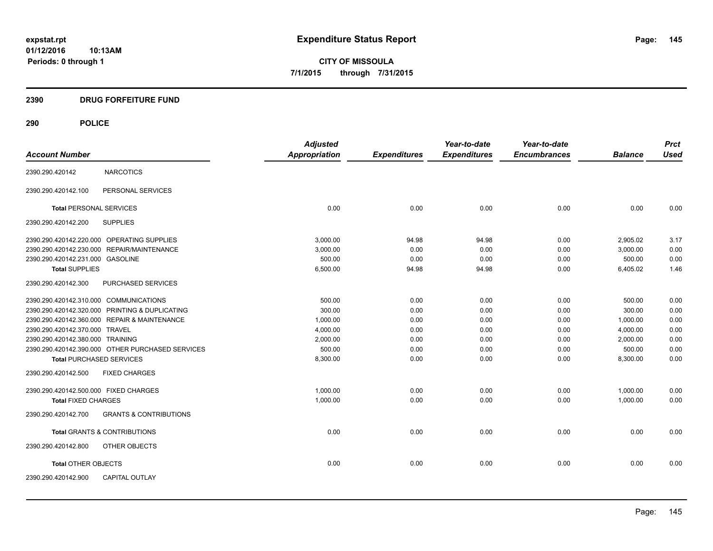**CITY OF MISSOULA 7/1/2015 through 7/31/2015**

# **2390 DRUG FORFEITURE FUND**

| <b>Account Number</b>                  |                                                  | <b>Adjusted</b><br><b>Appropriation</b> | <b>Expenditures</b> | Year-to-date<br><b>Expenditures</b> | Year-to-date<br><b>Encumbrances</b> | <b>Balance</b> | <b>Prct</b><br><b>Used</b> |
|----------------------------------------|--------------------------------------------------|-----------------------------------------|---------------------|-------------------------------------|-------------------------------------|----------------|----------------------------|
|                                        |                                                  |                                         |                     |                                     |                                     |                |                            |
| 2390.290.420142                        | <b>NARCOTICS</b>                                 |                                         |                     |                                     |                                     |                |                            |
| 2390.290.420142.100                    | PERSONAL SERVICES                                |                                         |                     |                                     |                                     |                |                            |
| <b>Total PERSONAL SERVICES</b>         |                                                  | 0.00                                    | 0.00                | 0.00                                | 0.00                                | 0.00           | 0.00                       |
| 2390.290.420142.200                    | <b>SUPPLIES</b>                                  |                                         |                     |                                     |                                     |                |                            |
|                                        | 2390.290.420142.220.000 OPERATING SUPPLIES       | 3.000.00                                | 94.98               | 94.98                               | 0.00                                | 2,905.02       | 3.17                       |
|                                        | 2390.290.420142.230.000 REPAIR/MAINTENANCE       | 3,000.00                                | 0.00                | 0.00                                | 0.00                                | 3.000.00       | 0.00                       |
| 2390.290.420142.231.000 GASOLINE       |                                                  | 500.00                                  | 0.00                | 0.00                                | 0.00                                | 500.00         | 0.00                       |
| <b>Total SUPPLIES</b>                  |                                                  | 6,500.00                                | 94.98               | 94.98                               | 0.00                                | 6,405.02       | 1.46                       |
| 2390.290.420142.300                    | PURCHASED SERVICES                               |                                         |                     |                                     |                                     |                |                            |
| 2390.290.420142.310.000 COMMUNICATIONS |                                                  | 500.00                                  | 0.00                | 0.00                                | 0.00                                | 500.00         | 0.00                       |
|                                        | 2390.290.420142.320.000 PRINTING & DUPLICATING   | 300.00                                  | 0.00                | 0.00                                | 0.00                                | 300.00         | 0.00                       |
|                                        | 2390.290.420142.360.000 REPAIR & MAINTENANCE     | 1,000.00                                | 0.00                | 0.00                                | 0.00                                | 1,000.00       | 0.00                       |
| 2390.290.420142.370.000 TRAVEL         |                                                  | 4,000.00                                | 0.00                | 0.00                                | 0.00                                | 4,000.00       | 0.00                       |
| 2390.290.420142.380.000 TRAINING       |                                                  | 2,000.00                                | 0.00                | 0.00                                | 0.00                                | 2,000.00       | 0.00                       |
|                                        | 2390.290.420142.390.000 OTHER PURCHASED SERVICES | 500.00                                  | 0.00                | 0.00                                | 0.00                                | 500.00         | 0.00                       |
| <b>Total PURCHASED SERVICES</b>        |                                                  | 8,300.00                                | 0.00                | 0.00                                | 0.00                                | 8,300.00       | 0.00                       |
| 2390.290.420142.500                    | <b>FIXED CHARGES</b>                             |                                         |                     |                                     |                                     |                |                            |
| 2390.290.420142.500.000 FIXED CHARGES  |                                                  | 1.000.00                                | 0.00                | 0.00                                | 0.00                                | 1,000.00       | 0.00                       |
| <b>Total FIXED CHARGES</b>             |                                                  | 1,000.00                                | 0.00                | 0.00                                | 0.00                                | 1,000.00       | 0.00                       |
| 2390.290.420142.700                    | <b>GRANTS &amp; CONTRIBUTIONS</b>                |                                         |                     |                                     |                                     |                |                            |
|                                        | <b>Total GRANTS &amp; CONTRIBUTIONS</b>          | 0.00                                    | 0.00                | 0.00                                | 0.00                                | 0.00           | 0.00                       |
| 2390.290.420142.800                    | OTHER OBJECTS                                    |                                         |                     |                                     |                                     |                |                            |
| <b>Total OTHER OBJECTS</b>             |                                                  | 0.00                                    | 0.00                | 0.00                                | 0.00                                | 0.00           | 0.00                       |
| 2390.290.420142.900                    | <b>CAPITAL OUTLAY</b>                            |                                         |                     |                                     |                                     |                |                            |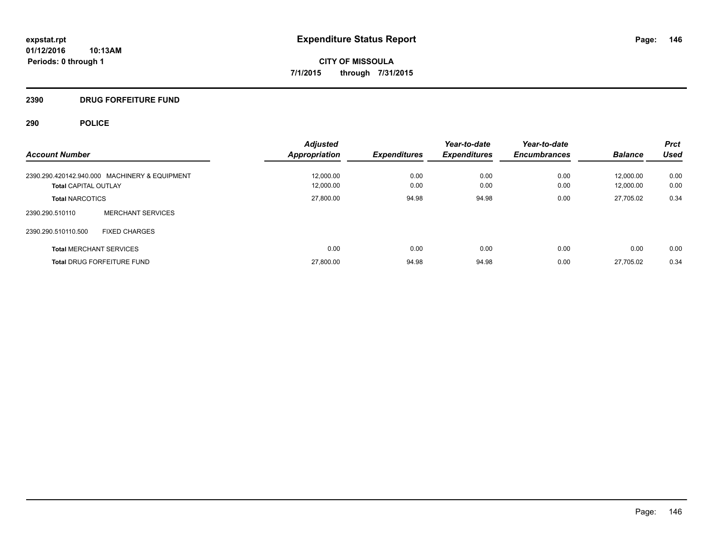# **2390 DRUG FORFEITURE FUND**

| <b>Account Number</b>                         | <b>Adjusted</b><br><b>Appropriation</b> | <b>Expenditures</b> | Year-to-date<br><b>Expenditures</b> | Year-to-date<br><b>Encumbrances</b> | <b>Balance</b> | <b>Prct</b><br><b>Used</b> |
|-----------------------------------------------|-----------------------------------------|---------------------|-------------------------------------|-------------------------------------|----------------|----------------------------|
| 2390.290.420142.940.000 MACHINERY & EQUIPMENT | 12.000.00                               | 0.00                | 0.00                                | 0.00                                | 12.000.00      | 0.00                       |
| <b>Total CAPITAL OUTLAY</b>                   | 12,000.00                               | 0.00                | 0.00                                | 0.00                                | 12,000.00      | 0.00                       |
| <b>Total NARCOTICS</b>                        | 27,800.00                               | 94.98               | 94.98                               | 0.00                                | 27.705.02      | 0.34                       |
| <b>MERCHANT SERVICES</b><br>2390.290.510110   |                                         |                     |                                     |                                     |                |                            |
| 2390.290.510110.500<br><b>FIXED CHARGES</b>   |                                         |                     |                                     |                                     |                |                            |
| <b>Total MERCHANT SERVICES</b>                | 0.00                                    | 0.00                | 0.00                                | 0.00                                | 0.00           | 0.00                       |
| <b>Total DRUG FORFEITURE FUND</b>             | 27,800.00                               | 94.98               | 94.98                               | 0.00                                | 27.705.02      | 0.34                       |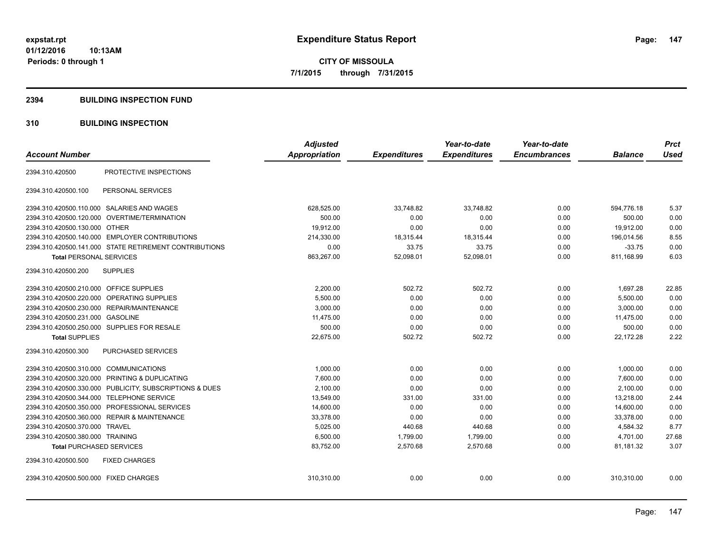#### **2394 BUILDING INSPECTION FUND**

# **310 BUILDING INSPECTION**

| <b>Account Number</b>                                   | <b>Adjusted</b><br><b>Appropriation</b> | <b>Expenditures</b> | Year-to-date<br><b>Expenditures</b> | Year-to-date<br><b>Encumbrances</b> | <b>Balance</b> | <b>Prct</b><br><b>Used</b> |
|---------------------------------------------------------|-----------------------------------------|---------------------|-------------------------------------|-------------------------------------|----------------|----------------------------|
| PROTECTIVE INSPECTIONS<br>2394.310.420500               |                                         |                     |                                     |                                     |                |                            |
| 2394.310.420500.100<br>PERSONAL SERVICES                |                                         |                     |                                     |                                     |                |                            |
| 2394.310.420500.110.000 SALARIES AND WAGES              | 628,525.00                              | 33,748.82           | 33.748.82                           | 0.00                                | 594.776.18     | 5.37                       |
| OVERTIME/TERMINATION<br>2394.310.420500.120.000         | 500.00                                  | 0.00                | 0.00                                | 0.00                                | 500.00         | 0.00                       |
| 2394.310.420500.130.000 OTHER                           | 19,912.00                               | 0.00                | 0.00                                | 0.00                                | 19,912.00      | 0.00                       |
| 2394.310.420500.140.000 EMPLOYER CONTRIBUTIONS          | 214,330.00                              | 18,315.44           | 18,315.44                           | 0.00                                | 196,014.56     | 8.55                       |
| 2394.310.420500.141.000 STATE RETIREMENT CONTRIBUTIONS  | 0.00                                    | 33.75               | 33.75                               | 0.00                                | $-33.75$       | 0.00                       |
| <b>Total PERSONAL SERVICES</b>                          | 863,267.00                              | 52,098.01           | 52,098.01                           | 0.00                                | 811,168.99     | 6.03                       |
| <b>SUPPLIES</b><br>2394.310.420500.200                  |                                         |                     |                                     |                                     |                |                            |
| 2394.310.420500.210.000<br><b>OFFICE SUPPLIES</b>       | 2,200.00                                | 502.72              | 502.72                              | 0.00                                | 1,697.28       | 22.85                      |
| 2394.310.420500.220.000<br><b>OPERATING SUPPLIES</b>    | 5,500.00                                | 0.00                | 0.00                                | 0.00                                | 5,500.00       | 0.00                       |
| 2394.310.420500.230.000 REPAIR/MAINTENANCE              | 3,000.00                                | 0.00                | 0.00                                | 0.00                                | 3.000.00       | 0.00                       |
| 2394.310.420500.231.000 GASOLINE                        | 11,475.00                               | 0.00                | 0.00                                | 0.00                                | 11,475.00      | 0.00                       |
| 2394.310.420500.250.000 SUPPLIES FOR RESALE             | 500.00                                  | 0.00                | 0.00                                | 0.00                                | 500.00         | 0.00                       |
| <b>Total SUPPLIES</b>                                   | 22,675.00                               | 502.72              | 502.72                              | 0.00                                | 22,172.28      | 2.22                       |
| 2394.310.420500.300<br>PURCHASED SERVICES               |                                         |                     |                                     |                                     |                |                            |
| 2394.310.420500.310.000 COMMUNICATIONS                  | 1,000.00                                | 0.00                | 0.00                                | 0.00                                | 1,000.00       | 0.00                       |
| 2394.310.420500.320.000 PRINTING & DUPLICATING          | 7.600.00                                | 0.00                | 0.00                                | 0.00                                | 7.600.00       | 0.00                       |
| 2394.310.420500.330.000 PUBLICITY, SUBSCRIPTIONS & DUES | 2,100.00                                | 0.00                | 0.00                                | 0.00                                | 2,100.00       | 0.00                       |
| 2394.310.420500.344.000<br><b>TELEPHONE SERVICE</b>     | 13,549.00                               | 331.00              | 331.00                              | 0.00                                | 13.218.00      | 2.44                       |
| PROFESSIONAL SERVICES<br>2394.310.420500.350.000        | 14,600.00                               | 0.00                | 0.00                                | 0.00                                | 14,600.00      | 0.00                       |
| 2394.310.420500.360.000 REPAIR & MAINTENANCE            | 33,378.00                               | 0.00                | 0.00                                | 0.00                                | 33,378.00      | 0.00                       |
| 2394.310.420500.370.000 TRAVEL                          | 5,025.00                                | 440.68              | 440.68                              | 0.00                                | 4,584.32       | 8.77                       |
| 2394.310.420500.380.000 TRAINING                        | 6,500.00                                | 1,799.00            | 1,799.00                            | 0.00                                | 4,701.00       | 27.68                      |
| <b>Total PURCHASED SERVICES</b>                         | 83,752.00                               | 2,570.68            | 2,570.68                            | 0.00                                | 81,181.32      | 3.07                       |
| 2394.310.420500.500<br><b>FIXED CHARGES</b>             |                                         |                     |                                     |                                     |                |                            |
| 2394.310.420500.500.000 FIXED CHARGES                   | 310,310.00                              | 0.00                | 0.00                                | 0.00                                | 310,310.00     | 0.00                       |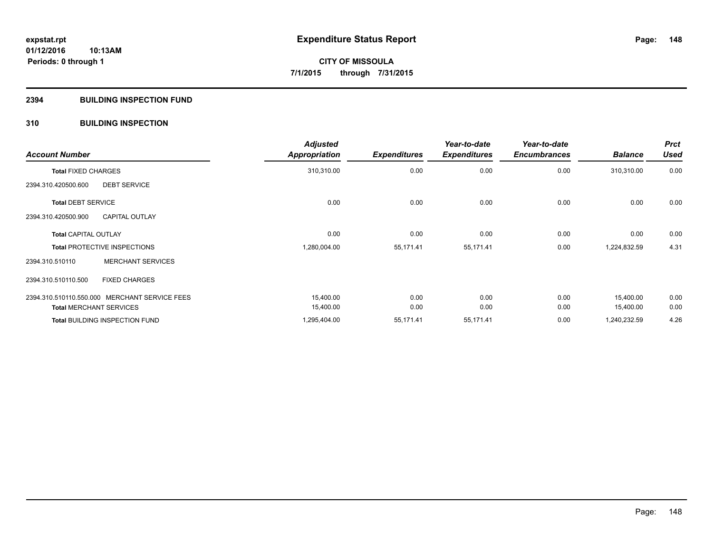#### **2394 BUILDING INSPECTION FUND**

# **310 BUILDING INSPECTION**

| <b>Account Number</b>                         |                          | <b>Adjusted</b><br><b>Appropriation</b> | <b>Expenditures</b> | Year-to-date<br><b>Expenditures</b> | Year-to-date<br><b>Encumbrances</b> | <b>Balance</b> | <b>Prct</b><br><b>Used</b> |
|-----------------------------------------------|--------------------------|-----------------------------------------|---------------------|-------------------------------------|-------------------------------------|----------------|----------------------------|
| <b>Total FIXED CHARGES</b>                    |                          | 310,310.00                              | 0.00                | 0.00                                | 0.00                                | 310,310.00     | 0.00                       |
| 2394.310.420500.600                           | <b>DEBT SERVICE</b>      |                                         |                     |                                     |                                     |                |                            |
| <b>Total DEBT SERVICE</b>                     |                          | 0.00                                    | 0.00                | 0.00                                | 0.00                                | 0.00           | 0.00                       |
| 2394.310.420500.900                           | <b>CAPITAL OUTLAY</b>    |                                         |                     |                                     |                                     |                |                            |
| <b>Total CAPITAL OUTLAY</b>                   |                          | 0.00                                    | 0.00                | 0.00                                | 0.00                                | 0.00           | 0.00                       |
| <b>Total PROTECTIVE INSPECTIONS</b>           |                          | 1,280,004.00                            | 55,171.41           | 55,171.41                           | 0.00                                | 1,224,832.59   | 4.31                       |
| 2394.310.510110                               | <b>MERCHANT SERVICES</b> |                                         |                     |                                     |                                     |                |                            |
| 2394.310.510110.500                           | <b>FIXED CHARGES</b>     |                                         |                     |                                     |                                     |                |                            |
| 2394.310.510110.550.000 MERCHANT SERVICE FEES |                          | 15,400.00                               | 0.00                | 0.00                                | 0.00                                | 15,400.00      | 0.00                       |
| <b>Total MERCHANT SERVICES</b>                |                          | 15,400.00                               | 0.00                | 0.00                                | 0.00                                | 15,400.00      | 0.00                       |
| Total BUILDING INSPECTION FUND                |                          | 1,295,404.00                            | 55,171.41           | 55,171.41                           | 0.00                                | 1,240,232.59   | 4.26                       |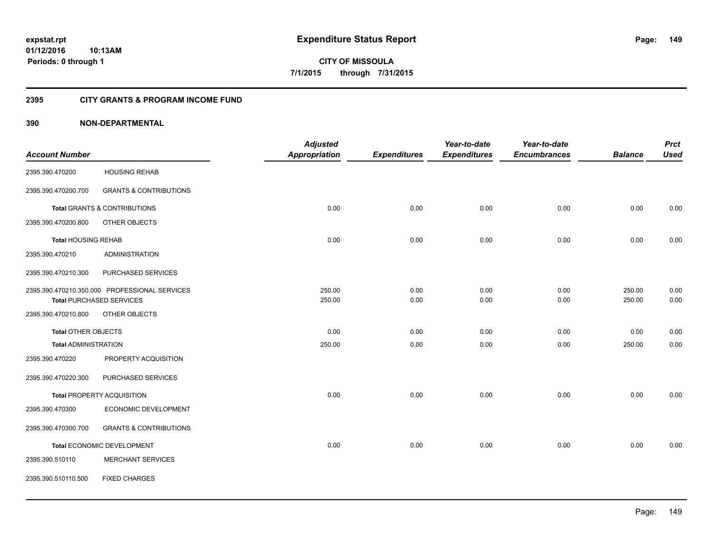**149**

**01/12/2016 10:13AM Periods: 0 through 1**

**CITY OF MISSOULA 7/1/2015 through 7/31/2015**

### **2395 CITY GRANTS & PROGRAM INCOME FUND**

|                             |                                               | <b>Adjusted</b>      |                     | Year-to-date        | Year-to-date        |                | <b>Prct</b> |
|-----------------------------|-----------------------------------------------|----------------------|---------------------|---------------------|---------------------|----------------|-------------|
| <b>Account Number</b>       |                                               | <b>Appropriation</b> | <b>Expenditures</b> | <b>Expenditures</b> | <b>Encumbrances</b> | <b>Balance</b> | <b>Used</b> |
| 2395.390.470200             | <b>HOUSING REHAB</b>                          |                      |                     |                     |                     |                |             |
| 2395.390.470200.700         | <b>GRANTS &amp; CONTRIBUTIONS</b>             |                      |                     |                     |                     |                |             |
|                             | <b>Total GRANTS &amp; CONTRIBUTIONS</b>       | 0.00                 | 0.00                | 0.00                | 0.00                | 0.00           | 0.00        |
| 2395.390.470200.800         | OTHER OBJECTS                                 |                      |                     |                     |                     |                |             |
| <b>Total HOUSING REHAB</b>  |                                               | 0.00                 | 0.00                | 0.00                | 0.00                | 0.00           | 0.00        |
| 2395.390.470210             | <b>ADMINISTRATION</b>                         |                      |                     |                     |                     |                |             |
| 2395.390.470210.300         | PURCHASED SERVICES                            |                      |                     |                     |                     |                |             |
|                             | 2395.390.470210.350.000 PROFESSIONAL SERVICES | 250.00               | 0.00                | 0.00                | 0.00                | 250.00         | 0.00        |
|                             | <b>Total PURCHASED SERVICES</b>               | 250.00               | 0.00                | 0.00                | 0.00                | 250.00         | 0.00        |
| 2395.390.470210.800         | OTHER OBJECTS                                 |                      |                     |                     |                     |                |             |
| <b>Total OTHER OBJECTS</b>  |                                               | 0.00                 | 0.00                | 0.00                | 0.00                | 0.00           | 0.00        |
| <b>Total ADMINISTRATION</b> |                                               | 250.00               | 0.00                | 0.00                | 0.00                | 250.00         | 0.00        |
| 2395.390.470220             | PROPERTY ACQUISITION                          |                      |                     |                     |                     |                |             |
| 2395.390.470220.300         | PURCHASED SERVICES                            |                      |                     |                     |                     |                |             |
|                             | <b>Total PROPERTY ACQUISITION</b>             | 0.00                 | 0.00                | 0.00                | 0.00                | 0.00           | 0.00        |
| 2395.390.470300             | ECONOMIC DEVELOPMENT                          |                      |                     |                     |                     |                |             |
| 2395.390.470300.700         | <b>GRANTS &amp; CONTRIBUTIONS</b>             |                      |                     |                     |                     |                |             |
|                             | Total ECONOMIC DEVELOPMENT                    | 0.00                 | 0.00                | 0.00                | 0.00                | 0.00           | 0.00        |
| 2395.390.510110             | <b>MERCHANT SERVICES</b>                      |                      |                     |                     |                     |                |             |
| 2395.390.510110.500         | <b>FIXED CHARGES</b>                          |                      |                     |                     |                     |                |             |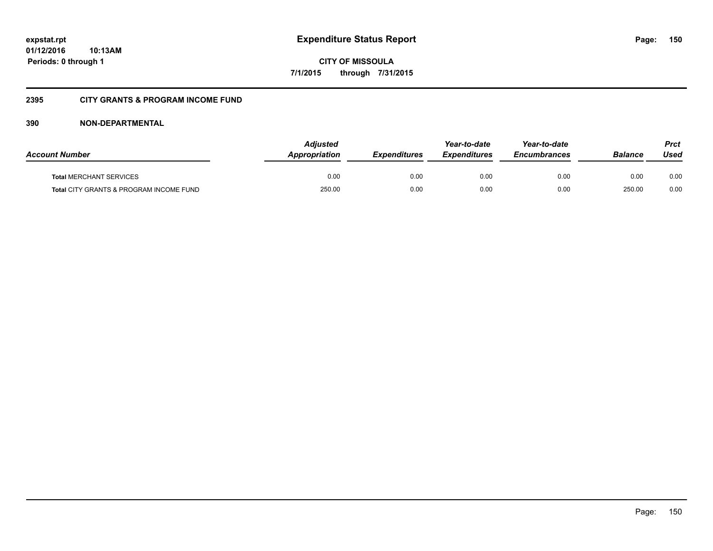**CITY OF MISSOULA 7/1/2015 through 7/31/2015**

# **2395 CITY GRANTS & PROGRAM INCOME FUND**

| <b>Account Number</b>                              | <b>Adjusted</b><br><b>Appropriation</b> | <b>Expenditures</b> | Year-to-date<br><b>Expenditures</b> | Year-to-date<br><b>Encumbrances</b> | Balance | Prct<br>Used |
|----------------------------------------------------|-----------------------------------------|---------------------|-------------------------------------|-------------------------------------|---------|--------------|
| <b>Total MERCHANT SERVICES</b>                     | 0.00                                    | 0.00                | 0.00                                | 0.00                                | 0.00    | 0.00         |
| <b>Total CITY GRANTS &amp; PROGRAM INCOME FUND</b> | 250.00                                  | 0.00                | 0.00                                | 0.00                                | 250.00  | 0.00         |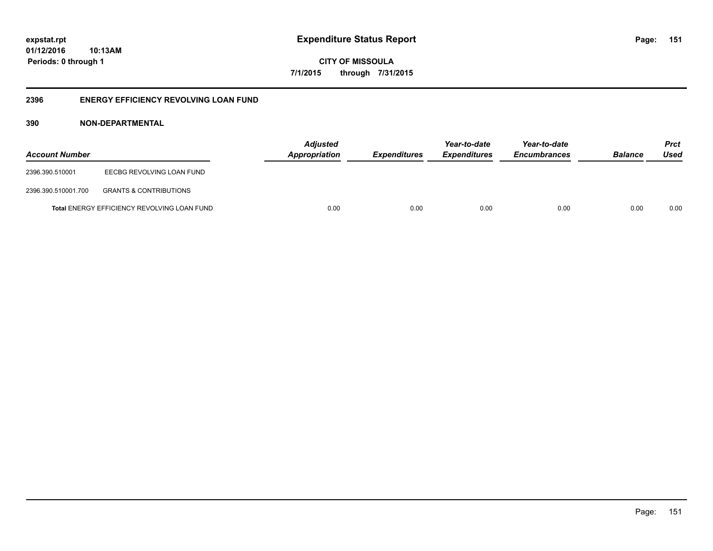**CITY OF MISSOULA 7/1/2015 through 7/31/2015**

# **2396 ENERGY EFFICIENCY REVOLVING LOAN FUND**

| <b>Account Number</b> |                                             | <b>Adjusted</b><br><b>Appropriation</b> | <i><b>Expenditures</b></i> | Year-to-date<br><i><b>Expenditures</b></i> | Year-to-date<br><b>Encumbrances</b> | <b>Balance</b> | <b>Prct</b><br>Used |
|-----------------------|---------------------------------------------|-----------------------------------------|----------------------------|--------------------------------------------|-------------------------------------|----------------|---------------------|
| 2396.390.510001       | EECBG REVOLVING LOAN FUND                   |                                         |                            |                                            |                                     |                |                     |
| 2396.390.510001.700   | <b>GRANTS &amp; CONTRIBUTIONS</b>           |                                         |                            |                                            |                                     |                |                     |
|                       | Total ENERGY EFFICIENCY REVOLVING LOAN FUND | 0.00                                    | 0.00                       | 0.00                                       | 0.00                                | 0.00           | 0.00                |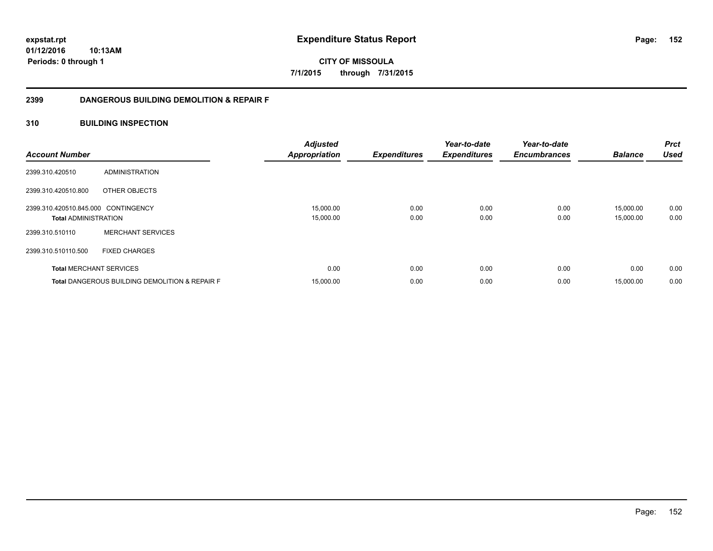**CITY OF MISSOULA 7/1/2015 through 7/31/2015**

# **2399 DANGEROUS BUILDING DEMOLITION & REPAIR F**

# **310 BUILDING INSPECTION**

| <b>Account Number</b>               |                                                           | <b>Adjusted</b><br><b>Appropriation</b> | <b>Expenditures</b> | Year-to-date<br><b>Expenditures</b> | Year-to-date<br><b>Encumbrances</b> | <b>Balance</b> | <b>Prct</b><br><b>Used</b> |
|-------------------------------------|-----------------------------------------------------------|-----------------------------------------|---------------------|-------------------------------------|-------------------------------------|----------------|----------------------------|
| 2399.310.420510                     | ADMINISTRATION                                            |                                         |                     |                                     |                                     |                |                            |
| 2399.310.420510.800                 | OTHER OBJECTS                                             |                                         |                     |                                     |                                     |                |                            |
| 2399.310.420510.845.000 CONTINGENCY |                                                           | 15,000.00                               | 0.00                | 0.00                                | 0.00                                | 15,000.00      | 0.00                       |
| <b>Total ADMINISTRATION</b>         |                                                           | 15,000.00                               | 0.00                | 0.00                                | 0.00                                | 15,000.00      | 0.00                       |
| 2399.310.510110                     | <b>MERCHANT SERVICES</b>                                  |                                         |                     |                                     |                                     |                |                            |
| 2399.310.510110.500                 | <b>FIXED CHARGES</b>                                      |                                         |                     |                                     |                                     |                |                            |
|                                     | <b>Total MERCHANT SERVICES</b>                            | 0.00                                    | 0.00                | 0.00                                | 0.00                                | 0.00           | 0.00                       |
|                                     | <b>Total DANGEROUS BUILDING DEMOLITION &amp; REPAIR F</b> | 15,000.00                               | 0.00                | 0.00                                | 0.00                                | 15,000.00      | 0.00                       |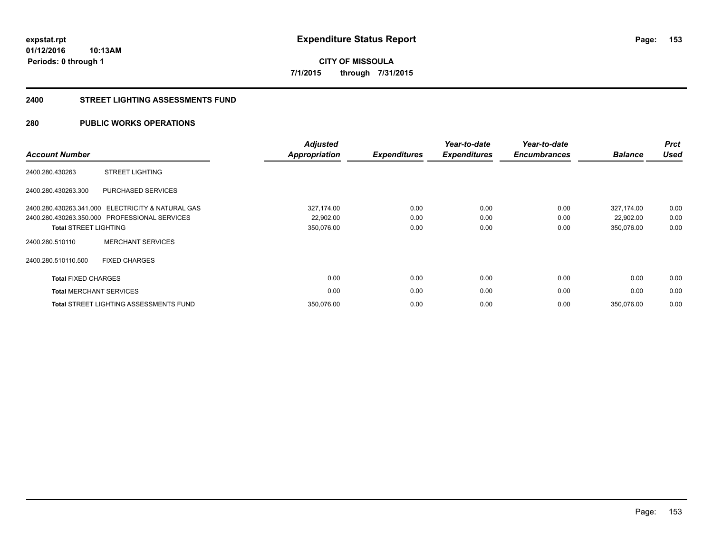**153**

**01/12/2016 10:13AM Periods: 0 through 1**

**CITY OF MISSOULA 7/1/2015 through 7/31/2015**

#### **2400 STREET LIGHTING ASSESSMENTS FUND**

# **280 PUBLIC WORKS OPERATIONS**

| <b>Account Number</b>        |                                                   | <b>Adjusted</b><br><b>Appropriation</b> | <b>Expenditures</b> | Year-to-date<br><b>Expenditures</b> | Year-to-date<br><b>Encumbrances</b> | <b>Balance</b> | <b>Prct</b><br><b>Used</b> |
|------------------------------|---------------------------------------------------|-----------------------------------------|---------------------|-------------------------------------|-------------------------------------|----------------|----------------------------|
| 2400.280.430263              | <b>STREET LIGHTING</b>                            |                                         |                     |                                     |                                     |                |                            |
| 2400.280.430263.300          | PURCHASED SERVICES                                |                                         |                     |                                     |                                     |                |                            |
|                              | 2400.280.430263.341.000 ELECTRICITY & NATURAL GAS | 327,174.00                              | 0.00                | 0.00                                | 0.00                                | 327,174.00     | 0.00                       |
|                              | 2400.280.430263.350.000 PROFESSIONAL SERVICES     | 22,902.00                               | 0.00                | 0.00                                | 0.00                                | 22,902.00      | 0.00                       |
| <b>Total STREET LIGHTING</b> |                                                   | 350,076.00                              | 0.00                | 0.00                                | 0.00                                | 350,076.00     | 0.00                       |
| 2400.280.510110              | <b>MERCHANT SERVICES</b>                          |                                         |                     |                                     |                                     |                |                            |
| 2400.280.510110.500          | <b>FIXED CHARGES</b>                              |                                         |                     |                                     |                                     |                |                            |
| <b>Total FIXED CHARGES</b>   |                                                   | 0.00                                    | 0.00                | 0.00                                | 0.00                                | 0.00           | 0.00                       |
|                              | <b>Total MERCHANT SERVICES</b>                    | 0.00                                    | 0.00                | 0.00                                | 0.00                                | 0.00           | 0.00                       |
|                              | <b>Total STREET LIGHTING ASSESSMENTS FUND</b>     | 350,076.00                              | 0.00                | 0.00                                | 0.00                                | 350.076.00     | 0.00                       |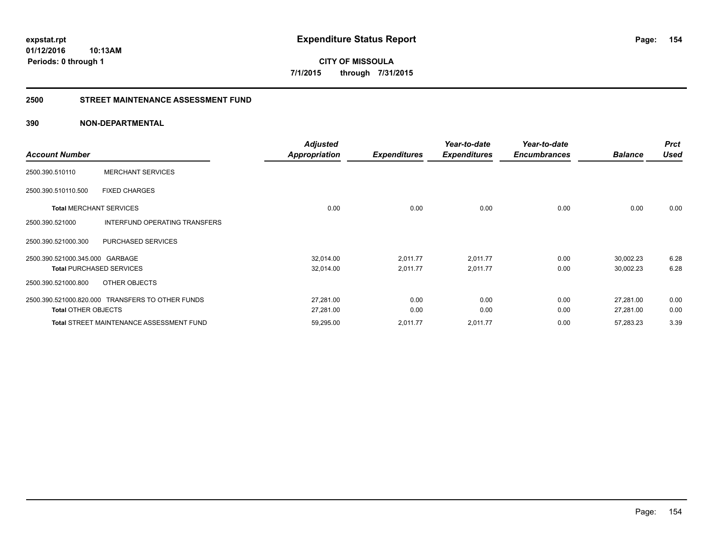**expstat.rpt Expenditure Status Report** 

**01/12/2016 10:13AM Periods: 0 through 1**

# **2500 STREET MAINTENANCE ASSESSMENT FUND**

| <b>Account Number</b>           |                                                  | <b>Adjusted</b><br><b>Appropriation</b> | <b>Expenditures</b> | Year-to-date<br><b>Expenditures</b> | Year-to-date<br><b>Encumbrances</b> | <b>Balance</b> | <b>Prct</b><br><b>Used</b> |
|---------------------------------|--------------------------------------------------|-----------------------------------------|---------------------|-------------------------------------|-------------------------------------|----------------|----------------------------|
| 2500.390.510110                 | <b>MERCHANT SERVICES</b>                         |                                         |                     |                                     |                                     |                |                            |
| 2500.390.510110.500             | <b>FIXED CHARGES</b>                             |                                         |                     |                                     |                                     |                |                            |
| <b>Total MERCHANT SERVICES</b>  |                                                  | 0.00                                    | 0.00                | 0.00                                | 0.00                                | 0.00           | 0.00                       |
| 2500.390.521000                 | INTERFUND OPERATING TRANSFERS                    |                                         |                     |                                     |                                     |                |                            |
| 2500.390.521000.300             | PURCHASED SERVICES                               |                                         |                     |                                     |                                     |                |                            |
| 2500.390.521000.345.000 GARBAGE |                                                  | 32,014.00                               | 2,011.77            | 2,011.77                            | 0.00                                | 30,002.23      | 6.28                       |
|                                 | <b>Total PURCHASED SERVICES</b>                  | 32,014.00                               | 2,011.77            | 2,011.77                            | 0.00                                | 30,002.23      | 6.28                       |
| 2500.390.521000.800             | OTHER OBJECTS                                    |                                         |                     |                                     |                                     |                |                            |
|                                 | 2500.390.521000.820.000 TRANSFERS TO OTHER FUNDS | 27,281.00                               | 0.00                | 0.00                                | 0.00                                | 27,281.00      | 0.00                       |
| <b>Total OTHER OBJECTS</b>      |                                                  | 27,281.00                               | 0.00                | 0.00                                | 0.00                                | 27,281.00      | 0.00                       |
|                                 | <b>Total STREET MAINTENANCE ASSESSMENT FUND</b>  | 59,295.00                               | 2,011.77            | 2,011.77                            | 0.00                                | 57,283.23      | 3.39                       |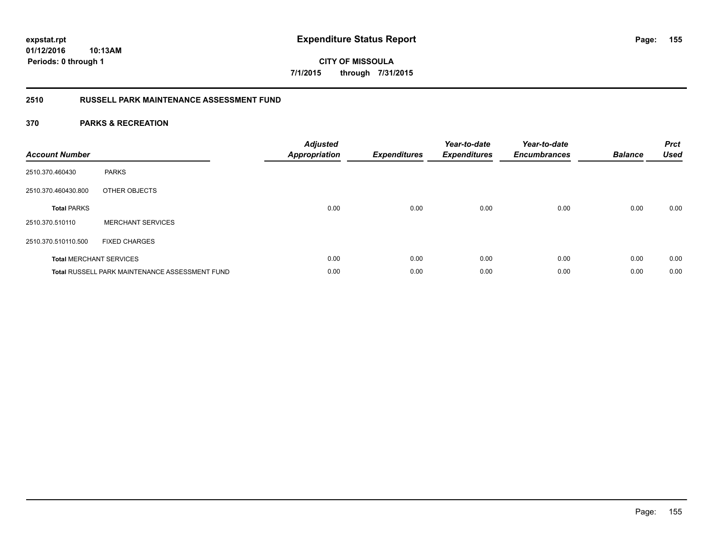**CITY OF MISSOULA 7/1/2015 through 7/31/2015**

# **2510 RUSSELL PARK MAINTENANCE ASSESSMENT FUND**

| <b>Account Number</b> |                                                       | <b>Adjusted</b><br>Appropriation | <b>Expenditures</b> | Year-to-date<br><b>Expenditures</b> | Year-to-date<br><b>Encumbrances</b> | <b>Balance</b> | <b>Prct</b><br><b>Used</b> |
|-----------------------|-------------------------------------------------------|----------------------------------|---------------------|-------------------------------------|-------------------------------------|----------------|----------------------------|
| 2510.370.460430       | <b>PARKS</b>                                          |                                  |                     |                                     |                                     |                |                            |
| 2510.370.460430.800   | OTHER OBJECTS                                         |                                  |                     |                                     |                                     |                |                            |
| <b>Total PARKS</b>    |                                                       | 0.00                             | 0.00                | 0.00                                | 0.00                                | 0.00           | 0.00                       |
| 2510.370.510110       | <b>MERCHANT SERVICES</b>                              |                                  |                     |                                     |                                     |                |                            |
| 2510.370.510110.500   | <b>FIXED CHARGES</b>                                  |                                  |                     |                                     |                                     |                |                            |
|                       | <b>Total MERCHANT SERVICES</b>                        | 0.00                             | 0.00                | 0.00                                | 0.00                                | 0.00           | 0.00                       |
|                       | <b>Total RUSSELL PARK MAINTENANCE ASSESSMENT FUND</b> | 0.00                             | 0.00                | 0.00                                | 0.00                                | 0.00           | 0.00                       |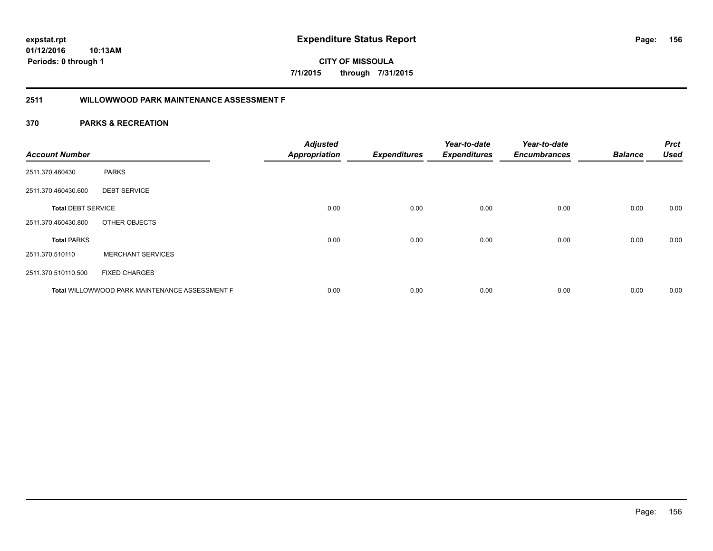**CITY OF MISSOULA 7/1/2015 through 7/31/2015**

# **2511 WILLOWWOOD PARK MAINTENANCE ASSESSMENT F**

| <b>Account Number</b>     |                                                | <b>Adjusted</b><br><b>Appropriation</b> | <b>Expenditures</b> | Year-to-date<br><b>Expenditures</b> | Year-to-date<br><b>Encumbrances</b> | <b>Balance</b> | <b>Prct</b><br><b>Used</b> |
|---------------------------|------------------------------------------------|-----------------------------------------|---------------------|-------------------------------------|-------------------------------------|----------------|----------------------------|
| 2511.370.460430           | <b>PARKS</b>                                   |                                         |                     |                                     |                                     |                |                            |
| 2511.370.460430.600       | <b>DEBT SERVICE</b>                            |                                         |                     |                                     |                                     |                |                            |
| <b>Total DEBT SERVICE</b> |                                                | 0.00                                    | 0.00                | 0.00                                | 0.00                                | 0.00           | 0.00                       |
| 2511.370.460430.800       | OTHER OBJECTS                                  |                                         |                     |                                     |                                     |                |                            |
| <b>Total PARKS</b>        |                                                | 0.00                                    | 0.00                | 0.00                                | 0.00                                | 0.00           | 0.00                       |
| 2511.370.510110           | <b>MERCHANT SERVICES</b>                       |                                         |                     |                                     |                                     |                |                            |
| 2511.370.510110.500       | <b>FIXED CHARGES</b>                           |                                         |                     |                                     |                                     |                |                            |
|                           | Total WILLOWWOOD PARK MAINTENANCE ASSESSMENT F | 0.00                                    | 0.00                | 0.00                                | 0.00                                | 0.00           | 0.00                       |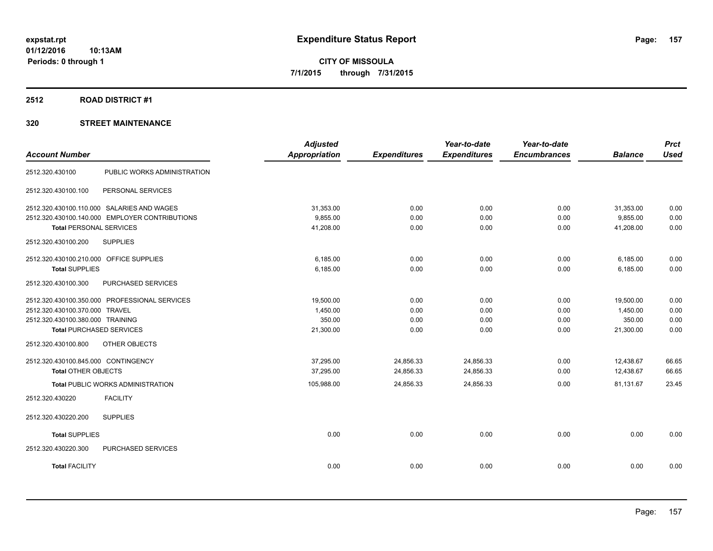#### **2512 ROAD DISTRICT #1**

| <b>Account Number</b>                          | <b>Adjusted</b><br><b>Appropriation</b> | <b>Expenditures</b> | Year-to-date<br><b>Expenditures</b> | Year-to-date<br><b>Encumbrances</b> | <b>Balance</b> | <b>Prct</b><br><b>Used</b> |
|------------------------------------------------|-----------------------------------------|---------------------|-------------------------------------|-------------------------------------|----------------|----------------------------|
|                                                |                                         |                     |                                     |                                     |                |                            |
| PUBLIC WORKS ADMINISTRATION<br>2512.320.430100 |                                         |                     |                                     |                                     |                |                            |
| PERSONAL SERVICES<br>2512.320.430100.100       |                                         |                     |                                     |                                     |                |                            |
| 2512.320.430100.110.000 SALARIES AND WAGES     | 31,353.00                               | 0.00                | 0.00                                | 0.00                                | 31,353.00      | 0.00                       |
| 2512.320.430100.140.000 EMPLOYER CONTRIBUTIONS | 9,855.00                                | 0.00                | 0.00                                | 0.00                                | 9,855.00       | 0.00                       |
| <b>Total PERSONAL SERVICES</b>                 | 41,208.00                               | 0.00                | 0.00                                | 0.00                                | 41,208.00      | 0.00                       |
| 2512.320.430100.200<br><b>SUPPLIES</b>         |                                         |                     |                                     |                                     |                |                            |
| 2512.320.430100.210.000 OFFICE SUPPLIES        | 6,185.00                                | 0.00                | 0.00                                | 0.00                                | 6,185.00       | 0.00                       |
| <b>Total SUPPLIES</b>                          | 6,185.00                                | 0.00                | 0.00                                | 0.00                                | 6,185.00       | 0.00                       |
| 2512.320.430100.300<br>PURCHASED SERVICES      |                                         |                     |                                     |                                     |                |                            |
| 2512.320.430100.350.000 PROFESSIONAL SERVICES  | 19,500.00                               | 0.00                | 0.00                                | 0.00                                | 19,500.00      | 0.00                       |
| 2512.320.430100.370.000 TRAVEL                 | 1,450.00                                | 0.00                | 0.00                                | 0.00                                | 1,450.00       | 0.00                       |
| 2512.320.430100.380.000 TRAINING               | 350.00                                  | 0.00                | 0.00                                | 0.00                                | 350.00         | 0.00                       |
| <b>Total PURCHASED SERVICES</b>                | 21,300.00                               | 0.00                | 0.00                                | 0.00                                | 21,300.00      | 0.00                       |
| 2512.320.430100.800<br>OTHER OBJECTS           |                                         |                     |                                     |                                     |                |                            |
| 2512.320.430100.845.000 CONTINGENCY            | 37.295.00                               | 24,856.33           | 24,856.33                           | 0.00                                | 12,438.67      | 66.65                      |
| <b>Total OTHER OBJECTS</b>                     | 37,295.00                               | 24,856.33           | 24,856.33                           | 0.00                                | 12,438.67      | 66.65                      |
| <b>Total PUBLIC WORKS ADMINISTRATION</b>       | 105,988.00                              | 24,856.33           | 24,856.33                           | 0.00                                | 81,131.67      | 23.45                      |
| <b>FACILITY</b><br>2512.320.430220             |                                         |                     |                                     |                                     |                |                            |
| <b>SUPPLIES</b><br>2512.320.430220.200         |                                         |                     |                                     |                                     |                |                            |
| <b>Total SUPPLIES</b>                          | 0.00                                    | 0.00                | 0.00                                | 0.00                                | 0.00           | 0.00                       |
| PURCHASED SERVICES<br>2512.320.430220.300      |                                         |                     |                                     |                                     |                |                            |
| <b>Total FACILITY</b>                          | 0.00                                    | 0.00                | 0.00                                | 0.00                                | 0.00           | 0.00                       |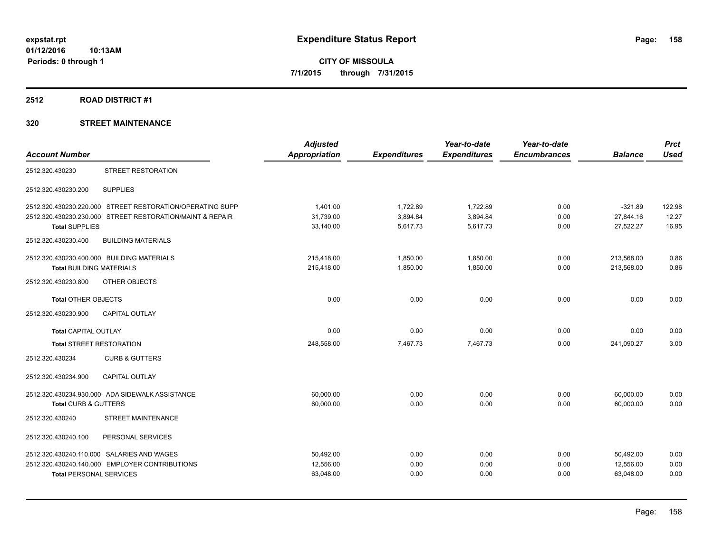### **2512 ROAD DISTRICT #1**

|                                 |                                                           | <b>Adjusted</b> |                     | Year-to-date        | Year-to-date        |                | <b>Prct</b> |
|---------------------------------|-----------------------------------------------------------|-----------------|---------------------|---------------------|---------------------|----------------|-------------|
| <b>Account Number</b>           |                                                           | Appropriation   | <b>Expenditures</b> | <b>Expenditures</b> | <b>Encumbrances</b> | <b>Balance</b> | <b>Used</b> |
| 2512.320.430230                 | STREET RESTORATION                                        |                 |                     |                     |                     |                |             |
| 2512.320.430230.200             | <b>SUPPLIES</b>                                           |                 |                     |                     |                     |                |             |
|                                 | 2512.320.430230.220.000 STREET RESTORATION/OPERATING SUPP | 1,401.00        | 1,722.89            | 1,722.89            | 0.00                | $-321.89$      | 122.98      |
|                                 | 2512.320.430230.230.000 STREET RESTORATION/MAINT & REPAIR | 31,739.00       | 3,894.84            | 3,894.84            | 0.00                | 27,844.16      | 12.27       |
| <b>Total SUPPLIES</b>           |                                                           | 33,140.00       | 5,617.73            | 5,617.73            | 0.00                | 27,522.27      | 16.95       |
| 2512.320.430230.400             | <b>BUILDING MATERIALS</b>                                 |                 |                     |                     |                     |                |             |
|                                 | 2512.320.430230.400.000 BUILDING MATERIALS                | 215,418.00      | 1,850.00            | 1,850.00            | 0.00                | 213,568.00     | 0.86        |
| <b>Total BUILDING MATERIALS</b> |                                                           | 215,418.00      | 1,850.00            | 1,850.00            | 0.00                | 213,568.00     | 0.86        |
| 2512.320.430230.800             | OTHER OBJECTS                                             |                 |                     |                     |                     |                |             |
| <b>Total OTHER OBJECTS</b>      |                                                           | 0.00            | 0.00                | 0.00                | 0.00                | 0.00           | 0.00        |
| 2512.320.430230.900             | CAPITAL OUTLAY                                            |                 |                     |                     |                     |                |             |
| <b>Total CAPITAL OUTLAY</b>     |                                                           | 0.00            | 0.00                | 0.00                | 0.00                | 0.00           | 0.00        |
| <b>Total STREET RESTORATION</b> |                                                           | 248,558.00      | 7,467.73            | 7,467.73            | 0.00                | 241,090.27     | 3.00        |
| 2512.320.430234                 | <b>CURB &amp; GUTTERS</b>                                 |                 |                     |                     |                     |                |             |
| 2512.320.430234.900             | <b>CAPITAL OUTLAY</b>                                     |                 |                     |                     |                     |                |             |
|                                 | 2512.320.430234.930.000 ADA SIDEWALK ASSISTANCE           | 60,000.00       | 0.00                | 0.00                | 0.00                | 60,000.00      | 0.00        |
| <b>Total CURB &amp; GUTTERS</b> |                                                           | 60,000.00       | 0.00                | 0.00                | 0.00                | 60,000.00      | 0.00        |
| 2512.320.430240                 | <b>STREET MAINTENANCE</b>                                 |                 |                     |                     |                     |                |             |
| 2512.320.430240.100             | PERSONAL SERVICES                                         |                 |                     |                     |                     |                |             |
|                                 | 2512.320.430240.110.000 SALARIES AND WAGES                | 50,492.00       | 0.00                | 0.00                | 0.00                | 50,492.00      | 0.00        |
|                                 | 2512.320.430240.140.000 EMPLOYER CONTRIBUTIONS            | 12,556.00       | 0.00                | 0.00                | 0.00                | 12,556.00      | 0.00        |
| <b>Total PERSONAL SERVICES</b>  |                                                           | 63,048.00       | 0.00                | 0.00                | 0.00                | 63,048.00      | 0.00        |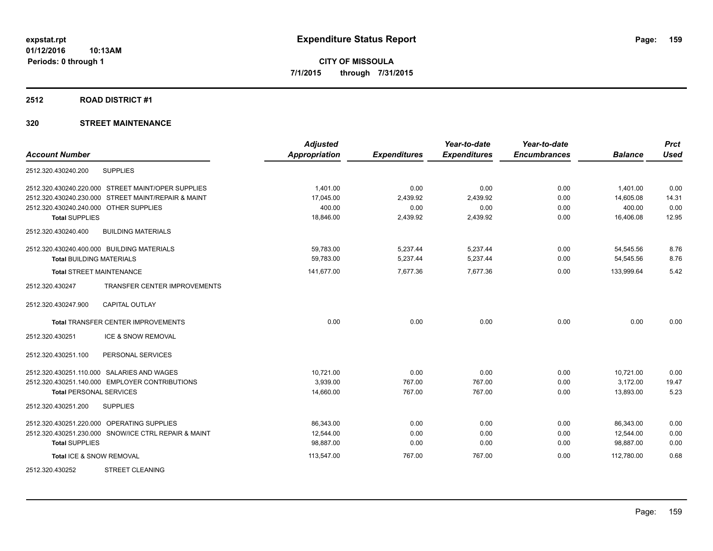#### **2512 ROAD DISTRICT #1**

|                                                      | <b>Adjusted</b> |                     | Year-to-date        | Year-to-date        |                | <b>Prct</b> |
|------------------------------------------------------|-----------------|---------------------|---------------------|---------------------|----------------|-------------|
| <b>Account Number</b>                                | Appropriation   | <b>Expenditures</b> | <b>Expenditures</b> | <b>Encumbrances</b> | <b>Balance</b> | <b>Used</b> |
| 2512.320.430240.200<br><b>SUPPLIES</b>               |                 |                     |                     |                     |                |             |
| 2512.320.430240.220.000 STREET MAINT/OPER SUPPLIES   | 1.401.00        | 0.00                | 0.00                | 0.00                | 1,401.00       | 0.00        |
| 2512.320.430240.230.000 STREET MAINT/REPAIR & MAINT  | 17,045.00       | 2,439.92            | 2,439.92            | 0.00                | 14,605.08      | 14.31       |
| 2512.320.430240.240.000 OTHER SUPPLIES               | 400.00          | 0.00                | 0.00                | 0.00                | 400.00         | 0.00        |
| <b>Total SUPPLIES</b>                                | 18,846.00       | 2,439.92            | 2,439.92            | 0.00                | 16,406.08      | 12.95       |
| 2512.320.430240.400<br><b>BUILDING MATERIALS</b>     |                 |                     |                     |                     |                |             |
| 2512.320.430240.400.000 BUILDING MATERIALS           | 59,783.00       | 5,237.44            | 5,237.44            | 0.00                | 54,545.56      | 8.76        |
| <b>Total BUILDING MATERIALS</b>                      | 59,783.00       | 5,237.44            | 5,237.44            | 0.00                | 54,545.56      | 8.76        |
| <b>Total STREET MAINTENANCE</b>                      | 141,677.00      | 7,677.36            | 7,677.36            | 0.00                | 133,999.64     | 5.42        |
| TRANSFER CENTER IMPROVEMENTS<br>2512.320.430247      |                 |                     |                     |                     |                |             |
| 2512.320.430247.900<br><b>CAPITAL OUTLAY</b>         |                 |                     |                     |                     |                |             |
| <b>Total TRANSFER CENTER IMPROVEMENTS</b>            | 0.00            | 0.00                | 0.00                | 0.00                | 0.00           | 0.00        |
| ICE & SNOW REMOVAL<br>2512.320.430251                |                 |                     |                     |                     |                |             |
| 2512.320.430251.100<br>PERSONAL SERVICES             |                 |                     |                     |                     |                |             |
| 2512.320.430251.110.000 SALARIES AND WAGES           | 10,721.00       | 0.00                | 0.00                | 0.00                | 10,721.00      | 0.00        |
| 2512.320.430251.140.000 EMPLOYER CONTRIBUTIONS       | 3,939.00        | 767.00              | 767.00              | 0.00                | 3,172.00       | 19.47       |
| <b>Total PERSONAL SERVICES</b>                       | 14,660.00       | 767.00              | 767.00              | 0.00                | 13,893.00      | 5.23        |
| 2512.320.430251.200<br><b>SUPPLIES</b>               |                 |                     |                     |                     |                |             |
| 2512.320.430251.220.000 OPERATING SUPPLIES           | 86.343.00       | 0.00                | 0.00                | 0.00                | 86.343.00      | 0.00        |
| 2512.320.430251.230.000 SNOW/ICE CTRL REPAIR & MAINT | 12.544.00       | 0.00                | 0.00                | 0.00                | 12,544.00      | 0.00        |
| <b>Total SUPPLIES</b>                                | 98,887.00       | 0.00                | 0.00                | 0.00                | 98,887.00      | 0.00        |
| Total ICE & SNOW REMOVAL                             | 113,547.00      | 767.00              | 767.00              | 0.00                | 112.780.00     | 0.68        |
| <b>STREET CLEANING</b><br>2512.320.430252            |                 |                     |                     |                     |                |             |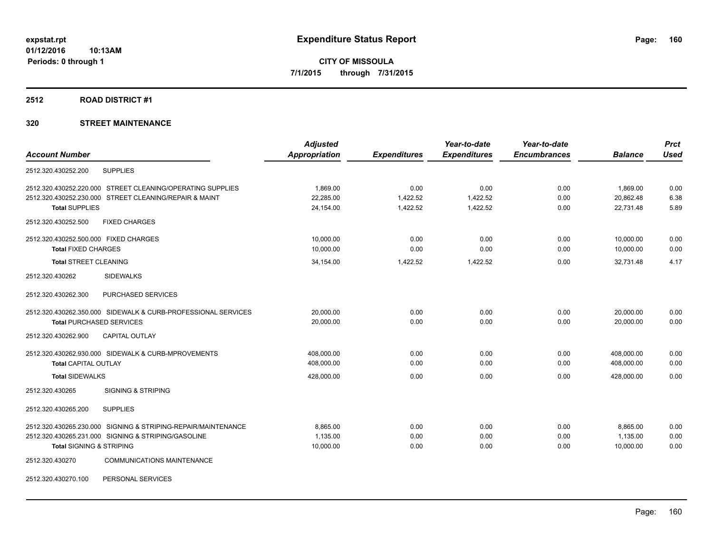#### **2512 ROAD DISTRICT #1**

# **320 STREET MAINTENANCE**

|                                                               | <b>Adjusted</b> |                     | Year-to-date        | Year-to-date        |                | <b>Prct</b> |
|---------------------------------------------------------------|-----------------|---------------------|---------------------|---------------------|----------------|-------------|
| <b>Account Number</b>                                         | Appropriation   | <b>Expenditures</b> | <b>Expenditures</b> | <b>Encumbrances</b> | <b>Balance</b> | <b>Used</b> |
| 2512.320.430252.200<br><b>SUPPLIES</b>                        |                 |                     |                     |                     |                |             |
| 2512.320.430252.220.000 STREET CLEANING/OPERATING SUPPLIES    | 1,869.00        | 0.00                | 0.00                | 0.00                | 1,869.00       | 0.00        |
| 2512.320.430252.230.000 STREET CLEANING/REPAIR & MAINT        | 22,285.00       | 1,422.52            | 1,422.52            | 0.00                | 20,862.48      | 6.38        |
| <b>Total SUPPLIES</b>                                         | 24,154.00       | 1,422.52            | 1,422.52            | 0.00                | 22,731.48      | 5.89        |
| 2512.320.430252.500<br><b>FIXED CHARGES</b>                   |                 |                     |                     |                     |                |             |
| 2512.320.430252.500.000 FIXED CHARGES                         | 10,000.00       | 0.00                | 0.00                | 0.00                | 10,000.00      | 0.00        |
| <b>Total FIXED CHARGES</b>                                    | 10,000.00       | 0.00                | 0.00                | 0.00                | 10,000.00      | 0.00        |
| <b>Total STREET CLEANING</b>                                  | 34,154.00       | 1,422.52            | 1,422.52            | 0.00                | 32,731.48      | 4.17        |
| 2512.320.430262<br><b>SIDEWALKS</b>                           |                 |                     |                     |                     |                |             |
| PURCHASED SERVICES<br>2512.320.430262.300                     |                 |                     |                     |                     |                |             |
| 2512.320.430262.350.000 SIDEWALK & CURB-PROFESSIONAL SERVICES | 20,000.00       | 0.00                | 0.00                | 0.00                | 20,000.00      | 0.00        |
| <b>Total PURCHASED SERVICES</b>                               | 20,000.00       | 0.00                | 0.00                | 0.00                | 20,000.00      | 0.00        |
| <b>CAPITAL OUTLAY</b><br>2512.320.430262.900                  |                 |                     |                     |                     |                |             |
| 2512.320.430262.930.000 SIDEWALK & CURB-MPROVEMENTS           | 408,000.00      | 0.00                | 0.00                | 0.00                | 408,000.00     | 0.00        |
| <b>Total CAPITAL OUTLAY</b>                                   | 408,000.00      | 0.00                | 0.00                | 0.00                | 408,000.00     | 0.00        |
| <b>Total SIDEWALKS</b>                                        | 428,000.00      | 0.00                | 0.00                | 0.00                | 428,000.00     | 0.00        |
| 2512.320.430265<br><b>SIGNING &amp; STRIPING</b>              |                 |                     |                     |                     |                |             |
| 2512.320.430265.200<br><b>SUPPLIES</b>                        |                 |                     |                     |                     |                |             |
| 2512.320.430265.230.000 SIGNING & STRIPING-REPAIR/MAINTENANCE | 8.865.00        | 0.00                | 0.00                | 0.00                | 8.865.00       | 0.00        |
| 2512.320.430265.231.000 SIGNING & STRIPING/GASOLINE           | 1,135.00        | 0.00                | 0.00                | 0.00                | 1,135.00       | 0.00        |
| <b>Total SIGNING &amp; STRIPING</b>                           | 10,000.00       | 0.00                | 0.00                | 0.00                | 10,000.00      | 0.00        |
| 2512.320.430270<br><b>COMMUNICATIONS MAINTENANCE</b>          |                 |                     |                     |                     |                |             |
|                                                               |                 |                     |                     |                     |                |             |

2512.320.430270.100 PERSONAL SERVICES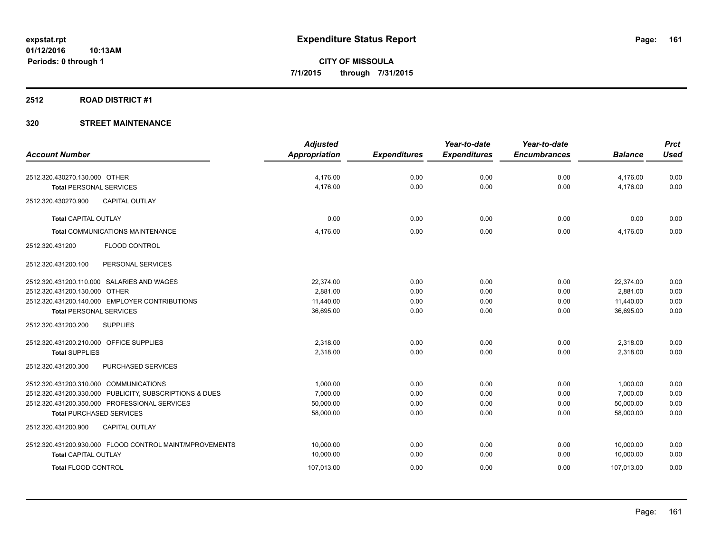# **2512 ROAD DISTRICT #1**

|                                                         | <b>Adjusted</b> |                     | Year-to-date        | Year-to-date        |                | <b>Prct</b> |
|---------------------------------------------------------|-----------------|---------------------|---------------------|---------------------|----------------|-------------|
| <b>Account Number</b>                                   | Appropriation   | <b>Expenditures</b> | <b>Expenditures</b> | <b>Encumbrances</b> | <b>Balance</b> | <b>Used</b> |
| 2512.320.430270.130.000 OTHER                           | 4,176.00        | 0.00                | 0.00                | 0.00                | 4,176.00       | 0.00        |
| <b>Total PERSONAL SERVICES</b>                          | 4,176.00        | 0.00                | 0.00                | 0.00                | 4,176.00       | 0.00        |
| <b>CAPITAL OUTLAY</b><br>2512.320.430270.900            |                 |                     |                     |                     |                |             |
| <b>Total CAPITAL OUTLAY</b>                             | 0.00            | 0.00                | 0.00                | 0.00                | 0.00           | 0.00        |
| <b>Total COMMUNICATIONS MAINTENANCE</b>                 | 4,176.00        | 0.00                | 0.00                | 0.00                | 4,176.00       | 0.00        |
| 2512.320.431200<br><b>FLOOD CONTROL</b>                 |                 |                     |                     |                     |                |             |
| 2512.320.431200.100<br>PERSONAL SERVICES                |                 |                     |                     |                     |                |             |
| 2512.320.431200.110.000 SALARIES AND WAGES              | 22.374.00       | 0.00                | 0.00                | 0.00                | 22,374.00      | 0.00        |
| 2512.320.431200.130.000 OTHER                           | 2.881.00        | 0.00                | 0.00                | 0.00                | 2.881.00       | 0.00        |
| 2512.320.431200.140.000 EMPLOYER CONTRIBUTIONS          | 11,440.00       | 0.00                | 0.00                | 0.00                | 11,440.00      | 0.00        |
| <b>Total PERSONAL SERVICES</b>                          | 36,695.00       | 0.00                | 0.00                | 0.00                | 36,695.00      | 0.00        |
| <b>SUPPLIES</b><br>2512.320.431200.200                  |                 |                     |                     |                     |                |             |
| 2512.320.431200.210.000 OFFICE SUPPLIES                 | 2.318.00        | 0.00                | 0.00                | 0.00                | 2,318.00       | 0.00        |
| <b>Total SUPPLIES</b>                                   | 2.318.00        | 0.00                | 0.00                | 0.00                | 2.318.00       | 0.00        |
| 2512.320.431200.300<br>PURCHASED SERVICES               |                 |                     |                     |                     |                |             |
| 2512.320.431200.310.000 COMMUNICATIONS                  | 1.000.00        | 0.00                | 0.00                | 0.00                | 1,000.00       | 0.00        |
| 2512.320.431200.330.000 PUBLICITY, SUBSCRIPTIONS & DUES | 7,000.00        | 0.00                | 0.00                | 0.00                | 7.000.00       | 0.00        |
| 2512.320.431200.350.000 PROFESSIONAL SERVICES           | 50,000.00       | 0.00                | 0.00                | 0.00                | 50,000.00      | 0.00        |
| <b>Total PURCHASED SERVICES</b>                         | 58,000.00       | 0.00                | 0.00                | 0.00                | 58,000.00      | 0.00        |
| CAPITAL OUTLAY<br>2512.320.431200.900                   |                 |                     |                     |                     |                |             |
| 2512.320.431200.930.000 FLOOD CONTROL MAINT/MPROVEMENTS | 10,000.00       | 0.00                | 0.00                | 0.00                | 10,000.00      | 0.00        |
| <b>Total CAPITAL OUTLAY</b>                             | 10,000.00       | 0.00                | 0.00                | 0.00                | 10,000.00      | 0.00        |
| <b>Total FLOOD CONTROL</b>                              | 107,013.00      | 0.00                | 0.00                | 0.00                | 107,013.00     | 0.00        |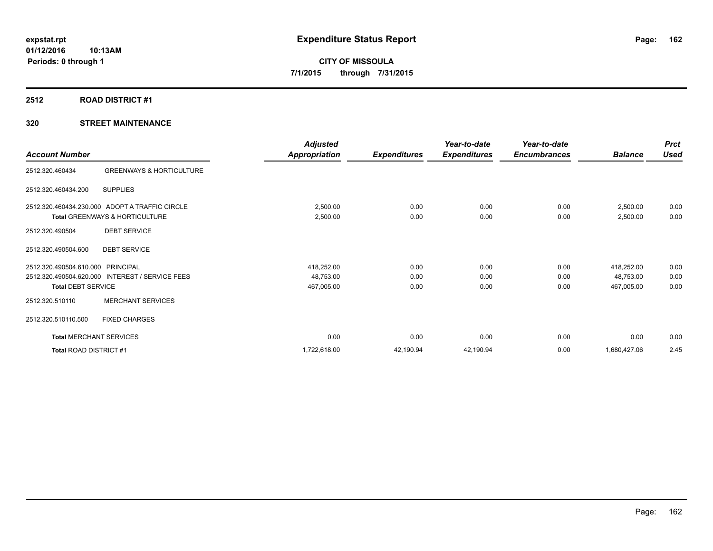# **2512 ROAD DISTRICT #1**

|                                |                                                | <b>Adjusted</b>      |                     | Year-to-date        | Year-to-date        |                | <b>Prct</b> |
|--------------------------------|------------------------------------------------|----------------------|---------------------|---------------------|---------------------|----------------|-------------|
| <b>Account Number</b>          |                                                | <b>Appropriation</b> | <b>Expenditures</b> | <b>Expenditures</b> | <b>Encumbrances</b> | <b>Balance</b> | <b>Used</b> |
| 2512.320.460434                | <b>GREENWAYS &amp; HORTICULTURE</b>            |                      |                     |                     |                     |                |             |
| 2512.320.460434.200            | <b>SUPPLIES</b>                                |                      |                     |                     |                     |                |             |
|                                | 2512.320.460434.230.000 ADOPT A TRAFFIC CIRCLE | 2,500.00             | 0.00                | 0.00                | 0.00                | 2,500.00       | 0.00        |
|                                | <b>Total GREENWAYS &amp; HORTICULTURE</b>      | 2,500.00             | 0.00                | 0.00                | 0.00                | 2,500.00       | 0.00        |
| 2512.320.490504                | <b>DEBT SERVICE</b>                            |                      |                     |                     |                     |                |             |
| 2512.320.490504.600            | <b>DEBT SERVICE</b>                            |                      |                     |                     |                     |                |             |
| 2512.320.490504.610.000        | PRINCIPAL                                      | 418,252.00           | 0.00                | 0.00                | 0.00                | 418,252.00     | 0.00        |
| 2512.320.490504.620.000        | <b>INTEREST / SERVICE FEES</b>                 | 48,753.00            | 0.00                | 0.00                | 0.00                | 48,753.00      | 0.00        |
| <b>Total DEBT SERVICE</b>      |                                                | 467,005.00           | 0.00                | 0.00                | 0.00                | 467,005.00     | 0.00        |
| 2512.320.510110                | <b>MERCHANT SERVICES</b>                       |                      |                     |                     |                     |                |             |
| 2512.320.510110.500            | <b>FIXED CHARGES</b>                           |                      |                     |                     |                     |                |             |
| <b>Total MERCHANT SERVICES</b> |                                                | 0.00                 | 0.00                | 0.00                | 0.00                | 0.00           | 0.00        |
| Total ROAD DISTRICT #1         |                                                | 1,722,618.00         | 42,190.94           | 42,190.94           | 0.00                | 1,680,427.06   | 2.45        |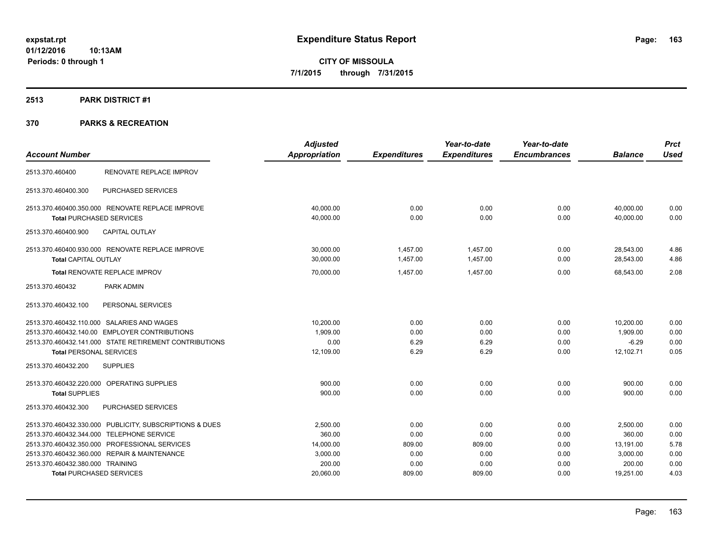# **2513 PARK DISTRICT #1**

|                                                         | <b>Adjusted</b>      |                     | Year-to-date        | Year-to-date        |                | <b>Prct</b> |
|---------------------------------------------------------|----------------------|---------------------|---------------------|---------------------|----------------|-------------|
| <b>Account Number</b>                                   | <b>Appropriation</b> | <b>Expenditures</b> | <b>Expenditures</b> | <b>Encumbrances</b> | <b>Balance</b> | <b>Used</b> |
| RENOVATE REPLACE IMPROV<br>2513.370.460400              |                      |                     |                     |                     |                |             |
| PURCHASED SERVICES<br>2513.370.460400.300               |                      |                     |                     |                     |                |             |
| 2513.370.460400.350.000 RENOVATE REPLACE IMPROVE        | 40,000.00            | 0.00                | 0.00                | 0.00                | 40,000.00      | 0.00        |
| <b>Total PURCHASED SERVICES</b>                         | 40,000.00            | 0.00                | 0.00                | 0.00                | 40,000.00      | 0.00        |
| <b>CAPITAL OUTLAY</b><br>2513.370.460400.900            |                      |                     |                     |                     |                |             |
| 2513.370.460400.930.000 RENOVATE REPLACE IMPROVE        | 30,000.00            | 1,457.00            | 1,457.00            | 0.00                | 28,543.00      | 4.86        |
| Total CAPITAL OUTLAY                                    | 30,000.00            | 1,457.00            | 1,457.00            | 0.00                | 28,543.00      | 4.86        |
| Total RENOVATE REPLACE IMPROV                           | 70,000.00            | 1.457.00            | 1.457.00            | 0.00                | 68.543.00      | 2.08        |
| 2513.370.460432<br>PARK ADMIN                           |                      |                     |                     |                     |                |             |
| PERSONAL SERVICES<br>2513.370.460432.100                |                      |                     |                     |                     |                |             |
| 2513.370.460432.110.000 SALARIES AND WAGES              | 10,200.00            | 0.00                | 0.00                | 0.00                | 10,200.00      | 0.00        |
| 2513.370.460432.140.00 EMPLOYER CONTRIBUTIONS           | 1,909.00             | 0.00                | 0.00                | 0.00                | 1,909.00       | 0.00        |
| 2513.370.460432.141.000 STATE RETIREMENT CONTRIBUTIONS  | 0.00                 | 6.29                | 6.29                | 0.00                | $-6.29$        | 0.00        |
| <b>Total PERSONAL SERVICES</b>                          | 12,109.00            | 6.29                | 6.29                | 0.00                | 12,102.71      | 0.05        |
| <b>SUPPLIES</b><br>2513.370.460432.200                  |                      |                     |                     |                     |                |             |
| 2513.370.460432.220.000 OPERATING SUPPLIES              | 900.00               | 0.00                | 0.00                | 0.00                | 900.00         | 0.00        |
| <b>Total SUPPLIES</b>                                   | 900.00               | 0.00                | 0.00                | 0.00                | 900.00         | 0.00        |
| PURCHASED SERVICES<br>2513.370.460432.300               |                      |                     |                     |                     |                |             |
| 2513.370.460432.330.000 PUBLICITY, SUBSCRIPTIONS & DUES | 2,500.00             | 0.00                | 0.00                | 0.00                | 2,500.00       | 0.00        |
| 2513.370.460432.344.000 TELEPHONE SERVICE               | 360.00               | 0.00                | 0.00                | 0.00                | 360.00         | 0.00        |
| 2513.370.460432.350.000 PROFESSIONAL SERVICES           | 14,000.00            | 809.00              | 809.00              | 0.00                | 13,191.00      | 5.78        |
| 2513.370.460432.360.000 REPAIR & MAINTENANCE            | 3,000.00             | 0.00                | 0.00                | 0.00                | 3,000.00       | 0.00        |
| 2513.370.460432.380.000 TRAINING                        | 200.00               | 0.00                | 0.00                | 0.00                | 200.00         | 0.00        |
| <b>Total PURCHASED SERVICES</b>                         | 20,060.00            | 809.00              | 809.00              | 0.00                | 19,251.00      | 4.03        |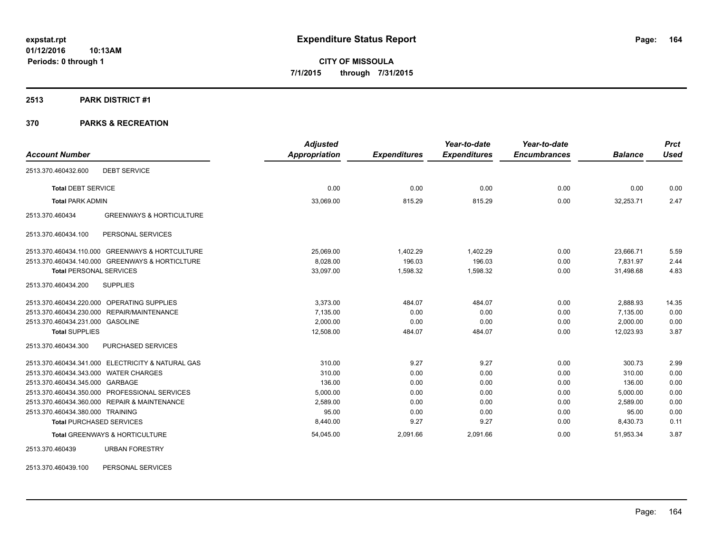#### **2513 PARK DISTRICT #1**

# **370 PARKS & RECREATION**

| <b>Account Number</b>                                         | <b>Adjusted</b><br>Appropriation | <b>Expenditures</b> | Year-to-date<br><b>Expenditures</b> | Year-to-date<br><b>Encumbrances</b> | <b>Balance</b> | <b>Prct</b><br><b>Used</b> |
|---------------------------------------------------------------|----------------------------------|---------------------|-------------------------------------|-------------------------------------|----------------|----------------------------|
|                                                               |                                  |                     |                                     |                                     |                |                            |
| <b>DEBT SERVICE</b><br>2513.370.460432.600                    |                                  |                     |                                     |                                     |                |                            |
| <b>Total DEBT SERVICE</b>                                     | 0.00                             | 0.00                | 0.00                                | 0.00                                | 0.00           | 0.00                       |
| <b>Total PARK ADMIN</b>                                       | 33,069.00                        | 815.29              | 815.29                              | 0.00                                | 32,253.71      | 2.47                       |
| <b>GREENWAYS &amp; HORTICULTURE</b><br>2513.370.460434        |                                  |                     |                                     |                                     |                |                            |
| 2513.370.460434.100<br>PERSONAL SERVICES                      |                                  |                     |                                     |                                     |                |                            |
| <b>GREENWAYS &amp; HORTCULTURE</b><br>2513.370.460434.110.000 | 25,069.00                        | 1,402.29            | 1,402.29                            | 0.00                                | 23,666.71      | 5.59                       |
| 2513.370.460434.140.000 GREENWAYS & HORTICLTURE               | 8,028.00                         | 196.03              | 196.03                              | 0.00                                | 7.831.97       | 2.44                       |
| <b>Total PERSONAL SERVICES</b>                                | 33,097.00                        | 1,598.32            | 1,598.32                            | 0.00                                | 31,498.68      | 4.83                       |
| 2513.370.460434.200<br><b>SUPPLIES</b>                        |                                  |                     |                                     |                                     |                |                            |
| 2513.370.460434.220.000 OPERATING SUPPLIES                    | 3,373.00                         | 484.07              | 484.07                              | 0.00                                | 2,888.93       | 14.35                      |
| REPAIR/MAINTENANCE<br>2513.370.460434.230.000                 | 7,135.00                         | 0.00                | 0.00                                | 0.00                                | 7,135.00       | 0.00                       |
| 2513.370.460434.231.000 GASOLINE                              | 2.000.00                         | 0.00                | 0.00                                | 0.00                                | 2,000.00       | 0.00                       |
| <b>Total SUPPLIES</b>                                         | 12,508.00                        | 484.07              | 484.07                              | 0.00                                | 12,023.93      | 3.87                       |
| PURCHASED SERVICES<br>2513.370.460434.300                     |                                  |                     |                                     |                                     |                |                            |
| 2513.370.460434.341.000 ELECTRICITY & NATURAL GAS             | 310.00                           | 9.27                | 9.27                                | 0.00                                | 300.73         | 2.99                       |
| 2513.370.460434.343.000 WATER CHARGES                         | 310.00                           | 0.00                | 0.00                                | 0.00                                | 310.00         | 0.00                       |
| 2513.370.460434.345.000 GARBAGE                               | 136.00                           | 0.00                | 0.00                                | 0.00                                | 136.00         | 0.00                       |
| 2513.370.460434.350.000 PROFESSIONAL SERVICES                 | 5,000.00                         | 0.00                | 0.00                                | 0.00                                | 5,000.00       | 0.00                       |
| 2513.370.460434.360.000 REPAIR & MAINTENANCE                  | 2,589.00                         | 0.00                | 0.00                                | 0.00                                | 2,589.00       | 0.00                       |
| 2513.370.460434.380.000 TRAINING                              | 95.00                            | 0.00                | 0.00                                | 0.00                                | 95.00          | 0.00                       |
| <b>Total PURCHASED SERVICES</b>                               | 8,440.00                         | 9.27                | 9.27                                | 0.00                                | 8,430.73       | 0.11                       |
| Total GREENWAYS & HORTICULTURE                                | 54,045.00                        | 2,091.66            | 2,091.66                            | 0.00                                | 51,953.34      | 3.87                       |
| 2513.370.460439<br><b>URBAN FORESTRY</b>                      |                                  |                     |                                     |                                     |                |                            |

2513.370.460439.100 PERSONAL SERVICES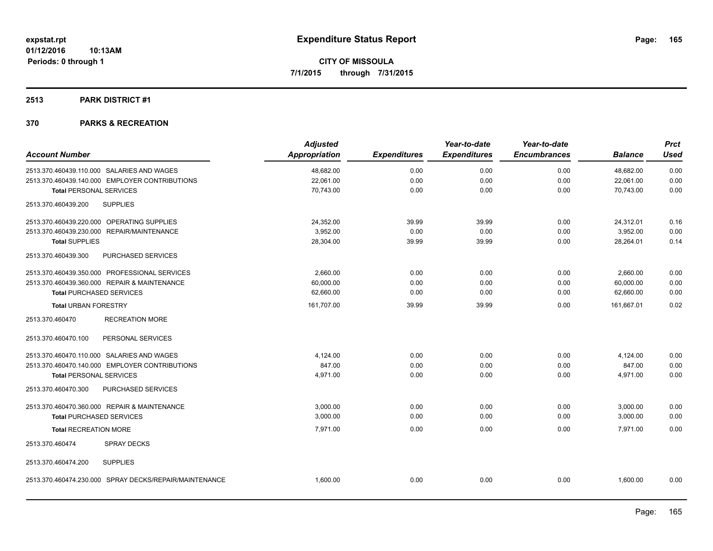# **2513 PARK DISTRICT #1**

| <b>Account Number</b>                                  | <b>Adjusted</b><br><b>Appropriation</b> | <b>Expenditures</b> | Year-to-date<br><b>Expenditures</b> | Year-to-date<br><b>Encumbrances</b> | <b>Balance</b> | <b>Prct</b><br><b>Used</b> |
|--------------------------------------------------------|-----------------------------------------|---------------------|-------------------------------------|-------------------------------------|----------------|----------------------------|
| 2513.370.460439.110.000 SALARIES AND WAGES             | 48,682.00                               | 0.00                | 0.00                                | 0.00                                | 48,682.00      | 0.00                       |
| 2513.370.460439.140.000 EMPLOYER CONTRIBUTIONS         | 22,061.00                               | 0.00                | 0.00                                | 0.00                                | 22,061.00      | 0.00                       |
| <b>Total PERSONAL SERVICES</b>                         | 70,743.00                               | 0.00                | 0.00                                | 0.00                                | 70,743.00      | 0.00                       |
| <b>SUPPLIES</b><br>2513.370.460439.200                 |                                         |                     |                                     |                                     |                |                            |
| 2513.370.460439.220.000 OPERATING SUPPLIES             | 24,352.00                               | 39.99               | 39.99                               | 0.00                                | 24,312.01      | 0.16                       |
| 2513.370.460439.230.000 REPAIR/MAINTENANCE             | 3,952.00                                | 0.00                | 0.00                                | 0.00                                | 3.952.00       | 0.00                       |
| <b>Total SUPPLIES</b>                                  | 28,304.00                               | 39.99               | 39.99                               | 0.00                                | 28,264.01      | 0.14                       |
| PURCHASED SERVICES<br>2513.370.460439.300              |                                         |                     |                                     |                                     |                |                            |
| 2513.370.460439.350.000 PROFESSIONAL SERVICES          | 2,660.00                                | 0.00                | 0.00                                | 0.00                                | 2,660.00       | 0.00                       |
| 2513.370.460439.360.000 REPAIR & MAINTENANCE           | 60,000.00                               | 0.00                | 0.00                                | 0.00                                | 60,000.00      | 0.00                       |
| <b>Total PURCHASED SERVICES</b>                        | 62.660.00                               | 0.00                | 0.00                                | 0.00                                | 62.660.00      | 0.00                       |
| <b>Total URBAN FORESTRY</b>                            | 161,707.00                              | 39.99               | 39.99                               | 0.00                                | 161,667.01     | 0.02                       |
| 2513.370.460470<br><b>RECREATION MORE</b>              |                                         |                     |                                     |                                     |                |                            |
| PERSONAL SERVICES<br>2513.370.460470.100               |                                         |                     |                                     |                                     |                |                            |
| 2513.370.460470.110.000 SALARIES AND WAGES             | 4,124.00                                | 0.00                | 0.00                                | 0.00                                | 4,124.00       | 0.00                       |
| 2513.370.460470.140.000 EMPLOYER CONTRIBUTIONS         | 847.00                                  | 0.00                | 0.00                                | 0.00                                | 847.00         | 0.00                       |
| <b>Total PERSONAL SERVICES</b>                         | 4,971.00                                | 0.00                | 0.00                                | 0.00                                | 4,971.00       | 0.00                       |
| 2513.370.460470.300<br>PURCHASED SERVICES              |                                         |                     |                                     |                                     |                |                            |
| 2513.370.460470.360.000 REPAIR & MAINTENANCE           | 3,000.00                                | 0.00                | 0.00                                | 0.00                                | 3,000.00       | 0.00                       |
| <b>Total PURCHASED SERVICES</b>                        | 3,000.00                                | 0.00                | 0.00                                | 0.00                                | 3,000.00       | 0.00                       |
| <b>Total RECREATION MORE</b>                           | 7,971.00                                | 0.00                | 0.00                                | 0.00                                | 7,971.00       | 0.00                       |
| 2513.370.460474<br><b>SPRAY DECKS</b>                  |                                         |                     |                                     |                                     |                |                            |
| 2513.370.460474.200<br><b>SUPPLIES</b>                 |                                         |                     |                                     |                                     |                |                            |
| 2513.370.460474.230.000 SPRAY DECKS/REPAIR/MAINTENANCE | 1,600.00                                | 0.00                | 0.00                                | 0.00                                | 1,600.00       | 0.00                       |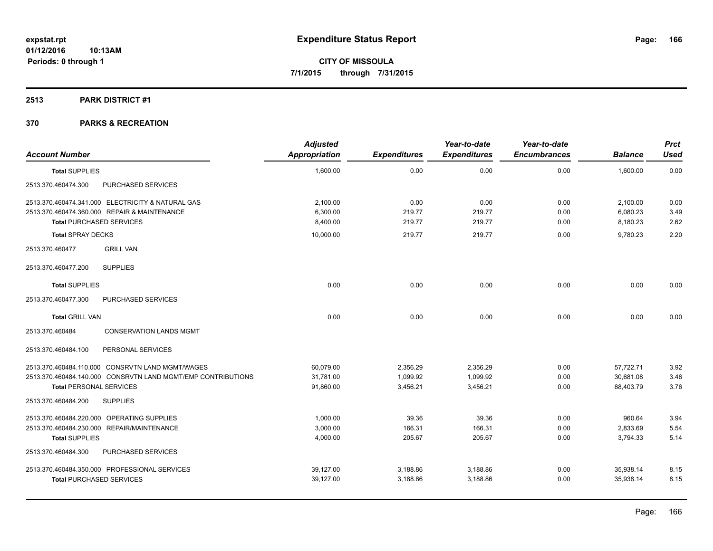# **2513 PARK DISTRICT #1**

| <b>Account Number</b>                        |                                                              | <b>Adjusted</b><br><b>Appropriation</b> | <b>Expenditures</b> | Year-to-date<br><b>Expenditures</b> | Year-to-date<br><b>Encumbrances</b> | <b>Balance</b> | <b>Prct</b><br><b>Used</b> |
|----------------------------------------------|--------------------------------------------------------------|-----------------------------------------|---------------------|-------------------------------------|-------------------------------------|----------------|----------------------------|
| <b>Total SUPPLIES</b>                        |                                                              | 1,600.00                                | 0.00                | 0.00                                | 0.00                                | 1,600.00       | 0.00                       |
| 2513.370.460474.300                          | PURCHASED SERVICES                                           |                                         |                     |                                     |                                     |                |                            |
|                                              | 2513.370.460474.341.000 ELECTRICITY & NATURAL GAS            | 2,100.00                                | 0.00                | 0.00                                | 0.00                                | 2,100.00       | 0.00                       |
| 2513.370.460474.360.000 REPAIR & MAINTENANCE |                                                              | 6,300.00                                | 219.77              | 219.77                              | 0.00                                | 6,080.23       | 3.49                       |
| <b>Total PURCHASED SERVICES</b>              |                                                              | 8,400.00                                | 219.77              | 219.77                              | 0.00                                | 8,180.23       | 2.62                       |
| <b>Total SPRAY DECKS</b>                     |                                                              | 10,000.00                               | 219.77              | 219.77                              | 0.00                                | 9,780.23       | 2.20                       |
| 2513.370.460477                              | <b>GRILL VAN</b>                                             |                                         |                     |                                     |                                     |                |                            |
| 2513.370.460477.200                          | <b>SUPPLIES</b>                                              |                                         |                     |                                     |                                     |                |                            |
| <b>Total SUPPLIES</b>                        |                                                              | 0.00                                    | 0.00                | 0.00                                | 0.00                                | 0.00           | 0.00                       |
| 2513.370.460477.300                          | PURCHASED SERVICES                                           |                                         |                     |                                     |                                     |                |                            |
| <b>Total GRILL VAN</b>                       |                                                              | 0.00                                    | 0.00                | 0.00                                | 0.00                                | 0.00           | 0.00                       |
| 2513.370.460484                              | <b>CONSERVATION LANDS MGMT</b>                               |                                         |                     |                                     |                                     |                |                            |
| 2513.370.460484.100                          | PERSONAL SERVICES                                            |                                         |                     |                                     |                                     |                |                            |
|                                              | 2513.370.460484.110.000 CONSRVTN LAND MGMT/WAGES             | 60,079.00                               | 2,356.29            | 2,356.29                            | 0.00                                | 57,722.71      | 3.92                       |
|                                              | 2513.370.460484.140.000 CONSRVTN LAND MGMT/EMP CONTRIBUTIONS | 31,781.00                               | 1,099.92            | 1,099.92                            | 0.00                                | 30,681.08      | 3.46                       |
| <b>Total PERSONAL SERVICES</b>               |                                                              | 91,860.00                               | 3,456.21            | 3,456.21                            | 0.00                                | 88,403.79      | 3.76                       |
| 2513.370.460484.200                          | <b>SUPPLIES</b>                                              |                                         |                     |                                     |                                     |                |                            |
| 2513.370.460484.220.000 OPERATING SUPPLIES   |                                                              | 1,000.00                                | 39.36               | 39.36                               | 0.00                                | 960.64         | 3.94                       |
| 2513.370.460484.230.000 REPAIR/MAINTENANCE   |                                                              | 3,000.00                                | 166.31              | 166.31                              | 0.00                                | 2,833.69       | 5.54                       |
| <b>Total SUPPLIES</b>                        |                                                              | 4,000.00                                | 205.67              | 205.67                              | 0.00                                | 3,794.33       | 5.14                       |
| 2513.370.460484.300                          | PURCHASED SERVICES                                           |                                         |                     |                                     |                                     |                |                            |
|                                              | 2513.370.460484.350.000 PROFESSIONAL SERVICES                | 39,127.00                               | 3,188.86            | 3,188.86                            | 0.00                                | 35,938.14      | 8.15                       |
| <b>Total PURCHASED SERVICES</b>              |                                                              | 39,127.00                               | 3,188.86            | 3,188.86                            | 0.00                                | 35,938.14      | 8.15                       |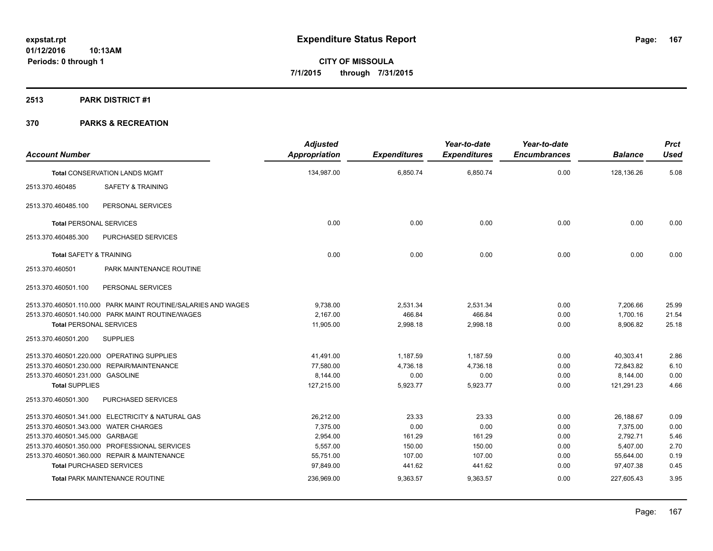**2513 PARK DISTRICT #1**

| <b>Account Number</b>                 |                                                               | <b>Adjusted</b><br><b>Appropriation</b> | <b>Expenditures</b> | Year-to-date<br><b>Expenditures</b> | Year-to-date<br><b>Encumbrances</b> | <b>Balance</b> | <b>Prct</b><br><b>Used</b> |
|---------------------------------------|---------------------------------------------------------------|-----------------------------------------|---------------------|-------------------------------------|-------------------------------------|----------------|----------------------------|
|                                       | <b>Total CONSERVATION LANDS MGMT</b>                          | 134,987.00                              | 6,850.74            | 6,850.74                            | 0.00                                | 128,136.26     | 5.08                       |
| 2513.370.460485                       | <b>SAFETY &amp; TRAINING</b>                                  |                                         |                     |                                     |                                     |                |                            |
| 2513.370.460485.100                   | PERSONAL SERVICES                                             |                                         |                     |                                     |                                     |                |                            |
| <b>Total PERSONAL SERVICES</b>        |                                                               | 0.00                                    | 0.00                | 0.00                                | 0.00                                | 0.00           | 0.00                       |
| 2513.370.460485.300                   | PURCHASED SERVICES                                            |                                         |                     |                                     |                                     |                |                            |
| <b>Total SAFETY &amp; TRAINING</b>    |                                                               | 0.00                                    | 0.00                | 0.00                                | 0.00                                | 0.00           | 0.00                       |
| 2513.370.460501                       | PARK MAINTENANCE ROUTINE                                      |                                         |                     |                                     |                                     |                |                            |
| 2513.370.460501.100                   | PERSONAL SERVICES                                             |                                         |                     |                                     |                                     |                |                            |
|                                       | 2513.370.460501.110.000 PARK MAINT ROUTINE/SALARIES AND WAGES | 9,738.00                                | 2,531.34            | 2,531.34                            | 0.00                                | 7,206.66       | 25.99                      |
|                                       | 2513.370.460501.140.000 PARK MAINT ROUTINE/WAGES              | 2,167.00                                | 466.84              | 466.84                              | 0.00                                | 1,700.16       | 21.54                      |
| <b>Total PERSONAL SERVICES</b>        |                                                               | 11,905.00                               | 2,998.18            | 2,998.18                            | 0.00                                | 8,906.82       | 25.18                      |
| 2513.370.460501.200                   | <b>SUPPLIES</b>                                               |                                         |                     |                                     |                                     |                |                            |
|                                       | 2513.370.460501.220.000 OPERATING SUPPLIES                    | 41,491.00                               | 1,187.59            | 1,187.59                            | 0.00                                | 40,303.41      | 2.86                       |
| 2513.370.460501.230.000               | <b>REPAIR/MAINTENANCE</b>                                     | 77,580.00                               | 4,736.18            | 4,736.18                            | 0.00                                | 72,843.82      | 6.10                       |
| 2513.370.460501.231.000 GASOLINE      |                                                               | 8,144.00                                | 0.00                | 0.00                                | 0.00                                | 8,144.00       | 0.00                       |
| <b>Total SUPPLIES</b>                 |                                                               | 127,215.00                              | 5,923.77            | 5,923.77                            | 0.00                                | 121,291.23     | 4.66                       |
| 2513.370.460501.300                   | PURCHASED SERVICES                                            |                                         |                     |                                     |                                     |                |                            |
|                                       | 2513.370.460501.341.000 ELECTRICITY & NATURAL GAS             | 26,212.00                               | 23.33               | 23.33                               | 0.00                                | 26,188.67      | 0.09                       |
| 2513.370.460501.343.000 WATER CHARGES |                                                               | 7.375.00                                | 0.00                | 0.00                                | 0.00                                | 7,375.00       | 0.00                       |
| 2513.370.460501.345.000 GARBAGE       |                                                               | 2,954.00                                | 161.29              | 161.29                              | 0.00                                | 2,792.71       | 5.46                       |
|                                       | 2513.370.460501.350.000 PROFESSIONAL SERVICES                 | 5,557.00                                | 150.00              | 150.00                              | 0.00                                | 5,407.00       | 2.70                       |
|                                       | 2513.370.460501.360.000 REPAIR & MAINTENANCE                  | 55,751.00                               | 107.00              | 107.00                              | 0.00                                | 55,644.00      | 0.19                       |
| <b>Total PURCHASED SERVICES</b>       |                                                               | 97,849.00                               | 441.62              | 441.62                              | 0.00                                | 97,407.38      | 0.45                       |
|                                       | <b>Total PARK MAINTENANCE ROUTINE</b>                         | 236,969.00                              | 9,363.57            | 9,363.57                            | 0.00                                | 227,605.43     | 3.95                       |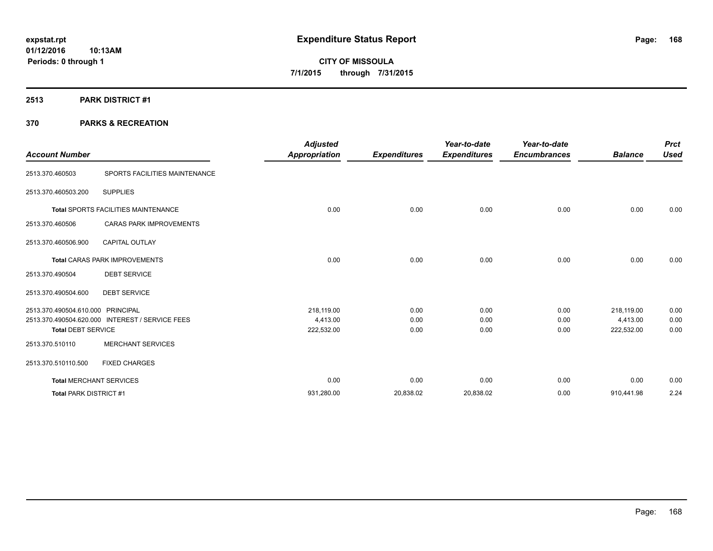**2513 PARK DISTRICT #1**

|                                   |                                      | <b>Adjusted</b>      |                     | Year-to-date        | Year-to-date        |                | <b>Prct</b> |
|-----------------------------------|--------------------------------------|----------------------|---------------------|---------------------|---------------------|----------------|-------------|
| <b>Account Number</b>             |                                      | <b>Appropriation</b> | <b>Expenditures</b> | <b>Expenditures</b> | <b>Encumbrances</b> | <b>Balance</b> | <b>Used</b> |
| 2513.370.460503                   | SPORTS FACILITIES MAINTENANCE        |                      |                     |                     |                     |                |             |
| 2513.370.460503.200               | <b>SUPPLIES</b>                      |                      |                     |                     |                     |                |             |
|                                   | Total SPORTS FACILITIES MAINTENANCE  | 0.00                 | 0.00                | 0.00                | 0.00                | 0.00           | 0.00        |
| 2513.370.460506                   | <b>CARAS PARK IMPROVEMENTS</b>       |                      |                     |                     |                     |                |             |
| 2513.370.460506.900               | <b>CAPITAL OUTLAY</b>                |                      |                     |                     |                     |                |             |
|                                   | <b>Total CARAS PARK IMPROVEMENTS</b> | 0.00                 | 0.00                | 0.00                | 0.00                | 0.00           | 0.00        |
| 2513.370.490504                   | <b>DEBT SERVICE</b>                  |                      |                     |                     |                     |                |             |
| 2513.370.490504.600               | <b>DEBT SERVICE</b>                  |                      |                     |                     |                     |                |             |
| 2513.370.490504.610.000 PRINCIPAL |                                      | 218,119.00           | 0.00                | 0.00                | 0.00                | 218,119.00     | 0.00        |
| 2513.370.490504.620.000           | <b>INTEREST / SERVICE FEES</b>       | 4,413.00             | 0.00                | 0.00                | 0.00                | 4,413.00       | 0.00        |
| <b>Total DEBT SERVICE</b>         |                                      | 222,532.00           | 0.00                | 0.00                | 0.00                | 222,532.00     | 0.00        |
| 2513.370.510110                   | <b>MERCHANT SERVICES</b>             |                      |                     |                     |                     |                |             |
| 2513.370.510110.500               | <b>FIXED CHARGES</b>                 |                      |                     |                     |                     |                |             |
| <b>Total MERCHANT SERVICES</b>    |                                      | 0.00                 | 0.00                | 0.00                | 0.00                | 0.00           | 0.00        |
| Total PARK DISTRICT #1            |                                      | 931,280.00           | 20,838.02           | 20,838.02           | 0.00                | 910,441.98     | 2.24        |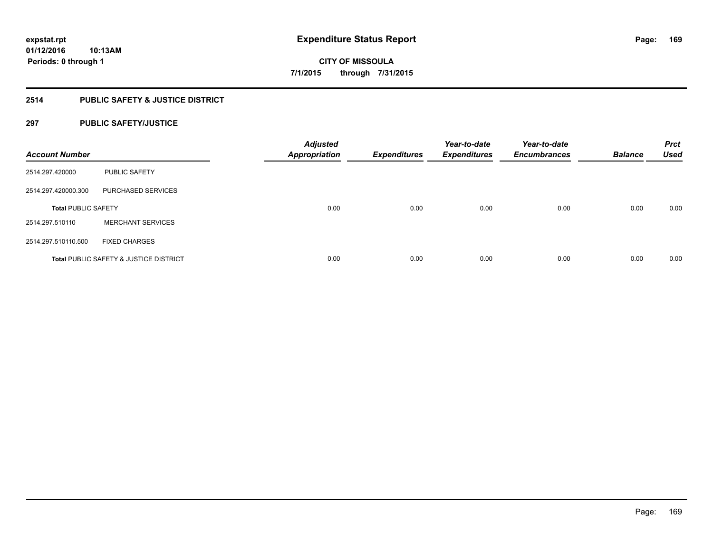# **2514 PUBLIC SAFETY & JUSTICE DISTRICT**

# **297 PUBLIC SAFETY/JUSTICE**

| <b>Account Number</b>      |                                                   | <b>Adjusted</b><br><b>Appropriation</b> | <b>Expenditures</b> | Year-to-date<br><b>Expenditures</b> | Year-to-date<br><b>Encumbrances</b> | <b>Balance</b> | <b>Prct</b><br><b>Used</b> |
|----------------------------|---------------------------------------------------|-----------------------------------------|---------------------|-------------------------------------|-------------------------------------|----------------|----------------------------|
| 2514.297.420000            | <b>PUBLIC SAFETY</b>                              |                                         |                     |                                     |                                     |                |                            |
| 2514.297.420000.300        | PURCHASED SERVICES                                |                                         |                     |                                     |                                     |                |                            |
| <b>Total PUBLIC SAFETY</b> |                                                   | 0.00                                    | 0.00                | 0.00                                | 0.00                                | 0.00           | 0.00                       |
| 2514.297.510110            | <b>MERCHANT SERVICES</b>                          |                                         |                     |                                     |                                     |                |                            |
| 2514.297.510110.500        | <b>FIXED CHARGES</b>                              |                                         |                     |                                     |                                     |                |                            |
|                            | <b>Total PUBLIC SAFETY &amp; JUSTICE DISTRICT</b> | 0.00                                    | 0.00                | 0.00                                | 0.00                                | 0.00           | 0.00                       |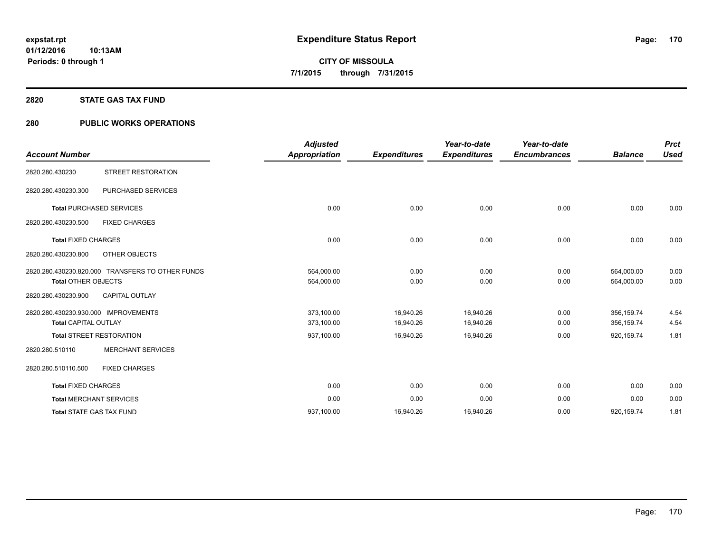### **2820 STATE GAS TAX FUND**

# **280 PUBLIC WORKS OPERATIONS**

| <b>Account Number</b>                                               |                                                  | <b>Adjusted</b><br><b>Appropriation</b> | <b>Expenditures</b>    | Year-to-date<br><b>Expenditures</b> | Year-to-date<br><b>Encumbrances</b> | <b>Balance</b>           | <b>Prct</b><br><b>Used</b> |
|---------------------------------------------------------------------|--------------------------------------------------|-----------------------------------------|------------------------|-------------------------------------|-------------------------------------|--------------------------|----------------------------|
| 2820.280.430230                                                     | <b>STREET RESTORATION</b>                        |                                         |                        |                                     |                                     |                          |                            |
| 2820.280.430230.300                                                 | <b>PURCHASED SERVICES</b>                        |                                         |                        |                                     |                                     |                          |                            |
|                                                                     | <b>Total PURCHASED SERVICES</b>                  | 0.00                                    | 0.00                   | 0.00                                | 0.00                                | 0.00                     | 0.00                       |
| 2820.280.430230.500                                                 | <b>FIXED CHARGES</b>                             |                                         |                        |                                     |                                     |                          |                            |
| <b>Total FIXED CHARGES</b>                                          |                                                  | 0.00                                    | 0.00                   | 0.00                                | 0.00                                | 0.00                     | 0.00                       |
| 2820.280.430230.800                                                 | OTHER OBJECTS                                    |                                         |                        |                                     |                                     |                          |                            |
| <b>Total OTHER OBJECTS</b>                                          | 2820.280.430230.820.000 TRANSFERS TO OTHER FUNDS | 564,000.00<br>564,000.00                | 0.00<br>0.00           | 0.00<br>0.00                        | 0.00<br>0.00                        | 564,000.00<br>564,000.00 | 0.00<br>0.00               |
| 2820.280.430230.900                                                 | <b>CAPITAL OUTLAY</b>                            |                                         |                        |                                     |                                     |                          |                            |
| 2820.280.430230.930.000 IMPROVEMENTS<br><b>Total CAPITAL OUTLAY</b> |                                                  | 373,100.00<br>373,100.00                | 16,940.26<br>16,940.26 | 16,940.26<br>16,940.26              | 0.00<br>0.00                        | 356,159.74<br>356,159.74 | 4.54<br>4.54               |
|                                                                     | <b>Total STREET RESTORATION</b>                  | 937,100.00                              | 16,940.26              | 16,940.26                           | 0.00                                | 920,159.74               | 1.81                       |
| 2820.280.510110                                                     | <b>MERCHANT SERVICES</b>                         |                                         |                        |                                     |                                     |                          |                            |
| 2820.280.510110.500                                                 | <b>FIXED CHARGES</b>                             |                                         |                        |                                     |                                     |                          |                            |
| <b>Total FIXED CHARGES</b>                                          |                                                  | 0.00                                    | 0.00                   | 0.00                                | 0.00                                | 0.00                     | 0.00                       |
| <b>Total MERCHANT SERVICES</b>                                      |                                                  | 0.00                                    | 0.00                   | 0.00                                | 0.00                                | 0.00                     | 0.00                       |
| <b>Total STATE GAS TAX FUND</b>                                     |                                                  | 937,100.00                              | 16,940.26              | 16,940.26                           | 0.00                                | 920,159.74               | 1.81                       |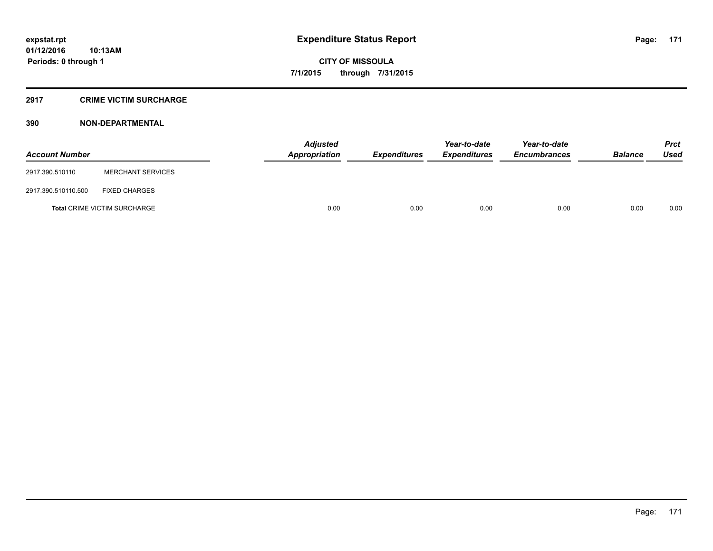### **2917 CRIME VICTIM SURCHARGE**

| <b>Account Number</b> |                                     | Adjusted<br><b>Appropriation</b> | <b>Expenditures</b> | Year-to-date<br><b>Expenditures</b> | Year-to-date<br><b>Encumbrances</b> | <b>Balance</b> | <b>Prct</b><br><b>Used</b> |
|-----------------------|-------------------------------------|----------------------------------|---------------------|-------------------------------------|-------------------------------------|----------------|----------------------------|
| 2917.390.510110       | <b>MERCHANT SERVICES</b>            |                                  |                     |                                     |                                     |                |                            |
| 2917.390.510110.500   | <b>FIXED CHARGES</b>                |                                  |                     |                                     |                                     |                |                            |
|                       | <b>Total CRIME VICTIM SURCHARGE</b> | 0.00                             | 0.00                | 0.00                                | 0.00                                | 0.00           | 0.00                       |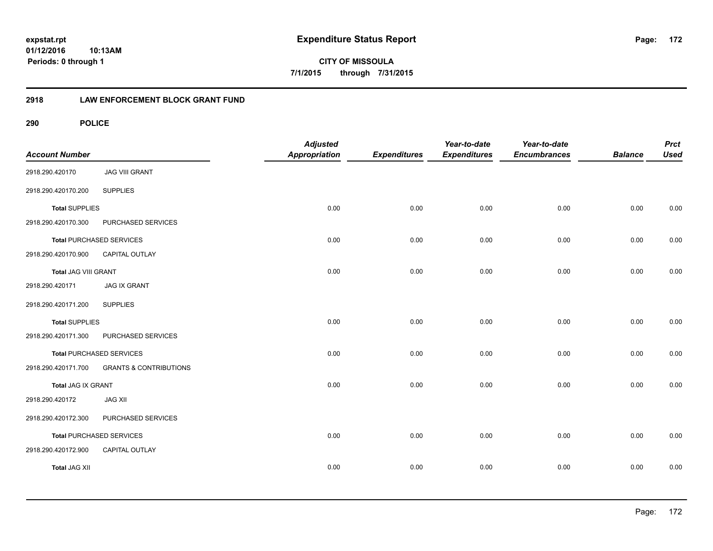**CITY OF MISSOULA 7/1/2015 through 7/31/2015**

# **2918 LAW ENFORCEMENT BLOCK GRANT FUND**

| <b>Account Number</b> |                                   | <b>Adjusted</b><br>Appropriation | <b>Expenditures</b> | Year-to-date<br><b>Expenditures</b> | Year-to-date<br><b>Encumbrances</b> | <b>Balance</b> | <b>Prct</b><br><b>Used</b> |
|-----------------------|-----------------------------------|----------------------------------|---------------------|-------------------------------------|-------------------------------------|----------------|----------------------------|
| 2918.290.420170       | <b>JAG VIII GRANT</b>             |                                  |                     |                                     |                                     |                |                            |
| 2918.290.420170.200   | <b>SUPPLIES</b>                   |                                  |                     |                                     |                                     |                |                            |
| <b>Total SUPPLIES</b> |                                   | 0.00                             | 0.00                | 0.00                                | 0.00                                | 0.00           | 0.00                       |
| 2918.290.420170.300   | PURCHASED SERVICES                |                                  |                     |                                     |                                     |                |                            |
|                       | <b>Total PURCHASED SERVICES</b>   | 0.00                             | 0.00                | 0.00                                | 0.00                                | 0.00           | 0.00                       |
| 2918.290.420170.900   | CAPITAL OUTLAY                    |                                  |                     |                                     |                                     |                |                            |
| Total JAG VIII GRANT  |                                   | 0.00                             | 0.00                | 0.00                                | 0.00                                | 0.00           | 0.00                       |
| 2918.290.420171       | <b>JAG IX GRANT</b>               |                                  |                     |                                     |                                     |                |                            |
| 2918.290.420171.200   | <b>SUPPLIES</b>                   |                                  |                     |                                     |                                     |                |                            |
| <b>Total SUPPLIES</b> |                                   | 0.00                             | 0.00                | 0.00                                | 0.00                                | 0.00           | 0.00                       |
| 2918.290.420171.300   | PURCHASED SERVICES                |                                  |                     |                                     |                                     |                |                            |
|                       | <b>Total PURCHASED SERVICES</b>   | 0.00                             | 0.00                | 0.00                                | 0.00                                | 0.00           | 0.00                       |
| 2918.290.420171.700   | <b>GRANTS &amp; CONTRIBUTIONS</b> |                                  |                     |                                     |                                     |                |                            |
| Total JAG IX GRANT    |                                   | 0.00                             | 0.00                | 0.00                                | 0.00                                | 0.00           | 0.00                       |
| 2918.290.420172       | <b>JAG XII</b>                    |                                  |                     |                                     |                                     |                |                            |
| 2918.290.420172.300   | PURCHASED SERVICES                |                                  |                     |                                     |                                     |                |                            |
|                       | <b>Total PURCHASED SERVICES</b>   | 0.00                             | 0.00                | 0.00                                | 0.00                                | 0.00           | 0.00                       |
| 2918.290.420172.900   | CAPITAL OUTLAY                    |                                  |                     |                                     |                                     |                |                            |
| <b>Total JAG XII</b>  |                                   | 0.00                             | 0.00                | 0.00                                | 0.00                                | 0.00           | 0.00                       |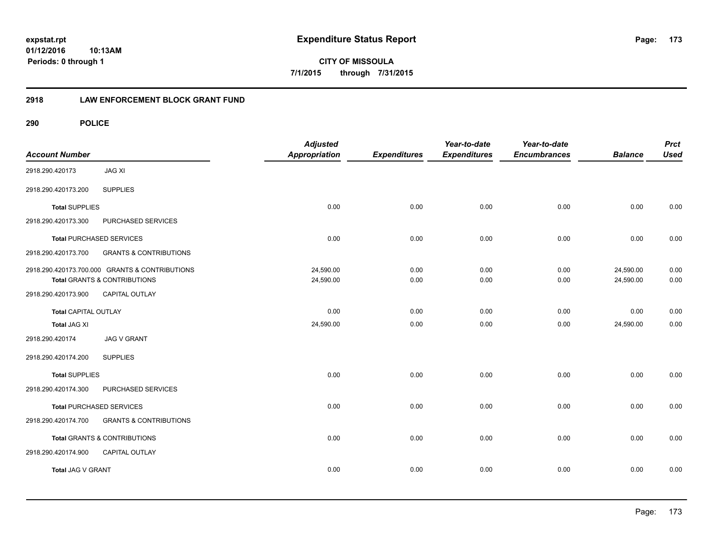**CITY OF MISSOULA 7/1/2015 through 7/31/2015**

# **2918 LAW ENFORCEMENT BLOCK GRANT FUND**

| <b>Account Number</b>       |                                                | <b>Adjusted</b><br>Appropriation | <b>Expenditures</b> | Year-to-date<br><b>Expenditures</b> | Year-to-date<br><b>Encumbrances</b> | <b>Balance</b> | <b>Prct</b><br><b>Used</b> |
|-----------------------------|------------------------------------------------|----------------------------------|---------------------|-------------------------------------|-------------------------------------|----------------|----------------------------|
| 2918.290.420173             | <b>JAG XI</b>                                  |                                  |                     |                                     |                                     |                |                            |
| 2918.290.420173.200         | <b>SUPPLIES</b>                                |                                  |                     |                                     |                                     |                |                            |
| <b>Total SUPPLIES</b>       |                                                | 0.00                             | 0.00                | 0.00                                | 0.00                                | 0.00           | 0.00                       |
| 2918.290.420173.300         | PURCHASED SERVICES                             |                                  |                     |                                     |                                     |                |                            |
|                             | <b>Total PURCHASED SERVICES</b>                | 0.00                             | 0.00                | 0.00                                | 0.00                                | 0.00           | 0.00                       |
| 2918.290.420173.700         | <b>GRANTS &amp; CONTRIBUTIONS</b>              |                                  |                     |                                     |                                     |                |                            |
|                             | 2918.290.420173.700.000 GRANTS & CONTRIBUTIONS | 24,590.00                        | 0.00                | 0.00                                | 0.00                                | 24,590.00      | 0.00                       |
|                             | Total GRANTS & CONTRIBUTIONS                   | 24,590.00                        | 0.00                | 0.00                                | 0.00                                | 24,590.00      | 0.00                       |
| 2918.290.420173.900         | <b>CAPITAL OUTLAY</b>                          |                                  |                     |                                     |                                     |                |                            |
| <b>Total CAPITAL OUTLAY</b> |                                                | 0.00                             | 0.00                | 0.00                                | 0.00                                | 0.00           | 0.00                       |
| <b>Total JAG XI</b>         |                                                | 24,590.00                        | 0.00                | 0.00                                | 0.00                                | 24,590.00      | 0.00                       |
| 2918.290.420174             | <b>JAG V GRANT</b>                             |                                  |                     |                                     |                                     |                |                            |
| 2918.290.420174.200         | <b>SUPPLIES</b>                                |                                  |                     |                                     |                                     |                |                            |
| <b>Total SUPPLIES</b>       |                                                | 0.00                             | 0.00                | 0.00                                | 0.00                                | 0.00           | 0.00                       |
| 2918.290.420174.300         | PURCHASED SERVICES                             |                                  |                     |                                     |                                     |                |                            |
|                             | <b>Total PURCHASED SERVICES</b>                | 0.00                             | 0.00                | 0.00                                | 0.00                                | 0.00           | 0.00                       |
| 2918.290.420174.700         | <b>GRANTS &amp; CONTRIBUTIONS</b>              |                                  |                     |                                     |                                     |                |                            |
|                             | Total GRANTS & CONTRIBUTIONS                   | 0.00                             | 0.00                | 0.00                                | 0.00                                | 0.00           | 0.00                       |
| 2918.290.420174.900         | <b>CAPITAL OUTLAY</b>                          |                                  |                     |                                     |                                     |                |                            |
| Total JAG V GRANT           |                                                | 0.00                             | 0.00                | 0.00                                | 0.00                                | 0.00           | 0.00                       |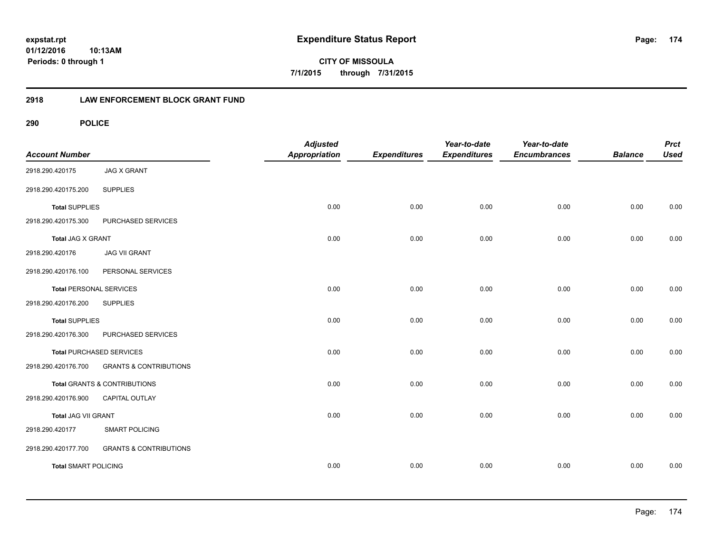**CITY OF MISSOULA 7/1/2015 through 7/31/2015**

# **2918 LAW ENFORCEMENT BLOCK GRANT FUND**

| <b>Account Number</b>          |                                   | <b>Adjusted</b><br>Appropriation | <b>Expenditures</b> | Year-to-date<br><b>Expenditures</b> | Year-to-date<br><b>Encumbrances</b> | <b>Balance</b> | <b>Prct</b><br><b>Used</b> |
|--------------------------------|-----------------------------------|----------------------------------|---------------------|-------------------------------------|-------------------------------------|----------------|----------------------------|
| 2918.290.420175                | <b>JAG X GRANT</b>                |                                  |                     |                                     |                                     |                |                            |
| 2918.290.420175.200            | <b>SUPPLIES</b>                   |                                  |                     |                                     |                                     |                |                            |
| <b>Total SUPPLIES</b>          |                                   | 0.00                             | 0.00                | 0.00                                | 0.00                                | 0.00           | 0.00                       |
| 2918.290.420175.300            | PURCHASED SERVICES                |                                  |                     |                                     |                                     |                |                            |
| Total JAG X GRANT              |                                   | 0.00                             | 0.00                | 0.00                                | 0.00                                | 0.00           | 0.00                       |
| 2918.290.420176                | <b>JAG VII GRANT</b>              |                                  |                     |                                     |                                     |                |                            |
| 2918.290.420176.100            | PERSONAL SERVICES                 |                                  |                     |                                     |                                     |                |                            |
| <b>Total PERSONAL SERVICES</b> |                                   | 0.00                             | 0.00                | 0.00                                | 0.00                                | 0.00           | 0.00                       |
| 2918.290.420176.200            | <b>SUPPLIES</b>                   |                                  |                     |                                     |                                     |                |                            |
| <b>Total SUPPLIES</b>          |                                   | 0.00                             | 0.00                | 0.00                                | 0.00                                | 0.00           | 0.00                       |
| 2918.290.420176.300            | PURCHASED SERVICES                |                                  |                     |                                     |                                     |                |                            |
|                                | Total PURCHASED SERVICES          | 0.00                             | 0.00                | 0.00                                | 0.00                                | 0.00           | 0.00                       |
| 2918.290.420176.700            | <b>GRANTS &amp; CONTRIBUTIONS</b> |                                  |                     |                                     |                                     |                |                            |
|                                | Total GRANTS & CONTRIBUTIONS      | 0.00                             | 0.00                | 0.00                                | 0.00                                | 0.00           | 0.00                       |
| 2918.290.420176.900            | <b>CAPITAL OUTLAY</b>             |                                  |                     |                                     |                                     |                |                            |
| Total JAG VII GRANT            |                                   | 0.00                             | 0.00                | 0.00                                | 0.00                                | 0.00           | 0.00                       |
| 2918.290.420177                | <b>SMART POLICING</b>             |                                  |                     |                                     |                                     |                |                            |
| 2918.290.420177.700            | <b>GRANTS &amp; CONTRIBUTIONS</b> |                                  |                     |                                     |                                     |                |                            |
| <b>Total SMART POLICING</b>    |                                   | 0.00                             | 0.00                | 0.00                                | 0.00                                | 0.00           | 0.00                       |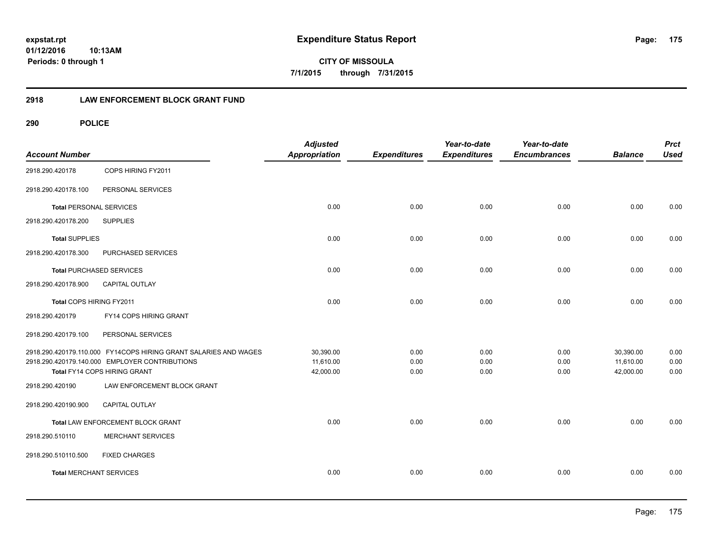**CITY OF MISSOULA 7/1/2015 through 7/31/2015**

# **2918 LAW ENFORCEMENT BLOCK GRANT FUND**

| <b>Account Number</b>           |                                                                  | <b>Adjusted</b><br><b>Appropriation</b> | <b>Expenditures</b> | Year-to-date<br><b>Expenditures</b> | Year-to-date<br><b>Encumbrances</b> | <b>Balance</b> | <b>Prct</b><br><b>Used</b> |
|---------------------------------|------------------------------------------------------------------|-----------------------------------------|---------------------|-------------------------------------|-------------------------------------|----------------|----------------------------|
| 2918.290.420178                 | COPS HIRING FY2011                                               |                                         |                     |                                     |                                     |                |                            |
| 2918.290.420178.100             | PERSONAL SERVICES                                                |                                         |                     |                                     |                                     |                |                            |
| <b>Total PERSONAL SERVICES</b>  |                                                                  | 0.00                                    | 0.00                | 0.00                                | 0.00                                | 0.00           | 0.00                       |
| 2918.290.420178.200             | <b>SUPPLIES</b>                                                  |                                         |                     |                                     |                                     |                |                            |
| <b>Total SUPPLIES</b>           |                                                                  | 0.00                                    | 0.00                | 0.00                                | 0.00                                | 0.00           | 0.00                       |
| 2918.290.420178.300             | PURCHASED SERVICES                                               |                                         |                     |                                     |                                     |                |                            |
| <b>Total PURCHASED SERVICES</b> |                                                                  | 0.00                                    | 0.00                | 0.00                                | 0.00                                | 0.00           | 0.00                       |
| 2918.290.420178.900             | <b>CAPITAL OUTLAY</b>                                            |                                         |                     |                                     |                                     |                |                            |
| Total COPS HIRING FY2011        |                                                                  | 0.00                                    | 0.00                | 0.00                                | 0.00                                | 0.00           | 0.00                       |
| 2918.290.420179                 | FY14 COPS HIRING GRANT                                           |                                         |                     |                                     |                                     |                |                            |
| 2918.290.420179.100             | PERSONAL SERVICES                                                |                                         |                     |                                     |                                     |                |                            |
|                                 | 2918.290.420179.110.000 FY14COPS HIRING GRANT SALARIES AND WAGES | 30,390.00                               | 0.00                | 0.00                                | 0.00                                | 30,390.00      | 0.00                       |
|                                 | 2918.290.420179.140.000 EMPLOYER CONTRIBUTIONS                   | 11,610.00                               | 0.00                | 0.00                                | 0.00                                | 11,610.00      | 0.00                       |
|                                 | Total FY14 COPS HIRING GRANT                                     | 42,000.00                               | 0.00                | 0.00                                | 0.00                                | 42,000.00      | 0.00                       |
| 2918.290.420190                 | LAW ENFORCEMENT BLOCK GRANT                                      |                                         |                     |                                     |                                     |                |                            |
| 2918.290.420190.900             | CAPITAL OUTLAY                                                   |                                         |                     |                                     |                                     |                |                            |
|                                 | Total LAW ENFORCEMENT BLOCK GRANT                                | 0.00                                    | 0.00                | 0.00                                | 0.00                                | 0.00           | 0.00                       |
| 2918.290.510110                 | <b>MERCHANT SERVICES</b>                                         |                                         |                     |                                     |                                     |                |                            |
| 2918.290.510110.500             | <b>FIXED CHARGES</b>                                             |                                         |                     |                                     |                                     |                |                            |
| <b>Total MERCHANT SERVICES</b>  |                                                                  | 0.00                                    | 0.00                | 0.00                                | 0.00                                | 0.00           | 0.00                       |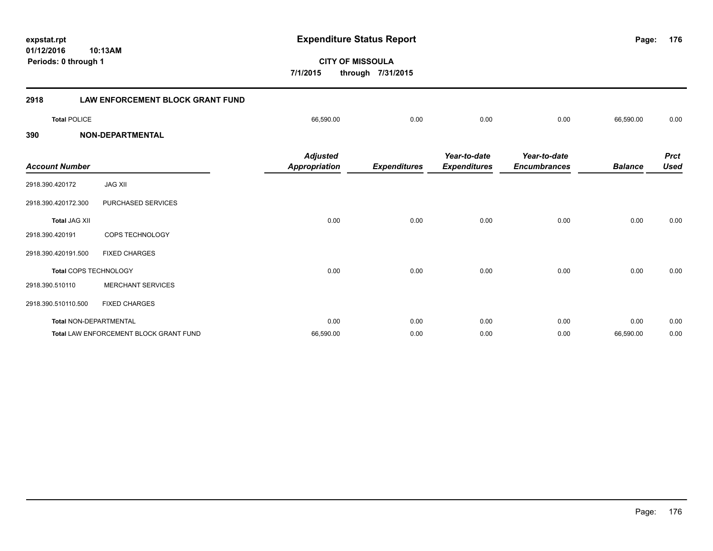**01/12/2016 CITY OF MISSOULA 10:13AM 7/1/2015 through 7/31/2015 Periods: 0 through 1 2918 LAW ENFORCEMENT BLOCK GRANT FUND Total** POLICE 66,590.00 0.00 0.00 0.00 66,590.00 0.00 **390 NON-DEPARTMENTAL** *Prct Year-to-date Encumbrances Year-to-date Expenditures Expenditures Adjusted Account Number Appropriation* 2918.390.420172 JAG XII 2918.390.420172.300 PURCHASED SERVICES

**expstat.rpt Expenditure Status Report** 

|                               |                                        | .                    |                     |                     |                     |                |             |
|-------------------------------|----------------------------------------|----------------------|---------------------|---------------------|---------------------|----------------|-------------|
| <b>Account Number</b>         |                                        | <b>Appropriation</b> | <b>Expenditures</b> | <b>Expenditures</b> | <b>Encumbrances</b> | <b>Balance</b> | <b>Used</b> |
| 2918.390.420172               | <b>JAG XII</b>                         |                      |                     |                     |                     |                |             |
| 2918.390.420172.300           | PURCHASED SERVICES                     |                      |                     |                     |                     |                |             |
| <b>Total JAG XII</b>          |                                        | 0.00                 | 0.00                | 0.00                | 0.00                | 0.00           | 0.00        |
| 2918.390.420191               | <b>COPS TECHNOLOGY</b>                 |                      |                     |                     |                     |                |             |
| 2918.390.420191.500           | <b>FIXED CHARGES</b>                   |                      |                     |                     |                     |                |             |
| Total COPS TECHNOLOGY         |                                        | 0.00                 | 0.00                | 0.00                | 0.00                | 0.00           | 0.00        |
| 2918.390.510110               | <b>MERCHANT SERVICES</b>               |                      |                     |                     |                     |                |             |
| 2918.390.510110.500           | <b>FIXED CHARGES</b>                   |                      |                     |                     |                     |                |             |
| <b>Total NON-DEPARTMENTAL</b> |                                        | 0.00                 | 0.00                | 0.00                | 0.00                | 0.00           | 0.00        |
|                               | Total LAW ENFORCEMENT BLOCK GRANT FUND | 66,590.00            | 0.00                | 0.00                | 0.00                | 66,590.00      | 0.00        |

**176**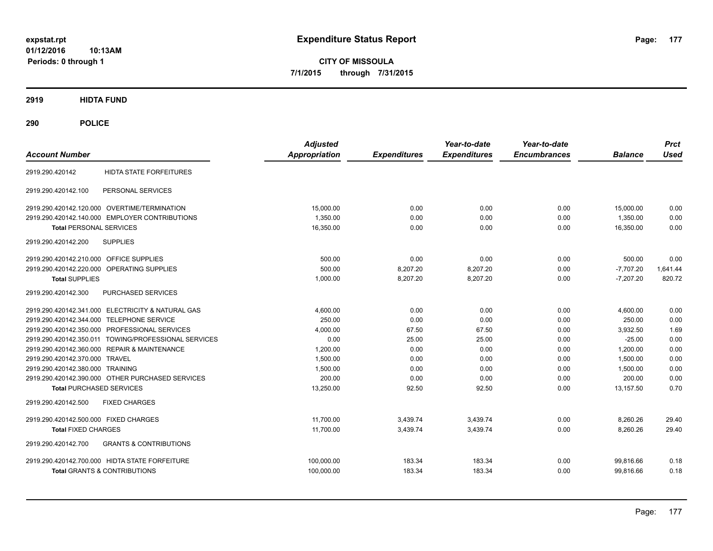**CITY OF MISSOULA 7/1/2015 through 7/31/2015**

**2919 HIDTA FUND**

| <b>Account Number</b>                                    | <b>Adjusted</b><br><b>Appropriation</b> | <b>Expenditures</b> | Year-to-date<br><b>Expenditures</b> | Year-to-date<br><b>Encumbrances</b> | <b>Balance</b> | <b>Prct</b><br><b>Used</b> |
|----------------------------------------------------------|-----------------------------------------|---------------------|-------------------------------------|-------------------------------------|----------------|----------------------------|
| <b>HIDTA STATE FORFEITURES</b><br>2919.290.420142        |                                         |                     |                                     |                                     |                |                            |
| PERSONAL SERVICES<br>2919.290.420142.100                 |                                         |                     |                                     |                                     |                |                            |
| 2919.290.420142.120.000 OVERTIME/TERMINATION             | 15.000.00                               | 0.00                | 0.00                                | 0.00                                | 15,000.00      | 0.00                       |
| 2919.290.420142.140.000 EMPLOYER CONTRIBUTIONS           | 1,350.00                                | 0.00                | 0.00                                | 0.00                                | 1,350.00       | 0.00                       |
| <b>Total PERSONAL SERVICES</b>                           | 16,350.00                               | 0.00                | 0.00                                | 0.00                                | 16.350.00      | 0.00                       |
| 2919.290.420142.200<br><b>SUPPLIES</b>                   |                                         |                     |                                     |                                     |                |                            |
| 2919.290.420142.210.000 OFFICE SUPPLIES                  | 500.00                                  | 0.00                | 0.00                                | 0.00                                | 500.00         | 0.00                       |
| 2919.290.420142.220.000 OPERATING SUPPLIES               | 500.00                                  | 8,207.20            | 8,207.20                            | 0.00                                | $-7,707.20$    | 1,641.44                   |
| <b>Total SUPPLIES</b>                                    | 1.000.00                                | 8,207.20            | 8.207.20                            | 0.00                                | $-7.207.20$    | 820.72                     |
| PURCHASED SERVICES<br>2919.290.420142.300                |                                         |                     |                                     |                                     |                |                            |
| 2919.290.420142.341.000 ELECTRICITY & NATURAL GAS        | 4,600.00                                | 0.00                | 0.00                                | 0.00                                | 4,600.00       | 0.00                       |
| 2919.290.420142.344.000 TELEPHONE SERVICE                | 250.00                                  | 0.00                | 0.00                                | 0.00                                | 250.00         | 0.00                       |
| 2919.290.420142.350.000 PROFESSIONAL SERVICES            | 4,000.00                                | 67.50               | 67.50                               | 0.00                                | 3.932.50       | 1.69                       |
| 2919.290.420142.350.011 TOWING/PROFESSIONAL SERVICES     | 0.00                                    | 25.00               | 25.00                               | 0.00                                | $-25.00$       | 0.00                       |
| 2919.290.420142.360.000 REPAIR & MAINTENANCE             | 1,200.00                                | 0.00                | 0.00                                | 0.00                                | 1,200.00       | 0.00                       |
| 2919.290.420142.370.000 TRAVEL                           | 1,500.00                                | 0.00                | 0.00                                | 0.00                                | 1,500.00       | 0.00                       |
| 2919.290.420142.380.000 TRAINING                         | 1,500.00                                | 0.00                | 0.00                                | 0.00                                | 1.500.00       | 0.00                       |
| 2919.290.420142.390.000 OTHER PURCHASED SERVICES         | 200.00                                  | 0.00                | 0.00                                | 0.00                                | 200.00         | 0.00                       |
| <b>Total PURCHASED SERVICES</b>                          | 13,250.00                               | 92.50               | 92.50                               | 0.00                                | 13,157.50      | 0.70                       |
| 2919.290.420142.500<br><b>FIXED CHARGES</b>              |                                         |                     |                                     |                                     |                |                            |
| 2919.290.420142.500.000 FIXED CHARGES                    | 11,700.00                               | 3,439.74            | 3,439.74                            | 0.00                                | 8,260.26       | 29.40                      |
| <b>Total FIXED CHARGES</b>                               | 11,700.00                               | 3,439.74            | 3,439.74                            | 0.00                                | 8,260.26       | 29.40                      |
| <b>GRANTS &amp; CONTRIBUTIONS</b><br>2919.290.420142.700 |                                         |                     |                                     |                                     |                |                            |
| 2919.290.420142.700.000 HIDTA STATE FORFEITURE           | 100,000.00                              | 183.34              | 183.34                              | 0.00                                | 99,816.66      | 0.18                       |
| <b>Total GRANTS &amp; CONTRIBUTIONS</b>                  | 100,000.00                              | 183.34              | 183.34                              | 0.00                                | 99,816.66      | 0.18                       |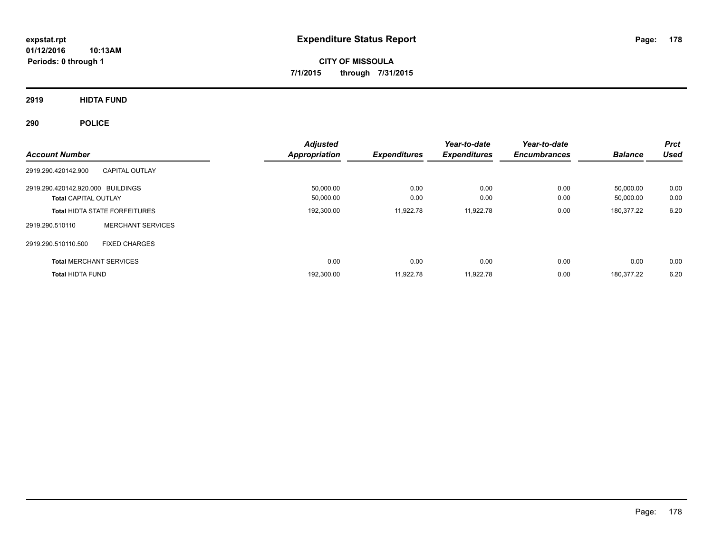**CITY OF MISSOULA 7/1/2015 through 7/31/2015**

**2919 HIDTA FUND**

| <b>Account Number</b>                                            |                                      | <b>Adjusted</b><br><b>Appropriation</b> | <b>Expenditures</b> | Year-to-date<br><b>Expenditures</b> | Year-to-date<br><b>Encumbrances</b> | <b>Balance</b>         | <b>Prct</b><br><b>Used</b> |
|------------------------------------------------------------------|--------------------------------------|-----------------------------------------|---------------------|-------------------------------------|-------------------------------------|------------------------|----------------------------|
| 2919.290.420142.900                                              | <b>CAPITAL OUTLAY</b>                |                                         |                     |                                     |                                     |                        |                            |
| 2919.290.420142.920.000 BUILDINGS<br><b>Total CAPITAL OUTLAY</b> |                                      | 50.000.00<br>50,000.00                  | 0.00<br>0.00        | 0.00<br>0.00                        | 0.00<br>0.00                        | 50.000.00<br>50,000.00 | 0.00<br>0.00               |
|                                                                  | <b>Total HIDTA STATE FORFEITURES</b> | 192,300.00                              | 11,922.78           | 11,922.78                           | 0.00                                | 180,377.22             | 6.20                       |
| 2919.290.510110                                                  | <b>MERCHANT SERVICES</b>             |                                         |                     |                                     |                                     |                        |                            |
| 2919.290.510110.500                                              | <b>FIXED CHARGES</b>                 |                                         |                     |                                     |                                     |                        |                            |
| <b>Total MERCHANT SERVICES</b>                                   |                                      | 0.00                                    | 0.00                | 0.00                                | 0.00                                | 0.00                   | 0.00                       |
| <b>Total HIDTA FUND</b>                                          |                                      | 192,300.00                              | 11.922.78           | 11.922.78                           | 0.00                                | 180.377.22             | 6.20                       |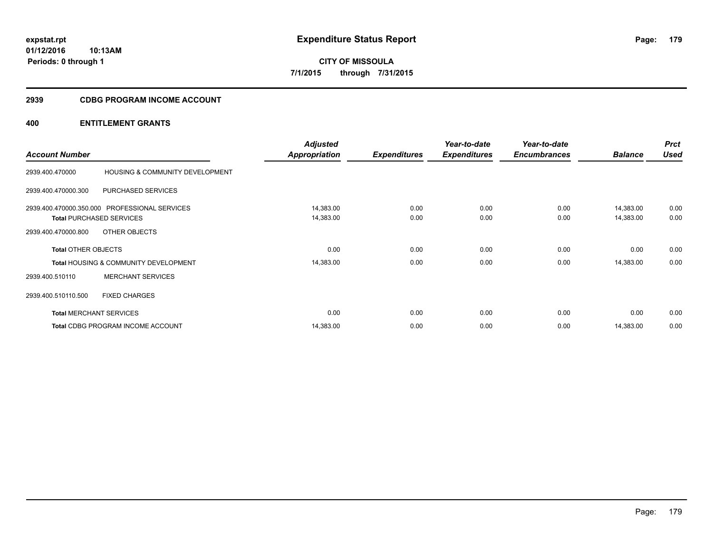# **CITY OF MISSOULA 7/1/2015 through 7/31/2015**

# **2939 CDBG PROGRAM INCOME ACCOUNT**

# **400 ENTITLEMENT GRANTS**

| <b>Account Number</b>          |                                                  | <b>Adjusted</b><br><b>Appropriation</b> | <b>Expenditures</b> | Year-to-date<br><b>Expenditures</b> | Year-to-date<br><b>Encumbrances</b> | <b>Balance</b> | <b>Prct</b><br><b>Used</b> |
|--------------------------------|--------------------------------------------------|-----------------------------------------|---------------------|-------------------------------------|-------------------------------------|----------------|----------------------------|
|                                |                                                  |                                         |                     |                                     |                                     |                |                            |
| 2939.400.470000                | HOUSING & COMMUNITY DEVELOPMENT                  |                                         |                     |                                     |                                     |                |                            |
| 2939.400.470000.300            | PURCHASED SERVICES                               |                                         |                     |                                     |                                     |                |                            |
|                                | 2939.400.470000.350.000 PROFESSIONAL SERVICES    | 14,383.00                               | 0.00                | 0.00                                | 0.00                                | 14,383.00      | 0.00                       |
|                                | <b>Total PURCHASED SERVICES</b>                  | 14,383.00                               | 0.00                | 0.00                                | 0.00                                | 14,383.00      | 0.00                       |
| 2939.400.470000.800            | OTHER OBJECTS                                    |                                         |                     |                                     |                                     |                |                            |
| <b>Total OTHER OBJECTS</b>     |                                                  | 0.00                                    | 0.00                | 0.00                                | 0.00                                | 0.00           | 0.00                       |
|                                | <b>Total HOUSING &amp; COMMUNITY DEVELOPMENT</b> | 14,383.00                               | 0.00                | 0.00                                | 0.00                                | 14,383.00      | 0.00                       |
| 2939.400.510110                | <b>MERCHANT SERVICES</b>                         |                                         |                     |                                     |                                     |                |                            |
| 2939.400.510110.500            | <b>FIXED CHARGES</b>                             |                                         |                     |                                     |                                     |                |                            |
| <b>Total MERCHANT SERVICES</b> |                                                  | 0.00                                    | 0.00                | 0.00                                | 0.00                                | 0.00           | 0.00                       |
|                                | <b>Total CDBG PROGRAM INCOME ACCOUNT</b>         | 14,383.00                               | 0.00                | 0.00                                | 0.00                                | 14,383.00      | 0.00                       |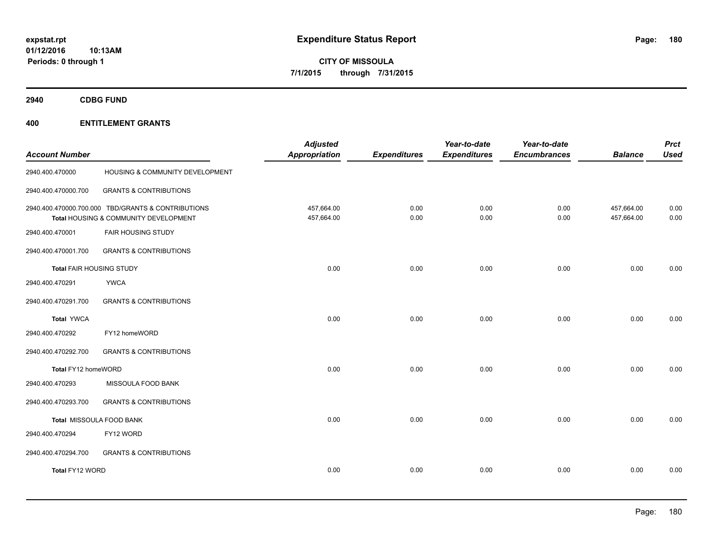**CITY OF MISSOULA 7/1/2015 through 7/31/2015**

**2940 CDBG FUND**

# **400 ENTITLEMENT GRANTS**

| <b>Account Number</b>    |                                                                                             | <b>Adjusted</b><br><b>Appropriation</b> | <b>Expenditures</b> | Year-to-date<br><b>Expenditures</b> | Year-to-date<br><b>Encumbrances</b> | <b>Balance</b>           | <b>Prct</b><br><b>Used</b> |
|--------------------------|---------------------------------------------------------------------------------------------|-----------------------------------------|---------------------|-------------------------------------|-------------------------------------|--------------------------|----------------------------|
| 2940.400.470000          | HOUSING & COMMUNITY DEVELOPMENT                                                             |                                         |                     |                                     |                                     |                          |                            |
| 2940.400.470000.700      | <b>GRANTS &amp; CONTRIBUTIONS</b>                                                           |                                         |                     |                                     |                                     |                          |                            |
|                          | 2940.400.470000.700.000 TBD/GRANTS & CONTRIBUTIONS<br>Total HOUSING & COMMUNITY DEVELOPMENT | 457,664.00<br>457,664.00                | 0.00<br>0.00        | 0.00<br>0.00                        | 0.00<br>0.00                        | 457,664.00<br>457,664.00 | 0.00<br>0.00               |
| 2940.400.470001          | <b>FAIR HOUSING STUDY</b>                                                                   |                                         |                     |                                     |                                     |                          |                            |
| 2940.400.470001.700      | <b>GRANTS &amp; CONTRIBUTIONS</b>                                                           |                                         |                     |                                     |                                     |                          |                            |
| Total FAIR HOUSING STUDY |                                                                                             | 0.00                                    | 0.00                | 0.00                                | 0.00                                | 0.00                     | 0.00                       |
| 2940.400.470291          | <b>YWCA</b>                                                                                 |                                         |                     |                                     |                                     |                          |                            |
| 2940.400.470291.700      | <b>GRANTS &amp; CONTRIBUTIONS</b>                                                           |                                         |                     |                                     |                                     |                          |                            |
| <b>Total YWCA</b>        |                                                                                             | 0.00                                    | 0.00                | 0.00                                | 0.00                                | 0.00                     | 0.00                       |
| 2940.400.470292          | FY12 homeWORD                                                                               |                                         |                     |                                     |                                     |                          |                            |
| 2940.400.470292.700      | <b>GRANTS &amp; CONTRIBUTIONS</b>                                                           |                                         |                     |                                     |                                     |                          |                            |
| Total FY12 homeWORD      |                                                                                             | 0.00                                    | 0.00                | 0.00                                | 0.00                                | 0.00                     | 0.00                       |
| 2940.400.470293          | MISSOULA FOOD BANK                                                                          |                                         |                     |                                     |                                     |                          |                            |
| 2940.400.470293.700      | <b>GRANTS &amp; CONTRIBUTIONS</b>                                                           |                                         |                     |                                     |                                     |                          |                            |
|                          | Total MISSOULA FOOD BANK                                                                    | 0.00                                    | 0.00                | 0.00                                | 0.00                                | 0.00                     | 0.00                       |
| 2940.400.470294          | FY12 WORD                                                                                   |                                         |                     |                                     |                                     |                          |                            |
| 2940.400.470294.700      | <b>GRANTS &amp; CONTRIBUTIONS</b>                                                           |                                         |                     |                                     |                                     |                          |                            |
| Total FY12 WORD          |                                                                                             | 0.00                                    | 0.00                | 0.00                                | 0.00                                | 0.00                     | 0.00                       |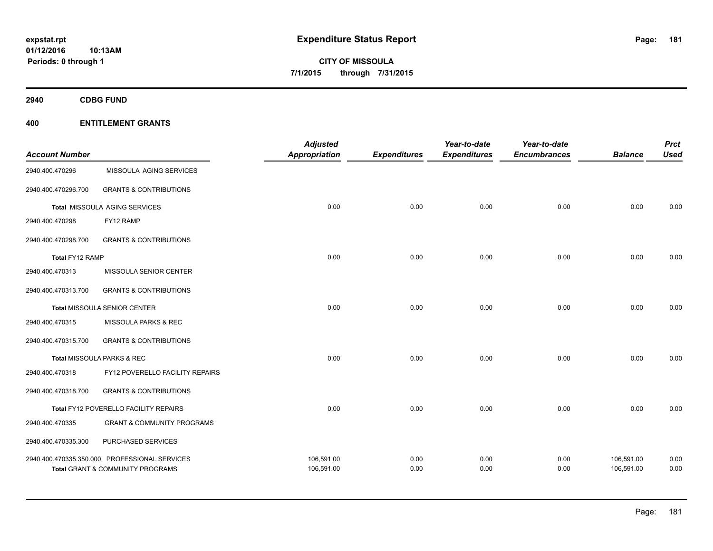**01/12/2016 10:13AM Periods: 0 through 1**

**CITY OF MISSOULA 7/1/2015 through 7/31/2015**

**2940 CDBG FUND**

|                       |                                               | <b>Adjusted</b>      |                     | Year-to-date        | Year-to-date        |                | <b>Prct</b> |
|-----------------------|-----------------------------------------------|----------------------|---------------------|---------------------|---------------------|----------------|-------------|
| <b>Account Number</b> |                                               | <b>Appropriation</b> | <b>Expenditures</b> | <b>Expenditures</b> | <b>Encumbrances</b> | <b>Balance</b> | <b>Used</b> |
| 2940.400.470296       | MISSOULA AGING SERVICES                       |                      |                     |                     |                     |                |             |
| 2940.400.470296.700   | <b>GRANTS &amp; CONTRIBUTIONS</b>             |                      |                     |                     |                     |                |             |
|                       | Total MISSOULA AGING SERVICES                 | 0.00                 | 0.00                | 0.00                | 0.00                | 0.00           | 0.00        |
| 2940.400.470298       | FY12 RAMP                                     |                      |                     |                     |                     |                |             |
| 2940.400.470298.700   | <b>GRANTS &amp; CONTRIBUTIONS</b>             |                      |                     |                     |                     |                |             |
| Total FY12 RAMP       |                                               | 0.00                 | 0.00                | 0.00                | 0.00                | 0.00           | 0.00        |
| 2940.400.470313       | MISSOULA SENIOR CENTER                        |                      |                     |                     |                     |                |             |
| 2940.400.470313.700   | <b>GRANTS &amp; CONTRIBUTIONS</b>             |                      |                     |                     |                     |                |             |
|                       | <b>Total MISSOULA SENIOR CENTER</b>           | 0.00                 | 0.00                | 0.00                | 0.00                | 0.00           | 0.00        |
| 2940.400.470315       | MISSOULA PARKS & REC                          |                      |                     |                     |                     |                |             |
| 2940.400.470315.700   | <b>GRANTS &amp; CONTRIBUTIONS</b>             |                      |                     |                     |                     |                |             |
|                       | Total MISSOULA PARKS & REC                    | 0.00                 | 0.00                | 0.00                | 0.00                | 0.00           | 0.00        |
| 2940.400.470318       | FY12 POVERELLO FACILITY REPAIRS               |                      |                     |                     |                     |                |             |
| 2940.400.470318.700   | <b>GRANTS &amp; CONTRIBUTIONS</b>             |                      |                     |                     |                     |                |             |
|                       | Total FY12 POVERELLO FACILITY REPAIRS         | 0.00                 | 0.00                | 0.00                | 0.00                | 0.00           | 0.00        |
| 2940.400.470335       | <b>GRANT &amp; COMMUNITY PROGRAMS</b>         |                      |                     |                     |                     |                |             |
| 2940.400.470335.300   | PURCHASED SERVICES                            |                      |                     |                     |                     |                |             |
|                       | 2940.400.470335.350.000 PROFESSIONAL SERVICES | 106,591.00           | 0.00                | 0.00                | 0.00                | 106,591.00     | 0.00        |
|                       | Total GRANT & COMMUNITY PROGRAMS              | 106,591.00           | 0.00                | 0.00                | 0.00                | 106,591.00     | 0.00        |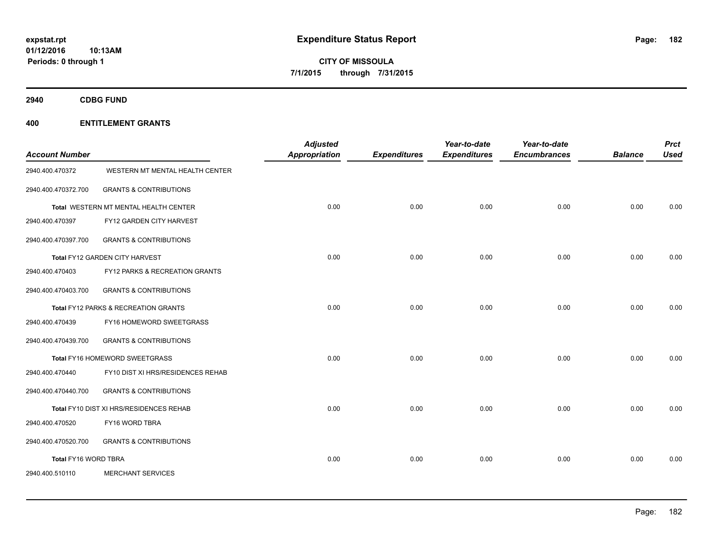**01/12/2016 10:13AM Periods: 0 through 1**

**CITY OF MISSOULA 7/1/2015 through 7/31/2015**

**2940 CDBG FUND**

| <b>Account Number</b> |                                         | <b>Adjusted</b><br><b>Appropriation</b> | <b>Expenditures</b> | Year-to-date<br><b>Expenditures</b> | Year-to-date<br><b>Encumbrances</b> | <b>Balance</b> | <b>Prct</b><br><b>Used</b> |
|-----------------------|-----------------------------------------|-----------------------------------------|---------------------|-------------------------------------|-------------------------------------|----------------|----------------------------|
| 2940.400.470372       | WESTERN MT MENTAL HEALTH CENTER         |                                         |                     |                                     |                                     |                |                            |
| 2940.400.470372.700   | <b>GRANTS &amp; CONTRIBUTIONS</b>       |                                         |                     |                                     |                                     |                |                            |
|                       | Total WESTERN MT MENTAL HEALTH CENTER   | 0.00                                    | 0.00                | 0.00                                | 0.00                                | 0.00           | 0.00                       |
| 2940.400.470397       | FY12 GARDEN CITY HARVEST                |                                         |                     |                                     |                                     |                |                            |
| 2940.400.470397.700   | <b>GRANTS &amp; CONTRIBUTIONS</b>       |                                         |                     |                                     |                                     |                |                            |
|                       | Total FY12 GARDEN CITY HARVEST          | 0.00                                    | 0.00                | 0.00                                | 0.00                                | 0.00           | 0.00                       |
| 2940.400.470403       | FY12 PARKS & RECREATION GRANTS          |                                         |                     |                                     |                                     |                |                            |
| 2940.400.470403.700   | <b>GRANTS &amp; CONTRIBUTIONS</b>       |                                         |                     |                                     |                                     |                |                            |
|                       | Total FY12 PARKS & RECREATION GRANTS    | 0.00                                    | 0.00                | 0.00                                | 0.00                                | 0.00           | 0.00                       |
| 2940.400.470439       | FY16 HOMEWORD SWEETGRASS                |                                         |                     |                                     |                                     |                |                            |
| 2940.400.470439.700   | <b>GRANTS &amp; CONTRIBUTIONS</b>       |                                         |                     |                                     |                                     |                |                            |
|                       | Total FY16 HOMEWORD SWEETGRASS          | 0.00                                    | 0.00                | 0.00                                | 0.00                                | 0.00           | 0.00                       |
| 2940.400.470440       | FY10 DIST XI HRS/RESIDENCES REHAB       |                                         |                     |                                     |                                     |                |                            |
| 2940.400.470440.700   | <b>GRANTS &amp; CONTRIBUTIONS</b>       |                                         |                     |                                     |                                     |                |                            |
|                       | Total FY10 DIST XI HRS/RESIDENCES REHAB | 0.00                                    | 0.00                | 0.00                                | 0.00                                | 0.00           | 0.00                       |
| 2940.400.470520       | FY16 WORD TBRA                          |                                         |                     |                                     |                                     |                |                            |
| 2940.400.470520.700   | <b>GRANTS &amp; CONTRIBUTIONS</b>       |                                         |                     |                                     |                                     |                |                            |
| Total FY16 WORD TBRA  |                                         | 0.00                                    | 0.00                | 0.00                                | 0.00                                | 0.00           | 0.00                       |
| 2940.400.510110       | <b>MERCHANT SERVICES</b>                |                                         |                     |                                     |                                     |                |                            |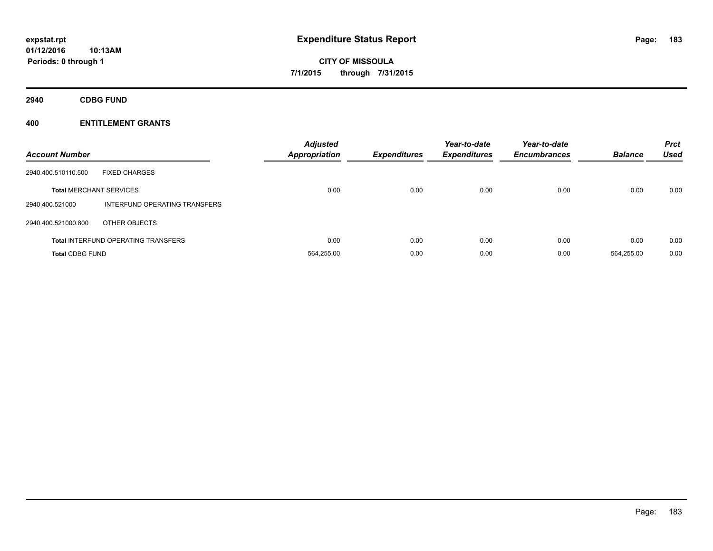**2940 CDBG FUND**

| <b>Account Number</b>          |                                            | <b>Adjusted</b><br><b>Appropriation</b> | <b>Expenditures</b> | Year-to-date<br><b>Expenditures</b> | Year-to-date<br><b>Encumbrances</b> | <b>Balance</b> | <b>Prct</b><br><b>Used</b> |
|--------------------------------|--------------------------------------------|-----------------------------------------|---------------------|-------------------------------------|-------------------------------------|----------------|----------------------------|
| 2940.400.510110.500            | <b>FIXED CHARGES</b>                       |                                         |                     |                                     |                                     |                |                            |
| <b>Total MERCHANT SERVICES</b> |                                            | 0.00                                    | 0.00                | 0.00                                | 0.00                                | 0.00           | 0.00                       |
| 2940.400.521000                | INTERFUND OPERATING TRANSFERS              |                                         |                     |                                     |                                     |                |                            |
| 2940.400.521000.800            | OTHER OBJECTS                              |                                         |                     |                                     |                                     |                |                            |
|                                | <b>Total INTERFUND OPERATING TRANSFERS</b> | 0.00                                    | 0.00                | 0.00                                | 0.00                                | 0.00           | 0.00                       |
| <b>Total CDBG FUND</b>         |                                            | 564.255.00                              | 0.00                | 0.00                                | 0.00                                | 564.255.00     | 0.00                       |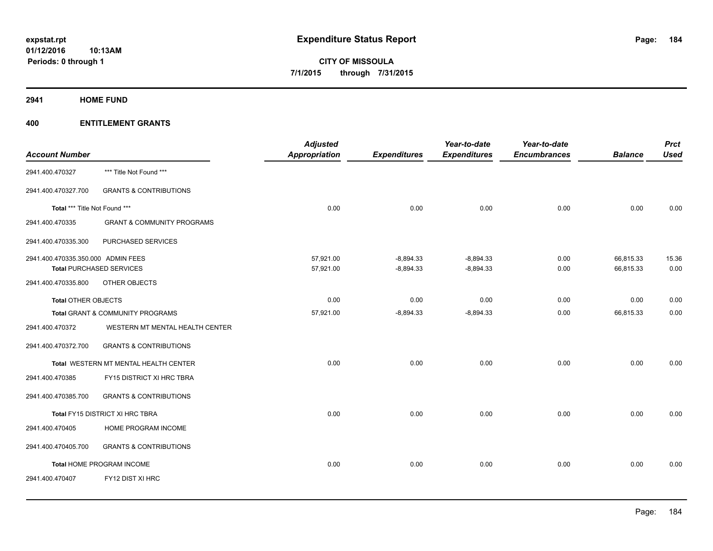**2941 HOME FUND**

| <b>Account Number</b>              |                                       | <b>Adjusted</b><br><b>Appropriation</b> | <b>Expenditures</b> | Year-to-date<br><b>Expenditures</b> | Year-to-date<br><b>Encumbrances</b> | <b>Balance</b> | <b>Prct</b><br><b>Used</b> |
|------------------------------------|---------------------------------------|-----------------------------------------|---------------------|-------------------------------------|-------------------------------------|----------------|----------------------------|
| 2941.400.470327                    | *** Title Not Found ***               |                                         |                     |                                     |                                     |                |                            |
| 2941.400.470327.700                | <b>GRANTS &amp; CONTRIBUTIONS</b>     |                                         |                     |                                     |                                     |                |                            |
| Total *** Title Not Found ***      |                                       | 0.00                                    | 0.00                | 0.00                                | 0.00                                | 0.00           | 0.00                       |
| 2941.400.470335                    | <b>GRANT &amp; COMMUNITY PROGRAMS</b> |                                         |                     |                                     |                                     |                |                            |
| 2941.400.470335.300                | PURCHASED SERVICES                    |                                         |                     |                                     |                                     |                |                            |
| 2941.400.470335.350.000 ADMIN FEES |                                       | 57,921.00                               | $-8,894.33$         | $-8,894.33$                         | 0.00                                | 66,815.33      | 15.36                      |
|                                    | <b>Total PURCHASED SERVICES</b>       | 57,921.00                               | $-8,894.33$         | $-8,894.33$                         | 0.00                                | 66,815.33      | 0.00                       |
| 2941.400.470335.800                | OTHER OBJECTS                         |                                         |                     |                                     |                                     |                |                            |
| <b>Total OTHER OBJECTS</b>         |                                       | 0.00                                    | 0.00                | 0.00                                | 0.00                                | 0.00           | 0.00                       |
|                                    | Total GRANT & COMMUNITY PROGRAMS      | 57,921.00                               | $-8,894.33$         | $-8,894.33$                         | 0.00                                | 66,815.33      | 0.00                       |
| 2941.400.470372                    | WESTERN MT MENTAL HEALTH CENTER       |                                         |                     |                                     |                                     |                |                            |
| 2941.400.470372.700                | <b>GRANTS &amp; CONTRIBUTIONS</b>     |                                         |                     |                                     |                                     |                |                            |
|                                    | Total WESTERN MT MENTAL HEALTH CENTER | 0.00                                    | 0.00                | 0.00                                | 0.00                                | 0.00           | 0.00                       |
| 2941.400.470385                    | FY15 DISTRICT XI HRC TBRA             |                                         |                     |                                     |                                     |                |                            |
| 2941.400.470385.700                | <b>GRANTS &amp; CONTRIBUTIONS</b>     |                                         |                     |                                     |                                     |                |                            |
|                                    | Total FY15 DISTRICT XI HRC TBRA       | 0.00                                    | 0.00                | 0.00                                | 0.00                                | 0.00           | 0.00                       |
| 2941.400.470405                    | HOME PROGRAM INCOME                   |                                         |                     |                                     |                                     |                |                            |
| 2941.400.470405.700                | <b>GRANTS &amp; CONTRIBUTIONS</b>     |                                         |                     |                                     |                                     |                |                            |
|                                    | Total HOME PROGRAM INCOME             | 0.00                                    | 0.00                | 0.00                                | 0.00                                | 0.00           | 0.00                       |
| 2941.400.470407                    | FY12 DIST XI HRC                      |                                         |                     |                                     |                                     |                |                            |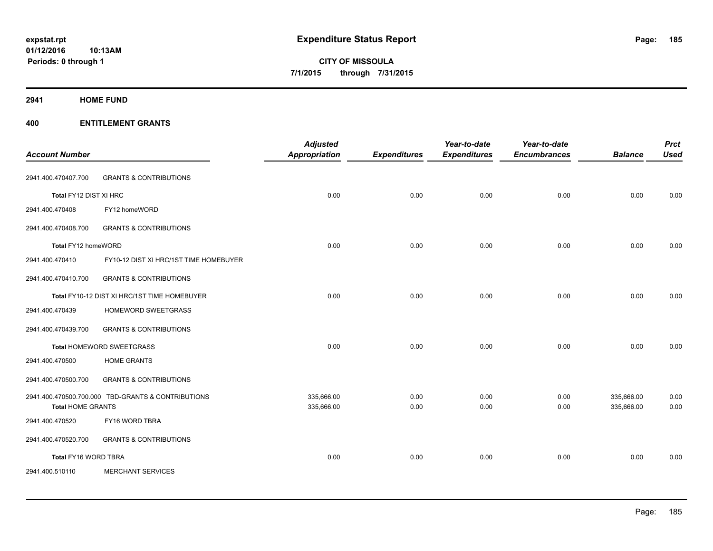**2941 HOME FUND**

| <b>Account Number</b>    |                                                    | <b>Adjusted</b><br><b>Appropriation</b> | <b>Expenditures</b> | Year-to-date<br><b>Expenditures</b> | Year-to-date<br><b>Encumbrances</b> | <b>Balance</b>           | <b>Prct</b><br><b>Used</b> |
|--------------------------|----------------------------------------------------|-----------------------------------------|---------------------|-------------------------------------|-------------------------------------|--------------------------|----------------------------|
| 2941.400.470407.700      | <b>GRANTS &amp; CONTRIBUTIONS</b>                  |                                         |                     |                                     |                                     |                          |                            |
| Total FY12 DIST XI HRC   |                                                    | 0.00                                    | 0.00                | 0.00                                | 0.00                                | 0.00                     | 0.00                       |
| 2941.400.470408          | FY12 homeWORD                                      |                                         |                     |                                     |                                     |                          |                            |
| 2941.400.470408.700      | <b>GRANTS &amp; CONTRIBUTIONS</b>                  |                                         |                     |                                     |                                     |                          |                            |
| Total FY12 homeWORD      |                                                    | 0.00                                    | 0.00                | 0.00                                | 0.00                                | 0.00                     | 0.00                       |
| 2941.400.470410          | FY10-12 DIST XI HRC/1ST TIME HOMEBUYER             |                                         |                     |                                     |                                     |                          |                            |
| 2941.400.470410.700      | <b>GRANTS &amp; CONTRIBUTIONS</b>                  |                                         |                     |                                     |                                     |                          |                            |
|                          | Total FY10-12 DIST XI HRC/1ST TIME HOMEBUYER       | 0.00                                    | 0.00                | 0.00                                | 0.00                                | 0.00                     | 0.00                       |
| 2941.400.470439          | HOMEWORD SWEETGRASS                                |                                         |                     |                                     |                                     |                          |                            |
| 2941.400.470439.700      | <b>GRANTS &amp; CONTRIBUTIONS</b>                  |                                         |                     |                                     |                                     |                          |                            |
|                          | Total HOMEWORD SWEETGRASS                          | 0.00                                    | 0.00                | 0.00                                | 0.00                                | 0.00                     | 0.00                       |
| 2941.400.470500          | <b>HOME GRANTS</b>                                 |                                         |                     |                                     |                                     |                          |                            |
| 2941.400.470500.700      | <b>GRANTS &amp; CONTRIBUTIONS</b>                  |                                         |                     |                                     |                                     |                          |                            |
| <b>Total HOME GRANTS</b> | 2941.400.470500.700.000 TBD-GRANTS & CONTRIBUTIONS | 335,666.00<br>335,666.00                | 0.00<br>0.00        | 0.00<br>0.00                        | 0.00<br>0.00                        | 335,666.00<br>335,666.00 | 0.00<br>0.00               |
| 2941.400.470520          | FY16 WORD TBRA                                     |                                         |                     |                                     |                                     |                          |                            |
| 2941.400.470520.700      | <b>GRANTS &amp; CONTRIBUTIONS</b>                  |                                         |                     |                                     |                                     |                          |                            |
| Total FY16 WORD TBRA     |                                                    | 0.00                                    | 0.00                | 0.00                                | 0.00                                | 0.00                     | 0.00                       |
| 2941.400.510110          | <b>MERCHANT SERVICES</b>                           |                                         |                     |                                     |                                     |                          |                            |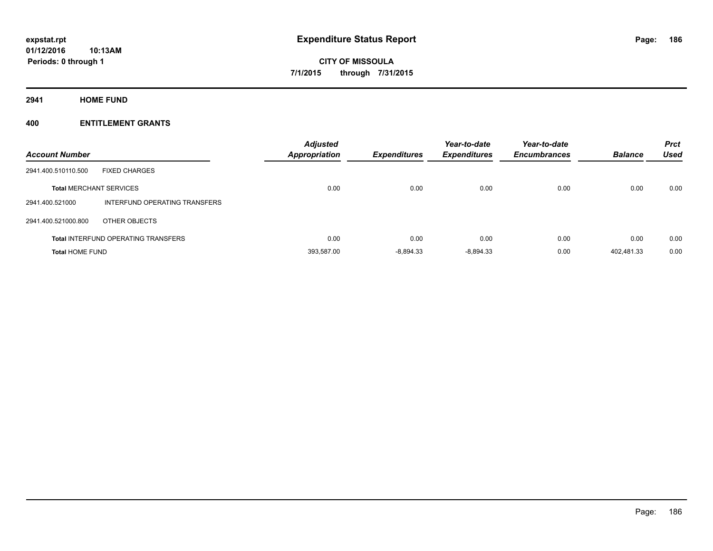**2941 HOME FUND**

| <b>Account Number</b>          |                                            | <b>Adjusted</b><br><b>Appropriation</b> | <b>Expenditures</b> | Year-to-date<br><b>Expenditures</b> | Year-to-date<br><b>Encumbrances</b> | <b>Balance</b> | <b>Prct</b><br><b>Used</b> |
|--------------------------------|--------------------------------------------|-----------------------------------------|---------------------|-------------------------------------|-------------------------------------|----------------|----------------------------|
| 2941.400.510110.500            | <b>FIXED CHARGES</b>                       |                                         |                     |                                     |                                     |                |                            |
| <b>Total MERCHANT SERVICES</b> |                                            | 0.00                                    | 0.00                | 0.00                                | 0.00                                | 0.00           | 0.00                       |
| 2941.400.521000                | INTERFUND OPERATING TRANSFERS              |                                         |                     |                                     |                                     |                |                            |
| 2941.400.521000.800            | OTHER OBJECTS                              |                                         |                     |                                     |                                     |                |                            |
|                                | <b>Total INTERFUND OPERATING TRANSFERS</b> | 0.00                                    | 0.00                | 0.00                                | 0.00                                | 0.00           | 0.00                       |
| <b>Total HOME FUND</b>         |                                            | 393.587.00                              | $-8.894.33$         | $-8.894.33$                         | 0.00                                | 402.481.33     | 0.00                       |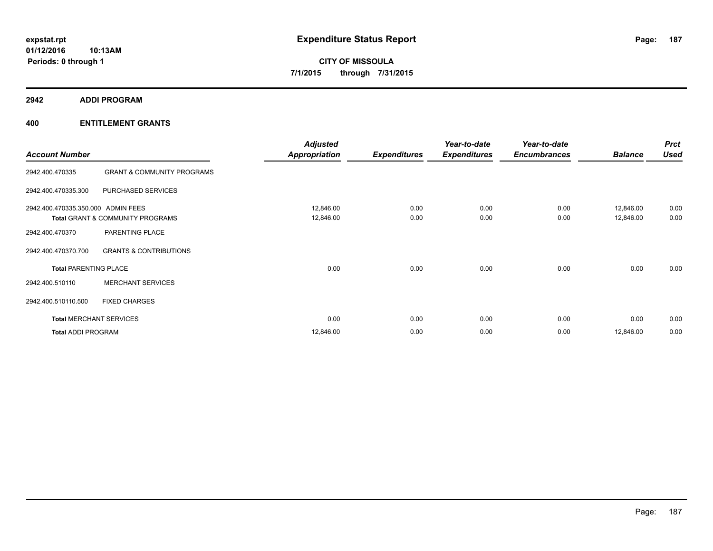**2942 ADDI PROGRAM**

| <b>Account Number</b>              |                                       | <b>Adjusted</b><br><b>Appropriation</b> | <b>Expenditures</b> | Year-to-date<br><b>Expenditures</b> | Year-to-date<br><b>Encumbrances</b> | <b>Balance</b>         | <b>Prct</b><br><b>Used</b> |
|------------------------------------|---------------------------------------|-----------------------------------------|---------------------|-------------------------------------|-------------------------------------|------------------------|----------------------------|
| 2942.400.470335                    | <b>GRANT &amp; COMMUNITY PROGRAMS</b> |                                         |                     |                                     |                                     |                        |                            |
| 2942.400.470335.300                | PURCHASED SERVICES                    |                                         |                     |                                     |                                     |                        |                            |
| 2942.400.470335.350.000 ADMIN FEES | Total GRANT & COMMUNITY PROGRAMS      | 12,846.00<br>12,846.00                  | 0.00<br>0.00        | 0.00<br>0.00                        | 0.00<br>0.00                        | 12,846.00<br>12,846.00 | 0.00<br>0.00               |
| 2942.400.470370                    | PARENTING PLACE                       |                                         |                     |                                     |                                     |                        |                            |
| 2942.400.470370.700                | <b>GRANTS &amp; CONTRIBUTIONS</b>     |                                         |                     |                                     |                                     |                        |                            |
| <b>Total PARENTING PLACE</b>       |                                       | 0.00                                    | 0.00                | 0.00                                | 0.00                                | 0.00                   | 0.00                       |
| 2942.400.510110                    | <b>MERCHANT SERVICES</b>              |                                         |                     |                                     |                                     |                        |                            |
| 2942.400.510110.500                | <b>FIXED CHARGES</b>                  |                                         |                     |                                     |                                     |                        |                            |
|                                    | <b>Total MERCHANT SERVICES</b>        | 0.00                                    | 0.00                | 0.00                                | 0.00                                | 0.00                   | 0.00                       |
| <b>Total ADDI PROGRAM</b>          |                                       | 12,846.00                               | 0.00                | 0.00                                | 0.00                                | 12,846.00              | 0.00                       |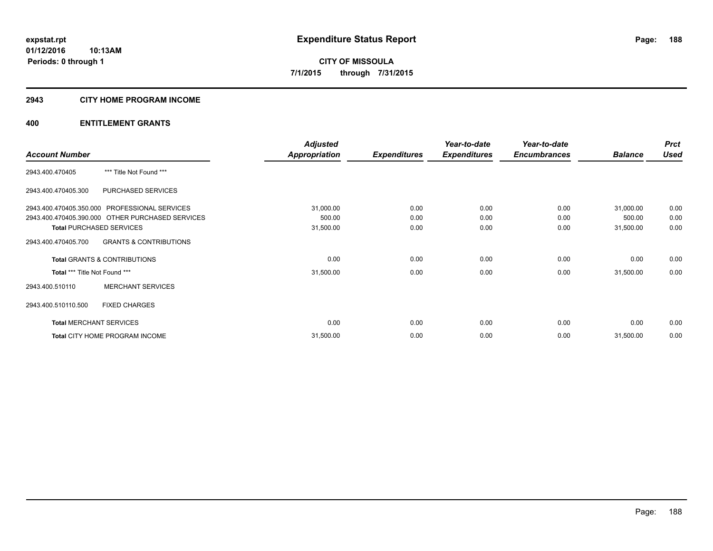# **2943 CITY HOME PROGRAM INCOME**

|                                |                                                                                                                                                                                                                                                                                                                                                            | <b>Adjusted</b>      |                     | Year-to-date        | Year-to-date        |                | <b>Prct</b> |
|--------------------------------|------------------------------------------------------------------------------------------------------------------------------------------------------------------------------------------------------------------------------------------------------------------------------------------------------------------------------------------------------------|----------------------|---------------------|---------------------|---------------------|----------------|-------------|
| <b>Account Number</b>          | *** Title Not Found ***<br>PURCHASED SERVICES<br>2943.400.470405.350.000 PROFESSIONAL SERVICES<br>2943.400.470405.390.000 OTHER PURCHASED SERVICES<br><b>Total PURCHASED SERVICES</b><br><b>GRANTS &amp; CONTRIBUTIONS</b><br><b>Total GRANTS &amp; CONTRIBUTIONS</b><br>Total *** Title Not Found ***<br><b>MERCHANT SERVICES</b><br><b>FIXED CHARGES</b> | <b>Appropriation</b> | <b>Expenditures</b> | <b>Expenditures</b> | <b>Encumbrances</b> | <b>Balance</b> | <b>Used</b> |
| 2943.400.470405                |                                                                                                                                                                                                                                                                                                                                                            |                      |                     |                     |                     |                |             |
| 2943.400.470405.300            |                                                                                                                                                                                                                                                                                                                                                            |                      |                     |                     |                     |                |             |
|                                |                                                                                                                                                                                                                                                                                                                                                            | 31,000.00            | 0.00                | 0.00                | 0.00                | 31,000.00      | 0.00        |
|                                |                                                                                                                                                                                                                                                                                                                                                            | 500.00               | 0.00                | 0.00                | 0.00                | 500.00         | 0.00        |
|                                |                                                                                                                                                                                                                                                                                                                                                            | 31,500.00            | 0.00                | 0.00                | 0.00                | 31,500.00      | 0.00        |
| 2943.400.470405.700            |                                                                                                                                                                                                                                                                                                                                                            |                      |                     |                     |                     |                |             |
|                                |                                                                                                                                                                                                                                                                                                                                                            | 0.00                 | 0.00                | 0.00                | 0.00                | 0.00           | 0.00        |
|                                |                                                                                                                                                                                                                                                                                                                                                            | 31,500.00            | 0.00                | 0.00                | 0.00                | 31,500.00      | 0.00        |
| 2943.400.510110                |                                                                                                                                                                                                                                                                                                                                                            |                      |                     |                     |                     |                |             |
| 2943.400.510110.500            |                                                                                                                                                                                                                                                                                                                                                            |                      |                     |                     |                     |                |             |
| <b>Total MERCHANT SERVICES</b> |                                                                                                                                                                                                                                                                                                                                                            | 0.00                 | 0.00                | 0.00                | 0.00                | 0.00           | 0.00        |
|                                | Total CITY HOME PROGRAM INCOME                                                                                                                                                                                                                                                                                                                             | 31,500.00            | 0.00                | 0.00                | 0.00                | 31,500.00      | 0.00        |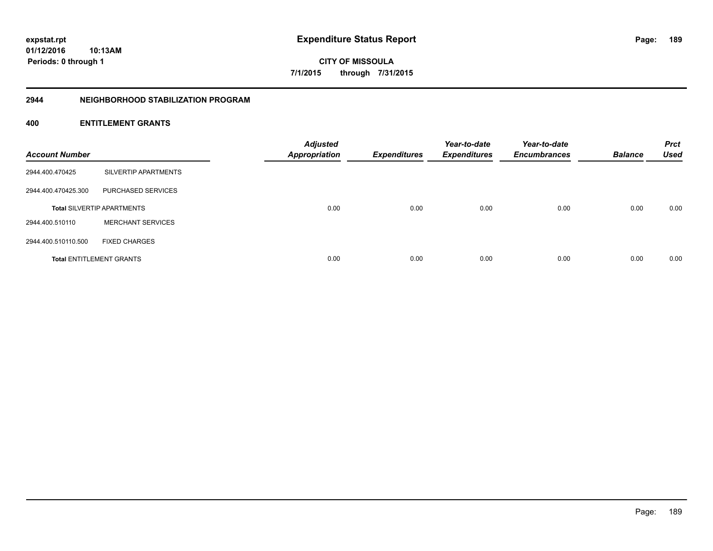**Periods: 0 through 1**

Page: 189

**CITY OF MISSOULA 7/1/2015 through 7/31/2015**

#### **2944 NEIGHBORHOOD STABILIZATION PROGRAM**

# **400 ENTITLEMENT GRANTS**

**10:13AM**

| <b>Account Number</b> |                                   | <b>Adjusted</b><br><b>Appropriation</b> | <b>Expenditures</b> | Year-to-date<br><b>Expenditures</b> | Year-to-date<br><b>Encumbrances</b> | <b>Balance</b> | <b>Prct</b><br><b>Used</b> |
|-----------------------|-----------------------------------|-----------------------------------------|---------------------|-------------------------------------|-------------------------------------|----------------|----------------------------|
| 2944.400.470425       | SILVERTIP APARTMENTS              |                                         |                     |                                     |                                     |                |                            |
| 2944.400.470425.300   | PURCHASED SERVICES                |                                         |                     |                                     |                                     |                |                            |
|                       | <b>Total SILVERTIP APARTMENTS</b> | 0.00                                    | 0.00                | 0.00                                | 0.00                                | 0.00           | 0.00                       |
| 2944.400.510110       | <b>MERCHANT SERVICES</b>          |                                         |                     |                                     |                                     |                |                            |
| 2944.400.510110.500   | <b>FIXED CHARGES</b>              |                                         |                     |                                     |                                     |                |                            |
|                       | <b>Total ENTITLEMENT GRANTS</b>   | 0.00                                    | 0.00                | 0.00                                | 0.00                                | 0.00           | 0.00                       |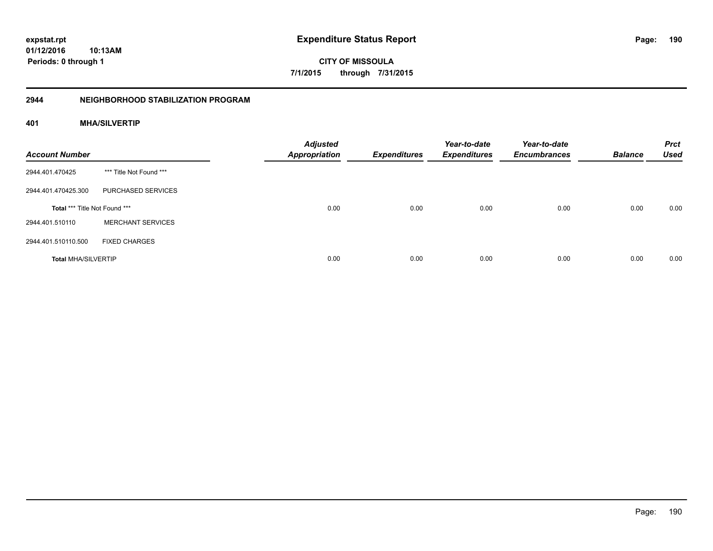**01/12/2016 10:13AM Periods: 0 through 1**

**CITY OF MISSOULA 7/1/2015 through 7/31/2015**

# **2944 NEIGHBORHOOD STABILIZATION PROGRAM**

# **401 MHA/SILVERTIP**

| <b>Account Number</b>         |                          | <b>Adjusted</b><br><b>Appropriation</b> | <b>Expenditures</b> | Year-to-date<br><b>Expenditures</b> | Year-to-date<br><b>Encumbrances</b> | <b>Balance</b> | <b>Prct</b><br><b>Used</b> |
|-------------------------------|--------------------------|-----------------------------------------|---------------------|-------------------------------------|-------------------------------------|----------------|----------------------------|
| 2944.401.470425               | *** Title Not Found ***  |                                         |                     |                                     |                                     |                |                            |
| 2944.401.470425.300           | PURCHASED SERVICES       |                                         |                     |                                     |                                     |                |                            |
| Total *** Title Not Found *** |                          | 0.00                                    | 0.00                | 0.00                                | 0.00                                | 0.00           | 0.00                       |
| 2944.401.510110               | <b>MERCHANT SERVICES</b> |                                         |                     |                                     |                                     |                |                            |
| 2944.401.510110.500           | <b>FIXED CHARGES</b>     |                                         |                     |                                     |                                     |                |                            |
| <b>Total MHA/SILVERTIP</b>    |                          | 0.00                                    | 0.00                | 0.00                                | 0.00                                | 0.00           | 0.00                       |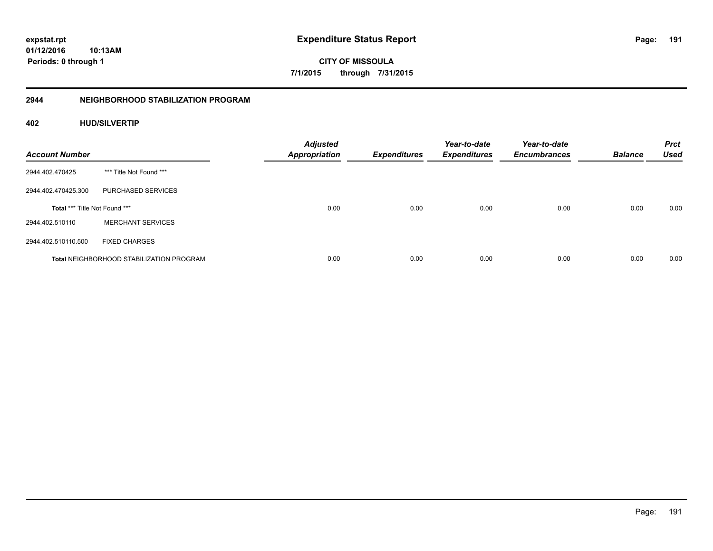**01/12/2016 10:13AM Periods: 0 through 1**

**CITY OF MISSOULA 7/1/2015 through 7/31/2015**

# **2944 NEIGHBORHOOD STABILIZATION PROGRAM**

# **402 HUD/SILVERTIP**

| <b>Account Number</b>                |                                                 | <b>Adjusted</b><br><b>Appropriation</b> | <b>Expenditures</b> | Year-to-date<br><b>Expenditures</b> | Year-to-date<br><b>Encumbrances</b> | <b>Balance</b> | <b>Prct</b><br><b>Used</b> |
|--------------------------------------|-------------------------------------------------|-----------------------------------------|---------------------|-------------------------------------|-------------------------------------|----------------|----------------------------|
| 2944.402.470425                      | *** Title Not Found ***                         |                                         |                     |                                     |                                     |                |                            |
| 2944.402.470425.300                  | PURCHASED SERVICES                              |                                         |                     |                                     |                                     |                |                            |
| <b>Total *** Title Not Found ***</b> |                                                 | 0.00                                    | 0.00                | 0.00                                | 0.00                                | 0.00           | 0.00                       |
| 2944.402.510110                      | <b>MERCHANT SERVICES</b>                        |                                         |                     |                                     |                                     |                |                            |
| 2944.402.510110.500                  | <b>FIXED CHARGES</b>                            |                                         |                     |                                     |                                     |                |                            |
|                                      | <b>Total NEIGHBORHOOD STABILIZATION PROGRAM</b> | 0.00                                    | 0.00                | 0.00                                | 0.00                                | 0.00           | 0.00                       |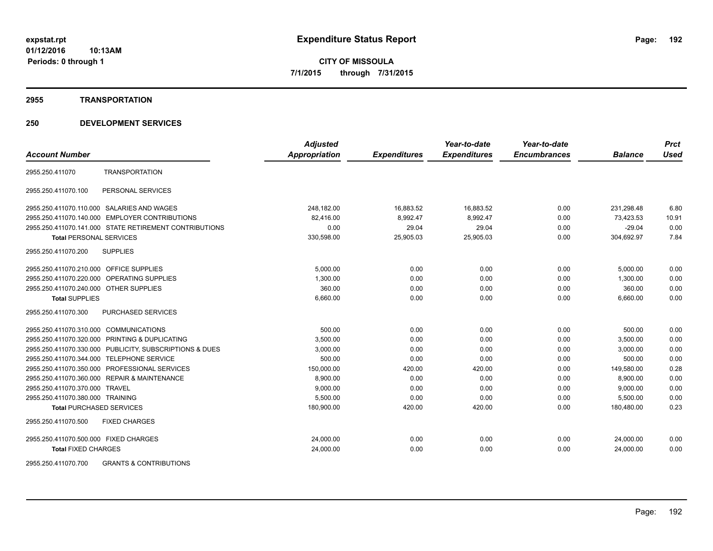#### **2955 TRANSPORTATION**

# **250 DEVELOPMENT SERVICES**

|                                                            | <b>Adjusted</b>      |                     | Year-to-date        | Year-to-date        |                | <b>Prct</b> |
|------------------------------------------------------------|----------------------|---------------------|---------------------|---------------------|----------------|-------------|
| <b>Account Number</b>                                      | <b>Appropriation</b> | <b>Expenditures</b> | <b>Expenditures</b> | <b>Encumbrances</b> | <b>Balance</b> | <b>Used</b> |
| <b>TRANSPORTATION</b><br>2955.250.411070                   |                      |                     |                     |                     |                |             |
| PERSONAL SERVICES<br>2955.250.411070.100                   |                      |                     |                     |                     |                |             |
| 2955.250.411070.110.000 SALARIES AND WAGES                 | 248,182.00           | 16,883.52           | 16,883.52           | 0.00                | 231,298.48     | 6.80        |
| <b>EMPLOYER CONTRIBUTIONS</b><br>2955.250.411070.140.000   | 82.416.00            | 8,992.47            | 8.992.47            | 0.00                | 73,423.53      | 10.91       |
| 2955.250.411070.141.000 STATE RETIREMENT CONTRIBUTIONS     | 0.00                 | 29.04               | 29.04               | 0.00                | $-29.04$       | 0.00        |
| <b>Total PERSONAL SERVICES</b>                             | 330,598.00           | 25,905.03           | 25,905.03           | 0.00                | 304,692.97     | 7.84        |
| <b>SUPPLIES</b><br>2955.250.411070.200                     |                      |                     |                     |                     |                |             |
| 2955.250.411070.210.000<br><b>OFFICE SUPPLIES</b>          | 5,000.00             | 0.00                | 0.00                | 0.00                | 5,000.00       | 0.00        |
| 2955.250.411070.220.000<br><b>OPERATING SUPPLIES</b>       | 1,300.00             | 0.00                | 0.00                | 0.00                | 1,300.00       | 0.00        |
| 2955.250.411070.240.000 OTHER SUPPLIES                     | 360.00               | 0.00                | 0.00                | 0.00                | 360.00         | 0.00        |
| <b>Total SUPPLIES</b>                                      | 6,660.00             | 0.00                | 0.00                | 0.00                | 6,660.00       | 0.00        |
| 2955.250.411070.300<br><b>PURCHASED SERVICES</b>           |                      |                     |                     |                     |                |             |
| 2955.250.411070.310.000<br><b>COMMUNICATIONS</b>           | 500.00               | 0.00                | 0.00                | 0.00                | 500.00         | 0.00        |
| 2955.250.411070.320.000<br>PRINTING & DUPLICATING          | 3,500.00             | 0.00                | 0.00                | 0.00                | 3,500.00       | 0.00        |
| 2955.250.411070.330.000 PUBLICITY, SUBSCRIPTIONS & DUES    | 3,000.00             | 0.00                | 0.00                | 0.00                | 3,000.00       | 0.00        |
| <b>TELEPHONE SERVICE</b><br>2955.250.411070.344.000        | 500.00               | 0.00                | 0.00                | 0.00                | 500.00         | 0.00        |
| 2955.250.411070.350.000 PROFESSIONAL SERVICES              | 150,000.00           | 420.00              | 420.00              | 0.00                | 149,580.00     | 0.28        |
| <b>REPAIR &amp; MAINTENANCE</b><br>2955.250.411070.360.000 | 8,900.00             | 0.00                | 0.00                | 0.00                | 8,900.00       | 0.00        |
| 2955.250.411070.370.000 TRAVEL                             | 9,000.00             | 0.00                | 0.00                | 0.00                | 9,000.00       | 0.00        |
| 2955.250.411070.380.000 TRAINING                           | 5,500.00             | 0.00                | 0.00                | 0.00                | 5,500.00       | 0.00        |
| <b>Total PURCHASED SERVICES</b>                            | 180,900.00           | 420.00              | 420.00              | 0.00                | 180.480.00     | 0.23        |
| 2955.250.411070.500<br><b>FIXED CHARGES</b>                |                      |                     |                     |                     |                |             |
| 2955.250.411070.500.000 FIXED CHARGES                      | 24,000.00            | 0.00                | 0.00                | 0.00                | 24,000.00      | 0.00        |
| <b>Total FIXED CHARGES</b>                                 | 24,000.00            | 0.00                | 0.00                | 0.00                | 24,000.00      | 0.00        |
|                                                            |                      |                     |                     |                     |                |             |

2955.250.411070.700 GRANTS & CONTRIBUTIONS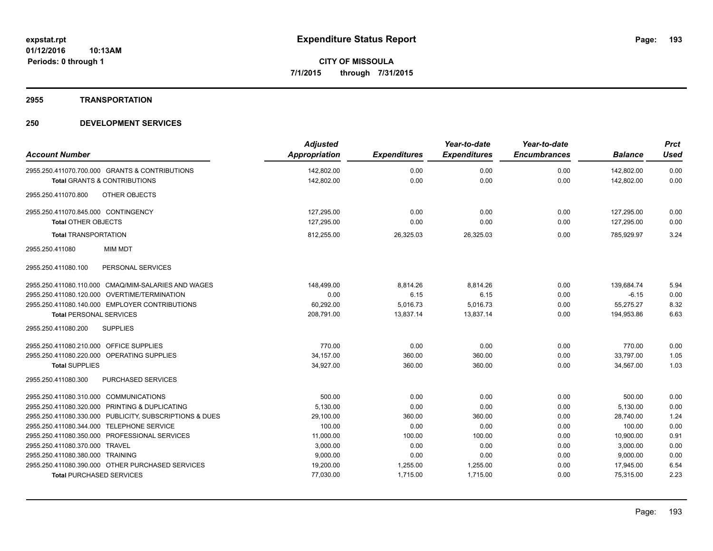#### **2955 TRANSPORTATION**

| <b>Account Number</b>                                   | <b>Adjusted</b><br><b>Appropriation</b> | <b>Expenditures</b> | Year-to-date<br><b>Expenditures</b> | Year-to-date<br><b>Encumbrances</b> | <b>Balance</b> | <b>Prct</b><br><b>Used</b> |
|---------------------------------------------------------|-----------------------------------------|---------------------|-------------------------------------|-------------------------------------|----------------|----------------------------|
| 2955.250.411070.700.000 GRANTS & CONTRIBUTIONS          | 142,802.00                              | 0.00                | 0.00                                | 0.00                                | 142,802.00     | 0.00                       |
| <b>Total GRANTS &amp; CONTRIBUTIONS</b>                 | 142,802.00                              | 0.00                | 0.00                                | 0.00                                | 142,802.00     | 0.00                       |
| OTHER OBJECTS<br>2955.250.411070.800                    |                                         |                     |                                     |                                     |                |                            |
| 2955.250.411070.845.000 CONTINGENCY                     | 127,295.00                              | 0.00                | 0.00                                | 0.00                                | 127,295.00     | 0.00                       |
| <b>Total OTHER OBJECTS</b>                              | 127,295.00                              | 0.00                | 0.00                                | 0.00                                | 127,295.00     | 0.00                       |
| <b>Total TRANSPORTATION</b>                             | 812,255.00                              | 26,325.03           | 26,325.03                           | 0.00                                | 785,929.97     | 3.24                       |
| <b>MIM MDT</b><br>2955.250.411080                       |                                         |                     |                                     |                                     |                |                            |
| 2955.250.411080.100<br>PERSONAL SERVICES                |                                         |                     |                                     |                                     |                |                            |
| 2955.250.411080.110.000 CMAQ/MIM-SALARIES AND WAGES     | 148,499.00                              | 8,814.26            | 8.814.26                            | 0.00                                | 139,684.74     | 5.94                       |
| 2955.250.411080.120.000 OVERTIME/TERMINATION            | 0.00                                    | 6.15                | 6.15                                | 0.00                                | $-6.15$        | 0.00                       |
| 2955.250.411080.140.000 EMPLOYER CONTRIBUTIONS          | 60,292.00                               | 5,016.73            | 5,016.73                            | 0.00                                | 55,275.27      | 8.32                       |
| <b>Total PERSONAL SERVICES</b>                          | 208,791.00                              | 13,837.14           | 13,837.14                           | 0.00                                | 194,953.86     | 6.63                       |
| 2955.250.411080.200<br><b>SUPPLIES</b>                  |                                         |                     |                                     |                                     |                |                            |
| 2955.250.411080.210.000 OFFICE SUPPLIES                 | 770.00                                  | 0.00                | 0.00                                | 0.00                                | 770.00         | 0.00                       |
| 2955.250.411080.220.000 OPERATING SUPPLIES              | 34,157.00                               | 360.00              | 360.00                              | 0.00                                | 33,797.00      | 1.05                       |
| <b>Total SUPPLIES</b>                                   | 34,927.00                               | 360.00              | 360.00                              | 0.00                                | 34,567.00      | 1.03                       |
| 2955.250.411080.300<br><b>PURCHASED SERVICES</b>        |                                         |                     |                                     |                                     |                |                            |
| 2955.250.411080.310.000 COMMUNICATIONS                  | 500.00                                  | 0.00                | 0.00                                | 0.00                                | 500.00         | 0.00                       |
| 2955.250.411080.320.000 PRINTING & DUPLICATING          | 5,130.00                                | 0.00                | 0.00                                | 0.00                                | 5.130.00       | 0.00                       |
| 2955.250.411080.330.000 PUBLICITY, SUBSCRIPTIONS & DUES | 29,100.00                               | 360.00              | 360.00                              | 0.00                                | 28,740.00      | 1.24                       |
| 2955.250.411080.344.000 TELEPHONE SERVICE               | 100.00                                  | 0.00                | 0.00                                | 0.00                                | 100.00         | 0.00                       |
| 2955.250.411080.350.000 PROFESSIONAL SERVICES           | 11,000.00                               | 100.00              | 100.00                              | 0.00                                | 10,900.00      | 0.91                       |
| 2955.250.411080.370.000 TRAVEL                          | 3,000.00                                | 0.00                | 0.00                                | 0.00                                | 3,000.00       | 0.00                       |
| 2955.250.411080.380.000 TRAINING                        | 9,000.00                                | 0.00                | 0.00                                | 0.00                                | 9,000.00       | 0.00                       |
| 2955.250.411080.390.000 OTHER PURCHASED SERVICES        | 19,200.00                               | 1,255.00            | 1,255.00                            | 0.00                                | 17,945.00      | 6.54                       |
| <b>Total PURCHASED SERVICES</b>                         | 77,030.00                               | 1,715.00            | 1,715.00                            | 0.00                                | 75,315.00      | 2.23                       |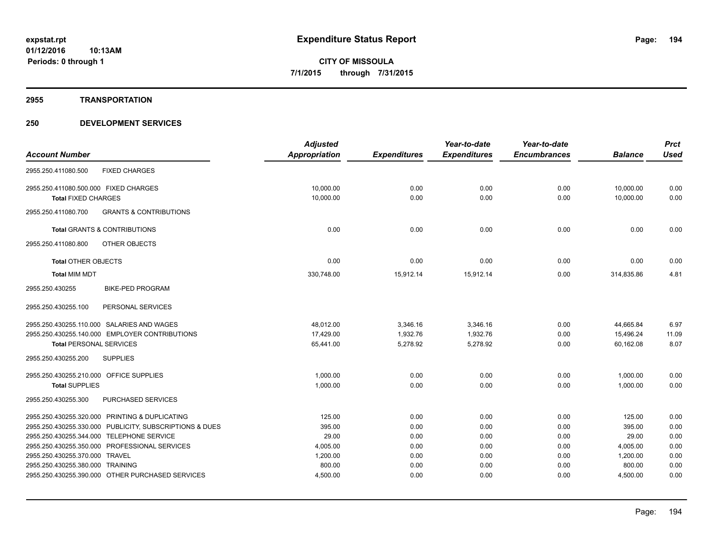**2955 TRANSPORTATION**

|                                                          | <b>Adjusted</b> |                     | Year-to-date        | Year-to-date        |                | <b>Prct</b> |
|----------------------------------------------------------|-----------------|---------------------|---------------------|---------------------|----------------|-------------|
| <b>Account Number</b>                                    | Appropriation   | <b>Expenditures</b> | <b>Expenditures</b> | <b>Encumbrances</b> | <b>Balance</b> | <b>Used</b> |
| 2955.250.411080.500<br><b>FIXED CHARGES</b>              |                 |                     |                     |                     |                |             |
| 2955.250.411080.500.000 FIXED CHARGES                    | 10,000.00       | 0.00                | 0.00                | 0.00                | 10,000.00      | 0.00        |
| <b>Total FIXED CHARGES</b>                               | 10,000.00       | 0.00                | 0.00                | 0.00                | 10,000.00      | 0.00        |
| <b>GRANTS &amp; CONTRIBUTIONS</b><br>2955.250.411080.700 |                 |                     |                     |                     |                |             |
| <b>Total GRANTS &amp; CONTRIBUTIONS</b>                  | 0.00            | 0.00                | 0.00                | 0.00                | 0.00           | 0.00        |
| OTHER OBJECTS<br>2955.250.411080.800                     |                 |                     |                     |                     |                |             |
| <b>Total OTHER OBJECTS</b>                               | 0.00            | 0.00                | 0.00                | 0.00                | 0.00           | 0.00        |
| <b>Total MIM MDT</b>                                     | 330,748.00      | 15,912.14           | 15,912.14           | 0.00                | 314,835.86     | 4.81        |
| 2955.250.430255<br><b>BIKE-PED PROGRAM</b>               |                 |                     |                     |                     |                |             |
| PERSONAL SERVICES<br>2955.250.430255.100                 |                 |                     |                     |                     |                |             |
| 2955.250.430255.110.000 SALARIES AND WAGES               | 48,012.00       | 3,346.16            | 3,346.16            | 0.00                | 44,665.84      | 6.97        |
| 2955.250.430255.140.000 EMPLOYER CONTRIBUTIONS           | 17,429.00       | 1,932.76            | 1,932.76            | 0.00                | 15,496.24      | 11.09       |
| <b>Total PERSONAL SERVICES</b>                           | 65,441.00       | 5,278.92            | 5,278.92            | 0.00                | 60,162.08      | 8.07        |
| 2955.250.430255.200<br><b>SUPPLIES</b>                   |                 |                     |                     |                     |                |             |
| 2955.250.430255.210.000 OFFICE SUPPLIES                  | 1,000.00        | 0.00                | 0.00                | 0.00                | 1,000.00       | 0.00        |
| <b>Total SUPPLIES</b>                                    | 1,000.00        | 0.00                | 0.00                | 0.00                | 1.000.00       | 0.00        |
| 2955.250.430255.300<br>PURCHASED SERVICES                |                 |                     |                     |                     |                |             |
| 2955.250.430255.320.000 PRINTING & DUPLICATING           | 125.00          | 0.00                | 0.00                | 0.00                | 125.00         | 0.00        |
| 2955.250.430255.330.000 PUBLICITY, SUBSCRIPTIONS & DUES  | 395.00          | 0.00                | 0.00                | 0.00                | 395.00         | 0.00        |
| 2955.250.430255.344.000 TELEPHONE SERVICE                | 29.00           | 0.00                | 0.00                | 0.00                | 29.00          | 0.00        |
| 2955.250.430255.350.000 PROFESSIONAL SERVICES            | 4,005.00        | 0.00                | 0.00                | 0.00                | 4,005.00       | 0.00        |
| 2955.250.430255.370.000 TRAVEL                           | 1,200.00        | 0.00                | 0.00                | 0.00                | 1,200.00       | 0.00        |
| 2955.250.430255.380.000 TRAINING                         | 800.00          | 0.00                | 0.00                | 0.00                | 800.00         | 0.00        |
| 2955.250.430255.390.000 OTHER PURCHASED SERVICES         | 4,500.00        | 0.00                | 0.00                | 0.00                | 4,500.00       | 0.00        |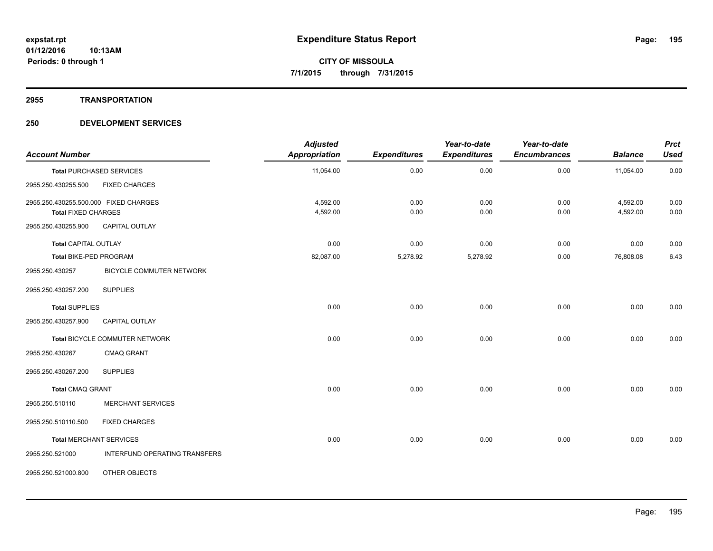#### **2955 TRANSPORTATION**

| <b>Account Number</b>                                               |                                 | <b>Adjusted</b><br><b>Appropriation</b> | <b>Expenditures</b> | Year-to-date<br><b>Expenditures</b> | Year-to-date<br><b>Encumbrances</b> | <b>Balance</b>       | <b>Prct</b><br><b>Used</b> |
|---------------------------------------------------------------------|---------------------------------|-----------------------------------------|---------------------|-------------------------------------|-------------------------------------|----------------------|----------------------------|
|                                                                     | <b>Total PURCHASED SERVICES</b> | 11,054.00                               | 0.00                | 0.00                                | 0.00                                | 11,054.00            | 0.00                       |
| 2955.250.430255.500                                                 | <b>FIXED CHARGES</b>            |                                         |                     |                                     |                                     |                      |                            |
| 2955.250.430255.500.000 FIXED CHARGES<br><b>Total FIXED CHARGES</b> |                                 | 4,592.00<br>4,592.00                    | 0.00<br>0.00        | 0.00<br>0.00                        | 0.00<br>0.00                        | 4,592.00<br>4,592.00 | 0.00<br>0.00               |
| 2955.250.430255.900                                                 | CAPITAL OUTLAY                  |                                         |                     |                                     |                                     |                      |                            |
| <b>Total CAPITAL OUTLAY</b>                                         |                                 | 0.00                                    | 0.00                | 0.00                                | 0.00                                | 0.00                 | 0.00                       |
| Total BIKE-PED PROGRAM                                              |                                 | 82,087.00                               | 5,278.92            | 5,278.92                            | 0.00                                | 76,808.08            | 6.43                       |
| 2955.250.430257                                                     | BICYCLE COMMUTER NETWORK        |                                         |                     |                                     |                                     |                      |                            |
| 2955.250.430257.200                                                 | <b>SUPPLIES</b>                 |                                         |                     |                                     |                                     |                      |                            |
| <b>Total SUPPLIES</b>                                               |                                 | 0.00                                    | 0.00                | 0.00                                | 0.00                                | 0.00                 | 0.00                       |
| 2955.250.430257.900                                                 | CAPITAL OUTLAY                  |                                         |                     |                                     |                                     |                      |                            |
|                                                                     | Total BICYCLE COMMUTER NETWORK  | 0.00                                    | 0.00                | 0.00                                | 0.00                                | 0.00                 | 0.00                       |
| 2955.250.430267                                                     | CMAQ GRANT                      |                                         |                     |                                     |                                     |                      |                            |
| 2955.250.430267.200                                                 | <b>SUPPLIES</b>                 |                                         |                     |                                     |                                     |                      |                            |
| <b>Total CMAQ GRANT</b>                                             |                                 | 0.00                                    | 0.00                | 0.00                                | 0.00                                | 0.00                 | 0.00                       |
| 2955.250.510110                                                     | <b>MERCHANT SERVICES</b>        |                                         |                     |                                     |                                     |                      |                            |
| 2955.250.510110.500                                                 | <b>FIXED CHARGES</b>            |                                         |                     |                                     |                                     |                      |                            |
|                                                                     | <b>Total MERCHANT SERVICES</b>  | 0.00                                    | 0.00                | 0.00                                | 0.00                                | 0.00                 | 0.00                       |
| 2955.250.521000                                                     | INTERFUND OPERATING TRANSFERS   |                                         |                     |                                     |                                     |                      |                            |
| 2955.250.521000.800                                                 | OTHER OBJECTS                   |                                         |                     |                                     |                                     |                      |                            |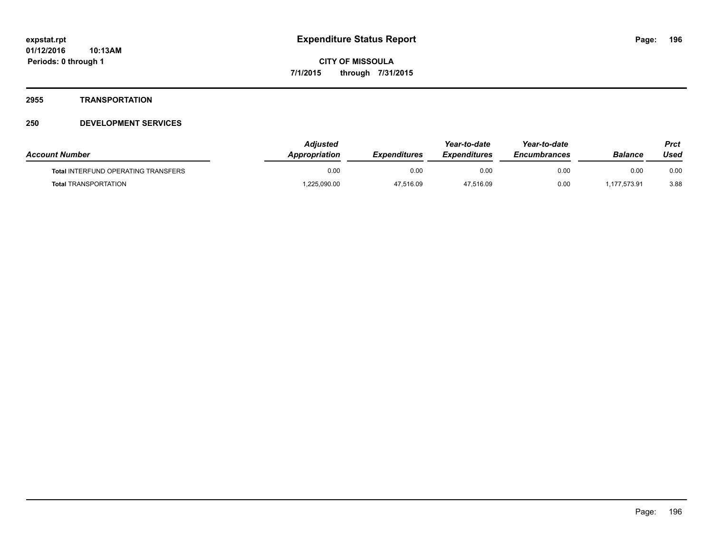#### **2955 TRANSPORTATION**

| <b>Account Number</b>                      | Adjusted<br><b>Appropriation</b> | <b>Expenditures</b> | Year-to-date<br><i><b>Expenditures</b></i> | Year-to-date<br><b>Encumbrances</b> | <b>Balance</b> | Prct<br>Used |
|--------------------------------------------|----------------------------------|---------------------|--------------------------------------------|-------------------------------------|----------------|--------------|
| <b>Total INTERFUND OPERATING TRANSFERS</b> | 0.00                             | 0.00                | 0.00                                       | 0.00                                | 0.00           | 0.00         |
| <b>Total TRANSPORTATION</b>                | 1,225,090.00                     | 47,516.09           | 47,516.09                                  | 0.00                                | 1,177,573.91   | 3.88         |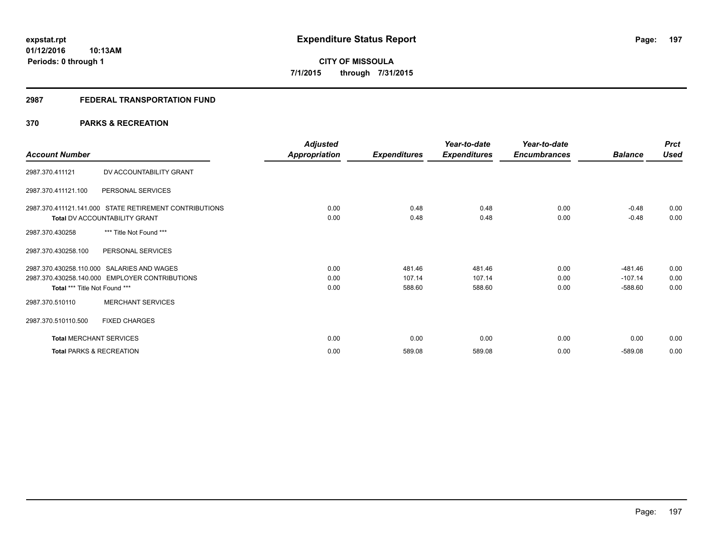#### **2987 FEDERAL TRANSPORTATION FUND**

# **370 PARKS & RECREATION**

| <b>Account Number</b>               |                                                                                              | <b>Adjusted</b><br>Appropriation | <b>Expenditures</b>        | Year-to-date<br><b>Expenditures</b> | Year-to-date<br><b>Encumbrances</b> | <b>Balance</b>                      | <b>Prct</b><br>Used  |
|-------------------------------------|----------------------------------------------------------------------------------------------|----------------------------------|----------------------------|-------------------------------------|-------------------------------------|-------------------------------------|----------------------|
| 2987.370.411121                     | DV ACCOUNTABILITY GRANT                                                                      |                                  |                            |                                     |                                     |                                     |                      |
| 2987.370.411121.100                 | PERSONAL SERVICES                                                                            |                                  |                            |                                     |                                     |                                     |                      |
|                                     | 2987.370.411121.141.000 STATE RETIREMENT CONTRIBUTIONS<br>Total DV ACCOUNTABILITY GRANT      | 0.00<br>0.00                     | 0.48<br>0.48               | 0.48<br>0.48                        | 0.00<br>0.00                        | $-0.48$<br>$-0.48$                  | 0.00<br>0.00         |
| 2987.370.430258                     | *** Title Not Found ***                                                                      |                                  |                            |                                     |                                     |                                     |                      |
| 2987.370.430258.100                 | PERSONAL SERVICES                                                                            |                                  |                            |                                     |                                     |                                     |                      |
| Total *** Title Not Found ***       | 2987.370.430258.110.000 SALARIES AND WAGES<br>2987.370.430258.140.000 EMPLOYER CONTRIBUTIONS | 0.00<br>0.00<br>0.00             | 481.46<br>107.14<br>588.60 | 481.46<br>107.14<br>588.60          | 0.00<br>0.00<br>0.00                | $-481.46$<br>$-107.14$<br>$-588.60$ | 0.00<br>0.00<br>0.00 |
| 2987.370.510110                     | <b>MERCHANT SERVICES</b>                                                                     |                                  |                            |                                     |                                     |                                     |                      |
| 2987.370.510110.500                 | <b>FIXED CHARGES</b>                                                                         |                                  |                            |                                     |                                     |                                     |                      |
| <b>Total MERCHANT SERVICES</b>      |                                                                                              | 0.00                             | 0.00                       | 0.00                                | 0.00                                | 0.00                                | 0.00                 |
| <b>Total PARKS &amp; RECREATION</b> |                                                                                              | 0.00                             | 589.08                     | 589.08                              | 0.00                                | $-589.08$                           | 0.00                 |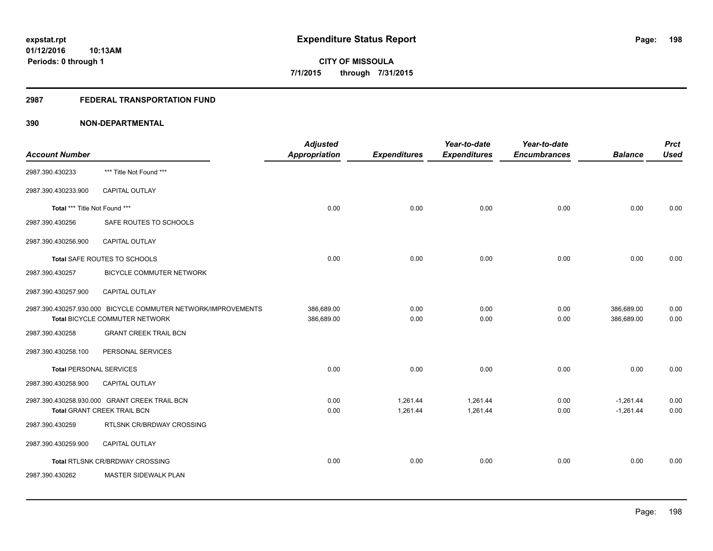# **2987 FEDERAL TRANSPORTATION FUND**

| <b>Account Number</b>          |                                                                                                 | <b>Adjusted</b><br>Appropriation | <b>Expenditures</b>  | Year-to-date<br><b>Expenditures</b> | Year-to-date<br><b>Encumbrances</b> | <b>Balance</b>             | <b>Prct</b><br><b>Used</b> |
|--------------------------------|-------------------------------------------------------------------------------------------------|----------------------------------|----------------------|-------------------------------------|-------------------------------------|----------------------------|----------------------------|
| 2987.390.430233                | *** Title Not Found ***                                                                         |                                  |                      |                                     |                                     |                            |                            |
| 2987.390.430233.900            | CAPITAL OUTLAY                                                                                  |                                  |                      |                                     |                                     |                            |                            |
| Total *** Title Not Found ***  |                                                                                                 | 0.00                             | 0.00                 | 0.00                                | 0.00                                | 0.00                       | 0.00                       |
| 2987.390.430256                | SAFE ROUTES TO SCHOOLS                                                                          |                                  |                      |                                     |                                     |                            |                            |
| 2987.390.430256.900            | <b>CAPITAL OUTLAY</b>                                                                           |                                  |                      |                                     |                                     |                            |                            |
|                                | Total SAFE ROUTES TO SCHOOLS                                                                    | 0.00                             | 0.00                 | 0.00                                | 0.00                                | 0.00                       | 0.00                       |
| 2987.390.430257                | BICYCLE COMMUTER NETWORK                                                                        |                                  |                      |                                     |                                     |                            |                            |
| 2987.390.430257.900            | <b>CAPITAL OUTLAY</b>                                                                           |                                  |                      |                                     |                                     |                            |                            |
|                                | 2987.390.430257.930.000 BICYCLE COMMUTER NETWORK/IMPROVEMENTS<br>Total BICYCLE COMMUTER NETWORK | 386,689.00<br>386,689.00         | 0.00<br>0.00         | 0.00<br>0.00                        | 0.00<br>0.00                        | 386,689.00<br>386,689.00   | 0.00<br>0.00               |
| 2987.390.430258                | <b>GRANT CREEK TRAIL BCN</b>                                                                    |                                  |                      |                                     |                                     |                            |                            |
| 2987.390.430258.100            | PERSONAL SERVICES                                                                               |                                  |                      |                                     |                                     |                            |                            |
| <b>Total PERSONAL SERVICES</b> |                                                                                                 | 0.00                             | 0.00                 | 0.00                                | 0.00                                | 0.00                       | 0.00                       |
| 2987.390.430258.900            | CAPITAL OUTLAY                                                                                  |                                  |                      |                                     |                                     |                            |                            |
|                                | 2987.390.430258.930.000 GRANT CREEK TRAIL BCN<br><b>Total GRANT CREEK TRAIL BCN</b>             | 0.00<br>0.00                     | 1,261.44<br>1,261.44 | 1,261.44<br>1,261.44                | 0.00<br>0.00                        | $-1,261.44$<br>$-1,261.44$ | 0.00<br>0.00               |
| 2987.390.430259                | RTLSNK CR/BRDWAY CROSSING                                                                       |                                  |                      |                                     |                                     |                            |                            |
| 2987.390.430259.900            | <b>CAPITAL OUTLAY</b>                                                                           |                                  |                      |                                     |                                     |                            |                            |
|                                | Total RTLSNK CR/BRDWAY CROSSING                                                                 | 0.00                             | 0.00                 | 0.00                                | 0.00                                | 0.00                       | 0.00                       |
| 2987.390.430262                | MASTER SIDEWALK PLAN                                                                            |                                  |                      |                                     |                                     |                            |                            |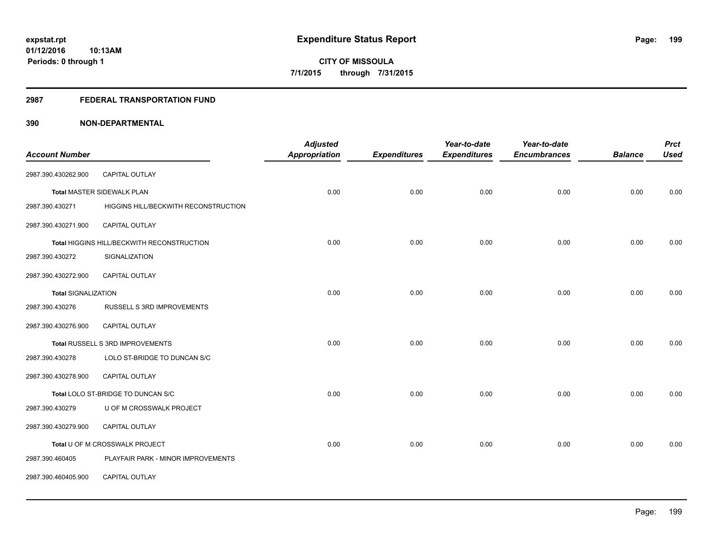#### **2987 FEDERAL TRANSPORTATION FUND**

|                            |                                            | <b>Adjusted</b>      |                     | Year-to-date        | Year-to-date        |                | <b>Prct</b> |
|----------------------------|--------------------------------------------|----------------------|---------------------|---------------------|---------------------|----------------|-------------|
| <b>Account Number</b>      |                                            | <b>Appropriation</b> | <b>Expenditures</b> | <b>Expenditures</b> | <b>Encumbrances</b> | <b>Balance</b> | <b>Used</b> |
| 2987.390.430262.900        | CAPITAL OUTLAY                             |                      |                     |                     |                     |                |             |
|                            | Total MASTER SIDEWALK PLAN                 | 0.00                 | 0.00                | 0.00                | 0.00                | 0.00           | 0.00        |
| 2987.390.430271            | HIGGINS HILL/BECKWITH RECONSTRUCTION       |                      |                     |                     |                     |                |             |
| 2987.390.430271.900        | CAPITAL OUTLAY                             |                      |                     |                     |                     |                |             |
|                            | Total HIGGINS HILL/BECKWITH RECONSTRUCTION | 0.00                 | 0.00                | 0.00                | 0.00                | 0.00           | 0.00        |
| 2987.390.430272            | SIGNALIZATION                              |                      |                     |                     |                     |                |             |
| 2987.390.430272.900        | <b>CAPITAL OUTLAY</b>                      |                      |                     |                     |                     |                |             |
| <b>Total SIGNALIZATION</b> |                                            | 0.00                 | 0.00                | 0.00                | 0.00                | 0.00           | 0.00        |
| 2987.390.430276            | RUSSELL S 3RD IMPROVEMENTS                 |                      |                     |                     |                     |                |             |
| 2987.390.430276.900        | CAPITAL OUTLAY                             |                      |                     |                     |                     |                |             |
|                            | Total RUSSELL S 3RD IMPROVEMENTS           | 0.00                 | 0.00                | 0.00                | 0.00                | 0.00           | 0.00        |
| 2987.390.430278            | LOLO ST-BRIDGE TO DUNCAN S/C               |                      |                     |                     |                     |                |             |
| 2987.390.430278.900        | <b>CAPITAL OUTLAY</b>                      |                      |                     |                     |                     |                |             |
|                            | Total LOLO ST-BRIDGE TO DUNCAN S/C         | 0.00                 | 0.00                | 0.00                | 0.00                | 0.00           | 0.00        |
| 2987.390.430279            | U OF M CROSSWALK PROJECT                   |                      |                     |                     |                     |                |             |
| 2987.390.430279.900        | <b>CAPITAL OUTLAY</b>                      |                      |                     |                     |                     |                |             |
|                            | Total U OF M CROSSWALK PROJECT             | 0.00                 | 0.00                | 0.00                | 0.00                | 0.00           | 0.00        |
| 2987.390.460405            | PLAYFAIR PARK - MINOR IMPROVEMENTS         |                      |                     |                     |                     |                |             |
| 2987.390.460405.900        | CAPITAL OUTLAY                             |                      |                     |                     |                     |                |             |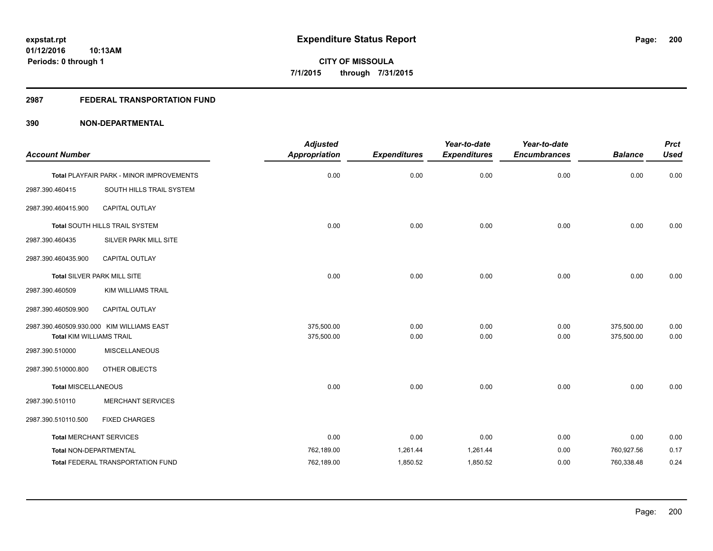# **2987 FEDERAL TRANSPORTATION FUND**

|                                 |                                           | <b>Adjusted</b>      |                     | Year-to-date        | Year-to-date        |                | <b>Prct</b> |
|---------------------------------|-------------------------------------------|----------------------|---------------------|---------------------|---------------------|----------------|-------------|
| <b>Account Number</b>           |                                           | <b>Appropriation</b> | <b>Expenditures</b> | <b>Expenditures</b> | <b>Encumbrances</b> | <b>Balance</b> | <b>Used</b> |
|                                 | Total PLAYFAIR PARK - MINOR IMPROVEMENTS  | 0.00                 | 0.00                | 0.00                | 0.00                | 0.00           | 0.00        |
| 2987.390.460415                 | SOUTH HILLS TRAIL SYSTEM                  |                      |                     |                     |                     |                |             |
| 2987.390.460415.900             | <b>CAPITAL OUTLAY</b>                     |                      |                     |                     |                     |                |             |
|                                 | <b>Total SOUTH HILLS TRAIL SYSTEM</b>     | 0.00                 | 0.00                | 0.00                | 0.00                | 0.00           | 0.00        |
| 2987.390.460435                 | SILVER PARK MILL SITE                     |                      |                     |                     |                     |                |             |
| 2987.390.460435.900             | CAPITAL OUTLAY                            |                      |                     |                     |                     |                |             |
|                                 | Total SILVER PARK MILL SITE               | 0.00                 | 0.00                | 0.00                | 0.00                | 0.00           | 0.00        |
| 2987.390.460509                 | KIM WILLIAMS TRAIL                        |                      |                     |                     |                     |                |             |
| 2987.390.460509.900             | CAPITAL OUTLAY                            |                      |                     |                     |                     |                |             |
|                                 | 2987.390.460509.930.000 KIM WILLIAMS EAST | 375,500.00           | 0.00                | 0.00                | 0.00                | 375,500.00     | 0.00        |
| <b>Total KIM WILLIAMS TRAIL</b> |                                           | 375,500.00           | 0.00                | 0.00                | 0.00                | 375,500.00     | 0.00        |
| 2987.390.510000                 | <b>MISCELLANEOUS</b>                      |                      |                     |                     |                     |                |             |
| 2987.390.510000.800             | OTHER OBJECTS                             |                      |                     |                     |                     |                |             |
| <b>Total MISCELLANEOUS</b>      |                                           | 0.00                 | 0.00                | 0.00                | 0.00                | 0.00           | 0.00        |
| 2987.390.510110                 | <b>MERCHANT SERVICES</b>                  |                      |                     |                     |                     |                |             |
| 2987.390.510110.500             | <b>FIXED CHARGES</b>                      |                      |                     |                     |                     |                |             |
| <b>Total MERCHANT SERVICES</b>  |                                           | 0.00                 | 0.00                | 0.00                | 0.00                | 0.00           | 0.00        |
| Total NON-DEPARTMENTAL          |                                           | 762,189.00           | 1,261.44            | 1,261.44            | 0.00                | 760,927.56     | 0.17        |
|                                 | <b>Total FEDERAL TRANSPORTATION FUND</b>  | 762,189.00           | 1,850.52            | 1,850.52            | 0.00                | 760,338.48     | 0.24        |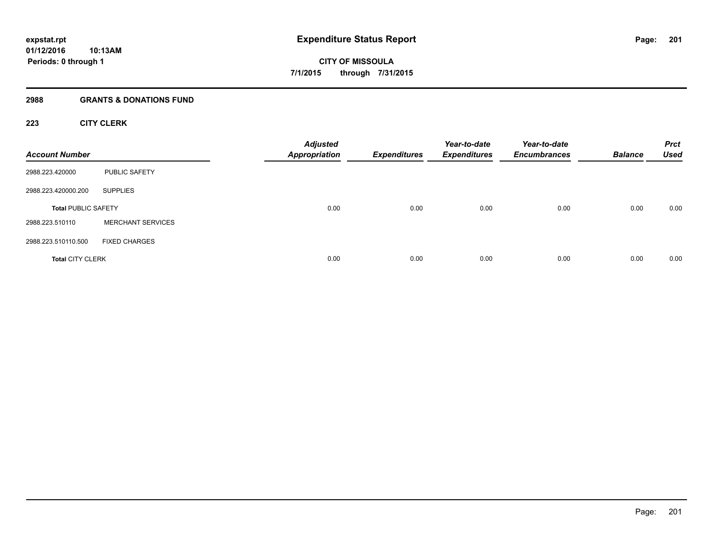#### **2988 GRANTS & DONATIONS FUND**

# **223 CITY CLERK**

| <b>Account Number</b>      |                          | <b>Adjusted</b><br><b>Appropriation</b> | <b>Expenditures</b> | Year-to-date<br><b>Expenditures</b> | Year-to-date<br><b>Encumbrances</b> | <b>Balance</b> | <b>Prct</b><br><b>Used</b> |
|----------------------------|--------------------------|-----------------------------------------|---------------------|-------------------------------------|-------------------------------------|----------------|----------------------------|
| 2988.223.420000            | <b>PUBLIC SAFETY</b>     |                                         |                     |                                     |                                     |                |                            |
| 2988.223.420000.200        | <b>SUPPLIES</b>          |                                         |                     |                                     |                                     |                |                            |
| <b>Total PUBLIC SAFETY</b> |                          | 0.00                                    | 0.00                | 0.00                                | 0.00                                | 0.00           | 0.00                       |
| 2988.223.510110            | <b>MERCHANT SERVICES</b> |                                         |                     |                                     |                                     |                |                            |
| 2988.223.510110.500        | <b>FIXED CHARGES</b>     |                                         |                     |                                     |                                     |                |                            |
| <b>Total CITY CLERK</b>    |                          | 0.00                                    | 0.00                | 0.00                                | 0.00                                | 0.00           | 0.00                       |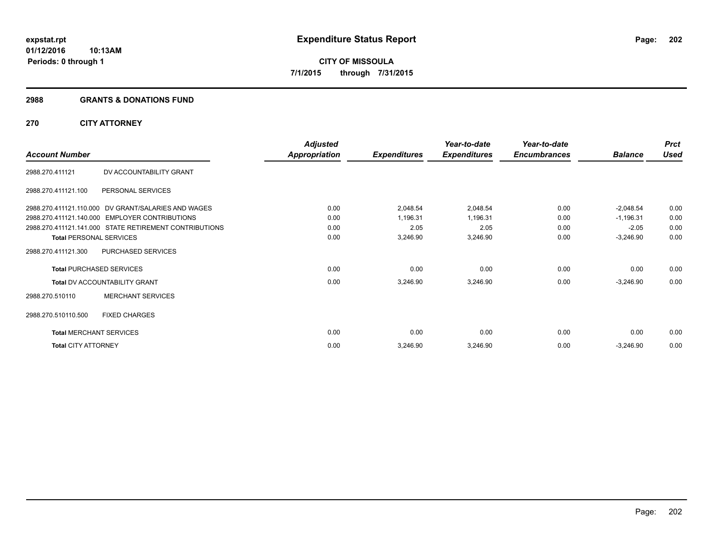#### **2988 GRANTS & DONATIONS FUND**

# **270 CITY ATTORNEY**

|                                |                                                        | <b>Adjusted</b>      |                     | Year-to-date        | Year-to-date        |                | <b>Prct</b> |
|--------------------------------|--------------------------------------------------------|----------------------|---------------------|---------------------|---------------------|----------------|-------------|
| <b>Account Number</b>          |                                                        | <b>Appropriation</b> | <b>Expenditures</b> | <b>Expenditures</b> | <b>Encumbrances</b> | <b>Balance</b> | <b>Used</b> |
| 2988.270.411121                | DV ACCOUNTABILITY GRANT                                |                      |                     |                     |                     |                |             |
| 2988.270.411121.100            | PERSONAL SERVICES                                      |                      |                     |                     |                     |                |             |
|                                | 2988.270.411121.110.000 DV GRANT/SALARIES AND WAGES    | 0.00                 | 2,048.54            | 2,048.54            | 0.00                | $-2,048.54$    | 0.00        |
|                                | 2988.270.411121.140.000 EMPLOYER CONTRIBUTIONS         | 0.00                 | 1,196.31            | 1,196.31            | 0.00                | $-1,196.31$    | 0.00        |
|                                | 2988.270.411121.141.000 STATE RETIREMENT CONTRIBUTIONS | 0.00                 | 2.05                | 2.05                | 0.00                | $-2.05$        | 0.00        |
| <b>Total PERSONAL SERVICES</b> |                                                        | 0.00                 | 3,246.90            | 3,246.90            | 0.00                | $-3,246.90$    | 0.00        |
| 2988.270.411121.300            | PURCHASED SERVICES                                     |                      |                     |                     |                     |                |             |
|                                | <b>Total PURCHASED SERVICES</b>                        | 0.00                 | 0.00                | 0.00                | 0.00                | 0.00           | 0.00        |
|                                | <b>Total DV ACCOUNTABILITY GRANT</b>                   | 0.00                 | 3,246.90            | 3,246.90            | 0.00                | $-3,246.90$    | 0.00        |
| 2988.270.510110                | <b>MERCHANT SERVICES</b>                               |                      |                     |                     |                     |                |             |
| 2988.270.510110.500            | <b>FIXED CHARGES</b>                                   |                      |                     |                     |                     |                |             |
| <b>Total MERCHANT SERVICES</b> |                                                        | 0.00                 | 0.00                | 0.00                | 0.00                | 0.00           | 0.00        |
| <b>Total CITY ATTORNEY</b>     |                                                        | 0.00                 | 3,246.90            | 3,246.90            | 0.00                | $-3,246.90$    | 0.00        |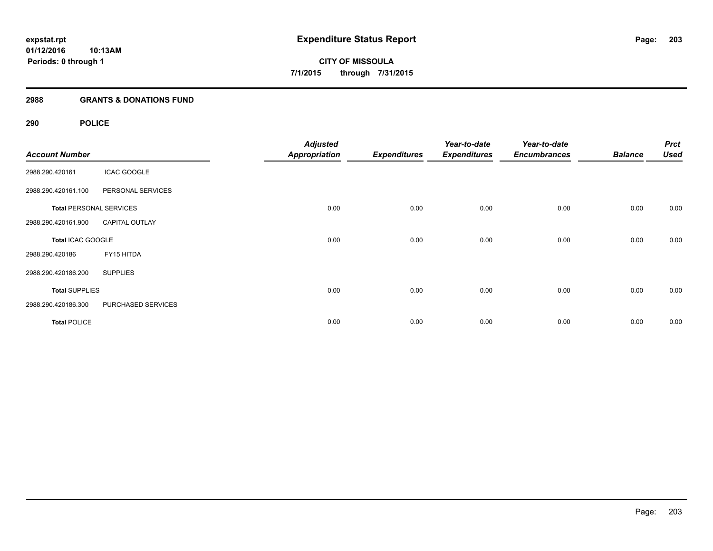# **2988 GRANTS & DONATIONS FUND**

# **290 POLICE**

| <b>Account Number</b> |                                | <b>Adjusted</b><br><b>Appropriation</b> | <b>Expenditures</b> | Year-to-date<br><b>Expenditures</b> | Year-to-date<br><b>Encumbrances</b> | <b>Balance</b> | <b>Prct</b><br><b>Used</b> |
|-----------------------|--------------------------------|-----------------------------------------|---------------------|-------------------------------------|-------------------------------------|----------------|----------------------------|
| 2988.290.420161       | <b>ICAC GOOGLE</b>             |                                         |                     |                                     |                                     |                |                            |
| 2988.290.420161.100   | PERSONAL SERVICES              |                                         |                     |                                     |                                     |                |                            |
|                       | <b>Total PERSONAL SERVICES</b> | 0.00                                    | 0.00                | 0.00                                | 0.00                                | 0.00           | 0.00                       |
| 2988.290.420161.900   | <b>CAPITAL OUTLAY</b>          |                                         |                     |                                     |                                     |                |                            |
| Total ICAC GOOGLE     |                                | 0.00                                    | 0.00                | 0.00                                | 0.00                                | 0.00           | 0.00                       |
| 2988.290.420186       | FY15 HITDA                     |                                         |                     |                                     |                                     |                |                            |
| 2988.290.420186.200   | <b>SUPPLIES</b>                |                                         |                     |                                     |                                     |                |                            |
| <b>Total SUPPLIES</b> |                                | 0.00                                    | 0.00                | 0.00                                | 0.00                                | 0.00           | 0.00                       |
| 2988.290.420186.300   | PURCHASED SERVICES             |                                         |                     |                                     |                                     |                |                            |
| <b>Total POLICE</b>   |                                | 0.00                                    | 0.00                | 0.00                                | 0.00                                | 0.00           | 0.00                       |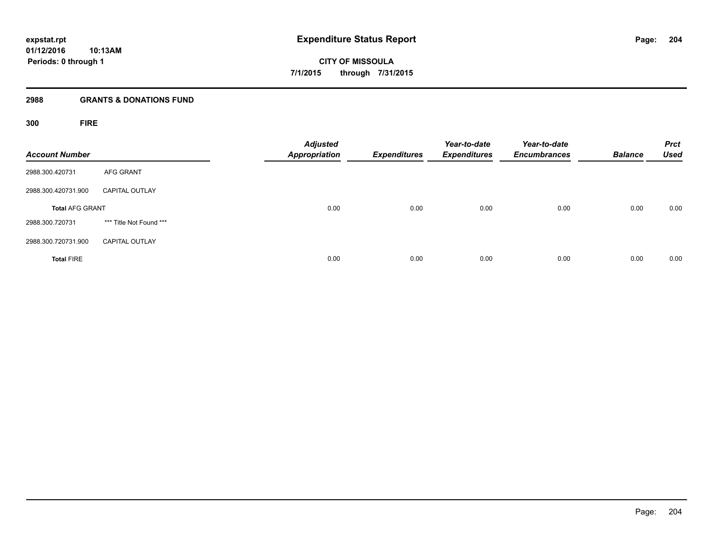**Periods: 0 through 1**

**CITY OF MISSOULA 7/1/2015 through 7/31/2015**

#### **2988 GRANTS & DONATIONS FUND**

**300 FIRE**

| <b>Account Number</b>  |                         | <b>Adjusted</b><br><b>Appropriation</b> | <b>Expenditures</b> | Year-to-date<br><b>Expenditures</b> | Year-to-date<br><b>Encumbrances</b> | <b>Balance</b> | <b>Prct</b><br><b>Used</b> |
|------------------------|-------------------------|-----------------------------------------|---------------------|-------------------------------------|-------------------------------------|----------------|----------------------------|
| 2988.300.420731        | <b>AFG GRANT</b>        |                                         |                     |                                     |                                     |                |                            |
| 2988.300.420731.900    | <b>CAPITAL OUTLAY</b>   |                                         |                     |                                     |                                     |                |                            |
| <b>Total AFG GRANT</b> |                         | 0.00                                    | 0.00                | 0.00                                | 0.00                                | 0.00           | 0.00                       |
| 2988.300.720731        | *** Title Not Found *** |                                         |                     |                                     |                                     |                |                            |
| 2988.300.720731.900    | <b>CAPITAL OUTLAY</b>   |                                         |                     |                                     |                                     |                |                            |
| <b>Total FIRE</b>      |                         | 0.00                                    | 0.00                | 0.00                                | 0.00                                | 0.00           | 0.00                       |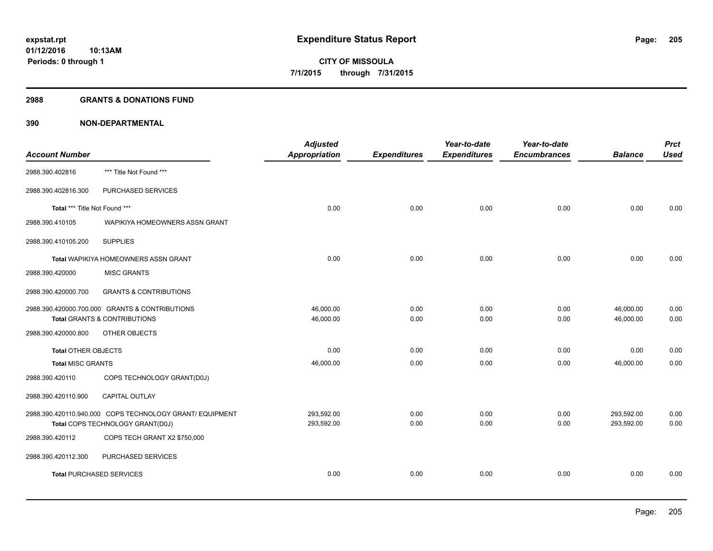#### **2988 GRANTS & DONATIONS FUND**

|                                 |                                                          | <b>Adjusted</b> |                     | Year-to-date        | Year-to-date        |                | <b>Prct</b> |
|---------------------------------|----------------------------------------------------------|-----------------|---------------------|---------------------|---------------------|----------------|-------------|
| <b>Account Number</b>           |                                                          | Appropriation   | <b>Expenditures</b> | <b>Expenditures</b> | <b>Encumbrances</b> | <b>Balance</b> | <b>Used</b> |
| 2988.390.402816                 | *** Title Not Found ***                                  |                 |                     |                     |                     |                |             |
| 2988.390.402816.300             | PURCHASED SERVICES                                       |                 |                     |                     |                     |                |             |
| Total *** Title Not Found ***   |                                                          | 0.00            | 0.00                | 0.00                | 0.00                | 0.00           | 0.00        |
| 2988.390.410105                 | WAPIKIYA HOMEOWNERS ASSN GRANT                           |                 |                     |                     |                     |                |             |
| 2988.390.410105.200             | <b>SUPPLIES</b>                                          |                 |                     |                     |                     |                |             |
|                                 | <b>Total WAPIKIYA HOMEOWNERS ASSN GRANT</b>              | 0.00            | 0.00                | 0.00                | 0.00                | 0.00           | 0.00        |
| 2988.390.420000                 | <b>MISC GRANTS</b>                                       |                 |                     |                     |                     |                |             |
| 2988.390.420000.700             | <b>GRANTS &amp; CONTRIBUTIONS</b>                        |                 |                     |                     |                     |                |             |
|                                 | 2988.390.420000.700.000 GRANTS & CONTRIBUTIONS           | 46,000.00       | 0.00                | 0.00                | 0.00                | 46,000.00      | 0.00        |
|                                 | <b>Total GRANTS &amp; CONTRIBUTIONS</b>                  | 46,000.00       | 0.00                | 0.00                | 0.00                | 46.000.00      | 0.00        |
| 2988.390.420000.800             | OTHER OBJECTS                                            |                 |                     |                     |                     |                |             |
| <b>Total OTHER OBJECTS</b>      |                                                          | 0.00            | 0.00                | 0.00                | 0.00                | 0.00           | 0.00        |
| <b>Total MISC GRANTS</b>        |                                                          | 46,000.00       | 0.00                | 0.00                | 0.00                | 46,000.00      | 0.00        |
| 2988.390.420110                 | COPS TECHNOLOGY GRANT(D0J)                               |                 |                     |                     |                     |                |             |
| 2988.390.420110.900             | <b>CAPITAL OUTLAY</b>                                    |                 |                     |                     |                     |                |             |
|                                 | 2988.390.420110.940.000 COPS TECHNOLOGY GRANT/ EQUIPMENT | 293,592.00      | 0.00                | 0.00                | 0.00                | 293,592.00     | 0.00        |
|                                 | Total COPS TECHNOLOGY GRANT(D0J)                         | 293,592.00      | 0.00                | 0.00                | 0.00                | 293,592.00     | 0.00        |
| 2988.390.420112                 | COPS TECH GRANT X2 \$750,000                             |                 |                     |                     |                     |                |             |
| 2988.390.420112.300             | PURCHASED SERVICES                                       |                 |                     |                     |                     |                |             |
| <b>Total PURCHASED SERVICES</b> |                                                          | 0.00            | 0.00                | 0.00                | 0.00                | 0.00           | 0.00        |
|                                 |                                                          |                 |                     |                     |                     |                |             |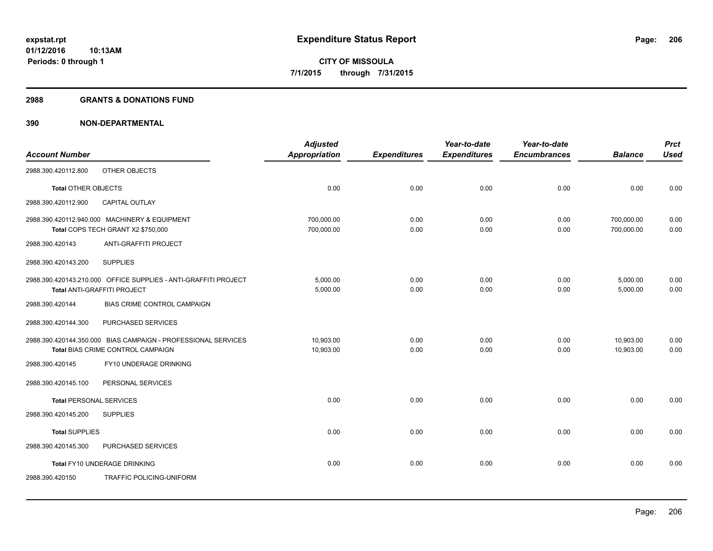#### **2988 GRANTS & DONATIONS FUND**

|                                |                                                                                                    | <b>Adjusted</b>          |                     | Year-to-date        | Year-to-date        |                          | <b>Prct</b>  |
|--------------------------------|----------------------------------------------------------------------------------------------------|--------------------------|---------------------|---------------------|---------------------|--------------------------|--------------|
| <b>Account Number</b>          |                                                                                                    | <b>Appropriation</b>     | <b>Expenditures</b> | <b>Expenditures</b> | <b>Encumbrances</b> | <b>Balance</b>           | <b>Used</b>  |
| 2988.390.420112.800            | OTHER OBJECTS                                                                                      |                          |                     |                     |                     |                          |              |
| <b>Total OTHER OBJECTS</b>     |                                                                                                    | 0.00                     | 0.00                | 0.00                | 0.00                | 0.00                     | 0.00         |
| 2988.390.420112.900            | CAPITAL OUTLAY                                                                                     |                          |                     |                     |                     |                          |              |
|                                | 2988.390.420112.940.000 MACHINERY & EQUIPMENT<br>Total COPS TECH GRANT X2 \$750,000                | 700,000.00<br>700,000.00 | 0.00<br>0.00        | 0.00<br>0.00        | 0.00<br>0.00        | 700,000.00<br>700,000.00 | 0.00<br>0.00 |
| 2988.390.420143                | ANTI-GRAFFITI PROJECT                                                                              |                          |                     |                     |                     |                          |              |
| 2988.390.420143.200            | <b>SUPPLIES</b>                                                                                    |                          |                     |                     |                     |                          |              |
|                                | 2988.390.420143.210.000 OFFICE SUPPLIES - ANTI-GRAFFITI PROJECT<br>Total ANTI-GRAFFITI PROJECT     | 5,000.00<br>5,000.00     | 0.00<br>0.00        | 0.00<br>0.00        | 0.00<br>0.00        | 5,000.00<br>5,000.00     | 0.00<br>0.00 |
| 2988.390.420144                | BIAS CRIME CONTROL CAMPAIGN                                                                        |                          |                     |                     |                     |                          |              |
| 2988.390.420144.300            | PURCHASED SERVICES                                                                                 |                          |                     |                     |                     |                          |              |
|                                | 2988.390.420144.350.000 BIAS CAMPAIGN - PROFESSIONAL SERVICES<br>Total BIAS CRIME CONTROL CAMPAIGN | 10,903.00<br>10,903.00   | 0.00<br>0.00        | 0.00<br>0.00        | 0.00<br>0.00        | 10,903.00<br>10.903.00   | 0.00<br>0.00 |
| 2988.390.420145                | FY10 UNDERAGE DRINKING                                                                             |                          |                     |                     |                     |                          |              |
| 2988.390.420145.100            | PERSONAL SERVICES                                                                                  |                          |                     |                     |                     |                          |              |
| <b>Total PERSONAL SERVICES</b> |                                                                                                    | 0.00                     | 0.00                | 0.00                | 0.00                | 0.00                     | 0.00         |
| 2988.390.420145.200            | <b>SUPPLIES</b>                                                                                    |                          |                     |                     |                     |                          |              |
| <b>Total SUPPLIES</b>          |                                                                                                    | 0.00                     | 0.00                | 0.00                | 0.00                | 0.00                     | 0.00         |
| 2988.390.420145.300            | PURCHASED SERVICES                                                                                 |                          |                     |                     |                     |                          |              |
|                                | Total FY10 UNDERAGE DRINKING                                                                       | 0.00                     | 0.00                | 0.00                | 0.00                | 0.00                     | 0.00         |
| 2988.390.420150                | TRAFFIC POLICING-UNIFORM                                                                           |                          |                     |                     |                     |                          |              |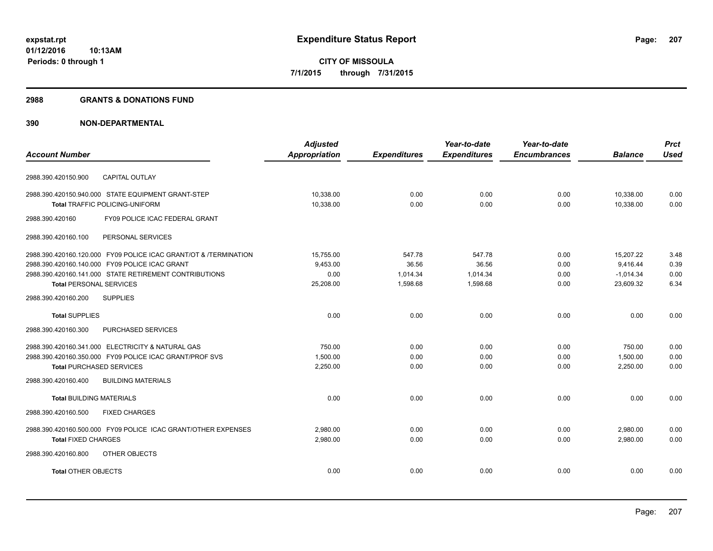#### **2988 GRANTS & DONATIONS FUND**

|                                                                  | <b>Adjusted</b>      |                     | Year-to-date        | Year-to-date        |                | <b>Prct</b> |
|------------------------------------------------------------------|----------------------|---------------------|---------------------|---------------------|----------------|-------------|
| <b>Account Number</b>                                            | <b>Appropriation</b> | <b>Expenditures</b> | <b>Expenditures</b> | <b>Encumbrances</b> | <b>Balance</b> | <b>Used</b> |
|                                                                  |                      |                     |                     |                     |                |             |
| CAPITAL OUTLAY<br>2988.390.420150.900                            |                      |                     |                     |                     |                |             |
| 2988.390.420150.940.000 STATE EQUIPMENT GRANT-STEP               | 10,338.00            | 0.00                | 0.00                | 0.00                | 10,338.00      | 0.00        |
| Total TRAFFIC POLICING-UNIFORM                                   | 10,338.00            | 0.00                | 0.00                | 0.00                | 10,338.00      | 0.00        |
| 2988.390.420160<br>FY09 POLICE ICAC FEDERAL GRANT                |                      |                     |                     |                     |                |             |
| PERSONAL SERVICES<br>2988.390.420160.100                         |                      |                     |                     |                     |                |             |
| 2988.390.420160.120.000 FY09 POLICE ICAC GRANT/OT & /TERMINATION | 15,755.00            | 547.78              | 547.78              | 0.00                | 15,207.22      | 3.48        |
| 2988.390.420160.140.000 FY09 POLICE ICAC GRANT                   | 9,453.00             | 36.56               | 36.56               | 0.00                | 9,416.44       | 0.39        |
| 2988.390.420160.141.000 STATE RETIREMENT CONTRIBUTIONS           | 0.00                 | 1,014.34            | 1,014.34            | 0.00                | $-1,014.34$    | 0.00        |
| <b>Total PERSONAL SERVICES</b>                                   | 25,208.00            | 1,598.68            | 1,598.68            | 0.00                | 23,609.32      | 6.34        |
| <b>SUPPLIES</b><br>2988.390.420160.200                           |                      |                     |                     |                     |                |             |
| <b>Total SUPPLIES</b>                                            | 0.00                 | 0.00                | 0.00                | 0.00                | 0.00           | 0.00        |
| 2988.390.420160.300<br>PURCHASED SERVICES                        |                      |                     |                     |                     |                |             |
| 2988.390.420160.341.000 ELECTRICITY & NATURAL GAS                | 750.00               | 0.00                | 0.00                | 0.00                | 750.00         | 0.00        |
| 2988.390.420160.350.000 FY09 POLICE ICAC GRANT/PROF SVS          | 1,500.00             | 0.00                | 0.00                | 0.00                | 1,500.00       | 0.00        |
| <b>Total PURCHASED SERVICES</b>                                  | 2,250.00             | 0.00                | 0.00                | 0.00                | 2,250.00       | 0.00        |
| 2988.390.420160.400<br><b>BUILDING MATERIALS</b>                 |                      |                     |                     |                     |                |             |
| <b>Total BUILDING MATERIALS</b>                                  | 0.00                 | 0.00                | 0.00                | 0.00                | 0.00           | 0.00        |
| 2988.390.420160.500<br><b>FIXED CHARGES</b>                      |                      |                     |                     |                     |                |             |
| 2988.390.420160.500.000 FY09 POLICE ICAC GRANT/OTHER EXPENSES    | 2.980.00             | 0.00                | 0.00                | 0.00                | 2,980.00       | 0.00        |
| <b>Total FIXED CHARGES</b>                                       | 2,980.00             | 0.00                | 0.00                | 0.00                | 2,980.00       | 0.00        |
| OTHER OBJECTS<br>2988.390.420160.800                             |                      |                     |                     |                     |                |             |
| <b>Total OTHER OBJECTS</b>                                       | 0.00                 | 0.00                | 0.00                | 0.00                | 0.00           | 0.00        |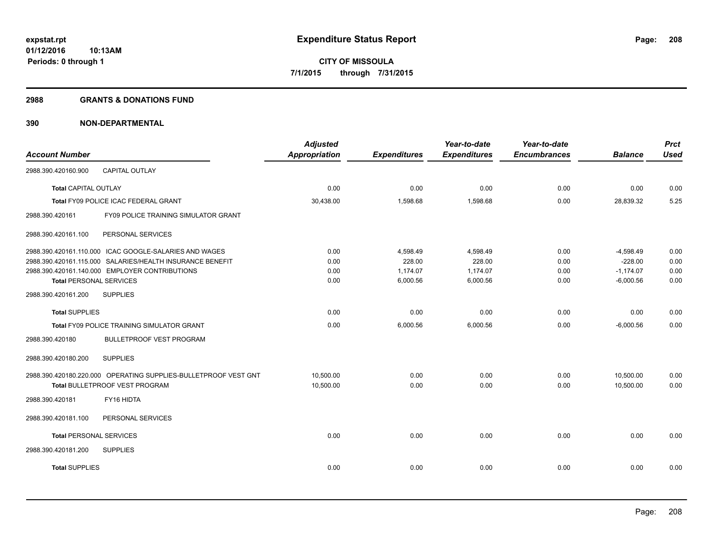#### **2988 GRANTS & DONATIONS FUND**

|                                                                 | <b>Adjusted</b>      |                     | Year-to-date        | Year-to-date        |                | <b>Prct</b> |
|-----------------------------------------------------------------|----------------------|---------------------|---------------------|---------------------|----------------|-------------|
| <b>Account Number</b>                                           | <b>Appropriation</b> | <b>Expenditures</b> | <b>Expenditures</b> | <b>Encumbrances</b> | <b>Balance</b> | <b>Used</b> |
| <b>CAPITAL OUTLAY</b><br>2988.390.420160.900                    |                      |                     |                     |                     |                |             |
| <b>Total CAPITAL OUTLAY</b>                                     | 0.00                 | 0.00                | 0.00                | 0.00                | 0.00           | 0.00        |
| Total FY09 POLICE ICAC FEDERAL GRANT                            | 30,438.00            | 1,598.68            | 1,598.68            | 0.00                | 28,839.32      | 5.25        |
| FY09 POLICE TRAINING SIMULATOR GRANT<br>2988.390.420161         |                      |                     |                     |                     |                |             |
| 2988.390.420161.100<br>PERSONAL SERVICES                        |                      |                     |                     |                     |                |             |
| 2988.390.420161.110.000 ICAC GOOGLE-SALARIES AND WAGES          | 0.00                 | 4,598.49            | 4,598.49            | 0.00                | $-4,598.49$    | 0.00        |
| 2988.390.420161.115.000 SALARIES/HEALTH INSURANCE BENEFIT       | 0.00                 | 228.00              | 228.00              | 0.00                | $-228.00$      | 0.00        |
| 2988.390.420161.140.000 EMPLOYER CONTRIBUTIONS                  | 0.00                 | 1,174.07            | 1,174.07            | 0.00                | $-1,174.07$    | 0.00        |
| <b>Total PERSONAL SERVICES</b>                                  | 0.00                 | 6,000.56            | 6,000.56            | 0.00                | $-6,000.56$    | 0.00        |
| <b>SUPPLIES</b><br>2988.390.420161.200                          |                      |                     |                     |                     |                |             |
| <b>Total SUPPLIES</b>                                           | 0.00                 | 0.00                | 0.00                | 0.00                | 0.00           | 0.00        |
| Total FY09 POLICE TRAINING SIMULATOR GRANT                      | 0.00                 | 6,000.56            | 6,000.56            | 0.00                | $-6.000.56$    | 0.00        |
| <b>BULLETPROOF VEST PROGRAM</b><br>2988.390.420180              |                      |                     |                     |                     |                |             |
| 2988.390.420180.200<br><b>SUPPLIES</b>                          |                      |                     |                     |                     |                |             |
| 2988.390.420180.220.000 OPERATING SUPPLIES-BULLETPROOF VEST GNT | 10,500.00            | 0.00                | 0.00                | 0.00                | 10,500.00      | 0.00        |
| Total BULLETPROOF VEST PROGRAM                                  | 10,500.00            | 0.00                | 0.00                | 0.00                | 10,500.00      | 0.00        |
| FY16 HIDTA<br>2988.390.420181                                   |                      |                     |                     |                     |                |             |
| 2988.390.420181.100<br>PERSONAL SERVICES                        |                      |                     |                     |                     |                |             |
| <b>Total PERSONAL SERVICES</b>                                  | 0.00                 | 0.00                | 0.00                | 0.00                | 0.00           | 0.00        |
| 2988.390.420181.200<br><b>SUPPLIES</b>                          |                      |                     |                     |                     |                |             |
| <b>Total SUPPLIES</b>                                           | 0.00                 | 0.00                | 0.00                | 0.00                | 0.00           | 0.00        |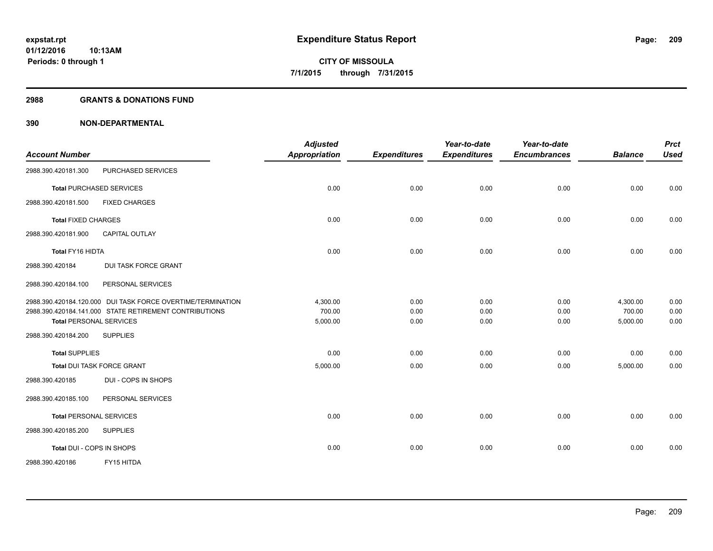#### **2988 GRANTS & DONATIONS FUND**

| <b>Account Number</b>                                                                                                                                   | <b>Adjusted</b><br><b>Appropriation</b> | <b>Expenditures</b>  | Year-to-date<br><b>Expenditures</b> | Year-to-date<br><b>Encumbrances</b> | <b>Balance</b>                 | <b>Prct</b><br><b>Used</b> |
|---------------------------------------------------------------------------------------------------------------------------------------------------------|-----------------------------------------|----------------------|-------------------------------------|-------------------------------------|--------------------------------|----------------------------|
| PURCHASED SERVICES<br>2988.390.420181.300                                                                                                               |                                         |                      |                                     |                                     |                                |                            |
| <b>Total PURCHASED SERVICES</b>                                                                                                                         | 0.00                                    | 0.00                 | 0.00                                | 0.00                                | 0.00                           | 0.00                       |
| <b>FIXED CHARGES</b><br>2988.390.420181.500                                                                                                             |                                         |                      |                                     |                                     |                                |                            |
| <b>Total FIXED CHARGES</b>                                                                                                                              | 0.00                                    | 0.00                 | 0.00                                | 0.00                                | 0.00                           | 0.00                       |
| <b>CAPITAL OUTLAY</b><br>2988.390.420181.900                                                                                                            |                                         |                      |                                     |                                     |                                |                            |
| Total FY16 HIDTA                                                                                                                                        | 0.00                                    | 0.00                 | 0.00                                | 0.00                                | 0.00                           | 0.00                       |
| <b>DUI TASK FORCE GRANT</b><br>2988.390.420184                                                                                                          |                                         |                      |                                     |                                     |                                |                            |
| 2988.390.420184.100<br>PERSONAL SERVICES                                                                                                                |                                         |                      |                                     |                                     |                                |                            |
| 2988.390.420184.120.000 DUI TASK FORCE OVERTIME/TERMINATION<br>2988.390.420184.141.000 STATE RETIREMENT CONTRIBUTIONS<br><b>Total PERSONAL SERVICES</b> | 4,300.00<br>700.00<br>5,000.00          | 0.00<br>0.00<br>0.00 | 0.00<br>0.00<br>0.00                | 0.00<br>0.00<br>0.00                | 4,300.00<br>700.00<br>5,000.00 | 0.00<br>0.00<br>0.00       |
| 2988.390.420184.200<br><b>SUPPLIES</b>                                                                                                                  |                                         |                      |                                     |                                     |                                |                            |
| <b>Total SUPPLIES</b>                                                                                                                                   | 0.00                                    | 0.00                 | 0.00                                | 0.00                                | 0.00                           | 0.00                       |
| <b>Total DUI TASK FORCE GRANT</b>                                                                                                                       | 5,000.00                                | 0.00                 | 0.00                                | 0.00                                | 5,000.00                       | 0.00                       |
| DUI - COPS IN SHOPS<br>2988.390.420185                                                                                                                  |                                         |                      |                                     |                                     |                                |                            |
| 2988.390.420185.100<br>PERSONAL SERVICES                                                                                                                |                                         |                      |                                     |                                     |                                |                            |
| <b>Total PERSONAL SERVICES</b>                                                                                                                          | 0.00                                    | 0.00                 | 0.00                                | 0.00                                | 0.00                           | 0.00                       |
| <b>SUPPLIES</b><br>2988.390.420185.200                                                                                                                  |                                         |                      |                                     |                                     |                                |                            |
| Total DUI - COPS IN SHOPS                                                                                                                               | 0.00                                    | 0.00                 | 0.00                                | 0.00                                | 0.00                           | 0.00                       |
| FY15 HITDA<br>2988.390.420186                                                                                                                           |                                         |                      |                                     |                                     |                                |                            |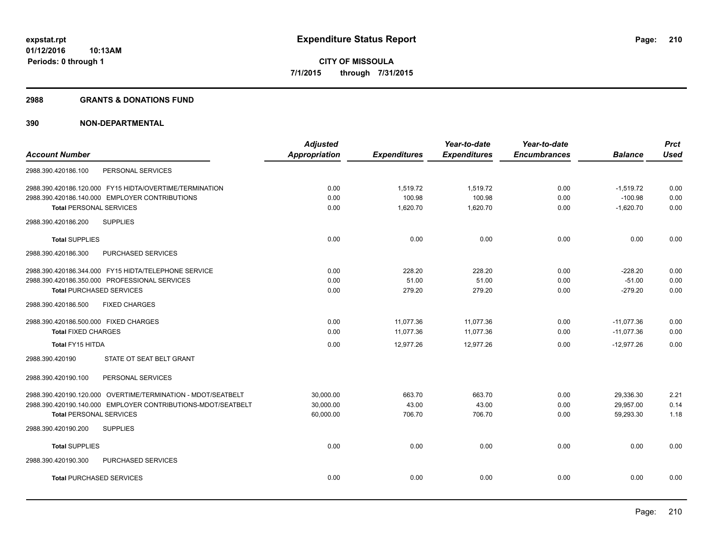#### **2988 GRANTS & DONATIONS FUND**

|                                                              | <b>Adjusted</b>      |                     | Year-to-date        | Year-to-date        |                | <b>Prct</b> |
|--------------------------------------------------------------|----------------------|---------------------|---------------------|---------------------|----------------|-------------|
| <b>Account Number</b>                                        | <b>Appropriation</b> | <b>Expenditures</b> | <b>Expenditures</b> | <b>Encumbrances</b> | <b>Balance</b> | <b>Used</b> |
| PERSONAL SERVICES<br>2988.390.420186.100                     |                      |                     |                     |                     |                |             |
| 2988.390.420186.120.000 FY15 HIDTA/OVERTIME/TERMINATION      | 0.00                 | 1,519.72            | 1,519.72            | 0.00                | $-1,519.72$    | 0.00        |
| 2988.390.420186.140.000 EMPLOYER CONTRIBUTIONS               | 0.00                 | 100.98              | 100.98              | 0.00                | $-100.98$      | 0.00        |
| <b>Total PERSONAL SERVICES</b>                               | 0.00                 | 1,620.70            | 1,620.70            | 0.00                | $-1,620.70$    | 0.00        |
| <b>SUPPLIES</b><br>2988.390.420186.200                       |                      |                     |                     |                     |                |             |
| <b>Total SUPPLIES</b>                                        | 0.00                 | 0.00                | 0.00                | 0.00                | 0.00           | 0.00        |
| 2988.390.420186.300<br>PURCHASED SERVICES                    |                      |                     |                     |                     |                |             |
| 2988.390.420186.344.000 FY15 HIDTA/TELEPHONE SERVICE         | 0.00                 | 228.20              | 228.20              | 0.00                | $-228.20$      | 0.00        |
| 2988.390.420186.350.000 PROFESSIONAL SERVICES                | 0.00                 | 51.00               | 51.00               | 0.00                | $-51.00$       | 0.00        |
| <b>Total PURCHASED SERVICES</b>                              | 0.00                 | 279.20              | 279.20              | 0.00                | $-279.20$      | 0.00        |
| 2988.390.420186.500<br><b>FIXED CHARGES</b>                  |                      |                     |                     |                     |                |             |
| 2988.390.420186.500.000 FIXED CHARGES                        | 0.00                 | 11,077.36           | 11,077.36           | 0.00                | $-11,077.36$   | 0.00        |
| <b>Total FIXED CHARGES</b>                                   | 0.00                 | 11,077.36           | 11,077.36           | 0.00                | $-11,077.36$   | 0.00        |
| Total FY15 HITDA                                             | 0.00                 | 12,977.26           | 12,977.26           | 0.00                | $-12,977.26$   | 0.00        |
| STATE OT SEAT BELT GRANT<br>2988.390.420190                  |                      |                     |                     |                     |                |             |
| 2988.390.420190.100<br>PERSONAL SERVICES                     |                      |                     |                     |                     |                |             |
| 2988.390.420190.120.000 OVERTIME/TERMINATION - MDOT/SEATBELT | 30,000.00            | 663.70              | 663.70              | 0.00                | 29,336.30      | 2.21        |
| 2988.390.420190.140.000 EMPLOYER CONTRIBUTIONS-MDOT/SEATBELT | 30,000.00            | 43.00               | 43.00               | 0.00                | 29,957.00      | 0.14        |
| <b>Total PERSONAL SERVICES</b>                               | 60,000.00            | 706.70              | 706.70              | 0.00                | 59,293.30      | 1.18        |
| 2988.390.420190.200<br><b>SUPPLIES</b>                       |                      |                     |                     |                     |                |             |
| <b>Total SUPPLIES</b>                                        | 0.00                 | 0.00                | 0.00                | 0.00                | 0.00           | 0.00        |
| 2988.390.420190.300<br>PURCHASED SERVICES                    |                      |                     |                     |                     |                |             |
| <b>Total PURCHASED SERVICES</b>                              | 0.00                 | 0.00                | 0.00                | 0.00                | 0.00           | 0.00        |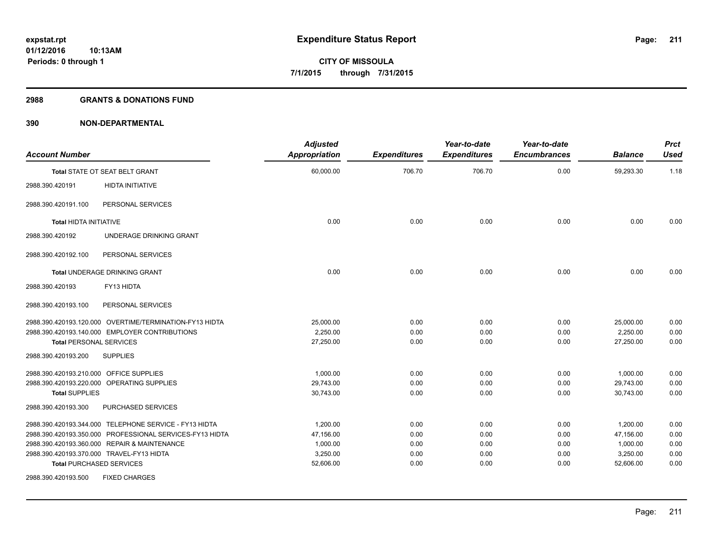#### **2988 GRANTS & DONATIONS FUND**

| <b>Account Number</b>                   |                                                          | <b>Adjusted</b><br><b>Appropriation</b> | <b>Expenditures</b> | Year-to-date<br><b>Expenditures</b> | Year-to-date<br><b>Encumbrances</b> | <b>Balance</b> | <b>Prct</b><br>Used |
|-----------------------------------------|----------------------------------------------------------|-----------------------------------------|---------------------|-------------------------------------|-------------------------------------|----------------|---------------------|
|                                         | Total STATE OT SEAT BELT GRANT                           | 60,000.00                               | 706.70              | 706.70                              | 0.00                                | 59,293.30      | 1.18                |
| 2988.390.420191                         | <b>HIDTA INITIATIVE</b>                                  |                                         |                     |                                     |                                     |                |                     |
| 2988.390.420191.100                     | PERSONAL SERVICES                                        |                                         |                     |                                     |                                     |                |                     |
| <b>Total HIDTA INITIATIVE</b>           |                                                          | 0.00                                    | 0.00                | 0.00                                | 0.00                                | 0.00           | 0.00                |
| 2988.390.420192                         | UNDERAGE DRINKING GRANT                                  |                                         |                     |                                     |                                     |                |                     |
| 2988.390.420192.100                     | PERSONAL SERVICES                                        |                                         |                     |                                     |                                     |                |                     |
|                                         | Total UNDERAGE DRINKING GRANT                            | 0.00                                    | 0.00                | 0.00                                | 0.00                                | 0.00           | 0.00                |
| 2988.390.420193                         | FY13 HIDTA                                               |                                         |                     |                                     |                                     |                |                     |
| 2988.390.420193.100                     | PERSONAL SERVICES                                        |                                         |                     |                                     |                                     |                |                     |
|                                         | 2988.390.420193.120.000 OVERTIME/TERMINATION-FY13 HIDTA  | 25,000.00                               | 0.00                | 0.00                                | 0.00                                | 25,000.00      | 0.00                |
|                                         | 2988.390.420193.140.000 EMPLOYER CONTRIBUTIONS           | 2,250.00                                | 0.00                | 0.00                                | 0.00                                | 2,250.00       | 0.00                |
| <b>Total PERSONAL SERVICES</b>          |                                                          | 27,250.00                               | 0.00                | 0.00                                | 0.00                                | 27,250.00      | 0.00                |
| 2988.390.420193.200                     | <b>SUPPLIES</b>                                          |                                         |                     |                                     |                                     |                |                     |
| 2988.390.420193.210.000 OFFICE SUPPLIES |                                                          | 1,000.00                                | 0.00                | 0.00                                | 0.00                                | 1,000.00       | 0.00                |
|                                         | 2988.390.420193.220.000 OPERATING SUPPLIES               | 29,743.00                               | 0.00                | 0.00                                | 0.00                                | 29,743.00      | 0.00                |
| <b>Total SUPPLIES</b>                   |                                                          | 30,743.00                               | 0.00                | 0.00                                | 0.00                                | 30,743.00      | 0.00                |
| 2988.390.420193.300                     | PURCHASED SERVICES                                       |                                         |                     |                                     |                                     |                |                     |
|                                         | 2988.390.420193.344.000 TELEPHONE SERVICE - FY13 HIDTA   | 1,200.00                                | 0.00                | 0.00                                | 0.00                                | 1,200.00       | 0.00                |
|                                         | 2988.390.420193.350.000 PROFESSIONAL SERVICES-FY13 HIDTA | 47,156.00                               | 0.00                | 0.00                                | 0.00                                | 47,156.00      | 0.00                |
|                                         | 2988.390.420193.360.000 REPAIR & MAINTENANCE             | 1,000.00                                | 0.00                | 0.00                                | 0.00                                | 1,000.00       | 0.00                |
|                                         | 2988.390.420193.370.000 TRAVEL-FY13 HIDTA                | 3,250.00                                | 0.00                | 0.00                                | 0.00                                | 3,250.00       | 0.00                |
|                                         | <b>Total PURCHASED SERVICES</b>                          | 52,606.00                               | 0.00                | 0.00                                | 0.00                                | 52,606.00      | 0.00                |
| 2988.390.420193.500                     | <b>FIXED CHARGES</b>                                     |                                         |                     |                                     |                                     |                |                     |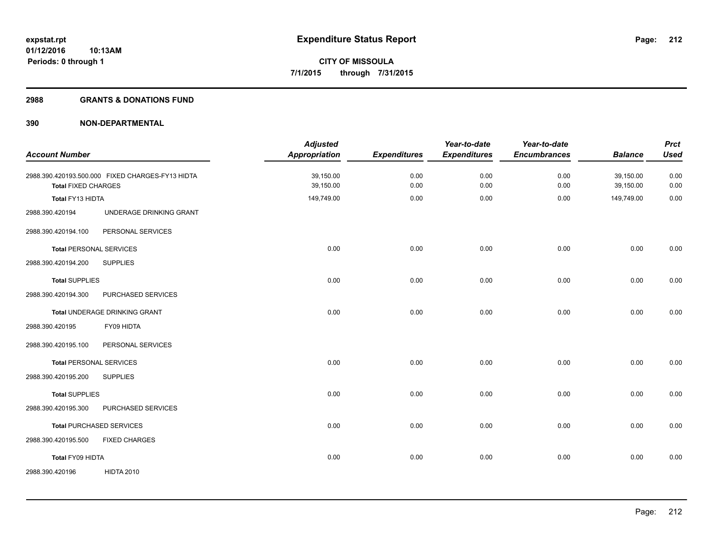#### **2988 GRANTS & DONATIONS FUND**

| <b>Account Number</b>          |                                                  | <b>Adjusted</b><br>Appropriation | <b>Expenditures</b> | Year-to-date<br><b>Expenditures</b> | Year-to-date<br><b>Encumbrances</b> | <b>Balance</b>         | <b>Prct</b><br><b>Used</b> |
|--------------------------------|--------------------------------------------------|----------------------------------|---------------------|-------------------------------------|-------------------------------------|------------------------|----------------------------|
|                                |                                                  |                                  |                     |                                     |                                     |                        |                            |
| <b>Total FIXED CHARGES</b>     | 2988.390.420193.500.000 FIXED CHARGES-FY13 HIDTA | 39,150.00<br>39,150.00           | 0.00<br>0.00        | 0.00<br>0.00                        | 0.00<br>0.00                        | 39,150.00<br>39,150.00 | 0.00<br>0.00               |
| Total FY13 HIDTA               |                                                  | 149,749.00                       | 0.00                | 0.00                                | 0.00                                | 149,749.00             | 0.00                       |
| 2988.390.420194                | UNDERAGE DRINKING GRANT                          |                                  |                     |                                     |                                     |                        |                            |
| 2988.390.420194.100            | PERSONAL SERVICES                                |                                  |                     |                                     |                                     |                        |                            |
| <b>Total PERSONAL SERVICES</b> |                                                  | 0.00                             | 0.00                | 0.00                                | 0.00                                | 0.00                   | 0.00                       |
| 2988.390.420194.200            | <b>SUPPLIES</b>                                  |                                  |                     |                                     |                                     |                        |                            |
| <b>Total SUPPLIES</b>          |                                                  | 0.00                             | 0.00                | 0.00                                | 0.00                                | 0.00                   | 0.00                       |
| 2988.390.420194.300            | PURCHASED SERVICES                               |                                  |                     |                                     |                                     |                        |                            |
|                                | Total UNDERAGE DRINKING GRANT                    | 0.00                             | 0.00                | 0.00                                | 0.00                                | 0.00                   | 0.00                       |
| 2988.390.420195                | FY09 HIDTA                                       |                                  |                     |                                     |                                     |                        |                            |
| 2988.390.420195.100            | PERSONAL SERVICES                                |                                  |                     |                                     |                                     |                        |                            |
| <b>Total PERSONAL SERVICES</b> |                                                  | 0.00                             | 0.00                | 0.00                                | 0.00                                | 0.00                   | 0.00                       |
| 2988.390.420195.200            | <b>SUPPLIES</b>                                  |                                  |                     |                                     |                                     |                        |                            |
| <b>Total SUPPLIES</b>          |                                                  | 0.00                             | 0.00                | 0.00                                | 0.00                                | 0.00                   | 0.00                       |
| 2988.390.420195.300            | PURCHASED SERVICES                               |                                  |                     |                                     |                                     |                        |                            |
|                                | <b>Total PURCHASED SERVICES</b>                  | 0.00                             | 0.00                | 0.00                                | 0.00                                | 0.00                   | 0.00                       |
| 2988.390.420195.500            | <b>FIXED CHARGES</b>                             |                                  |                     |                                     |                                     |                        |                            |
| Total FY09 HIDTA               |                                                  | 0.00                             | 0.00                | 0.00                                | 0.00                                | 0.00                   | 0.00                       |
| 2988.390.420196                | <b>HIDTA 2010</b>                                |                                  |                     |                                     |                                     |                        |                            |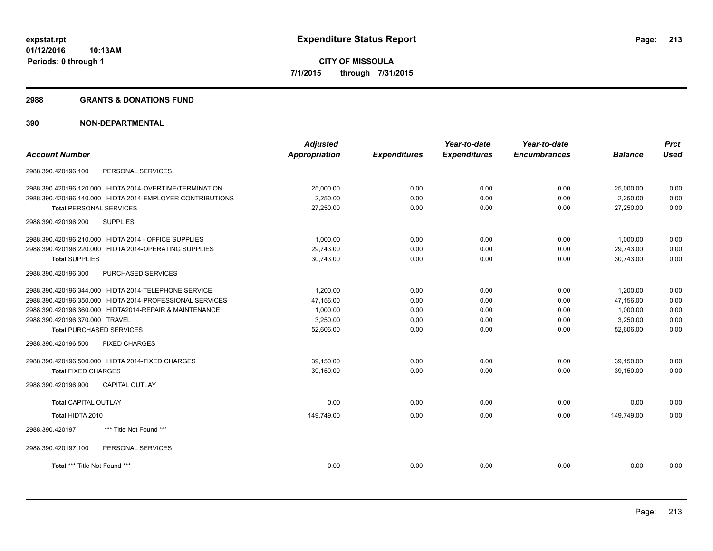#### **2988 GRANTS & DONATIONS FUND**

|                                 |                                                           | <b>Adjusted</b>      |                     | Year-to-date        | Year-to-date        |                | <b>Prct</b> |
|---------------------------------|-----------------------------------------------------------|----------------------|---------------------|---------------------|---------------------|----------------|-------------|
| <b>Account Number</b>           |                                                           | <b>Appropriation</b> | <b>Expenditures</b> | <b>Expenditures</b> | <b>Encumbrances</b> | <b>Balance</b> | <b>Used</b> |
| 2988.390.420196.100             | PERSONAL SERVICES                                         |                      |                     |                     |                     |                |             |
|                                 | 2988.390.420196.120.000 HIDTA 2014-OVERTIME/TERMINATION   | 25.000.00            | 0.00                | 0.00                | 0.00                | 25.000.00      | 0.00        |
|                                 | 2988.390.420196.140.000 HIDTA 2014-EMPLOYER CONTRIBUTIONS | 2.250.00             | 0.00                | 0.00                | 0.00                | 2,250.00       | 0.00        |
| <b>Total PERSONAL SERVICES</b>  |                                                           | 27,250.00            | 0.00                | 0.00                | 0.00                | 27,250.00      | 0.00        |
| 2988.390.420196.200             | <b>SUPPLIES</b>                                           |                      |                     |                     |                     |                |             |
|                                 | 2988.390.420196.210.000 HIDTA 2014 - OFFICE SUPPLIES      | 1.000.00             | 0.00                | 0.00                | 0.00                | 1,000.00       | 0.00        |
|                                 | 2988.390.420196.220.000 HIDTA 2014-OPERATING SUPPLIES     | 29.743.00            | 0.00                | 0.00                | 0.00                | 29.743.00      | 0.00        |
| <b>Total SUPPLIES</b>           |                                                           | 30,743.00            | 0.00                | 0.00                | 0.00                | 30,743.00      | 0.00        |
| 2988.390.420196.300             | PURCHASED SERVICES                                        |                      |                     |                     |                     |                |             |
|                                 | 2988.390.420196.344.000 HIDTA 2014-TELEPHONE SERVICE      | 1,200.00             | 0.00                | 0.00                | 0.00                | 1,200.00       | 0.00        |
|                                 | 2988.390.420196.350.000 HIDTA 2014-PROFESSIONAL SERVICES  | 47,156.00            | 0.00                | 0.00                | 0.00                | 47,156.00      | 0.00        |
|                                 | 2988.390.420196.360.000 HIDTA2014-REPAIR & MAINTENANCE    | 1,000.00             | 0.00                | 0.00                | 0.00                | 1,000.00       | 0.00        |
| 2988.390.420196.370.000 TRAVEL  |                                                           | 3,250.00             | 0.00                | 0.00                | 0.00                | 3,250.00       | 0.00        |
| <b>Total PURCHASED SERVICES</b> |                                                           | 52,606.00            | 0.00                | 0.00                | 0.00                | 52,606.00      | 0.00        |
| 2988.390.420196.500             | <b>FIXED CHARGES</b>                                      |                      |                     |                     |                     |                |             |
|                                 | 2988.390.420196.500.000 HIDTA 2014-FIXED CHARGES          | 39.150.00            | 0.00                | 0.00                | 0.00                | 39.150.00      | 0.00        |
| <b>Total FIXED CHARGES</b>      |                                                           | 39.150.00            | 0.00                | 0.00                | 0.00                | 39.150.00      | 0.00        |
| 2988.390.420196.900             | <b>CAPITAL OUTLAY</b>                                     |                      |                     |                     |                     |                |             |
| <b>Total CAPITAL OUTLAY</b>     |                                                           | 0.00                 | 0.00                | 0.00                | 0.00                | 0.00           | 0.00        |
| Total HIDTA 2010                |                                                           | 149,749.00           | 0.00                | 0.00                | 0.00                | 149,749.00     | 0.00        |
| 2988.390.420197                 | *** Title Not Found ***                                   |                      |                     |                     |                     |                |             |
| 2988.390.420197.100             | PERSONAL SERVICES                                         |                      |                     |                     |                     |                |             |
| Total *** Title Not Found ***   |                                                           | 0.00                 | 0.00                | 0.00                | 0.00                | 0.00           | 0.00        |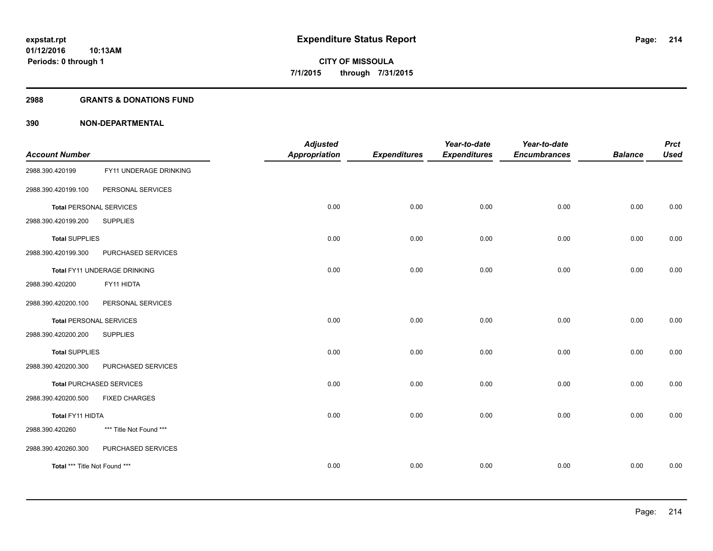#### **2988 GRANTS & DONATIONS FUND**

| <b>Account Number</b>          |                                 | <b>Adjusted</b><br><b>Appropriation</b> | <b>Expenditures</b> | Year-to-date<br><b>Expenditures</b> | Year-to-date<br><b>Encumbrances</b> | <b>Balance</b> | <b>Prct</b><br><b>Used</b> |
|--------------------------------|---------------------------------|-----------------------------------------|---------------------|-------------------------------------|-------------------------------------|----------------|----------------------------|
| 2988.390.420199                | FY11 UNDERAGE DRINKING          |                                         |                     |                                     |                                     |                |                            |
| 2988.390.420199.100            | PERSONAL SERVICES               |                                         |                     |                                     |                                     |                |                            |
| <b>Total PERSONAL SERVICES</b> |                                 | 0.00                                    | 0.00                | 0.00                                | 0.00                                | 0.00           | 0.00                       |
| 2988.390.420199.200            | <b>SUPPLIES</b>                 |                                         |                     |                                     |                                     |                |                            |
| <b>Total SUPPLIES</b>          |                                 | 0.00                                    | 0.00                | 0.00                                | 0.00                                | 0.00           | 0.00                       |
| 2988.390.420199.300            | PURCHASED SERVICES              |                                         |                     |                                     |                                     |                |                            |
|                                | Total FY11 UNDERAGE DRINKING    | 0.00                                    | 0.00                | 0.00                                | 0.00                                | 0.00           | 0.00                       |
| 2988.390.420200                | FY11 HIDTA                      |                                         |                     |                                     |                                     |                |                            |
| 2988.390.420200.100            | PERSONAL SERVICES               |                                         |                     |                                     |                                     |                |                            |
| <b>Total PERSONAL SERVICES</b> |                                 | 0.00                                    | 0.00                | 0.00                                | 0.00                                | 0.00           | 0.00                       |
| 2988.390.420200.200            | <b>SUPPLIES</b>                 |                                         |                     |                                     |                                     |                |                            |
| <b>Total SUPPLIES</b>          |                                 | 0.00                                    | 0.00                | 0.00                                | 0.00                                | 0.00           | 0.00                       |
| 2988.390.420200.300            | PURCHASED SERVICES              |                                         |                     |                                     |                                     |                |                            |
|                                | <b>Total PURCHASED SERVICES</b> | 0.00                                    | 0.00                | 0.00                                | 0.00                                | 0.00           | 0.00                       |
| 2988.390.420200.500            | <b>FIXED CHARGES</b>            |                                         |                     |                                     |                                     |                |                            |
| Total FY11 HIDTA               |                                 | 0.00                                    | 0.00                | 0.00                                | 0.00                                | 0.00           | 0.00                       |
| 2988.390.420260                | *** Title Not Found ***         |                                         |                     |                                     |                                     |                |                            |
| 2988.390.420260.300            | PURCHASED SERVICES              |                                         |                     |                                     |                                     |                |                            |
| Total *** Title Not Found ***  |                                 | 0.00                                    | 0.00                | 0.00                                | 0.00                                | 0.00           | 0.00                       |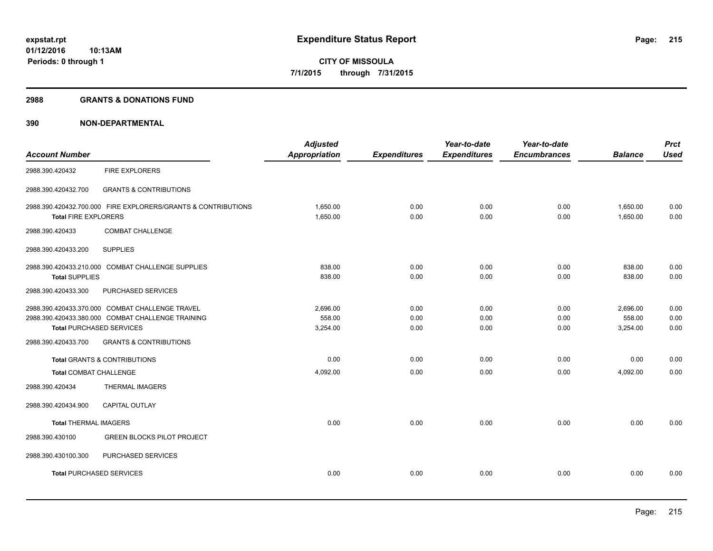#### **2988 GRANTS & DONATIONS FUND**

|                                                        |                                                                                                                                           | <b>Adjusted</b>                |                      | Year-to-date         | Year-to-date         |                                | <b>Prct</b>          |
|--------------------------------------------------------|-------------------------------------------------------------------------------------------------------------------------------------------|--------------------------------|----------------------|----------------------|----------------------|--------------------------------|----------------------|
| <b>Account Number</b>                                  |                                                                                                                                           | <b>Appropriation</b>           | <b>Expenditures</b>  | <b>Expenditures</b>  | <b>Encumbrances</b>  | <b>Balance</b>                 | <b>Used</b>          |
| 2988.390.420432                                        | <b>FIRE EXPLORERS</b>                                                                                                                     |                                |                      |                      |                      |                                |                      |
| 2988.390.420432.700                                    | <b>GRANTS &amp; CONTRIBUTIONS</b>                                                                                                         |                                |                      |                      |                      |                                |                      |
| <b>Total FIRE EXPLORERS</b>                            | 2988.390.420432.700.000 FIRE EXPLORERS/GRANTS & CONTRIBUTIONS                                                                             | 1.650.00<br>1,650.00           | 0.00<br>0.00         | 0.00<br>0.00         | 0.00<br>0.00         | 1,650.00<br>1,650.00           | 0.00<br>0.00         |
| 2988.390.420433                                        | <b>COMBAT CHALLENGE</b>                                                                                                                   |                                |                      |                      |                      |                                |                      |
| 2988.390.420433.200                                    | <b>SUPPLIES</b>                                                                                                                           |                                |                      |                      |                      |                                |                      |
| <b>Total SUPPLIES</b>                                  | 2988.390.420433.210.000 COMBAT CHALLENGE SUPPLIES                                                                                         | 838.00<br>838.00               | 0.00<br>0.00         | 0.00<br>0.00         | 0.00<br>0.00         | 838.00<br>838.00               | 0.00<br>0.00         |
| 2988.390.420433.300                                    | PURCHASED SERVICES                                                                                                                        |                                |                      |                      |                      |                                |                      |
| <b>Total PURCHASED SERVICES</b><br>2988.390.420433.700 | 2988.390.420433.370.000 COMBAT CHALLENGE TRAVEL<br>2988.390.420433.380.000 COMBAT CHALLENGE TRAINING<br><b>GRANTS &amp; CONTRIBUTIONS</b> | 2.696.00<br>558.00<br>3,254.00 | 0.00<br>0.00<br>0.00 | 0.00<br>0.00<br>0.00 | 0.00<br>0.00<br>0.00 | 2,696.00<br>558.00<br>3,254.00 | 0.00<br>0.00<br>0.00 |
|                                                        | <b>Total GRANTS &amp; CONTRIBUTIONS</b>                                                                                                   | 0.00                           | 0.00                 | 0.00                 | 0.00                 | 0.00                           | 0.00                 |
| <b>Total COMBAT CHALLENGE</b>                          |                                                                                                                                           | 4,092.00                       | 0.00                 | 0.00                 | 0.00                 | 4,092.00                       | 0.00                 |
| 2988.390.420434                                        | <b>THERMAL IMAGERS</b>                                                                                                                    |                                |                      |                      |                      |                                |                      |
| 2988.390.420434.900                                    | <b>CAPITAL OUTLAY</b>                                                                                                                     |                                |                      |                      |                      |                                |                      |
| <b>Total THERMAL IMAGERS</b>                           |                                                                                                                                           | 0.00                           | 0.00                 | 0.00                 | 0.00                 | 0.00                           | 0.00                 |
| 2988.390.430100                                        | <b>GREEN BLOCKS PILOT PROJECT</b>                                                                                                         |                                |                      |                      |                      |                                |                      |
| 2988.390.430100.300                                    | PURCHASED SERVICES                                                                                                                        |                                |                      |                      |                      |                                |                      |
| <b>Total PURCHASED SERVICES</b>                        |                                                                                                                                           | 0.00                           | 0.00                 | 0.00                 | 0.00                 | 0.00                           | 0.00                 |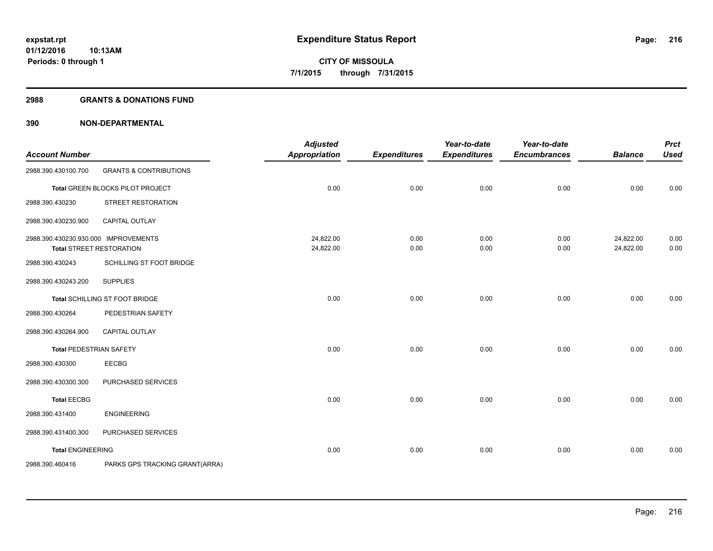#### **2988 GRANTS & DONATIONS FUND**

| <b>Account Number</b>                |                                   | <b>Adjusted</b><br><b>Appropriation</b> | <b>Expenditures</b> | Year-to-date<br><b>Expenditures</b> | Year-to-date<br><b>Encumbrances</b> | <b>Balance</b> | <b>Prct</b><br><b>Used</b> |
|--------------------------------------|-----------------------------------|-----------------------------------------|---------------------|-------------------------------------|-------------------------------------|----------------|----------------------------|
| 2988.390.430100.700                  | <b>GRANTS &amp; CONTRIBUTIONS</b> |                                         |                     |                                     |                                     |                |                            |
|                                      | Total GREEN BLOCKS PILOT PROJECT  | 0.00                                    | 0.00                | 0.00                                | 0.00                                | 0.00           | 0.00                       |
| 2988.390.430230                      | STREET RESTORATION                |                                         |                     |                                     |                                     |                |                            |
| 2988.390.430230.900                  | <b>CAPITAL OUTLAY</b>             |                                         |                     |                                     |                                     |                |                            |
| 2988.390.430230.930.000 IMPROVEMENTS |                                   | 24,822.00                               | 0.00                | 0.00                                | 0.00                                | 24,822.00      | 0.00                       |
|                                      | <b>Total STREET RESTORATION</b>   | 24,822.00                               | 0.00                | 0.00                                | 0.00                                | 24,822.00      | 0.00                       |
| 2988.390.430243                      | SCHILLING ST FOOT BRIDGE          |                                         |                     |                                     |                                     |                |                            |
| 2988.390.430243.200                  | <b>SUPPLIES</b>                   |                                         |                     |                                     |                                     |                |                            |
|                                      | Total SCHILLING ST FOOT BRIDGE    | 0.00                                    | 0.00                | 0.00                                | 0.00                                | 0.00           | 0.00                       |
| 2988.390.430264                      | PEDESTRIAN SAFETY                 |                                         |                     |                                     |                                     |                |                            |
| 2988.390.430264.900                  | CAPITAL OUTLAY                    |                                         |                     |                                     |                                     |                |                            |
| Total PEDESTRIAN SAFETY              |                                   | 0.00                                    | 0.00                | 0.00                                | 0.00                                | 0.00           | 0.00                       |
| 2988.390.430300                      | <b>EECBG</b>                      |                                         |                     |                                     |                                     |                |                            |
| 2988.390.430300.300                  | PURCHASED SERVICES                |                                         |                     |                                     |                                     |                |                            |
| <b>Total EECBG</b>                   |                                   | 0.00                                    | 0.00                | 0.00                                | 0.00                                | 0.00           | 0.00                       |
| 2988.390.431400                      | <b>ENGINEERING</b>                |                                         |                     |                                     |                                     |                |                            |
| 2988.390.431400.300                  | PURCHASED SERVICES                |                                         |                     |                                     |                                     |                |                            |
| <b>Total ENGINEERING</b>             |                                   | 0.00                                    | 0.00                | 0.00                                | 0.00                                | 0.00           | 0.00                       |
| 2988.390.460416                      | PARKS GPS TRACKING GRANT(ARRA)    |                                         |                     |                                     |                                     |                |                            |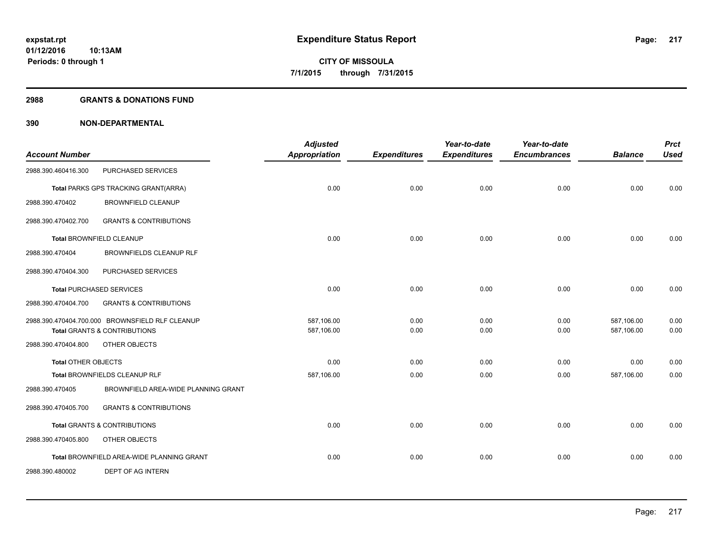### **2988 GRANTS & DONATIONS FUND**

|                            |                                                 | <b>Adjusted</b>      |                     | Year-to-date        | Year-to-date        |                | <b>Prct</b> |
|----------------------------|-------------------------------------------------|----------------------|---------------------|---------------------|---------------------|----------------|-------------|
| <b>Account Number</b>      |                                                 | <b>Appropriation</b> | <b>Expenditures</b> | <b>Expenditures</b> | <b>Encumbrances</b> | <b>Balance</b> | <b>Used</b> |
| 2988.390.460416.300        | PURCHASED SERVICES                              |                      |                     |                     |                     |                |             |
|                            | Total PARKS GPS TRACKING GRANT(ARRA)            | 0.00                 | 0.00                | 0.00                | 0.00                | 0.00           | 0.00        |
| 2988.390.470402            | <b>BROWNFIELD CLEANUP</b>                       |                      |                     |                     |                     |                |             |
| 2988.390.470402.700        | <b>GRANTS &amp; CONTRIBUTIONS</b>               |                      |                     |                     |                     |                |             |
|                            | Total BROWNFIELD CLEANUP                        | 0.00                 | 0.00                | 0.00                | 0.00                | 0.00           | 0.00        |
| 2988.390.470404            | <b>BROWNFIELDS CLEANUP RLF</b>                  |                      |                     |                     |                     |                |             |
| 2988.390.470404.300        | PURCHASED SERVICES                              |                      |                     |                     |                     |                |             |
|                            | <b>Total PURCHASED SERVICES</b>                 | 0.00                 | 0.00                | 0.00                | 0.00                | 0.00           | 0.00        |
| 2988.390.470404.700        | <b>GRANTS &amp; CONTRIBUTIONS</b>               |                      |                     |                     |                     |                |             |
|                            | 2988.390.470404.700.000 BROWNSFIELD RLF CLEANUP | 587,106.00           | 0.00                | 0.00                | 0.00                | 587,106.00     | 0.00        |
|                            | <b>Total GRANTS &amp; CONTRIBUTIONS</b>         | 587,106.00           | 0.00                | 0.00                | 0.00                | 587,106.00     | 0.00        |
| 2988.390.470404.800        | OTHER OBJECTS                                   |                      |                     |                     |                     |                |             |
| <b>Total OTHER OBJECTS</b> |                                                 | 0.00                 | 0.00                | 0.00                | 0.00                | 0.00           | 0.00        |
|                            | Total BROWNFIELDS CLEANUP RLF                   | 587,106.00           | 0.00                | 0.00                | 0.00                | 587,106.00     | 0.00        |
| 2988.390.470405            | BROWNFIELD AREA-WIDE PLANNING GRANT             |                      |                     |                     |                     |                |             |
| 2988.390.470405.700        | <b>GRANTS &amp; CONTRIBUTIONS</b>               |                      |                     |                     |                     |                |             |
|                            | <b>Total GRANTS &amp; CONTRIBUTIONS</b>         | 0.00                 | 0.00                | 0.00                | 0.00                | 0.00           | 0.00        |
| 2988.390.470405.800        | OTHER OBJECTS                                   |                      |                     |                     |                     |                |             |
|                            | Total BROWNFIELD AREA-WIDE PLANNING GRANT       | 0.00                 | 0.00                | 0.00                | 0.00                | 0.00           | 0.00        |
| 2988.390.480002            | <b>DEPT OF AG INTERN</b>                        |                      |                     |                     |                     |                |             |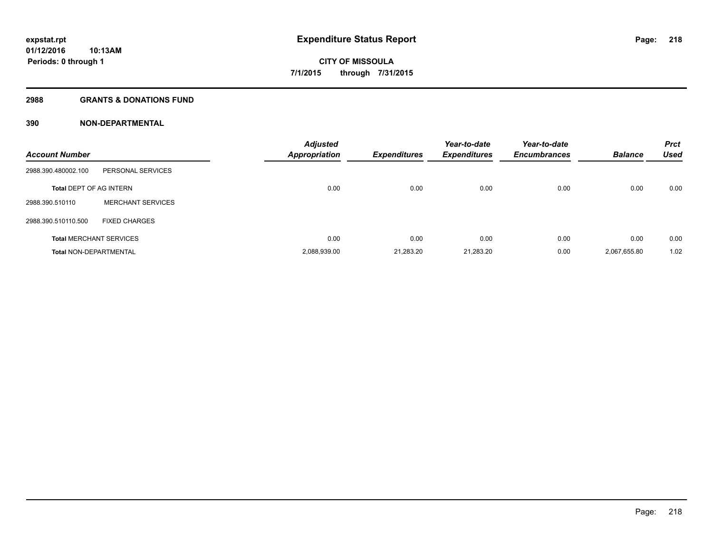### **2988 GRANTS & DONATIONS FUND**

| <b>Account Number</b>          |                                | <b>Adjusted</b><br>Appropriation | <b>Expenditures</b> | Year-to-date<br><b>Expenditures</b> | Year-to-date<br><b>Encumbrances</b> | <b>Balance</b> | <b>Prct</b><br><b>Used</b> |
|--------------------------------|--------------------------------|----------------------------------|---------------------|-------------------------------------|-------------------------------------|----------------|----------------------------|
| 2988.390.480002.100            | PERSONAL SERVICES              |                                  |                     |                                     |                                     |                |                            |
| <b>Total DEPT OF AG INTERN</b> |                                | 0.00                             | 0.00                | 0.00                                | 0.00                                | 0.00           | 0.00                       |
| 2988.390.510110                | <b>MERCHANT SERVICES</b>       |                                  |                     |                                     |                                     |                |                            |
| 2988.390.510110.500            | <b>FIXED CHARGES</b>           |                                  |                     |                                     |                                     |                |                            |
|                                | <b>Total MERCHANT SERVICES</b> | 0.00                             | 0.00                | 0.00                                | 0.00                                | 0.00           | 0.00                       |
| <b>Total NON-DEPARTMENTAL</b>  |                                | 2,088,939.00                     | 21.283.20           | 21,283.20                           | 0.00                                | 2.067.655.80   | 1.02                       |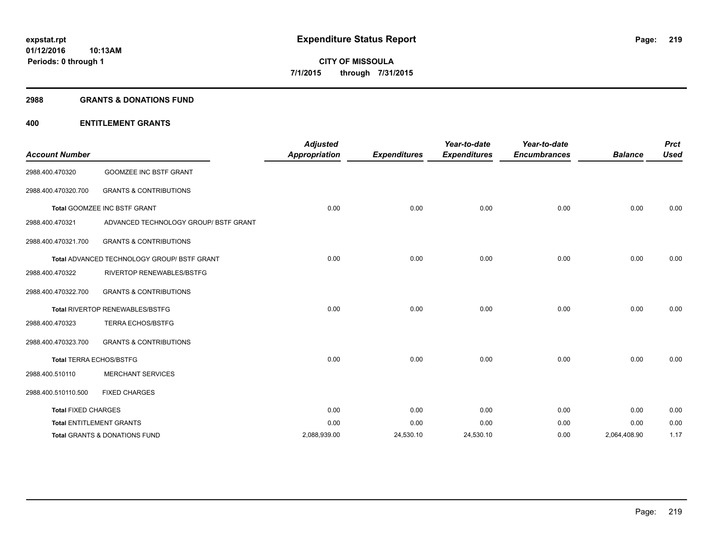### **2988 GRANTS & DONATIONS FUND**

## **400 ENTITLEMENT GRANTS**

| <b>Account Number</b>      |                                                    | <b>Adjusted</b><br><b>Appropriation</b> | <b>Expenditures</b> | Year-to-date<br><b>Expenditures</b> | Year-to-date<br><b>Encumbrances</b> | <b>Balance</b> | <b>Prct</b><br><b>Used</b> |
|----------------------------|----------------------------------------------------|-----------------------------------------|---------------------|-------------------------------------|-------------------------------------|----------------|----------------------------|
| 2988.400.470320            | <b>GOOMZEE INC BSTF GRANT</b>                      |                                         |                     |                                     |                                     |                |                            |
| 2988.400.470320.700        | <b>GRANTS &amp; CONTRIBUTIONS</b>                  |                                         |                     |                                     |                                     |                |                            |
|                            | Total GOOMZEE INC BSTF GRANT                       | 0.00                                    | 0.00                | 0.00                                | 0.00                                | 0.00           | 0.00                       |
| 2988.400.470321            | ADVANCED TECHNOLOGY GROUP/ BSTF GRANT              |                                         |                     |                                     |                                     |                |                            |
| 2988.400.470321.700        | <b>GRANTS &amp; CONTRIBUTIONS</b>                  |                                         |                     |                                     |                                     |                |                            |
|                            | <b>Total ADVANCED TECHNOLOGY GROUP/ BSTF GRANT</b> | 0.00                                    | 0.00                | 0.00                                | 0.00                                | 0.00           | 0.00                       |
| 2988.400.470322            | <b>RIVERTOP RENEWABLES/BSTFG</b>                   |                                         |                     |                                     |                                     |                |                            |
| 2988.400.470322.700        | <b>GRANTS &amp; CONTRIBUTIONS</b>                  |                                         |                     |                                     |                                     |                |                            |
|                            | Total RIVERTOP RENEWABLES/BSTFG                    | 0.00                                    | 0.00                | 0.00                                | 0.00                                | 0.00           | 0.00                       |
| 2988.400.470323            | <b>TERRA ECHOS/BSTFG</b>                           |                                         |                     |                                     |                                     |                |                            |
| 2988.400.470323.700        | <b>GRANTS &amp; CONTRIBUTIONS</b>                  |                                         |                     |                                     |                                     |                |                            |
|                            | <b>Total TERRA ECHOS/BSTFG</b>                     | 0.00                                    | 0.00                | 0.00                                | 0.00                                | 0.00           | 0.00                       |
| 2988.400.510110            | <b>MERCHANT SERVICES</b>                           |                                         |                     |                                     |                                     |                |                            |
| 2988.400.510110.500        | <b>FIXED CHARGES</b>                               |                                         |                     |                                     |                                     |                |                            |
| <b>Total FIXED CHARGES</b> |                                                    | 0.00                                    | 0.00                | 0.00                                | 0.00                                | 0.00           | 0.00                       |
|                            | <b>Total ENTITLEMENT GRANTS</b>                    | 0.00                                    | 0.00                | 0.00                                | 0.00                                | 0.00           | 0.00                       |
|                            | Total GRANTS & DONATIONS FUND                      | 2,088,939.00                            | 24,530.10           | 24,530.10                           | 0.00                                | 2,064,408.90   | 1.17                       |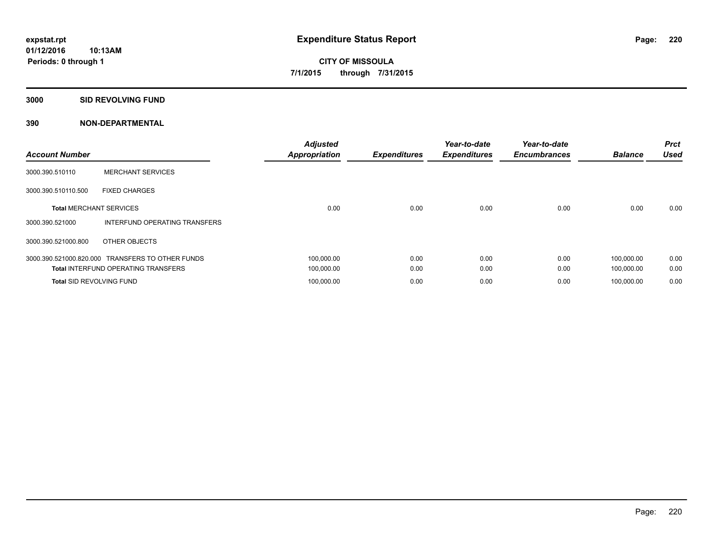**3000 SID REVOLVING FUND**

| <b>Account Number</b>           |                                                  | <b>Adjusted</b><br><b>Appropriation</b> | <b>Expenditures</b> | Year-to-date<br><b>Expenditures</b> | Year-to-date<br><b>Encumbrances</b> | <b>Balance</b> | <b>Prct</b><br><b>Used</b> |
|---------------------------------|--------------------------------------------------|-----------------------------------------|---------------------|-------------------------------------|-------------------------------------|----------------|----------------------------|
| 3000.390.510110                 | <b>MERCHANT SERVICES</b>                         |                                         |                     |                                     |                                     |                |                            |
| 3000.390.510110.500             | <b>FIXED CHARGES</b>                             |                                         |                     |                                     |                                     |                |                            |
| <b>Total MERCHANT SERVICES</b>  |                                                  | 0.00                                    | 0.00                | 0.00                                | 0.00                                | 0.00           | 0.00                       |
| 3000.390.521000                 | INTERFUND OPERATING TRANSFERS                    |                                         |                     |                                     |                                     |                |                            |
| 3000.390.521000.800             | OTHER OBJECTS                                    |                                         |                     |                                     |                                     |                |                            |
|                                 | 3000.390.521000.820.000 TRANSFERS TO OTHER FUNDS | 100,000.00                              | 0.00                | 0.00                                | 0.00                                | 100,000.00     | 0.00                       |
|                                 | <b>Total INTERFUND OPERATING TRANSFERS</b>       | 100,000.00                              | 0.00                | 0.00                                | 0.00                                | 100,000.00     | 0.00                       |
| <b>Total SID REVOLVING FUND</b> |                                                  | 100,000.00                              | 0.00                | 0.00                                | 0.00                                | 100.000.00     | 0.00                       |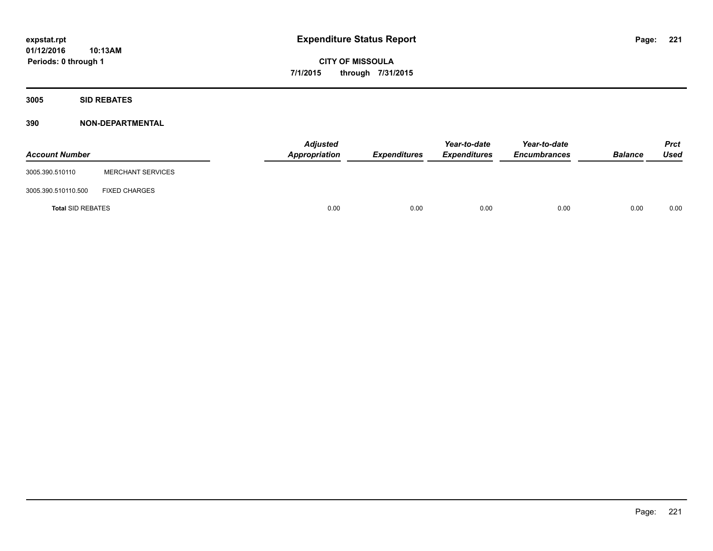**CITY OF MISSOULA 7/1/2015 through 7/31/2015**

**3005 SID REBATES**

| <b>Account Number</b>    |                          | <b>Adjusted</b><br>Appropriation | <b>Expenditures</b> | Year-to-date<br><b>Expenditures</b> | Year-to-date<br><b>Encumbrances</b> | <b>Balance</b> | <b>Prct</b><br>Used |
|--------------------------|--------------------------|----------------------------------|---------------------|-------------------------------------|-------------------------------------|----------------|---------------------|
| 3005.390.510110          | <b>MERCHANT SERVICES</b> |                                  |                     |                                     |                                     |                |                     |
| 3005.390.510110.500      | <b>FIXED CHARGES</b>     |                                  |                     |                                     |                                     |                |                     |
| <b>Total SID REBATES</b> |                          | 0.00                             | 0.00                | 0.00                                | 0.00                                | 0.00           | 0.00                |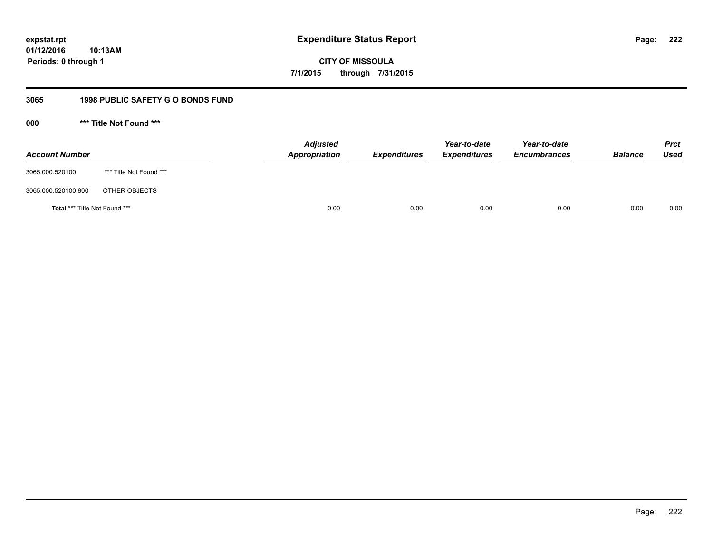**CITY OF MISSOULA 7/1/2015 through 7/31/2015**

## **3065 1998 PUBLIC SAFETY G O BONDS FUND**

**000 \*\*\* Title Not Found \*\*\***

| <b>Account Number</b>         |                         | <b>Adjusted</b><br>Appropriation | <b>Expenditures</b> | Year-to-date<br><b>Expenditures</b> | Year-to-date<br><b>Encumbrances</b> | <b>Balance</b> | <b>Prct</b><br>Used |
|-------------------------------|-------------------------|----------------------------------|---------------------|-------------------------------------|-------------------------------------|----------------|---------------------|
| 3065.000.520100               | *** Title Not Found *** |                                  |                     |                                     |                                     |                |                     |
| 3065.000.520100.800           | OTHER OBJECTS           |                                  |                     |                                     |                                     |                |                     |
| Total *** Title Not Found *** |                         | 0.00                             | 0.00                | 0.00                                | 0.00                                | 0.00           | 0.00                |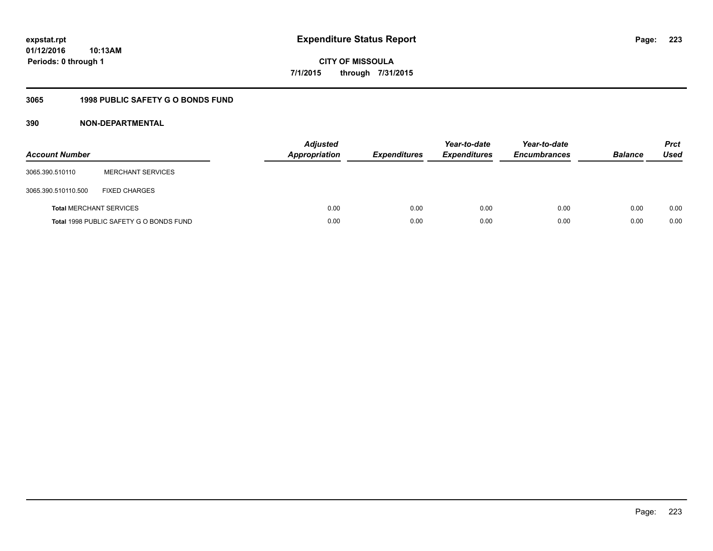**CITY OF MISSOULA 7/1/2015 through 7/31/2015**

## **3065 1998 PUBLIC SAFETY G O BONDS FUND**

| <b>Account Number</b> |                                         | <b>Adjusted</b><br><b>Appropriation</b> | <b>Expenditures</b> | Year-to-date<br><b>Expenditures</b> | Year-to-date<br><b>Encumbrances</b> | <b>Balance</b> | <b>Prct</b><br><b>Used</b> |
|-----------------------|-----------------------------------------|-----------------------------------------|---------------------|-------------------------------------|-------------------------------------|----------------|----------------------------|
| 3065.390.510110       | <b>MERCHANT SERVICES</b>                |                                         |                     |                                     |                                     |                |                            |
| 3065.390.510110.500   | <b>FIXED CHARGES</b>                    |                                         |                     |                                     |                                     |                |                            |
|                       | <b>Total MERCHANT SERVICES</b>          | 0.00                                    | 0.00                | 0.00                                | 0.00                                | 0.00           | 0.00                       |
|                       | Total 1998 PUBLIC SAFETY G O BONDS FUND | 0.00                                    | 0.00                | 0.00                                | 0.00                                | 0.00           | 0.00                       |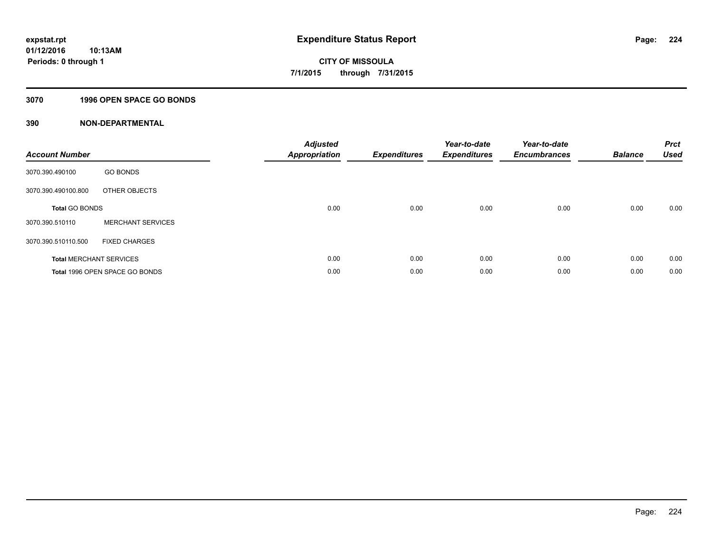## **3070 1996 OPEN SPACE GO BONDS**

| <b>Account Number</b>          |                                | <b>Adjusted</b><br><b>Appropriation</b> | <b>Expenditures</b> | Year-to-date<br><b>Expenditures</b> | Year-to-date<br><b>Encumbrances</b> | <b>Balance</b> | <b>Prct</b><br><b>Used</b> |
|--------------------------------|--------------------------------|-----------------------------------------|---------------------|-------------------------------------|-------------------------------------|----------------|----------------------------|
| 3070.390.490100                | <b>GO BONDS</b>                |                                         |                     |                                     |                                     |                |                            |
| 3070.390.490100.800            | OTHER OBJECTS                  |                                         |                     |                                     |                                     |                |                            |
| <b>Total GO BONDS</b>          |                                | 0.00                                    | 0.00                | 0.00                                | 0.00                                | 0.00           | 0.00                       |
| 3070.390.510110                | <b>MERCHANT SERVICES</b>       |                                         |                     |                                     |                                     |                |                            |
| 3070.390.510110.500            | <b>FIXED CHARGES</b>           |                                         |                     |                                     |                                     |                |                            |
| <b>Total MERCHANT SERVICES</b> |                                | 0.00                                    | 0.00                | 0.00                                | 0.00                                | 0.00           | 0.00                       |
|                                | Total 1996 OPEN SPACE GO BONDS | 0.00                                    | 0.00                | 0.00                                | 0.00                                | 0.00           | 0.00                       |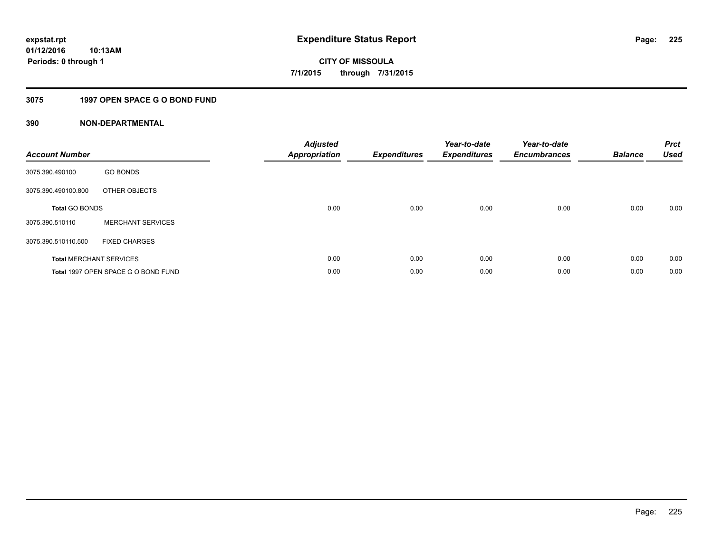## **3075 1997 OPEN SPACE G O BOND FUND**

| <b>Account Number</b> |                                     | <b>Adjusted</b><br>Appropriation | <b>Expenditures</b> | Year-to-date<br><b>Expenditures</b> | Year-to-date<br><b>Encumbrances</b> | <b>Balance</b> | <b>Prct</b><br>Used |
|-----------------------|-------------------------------------|----------------------------------|---------------------|-------------------------------------|-------------------------------------|----------------|---------------------|
| 3075.390.490100       | <b>GO BONDS</b>                     |                                  |                     |                                     |                                     |                |                     |
| 3075.390.490100.800   | OTHER OBJECTS                       |                                  |                     |                                     |                                     |                |                     |
| <b>Total GO BONDS</b> |                                     | 0.00                             | 0.00                | 0.00                                | 0.00                                | 0.00           | 0.00                |
| 3075.390.510110       | <b>MERCHANT SERVICES</b>            |                                  |                     |                                     |                                     |                |                     |
| 3075.390.510110.500   | <b>FIXED CHARGES</b>                |                                  |                     |                                     |                                     |                |                     |
|                       | <b>Total MERCHANT SERVICES</b>      | 0.00                             | 0.00                | 0.00                                | 0.00                                | 0.00           | 0.00                |
|                       | Total 1997 OPEN SPACE G O BOND FUND | 0.00                             | 0.00                | 0.00                                | 0.00                                | 0.00           | 0.00                |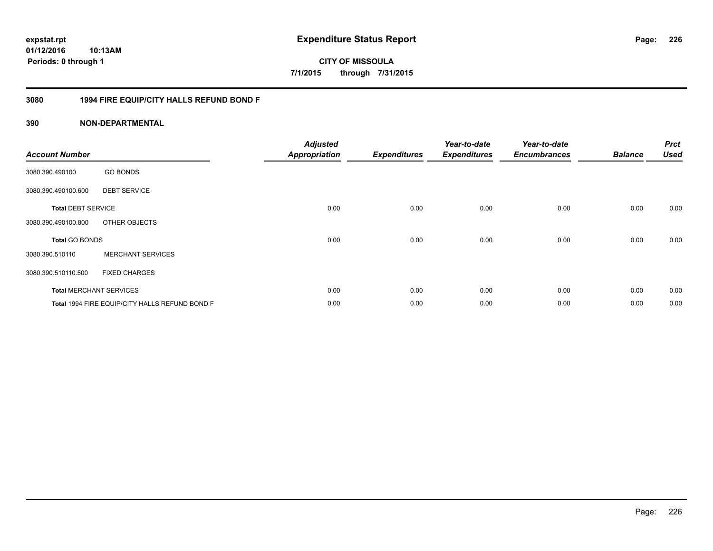**CITY OF MISSOULA 7/1/2015 through 7/31/2015**

## **3080 1994 FIRE EQUIP/CITY HALLS REFUND BOND F**

| <b>Account Number</b>     |                                                | <b>Adjusted</b><br><b>Appropriation</b> | <b>Expenditures</b> | Year-to-date<br><b>Expenditures</b> | Year-to-date<br><b>Encumbrances</b> | <b>Balance</b> | <b>Prct</b><br><b>Used</b> |
|---------------------------|------------------------------------------------|-----------------------------------------|---------------------|-------------------------------------|-------------------------------------|----------------|----------------------------|
| 3080.390.490100           | <b>GO BONDS</b>                                |                                         |                     |                                     |                                     |                |                            |
| 3080.390.490100.600       | <b>DEBT SERVICE</b>                            |                                         |                     |                                     |                                     |                |                            |
| <b>Total DEBT SERVICE</b> |                                                | 0.00                                    | 0.00                | 0.00                                | 0.00                                | 0.00           | 0.00                       |
| 3080.390.490100.800       | OTHER OBJECTS                                  |                                         |                     |                                     |                                     |                |                            |
| <b>Total GO BONDS</b>     |                                                | 0.00                                    | 0.00                | 0.00                                | 0.00                                | 0.00           | 0.00                       |
| 3080.390.510110           | <b>MERCHANT SERVICES</b>                       |                                         |                     |                                     |                                     |                |                            |
| 3080.390.510110.500       | <b>FIXED CHARGES</b>                           |                                         |                     |                                     |                                     |                |                            |
|                           | <b>Total MERCHANT SERVICES</b>                 | 0.00                                    | 0.00                | 0.00                                | 0.00                                | 0.00           | 0.00                       |
|                           | Total 1994 FIRE EQUIP/CITY HALLS REFUND BOND F | 0.00                                    | 0.00                | 0.00                                | 0.00                                | 0.00           | 0.00                       |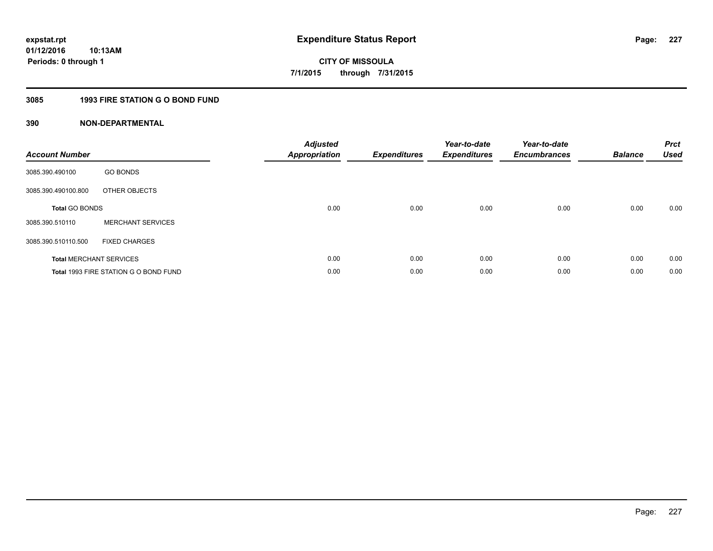## **3085 1993 FIRE STATION G O BOND FUND**

| <b>Account Number</b> |                                       | <b>Adjusted</b><br>Appropriation | <b>Expenditures</b> | Year-to-date<br><b>Expenditures</b> | Year-to-date<br><b>Encumbrances</b> | <b>Balance</b> | <b>Prct</b><br><b>Used</b> |
|-----------------------|---------------------------------------|----------------------------------|---------------------|-------------------------------------|-------------------------------------|----------------|----------------------------|
| 3085.390.490100       | <b>GO BONDS</b>                       |                                  |                     |                                     |                                     |                |                            |
| 3085.390.490100.800   | OTHER OBJECTS                         |                                  |                     |                                     |                                     |                |                            |
| <b>Total GO BONDS</b> |                                       | 0.00                             | 0.00                | 0.00                                | 0.00                                | 0.00           | 0.00                       |
| 3085.390.510110       | <b>MERCHANT SERVICES</b>              |                                  |                     |                                     |                                     |                |                            |
| 3085.390.510110.500   | <b>FIXED CHARGES</b>                  |                                  |                     |                                     |                                     |                |                            |
|                       | <b>Total MERCHANT SERVICES</b>        | 0.00                             | 0.00                | 0.00                                | 0.00                                | 0.00           | 0.00                       |
|                       | Total 1993 FIRE STATION G O BOND FUND | 0.00                             | 0.00                | 0.00                                | 0.00                                | 0.00           | 0.00                       |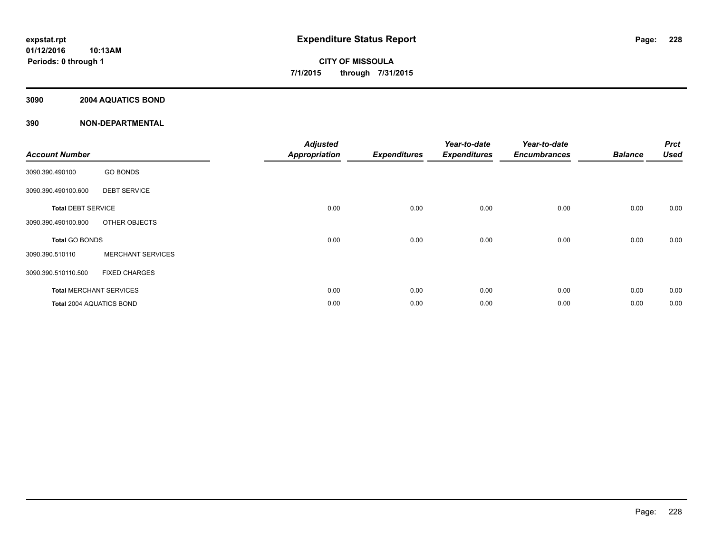## **3090 2004 AQUATICS BOND**

| <b>Account Number</b>     |                                | <b>Adjusted</b><br><b>Appropriation</b> | <b>Expenditures</b> | Year-to-date<br><b>Expenditures</b> | Year-to-date<br><b>Encumbrances</b> | <b>Balance</b> | <b>Prct</b><br><b>Used</b> |
|---------------------------|--------------------------------|-----------------------------------------|---------------------|-------------------------------------|-------------------------------------|----------------|----------------------------|
| 3090.390.490100           | <b>GO BONDS</b>                |                                         |                     |                                     |                                     |                |                            |
| 3090.390.490100.600       | <b>DEBT SERVICE</b>            |                                         |                     |                                     |                                     |                |                            |
| <b>Total DEBT SERVICE</b> |                                | 0.00                                    | 0.00                | 0.00                                | 0.00                                | 0.00           | 0.00                       |
| 3090.390.490100.800       | OTHER OBJECTS                  |                                         |                     |                                     |                                     |                |                            |
| Total GO BONDS            |                                | 0.00                                    | 0.00                | 0.00                                | 0.00                                | 0.00           | 0.00                       |
| 3090.390.510110           | <b>MERCHANT SERVICES</b>       |                                         |                     |                                     |                                     |                |                            |
| 3090.390.510110.500       | <b>FIXED CHARGES</b>           |                                         |                     |                                     |                                     |                |                            |
|                           | <b>Total MERCHANT SERVICES</b> | 0.00                                    | 0.00                | 0.00                                | 0.00                                | 0.00           | 0.00                       |
| Total 2004 AQUATICS BOND  |                                | 0.00                                    | 0.00                | 0.00                                | 0.00                                | 0.00           | 0.00                       |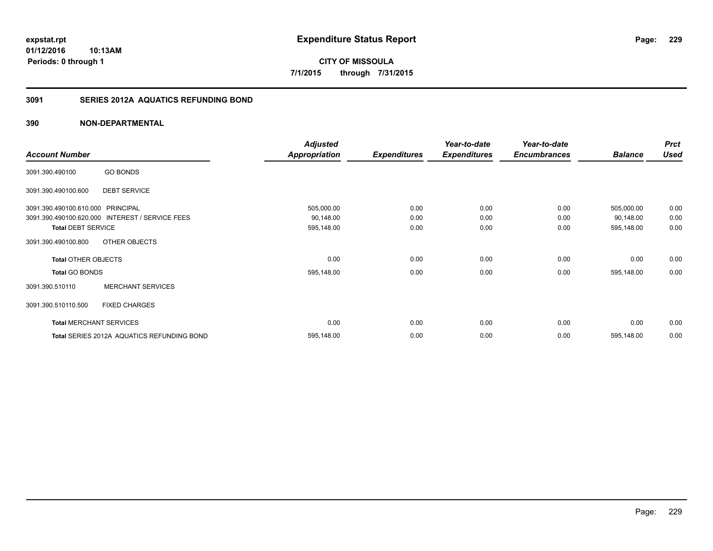**CITY OF MISSOULA 7/1/2015 through 7/31/2015**

## **3091 SERIES 2012A AQUATICS REFUNDING BOND**

|                                   |                                                 | <b>Adjusted</b>      |                     | Year-to-date        | Year-to-date        |                | <b>Prct</b> |
|-----------------------------------|-------------------------------------------------|----------------------|---------------------|---------------------|---------------------|----------------|-------------|
| <b>Account Number</b>             |                                                 | <b>Appropriation</b> | <b>Expenditures</b> | <b>Expenditures</b> | <b>Encumbrances</b> | <b>Balance</b> | <b>Used</b> |
| 3091.390.490100                   | <b>GO BONDS</b>                                 |                      |                     |                     |                     |                |             |
| 3091.390.490100.600               | <b>DEBT SERVICE</b>                             |                      |                     |                     |                     |                |             |
| 3091.390.490100.610.000 PRINCIPAL |                                                 | 505,000.00           | 0.00                | 0.00                | 0.00                | 505,000.00     | 0.00        |
|                                   | 3091.390.490100.620.000 INTEREST / SERVICE FEES | 90,148.00            | 0.00                | 0.00                | 0.00                | 90,148.00      | 0.00        |
| <b>Total DEBT SERVICE</b>         |                                                 | 595,148.00           | 0.00                | 0.00                | 0.00                | 595,148.00     | 0.00        |
| 3091.390.490100.800               | OTHER OBJECTS                                   |                      |                     |                     |                     |                |             |
| <b>Total OTHER OBJECTS</b>        |                                                 | 0.00                 | 0.00                | 0.00                | 0.00                | 0.00           | 0.00        |
| <b>Total GO BONDS</b>             |                                                 | 595,148.00           | 0.00                | 0.00                | 0.00                | 595,148.00     | 0.00        |
| 3091.390.510110                   | <b>MERCHANT SERVICES</b>                        |                      |                     |                     |                     |                |             |
| 3091.390.510110.500               | <b>FIXED CHARGES</b>                            |                      |                     |                     |                     |                |             |
|                                   | <b>Total MERCHANT SERVICES</b>                  | 0.00                 | 0.00                | 0.00                | 0.00                | 0.00           | 0.00        |
|                                   | Total SERIES 2012A AQUATICS REFUNDING BOND      | 595,148.00           | 0.00                | 0.00                | 0.00                | 595,148.00     | 0.00        |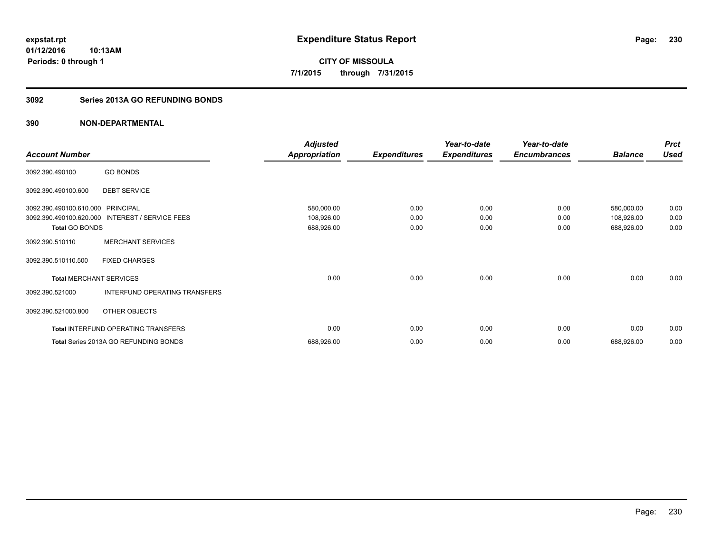**CITY OF MISSOULA 7/1/2015 through 7/31/2015**

## **3092 Series 2013A GO REFUNDING BONDS**

|                                |                                            | <b>Adjusted</b>      |                     | Year-to-date        | Year-to-date        |                | <b>Prct</b> |
|--------------------------------|--------------------------------------------|----------------------|---------------------|---------------------|---------------------|----------------|-------------|
| <b>Account Number</b>          |                                            | <b>Appropriation</b> | <b>Expenditures</b> | <b>Expenditures</b> | <b>Encumbrances</b> | <b>Balance</b> | <b>Used</b> |
| 3092.390.490100                | <b>GO BONDS</b>                            |                      |                     |                     |                     |                |             |
| 3092.390.490100.600            | <b>DEBT SERVICE</b>                        |                      |                     |                     |                     |                |             |
| 3092.390.490100.610.000        | <b>PRINCIPAL</b>                           | 580,000.00           | 0.00                | 0.00                | 0.00                | 580,000.00     | 0.00        |
| 3092.390.490100.620.000        | INTEREST / SERVICE FEES                    | 108,926.00           | 0.00                | 0.00                | 0.00                | 108,926.00     | 0.00        |
| <b>Total GO BONDS</b>          |                                            | 688,926.00           | 0.00                | 0.00                | 0.00                | 688,926.00     | 0.00        |
| 3092.390.510110                | <b>MERCHANT SERVICES</b>                   |                      |                     |                     |                     |                |             |
| 3092.390.510110.500            | <b>FIXED CHARGES</b>                       |                      |                     |                     |                     |                |             |
| <b>Total MERCHANT SERVICES</b> |                                            | 0.00                 | 0.00                | 0.00                | 0.00                | 0.00           | 0.00        |
| 3092.390.521000                | INTERFUND OPERATING TRANSFERS              |                      |                     |                     |                     |                |             |
| 3092.390.521000.800            | OTHER OBJECTS                              |                      |                     |                     |                     |                |             |
|                                | <b>Total INTERFUND OPERATING TRANSFERS</b> | 0.00                 | 0.00                | 0.00                | 0.00                | 0.00           | 0.00        |
|                                | Total Series 2013A GO REFUNDING BONDS      | 688,926.00           | 0.00                | 0.00                | 0.00                | 688,926.00     | 0.00        |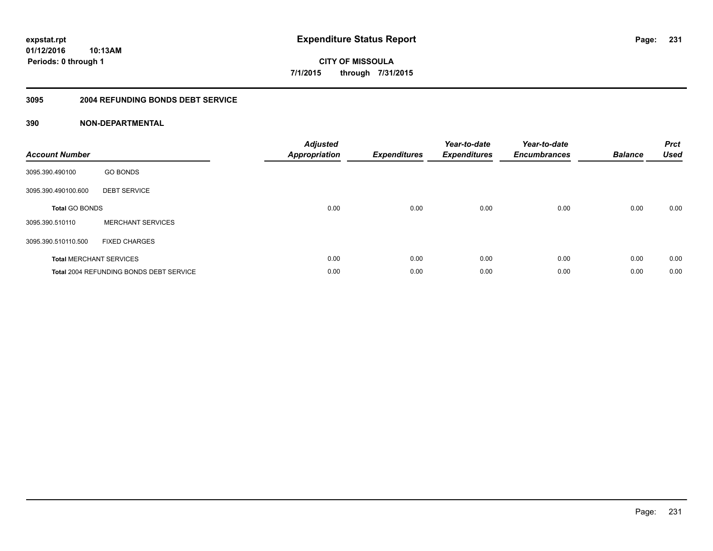**CITY OF MISSOULA 7/1/2015 through 7/31/2015**

### **3095 2004 REFUNDING BONDS DEBT SERVICE**

| <b>Account Number</b>          |                                                | <b>Adjusted</b><br><b>Appropriation</b> | <b>Expenditures</b> | Year-to-date<br><b>Expenditures</b> | Year-to-date<br><b>Encumbrances</b> | <b>Balance</b> | <b>Prct</b><br><b>Used</b> |
|--------------------------------|------------------------------------------------|-----------------------------------------|---------------------|-------------------------------------|-------------------------------------|----------------|----------------------------|
| 3095.390.490100                | <b>GO BONDS</b>                                |                                         |                     |                                     |                                     |                |                            |
| 3095.390.490100.600            | <b>DEBT SERVICE</b>                            |                                         |                     |                                     |                                     |                |                            |
| <b>Total GO BONDS</b>          |                                                | 0.00                                    | 0.00                | 0.00                                | 0.00                                | 0.00           | 0.00                       |
| 3095.390.510110                | <b>MERCHANT SERVICES</b>                       |                                         |                     |                                     |                                     |                |                            |
| 3095.390.510110.500            | <b>FIXED CHARGES</b>                           |                                         |                     |                                     |                                     |                |                            |
| <b>Total MERCHANT SERVICES</b> |                                                | 0.00                                    | 0.00                | 0.00                                | 0.00                                | 0.00           | 0.00                       |
|                                | <b>Total 2004 REFUNDING BONDS DEBT SERVICE</b> | 0.00                                    | 0.00                | 0.00                                | 0.00                                | 0.00           | 0.00                       |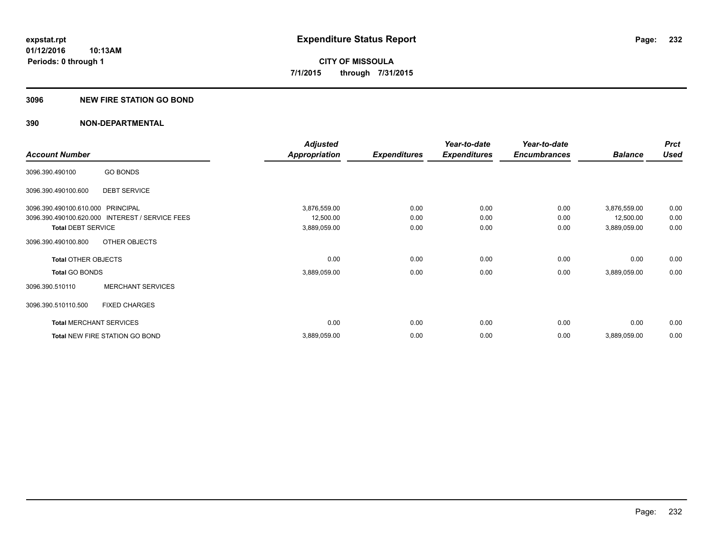### **3096 NEW FIRE STATION GO BOND**

|                                   |                                                 | <b>Adjusted</b>      |                     | Year-to-date        | Year-to-date        |                | <b>Prct</b> |
|-----------------------------------|-------------------------------------------------|----------------------|---------------------|---------------------|---------------------|----------------|-------------|
| <b>Account Number</b>             |                                                 | <b>Appropriation</b> | <b>Expenditures</b> | <b>Expenditures</b> | <b>Encumbrances</b> | <b>Balance</b> | <b>Used</b> |
| 3096.390.490100                   | <b>GO BONDS</b>                                 |                      |                     |                     |                     |                |             |
| 3096.390.490100.600               | <b>DEBT SERVICE</b>                             |                      |                     |                     |                     |                |             |
| 3096.390.490100.610.000 PRINCIPAL |                                                 | 3,876,559.00         | 0.00                | 0.00                | 0.00                | 3,876,559.00   | 0.00        |
|                                   | 3096.390.490100.620.000 INTEREST / SERVICE FEES | 12,500.00            | 0.00                | 0.00                | 0.00                | 12,500.00      | 0.00        |
| <b>Total DEBT SERVICE</b>         |                                                 | 3,889,059.00         | 0.00                | 0.00                | 0.00                | 3,889,059.00   | 0.00        |
| 3096.390.490100.800               | OTHER OBJECTS                                   |                      |                     |                     |                     |                |             |
| <b>Total OTHER OBJECTS</b>        |                                                 | 0.00                 | 0.00                | 0.00                | 0.00                | 0.00           | 0.00        |
| <b>Total GO BONDS</b>             |                                                 | 3,889,059.00         | 0.00                | 0.00                | 0.00                | 3,889,059.00   | 0.00        |
| 3096.390.510110                   | <b>MERCHANT SERVICES</b>                        |                      |                     |                     |                     |                |             |
| 3096.390.510110.500               | <b>FIXED CHARGES</b>                            |                      |                     |                     |                     |                |             |
|                                   | <b>Total MERCHANT SERVICES</b>                  | 0.00                 | 0.00                | 0.00                | 0.00                | 0.00           | 0.00        |
|                                   | Total NEW FIRE STATION GO BOND                  | 3,889,059.00         | 0.00                | 0.00                | 0.00                | 3,889,059.00   | 0.00        |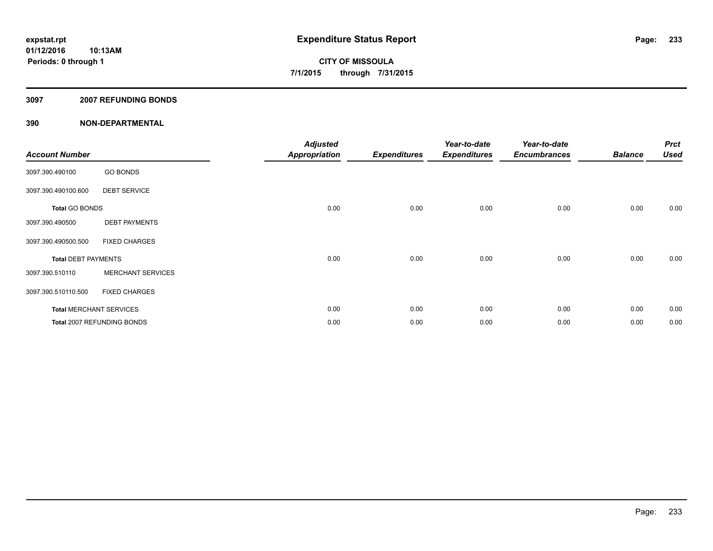### **3097 2007 REFUNDING BONDS**

| <b>Account Number</b>      |                                | <b>Adjusted</b><br><b>Appropriation</b> | <b>Expenditures</b> | Year-to-date<br><b>Expenditures</b> | Year-to-date<br><b>Encumbrances</b> | <b>Balance</b> | <b>Prct</b><br><b>Used</b> |
|----------------------------|--------------------------------|-----------------------------------------|---------------------|-------------------------------------|-------------------------------------|----------------|----------------------------|
| 3097.390.490100            | <b>GO BONDS</b>                |                                         |                     |                                     |                                     |                |                            |
| 3097.390.490100.600        | <b>DEBT SERVICE</b>            |                                         |                     |                                     |                                     |                |                            |
| <b>Total GO BONDS</b>      |                                | 0.00                                    | 0.00                | 0.00                                | 0.00                                | 0.00           | 0.00                       |
| 3097.390.490500            | <b>DEBT PAYMENTS</b>           |                                         |                     |                                     |                                     |                |                            |
| 3097.390.490500.500        | <b>FIXED CHARGES</b>           |                                         |                     |                                     |                                     |                |                            |
| <b>Total DEBT PAYMENTS</b> |                                | 0.00                                    | 0.00                | 0.00                                | 0.00                                | 0.00           | 0.00                       |
| 3097.390.510110            | <b>MERCHANT SERVICES</b>       |                                         |                     |                                     |                                     |                |                            |
| 3097.390.510110.500        | <b>FIXED CHARGES</b>           |                                         |                     |                                     |                                     |                |                            |
|                            | <b>Total MERCHANT SERVICES</b> | 0.00                                    | 0.00                | 0.00                                | 0.00                                | 0.00           | 0.00                       |
|                            | Total 2007 REFUNDING BONDS     | 0.00                                    | 0.00                | 0.00                                | 0.00                                | 0.00           | 0.00                       |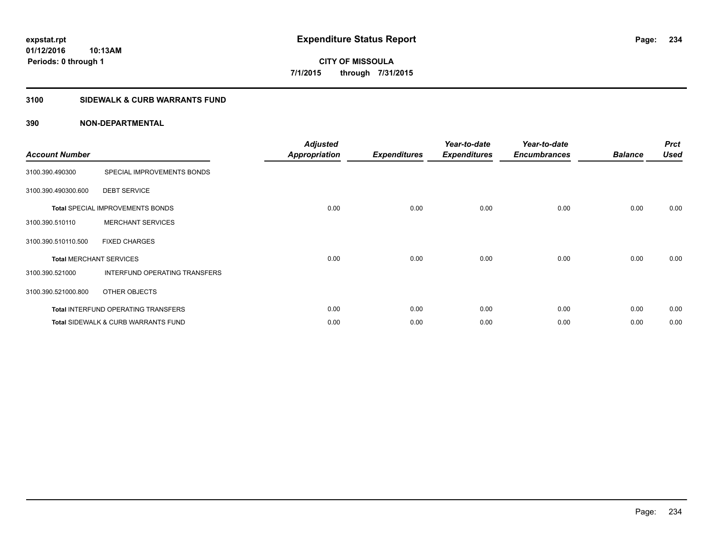**Periods: 0 through 1**

**CITY OF MISSOULA 7/1/2015 through 7/31/2015**

## **3100 SIDEWALK & CURB WARRANTS FUND**

## **390 NON-DEPARTMENTAL**

**10:13AM**

| <b>Account Number</b>          |                                                | <b>Adjusted</b><br><b>Appropriation</b> | <b>Expenditures</b> | Year-to-date<br><b>Expenditures</b> | Year-to-date<br><b>Encumbrances</b> | <b>Balance</b> | <b>Prct</b><br><b>Used</b> |
|--------------------------------|------------------------------------------------|-----------------------------------------|---------------------|-------------------------------------|-------------------------------------|----------------|----------------------------|
| 3100.390.490300                | SPECIAL IMPROVEMENTS BONDS                     |                                         |                     |                                     |                                     |                |                            |
| 3100.390.490300.600            | <b>DEBT SERVICE</b>                            |                                         |                     |                                     |                                     |                |                            |
|                                | <b>Total SPECIAL IMPROVEMENTS BONDS</b>        | 0.00                                    | 0.00                | 0.00                                | 0.00                                | 0.00           | 0.00                       |
| 3100.390.510110                | <b>MERCHANT SERVICES</b>                       |                                         |                     |                                     |                                     |                |                            |
| 3100.390.510110.500            | <b>FIXED CHARGES</b>                           |                                         |                     |                                     |                                     |                |                            |
| <b>Total MERCHANT SERVICES</b> |                                                | 0.00                                    | 0.00                | 0.00                                | 0.00                                | 0.00           | 0.00                       |
| 3100.390.521000                | INTERFUND OPERATING TRANSFERS                  |                                         |                     |                                     |                                     |                |                            |
| 3100.390.521000.800            | OTHER OBJECTS                                  |                                         |                     |                                     |                                     |                |                            |
|                                | <b>Total INTERFUND OPERATING TRANSFERS</b>     | 0.00                                    | 0.00                | 0.00                                | 0.00                                | 0.00           | 0.00                       |
|                                | <b>Total SIDEWALK &amp; CURB WARRANTS FUND</b> | 0.00                                    | 0.00                | 0.00                                | 0.00                                | 0.00           | 0.00                       |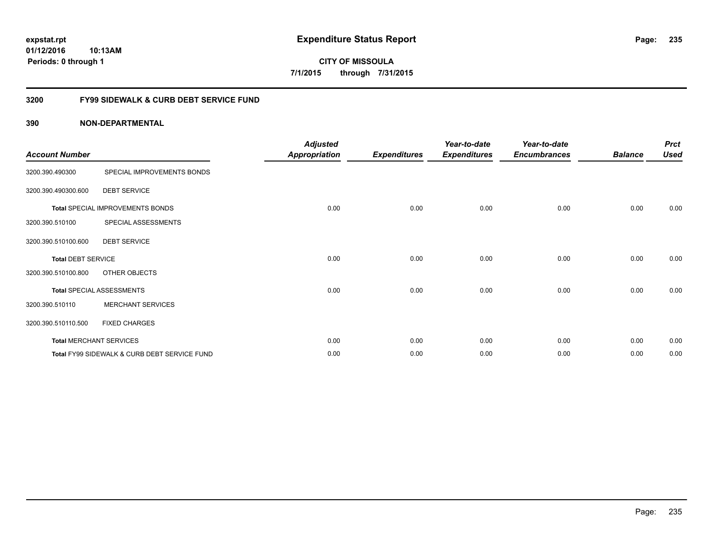**expstat.rpt Expenditure Status Report** 

**01/12/2016 10:13AM Periods: 0 through 1**

**CITY OF MISSOULA 7/1/2015 through 7/31/2015**

## **3200 FY99 SIDEWALK & CURB DEBT SERVICE FUND**

| <b>Account Number</b>     |                                              | <b>Adjusted</b><br><b>Appropriation</b> | <b>Expenditures</b> | Year-to-date<br><b>Expenditures</b> | Year-to-date<br><b>Encumbrances</b> | <b>Balance</b> | <b>Prct</b><br><b>Used</b> |
|---------------------------|----------------------------------------------|-----------------------------------------|---------------------|-------------------------------------|-------------------------------------|----------------|----------------------------|
| 3200.390.490300           | SPECIAL IMPROVEMENTS BONDS                   |                                         |                     |                                     |                                     |                |                            |
| 3200.390.490300.600       | <b>DEBT SERVICE</b>                          |                                         |                     |                                     |                                     |                |                            |
|                           | Total SPECIAL IMPROVEMENTS BONDS             | 0.00                                    | 0.00                | 0.00                                | 0.00                                | 0.00           | 0.00                       |
| 3200.390.510100           | SPECIAL ASSESSMENTS                          |                                         |                     |                                     |                                     |                |                            |
| 3200.390.510100.600       | <b>DEBT SERVICE</b>                          |                                         |                     |                                     |                                     |                |                            |
| <b>Total DEBT SERVICE</b> |                                              | 0.00                                    | 0.00                | 0.00                                | 0.00                                | 0.00           | 0.00                       |
| 3200.390.510100.800       | OTHER OBJECTS                                |                                         |                     |                                     |                                     |                |                            |
|                           | <b>Total SPECIAL ASSESSMENTS</b>             | 0.00                                    | 0.00                | 0.00                                | 0.00                                | 0.00           | 0.00                       |
| 3200.390.510110           | <b>MERCHANT SERVICES</b>                     |                                         |                     |                                     |                                     |                |                            |
| 3200.390.510110.500       | <b>FIXED CHARGES</b>                         |                                         |                     |                                     |                                     |                |                            |
|                           | <b>Total MERCHANT SERVICES</b>               | 0.00                                    | 0.00                | 0.00                                | 0.00                                | 0.00           | 0.00                       |
|                           | Total FY99 SIDEWALK & CURB DEBT SERVICE FUND | 0.00                                    | 0.00                | 0.00                                | 0.00                                | 0.00           | 0.00                       |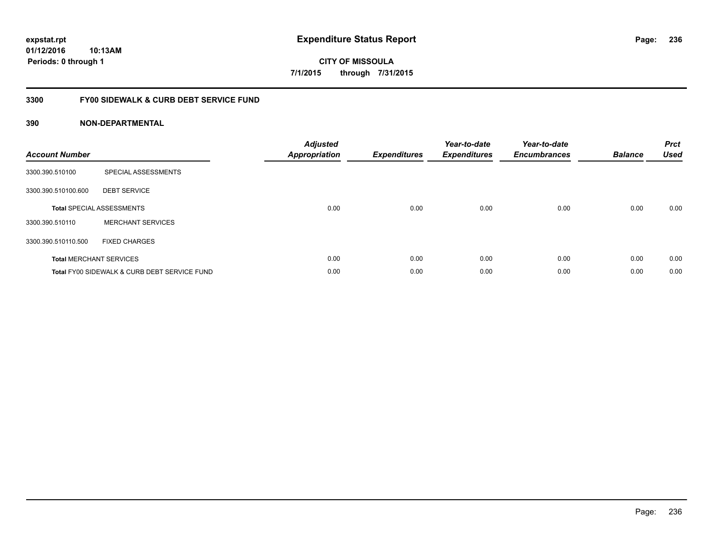**expstat.rpt Expenditure Status Report** 

**01/12/2016 10:13AM Periods: 0 through 1**

**CITY OF MISSOULA 7/1/2015 through 7/31/2015**

## **3300 FY00 SIDEWALK & CURB DEBT SERVICE FUND**

| <b>Account Number</b> |                                              | <b>Adjusted</b><br><b>Appropriation</b> | <b>Expenditures</b> | Year-to-date<br><b>Expenditures</b> | Year-to-date<br><b>Encumbrances</b> | <b>Balance</b> | <b>Prct</b><br><b>Used</b> |
|-----------------------|----------------------------------------------|-----------------------------------------|---------------------|-------------------------------------|-------------------------------------|----------------|----------------------------|
| 3300.390.510100       | SPECIAL ASSESSMENTS                          |                                         |                     |                                     |                                     |                |                            |
| 3300.390.510100.600   | <b>DEBT SERVICE</b>                          |                                         |                     |                                     |                                     |                |                            |
|                       | <b>Total SPECIAL ASSESSMENTS</b>             | 0.00                                    | 0.00                | 0.00                                | 0.00                                | 0.00           | 0.00                       |
| 3300.390.510110       | <b>MERCHANT SERVICES</b>                     |                                         |                     |                                     |                                     |                |                            |
| 3300.390.510110.500   | <b>FIXED CHARGES</b>                         |                                         |                     |                                     |                                     |                |                            |
|                       | <b>Total MERCHANT SERVICES</b>               | 0.00                                    | 0.00                | 0.00                                | 0.00                                | 0.00           | 0.00                       |
|                       | Total FY00 SIDEWALK & CURB DEBT SERVICE FUND | 0.00                                    | 0.00                | 0.00                                | 0.00                                | 0.00           | 0.00                       |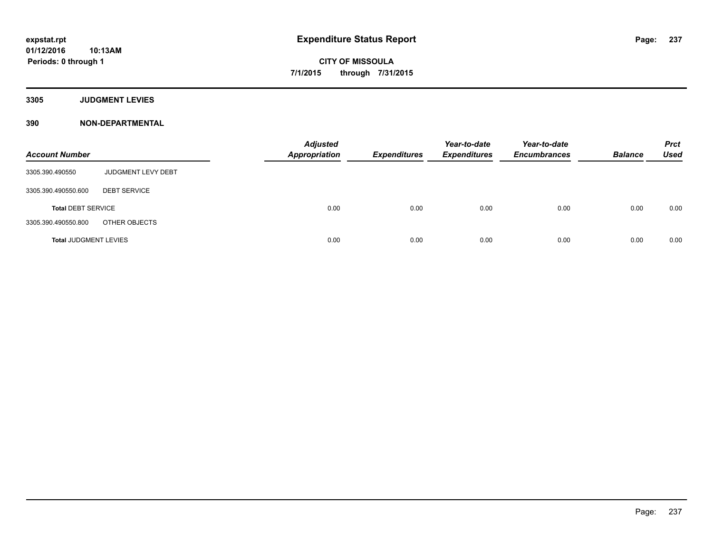**Periods: 0 through 1**

**CITY OF MISSOULA 7/1/2015 through 7/31/2015**

**3305 JUDGMENT LEVIES**

**390 NON-DEPARTMENTAL**

**10:13AM**

| <b>Account Number</b>        |                     | <b>Adjusted</b><br><b>Appropriation</b> | <b>Expenditures</b> | Year-to-date<br><b>Expenditures</b> | Year-to-date<br><b>Encumbrances</b> | <b>Balance</b> | <b>Prct</b><br>Used |
|------------------------------|---------------------|-----------------------------------------|---------------------|-------------------------------------|-------------------------------------|----------------|---------------------|
| 3305.390.490550              | JUDGMENT LEVY DEBT  |                                         |                     |                                     |                                     |                |                     |
| 3305.390.490550.600          | <b>DEBT SERVICE</b> |                                         |                     |                                     |                                     |                |                     |
| <b>Total DEBT SERVICE</b>    |                     | 0.00                                    | 0.00                | 0.00                                | 0.00                                | 0.00           | 0.00                |
| 3305.390.490550.800          | OTHER OBJECTS       |                                         |                     |                                     |                                     |                |                     |
| <b>Total JUDGMENT LEVIES</b> |                     | 0.00                                    | 0.00                | 0.00                                | 0.00                                | 0.00           | 0.00                |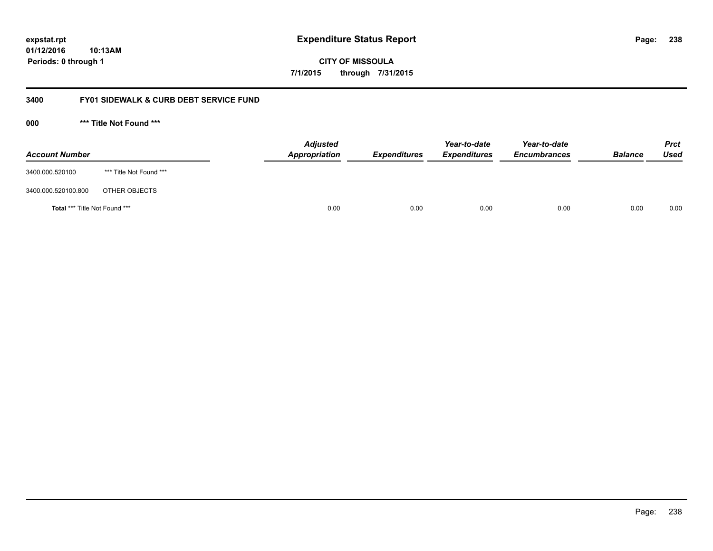**expstat.rpt Expenditure Status Report** 

**01/12/2016 10:13AM Periods: 0 through 1**

**CITY OF MISSOULA 7/1/2015 through 7/31/2015**

## **3400 FY01 SIDEWALK & CURB DEBT SERVICE FUND**

**000 \*\*\* Title Not Found \*\*\***

| <b>Account Number</b>         |                         | <b>Adjusted</b><br>Appropriation | <b>Expenditures</b> | Year-to-date<br><b>Expenditures</b> | Year-to-date<br><b>Encumbrances</b> | <b>Balance</b> | <b>Prct</b><br><b>Used</b> |
|-------------------------------|-------------------------|----------------------------------|---------------------|-------------------------------------|-------------------------------------|----------------|----------------------------|
| 3400.000.520100               | *** Title Not Found *** |                                  |                     |                                     |                                     |                |                            |
| 3400.000.520100.800           | OTHER OBJECTS           |                                  |                     |                                     |                                     |                |                            |
| Total *** Title Not Found *** |                         | 0.00                             | 0.00                | 0.00                                | 0.00                                | 0.00           | 0.00                       |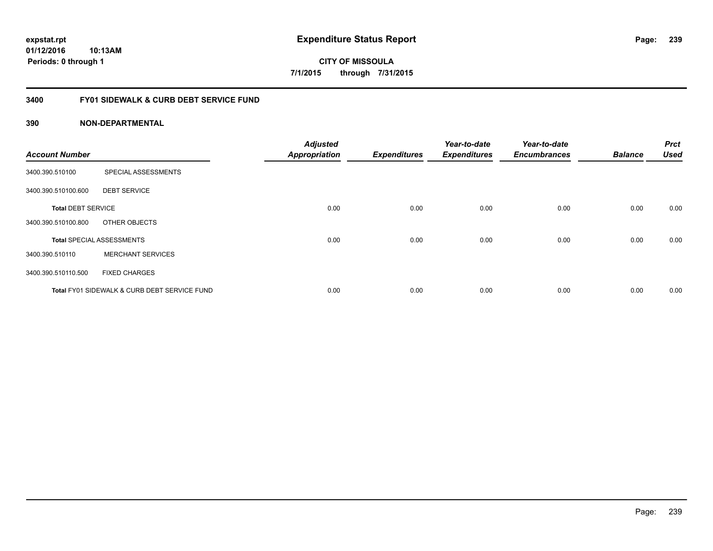**CITY OF MISSOULA 7/1/2015 through 7/31/2015**

## **3400 FY01 SIDEWALK & CURB DEBT SERVICE FUND**

| <b>Account Number</b>     |                                              | <b>Adjusted</b><br><b>Appropriation</b> | <b>Expenditures</b> | Year-to-date<br><b>Expenditures</b> | Year-to-date<br><b>Encumbrances</b> | <b>Balance</b> | <b>Prct</b><br><b>Used</b> |
|---------------------------|----------------------------------------------|-----------------------------------------|---------------------|-------------------------------------|-------------------------------------|----------------|----------------------------|
|                           |                                              |                                         |                     |                                     |                                     |                |                            |
| 3400.390.510100           | SPECIAL ASSESSMENTS                          |                                         |                     |                                     |                                     |                |                            |
| 3400.390.510100.600       | <b>DEBT SERVICE</b>                          |                                         |                     |                                     |                                     |                |                            |
| <b>Total DEBT SERVICE</b> |                                              | 0.00                                    | 0.00                | 0.00                                | 0.00                                | 0.00           | 0.00                       |
| 3400.390.510100.800       | OTHER OBJECTS                                |                                         |                     |                                     |                                     |                |                            |
|                           | <b>Total SPECIAL ASSESSMENTS</b>             | 0.00                                    | 0.00                | 0.00                                | 0.00                                | 0.00           | 0.00                       |
| 3400.390.510110           | <b>MERCHANT SERVICES</b>                     |                                         |                     |                                     |                                     |                |                            |
| 3400.390.510110.500       | <b>FIXED CHARGES</b>                         |                                         |                     |                                     |                                     |                |                            |
|                           | Total FY01 SIDEWALK & CURB DEBT SERVICE FUND | 0.00                                    | 0.00                | 0.00                                | 0.00                                | 0.00           | 0.00                       |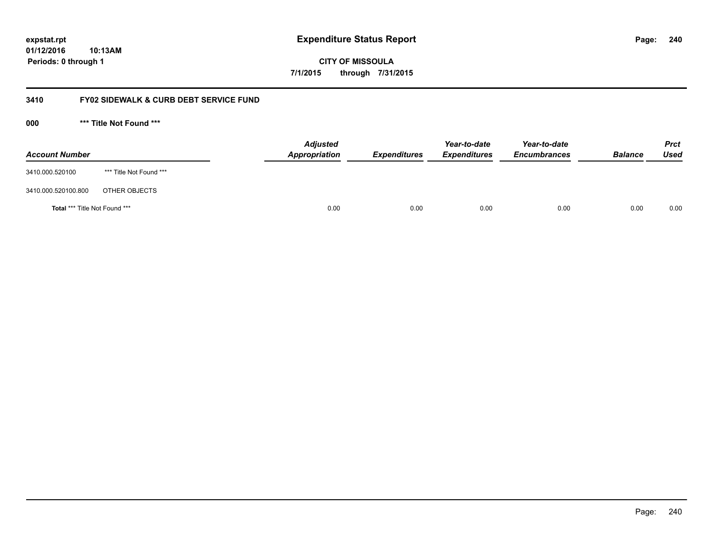**CITY OF MISSOULA 7/1/2015 through 7/31/2015**

## **3410 FY02 SIDEWALK & CURB DEBT SERVICE FUND**

**000 \*\*\* Title Not Found \*\*\***

| <b>Account Number</b>         |                         | <b>Adjusted</b><br>Appropriation | <b>Expenditures</b> | Year-to-date<br><b>Expenditures</b> | Year-to-date<br><b>Encumbrances</b> | <b>Balance</b> | Prct<br><b>Used</b> |
|-------------------------------|-------------------------|----------------------------------|---------------------|-------------------------------------|-------------------------------------|----------------|---------------------|
| 3410.000.520100               | *** Title Not Found *** |                                  |                     |                                     |                                     |                |                     |
| 3410.000.520100.800           | OTHER OBJECTS           |                                  |                     |                                     |                                     |                |                     |
| Total *** Title Not Found *** |                         | 0.00                             | 0.00                | 0.00                                | 0.00                                | 0.00           | 0.00                |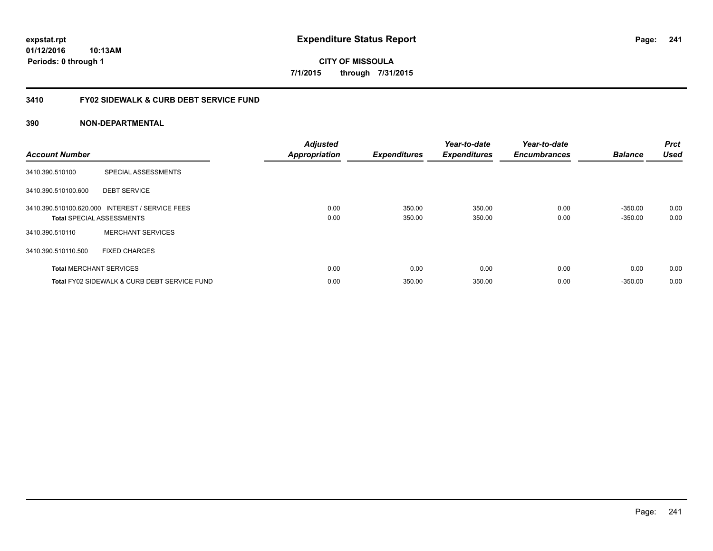**CITY OF MISSOULA 7/1/2015 through 7/31/2015**

## **3410 FY02 SIDEWALK & CURB DEBT SERVICE FUND**

| <b>Account Number</b> |                                                                                     | <b>Adjusted</b><br><b>Appropriation</b> | <b>Expenditures</b> | Year-to-date<br><b>Expenditures</b> | Year-to-date<br><b>Encumbrances</b> | <b>Balance</b>         | <b>Prct</b><br><b>Used</b> |
|-----------------------|-------------------------------------------------------------------------------------|-----------------------------------------|---------------------|-------------------------------------|-------------------------------------|------------------------|----------------------------|
| 3410.390.510100       | SPECIAL ASSESSMENTS                                                                 |                                         |                     |                                     |                                     |                        |                            |
| 3410.390.510100.600   | <b>DEBT SERVICE</b>                                                                 |                                         |                     |                                     |                                     |                        |                            |
|                       | 3410.390.510100.620.000 INTEREST / SERVICE FEES<br><b>Total SPECIAL ASSESSMENTS</b> | 0.00<br>0.00                            | 350.00<br>350.00    | 350.00<br>350.00                    | 0.00<br>0.00                        | $-350.00$<br>$-350.00$ | 0.00<br>0.00               |
| 3410.390.510110       | <b>MERCHANT SERVICES</b>                                                            |                                         |                     |                                     |                                     |                        |                            |
| 3410.390.510110.500   | <b>FIXED CHARGES</b>                                                                |                                         |                     |                                     |                                     |                        |                            |
|                       | <b>Total MERCHANT SERVICES</b>                                                      | 0.00                                    | 0.00                | 0.00                                | 0.00                                | 0.00                   | 0.00                       |
|                       | Total FY02 SIDEWALK & CURB DEBT SERVICE FUND                                        | 0.00                                    | 350.00              | 350.00                              | 0.00                                | $-350.00$              | 0.00                       |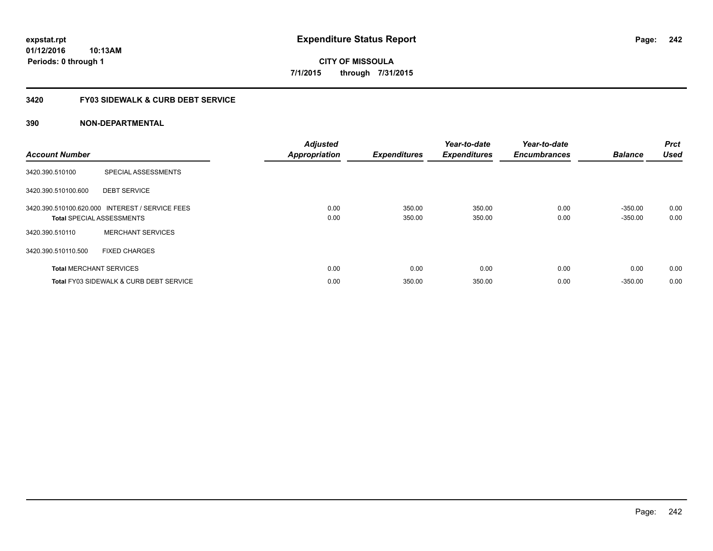# **CITY OF MISSOULA 7/1/2015 through 7/31/2015**

## **3420 FY03 SIDEWALK & CURB DEBT SERVICE**

| <b>Account Number</b> |                                                                                     | <b>Adjusted</b><br><b>Appropriation</b> | <b>Expenditures</b> | Year-to-date<br><b>Expenditures</b> | Year-to-date<br><b>Encumbrances</b> | <b>Balance</b>         | <b>Prct</b><br><b>Used</b> |
|-----------------------|-------------------------------------------------------------------------------------|-----------------------------------------|---------------------|-------------------------------------|-------------------------------------|------------------------|----------------------------|
| 3420.390.510100       | SPECIAL ASSESSMENTS                                                                 |                                         |                     |                                     |                                     |                        |                            |
| 3420.390.510100.600   | <b>DEBT SERVICE</b>                                                                 |                                         |                     |                                     |                                     |                        |                            |
|                       | 3420.390.510100.620.000 INTEREST / SERVICE FEES<br><b>Total SPECIAL ASSESSMENTS</b> | 0.00<br>0.00                            | 350.00<br>350.00    | 350.00<br>350.00                    | 0.00<br>0.00                        | $-350.00$<br>$-350.00$ | 0.00<br>0.00               |
| 3420.390.510110       | <b>MERCHANT SERVICES</b>                                                            |                                         |                     |                                     |                                     |                        |                            |
| 3420.390.510110.500   | <b>FIXED CHARGES</b>                                                                |                                         |                     |                                     |                                     |                        |                            |
|                       | <b>Total MERCHANT SERVICES</b>                                                      | 0.00                                    | 0.00                | 0.00                                | 0.00                                | 0.00                   | 0.00                       |
|                       | Total FY03 SIDEWALK & CURB DEBT SERVICE                                             | 0.00                                    | 350.00              | 350.00                              | 0.00                                | $-350.00$              | 0.00                       |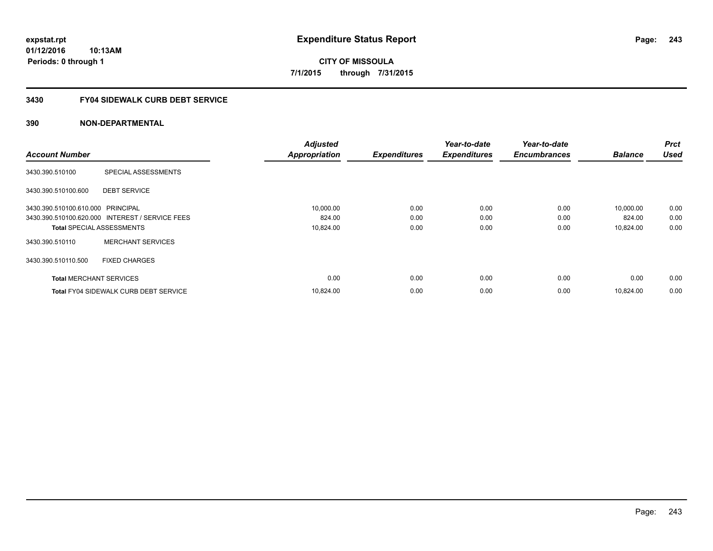**CITY OF MISSOULA 7/1/2015 through 7/31/2015**

## **3430 FY04 SIDEWALK CURB DEBT SERVICE**

|                                   |                                                 | <b>Adjusted</b>      |                     | Year-to-date        | Year-to-date        |                | <b>Prct</b> |
|-----------------------------------|-------------------------------------------------|----------------------|---------------------|---------------------|---------------------|----------------|-------------|
| <b>Account Number</b>             |                                                 | <b>Appropriation</b> | <b>Expenditures</b> | <b>Expenditures</b> | <b>Encumbrances</b> | <b>Balance</b> | <b>Used</b> |
| 3430.390.510100                   | SPECIAL ASSESSMENTS                             |                      |                     |                     |                     |                |             |
| 3430.390.510100.600               | <b>DEBT SERVICE</b>                             |                      |                     |                     |                     |                |             |
| 3430.390.510100.610.000 PRINCIPAL |                                                 | 10,000.00            | 0.00                | 0.00                | 0.00                | 10,000.00      | 0.00        |
|                                   | 3430.390.510100.620.000 INTEREST / SERVICE FEES | 824.00               | 0.00                | 0.00                | 0.00                | 824.00         | 0.00        |
| <b>Total SPECIAL ASSESSMENTS</b>  |                                                 | 10,824.00            | 0.00                | 0.00                | 0.00                | 10,824.00      | 0.00        |
| 3430.390.510110                   | <b>MERCHANT SERVICES</b>                        |                      |                     |                     |                     |                |             |
| 3430.390.510110.500               | <b>FIXED CHARGES</b>                            |                      |                     |                     |                     |                |             |
| <b>Total MERCHANT SERVICES</b>    |                                                 | 0.00                 | 0.00                | 0.00                | 0.00                | 0.00           | 0.00        |
|                                   | <b>Total FY04 SIDEWALK CURB DEBT SERVICE</b>    | 10,824.00            | 0.00                | 0.00                | 0.00                | 10.824.00      | 0.00        |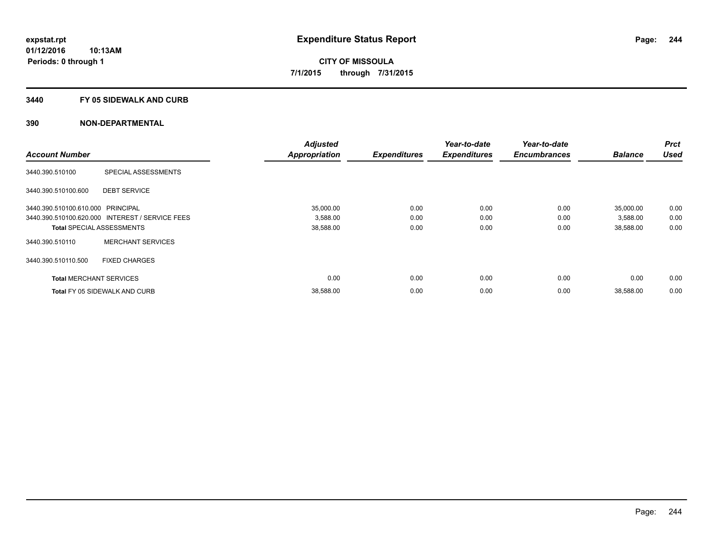### **3440 FY 05 SIDEWALK AND CURB**

|                                   |                                                 | <b>Adjusted</b>      |                     | Year-to-date        | Year-to-date        |                | <b>Prct</b> |
|-----------------------------------|-------------------------------------------------|----------------------|---------------------|---------------------|---------------------|----------------|-------------|
| <b>Account Number</b>             |                                                 | <b>Appropriation</b> | <b>Expenditures</b> | <b>Expenditures</b> | <b>Encumbrances</b> | <b>Balance</b> | <b>Used</b> |
| 3440.390.510100                   | SPECIAL ASSESSMENTS                             |                      |                     |                     |                     |                |             |
| 3440.390.510100.600               | <b>DEBT SERVICE</b>                             |                      |                     |                     |                     |                |             |
| 3440.390.510100.610.000 PRINCIPAL |                                                 | 35,000.00            | 0.00                | 0.00                | 0.00                | 35,000.00      | 0.00        |
|                                   | 3440.390.510100.620.000 INTEREST / SERVICE FEES | 3,588.00             | 0.00                | 0.00                | 0.00                | 3,588.00       | 0.00        |
|                                   | <b>Total SPECIAL ASSESSMENTS</b>                | 38,588.00            | 0.00                | 0.00                | 0.00                | 38,588.00      | 0.00        |
| 3440.390.510110                   | <b>MERCHANT SERVICES</b>                        |                      |                     |                     |                     |                |             |
| 3440.390.510110.500               | <b>FIXED CHARGES</b>                            |                      |                     |                     |                     |                |             |
| <b>Total MERCHANT SERVICES</b>    |                                                 | 0.00                 | 0.00                | 0.00                | 0.00                | 0.00           | 0.00        |
|                                   | <b>Total FY 05 SIDEWALK AND CURB</b>            | 38,588.00            | 0.00                | 0.00                | 0.00                | 38,588.00      | 0.00        |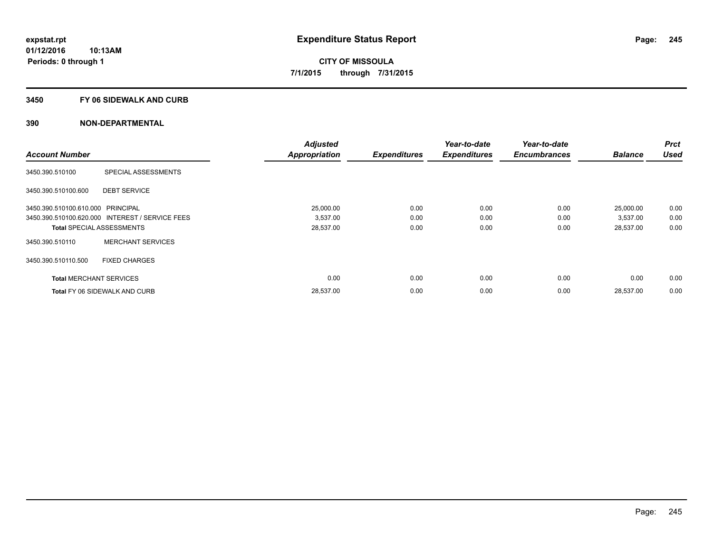### **3450 FY 06 SIDEWALK AND CURB**

| <b>Account Number</b>             |                                                 | <b>Adjusted</b>      |                     | Year-to-date        | Year-to-date<br><b>Encumbrances</b> | <b>Balance</b> | <b>Prct</b><br><b>Used</b> |
|-----------------------------------|-------------------------------------------------|----------------------|---------------------|---------------------|-------------------------------------|----------------|----------------------------|
|                                   |                                                 | <b>Appropriation</b> | <b>Expenditures</b> | <b>Expenditures</b> |                                     |                |                            |
| 3450.390.510100                   | SPECIAL ASSESSMENTS                             |                      |                     |                     |                                     |                |                            |
| 3450.390.510100.600               | <b>DEBT SERVICE</b>                             |                      |                     |                     |                                     |                |                            |
| 3450.390.510100.610.000 PRINCIPAL |                                                 | 25,000.00            | 0.00                | 0.00                | 0.00                                | 25,000.00      | 0.00                       |
|                                   | 3450.390.510100.620.000 INTEREST / SERVICE FEES | 3,537.00             | 0.00                | 0.00                | 0.00                                | 3,537.00       | 0.00                       |
| <b>Total SPECIAL ASSESSMENTS</b>  |                                                 | 28,537.00            | 0.00                | 0.00                | 0.00                                | 28,537.00      | 0.00                       |
| 3450.390.510110                   | <b>MERCHANT SERVICES</b>                        |                      |                     |                     |                                     |                |                            |
| 3450.390.510110.500               | <b>FIXED CHARGES</b>                            |                      |                     |                     |                                     |                |                            |
| <b>Total MERCHANT SERVICES</b>    |                                                 | 0.00                 | 0.00                | 0.00                | 0.00                                | 0.00           | 0.00                       |
|                                   | <b>Total FY 06 SIDEWALK AND CURB</b>            | 28,537.00            | 0.00                | 0.00                | 0.00                                | 28,537.00      | 0.00                       |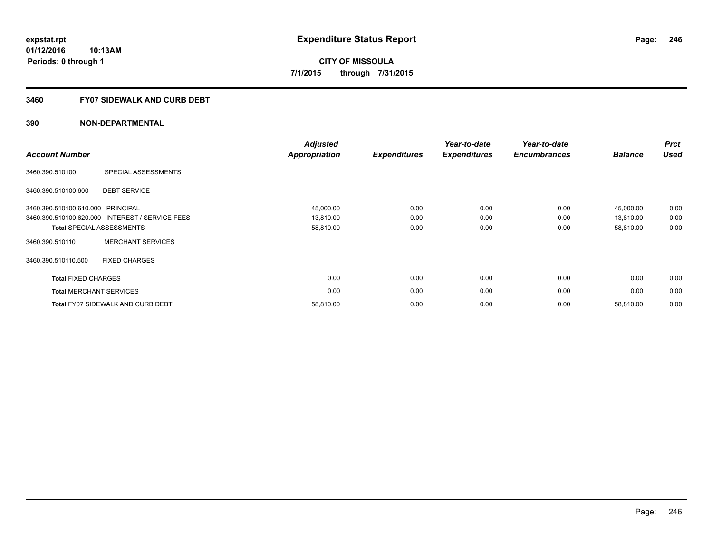## **3460 FY07 SIDEWALK AND CURB DEBT**

| <b>Account Number</b>             |                                                 | <b>Adjusted</b><br><b>Appropriation</b> | <b>Expenditures</b> | Year-to-date<br><b>Expenditures</b> | Year-to-date<br><b>Encumbrances</b> | <b>Balance</b> | <b>Prct</b><br><b>Used</b> |
|-----------------------------------|-------------------------------------------------|-----------------------------------------|---------------------|-------------------------------------|-------------------------------------|----------------|----------------------------|
| 3460.390.510100                   | SPECIAL ASSESSMENTS                             |                                         |                     |                                     |                                     |                |                            |
| 3460.390.510100.600               | <b>DEBT SERVICE</b>                             |                                         |                     |                                     |                                     |                |                            |
| 3460.390.510100.610.000 PRINCIPAL |                                                 | 45,000.00                               | 0.00                | 0.00                                | 0.00                                | 45,000.00      | 0.00                       |
|                                   | 3460.390.510100.620.000 INTEREST / SERVICE FEES | 13,810.00                               | 0.00                | 0.00                                | 0.00                                | 13,810.00      | 0.00                       |
|                                   | <b>Total SPECIAL ASSESSMENTS</b>                | 58,810.00                               | 0.00                | 0.00                                | 0.00                                | 58,810.00      | 0.00                       |
| 3460.390.510110                   | <b>MERCHANT SERVICES</b>                        |                                         |                     |                                     |                                     |                |                            |
| 3460.390.510110.500               | <b>FIXED CHARGES</b>                            |                                         |                     |                                     |                                     |                |                            |
| <b>Total FIXED CHARGES</b>        |                                                 | 0.00                                    | 0.00                | 0.00                                | 0.00                                | 0.00           | 0.00                       |
|                                   | <b>Total MERCHANT SERVICES</b>                  | 0.00                                    | 0.00                | 0.00                                | 0.00                                | 0.00           | 0.00                       |
|                                   | <b>Total FY07 SIDEWALK AND CURB DEBT</b>        | 58,810.00                               | 0.00                | 0.00                                | 0.00                                | 58,810.00      | 0.00                       |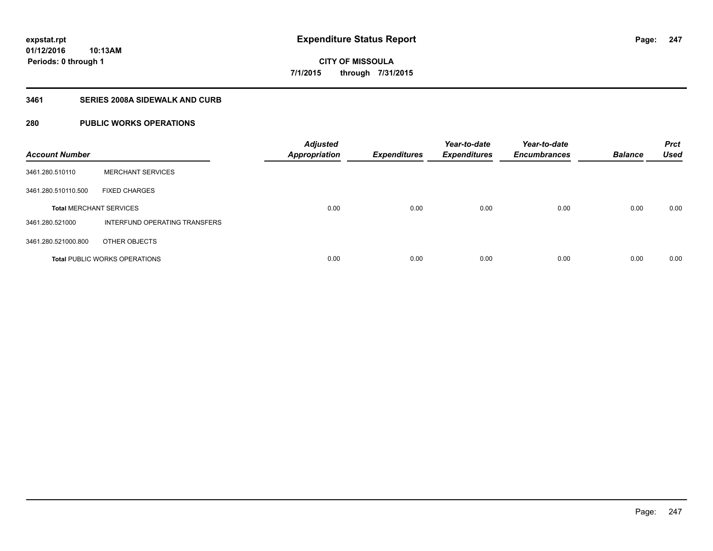**Periods: 0 through 1**

**CITY OF MISSOULA 7/1/2015 through 7/31/2015**

### **3461 SERIES 2008A SIDEWALK AND CURB**

## **280 PUBLIC WORKS OPERATIONS**

**10:13AM**

| <b>Account Number</b>          |                                      | <b>Adjusted</b><br><b>Appropriation</b> | <b>Expenditures</b> | Year-to-date<br><b>Expenditures</b> | Year-to-date<br><b>Encumbrances</b> | <b>Balance</b> | <b>Prct</b><br><b>Used</b> |
|--------------------------------|--------------------------------------|-----------------------------------------|---------------------|-------------------------------------|-------------------------------------|----------------|----------------------------|
| 3461.280.510110                | <b>MERCHANT SERVICES</b>             |                                         |                     |                                     |                                     |                |                            |
| 3461.280.510110.500            | <b>FIXED CHARGES</b>                 |                                         |                     |                                     |                                     |                |                            |
| <b>Total MERCHANT SERVICES</b> |                                      | 0.00                                    | 0.00                | 0.00                                | 0.00                                | 0.00           | 0.00                       |
| 3461.280.521000                | INTERFUND OPERATING TRANSFERS        |                                         |                     |                                     |                                     |                |                            |
| 3461.280.521000.800            | OTHER OBJECTS                        |                                         |                     |                                     |                                     |                |                            |
|                                | <b>Total PUBLIC WORKS OPERATIONS</b> | 0.00                                    | 0.00                | 0.00                                | 0.00                                | 0.00           | 0.00                       |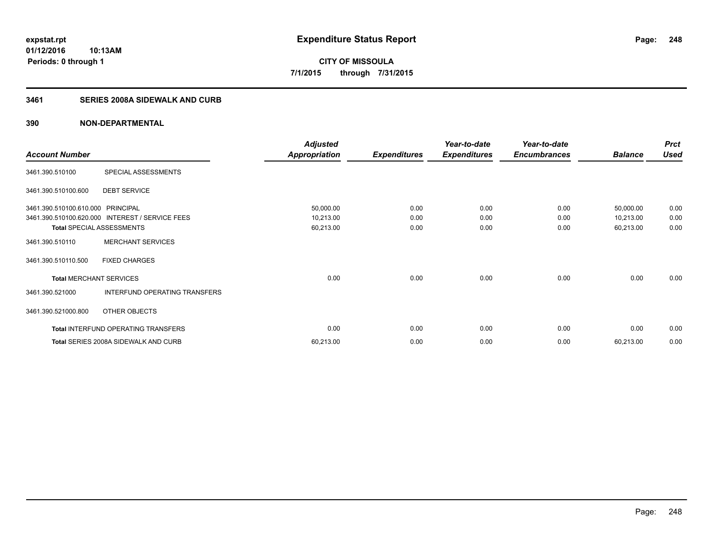**248**

**01/12/2016 10:13AM Periods: 0 through 1**

**CITY OF MISSOULA 7/1/2015 through 7/31/2015**

## **3461 SERIES 2008A SIDEWALK AND CURB**

|                                   |                                      | <b>Adjusted</b>      |                     | Year-to-date        | Year-to-date        |                | <b>Prct</b> |
|-----------------------------------|--------------------------------------|----------------------|---------------------|---------------------|---------------------|----------------|-------------|
| <b>Account Number</b>             |                                      | <b>Appropriation</b> | <b>Expenditures</b> | <b>Expenditures</b> | <b>Encumbrances</b> | <b>Balance</b> | <b>Used</b> |
| 3461.390.510100                   | SPECIAL ASSESSMENTS                  |                      |                     |                     |                     |                |             |
| 3461.390.510100.600               | <b>DEBT SERVICE</b>                  |                      |                     |                     |                     |                |             |
| 3461.390.510100.610.000 PRINCIPAL |                                      | 50,000.00            | 0.00                | 0.00                | 0.00                | 50,000.00      | 0.00        |
| 3461.390.510100.620.000           | <b>INTEREST / SERVICE FEES</b>       | 10,213.00            | 0.00                | 0.00                | 0.00                | 10,213.00      | 0.00        |
|                                   | <b>Total SPECIAL ASSESSMENTS</b>     | 60,213.00            | 0.00                | 0.00                | 0.00                | 60,213.00      | 0.00        |
| 3461.390.510110                   | <b>MERCHANT SERVICES</b>             |                      |                     |                     |                     |                |             |
| 3461.390.510110.500               | <b>FIXED CHARGES</b>                 |                      |                     |                     |                     |                |             |
| <b>Total MERCHANT SERVICES</b>    |                                      | 0.00                 | 0.00                | 0.00                | 0.00                | 0.00           | 0.00        |
| 3461.390.521000                   | INTERFUND OPERATING TRANSFERS        |                      |                     |                     |                     |                |             |
| 3461.390.521000.800               | OTHER OBJECTS                        |                      |                     |                     |                     |                |             |
|                                   | Total INTERFUND OPERATING TRANSFERS  | 0.00                 | 0.00                | 0.00                | 0.00                | 0.00           | 0.00        |
|                                   | Total SERIES 2008A SIDEWALK AND CURB | 60,213.00            | 0.00                | 0.00                | 0.00                | 60,213.00      | 0.00        |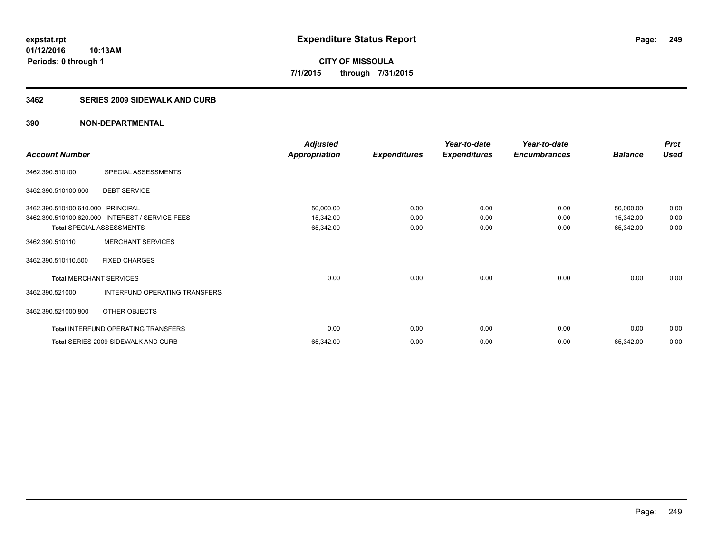**Periods: 0 through 1**

**CITY OF MISSOULA 7/1/2015 through 7/31/2015**

### **3462 SERIES 2009 SIDEWALK AND CURB**

## **390 NON-DEPARTMENTAL**

**10:13AM**

|                                   |                                                 | <b>Adjusted</b>      |                     | Year-to-date        | Year-to-date        |                | <b>Prct</b> |
|-----------------------------------|-------------------------------------------------|----------------------|---------------------|---------------------|---------------------|----------------|-------------|
| <b>Account Number</b>             |                                                 | <b>Appropriation</b> | <b>Expenditures</b> | <b>Expenditures</b> | <b>Encumbrances</b> | <b>Balance</b> | <b>Used</b> |
| 3462.390.510100                   | SPECIAL ASSESSMENTS                             |                      |                     |                     |                     |                |             |
| 3462.390.510100.600               | <b>DEBT SERVICE</b>                             |                      |                     |                     |                     |                |             |
| 3462.390.510100.610.000 PRINCIPAL |                                                 | 50,000.00            | 0.00                | 0.00                | 0.00                | 50,000.00      | 0.00        |
|                                   | 3462.390.510100.620.000 INTEREST / SERVICE FEES | 15,342.00            | 0.00                | 0.00                | 0.00                | 15,342.00      | 0.00        |
|                                   | <b>Total SPECIAL ASSESSMENTS</b>                | 65,342.00            | 0.00                | 0.00                | 0.00                | 65,342.00      | 0.00        |
| 3462.390.510110                   | <b>MERCHANT SERVICES</b>                        |                      |                     |                     |                     |                |             |
| 3462.390.510110.500               | <b>FIXED CHARGES</b>                            |                      |                     |                     |                     |                |             |
| <b>Total MERCHANT SERVICES</b>    |                                                 | 0.00                 | 0.00                | 0.00                | 0.00                | 0.00           | 0.00        |
| 3462.390.521000                   | INTERFUND OPERATING TRANSFERS                   |                      |                     |                     |                     |                |             |
| 3462.390.521000.800               | OTHER OBJECTS                                   |                      |                     |                     |                     |                |             |
|                                   | Total INTERFUND OPERATING TRANSFERS             | 0.00                 | 0.00                | 0.00                | 0.00                | 0.00           | 0.00        |
|                                   | Total SERIES 2009 SIDEWALK AND CURB             | 65,342.00            | 0.00                | 0.00                | 0.00                | 65,342.00      | 0.00        |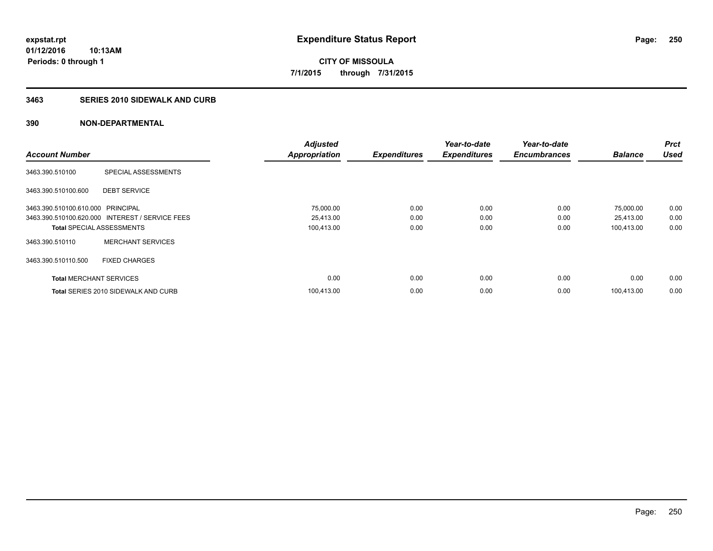**Periods: 0 through 1**

**CITY OF MISSOULA 7/1/2015 through 7/31/2015**

### **3463 SERIES 2010 SIDEWALK AND CURB**

|                                   |                                                 | <b>Adjusted</b>      |                     | Year-to-date        | Year-to-date        |                | <b>Prct</b> |
|-----------------------------------|-------------------------------------------------|----------------------|---------------------|---------------------|---------------------|----------------|-------------|
| <b>Account Number</b>             |                                                 | <b>Appropriation</b> | <b>Expenditures</b> | <b>Expenditures</b> | <b>Encumbrances</b> | <b>Balance</b> | <b>Used</b> |
| 3463.390.510100                   | SPECIAL ASSESSMENTS                             |                      |                     |                     |                     |                |             |
| 3463.390.510100.600               | <b>DEBT SERVICE</b>                             |                      |                     |                     |                     |                |             |
| 3463.390.510100.610.000 PRINCIPAL |                                                 | 75,000.00            | 0.00                | 0.00                | 0.00                | 75,000.00      | 0.00        |
|                                   | 3463.390.510100.620.000 INTEREST / SERVICE FEES | 25,413.00            | 0.00                | 0.00                | 0.00                | 25,413.00      | 0.00        |
| <b>Total SPECIAL ASSESSMENTS</b>  |                                                 | 100,413.00           | 0.00                | 0.00                | 0.00                | 100,413.00     | 0.00        |
| 3463.390.510110                   | <b>MERCHANT SERVICES</b>                        |                      |                     |                     |                     |                |             |
| 3463.390.510110.500               | <b>FIXED CHARGES</b>                            |                      |                     |                     |                     |                |             |
| <b>Total MERCHANT SERVICES</b>    |                                                 | 0.00                 | 0.00                | 0.00                | 0.00                | 0.00           | 0.00        |
|                                   | Total SERIES 2010 SIDEWALK AND CURB             | 100.413.00           | 0.00                | 0.00                | 0.00                | 100.413.00     | 0.00        |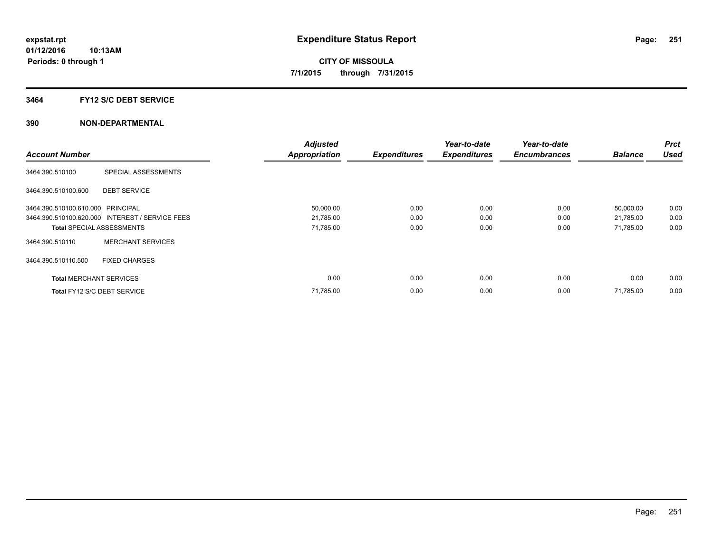### **3464 FY12 S/C DEBT SERVICE**

|                                   |                                                 | <b>Adjusted</b>      |                     | Year-to-date        | Year-to-date        |                | <b>Prct</b> |
|-----------------------------------|-------------------------------------------------|----------------------|---------------------|---------------------|---------------------|----------------|-------------|
| <b>Account Number</b>             |                                                 | <b>Appropriation</b> | <b>Expenditures</b> | <b>Expenditures</b> | <b>Encumbrances</b> | <b>Balance</b> | <b>Used</b> |
| 3464.390.510100                   | SPECIAL ASSESSMENTS                             |                      |                     |                     |                     |                |             |
| 3464.390.510100.600               | <b>DEBT SERVICE</b>                             |                      |                     |                     |                     |                |             |
| 3464.390.510100.610.000 PRINCIPAL |                                                 | 50,000.00            | 0.00                | 0.00                | 0.00                | 50,000.00      | 0.00        |
|                                   | 3464.390.510100.620.000 INTEREST / SERVICE FEES | 21,785.00            | 0.00                | 0.00                | 0.00                | 21,785.00      | 0.00        |
| <b>Total SPECIAL ASSESSMENTS</b>  |                                                 | 71,785.00            | 0.00                | 0.00                | 0.00                | 71,785.00      | 0.00        |
| 3464.390.510110                   | <b>MERCHANT SERVICES</b>                        |                      |                     |                     |                     |                |             |
| 3464.390.510110.500               | <b>FIXED CHARGES</b>                            |                      |                     |                     |                     |                |             |
| <b>Total MERCHANT SERVICES</b>    |                                                 | 0.00                 | 0.00                | 0.00                | 0.00                | 0.00           | 0.00        |
| Total FY12 S/C DEBT SERVICE       |                                                 | 71,785.00            | 0.00                | 0.00                | 0.00                | 71.785.00      | 0.00        |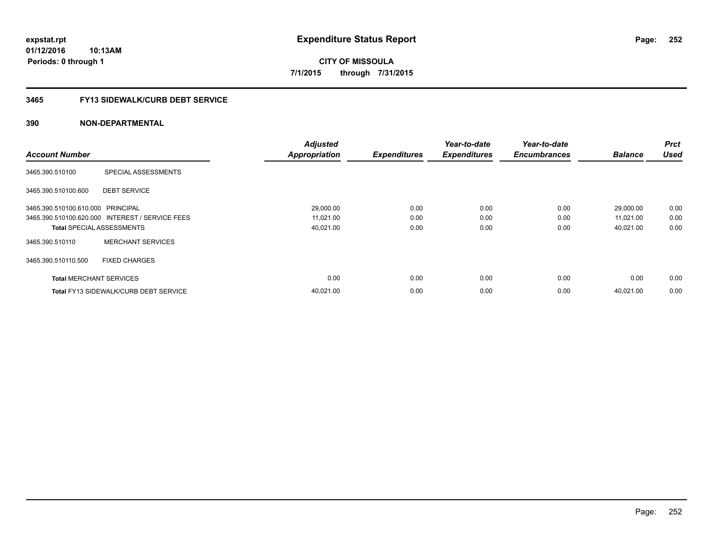**CITY OF MISSOULA 7/1/2015 through 7/31/2015**

# **3465 FY13 SIDEWALK/CURB DEBT SERVICE**

|                                   |                                                 | <b>Adjusted</b>      |                     | Year-to-date        | Year-to-date        |                | <b>Prct</b> |
|-----------------------------------|-------------------------------------------------|----------------------|---------------------|---------------------|---------------------|----------------|-------------|
| <b>Account Number</b>             |                                                 | <b>Appropriation</b> | <b>Expenditures</b> | <b>Expenditures</b> | <b>Encumbrances</b> | <b>Balance</b> | <b>Used</b> |
| 3465.390.510100                   | SPECIAL ASSESSMENTS                             |                      |                     |                     |                     |                |             |
| 3465.390.510100.600               | <b>DEBT SERVICE</b>                             |                      |                     |                     |                     |                |             |
| 3465.390.510100.610.000 PRINCIPAL |                                                 | 29,000.00            | 0.00                | 0.00                | 0.00                | 29,000.00      | 0.00        |
|                                   | 3465.390.510100.620.000 INTEREST / SERVICE FEES | 11,021.00            | 0.00                | 0.00                | 0.00                | 11,021.00      | 0.00        |
| <b>Total SPECIAL ASSESSMENTS</b>  |                                                 | 40,021.00            | 0.00                | 0.00                | 0.00                | 40,021.00      | 0.00        |
| 3465.390.510110                   | <b>MERCHANT SERVICES</b>                        |                      |                     |                     |                     |                |             |
| 3465.390.510110.500               | <b>FIXED CHARGES</b>                            |                      |                     |                     |                     |                |             |
| <b>Total MERCHANT SERVICES</b>    |                                                 | 0.00                 | 0.00                | 0.00                | 0.00                | 0.00           | 0.00        |
|                                   | <b>Total FY13 SIDEWALK/CURB DEBT SERVICE</b>    | 40,021.00            | 0.00                | 0.00                | 0.00                | 40.021.00      | 0.00        |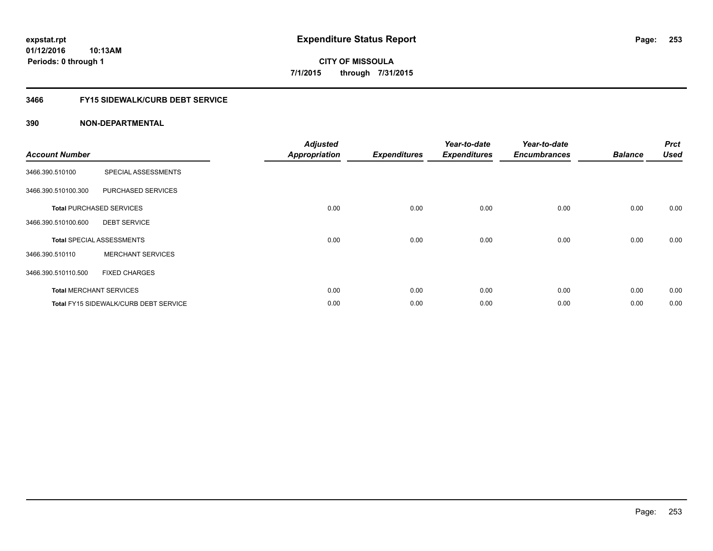**Periods: 0 through 1**

**CITY OF MISSOULA 7/1/2015 through 7/31/2015**

### **3466 FY15 SIDEWALK/CURB DEBT SERVICE**

# **390 NON-DEPARTMENTAL**

**10:13AM**

| <b>Account Number</b> |                                              | <b>Adjusted</b><br><b>Appropriation</b> | <b>Expenditures</b> | Year-to-date<br><b>Expenditures</b> | Year-to-date<br><b>Encumbrances</b> | <b>Balance</b> | <b>Prct</b><br><b>Used</b> |
|-----------------------|----------------------------------------------|-----------------------------------------|---------------------|-------------------------------------|-------------------------------------|----------------|----------------------------|
| 3466.390.510100       | SPECIAL ASSESSMENTS                          |                                         |                     |                                     |                                     |                |                            |
| 3466.390.510100.300   | PURCHASED SERVICES                           |                                         |                     |                                     |                                     |                |                            |
|                       | <b>Total PURCHASED SERVICES</b>              | 0.00                                    | 0.00                | 0.00                                | 0.00                                | 0.00           | 0.00                       |
| 3466.390.510100.600   | <b>DEBT SERVICE</b>                          |                                         |                     |                                     |                                     |                |                            |
|                       | <b>Total SPECIAL ASSESSMENTS</b>             | 0.00                                    | 0.00                | 0.00                                | 0.00                                | 0.00           | 0.00                       |
| 3466.390.510110       | <b>MERCHANT SERVICES</b>                     |                                         |                     |                                     |                                     |                |                            |
| 3466.390.510110.500   | <b>FIXED CHARGES</b>                         |                                         |                     |                                     |                                     |                |                            |
|                       | <b>Total MERCHANT SERVICES</b>               | 0.00                                    | 0.00                | 0.00                                | 0.00                                | 0.00           | 0.00                       |
|                       | <b>Total FY15 SIDEWALK/CURB DEBT SERVICE</b> | 0.00                                    | 0.00                | 0.00                                | 0.00                                | 0.00           | 0.00                       |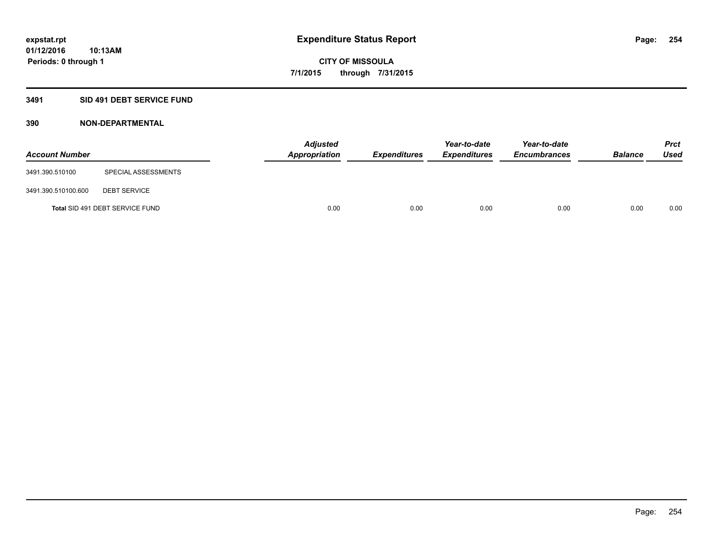# **3491 SID 491 DEBT SERVICE FUND**

| <b>Account Number</b> |                                 | <b>Adjusted</b><br><b>Appropriation</b> | <b>Expenditures</b> | Year-to-date<br><b>Expenditures</b> | Year-to-date<br><b>Encumbrances</b> | <b>Balance</b> | <b>Prct</b><br><b>Used</b> |
|-----------------------|---------------------------------|-----------------------------------------|---------------------|-------------------------------------|-------------------------------------|----------------|----------------------------|
| 3491.390.510100       | SPECIAL ASSESSMENTS             |                                         |                     |                                     |                                     |                |                            |
| 3491.390.510100.600   | <b>DEBT SERVICE</b>             |                                         |                     |                                     |                                     |                |                            |
|                       | Total SID 491 DEBT SERVICE FUND | 0.00                                    | 0.00                | 0.00                                | 0.00                                | 0.00           | 0.00                       |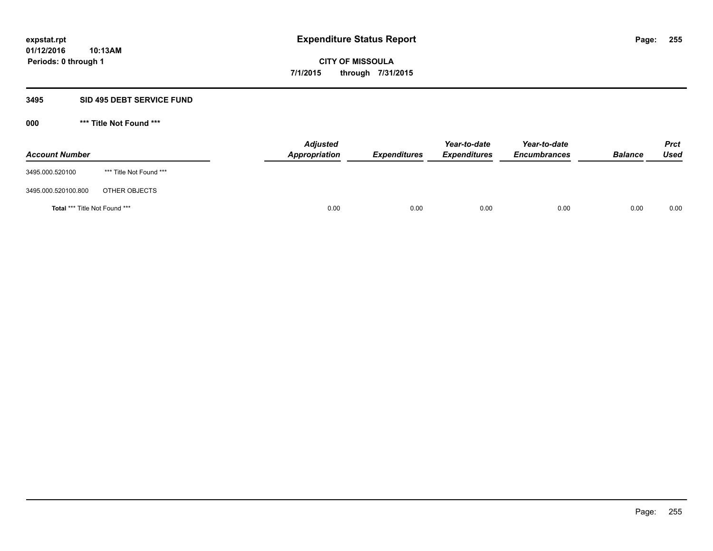### **3495 SID 495 DEBT SERVICE FUND**

| <b>Account Number</b>                |                         | <b>Adjusted</b><br><b>Appropriation</b> | <b>Expenditures</b> | Year-to-date<br><b>Expenditures</b> | Year-to-date<br><b>Encumbrances</b> | <b>Balance</b> | <b>Prct</b><br><b>Used</b> |
|--------------------------------------|-------------------------|-----------------------------------------|---------------------|-------------------------------------|-------------------------------------|----------------|----------------------------|
| 3495.000.520100                      | *** Title Not Found *** |                                         |                     |                                     |                                     |                |                            |
| 3495.000.520100.800                  | OTHER OBJECTS           |                                         |                     |                                     |                                     |                |                            |
| <b>Total *** Title Not Found ***</b> |                         | 0.00                                    | 0.00                | 0.00                                | 0.00                                | 0.00           | 0.00                       |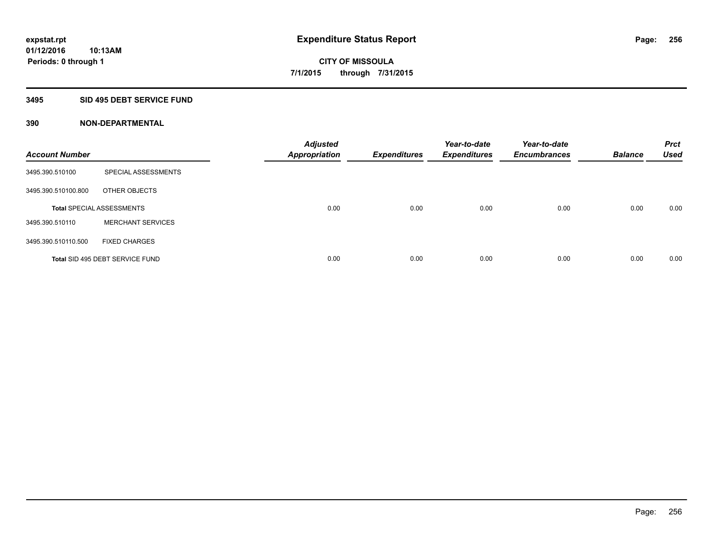#### **3495 SID 495 DEBT SERVICE FUND**

| <b>Account Number</b> |                                  | <b>Adjusted</b><br><b>Appropriation</b> | <b>Expenditures</b> | Year-to-date<br><b>Expenditures</b> | Year-to-date<br><b>Encumbrances</b> | <b>Balance</b> | <b>Prct</b><br><b>Used</b> |
|-----------------------|----------------------------------|-----------------------------------------|---------------------|-------------------------------------|-------------------------------------|----------------|----------------------------|
| 3495.390.510100       | SPECIAL ASSESSMENTS              |                                         |                     |                                     |                                     |                |                            |
| 3495.390.510100.800   | OTHER OBJECTS                    |                                         |                     |                                     |                                     |                |                            |
|                       | <b>Total SPECIAL ASSESSMENTS</b> | 0.00                                    | 0.00                | 0.00                                | 0.00                                | 0.00           | 0.00                       |
| 3495.390.510110       | <b>MERCHANT SERVICES</b>         |                                         |                     |                                     |                                     |                |                            |
| 3495.390.510110.500   | <b>FIXED CHARGES</b>             |                                         |                     |                                     |                                     |                |                            |
|                       | Total SID 495 DEBT SERVICE FUND  | 0.00                                    | 0.00                | 0.00                                | 0.00                                | 0.00           | 0.00                       |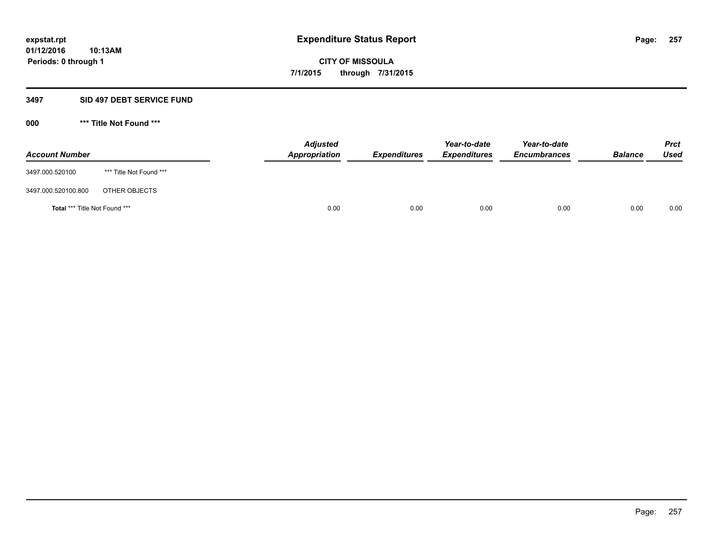#### **3497 SID 497 DEBT SERVICE FUND**

| <b>Account Number</b>         |                         | <b>Adjusted</b><br>Appropriation | <b>Expenditures</b> | Year-to-date<br><b>Expenditures</b> | Year-to-date<br><b>Encumbrances</b> | <b>Balance</b> | <b>Prct</b><br>Used |
|-------------------------------|-------------------------|----------------------------------|---------------------|-------------------------------------|-------------------------------------|----------------|---------------------|
| 3497.000.520100               | *** Title Not Found *** |                                  |                     |                                     |                                     |                |                     |
| 3497.000.520100.800           | OTHER OBJECTS           |                                  |                     |                                     |                                     |                |                     |
| Total *** Title Not Found *** |                         | 0.00                             | 0.00                | 0.00                                | 0.00                                | 0.00           | 0.00                |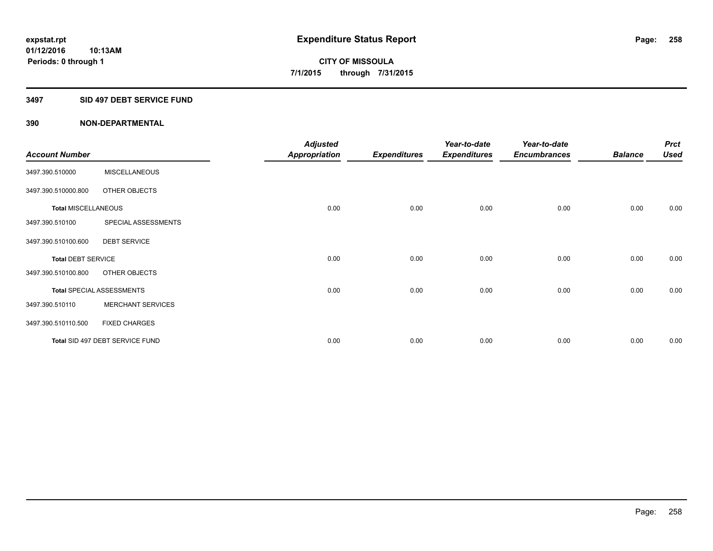#### **3497 SID 497 DEBT SERVICE FUND**

|                            |                                  | <b>Adjusted</b>      |                     | Year-to-date        | Year-to-date        |                | <b>Prct</b> |
|----------------------------|----------------------------------|----------------------|---------------------|---------------------|---------------------|----------------|-------------|
| <b>Account Number</b>      |                                  | <b>Appropriation</b> | <b>Expenditures</b> | <b>Expenditures</b> | <b>Encumbrances</b> | <b>Balance</b> | <b>Used</b> |
| 3497.390.510000            | <b>MISCELLANEOUS</b>             |                      |                     |                     |                     |                |             |
| 3497.390.510000.800        | OTHER OBJECTS                    |                      |                     |                     |                     |                |             |
| <b>Total MISCELLANEOUS</b> |                                  | 0.00                 | 0.00                | 0.00                | 0.00                | 0.00           | 0.00        |
| 3497.390.510100            | SPECIAL ASSESSMENTS              |                      |                     |                     |                     |                |             |
| 3497.390.510100.600        | <b>DEBT SERVICE</b>              |                      |                     |                     |                     |                |             |
| <b>Total DEBT SERVICE</b>  |                                  | 0.00                 | 0.00                | 0.00                | 0.00                | 0.00           | 0.00        |
| 3497.390.510100.800        | OTHER OBJECTS                    |                      |                     |                     |                     |                |             |
|                            | <b>Total SPECIAL ASSESSMENTS</b> | 0.00                 | 0.00                | 0.00                | 0.00                | 0.00           | 0.00        |
| 3497.390.510110            | <b>MERCHANT SERVICES</b>         |                      |                     |                     |                     |                |             |
| 3497.390.510110.500        | <b>FIXED CHARGES</b>             |                      |                     |                     |                     |                |             |
|                            | Total SID 497 DEBT SERVICE FUND  | 0.00                 | 0.00                | 0.00                | 0.00                | 0.00           | 0.00        |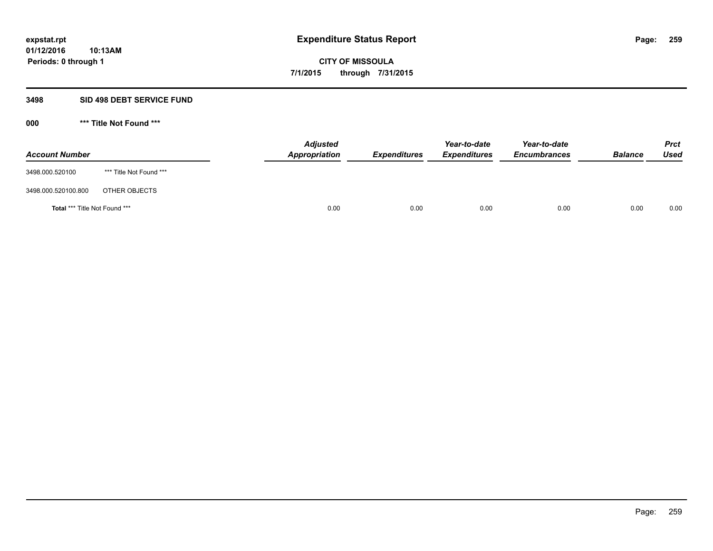### **3498 SID 498 DEBT SERVICE FUND**

| <b>Account Number</b>                |                         | <b>Adjusted</b><br><b>Appropriation</b> | <b>Expenditures</b> | Year-to-date<br><b>Expenditures</b> | Year-to-date<br><b>Encumbrances</b> | <b>Balance</b> | <b>Prct</b><br><b>Used</b> |
|--------------------------------------|-------------------------|-----------------------------------------|---------------------|-------------------------------------|-------------------------------------|----------------|----------------------------|
| 3498.000.520100                      | *** Title Not Found *** |                                         |                     |                                     |                                     |                |                            |
| 3498.000.520100.800                  | OTHER OBJECTS           |                                         |                     |                                     |                                     |                |                            |
| <b>Total *** Title Not Found ***</b> |                         | 0.00                                    | 0.00                | 0.00                                | 0.00                                | 0.00           | 0.00                       |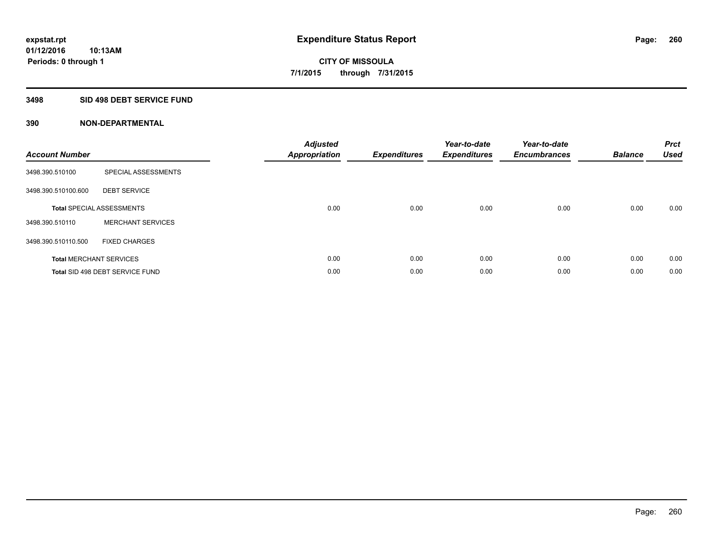# **3498 SID 498 DEBT SERVICE FUND**

| <b>Account Number</b> |                                  | <b>Adjusted</b><br><b>Appropriation</b> | <b>Expenditures</b> | Year-to-date<br><b>Expenditures</b> | Year-to-date<br><b>Encumbrances</b> | <b>Balance</b> | <b>Prct</b><br><b>Used</b> |
|-----------------------|----------------------------------|-----------------------------------------|---------------------|-------------------------------------|-------------------------------------|----------------|----------------------------|
| 3498.390.510100       | SPECIAL ASSESSMENTS              |                                         |                     |                                     |                                     |                |                            |
| 3498.390.510100.600   | <b>DEBT SERVICE</b>              |                                         |                     |                                     |                                     |                |                            |
|                       | <b>Total SPECIAL ASSESSMENTS</b> | 0.00                                    | 0.00                | 0.00                                | 0.00                                | 0.00           | 0.00                       |
| 3498.390.510110       | <b>MERCHANT SERVICES</b>         |                                         |                     |                                     |                                     |                |                            |
| 3498.390.510110.500   | <b>FIXED CHARGES</b>             |                                         |                     |                                     |                                     |                |                            |
|                       | <b>Total MERCHANT SERVICES</b>   | 0.00                                    | 0.00                | 0.00                                | 0.00                                | 0.00           | 0.00                       |
|                       | Total SID 498 DEBT SERVICE FUND  | 0.00                                    | 0.00                | 0.00                                | 0.00                                | 0.00           | 0.00                       |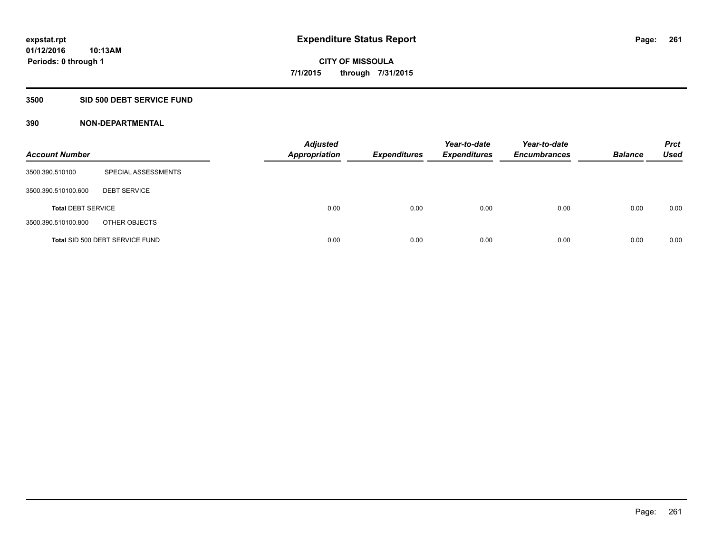### **3500 SID 500 DEBT SERVICE FUND**

| <b>Account Number</b>     |                                 | <b>Adjusted</b><br><b>Appropriation</b> | <b>Expenditures</b> | Year-to-date<br><b>Expenditures</b> | Year-to-date<br><b>Encumbrances</b> | <b>Balance</b> | <b>Prct</b><br><b>Used</b> |
|---------------------------|---------------------------------|-----------------------------------------|---------------------|-------------------------------------|-------------------------------------|----------------|----------------------------|
| 3500.390.510100           | SPECIAL ASSESSMENTS             |                                         |                     |                                     |                                     |                |                            |
| 3500.390.510100.600       | <b>DEBT SERVICE</b>             |                                         |                     |                                     |                                     |                |                            |
| <b>Total DEBT SERVICE</b> |                                 | 0.00                                    | 0.00                | 0.00                                | 0.00                                | 0.00           | 0.00                       |
| 3500.390.510100.800       | OTHER OBJECTS                   |                                         |                     |                                     |                                     |                |                            |
|                           | Total SID 500 DEBT SERVICE FUND | 0.00                                    | 0.00                | 0.00                                | 0.00                                | 0.00           | 0.00                       |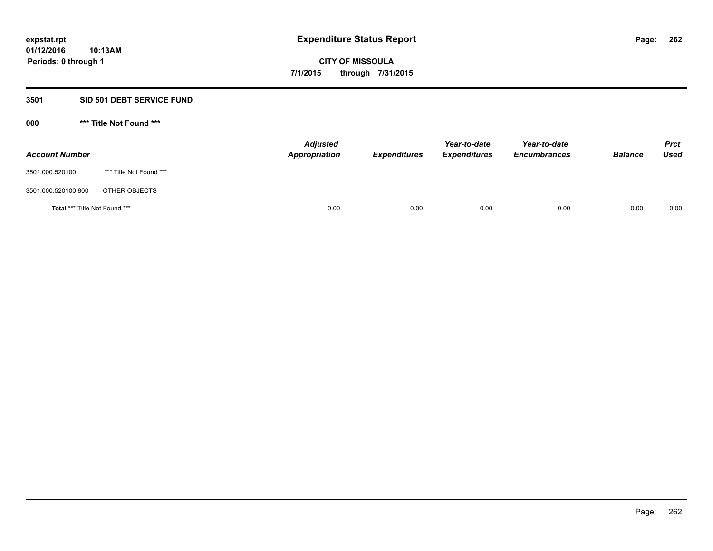### **3501 SID 501 DEBT SERVICE FUND**

| <b>Account Number</b>                |                         | <b>Adjusted</b><br>Appropriation | <b>Expenditures</b> | Year-to-date<br><b>Expenditures</b> | Year-to-date<br><b>Encumbrances</b> | <b>Balance</b> | <b>Prct</b><br>Used |
|--------------------------------------|-------------------------|----------------------------------|---------------------|-------------------------------------|-------------------------------------|----------------|---------------------|
| 3501.000.520100                      | *** Title Not Found *** |                                  |                     |                                     |                                     |                |                     |
| 3501.000.520100.800                  | OTHER OBJECTS           |                                  |                     |                                     |                                     |                |                     |
| <b>Total *** Title Not Found ***</b> |                         |                                  | 0.00<br>0.00        | 0.00                                | 0.00                                | 0.00           | 0.00                |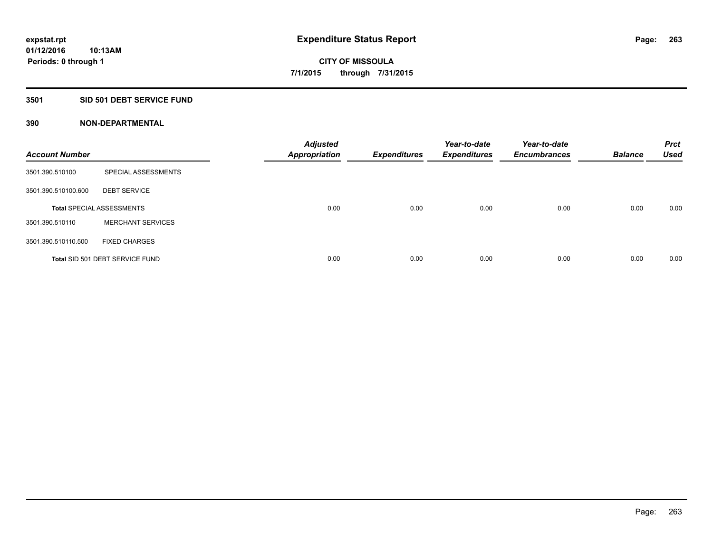### **3501 SID 501 DEBT SERVICE FUND**

| <b>Account Number</b> |                                  | <b>Adjusted</b><br><b>Appropriation</b> | <b>Expenditures</b> | Year-to-date<br><b>Expenditures</b> | Year-to-date<br><b>Encumbrances</b> | <b>Balance</b> | <b>Prct</b><br><b>Used</b> |
|-----------------------|----------------------------------|-----------------------------------------|---------------------|-------------------------------------|-------------------------------------|----------------|----------------------------|
| 3501.390.510100       | SPECIAL ASSESSMENTS              |                                         |                     |                                     |                                     |                |                            |
| 3501.390.510100.600   | <b>DEBT SERVICE</b>              |                                         |                     |                                     |                                     |                |                            |
|                       | <b>Total SPECIAL ASSESSMENTS</b> | 0.00                                    | 0.00                | 0.00                                | 0.00                                | 0.00           | 0.00                       |
| 3501.390.510110       | <b>MERCHANT SERVICES</b>         |                                         |                     |                                     |                                     |                |                            |
| 3501.390.510110.500   | <b>FIXED CHARGES</b>             |                                         |                     |                                     |                                     |                |                            |
|                       | Total SID 501 DEBT SERVICE FUND  | 0.00                                    | 0.00                | 0.00                                | 0.00                                | 0.00           | 0.00                       |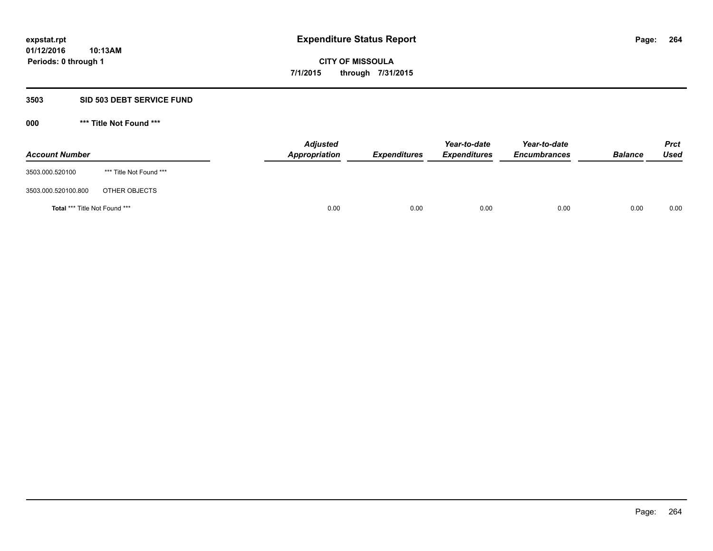#### **3503 SID 503 DEBT SERVICE FUND**

| <b>Account Number</b>         |                         | <b>Adjusted</b><br>Appropriation | <b>Expenditures</b> | Year-to-date<br><b>Expenditures</b> | Year-to-date<br><b>Encumbrances</b> | <b>Balance</b> | <b>Prct</b><br>Used |
|-------------------------------|-------------------------|----------------------------------|---------------------|-------------------------------------|-------------------------------------|----------------|---------------------|
| 3503.000.520100               | *** Title Not Found *** |                                  |                     |                                     |                                     |                |                     |
| 3503.000.520100.800           | OTHER OBJECTS           |                                  |                     |                                     |                                     |                |                     |
| Total *** Title Not Found *** |                         | 0.00                             | 0.00                | 0.00                                | 0.00                                | 0.00           | 0.00                |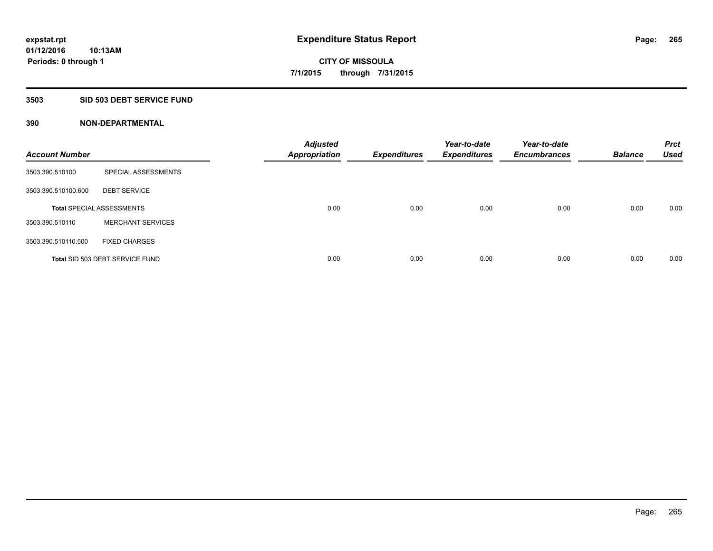# **3503 SID 503 DEBT SERVICE FUND**

| <b>Account Number</b> |                                  | <b>Adjusted</b><br><b>Appropriation</b> | <b>Expenditures</b> | Year-to-date<br><b>Expenditures</b> | Year-to-date<br><b>Encumbrances</b> | <b>Balance</b> | <b>Prct</b><br><b>Used</b> |
|-----------------------|----------------------------------|-----------------------------------------|---------------------|-------------------------------------|-------------------------------------|----------------|----------------------------|
| 3503.390.510100       | SPECIAL ASSESSMENTS              |                                         |                     |                                     |                                     |                |                            |
| 3503.390.510100.600   | <b>DEBT SERVICE</b>              |                                         |                     |                                     |                                     |                |                            |
|                       | <b>Total SPECIAL ASSESSMENTS</b> | 0.00                                    | 0.00                | 0.00                                | 0.00                                | 0.00           | 0.00                       |
| 3503.390.510110       | <b>MERCHANT SERVICES</b>         |                                         |                     |                                     |                                     |                |                            |
| 3503.390.510110.500   | <b>FIXED CHARGES</b>             |                                         |                     |                                     |                                     |                |                            |
|                       | Total SID 503 DEBT SERVICE FUND  | 0.00                                    | 0.00                | 0.00                                | 0.00                                | 0.00           | 0.00                       |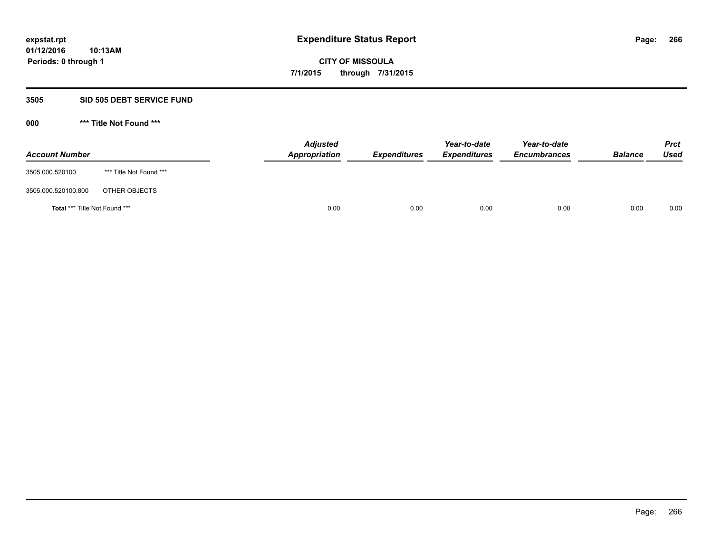### **3505 SID 505 DEBT SERVICE FUND**

| <b>Account Number</b>                |                         | <b>Adjusted</b><br>Appropriation | <b>Expenditures</b> | Year-to-date<br><b>Expenditures</b> | Year-to-date<br><b>Encumbrances</b> | <b>Balance</b> | <b>Prct</b><br><b>Used</b> |
|--------------------------------------|-------------------------|----------------------------------|---------------------|-------------------------------------|-------------------------------------|----------------|----------------------------|
| 3505.000.520100                      | *** Title Not Found *** |                                  |                     |                                     |                                     |                |                            |
| 3505.000.520100.800                  | OTHER OBJECTS           |                                  |                     |                                     |                                     |                |                            |
| <b>Total *** Title Not Found ***</b> |                         | 0.00                             | 0.00                | 0.00                                | 0.00                                | 0.00           | 0.00                       |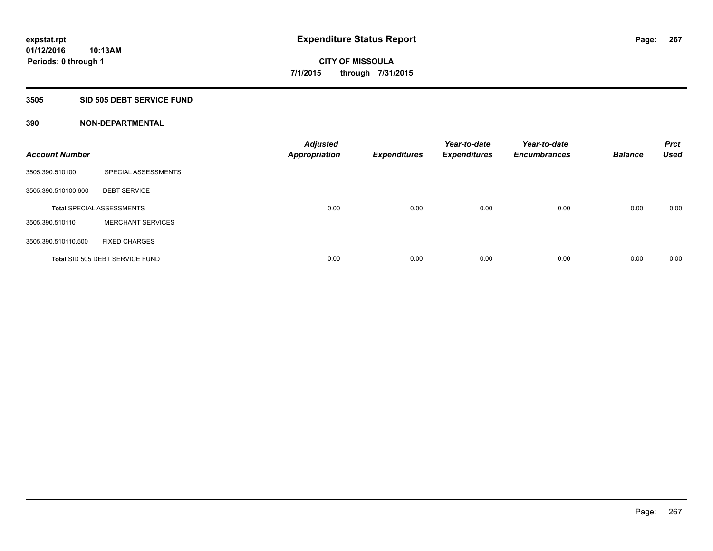### **3505 SID 505 DEBT SERVICE FUND**

| <b>Account Number</b> |                                  | <b>Adjusted</b><br><b>Appropriation</b> | <b>Expenditures</b> | Year-to-date<br><b>Expenditures</b> | Year-to-date<br><b>Encumbrances</b> | <b>Balance</b> | <b>Prct</b><br><b>Used</b> |
|-----------------------|----------------------------------|-----------------------------------------|---------------------|-------------------------------------|-------------------------------------|----------------|----------------------------|
| 3505.390.510100       | SPECIAL ASSESSMENTS              |                                         |                     |                                     |                                     |                |                            |
| 3505.390.510100.600   | <b>DEBT SERVICE</b>              |                                         |                     |                                     |                                     |                |                            |
|                       | <b>Total SPECIAL ASSESSMENTS</b> | 0.00                                    | 0.00                | 0.00                                | 0.00                                | 0.00           | 0.00                       |
| 3505.390.510110       | <b>MERCHANT SERVICES</b>         |                                         |                     |                                     |                                     |                |                            |
| 3505.390.510110.500   | <b>FIXED CHARGES</b>             |                                         |                     |                                     |                                     |                |                            |
|                       | Total SID 505 DEBT SERVICE FUND  | 0.00                                    | 0.00                | 0.00                                | 0.00                                | 0.00           | 0.00                       |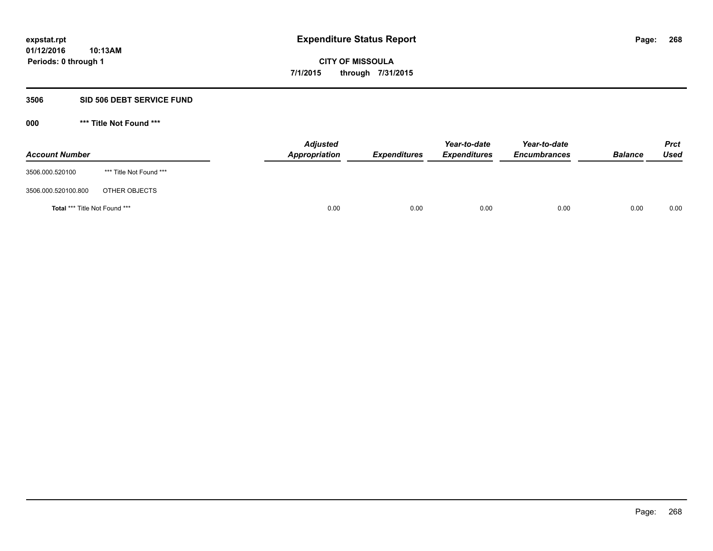### **3506 SID 506 DEBT SERVICE FUND**

| <b>Account Number</b>         |                         | <b>Adjusted</b><br>Appropriation | <b>Expenditures</b> | Year-to-date<br><b>Expenditures</b> | Year-to-date<br><b>Encumbrances</b> | <b>Balance</b> | <b>Prct</b><br>Used |
|-------------------------------|-------------------------|----------------------------------|---------------------|-------------------------------------|-------------------------------------|----------------|---------------------|
| 3506.000.520100               | *** Title Not Found *** |                                  |                     |                                     |                                     |                |                     |
| 3506.000.520100.800           | OTHER OBJECTS           |                                  |                     |                                     |                                     |                |                     |
| Total *** Title Not Found *** |                         | 0.00                             | 0.00                | 0.00                                | 0.00                                | 0.00           | 0.00                |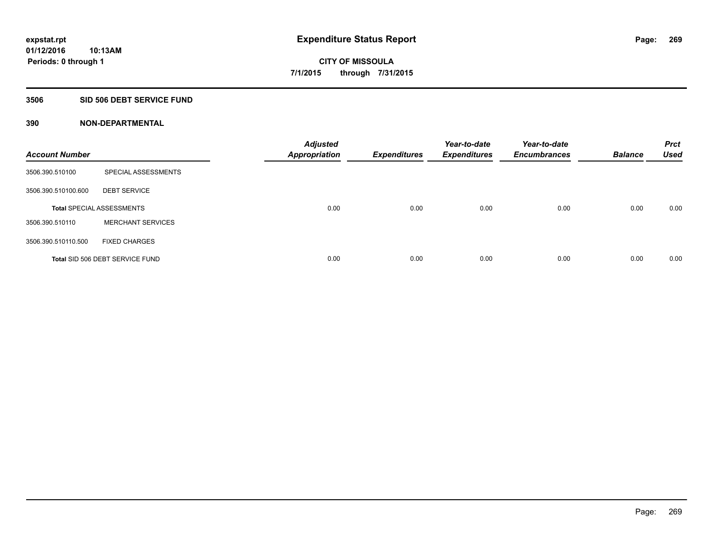### **3506 SID 506 DEBT SERVICE FUND**

| <b>Account Number</b> |                                  | <b>Adjusted</b><br><b>Appropriation</b> | <b>Expenditures</b> | Year-to-date<br><b>Expenditures</b> | Year-to-date<br><b>Encumbrances</b> | <b>Balance</b> | <b>Prct</b><br><b>Used</b> |
|-----------------------|----------------------------------|-----------------------------------------|---------------------|-------------------------------------|-------------------------------------|----------------|----------------------------|
| 3506.390.510100       | SPECIAL ASSESSMENTS              |                                         |                     |                                     |                                     |                |                            |
| 3506.390.510100.600   | <b>DEBT SERVICE</b>              |                                         |                     |                                     |                                     |                |                            |
|                       | <b>Total SPECIAL ASSESSMENTS</b> | 0.00                                    | 0.00                | 0.00                                | 0.00                                | 0.00           | 0.00                       |
| 3506.390.510110       | <b>MERCHANT SERVICES</b>         |                                         |                     |                                     |                                     |                |                            |
| 3506.390.510110.500   | <b>FIXED CHARGES</b>             |                                         |                     |                                     |                                     |                |                            |
|                       | Total SID 506 DEBT SERVICE FUND  | 0.00                                    | 0.00                | 0.00                                | 0.00                                | 0.00           | 0.00                       |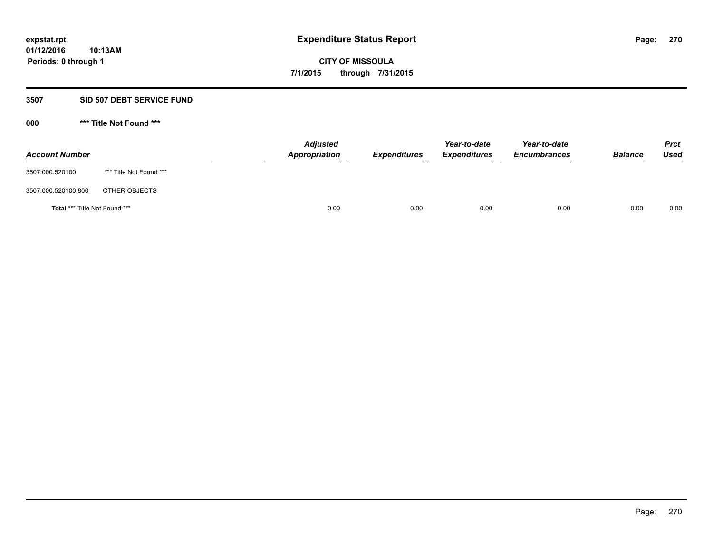#### **3507 SID 507 DEBT SERVICE FUND**

| <b>Account Number</b>                |                         | <b>Adjusted</b><br><b>Appropriation</b> | <b>Expenditures</b> | Year-to-date<br><b>Expenditures</b> | Year-to-date<br><b>Encumbrances</b> | <b>Balance</b> | <b>Prct</b><br><b>Used</b> |
|--------------------------------------|-------------------------|-----------------------------------------|---------------------|-------------------------------------|-------------------------------------|----------------|----------------------------|
| 3507.000.520100                      | *** Title Not Found *** |                                         |                     |                                     |                                     |                |                            |
| 3507.000.520100.800                  | OTHER OBJECTS           |                                         |                     |                                     |                                     |                |                            |
| <b>Total *** Title Not Found ***</b> |                         | 0.00                                    | 0.00                | 0.00                                | 0.00                                | 0.00           | 0.00                       |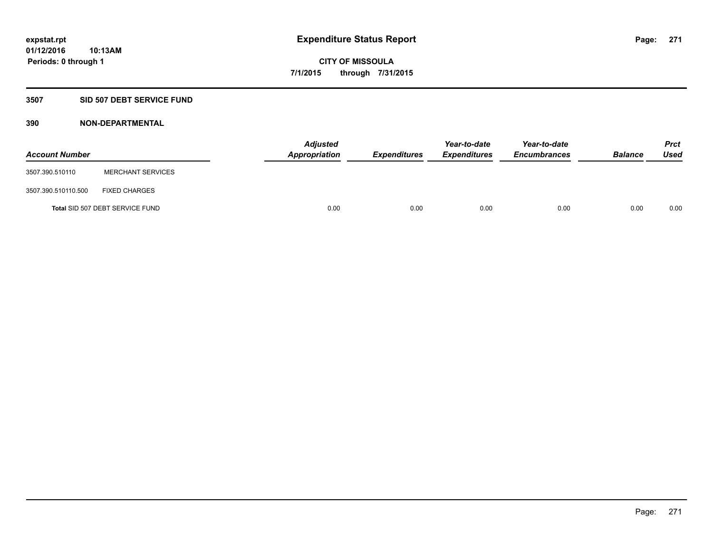### **3507 SID 507 DEBT SERVICE FUND**

| <b>Account Number</b> |                                 | <b>Adjusted</b><br>Appropriation | <b>Expenditures</b> | Year-to-date<br><b>Expenditures</b> | Year-to-date<br><b>Encumbrances</b> | <b>Balance</b> | <b>Prct</b><br><b>Used</b> |
|-----------------------|---------------------------------|----------------------------------|---------------------|-------------------------------------|-------------------------------------|----------------|----------------------------|
| 3507.390.510110       | <b>MERCHANT SERVICES</b>        |                                  |                     |                                     |                                     |                |                            |
| 3507.390.510110.500   | <b>FIXED CHARGES</b>            |                                  |                     |                                     |                                     |                |                            |
|                       | Total SID 507 DEBT SERVICE FUND | 0.00                             | 0.00                | 0.00                                | 0.00                                | 0.00           | 0.00                       |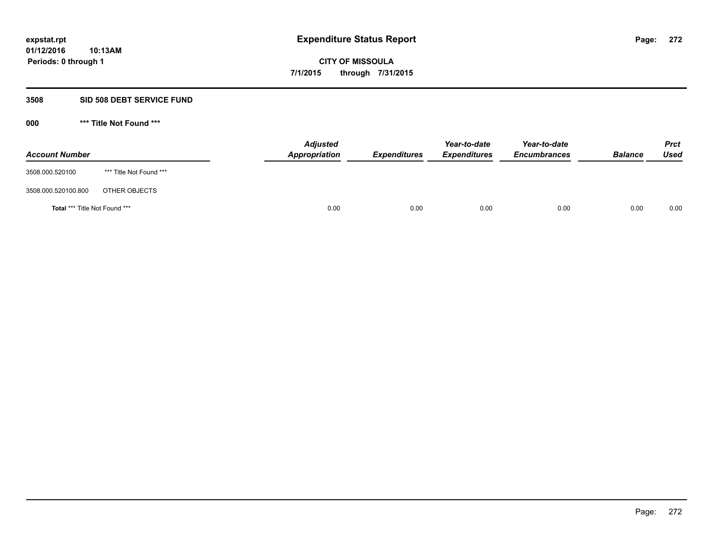### **3508 SID 508 DEBT SERVICE FUND**

| <b>Account Number</b>         |                         | <b>Adjusted</b><br>Appropriation | <b>Expenditures</b> | Year-to-date<br><b>Expenditures</b> | Year-to-date<br><b>Encumbrances</b> | <b>Balance</b> | <b>Prct</b><br>Used |
|-------------------------------|-------------------------|----------------------------------|---------------------|-------------------------------------|-------------------------------------|----------------|---------------------|
| 3508.000.520100               | *** Title Not Found *** |                                  |                     |                                     |                                     |                |                     |
| 3508.000.520100.800           | OTHER OBJECTS           |                                  |                     |                                     |                                     |                |                     |
| Total *** Title Not Found *** |                         | 0.00                             | 0.00                | 0.00                                | 0.00                                | 0.00           | 0.00                |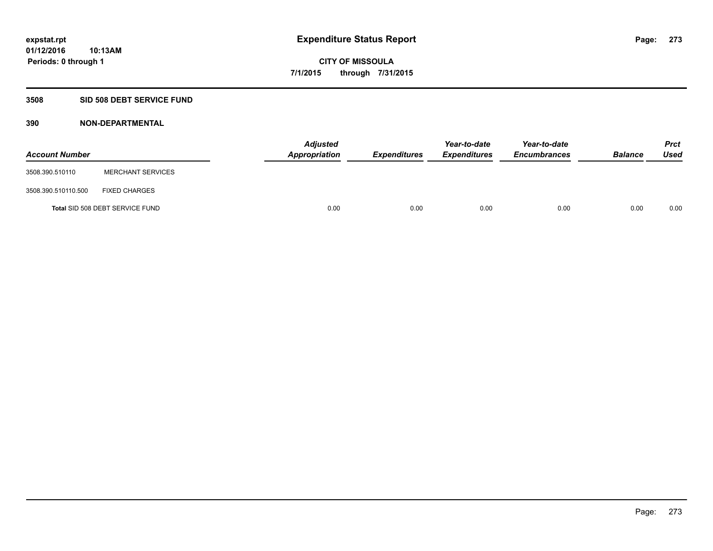# **3508 SID 508 DEBT SERVICE FUND**

| <b>Account Number</b> |                                 | <b>Adjusted</b><br>Appropriation | <b>Expenditures</b> | Year-to-date<br><b>Expenditures</b> | Year-to-date<br><b>Encumbrances</b> | <b>Balance</b> | <b>Prct</b><br><b>Used</b> |
|-----------------------|---------------------------------|----------------------------------|---------------------|-------------------------------------|-------------------------------------|----------------|----------------------------|
| 3508.390.510110       | <b>MERCHANT SERVICES</b>        |                                  |                     |                                     |                                     |                |                            |
| 3508.390.510110.500   | <b>FIXED CHARGES</b>            |                                  |                     |                                     |                                     |                |                            |
|                       | Total SID 508 DEBT SERVICE FUND | 0.00                             | 0.00                | 0.00                                | 0.00                                | 0.00           | 0.00                       |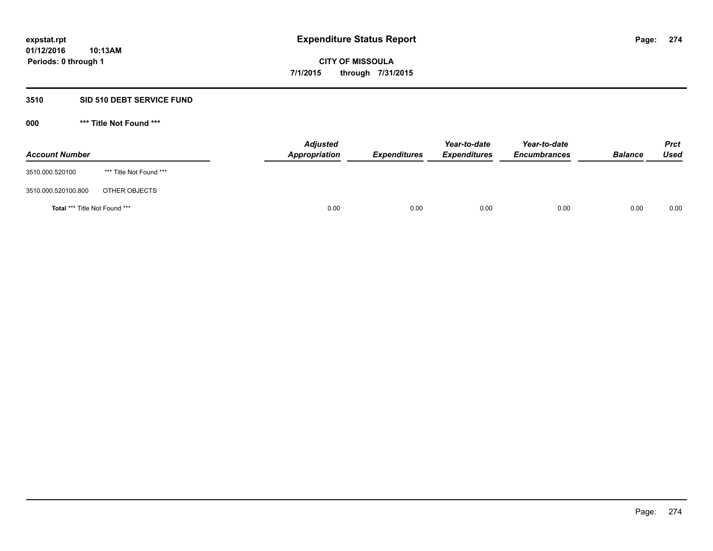# **3510 SID 510 DEBT SERVICE FUND**

| <b>Account Number</b>         |                         | <b>Adjusted</b><br>Appropriation | <b>Expenditures</b> | Year-to-date<br><b>Expenditures</b> | Year-to-date<br><b>Encumbrances</b> | <b>Balance</b> | <b>Prct</b><br><b>Used</b> |
|-------------------------------|-------------------------|----------------------------------|---------------------|-------------------------------------|-------------------------------------|----------------|----------------------------|
| 3510.000.520100               | *** Title Not Found *** |                                  |                     |                                     |                                     |                |                            |
| 3510.000.520100.800           | OTHER OBJECTS           |                                  |                     |                                     |                                     |                |                            |
| Total *** Title Not Found *** |                         | 0.00                             | 0.00                | 0.00                                | 0.00                                | 0.00           | 0.00                       |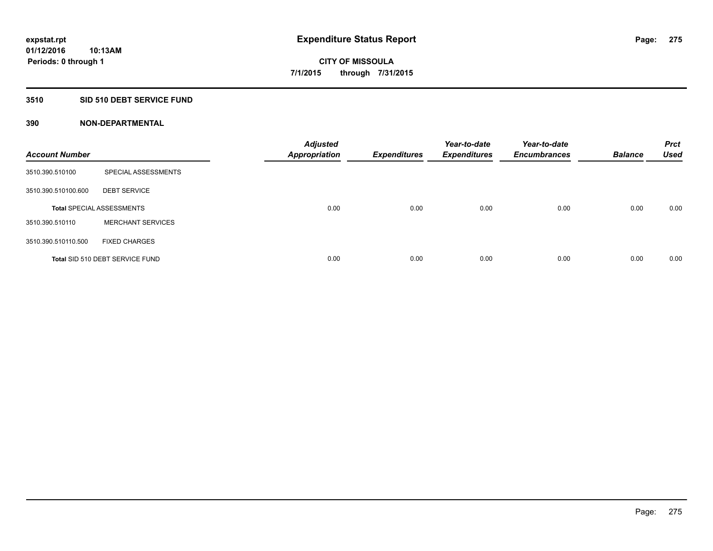#### **3510 SID 510 DEBT SERVICE FUND**

| <b>Account Number</b> |                                  | <b>Adjusted</b><br><b>Appropriation</b> | <b>Expenditures</b> | Year-to-date<br><b>Expenditures</b> | Year-to-date<br><b>Encumbrances</b> | <b>Balance</b> | <b>Prct</b><br><b>Used</b> |
|-----------------------|----------------------------------|-----------------------------------------|---------------------|-------------------------------------|-------------------------------------|----------------|----------------------------|
| 3510.390.510100       | SPECIAL ASSESSMENTS              |                                         |                     |                                     |                                     |                |                            |
| 3510.390.510100.600   | <b>DEBT SERVICE</b>              |                                         |                     |                                     |                                     |                |                            |
|                       | <b>Total SPECIAL ASSESSMENTS</b> | 0.00                                    | 0.00                | 0.00                                | 0.00                                | 0.00           | 0.00                       |
| 3510.390.510110       | <b>MERCHANT SERVICES</b>         |                                         |                     |                                     |                                     |                |                            |
| 3510.390.510110.500   | <b>FIXED CHARGES</b>             |                                         |                     |                                     |                                     |                |                            |
|                       | Total SID 510 DEBT SERVICE FUND  | 0.00                                    | 0.00                | 0.00                                | 0.00                                | 0.00           | 0.00                       |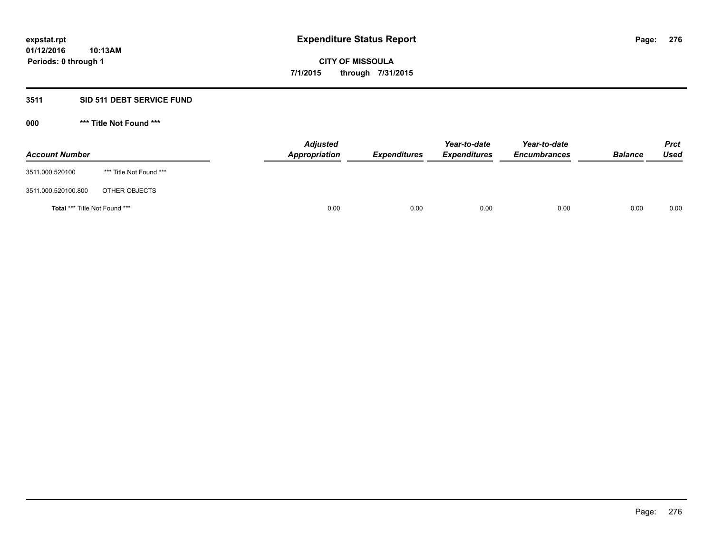# **3511 SID 511 DEBT SERVICE FUND**

| <b>Account Number</b>                |                         | <b>Adjusted</b><br>Appropriation | <b>Expenditures</b> | Year-to-date<br><b>Expenditures</b> | Year-to-date<br><b>Encumbrances</b> | <b>Balance</b> | <b>Prct</b><br><b>Used</b> |
|--------------------------------------|-------------------------|----------------------------------|---------------------|-------------------------------------|-------------------------------------|----------------|----------------------------|
| 3511.000.520100                      | *** Title Not Found *** |                                  |                     |                                     |                                     |                |                            |
| 3511.000.520100.800                  | OTHER OBJECTS           |                                  |                     |                                     |                                     |                |                            |
| <b>Total *** Title Not Found ***</b> |                         | 0.00                             | 0.00                | 0.00                                | 0.00                                | 0.00           | 0.00                       |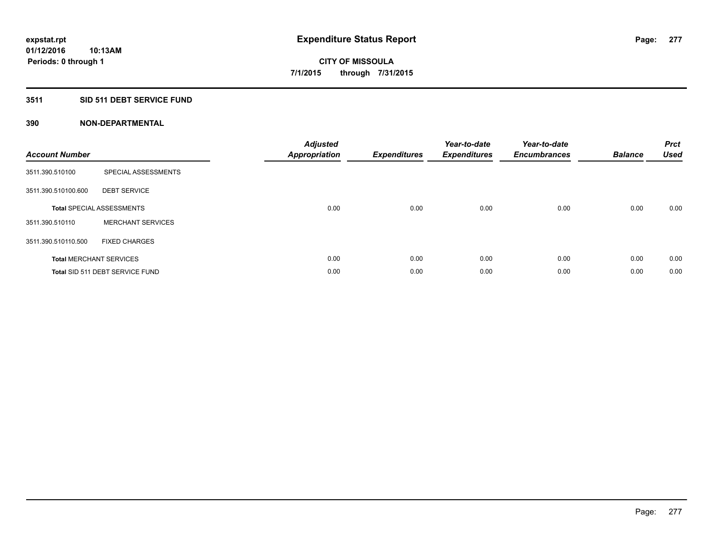# **3511 SID 511 DEBT SERVICE FUND**

| <b>Account Number</b> |                                  | <b>Adjusted</b><br>Appropriation | <b>Expenditures</b> | Year-to-date<br><b>Expenditures</b> | Year-to-date<br><b>Encumbrances</b> | <b>Balance</b> | <b>Prct</b><br><b>Used</b> |
|-----------------------|----------------------------------|----------------------------------|---------------------|-------------------------------------|-------------------------------------|----------------|----------------------------|
| 3511.390.510100       | SPECIAL ASSESSMENTS              |                                  |                     |                                     |                                     |                |                            |
| 3511.390.510100.600   | <b>DEBT SERVICE</b>              |                                  |                     |                                     |                                     |                |                            |
|                       | <b>Total SPECIAL ASSESSMENTS</b> | 0.00                             | 0.00                | 0.00                                | 0.00                                | 0.00           | 0.00                       |
| 3511.390.510110       | <b>MERCHANT SERVICES</b>         |                                  |                     |                                     |                                     |                |                            |
| 3511.390.510110.500   | <b>FIXED CHARGES</b>             |                                  |                     |                                     |                                     |                |                            |
|                       | <b>Total MERCHANT SERVICES</b>   | 0.00                             | 0.00                | 0.00                                | 0.00                                | 0.00           | 0.00                       |
|                       | Total SID 511 DEBT SERVICE FUND  | 0.00                             | 0.00                | 0.00                                | 0.00                                | 0.00           | 0.00                       |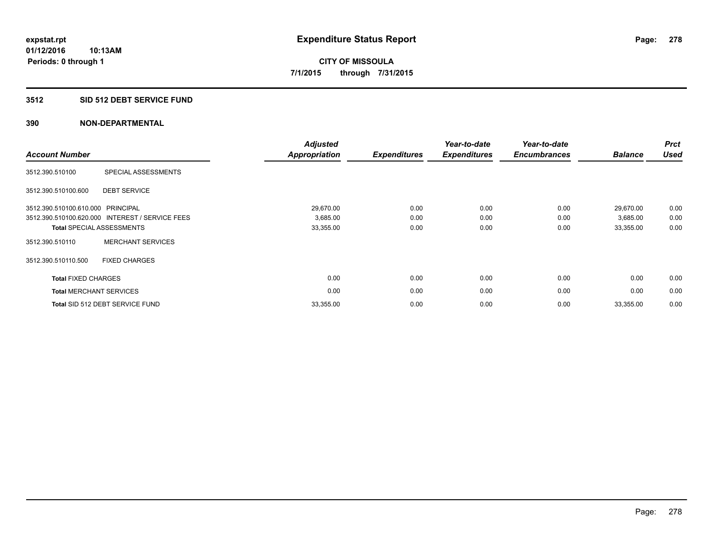#### **3512 SID 512 DEBT SERVICE FUND**

| <b>Account Number</b>             |                                                 | <b>Adjusted</b><br><b>Appropriation</b> | <b>Expenditures</b> | Year-to-date<br><b>Expenditures</b> | Year-to-date<br><b>Encumbrances</b> | <b>Balance</b> | <b>Prct</b><br><b>Used</b> |
|-----------------------------------|-------------------------------------------------|-----------------------------------------|---------------------|-------------------------------------|-------------------------------------|----------------|----------------------------|
| 3512.390.510100                   | SPECIAL ASSESSMENTS                             |                                         |                     |                                     |                                     |                |                            |
| 3512.390.510100.600               | <b>DEBT SERVICE</b>                             |                                         |                     |                                     |                                     |                |                            |
| 3512.390.510100.610.000 PRINCIPAL |                                                 | 29,670.00                               | 0.00                | 0.00                                | 0.00                                | 29,670.00      | 0.00                       |
|                                   | 3512.390.510100.620.000 INTEREST / SERVICE FEES | 3,685.00                                | 0.00                | 0.00                                | 0.00                                | 3,685.00       | 0.00                       |
|                                   | <b>Total SPECIAL ASSESSMENTS</b>                | 33,355.00                               | 0.00                | 0.00                                | 0.00                                | 33,355.00      | 0.00                       |
| 3512.390.510110                   | <b>MERCHANT SERVICES</b>                        |                                         |                     |                                     |                                     |                |                            |
| 3512.390.510110.500               | <b>FIXED CHARGES</b>                            |                                         |                     |                                     |                                     |                |                            |
| <b>Total FIXED CHARGES</b>        |                                                 | 0.00                                    | 0.00                | 0.00                                | 0.00                                | 0.00           | 0.00                       |
|                                   | <b>Total MERCHANT SERVICES</b>                  | 0.00                                    | 0.00                | 0.00                                | 0.00                                | 0.00           | 0.00                       |
|                                   | Total SID 512 DEBT SERVICE FUND                 | 33,355.00                               | 0.00                | 0.00                                | 0.00                                | 33,355.00      | 0.00                       |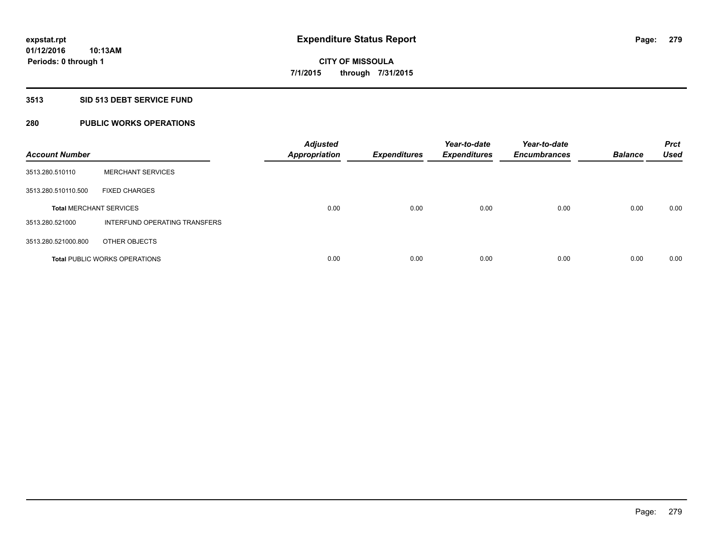### **3513 SID 513 DEBT SERVICE FUND**

# **280 PUBLIC WORKS OPERATIONS**

| <b>Account Number</b>          |                                      | <b>Adjusted</b><br><b>Appropriation</b> | <b>Expenditures</b> | Year-to-date<br><b>Expenditures</b> | Year-to-date<br><b>Encumbrances</b> | <b>Balance</b> | <b>Prct</b><br><b>Used</b> |
|--------------------------------|--------------------------------------|-----------------------------------------|---------------------|-------------------------------------|-------------------------------------|----------------|----------------------------|
| 3513.280.510110                | <b>MERCHANT SERVICES</b>             |                                         |                     |                                     |                                     |                |                            |
| 3513.280.510110.500            | <b>FIXED CHARGES</b>                 |                                         |                     |                                     |                                     |                |                            |
| <b>Total MERCHANT SERVICES</b> |                                      | 0.00                                    | 0.00                | 0.00                                | 0.00                                | 0.00           | 0.00                       |
| 3513.280.521000                | INTERFUND OPERATING TRANSFERS        |                                         |                     |                                     |                                     |                |                            |
| 3513.280.521000.800            | OTHER OBJECTS                        |                                         |                     |                                     |                                     |                |                            |
|                                | <b>Total PUBLIC WORKS OPERATIONS</b> | 0.00                                    | 0.00                | 0.00                                | 0.00                                | 0.00           | 0.00                       |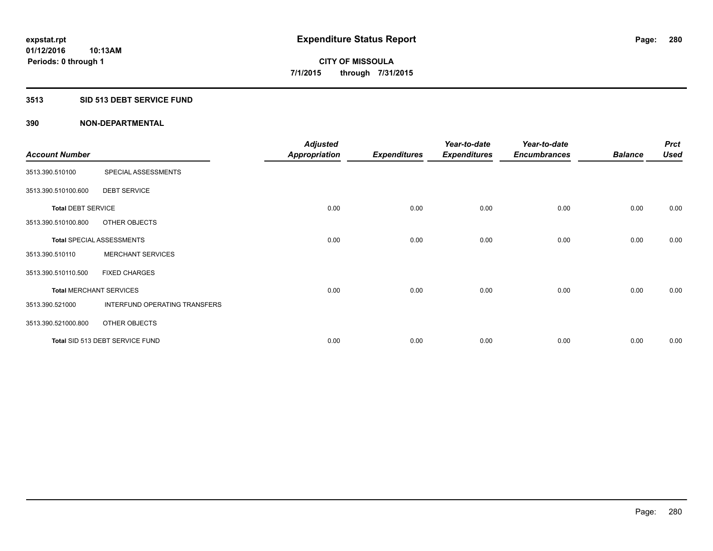### **3513 SID 513 DEBT SERVICE FUND**

| <b>Account Number</b>     |                                  | <b>Adjusted</b><br><b>Appropriation</b> | <b>Expenditures</b> | Year-to-date<br><b>Expenditures</b> | Year-to-date<br><b>Encumbrances</b> | <b>Balance</b> | <b>Prct</b><br><b>Used</b> |
|---------------------------|----------------------------------|-----------------------------------------|---------------------|-------------------------------------|-------------------------------------|----------------|----------------------------|
| 3513.390.510100           | SPECIAL ASSESSMENTS              |                                         |                     |                                     |                                     |                |                            |
| 3513.390.510100.600       | <b>DEBT SERVICE</b>              |                                         |                     |                                     |                                     |                |                            |
| <b>Total DEBT SERVICE</b> |                                  | 0.00                                    | 0.00                | 0.00                                | 0.00                                | 0.00           | 0.00                       |
| 3513.390.510100.800       | OTHER OBJECTS                    |                                         |                     |                                     |                                     |                |                            |
|                           | <b>Total SPECIAL ASSESSMENTS</b> | 0.00                                    | 0.00                | 0.00                                | 0.00                                | 0.00           | 0.00                       |
| 3513.390.510110           | <b>MERCHANT SERVICES</b>         |                                         |                     |                                     |                                     |                |                            |
| 3513.390.510110.500       | <b>FIXED CHARGES</b>             |                                         |                     |                                     |                                     |                |                            |
|                           | <b>Total MERCHANT SERVICES</b>   | 0.00                                    | 0.00                | 0.00                                | 0.00                                | 0.00           | 0.00                       |
| 3513.390.521000           | INTERFUND OPERATING TRANSFERS    |                                         |                     |                                     |                                     |                |                            |
| 3513.390.521000.800       | OTHER OBJECTS                    |                                         |                     |                                     |                                     |                |                            |
|                           | Total SID 513 DEBT SERVICE FUND  | 0.00                                    | 0.00                | 0.00                                | 0.00                                | 0.00           | 0.00                       |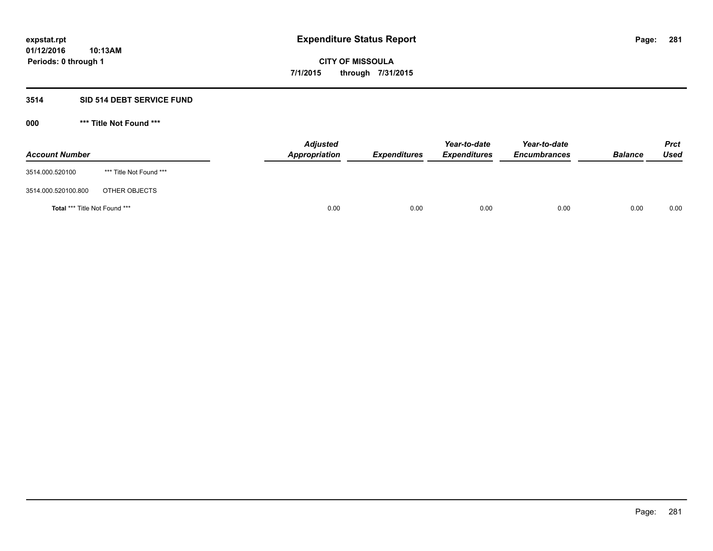# **3514 SID 514 DEBT SERVICE FUND**

| <b>Account Number</b>         |                         | <b>Adjusted</b><br>Appropriation | <b>Expenditures</b> | Year-to-date<br><b>Expenditures</b> | Year-to-date<br><b>Encumbrances</b> | <b>Balance</b> | <b>Prct</b><br><b>Used</b> |
|-------------------------------|-------------------------|----------------------------------|---------------------|-------------------------------------|-------------------------------------|----------------|----------------------------|
| 3514.000.520100               | *** Title Not Found *** |                                  |                     |                                     |                                     |                |                            |
| 3514.000.520100.800           | OTHER OBJECTS           |                                  |                     |                                     |                                     |                |                            |
| Total *** Title Not Found *** |                         | 0.00                             | 0.00                | 0.00                                | 0.00                                | 0.00           | 0.00                       |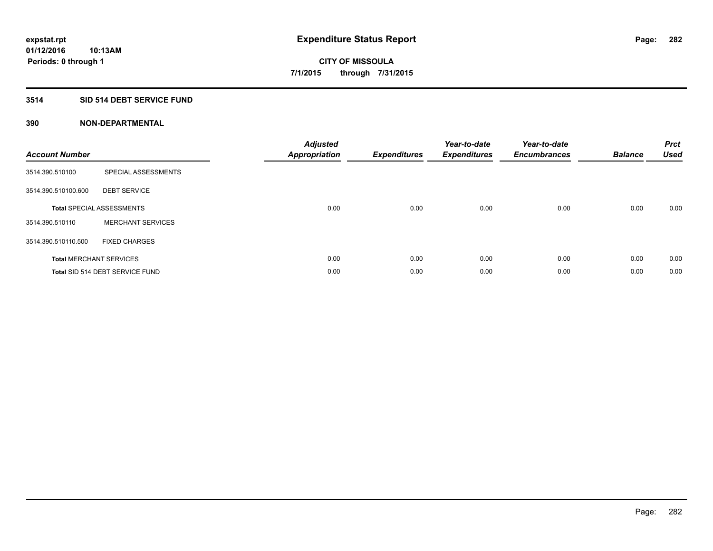# **3514 SID 514 DEBT SERVICE FUND**

| <b>Account Number</b> |                                  | <b>Adjusted</b><br>Appropriation | <b>Expenditures</b> | Year-to-date<br><b>Expenditures</b> | Year-to-date<br><b>Encumbrances</b> | <b>Balance</b> | <b>Prct</b><br><b>Used</b> |
|-----------------------|----------------------------------|----------------------------------|---------------------|-------------------------------------|-------------------------------------|----------------|----------------------------|
| 3514.390.510100       | SPECIAL ASSESSMENTS              |                                  |                     |                                     |                                     |                |                            |
| 3514.390.510100.600   | <b>DEBT SERVICE</b>              |                                  |                     |                                     |                                     |                |                            |
|                       | <b>Total SPECIAL ASSESSMENTS</b> | 0.00                             | 0.00                | 0.00                                | 0.00                                | 0.00           | 0.00                       |
| 3514.390.510110       | <b>MERCHANT SERVICES</b>         |                                  |                     |                                     |                                     |                |                            |
| 3514.390.510110.500   | <b>FIXED CHARGES</b>             |                                  |                     |                                     |                                     |                |                            |
|                       | <b>Total MERCHANT SERVICES</b>   | 0.00                             | 0.00                | 0.00                                | 0.00                                | 0.00           | 0.00                       |
|                       | Total SID 514 DEBT SERVICE FUND  | 0.00                             | 0.00                | 0.00                                | 0.00                                | 0.00           | 0.00                       |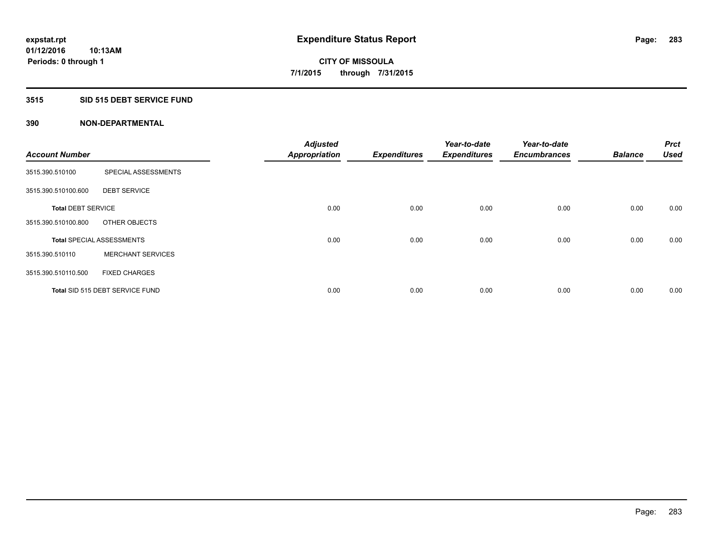# **3515 SID 515 DEBT SERVICE FUND**

|                           |                                  | <b>Adjusted</b>      |                     | Year-to-date        | Year-to-date        |                | Prct        |
|---------------------------|----------------------------------|----------------------|---------------------|---------------------|---------------------|----------------|-------------|
| <b>Account Number</b>     |                                  | <b>Appropriation</b> | <b>Expenditures</b> | <b>Expenditures</b> | <b>Encumbrances</b> | <b>Balance</b> | <b>Used</b> |
| 3515.390.510100           | SPECIAL ASSESSMENTS              |                      |                     |                     |                     |                |             |
| 3515.390.510100.600       | <b>DEBT SERVICE</b>              |                      |                     |                     |                     |                |             |
| <b>Total DEBT SERVICE</b> |                                  | 0.00                 | 0.00                | 0.00                | 0.00                | 0.00           | 0.00        |
| 3515.390.510100.800       | OTHER OBJECTS                    |                      |                     |                     |                     |                |             |
|                           | <b>Total SPECIAL ASSESSMENTS</b> | 0.00                 | 0.00                | 0.00                | 0.00                | 0.00           | 0.00        |
| 3515.390.510110           | <b>MERCHANT SERVICES</b>         |                      |                     |                     |                     |                |             |
| 3515.390.510110.500       | <b>FIXED CHARGES</b>             |                      |                     |                     |                     |                |             |
|                           | Total SID 515 DEBT SERVICE FUND  | 0.00                 | 0.00                | 0.00                | 0.00                | 0.00           | 0.00        |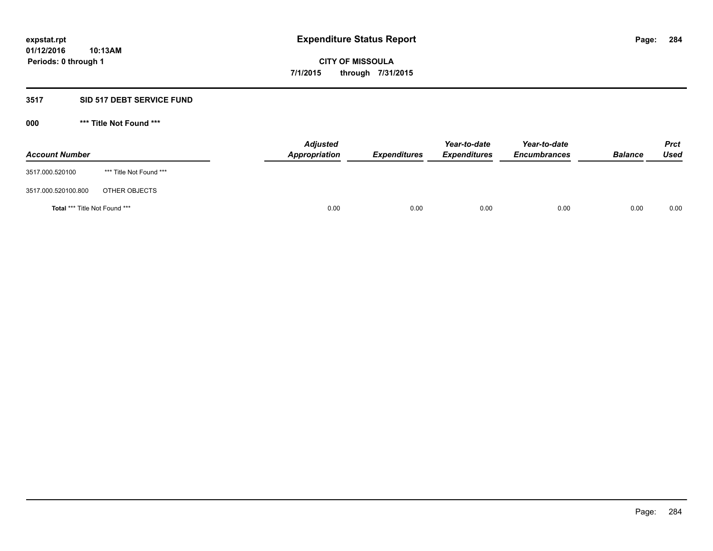### **3517 SID 517 DEBT SERVICE FUND**

| <b>Account Number</b>         |                         | <b>Adjusted</b><br>Appropriation | <b>Expenditures</b> | Year-to-date<br><b>Expenditures</b> | Year-to-date<br><b>Encumbrances</b> | <b>Balance</b> | <b>Prct</b><br><b>Used</b> |
|-------------------------------|-------------------------|----------------------------------|---------------------|-------------------------------------|-------------------------------------|----------------|----------------------------|
| 3517.000.520100               | *** Title Not Found *** |                                  |                     |                                     |                                     |                |                            |
| 3517.000.520100.800           | OTHER OBJECTS           |                                  |                     |                                     |                                     |                |                            |
| Total *** Title Not Found *** |                         | 0.00                             | 0.00                | 0.00                                | 0.00                                | 0.00           | 0.00                       |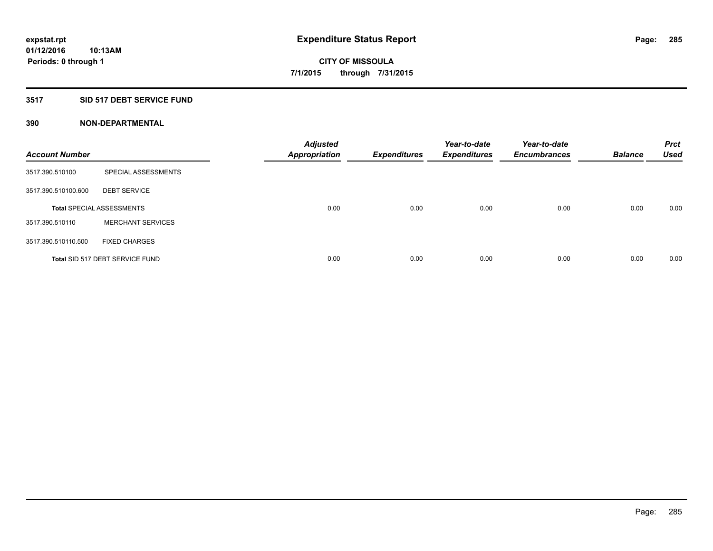# **3517 SID 517 DEBT SERVICE FUND**

| <b>Account Number</b> |                                  | <b>Adjusted</b><br><b>Appropriation</b> | <b>Expenditures</b> | Year-to-date<br><b>Expenditures</b> | Year-to-date<br><b>Encumbrances</b> | <b>Balance</b> | <b>Prct</b><br><b>Used</b> |
|-----------------------|----------------------------------|-----------------------------------------|---------------------|-------------------------------------|-------------------------------------|----------------|----------------------------|
| 3517.390.510100       | SPECIAL ASSESSMENTS              |                                         |                     |                                     |                                     |                |                            |
| 3517.390.510100.600   | <b>DEBT SERVICE</b>              |                                         |                     |                                     |                                     |                |                            |
|                       | <b>Total SPECIAL ASSESSMENTS</b> | 0.00                                    | 0.00                | 0.00                                | 0.00                                | 0.00           | 0.00                       |
| 3517.390.510110       | <b>MERCHANT SERVICES</b>         |                                         |                     |                                     |                                     |                |                            |
| 3517.390.510110.500   | <b>FIXED CHARGES</b>             |                                         |                     |                                     |                                     |                |                            |
|                       | Total SID 517 DEBT SERVICE FUND  | 0.00                                    | 0.00                | 0.00                                | 0.00                                | 0.00           | 0.00                       |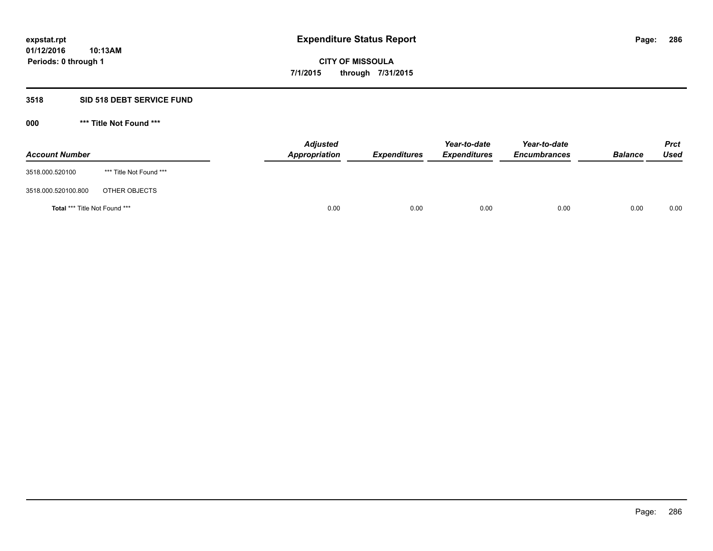# **3518 SID 518 DEBT SERVICE FUND**

| <b>Account Number</b>                |                         | <b>Adjusted</b><br><b>Appropriation</b> | <b>Expenditures</b> | Year-to-date<br><b>Expenditures</b> | Year-to-date<br><b>Encumbrances</b> | <b>Balance</b> | <b>Prct</b><br><b>Used</b> |
|--------------------------------------|-------------------------|-----------------------------------------|---------------------|-------------------------------------|-------------------------------------|----------------|----------------------------|
| 3518.000.520100                      | *** Title Not Found *** |                                         |                     |                                     |                                     |                |                            |
| 3518.000.520100.800                  | OTHER OBJECTS           |                                         |                     |                                     |                                     |                |                            |
| <b>Total *** Title Not Found ***</b> |                         | 0.00                                    | 0.00                | 0.00                                | 0.00                                | 0.00           | 0.00                       |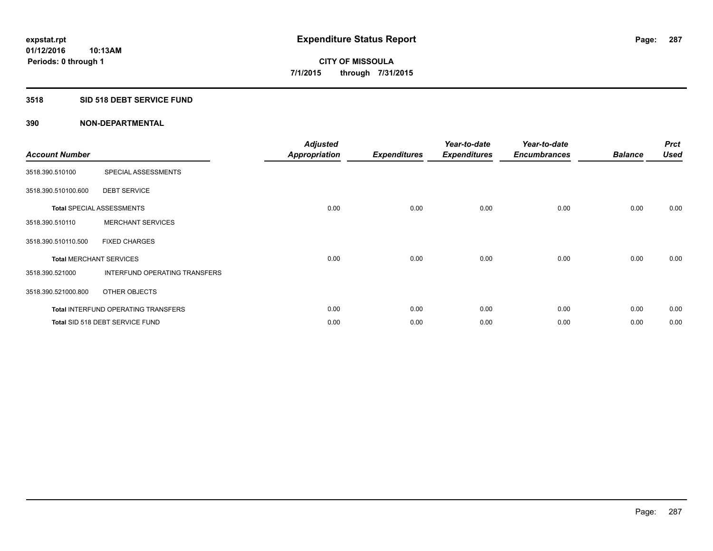# **3518 SID 518 DEBT SERVICE FUND**

| <b>Account Number</b> |                                            | <b>Adjusted</b><br><b>Appropriation</b> | <b>Expenditures</b> | Year-to-date<br><b>Expenditures</b> | Year-to-date<br><b>Encumbrances</b> | <b>Balance</b> | <b>Prct</b><br><b>Used</b> |
|-----------------------|--------------------------------------------|-----------------------------------------|---------------------|-------------------------------------|-------------------------------------|----------------|----------------------------|
| 3518.390.510100       | SPECIAL ASSESSMENTS                        |                                         |                     |                                     |                                     |                |                            |
| 3518.390.510100.600   | <b>DEBT SERVICE</b>                        |                                         |                     |                                     |                                     |                |                            |
|                       | <b>Total SPECIAL ASSESSMENTS</b>           | 0.00                                    | 0.00                | 0.00                                | 0.00                                | 0.00           | 0.00                       |
| 3518.390.510110       | <b>MERCHANT SERVICES</b>                   |                                         |                     |                                     |                                     |                |                            |
| 3518.390.510110.500   | <b>FIXED CHARGES</b>                       |                                         |                     |                                     |                                     |                |                            |
|                       | <b>Total MERCHANT SERVICES</b>             | 0.00                                    | 0.00                | 0.00                                | 0.00                                | 0.00           | 0.00                       |
| 3518.390.521000       | INTERFUND OPERATING TRANSFERS              |                                         |                     |                                     |                                     |                |                            |
| 3518.390.521000.800   | OTHER OBJECTS                              |                                         |                     |                                     |                                     |                |                            |
|                       | <b>Total INTERFUND OPERATING TRANSFERS</b> | 0.00                                    | 0.00                | 0.00                                | 0.00                                | 0.00           | 0.00                       |
|                       | Total SID 518 DEBT SERVICE FUND            | 0.00                                    | 0.00                | 0.00                                | 0.00                                | 0.00           | 0.00                       |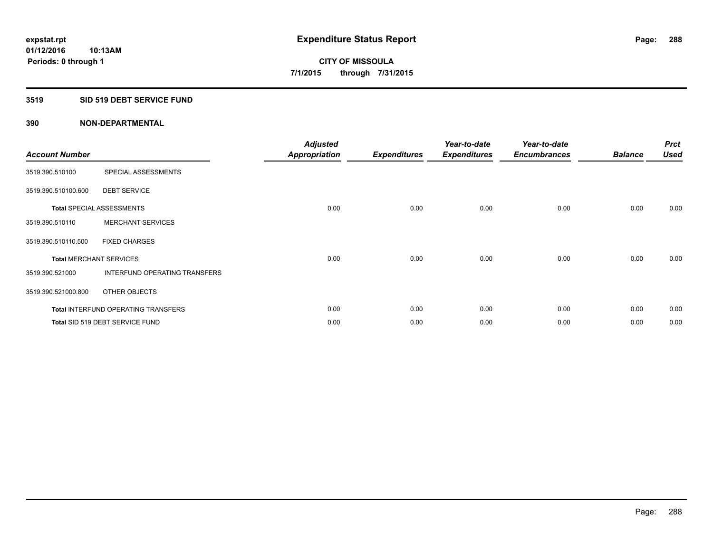### **3519 SID 519 DEBT SERVICE FUND**

| <b>Account Number</b> |                                            | <b>Adjusted</b><br><b>Appropriation</b> | <b>Expenditures</b> | Year-to-date<br><b>Expenditures</b> | Year-to-date<br><b>Encumbrances</b> | <b>Balance</b> | <b>Prct</b><br><b>Used</b> |
|-----------------------|--------------------------------------------|-----------------------------------------|---------------------|-------------------------------------|-------------------------------------|----------------|----------------------------|
| 3519.390.510100       | SPECIAL ASSESSMENTS                        |                                         |                     |                                     |                                     |                |                            |
| 3519.390.510100.600   | <b>DEBT SERVICE</b>                        |                                         |                     |                                     |                                     |                |                            |
|                       | <b>Total SPECIAL ASSESSMENTS</b>           | 0.00                                    | 0.00                | 0.00                                | 0.00                                | 0.00           | 0.00                       |
| 3519.390.510110       | <b>MERCHANT SERVICES</b>                   |                                         |                     |                                     |                                     |                |                            |
| 3519.390.510110.500   | <b>FIXED CHARGES</b>                       |                                         |                     |                                     |                                     |                |                            |
|                       | <b>Total MERCHANT SERVICES</b>             | 0.00                                    | 0.00                | 0.00                                | 0.00                                | 0.00           | 0.00                       |
| 3519.390.521000       | INTERFUND OPERATING TRANSFERS              |                                         |                     |                                     |                                     |                |                            |
| 3519.390.521000.800   | OTHER OBJECTS                              |                                         |                     |                                     |                                     |                |                            |
|                       | <b>Total INTERFUND OPERATING TRANSFERS</b> | 0.00                                    | 0.00                | 0.00                                | 0.00                                | 0.00           | 0.00                       |
|                       | Total SID 519 DEBT SERVICE FUND            | 0.00                                    | 0.00                | 0.00                                | 0.00                                | 0.00           | 0.00                       |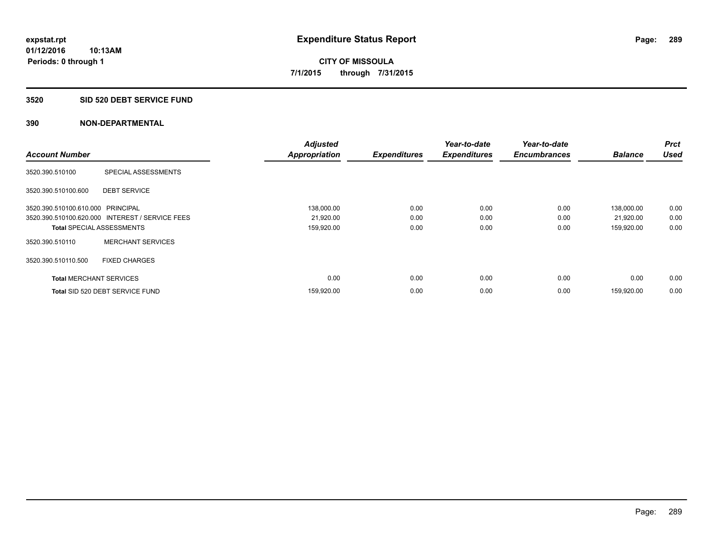## **3520 SID 520 DEBT SERVICE FUND**

|                                   |                                                 | <b>Adjusted</b>      |                     | Year-to-date        | Year-to-date        |                | <b>Prct</b> |
|-----------------------------------|-------------------------------------------------|----------------------|---------------------|---------------------|---------------------|----------------|-------------|
| <b>Account Number</b>             |                                                 | <b>Appropriation</b> | <b>Expenditures</b> | <b>Expenditures</b> | <b>Encumbrances</b> | <b>Balance</b> | <b>Used</b> |
| 3520.390.510100                   | SPECIAL ASSESSMENTS                             |                      |                     |                     |                     |                |             |
| 3520.390.510100.600               | <b>DEBT SERVICE</b>                             |                      |                     |                     |                     |                |             |
| 3520.390.510100.610.000 PRINCIPAL |                                                 | 138,000.00           | 0.00                | 0.00                | 0.00                | 138,000.00     | 0.00        |
|                                   | 3520.390.510100.620.000 INTEREST / SERVICE FEES | 21,920.00            | 0.00                | 0.00                | 0.00                | 21,920.00      | 0.00        |
| <b>Total SPECIAL ASSESSMENTS</b>  |                                                 | 159,920.00           | 0.00                | 0.00                | 0.00                | 159,920.00     | 0.00        |
| 3520.390.510110                   | <b>MERCHANT SERVICES</b>                        |                      |                     |                     |                     |                |             |
| 3520.390.510110.500               | <b>FIXED CHARGES</b>                            |                      |                     |                     |                     |                |             |
| <b>Total MERCHANT SERVICES</b>    |                                                 | 0.00                 | 0.00                | 0.00                | 0.00                | 0.00           | 0.00        |
|                                   | Total SID 520 DEBT SERVICE FUND                 | 159,920.00           | 0.00                | 0.00                | 0.00                | 159.920.00     | 0.00        |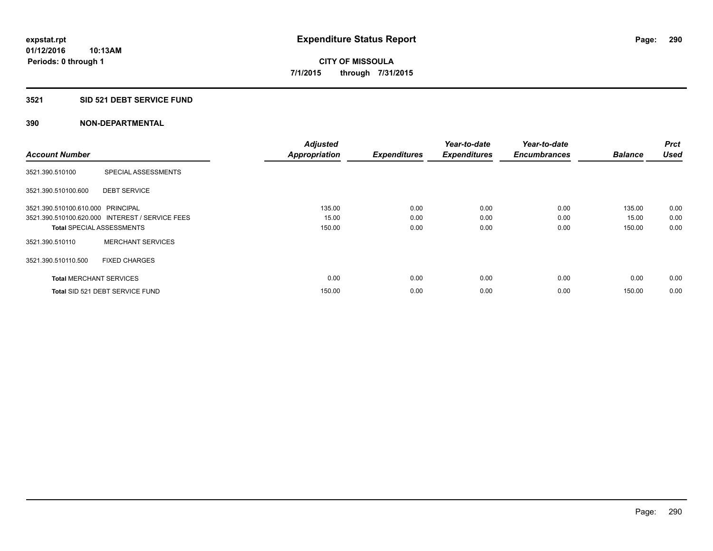## **3521 SID 521 DEBT SERVICE FUND**

| <b>Account Number</b>             |                                                 | <b>Adjusted</b><br><b>Appropriation</b> | <b>Expenditures</b> | Year-to-date<br><b>Expenditures</b> | Year-to-date<br><b>Encumbrances</b> | <b>Balance</b> | <b>Prct</b><br><b>Used</b> |
|-----------------------------------|-------------------------------------------------|-----------------------------------------|---------------------|-------------------------------------|-------------------------------------|----------------|----------------------------|
| 3521.390.510100                   | SPECIAL ASSESSMENTS                             |                                         |                     |                                     |                                     |                |                            |
|                                   |                                                 |                                         |                     |                                     |                                     |                |                            |
| 3521.390.510100.600               | <b>DEBT SERVICE</b>                             |                                         |                     |                                     |                                     |                |                            |
| 3521.390.510100.610.000 PRINCIPAL |                                                 | 135.00                                  | 0.00                | 0.00                                | 0.00                                | 135.00         | 0.00                       |
|                                   | 3521.390.510100.620.000 INTEREST / SERVICE FEES | 15.00                                   | 0.00                | 0.00                                | 0.00                                | 15.00          | 0.00                       |
| <b>Total SPECIAL ASSESSMENTS</b>  |                                                 | 150.00                                  | 0.00                | 0.00                                | 0.00                                | 150.00         | 0.00                       |
| 3521.390.510110                   | <b>MERCHANT SERVICES</b>                        |                                         |                     |                                     |                                     |                |                            |
| 3521.390.510110.500               | <b>FIXED CHARGES</b>                            |                                         |                     |                                     |                                     |                |                            |
| <b>Total MERCHANT SERVICES</b>    |                                                 | 0.00                                    | 0.00                | 0.00                                | 0.00                                | 0.00           | 0.00                       |
|                                   | Total SID 521 DEBT SERVICE FUND                 | 150.00                                  | 0.00                | 0.00                                | 0.00                                | 150.00         | 0.00                       |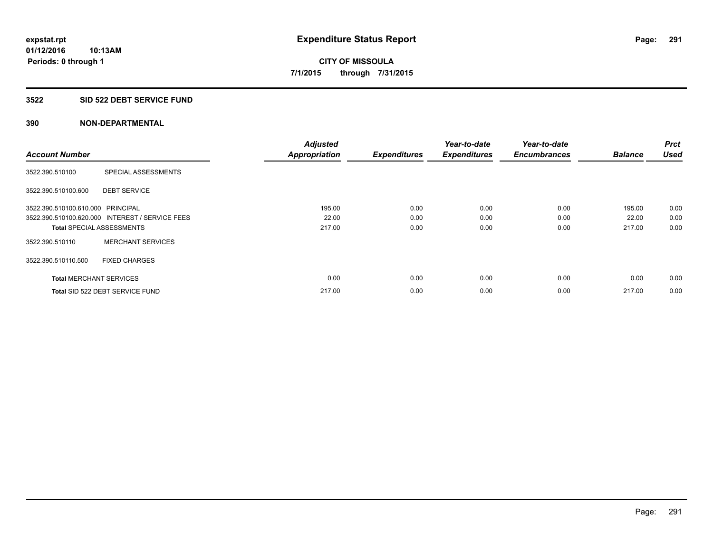## **3522 SID 522 DEBT SERVICE FUND**

|                                   |                                                 | <b>Adjusted</b>      |                     | Year-to-date        | Year-to-date        |                | <b>Prct</b> |
|-----------------------------------|-------------------------------------------------|----------------------|---------------------|---------------------|---------------------|----------------|-------------|
| <b>Account Number</b>             |                                                 | <b>Appropriation</b> | <b>Expenditures</b> | <b>Expenditures</b> | <b>Encumbrances</b> | <b>Balance</b> | <b>Used</b> |
| 3522.390.510100                   | SPECIAL ASSESSMENTS                             |                      |                     |                     |                     |                |             |
| 3522.390.510100.600               | <b>DEBT SERVICE</b>                             |                      |                     |                     |                     |                |             |
| 3522.390.510100.610.000 PRINCIPAL |                                                 | 195.00               | 0.00                | 0.00                | 0.00                | 195.00         | 0.00        |
|                                   | 3522.390.510100.620.000 INTEREST / SERVICE FEES | 22.00                | 0.00                | 0.00                | 0.00                | 22.00          | 0.00        |
| <b>Total SPECIAL ASSESSMENTS</b>  |                                                 | 217.00               | 0.00                | 0.00                | 0.00                | 217.00         | 0.00        |
| 3522.390.510110                   | <b>MERCHANT SERVICES</b>                        |                      |                     |                     |                     |                |             |
| 3522.390.510110.500               | <b>FIXED CHARGES</b>                            |                      |                     |                     |                     |                |             |
| <b>Total MERCHANT SERVICES</b>    |                                                 | 0.00                 | 0.00                | 0.00                | 0.00                | 0.00           | 0.00        |
|                                   | Total SID 522 DEBT SERVICE FUND                 | 217.00               | 0.00                | 0.00                | 0.00                | 217.00         | 0.00        |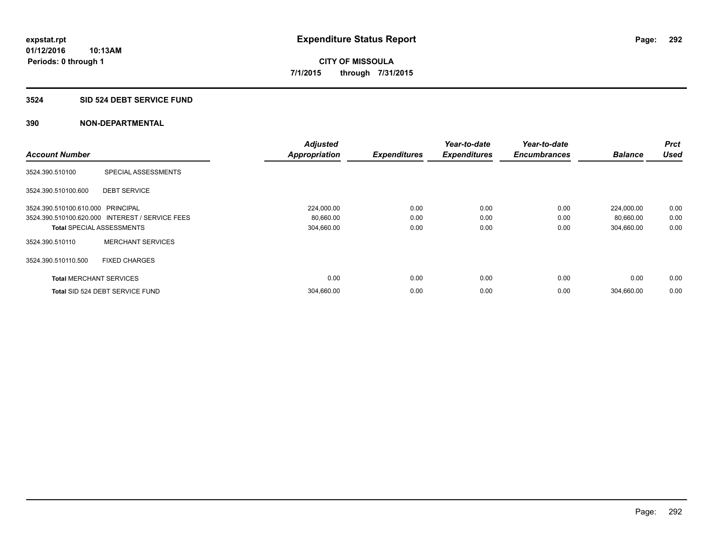## **3524 SID 524 DEBT SERVICE FUND**

|                                   |                                                 | <b>Adjusted</b>      |                     | Year-to-date        | Year-to-date        |                | <b>Prct</b> |
|-----------------------------------|-------------------------------------------------|----------------------|---------------------|---------------------|---------------------|----------------|-------------|
| <b>Account Number</b>             |                                                 | <b>Appropriation</b> | <b>Expenditures</b> | <b>Expenditures</b> | <b>Encumbrances</b> | <b>Balance</b> | <b>Used</b> |
| 3524.390.510100                   | SPECIAL ASSESSMENTS                             |                      |                     |                     |                     |                |             |
| 3524.390.510100.600               | <b>DEBT SERVICE</b>                             |                      |                     |                     |                     |                |             |
| 3524.390.510100.610.000 PRINCIPAL |                                                 | 224,000.00           | 0.00                | 0.00                | 0.00                | 224,000.00     | 0.00        |
|                                   | 3524.390.510100.620.000 INTEREST / SERVICE FEES | 80,660.00            | 0.00                | 0.00                | 0.00                | 80,660.00      | 0.00        |
| <b>Total SPECIAL ASSESSMENTS</b>  |                                                 | 304,660.00           | 0.00                | 0.00                | 0.00                | 304,660.00     | 0.00        |
| 3524.390.510110                   | <b>MERCHANT SERVICES</b>                        |                      |                     |                     |                     |                |             |
| 3524.390.510110.500               | <b>FIXED CHARGES</b>                            |                      |                     |                     |                     |                |             |
| <b>Total MERCHANT SERVICES</b>    |                                                 | 0.00                 | 0.00                | 0.00                | 0.00                | 0.00           | 0.00        |
|                                   | Total SID 524 DEBT SERVICE FUND                 | 304,660.00           | 0.00                | 0.00                | 0.00                | 304,660.00     | 0.00        |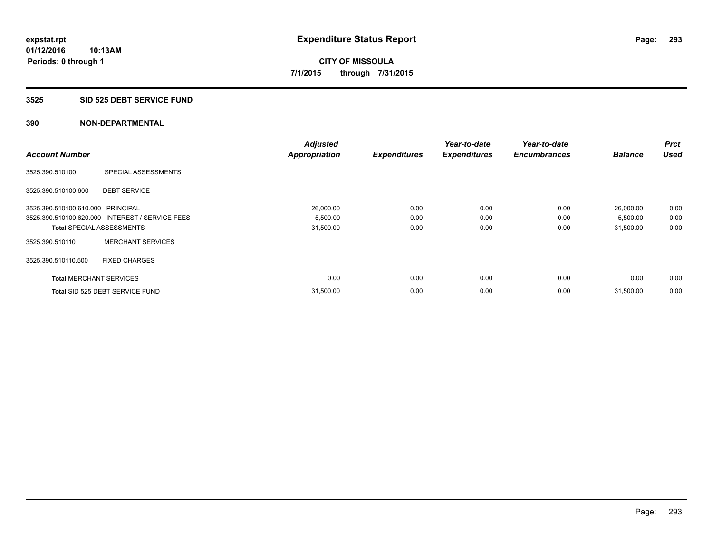## **3525 SID 525 DEBT SERVICE FUND**

|                                   |                                                 | <b>Adjusted</b>      |                     | Year-to-date        | Year-to-date        |                | <b>Prct</b> |
|-----------------------------------|-------------------------------------------------|----------------------|---------------------|---------------------|---------------------|----------------|-------------|
| <b>Account Number</b>             |                                                 | <b>Appropriation</b> | <b>Expenditures</b> | <b>Expenditures</b> | <b>Encumbrances</b> | <b>Balance</b> | <b>Used</b> |
| 3525.390.510100                   | SPECIAL ASSESSMENTS                             |                      |                     |                     |                     |                |             |
| 3525.390.510100.600               | <b>DEBT SERVICE</b>                             |                      |                     |                     |                     |                |             |
| 3525.390.510100.610.000 PRINCIPAL |                                                 | 26,000.00            | 0.00                | 0.00                | 0.00                | 26,000.00      | 0.00        |
|                                   | 3525.390.510100.620.000 INTEREST / SERVICE FEES | 5,500.00             | 0.00                | 0.00                | 0.00                | 5,500.00       | 0.00        |
| <b>Total SPECIAL ASSESSMENTS</b>  |                                                 | 31,500.00            | 0.00                | 0.00                | 0.00                | 31,500.00      | 0.00        |
| 3525.390.510110                   | <b>MERCHANT SERVICES</b>                        |                      |                     |                     |                     |                |             |
| 3525.390.510110.500               | <b>FIXED CHARGES</b>                            |                      |                     |                     |                     |                |             |
| <b>Total MERCHANT SERVICES</b>    |                                                 | 0.00                 | 0.00                | 0.00                | 0.00                | 0.00           | 0.00        |
|                                   | Total SID 525 DEBT SERVICE FUND                 | 31,500.00            | 0.00                | 0.00                | 0.00                | 31,500.00      | 0.00        |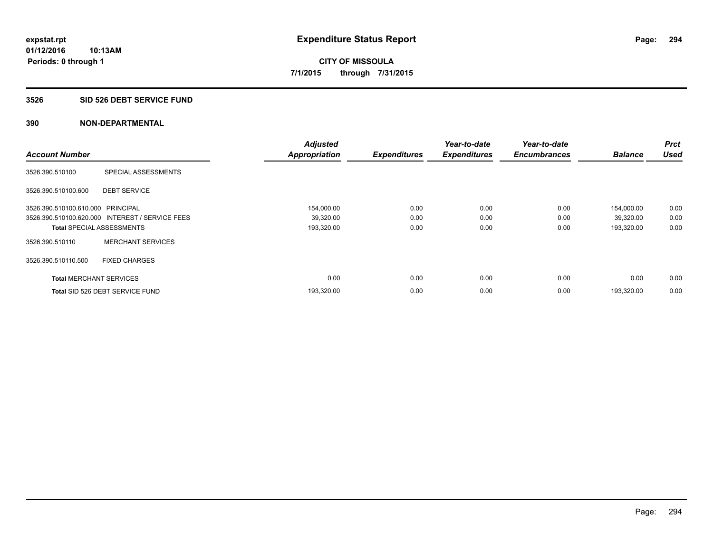## **3526 SID 526 DEBT SERVICE FUND**

| <b>Account Number</b>             |                                                 | <b>Adjusted</b><br><b>Appropriation</b> | <b>Expenditures</b> | Year-to-date<br><b>Expenditures</b> | Year-to-date<br><b>Encumbrances</b> | <b>Balance</b> | <b>Prct</b><br><b>Used</b> |
|-----------------------------------|-------------------------------------------------|-----------------------------------------|---------------------|-------------------------------------|-------------------------------------|----------------|----------------------------|
|                                   |                                                 |                                         |                     |                                     |                                     |                |                            |
| 3526.390.510100                   | SPECIAL ASSESSMENTS                             |                                         |                     |                                     |                                     |                |                            |
| 3526.390.510100.600               | <b>DEBT SERVICE</b>                             |                                         |                     |                                     |                                     |                |                            |
| 3526.390.510100.610.000 PRINCIPAL |                                                 | 154,000.00                              | 0.00                | 0.00                                | 0.00                                | 154,000.00     | 0.00                       |
|                                   | 3526.390.510100.620.000 INTEREST / SERVICE FEES | 39,320.00                               | 0.00                | 0.00                                | 0.00                                | 39,320.00      | 0.00                       |
| <b>Total SPECIAL ASSESSMENTS</b>  |                                                 | 193,320.00                              | 0.00                | 0.00                                | 0.00                                | 193,320.00     | 0.00                       |
| 3526.390.510110                   | <b>MERCHANT SERVICES</b>                        |                                         |                     |                                     |                                     |                |                            |
| 3526.390.510110.500               | <b>FIXED CHARGES</b>                            |                                         |                     |                                     |                                     |                |                            |
| <b>Total MERCHANT SERVICES</b>    |                                                 | 0.00                                    | 0.00                | 0.00                                | 0.00                                | 0.00           | 0.00                       |
|                                   | Total SID 526 DEBT SERVICE FUND                 | 193,320.00                              | 0.00                | 0.00                                | 0.00                                | 193.320.00     | 0.00                       |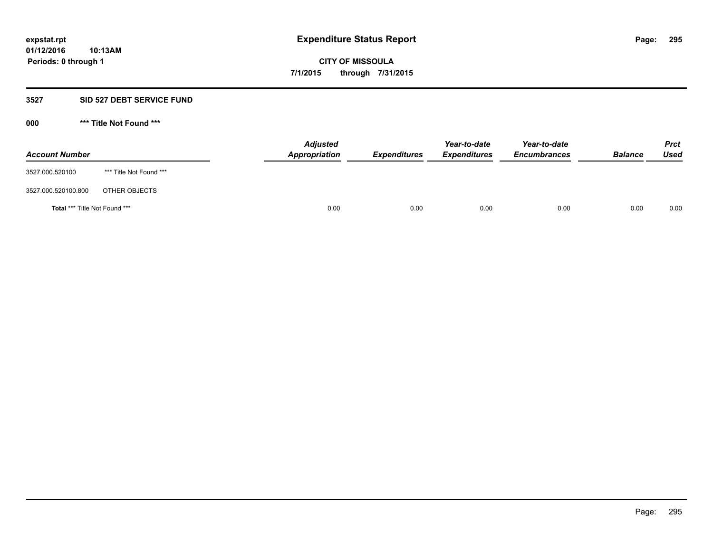## **3527 SID 527 DEBT SERVICE FUND**

**000 \*\*\* Title Not Found \*\*\***

| <b>Account Number</b>                |                         | <b>Adjusted</b><br>Appropriation | <b>Expenditures</b> | Year-to-date<br><b>Expenditures</b> | Year-to-date<br><b>Encumbrances</b> | <b>Balance</b> | <b>Prct</b><br>Used |
|--------------------------------------|-------------------------|----------------------------------|---------------------|-------------------------------------|-------------------------------------|----------------|---------------------|
| 3527.000.520100                      | *** Title Not Found *** |                                  |                     |                                     |                                     |                |                     |
| 3527.000.520100.800                  | OTHER OBJECTS           |                                  |                     |                                     |                                     |                |                     |
| <b>Total *** Title Not Found ***</b> |                         | 0.00                             | 0.00                | 0.00                                | 0.00                                | 0.00           | 0.00                |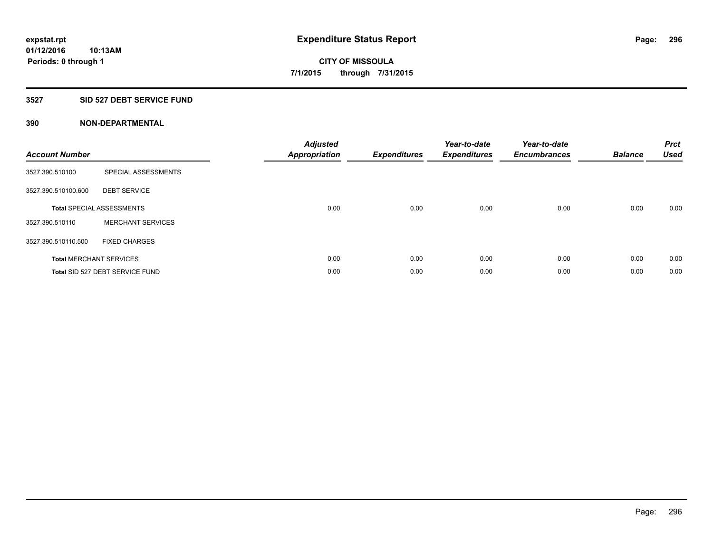## **3527 SID 527 DEBT SERVICE FUND**

| <b>Account Number</b> |                                  | <b>Adjusted</b><br>Appropriation | <b>Expenditures</b> | Year-to-date<br><b>Expenditures</b> | Year-to-date<br><b>Encumbrances</b> | <b>Balance</b> | <b>Prct</b><br><b>Used</b> |
|-----------------------|----------------------------------|----------------------------------|---------------------|-------------------------------------|-------------------------------------|----------------|----------------------------|
| 3527.390.510100       | SPECIAL ASSESSMENTS              |                                  |                     |                                     |                                     |                |                            |
| 3527.390.510100.600   | <b>DEBT SERVICE</b>              |                                  |                     |                                     |                                     |                |                            |
|                       | <b>Total SPECIAL ASSESSMENTS</b> | 0.00                             | 0.00                | 0.00                                | 0.00                                | 0.00           | 0.00                       |
| 3527.390.510110       | <b>MERCHANT SERVICES</b>         |                                  |                     |                                     |                                     |                |                            |
| 3527.390.510110.500   | <b>FIXED CHARGES</b>             |                                  |                     |                                     |                                     |                |                            |
|                       | <b>Total MERCHANT SERVICES</b>   | 0.00                             | 0.00                | 0.00                                | 0.00                                | 0.00           | 0.00                       |
|                       | Total SID 527 DEBT SERVICE FUND  | 0.00                             | 0.00                | 0.00                                | 0.00                                | 0.00           | 0.00                       |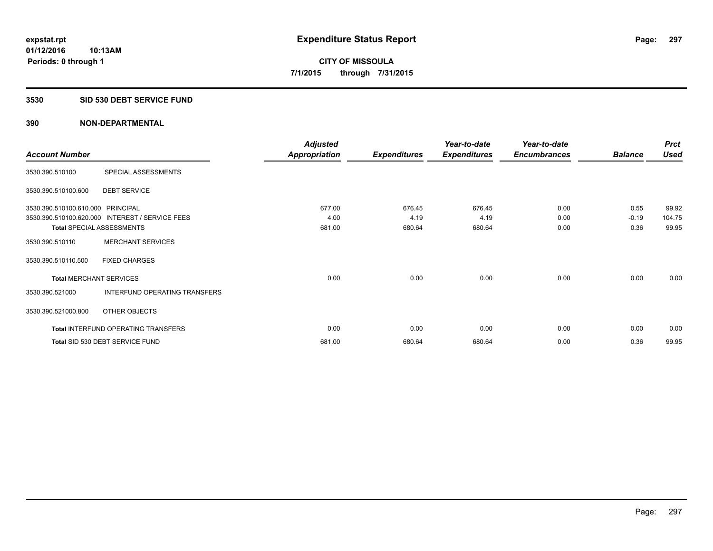## **3530 SID 530 DEBT SERVICE FUND**

|                                   |                                                 | <b>Adjusted</b>      |                     | Year-to-date        | Year-to-date        |                | <b>Prct</b> |
|-----------------------------------|-------------------------------------------------|----------------------|---------------------|---------------------|---------------------|----------------|-------------|
| <b>Account Number</b>             |                                                 | <b>Appropriation</b> | <b>Expenditures</b> | <b>Expenditures</b> | <b>Encumbrances</b> | <b>Balance</b> | <b>Used</b> |
| 3530.390.510100                   | SPECIAL ASSESSMENTS                             |                      |                     |                     |                     |                |             |
| 3530.390.510100.600               | <b>DEBT SERVICE</b>                             |                      |                     |                     |                     |                |             |
| 3530.390.510100.610.000 PRINCIPAL |                                                 | 677.00               | 676.45              | 676.45              | 0.00                | 0.55           | 99.92       |
|                                   | 3530.390.510100.620.000 INTEREST / SERVICE FEES | 4.00                 | 4.19                | 4.19                | 0.00                | $-0.19$        | 104.75      |
|                                   | <b>Total SPECIAL ASSESSMENTS</b>                | 681.00               | 680.64              | 680.64              | 0.00                | 0.36           | 99.95       |
| 3530.390.510110                   | <b>MERCHANT SERVICES</b>                        |                      |                     |                     |                     |                |             |
| 3530.390.510110.500               | <b>FIXED CHARGES</b>                            |                      |                     |                     |                     |                |             |
| <b>Total MERCHANT SERVICES</b>    |                                                 | 0.00                 | 0.00                | 0.00                | 0.00                | 0.00           | 0.00        |
| 3530.390.521000                   | INTERFUND OPERATING TRANSFERS                   |                      |                     |                     |                     |                |             |
| 3530.390.521000.800               | OTHER OBJECTS                                   |                      |                     |                     |                     |                |             |
|                                   | Total INTERFUND OPERATING TRANSFERS             | 0.00                 | 0.00                | 0.00                | 0.00                | 0.00           | 0.00        |
|                                   | Total SID 530 DEBT SERVICE FUND                 | 681.00               | 680.64              | 680.64              | 0.00                | 0.36           | 99.95       |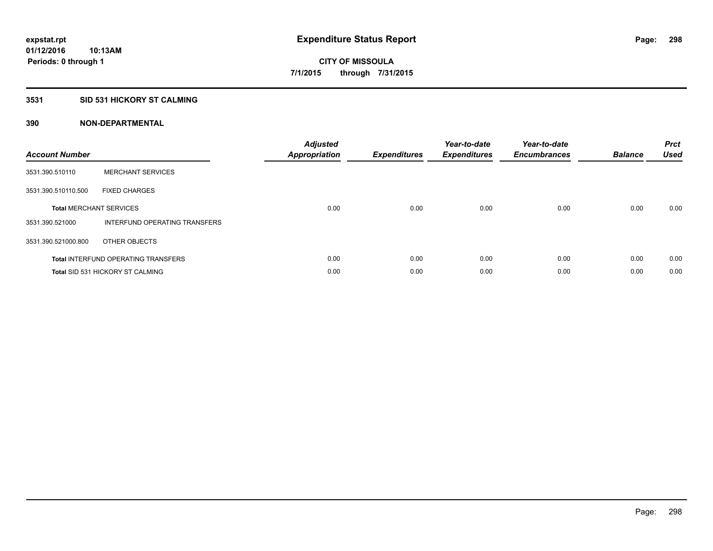## **3531 SID 531 HICKORY ST CALMING**

| <b>Account Number</b> |                                            | <b>Adjusted</b><br>Appropriation | <b>Expenditures</b> | Year-to-date<br><b>Expenditures</b> | Year-to-date<br><b>Encumbrances</b> | <b>Balance</b> | <b>Prct</b><br><b>Used</b> |
|-----------------------|--------------------------------------------|----------------------------------|---------------------|-------------------------------------|-------------------------------------|----------------|----------------------------|
| 3531.390.510110       | <b>MERCHANT SERVICES</b>                   |                                  |                     |                                     |                                     |                |                            |
| 3531.390.510110.500   | <b>FIXED CHARGES</b>                       |                                  |                     |                                     |                                     |                |                            |
|                       | <b>Total MERCHANT SERVICES</b>             | 0.00                             | 0.00                | 0.00                                | 0.00                                | 0.00           | 0.00                       |
| 3531.390.521000       | INTERFUND OPERATING TRANSFERS              |                                  |                     |                                     |                                     |                |                            |
| 3531.390.521000.800   | OTHER OBJECTS                              |                                  |                     |                                     |                                     |                |                            |
|                       | <b>Total INTERFUND OPERATING TRANSFERS</b> | 0.00                             | 0.00                | 0.00                                | 0.00                                | 0.00           | 0.00                       |
|                       | <b>Total SID 531 HICKORY ST CALMING</b>    | 0.00                             | 0.00                | 0.00                                | 0.00                                | 0.00           | 0.00                       |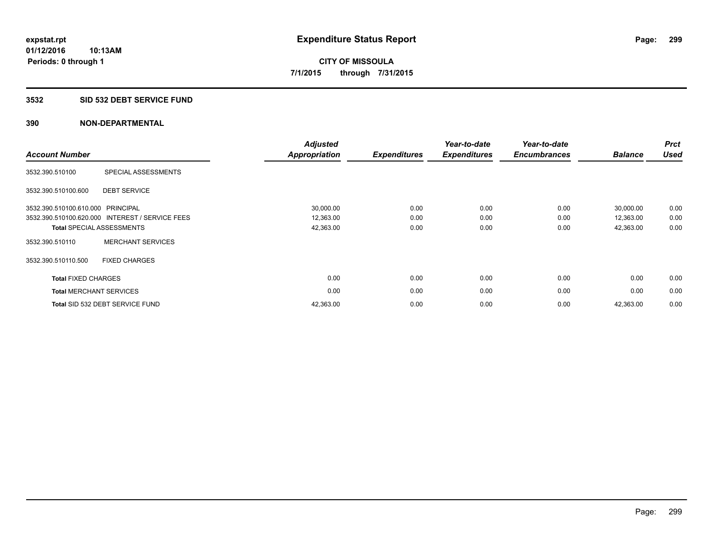## **3532 SID 532 DEBT SERVICE FUND**

| <b>Account Number</b>             |                                                 | <b>Adjusted</b><br><b>Appropriation</b> | <b>Expenditures</b> | Year-to-date<br><b>Expenditures</b> | Year-to-date<br><b>Encumbrances</b> | <b>Balance</b> | <b>Prct</b><br><b>Used</b> |
|-----------------------------------|-------------------------------------------------|-----------------------------------------|---------------------|-------------------------------------|-------------------------------------|----------------|----------------------------|
| 3532.390.510100                   | SPECIAL ASSESSMENTS                             |                                         |                     |                                     |                                     |                |                            |
| 3532.390.510100.600               | <b>DEBT SERVICE</b>                             |                                         |                     |                                     |                                     |                |                            |
| 3532.390.510100.610.000 PRINCIPAL |                                                 | 30,000.00                               | 0.00                | 0.00                                | 0.00                                | 30,000.00      | 0.00                       |
|                                   | 3532.390.510100.620.000 INTEREST / SERVICE FEES | 12,363.00                               | 0.00                | 0.00                                | 0.00                                | 12,363.00      | 0.00                       |
|                                   | <b>Total SPECIAL ASSESSMENTS</b>                | 42,363.00                               | 0.00                | 0.00                                | 0.00                                | 42,363.00      | 0.00                       |
| 3532.390.510110                   | <b>MERCHANT SERVICES</b>                        |                                         |                     |                                     |                                     |                |                            |
| 3532.390.510110.500               | <b>FIXED CHARGES</b>                            |                                         |                     |                                     |                                     |                |                            |
| <b>Total FIXED CHARGES</b>        |                                                 | 0.00                                    | 0.00                | 0.00                                | 0.00                                | 0.00           | 0.00                       |
|                                   | <b>Total MERCHANT SERVICES</b>                  | 0.00                                    | 0.00                | 0.00                                | 0.00                                | 0.00           | 0.00                       |
|                                   | Total SID 532 DEBT SERVICE FUND                 | 42,363.00                               | 0.00                | 0.00                                | 0.00                                | 42,363.00      | 0.00                       |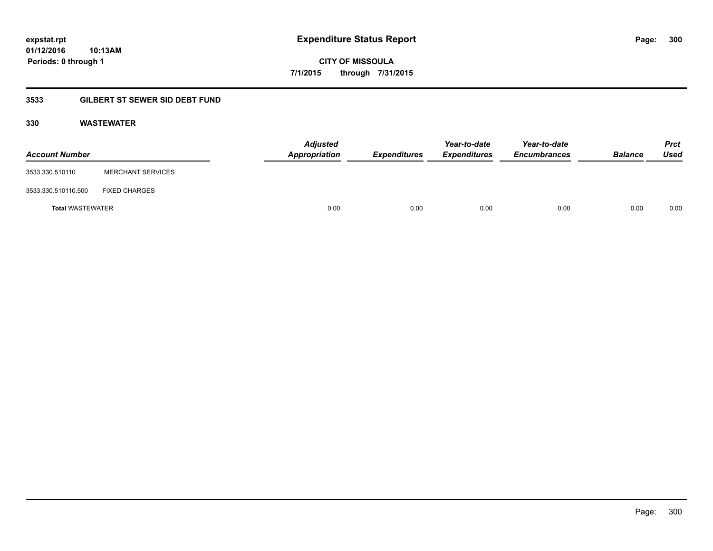**01/12/2016 10:13AM Periods: 0 through 1**

**CITY OF MISSOULA 7/1/2015 through 7/31/2015**

# **3533 GILBERT ST SEWER SID DEBT FUND**

## **330 WASTEWATER**

| <b>Account Number</b>   |                          | <b>Adjusted</b><br>Appropriation | <b>Expenditures</b> | Year-to-date<br><b>Expenditures</b> | Year-to-date<br><b>Encumbrances</b> | <b>Balance</b> | <b>Prct</b><br>Used |
|-------------------------|--------------------------|----------------------------------|---------------------|-------------------------------------|-------------------------------------|----------------|---------------------|
| 3533.330.510110         | <b>MERCHANT SERVICES</b> |                                  |                     |                                     |                                     |                |                     |
| 3533.330.510110.500     | <b>FIXED CHARGES</b>     |                                  |                     |                                     |                                     |                |                     |
| <b>Total WASTEWATER</b> |                          | 0.00                             | 0.00                | 0.00                                | 0.00                                | 0.00           | 0.00                |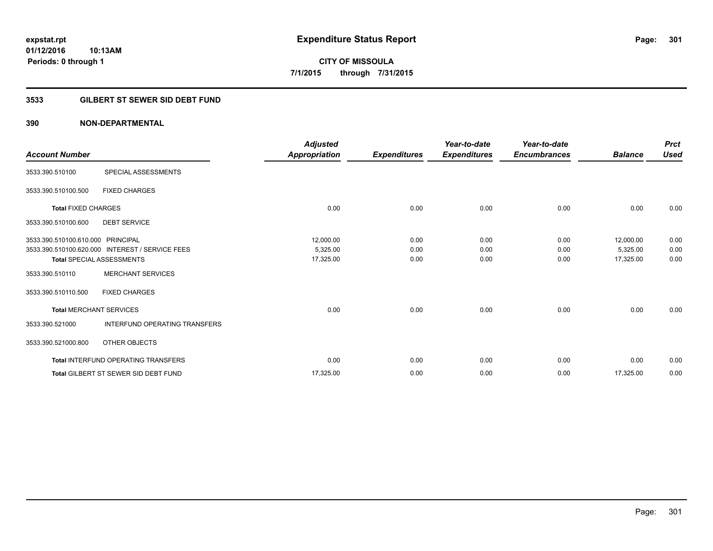**Periods: 0 through 1**

**CITY OF MISSOULA 7/1/2015 through 7/31/2015**

## **3533 GILBERT ST SEWER SID DEBT FUND**

## **390 NON-DEPARTMENTAL**

**10:13AM**

| <b>Account Number</b>             |                                                 | <b>Adjusted</b><br>Appropriation | <b>Expenditures</b> | Year-to-date<br><b>Expenditures</b> | Year-to-date<br><b>Encumbrances</b> | <b>Balance</b> | <b>Prct</b><br><b>Used</b> |
|-----------------------------------|-------------------------------------------------|----------------------------------|---------------------|-------------------------------------|-------------------------------------|----------------|----------------------------|
| 3533.390.510100                   | SPECIAL ASSESSMENTS                             |                                  |                     |                                     |                                     |                |                            |
| 3533.390.510100.500               | <b>FIXED CHARGES</b>                            |                                  |                     |                                     |                                     |                |                            |
| <b>Total FIXED CHARGES</b>        |                                                 | 0.00                             | 0.00                | 0.00                                | 0.00                                | 0.00           | 0.00                       |
| 3533.390.510100.600               | <b>DEBT SERVICE</b>                             |                                  |                     |                                     |                                     |                |                            |
| 3533.390.510100.610.000 PRINCIPAL |                                                 | 12,000.00                        | 0.00                | 0.00                                | 0.00                                | 12,000.00      | 0.00                       |
|                                   | 3533.390.510100.620.000 INTEREST / SERVICE FEES | 5,325.00                         | 0.00                | 0.00                                | 0.00                                | 5,325.00       | 0.00                       |
|                                   | <b>Total SPECIAL ASSESSMENTS</b>                | 17,325.00                        | 0.00                | 0.00                                | 0.00                                | 17,325.00      | 0.00                       |
| 3533.390.510110                   | <b>MERCHANT SERVICES</b>                        |                                  |                     |                                     |                                     |                |                            |
| 3533.390.510110.500               | <b>FIXED CHARGES</b>                            |                                  |                     |                                     |                                     |                |                            |
|                                   | <b>Total MERCHANT SERVICES</b>                  | 0.00                             | 0.00                | 0.00                                | 0.00                                | 0.00           | 0.00                       |
| 3533.390.521000                   | <b>INTERFUND OPERATING TRANSFERS</b>            |                                  |                     |                                     |                                     |                |                            |
| 3533.390.521000.800               | OTHER OBJECTS                                   |                                  |                     |                                     |                                     |                |                            |
|                                   | <b>Total INTERFUND OPERATING TRANSFERS</b>      | 0.00                             | 0.00                | 0.00                                | 0.00                                | 0.00           | 0.00                       |
|                                   | <b>Total GILBERT ST SEWER SID DEBT FUND</b>     | 17,325.00                        | 0.00                | 0.00                                | 0.00                                | 17,325.00      | 0.00                       |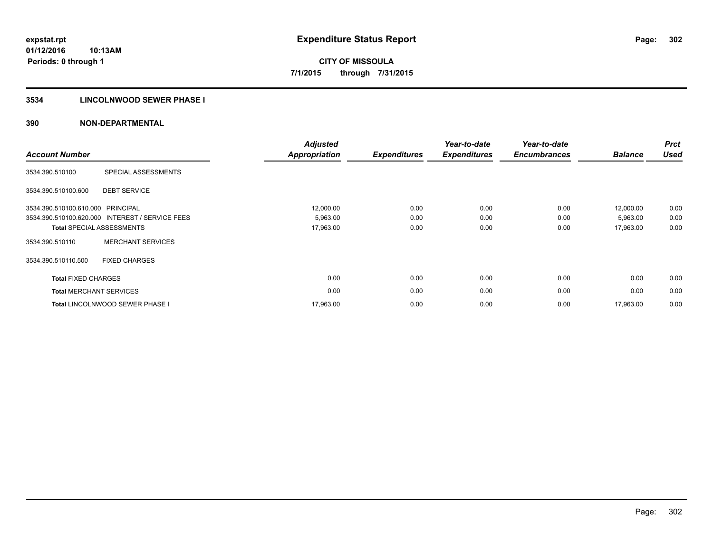## **3534 LINCOLNWOOD SEWER PHASE I**

| <b>Account Number</b>          |                                                 | <b>Adjusted</b><br><b>Appropriation</b> | <b>Expenditures</b> | Year-to-date<br><b>Expenditures</b> | Year-to-date<br><b>Encumbrances</b> | <b>Balance</b> | <b>Prct</b><br><b>Used</b> |
|--------------------------------|-------------------------------------------------|-----------------------------------------|---------------------|-------------------------------------|-------------------------------------|----------------|----------------------------|
| 3534.390.510100                | SPECIAL ASSESSMENTS                             |                                         |                     |                                     |                                     |                |                            |
| 3534.390.510100.600            | <b>DEBT SERVICE</b>                             |                                         |                     |                                     |                                     |                |                            |
| 3534.390.510100.610.000        | PRINCIPAL                                       | 12,000.00                               | 0.00                | 0.00                                | 0.00                                | 12,000.00      | 0.00                       |
|                                | 3534.390.510100.620.000 INTEREST / SERVICE FEES | 5,963.00                                | 0.00                | 0.00                                | 0.00                                | 5,963.00       | 0.00                       |
|                                | <b>Total SPECIAL ASSESSMENTS</b>                | 17,963.00                               | 0.00                | 0.00                                | 0.00                                | 17,963.00      | 0.00                       |
| 3534.390.510110                | <b>MERCHANT SERVICES</b>                        |                                         |                     |                                     |                                     |                |                            |
| 3534.390.510110.500            | <b>FIXED CHARGES</b>                            |                                         |                     |                                     |                                     |                |                            |
| <b>Total FIXED CHARGES</b>     |                                                 | 0.00                                    | 0.00                | 0.00                                | 0.00                                | 0.00           | 0.00                       |
| <b>Total MERCHANT SERVICES</b> |                                                 | 0.00                                    | 0.00                | 0.00                                | 0.00                                | 0.00           | 0.00                       |
|                                | <b>Total LINCOLNWOOD SEWER PHASE I</b>          | 17,963.00                               | 0.00                | 0.00                                | 0.00                                | 17,963.00      | 0.00                       |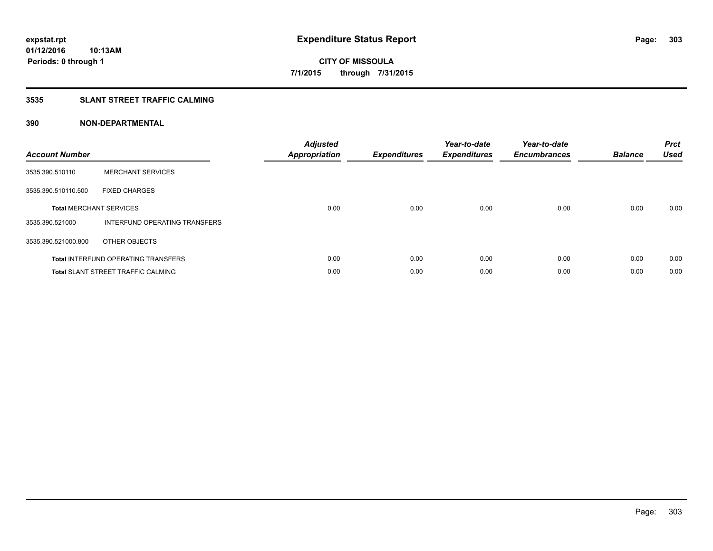## **3535 SLANT STREET TRAFFIC CALMING**

| <b>Account Number</b> |                                            | <b>Adjusted</b><br>Appropriation | <b>Expenditures</b> | Year-to-date<br><b>Expenditures</b> | Year-to-date<br><b>Encumbrances</b> | <b>Balance</b> | <b>Prct</b><br><b>Used</b> |
|-----------------------|--------------------------------------------|----------------------------------|---------------------|-------------------------------------|-------------------------------------|----------------|----------------------------|
| 3535.390.510110       | <b>MERCHANT SERVICES</b>                   |                                  |                     |                                     |                                     |                |                            |
| 3535.390.510110.500   | <b>FIXED CHARGES</b>                       |                                  |                     |                                     |                                     |                |                            |
|                       | <b>Total MERCHANT SERVICES</b>             | 0.00                             | 0.00                | 0.00                                | 0.00                                | 0.00           | 0.00                       |
| 3535.390.521000       | INTERFUND OPERATING TRANSFERS              |                                  |                     |                                     |                                     |                |                            |
| 3535.390.521000.800   | OTHER OBJECTS                              |                                  |                     |                                     |                                     |                |                            |
|                       | <b>Total INTERFUND OPERATING TRANSFERS</b> | 0.00                             | 0.00                | 0.00                                | 0.00                                | 0.00           | 0.00                       |
|                       | <b>Total SLANT STREET TRAFFIC CALMING</b>  | 0.00                             | 0.00                | 0.00                                | 0.00                                | 0.00           | 0.00                       |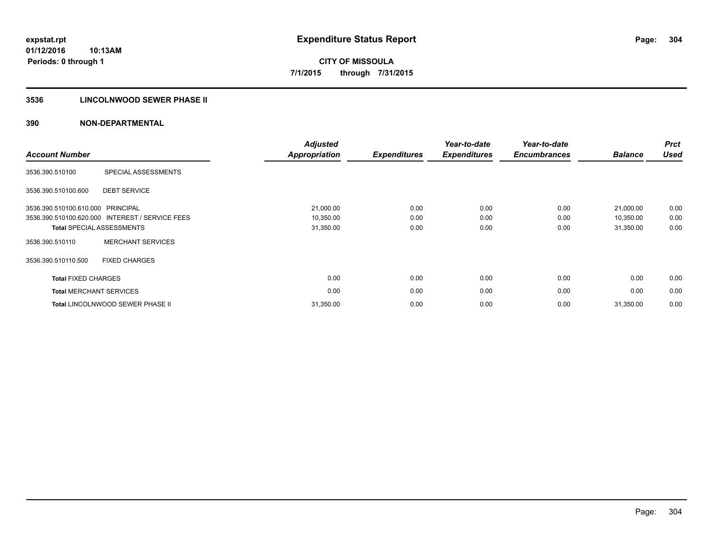## **3536 LINCOLNWOOD SEWER PHASE II**

| <b>Account Number</b>             |                                                 | <b>Adjusted</b><br><b>Appropriation</b> | <b>Expenditures</b> | Year-to-date<br><b>Expenditures</b> | Year-to-date<br><b>Encumbrances</b> | <b>Balance</b> | <b>Prct</b><br><b>Used</b> |
|-----------------------------------|-------------------------------------------------|-----------------------------------------|---------------------|-------------------------------------|-------------------------------------|----------------|----------------------------|
| 3536.390.510100                   | SPECIAL ASSESSMENTS                             |                                         |                     |                                     |                                     |                |                            |
| 3536.390.510100.600               | <b>DEBT SERVICE</b>                             |                                         |                     |                                     |                                     |                |                            |
| 3536.390.510100.610.000 PRINCIPAL |                                                 | 21,000.00                               | 0.00                | 0.00                                | 0.00                                | 21,000.00      | 0.00                       |
|                                   | 3536.390.510100.620.000 INTEREST / SERVICE FEES | 10,350.00                               | 0.00                | 0.00                                | 0.00                                | 10,350.00      | 0.00                       |
|                                   | <b>Total SPECIAL ASSESSMENTS</b>                | 31,350.00                               | 0.00                | 0.00                                | 0.00                                | 31,350.00      | 0.00                       |
| 3536.390.510110                   | <b>MERCHANT SERVICES</b>                        |                                         |                     |                                     |                                     |                |                            |
| 3536.390.510110.500               | <b>FIXED CHARGES</b>                            |                                         |                     |                                     |                                     |                |                            |
| <b>Total FIXED CHARGES</b>        |                                                 | 0.00                                    | 0.00                | 0.00                                | 0.00                                | 0.00           | 0.00                       |
| <b>Total MERCHANT SERVICES</b>    |                                                 | 0.00                                    | 0.00                | 0.00                                | 0.00                                | 0.00           | 0.00                       |
|                                   | Total LINCOLNWOOD SEWER PHASE II                | 31,350.00                               | 0.00                | 0.00                                | 0.00                                | 31,350.00      | 0.00                       |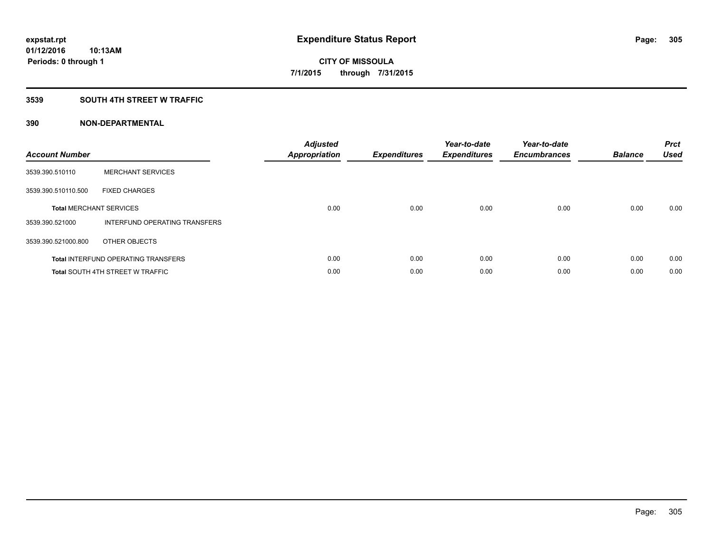## **3539 SOUTH 4TH STREET W TRAFFIC**

| <b>Account Number</b> |                                            | <b>Adjusted</b><br>Appropriation | <b>Expenditures</b> | Year-to-date<br><b>Expenditures</b> | Year-to-date<br><b>Encumbrances</b> | <b>Balance</b> | <b>Prct</b><br><b>Used</b> |
|-----------------------|--------------------------------------------|----------------------------------|---------------------|-------------------------------------|-------------------------------------|----------------|----------------------------|
| 3539.390.510110       | <b>MERCHANT SERVICES</b>                   |                                  |                     |                                     |                                     |                |                            |
| 3539.390.510110.500   | <b>FIXED CHARGES</b>                       |                                  |                     |                                     |                                     |                |                            |
|                       | <b>Total MERCHANT SERVICES</b>             | 0.00                             | 0.00                | 0.00                                | 0.00                                | 0.00           | 0.00                       |
| 3539.390.521000       | INTERFUND OPERATING TRANSFERS              |                                  |                     |                                     |                                     |                |                            |
| 3539.390.521000.800   | OTHER OBJECTS                              |                                  |                     |                                     |                                     |                |                            |
|                       | <b>Total INTERFUND OPERATING TRANSFERS</b> | 0.00                             | 0.00                | 0.00                                | 0.00                                | 0.00           | 0.00                       |
|                       | <b>Total SOUTH 4TH STREET W TRAFFIC</b>    | 0.00                             | 0.00                | 0.00                                | 0.00                                | 0.00           | 0.00                       |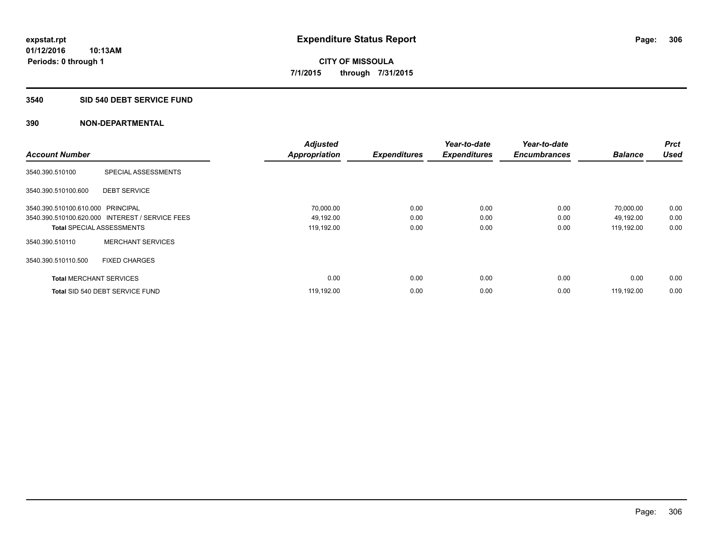## **3540 SID 540 DEBT SERVICE FUND**

|                                   |                                                 | <b>Adjusted</b>      |                     | Year-to-date        | Year-to-date        |                | <b>Prct</b><br><b>Used</b> |
|-----------------------------------|-------------------------------------------------|----------------------|---------------------|---------------------|---------------------|----------------|----------------------------|
| <b>Account Number</b>             |                                                 | <b>Appropriation</b> | <b>Expenditures</b> | <b>Expenditures</b> | <b>Encumbrances</b> | <b>Balance</b> |                            |
| 3540.390.510100                   | SPECIAL ASSESSMENTS                             |                      |                     |                     |                     |                |                            |
| 3540.390.510100.600               | <b>DEBT SERVICE</b>                             |                      |                     |                     |                     |                |                            |
| 3540.390.510100.610.000 PRINCIPAL |                                                 | 70,000.00            | 0.00                | 0.00                | 0.00                | 70,000.00      | 0.00                       |
|                                   | 3540.390.510100.620.000 INTEREST / SERVICE FEES | 49,192.00            | 0.00                | 0.00                | 0.00                | 49,192.00      | 0.00                       |
| <b>Total SPECIAL ASSESSMENTS</b>  |                                                 | 119,192.00           | 0.00                | 0.00                | 0.00                | 119,192.00     | 0.00                       |
| 3540.390.510110                   | <b>MERCHANT SERVICES</b>                        |                      |                     |                     |                     |                |                            |
| 3540.390.510110.500               | <b>FIXED CHARGES</b>                            |                      |                     |                     |                     |                |                            |
| <b>Total MERCHANT SERVICES</b>    |                                                 | 0.00                 | 0.00                | 0.00                | 0.00                | 0.00           | 0.00                       |
|                                   | Total SID 540 DEBT SERVICE FUND                 | 119,192.00           | 0.00                | 0.00                | 0.00                | 119.192.00     | 0.00                       |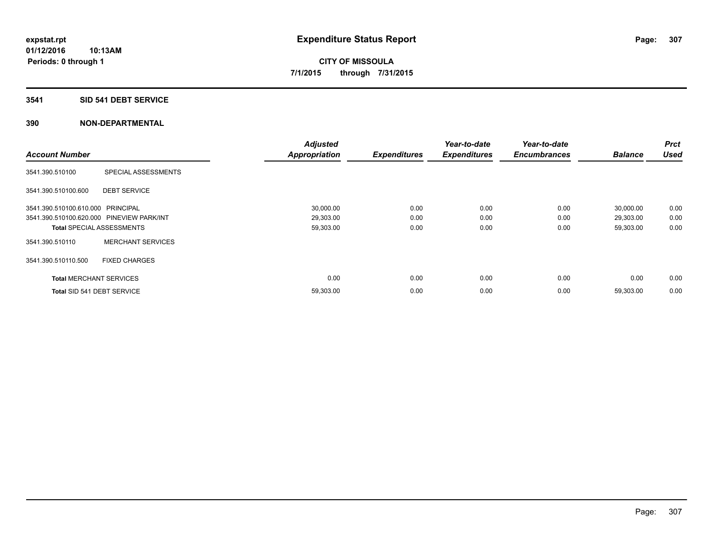## **3541 SID 541 DEBT SERVICE**

|                                           |                          | <b>Adjusted</b>      |                     | Year-to-date        | Year-to-date        |                | <b>Prct</b> |
|-------------------------------------------|--------------------------|----------------------|---------------------|---------------------|---------------------|----------------|-------------|
| <b>Account Number</b>                     |                          | <b>Appropriation</b> | <b>Expenditures</b> | <b>Expenditures</b> | <b>Encumbrances</b> | <b>Balance</b> | <b>Used</b> |
| 3541.390.510100                           | SPECIAL ASSESSMENTS      |                      |                     |                     |                     |                |             |
| 3541.390.510100.600                       | <b>DEBT SERVICE</b>      |                      |                     |                     |                     |                |             |
| 3541.390.510100.610.000 PRINCIPAL         |                          | 30,000.00            | 0.00                | 0.00                | 0.00                | 30,000.00      | 0.00        |
| 3541.390.510100.620.000 PINEVIEW PARK/INT |                          | 29,303.00            | 0.00                | 0.00                | 0.00                | 29,303.00      | 0.00        |
| <b>Total SPECIAL ASSESSMENTS</b>          |                          | 59,303.00            | 0.00                | 0.00                | 0.00                | 59,303.00      | 0.00        |
| 3541.390.510110                           | <b>MERCHANT SERVICES</b> |                      |                     |                     |                     |                |             |
| 3541.390.510110.500                       | <b>FIXED CHARGES</b>     |                      |                     |                     |                     |                |             |
| <b>Total MERCHANT SERVICES</b>            |                          | 0.00                 | 0.00                | 0.00                | 0.00                | 0.00           | 0.00        |
| Total SID 541 DEBT SERVICE                |                          | 59,303.00            | 0.00                | 0.00                | 0.00                | 59,303.00      | 0.00        |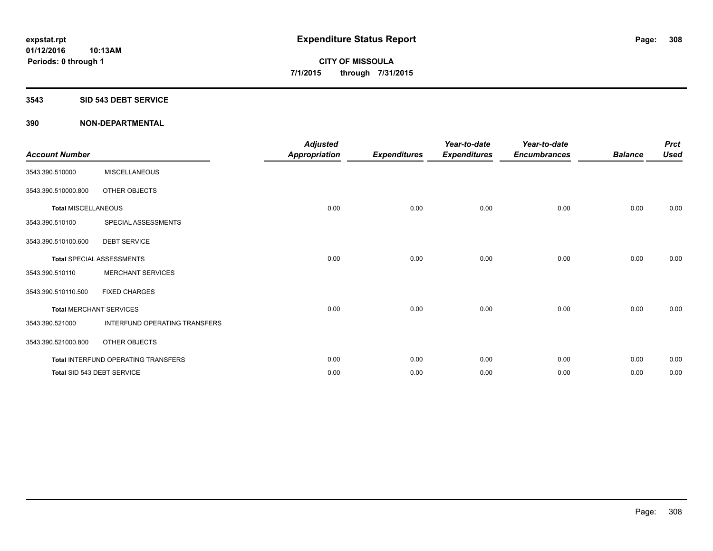#### **3543 SID 543 DEBT SERVICE**

| <b>Account Number</b>      |                                     | <b>Adjusted</b><br><b>Appropriation</b> | <b>Expenditures</b> | Year-to-date<br><b>Expenditures</b> | Year-to-date<br><b>Encumbrances</b> | <b>Balance</b> | <b>Prct</b><br><b>Used</b> |
|----------------------------|-------------------------------------|-----------------------------------------|---------------------|-------------------------------------|-------------------------------------|----------------|----------------------------|
| 3543.390.510000            | <b>MISCELLANEOUS</b>                |                                         |                     |                                     |                                     |                |                            |
| 3543.390.510000.800        | OTHER OBJECTS                       |                                         |                     |                                     |                                     |                |                            |
| <b>Total MISCELLANEOUS</b> |                                     | 0.00                                    | 0.00                | 0.00                                | 0.00                                | 0.00           | 0.00                       |
| 3543.390.510100            | SPECIAL ASSESSMENTS                 |                                         |                     |                                     |                                     |                |                            |
| 3543.390.510100.600        | <b>DEBT SERVICE</b>                 |                                         |                     |                                     |                                     |                |                            |
|                            | <b>Total SPECIAL ASSESSMENTS</b>    | 0.00                                    | 0.00                | 0.00                                | 0.00                                | 0.00           | 0.00                       |
| 3543.390.510110            | <b>MERCHANT SERVICES</b>            |                                         |                     |                                     |                                     |                |                            |
| 3543.390.510110.500        | <b>FIXED CHARGES</b>                |                                         |                     |                                     |                                     |                |                            |
|                            | <b>Total MERCHANT SERVICES</b>      | 0.00                                    | 0.00                | 0.00                                | 0.00                                | 0.00           | 0.00                       |
| 3543.390.521000            | INTERFUND OPERATING TRANSFERS       |                                         |                     |                                     |                                     |                |                            |
| 3543.390.521000.800        | OTHER OBJECTS                       |                                         |                     |                                     |                                     |                |                            |
|                            | Total INTERFUND OPERATING TRANSFERS | 0.00                                    | 0.00                | 0.00                                | 0.00                                | 0.00           | 0.00                       |
|                            | Total SID 543 DEBT SERVICE          | 0.00                                    | 0.00                | 0.00                                | 0.00                                | 0.00           | 0.00                       |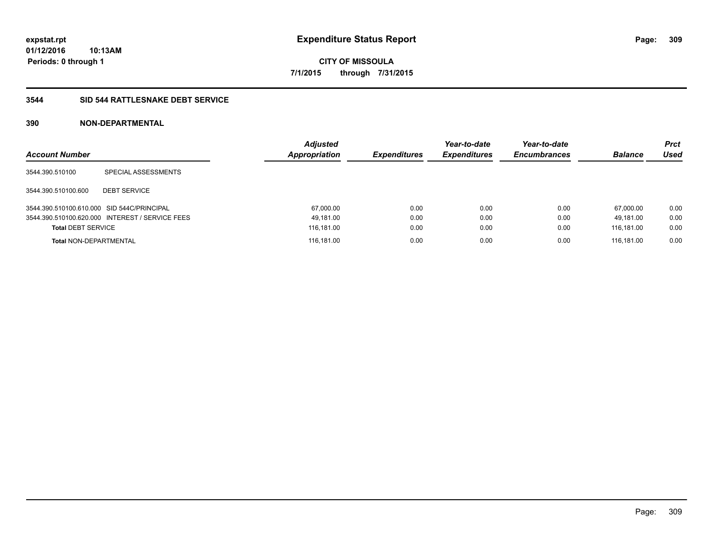**01/12/2016 10:13AM Periods: 0 through 1**

**CITY OF MISSOULA 7/1/2015 through 7/31/2015**

## **3544 SID 544 RATTLESNAKE DEBT SERVICE**

| <b>Account Number</b>                      |                                                 | <b>Adjusted</b><br><b>Appropriation</b> | <b>Expenditures</b> | Year-to-date<br><b>Expenditures</b> | Year-to-date<br><b>Encumbrances</b> | <b>Balance</b> | <b>Prct</b><br>Used |
|--------------------------------------------|-------------------------------------------------|-----------------------------------------|---------------------|-------------------------------------|-------------------------------------|----------------|---------------------|
| 3544.390.510100                            | SPECIAL ASSESSMENTS                             |                                         |                     |                                     |                                     |                |                     |
| 3544.390.510100.600                        | <b>DEBT SERVICE</b>                             |                                         |                     |                                     |                                     |                |                     |
| 3544.390.510100.610.000 SID 544C/PRINCIPAL |                                                 | 67,000.00                               | 0.00                | 0.00                                | 0.00                                | 67.000.00      | 0.00                |
|                                            | 3544.390.510100.620.000 INTEREST / SERVICE FEES | 49,181.00                               | 0.00                | 0.00                                | 0.00                                | 49.181.00      | 0.00                |
| <b>Total DEBT SERVICE</b>                  |                                                 | 116,181.00                              | 0.00                | 0.00                                | 0.00                                | 116,181.00     | 0.00                |
| <b>Total NON-DEPARTMENTAL</b>              |                                                 | 116,181.00                              | 0.00                | 0.00                                | 0.00                                | 116.181.00     | 0.00                |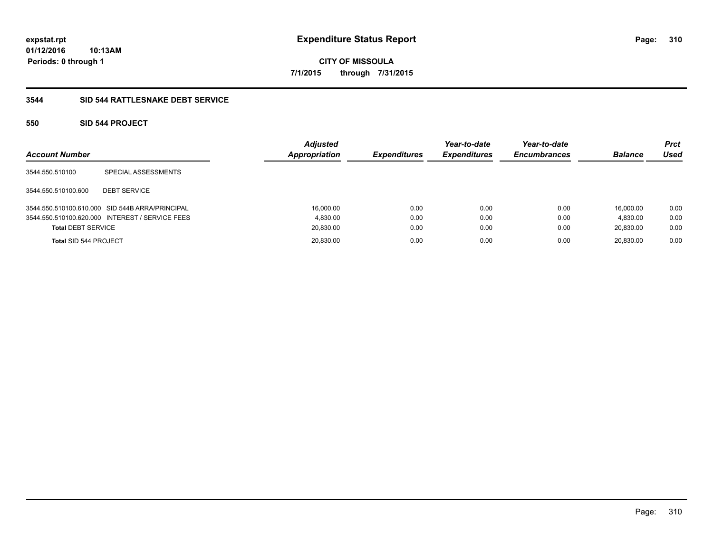**01/12/2016 10:13AM Periods: 0 through 1**

**CITY OF MISSOULA 7/1/2015 through 7/31/2015**

## **3544 SID 544 RATTLESNAKE DEBT SERVICE**

## **550 SID 544 PROJECT**

| <b>Account Number</b>     |                                                 | <b>Adjusted</b><br>Appropriation | <b>Expenditures</b> | Year-to-date<br><b>Expenditures</b> | Year-to-date<br><b>Encumbrances</b> | <b>Balance</b> | <b>Prct</b><br>Used |
|---------------------------|-------------------------------------------------|----------------------------------|---------------------|-------------------------------------|-------------------------------------|----------------|---------------------|
| 3544.550.510100           | SPECIAL ASSESSMENTS                             |                                  |                     |                                     |                                     |                |                     |
| 3544.550.510100.600       | <b>DEBT SERVICE</b>                             |                                  |                     |                                     |                                     |                |                     |
|                           | 3544.550.510100.610.000 SID 544B ARRA/PRINCIPAL | 16,000.00                        | 0.00                | 0.00                                | 0.00                                | 16.000.00      | 0.00                |
|                           | 3544.550.510100.620.000 INTEREST / SERVICE FEES | 4.830.00                         | 0.00                | 0.00                                | 0.00                                | 4.830.00       | 0.00                |
| <b>Total DEBT SERVICE</b> |                                                 | 20,830.00                        | 0.00                | 0.00                                | 0.00                                | 20,830.00      | 0.00                |
| Total SID 544 PROJECT     |                                                 | 20,830.00                        | 0.00                | 0.00                                | 0.00                                | 20.830.00      | 0.00                |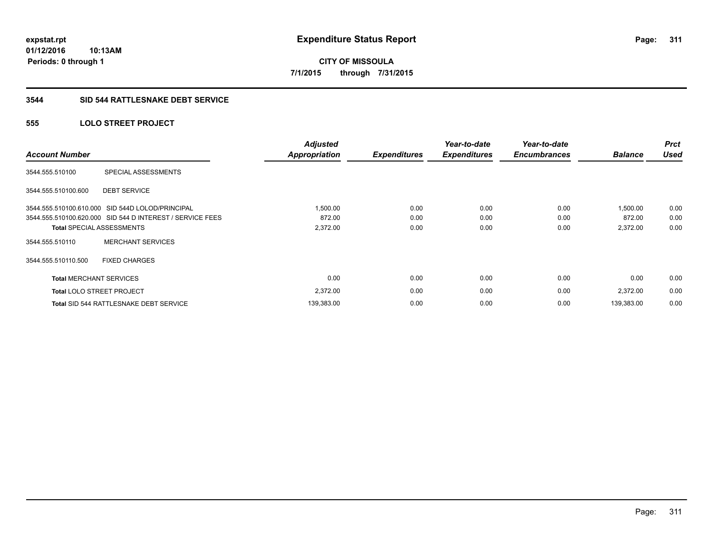**311**

**01/12/2016 10:13AM Periods: 0 through 1**

**CITY OF MISSOULA 7/1/2015 through 7/31/2015**

## **3544 SID 544 RATTLESNAKE DEBT SERVICE**

## **555 LOLO STREET PROJECT**

| <b>Account Number</b>            |                                                           | <b>Adjusted</b><br><b>Appropriation</b> | <b>Expenditures</b> | Year-to-date<br><b>Expenditures</b> | Year-to-date<br><b>Encumbrances</b> | <b>Balance</b> | <b>Prct</b><br><b>Used</b> |
|----------------------------------|-----------------------------------------------------------|-----------------------------------------|---------------------|-------------------------------------|-------------------------------------|----------------|----------------------------|
| 3544.555.510100                  | SPECIAL ASSESSMENTS                                       |                                         |                     |                                     |                                     |                |                            |
| 3544.555.510100.600              | <b>DEBT SERVICE</b>                                       |                                         |                     |                                     |                                     |                |                            |
|                                  | 3544.555.510100.610.000 SID 544D LOLOD/PRINCIPAL          | 1,500.00                                | 0.00                | 0.00                                | 0.00                                | 1,500.00       | 0.00                       |
|                                  | 3544.555.510100.620.000 SID 544 D INTEREST / SERVICE FEES | 872.00                                  | 0.00                | 0.00                                | 0.00                                | 872.00         | 0.00                       |
| <b>Total SPECIAL ASSESSMENTS</b> |                                                           | 2,372.00                                | 0.00                | 0.00                                | 0.00                                | 2,372.00       | 0.00                       |
| 3544.555.510110                  | <b>MERCHANT SERVICES</b>                                  |                                         |                     |                                     |                                     |                |                            |
| 3544.555.510110.500              | <b>FIXED CHARGES</b>                                      |                                         |                     |                                     |                                     |                |                            |
| <b>Total MERCHANT SERVICES</b>   |                                                           | 0.00                                    | 0.00                | 0.00                                | 0.00                                | 0.00           | 0.00                       |
| <b>Total LOLO STREET PROJECT</b> |                                                           | 2,372.00                                | 0.00                | 0.00                                | 0.00                                | 2,372.00       | 0.00                       |
|                                  | <b>Total SID 544 RATTLESNAKE DEBT SERVICE</b>             | 139,383.00                              | 0.00                | 0.00                                | 0.00                                | 139,383.00     | 0.00                       |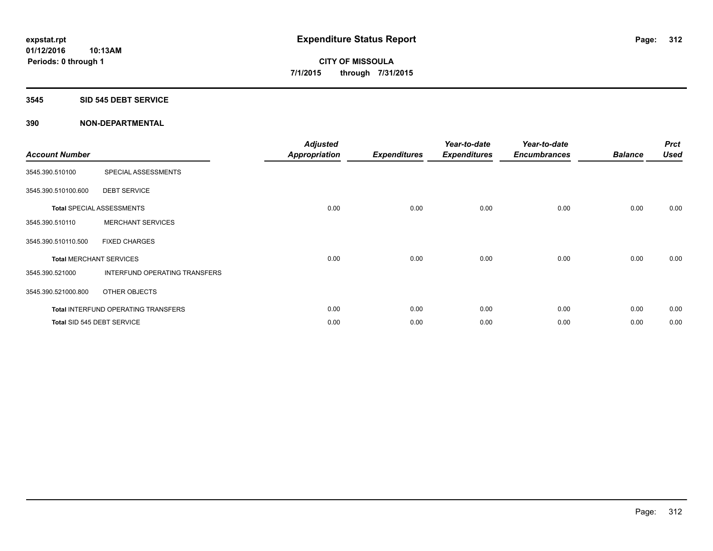## **3545 SID 545 DEBT SERVICE**

| <b>Account Number</b> |                                            | <b>Adjusted</b><br><b>Appropriation</b> | <b>Expenditures</b> | Year-to-date<br><b>Expenditures</b> | Year-to-date<br><b>Encumbrances</b> | <b>Balance</b> | <b>Prct</b><br><b>Used</b> |
|-----------------------|--------------------------------------------|-----------------------------------------|---------------------|-------------------------------------|-------------------------------------|----------------|----------------------------|
| 3545.390.510100       | SPECIAL ASSESSMENTS                        |                                         |                     |                                     |                                     |                |                            |
| 3545.390.510100.600   | <b>DEBT SERVICE</b>                        |                                         |                     |                                     |                                     |                |                            |
|                       | <b>Total SPECIAL ASSESSMENTS</b>           | 0.00                                    | 0.00                | 0.00                                | 0.00                                | 0.00           | 0.00                       |
| 3545.390.510110       | <b>MERCHANT SERVICES</b>                   |                                         |                     |                                     |                                     |                |                            |
| 3545.390.510110.500   | <b>FIXED CHARGES</b>                       |                                         |                     |                                     |                                     |                |                            |
|                       | <b>Total MERCHANT SERVICES</b>             | 0.00                                    | 0.00                | 0.00                                | 0.00                                | 0.00           | 0.00                       |
| 3545.390.521000       | INTERFUND OPERATING TRANSFERS              |                                         |                     |                                     |                                     |                |                            |
| 3545.390.521000.800   | OTHER OBJECTS                              |                                         |                     |                                     |                                     |                |                            |
|                       | <b>Total INTERFUND OPERATING TRANSFERS</b> | 0.00                                    | 0.00                | 0.00                                | 0.00                                | 0.00           | 0.00                       |
|                       | Total SID 545 DEBT SERVICE                 | 0.00                                    | 0.00                | 0.00                                | 0.00                                | 0.00           | 0.00                       |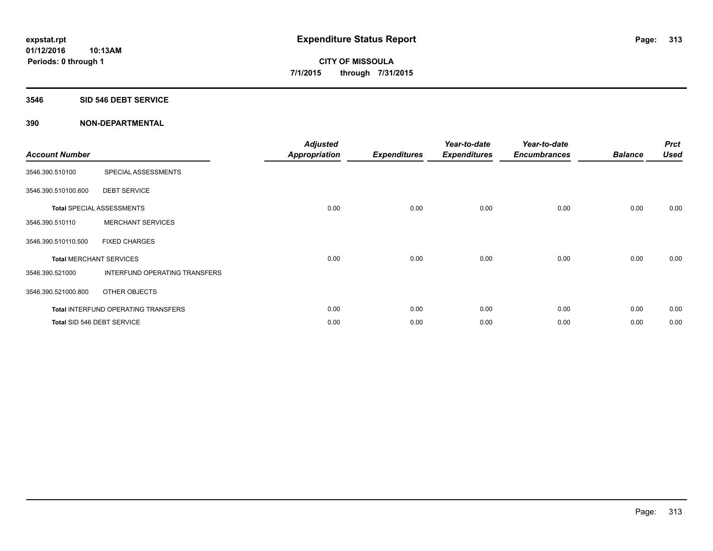## **3546 SID 546 DEBT SERVICE**

| <b>Account Number</b> |                                     | <b>Adjusted</b><br><b>Appropriation</b> | <b>Expenditures</b> | Year-to-date<br><b>Expenditures</b> | Year-to-date<br><b>Encumbrances</b> | <b>Balance</b> | <b>Prct</b><br><b>Used</b> |
|-----------------------|-------------------------------------|-----------------------------------------|---------------------|-------------------------------------|-------------------------------------|----------------|----------------------------|
| 3546.390.510100       | SPECIAL ASSESSMENTS                 |                                         |                     |                                     |                                     |                |                            |
| 3546.390.510100.600   | <b>DEBT SERVICE</b>                 |                                         |                     |                                     |                                     |                |                            |
|                       | Total SPECIAL ASSESSMENTS           | 0.00                                    | 0.00                | 0.00                                | 0.00                                | 0.00           | 0.00                       |
| 3546.390.510110       | <b>MERCHANT SERVICES</b>            |                                         |                     |                                     |                                     |                |                            |
| 3546.390.510110.500   | <b>FIXED CHARGES</b>                |                                         |                     |                                     |                                     |                |                            |
|                       | <b>Total MERCHANT SERVICES</b>      | 0.00                                    | 0.00                | 0.00                                | 0.00                                | 0.00           | 0.00                       |
| 3546.390.521000       | INTERFUND OPERATING TRANSFERS       |                                         |                     |                                     |                                     |                |                            |
| 3546.390.521000.800   | OTHER OBJECTS                       |                                         |                     |                                     |                                     |                |                            |
|                       | Total INTERFUND OPERATING TRANSFERS | 0.00                                    | 0.00                | 0.00                                | 0.00                                | 0.00           | 0.00                       |
|                       | Total SID 546 DEBT SERVICE          | 0.00                                    | 0.00                | 0.00                                | 0.00                                | 0.00           | 0.00                       |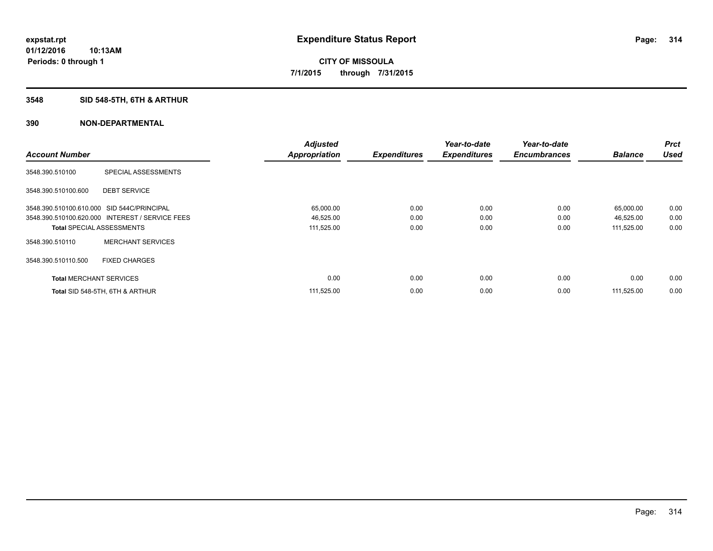# **3548 SID 548-5TH, 6TH & ARTHUR**

|                                            |                                                 | <b>Adjusted</b>      |                     | Year-to-date        | Year-to-date        |                | <b>Prct</b><br><b>Used</b> |
|--------------------------------------------|-------------------------------------------------|----------------------|---------------------|---------------------|---------------------|----------------|----------------------------|
| <b>Account Number</b>                      |                                                 | <b>Appropriation</b> | <b>Expenditures</b> | <b>Expenditures</b> | <b>Encumbrances</b> | <b>Balance</b> |                            |
| 3548.390.510100                            | SPECIAL ASSESSMENTS                             |                      |                     |                     |                     |                |                            |
| 3548.390.510100.600                        | <b>DEBT SERVICE</b>                             |                      |                     |                     |                     |                |                            |
| 3548.390.510100.610.000 SID 544C/PRINCIPAL |                                                 | 65,000.00            | 0.00                | 0.00                | 0.00                | 65,000.00      | 0.00                       |
|                                            | 3548.390.510100.620.000 INTEREST / SERVICE FEES | 46,525.00            | 0.00                | 0.00                | 0.00                | 46,525.00      | 0.00                       |
| <b>Total SPECIAL ASSESSMENTS</b>           |                                                 | 111,525.00           | 0.00                | 0.00                | 0.00                | 111,525.00     | 0.00                       |
| 3548.390.510110                            | <b>MERCHANT SERVICES</b>                        |                      |                     |                     |                     |                |                            |
| 3548.390.510110.500                        | <b>FIXED CHARGES</b>                            |                      |                     |                     |                     |                |                            |
| <b>Total MERCHANT SERVICES</b>             |                                                 | 0.00                 | 0.00                | 0.00                | 0.00                | 0.00           | 0.00                       |
|                                            | Total SID 548-5TH, 6TH & ARTHUR                 | 111,525.00           | 0.00                | 0.00                | 0.00                | 111,525.00     | 0.00                       |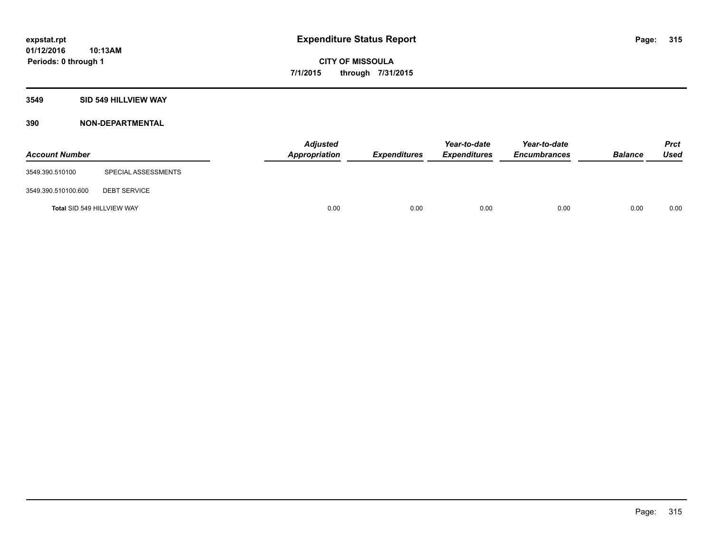## **3549 SID 549 HILLVIEW WAY**

| <b>Account Number</b>      |                     | <b>Adjusted</b><br>Appropriation | <b>Expenditures</b> | Year-to-date<br><b>Expenditures</b> | Year-to-date<br><b>Encumbrances</b> | <b>Balance</b> | <b>Prct</b><br>Used |
|----------------------------|---------------------|----------------------------------|---------------------|-------------------------------------|-------------------------------------|----------------|---------------------|
| 3549.390.510100            | SPECIAL ASSESSMENTS |                                  |                     |                                     |                                     |                |                     |
| 3549.390.510100.600        | <b>DEBT SERVICE</b> |                                  |                     |                                     |                                     |                |                     |
| Total SID 549 HILLVIEW WAY |                     | 0.00                             | 0.00                | 0.00                                | 0.00                                | 0.00           | 0.00                |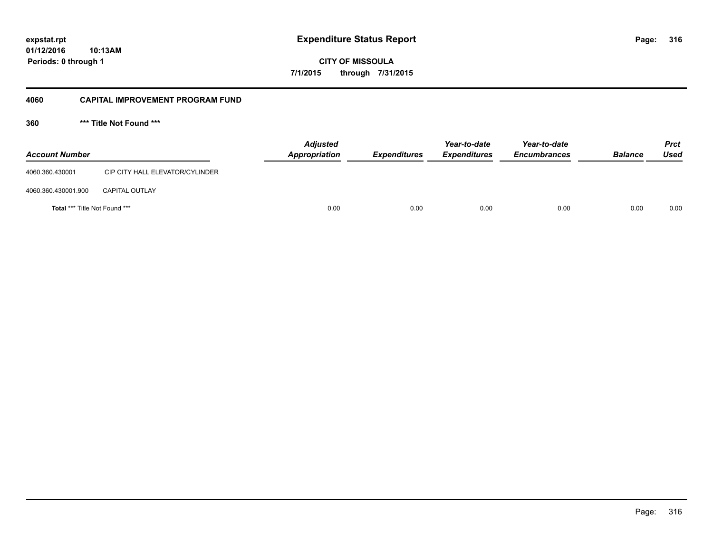**01/12/2016 10:13AM Periods: 0 through 1**

**CITY OF MISSOULA 7/1/2015 through 7/31/2015**

## **4060 CAPITAL IMPROVEMENT PROGRAM FUND**

**360 \*\*\* Title Not Found \*\*\***

| <b>Account Number</b>                |                                 | <b>Adjusted</b><br>Appropriation | <b>Expenditures</b> | Year-to-date<br><b>Expenditures</b> | Year-to-date<br><b>Encumbrances</b> | <b>Balance</b> | Prct<br><b>Used</b> |
|--------------------------------------|---------------------------------|----------------------------------|---------------------|-------------------------------------|-------------------------------------|----------------|---------------------|
| 4060.360.430001                      | CIP CITY HALL ELEVATOR/CYLINDER |                                  |                     |                                     |                                     |                |                     |
| 4060.360.430001.900                  | <b>CAPITAL OUTLAY</b>           |                                  |                     |                                     |                                     |                |                     |
| <b>Total *** Title Not Found ***</b> |                                 | 0.00                             | 0.00                | 0.00                                | 0.00                                | 0.00           | 0.00                |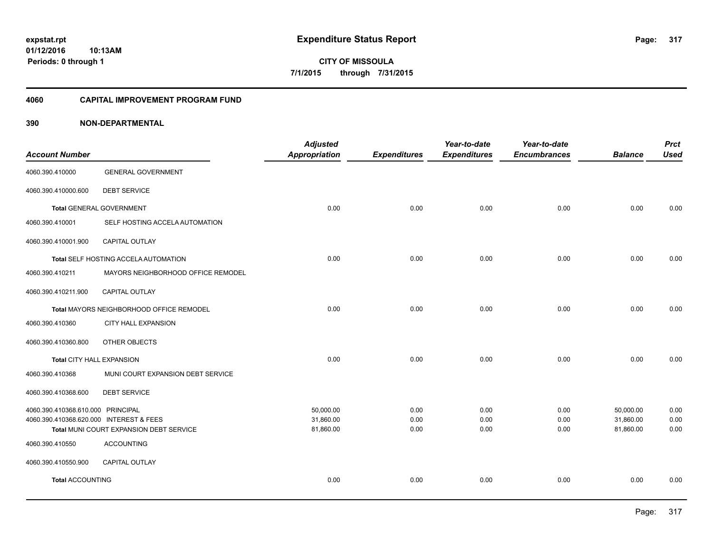**Periods: 0 through 1**

**317**

**CITY OF MISSOULA 7/1/2015 through 7/31/2015**

#### **4060 CAPITAL IMPROVEMENT PROGRAM FUND**

## **390 NON-DEPARTMENTAL**

**10:13AM**

|                                    | <b>Adjusted</b>                                                                                                                                                                                                                                                                                        |                      | Year-to-date        | Year-to-date        |                     | <b>Prct</b>    |
|------------------------------------|--------------------------------------------------------------------------------------------------------------------------------------------------------------------------------------------------------------------------------------------------------------------------------------------------------|----------------------|---------------------|---------------------|---------------------|----------------|
|                                    |                                                                                                                                                                                                                                                                                                        |                      |                     |                     |                     | <b>Used</b>    |
| <b>GENERAL GOVERNMENT</b>          |                                                                                                                                                                                                                                                                                                        |                      |                     |                     |                     |                |
| <b>DEBT SERVICE</b>                |                                                                                                                                                                                                                                                                                                        |                      |                     |                     |                     |                |
|                                    | 0.00                                                                                                                                                                                                                                                                                                   | 0.00                 | 0.00                | 0.00                | 0.00                | 0.00           |
| SELF HOSTING ACCELA AUTOMATION     |                                                                                                                                                                                                                                                                                                        |                      |                     |                     |                     |                |
| <b>CAPITAL OUTLAY</b>              |                                                                                                                                                                                                                                                                                                        |                      |                     |                     |                     |                |
|                                    | 0.00                                                                                                                                                                                                                                                                                                   | 0.00                 | 0.00                | 0.00                | 0.00                | 0.00           |
| MAYORS NEIGHBORHOOD OFFICE REMODEL |                                                                                                                                                                                                                                                                                                        |                      |                     |                     |                     |                |
| CAPITAL OUTLAY                     |                                                                                                                                                                                                                                                                                                        |                      |                     |                     |                     |                |
|                                    | 0.00                                                                                                                                                                                                                                                                                                   | 0.00                 | 0.00                | 0.00                | 0.00                | 0.00           |
| <b>CITY HALL EXPANSION</b>         |                                                                                                                                                                                                                                                                                                        |                      |                     |                     |                     |                |
| OTHER OBJECTS                      |                                                                                                                                                                                                                                                                                                        |                      |                     |                     |                     |                |
|                                    | 0.00                                                                                                                                                                                                                                                                                                   | 0.00                 | 0.00                | 0.00                | 0.00                | 0.00           |
| MUNI COURT EXPANSION DEBT SERVICE  |                                                                                                                                                                                                                                                                                                        |                      |                     |                     |                     |                |
| <b>DEBT SERVICE</b>                |                                                                                                                                                                                                                                                                                                        |                      |                     |                     |                     |                |
|                                    | 50,000.00                                                                                                                                                                                                                                                                                              | 0.00                 | 0.00                | 0.00                | 50,000.00           | 0.00           |
|                                    | 31,860.00                                                                                                                                                                                                                                                                                              | 0.00                 | 0.00                | 0.00                | 31,860.00           | 0.00           |
|                                    | 81,860.00                                                                                                                                                                                                                                                                                              | 0.00                 | 0.00                | 0.00                | 81,860.00           | 0.00           |
| <b>ACCOUNTING</b>                  |                                                                                                                                                                                                                                                                                                        |                      |                     |                     |                     |                |
| <b>CAPITAL OUTLAY</b>              |                                                                                                                                                                                                                                                                                                        |                      |                     |                     |                     |                |
|                                    | 0.00                                                                                                                                                                                                                                                                                                   | 0.00                 | 0.00                | 0.00                | 0.00                | 0.00           |
|                                    | <b>Total GENERAL GOVERNMENT</b><br>Total SELF HOSTING ACCELA AUTOMATION<br>Total MAYORS NEIGHBORHOOD OFFICE REMODEL<br>Total CITY HALL EXPANSION<br>4060.390.410368.610.000 PRINCIPAL<br>4060.390.410368.620.000 INTEREST & FEES<br>Total MUNI COURT EXPANSION DEBT SERVICE<br><b>Total ACCOUNTING</b> | <b>Appropriation</b> | <b>Expenditures</b> | <b>Expenditures</b> | <b>Encumbrances</b> | <b>Balance</b> |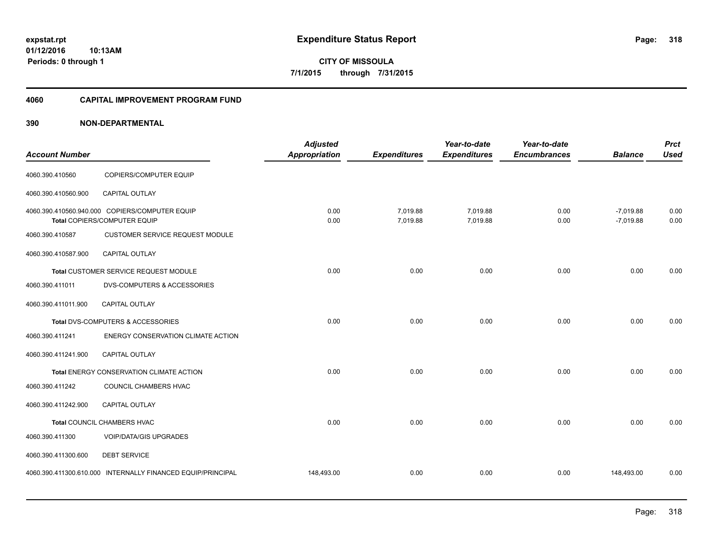**01/12/2016 10:13AM Periods: 0 through 1**

**CITY OF MISSOULA 7/1/2015 through 7/31/2015**

#### **4060 CAPITAL IMPROVEMENT PROGRAM FUND**

| <b>Account Number</b> |                                                                                | <b>Adjusted</b><br><b>Appropriation</b> | <b>Expenditures</b>  | Year-to-date<br><b>Expenditures</b> | Year-to-date<br><b>Encumbrances</b> | <b>Balance</b>             | <b>Prct</b><br><b>Used</b> |
|-----------------------|--------------------------------------------------------------------------------|-----------------------------------------|----------------------|-------------------------------------|-------------------------------------|----------------------------|----------------------------|
| 4060.390.410560       | COPIERS/COMPUTER EQUIP                                                         |                                         |                      |                                     |                                     |                            |                            |
| 4060.390.410560.900   | CAPITAL OUTLAY                                                                 |                                         |                      |                                     |                                     |                            |                            |
|                       | 4060.390.410560.940.000 COPIERS/COMPUTER EQUIP<br>Total COPIERS/COMPUTER EQUIP | 0.00<br>0.00                            | 7,019.88<br>7,019.88 | 7,019.88<br>7,019.88                | 0.00<br>0.00                        | $-7,019.88$<br>$-7,019.88$ | 0.00<br>0.00               |
| 4060.390.410587       | <b>CUSTOMER SERVICE REQUEST MODULE</b>                                         |                                         |                      |                                     |                                     |                            |                            |
| 4060.390.410587.900   | <b>CAPITAL OUTLAY</b>                                                          |                                         |                      |                                     |                                     |                            |                            |
|                       | Total CUSTOMER SERVICE REQUEST MODULE                                          | 0.00                                    | 0.00                 | 0.00                                | 0.00                                | 0.00                       | 0.00                       |
| 4060.390.411011       | <b>DVS-COMPUTERS &amp; ACCESSORIES</b>                                         |                                         |                      |                                     |                                     |                            |                            |
| 4060.390.411011.900   | <b>CAPITAL OUTLAY</b>                                                          |                                         |                      |                                     |                                     |                            |                            |
|                       | Total DVS-COMPUTERS & ACCESSORIES                                              | 0.00                                    | 0.00                 | 0.00                                | 0.00                                | 0.00                       | 0.00                       |
| 4060.390.411241       | ENERGY CONSERVATION CLIMATE ACTION                                             |                                         |                      |                                     |                                     |                            |                            |
| 4060.390.411241.900   | CAPITAL OUTLAY                                                                 |                                         |                      |                                     |                                     |                            |                            |
|                       | Total ENERGY CONSERVATION CLIMATE ACTION                                       | 0.00                                    | 0.00                 | 0.00                                | 0.00                                | 0.00                       | 0.00                       |
| 4060.390.411242       | COUNCIL CHAMBERS HVAC                                                          |                                         |                      |                                     |                                     |                            |                            |
| 4060.390.411242.900   | CAPITAL OUTLAY                                                                 |                                         |                      |                                     |                                     |                            |                            |
|                       | Total COUNCIL CHAMBERS HVAC                                                    | 0.00                                    | 0.00                 | 0.00                                | 0.00                                | 0.00                       | 0.00                       |
| 4060.390.411300       | <b>VOIP/DATA/GIS UPGRADES</b>                                                  |                                         |                      |                                     |                                     |                            |                            |
| 4060.390.411300.600   | <b>DEBT SERVICE</b>                                                            |                                         |                      |                                     |                                     |                            |                            |
|                       | 4060.390.411300.610.000 INTERNALLY FINANCED EQUIP/PRINCIPAL                    | 148,493.00                              | 0.00                 | 0.00                                | 0.00                                | 148,493.00                 | 0.00                       |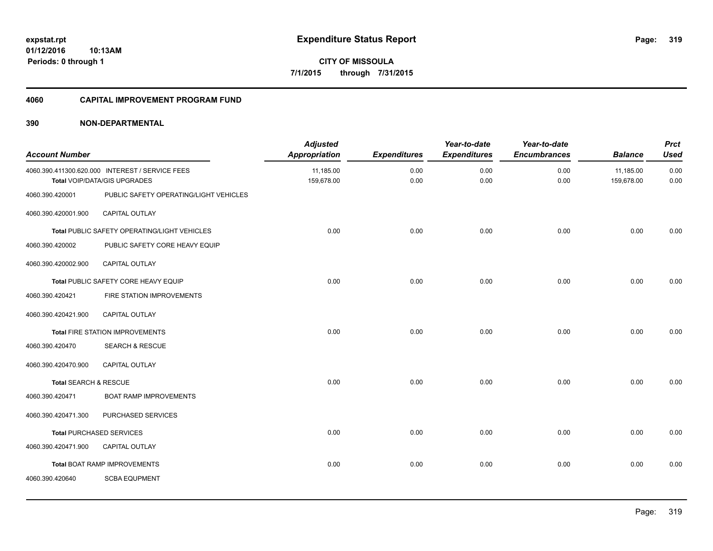**Periods: 0 through 1**

**CITY OF MISSOULA 7/1/2015 through 7/31/2015**

#### **4060 CAPITAL IMPROVEMENT PROGRAM FUND**

## **390 NON-DEPARTMENTAL**

**10:13AM**

| <b>Account Number</b> |                                                                                 | <b>Adjusted</b><br><b>Appropriation</b> | <b>Expenditures</b> | Year-to-date<br><b>Expenditures</b> | Year-to-date<br><b>Encumbrances</b> | <b>Balance</b>          | <b>Prct</b><br><b>Used</b> |
|-----------------------|---------------------------------------------------------------------------------|-----------------------------------------|---------------------|-------------------------------------|-------------------------------------|-------------------------|----------------------------|
|                       | 4060.390.411300.620.000 INTEREST / SERVICE FEES<br>Total VOIP/DATA/GIS UPGRADES | 11,185.00<br>159,678.00                 | 0.00<br>0.00        | 0.00<br>0.00                        | 0.00<br>0.00                        | 11,185.00<br>159,678.00 | 0.00<br>0.00               |
| 4060.390.420001       | PUBLIC SAFETY OPERATING/LIGHT VEHICLES                                          |                                         |                     |                                     |                                     |                         |                            |
| 4060.390.420001.900   | <b>CAPITAL OUTLAY</b>                                                           |                                         |                     |                                     |                                     |                         |                            |
|                       | Total PUBLIC SAFETY OPERATING/LIGHT VEHICLES                                    | 0.00                                    | 0.00                | 0.00                                | 0.00                                | 0.00                    | 0.00                       |
| 4060.390.420002       | PUBLIC SAFETY CORE HEAVY EQUIP                                                  |                                         |                     |                                     |                                     |                         |                            |
| 4060.390.420002.900   | CAPITAL OUTLAY                                                                  |                                         |                     |                                     |                                     |                         |                            |
|                       | Total PUBLIC SAFETY CORE HEAVY EQUIP                                            | 0.00                                    | 0.00                | 0.00                                | 0.00                                | 0.00                    | 0.00                       |
| 4060.390.420421       | FIRE STATION IMPROVEMENTS                                                       |                                         |                     |                                     |                                     |                         |                            |
| 4060.390.420421.900   | CAPITAL OUTLAY                                                                  |                                         |                     |                                     |                                     |                         |                            |
|                       | Total FIRE STATION IMPROVEMENTS                                                 | 0.00                                    | 0.00                | 0.00                                | 0.00                                | 0.00                    | 0.00                       |
| 4060.390.420470       | <b>SEARCH &amp; RESCUE</b>                                                      |                                         |                     |                                     |                                     |                         |                            |
| 4060.390.420470.900   | CAPITAL OUTLAY                                                                  |                                         |                     |                                     |                                     |                         |                            |
| Total SEARCH & RESCUE |                                                                                 | 0.00                                    | 0.00                | 0.00                                | 0.00                                | 0.00                    | 0.00                       |
| 4060.390.420471       | <b>BOAT RAMP IMPROVEMENTS</b>                                                   |                                         |                     |                                     |                                     |                         |                            |
| 4060.390.420471.300   | PURCHASED SERVICES                                                              |                                         |                     |                                     |                                     |                         |                            |
|                       | <b>Total PURCHASED SERVICES</b>                                                 | 0.00                                    | 0.00                | 0.00                                | 0.00                                | 0.00                    | 0.00                       |
| 4060.390.420471.900   | CAPITAL OUTLAY                                                                  |                                         |                     |                                     |                                     |                         |                            |
|                       | <b>Total BOAT RAMP IMPROVEMENTS</b>                                             | 0.00                                    | 0.00                | 0.00                                | 0.00                                | 0.00                    | 0.00                       |
| 4060.390.420640       | <b>SCBA EQUPMENT</b>                                                            |                                         |                     |                                     |                                     |                         |                            |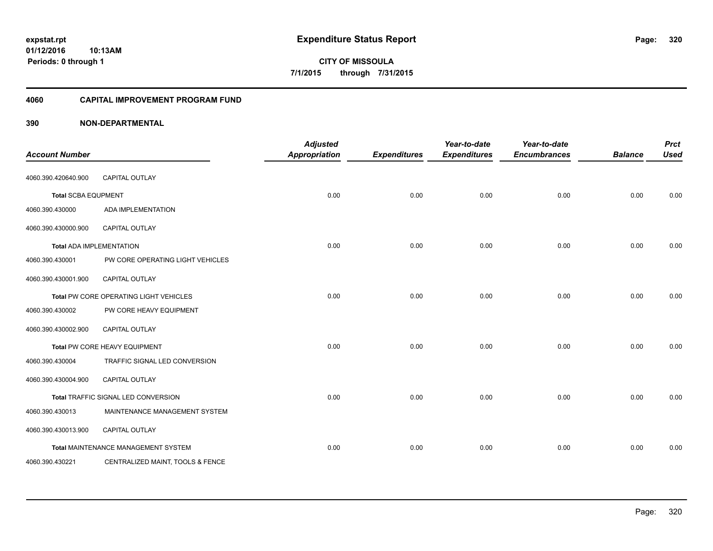**01/12/2016 10:13AM Periods: 0 through 1**

**CITY OF MISSOULA 7/1/2015 through 7/31/2015**

## **4060 CAPITAL IMPROVEMENT PROGRAM FUND**

| <b>Account Number</b>      |                                            | <b>Adjusted</b><br><b>Appropriation</b> | <b>Expenditures</b> | Year-to-date<br><b>Expenditures</b> | Year-to-date<br><b>Encumbrances</b> | <b>Balance</b> | <b>Prct</b><br><b>Used</b> |
|----------------------------|--------------------------------------------|-----------------------------------------|---------------------|-------------------------------------|-------------------------------------|----------------|----------------------------|
| 4060.390.420640.900        | CAPITAL OUTLAY                             |                                         |                     |                                     |                                     |                |                            |
| <b>Total SCBA EQUPMENT</b> |                                            | 0.00                                    | 0.00                | 0.00                                | 0.00                                | 0.00           | 0.00                       |
| 4060.390.430000            | <b>ADA IMPLEMENTATION</b>                  |                                         |                     |                                     |                                     |                |                            |
| 4060.390.430000.900        | CAPITAL OUTLAY                             |                                         |                     |                                     |                                     |                |                            |
|                            | <b>Total ADA IMPLEMENTATION</b>            | 0.00                                    | 0.00                | 0.00                                | 0.00                                | 0.00           | 0.00                       |
| 4060.390.430001            | PW CORE OPERATING LIGHT VEHICLES           |                                         |                     |                                     |                                     |                |                            |
| 4060.390.430001.900        | CAPITAL OUTLAY                             |                                         |                     |                                     |                                     |                |                            |
|                            | Total PW CORE OPERATING LIGHT VEHICLES     | 0.00                                    | 0.00                | 0.00                                | 0.00                                | 0.00           | 0.00                       |
| 4060.390.430002            | PW CORE HEAVY EQUIPMENT                    |                                         |                     |                                     |                                     |                |                            |
| 4060.390.430002.900        | CAPITAL OUTLAY                             |                                         |                     |                                     |                                     |                |                            |
|                            | Total PW CORE HEAVY EQUIPMENT              | 0.00                                    | 0.00                | 0.00                                | 0.00                                | 0.00           | 0.00                       |
| 4060.390.430004            | TRAFFIC SIGNAL LED CONVERSION              |                                         |                     |                                     |                                     |                |                            |
| 4060.390.430004.900        | CAPITAL OUTLAY                             |                                         |                     |                                     |                                     |                |                            |
|                            | Total TRAFFIC SIGNAL LED CONVERSION        | 0.00                                    | 0.00                | 0.00                                | 0.00                                | 0.00           | 0.00                       |
| 4060.390.430013            | MAINTENANCE MANAGEMENT SYSTEM              |                                         |                     |                                     |                                     |                |                            |
| 4060.390.430013.900        | CAPITAL OUTLAY                             |                                         |                     |                                     |                                     |                |                            |
|                            | <b>Total MAINTENANCE MANAGEMENT SYSTEM</b> | 0.00                                    | 0.00                | 0.00                                | 0.00                                | 0.00           | 0.00                       |
| 4060.390.430221            | CENTRALIZED MAINT, TOOLS & FENCE           |                                         |                     |                                     |                                     |                |                            |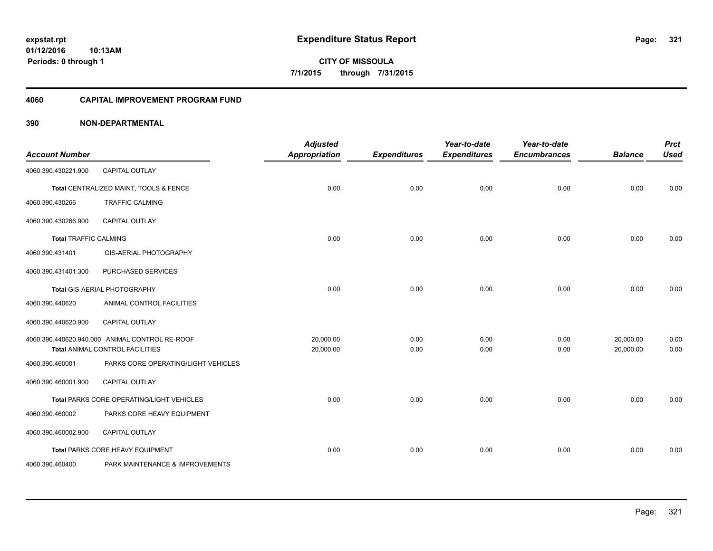**Periods: 0 through 1**

**321**

**CITY OF MISSOULA 7/1/2015 through 7/31/2015**

#### **4060 CAPITAL IMPROVEMENT PROGRAM FUND**

## **390 NON-DEPARTMENTAL**

**10:13AM**

| <b>Account Number</b>        |                                                                                   | <b>Adjusted</b><br><b>Appropriation</b> | <b>Expenditures</b> | Year-to-date<br><b>Expenditures</b> | Year-to-date<br><b>Encumbrances</b> | <b>Balance</b>         | <b>Prct</b><br><b>Used</b> |
|------------------------------|-----------------------------------------------------------------------------------|-----------------------------------------|---------------------|-------------------------------------|-------------------------------------|------------------------|----------------------------|
| 4060.390.430221.900          | CAPITAL OUTLAY                                                                    |                                         |                     |                                     |                                     |                        |                            |
|                              | Total CENTRALIZED MAINT, TOOLS & FENCE                                            | 0.00                                    | 0.00                | 0.00                                | 0.00                                | 0.00                   | 0.00                       |
| 4060.390.430266              | <b>TRAFFIC CALMING</b>                                                            |                                         |                     |                                     |                                     |                        |                            |
| 4060.390.430266.900          | <b>CAPITAL OUTLAY</b>                                                             |                                         |                     |                                     |                                     |                        |                            |
| <b>Total TRAFFIC CALMING</b> |                                                                                   | 0.00                                    | 0.00                | 0.00                                | 0.00                                | 0.00                   | 0.00                       |
| 4060.390.431401              | <b>GIS-AERIAL PHOTOGRAPHY</b>                                                     |                                         |                     |                                     |                                     |                        |                            |
| 4060.390.431401.300          | PURCHASED SERVICES                                                                |                                         |                     |                                     |                                     |                        |                            |
|                              | Total GIS-AERIAL PHOTOGRAPHY                                                      | 0.00                                    | 0.00                | 0.00                                | 0.00                                | 0.00                   | 0.00                       |
| 4060.390.440620              | ANIMAL CONTROL FACILITIES                                                         |                                         |                     |                                     |                                     |                        |                            |
| 4060.390.440620.900          | <b>CAPITAL OUTLAY</b>                                                             |                                         |                     |                                     |                                     |                        |                            |
|                              | 4060.390.440620.940.000 ANIMAL CONTROL RE-ROOF<br>Total ANIMAL CONTROL FACILITIES | 20.000.00<br>20,000.00                  | 0.00<br>0.00        | 0.00<br>0.00                        | 0.00<br>0.00                        | 20,000.00<br>20,000.00 | 0.00<br>0.00               |
| 4060.390.460001              | PARKS CORE OPERATING/LIGHT VEHICLES                                               |                                         |                     |                                     |                                     |                        |                            |
| 4060.390.460001.900          | CAPITAL OUTLAY                                                                    |                                         |                     |                                     |                                     |                        |                            |
|                              | Total PARKS CORE OPERATING/LIGHT VEHICLES                                         | 0.00                                    | 0.00                | 0.00                                | 0.00                                | 0.00                   | 0.00                       |
| 4060.390.460002              | PARKS CORE HEAVY EQUIPMENT                                                        |                                         |                     |                                     |                                     |                        |                            |
| 4060.390.460002.900          | <b>CAPITAL OUTLAY</b>                                                             |                                         |                     |                                     |                                     |                        |                            |
|                              | Total PARKS CORE HEAVY EQUIPMENT                                                  | 0.00                                    | 0.00                | 0.00                                | 0.00                                | 0.00                   | 0.00                       |
| 4060.390.460400              | PARK MAINTENANCE & IMPROVEMENTS                                                   |                                         |                     |                                     |                                     |                        |                            |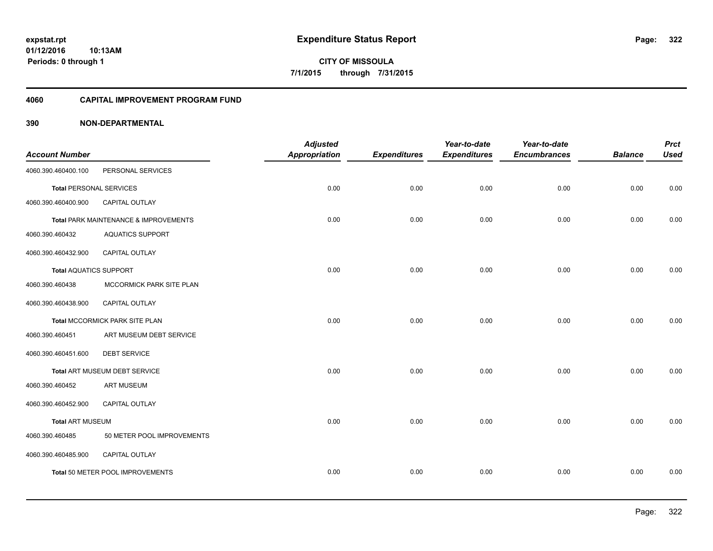**Periods: 0 through 1**

**322**

**CITY OF MISSOULA 7/1/2015 through 7/31/2015**

#### **4060 CAPITAL IMPROVEMENT PROGRAM FUND**

## **390 NON-DEPARTMENTAL**

**10:13AM**

|                                |                                       | <b>Adjusted</b>      |                     | Year-to-date        | Year-to-date        |                | <b>Prct</b> |
|--------------------------------|---------------------------------------|----------------------|---------------------|---------------------|---------------------|----------------|-------------|
| <b>Account Number</b>          |                                       | <b>Appropriation</b> | <b>Expenditures</b> | <b>Expenditures</b> | <b>Encumbrances</b> | <b>Balance</b> | <b>Used</b> |
| 4060.390.460400.100            | PERSONAL SERVICES                     |                      |                     |                     |                     |                |             |
| <b>Total PERSONAL SERVICES</b> |                                       | 0.00                 | 0.00                | 0.00                | 0.00                | 0.00           | 0.00        |
| 4060.390.460400.900            | CAPITAL OUTLAY                        |                      |                     |                     |                     |                |             |
|                                | Total PARK MAINTENANCE & IMPROVEMENTS | 0.00                 | 0.00                | 0.00                | 0.00                | 0.00           | 0.00        |
| 4060.390.460432                | <b>AQUATICS SUPPORT</b>               |                      |                     |                     |                     |                |             |
| 4060.390.460432.900            | <b>CAPITAL OUTLAY</b>                 |                      |                     |                     |                     |                |             |
| <b>Total AQUATICS SUPPORT</b>  |                                       | 0.00                 | 0.00                | 0.00                | 0.00                | 0.00           | 0.00        |
| 4060.390.460438                | MCCORMICK PARK SITE PLAN              |                      |                     |                     |                     |                |             |
| 4060.390.460438.900            | CAPITAL OUTLAY                        |                      |                     |                     |                     |                |             |
|                                | Total MCCORMICK PARK SITE PLAN        | 0.00                 | 0.00                | 0.00                | 0.00                | 0.00           | 0.00        |
| 4060.390.460451                | ART MUSEUM DEBT SERVICE               |                      |                     |                     |                     |                |             |
| 4060.390.460451.600            | <b>DEBT SERVICE</b>                   |                      |                     |                     |                     |                |             |
|                                | Total ART MUSEUM DEBT SERVICE         | 0.00                 | 0.00                | 0.00                | 0.00                | 0.00           | 0.00        |
| 4060.390.460452                | <b>ART MUSEUM</b>                     |                      |                     |                     |                     |                |             |
| 4060.390.460452.900            | CAPITAL OUTLAY                        |                      |                     |                     |                     |                |             |
| <b>Total ART MUSEUM</b>        |                                       | 0.00                 | 0.00                | 0.00                | 0.00                | 0.00           | 0.00        |
| 4060.390.460485                | 50 METER POOL IMPROVEMENTS            |                      |                     |                     |                     |                |             |
| 4060.390.460485.900            | CAPITAL OUTLAY                        |                      |                     |                     |                     |                |             |
|                                | Total 50 METER POOL IMPROVEMENTS      | 0.00                 | 0.00                | 0.00                | 0.00                | 0.00           | 0.00        |
|                                |                                       |                      |                     |                     |                     |                |             |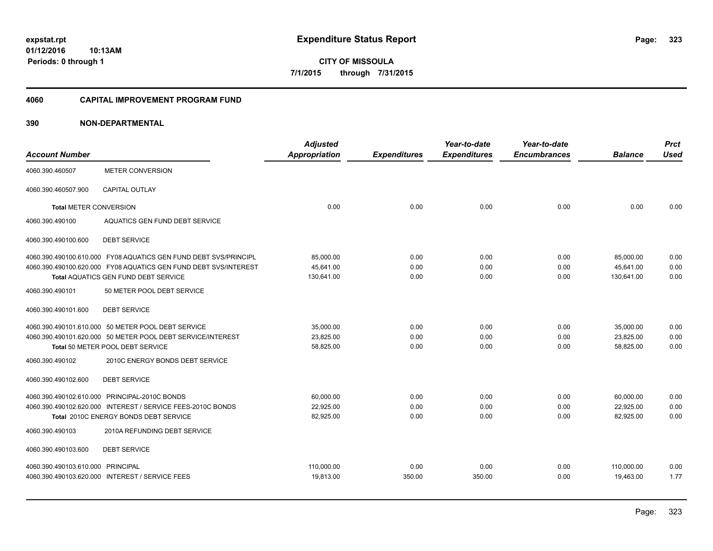**01/12/2016 10:13AM Periods: 0 through 1**

**CITY OF MISSOULA 7/1/2015 through 7/31/2015**

#### **4060 CAPITAL IMPROVEMENT PROGRAM FUND**

| <b>Account Number</b>             |                                                                  | <b>Adjusted</b><br>Appropriation | <b>Expenditures</b> | Year-to-date<br><b>Expenditures</b> | Year-to-date<br><b>Encumbrances</b> | <b>Balance</b> | <b>Prct</b><br><b>Used</b> |
|-----------------------------------|------------------------------------------------------------------|----------------------------------|---------------------|-------------------------------------|-------------------------------------|----------------|----------------------------|
| 4060.390.460507                   | <b>METER CONVERSION</b>                                          |                                  |                     |                                     |                                     |                |                            |
| 4060.390.460507.900               | <b>CAPITAL OUTLAY</b>                                            |                                  |                     |                                     |                                     |                |                            |
| <b>Total METER CONVERSION</b>     |                                                                  | 0.00                             | 0.00                | 0.00                                | 0.00                                | 0.00           | 0.00                       |
| 4060.390.490100                   | AQUATICS GEN FUND DEBT SERVICE                                   |                                  |                     |                                     |                                     |                |                            |
| 4060.390.490100.600               | <b>DEBT SERVICE</b>                                              |                                  |                     |                                     |                                     |                |                            |
|                                   | 4060.390.490100.610.000 FY08 AQUATICS GEN FUND DEBT SVS/PRINCIPL | 85,000.00                        | 0.00                | 0.00                                | 0.00                                | 85,000.00      | 0.00                       |
|                                   | 4060.390.490100.620.000 FY08 AQUATICS GEN FUND DEBT SVS/INTEREST | 45.641.00                        | 0.00                | 0.00                                | 0.00                                | 45.641.00      | 0.00                       |
|                                   | Total AQUATICS GEN FUND DEBT SERVICE                             | 130,641.00                       | 0.00                | 0.00                                | 0.00                                | 130,641.00     | 0.00                       |
| 4060.390.490101                   | 50 METER POOL DEBT SERVICE                                       |                                  |                     |                                     |                                     |                |                            |
| 4060.390.490101.600               | <b>DEBT SERVICE</b>                                              |                                  |                     |                                     |                                     |                |                            |
|                                   | 4060.390.490101.610.000 50 METER POOL DEBT SERVICE               | 35,000.00                        | 0.00                | 0.00                                | 0.00                                | 35,000.00      | 0.00                       |
|                                   | 4060.390.490101.620.000 50 METER POOL DEBT SERVICE/INTEREST      | 23.825.00                        | 0.00                | 0.00                                | 0.00                                | 23.825.00      | 0.00                       |
|                                   | Total 50 METER POOL DEBT SERVICE                                 | 58,825.00                        | 0.00                | 0.00                                | 0.00                                | 58,825.00      | 0.00                       |
| 4060.390.490102                   | 2010C ENERGY BONDS DEBT SERVICE                                  |                                  |                     |                                     |                                     |                |                            |
| 4060.390.490102.600               | <b>DEBT SERVICE</b>                                              |                                  |                     |                                     |                                     |                |                            |
|                                   | 4060.390.490102.610.000 PRINCIPAL-2010C BONDS                    | 60,000.00                        | 0.00                | 0.00                                | 0.00                                | 60,000.00      | 0.00                       |
|                                   | 4060.390.490102.620.000 INTEREST / SERVICE FEES-2010C BONDS      | 22.925.00                        | 0.00                | 0.00                                | 0.00                                | 22.925.00      | 0.00                       |
|                                   | Total 2010C ENERGY BONDS DEBT SERVICE                            | 82,925.00                        | 0.00                | 0.00                                | 0.00                                | 82,925.00      | 0.00                       |
| 4060.390.490103                   | 2010A REFUNDING DEBT SERVICE                                     |                                  |                     |                                     |                                     |                |                            |
| 4060.390.490103.600               | <b>DEBT SERVICE</b>                                              |                                  |                     |                                     |                                     |                |                            |
| 4060.390.490103.610.000 PRINCIPAL |                                                                  | 110,000.00                       | 0.00                | 0.00                                | 0.00                                | 110,000.00     | 0.00                       |
|                                   | 4060.390.490103.620.000 INTEREST / SERVICE FEES                  | 19.813.00                        | 350.00              | 350.00                              | 0.00                                | 19.463.00      | 1.77                       |
|                                   |                                                                  |                                  |                     |                                     |                                     |                |                            |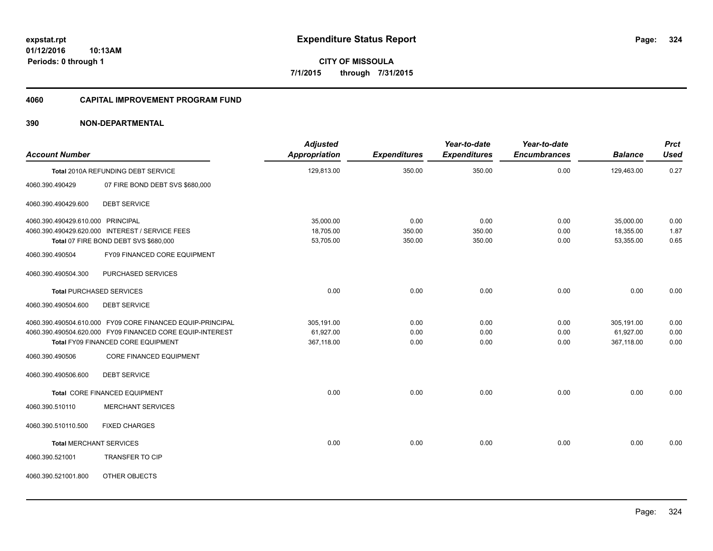**324**

**01/12/2016 10:13AM Periods: 0 through 1**

**CITY OF MISSOULA 7/1/2015 through 7/31/2015**

#### **4060 CAPITAL IMPROVEMENT PROGRAM FUND**

| <b>Account Number</b>             |                                                            | <b>Adjusted</b><br>Appropriation | <b>Expenditures</b> | Year-to-date<br><b>Expenditures</b> | Year-to-date<br><b>Encumbrances</b> | <b>Balance</b> | <b>Prct</b><br><b>Used</b> |
|-----------------------------------|------------------------------------------------------------|----------------------------------|---------------------|-------------------------------------|-------------------------------------|----------------|----------------------------|
|                                   | Total 2010A REFUNDING DEBT SERVICE                         | 129,813.00                       | 350.00              | 350.00                              | 0.00                                | 129,463.00     | 0.27                       |
| 4060.390.490429                   | 07 FIRE BOND DEBT SVS \$680,000                            |                                  |                     |                                     |                                     |                |                            |
| 4060.390.490429.600               | <b>DEBT SERVICE</b>                                        |                                  |                     |                                     |                                     |                |                            |
| 4060.390.490429.610.000 PRINCIPAL |                                                            | 35,000.00                        | 0.00                | 0.00                                | 0.00                                | 35,000.00      | 0.00                       |
|                                   | 4060.390.490429.620.000 INTEREST / SERVICE FEES            | 18,705.00                        | 350.00              | 350.00                              | 0.00                                | 18,355.00      | 1.87                       |
|                                   | Total 07 FIRE BOND DEBT SVS \$680,000                      | 53,705.00                        | 350.00              | 350.00                              | 0.00                                | 53,355.00      | 0.65                       |
| 4060.390.490504                   | FY09 FINANCED CORE EQUIPMENT                               |                                  |                     |                                     |                                     |                |                            |
| 4060.390.490504.300               | PURCHASED SERVICES                                         |                                  |                     |                                     |                                     |                |                            |
|                                   | <b>Total PURCHASED SERVICES</b>                            | 0.00                             | 0.00                | 0.00                                | 0.00                                | 0.00           | 0.00                       |
| 4060.390.490504.600               | <b>DEBT SERVICE</b>                                        |                                  |                     |                                     |                                     |                |                            |
|                                   | 4060.390.490504.610.000 FY09 CORE FINANCED EQUIP-PRINCIPAL | 305,191.00                       | 0.00                | 0.00                                | 0.00                                | 305,191.00     | 0.00                       |
|                                   | 4060.390.490504.620.000 FY09 FINANCED CORE EQUIP-INTEREST  | 61,927.00                        | 0.00                | 0.00                                | 0.00                                | 61,927.00      | 0.00                       |
|                                   | Total FY09 FINANCED CORE EQUIPMENT                         | 367,118.00                       | 0.00                | 0.00                                | 0.00                                | 367,118.00     | 0.00                       |
| 4060.390.490506                   | <b>CORE FINANCED EQUIPMENT</b>                             |                                  |                     |                                     |                                     |                |                            |
| 4060.390.490506.600               | <b>DEBT SERVICE</b>                                        |                                  |                     |                                     |                                     |                |                            |
|                                   | Total CORE FINANCED EQUIPMENT                              | 0.00                             | 0.00                | 0.00                                | 0.00                                | 0.00           | 0.00                       |
| 4060.390.510110                   | <b>MERCHANT SERVICES</b>                                   |                                  |                     |                                     |                                     |                |                            |
| 4060.390.510110.500               | <b>FIXED CHARGES</b>                                       |                                  |                     |                                     |                                     |                |                            |
| <b>Total MERCHANT SERVICES</b>    |                                                            | 0.00                             | 0.00                | 0.00                                | 0.00                                | 0.00           | 0.00                       |
| 4060.390.521001                   | <b>TRANSFER TO CIP</b>                                     |                                  |                     |                                     |                                     |                |                            |
| 4060.390.521001.800               | OTHER OBJECTS                                              |                                  |                     |                                     |                                     |                |                            |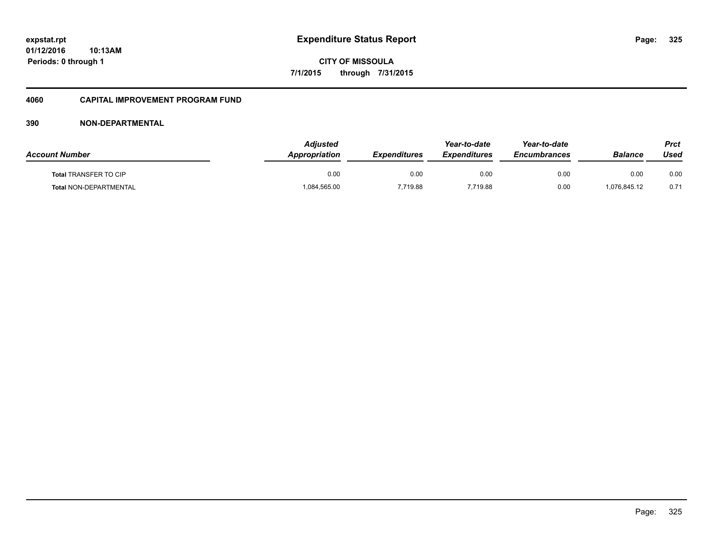**01/12/2016 10:13AM Periods: 0 through 1**

**CITY OF MISSOULA 7/1/2015 through 7/31/2015**

#### **4060 CAPITAL IMPROVEMENT PROGRAM FUND**

| <b>Account Number</b>         | Adjusted<br>Appropriation | <b>Expenditures</b> | Year-to-date<br><b>Expenditures</b> | Year-to-date<br><b>Encumbrances</b> | Balance      | Prct<br>Used |
|-------------------------------|---------------------------|---------------------|-------------------------------------|-------------------------------------|--------------|--------------|
| <b>Total TRANSFER TO CIP</b>  | 0.00                      | 0.00                | 0.00                                | 0.00                                | 0.00         | 0.00         |
| <b>Total NON-DEPARTMENTAL</b> | 084,565.00                | 7,719.88            | 719.88                              | 0.00                                | 1,076,845.12 | 0.71         |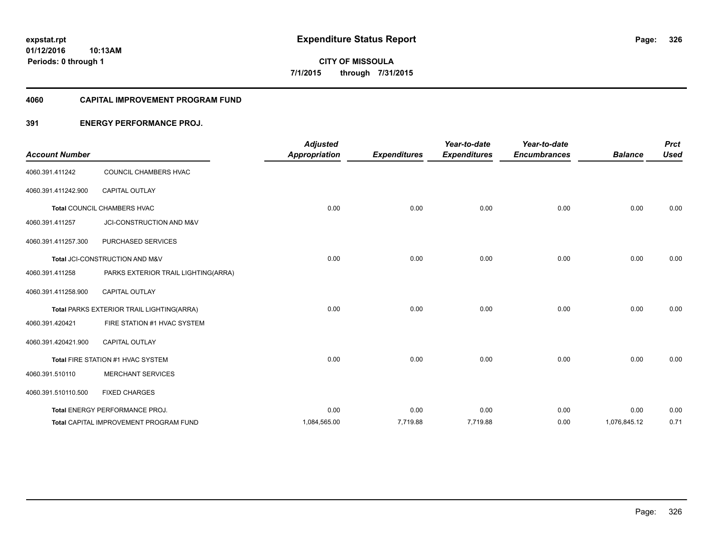**01/12/2016 10:13AM Periods: 0 through 1**

**CITY OF MISSOULA 7/1/2015 through 7/31/2015**

#### **4060 CAPITAL IMPROVEMENT PROGRAM FUND**

#### **391 ENERGY PERFORMANCE PROJ.**

| <b>Account Number</b> |                                               | <b>Adjusted</b><br><b>Appropriation</b> | <b>Expenditures</b> | Year-to-date<br><b>Expenditures</b> | Year-to-date<br><b>Encumbrances</b> | <b>Balance</b> | <b>Prct</b><br><b>Used</b> |
|-----------------------|-----------------------------------------------|-----------------------------------------|---------------------|-------------------------------------|-------------------------------------|----------------|----------------------------|
| 4060.391.411242       | COUNCIL CHAMBERS HVAC                         |                                         |                     |                                     |                                     |                |                            |
| 4060.391.411242.900   | <b>CAPITAL OUTLAY</b>                         |                                         |                     |                                     |                                     |                |                            |
|                       | Total COUNCIL CHAMBERS HVAC                   | 0.00                                    | 0.00                | 0.00                                | 0.00                                | 0.00           | 0.00                       |
| 4060.391.411257       | JCI-CONSTRUCTION AND M&V                      |                                         |                     |                                     |                                     |                |                            |
| 4060.391.411257.300   | PURCHASED SERVICES                            |                                         |                     |                                     |                                     |                |                            |
|                       | Total JCI-CONSTRUCTION AND M&V                | 0.00                                    | 0.00                | 0.00                                | 0.00                                | 0.00           | 0.00                       |
| 4060.391.411258       | PARKS EXTERIOR TRAIL LIGHTING(ARRA)           |                                         |                     |                                     |                                     |                |                            |
| 4060.391.411258.900   | <b>CAPITAL OUTLAY</b>                         |                                         |                     |                                     |                                     |                |                            |
|                       | Total PARKS EXTERIOR TRAIL LIGHTING(ARRA)     | 0.00                                    | 0.00                | 0.00                                | 0.00                                | 0.00           | 0.00                       |
| 4060.391.420421       | FIRE STATION #1 HVAC SYSTEM                   |                                         |                     |                                     |                                     |                |                            |
| 4060.391.420421.900   | CAPITAL OUTLAY                                |                                         |                     |                                     |                                     |                |                            |
|                       | Total FIRE STATION #1 HVAC SYSTEM             | 0.00                                    | 0.00                | 0.00                                | 0.00                                | 0.00           | 0.00                       |
| 4060.391.510110       | <b>MERCHANT SERVICES</b>                      |                                         |                     |                                     |                                     |                |                            |
| 4060.391.510110.500   | <b>FIXED CHARGES</b>                          |                                         |                     |                                     |                                     |                |                            |
|                       | Total ENERGY PERFORMANCE PROJ.                | 0.00                                    | 0.00                | 0.00                                | 0.00                                | 0.00           | 0.00                       |
|                       | <b>Total CAPITAL IMPROVEMENT PROGRAM FUND</b> | 1,084,565.00                            | 7,719.88            | 7,719.88                            | 0.00                                | 1,076,845.12   | 0.71                       |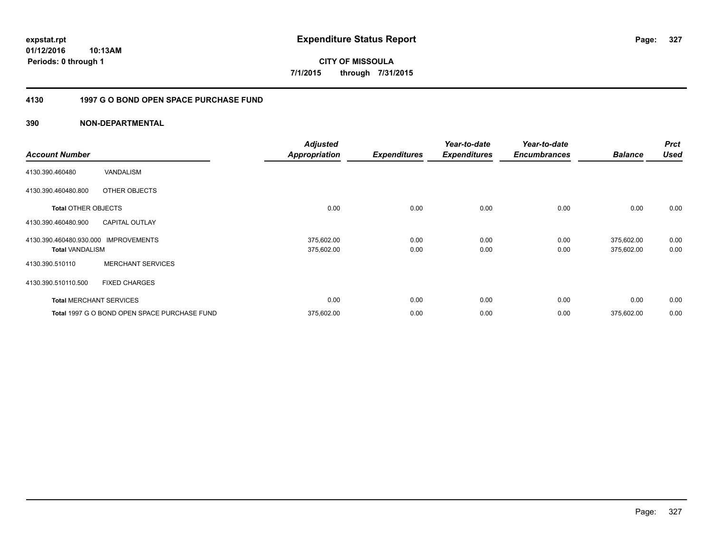**01/12/2016 10:13AM Periods: 0 through 1**

**CITY OF MISSOULA 7/1/2015 through 7/31/2015**

#### **4130 1997 G O BOND OPEN SPACE PURCHASE FUND**

| <b>Account Number</b>                             |                                              | <b>Adjusted</b><br><b>Appropriation</b> | <b>Expenditures</b> | Year-to-date<br><b>Expenditures</b> | Year-to-date<br><b>Encumbrances</b> | <b>Balance</b>           | <b>Prct</b><br><b>Used</b> |
|---------------------------------------------------|----------------------------------------------|-----------------------------------------|---------------------|-------------------------------------|-------------------------------------|--------------------------|----------------------------|
| 4130.390.460480                                   | <b>VANDALISM</b>                             |                                         |                     |                                     |                                     |                          |                            |
| 4130.390.460480.800                               | OTHER OBJECTS                                |                                         |                     |                                     |                                     |                          |                            |
| <b>Total OTHER OBJECTS</b>                        |                                              | 0.00                                    | 0.00                | 0.00                                | 0.00                                | 0.00                     | 0.00                       |
| 4130.390.460480.900                               | <b>CAPITAL OUTLAY</b>                        |                                         |                     |                                     |                                     |                          |                            |
| 4130.390.460480.930.000<br><b>Total VANDALISM</b> | <b>IMPROVEMENTS</b>                          | 375,602.00<br>375,602.00                | 0.00<br>0.00        | 0.00<br>0.00                        | 0.00<br>0.00                        | 375,602.00<br>375,602.00 | 0.00<br>0.00               |
| 4130.390.510110                                   | <b>MERCHANT SERVICES</b>                     |                                         |                     |                                     |                                     |                          |                            |
| 4130.390.510110.500                               | <b>FIXED CHARGES</b>                         |                                         |                     |                                     |                                     |                          |                            |
|                                                   | <b>Total MERCHANT SERVICES</b>               | 0.00                                    | 0.00                | 0.00                                | 0.00                                | 0.00                     | 0.00                       |
|                                                   | Total 1997 G O BOND OPEN SPACE PURCHASE FUND | 375,602.00                              | 0.00                | 0.00                                | 0.00                                | 375,602.00               | 0.00                       |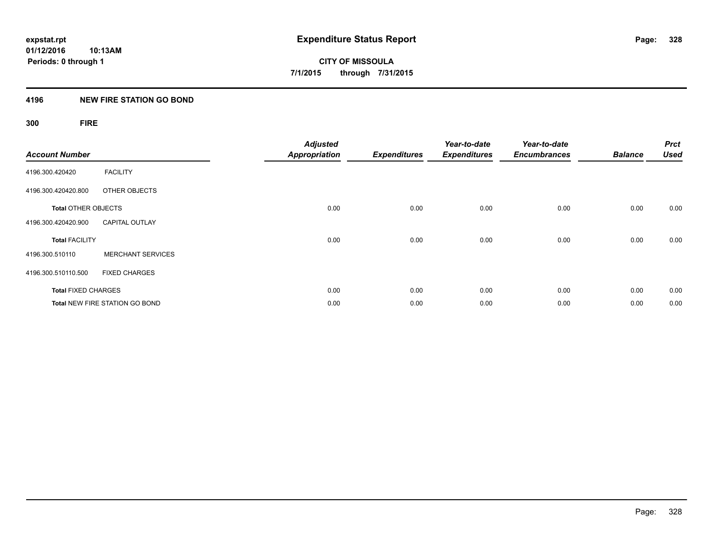#### **4196 NEW FIRE STATION GO BOND**

## **300 FIRE**

| <b>Account Number</b>      |                                       | <b>Adjusted</b><br><b>Appropriation</b> | <b>Expenditures</b> | Year-to-date<br><b>Expenditures</b> | Year-to-date<br><b>Encumbrances</b> | <b>Balance</b> | <b>Prct</b><br><b>Used</b> |
|----------------------------|---------------------------------------|-----------------------------------------|---------------------|-------------------------------------|-------------------------------------|----------------|----------------------------|
| 4196.300.420420            | <b>FACILITY</b>                       |                                         |                     |                                     |                                     |                |                            |
| 4196.300.420420.800        | OTHER OBJECTS                         |                                         |                     |                                     |                                     |                |                            |
| <b>Total OTHER OBJECTS</b> |                                       | 0.00                                    | 0.00                | 0.00                                | 0.00                                | 0.00           | 0.00                       |
| 4196.300.420420.900        | <b>CAPITAL OUTLAY</b>                 |                                         |                     |                                     |                                     |                |                            |
| <b>Total FACILITY</b>      |                                       | 0.00                                    | 0.00                | 0.00                                | 0.00                                | 0.00           | 0.00                       |
| 4196.300.510110            | <b>MERCHANT SERVICES</b>              |                                         |                     |                                     |                                     |                |                            |
| 4196.300.510110.500        | <b>FIXED CHARGES</b>                  |                                         |                     |                                     |                                     |                |                            |
| <b>Total FIXED CHARGES</b> |                                       | 0.00                                    | 0.00                | 0.00                                | 0.00                                | 0.00           | 0.00                       |
|                            | <b>Total NEW FIRE STATION GO BOND</b> | 0.00                                    | 0.00                | 0.00                                | 0.00                                | 0.00           | 0.00                       |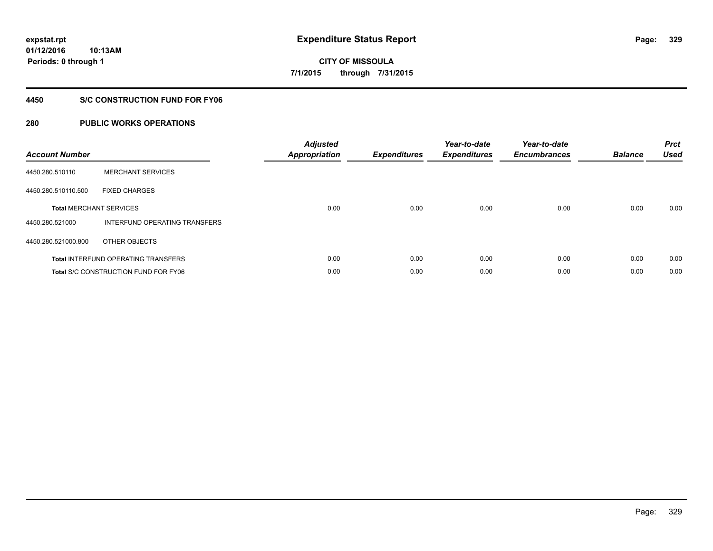**01/12/2016 10:13AM Periods: 0 through 1**

**CITY OF MISSOULA 7/1/2015 through 7/31/2015**

#### **4450 S/C CONSTRUCTION FUND FOR FY06**

| <b>Account Number</b> |                                             | <b>Adjusted</b><br><b>Appropriation</b> | <b>Expenditures</b> | Year-to-date<br><b>Expenditures</b> | Year-to-date<br><b>Encumbrances</b> | <b>Balance</b> | <b>Prct</b><br><b>Used</b> |
|-----------------------|---------------------------------------------|-----------------------------------------|---------------------|-------------------------------------|-------------------------------------|----------------|----------------------------|
| 4450.280.510110       | <b>MERCHANT SERVICES</b>                    |                                         |                     |                                     |                                     |                |                            |
| 4450.280.510110.500   | <b>FIXED CHARGES</b>                        |                                         |                     |                                     |                                     |                |                            |
|                       | <b>Total MERCHANT SERVICES</b>              | 0.00                                    | 0.00                | 0.00                                | 0.00                                | 0.00           | 0.00                       |
| 4450.280.521000       | INTERFUND OPERATING TRANSFERS               |                                         |                     |                                     |                                     |                |                            |
| 4450.280.521000.800   | OTHER OBJECTS                               |                                         |                     |                                     |                                     |                |                            |
|                       | <b>Total INTERFUND OPERATING TRANSFERS</b>  | 0.00                                    | 0.00                | 0.00                                | 0.00                                | 0.00           | 0.00                       |
|                       | <b>Total S/C CONSTRUCTION FUND FOR FY06</b> | 0.00                                    | 0.00                | 0.00                                | 0.00                                | 0.00           | 0.00                       |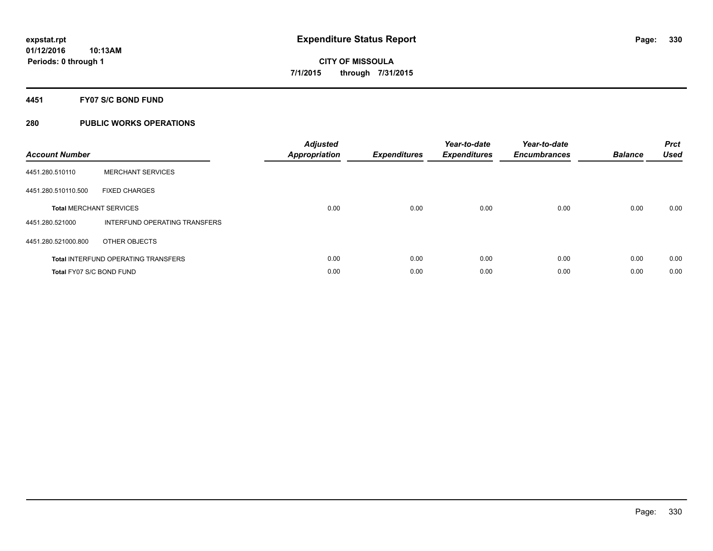#### **4451 FY07 S/C BOND FUND**

| <b>Account Number</b>           |                                            | <b>Adjusted</b><br>Appropriation | <b>Expenditures</b> | Year-to-date<br><b>Expenditures</b> | Year-to-date<br><b>Encumbrances</b> | <b>Balance</b> | <b>Prct</b><br><b>Used</b> |
|---------------------------------|--------------------------------------------|----------------------------------|---------------------|-------------------------------------|-------------------------------------|----------------|----------------------------|
| 4451.280.510110                 | <b>MERCHANT SERVICES</b>                   |                                  |                     |                                     |                                     |                |                            |
| 4451.280.510110.500             | <b>FIXED CHARGES</b>                       |                                  |                     |                                     |                                     |                |                            |
|                                 | <b>Total MERCHANT SERVICES</b>             | 0.00                             | 0.00                | 0.00                                | 0.00                                | 0.00           | 0.00                       |
| 4451.280.521000                 | INTERFUND OPERATING TRANSFERS              |                                  |                     |                                     |                                     |                |                            |
| 4451.280.521000.800             | OTHER OBJECTS                              |                                  |                     |                                     |                                     |                |                            |
|                                 | <b>Total INTERFUND OPERATING TRANSFERS</b> | 0.00                             | 0.00                | 0.00                                | 0.00                                | 0.00           | 0.00                       |
| <b>Total FY07 S/C BOND FUND</b> |                                            | 0.00                             | 0.00                | 0.00                                | 0.00                                | 0.00           | 0.00                       |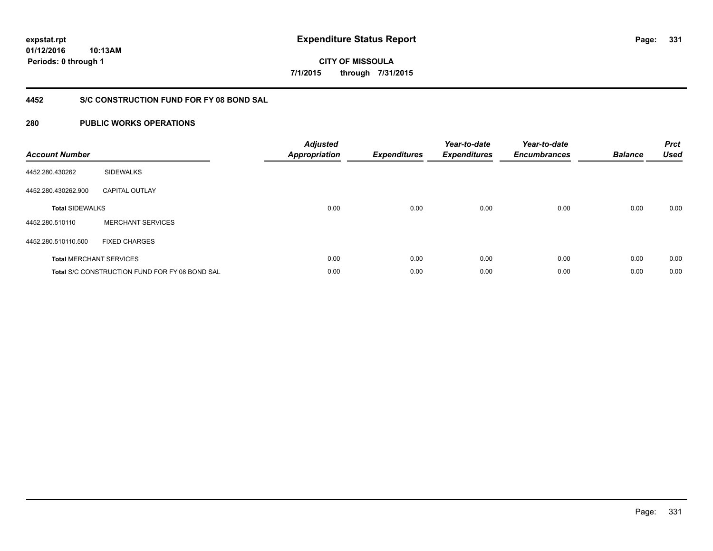**01/12/2016 10:13AM Periods: 0 through 1**

**CITY OF MISSOULA 7/1/2015 through 7/31/2015**

#### **4452 S/C CONSTRUCTION FUND FOR FY 08 BOND SAL**

| <b>Account Number</b>  |                                                       | <b>Adjusted</b><br>Appropriation | <b>Expenditures</b> | Year-to-date<br><b>Expenditures</b> | Year-to-date<br><b>Encumbrances</b> | <b>Balance</b> | <b>Prct</b><br><b>Used</b> |
|------------------------|-------------------------------------------------------|----------------------------------|---------------------|-------------------------------------|-------------------------------------|----------------|----------------------------|
| 4452.280.430262        | <b>SIDEWALKS</b>                                      |                                  |                     |                                     |                                     |                |                            |
| 4452.280.430262.900    | <b>CAPITAL OUTLAY</b>                                 |                                  |                     |                                     |                                     |                |                            |
| <b>Total SIDEWALKS</b> |                                                       | 0.00                             | 0.00                | 0.00                                | 0.00                                | 0.00           | 0.00                       |
| 4452.280.510110        | <b>MERCHANT SERVICES</b>                              |                                  |                     |                                     |                                     |                |                            |
| 4452.280.510110.500    | <b>FIXED CHARGES</b>                                  |                                  |                     |                                     |                                     |                |                            |
|                        | <b>Total MERCHANT SERVICES</b>                        | 0.00                             | 0.00                | 0.00                                | 0.00                                | 0.00           | 0.00                       |
|                        | <b>Total S/C CONSTRUCTION FUND FOR FY 08 BOND SAL</b> | 0.00                             | 0.00                | 0.00                                | 0.00                                | 0.00           | 0.00                       |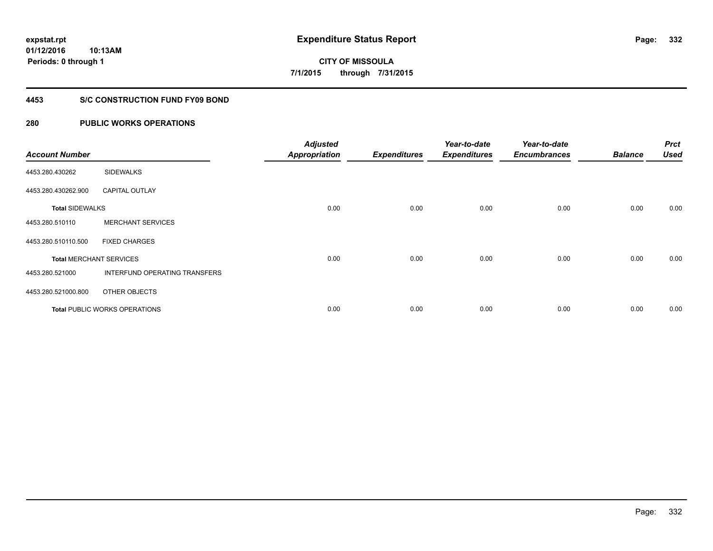**01/12/2016 10:13AM Periods: 0 through 1**

# **CITY OF MISSOULA 7/1/2015 through 7/31/2015**

#### **4453 S/C CONSTRUCTION FUND FY09 BOND**

| <b>Account Number</b>  |                                      | <b>Adjusted</b><br><b>Appropriation</b> | <b>Expenditures</b> | Year-to-date<br><b>Expenditures</b> | Year-to-date<br><b>Encumbrances</b> | <b>Balance</b> | <b>Prct</b><br><b>Used</b> |
|------------------------|--------------------------------------|-----------------------------------------|---------------------|-------------------------------------|-------------------------------------|----------------|----------------------------|
| 4453.280.430262        | <b>SIDEWALKS</b>                     |                                         |                     |                                     |                                     |                |                            |
| 4453.280.430262.900    | <b>CAPITAL OUTLAY</b>                |                                         |                     |                                     |                                     |                |                            |
| <b>Total SIDEWALKS</b> |                                      | 0.00                                    | 0.00                | 0.00                                | 0.00                                | 0.00           | 0.00                       |
| 4453.280.510110        | <b>MERCHANT SERVICES</b>             |                                         |                     |                                     |                                     |                |                            |
| 4453.280.510110.500    | <b>FIXED CHARGES</b>                 |                                         |                     |                                     |                                     |                |                            |
|                        | <b>Total MERCHANT SERVICES</b>       | 0.00                                    | 0.00                | 0.00                                | 0.00                                | 0.00           | 0.00                       |
| 4453.280.521000        | INTERFUND OPERATING TRANSFERS        |                                         |                     |                                     |                                     |                |                            |
| 4453.280.521000.800    | OTHER OBJECTS                        |                                         |                     |                                     |                                     |                |                            |
|                        | <b>Total PUBLIC WORKS OPERATIONS</b> | 0.00                                    | 0.00                | 0.00                                | 0.00                                | 0.00           | 0.00                       |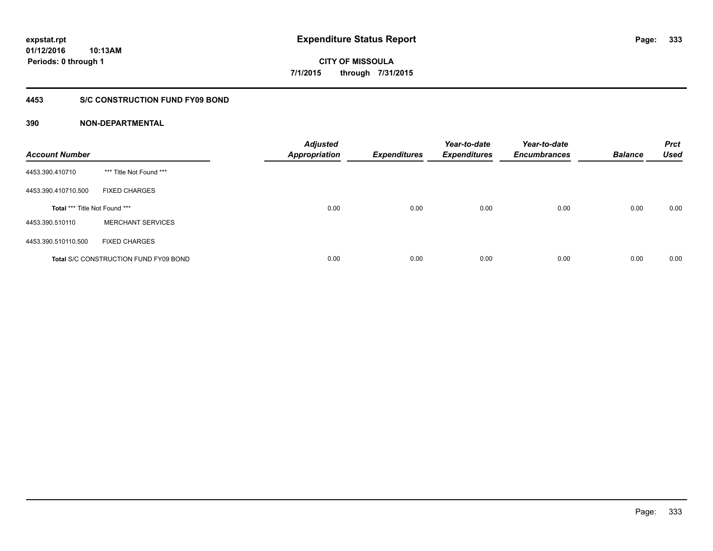**Periods: 0 through 1**

**CITY OF MISSOULA 7/1/2015 through 7/31/2015**

#### **4453 S/C CONSTRUCTION FUND FY09 BOND**

#### **390 NON-DEPARTMENTAL**

**10:13AM**

| <b>Account Number</b>         |                                              | <b>Adjusted</b><br><b>Appropriation</b> | <b>Expenditures</b> | Year-to-date<br><b>Expenditures</b> | Year-to-date<br><b>Encumbrances</b> | <b>Balance</b> | <b>Prct</b><br><b>Used</b> |
|-------------------------------|----------------------------------------------|-----------------------------------------|---------------------|-------------------------------------|-------------------------------------|----------------|----------------------------|
| 4453.390.410710               | *** Title Not Found ***                      |                                         |                     |                                     |                                     |                |                            |
| 4453.390.410710.500           | <b>FIXED CHARGES</b>                         |                                         |                     |                                     |                                     |                |                            |
| Total *** Title Not Found *** |                                              | 0.00                                    | 0.00                | 0.00                                | 0.00                                | 0.00           | 0.00                       |
| 4453.390.510110               | <b>MERCHANT SERVICES</b>                     |                                         |                     |                                     |                                     |                |                            |
| 4453.390.510110.500           | <b>FIXED CHARGES</b>                         |                                         |                     |                                     |                                     |                |                            |
|                               | <b>Total S/C CONSTRUCTION FUND FY09 BOND</b> | 0.00                                    | 0.00                | 0.00                                | 0.00                                | 0.00           | 0.00                       |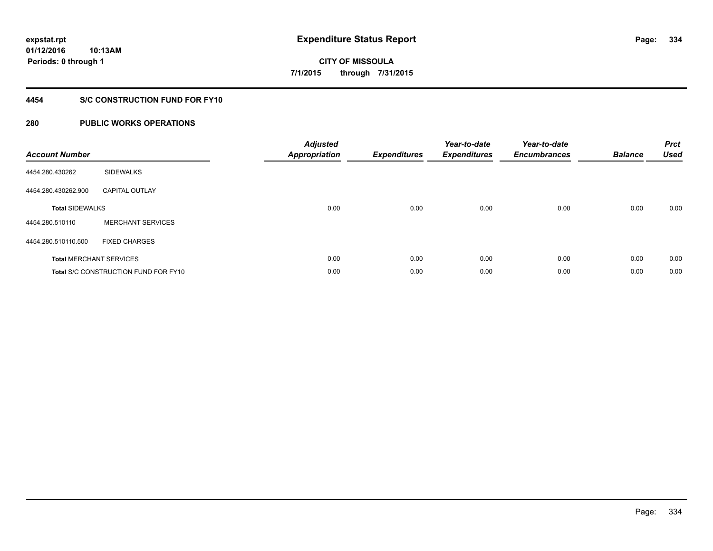**01/12/2016 10:13AM Periods: 0 through 1**

**CITY OF MISSOULA 7/1/2015 through 7/31/2015**

#### **4454 S/C CONSTRUCTION FUND FOR FY10**

| <b>Account Number</b>  |                                             | <b>Adjusted</b><br><b>Appropriation</b> | <b>Expenditures</b> | Year-to-date<br><b>Expenditures</b> | Year-to-date<br><b>Encumbrances</b> | <b>Balance</b> | <b>Prct</b><br><b>Used</b> |
|------------------------|---------------------------------------------|-----------------------------------------|---------------------|-------------------------------------|-------------------------------------|----------------|----------------------------|
| 4454.280.430262        | <b>SIDEWALKS</b>                            |                                         |                     |                                     |                                     |                |                            |
| 4454.280.430262.900    | <b>CAPITAL OUTLAY</b>                       |                                         |                     |                                     |                                     |                |                            |
| <b>Total SIDEWALKS</b> |                                             | 0.00                                    | 0.00                | 0.00                                | 0.00                                | 0.00           | 0.00                       |
| 4454.280.510110        | <b>MERCHANT SERVICES</b>                    |                                         |                     |                                     |                                     |                |                            |
| 4454.280.510110.500    | <b>FIXED CHARGES</b>                        |                                         |                     |                                     |                                     |                |                            |
|                        | <b>Total MERCHANT SERVICES</b>              | 0.00                                    | 0.00                | 0.00                                | 0.00                                | 0.00           | 0.00                       |
|                        | <b>Total S/C CONSTRUCTION FUND FOR FY10</b> | 0.00                                    | 0.00                | 0.00                                | 0.00                                | 0.00           | 0.00                       |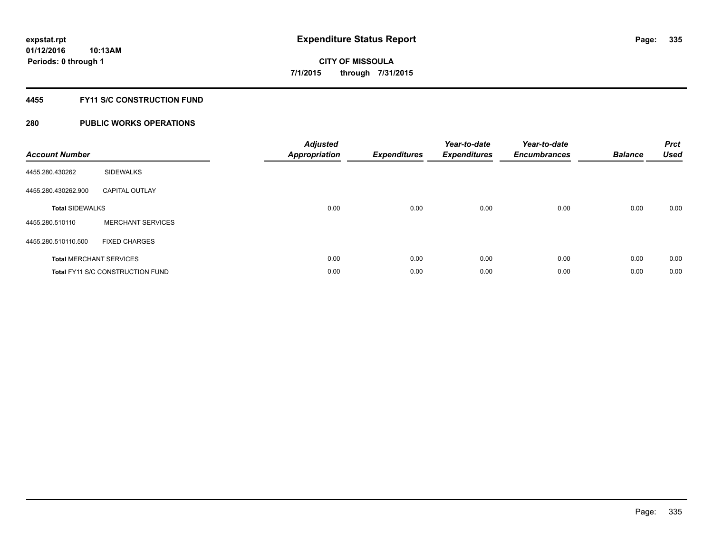#### **4455 FY11 S/C CONSTRUCTION FUND**

| <b>Account Number</b>          |                                         | <b>Adjusted</b><br><b>Appropriation</b> | <b>Expenditures</b> | Year-to-date<br><b>Expenditures</b> | Year-to-date<br><b>Encumbrances</b> | <b>Balance</b> | <b>Prct</b><br><b>Used</b> |
|--------------------------------|-----------------------------------------|-----------------------------------------|---------------------|-------------------------------------|-------------------------------------|----------------|----------------------------|
| 4455.280.430262                | <b>SIDEWALKS</b>                        |                                         |                     |                                     |                                     |                |                            |
| 4455.280.430262.900            | <b>CAPITAL OUTLAY</b>                   |                                         |                     |                                     |                                     |                |                            |
| <b>Total SIDEWALKS</b>         |                                         | 0.00                                    | 0.00                | 0.00                                | 0.00                                | 0.00           | 0.00                       |
| 4455.280.510110                | <b>MERCHANT SERVICES</b>                |                                         |                     |                                     |                                     |                |                            |
| 4455.280.510110.500            | <b>FIXED CHARGES</b>                    |                                         |                     |                                     |                                     |                |                            |
| <b>Total MERCHANT SERVICES</b> |                                         | 0.00                                    | 0.00                | 0.00                                | 0.00                                | 0.00           | 0.00                       |
|                                | <b>Total FY11 S/C CONSTRUCTION FUND</b> | 0.00                                    | 0.00                | 0.00                                | 0.00                                | 0.00           | 0.00                       |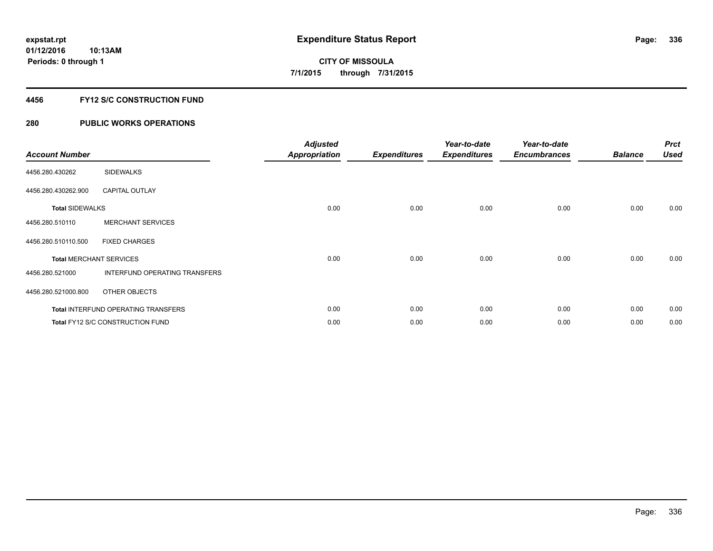#### **4456 FY12 S/C CONSTRUCTION FUND**

| <b>Account Number</b>          |                                            | <b>Adjusted</b><br><b>Appropriation</b> | <b>Expenditures</b> | Year-to-date<br><b>Expenditures</b> | Year-to-date<br><b>Encumbrances</b> | <b>Balance</b> | <b>Prct</b><br><b>Used</b> |
|--------------------------------|--------------------------------------------|-----------------------------------------|---------------------|-------------------------------------|-------------------------------------|----------------|----------------------------|
| 4456.280.430262                | <b>SIDEWALKS</b>                           |                                         |                     |                                     |                                     |                |                            |
| 4456.280.430262.900            | <b>CAPITAL OUTLAY</b>                      |                                         |                     |                                     |                                     |                |                            |
| <b>Total SIDEWALKS</b>         |                                            | 0.00                                    | 0.00                | 0.00                                | 0.00                                | 0.00           | 0.00                       |
| 4456.280.510110                | <b>MERCHANT SERVICES</b>                   |                                         |                     |                                     |                                     |                |                            |
| 4456.280.510110.500            | <b>FIXED CHARGES</b>                       |                                         |                     |                                     |                                     |                |                            |
| <b>Total MERCHANT SERVICES</b> |                                            | 0.00                                    | 0.00                | 0.00                                | 0.00                                | 0.00           | 0.00                       |
| 4456.280.521000                | INTERFUND OPERATING TRANSFERS              |                                         |                     |                                     |                                     |                |                            |
| 4456.280.521000.800            | OTHER OBJECTS                              |                                         |                     |                                     |                                     |                |                            |
|                                | <b>Total INTERFUND OPERATING TRANSFERS</b> | 0.00                                    | 0.00                | 0.00                                | 0.00                                | 0.00           | 0.00                       |
|                                | Total FY12 S/C CONSTRUCTION FUND           | 0.00                                    | 0.00                | 0.00                                | 0.00                                | 0.00           | 0.00                       |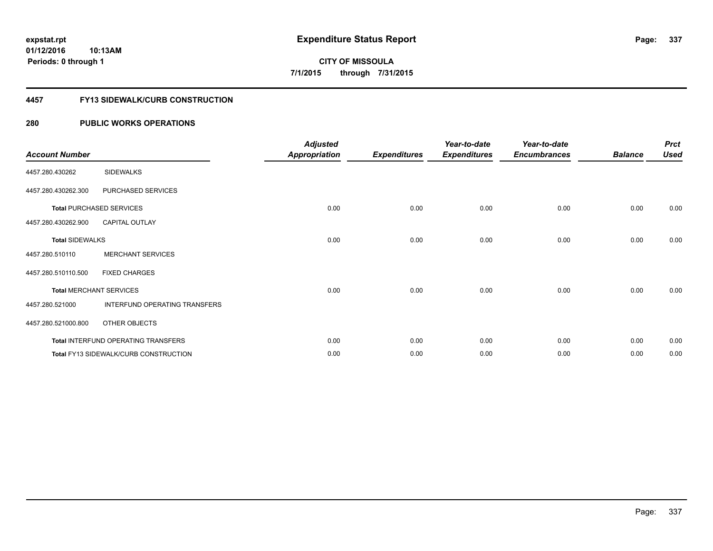**Periods: 0 through 1**

**CITY OF MISSOULA 7/1/2015 through 7/31/2015**

#### **4457 FY13 SIDEWALK/CURB CONSTRUCTION**

#### **280 PUBLIC WORKS OPERATIONS**

**10:13AM**

| <b>Account Number</b>  |                                              | <b>Adjusted</b><br><b>Appropriation</b> | <b>Expenditures</b> | Year-to-date<br><b>Expenditures</b> | Year-to-date<br><b>Encumbrances</b> | <b>Balance</b> | <b>Prct</b><br><b>Used</b> |
|------------------------|----------------------------------------------|-----------------------------------------|---------------------|-------------------------------------|-------------------------------------|----------------|----------------------------|
| 4457.280.430262        | <b>SIDEWALKS</b>                             |                                         |                     |                                     |                                     |                |                            |
| 4457.280.430262.300    | PURCHASED SERVICES                           |                                         |                     |                                     |                                     |                |                            |
|                        | <b>Total PURCHASED SERVICES</b>              | 0.00                                    | 0.00                | 0.00                                | 0.00                                | 0.00           | 0.00                       |
| 4457.280.430262.900    | <b>CAPITAL OUTLAY</b>                        |                                         |                     |                                     |                                     |                |                            |
| <b>Total SIDEWALKS</b> |                                              | 0.00                                    | 0.00                | 0.00                                | 0.00                                | 0.00           | 0.00                       |
| 4457.280.510110        | <b>MERCHANT SERVICES</b>                     |                                         |                     |                                     |                                     |                |                            |
| 4457.280.510110.500    | <b>FIXED CHARGES</b>                         |                                         |                     |                                     |                                     |                |                            |
|                        | <b>Total MERCHANT SERVICES</b>               | 0.00                                    | 0.00                | 0.00                                | 0.00                                | 0.00           | 0.00                       |
| 4457.280.521000        | INTERFUND OPERATING TRANSFERS                |                                         |                     |                                     |                                     |                |                            |
| 4457.280.521000.800    | OTHER OBJECTS                                |                                         |                     |                                     |                                     |                |                            |
|                        | Total INTERFUND OPERATING TRANSFERS          | 0.00                                    | 0.00                | 0.00                                | 0.00                                | 0.00           | 0.00                       |
|                        | <b>Total FY13 SIDEWALK/CURB CONSTRUCTION</b> | 0.00                                    | 0.00                | 0.00                                | 0.00                                | 0.00           | 0.00                       |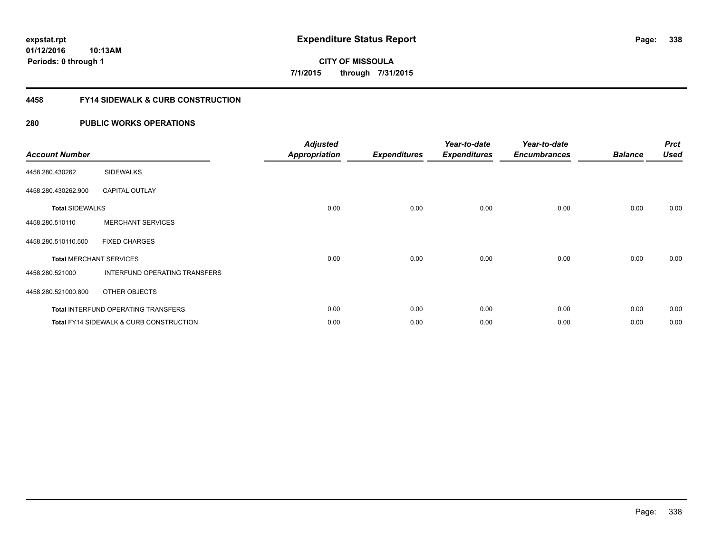**01/12/2016 10:13AM Periods: 0 through 1**

**CITY OF MISSOULA 7/1/2015 through 7/31/2015**

#### **4458 FY14 SIDEWALK & CURB CONSTRUCTION**

| <b>Account Number</b>  |                                                    | <b>Adjusted</b><br><b>Appropriation</b> | <b>Expenditures</b> | Year-to-date<br><b>Expenditures</b> | Year-to-date<br><b>Encumbrances</b> | <b>Balance</b> | <b>Prct</b><br><b>Used</b> |
|------------------------|----------------------------------------------------|-----------------------------------------|---------------------|-------------------------------------|-------------------------------------|----------------|----------------------------|
| 4458.280.430262        | <b>SIDEWALKS</b>                                   |                                         |                     |                                     |                                     |                |                            |
| 4458.280.430262.900    | <b>CAPITAL OUTLAY</b>                              |                                         |                     |                                     |                                     |                |                            |
| <b>Total SIDEWALKS</b> |                                                    | 0.00                                    | 0.00                | 0.00                                | 0.00                                | 0.00           | 0.00                       |
| 4458.280.510110        | <b>MERCHANT SERVICES</b>                           |                                         |                     |                                     |                                     |                |                            |
| 4458.280.510110.500    | <b>FIXED CHARGES</b>                               |                                         |                     |                                     |                                     |                |                            |
|                        | <b>Total MERCHANT SERVICES</b>                     | 0.00                                    | 0.00                | 0.00                                | 0.00                                | 0.00           | 0.00                       |
| 4458.280.521000        | INTERFUND OPERATING TRANSFERS                      |                                         |                     |                                     |                                     |                |                            |
| 4458.280.521000.800    | OTHER OBJECTS                                      |                                         |                     |                                     |                                     |                |                            |
|                        | <b>Total INTERFUND OPERATING TRANSFERS</b>         | 0.00                                    | 0.00                | 0.00                                | 0.00                                | 0.00           | 0.00                       |
|                        | <b>Total FY14 SIDEWALK &amp; CURB CONSTRUCTION</b> | 0.00                                    | 0.00                | 0.00                                | 0.00                                | 0.00           | 0.00                       |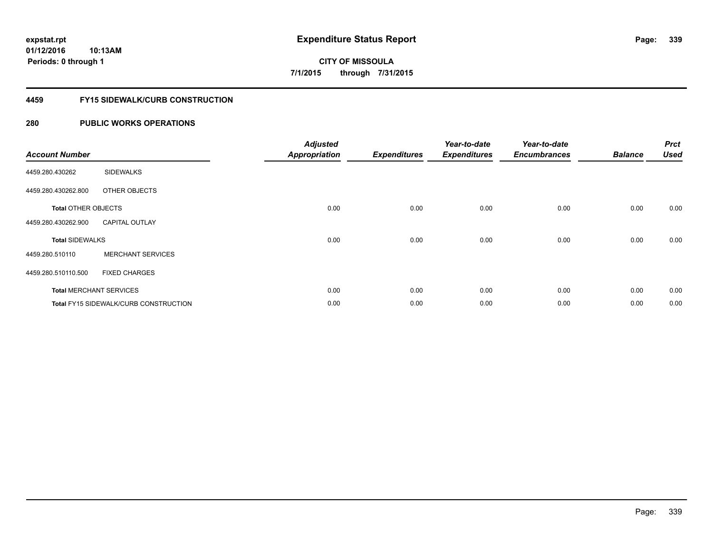**01/12/2016 10:13AM Periods: 0 through 1**

# **CITY OF MISSOULA 7/1/2015 through 7/31/2015**

#### **4459 FY15 SIDEWALK/CURB CONSTRUCTION**

| <b>Account Number</b>      |                                       | <b>Adjusted</b><br><b>Appropriation</b> | <b>Expenditures</b> | Year-to-date<br><b>Expenditures</b> | Year-to-date<br><b>Encumbrances</b> | <b>Balance</b> | <b>Prct</b><br><b>Used</b> |
|----------------------------|---------------------------------------|-----------------------------------------|---------------------|-------------------------------------|-------------------------------------|----------------|----------------------------|
| 4459.280.430262            | <b>SIDEWALKS</b>                      |                                         |                     |                                     |                                     |                |                            |
| 4459.280.430262.800        | OTHER OBJECTS                         |                                         |                     |                                     |                                     |                |                            |
| <b>Total OTHER OBJECTS</b> |                                       | 0.00                                    | 0.00                | 0.00                                | 0.00                                | 0.00           | 0.00                       |
| 4459.280.430262.900        | <b>CAPITAL OUTLAY</b>                 |                                         |                     |                                     |                                     |                |                            |
| <b>Total SIDEWALKS</b>     |                                       | 0.00                                    | 0.00                | 0.00                                | 0.00                                | 0.00           | 0.00                       |
| 4459.280.510110            | <b>MERCHANT SERVICES</b>              |                                         |                     |                                     |                                     |                |                            |
| 4459.280.510110.500        | <b>FIXED CHARGES</b>                  |                                         |                     |                                     |                                     |                |                            |
|                            | <b>Total MERCHANT SERVICES</b>        | 0.00                                    | 0.00                | 0.00                                | 0.00                                | 0.00           | 0.00                       |
|                            | Total FY15 SIDEWALK/CURB CONSTRUCTION | 0.00                                    | 0.00                | 0.00                                | 0.00                                | 0.00           | 0.00                       |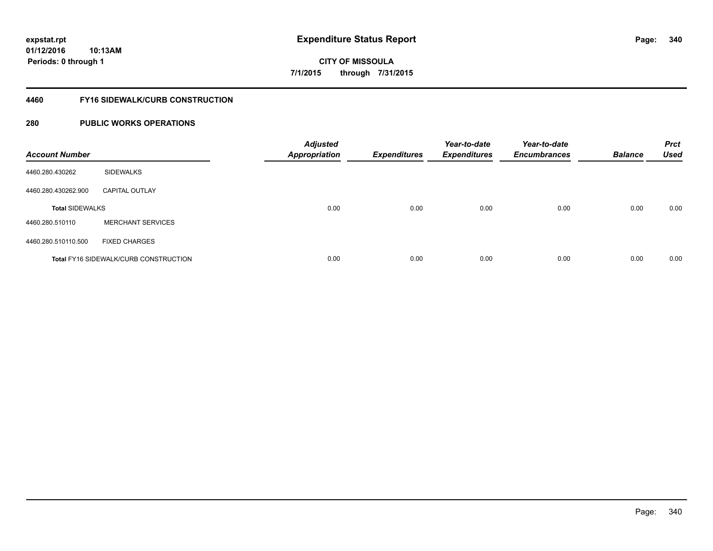**01/12/2016 10:13AM Periods: 0 through 1**

# **CITY OF MISSOULA 7/1/2015 through 7/31/2015**

#### **4460 FY16 SIDEWALK/CURB CONSTRUCTION**

| <b>Account Number</b>  |                                              | <b>Adjusted</b><br><b>Appropriation</b> | <b>Expenditures</b> | Year-to-date<br><b>Expenditures</b> | Year-to-date<br><b>Encumbrances</b> | <b>Balance</b> | <b>Prct</b><br><b>Used</b> |
|------------------------|----------------------------------------------|-----------------------------------------|---------------------|-------------------------------------|-------------------------------------|----------------|----------------------------|
| 4460.280.430262        | <b>SIDEWALKS</b>                             |                                         |                     |                                     |                                     |                |                            |
| 4460.280.430262.900    | <b>CAPITAL OUTLAY</b>                        |                                         |                     |                                     |                                     |                |                            |
| <b>Total SIDEWALKS</b> |                                              | 0.00                                    | 0.00                | 0.00                                | 0.00                                | 0.00           | 0.00                       |
| 4460.280.510110        | <b>MERCHANT SERVICES</b>                     |                                         |                     |                                     |                                     |                |                            |
| 4460.280.510110.500    | <b>FIXED CHARGES</b>                         |                                         |                     |                                     |                                     |                |                            |
|                        | <b>Total FY16 SIDEWALK/CURB CONSTRUCTION</b> | 0.00                                    | 0.00                | 0.00                                | 0.00                                | 0.00           | 0.00                       |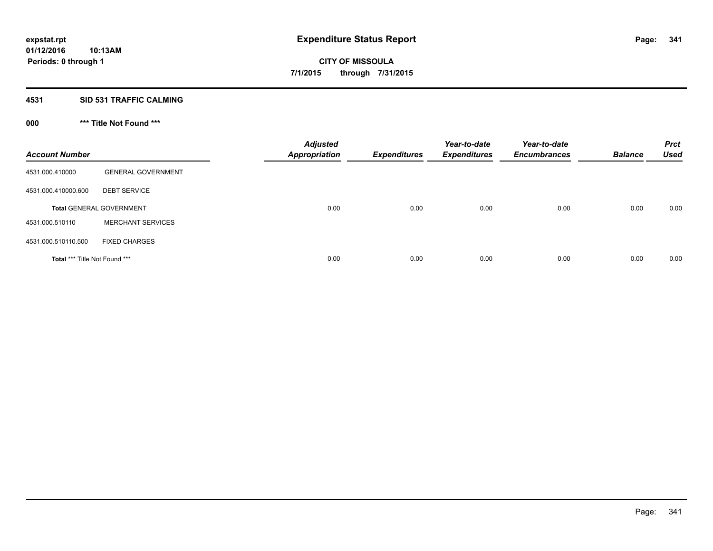#### **4531 SID 531 TRAFFIC CALMING**

## **000 \*\*\* Title Not Found \*\*\***

| <b>Account Number</b>         |                                 | <b>Adjusted</b><br><b>Appropriation</b> | <b>Expenditures</b> | Year-to-date<br><b>Expenditures</b> | Year-to-date<br><b>Encumbrances</b> | <b>Balance</b> | <b>Prct</b><br><b>Used</b> |
|-------------------------------|---------------------------------|-----------------------------------------|---------------------|-------------------------------------|-------------------------------------|----------------|----------------------------|
| 4531.000.410000               | <b>GENERAL GOVERNMENT</b>       |                                         |                     |                                     |                                     |                |                            |
| 4531.000.410000.600           | <b>DEBT SERVICE</b>             |                                         |                     |                                     |                                     |                |                            |
|                               | <b>Total GENERAL GOVERNMENT</b> | 0.00                                    | 0.00                | 0.00                                | 0.00                                | 0.00           | 0.00                       |
| 4531.000.510110               | <b>MERCHANT SERVICES</b>        |                                         |                     |                                     |                                     |                |                            |
| 4531.000.510110.500           | <b>FIXED CHARGES</b>            |                                         |                     |                                     |                                     |                |                            |
| Total *** Title Not Found *** |                                 | 0.00                                    | 0.00                | 0.00                                | 0.00                                | 0.00           | 0.00                       |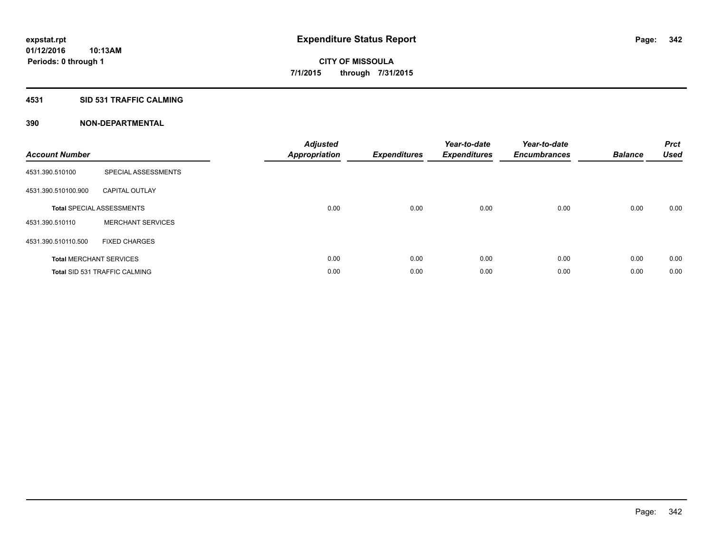#### **4531 SID 531 TRAFFIC CALMING**

| <b>Account Number</b> |                                      | <b>Adjusted</b><br><b>Appropriation</b> | <b>Expenditures</b> | Year-to-date<br><b>Expenditures</b> | Year-to-date<br><b>Encumbrances</b> | <b>Balance</b> | <b>Prct</b><br><b>Used</b> |
|-----------------------|--------------------------------------|-----------------------------------------|---------------------|-------------------------------------|-------------------------------------|----------------|----------------------------|
| 4531.390.510100       | SPECIAL ASSESSMENTS                  |                                         |                     |                                     |                                     |                |                            |
| 4531.390.510100.900   | <b>CAPITAL OUTLAY</b>                |                                         |                     |                                     |                                     |                |                            |
|                       | <b>Total SPECIAL ASSESSMENTS</b>     | 0.00                                    | 0.00                | 0.00                                | 0.00                                | 0.00           | 0.00                       |
| 4531.390.510110       | <b>MERCHANT SERVICES</b>             |                                         |                     |                                     |                                     |                |                            |
| 4531.390.510110.500   | <b>FIXED CHARGES</b>                 |                                         |                     |                                     |                                     |                |                            |
|                       | <b>Total MERCHANT SERVICES</b>       | 0.00                                    | 0.00                | 0.00                                | 0.00                                | 0.00           | 0.00                       |
|                       | <b>Total SID 531 TRAFFIC CALMING</b> | 0.00                                    | 0.00                | 0.00                                | 0.00                                | 0.00           | 0.00                       |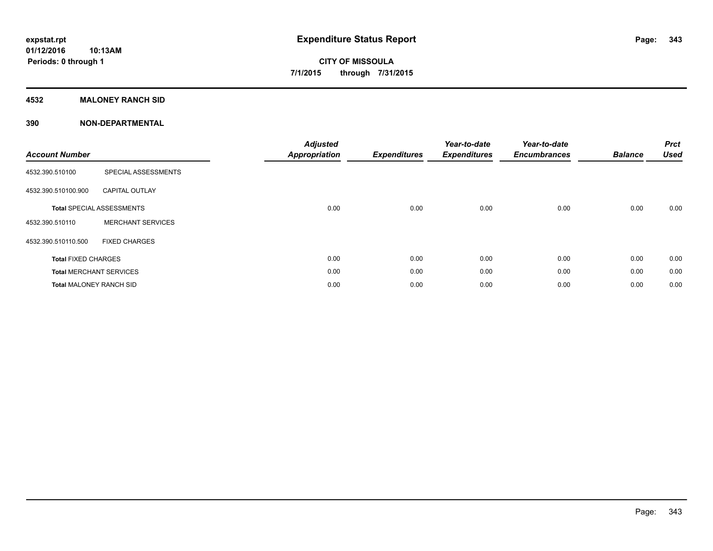### **4532 MALONEY RANCH SID**

| <b>Account Number</b>          |                                  | <b>Adjusted</b><br><b>Appropriation</b> | <b>Expenditures</b> | Year-to-date<br><b>Expenditures</b> | Year-to-date<br><b>Encumbrances</b> | <b>Balance</b> | <b>Prct</b><br><b>Used</b> |
|--------------------------------|----------------------------------|-----------------------------------------|---------------------|-------------------------------------|-------------------------------------|----------------|----------------------------|
| 4532.390.510100                | SPECIAL ASSESSMENTS              |                                         |                     |                                     |                                     |                |                            |
| 4532.390.510100.900            | <b>CAPITAL OUTLAY</b>            |                                         |                     |                                     |                                     |                |                            |
|                                | <b>Total SPECIAL ASSESSMENTS</b> | 0.00                                    | 0.00                | 0.00                                | 0.00                                | 0.00           | 0.00                       |
| 4532.390.510110                | <b>MERCHANT SERVICES</b>         |                                         |                     |                                     |                                     |                |                            |
| 4532.390.510110.500            | <b>FIXED CHARGES</b>             |                                         |                     |                                     |                                     |                |                            |
| <b>Total FIXED CHARGES</b>     |                                  | 0.00                                    | 0.00                | 0.00                                | 0.00                                | 0.00           | 0.00                       |
|                                | <b>Total MERCHANT SERVICES</b>   | 0.00                                    | 0.00                | 0.00                                | 0.00                                | 0.00           | 0.00                       |
| <b>Total MALONEY RANCH SID</b> |                                  | 0.00                                    | 0.00                | 0.00                                | 0.00                                | 0.00           | 0.00                       |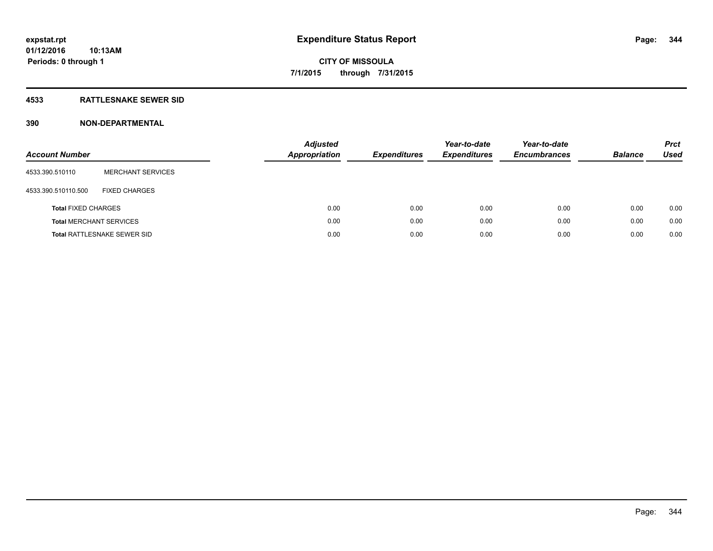#### **4533 RATTLESNAKE SEWER SID**

| <b>Account Number</b>          |                             | <b>Adjusted</b><br><b>Appropriation</b> | <b>Expenditures</b> | Year-to-date<br><b>Expenditures</b> | Year-to-date<br><b>Encumbrances</b> | <b>Balance</b> | <b>Prct</b><br>Used |
|--------------------------------|-----------------------------|-----------------------------------------|---------------------|-------------------------------------|-------------------------------------|----------------|---------------------|
| 4533.390.510110                | <b>MERCHANT SERVICES</b>    |                                         |                     |                                     |                                     |                |                     |
| 4533.390.510110.500            | <b>FIXED CHARGES</b>        |                                         |                     |                                     |                                     |                |                     |
| <b>Total FIXED CHARGES</b>     |                             | 0.00                                    | 0.00                | 0.00                                | 0.00                                | 0.00           | 0.00                |
| <b>Total MERCHANT SERVICES</b> |                             | 0.00                                    | 0.00                | 0.00                                | 0.00                                | 0.00           | 0.00                |
|                                | Total RATTLESNAKE SEWER SID | 0.00                                    | 0.00                | 0.00                                | 0.00                                | 0.00           | 0.00                |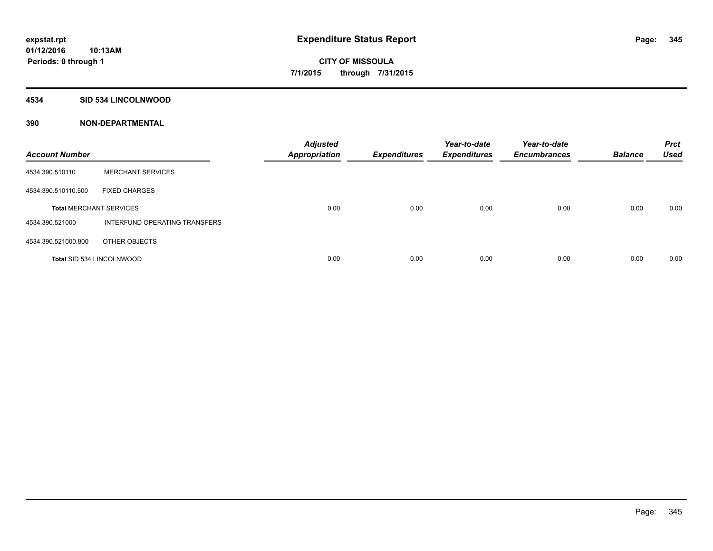#### **4534 SID 534 LINCOLNWOOD**

| <b>Account Number</b>            |                               | <b>Adjusted</b><br><b>Appropriation</b> | <b>Expenditures</b> | Year-to-date<br><b>Expenditures</b> | Year-to-date<br><b>Encumbrances</b> | <b>Balance</b> | <b>Prct</b><br><b>Used</b> |
|----------------------------------|-------------------------------|-----------------------------------------|---------------------|-------------------------------------|-------------------------------------|----------------|----------------------------|
| 4534.390.510110                  | <b>MERCHANT SERVICES</b>      |                                         |                     |                                     |                                     |                |                            |
| 4534.390.510110.500              | <b>FIXED CHARGES</b>          |                                         |                     |                                     |                                     |                |                            |
| <b>Total MERCHANT SERVICES</b>   |                               | 0.00                                    | 0.00                | 0.00                                | 0.00                                | 0.00           | 0.00                       |
| 4534.390.521000                  | INTERFUND OPERATING TRANSFERS |                                         |                     |                                     |                                     |                |                            |
| 4534.390.521000.800              | OTHER OBJECTS                 |                                         |                     |                                     |                                     |                |                            |
| <b>Total SID 534 LINCOLNWOOD</b> |                               | 0.00                                    | 0.00                | 0.00                                | 0.00                                | 0.00           | 0.00                       |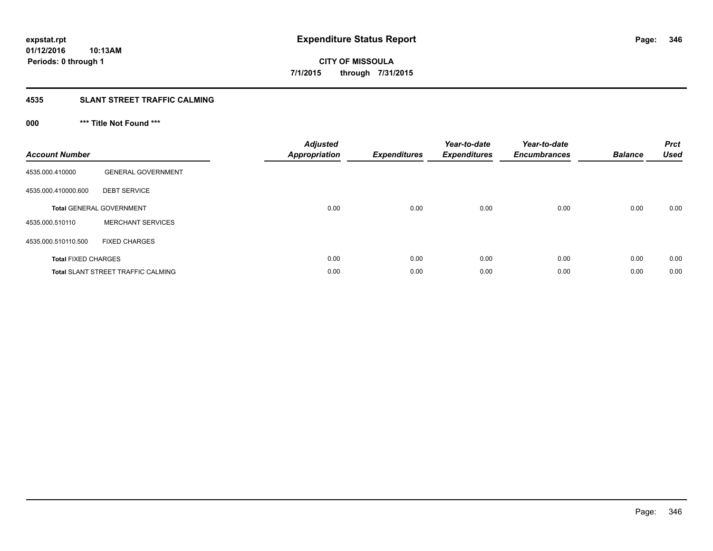#### **4535 SLANT STREET TRAFFIC CALMING**

## **000 \*\*\* Title Not Found \*\*\***

| <b>Account Number</b>      |                                           | <b>Adjusted</b><br>Appropriation | <b>Expenditures</b> | Year-to-date<br><b>Expenditures</b> | Year-to-date<br><b>Encumbrances</b> | <b>Balance</b> | <b>Prct</b><br><b>Used</b> |
|----------------------------|-------------------------------------------|----------------------------------|---------------------|-------------------------------------|-------------------------------------|----------------|----------------------------|
| 4535.000.410000            | <b>GENERAL GOVERNMENT</b>                 |                                  |                     |                                     |                                     |                |                            |
| 4535.000.410000.600        | <b>DEBT SERVICE</b>                       |                                  |                     |                                     |                                     |                |                            |
|                            | <b>Total GENERAL GOVERNMENT</b>           | 0.00                             | 0.00                | 0.00                                | 0.00                                | 0.00           | 0.00                       |
| 4535.000.510110            | <b>MERCHANT SERVICES</b>                  |                                  |                     |                                     |                                     |                |                            |
| 4535.000.510110.500        | <b>FIXED CHARGES</b>                      |                                  |                     |                                     |                                     |                |                            |
| <b>Total FIXED CHARGES</b> |                                           | 0.00                             | 0.00                | 0.00                                | 0.00                                | 0.00           | 0.00                       |
|                            | <b>Total SLANT STREET TRAFFIC CALMING</b> | 0.00                             | 0.00                | 0.00                                | 0.00                                | 0.00           | 0.00                       |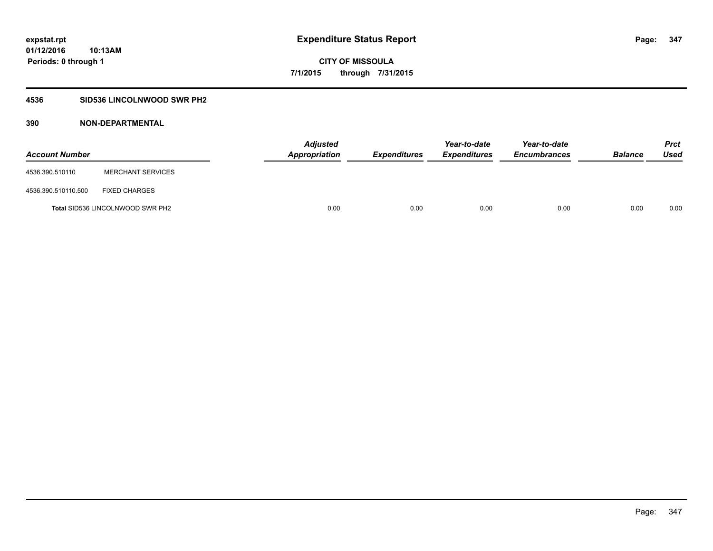### **4536 SID536 LINCOLNWOOD SWR PH2**

| <b>Account Number</b> |                                         | <b>Adjusted</b><br>Appropriation | <b>Expenditures</b> | Year-to-date<br><b>Expenditures</b> | Year-to-date<br><b>Encumbrances</b> | <b>Balance</b> | Prct<br><b>Used</b> |
|-----------------------|-----------------------------------------|----------------------------------|---------------------|-------------------------------------|-------------------------------------|----------------|---------------------|
| 4536.390.510110       | <b>MERCHANT SERVICES</b>                |                                  |                     |                                     |                                     |                |                     |
| 4536.390.510110.500   | <b>FIXED CHARGES</b>                    |                                  |                     |                                     |                                     |                |                     |
|                       | <b>Total SID536 LINCOLNWOOD SWR PH2</b> | 0.00                             | 0.00                | 0.00                                | 0.00                                | 0.00           | 0.00                |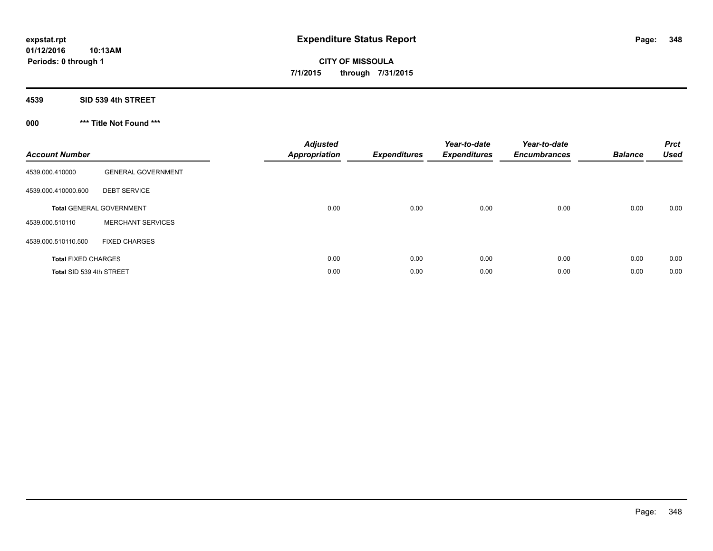**01/12/2016 10:13AM Periods: 0 through 1**

**CITY OF MISSOULA 7/1/2015 through 7/31/2015**

**4539 SID 539 4th STREET**

**000 \*\*\* Title Not Found \*\*\***

| <b>Account Number</b>      |                                 | <b>Adjusted</b><br><b>Appropriation</b> | <b>Expenditures</b> | Year-to-date<br><b>Expenditures</b> | Year-to-date<br><b>Encumbrances</b> | <b>Balance</b> | <b>Prct</b><br><b>Used</b> |
|----------------------------|---------------------------------|-----------------------------------------|---------------------|-------------------------------------|-------------------------------------|----------------|----------------------------|
| 4539.000.410000            | <b>GENERAL GOVERNMENT</b>       |                                         |                     |                                     |                                     |                |                            |
| 4539.000.410000.600        | <b>DEBT SERVICE</b>             |                                         |                     |                                     |                                     |                |                            |
|                            | <b>Total GENERAL GOVERNMENT</b> | 0.00                                    | 0.00                | 0.00                                | 0.00                                | 0.00           | 0.00                       |
| 4539.000.510110            | <b>MERCHANT SERVICES</b>        |                                         |                     |                                     |                                     |                |                            |
| 4539.000.510110.500        | <b>FIXED CHARGES</b>            |                                         |                     |                                     |                                     |                |                            |
| <b>Total FIXED CHARGES</b> |                                 | 0.00                                    | 0.00                | 0.00                                | 0.00                                | 0.00           | 0.00                       |
| Total SID 539 4th STREET   |                                 | 0.00                                    | 0.00                | 0.00                                | 0.00                                | 0.00           | 0.00                       |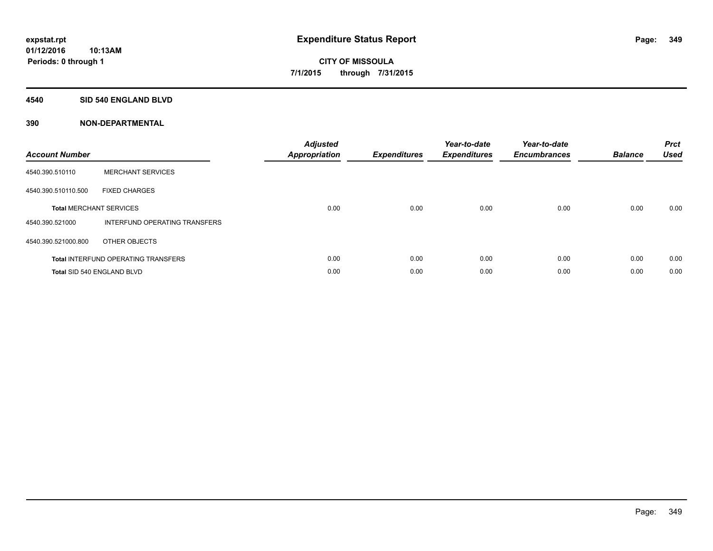#### **4540 SID 540 ENGLAND BLVD**

| <b>Account Number</b> |                                            | <b>Adjusted</b><br>Appropriation | <b>Expenditures</b> | Year-to-date<br><b>Expenditures</b> | Year-to-date<br><b>Encumbrances</b> | <b>Balance</b> | <b>Prct</b><br><b>Used</b> |
|-----------------------|--------------------------------------------|----------------------------------|---------------------|-------------------------------------|-------------------------------------|----------------|----------------------------|
| 4540.390.510110       | <b>MERCHANT SERVICES</b>                   |                                  |                     |                                     |                                     |                |                            |
| 4540.390.510110.500   | <b>FIXED CHARGES</b>                       |                                  |                     |                                     |                                     |                |                            |
|                       | <b>Total MERCHANT SERVICES</b>             | 0.00                             | 0.00                | 0.00                                | 0.00                                | 0.00           | 0.00                       |
| 4540.390.521000       | INTERFUND OPERATING TRANSFERS              |                                  |                     |                                     |                                     |                |                            |
| 4540.390.521000.800   | OTHER OBJECTS                              |                                  |                     |                                     |                                     |                |                            |
|                       | <b>Total INTERFUND OPERATING TRANSFERS</b> | 0.00                             | 0.00                | 0.00                                | 0.00                                | 0.00           | 0.00                       |
|                       | Total SID 540 ENGLAND BLVD                 | 0.00                             | 0.00                | 0.00                                | 0.00                                | 0.00           | 0.00                       |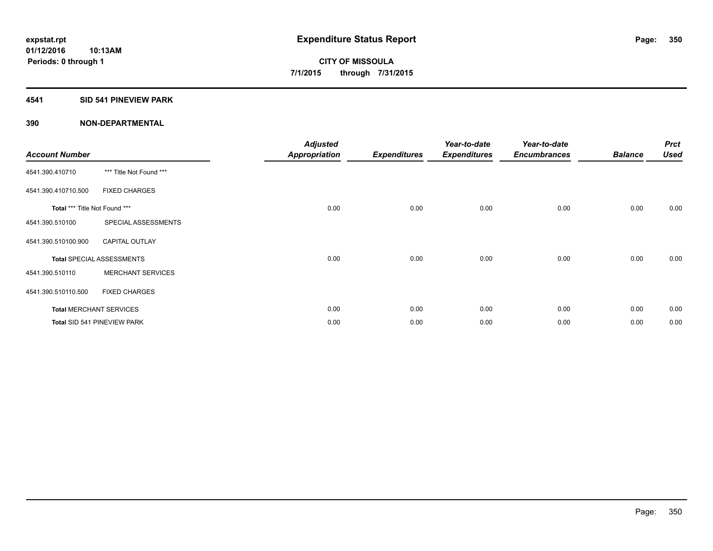#### **4541 SID 541 PINEVIEW PARK**

| <b>Account Number</b>         |                                  | <b>Adjusted</b><br><b>Appropriation</b> | <b>Expenditures</b> | Year-to-date<br><b>Expenditures</b> | Year-to-date<br><b>Encumbrances</b> | <b>Balance</b> | <b>Prct</b><br><b>Used</b> |
|-------------------------------|----------------------------------|-----------------------------------------|---------------------|-------------------------------------|-------------------------------------|----------------|----------------------------|
| 4541.390.410710               | *** Title Not Found ***          |                                         |                     |                                     |                                     |                |                            |
| 4541.390.410710.500           | <b>FIXED CHARGES</b>             |                                         |                     |                                     |                                     |                |                            |
| Total *** Title Not Found *** |                                  | 0.00                                    | 0.00                | 0.00                                | 0.00                                | 0.00           | 0.00                       |
| 4541.390.510100               | SPECIAL ASSESSMENTS              |                                         |                     |                                     |                                     |                |                            |
| 4541.390.510100.900           | <b>CAPITAL OUTLAY</b>            |                                         |                     |                                     |                                     |                |                            |
|                               | <b>Total SPECIAL ASSESSMENTS</b> | 0.00                                    | 0.00                | 0.00                                | 0.00                                | 0.00           | 0.00                       |
| 4541.390.510110               | <b>MERCHANT SERVICES</b>         |                                         |                     |                                     |                                     |                |                            |
| 4541.390.510110.500           | <b>FIXED CHARGES</b>             |                                         |                     |                                     |                                     |                |                            |
|                               | <b>Total MERCHANT SERVICES</b>   | 0.00                                    | 0.00                | 0.00                                | 0.00                                | 0.00           | 0.00                       |
|                               | Total SID 541 PINEVIEW PARK      | 0.00                                    | 0.00                | 0.00                                | 0.00                                | 0.00           | 0.00                       |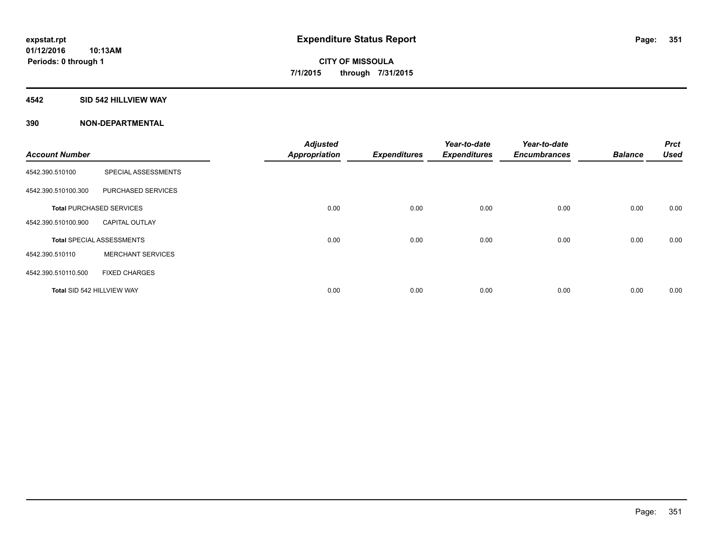#### **4542 SID 542 HILLVIEW WAY**

| <b>Account Number</b>      |                                  | <b>Adjusted</b><br><b>Appropriation</b> | <b>Expenditures</b> | Year-to-date<br><b>Expenditures</b> | Year-to-date<br><b>Encumbrances</b> | <b>Balance</b> | <b>Prct</b><br><b>Used</b> |
|----------------------------|----------------------------------|-----------------------------------------|---------------------|-------------------------------------|-------------------------------------|----------------|----------------------------|
|                            |                                  |                                         |                     |                                     |                                     |                |                            |
| 4542.390.510100            | SPECIAL ASSESSMENTS              |                                         |                     |                                     |                                     |                |                            |
| 4542.390.510100.300        | <b>PURCHASED SERVICES</b>        |                                         |                     |                                     |                                     |                |                            |
|                            | <b>Total PURCHASED SERVICES</b>  | 0.00                                    | 0.00                | 0.00                                | 0.00                                | 0.00           | 0.00                       |
| 4542.390.510100.900        | <b>CAPITAL OUTLAY</b>            |                                         |                     |                                     |                                     |                |                            |
|                            | <b>Total SPECIAL ASSESSMENTS</b> | 0.00                                    | 0.00                | 0.00                                | 0.00                                | 0.00           | 0.00                       |
| 4542.390.510110            | <b>MERCHANT SERVICES</b>         |                                         |                     |                                     |                                     |                |                            |
| 4542.390.510110.500        | <b>FIXED CHARGES</b>             |                                         |                     |                                     |                                     |                |                            |
| Total SID 542 HILLVIEW WAY |                                  | 0.00                                    | 0.00                | 0.00                                | 0.00                                | 0.00           | 0.00                       |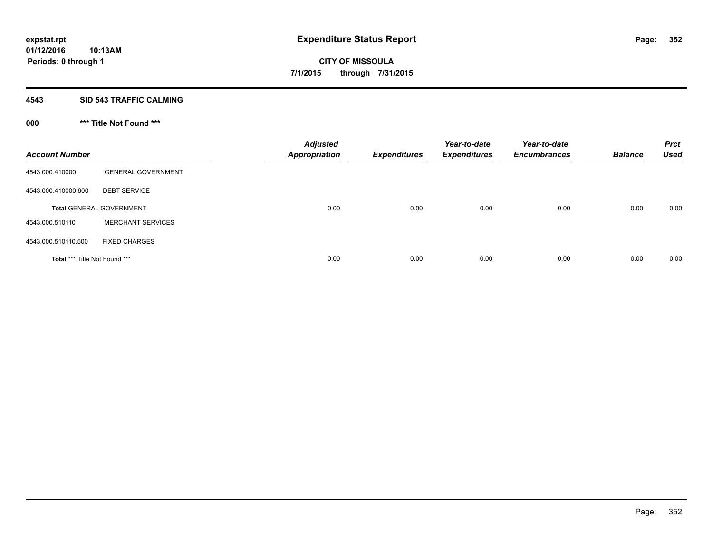#### **4543 SID 543 TRAFFIC CALMING**

## **000 \*\*\* Title Not Found \*\*\***

| <b>Account Number</b>         |                                 | <b>Adjusted</b><br><b>Appropriation</b> | <b>Expenditures</b> | Year-to-date<br><b>Expenditures</b> | Year-to-date<br><b>Encumbrances</b> | <b>Balance</b> | <b>Prct</b><br><b>Used</b> |
|-------------------------------|---------------------------------|-----------------------------------------|---------------------|-------------------------------------|-------------------------------------|----------------|----------------------------|
| 4543.000.410000               | <b>GENERAL GOVERNMENT</b>       |                                         |                     |                                     |                                     |                |                            |
| 4543.000.410000.600           | <b>DEBT SERVICE</b>             |                                         |                     |                                     |                                     |                |                            |
|                               | <b>Total GENERAL GOVERNMENT</b> | 0.00                                    | 0.00                | 0.00                                | 0.00                                | 0.00           | 0.00                       |
| 4543.000.510110               | <b>MERCHANT SERVICES</b>        |                                         |                     |                                     |                                     |                |                            |
| 4543.000.510110.500           | <b>FIXED CHARGES</b>            |                                         |                     |                                     |                                     |                |                            |
| Total *** Title Not Found *** |                                 | 0.00                                    | 0.00                | 0.00                                | 0.00                                | 0.00           | 0.00                       |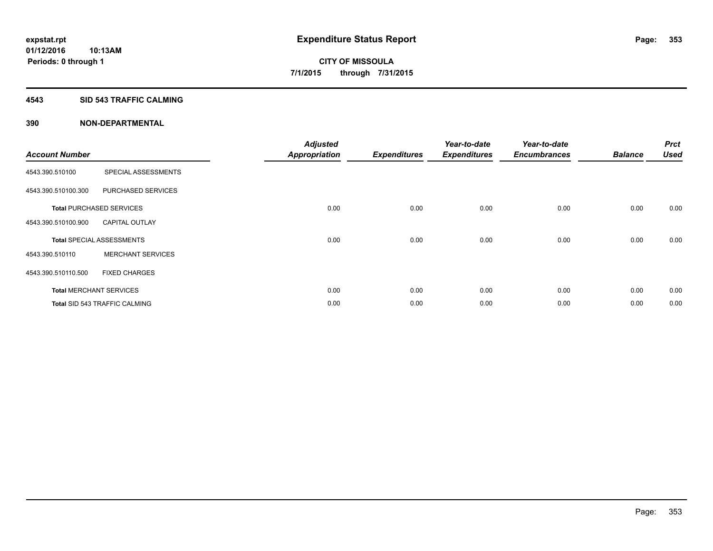#### **4543 SID 543 TRAFFIC CALMING**

|                       |                                      | <b>Adjusted</b>      |                     | Year-to-date        | Year-to-date        |                | <b>Prct</b> |
|-----------------------|--------------------------------------|----------------------|---------------------|---------------------|---------------------|----------------|-------------|
| <b>Account Number</b> |                                      | <b>Appropriation</b> | <b>Expenditures</b> | <b>Expenditures</b> | <b>Encumbrances</b> | <b>Balance</b> | <b>Used</b> |
| 4543.390.510100       | SPECIAL ASSESSMENTS                  |                      |                     |                     |                     |                |             |
| 4543.390.510100.300   | PURCHASED SERVICES                   |                      |                     |                     |                     |                |             |
|                       | <b>Total PURCHASED SERVICES</b>      | 0.00                 | 0.00                | 0.00                | 0.00                | 0.00           | 0.00        |
| 4543.390.510100.900   | <b>CAPITAL OUTLAY</b>                |                      |                     |                     |                     |                |             |
|                       | <b>Total SPECIAL ASSESSMENTS</b>     | 0.00                 | 0.00                | 0.00                | 0.00                | 0.00           | 0.00        |
| 4543.390.510110       | <b>MERCHANT SERVICES</b>             |                      |                     |                     |                     |                |             |
| 4543.390.510110.500   | <b>FIXED CHARGES</b>                 |                      |                     |                     |                     |                |             |
|                       | <b>Total MERCHANT SERVICES</b>       | 0.00                 | 0.00                | 0.00                | 0.00                | 0.00           | 0.00        |
|                       | <b>Total SID 543 TRAFFIC CALMING</b> | 0.00                 | 0.00                | 0.00                | 0.00                | 0.00           | 0.00        |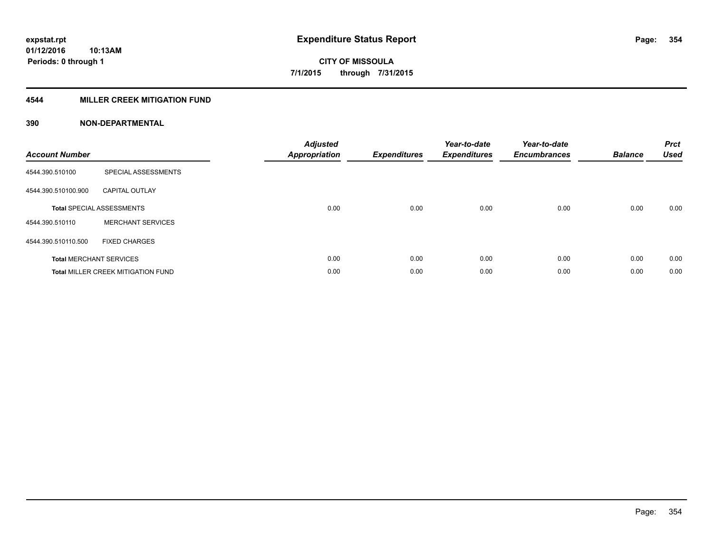#### **4544 MILLER CREEK MITIGATION FUND**

| <b>Account Number</b> |                                           | <b>Adjusted</b><br><b>Appropriation</b> | <b>Expenditures</b> | Year-to-date<br><b>Expenditures</b> | Year-to-date<br><b>Encumbrances</b> | <b>Balance</b> | <b>Prct</b><br><b>Used</b> |
|-----------------------|-------------------------------------------|-----------------------------------------|---------------------|-------------------------------------|-------------------------------------|----------------|----------------------------|
| 4544.390.510100       | SPECIAL ASSESSMENTS                       |                                         |                     |                                     |                                     |                |                            |
| 4544.390.510100.900   | <b>CAPITAL OUTLAY</b>                     |                                         |                     |                                     |                                     |                |                            |
|                       | <b>Total SPECIAL ASSESSMENTS</b>          | 0.00                                    | 0.00                | 0.00                                | 0.00                                | 0.00           | 0.00                       |
| 4544.390.510110       | <b>MERCHANT SERVICES</b>                  |                                         |                     |                                     |                                     |                |                            |
| 4544.390.510110.500   | <b>FIXED CHARGES</b>                      |                                         |                     |                                     |                                     |                |                            |
|                       | <b>Total MERCHANT SERVICES</b>            | 0.00                                    | 0.00                | 0.00                                | 0.00                                | 0.00           | 0.00                       |
|                       | <b>Total MILLER CREEK MITIGATION FUND</b> | 0.00                                    | 0.00                | 0.00                                | 0.00                                | 0.00           | 0.00                       |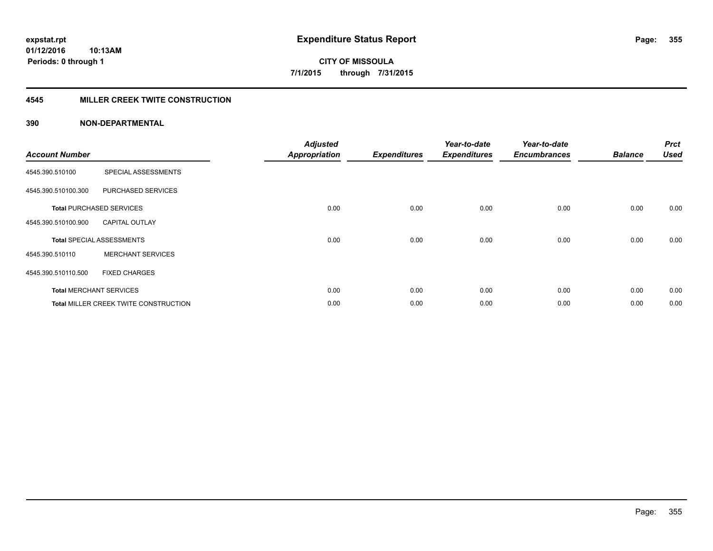**10:13AM Periods: 0 through 1**

**CITY OF MISSOULA 7/1/2015 through 7/31/2015**

#### **4545 MILLER CREEK TWITE CONSTRUCTION**

| <b>Account Number</b> |                                       | <b>Adjusted</b><br><b>Appropriation</b> | <b>Expenditures</b> | Year-to-date<br><b>Expenditures</b> | Year-to-date<br><b>Encumbrances</b> | <b>Balance</b> | <b>Prct</b><br><b>Used</b> |
|-----------------------|---------------------------------------|-----------------------------------------|---------------------|-------------------------------------|-------------------------------------|----------------|----------------------------|
| 4545.390.510100       | SPECIAL ASSESSMENTS                   |                                         |                     |                                     |                                     |                |                            |
| 4545.390.510100.300   | PURCHASED SERVICES                    |                                         |                     |                                     |                                     |                |                            |
|                       | <b>Total PURCHASED SERVICES</b>       | 0.00                                    | 0.00                | 0.00                                | 0.00                                | 0.00           | 0.00                       |
| 4545.390.510100.900   | <b>CAPITAL OUTLAY</b>                 |                                         |                     |                                     |                                     |                |                            |
|                       | <b>Total SPECIAL ASSESSMENTS</b>      | 0.00                                    | 0.00                | 0.00                                | 0.00                                | 0.00           | 0.00                       |
| 4545.390.510110       | <b>MERCHANT SERVICES</b>              |                                         |                     |                                     |                                     |                |                            |
| 4545.390.510110.500   | <b>FIXED CHARGES</b>                  |                                         |                     |                                     |                                     |                |                            |
|                       | <b>Total MERCHANT SERVICES</b>        | 0.00                                    | 0.00                | 0.00                                | 0.00                                | 0.00           | 0.00                       |
|                       | Total MILLER CREEK TWITE CONSTRUCTION | 0.00                                    | 0.00                | 0.00                                | 0.00                                | 0.00           | 0.00                       |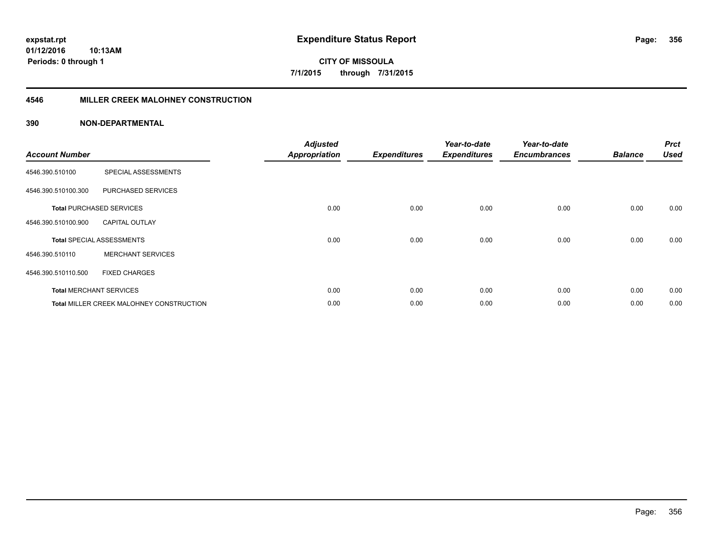**Periods: 0 through 1**

**CITY OF MISSOULA 7/1/2015 through 7/31/2015**

#### **4546 MILLER CREEK MALOHNEY CONSTRUCTION**

#### **390 NON-DEPARTMENTAL**

**10:13AM**

| <b>Account Number</b> |                                                 | <b>Adjusted</b><br><b>Appropriation</b> | <b>Expenditures</b> | Year-to-date<br><b>Expenditures</b> | Year-to-date<br><b>Encumbrances</b> | <b>Balance</b> | <b>Prct</b><br><b>Used</b> |
|-----------------------|-------------------------------------------------|-----------------------------------------|---------------------|-------------------------------------|-------------------------------------|----------------|----------------------------|
| 4546.390.510100       | SPECIAL ASSESSMENTS                             |                                         |                     |                                     |                                     |                |                            |
| 4546.390.510100.300   | PURCHASED SERVICES                              |                                         |                     |                                     |                                     |                |                            |
|                       | <b>Total PURCHASED SERVICES</b>                 | 0.00                                    | 0.00                | 0.00                                | 0.00                                | 0.00           | 0.00                       |
| 4546.390.510100.900   | <b>CAPITAL OUTLAY</b>                           |                                         |                     |                                     |                                     |                |                            |
|                       | <b>Total SPECIAL ASSESSMENTS</b>                | 0.00                                    | 0.00                | 0.00                                | 0.00                                | 0.00           | 0.00                       |
| 4546.390.510110       | <b>MERCHANT SERVICES</b>                        |                                         |                     |                                     |                                     |                |                            |
| 4546.390.510110.500   | <b>FIXED CHARGES</b>                            |                                         |                     |                                     |                                     |                |                            |
|                       | <b>Total MERCHANT SERVICES</b>                  | 0.00                                    | 0.00                | 0.00                                | 0.00                                | 0.00           | 0.00                       |
|                       | <b>Total MILLER CREEK MALOHNEY CONSTRUCTION</b> | 0.00                                    | 0.00                | 0.00                                | 0.00                                | 0.00           | 0.00                       |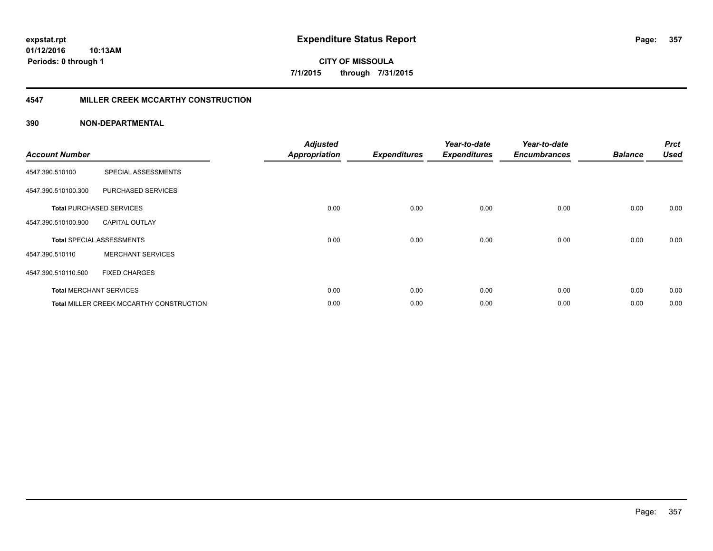**Periods: 0 through 1**

**CITY OF MISSOULA 7/1/2015 through 7/31/2015**

#### **4547 MILLER CREEK MCCARTHY CONSTRUCTION**

#### **390 NON-DEPARTMENTAL**

**10:13AM**

| <b>Account Number</b> |                                          | <b>Adjusted</b><br><b>Appropriation</b> | <b>Expenditures</b> | Year-to-date<br><b>Expenditures</b> | Year-to-date<br><b>Encumbrances</b> | <b>Balance</b> | <b>Prct</b><br><b>Used</b> |
|-----------------------|------------------------------------------|-----------------------------------------|---------------------|-------------------------------------|-------------------------------------|----------------|----------------------------|
| 4547.390.510100       | SPECIAL ASSESSMENTS                      |                                         |                     |                                     |                                     |                |                            |
| 4547.390.510100.300   | PURCHASED SERVICES                       |                                         |                     |                                     |                                     |                |                            |
|                       | <b>Total PURCHASED SERVICES</b>          | 0.00                                    | 0.00                | 0.00                                | 0.00                                | 0.00           | 0.00                       |
| 4547.390.510100.900   | <b>CAPITAL OUTLAY</b>                    |                                         |                     |                                     |                                     |                |                            |
|                       | <b>Total SPECIAL ASSESSMENTS</b>         | 0.00                                    | 0.00                | 0.00                                | 0.00                                | 0.00           | 0.00                       |
| 4547.390.510110       | <b>MERCHANT SERVICES</b>                 |                                         |                     |                                     |                                     |                |                            |
| 4547.390.510110.500   | <b>FIXED CHARGES</b>                     |                                         |                     |                                     |                                     |                |                            |
|                       | <b>Total MERCHANT SERVICES</b>           | 0.00                                    | 0.00                | 0.00                                | 0.00                                | 0.00           | 0.00                       |
|                       | Total MILLER CREEK MCCARTHY CONSTRUCTION | 0.00                                    | 0.00                | 0.00                                | 0.00                                | 0.00           | 0.00                       |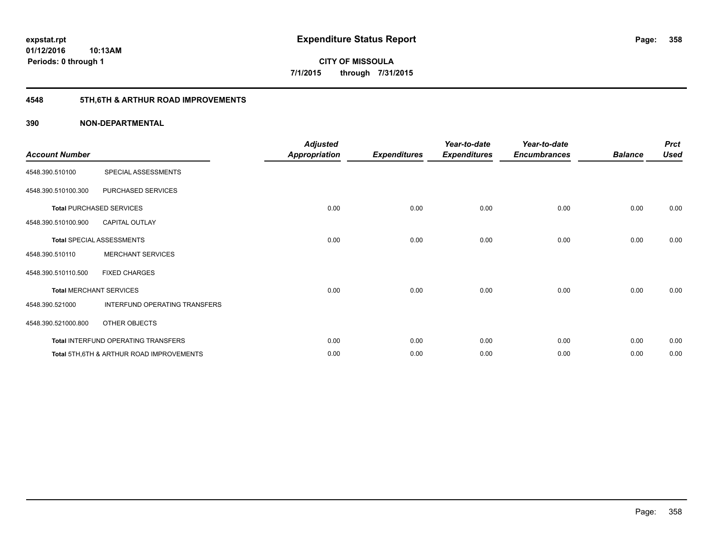**10:13AM Periods: 0 through 1**

**CITY OF MISSOULA 7/1/2015 through 7/31/2015**

## **4548 5TH,6TH & ARTHUR ROAD IMPROVEMENTS**

| <b>Account Number</b> |                                           | <b>Adjusted</b><br><b>Appropriation</b> | <b>Expenditures</b> | Year-to-date<br><b>Expenditures</b> | Year-to-date<br><b>Encumbrances</b> | <b>Balance</b> | <b>Prct</b><br><b>Used</b> |
|-----------------------|-------------------------------------------|-----------------------------------------|---------------------|-------------------------------------|-------------------------------------|----------------|----------------------------|
| 4548.390.510100       | SPECIAL ASSESSMENTS                       |                                         |                     |                                     |                                     |                |                            |
| 4548.390.510100.300   | PURCHASED SERVICES                        |                                         |                     |                                     |                                     |                |                            |
|                       | <b>Total PURCHASED SERVICES</b>           | 0.00                                    | 0.00                | 0.00                                | 0.00                                | 0.00           | 0.00                       |
| 4548.390.510100.900   | <b>CAPITAL OUTLAY</b>                     |                                         |                     |                                     |                                     |                |                            |
|                       | <b>Total SPECIAL ASSESSMENTS</b>          | 0.00                                    | 0.00                | 0.00                                | 0.00                                | 0.00           | 0.00                       |
| 4548.390.510110       | <b>MERCHANT SERVICES</b>                  |                                         |                     |                                     |                                     |                |                            |
| 4548.390.510110.500   | <b>FIXED CHARGES</b>                      |                                         |                     |                                     |                                     |                |                            |
|                       | <b>Total MERCHANT SERVICES</b>            | 0.00                                    | 0.00                | 0.00                                | 0.00                                | 0.00           | 0.00                       |
| 4548.390.521000       | INTERFUND OPERATING TRANSFERS             |                                         |                     |                                     |                                     |                |                            |
| 4548.390.521000.800   | OTHER OBJECTS                             |                                         |                     |                                     |                                     |                |                            |
|                       | Total INTERFUND OPERATING TRANSFERS       | 0.00                                    | 0.00                | 0.00                                | 0.00                                | 0.00           | 0.00                       |
|                       | Total 5TH, 6TH & ARTHUR ROAD IMPROVEMENTS | 0.00                                    | 0.00                | 0.00                                | 0.00                                | 0.00           | 0.00                       |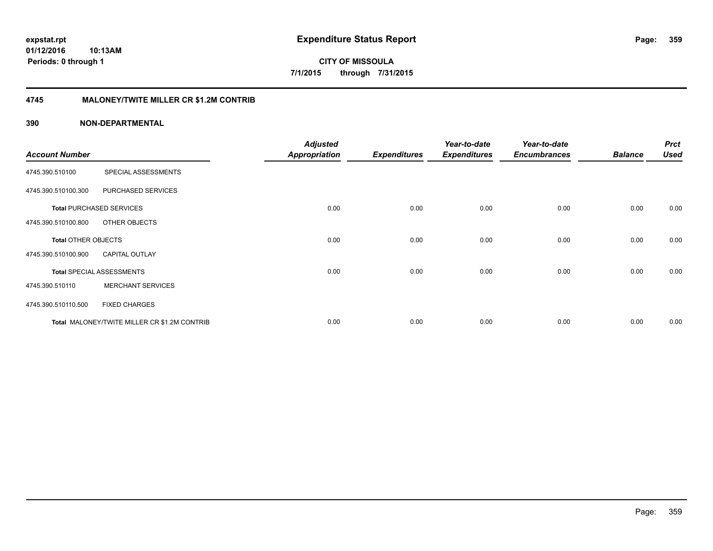**01/12/2016 10:13AM Periods: 0 through 1**

**CITY OF MISSOULA 7/1/2015 through 7/31/2015**

#### **4745 MALONEY/TWITE MILLER CR \$1.2M CONTRIB**

|                            |                                              | <b>Adjusted</b>      |                     | Year-to-date        | Year-to-date        |                | <b>Prct</b> |
|----------------------------|----------------------------------------------|----------------------|---------------------|---------------------|---------------------|----------------|-------------|
| <b>Account Number</b>      |                                              | <b>Appropriation</b> | <b>Expenditures</b> | <b>Expenditures</b> | <b>Encumbrances</b> | <b>Balance</b> | <b>Used</b> |
| 4745.390.510100            | SPECIAL ASSESSMENTS                          |                      |                     |                     |                     |                |             |
| 4745.390.510100.300        | PURCHASED SERVICES                           |                      |                     |                     |                     |                |             |
|                            | <b>Total PURCHASED SERVICES</b>              | 0.00                 | 0.00                | 0.00                | 0.00                | 0.00           | 0.00        |
| 4745.390.510100.800        | OTHER OBJECTS                                |                      |                     |                     |                     |                |             |
| <b>Total OTHER OBJECTS</b> |                                              | 0.00                 | 0.00                | 0.00                | 0.00                | 0.00           | 0.00        |
| 4745.390.510100.900        | <b>CAPITAL OUTLAY</b>                        |                      |                     |                     |                     |                |             |
|                            | <b>Total SPECIAL ASSESSMENTS</b>             | 0.00                 | 0.00                | 0.00                | 0.00                | 0.00           | 0.00        |
| 4745.390.510110            | <b>MERCHANT SERVICES</b>                     |                      |                     |                     |                     |                |             |
| 4745.390.510110.500        | <b>FIXED CHARGES</b>                         |                      |                     |                     |                     |                |             |
|                            | Total MALONEY/TWITE MILLER CR \$1.2M CONTRIB | 0.00                 | 0.00                | 0.00                | 0.00                | 0.00           | 0.00        |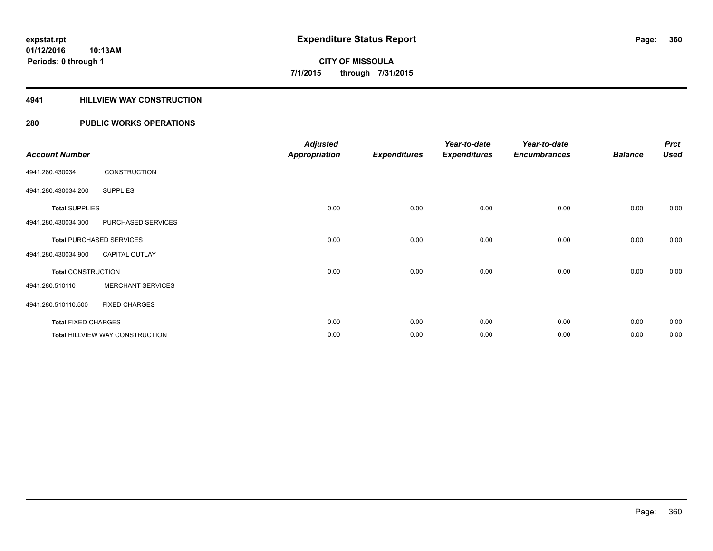#### **4941 HILLVIEW WAY CONSTRUCTION**

|                            |                                 | <b>Adjusted</b> |                     | Year-to-date        | Year-to-date        |                | <b>Prct</b> |
|----------------------------|---------------------------------|-----------------|---------------------|---------------------|---------------------|----------------|-------------|
| <b>Account Number</b>      |                                 | Appropriation   | <b>Expenditures</b> | <b>Expenditures</b> | <b>Encumbrances</b> | <b>Balance</b> | <b>Used</b> |
| 4941.280.430034            | <b>CONSTRUCTION</b>             |                 |                     |                     |                     |                |             |
| 4941.280.430034.200        | <b>SUPPLIES</b>                 |                 |                     |                     |                     |                |             |
| <b>Total SUPPLIES</b>      |                                 | 0.00            | 0.00                | 0.00                | 0.00                | 0.00           | 0.00        |
| 4941.280.430034.300        | PURCHASED SERVICES              |                 |                     |                     |                     |                |             |
|                            | <b>Total PURCHASED SERVICES</b> | 0.00            | 0.00                | 0.00                | 0.00                | 0.00           | 0.00        |
| 4941.280.430034.900        | <b>CAPITAL OUTLAY</b>           |                 |                     |                     |                     |                |             |
| <b>Total CONSTRUCTION</b>  |                                 | 0.00            | 0.00                | 0.00                | 0.00                | 0.00           | 0.00        |
| 4941.280.510110            | <b>MERCHANT SERVICES</b>        |                 |                     |                     |                     |                |             |
| 4941.280.510110.500        | <b>FIXED CHARGES</b>            |                 |                     |                     |                     |                |             |
| <b>Total FIXED CHARGES</b> |                                 | 0.00            | 0.00                | 0.00                | 0.00                | 0.00           | 0.00        |
|                            | Total HILLVIEW WAY CONSTRUCTION | 0.00            | 0.00                | 0.00                | 0.00                | 0.00           | 0.00        |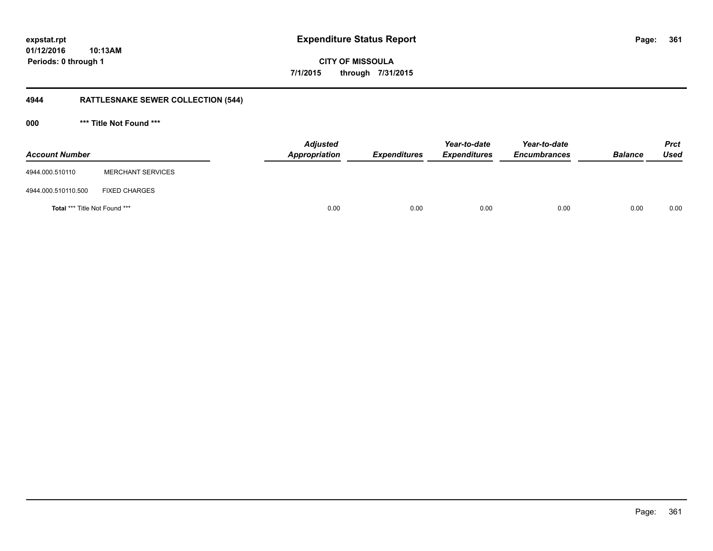# **CITY OF MISSOULA 7/1/2015 through 7/31/2015**

## **4944 RATTLESNAKE SEWER COLLECTION (544)**

**000 \*\*\* Title Not Found \*\*\***

| <b>Account Number</b>                |                          | <b>Adjusted</b><br>Appropriation | <b>Expenditures</b> | Year-to-date<br><b>Expenditures</b> | Year-to-date<br><b>Encumbrances</b> | <b>Balance</b> | <b>Prct</b><br><b>Used</b> |
|--------------------------------------|--------------------------|----------------------------------|---------------------|-------------------------------------|-------------------------------------|----------------|----------------------------|
| 4944.000.510110                      | <b>MERCHANT SERVICES</b> |                                  |                     |                                     |                                     |                |                            |
| 4944.000.510110.500                  | <b>FIXED CHARGES</b>     |                                  |                     |                                     |                                     |                |                            |
| <b>Total *** Title Not Found ***</b> |                          | 0.00                             | 0.00                | 0.00                                | 0.00                                | 0.00           | 0.00                       |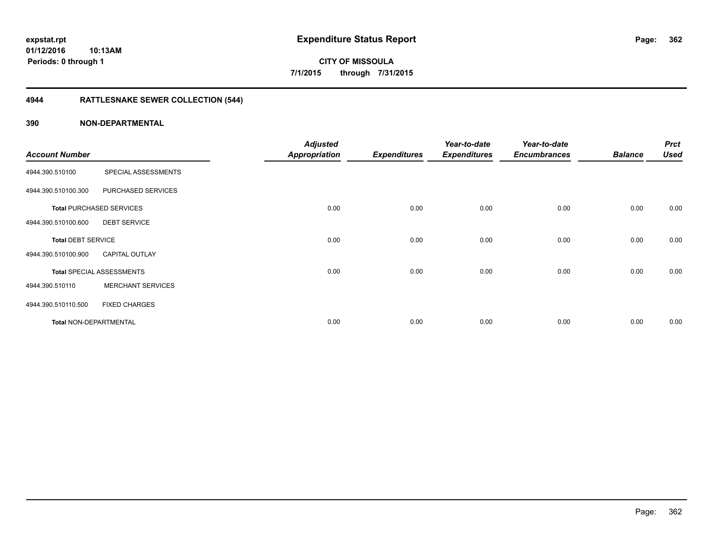**Periods: 0 through 1**

**CITY OF MISSOULA 7/1/2015 through 7/31/2015**

## **4944 RATTLESNAKE SEWER COLLECTION (544)**

### **390 NON-DEPARTMENTAL**

**10:13AM**

| <b>Account Number</b>         |                                  | <b>Adjusted</b><br><b>Appropriation</b> | <b>Expenditures</b> | Year-to-date<br><b>Expenditures</b> | Year-to-date<br><b>Encumbrances</b> | <b>Balance</b> | <b>Prct</b><br><b>Used</b> |
|-------------------------------|----------------------------------|-----------------------------------------|---------------------|-------------------------------------|-------------------------------------|----------------|----------------------------|
| 4944.390.510100               | SPECIAL ASSESSMENTS              |                                         |                     |                                     |                                     |                |                            |
| 4944.390.510100.300           | PURCHASED SERVICES               |                                         |                     |                                     |                                     |                |                            |
|                               | <b>Total PURCHASED SERVICES</b>  | 0.00                                    | 0.00                | 0.00                                | 0.00                                | 0.00           | 0.00                       |
| 4944.390.510100.600           | <b>DEBT SERVICE</b>              |                                         |                     |                                     |                                     |                |                            |
| <b>Total DEBT SERVICE</b>     |                                  | 0.00                                    | 0.00                | 0.00                                | 0.00                                | 0.00           | 0.00                       |
| 4944.390.510100.900           | <b>CAPITAL OUTLAY</b>            |                                         |                     |                                     |                                     |                |                            |
|                               | <b>Total SPECIAL ASSESSMENTS</b> | 0.00                                    | 0.00                | 0.00                                | 0.00                                | 0.00           | 0.00                       |
| 4944.390.510110               | <b>MERCHANT SERVICES</b>         |                                         |                     |                                     |                                     |                |                            |
| 4944.390.510110.500           | <b>FIXED CHARGES</b>             |                                         |                     |                                     |                                     |                |                            |
| <b>Total NON-DEPARTMENTAL</b> |                                  | 0.00                                    | 0.00                | 0.00                                | 0.00                                | 0.00           | 0.00                       |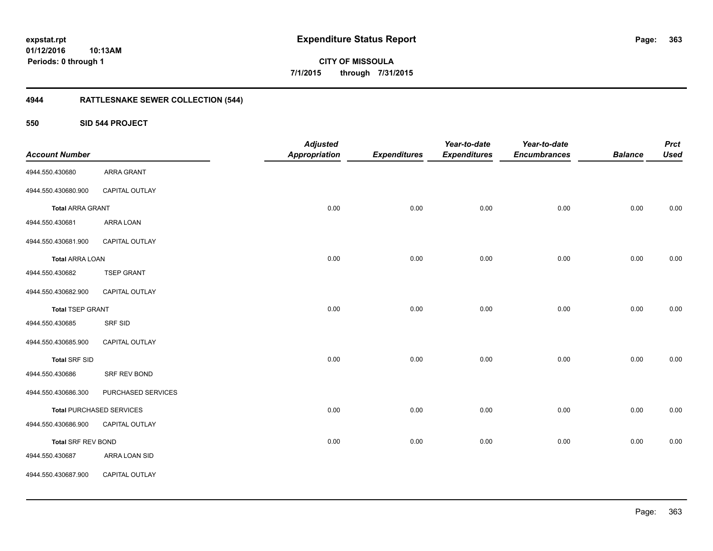**expstat.rpt Expenditure Status Report Page:**

**01/12/2016 10:13AM Periods: 0 through 1**

**363**

**CITY OF MISSOULA 7/1/2015 through 7/31/2015**

## **4944 RATTLESNAKE SEWER COLLECTION (544)**

**550 SID 544 PROJECT**

| <b>Account Number</b>     |                                 | <b>Adjusted</b><br><b>Appropriation</b> | <b>Expenditures</b> | Year-to-date<br><b>Expenditures</b> | Year-to-date<br><b>Encumbrances</b> | <b>Balance</b> | <b>Prct</b><br><b>Used</b> |
|---------------------------|---------------------------------|-----------------------------------------|---------------------|-------------------------------------|-------------------------------------|----------------|----------------------------|
| 4944.550.430680           | ARRA GRANT                      |                                         |                     |                                     |                                     |                |                            |
| 4944.550.430680.900       | <b>CAPITAL OUTLAY</b>           |                                         |                     |                                     |                                     |                |                            |
| <b>Total ARRA GRANT</b>   |                                 | 0.00                                    | 0.00                | 0.00                                | 0.00                                | 0.00           | 0.00                       |
| 4944.550.430681           | ARRA LOAN                       |                                         |                     |                                     |                                     |                |                            |
| 4944.550.430681.900       | CAPITAL OUTLAY                  |                                         |                     |                                     |                                     |                |                            |
| <b>Total ARRA LOAN</b>    |                                 | 0.00                                    | 0.00                | 0.00                                | 0.00                                | 0.00           | 0.00                       |
| 4944.550.430682           | <b>TSEP GRANT</b>               |                                         |                     |                                     |                                     |                |                            |
| 4944.550.430682.900       | <b>CAPITAL OUTLAY</b>           |                                         |                     |                                     |                                     |                |                            |
| <b>Total TSEP GRANT</b>   |                                 | 0.00                                    | 0.00                | 0.00                                | 0.00                                | 0.00           | 0.00                       |
| 4944.550.430685           | SRF SID                         |                                         |                     |                                     |                                     |                |                            |
| 4944.550.430685.900       | CAPITAL OUTLAY                  |                                         |                     |                                     |                                     |                |                            |
| <b>Total SRF SID</b>      |                                 | 0.00                                    | 0.00                | 0.00                                | 0.00                                | 0.00           | 0.00                       |
| 4944.550.430686           | SRF REV BOND                    |                                         |                     |                                     |                                     |                |                            |
| 4944.550.430686.300       | PURCHASED SERVICES              |                                         |                     |                                     |                                     |                |                            |
|                           | <b>Total PURCHASED SERVICES</b> | 0.00                                    | 0.00                | 0.00                                | 0.00                                | 0.00           | 0.00                       |
| 4944.550.430686.900       | CAPITAL OUTLAY                  |                                         |                     |                                     |                                     |                |                            |
| <b>Total SRF REV BOND</b> |                                 | 0.00                                    | 0.00                | 0.00                                | 0.00                                | 0.00           | 0.00                       |
| 4944.550.430687           | ARRA LOAN SID                   |                                         |                     |                                     |                                     |                |                            |
| 4944.550.430687.900       | CAPITAL OUTLAY                  |                                         |                     |                                     |                                     |                |                            |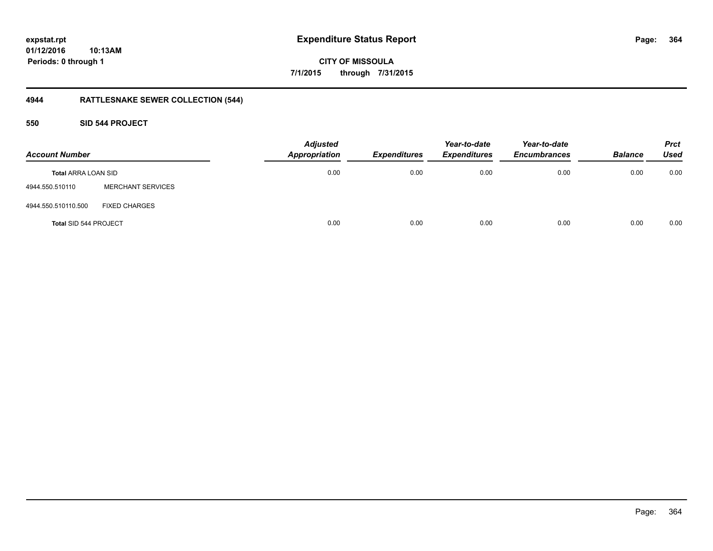**CITY OF MISSOULA 7/1/2015 through 7/31/2015**

## **4944 RATTLESNAKE SEWER COLLECTION (544)**

### **550 SID 544 PROJECT**

| <b>Account Number</b>        |                          | <b>Adjusted</b><br><b>Appropriation</b> | <b>Expenditures</b> | Year-to-date<br><b>Expenditures</b> | Year-to-date<br><b>Encumbrances</b> | <b>Balance</b> | <b>Prct</b><br><b>Used</b> |
|------------------------------|--------------------------|-----------------------------------------|---------------------|-------------------------------------|-------------------------------------|----------------|----------------------------|
| <b>Total ARRA LOAN SID</b>   |                          | 0.00                                    | 0.00                | 0.00                                | 0.00                                | 0.00           | 0.00                       |
| 4944.550.510110              | <b>MERCHANT SERVICES</b> |                                         |                     |                                     |                                     |                |                            |
| 4944.550.510110.500          | <b>FIXED CHARGES</b>     |                                         |                     |                                     |                                     |                |                            |
| <b>Total SID 544 PROJECT</b> |                          | 0.00                                    | 0.00                | 0.00                                | 0.00                                | 0.00           | 0.00                       |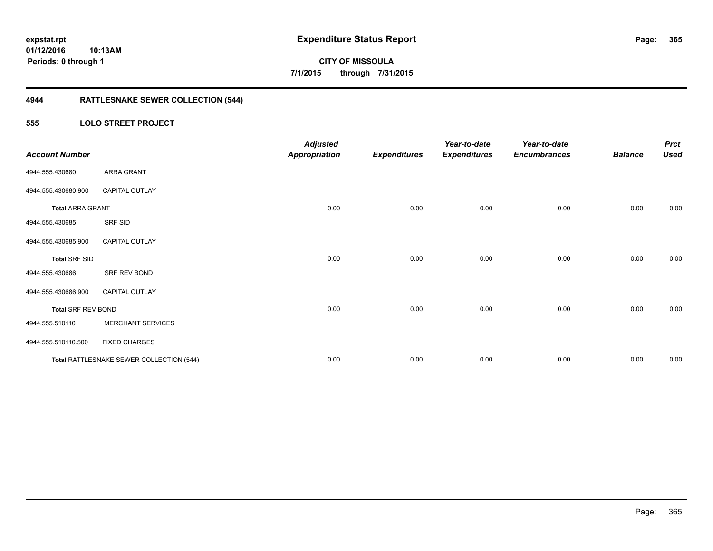**365**

**01/12/2016 10:13AM Periods: 0 through 1**

# **CITY OF MISSOULA 7/1/2015 through 7/31/2015**

## **4944 RATTLESNAKE SEWER COLLECTION (544)**

### **555 LOLO STREET PROJECT**

| <b>Account Number</b>     |                                          | <b>Adjusted</b><br><b>Appropriation</b> | <b>Expenditures</b> | Year-to-date<br><b>Expenditures</b> | Year-to-date<br><b>Encumbrances</b> | <b>Balance</b> | <b>Prct</b><br><b>Used</b> |
|---------------------------|------------------------------------------|-----------------------------------------|---------------------|-------------------------------------|-------------------------------------|----------------|----------------------------|
| 4944.555.430680           | ARRA GRANT                               |                                         |                     |                                     |                                     |                |                            |
| 4944.555.430680.900       | <b>CAPITAL OUTLAY</b>                    |                                         |                     |                                     |                                     |                |                            |
| <b>Total ARRA GRANT</b>   |                                          | 0.00                                    | 0.00                | 0.00                                | 0.00                                | 0.00           | 0.00                       |
| 4944.555.430685           | SRF SID                                  |                                         |                     |                                     |                                     |                |                            |
| 4944.555.430685.900       | CAPITAL OUTLAY                           |                                         |                     |                                     |                                     |                |                            |
| <b>Total SRF SID</b>      |                                          | 0.00                                    | 0.00                | 0.00                                | 0.00                                | 0.00           | 0.00                       |
| 4944.555.430686           | SRF REV BOND                             |                                         |                     |                                     |                                     |                |                            |
| 4944.555.430686.900       | <b>CAPITAL OUTLAY</b>                    |                                         |                     |                                     |                                     |                |                            |
| <b>Total SRF REV BOND</b> |                                          | 0.00                                    | 0.00                | 0.00                                | 0.00                                | 0.00           | 0.00                       |
| 4944.555.510110           | <b>MERCHANT SERVICES</b>                 |                                         |                     |                                     |                                     |                |                            |
| 4944.555.510110.500       | <b>FIXED CHARGES</b>                     |                                         |                     |                                     |                                     |                |                            |
|                           | Total RATTLESNAKE SEWER COLLECTION (544) | 0.00                                    | 0.00                | 0.00                                | 0.00                                | 0.00           | 0.00                       |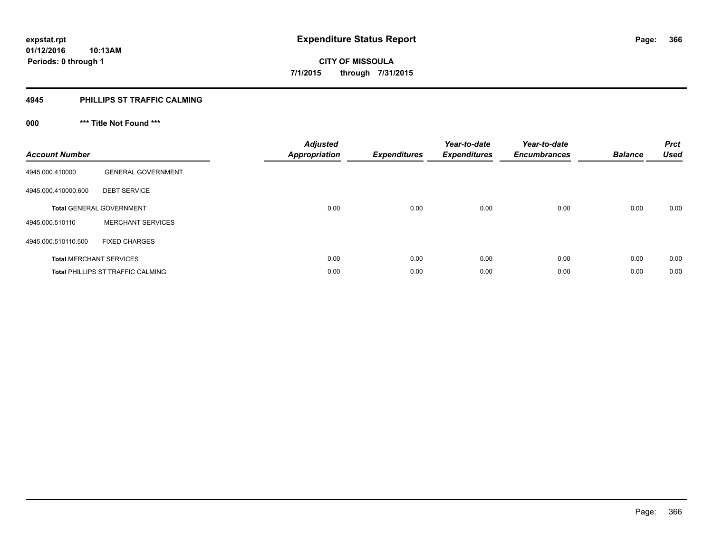#### **4945 PHILLIPS ST TRAFFIC CALMING**

## **000 \*\*\* Title Not Found \*\*\***

| <b>Account Number</b> |                                          | <b>Adjusted</b><br><b>Appropriation</b> | <b>Expenditures</b> | Year-to-date<br><b>Expenditures</b> | Year-to-date<br><b>Encumbrances</b> | <b>Balance</b> | <b>Prct</b><br><b>Used</b> |
|-----------------------|------------------------------------------|-----------------------------------------|---------------------|-------------------------------------|-------------------------------------|----------------|----------------------------|
| 4945.000.410000       | <b>GENERAL GOVERNMENT</b>                |                                         |                     |                                     |                                     |                |                            |
| 4945.000.410000.600   | <b>DEBT SERVICE</b>                      |                                         |                     |                                     |                                     |                |                            |
|                       | <b>Total GENERAL GOVERNMENT</b>          | 0.00                                    | 0.00                | 0.00                                | 0.00                                | 0.00           | 0.00                       |
| 4945.000.510110       | <b>MERCHANT SERVICES</b>                 |                                         |                     |                                     |                                     |                |                            |
| 4945.000.510110.500   | <b>FIXED CHARGES</b>                     |                                         |                     |                                     |                                     |                |                            |
|                       | <b>Total MERCHANT SERVICES</b>           | 0.00                                    | 0.00                | 0.00                                | 0.00                                | 0.00           | 0.00                       |
|                       | <b>Total PHILLIPS ST TRAFFIC CALMING</b> | 0.00                                    | 0.00                | 0.00                                | 0.00                                | 0.00           | 0.00                       |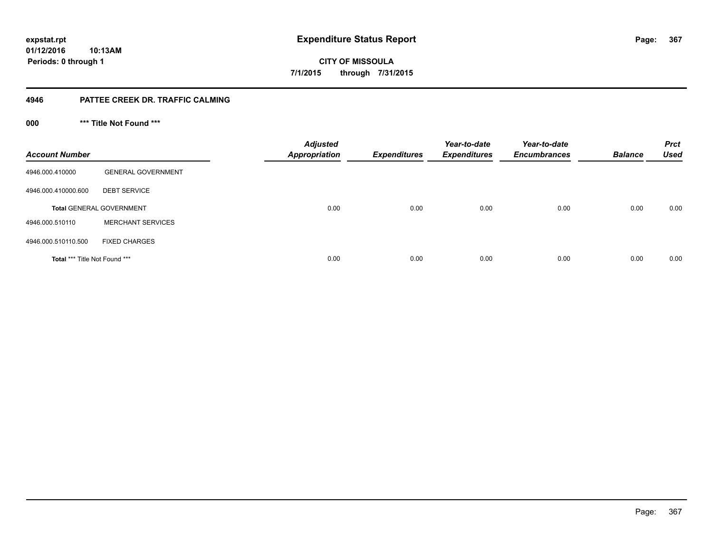**CITY OF MISSOULA 7/1/2015 through 7/31/2015**

### **4946 PATTEE CREEK DR. TRAFFIC CALMING**

**000 \*\*\* Title Not Found \*\*\***

| <b>Account Number</b>         |                                 | <b>Adjusted</b><br><b>Appropriation</b> | <b>Expenditures</b> | Year-to-date<br><b>Expenditures</b> | Year-to-date<br><b>Encumbrances</b> | <b>Balance</b> | <b>Prct</b><br><b>Used</b> |
|-------------------------------|---------------------------------|-----------------------------------------|---------------------|-------------------------------------|-------------------------------------|----------------|----------------------------|
| 4946.000.410000               | <b>GENERAL GOVERNMENT</b>       |                                         |                     |                                     |                                     |                |                            |
| 4946.000.410000.600           | <b>DEBT SERVICE</b>             |                                         |                     |                                     |                                     |                |                            |
|                               | <b>Total GENERAL GOVERNMENT</b> | 0.00                                    | 0.00                | 0.00                                | 0.00                                | 0.00           | 0.00                       |
| 4946.000.510110               | <b>MERCHANT SERVICES</b>        |                                         |                     |                                     |                                     |                |                            |
| 4946.000.510110.500           | <b>FIXED CHARGES</b>            |                                         |                     |                                     |                                     |                |                            |
| Total *** Title Not Found *** |                                 | 0.00                                    | 0.00                | 0.00                                | 0.00                                | 0.00           | 0.00                       |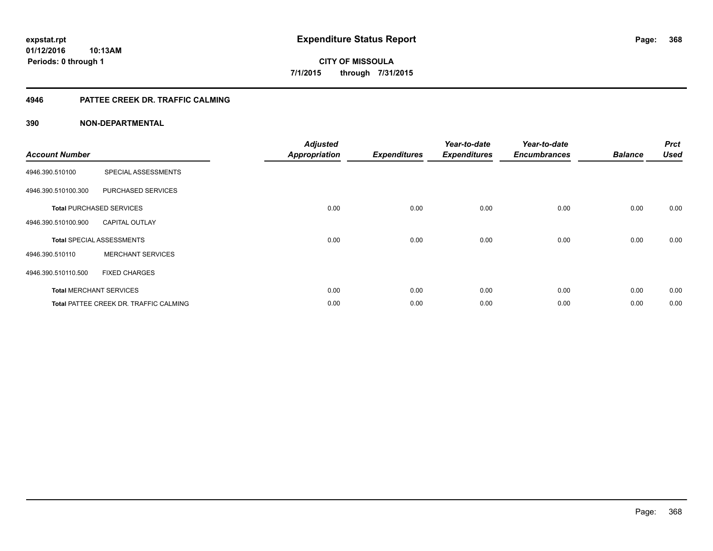**Periods: 0 through 1**

**CITY OF MISSOULA 7/1/2015 through 7/31/2015**

### **4946 PATTEE CREEK DR. TRAFFIC CALMING**

### **390 NON-DEPARTMENTAL**

**10:13AM**

| <b>Account Number</b> |                                        | <b>Adjusted</b><br><b>Appropriation</b> | <b>Expenditures</b> | Year-to-date<br><b>Expenditures</b> | Year-to-date<br><b>Encumbrances</b> | <b>Balance</b> | <b>Prct</b><br><b>Used</b> |
|-----------------------|----------------------------------------|-----------------------------------------|---------------------|-------------------------------------|-------------------------------------|----------------|----------------------------|
| 4946.390.510100       | SPECIAL ASSESSMENTS                    |                                         |                     |                                     |                                     |                |                            |
| 4946.390.510100.300   | PURCHASED SERVICES                     |                                         |                     |                                     |                                     |                |                            |
|                       | <b>Total PURCHASED SERVICES</b>        | 0.00                                    | 0.00                | 0.00                                | 0.00                                | 0.00           | 0.00                       |
| 4946.390.510100.900   | <b>CAPITAL OUTLAY</b>                  |                                         |                     |                                     |                                     |                |                            |
|                       | <b>Total SPECIAL ASSESSMENTS</b>       | 0.00                                    | 0.00                | 0.00                                | 0.00                                | 0.00           | 0.00                       |
| 4946.390.510110       | <b>MERCHANT SERVICES</b>               |                                         |                     |                                     |                                     |                |                            |
| 4946.390.510110.500   | <b>FIXED CHARGES</b>                   |                                         |                     |                                     |                                     |                |                            |
|                       | <b>Total MERCHANT SERVICES</b>         | 0.00                                    | 0.00                | 0.00                                | 0.00                                | 0.00           | 0.00                       |
|                       | Total PATTEE CREEK DR. TRAFFIC CALMING | 0.00                                    | 0.00                | 0.00                                | 0.00                                | 0.00           | 0.00                       |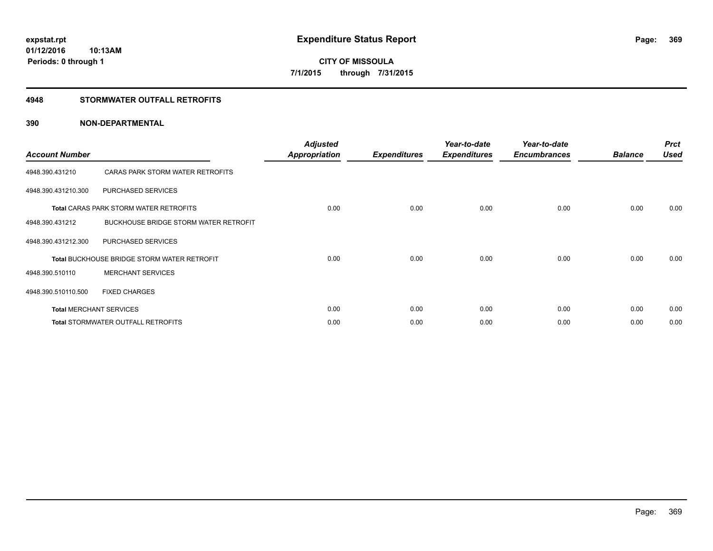**Periods: 0 through 1**

**CITY OF MISSOULA 7/1/2015 through 7/31/2015**

### **4948 STORMWATER OUTFALL RETROFITS**

### **390 NON-DEPARTMENTAL**

**10:13AM**

| <b>Account Number</b> |                                                    | <b>Adjusted</b><br><b>Appropriation</b> | <b>Expenditures</b> | Year-to-date<br><b>Expenditures</b> | Year-to-date<br><b>Encumbrances</b> | <b>Balance</b> | <b>Prct</b><br><b>Used</b> |
|-----------------------|----------------------------------------------------|-----------------------------------------|---------------------|-------------------------------------|-------------------------------------|----------------|----------------------------|
| 4948.390.431210       | CARAS PARK STORM WATER RETROFITS                   |                                         |                     |                                     |                                     |                |                            |
| 4948.390.431210.300   | PURCHASED SERVICES                                 |                                         |                     |                                     |                                     |                |                            |
|                       | <b>Total CARAS PARK STORM WATER RETROFITS</b>      | 0.00                                    | 0.00                | 0.00                                | 0.00                                | 0.00           | 0.00                       |
| 4948.390.431212       | BUCKHOUSE BRIDGE STORM WATER RETROFIT              |                                         |                     |                                     |                                     |                |                            |
| 4948.390.431212.300   | PURCHASED SERVICES                                 |                                         |                     |                                     |                                     |                |                            |
|                       | <b>Total BUCKHOUSE BRIDGE STORM WATER RETROFIT</b> | 0.00                                    | 0.00                | 0.00                                | 0.00                                | 0.00           | 0.00                       |
| 4948.390.510110       | <b>MERCHANT SERVICES</b>                           |                                         |                     |                                     |                                     |                |                            |
| 4948.390.510110.500   | <b>FIXED CHARGES</b>                               |                                         |                     |                                     |                                     |                |                            |
|                       | <b>Total MERCHANT SERVICES</b>                     | 0.00                                    | 0.00                | 0.00                                | 0.00                                | 0.00           | 0.00                       |
|                       | <b>Total STORMWATER OUTFALL RETROFITS</b>          | 0.00                                    | 0.00                | 0.00                                | 0.00                                | 0.00           | 0.00                       |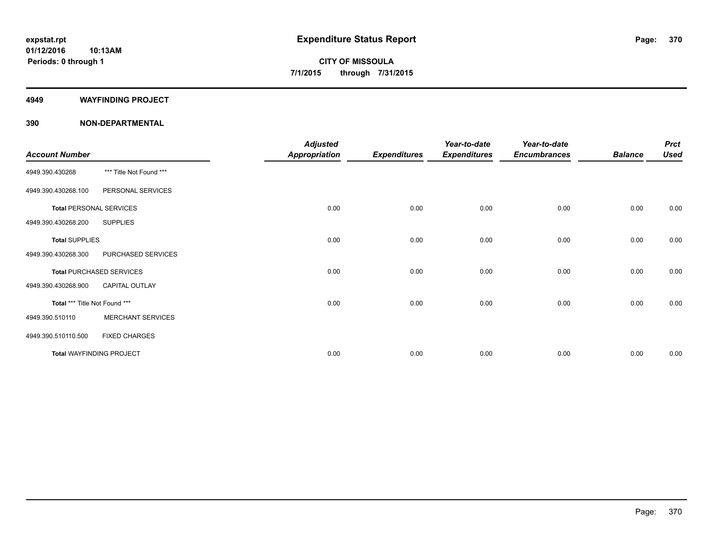#### **4949 WAYFINDING PROJECT**

### **390 NON-DEPARTMENTAL**

| <b>Account Number</b>         |                                 | <b>Adjusted</b><br><b>Appropriation</b> | <b>Expenditures</b> | Year-to-date<br><b>Expenditures</b> | Year-to-date<br><b>Encumbrances</b> | <b>Balance</b> | <b>Prct</b><br><b>Used</b> |
|-------------------------------|---------------------------------|-----------------------------------------|---------------------|-------------------------------------|-------------------------------------|----------------|----------------------------|
| 4949.390.430268               | *** Title Not Found ***         |                                         |                     |                                     |                                     |                |                            |
| 4949.390.430268.100           | PERSONAL SERVICES               |                                         |                     |                                     |                                     |                |                            |
|                               | <b>Total PERSONAL SERVICES</b>  | 0.00                                    | 0.00                | 0.00                                | 0.00                                | 0.00           | 0.00                       |
| 4949.390.430268.200           | <b>SUPPLIES</b>                 |                                         |                     |                                     |                                     |                |                            |
| <b>Total SUPPLIES</b>         |                                 | 0.00                                    | 0.00                | 0.00                                | 0.00                                | 0.00           | 0.00                       |
| 4949.390.430268.300           | PURCHASED SERVICES              |                                         |                     |                                     |                                     |                |                            |
|                               | <b>Total PURCHASED SERVICES</b> | 0.00                                    | 0.00                | 0.00                                | 0.00                                | 0.00           | 0.00                       |
| 4949.390.430268.900           | <b>CAPITAL OUTLAY</b>           |                                         |                     |                                     |                                     |                |                            |
| Total *** Title Not Found *** |                                 | 0.00                                    | 0.00                | 0.00                                | 0.00                                | 0.00           | 0.00                       |
| 4949.390.510110               | <b>MERCHANT SERVICES</b>        |                                         |                     |                                     |                                     |                |                            |
| 4949.390.510110.500           | <b>FIXED CHARGES</b>            |                                         |                     |                                     |                                     |                |                            |
|                               | <b>Total WAYFINDING PROJECT</b> | 0.00                                    | 0.00                | 0.00                                | 0.00                                | 0.00           | 0.00                       |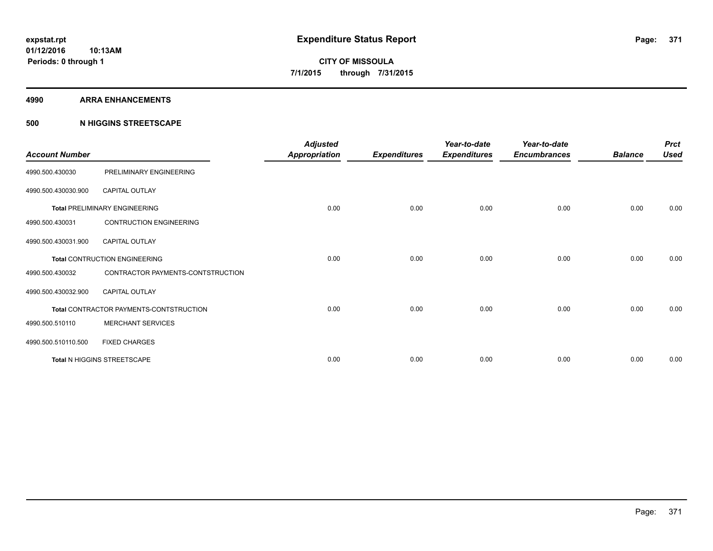#### **4990 ARRA ENHANCEMENTS**

### **500 N HIGGINS STREETSCAPE**

| <b>Account Number</b> |                                         | <b>Adjusted</b><br><b>Appropriation</b> | <b>Expenditures</b> | Year-to-date<br><b>Expenditures</b> | Year-to-date<br><b>Encumbrances</b> | <b>Balance</b> | <b>Prct</b><br><b>Used</b> |
|-----------------------|-----------------------------------------|-----------------------------------------|---------------------|-------------------------------------|-------------------------------------|----------------|----------------------------|
| 4990.500.430030       | PRELIMINARY ENGINEERING                 |                                         |                     |                                     |                                     |                |                            |
| 4990.500.430030.900   | <b>CAPITAL OUTLAY</b>                   |                                         |                     |                                     |                                     |                |                            |
|                       | <b>Total PRELIMINARY ENGINEERING</b>    | 0.00                                    | 0.00                | 0.00                                | 0.00                                | 0.00           | 0.00                       |
| 4990.500.430031       | <b>CONTRUCTION ENGINEERING</b>          |                                         |                     |                                     |                                     |                |                            |
| 4990.500.430031.900   | <b>CAPITAL OUTLAY</b>                   |                                         |                     |                                     |                                     |                |                            |
|                       | <b>Total CONTRUCTION ENGINEERING</b>    | 0.00                                    | 0.00                | 0.00                                | 0.00                                | 0.00           | 0.00                       |
| 4990.500.430032       | CONTRACTOR PAYMENTS-CONTSTRUCTION       |                                         |                     |                                     |                                     |                |                            |
| 4990.500.430032.900   | <b>CAPITAL OUTLAY</b>                   |                                         |                     |                                     |                                     |                |                            |
|                       | Total CONTRACTOR PAYMENTS-CONTSTRUCTION | 0.00                                    | 0.00                | 0.00                                | 0.00                                | 0.00           | 0.00                       |
| 4990.500.510110       | <b>MERCHANT SERVICES</b>                |                                         |                     |                                     |                                     |                |                            |
| 4990.500.510110.500   | <b>FIXED CHARGES</b>                    |                                         |                     |                                     |                                     |                |                            |
|                       | Total N HIGGINS STREETSCAPE             | 0.00                                    | 0.00                | 0.00                                | 0.00                                | 0.00           | 0.00                       |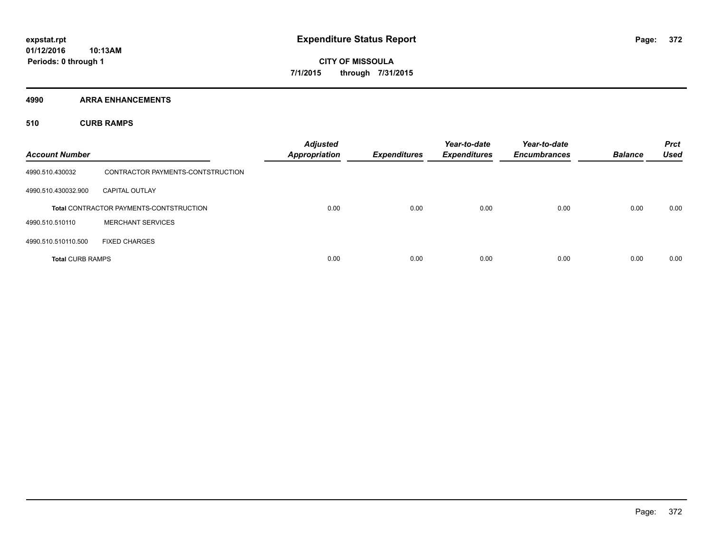**4990 ARRA ENHANCEMENTS**

**510 CURB RAMPS**

| <b>Account Number</b>   |                                                | <b>Adjusted</b><br><b>Appropriation</b> | <b>Expenditures</b> | Year-to-date<br><b>Expenditures</b> | Year-to-date<br><b>Encumbrances</b> | <b>Balance</b> | <b>Prct</b><br><b>Used</b> |
|-------------------------|------------------------------------------------|-----------------------------------------|---------------------|-------------------------------------|-------------------------------------|----------------|----------------------------|
| 4990.510.430032         | CONTRACTOR PAYMENTS-CONTSTRUCTION              |                                         |                     |                                     |                                     |                |                            |
| 4990.510.430032.900     | <b>CAPITAL OUTLAY</b>                          |                                         |                     |                                     |                                     |                |                            |
|                         | <b>Total CONTRACTOR PAYMENTS-CONTSTRUCTION</b> | 0.00                                    | 0.00                | 0.00                                | 0.00                                | 0.00           | 0.00                       |
| 4990.510.510110         | <b>MERCHANT SERVICES</b>                       |                                         |                     |                                     |                                     |                |                            |
| 4990.510.510110.500     | <b>FIXED CHARGES</b>                           |                                         |                     |                                     |                                     |                |                            |
| <b>Total CURB RAMPS</b> |                                                | 0.00                                    | 0.00                | 0.00                                | 0.00                                | 0.00           | 0.00                       |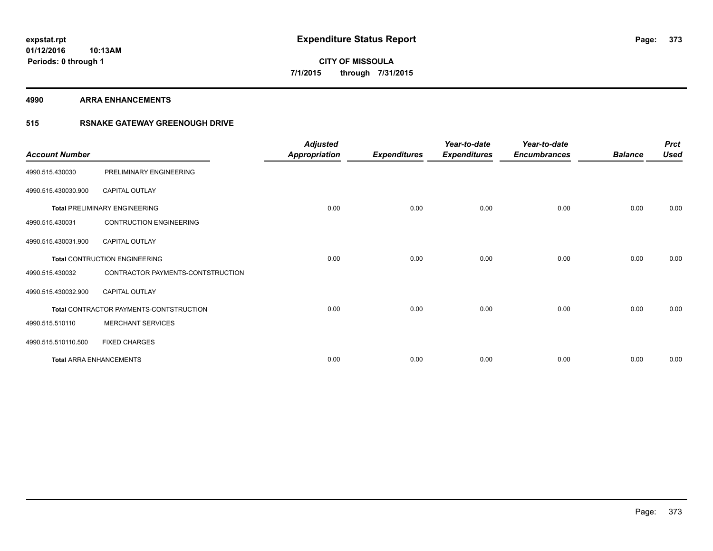**4990 ARRA ENHANCEMENTS**

### **515 RSNAKE GATEWAY GREENOUGH DRIVE**

| <b>Account Number</b> |                                         | <b>Adjusted</b><br><b>Appropriation</b> | <b>Expenditures</b> | Year-to-date<br><b>Expenditures</b> | Year-to-date<br><b>Encumbrances</b> | <b>Balance</b> | <b>Prct</b><br><b>Used</b> |
|-----------------------|-----------------------------------------|-----------------------------------------|---------------------|-------------------------------------|-------------------------------------|----------------|----------------------------|
| 4990.515.430030       | PRELIMINARY ENGINEERING                 |                                         |                     |                                     |                                     |                |                            |
| 4990.515.430030.900   | CAPITAL OUTLAY                          |                                         |                     |                                     |                                     |                |                            |
|                       | <b>Total PRELIMINARY ENGINEERING</b>    | 0.00                                    | 0.00                | 0.00                                | 0.00                                | 0.00           | 0.00                       |
| 4990.515.430031       | <b>CONTRUCTION ENGINEERING</b>          |                                         |                     |                                     |                                     |                |                            |
| 4990.515.430031.900   | <b>CAPITAL OUTLAY</b>                   |                                         |                     |                                     |                                     |                |                            |
|                       | <b>Total CONTRUCTION ENGINEERING</b>    | 0.00                                    | 0.00                | 0.00                                | 0.00                                | 0.00           | 0.00                       |
| 4990.515.430032       | CONTRACTOR PAYMENTS-CONTSTRUCTION       |                                         |                     |                                     |                                     |                |                            |
| 4990.515.430032.900   | <b>CAPITAL OUTLAY</b>                   |                                         |                     |                                     |                                     |                |                            |
|                       | Total CONTRACTOR PAYMENTS-CONTSTRUCTION | 0.00                                    | 0.00                | 0.00                                | 0.00                                | 0.00           | 0.00                       |
| 4990.515.510110       | <b>MERCHANT SERVICES</b>                |                                         |                     |                                     |                                     |                |                            |
| 4990.515.510110.500   | <b>FIXED CHARGES</b>                    |                                         |                     |                                     |                                     |                |                            |
|                       | <b>Total ARRA ENHANCEMENTS</b>          | 0.00                                    | 0.00                | 0.00                                | 0.00                                | 0.00           | 0.00                       |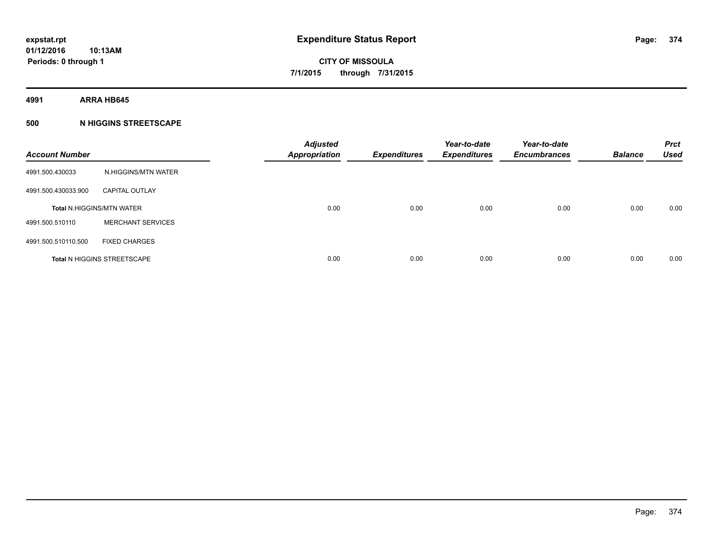**4991 ARRA HB645**

### **500 N HIGGINS STREETSCAPE**

| <b>Account Number</b> |                                    | <b>Adjusted</b><br><b>Appropriation</b> | <b>Expenditures</b> | Year-to-date<br><b>Expenditures</b> | Year-to-date<br><b>Encumbrances</b> | <b>Balance</b> | <b>Prct</b><br><b>Used</b> |
|-----------------------|------------------------------------|-----------------------------------------|---------------------|-------------------------------------|-------------------------------------|----------------|----------------------------|
| 4991.500.430033       | N.HIGGINS/MTN WATER                |                                         |                     |                                     |                                     |                |                            |
| 4991.500.430033.900   | <b>CAPITAL OUTLAY</b>              |                                         |                     |                                     |                                     |                |                            |
|                       | <b>Total N.HIGGINS/MTN WATER</b>   | 0.00                                    | 0.00                | 0.00                                | 0.00                                | 0.00           | 0.00                       |
| 4991.500.510110       | <b>MERCHANT SERVICES</b>           |                                         |                     |                                     |                                     |                |                            |
| 4991.500.510110.500   | <b>FIXED CHARGES</b>               |                                         |                     |                                     |                                     |                |                            |
|                       | <b>Total N HIGGINS STREETSCAPE</b> | 0.00                                    | 0.00                | 0.00                                | 0.00                                | 0.00           | 0.00                       |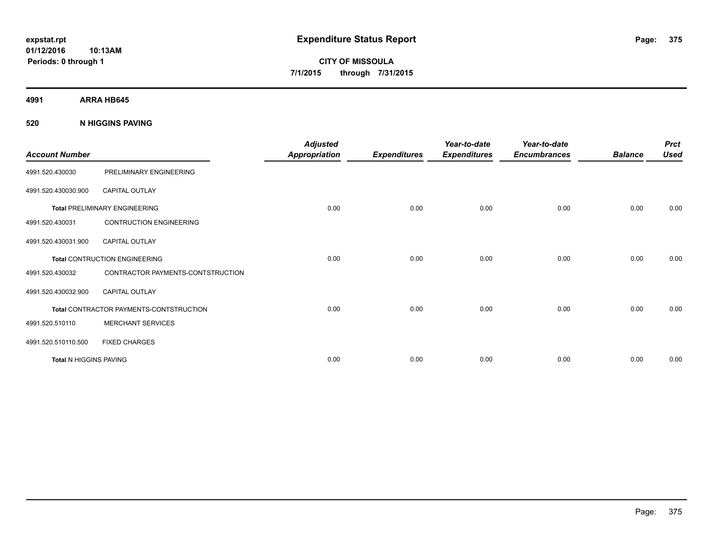**CITY OF MISSOULA 7/1/2015 through 7/31/2015**

**4991 ARRA HB645**

**520 N HIGGINS PAVING**

| <b>Account Number</b>         |                                         | <b>Adjusted</b><br><b>Appropriation</b> | <b>Expenditures</b> | Year-to-date<br><b>Expenditures</b> | Year-to-date<br><b>Encumbrances</b> | <b>Balance</b> | <b>Prct</b><br><b>Used</b> |
|-------------------------------|-----------------------------------------|-----------------------------------------|---------------------|-------------------------------------|-------------------------------------|----------------|----------------------------|
| 4991.520.430030               | PRELIMINARY ENGINEERING                 |                                         |                     |                                     |                                     |                |                            |
| 4991.520.430030.900           | <b>CAPITAL OUTLAY</b>                   |                                         |                     |                                     |                                     |                |                            |
|                               | <b>Total PRELIMINARY ENGINEERING</b>    | 0.00                                    | 0.00                | 0.00                                | 0.00                                | 0.00           | 0.00                       |
| 4991.520.430031               | <b>CONTRUCTION ENGINEERING</b>          |                                         |                     |                                     |                                     |                |                            |
| 4991.520.430031.900           | <b>CAPITAL OUTLAY</b>                   |                                         |                     |                                     |                                     |                |                            |
|                               | <b>Total CONTRUCTION ENGINEERING</b>    | 0.00                                    | 0.00                | 0.00                                | 0.00                                | 0.00           | 0.00                       |
| 4991.520.430032               | CONTRACTOR PAYMENTS-CONTSTRUCTION       |                                         |                     |                                     |                                     |                |                            |
| 4991.520.430032.900           | <b>CAPITAL OUTLAY</b>                   |                                         |                     |                                     |                                     |                |                            |
|                               | Total CONTRACTOR PAYMENTS-CONTSTRUCTION | 0.00                                    | 0.00                | 0.00                                | 0.00                                | 0.00           | 0.00                       |
| 4991.520.510110               | <b>MERCHANT SERVICES</b>                |                                         |                     |                                     |                                     |                |                            |
| 4991.520.510110.500           | <b>FIXED CHARGES</b>                    |                                         |                     |                                     |                                     |                |                            |
| <b>Total N HIGGINS PAVING</b> |                                         | 0.00                                    | 0.00                | 0.00                                | 0.00                                | 0.00           | 0.00                       |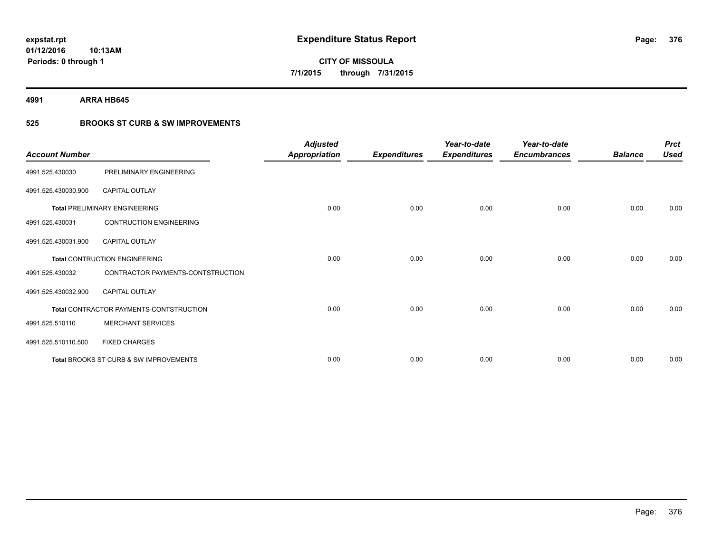**4991 ARRA HB645**

## **525 BROOKS ST CURB & SW IMPROVEMENTS**

| <b>Account Number</b> |                                         | <b>Adjusted</b><br><b>Appropriation</b> | <b>Expenditures</b> | Year-to-date<br><b>Expenditures</b> | Year-to-date<br><b>Encumbrances</b> | <b>Balance</b> | <b>Prct</b><br><b>Used</b> |
|-----------------------|-----------------------------------------|-----------------------------------------|---------------------|-------------------------------------|-------------------------------------|----------------|----------------------------|
| 4991.525.430030       | PRELIMINARY ENGINEERING                 |                                         |                     |                                     |                                     |                |                            |
| 4991.525.430030.900   | <b>CAPITAL OUTLAY</b>                   |                                         |                     |                                     |                                     |                |                            |
|                       | <b>Total PRELIMINARY ENGINEERING</b>    | 0.00                                    | 0.00                | 0.00                                | 0.00                                | 0.00           | 0.00                       |
| 4991.525.430031       | <b>CONTRUCTION ENGINEERING</b>          |                                         |                     |                                     |                                     |                |                            |
| 4991.525.430031.900   | <b>CAPITAL OUTLAY</b>                   |                                         |                     |                                     |                                     |                |                            |
|                       | <b>Total CONTRUCTION ENGINEERING</b>    | 0.00                                    | 0.00                | 0.00                                | 0.00                                | 0.00           | 0.00                       |
| 4991.525.430032       | CONTRACTOR PAYMENTS-CONTSTRUCTION       |                                         |                     |                                     |                                     |                |                            |
| 4991.525.430032.900   | <b>CAPITAL OUTLAY</b>                   |                                         |                     |                                     |                                     |                |                            |
|                       | Total CONTRACTOR PAYMENTS-CONTSTRUCTION | 0.00                                    | 0.00                | 0.00                                | 0.00                                | 0.00           | 0.00                       |
| 4991.525.510110       | <b>MERCHANT SERVICES</b>                |                                         |                     |                                     |                                     |                |                            |
| 4991.525.510110.500   | <b>FIXED CHARGES</b>                    |                                         |                     |                                     |                                     |                |                            |
|                       | Total BROOKS ST CURB & SW IMPROVEMENTS  | 0.00                                    | 0.00                | 0.00                                | 0.00                                | 0.00           | 0.00                       |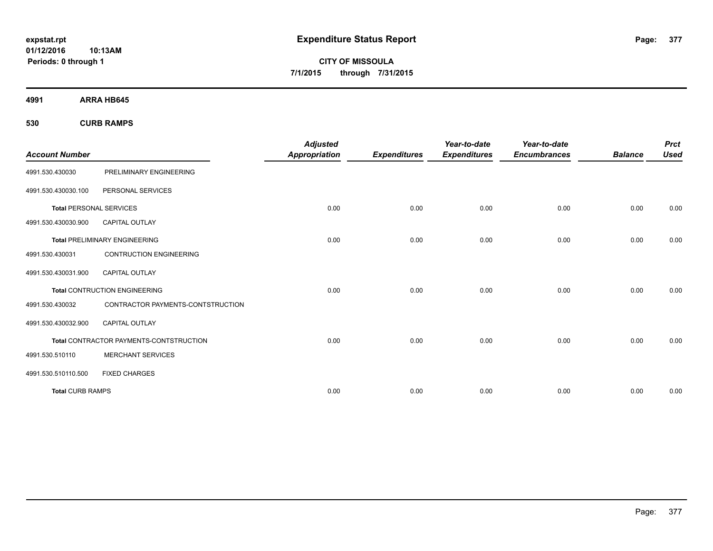**CITY OF MISSOULA 7/1/2015 through 7/31/2015**

**4991 ARRA HB645**

**530 CURB RAMPS**

|                                |                                         | <b>Adjusted</b>      |                     | Year-to-date        | Year-to-date        |                | <b>Prct</b> |
|--------------------------------|-----------------------------------------|----------------------|---------------------|---------------------|---------------------|----------------|-------------|
| <b>Account Number</b>          |                                         | <b>Appropriation</b> | <b>Expenditures</b> | <b>Expenditures</b> | <b>Encumbrances</b> | <b>Balance</b> | <b>Used</b> |
| 4991.530.430030                | PRELIMINARY ENGINEERING                 |                      |                     |                     |                     |                |             |
| 4991.530.430030.100            | PERSONAL SERVICES                       |                      |                     |                     |                     |                |             |
| <b>Total PERSONAL SERVICES</b> |                                         | 0.00                 | 0.00                | 0.00                | 0.00                | 0.00           | 0.00        |
| 4991.530.430030.900            | <b>CAPITAL OUTLAY</b>                   |                      |                     |                     |                     |                |             |
|                                | <b>Total PRELIMINARY ENGINEERING</b>    | 0.00                 | 0.00                | 0.00                | 0.00                | 0.00           | 0.00        |
| 4991.530.430031                | <b>CONTRUCTION ENGINEERING</b>          |                      |                     |                     |                     |                |             |
| 4991.530.430031.900            | <b>CAPITAL OUTLAY</b>                   |                      |                     |                     |                     |                |             |
|                                | <b>Total CONTRUCTION ENGINEERING</b>    | 0.00                 | 0.00                | 0.00                | 0.00                | 0.00           | 0.00        |
| 4991.530.430032                | CONTRACTOR PAYMENTS-CONTSTRUCTION       |                      |                     |                     |                     |                |             |
| 4991.530.430032.900            | <b>CAPITAL OUTLAY</b>                   |                      |                     |                     |                     |                |             |
|                                | Total CONTRACTOR PAYMENTS-CONTSTRUCTION | 0.00                 | 0.00                | 0.00                | 0.00                | 0.00           | 0.00        |
| 4991.530.510110                | <b>MERCHANT SERVICES</b>                |                      |                     |                     |                     |                |             |
| 4991.530.510110.500            | <b>FIXED CHARGES</b>                    |                      |                     |                     |                     |                |             |
| <b>Total CURB RAMPS</b>        |                                         | 0.00                 | 0.00                | 0.00                | 0.00                | 0.00           | 0.00        |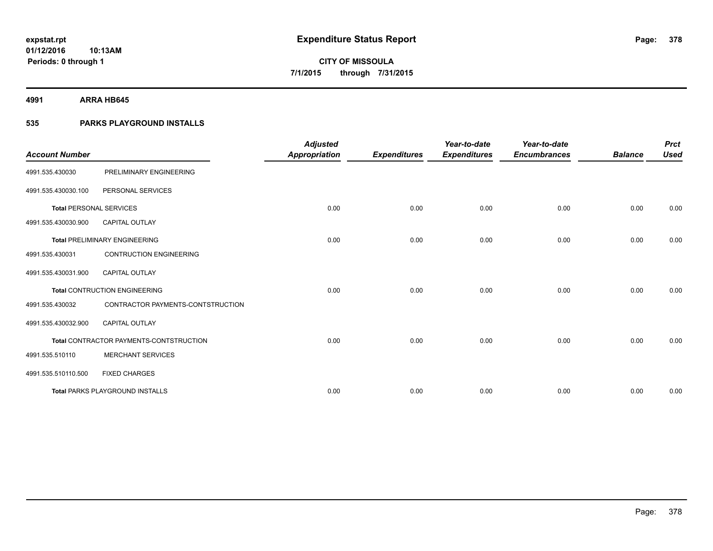**4991 ARRA HB645**

### **535 PARKS PLAYGROUND INSTALLS**

| <b>Account Number</b>          |                                         | <b>Adjusted</b><br><b>Appropriation</b> | <b>Expenditures</b> | Year-to-date<br><b>Expenditures</b> | Year-to-date<br><b>Encumbrances</b> | <b>Balance</b> | <b>Prct</b><br><b>Used</b> |
|--------------------------------|-----------------------------------------|-----------------------------------------|---------------------|-------------------------------------|-------------------------------------|----------------|----------------------------|
| 4991.535.430030                | PRELIMINARY ENGINEERING                 |                                         |                     |                                     |                                     |                |                            |
| 4991.535.430030.100            | PERSONAL SERVICES                       |                                         |                     |                                     |                                     |                |                            |
| <b>Total PERSONAL SERVICES</b> |                                         | 0.00                                    | 0.00                | 0.00                                | 0.00                                | 0.00           | 0.00                       |
| 4991.535.430030.900            | <b>CAPITAL OUTLAY</b>                   |                                         |                     |                                     |                                     |                |                            |
|                                | <b>Total PRELIMINARY ENGINEERING</b>    | 0.00                                    | 0.00                | 0.00                                | 0.00                                | 0.00           | 0.00                       |
| 4991.535.430031                | <b>CONTRUCTION ENGINEERING</b>          |                                         |                     |                                     |                                     |                |                            |
| 4991.535.430031.900            | <b>CAPITAL OUTLAY</b>                   |                                         |                     |                                     |                                     |                |                            |
|                                | <b>Total CONTRUCTION ENGINEERING</b>    | 0.00                                    | 0.00                | 0.00                                | 0.00                                | 0.00           | 0.00                       |
| 4991.535.430032                | CONTRACTOR PAYMENTS-CONTSTRUCTION       |                                         |                     |                                     |                                     |                |                            |
| 4991.535.430032.900            | <b>CAPITAL OUTLAY</b>                   |                                         |                     |                                     |                                     |                |                            |
|                                | Total CONTRACTOR PAYMENTS-CONTSTRUCTION | 0.00                                    | 0.00                | 0.00                                | 0.00                                | 0.00           | 0.00                       |
| 4991.535.510110                | <b>MERCHANT SERVICES</b>                |                                         |                     |                                     |                                     |                |                            |
| 4991.535.510110.500            | <b>FIXED CHARGES</b>                    |                                         |                     |                                     |                                     |                |                            |
|                                | <b>Total PARKS PLAYGROUND INSTALLS</b>  | 0.00                                    | 0.00                | 0.00                                | 0.00                                | 0.00           | 0.00                       |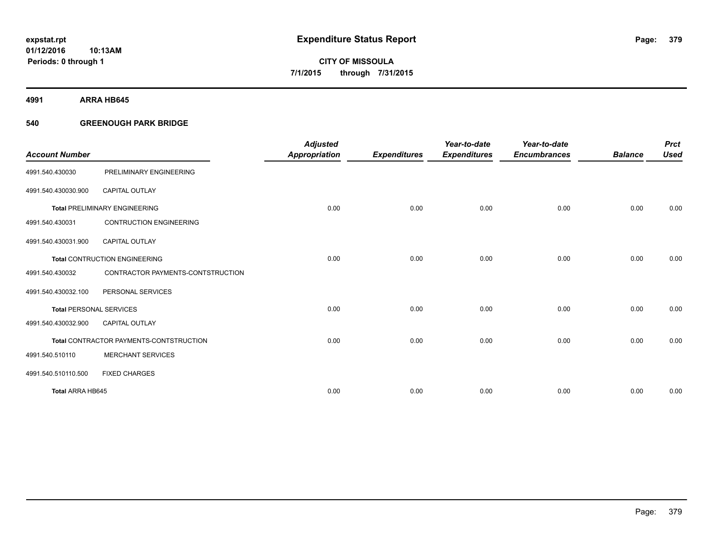**4991 ARRA HB645**

### **540 GREENOUGH PARK BRIDGE**

|                                |                                         | <b>Adjusted</b>      |                     | Year-to-date        | Year-to-date        |                | <b>Prct</b> |
|--------------------------------|-----------------------------------------|----------------------|---------------------|---------------------|---------------------|----------------|-------------|
| <b>Account Number</b>          |                                         | <b>Appropriation</b> | <b>Expenditures</b> | <b>Expenditures</b> | <b>Encumbrances</b> | <b>Balance</b> | <b>Used</b> |
| 4991.540.430030                | PRELIMINARY ENGINEERING                 |                      |                     |                     |                     |                |             |
| 4991.540.430030.900            | <b>CAPITAL OUTLAY</b>                   |                      |                     |                     |                     |                |             |
|                                | <b>Total PRELIMINARY ENGINEERING</b>    | 0.00                 | 0.00                | 0.00                | 0.00                | 0.00           | 0.00        |
| 4991.540.430031                | <b>CONTRUCTION ENGINEERING</b>          |                      |                     |                     |                     |                |             |
| 4991.540.430031.900            | <b>CAPITAL OUTLAY</b>                   |                      |                     |                     |                     |                |             |
|                                | <b>Total CONTRUCTION ENGINEERING</b>    | 0.00                 | 0.00                | 0.00                | 0.00                | 0.00           | 0.00        |
| 4991.540.430032                | CONTRACTOR PAYMENTS-CONTSTRUCTION       |                      |                     |                     |                     |                |             |
| 4991.540.430032.100            | PERSONAL SERVICES                       |                      |                     |                     |                     |                |             |
| <b>Total PERSONAL SERVICES</b> |                                         | 0.00                 | 0.00                | 0.00                | 0.00                | 0.00           | 0.00        |
| 4991.540.430032.900            | <b>CAPITAL OUTLAY</b>                   |                      |                     |                     |                     |                |             |
|                                | Total CONTRACTOR PAYMENTS-CONTSTRUCTION | 0.00                 | 0.00                | 0.00                | 0.00                | 0.00           | 0.00        |
| 4991.540.510110                | <b>MERCHANT SERVICES</b>                |                      |                     |                     |                     |                |             |
| 4991.540.510110.500            | <b>FIXED CHARGES</b>                    |                      |                     |                     |                     |                |             |
| Total ARRA HB645               |                                         | 0.00                 | 0.00                | 0.00                | 0.00                | 0.00           | 0.00        |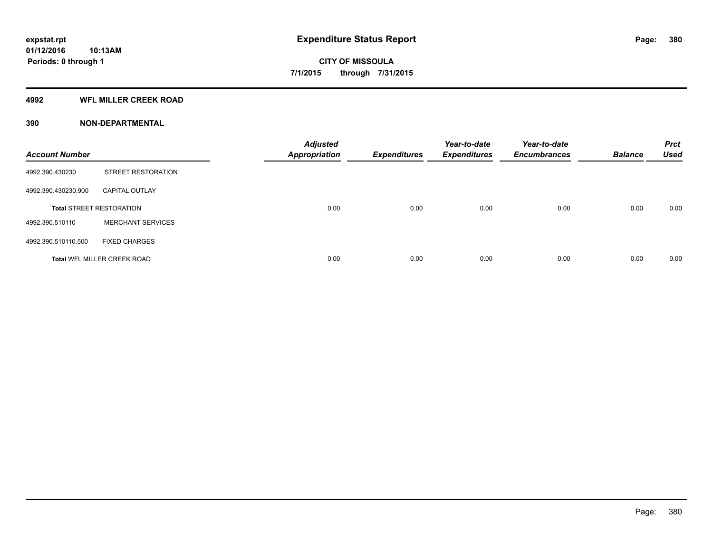### **4992 WFL MILLER CREEK ROAD**

### **390 NON-DEPARTMENTAL**

| <b>Account Number</b> |                                    | <b>Adjusted</b><br><b>Appropriation</b> | <b>Expenditures</b> | Year-to-date<br><b>Expenditures</b> | Year-to-date<br><b>Encumbrances</b> | <b>Balance</b> | <b>Prct</b><br><b>Used</b> |
|-----------------------|------------------------------------|-----------------------------------------|---------------------|-------------------------------------|-------------------------------------|----------------|----------------------------|
| 4992.390.430230       | <b>STREET RESTORATION</b>          |                                         |                     |                                     |                                     |                |                            |
| 4992.390.430230.900   | <b>CAPITAL OUTLAY</b>              |                                         |                     |                                     |                                     |                |                            |
|                       | <b>Total STREET RESTORATION</b>    | 0.00                                    | 0.00                | 0.00                                | 0.00                                | 0.00           | 0.00                       |
| 4992.390.510110       | <b>MERCHANT SERVICES</b>           |                                         |                     |                                     |                                     |                |                            |
| 4992.390.510110.500   | <b>FIXED CHARGES</b>               |                                         |                     |                                     |                                     |                |                            |
|                       | <b>Total WFL MILLER CREEK ROAD</b> | 0.00                                    | 0.00                | 0.00                                | 0.00                                | 0.00           | 0.00                       |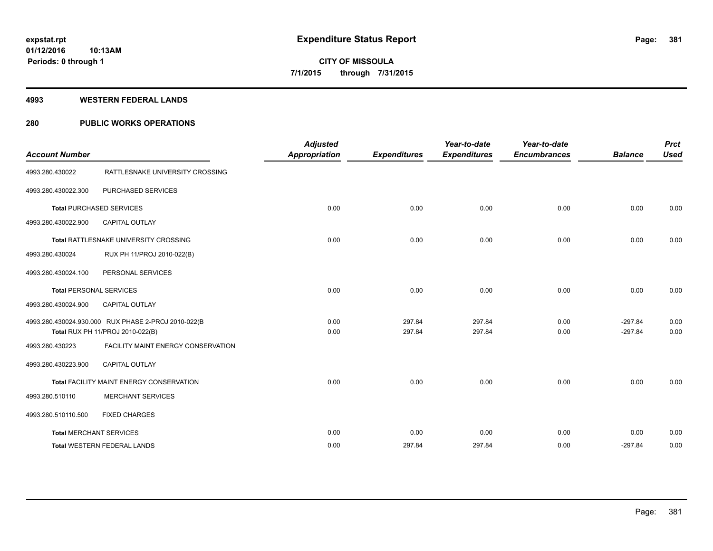#### **4993 WESTERN FEDERAL LANDS**

### **280 PUBLIC WORKS OPERATIONS**

| <b>Account Number</b>          |                                                     | <b>Adjusted</b><br><b>Appropriation</b> | <b>Expenditures</b> | Year-to-date<br><b>Expenditures</b> | Year-to-date<br><b>Encumbrances</b> | <b>Balance</b> | <b>Prct</b><br><b>Used</b> |
|--------------------------------|-----------------------------------------------------|-----------------------------------------|---------------------|-------------------------------------|-------------------------------------|----------------|----------------------------|
|                                |                                                     |                                         |                     |                                     |                                     |                |                            |
| 4993.280.430022                | RATTLESNAKE UNIVERSITY CROSSING                     |                                         |                     |                                     |                                     |                |                            |
| 4993.280.430022.300            | PURCHASED SERVICES                                  |                                         |                     |                                     |                                     |                |                            |
|                                | <b>Total PURCHASED SERVICES</b>                     | 0.00                                    | 0.00                | 0.00                                | 0.00                                | 0.00           | 0.00                       |
| 4993.280.430022.900            | CAPITAL OUTLAY                                      |                                         |                     |                                     |                                     |                |                            |
|                                | Total RATTLESNAKE UNIVERSITY CROSSING               | 0.00                                    | 0.00                | 0.00                                | 0.00                                | 0.00           | 0.00                       |
| 4993.280.430024                | RUX PH 11/PROJ 2010-022(B)                          |                                         |                     |                                     |                                     |                |                            |
| 4993.280.430024.100            | PERSONAL SERVICES                                   |                                         |                     |                                     |                                     |                |                            |
| <b>Total PERSONAL SERVICES</b> |                                                     | 0.00                                    | 0.00                | 0.00                                | 0.00                                | 0.00           | 0.00                       |
| 4993.280.430024.900            | CAPITAL OUTLAY                                      |                                         |                     |                                     |                                     |                |                            |
|                                | 4993.280.430024.930.000 RUX PHASE 2-PROJ 2010-022(B | 0.00                                    | 297.84              | 297.84                              | 0.00                                | $-297.84$      | 0.00                       |
|                                | Total RUX PH 11/PROJ 2010-022(B)                    | 0.00                                    | 297.84              | 297.84                              | 0.00                                | $-297.84$      | 0.00                       |
| 4993.280.430223                | FACILITY MAINT ENERGY CONSERVATION                  |                                         |                     |                                     |                                     |                |                            |
| 4993.280.430223.900            | <b>CAPITAL OUTLAY</b>                               |                                         |                     |                                     |                                     |                |                            |
|                                | <b>Total FACILITY MAINT ENERGY CONSERVATION</b>     | 0.00                                    | 0.00                | 0.00                                | 0.00                                | 0.00           | 0.00                       |
| 4993.280.510110                | <b>MERCHANT SERVICES</b>                            |                                         |                     |                                     |                                     |                |                            |
| 4993.280.510110.500            | <b>FIXED CHARGES</b>                                |                                         |                     |                                     |                                     |                |                            |
|                                | <b>Total MERCHANT SERVICES</b>                      | 0.00                                    | 0.00                | 0.00                                | 0.00                                | 0.00           | 0.00                       |
|                                | <b>Total WESTERN FEDERAL LANDS</b>                  | 0.00                                    | 297.84              | 297.84                              | 0.00                                | $-297.84$      | 0.00                       |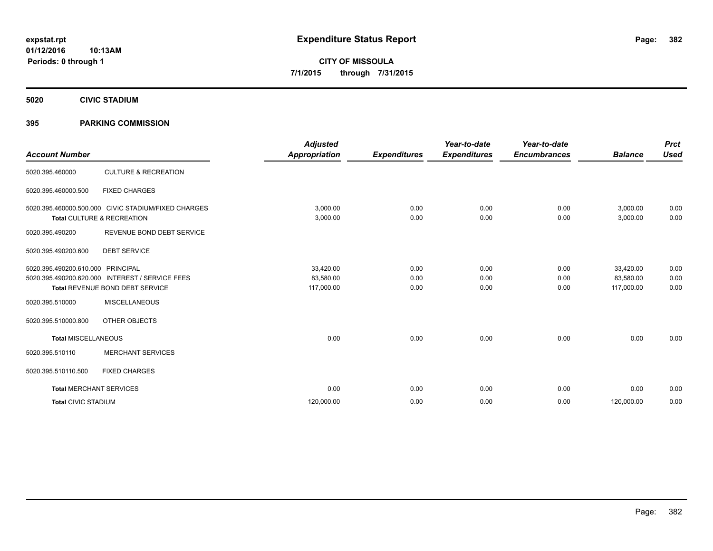**Periods: 0 through 1**

**CITY OF MISSOULA 7/1/2015 through 7/31/2015**

**5020 CIVIC STADIUM**

### **395 PARKING COMMISSION**

**10:13AM**

| <b>Account Number</b>      |                                                                                                               | <b>Adjusted</b><br><b>Appropriation</b> | <b>Expenditures</b>  | Year-to-date<br><b>Expenditures</b> | Year-to-date<br><b>Encumbrances</b> | <b>Balance</b>                       | <b>Prct</b><br><b>Used</b> |
|----------------------------|---------------------------------------------------------------------------------------------------------------|-----------------------------------------|----------------------|-------------------------------------|-------------------------------------|--------------------------------------|----------------------------|
| 5020.395.460000            | <b>CULTURE &amp; RECREATION</b>                                                                               |                                         |                      |                                     |                                     |                                      |                            |
| 5020.395.460000.500        | <b>FIXED CHARGES</b>                                                                                          |                                         |                      |                                     |                                     |                                      |                            |
|                            | 5020.395.460000.500.000 CIVIC STADIUM/FIXED CHARGES<br>Total CULTURE & RECREATION                             | 3,000.00<br>3,000.00                    | 0.00<br>0.00         | 0.00<br>0.00                        | 0.00<br>0.00                        | 3,000.00<br>3,000.00                 | 0.00<br>0.00               |
| 5020.395.490200            | REVENUE BOND DEBT SERVICE                                                                                     |                                         |                      |                                     |                                     |                                      |                            |
| 5020.395.490200.600        | <b>DEBT SERVICE</b>                                                                                           |                                         |                      |                                     |                                     |                                      |                            |
| 5020.395.490200.610.000    | <b>PRINCIPAL</b><br>5020.395.490200.620.000 INTEREST / SERVICE FEES<br><b>Total REVENUE BOND DEBT SERVICE</b> | 33,420.00<br>83,580.00<br>117,000.00    | 0.00<br>0.00<br>0.00 | 0.00<br>0.00<br>0.00                | 0.00<br>0.00<br>0.00                | 33,420.00<br>83,580.00<br>117,000.00 | 0.00<br>0.00<br>0.00       |
| 5020.395.510000            | <b>MISCELLANEOUS</b>                                                                                          |                                         |                      |                                     |                                     |                                      |                            |
| 5020.395.510000.800        | OTHER OBJECTS                                                                                                 |                                         |                      |                                     |                                     |                                      |                            |
| <b>Total MISCELLANEOUS</b> |                                                                                                               | 0.00                                    | 0.00                 | 0.00                                | 0.00                                | 0.00                                 | 0.00                       |
| 5020.395.510110            | <b>MERCHANT SERVICES</b>                                                                                      |                                         |                      |                                     |                                     |                                      |                            |
| 5020.395.510110.500        | <b>FIXED CHARGES</b>                                                                                          |                                         |                      |                                     |                                     |                                      |                            |
|                            | <b>Total MERCHANT SERVICES</b>                                                                                | 0.00                                    | 0.00                 | 0.00                                | 0.00                                | 0.00                                 | 0.00                       |
| <b>Total CIVIC STADIUM</b> |                                                                                                               | 120,000.00                              | 0.00                 | 0.00                                | 0.00                                | 120,000.00                           | 0.00                       |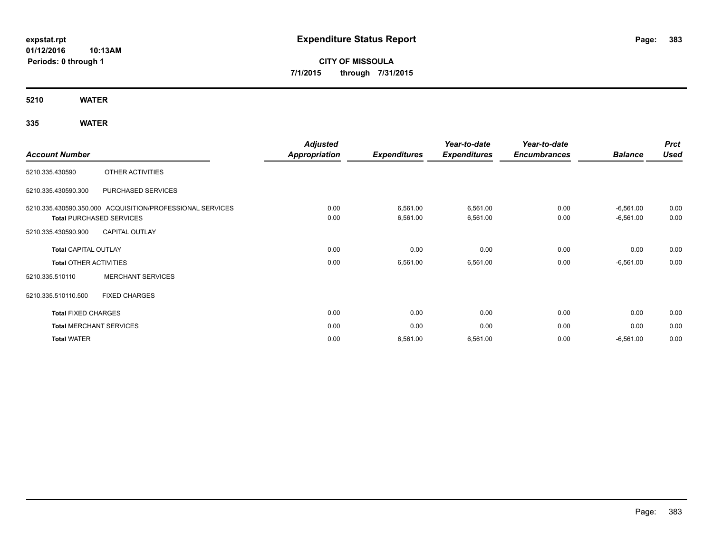# **CITY OF MISSOULA 7/1/2015 through 7/31/2015**

**5210 WATER**

## **335 WATER**

|                               |                                                           | <b>Adjusted</b>      |                     | Year-to-date        | Year-to-date        |                | <b>Prct</b> |
|-------------------------------|-----------------------------------------------------------|----------------------|---------------------|---------------------|---------------------|----------------|-------------|
| <b>Account Number</b>         |                                                           | <b>Appropriation</b> | <b>Expenditures</b> | <b>Expenditures</b> | <b>Encumbrances</b> | <b>Balance</b> | <b>Used</b> |
| 5210.335.430590               | OTHER ACTIVITIES                                          |                      |                     |                     |                     |                |             |
| 5210.335.430590.300           | PURCHASED SERVICES                                        |                      |                     |                     |                     |                |             |
|                               | 5210.335.430590.350.000 ACQUISITION/PROFESSIONAL SERVICES | 0.00                 | 6,561.00            | 6,561.00            | 0.00                | $-6,561.00$    | 0.00        |
|                               | <b>Total PURCHASED SERVICES</b>                           | 0.00                 | 6,561.00            | 6,561.00            | 0.00                | $-6,561.00$    | 0.00        |
| 5210.335.430590.900           | <b>CAPITAL OUTLAY</b>                                     |                      |                     |                     |                     |                |             |
| <b>Total CAPITAL OUTLAY</b>   |                                                           | 0.00                 | 0.00                | 0.00                | 0.00                | 0.00           | 0.00        |
| <b>Total OTHER ACTIVITIES</b> |                                                           | 0.00                 | 6,561.00            | 6,561.00            | 0.00                | $-6,561.00$    | 0.00        |
| 5210.335.510110               | <b>MERCHANT SERVICES</b>                                  |                      |                     |                     |                     |                |             |
| 5210.335.510110.500           | <b>FIXED CHARGES</b>                                      |                      |                     |                     |                     |                |             |
| <b>Total FIXED CHARGES</b>    |                                                           | 0.00                 | 0.00                | 0.00                | 0.00                | 0.00           | 0.00        |
|                               | <b>Total MERCHANT SERVICES</b>                            | 0.00                 | 0.00                | 0.00                | 0.00                | 0.00           | 0.00        |
| <b>Total WATER</b>            |                                                           | 0.00                 | 6,561.00            | 6,561.00            | 0.00                | $-6,561.00$    | 0.00        |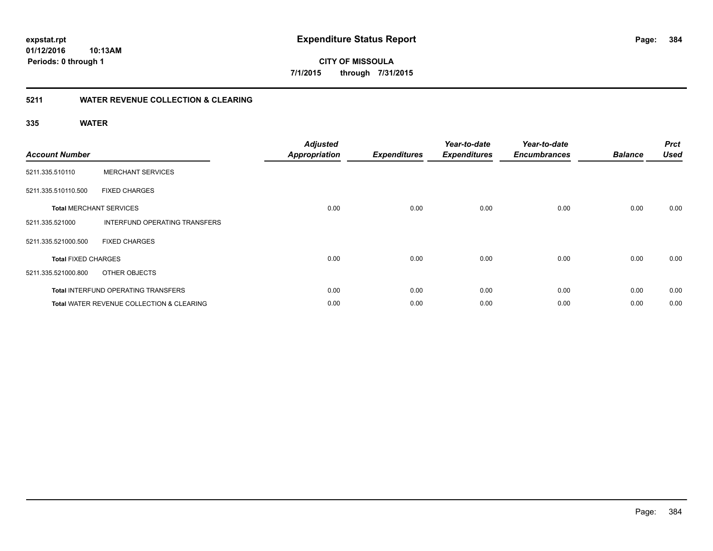**384**

**01/12/2016 10:13AM Periods: 0 through 1**

**CITY OF MISSOULA 7/1/2015 through 7/31/2015**

### **5211 WATER REVENUE COLLECTION & CLEARING**

### **335 WATER**

| <b>Account Number</b>      |                                                      | <b>Adjusted</b><br><b>Appropriation</b> | <b>Expenditures</b> | Year-to-date<br><b>Expenditures</b> | Year-to-date<br><b>Encumbrances</b> | <b>Balance</b> | <b>Prct</b><br><b>Used</b> |
|----------------------------|------------------------------------------------------|-----------------------------------------|---------------------|-------------------------------------|-------------------------------------|----------------|----------------------------|
| 5211.335.510110            | <b>MERCHANT SERVICES</b>                             |                                         |                     |                                     |                                     |                |                            |
| 5211.335.510110.500        | <b>FIXED CHARGES</b>                                 |                                         |                     |                                     |                                     |                |                            |
|                            | <b>Total MERCHANT SERVICES</b>                       | 0.00                                    | 0.00                | 0.00                                | 0.00                                | 0.00           | 0.00                       |
| 5211.335.521000            | INTERFUND OPERATING TRANSFERS                        |                                         |                     |                                     |                                     |                |                            |
| 5211.335.521000.500        | <b>FIXED CHARGES</b>                                 |                                         |                     |                                     |                                     |                |                            |
| <b>Total FIXED CHARGES</b> |                                                      | 0.00                                    | 0.00                | 0.00                                | 0.00                                | 0.00           | 0.00                       |
| 5211.335.521000.800        | OTHER OBJECTS                                        |                                         |                     |                                     |                                     |                |                            |
|                            | <b>Total INTERFUND OPERATING TRANSFERS</b>           | 0.00                                    | 0.00                | 0.00                                | 0.00                                | 0.00           | 0.00                       |
|                            | <b>Total WATER REVENUE COLLECTION &amp; CLEARING</b> | 0.00                                    | 0.00                | 0.00                                | 0.00                                | 0.00           | 0.00                       |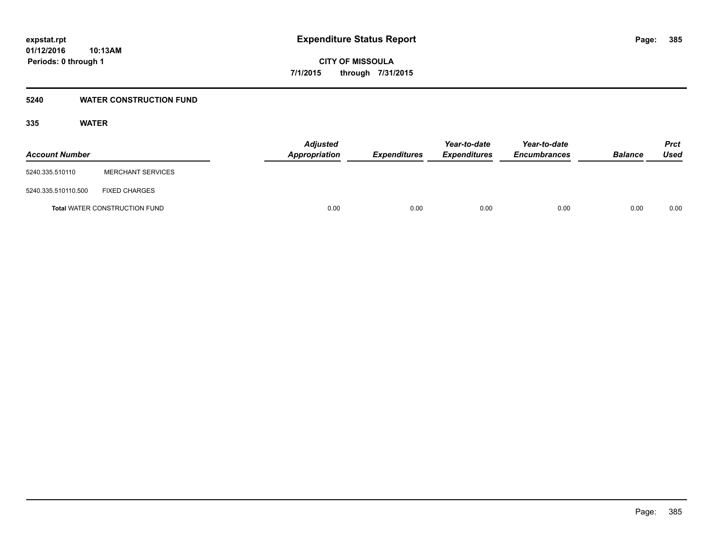### **5240 WATER CONSTRUCTION FUND**

### **335 WATER**

| <b>Account Number</b> |                                      | <b>Adjusted</b><br>Appropriation | <i><b>Expenditures</b></i> | Year-to-date<br><i><b>Expenditures</b></i> | Year-to-date<br><b>Encumbrances</b> | <b>Balance</b> | <b>Prct</b><br>Used |
|-----------------------|--------------------------------------|----------------------------------|----------------------------|--------------------------------------------|-------------------------------------|----------------|---------------------|
| 5240.335.510110       | <b>MERCHANT SERVICES</b>             |                                  |                            |                                            |                                     |                |                     |
| 5240.335.510110.500   | <b>FIXED CHARGES</b>                 |                                  |                            |                                            |                                     |                |                     |
|                       | <b>Total WATER CONSTRUCTION FUND</b> | 0.00                             | 0.00                       | 0.00                                       | 0.00                                | 0.00           | 0.00                |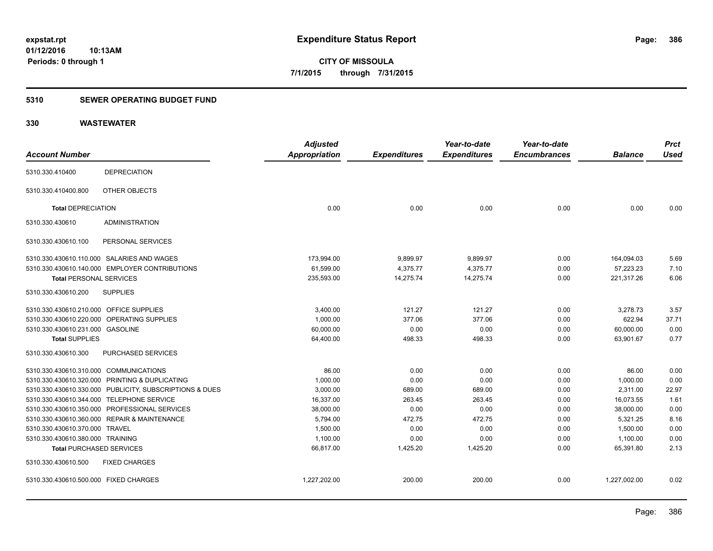### **5310 SEWER OPERATING BUDGET FUND**

|                                            |                                                         | <b>Adjusted</b>      |                     | Year-to-date        | Year-to-date        |                | <b>Prct</b> |
|--------------------------------------------|---------------------------------------------------------|----------------------|---------------------|---------------------|---------------------|----------------|-------------|
| <b>Account Number</b>                      |                                                         | <b>Appropriation</b> | <b>Expenditures</b> | <b>Expenditures</b> | <b>Encumbrances</b> | <b>Balance</b> | <b>Used</b> |
| 5310.330.410400                            | <b>DEPRECIATION</b>                                     |                      |                     |                     |                     |                |             |
| 5310.330.410400.800                        | OTHER OBJECTS                                           |                      |                     |                     |                     |                |             |
| <b>Total DEPRECIATION</b>                  |                                                         | 0.00                 | 0.00                | 0.00                | 0.00                | 0.00           | 0.00        |
| 5310.330.430610                            | <b>ADMINISTRATION</b>                                   |                      |                     |                     |                     |                |             |
| 5310.330.430610.100                        | PERSONAL SERVICES                                       |                      |                     |                     |                     |                |             |
| 5310.330.430610.110.000 SALARIES AND WAGES |                                                         | 173,994.00           | 9,899.97            | 9,899.97            | 0.00                | 164,094.03     | 5.69        |
|                                            | 5310.330.430610.140.000 EMPLOYER CONTRIBUTIONS          | 61.599.00            | 4,375.77            | 4,375.77            | 0.00                | 57.223.23      | 7.10        |
| <b>Total PERSONAL SERVICES</b>             |                                                         | 235,593.00           | 14,275.74           | 14,275.74           | 0.00                | 221,317.26     | 6.06        |
| 5310.330.430610.200                        | <b>SUPPLIES</b>                                         |                      |                     |                     |                     |                |             |
| 5310.330.430610.210.000 OFFICE SUPPLIES    |                                                         | 3,400.00             | 121.27              | 121.27              | 0.00                | 3,278.73       | 3.57        |
| 5310.330.430610.220.000 OPERATING SUPPLIES |                                                         | 1,000.00             | 377.06              | 377.06              | 0.00                | 622.94         | 37.71       |
| 5310.330.430610.231.000 GASOLINE           |                                                         | 60,000.00            | 0.00                | 0.00                | 0.00                | 60,000.00      | 0.00        |
| <b>Total SUPPLIES</b>                      |                                                         | 64,400.00            | 498.33              | 498.33              | 0.00                | 63,901.67      | 0.77        |
| 5310.330.430610.300                        | <b>PURCHASED SERVICES</b>                               |                      |                     |                     |                     |                |             |
| 5310.330.430610.310.000 COMMUNICATIONS     |                                                         | 86.00                | 0.00                | 0.00                | 0.00                | 86.00          | 0.00        |
|                                            | 5310.330.430610.320.000 PRINTING & DUPLICATING          | 1,000.00             | 0.00                | 0.00                | 0.00                | 1,000.00       | 0.00        |
|                                            | 5310.330.430610.330.000 PUBLICITY, SUBSCRIPTIONS & DUES | 3,000.00             | 689.00              | 689.00              | 0.00                | 2,311.00       | 22.97       |
| 5310.330.430610.344.000 TELEPHONE SERVICE  |                                                         | 16,337.00            | 263.45              | 263.45              | 0.00                | 16,073.55      | 1.61        |
|                                            | 5310.330.430610.350.000 PROFESSIONAL SERVICES           | 38.000.00            | 0.00                | 0.00                | 0.00                | 38,000.00      | 0.00        |
|                                            | 5310.330.430610.360.000 REPAIR & MAINTENANCE            | 5,794.00             | 472.75              | 472.75              | 0.00                | 5,321.25       | 8.16        |
| 5310.330.430610.370.000 TRAVEL             |                                                         | 1,500.00             | 0.00                | 0.00                | 0.00                | 1,500.00       | 0.00        |
| 5310.330.430610.380.000 TRAINING           |                                                         | 1,100.00             | 0.00                | 0.00                | 0.00                | 1,100.00       | 0.00        |
| <b>Total PURCHASED SERVICES</b>            |                                                         | 66,817.00            | 1,425.20            | 1,425.20            | 0.00                | 65,391.80      | 2.13        |
| 5310.330.430610.500                        | <b>FIXED CHARGES</b>                                    |                      |                     |                     |                     |                |             |
| 5310.330.430610.500.000 FIXED CHARGES      |                                                         | 1,227,202.00         | 200.00              | 200.00              | 0.00                | 1,227,002.00   | 0.02        |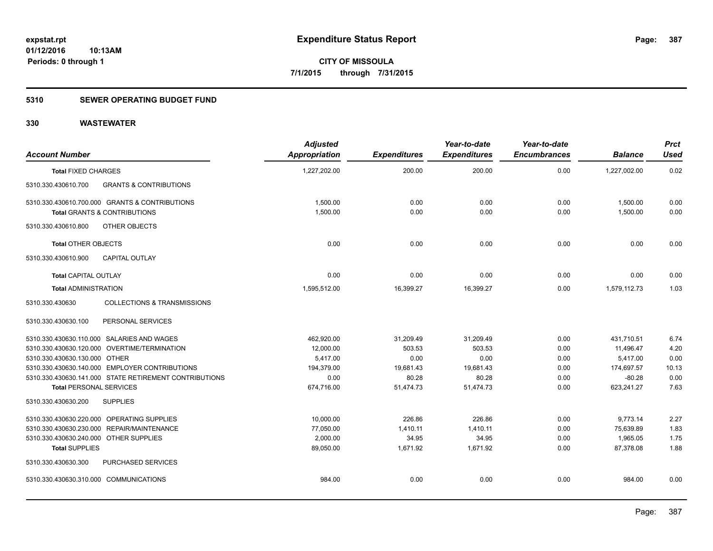### **5310 SEWER OPERATING BUDGET FUND**

| <b>Account Number</b>                                     | <b>Adjusted</b><br>Appropriation | <b>Expenditures</b> | Year-to-date<br><b>Expenditures</b> | Year-to-date<br><b>Encumbrances</b> | <b>Balance</b> | <b>Prct</b><br><b>Used</b> |
|-----------------------------------------------------------|----------------------------------|---------------------|-------------------------------------|-------------------------------------|----------------|----------------------------|
| <b>Total FIXED CHARGES</b>                                | 1,227,202.00                     | 200.00              | 200.00                              | 0.00                                | 1,227,002.00   | 0.02                       |
| 5310.330.430610.700<br><b>GRANTS &amp; CONTRIBUTIONS</b>  |                                  |                     |                                     |                                     |                |                            |
| 5310.330.430610.700.000 GRANTS & CONTRIBUTIONS            | 1,500.00                         | 0.00                | 0.00                                | 0.00                                | 1,500.00       | 0.00                       |
| <b>Total GRANTS &amp; CONTRIBUTIONS</b>                   | 1,500.00                         | 0.00                | 0.00                                | 0.00                                | 1,500.00       | 0.00                       |
| 5310.330.430610.800<br>OTHER OBJECTS                      |                                  |                     |                                     |                                     |                |                            |
| <b>Total OTHER OBJECTS</b>                                | 0.00                             | 0.00                | 0.00                                | 0.00                                | 0.00           | 0.00                       |
| 5310.330.430610.900<br><b>CAPITAL OUTLAY</b>              |                                  |                     |                                     |                                     |                |                            |
| <b>Total CAPITAL OUTLAY</b>                               | 0.00                             | 0.00                | 0.00                                | 0.00                                | 0.00           | 0.00                       |
| <b>Total ADMINISTRATION</b>                               | 1,595,512.00                     | 16,399.27           | 16,399.27                           | 0.00                                | 1,579,112.73   | 1.03                       |
| 5310.330.430630<br><b>COLLECTIONS &amp; TRANSMISSIONS</b> |                                  |                     |                                     |                                     |                |                            |
| PERSONAL SERVICES<br>5310.330.430630.100                  |                                  |                     |                                     |                                     |                |                            |
| 5310.330.430630.110.000 SALARIES AND WAGES                | 462,920.00                       | 31,209.49           | 31,209.49                           | 0.00                                | 431.710.51     | 6.74                       |
| 5310.330.430630.120.000 OVERTIME/TERMINATION              | 12,000.00                        | 503.53              | 503.53                              | 0.00                                | 11,496.47      | 4.20                       |
| 5310.330.430630.130.000 OTHER                             | 5,417.00                         | 0.00                | 0.00                                | 0.00                                | 5,417.00       | 0.00                       |
| 5310.330.430630.140.000 EMPLOYER CONTRIBUTIONS            | 194,379.00                       | 19,681.43           | 19,681.43                           | 0.00                                | 174,697.57     | 10.13                      |
| 5310.330.430630.141.000 STATE RETIREMENT CONTRIBUTIONS    | 0.00                             | 80.28               | 80.28                               | 0.00                                | $-80.28$       | 0.00                       |
| <b>Total PERSONAL SERVICES</b>                            | 674,716.00                       | 51,474.73           | 51,474.73                           | 0.00                                | 623,241.27     | 7.63                       |
| 5310.330.430630.200<br><b>SUPPLIES</b>                    |                                  |                     |                                     |                                     |                |                            |
| 5310.330.430630.220.000 OPERATING SUPPLIES                | 10,000.00                        | 226.86              | 226.86                              | 0.00                                | 9,773.14       | 2.27                       |
| 5310.330.430630.230.000 REPAIR/MAINTENANCE                | 77,050.00                        | 1,410.11            | 1,410.11                            | 0.00                                | 75,639.89      | 1.83                       |
| 5310.330.430630.240.000 OTHER SUPPLIES                    | 2,000.00                         | 34.95               | 34.95                               | 0.00                                | 1,965.05       | 1.75                       |
| <b>Total SUPPLIES</b>                                     | 89,050.00                        | 1,671.92            | 1.671.92                            | 0.00                                | 87.378.08      | 1.88                       |
| 5310.330.430630.300<br><b>PURCHASED SERVICES</b>          |                                  |                     |                                     |                                     |                |                            |
| 5310.330.430630.310.000 COMMUNICATIONS                    | 984.00                           | 0.00                | 0.00                                | 0.00                                | 984.00         | 0.00                       |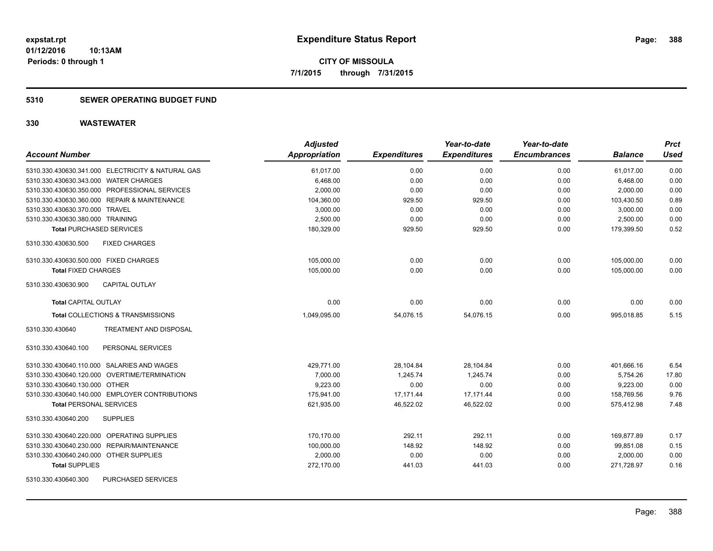### **5310 SEWER OPERATING BUDGET FUND**

| <b>Account Number</b>                             | <b>Adjusted</b><br>Appropriation | <b>Expenditures</b> | Year-to-date<br><b>Expenditures</b> | Year-to-date<br><b>Encumbrances</b> | <b>Balance</b> | <b>Prct</b><br><b>Used</b> |
|---------------------------------------------------|----------------------------------|---------------------|-------------------------------------|-------------------------------------|----------------|----------------------------|
| 5310.330.430630.341.000 ELECTRICITY & NATURAL GAS | 61,017.00                        | 0.00                | 0.00                                | 0.00                                | 61,017.00      | 0.00                       |
| 5310.330.430630.343.000 WATER CHARGES             | 6,468.00                         | 0.00                | 0.00                                | 0.00                                | 6,468.00       | 0.00                       |
| 5310.330.430630.350.000 PROFESSIONAL SERVICES     | 2,000.00                         | 0.00                | 0.00                                | 0.00                                | 2,000.00       | 0.00                       |
| 5310.330.430630.360.000 REPAIR & MAINTENANCE      | 104,360.00                       | 929.50              | 929.50                              | 0.00                                | 103,430.50     | 0.89                       |
| 5310.330.430630.370.000 TRAVEL                    | 3,000.00                         | 0.00                | 0.00                                | 0.00                                | 3,000.00       | 0.00                       |
| 5310.330.430630.380.000 TRAINING                  | 2,500.00                         | 0.00                | 0.00                                | 0.00                                | 2,500.00       | 0.00                       |
| <b>Total PURCHASED SERVICES</b>                   | 180,329.00                       | 929.50              | 929.50                              | 0.00                                | 179,399.50     | 0.52                       |
| 5310.330.430630.500<br><b>FIXED CHARGES</b>       |                                  |                     |                                     |                                     |                |                            |
| 5310.330.430630.500.000 FIXED CHARGES             | 105,000.00                       | 0.00                | 0.00                                | 0.00                                | 105,000.00     | 0.00                       |
| <b>Total FIXED CHARGES</b>                        | 105,000.00                       | 0.00                | 0.00                                | 0.00                                | 105,000.00     | 0.00                       |
| CAPITAL OUTLAY<br>5310.330.430630.900             |                                  |                     |                                     |                                     |                |                            |
| <b>Total CAPITAL OUTLAY</b>                       | 0.00                             | 0.00                | 0.00                                | 0.00                                | 0.00           | 0.00                       |
| Total COLLECTIONS & TRANSMISSIONS                 | 1,049,095.00                     | 54,076.15           | 54,076.15                           | 0.00                                | 995,018.85     | 5.15                       |
| 5310.330.430640<br>TREATMENT AND DISPOSAL         |                                  |                     |                                     |                                     |                |                            |
| PERSONAL SERVICES<br>5310.330.430640.100          |                                  |                     |                                     |                                     |                |                            |
| 5310.330.430640.110.000 SALARIES AND WAGES        | 429.771.00                       | 28,104.84           | 28,104.84                           | 0.00                                | 401,666.16     | 6.54                       |
| 5310.330.430640.120.000 OVERTIME/TERMINATION      | 7.000.00                         | 1.245.74            | 1.245.74                            | 0.00                                | 5.754.26       | 17.80                      |
| 5310.330.430640.130.000 OTHER                     | 9.223.00                         | 0.00                | 0.00                                | 0.00                                | 9.223.00       | 0.00                       |
| 5310.330.430640.140.000 EMPLOYER CONTRIBUTIONS    | 175,941.00                       | 17,171.44           | 17,171.44                           | 0.00                                | 158,769.56     | 9.76                       |
| <b>Total PERSONAL SERVICES</b>                    | 621,935.00                       | 46,522.02           | 46,522.02                           | 0.00                                | 575,412.98     | 7.48                       |
| 5310.330.430640.200<br><b>SUPPLIES</b>            |                                  |                     |                                     |                                     |                |                            |
| 5310.330.430640.220.000 OPERATING SUPPLIES        | 170,170.00                       | 292.11              | 292.11                              | 0.00                                | 169,877.89     | 0.17                       |
| REPAIR/MAINTENANCE<br>5310.330.430640.230.000     | 100,000.00                       | 148.92              | 148.92                              | 0.00                                | 99,851.08      | 0.15                       |
| 5310.330.430640.240.000 OTHER SUPPLIES            | 2,000.00                         | 0.00                | 0.00                                | 0.00                                | 2,000.00       | 0.00                       |
| <b>Total SUPPLIES</b>                             | 272,170.00                       | 441.03              | 441.03                              | 0.00                                | 271,728.97     | 0.16                       |
| <b>PURCHASED SERVICES</b><br>5310.330.430640.300  |                                  |                     |                                     |                                     |                |                            |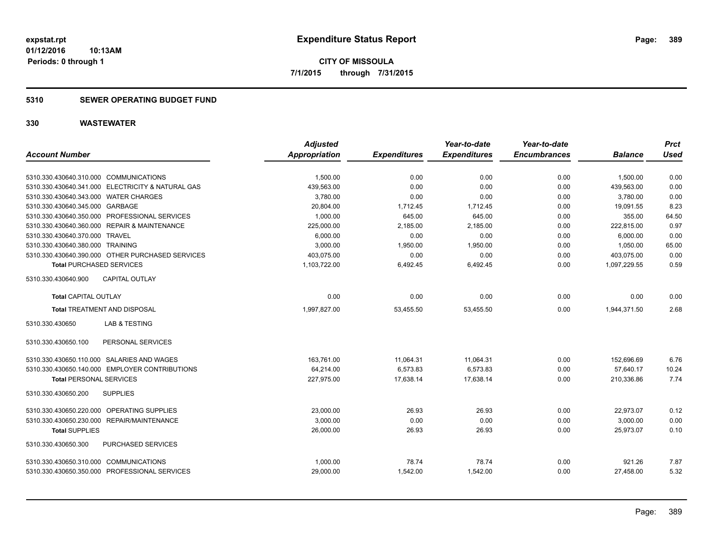**CITY OF MISSOULA 7/1/2015 through 7/31/2015**

### **5310 SEWER OPERATING BUDGET FUND**

|                                                   | <b>Adjusted</b>      |                     | Year-to-date        | Year-to-date        |                | <b>Prct</b> |
|---------------------------------------------------|----------------------|---------------------|---------------------|---------------------|----------------|-------------|
| <b>Account Number</b>                             | <b>Appropriation</b> | <b>Expenditures</b> | <b>Expenditures</b> | <b>Encumbrances</b> | <b>Balance</b> | <b>Used</b> |
| 5310.330.430640.310.000 COMMUNICATIONS            | 1,500.00             | 0.00                | 0.00                | 0.00                | 1,500.00       | 0.00        |
| 5310.330.430640.341.000 ELECTRICITY & NATURAL GAS | 439,563.00           | 0.00                | 0.00                | 0.00                | 439,563.00     | 0.00        |
| 5310.330.430640.343.000 WATER CHARGES             | 3,780.00             | 0.00                | 0.00                | 0.00                | 3,780.00       | 0.00        |
| 5310.330.430640.345.000 GARBAGE                   | 20,804.00            | 1,712.45            | 1,712.45            | 0.00                | 19,091.55      | 8.23        |
| 5310.330.430640.350.000 PROFESSIONAL SERVICES     | 1,000.00             | 645.00              | 645.00              | 0.00                | 355.00         | 64.50       |
| 5310.330.430640.360.000 REPAIR & MAINTENANCE      | 225,000.00           | 2,185.00            | 2,185.00            | 0.00                | 222,815.00     | 0.97        |
| 5310.330.430640.370.000 TRAVEL                    | 6,000.00             | 0.00                | 0.00                | 0.00                | 6,000.00       | 0.00        |
| 5310.330.430640.380.000 TRAINING                  | 3,000.00             | 1,950.00            | 1,950.00            | 0.00                | 1,050.00       | 65.00       |
| 5310.330.430640.390.000 OTHER PURCHASED SERVICES  | 403,075.00           | 0.00                | 0.00                | 0.00                | 403,075.00     | 0.00        |
| <b>Total PURCHASED SERVICES</b>                   | 1,103,722.00         | 6,492.45            | 6,492.45            | 0.00                | 1,097,229.55   | 0.59        |
| 5310.330.430640.900<br><b>CAPITAL OUTLAY</b>      |                      |                     |                     |                     |                |             |
| <b>Total CAPITAL OUTLAY</b>                       | 0.00                 | 0.00                | 0.00                | 0.00                | 0.00           | 0.00        |
| <b>Total TREATMENT AND DISPOSAL</b>               | 1,997,827.00         | 53,455.50           | 53.455.50           | 0.00                | 1,944,371.50   | 2.68        |
| <b>LAB &amp; TESTING</b><br>5310.330.430650       |                      |                     |                     |                     |                |             |
| 5310.330.430650.100<br>PERSONAL SERVICES          |                      |                     |                     |                     |                |             |
| 5310.330.430650.110.000 SALARIES AND WAGES        | 163,761.00           | 11,064.31           | 11,064.31           | 0.00                | 152,696.69     | 6.76        |
| 5310.330.430650.140.000 EMPLOYER CONTRIBUTIONS    | 64,214.00            | 6,573.83            | 6,573.83            | 0.00                | 57,640.17      | 10.24       |
| <b>Total PERSONAL SERVICES</b>                    | 227,975.00           | 17,638.14           | 17,638.14           | 0.00                | 210,336.86     | 7.74        |
| 5310.330.430650.200<br><b>SUPPLIES</b>            |                      |                     |                     |                     |                |             |
| 5310.330.430650.220.000 OPERATING SUPPLIES        | 23,000.00            | 26.93               | 26.93               | 0.00                | 22,973.07      | 0.12        |
| 5310.330.430650.230.000 REPAIR/MAINTENANCE        | 3,000.00             | 0.00                | 0.00                | 0.00                | 3,000.00       | 0.00        |
| <b>Total SUPPLIES</b>                             | 26,000.00            | 26.93               | 26.93               | 0.00                | 25,973.07      | 0.10        |
| <b>PURCHASED SERVICES</b><br>5310.330.430650.300  |                      |                     |                     |                     |                |             |
| 5310.330.430650.310.000 COMMUNICATIONS            | 1,000.00             | 78.74               | 78.74               | 0.00                | 921.26         | 7.87        |
| 5310.330.430650.350.000 PROFESSIONAL SERVICES     | 29,000.00            | 1,542.00            | 1,542.00            | 0.00                | 27,458.00      | 5.32        |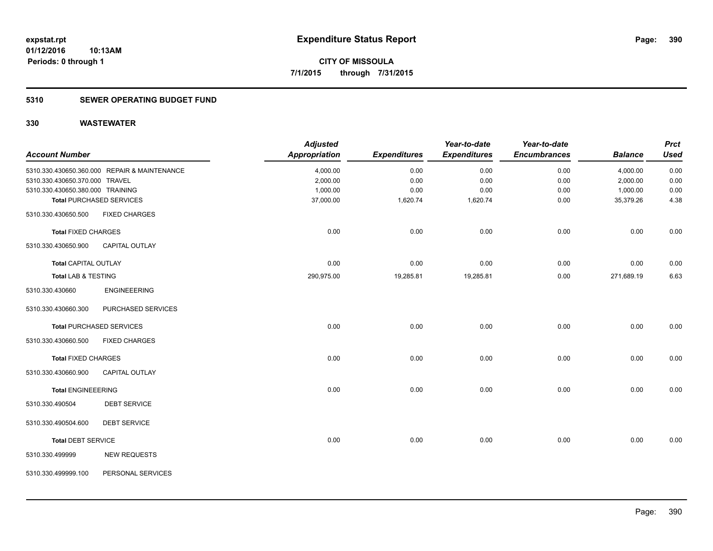### **5310 SEWER OPERATING BUDGET FUND**

|                                  |                                              | <b>Adjusted</b>      |                     | Year-to-date        | Year-to-date        |                | <b>Prct</b> |
|----------------------------------|----------------------------------------------|----------------------|---------------------|---------------------|---------------------|----------------|-------------|
| <b>Account Number</b>            |                                              | <b>Appropriation</b> | <b>Expenditures</b> | <b>Expenditures</b> | <b>Encumbrances</b> | <b>Balance</b> | <b>Used</b> |
|                                  | 5310.330.430650.360.000 REPAIR & MAINTENANCE | 4,000.00             | 0.00                | 0.00                | 0.00                | 4,000.00       | 0.00        |
| 5310.330.430650.370.000 TRAVEL   |                                              | 2,000.00             | 0.00                | 0.00                | 0.00                | 2,000.00       | 0.00        |
| 5310.330.430650.380.000 TRAINING |                                              | 1,000.00             | 0.00                | 0.00                | 0.00                | 1,000.00       | 0.00        |
|                                  | <b>Total PURCHASED SERVICES</b>              | 37,000.00            | 1,620.74            | 1,620.74            | 0.00                | 35,379.26      | 4.38        |
| 5310.330.430650.500              | <b>FIXED CHARGES</b>                         |                      |                     |                     |                     |                |             |
| <b>Total FIXED CHARGES</b>       |                                              | 0.00                 | 0.00                | 0.00                | 0.00                | 0.00           | 0.00        |
| 5310.330.430650.900              | <b>CAPITAL OUTLAY</b>                        |                      |                     |                     |                     |                |             |
| <b>Total CAPITAL OUTLAY</b>      |                                              | 0.00                 | 0.00                | 0.00                | 0.00                | 0.00           | 0.00        |
| Total LAB & TESTING              |                                              | 290,975.00           | 19,285.81           | 19,285.81           | 0.00                | 271,689.19     | 6.63        |
| 5310.330.430660                  | <b>ENGINEEERING</b>                          |                      |                     |                     |                     |                |             |
| 5310.330.430660.300              | PURCHASED SERVICES                           |                      |                     |                     |                     |                |             |
|                                  | <b>Total PURCHASED SERVICES</b>              | 0.00                 | 0.00                | 0.00                | 0.00                | 0.00           | 0.00        |
| 5310.330.430660.500              | <b>FIXED CHARGES</b>                         |                      |                     |                     |                     |                |             |
| <b>Total FIXED CHARGES</b>       |                                              | 0.00                 | 0.00                | 0.00                | 0.00                | 0.00           | 0.00        |
| 5310.330.430660.900              | <b>CAPITAL OUTLAY</b>                        |                      |                     |                     |                     |                |             |
| <b>Total ENGINEEERING</b>        |                                              | 0.00                 | 0.00                | 0.00                | 0.00                | 0.00           | 0.00        |
| 5310.330.490504                  | <b>DEBT SERVICE</b>                          |                      |                     |                     |                     |                |             |
| 5310.330.490504.600              | <b>DEBT SERVICE</b>                          |                      |                     |                     |                     |                |             |
| <b>Total DEBT SERVICE</b>        |                                              | 0.00                 | 0.00                | 0.00                | 0.00                | 0.00           | 0.00        |
| 5310.330.499999                  | <b>NEW REQUESTS</b>                          |                      |                     |                     |                     |                |             |
| 5310.330.499999.100              | PERSONAL SERVICES                            |                      |                     |                     |                     |                |             |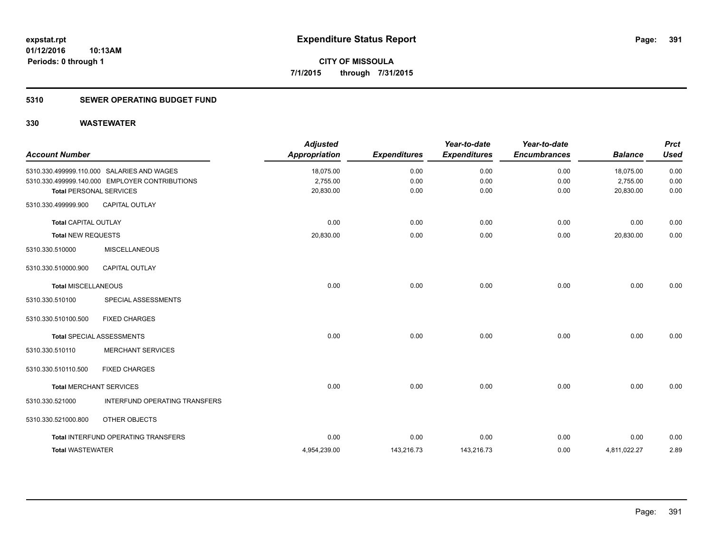### **5310 SEWER OPERATING BUDGET FUND**

| <b>Account Number</b>       |                                                | <b>Adjusted</b><br><b>Appropriation</b> | <b>Expenditures</b> | Year-to-date<br><b>Expenditures</b> | Year-to-date<br><b>Encumbrances</b> | <b>Balance</b> | <b>Prct</b><br><b>Used</b> |
|-----------------------------|------------------------------------------------|-----------------------------------------|---------------------|-------------------------------------|-------------------------------------|----------------|----------------------------|
|                             | 5310.330.499999.110.000 SALARIES AND WAGES     | 18,075.00                               | 0.00                | 0.00                                | 0.00                                | 18,075.00      | 0.00                       |
|                             | 5310.330.499999.140.000 EMPLOYER CONTRIBUTIONS | 2,755.00                                | 0.00                | 0.00                                | 0.00                                | 2,755.00       | 0.00                       |
|                             | <b>Total PERSONAL SERVICES</b>                 | 20,830.00                               | 0.00                | 0.00                                | 0.00                                | 20,830.00      | 0.00                       |
| 5310.330.499999.900         | <b>CAPITAL OUTLAY</b>                          |                                         |                     |                                     |                                     |                |                            |
| <b>Total CAPITAL OUTLAY</b> |                                                | 0.00                                    | 0.00                | 0.00                                | 0.00                                | 0.00           | 0.00                       |
| <b>Total NEW REQUESTS</b>   |                                                | 20,830.00                               | 0.00                | 0.00                                | 0.00                                | 20,830.00      | 0.00                       |
| 5310.330.510000             | <b>MISCELLANEOUS</b>                           |                                         |                     |                                     |                                     |                |                            |
| 5310.330.510000.900         | CAPITAL OUTLAY                                 |                                         |                     |                                     |                                     |                |                            |
| <b>Total MISCELLANEOUS</b>  |                                                | 0.00                                    | 0.00                | 0.00                                | 0.00                                | 0.00           | 0.00                       |
| 5310.330.510100             | SPECIAL ASSESSMENTS                            |                                         |                     |                                     |                                     |                |                            |
| 5310.330.510100.500         | <b>FIXED CHARGES</b>                           |                                         |                     |                                     |                                     |                |                            |
|                             | <b>Total SPECIAL ASSESSMENTS</b>               | 0.00                                    | 0.00                | 0.00                                | 0.00                                | 0.00           | 0.00                       |
| 5310.330.510110             | <b>MERCHANT SERVICES</b>                       |                                         |                     |                                     |                                     |                |                            |
| 5310.330.510110.500         | <b>FIXED CHARGES</b>                           |                                         |                     |                                     |                                     |                |                            |
|                             | <b>Total MERCHANT SERVICES</b>                 | 0.00                                    | 0.00                | 0.00                                | 0.00                                | 0.00           | 0.00                       |
| 5310.330.521000             | INTERFUND OPERATING TRANSFERS                  |                                         |                     |                                     |                                     |                |                            |
| 5310.330.521000.800         | OTHER OBJECTS                                  |                                         |                     |                                     |                                     |                |                            |
|                             | Total INTERFUND OPERATING TRANSFERS            | 0.00                                    | 0.00                | 0.00                                | 0.00                                | 0.00           | 0.00                       |
| <b>Total WASTEWATER</b>     |                                                | 4,954,239.00                            | 143,216.73          | 143,216.73                          | 0.00                                | 4,811,022.27   | 2.89                       |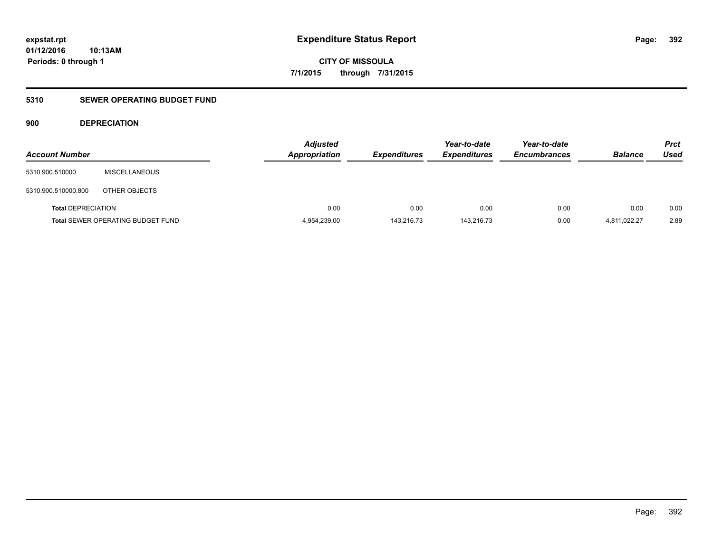**CITY OF MISSOULA 7/1/2015 through 7/31/2015**

### **5310 SEWER OPERATING BUDGET FUND**

### **900 DEPRECIATION**

| <b>Account Number</b>     |                                          | <b>Adjusted</b><br><b>Appropriation</b> | <b>Expenditures</b> | Year-to-date<br><b>Expenditures</b> | Year-to-date<br><b>Encumbrances</b> | <b>Balance</b> | Prct<br><b>Used</b> |
|---------------------------|------------------------------------------|-----------------------------------------|---------------------|-------------------------------------|-------------------------------------|----------------|---------------------|
| 5310.900.510000           | MISCELLANEOUS                            |                                         |                     |                                     |                                     |                |                     |
| 5310.900.510000.800       | OTHER OBJECTS                            |                                         |                     |                                     |                                     |                |                     |
| <b>Total DEPRECIATION</b> |                                          | 0.00                                    | 0.00                | 0.00                                | 0.00                                | 0.00           | 0.00                |
|                           | <b>Total SEWER OPERATING BUDGET FUND</b> | 4,954,239.00                            | 143,216.73          | 143.216.73                          | 0.00                                | 4,811,022.27   | 2.89                |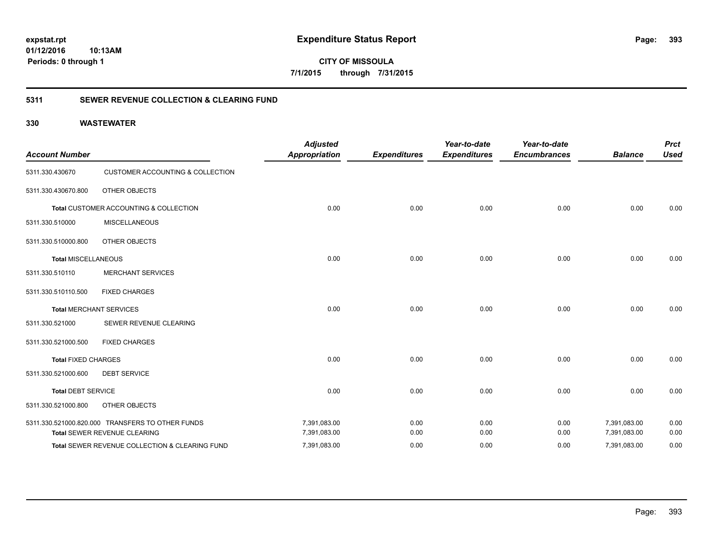**CITY OF MISSOULA 7/1/2015 through 7/31/2015**

### **5311 SEWER REVENUE COLLECTION & CLEARING FUND**

| <b>Account Number</b>      |                                                  | <b>Adjusted</b><br><b>Appropriation</b> | <b>Expenditures</b> | Year-to-date<br><b>Expenditures</b> | Year-to-date<br><b>Encumbrances</b> | <b>Balance</b> | <b>Prct</b><br><b>Used</b> |
|----------------------------|--------------------------------------------------|-----------------------------------------|---------------------|-------------------------------------|-------------------------------------|----------------|----------------------------|
| 5311.330.430670            | <b>CUSTOMER ACCOUNTING &amp; COLLECTION</b>      |                                         |                     |                                     |                                     |                |                            |
| 5311.330.430670.800        | <b>OTHER OBJECTS</b>                             |                                         |                     |                                     |                                     |                |                            |
|                            | Total CUSTOMER ACCOUNTING & COLLECTION           | 0.00                                    | 0.00                | 0.00                                | 0.00                                | 0.00           | 0.00                       |
| 5311.330.510000            | <b>MISCELLANEOUS</b>                             |                                         |                     |                                     |                                     |                |                            |
| 5311.330.510000.800        | <b>OTHER OBJECTS</b>                             |                                         |                     |                                     |                                     |                |                            |
| <b>Total MISCELLANEOUS</b> |                                                  | 0.00                                    | 0.00                | 0.00                                | 0.00                                | 0.00           | 0.00                       |
| 5311.330.510110            | <b>MERCHANT SERVICES</b>                         |                                         |                     |                                     |                                     |                |                            |
| 5311.330.510110.500        | <b>FIXED CHARGES</b>                             |                                         |                     |                                     |                                     |                |                            |
|                            | <b>Total MERCHANT SERVICES</b>                   | 0.00                                    | 0.00                | 0.00                                | 0.00                                | 0.00           | 0.00                       |
| 5311.330.521000            | SEWER REVENUE CLEARING                           |                                         |                     |                                     |                                     |                |                            |
| 5311.330.521000.500        | <b>FIXED CHARGES</b>                             |                                         |                     |                                     |                                     |                |                            |
| <b>Total FIXED CHARGES</b> |                                                  | 0.00                                    | 0.00                | 0.00                                | 0.00                                | 0.00           | 0.00                       |
| 5311.330.521000.600        | <b>DEBT SERVICE</b>                              |                                         |                     |                                     |                                     |                |                            |
| <b>Total DEBT SERVICE</b>  |                                                  | 0.00                                    | 0.00                | 0.00                                | 0.00                                | 0.00           | 0.00                       |
| 5311.330.521000.800        | OTHER OBJECTS                                    |                                         |                     |                                     |                                     |                |                            |
|                            | 5311.330.521000.820.000 TRANSFERS TO OTHER FUNDS | 7,391,083.00                            | 0.00                | 0.00                                | 0.00                                | 7,391,083.00   | 0.00                       |
|                            | Total SEWER REVENUE CLEARING                     | 7,391,083.00                            | 0.00                | 0.00                                | 0.00                                | 7,391,083.00   | 0.00                       |
|                            | Total SEWER REVENUE COLLECTION & CLEARING FUND   | 7,391,083.00                            | 0.00                | 0.00                                | 0.00                                | 7,391,083.00   | 0.00                       |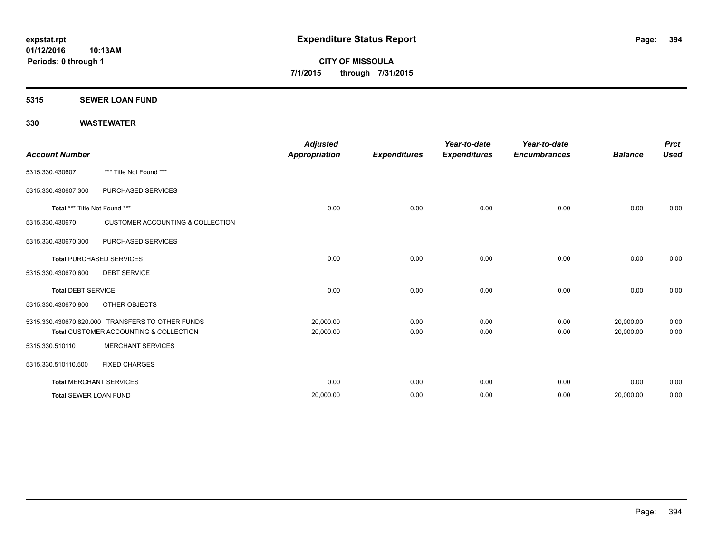### **5315 SEWER LOAN FUND**

| <b>Account Number</b>         |                                                  | <b>Adjusted</b><br><b>Appropriation</b> | <b>Expenditures</b> | Year-to-date<br><b>Expenditures</b> | Year-to-date<br><b>Encumbrances</b> | <b>Balance</b> | <b>Prct</b><br><b>Used</b> |
|-------------------------------|--------------------------------------------------|-----------------------------------------|---------------------|-------------------------------------|-------------------------------------|----------------|----------------------------|
| 5315.330.430607               | *** Title Not Found ***                          |                                         |                     |                                     |                                     |                |                            |
| 5315.330.430607.300           | PURCHASED SERVICES                               |                                         |                     |                                     |                                     |                |                            |
| Total *** Title Not Found *** |                                                  | 0.00                                    | 0.00                | 0.00                                | 0.00                                | 0.00           | 0.00                       |
| 5315.330.430670               | <b>CUSTOMER ACCOUNTING &amp; COLLECTION</b>      |                                         |                     |                                     |                                     |                |                            |
| 5315.330.430670.300           | PURCHASED SERVICES                               |                                         |                     |                                     |                                     |                |                            |
|                               | <b>Total PURCHASED SERVICES</b>                  | 0.00                                    | 0.00                | 0.00                                | 0.00                                | 0.00           | 0.00                       |
| 5315.330.430670.600           | <b>DEBT SERVICE</b>                              |                                         |                     |                                     |                                     |                |                            |
| <b>Total DEBT SERVICE</b>     |                                                  | 0.00                                    | 0.00                | 0.00                                | 0.00                                | 0.00           | 0.00                       |
| 5315.330.430670.800           | OTHER OBJECTS                                    |                                         |                     |                                     |                                     |                |                            |
|                               | 5315.330.430670.820.000 TRANSFERS TO OTHER FUNDS | 20,000.00                               | 0.00                | 0.00                                | 0.00                                | 20,000.00      | 0.00                       |
|                               | Total CUSTOMER ACCOUNTING & COLLECTION           | 20,000.00                               | 0.00                | 0.00                                | 0.00                                | 20,000.00      | 0.00                       |
| 5315.330.510110               | <b>MERCHANT SERVICES</b>                         |                                         |                     |                                     |                                     |                |                            |
| 5315.330.510110.500           | <b>FIXED CHARGES</b>                             |                                         |                     |                                     |                                     |                |                            |
|                               | <b>Total MERCHANT SERVICES</b>                   | 0.00                                    | 0.00                | 0.00                                | 0.00                                | 0.00           | 0.00                       |
| <b>Total SEWER LOAN FUND</b>  |                                                  | 20,000.00                               | 0.00                | 0.00                                | 0.00                                | 20,000.00      | 0.00                       |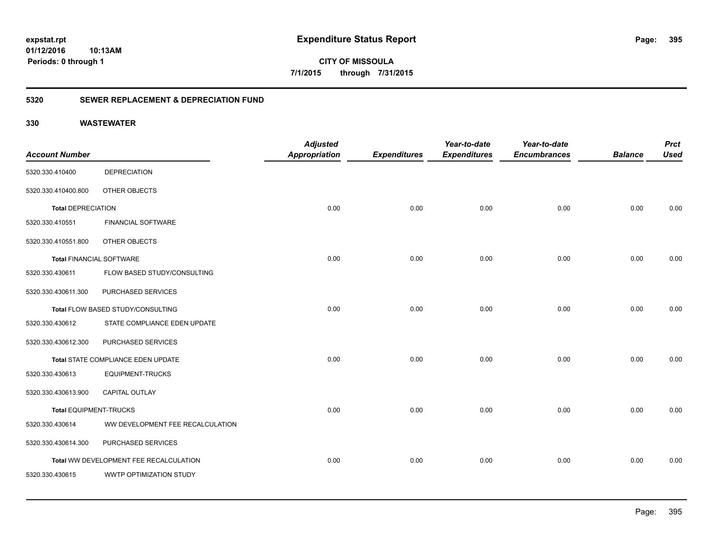**CITY OF MISSOULA 7/1/2015 through 7/31/2015**

### **5320 SEWER REPLACEMENT & DEPRECIATION FUND**

|                                 |                                        | <b>Adjusted</b>      |                     | Year-to-date        | Year-to-date        |                | <b>Prct</b> |
|---------------------------------|----------------------------------------|----------------------|---------------------|---------------------|---------------------|----------------|-------------|
| <b>Account Number</b>           |                                        | <b>Appropriation</b> | <b>Expenditures</b> | <b>Expenditures</b> | <b>Encumbrances</b> | <b>Balance</b> | <b>Used</b> |
| 5320.330.410400                 | <b>DEPRECIATION</b>                    |                      |                     |                     |                     |                |             |
| 5320.330.410400.800             | OTHER OBJECTS                          |                      |                     |                     |                     |                |             |
| <b>Total DEPRECIATION</b>       |                                        | 0.00                 | 0.00                | 0.00                | 0.00                | 0.00           | 0.00        |
| 5320.330.410551                 | <b>FINANCIAL SOFTWARE</b>              |                      |                     |                     |                     |                |             |
| 5320.330.410551.800             | OTHER OBJECTS                          |                      |                     |                     |                     |                |             |
| <b>Total FINANCIAL SOFTWARE</b> |                                        | 0.00                 | 0.00                | 0.00                | 0.00                | 0.00           | 0.00        |
| 5320.330.430611                 | FLOW BASED STUDY/CONSULTING            |                      |                     |                     |                     |                |             |
| 5320.330.430611.300             | PURCHASED SERVICES                     |                      |                     |                     |                     |                |             |
|                                 | Total FLOW BASED STUDY/CONSULTING      | 0.00                 | 0.00                | 0.00                | 0.00                | 0.00           | 0.00        |
| 5320.330.430612                 | STATE COMPLIANCE EDEN UPDATE           |                      |                     |                     |                     |                |             |
| 5320.330.430612.300             | PURCHASED SERVICES                     |                      |                     |                     |                     |                |             |
|                                 | Total STATE COMPLIANCE EDEN UPDATE     | 0.00                 | 0.00                | 0.00                | 0.00                | 0.00           | 0.00        |
| 5320.330.430613                 | <b>EQUIPMENT-TRUCKS</b>                |                      |                     |                     |                     |                |             |
| 5320.330.430613.900             | <b>CAPITAL OUTLAY</b>                  |                      |                     |                     |                     |                |             |
| <b>Total EQUIPMENT-TRUCKS</b>   |                                        | 0.00                 | 0.00                | 0.00                | 0.00                | 0.00           | 0.00        |
| 5320.330.430614                 | WW DEVELOPMENT FEE RECALCULATION       |                      |                     |                     |                     |                |             |
| 5320.330.430614.300             | PURCHASED SERVICES                     |                      |                     |                     |                     |                |             |
|                                 | Total WW DEVELOPMENT FEE RECALCULATION | 0.00                 | 0.00                | 0.00                | 0.00                | 0.00           | 0.00        |
| 5320.330.430615                 | WWTP OPTIMIZATION STUDY                |                      |                     |                     |                     |                |             |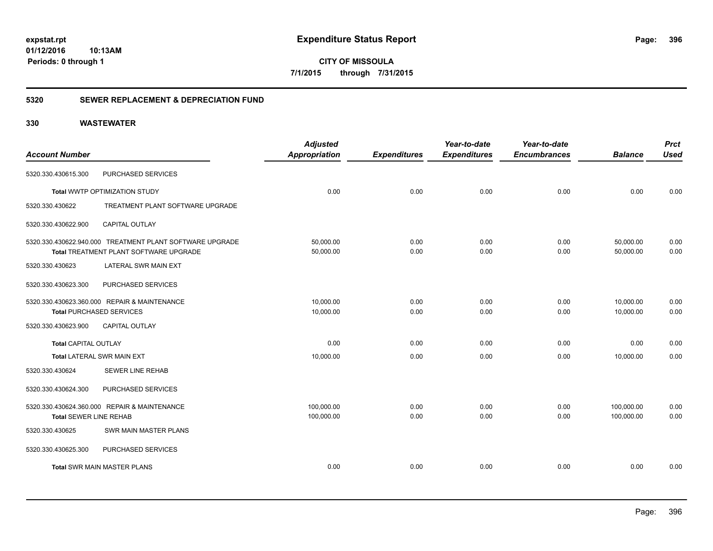**CITY OF MISSOULA 7/1/2015 through 7/31/2015**

### **5320 SEWER REPLACEMENT & DEPRECIATION FUND**

|                                 |                                                          | <b>Adjusted</b>      |                     | Year-to-date        | Year-to-date        |                | <b>Prct</b> |
|---------------------------------|----------------------------------------------------------|----------------------|---------------------|---------------------|---------------------|----------------|-------------|
| <b>Account Number</b>           |                                                          | <b>Appropriation</b> | <b>Expenditures</b> | <b>Expenditures</b> | <b>Encumbrances</b> | <b>Balance</b> | <b>Used</b> |
| 5320.330.430615.300             | PURCHASED SERVICES                                       |                      |                     |                     |                     |                |             |
|                                 | Total WWTP OPTIMIZATION STUDY                            | 0.00                 | 0.00                | 0.00                | 0.00                | 0.00           | 0.00        |
| 5320.330.430622                 | TREATMENT PLANT SOFTWARE UPGRADE                         |                      |                     |                     |                     |                |             |
| 5320.330.430622.900             | <b>CAPITAL OUTLAY</b>                                    |                      |                     |                     |                     |                |             |
|                                 | 5320.330.430622.940.000 TREATMENT PLANT SOFTWARE UPGRADE | 50,000.00            | 0.00                | 0.00                | 0.00                | 50,000.00      | 0.00        |
|                                 | Total TREATMENT PLANT SOFTWARE UPGRADE                   | 50,000.00            | 0.00                | 0.00                | 0.00                | 50,000.00      | 0.00        |
| 5320.330.430623                 | LATERAL SWR MAIN EXT                                     |                      |                     |                     |                     |                |             |
| 5320.330.430623.300             | PURCHASED SERVICES                                       |                      |                     |                     |                     |                |             |
|                                 | 5320.330.430623.360.000 REPAIR & MAINTENANCE             | 10,000.00            | 0.00                | 0.00                | 0.00                | 10,000.00      | 0.00        |
| <b>Total PURCHASED SERVICES</b> |                                                          | 10,000.00            | 0.00                | 0.00                | 0.00                | 10,000.00      | 0.00        |
| 5320.330.430623.900             | <b>CAPITAL OUTLAY</b>                                    |                      |                     |                     |                     |                |             |
| <b>Total CAPITAL OUTLAY</b>     |                                                          | 0.00                 | 0.00                | 0.00                | 0.00                | 0.00           | 0.00        |
| Total LATERAL SWR MAIN EXT      |                                                          | 10,000.00            | 0.00                | 0.00                | 0.00                | 10,000.00      | 0.00        |
| 5320.330.430624                 | SEWER LINE REHAB                                         |                      |                     |                     |                     |                |             |
| 5320.330.430624.300             | PURCHASED SERVICES                                       |                      |                     |                     |                     |                |             |
|                                 | 5320.330.430624.360.000 REPAIR & MAINTENANCE             | 100,000.00           | 0.00                | 0.00                | 0.00                | 100,000.00     | 0.00        |
| <b>Total SEWER LINE REHAB</b>   |                                                          | 100,000.00           | 0.00                | 0.00                | 0.00                | 100,000.00     | 0.00        |
| 5320.330.430625                 | <b>SWR MAIN MASTER PLANS</b>                             |                      |                     |                     |                     |                |             |
| 5320.330.430625.300             | PURCHASED SERVICES                                       |                      |                     |                     |                     |                |             |
|                                 | <b>Total SWR MAIN MASTER PLANS</b>                       | 0.00                 | 0.00                | 0.00                | 0.00                | 0.00           | 0.00        |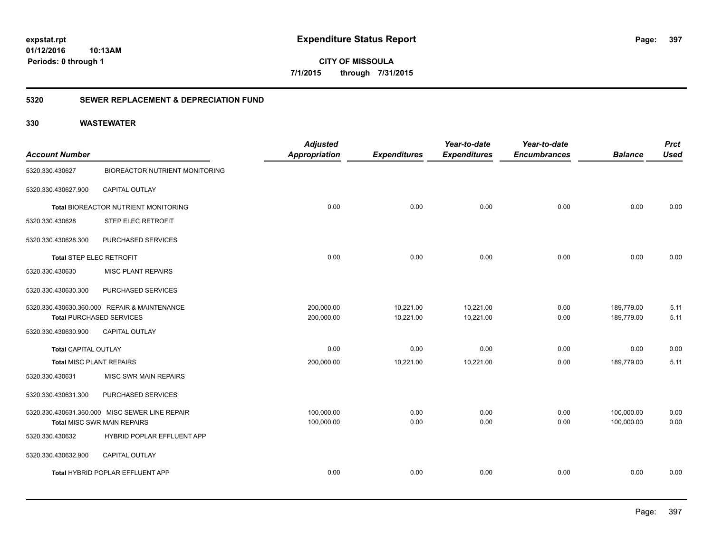**CITY OF MISSOULA 7/1/2015 through 7/31/2015**

### **5320 SEWER REPLACEMENT & DEPRECIATION FUND**

| <b>Account Number</b>           |                                                | <b>Adjusted</b><br><b>Appropriation</b> | <b>Expenditures</b> | Year-to-date<br><b>Expenditures</b> | Year-to-date<br><b>Encumbrances</b> | <b>Balance</b> | <b>Prct</b><br><b>Used</b> |
|---------------------------------|------------------------------------------------|-----------------------------------------|---------------------|-------------------------------------|-------------------------------------|----------------|----------------------------|
| 5320.330.430627                 | <b>BIOREACTOR NUTRIENT MONITORING</b>          |                                         |                     |                                     |                                     |                |                            |
| 5320.330.430627.900             | CAPITAL OUTLAY                                 |                                         |                     |                                     |                                     |                |                            |
|                                 | Total BIOREACTOR NUTRIENT MONITORING           | 0.00                                    | 0.00                | 0.00                                | 0.00                                | 0.00           | 0.00                       |
| 5320.330.430628                 | <b>STEP ELEC RETROFIT</b>                      |                                         |                     |                                     |                                     |                |                            |
| 5320.330.430628.300             | PURCHASED SERVICES                             |                                         |                     |                                     |                                     |                |                            |
| <b>Total STEP ELEC RETROFIT</b> |                                                | 0.00                                    | 0.00                | 0.00                                | 0.00                                | 0.00           | 0.00                       |
| 5320.330.430630                 | <b>MISC PLANT REPAIRS</b>                      |                                         |                     |                                     |                                     |                |                            |
| 5320.330.430630.300             | PURCHASED SERVICES                             |                                         |                     |                                     |                                     |                |                            |
|                                 | 5320.330.430630.360.000 REPAIR & MAINTENANCE   | 200,000.00                              | 10,221.00           | 10,221.00                           | 0.00                                | 189,779.00     | 5.11                       |
|                                 | <b>Total PURCHASED SERVICES</b>                | 200,000.00                              | 10,221.00           | 10,221.00                           | 0.00                                | 189,779.00     | 5.11                       |
| 5320.330.430630.900             | <b>CAPITAL OUTLAY</b>                          |                                         |                     |                                     |                                     |                |                            |
| <b>Total CAPITAL OUTLAY</b>     |                                                | 0.00                                    | 0.00                | 0.00                                | 0.00                                | 0.00           | 0.00                       |
| <b>Total MISC PLANT REPAIRS</b> |                                                | 200,000.00                              | 10,221.00           | 10,221.00                           | 0.00                                | 189,779.00     | 5.11                       |
| 5320.330.430631                 | MISC SWR MAIN REPAIRS                          |                                         |                     |                                     |                                     |                |                            |
| 5320.330.430631.300             | PURCHASED SERVICES                             |                                         |                     |                                     |                                     |                |                            |
|                                 | 5320.330.430631.360.000 MISC SEWER LINE REPAIR | 100,000.00                              | 0.00                | 0.00                                | 0.00                                | 100,000.00     | 0.00                       |
|                                 | Total MISC SWR MAIN REPAIRS                    | 100,000.00                              | 0.00                | 0.00                                | 0.00                                | 100,000.00     | 0.00                       |
| 5320.330.430632                 | HYBRID POPLAR EFFLUENT APP                     |                                         |                     |                                     |                                     |                |                            |
| 5320.330.430632.900             | CAPITAL OUTLAY                                 |                                         |                     |                                     |                                     |                |                            |
|                                 | Total HYBRID POPLAR EFFLUENT APP               | 0.00                                    | 0.00                | 0.00                                | 0.00                                | 0.00           | 0.00                       |
|                                 |                                                |                                         |                     |                                     |                                     |                |                            |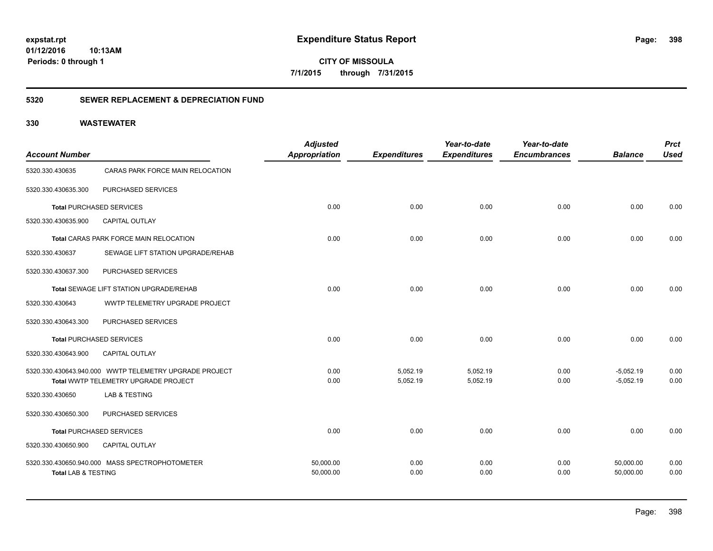**CITY OF MISSOULA 7/1/2015 through 7/31/2015**

### **5320 SEWER REPLACEMENT & DEPRECIATION FUND**

| <b>Account Number</b>          |                                                                                                | <b>Adjusted</b><br>Appropriation | <b>Expenditures</b>  | Year-to-date<br><b>Expenditures</b> | Year-to-date<br><b>Encumbrances</b> | <b>Balance</b>             | <b>Prct</b><br><b>Used</b> |
|--------------------------------|------------------------------------------------------------------------------------------------|----------------------------------|----------------------|-------------------------------------|-------------------------------------|----------------------------|----------------------------|
| 5320.330.430635                | CARAS PARK FORCE MAIN RELOCATION                                                               |                                  |                      |                                     |                                     |                            |                            |
| 5320.330.430635.300            | PURCHASED SERVICES                                                                             |                                  |                      |                                     |                                     |                            |                            |
|                                | <b>Total PURCHASED SERVICES</b>                                                                | 0.00                             | 0.00                 | 0.00                                | 0.00                                | 0.00                       | 0.00                       |
| 5320.330.430635.900            | <b>CAPITAL OUTLAY</b>                                                                          |                                  |                      |                                     |                                     |                            |                            |
|                                | Total CARAS PARK FORCE MAIN RELOCATION                                                         | 0.00                             | 0.00                 | 0.00                                | 0.00                                | 0.00                       | 0.00                       |
| 5320.330.430637                | SEWAGE LIFT STATION UPGRADE/REHAB                                                              |                                  |                      |                                     |                                     |                            |                            |
| 5320.330.430637.300            | PURCHASED SERVICES                                                                             |                                  |                      |                                     |                                     |                            |                            |
|                                | Total SEWAGE LIFT STATION UPGRADE/REHAB                                                        | 0.00                             | 0.00                 | 0.00                                | 0.00                                | 0.00                       | 0.00                       |
| 5320.330.430643                | WWTP TELEMETRY UPGRADE PROJECT                                                                 |                                  |                      |                                     |                                     |                            |                            |
| 5320.330.430643.300            | PURCHASED SERVICES                                                                             |                                  |                      |                                     |                                     |                            |                            |
|                                | <b>Total PURCHASED SERVICES</b>                                                                | 0.00                             | 0.00                 | 0.00                                | 0.00                                | 0.00                       | 0.00                       |
| 5320.330.430643.900            | <b>CAPITAL OUTLAY</b>                                                                          |                                  |                      |                                     |                                     |                            |                            |
|                                | 5320.330.430643.940.000 WWTP TELEMETRY UPGRADE PROJECT<br>Total WWTP TELEMETRY UPGRADE PROJECT | 0.00<br>0.00                     | 5,052.19<br>5,052.19 | 5,052.19<br>5,052.19                | 0.00<br>0.00                        | $-5,052.19$<br>$-5,052.19$ | 0.00<br>0.00               |
| 5320.330.430650                | <b>LAB &amp; TESTING</b>                                                                       |                                  |                      |                                     |                                     |                            |                            |
| 5320.330.430650.300            | PURCHASED SERVICES                                                                             |                                  |                      |                                     |                                     |                            |                            |
|                                | <b>Total PURCHASED SERVICES</b>                                                                | 0.00                             | 0.00                 | 0.00                                | 0.00                                | 0.00                       | 0.00                       |
| 5320.330.430650.900            | CAPITAL OUTLAY                                                                                 |                                  |                      |                                     |                                     |                            |                            |
| <b>Total LAB &amp; TESTING</b> | 5320.330.430650.940.000 MASS SPECTROPHOTOMETER                                                 | 50,000.00<br>50,000.00           | 0.00<br>0.00         | 0.00<br>0.00                        | 0.00<br>0.00                        | 50,000.00<br>50,000.00     | 0.00<br>0.00               |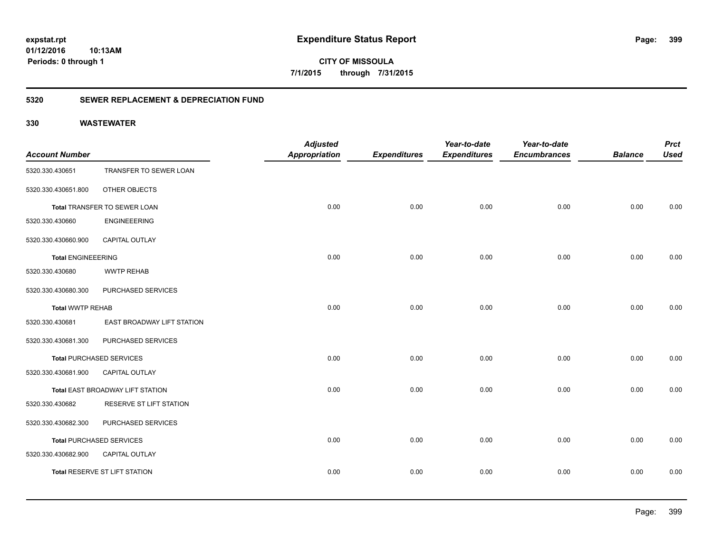**CITY OF MISSOULA 7/1/2015 through 7/31/2015**

### **5320 SEWER REPLACEMENT & DEPRECIATION FUND**

| <b>Account Number</b>     |                                  | <b>Adjusted</b><br><b>Appropriation</b> | <b>Expenditures</b> | Year-to-date<br><b>Expenditures</b> | Year-to-date<br><b>Encumbrances</b> | <b>Balance</b> | <b>Prct</b><br><b>Used</b> |
|---------------------------|----------------------------------|-----------------------------------------|---------------------|-------------------------------------|-------------------------------------|----------------|----------------------------|
| 5320.330.430651           | TRANSFER TO SEWER LOAN           |                                         |                     |                                     |                                     |                |                            |
| 5320.330.430651.800       | OTHER OBJECTS                    |                                         |                     |                                     |                                     |                |                            |
|                           | Total TRANSFER TO SEWER LOAN     | 0.00                                    | 0.00                | 0.00                                | 0.00                                | 0.00           | 0.00                       |
| 5320.330.430660           | <b>ENGINEEERING</b>              |                                         |                     |                                     |                                     |                |                            |
| 5320.330.430660.900       | CAPITAL OUTLAY                   |                                         |                     |                                     |                                     |                |                            |
| <b>Total ENGINEEERING</b> |                                  | 0.00                                    | 0.00                | 0.00                                | 0.00                                | 0.00           | 0.00                       |
| 5320.330.430680           | <b>WWTP REHAB</b>                |                                         |                     |                                     |                                     |                |                            |
| 5320.330.430680.300       | PURCHASED SERVICES               |                                         |                     |                                     |                                     |                |                            |
| <b>Total WWTP REHAB</b>   |                                  | 0.00                                    | 0.00                | 0.00                                | 0.00                                | 0.00           | 0.00                       |
| 5320.330.430681           | EAST BROADWAY LIFT STATION       |                                         |                     |                                     |                                     |                |                            |
| 5320.330.430681.300       | PURCHASED SERVICES               |                                         |                     |                                     |                                     |                |                            |
|                           | <b>Total PURCHASED SERVICES</b>  | 0.00                                    | 0.00                | 0.00                                | 0.00                                | 0.00           | 0.00                       |
| 5320.330.430681.900       | CAPITAL OUTLAY                   |                                         |                     |                                     |                                     |                |                            |
|                           | Total EAST BROADWAY LIFT STATION | 0.00                                    | 0.00                | 0.00                                | 0.00                                | 0.00           | 0.00                       |
| 5320.330.430682           | RESERVE ST LIFT STATION          |                                         |                     |                                     |                                     |                |                            |
| 5320.330.430682.300       | PURCHASED SERVICES               |                                         |                     |                                     |                                     |                |                            |
|                           | <b>Total PURCHASED SERVICES</b>  | 0.00                                    | 0.00                | 0.00                                | 0.00                                | 0.00           | 0.00                       |
| 5320.330.430682.900       | CAPITAL OUTLAY                   |                                         |                     |                                     |                                     |                |                            |
|                           | Total RESERVE ST LIFT STATION    | 0.00                                    | 0.00                | 0.00                                | 0.00                                | 0.00           | 0.00                       |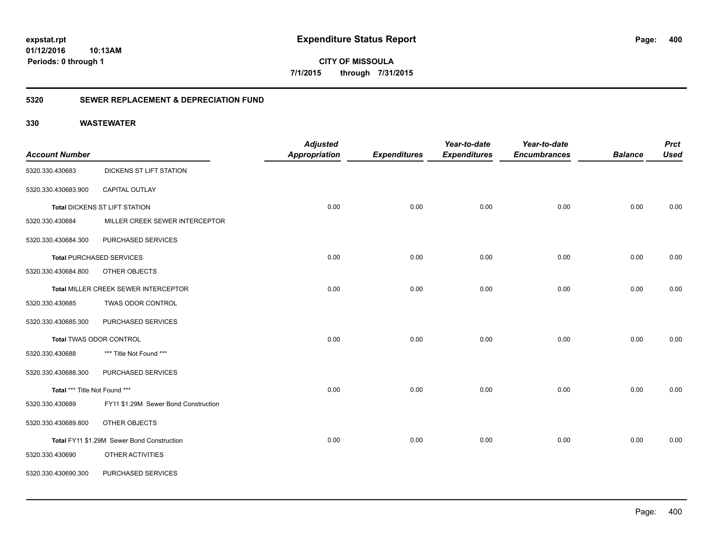**CITY OF MISSOULA 7/1/2015 through 7/31/2015**

### **5320 SEWER REPLACEMENT & DEPRECIATION FUND**

|                                |                                            | <b>Adjusted</b> |                     | Year-to-date        | Year-to-date        |                | <b>Prct</b> |
|--------------------------------|--------------------------------------------|-----------------|---------------------|---------------------|---------------------|----------------|-------------|
| <b>Account Number</b>          |                                            | Appropriation   | <b>Expenditures</b> | <b>Expenditures</b> | <b>Encumbrances</b> | <b>Balance</b> | <b>Used</b> |
| 5320.330.430683                | DICKENS ST LIFT STATION                    |                 |                     |                     |                     |                |             |
| 5320.330.430683.900            | CAPITAL OUTLAY                             |                 |                     |                     |                     |                |             |
|                                | <b>Total DICKENS ST LIFT STATION</b>       | 0.00            | 0.00                | 0.00                | 0.00                | 0.00           | 0.00        |
| 5320.330.430684                | MILLER CREEK SEWER INTERCEPTOR             |                 |                     |                     |                     |                |             |
| 5320.330.430684.300            | PURCHASED SERVICES                         |                 |                     |                     |                     |                |             |
|                                | <b>Total PURCHASED SERVICES</b>            | 0.00            | 0.00                | 0.00                | 0.00                | 0.00           | 0.00        |
| 5320.330.430684.800            | OTHER OBJECTS                              |                 |                     |                     |                     |                |             |
|                                | Total MILLER CREEK SEWER INTERCEPTOR       | 0.00            | 0.00                | 0.00                | 0.00                | 0.00           | 0.00        |
| 5320.330.430685                | TWAS ODOR CONTROL                          |                 |                     |                     |                     |                |             |
| 5320.330.430685.300            | PURCHASED SERVICES                         |                 |                     |                     |                     |                |             |
| <b>Total TWAS ODOR CONTROL</b> |                                            | 0.00            | 0.00                | 0.00                | 0.00                | 0.00           | 0.00        |
| 5320.330.430688                | *** Title Not Found ***                    |                 |                     |                     |                     |                |             |
| 5320.330.430688.300            | PURCHASED SERVICES                         |                 |                     |                     |                     |                |             |
| Total *** Title Not Found ***  |                                            | 0.00            | 0.00                | 0.00                | 0.00                | 0.00           | 0.00        |
| 5320.330.430689                | FY11 \$1.29M Sewer Bond Construction       |                 |                     |                     |                     |                |             |
| 5320.330.430689.800            | OTHER OBJECTS                              |                 |                     |                     |                     |                |             |
|                                | Total FY11 \$1.29M Sewer Bond Construction | 0.00            | 0.00                | 0.00                | 0.00                | 0.00           | 0.00        |
| 5320.330.430690                | OTHER ACTIVITIES                           |                 |                     |                     |                     |                |             |
| 5320.330.430690.300            | PURCHASED SERVICES                         |                 |                     |                     |                     |                |             |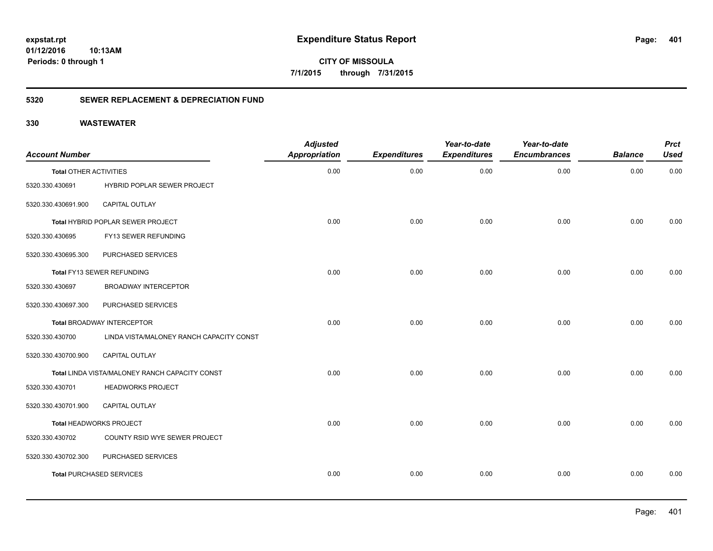**CITY OF MISSOULA 7/1/2015 through 7/31/2015**

### **5320 SEWER REPLACEMENT & DEPRECIATION FUND**

| <b>Account Number</b>         |                                                | <b>Adjusted</b><br><b>Appropriation</b> | <b>Expenditures</b> | Year-to-date<br><b>Expenditures</b> | Year-to-date<br><b>Encumbrances</b> | <b>Balance</b> | <b>Prct</b><br><b>Used</b> |
|-------------------------------|------------------------------------------------|-----------------------------------------|---------------------|-------------------------------------|-------------------------------------|----------------|----------------------------|
| <b>Total OTHER ACTIVITIES</b> |                                                | 0.00                                    | 0.00                | 0.00                                | 0.00                                | 0.00           | 0.00                       |
| 5320.330.430691               | HYBRID POPLAR SEWER PROJECT                    |                                         |                     |                                     |                                     |                |                            |
| 5320.330.430691.900           | <b>CAPITAL OUTLAY</b>                          |                                         |                     |                                     |                                     |                |                            |
|                               | Total HYBRID POPLAR SEWER PROJECT              | 0.00                                    | 0.00                | 0.00                                | 0.00                                | 0.00           | 0.00                       |
| 5320.330.430695               | FY13 SEWER REFUNDING                           |                                         |                     |                                     |                                     |                |                            |
| 5320.330.430695.300           | PURCHASED SERVICES                             |                                         |                     |                                     |                                     |                |                            |
|                               | Total FY13 SEWER REFUNDING                     | 0.00                                    | 0.00                | 0.00                                | 0.00                                | 0.00           | 0.00                       |
| 5320.330.430697               | <b>BROADWAY INTERCEPTOR</b>                    |                                         |                     |                                     |                                     |                |                            |
| 5320.330.430697.300           | PURCHASED SERVICES                             |                                         |                     |                                     |                                     |                |                            |
|                               | <b>Total BROADWAY INTERCEPTOR</b>              | 0.00                                    | 0.00                | 0.00                                | 0.00                                | 0.00           | 0.00                       |
| 5320.330.430700               | LINDA VISTA/MALONEY RANCH CAPACITY CONST       |                                         |                     |                                     |                                     |                |                            |
| 5320.330.430700.900           | <b>CAPITAL OUTLAY</b>                          |                                         |                     |                                     |                                     |                |                            |
|                               | Total LINDA VISTA/MALONEY RANCH CAPACITY CONST | 0.00                                    | 0.00                | 0.00                                | 0.00                                | 0.00           | 0.00                       |
| 5320.330.430701               | <b>HEADWORKS PROJECT</b>                       |                                         |                     |                                     |                                     |                |                            |
| 5320.330.430701.900           | <b>CAPITAL OUTLAY</b>                          |                                         |                     |                                     |                                     |                |                            |
|                               | Total HEADWORKS PROJECT                        | 0.00                                    | 0.00                | 0.00                                | 0.00                                | 0.00           | 0.00                       |
| 5320.330.430702               | COUNTY RSID WYE SEWER PROJECT                  |                                         |                     |                                     |                                     |                |                            |
| 5320.330.430702.300           | PURCHASED SERVICES                             |                                         |                     |                                     |                                     |                |                            |
|                               | <b>Total PURCHASED SERVICES</b>                | 0.00                                    | 0.00                | 0.00                                | 0.00                                | 0.00           | 0.00                       |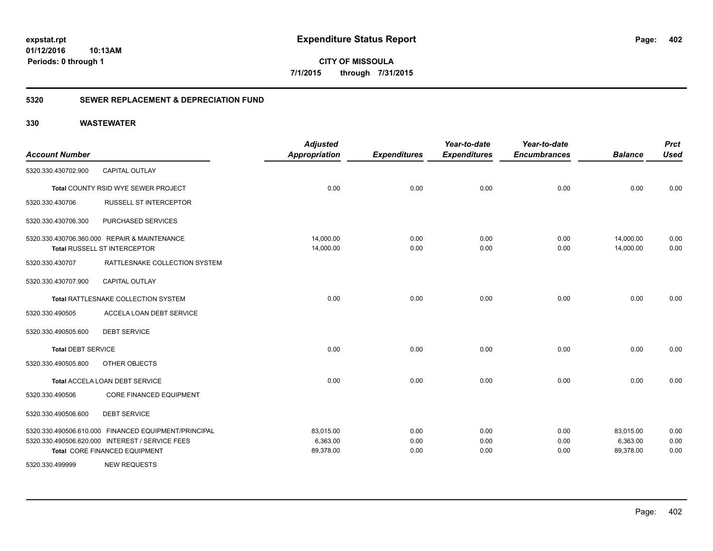**CITY OF MISSOULA 7/1/2015 through 7/31/2015**

### **5320 SEWER REPLACEMENT & DEPRECIATION FUND**

| <b>Account Number</b>     |                                                      | <b>Adjusted</b><br><b>Appropriation</b> | <b>Expenditures</b> | Year-to-date<br><b>Expenditures</b> | Year-to-date<br><b>Encumbrances</b> | <b>Balance</b> | <b>Prct</b><br><b>Used</b> |
|---------------------------|------------------------------------------------------|-----------------------------------------|---------------------|-------------------------------------|-------------------------------------|----------------|----------------------------|
| 5320.330.430702.900       | <b>CAPITAL OUTLAY</b>                                |                                         |                     |                                     |                                     |                |                            |
|                           | Total COUNTY RSID WYE SEWER PROJECT                  | 0.00                                    | 0.00                | 0.00                                | 0.00                                | 0.00           | 0.00                       |
| 5320.330.430706           | RUSSELL ST INTERCEPTOR                               |                                         |                     |                                     |                                     |                |                            |
| 5320.330.430706.300       | PURCHASED SERVICES                                   |                                         |                     |                                     |                                     |                |                            |
|                           | 5320.330.430706.360.000 REPAIR & MAINTENANCE         | 14,000.00                               | 0.00                | 0.00                                | 0.00                                | 14,000.00      | 0.00                       |
|                           | Total RUSSELL ST INTERCEPTOR                         | 14,000.00                               | 0.00                | 0.00                                | 0.00                                | 14,000.00      | 0.00                       |
| 5320.330.430707           | RATTLESNAKE COLLECTION SYSTEM                        |                                         |                     |                                     |                                     |                |                            |
| 5320.330.430707.900       | <b>CAPITAL OUTLAY</b>                                |                                         |                     |                                     |                                     |                |                            |
|                           | Total RATTLESNAKE COLLECTION SYSTEM                  | 0.00                                    | 0.00                | 0.00                                | 0.00                                | 0.00           | 0.00                       |
| 5320.330.490505           | ACCELA LOAN DEBT SERVICE                             |                                         |                     |                                     |                                     |                |                            |
| 5320.330.490505.600       | <b>DEBT SERVICE</b>                                  |                                         |                     |                                     |                                     |                |                            |
| <b>Total DEBT SERVICE</b> |                                                      | 0.00                                    | 0.00                | 0.00                                | 0.00                                | 0.00           | 0.00                       |
| 5320.330.490505.800       | OTHER OBJECTS                                        |                                         |                     |                                     |                                     |                |                            |
|                           | Total ACCELA LOAN DEBT SERVICE                       | 0.00                                    | 0.00                | 0.00                                | 0.00                                | 0.00           | 0.00                       |
| 5320.330.490506           | <b>CORE FINANCED EQUIPMENT</b>                       |                                         |                     |                                     |                                     |                |                            |
| 5320.330.490506.600       | <b>DEBT SERVICE</b>                                  |                                         |                     |                                     |                                     |                |                            |
|                           | 5320.330.490506.610.000 FINANCED EQUIPMENT/PRINCIPAL | 83,015.00                               | 0.00                | 0.00                                | 0.00                                | 83,015.00      | 0.00                       |
|                           | 5320.330.490506.620.000 INTEREST / SERVICE FEES      | 6,363.00                                | 0.00                | 0.00                                | 0.00                                | 6,363.00       | 0.00                       |
|                           | Total CORE FINANCED EQUIPMENT                        | 89,378.00                               | 0.00                | 0.00                                | 0.00                                | 89,378.00      | 0.00                       |
| 5320.330.499999           | <b>NEW REQUESTS</b>                                  |                                         |                     |                                     |                                     |                |                            |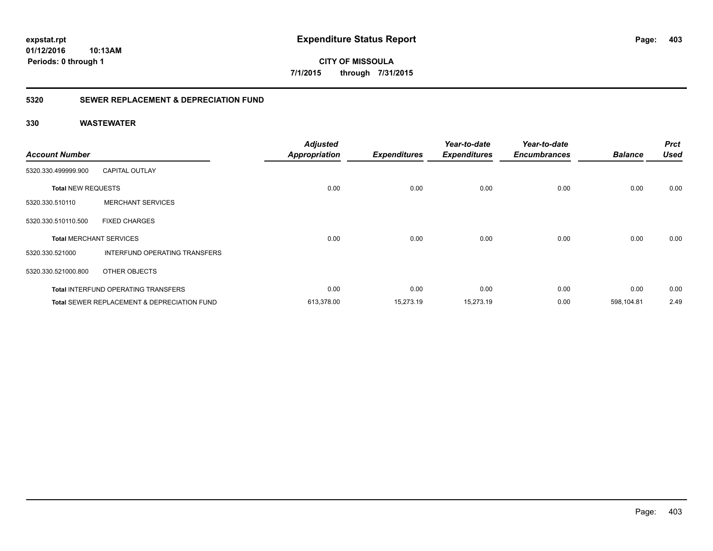**expstat.rpt Expenditure Status Report** 

**01/12/2016 10:13AM Periods: 0 through 1**

**CITY OF MISSOULA 7/1/2015 through 7/31/2015**

### **5320 SEWER REPLACEMENT & DEPRECIATION FUND**

| <b>Account Number</b>     |                                                        | <b>Adjusted</b><br><b>Appropriation</b> | <b>Expenditures</b> | Year-to-date<br><b>Expenditures</b> | Year-to-date<br><b>Encumbrances</b> | <b>Balance</b> | <b>Prct</b><br><b>Used</b> |
|---------------------------|--------------------------------------------------------|-----------------------------------------|---------------------|-------------------------------------|-------------------------------------|----------------|----------------------------|
| 5320.330.499999.900       | <b>CAPITAL OUTLAY</b>                                  |                                         |                     |                                     |                                     |                |                            |
| <b>Total NEW REQUESTS</b> |                                                        | 0.00                                    | 0.00                | 0.00                                | 0.00                                | 0.00           | 0.00                       |
| 5320.330.510110           | <b>MERCHANT SERVICES</b>                               |                                         |                     |                                     |                                     |                |                            |
| 5320.330.510110.500       | <b>FIXED CHARGES</b>                                   |                                         |                     |                                     |                                     |                |                            |
|                           | <b>Total MERCHANT SERVICES</b>                         | 0.00                                    | 0.00                | 0.00                                | 0.00                                | 0.00           | 0.00                       |
| 5320.330.521000           | INTERFUND OPERATING TRANSFERS                          |                                         |                     |                                     |                                     |                |                            |
| 5320.330.521000.800       | OTHER OBJECTS                                          |                                         |                     |                                     |                                     |                |                            |
|                           | <b>Total INTERFUND OPERATING TRANSFERS</b>             | 0.00                                    | 0.00                | 0.00                                | 0.00                                | 0.00           | 0.00                       |
|                           | <b>Total SEWER REPLACEMENT &amp; DEPRECIATION FUND</b> | 613,378.00                              | 15,273.19           | 15,273.19                           | 0.00                                | 598,104.81     | 2.49                       |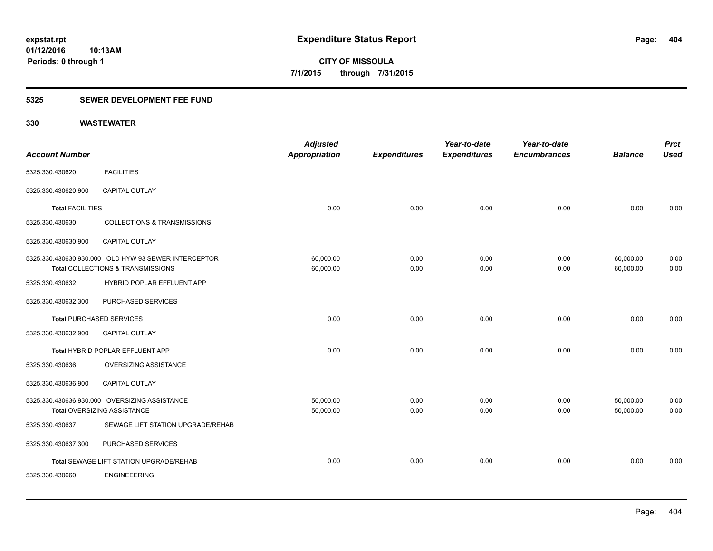**Periods: 0 through 1**

**CITY OF MISSOULA 7/1/2015 through 7/31/2015**

### **5325 SEWER DEVELOPMENT FEE FUND**

| <b>Account Number</b>           |                                                                                           | <b>Adjusted</b><br>Appropriation | <b>Expenditures</b> | Year-to-date<br><b>Expenditures</b> | Year-to-date<br><b>Encumbrances</b> | <b>Balance</b>         | <b>Prct</b><br><b>Used</b> |
|---------------------------------|-------------------------------------------------------------------------------------------|----------------------------------|---------------------|-------------------------------------|-------------------------------------|------------------------|----------------------------|
| 5325.330.430620                 | <b>FACILITIES</b>                                                                         |                                  |                     |                                     |                                     |                        |                            |
| 5325.330.430620.900             | CAPITAL OUTLAY                                                                            |                                  |                     |                                     |                                     |                        |                            |
| <b>Total FACILITIES</b>         |                                                                                           | 0.00                             | 0.00                | 0.00                                | 0.00                                | 0.00                   | 0.00                       |
| 5325.330.430630                 | <b>COLLECTIONS &amp; TRANSMISSIONS</b>                                                    |                                  |                     |                                     |                                     |                        |                            |
| 5325.330.430630.900             | <b>CAPITAL OUTLAY</b>                                                                     |                                  |                     |                                     |                                     |                        |                            |
|                                 | 5325.330.430630.930.000 OLD HYW 93 SEWER INTERCEPTOR<br>Total COLLECTIONS & TRANSMISSIONS | 60,000.00<br>60,000.00           | 0.00<br>0.00        | 0.00<br>0.00                        | 0.00<br>0.00                        | 60,000.00<br>60.000.00 | 0.00<br>0.00               |
| 5325.330.430632                 | HYBRID POPLAR EFFLUENT APP                                                                |                                  |                     |                                     |                                     |                        |                            |
| 5325.330.430632.300             | PURCHASED SERVICES                                                                        |                                  |                     |                                     |                                     |                        |                            |
| <b>Total PURCHASED SERVICES</b> |                                                                                           | 0.00                             | 0.00                | 0.00                                | 0.00                                | 0.00                   | 0.00                       |
| 5325.330.430632.900             | <b>CAPITAL OUTLAY</b>                                                                     |                                  |                     |                                     |                                     |                        |                            |
|                                 | Total HYBRID POPLAR EFFLUENT APP                                                          | 0.00                             | 0.00                | 0.00                                | 0.00                                | 0.00                   | 0.00                       |
| 5325.330.430636                 | OVERSIZING ASSISTANCE                                                                     |                                  |                     |                                     |                                     |                        |                            |
| 5325.330.430636.900             | CAPITAL OUTLAY                                                                            |                                  |                     |                                     |                                     |                        |                            |
|                                 | 5325.330.430636.930.000 OVERSIZING ASSISTANCE<br><b>Total OVERSIZING ASSISTANCE</b>       | 50,000.00<br>50,000.00           | 0.00<br>0.00        | 0.00<br>0.00                        | 0.00<br>0.00                        | 50,000.00<br>50,000.00 | 0.00<br>0.00               |
| 5325.330.430637                 | SEWAGE LIFT STATION UPGRADE/REHAB                                                         |                                  |                     |                                     |                                     |                        |                            |
| 5325.330.430637.300             | PURCHASED SERVICES                                                                        |                                  |                     |                                     |                                     |                        |                            |
|                                 | Total SEWAGE LIFT STATION UPGRADE/REHAB                                                   | 0.00                             | 0.00                | 0.00                                | 0.00                                | 0.00                   | 0.00                       |
| 5325.330.430660                 | <b>ENGINEEERING</b>                                                                       |                                  |                     |                                     |                                     |                        |                            |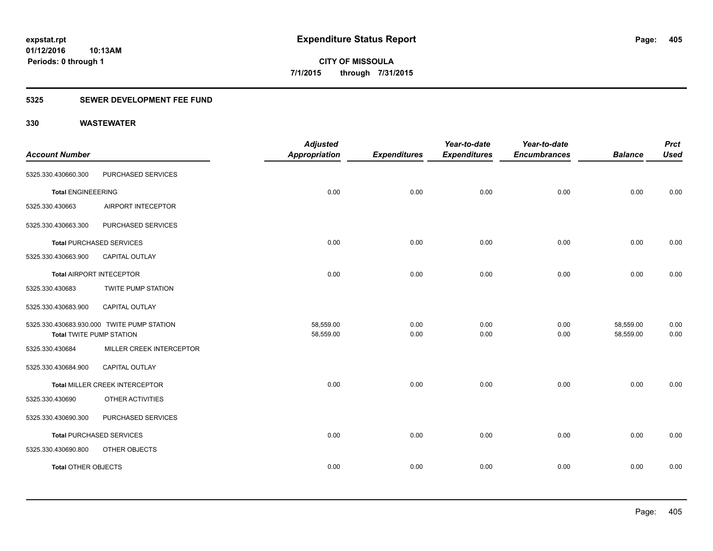**405**

**01/12/2016 10:13AM Periods: 0 through 1**

**CITY OF MISSOULA 7/1/2015 through 7/31/2015**

### **5325 SEWER DEVELOPMENT FEE FUND**

|                                 |                                            | <b>Adjusted</b>      |                     | Year-to-date        | Year-to-date        |                | <b>Prct</b> |
|---------------------------------|--------------------------------------------|----------------------|---------------------|---------------------|---------------------|----------------|-------------|
| <b>Account Number</b>           |                                            | <b>Appropriation</b> | <b>Expenditures</b> | <b>Expenditures</b> | <b>Encumbrances</b> | <b>Balance</b> | <b>Used</b> |
| 5325.330.430660.300             | PURCHASED SERVICES                         |                      |                     |                     |                     |                |             |
| <b>Total ENGINEEERING</b>       |                                            | 0.00                 | 0.00                | 0.00                | 0.00                | 0.00           | 0.00        |
| 5325.330.430663                 | AIRPORT INTECEPTOR                         |                      |                     |                     |                     |                |             |
| 5325.330.430663.300             | PURCHASED SERVICES                         |                      |                     |                     |                     |                |             |
|                                 | <b>Total PURCHASED SERVICES</b>            | 0.00                 | 0.00                | 0.00                | 0.00                | 0.00           | 0.00        |
| 5325.330.430663.900             | <b>CAPITAL OUTLAY</b>                      |                      |                     |                     |                     |                |             |
| Total AIRPORT INTECEPTOR        |                                            | 0.00                 | 0.00                | 0.00                | 0.00                | 0.00           | 0.00        |
| 5325.330.430683                 | TWITE PUMP STATION                         |                      |                     |                     |                     |                |             |
| 5325.330.430683.900             | <b>CAPITAL OUTLAY</b>                      |                      |                     |                     |                     |                |             |
|                                 | 5325.330.430683.930.000 TWITE PUMP STATION | 58,559.00            | 0.00                | 0.00                | 0.00                | 58,559.00      | 0.00        |
| <b>Total TWITE PUMP STATION</b> |                                            | 58,559.00            | 0.00                | 0.00                | 0.00                | 58,559.00      | 0.00        |
| 5325.330.430684                 | MILLER CREEK INTERCEPTOR                   |                      |                     |                     |                     |                |             |
| 5325.330.430684.900             | <b>CAPITAL OUTLAY</b>                      |                      |                     |                     |                     |                |             |
|                                 | Total MILLER CREEK INTERCEPTOR             | 0.00                 | 0.00                | 0.00                | 0.00                | 0.00           | 0.00        |
| 5325.330.430690                 | OTHER ACTIVITIES                           |                      |                     |                     |                     |                |             |
| 5325.330.430690.300             | PURCHASED SERVICES                         |                      |                     |                     |                     |                |             |
|                                 | <b>Total PURCHASED SERVICES</b>            | 0.00                 | 0.00                | 0.00                | 0.00                | 0.00           | 0.00        |
| 5325.330.430690.800             | OTHER OBJECTS                              |                      |                     |                     |                     |                |             |
| <b>Total OTHER OBJECTS</b>      |                                            | 0.00                 | 0.00                | 0.00                | 0.00                | 0.00           | 0.00        |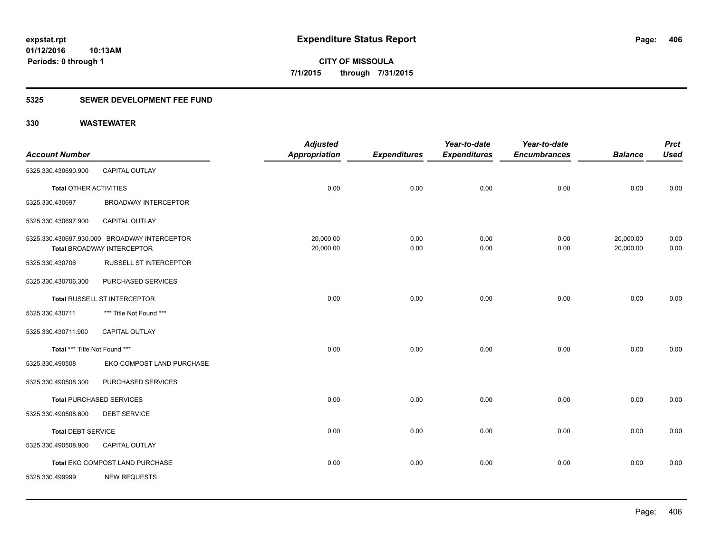### **5325 SEWER DEVELOPMENT FEE FUND**

|                               |                                              | <b>Adjusted</b>      |                     | Year-to-date        | Year-to-date        |                | <b>Prct</b> |
|-------------------------------|----------------------------------------------|----------------------|---------------------|---------------------|---------------------|----------------|-------------|
| <b>Account Number</b>         |                                              | <b>Appropriation</b> | <b>Expenditures</b> | <b>Expenditures</b> | <b>Encumbrances</b> | <b>Balance</b> | <b>Used</b> |
| 5325.330.430690.900           | <b>CAPITAL OUTLAY</b>                        |                      |                     |                     |                     |                |             |
| <b>Total OTHER ACTIVITIES</b> |                                              | 0.00                 | 0.00                | 0.00                | 0.00                | 0.00           | 0.00        |
| 5325.330.430697               | <b>BROADWAY INTERCEPTOR</b>                  |                      |                     |                     |                     |                |             |
| 5325.330.430697.900           | CAPITAL OUTLAY                               |                      |                     |                     |                     |                |             |
|                               | 5325.330.430697.930.000 BROADWAY INTERCEPTOR | 20,000.00            | 0.00                | 0.00                | 0.00                | 20,000.00      | 0.00        |
|                               | <b>Total BROADWAY INTERCEPTOR</b>            | 20,000.00            | 0.00                | 0.00                | 0.00                | 20,000.00      | 0.00        |
| 5325.330.430706               | <b>RUSSELL ST INTERCEPTOR</b>                |                      |                     |                     |                     |                |             |
| 5325.330.430706.300           | PURCHASED SERVICES                           |                      |                     |                     |                     |                |             |
|                               | Total RUSSELL ST INTERCEPTOR                 | 0.00                 | 0.00                | 0.00                | 0.00                | 0.00           | 0.00        |
| 5325.330.430711               | *** Title Not Found ***                      |                      |                     |                     |                     |                |             |
| 5325.330.430711.900           | <b>CAPITAL OUTLAY</b>                        |                      |                     |                     |                     |                |             |
| Total *** Title Not Found *** |                                              | 0.00                 | 0.00                | 0.00                | 0.00                | 0.00           | 0.00        |
| 5325.330.490508               | EKO COMPOST LAND PURCHASE                    |                      |                     |                     |                     |                |             |
| 5325.330.490508.300           | PURCHASED SERVICES                           |                      |                     |                     |                     |                |             |
|                               | <b>Total PURCHASED SERVICES</b>              | 0.00                 | 0.00                | 0.00                | 0.00                | 0.00           | 0.00        |
| 5325.330.490508.600           | <b>DEBT SERVICE</b>                          |                      |                     |                     |                     |                |             |
| <b>Total DEBT SERVICE</b>     |                                              | 0.00                 | 0.00                | 0.00                | 0.00                | 0.00           | 0.00        |
| 5325.330.490508.900           | CAPITAL OUTLAY                               |                      |                     |                     |                     |                |             |
|                               | Total EKO COMPOST LAND PURCHASE              | 0.00                 | 0.00                | 0.00                | 0.00                | 0.00           | 0.00        |
| 5325.330.499999               | <b>NEW REQUESTS</b>                          |                      |                     |                     |                     |                |             |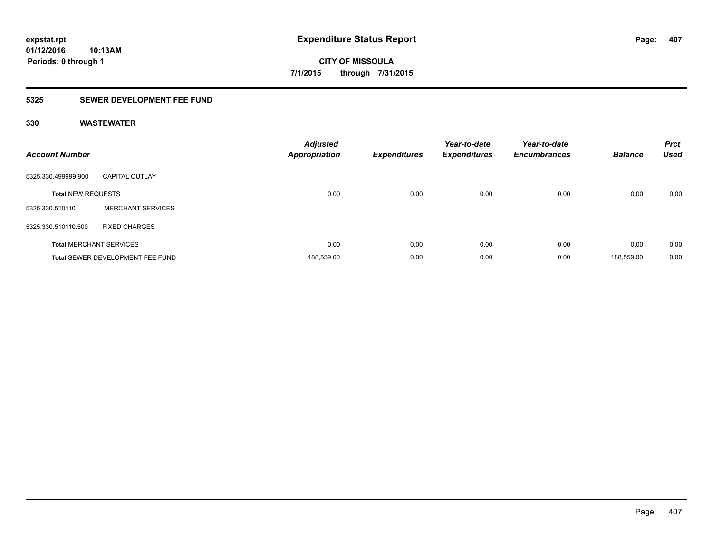**Periods: 0 through 1**

**CITY OF MISSOULA 7/1/2015 through 7/31/2015**

### **5325 SEWER DEVELOPMENT FEE FUND**

| <b>Account Number</b>     |                                  | <b>Adjusted</b><br><b>Appropriation</b> | <b>Expenditures</b> | Year-to-date<br><b>Expenditures</b> | Year-to-date<br><b>Encumbrances</b> | <b>Balance</b> | <b>Prct</b><br><b>Used</b> |
|---------------------------|----------------------------------|-----------------------------------------|---------------------|-------------------------------------|-------------------------------------|----------------|----------------------------|
| 5325.330.499999.900       | <b>CAPITAL OUTLAY</b>            |                                         |                     |                                     |                                     |                |                            |
| <b>Total NEW REQUESTS</b> |                                  | 0.00                                    | 0.00                | 0.00                                | 0.00                                | 0.00           | 0.00                       |
| 5325.330.510110           | <b>MERCHANT SERVICES</b>         |                                         |                     |                                     |                                     |                |                            |
| 5325.330.510110.500       | <b>FIXED CHARGES</b>             |                                         |                     |                                     |                                     |                |                            |
|                           | <b>Total MERCHANT SERVICES</b>   | 0.00                                    | 0.00                | 0.00                                | 0.00                                | 0.00           | 0.00                       |
|                           | Total SEWER DEVELOPMENT FEE FUND | 188,559.00                              | 0.00                | 0.00                                | 0.00                                | 188.559.00     | 0.00                       |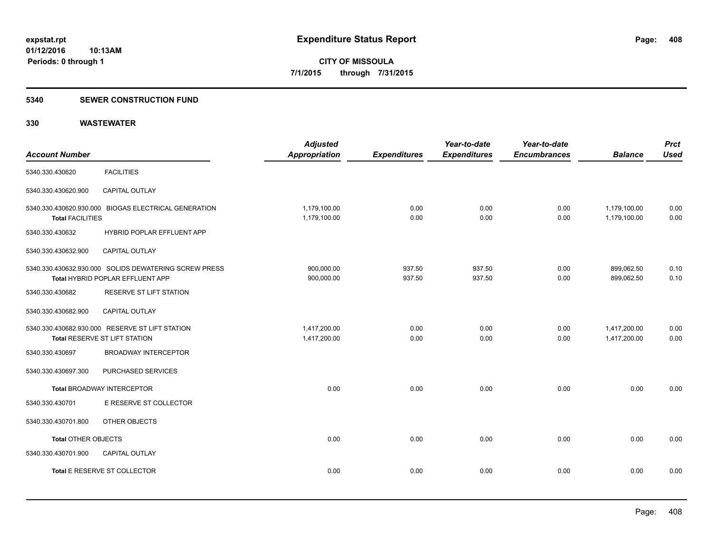### **5340 SEWER CONSTRUCTION FUND**

| <b>Account Number</b>   |                                                                                           | <b>Adjusted</b><br><b>Appropriation</b> | <b>Expenditures</b> | Year-to-date<br><b>Expenditures</b> | Year-to-date<br><b>Encumbrances</b> | <b>Balance</b>               | <b>Prct</b><br><b>Used</b> |
|-------------------------|-------------------------------------------------------------------------------------------|-----------------------------------------|---------------------|-------------------------------------|-------------------------------------|------------------------------|----------------------------|
| 5340.330.430620         | <b>FACILITIES</b>                                                                         |                                         |                     |                                     |                                     |                              |                            |
| 5340.330.430620.900     | CAPITAL OUTLAY                                                                            |                                         |                     |                                     |                                     |                              |                            |
| <b>Total FACILITIES</b> | 5340.330.430620.930.000 BIOGAS ELECTRICAL GENERATION                                      | 1,179,100.00<br>1,179,100.00            | 0.00<br>0.00        | 0.00<br>0.00                        | 0.00<br>0.00                        | 1,179,100.00<br>1,179,100.00 | 0.00<br>0.00               |
| 5340.330.430632         | HYBRID POPLAR EFFLUENT APP                                                                |                                         |                     |                                     |                                     |                              |                            |
| 5340.330.430632.900     | CAPITAL OUTLAY                                                                            |                                         |                     |                                     |                                     |                              |                            |
|                         | 5340.330.430632.930.000 SOLIDS DEWATERING SCREW PRESS<br>Total HYBRID POPLAR EFFLUENT APP | 900,000.00<br>900,000.00                | 937.50<br>937.50    | 937.50<br>937.50                    | 0.00<br>0.00                        | 899,062.50<br>899,062.50     | 0.10<br>0.10               |
| 5340.330.430682         | <b>RESERVE ST LIFT STATION</b>                                                            |                                         |                     |                                     |                                     |                              |                            |
| 5340.330.430682.900     | <b>CAPITAL OUTLAY</b>                                                                     |                                         |                     |                                     |                                     |                              |                            |
|                         | 5340.330.430682.930.000 RESERVE ST LIFT STATION<br>Total RESERVE ST LIFT STATION          | 1,417,200.00<br>1,417,200.00            | 0.00<br>0.00        | 0.00<br>0.00                        | 0.00<br>0.00                        | 1,417,200.00<br>1,417,200.00 | 0.00<br>0.00               |
| 5340.330.430697         | <b>BROADWAY INTERCEPTOR</b>                                                               |                                         |                     |                                     |                                     |                              |                            |
| 5340.330.430697.300     | PURCHASED SERVICES                                                                        |                                         |                     |                                     |                                     |                              |                            |
|                         | <b>Total BROADWAY INTERCEPTOR</b>                                                         | 0.00                                    | 0.00                | 0.00                                | 0.00                                | 0.00                         | 0.00                       |
| 5340.330.430701         | E RESERVE ST COLLECTOR                                                                    |                                         |                     |                                     |                                     |                              |                            |
| 5340.330.430701.800     | OTHER OBJECTS                                                                             |                                         |                     |                                     |                                     |                              |                            |
| Total OTHER OBJECTS     |                                                                                           | 0.00                                    | 0.00                | 0.00                                | 0.00                                | 0.00                         | 0.00                       |
| 5340.330.430701.900     | <b>CAPITAL OUTLAY</b>                                                                     |                                         |                     |                                     |                                     |                              |                            |
|                         | Total E RESERVE ST COLLECTOR                                                              | 0.00                                    | 0.00                | 0.00                                | 0.00                                | 0.00                         | 0.00                       |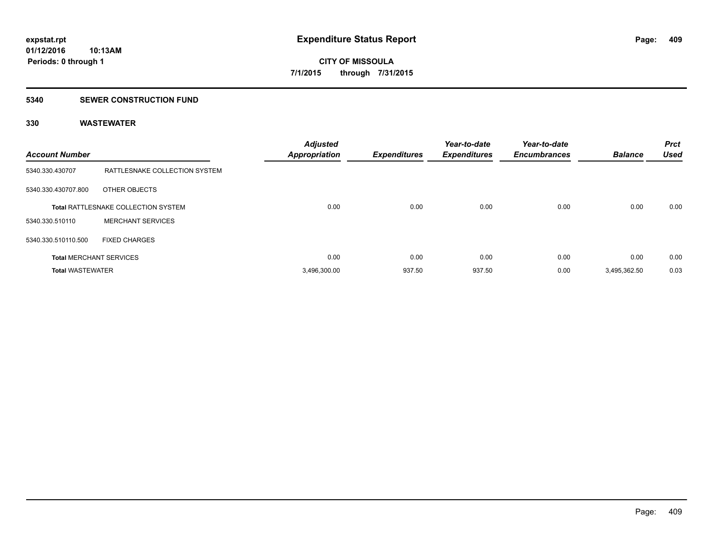### **5340 SEWER CONSTRUCTION FUND**

| <b>Account Number</b>   |                                     | <b>Adjusted</b><br><b>Appropriation</b> | <b>Expenditures</b> | Year-to-date<br><b>Expenditures</b> | Year-to-date<br><b>Encumbrances</b> | <b>Balance</b> | <b>Prct</b><br><b>Used</b> |
|-------------------------|-------------------------------------|-----------------------------------------|---------------------|-------------------------------------|-------------------------------------|----------------|----------------------------|
| 5340.330.430707         | RATTLESNAKE COLLECTION SYSTEM       |                                         |                     |                                     |                                     |                |                            |
| 5340.330.430707.800     | OTHER OBJECTS                       |                                         |                     |                                     |                                     |                |                            |
|                         | Total RATTLESNAKE COLLECTION SYSTEM | 0.00                                    | 0.00                | 0.00                                | 0.00                                | 0.00           | 0.00                       |
| 5340.330.510110         | <b>MERCHANT SERVICES</b>            |                                         |                     |                                     |                                     |                |                            |
| 5340.330.510110.500     | <b>FIXED CHARGES</b>                |                                         |                     |                                     |                                     |                |                            |
|                         | <b>Total MERCHANT SERVICES</b>      | 0.00                                    | 0.00                | 0.00                                | 0.00                                | 0.00           | 0.00                       |
| <b>Total WASTEWATER</b> |                                     | 3.496.300.00                            | 937.50              | 937.50                              | 0.00                                | 3.495.362.50   | 0.03                       |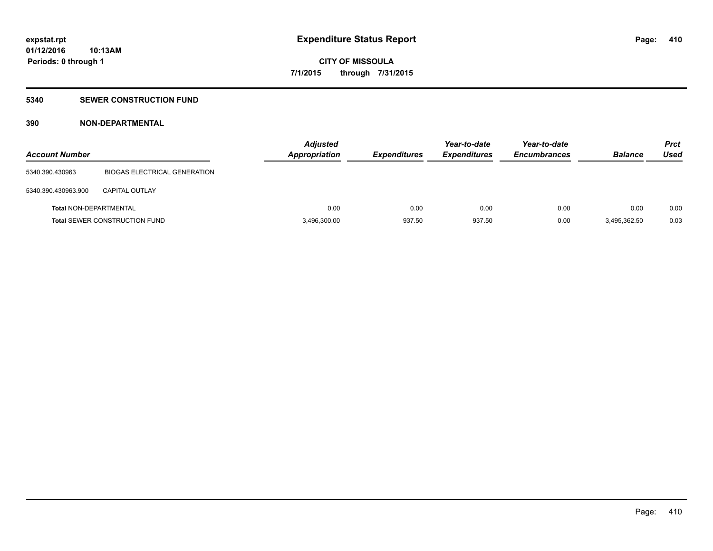### **5340 SEWER CONSTRUCTION FUND**

### **390 NON-DEPARTMENTAL**

| <b>Account Number</b>         |                                      | <b>Adjusted</b><br>Appropriation | <b>Expenditures</b> | Year-to-date<br><b>Expenditures</b> | Year-to-date<br><b>Encumbrances</b> | <b>Balance</b> | <b>Prct</b><br>Used |
|-------------------------------|--------------------------------------|----------------------------------|---------------------|-------------------------------------|-------------------------------------|----------------|---------------------|
| 5340.390.430963               | <b>BIOGAS ELECTRICAL GENERATION</b>  |                                  |                     |                                     |                                     |                |                     |
| 5340.390.430963.900           | CAPITAL OUTLAY                       |                                  |                     |                                     |                                     |                |                     |
| <b>Total NON-DEPARTMENTAL</b> |                                      | 0.00                             | 0.00                | 0.00                                | 0.00                                | 0.00           | 0.00                |
|                               | <b>Total SEWER CONSTRUCTION FUND</b> | 3,496,300.00                     | 937.50              | 937.50                              | 0.00                                | 3,495,362.50   | 0.03                |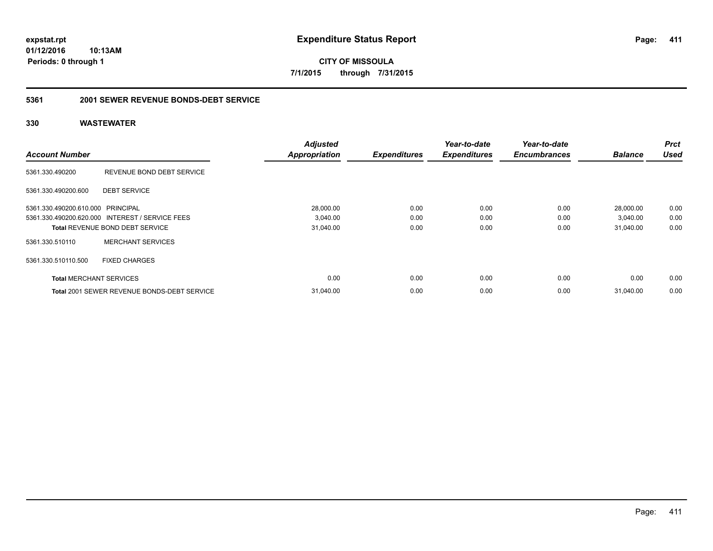**CITY OF MISSOULA 7/1/2015 through 7/31/2015**

### **5361 2001 SEWER REVENUE BONDS-DEBT SERVICE**

| <b>Account Number</b>             |                                                    | <b>Adjusted</b><br><b>Appropriation</b> | <b>Expenditures</b> | Year-to-date<br><b>Expenditures</b> | Year-to-date<br><b>Encumbrances</b> | <b>Balance</b> | <b>Prct</b><br><b>Used</b> |
|-----------------------------------|----------------------------------------------------|-----------------------------------------|---------------------|-------------------------------------|-------------------------------------|----------------|----------------------------|
|                                   |                                                    |                                         |                     |                                     |                                     |                |                            |
| 5361.330.490200                   | REVENUE BOND DEBT SERVICE                          |                                         |                     |                                     |                                     |                |                            |
| 5361.330.490200.600               | <b>DEBT SERVICE</b>                                |                                         |                     |                                     |                                     |                |                            |
| 5361.330.490200.610.000 PRINCIPAL |                                                    | 28,000.00                               | 0.00                | 0.00                                | 0.00                                | 28,000.00      | 0.00                       |
|                                   | 5361.330.490200.620.000 INTEREST / SERVICE FEES    | 3,040.00                                | 0.00                | 0.00                                | 0.00                                | 3,040.00       | 0.00                       |
|                                   | Total REVENUE BOND DEBT SERVICE                    | 31,040.00                               | 0.00                | 0.00                                | 0.00                                | 31,040.00      | 0.00                       |
| 5361.330.510110                   | <b>MERCHANT SERVICES</b>                           |                                         |                     |                                     |                                     |                |                            |
| 5361.330.510110.500               | <b>FIXED CHARGES</b>                               |                                         |                     |                                     |                                     |                |                            |
| <b>Total MERCHANT SERVICES</b>    |                                                    | 0.00                                    | 0.00                | 0.00                                | 0.00                                | 0.00           | 0.00                       |
|                                   | <b>Total 2001 SEWER REVENUE BONDS-DEBT SERVICE</b> | 31.040.00                               | 0.00                | 0.00                                | 0.00                                | 31.040.00      | 0.00                       |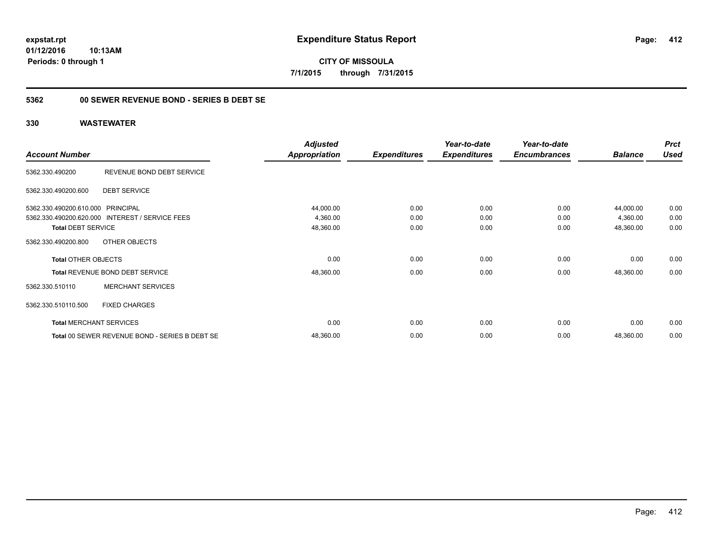**CITY OF MISSOULA 7/1/2015 through 7/31/2015**

### **5362 00 SEWER REVENUE BOND - SERIES B DEBT SE**

|                                   |                                                 | <b>Adjusted</b>      |                     | Year-to-date        | Year-to-date        |                | <b>Prct</b> |
|-----------------------------------|-------------------------------------------------|----------------------|---------------------|---------------------|---------------------|----------------|-------------|
| <b>Account Number</b>             |                                                 | <b>Appropriation</b> | <b>Expenditures</b> | <b>Expenditures</b> | <b>Encumbrances</b> | <b>Balance</b> | <b>Used</b> |
| 5362.330.490200                   | REVENUE BOND DEBT SERVICE                       |                      |                     |                     |                     |                |             |
| 5362.330.490200.600               | <b>DEBT SERVICE</b>                             |                      |                     |                     |                     |                |             |
| 5362.330.490200.610.000 PRINCIPAL |                                                 | 44,000.00            | 0.00                | 0.00                | 0.00                | 44,000.00      | 0.00        |
|                                   | 5362.330.490200.620.000 INTEREST / SERVICE FEES | 4,360.00             | 0.00                | 0.00                | 0.00                | 4,360.00       | 0.00        |
| <b>Total DEBT SERVICE</b>         |                                                 | 48,360.00            | 0.00                | 0.00                | 0.00                | 48,360.00      | 0.00        |
| 5362.330.490200.800               | OTHER OBJECTS                                   |                      |                     |                     |                     |                |             |
| <b>Total OTHER OBJECTS</b>        |                                                 | 0.00                 | 0.00                | 0.00                | 0.00                | 0.00           | 0.00        |
|                                   | <b>Total REVENUE BOND DEBT SERVICE</b>          | 48,360.00            | 0.00                | 0.00                | 0.00                | 48,360.00      | 0.00        |
| 5362.330.510110                   | <b>MERCHANT SERVICES</b>                        |                      |                     |                     |                     |                |             |
| 5362.330.510110.500               | <b>FIXED CHARGES</b>                            |                      |                     |                     |                     |                |             |
|                                   | <b>Total MERCHANT SERVICES</b>                  | 0.00                 | 0.00                | 0.00                | 0.00                | 0.00           | 0.00        |
|                                   | Total 00 SEWER REVENUE BOND - SERIES B DEBT SE  | 48,360.00            | 0.00                | 0.00                | 0.00                | 48,360.00      | 0.00        |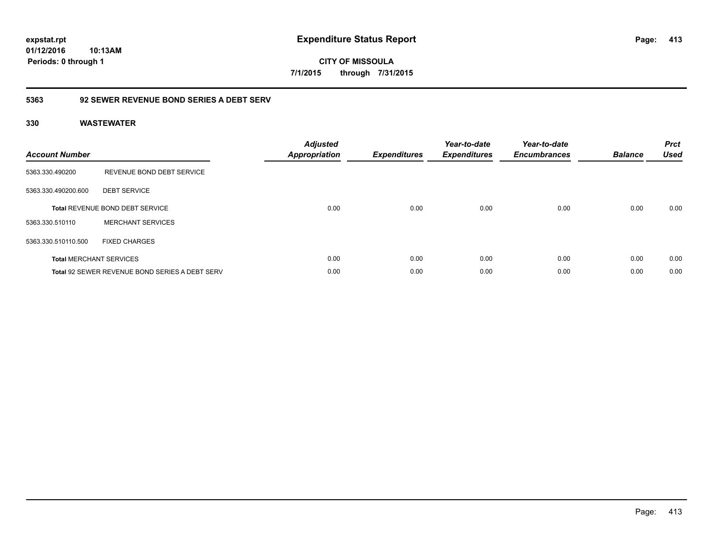**CITY OF MISSOULA 7/1/2015 through 7/31/2015**

### **5363 92 SEWER REVENUE BOND SERIES A DEBT SERV**

| <b>Account Number</b> |                                                       | <b>Adjusted</b><br><b>Appropriation</b> | <b>Expenditures</b> | Year-to-date<br><b>Expenditures</b> | Year-to-date<br><b>Encumbrances</b> | <b>Balance</b> | <b>Prct</b><br><b>Used</b> |
|-----------------------|-------------------------------------------------------|-----------------------------------------|---------------------|-------------------------------------|-------------------------------------|----------------|----------------------------|
| 5363.330.490200       | REVENUE BOND DEBT SERVICE                             |                                         |                     |                                     |                                     |                |                            |
| 5363.330.490200.600   | <b>DEBT SERVICE</b>                                   |                                         |                     |                                     |                                     |                |                            |
|                       | Total REVENUE BOND DEBT SERVICE                       | 0.00                                    | 0.00                | 0.00                                | 0.00                                | 0.00           | 0.00                       |
| 5363.330.510110       | <b>MERCHANT SERVICES</b>                              |                                         |                     |                                     |                                     |                |                            |
| 5363.330.510110.500   | <b>FIXED CHARGES</b>                                  |                                         |                     |                                     |                                     |                |                            |
|                       | <b>Total MERCHANT SERVICES</b>                        | 0.00                                    | 0.00                | 0.00                                | 0.00                                | 0.00           | 0.00                       |
|                       | <b>Total 92 SEWER REVENUE BOND SERIES A DEBT SERV</b> | 0.00                                    | 0.00                | 0.00                                | 0.00                                | 0.00           | 0.00                       |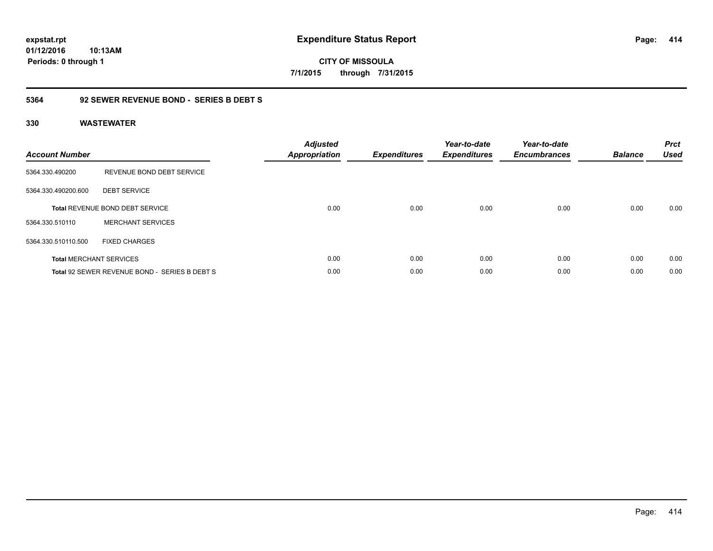**CITY OF MISSOULA 7/1/2015 through 7/31/2015**

### **5364 92 SEWER REVENUE BOND - SERIES B DEBT S**

| <b>Account Number</b> |                                               | <b>Adjusted</b><br><b>Appropriation</b> | <b>Expenditures</b> | Year-to-date<br><b>Expenditures</b> | Year-to-date<br><b>Encumbrances</b> | <b>Balance</b> | <b>Prct</b><br><b>Used</b> |
|-----------------------|-----------------------------------------------|-----------------------------------------|---------------------|-------------------------------------|-------------------------------------|----------------|----------------------------|
| 5364.330.490200       | REVENUE BOND DEBT SERVICE                     |                                         |                     |                                     |                                     |                |                            |
| 5364.330.490200.600   | <b>DEBT SERVICE</b>                           |                                         |                     |                                     |                                     |                |                            |
|                       | <b>Total REVENUE BOND DEBT SERVICE</b>        | 0.00                                    | 0.00                | 0.00                                | 0.00                                | 0.00           | 0.00                       |
| 5364.330.510110       | <b>MERCHANT SERVICES</b>                      |                                         |                     |                                     |                                     |                |                            |
| 5364.330.510110.500   | <b>FIXED CHARGES</b>                          |                                         |                     |                                     |                                     |                |                            |
|                       | <b>Total MERCHANT SERVICES</b>                | 0.00                                    | 0.00                | 0.00                                | 0.00                                | 0.00           | 0.00                       |
|                       | Total 92 SEWER REVENUE BOND - SERIES B DEBT S | 0.00                                    | 0.00                | 0.00                                | 0.00                                | 0.00           | 0.00                       |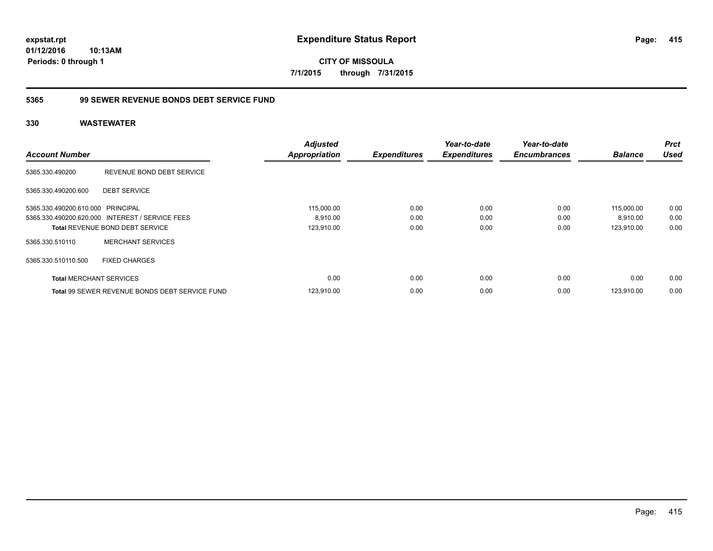**CITY OF MISSOULA 7/1/2015 through 7/31/2015**

### **5365 99 SEWER REVENUE BONDS DEBT SERVICE FUND**

| <b>Account Number</b>             |                                                       | <b>Adjusted</b><br><b>Appropriation</b> | <b>Expenditures</b> | Year-to-date<br><b>Expenditures</b> | Year-to-date<br><b>Encumbrances</b> | <b>Balance</b> | <b>Prct</b><br><b>Used</b> |
|-----------------------------------|-------------------------------------------------------|-----------------------------------------|---------------------|-------------------------------------|-------------------------------------|----------------|----------------------------|
|                                   |                                                       |                                         |                     |                                     |                                     |                |                            |
| 5365.330.490200                   | REVENUE BOND DEBT SERVICE                             |                                         |                     |                                     |                                     |                |                            |
| 5365.330.490200.600               | <b>DEBT SERVICE</b>                                   |                                         |                     |                                     |                                     |                |                            |
| 5365.330.490200.610.000 PRINCIPAL |                                                       | 115,000.00                              | 0.00                | 0.00                                | 0.00                                | 115,000.00     | 0.00                       |
|                                   | 5365.330.490200.620.000 INTEREST / SERVICE FEES       | 8,910.00                                | 0.00                | 0.00                                | 0.00                                | 8,910.00       | 0.00                       |
|                                   | <b>Total REVENUE BOND DEBT SERVICE</b>                | 123,910.00                              | 0.00                | 0.00                                | 0.00                                | 123,910.00     | 0.00                       |
| 5365.330.510110                   | <b>MERCHANT SERVICES</b>                              |                                         |                     |                                     |                                     |                |                            |
| 5365.330.510110.500               | <b>FIXED CHARGES</b>                                  |                                         |                     |                                     |                                     |                |                            |
| <b>Total MERCHANT SERVICES</b>    |                                                       | 0.00                                    | 0.00                | 0.00                                | 0.00                                | 0.00           | 0.00                       |
|                                   | <b>Total 99 SEWER REVENUE BONDS DEBT SERVICE FUND</b> | 123.910.00                              | 0.00                | 0.00                                | 0.00                                | 123.910.00     | 0.00                       |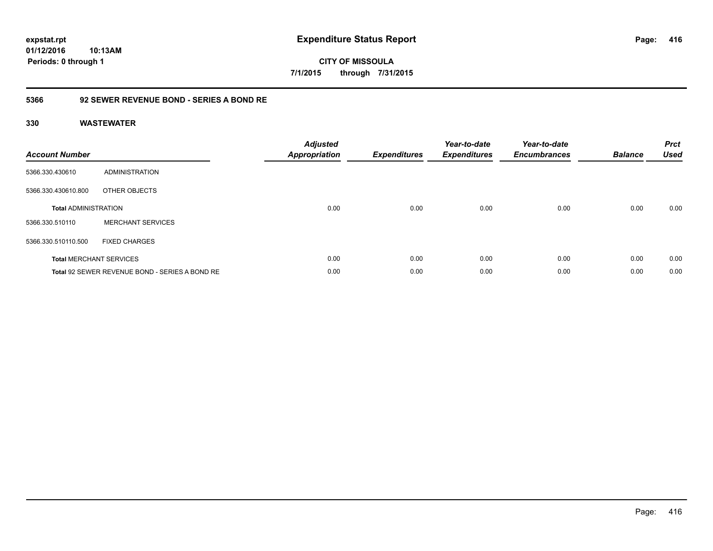**CITY OF MISSOULA 7/1/2015 through 7/31/2015**

### **5366 92 SEWER REVENUE BOND - SERIES A BOND RE**

| <b>Account Number</b>       |                                                | <b>Adjusted</b><br><b>Appropriation</b> | <b>Expenditures</b> | Year-to-date<br><b>Expenditures</b> | Year-to-date<br><b>Encumbrances</b> | <b>Balance</b> | <b>Prct</b><br><b>Used</b> |
|-----------------------------|------------------------------------------------|-----------------------------------------|---------------------|-------------------------------------|-------------------------------------|----------------|----------------------------|
| 5366.330.430610             | ADMINISTRATION                                 |                                         |                     |                                     |                                     |                |                            |
| 5366.330.430610.800         | OTHER OBJECTS                                  |                                         |                     |                                     |                                     |                |                            |
| <b>Total ADMINISTRATION</b> |                                                | 0.00                                    | 0.00                | 0.00                                | 0.00                                | 0.00           | 0.00                       |
| 5366.330.510110             | <b>MERCHANT SERVICES</b>                       |                                         |                     |                                     |                                     |                |                            |
| 5366.330.510110.500         | <b>FIXED CHARGES</b>                           |                                         |                     |                                     |                                     |                |                            |
|                             | <b>Total MERCHANT SERVICES</b>                 | 0.00                                    | 0.00                | 0.00                                | 0.00                                | 0.00           | 0.00                       |
|                             | Total 92 SEWER REVENUE BOND - SERIES A BOND RE | 0.00                                    | 0.00                | 0.00                                | 0.00                                | 0.00           | 0.00                       |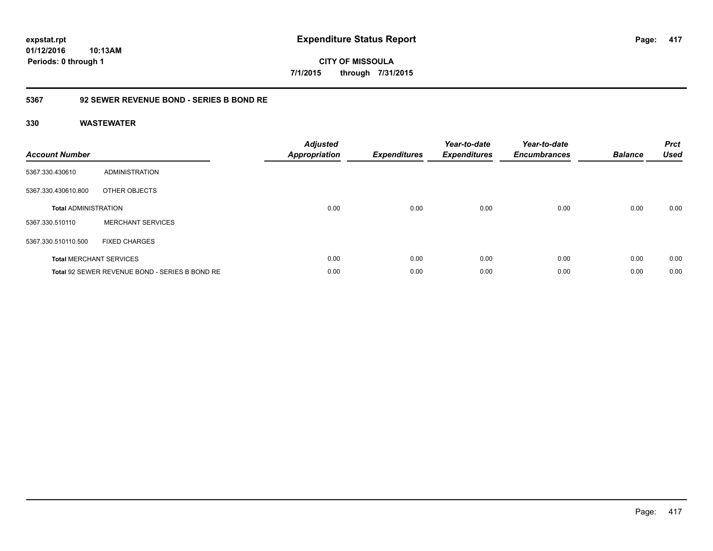**CITY OF MISSOULA 7/1/2015 through 7/31/2015**

### **5367 92 SEWER REVENUE BOND - SERIES B BOND RE**

| <b>Account Number</b>       |                                                | <b>Adjusted</b><br><b>Appropriation</b> | <b>Expenditures</b> | Year-to-date<br><b>Expenditures</b> | Year-to-date<br><b>Encumbrances</b> | <b>Balance</b> | <b>Prct</b><br><b>Used</b> |
|-----------------------------|------------------------------------------------|-----------------------------------------|---------------------|-------------------------------------|-------------------------------------|----------------|----------------------------|
| 5367.330.430610             | ADMINISTRATION                                 |                                         |                     |                                     |                                     |                |                            |
| 5367.330.430610.800         | OTHER OBJECTS                                  |                                         |                     |                                     |                                     |                |                            |
| <b>Total ADMINISTRATION</b> |                                                | 0.00                                    | 0.00                | 0.00                                | 0.00                                | 0.00           | 0.00                       |
| 5367.330.510110             | <b>MERCHANT SERVICES</b>                       |                                         |                     |                                     |                                     |                |                            |
| 5367.330.510110.500         | <b>FIXED CHARGES</b>                           |                                         |                     |                                     |                                     |                |                            |
|                             | <b>Total MERCHANT SERVICES</b>                 | 0.00                                    | 0.00                | 0.00                                | 0.00                                | 0.00           | 0.00                       |
|                             | Total 92 SEWER REVENUE BOND - SERIES B BOND RE | 0.00                                    | 0.00                | 0.00                                | 0.00                                | 0.00           | 0.00                       |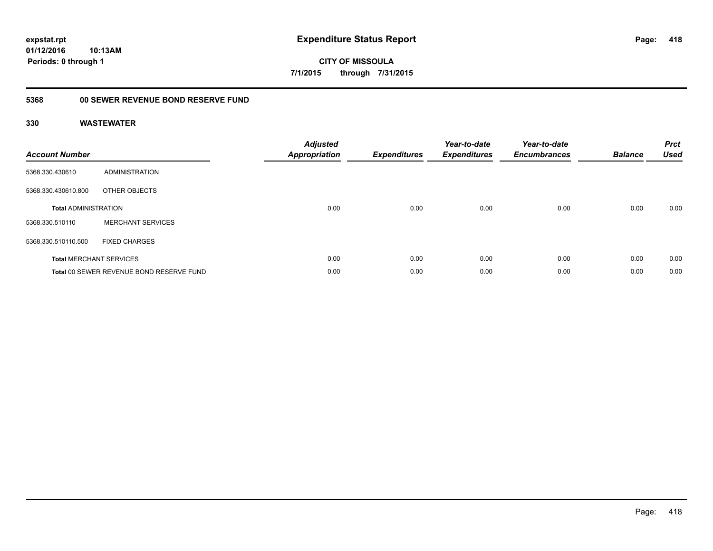**expstat.rpt Expenditure Status Report** 

**01/12/2016 10:13AM Periods: 0 through 1**

**CITY OF MISSOULA 7/1/2015 through 7/31/2015**

## **5368 00 SEWER REVENUE BOND RESERVE FUND**

| <b>Account Number</b>       |                                          | <b>Adjusted</b><br>Appropriation | <b>Expenditures</b> | Year-to-date<br><b>Expenditures</b> | Year-to-date<br><b>Encumbrances</b> | <b>Balance</b> | <b>Prct</b><br><b>Used</b> |
|-----------------------------|------------------------------------------|----------------------------------|---------------------|-------------------------------------|-------------------------------------|----------------|----------------------------|
| 5368.330.430610             | ADMINISTRATION                           |                                  |                     |                                     |                                     |                |                            |
| 5368.330.430610.800         | OTHER OBJECTS                            |                                  |                     |                                     |                                     |                |                            |
| <b>Total ADMINISTRATION</b> |                                          | 0.00                             | 0.00                | 0.00                                | 0.00                                | 0.00           | 0.00                       |
| 5368.330.510110             | <b>MERCHANT SERVICES</b>                 |                                  |                     |                                     |                                     |                |                            |
| 5368.330.510110.500         | <b>FIXED CHARGES</b>                     |                                  |                     |                                     |                                     |                |                            |
|                             | <b>Total MERCHANT SERVICES</b>           | 0.00                             | 0.00                | 0.00                                | 0.00                                | 0.00           | 0.00                       |
|                             | Total 00 SEWER REVENUE BOND RESERVE FUND | 0.00                             | 0.00                | 0.00                                | 0.00                                | 0.00           | 0.00                       |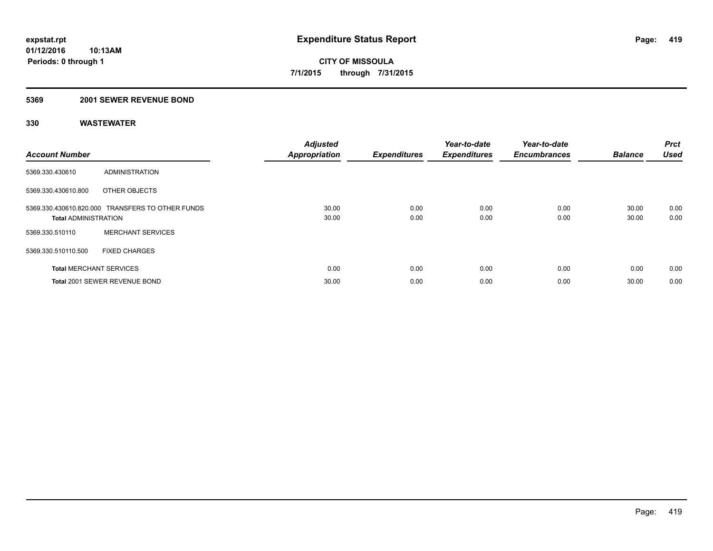### **5369 2001 SEWER REVENUE BOND**

| <b>Account Number</b>          |                                                  | <b>Adjusted</b><br><b>Appropriation</b> | <b>Expenditures</b> | Year-to-date<br><b>Expenditures</b> | Year-to-date<br><b>Encumbrances</b> | <b>Balance</b> | Prct<br><b>Used</b> |
|--------------------------------|--------------------------------------------------|-----------------------------------------|---------------------|-------------------------------------|-------------------------------------|----------------|---------------------|
| 5369.330.430610                | ADMINISTRATION                                   |                                         |                     |                                     |                                     |                |                     |
| 5369.330.430610.800            | OTHER OBJECTS                                    |                                         |                     |                                     |                                     |                |                     |
| <b>Total ADMINISTRATION</b>    | 5369.330.430610.820.000 TRANSFERS TO OTHER FUNDS | 30.00<br>30.00                          | 0.00<br>0.00        | 0.00<br>0.00                        | 0.00<br>0.00                        | 30.00<br>30.00 | 0.00<br>0.00        |
| 5369.330.510110                | <b>MERCHANT SERVICES</b>                         |                                         |                     |                                     |                                     |                |                     |
| 5369.330.510110.500            | <b>FIXED CHARGES</b>                             |                                         |                     |                                     |                                     |                |                     |
| <b>Total MERCHANT SERVICES</b> |                                                  | 0.00                                    | 0.00                | 0.00                                | 0.00                                | 0.00           | 0.00                |
|                                | Total 2001 SEWER REVENUE BOND                    | 30.00                                   | 0.00                | 0.00                                | 0.00                                | 30.00          | 0.00                |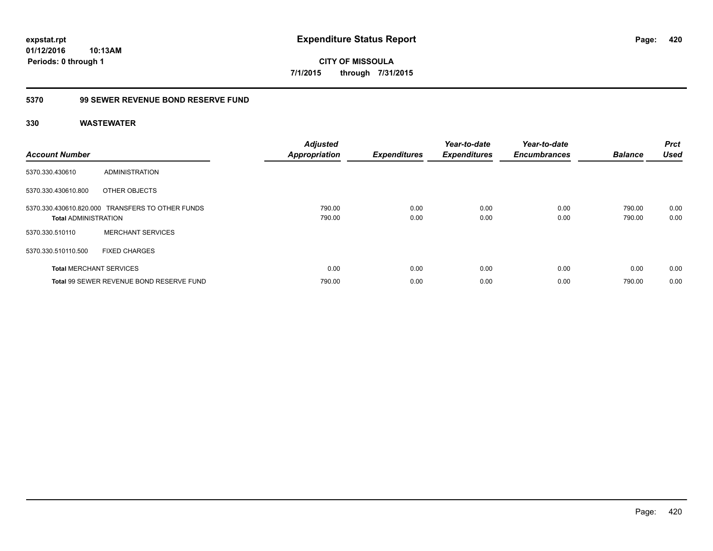**CITY OF MISSOULA 7/1/2015 through 7/31/2015**

### **5370 99 SEWER REVENUE BOND RESERVE FUND**

| <b>Account Number</b>          |                                                  | <b>Adjusted</b><br><b>Appropriation</b> | <b>Expenditures</b> | Year-to-date<br><b>Expenditures</b> | Year-to-date<br><b>Encumbrances</b> | <b>Balance</b>   | <b>Prct</b><br><b>Used</b> |
|--------------------------------|--------------------------------------------------|-----------------------------------------|---------------------|-------------------------------------|-------------------------------------|------------------|----------------------------|
| 5370.330.430610                | ADMINISTRATION                                   |                                         |                     |                                     |                                     |                  |                            |
| 5370.330.430610.800            | OTHER OBJECTS                                    |                                         |                     |                                     |                                     |                  |                            |
| <b>Total ADMINISTRATION</b>    | 5370.330.430610.820.000 TRANSFERS TO OTHER FUNDS | 790.00<br>790.00                        | 0.00<br>0.00        | 0.00<br>0.00                        | 0.00<br>0.00                        | 790.00<br>790.00 | 0.00<br>0.00               |
| 5370.330.510110                | <b>MERCHANT SERVICES</b>                         |                                         |                     |                                     |                                     |                  |                            |
| 5370.330.510110.500            | <b>FIXED CHARGES</b>                             |                                         |                     |                                     |                                     |                  |                            |
| <b>Total MERCHANT SERVICES</b> |                                                  | 0.00                                    | 0.00                | 0.00                                | 0.00                                | 0.00             | 0.00                       |
|                                | Total 99 SEWER REVENUE BOND RESERVE FUND         | 790.00                                  | 0.00                | 0.00                                | 0.00                                | 790.00           | 0.00                       |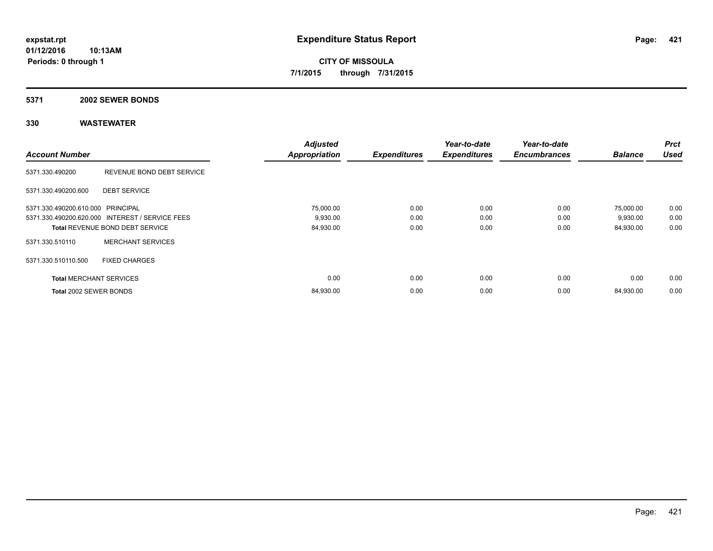## **5371 2002 SEWER BONDS**

|                                   |                                                 | <b>Adjusted</b>      |                     | Year-to-date        | Year-to-date        |                | <b>Prct</b> |
|-----------------------------------|-------------------------------------------------|----------------------|---------------------|---------------------|---------------------|----------------|-------------|
| <b>Account Number</b>             |                                                 | <b>Appropriation</b> | <b>Expenditures</b> | <b>Expenditures</b> | <b>Encumbrances</b> | <b>Balance</b> | <b>Used</b> |
| 5371.330.490200                   | REVENUE BOND DEBT SERVICE                       |                      |                     |                     |                     |                |             |
| 5371.330.490200.600               | <b>DEBT SERVICE</b>                             |                      |                     |                     |                     |                |             |
| 5371.330.490200.610.000 PRINCIPAL |                                                 | 75,000.00            | 0.00                | 0.00                | 0.00                | 75,000.00      | 0.00        |
|                                   | 5371.330.490200.620.000 INTEREST / SERVICE FEES | 9,930.00             | 0.00                | 0.00                | 0.00                | 9,930.00       | 0.00        |
|                                   | <b>Total REVENUE BOND DEBT SERVICE</b>          | 84,930.00            | 0.00                | 0.00                | 0.00                | 84,930.00      | 0.00        |
| 5371.330.510110                   | <b>MERCHANT SERVICES</b>                        |                      |                     |                     |                     |                |             |
| 5371.330.510110.500               | <b>FIXED CHARGES</b>                            |                      |                     |                     |                     |                |             |
| <b>Total MERCHANT SERVICES</b>    |                                                 | 0.00                 | 0.00                | 0.00                | 0.00                | 0.00           | 0.00        |
| Total 2002 SEWER BONDS            |                                                 | 84,930.00            | 0.00                | 0.00                | 0.00                | 84,930.00      | 0.00        |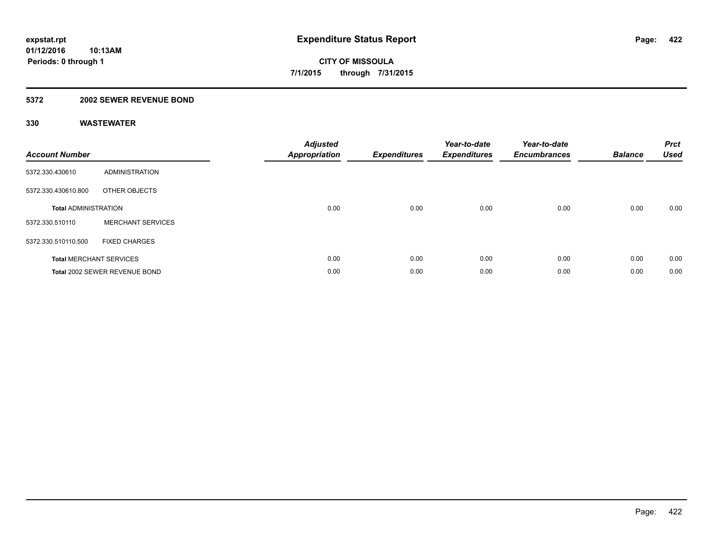### **5372 2002 SEWER REVENUE BOND**

| <b>Account Number</b>       |                                | <b>Adjusted</b><br><b>Appropriation</b> | <b>Expenditures</b> | Year-to-date<br><b>Expenditures</b> | Year-to-date<br><b>Encumbrances</b> | <b>Balance</b> | <b>Prct</b><br><b>Used</b> |
|-----------------------------|--------------------------------|-----------------------------------------|---------------------|-------------------------------------|-------------------------------------|----------------|----------------------------|
| 5372.330.430610             | <b>ADMINISTRATION</b>          |                                         |                     |                                     |                                     |                |                            |
| 5372.330.430610.800         | OTHER OBJECTS                  |                                         |                     |                                     |                                     |                |                            |
| <b>Total ADMINISTRATION</b> |                                | 0.00                                    | 0.00                | 0.00                                | 0.00                                | 0.00           | 0.00                       |
| 5372.330.510110             | <b>MERCHANT SERVICES</b>       |                                         |                     |                                     |                                     |                |                            |
| 5372.330.510110.500         | <b>FIXED CHARGES</b>           |                                         |                     |                                     |                                     |                |                            |
|                             | <b>Total MERCHANT SERVICES</b> | 0.00                                    | 0.00                | 0.00                                | 0.00                                | 0.00           | 0.00                       |
|                             | Total 2002 SEWER REVENUE BOND  | 0.00                                    | 0.00                | 0.00                                | 0.00                                | 0.00           | 0.00                       |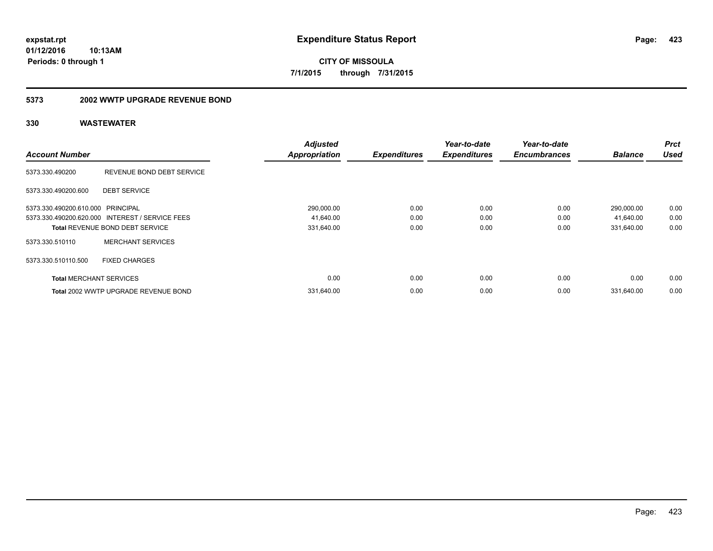**CITY OF MISSOULA 7/1/2015 through 7/31/2015**

### **5373 2002 WWTP UPGRADE REVENUE BOND**

|                                   |                                                 | <b>Adjusted</b>      |                     | Year-to-date        | Year-to-date        |                | <b>Prct</b> |
|-----------------------------------|-------------------------------------------------|----------------------|---------------------|---------------------|---------------------|----------------|-------------|
| <b>Account Number</b>             |                                                 | <b>Appropriation</b> | <b>Expenditures</b> | <b>Expenditures</b> | <b>Encumbrances</b> | <b>Balance</b> | <b>Used</b> |
| 5373.330.490200                   | REVENUE BOND DEBT SERVICE                       |                      |                     |                     |                     |                |             |
| 5373.330.490200.600               | <b>DEBT SERVICE</b>                             |                      |                     |                     |                     |                |             |
| 5373.330.490200.610.000 PRINCIPAL |                                                 | 290,000.00           | 0.00                | 0.00                | 0.00                | 290,000.00     | 0.00        |
|                                   | 5373.330.490200.620.000 INTEREST / SERVICE FEES | 41,640.00            | 0.00                | 0.00                | 0.00                | 41,640.00      | 0.00        |
|                                   | <b>Total REVENUE BOND DEBT SERVICE</b>          | 331,640.00           | 0.00                | 0.00                | 0.00                | 331,640.00     | 0.00        |
| 5373.330.510110                   | <b>MERCHANT SERVICES</b>                        |                      |                     |                     |                     |                |             |
| 5373.330.510110.500               | <b>FIXED CHARGES</b>                            |                      |                     |                     |                     |                |             |
| <b>Total MERCHANT SERVICES</b>    |                                                 | 0.00                 | 0.00                | 0.00                | 0.00                | 0.00           | 0.00        |
|                                   | Total 2002 WWTP UPGRADE REVENUE BOND            | 331.640.00           | 0.00                | 0.00                | 0.00                | 331.640.00     | 0.00        |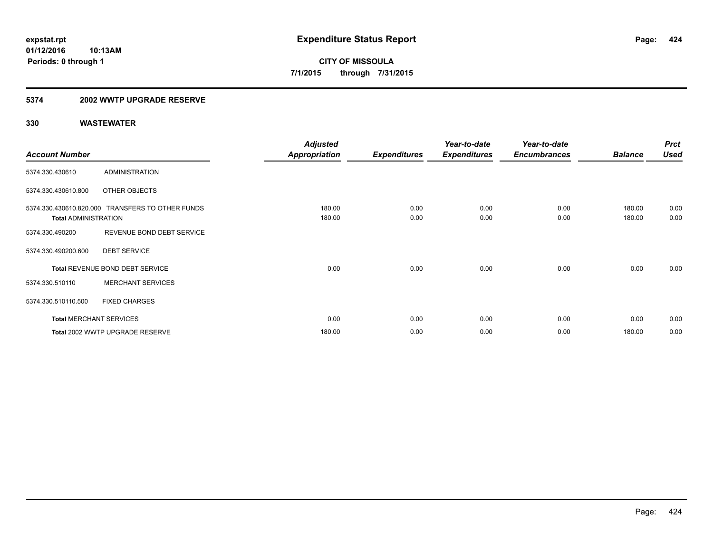### **5374 2002 WWTP UPGRADE RESERVE**

|                             |                                                  | <b>Adjusted</b>      |                     | Year-to-date        | Year-to-date        |                | <b>Prct</b> |
|-----------------------------|--------------------------------------------------|----------------------|---------------------|---------------------|---------------------|----------------|-------------|
| <b>Account Number</b>       |                                                  | <b>Appropriation</b> | <b>Expenditures</b> | <b>Expenditures</b> | <b>Encumbrances</b> | <b>Balance</b> | <b>Used</b> |
| 5374.330.430610             | <b>ADMINISTRATION</b>                            |                      |                     |                     |                     |                |             |
| 5374.330.430610.800         | OTHER OBJECTS                                    |                      |                     |                     |                     |                |             |
|                             | 5374.330.430610.820.000 TRANSFERS TO OTHER FUNDS | 180.00               | 0.00                | 0.00                | 0.00                | 180.00         | 0.00        |
| <b>Total ADMINISTRATION</b> |                                                  | 180.00               | 0.00                | 0.00                | 0.00                | 180.00         | 0.00        |
| 5374.330.490200             | REVENUE BOND DEBT SERVICE                        |                      |                     |                     |                     |                |             |
| 5374.330.490200.600         | <b>DEBT SERVICE</b>                              |                      |                     |                     |                     |                |             |
|                             | Total REVENUE BOND DEBT SERVICE                  | 0.00                 | 0.00                | 0.00                | 0.00                | 0.00           | 0.00        |
| 5374.330.510110             | <b>MERCHANT SERVICES</b>                         |                      |                     |                     |                     |                |             |
| 5374.330.510110.500         | <b>FIXED CHARGES</b>                             |                      |                     |                     |                     |                |             |
|                             | <b>Total MERCHANT SERVICES</b>                   | 0.00                 | 0.00                | 0.00                | 0.00                | 0.00           | 0.00        |
|                             | Total 2002 WWTP UPGRADE RESERVE                  | 180.00               | 0.00                | 0.00                | 0.00                | 180.00         | 0.00        |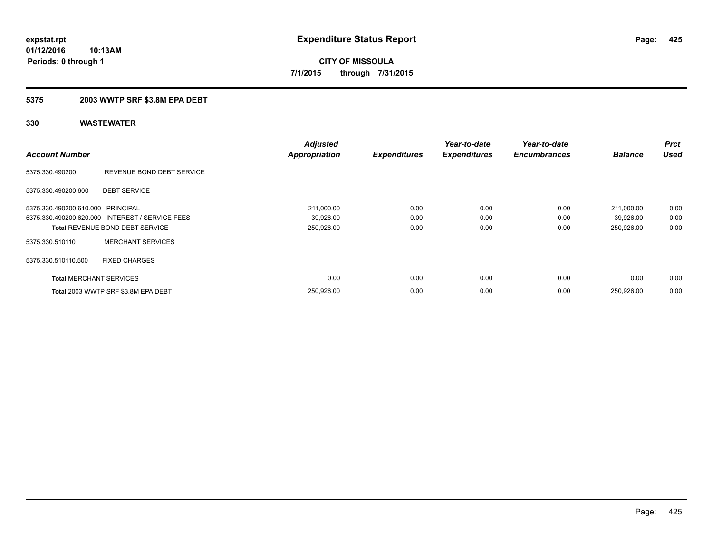### **5375 2003 WWTP SRF \$3.8M EPA DEBT**

| <b>Account Number</b>             |                                                 | <b>Adjusted</b><br><b>Appropriation</b> | <b>Expenditures</b> | Year-to-date<br><b>Expenditures</b> | Year-to-date<br><b>Encumbrances</b> | <b>Balance</b> | <b>Prct</b><br><b>Used</b> |
|-----------------------------------|-------------------------------------------------|-----------------------------------------|---------------------|-------------------------------------|-------------------------------------|----------------|----------------------------|
|                                   |                                                 |                                         |                     |                                     |                                     |                |                            |
| 5375.330.490200                   | REVENUE BOND DEBT SERVICE                       |                                         |                     |                                     |                                     |                |                            |
| 5375.330.490200.600               | <b>DEBT SERVICE</b>                             |                                         |                     |                                     |                                     |                |                            |
| 5375.330.490200.610.000 PRINCIPAL |                                                 | 211,000.00                              | 0.00                | 0.00                                | 0.00                                | 211,000.00     | 0.00                       |
|                                   | 5375.330.490200.620.000 INTEREST / SERVICE FEES | 39,926.00                               | 0.00                | 0.00                                | 0.00                                | 39,926.00      | 0.00                       |
|                                   | <b>Total REVENUE BOND DEBT SERVICE</b>          | 250,926.00                              | 0.00                | 0.00                                | 0.00                                | 250,926.00     | 0.00                       |
| 5375.330.510110                   | <b>MERCHANT SERVICES</b>                        |                                         |                     |                                     |                                     |                |                            |
| 5375.330.510110.500               | <b>FIXED CHARGES</b>                            |                                         |                     |                                     |                                     |                |                            |
| <b>Total MERCHANT SERVICES</b>    |                                                 | 0.00                                    | 0.00                | 0.00                                | 0.00                                | 0.00           | 0.00                       |
|                                   | Total 2003 WWTP SRF \$3.8M EPA DEBT             | 250,926.00                              | 0.00                | 0.00                                | 0.00                                | 250.926.00     | 0.00                       |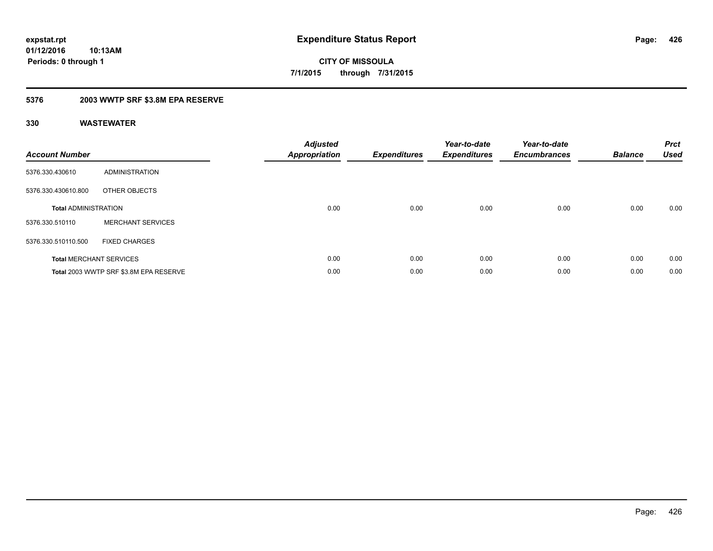**426**

**01/12/2016 10:13AM Periods: 0 through 1**

**CITY OF MISSOULA 7/1/2015 through 7/31/2015**

### **5376 2003 WWTP SRF \$3.8M EPA RESERVE**

| <b>Account Number</b>       |                                        | <b>Adjusted</b><br><b>Appropriation</b> | <b>Expenditures</b> | Year-to-date<br><b>Expenditures</b> | Year-to-date<br><b>Encumbrances</b> | <b>Balance</b> | <b>Prct</b><br><b>Used</b> |
|-----------------------------|----------------------------------------|-----------------------------------------|---------------------|-------------------------------------|-------------------------------------|----------------|----------------------------|
| 5376.330.430610             | ADMINISTRATION                         |                                         |                     |                                     |                                     |                |                            |
| 5376.330.430610.800         | OTHER OBJECTS                          |                                         |                     |                                     |                                     |                |                            |
| <b>Total ADMINISTRATION</b> |                                        | 0.00                                    | 0.00                | 0.00                                | 0.00                                | 0.00           | 0.00                       |
| 5376.330.510110             | <b>MERCHANT SERVICES</b>               |                                         |                     |                                     |                                     |                |                            |
| 5376.330.510110.500         | <b>FIXED CHARGES</b>                   |                                         |                     |                                     |                                     |                |                            |
|                             | <b>Total MERCHANT SERVICES</b>         | 0.00                                    | 0.00                | 0.00                                | 0.00                                | 0.00           | 0.00                       |
|                             | Total 2003 WWTP SRF \$3.8M EPA RESERVE | 0.00                                    | 0.00                | 0.00                                | 0.00                                | 0.00           | 0.00                       |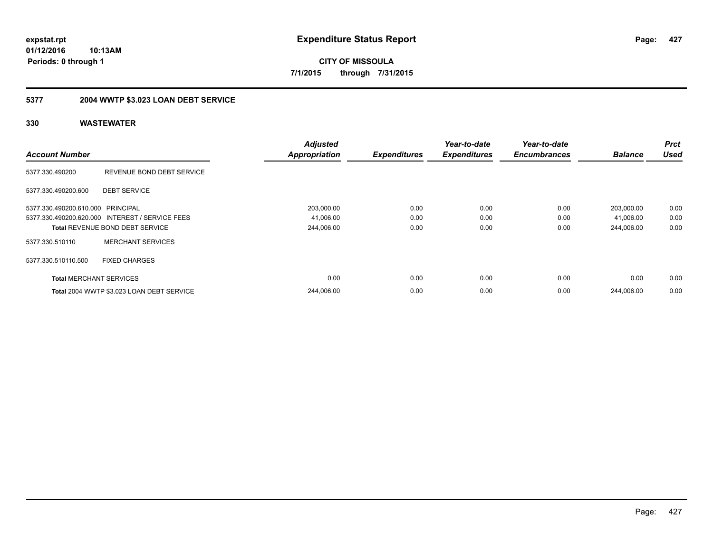**CITY OF MISSOULA 7/1/2015 through 7/31/2015**

## **5377 2004 WWTP \$3.023 LOAN DEBT SERVICE**

|                                   |                                                 | <b>Adjusted</b>      |                     | Year-to-date        | Year-to-date        |                | <b>Prct</b> |
|-----------------------------------|-------------------------------------------------|----------------------|---------------------|---------------------|---------------------|----------------|-------------|
| <b>Account Number</b>             |                                                 | <b>Appropriation</b> | <b>Expenditures</b> | <b>Expenditures</b> | <b>Encumbrances</b> | <b>Balance</b> | <b>Used</b> |
| 5377.330.490200                   | REVENUE BOND DEBT SERVICE                       |                      |                     |                     |                     |                |             |
| 5377.330.490200.600               | <b>DEBT SERVICE</b>                             |                      |                     |                     |                     |                |             |
| 5377.330.490200.610.000 PRINCIPAL |                                                 | 203,000.00           | 0.00                | 0.00                | 0.00                | 203,000.00     | 0.00        |
|                                   | 5377.330.490200.620.000 INTEREST / SERVICE FEES | 41,006.00            | 0.00                | 0.00                | 0.00                | 41,006.00      | 0.00        |
|                                   | <b>Total REVENUE BOND DEBT SERVICE</b>          | 244,006.00           | 0.00                | 0.00                | 0.00                | 244.006.00     | 0.00        |
| 5377.330.510110                   | <b>MERCHANT SERVICES</b>                        |                      |                     |                     |                     |                |             |
| 5377.330.510110.500               | <b>FIXED CHARGES</b>                            |                      |                     |                     |                     |                |             |
| <b>Total MERCHANT SERVICES</b>    |                                                 | 0.00                 | 0.00                | 0.00                | 0.00                | 0.00           | 0.00        |
|                                   | Total 2004 WWTP \$3.023 LOAN DEBT SERVICE       | 244.006.00           | 0.00                | 0.00                | 0.00                | 244.006.00     | 0.00        |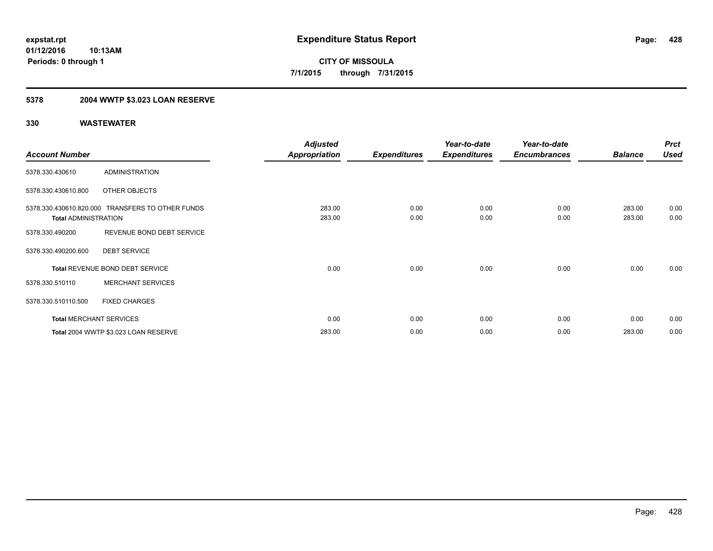## **5378 2004 WWTP \$3.023 LOAN RESERVE**

|                             |                                                  | <b>Adjusted</b>      |                     | Year-to-date        | Year-to-date        |                | <b>Prct</b> |
|-----------------------------|--------------------------------------------------|----------------------|---------------------|---------------------|---------------------|----------------|-------------|
| <b>Account Number</b>       |                                                  | <b>Appropriation</b> | <b>Expenditures</b> | <b>Expenditures</b> | <b>Encumbrances</b> | <b>Balance</b> | <b>Used</b> |
| 5378.330.430610             | <b>ADMINISTRATION</b>                            |                      |                     |                     |                     |                |             |
| 5378.330.430610.800         | OTHER OBJECTS                                    |                      |                     |                     |                     |                |             |
|                             | 5378.330.430610.820.000 TRANSFERS TO OTHER FUNDS | 283.00               | 0.00                | 0.00                | 0.00                | 283.00         | 0.00        |
| <b>Total ADMINISTRATION</b> |                                                  | 283.00               | 0.00                | 0.00                | 0.00                | 283.00         | 0.00        |
| 5378.330.490200             | REVENUE BOND DEBT SERVICE                        |                      |                     |                     |                     |                |             |
| 5378.330.490200.600         | <b>DEBT SERVICE</b>                              |                      |                     |                     |                     |                |             |
|                             | Total REVENUE BOND DEBT SERVICE                  | 0.00                 | 0.00                | 0.00                | 0.00                | 0.00           | 0.00        |
| 5378.330.510110             | <b>MERCHANT SERVICES</b>                         |                      |                     |                     |                     |                |             |
| 5378.330.510110.500         | <b>FIXED CHARGES</b>                             |                      |                     |                     |                     |                |             |
|                             | <b>Total MERCHANT SERVICES</b>                   | 0.00                 | 0.00                | 0.00                | 0.00                | 0.00           | 0.00        |
|                             | Total 2004 WWTP \$3.023 LOAN RESERVE             | 283.00               | 0.00                | 0.00                | 0.00                | 283.00         | 0.00        |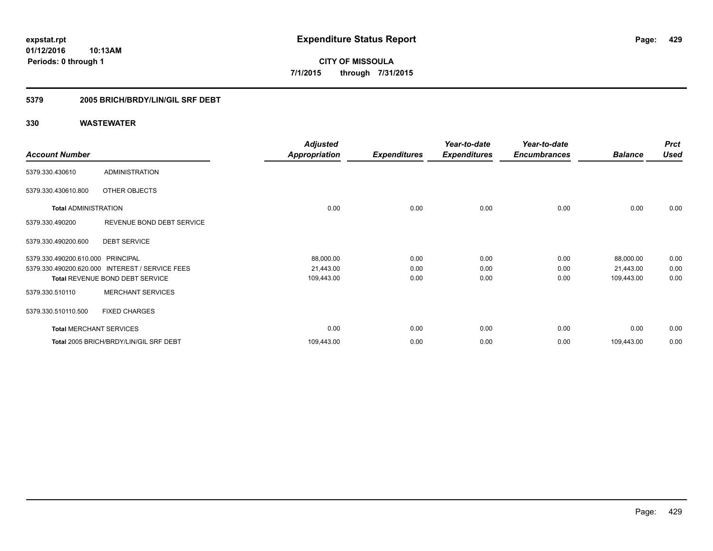**429**

**01/12/2016 10:13AM Periods: 0 through 1**

**CITY OF MISSOULA 7/1/2015 through 7/31/2015**

### **5379 2005 BRICH/BRDY/LIN/GIL SRF DEBT**

|                                   |                                        | <b>Adjusted</b>      |                     | Year-to-date        | Year-to-date        |                | <b>Prct</b> |
|-----------------------------------|----------------------------------------|----------------------|---------------------|---------------------|---------------------|----------------|-------------|
| <b>Account Number</b>             |                                        | <b>Appropriation</b> | <b>Expenditures</b> | <b>Expenditures</b> | <b>Encumbrances</b> | <b>Balance</b> | <b>Used</b> |
| 5379.330.430610                   | <b>ADMINISTRATION</b>                  |                      |                     |                     |                     |                |             |
| 5379.330.430610.800               | OTHER OBJECTS                          |                      |                     |                     |                     |                |             |
| <b>Total ADMINISTRATION</b>       |                                        | 0.00                 | 0.00                | 0.00                | 0.00                | 0.00           | 0.00        |
| 5379.330.490200                   | REVENUE BOND DEBT SERVICE              |                      |                     |                     |                     |                |             |
| 5379.330.490200.600               | <b>DEBT SERVICE</b>                    |                      |                     |                     |                     |                |             |
| 5379.330.490200.610.000 PRINCIPAL |                                        | 88,000.00            | 0.00                | 0.00                | 0.00                | 88,000.00      | 0.00        |
| 5379.330.490200.620.000           | <b>INTEREST / SERVICE FEES</b>         | 21,443.00            | 0.00                | 0.00                | 0.00                | 21,443.00      | 0.00        |
|                                   | Total REVENUE BOND DEBT SERVICE        | 109,443.00           | 0.00                | 0.00                | 0.00                | 109,443.00     | 0.00        |
| 5379.330.510110                   | <b>MERCHANT SERVICES</b>               |                      |                     |                     |                     |                |             |
| 5379.330.510110.500               | <b>FIXED CHARGES</b>                   |                      |                     |                     |                     |                |             |
| <b>Total MERCHANT SERVICES</b>    |                                        | 0.00                 | 0.00                | 0.00                | 0.00                | 0.00           | 0.00        |
|                                   | Total 2005 BRICH/BRDY/LIN/GIL SRF DEBT | 109,443.00           | 0.00                | 0.00                | 0.00                | 109,443.00     | 0.00        |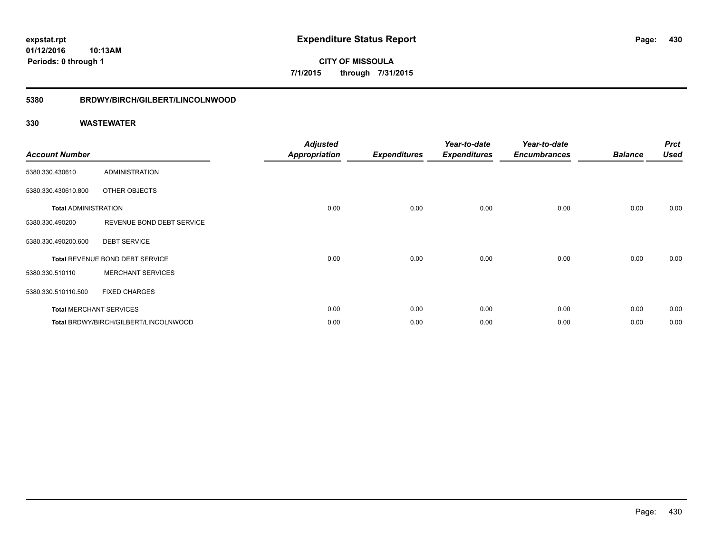**CITY OF MISSOULA 7/1/2015 through 7/31/2015**

### **5380 BRDWY/BIRCH/GILBERT/LINCOLNWOOD**

| <b>Account Number</b>       |                                       | <b>Adjusted</b><br><b>Appropriation</b> | <b>Expenditures</b> | Year-to-date<br><b>Expenditures</b> | Year-to-date<br><b>Encumbrances</b> | <b>Balance</b> | <b>Prct</b><br><b>Used</b> |
|-----------------------------|---------------------------------------|-----------------------------------------|---------------------|-------------------------------------|-------------------------------------|----------------|----------------------------|
| 5380.330.430610             | <b>ADMINISTRATION</b>                 |                                         |                     |                                     |                                     |                |                            |
| 5380.330.430610.800         | OTHER OBJECTS                         |                                         |                     |                                     |                                     |                |                            |
| <b>Total ADMINISTRATION</b> |                                       | 0.00                                    | 0.00                | 0.00                                | 0.00                                | 0.00           | 0.00                       |
| 5380.330.490200             | REVENUE BOND DEBT SERVICE             |                                         |                     |                                     |                                     |                |                            |
| 5380.330.490200.600         | <b>DEBT SERVICE</b>                   |                                         |                     |                                     |                                     |                |                            |
|                             | Total REVENUE BOND DEBT SERVICE       | 0.00                                    | 0.00                | 0.00                                | 0.00                                | 0.00           | 0.00                       |
| 5380.330.510110             | <b>MERCHANT SERVICES</b>              |                                         |                     |                                     |                                     |                |                            |
| 5380.330.510110.500         | <b>FIXED CHARGES</b>                  |                                         |                     |                                     |                                     |                |                            |
|                             | <b>Total MERCHANT SERVICES</b>        | 0.00                                    | 0.00                | 0.00                                | 0.00                                | 0.00           | 0.00                       |
|                             | Total BRDWY/BIRCH/GILBERT/LINCOLNWOOD | 0.00                                    | 0.00                | 0.00                                | 0.00                                | 0.00           | 0.00                       |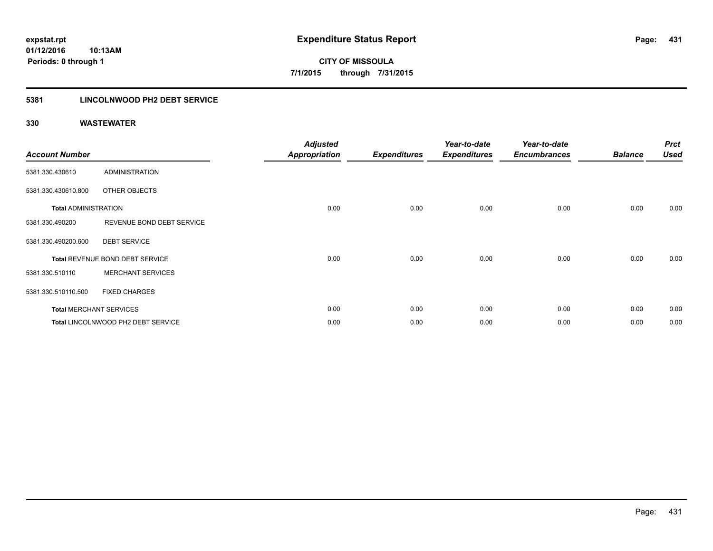### **5381 LINCOLNWOOD PH2 DEBT SERVICE**

| <b>Account Number</b>       |                                    | <b>Adjusted</b><br><b>Appropriation</b> | <b>Expenditures</b> | Year-to-date<br><b>Expenditures</b> | Year-to-date<br><b>Encumbrances</b> | <b>Balance</b> | <b>Prct</b><br><b>Used</b> |
|-----------------------------|------------------------------------|-----------------------------------------|---------------------|-------------------------------------|-------------------------------------|----------------|----------------------------|
| 5381.330.430610             | <b>ADMINISTRATION</b>              |                                         |                     |                                     |                                     |                |                            |
| 5381.330.430610.800         | OTHER OBJECTS                      |                                         |                     |                                     |                                     |                |                            |
| <b>Total ADMINISTRATION</b> |                                    | 0.00                                    | 0.00                | 0.00                                | 0.00                                | 0.00           | 0.00                       |
| 5381.330.490200             | REVENUE BOND DEBT SERVICE          |                                         |                     |                                     |                                     |                |                            |
| 5381.330.490200.600         | <b>DEBT SERVICE</b>                |                                         |                     |                                     |                                     |                |                            |
|                             | Total REVENUE BOND DEBT SERVICE    | 0.00                                    | 0.00                | 0.00                                | 0.00                                | 0.00           | 0.00                       |
| 5381.330.510110             | <b>MERCHANT SERVICES</b>           |                                         |                     |                                     |                                     |                |                            |
| 5381.330.510110.500         | <b>FIXED CHARGES</b>               |                                         |                     |                                     |                                     |                |                            |
|                             | <b>Total MERCHANT SERVICES</b>     | 0.00                                    | 0.00                | 0.00                                | 0.00                                | 0.00           | 0.00                       |
|                             | Total LINCOLNWOOD PH2 DEBT SERVICE | 0.00                                    | 0.00                | 0.00                                | 0.00                                | 0.00           | 0.00                       |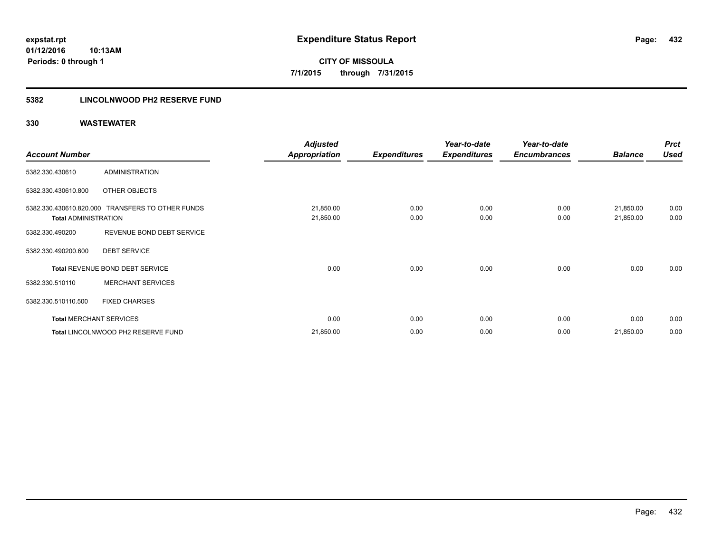**CITY OF MISSOULA 7/1/2015 through 7/31/2015**

### **5382 LINCOLNWOOD PH2 RESERVE FUND**

|                                |                                                  | <b>Adjusted</b>        |                     | Year-to-date        | Year-to-date        |                        | <b>Prct</b>  |
|--------------------------------|--------------------------------------------------|------------------------|---------------------|---------------------|---------------------|------------------------|--------------|
| <b>Account Number</b>          |                                                  | Appropriation          | <b>Expenditures</b> | <b>Expenditures</b> | <b>Encumbrances</b> | <b>Balance</b>         | <b>Used</b>  |
| 5382.330.430610                | ADMINISTRATION                                   |                        |                     |                     |                     |                        |              |
| 5382.330.430610.800            | OTHER OBJECTS                                    |                        |                     |                     |                     |                        |              |
| <b>Total ADMINISTRATION</b>    | 5382.330.430610.820.000 TRANSFERS TO OTHER FUNDS | 21,850.00<br>21,850.00 | 0.00<br>0.00        | 0.00<br>0.00        | 0.00<br>0.00        | 21,850.00<br>21,850.00 | 0.00<br>0.00 |
| 5382.330.490200                | REVENUE BOND DEBT SERVICE                        |                        |                     |                     |                     |                        |              |
| 5382.330.490200.600            | <b>DEBT SERVICE</b>                              |                        |                     |                     |                     |                        |              |
|                                | Total REVENUE BOND DEBT SERVICE                  | 0.00                   | 0.00                | 0.00                | 0.00                | 0.00                   | 0.00         |
| 5382.330.510110                | <b>MERCHANT SERVICES</b>                         |                        |                     |                     |                     |                        |              |
| 5382.330.510110.500            | <b>FIXED CHARGES</b>                             |                        |                     |                     |                     |                        |              |
| <b>Total MERCHANT SERVICES</b> |                                                  | 0.00                   | 0.00                | 0.00                | 0.00                | 0.00                   | 0.00         |
|                                | Total LINCOLNWOOD PH2 RESERVE FUND               | 21,850.00              | 0.00                | 0.00                | 0.00                | 21,850.00              | 0.00         |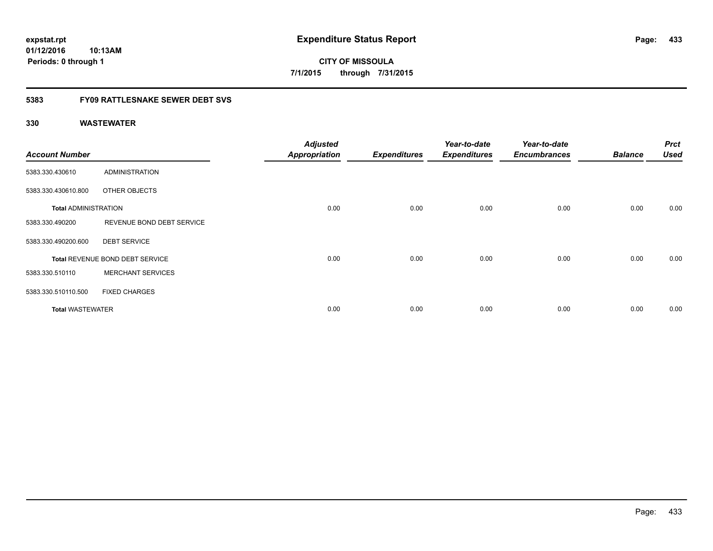**CITY OF MISSOULA 7/1/2015 through 7/31/2015**

## **5383 FY09 RATTLESNAKE SEWER DEBT SVS**

| <b>Account Number</b>       |                                 | <b>Adjusted</b><br><b>Appropriation</b> | <b>Expenditures</b> | Year-to-date<br><b>Expenditures</b> | Year-to-date<br><b>Encumbrances</b> | <b>Balance</b> | <b>Prct</b><br><b>Used</b> |
|-----------------------------|---------------------------------|-----------------------------------------|---------------------|-------------------------------------|-------------------------------------|----------------|----------------------------|
| 5383.330.430610             | <b>ADMINISTRATION</b>           |                                         |                     |                                     |                                     |                |                            |
| 5383.330.430610.800         | OTHER OBJECTS                   |                                         |                     |                                     |                                     |                |                            |
| <b>Total ADMINISTRATION</b> |                                 | 0.00                                    | 0.00                | 0.00                                | 0.00                                | 0.00           | 0.00                       |
| 5383.330.490200             | REVENUE BOND DEBT SERVICE       |                                         |                     |                                     |                                     |                |                            |
| 5383.330.490200.600         | <b>DEBT SERVICE</b>             |                                         |                     |                                     |                                     |                |                            |
|                             | Total REVENUE BOND DEBT SERVICE | 0.00                                    | 0.00                | 0.00                                | 0.00                                | 0.00           | 0.00                       |
| 5383.330.510110             | <b>MERCHANT SERVICES</b>        |                                         |                     |                                     |                                     |                |                            |
| 5383.330.510110.500         | <b>FIXED CHARGES</b>            |                                         |                     |                                     |                                     |                |                            |
| <b>Total WASTEWATER</b>     |                                 | 0.00                                    | 0.00                | 0.00                                | 0.00                                | 0.00           | 0.00                       |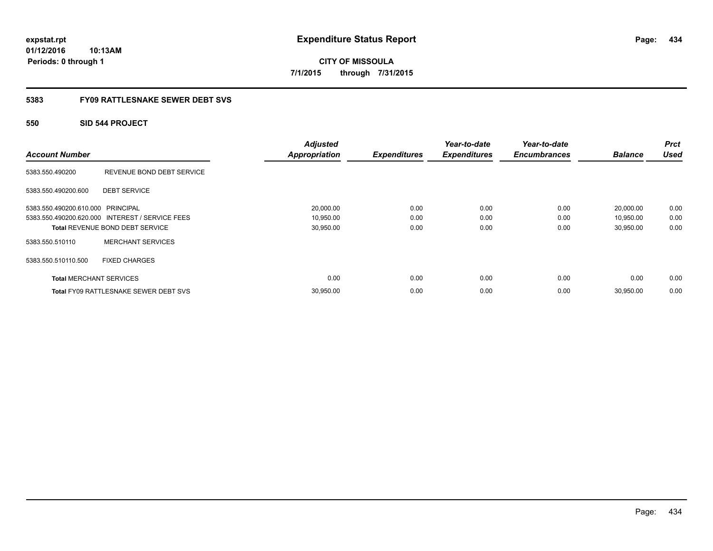**CITY OF MISSOULA 7/1/2015 through 7/31/2015**

## **5383 FY09 RATTLESNAKE SEWER DEBT SVS**

## **550 SID 544 PROJECT**

| <b>Account Number</b>             |                                                 | <b>Adjusted</b><br><b>Appropriation</b> | <b>Expenditures</b> | Year-to-date<br><b>Expenditures</b> | Year-to-date<br><b>Encumbrances</b> | <b>Balance</b> | <b>Prct</b><br><b>Used</b> |
|-----------------------------------|-------------------------------------------------|-----------------------------------------|---------------------|-------------------------------------|-------------------------------------|----------------|----------------------------|
| 5383.550.490200                   | REVENUE BOND DEBT SERVICE                       |                                         |                     |                                     |                                     |                |                            |
| 5383.550.490200.600               | <b>DEBT SERVICE</b>                             |                                         |                     |                                     |                                     |                |                            |
| 5383.550.490200.610.000 PRINCIPAL |                                                 | 20,000.00                               | 0.00                | 0.00                                | 0.00                                | 20,000.00      | 0.00                       |
|                                   | 5383.550.490200.620.000 INTEREST / SERVICE FEES | 10,950.00                               | 0.00                | 0.00                                | 0.00                                | 10,950.00      | 0.00                       |
|                                   | Total REVENUE BOND DEBT SERVICE                 | 30,950.00                               | 0.00                | 0.00                                | 0.00                                | 30,950.00      | 0.00                       |
| 5383.550.510110                   | <b>MERCHANT SERVICES</b>                        |                                         |                     |                                     |                                     |                |                            |
| 5383.550.510110.500               | <b>FIXED CHARGES</b>                            |                                         |                     |                                     |                                     |                |                            |
| <b>Total MERCHANT SERVICES</b>    |                                                 | 0.00                                    | 0.00                | 0.00                                | 0.00                                | 0.00           | 0.00                       |
|                                   | <b>Total FY09 RATTLESNAKE SEWER DEBT SVS</b>    | 30,950.00                               | 0.00                | 0.00                                | 0.00                                | 30,950.00      | 0.00                       |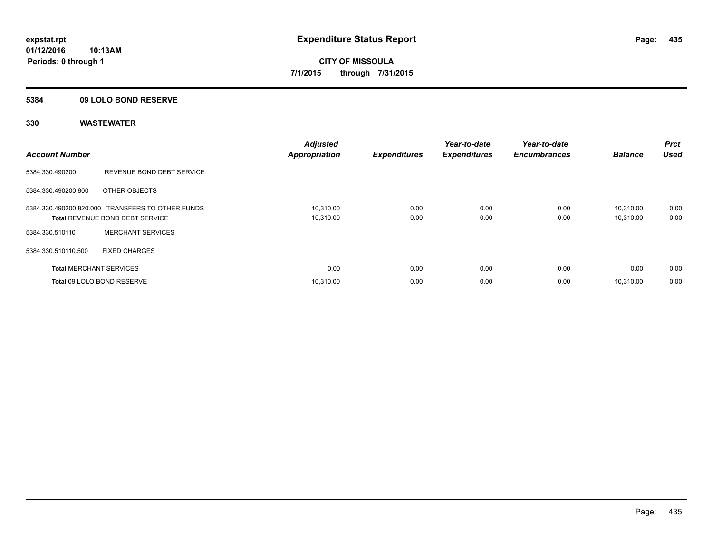## **5384 09 LOLO BOND RESERVE**

| <b>Account Number</b>          |                                                                                     | <b>Adjusted</b><br><b>Appropriation</b> | <b>Expenditures</b> | Year-to-date<br><b>Expenditures</b> | Year-to-date<br><b>Encumbrances</b> | <b>Balance</b>         | <b>Prct</b><br><b>Used</b> |
|--------------------------------|-------------------------------------------------------------------------------------|-----------------------------------------|---------------------|-------------------------------------|-------------------------------------|------------------------|----------------------------|
| 5384.330.490200                | REVENUE BOND DEBT SERVICE                                                           |                                         |                     |                                     |                                     |                        |                            |
| 5384.330.490200.800            | OTHER OBJECTS                                                                       |                                         |                     |                                     |                                     |                        |                            |
|                                | 5384.330.490200.820.000 TRANSFERS TO OTHER FUNDS<br>Total REVENUE BOND DEBT SERVICE | 10,310.00<br>10,310.00                  | 0.00<br>0.00        | 0.00<br>0.00                        | 0.00<br>0.00                        | 10.310.00<br>10,310.00 | 0.00<br>0.00               |
| 5384.330.510110                | <b>MERCHANT SERVICES</b>                                                            |                                         |                     |                                     |                                     |                        |                            |
| 5384.330.510110.500            | <b>FIXED CHARGES</b>                                                                |                                         |                     |                                     |                                     |                        |                            |
| <b>Total MERCHANT SERVICES</b> |                                                                                     | 0.00                                    | 0.00                | 0.00                                | 0.00                                | 0.00                   | 0.00                       |
|                                | Total 09 LOLO BOND RESERVE                                                          | 10.310.00                               | 0.00                | 0.00                                | 0.00                                | 10.310.00              | 0.00                       |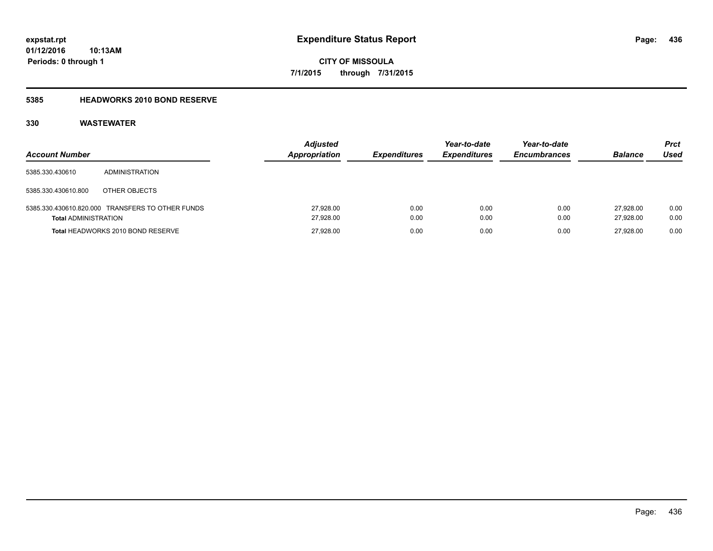**Periods: 0 through 1**

**CITY OF MISSOULA 7/1/2015 through 7/31/2015**

### **5385 HEADWORKS 2010 BOND RESERVE**

| <b>Account Number</b>       |                                                  | <b>Adjusted</b><br>Appropriation | <b>Expenditures</b> | Year-to-date<br><b>Expenditures</b> | Year-to-date<br><b>Encumbrances</b> | <b>Balance</b>         | <b>Prct</b><br>Used |
|-----------------------------|--------------------------------------------------|----------------------------------|---------------------|-------------------------------------|-------------------------------------|------------------------|---------------------|
| 5385.330.430610             | ADMINISTRATION                                   |                                  |                     |                                     |                                     |                        |                     |
| 5385.330.430610.800         | OTHER OBJECTS                                    |                                  |                     |                                     |                                     |                        |                     |
| <b>Total ADMINISTRATION</b> | 5385.330.430610.820.000 TRANSFERS TO OTHER FUNDS | 27,928.00<br>27,928.00           | 0.00<br>0.00        | 0.00<br>0.00                        | 0.00<br>0.00                        | 27.928.00<br>27.928.00 | 0.00<br>0.00        |
|                             | Total HEADWORKS 2010 BOND RESERVE                | 27,928.00                        | 0.00                | 0.00                                | 0.00                                | 27.928.00              | 0.00                |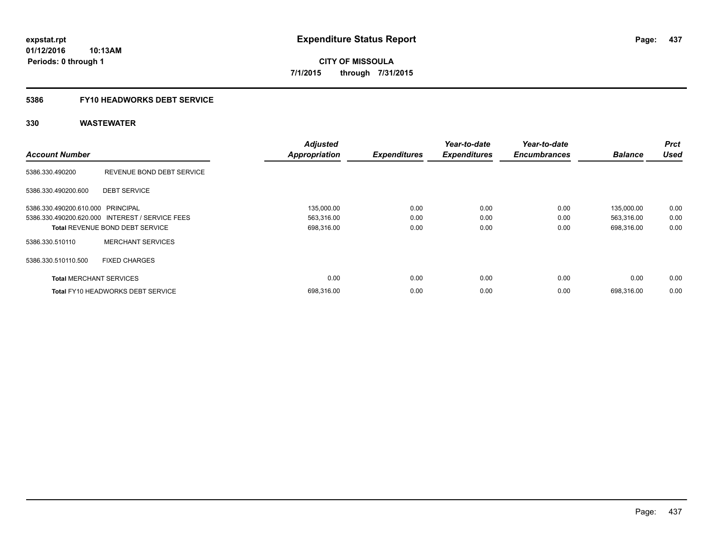**437**

**01/12/2016 10:13AM Periods: 0 through 1**

**CITY OF MISSOULA 7/1/2015 through 7/31/2015**

## **5386 FY10 HEADWORKS DEBT SERVICE**

| <b>Account Number</b>             |                                                 | <b>Adjusted</b>      | <b>Expenditures</b> | Year-to-date<br><b>Expenditures</b> | Year-to-date<br><b>Encumbrances</b> | <b>Balance</b> | <b>Prct</b><br><b>Used</b> |
|-----------------------------------|-------------------------------------------------|----------------------|---------------------|-------------------------------------|-------------------------------------|----------------|----------------------------|
|                                   |                                                 | <b>Appropriation</b> |                     |                                     |                                     |                |                            |
| 5386.330.490200                   | REVENUE BOND DEBT SERVICE                       |                      |                     |                                     |                                     |                |                            |
| 5386.330.490200.600               | <b>DEBT SERVICE</b>                             |                      |                     |                                     |                                     |                |                            |
| 5386.330.490200.610.000 PRINCIPAL |                                                 | 135,000.00           | 0.00                | 0.00                                | 0.00                                | 135,000.00     | 0.00                       |
|                                   | 5386.330.490200.620.000 INTEREST / SERVICE FEES | 563,316.00           | 0.00                | 0.00                                | 0.00                                | 563,316.00     | 0.00                       |
|                                   | <b>Total REVENUE BOND DEBT SERVICE</b>          | 698,316.00           | 0.00                | 0.00                                | 0.00                                | 698,316.00     | 0.00                       |
| 5386.330.510110                   | <b>MERCHANT SERVICES</b>                        |                      |                     |                                     |                                     |                |                            |
| 5386.330.510110.500               | <b>FIXED CHARGES</b>                            |                      |                     |                                     |                                     |                |                            |
| <b>Total MERCHANT SERVICES</b>    |                                                 | 0.00                 | 0.00                | 0.00                                | 0.00                                | 0.00           | 0.00                       |
|                                   | <b>Total FY10 HEADWORKS DEBT SERVICE</b>        | 698.316.00           | 0.00                | 0.00                                | 0.00                                | 698.316.00     | 0.00                       |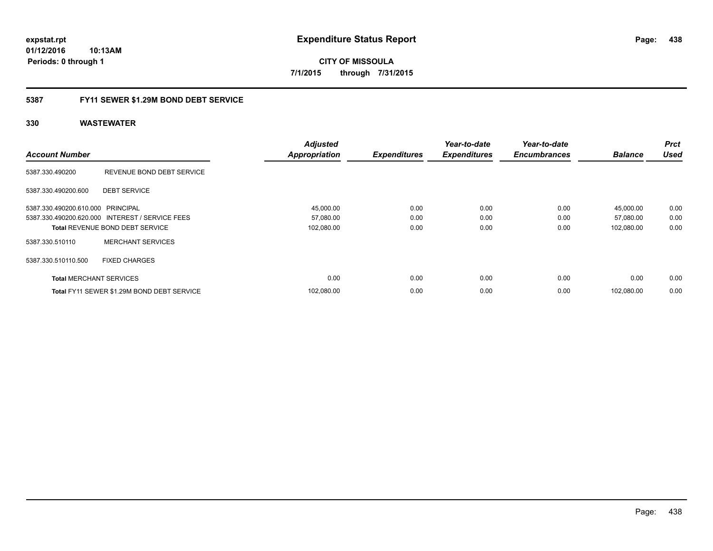**CITY OF MISSOULA 7/1/2015 through 7/31/2015**

## **5387 FY11 SEWER \$1.29M BOND DEBT SERVICE**

|                                   |                                                 | <b>Adjusted</b>      |                     | Year-to-date        | Year-to-date        |                | <b>Prct</b> |
|-----------------------------------|-------------------------------------------------|----------------------|---------------------|---------------------|---------------------|----------------|-------------|
| <b>Account Number</b>             |                                                 | <b>Appropriation</b> | <b>Expenditures</b> | <b>Expenditures</b> | <b>Encumbrances</b> | <b>Balance</b> | <b>Used</b> |
| 5387.330.490200                   | REVENUE BOND DEBT SERVICE                       |                      |                     |                     |                     |                |             |
| 5387.330.490200.600               | <b>DEBT SERVICE</b>                             |                      |                     |                     |                     |                |             |
| 5387.330.490200.610.000 PRINCIPAL |                                                 | 45,000.00            | 0.00                | 0.00                | 0.00                | 45,000.00      | 0.00        |
|                                   | 5387.330.490200.620.000 INTEREST / SERVICE FEES | 57,080.00            | 0.00                | 0.00                | 0.00                | 57,080.00      | 0.00        |
|                                   | <b>Total REVENUE BOND DEBT SERVICE</b>          | 102,080.00           | 0.00                | 0.00                | 0.00                | 102,080.00     | 0.00        |
| 5387.330.510110                   | <b>MERCHANT SERVICES</b>                        |                      |                     |                     |                     |                |             |
| 5387.330.510110.500               | <b>FIXED CHARGES</b>                            |                      |                     |                     |                     |                |             |
| <b>Total MERCHANT SERVICES</b>    |                                                 | 0.00                 | 0.00                | 0.00                | 0.00                | 0.00           | 0.00        |
|                                   | Total FY11 SEWER \$1.29M BOND DEBT SERVICE      | 102.080.00           | 0.00                | 0.00                | 0.00                | 102.080.00     | 0.00        |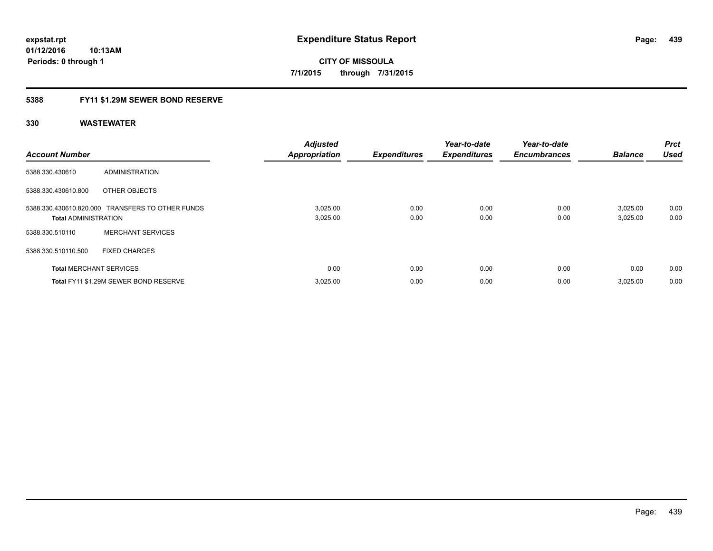**Periods: 0 through 1**

**CITY OF MISSOULA 7/1/2015 through 7/31/2015**

## **5388 FY11 \$1.29M SEWER BOND RESERVE**

**10:13AM**

| <b>Account Number</b>          |                                                  | <b>Adjusted</b><br><b>Appropriation</b> | <b>Expenditures</b> | Year-to-date<br><b>Expenditures</b> | Year-to-date<br><b>Encumbrances</b> | <b>Balance</b>       | Prct<br><b>Used</b> |
|--------------------------------|--------------------------------------------------|-----------------------------------------|---------------------|-------------------------------------|-------------------------------------|----------------------|---------------------|
| 5388.330.430610                | <b>ADMINISTRATION</b>                            |                                         |                     |                                     |                                     |                      |                     |
| 5388.330.430610.800            | OTHER OBJECTS                                    |                                         |                     |                                     |                                     |                      |                     |
| <b>Total ADMINISTRATION</b>    | 5388.330.430610.820.000 TRANSFERS TO OTHER FUNDS | 3,025.00<br>3,025.00                    | 0.00<br>0.00        | 0.00<br>0.00                        | 0.00<br>0.00                        | 3,025.00<br>3,025.00 | 0.00<br>0.00        |
| 5388.330.510110                | <b>MERCHANT SERVICES</b>                         |                                         |                     |                                     |                                     |                      |                     |
| 5388.330.510110.500            | <b>FIXED CHARGES</b>                             |                                         |                     |                                     |                                     |                      |                     |
| <b>Total MERCHANT SERVICES</b> |                                                  | 0.00                                    | 0.00                | 0.00                                | 0.00                                | 0.00                 | 0.00                |
|                                | Total FY11 \$1.29M SEWER BOND RESERVE            | 3,025.00                                | 0.00                | 0.00                                | 0.00                                | 3,025.00             | 0.00                |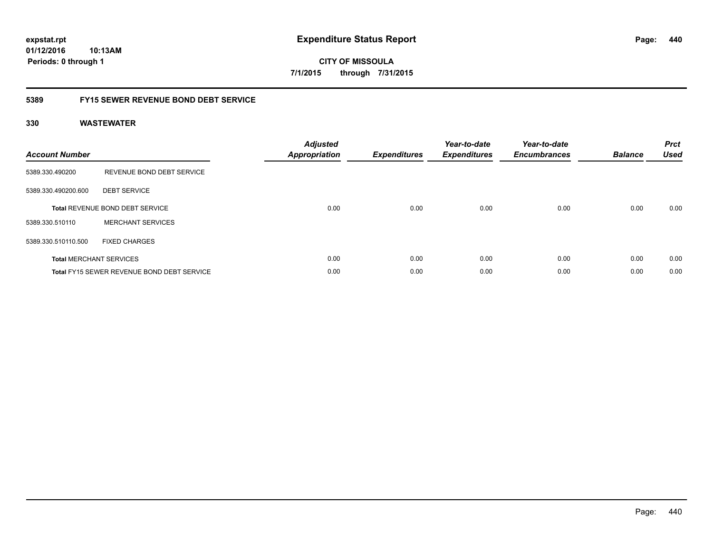**CITY OF MISSOULA 7/1/2015 through 7/31/2015**

## **5389 FY15 SEWER REVENUE BOND DEBT SERVICE**

| <b>Account Number</b> |                                                   | <b>Adjusted</b><br><b>Appropriation</b> | <b>Expenditures</b> | Year-to-date<br><b>Expenditures</b> | Year-to-date<br><b>Encumbrances</b> | <b>Balance</b> | <b>Prct</b><br><b>Used</b> |
|-----------------------|---------------------------------------------------|-----------------------------------------|---------------------|-------------------------------------|-------------------------------------|----------------|----------------------------|
| 5389.330.490200       | REVENUE BOND DEBT SERVICE                         |                                         |                     |                                     |                                     |                |                            |
| 5389.330.490200.600   | <b>DEBT SERVICE</b>                               |                                         |                     |                                     |                                     |                |                            |
|                       | <b>Total REVENUE BOND DEBT SERVICE</b>            | 0.00                                    | 0.00                | 0.00                                | 0.00                                | 0.00           | 0.00                       |
| 5389.330.510110       | <b>MERCHANT SERVICES</b>                          |                                         |                     |                                     |                                     |                |                            |
| 5389.330.510110.500   | <b>FIXED CHARGES</b>                              |                                         |                     |                                     |                                     |                |                            |
|                       | <b>Total MERCHANT SERVICES</b>                    | 0.00                                    | 0.00                | 0.00                                | 0.00                                | 0.00           | 0.00                       |
|                       | <b>Total FY15 SEWER REVENUE BOND DEBT SERVICE</b> | 0.00                                    | 0.00                | 0.00                                | 0.00                                | 0.00           | 0.00                       |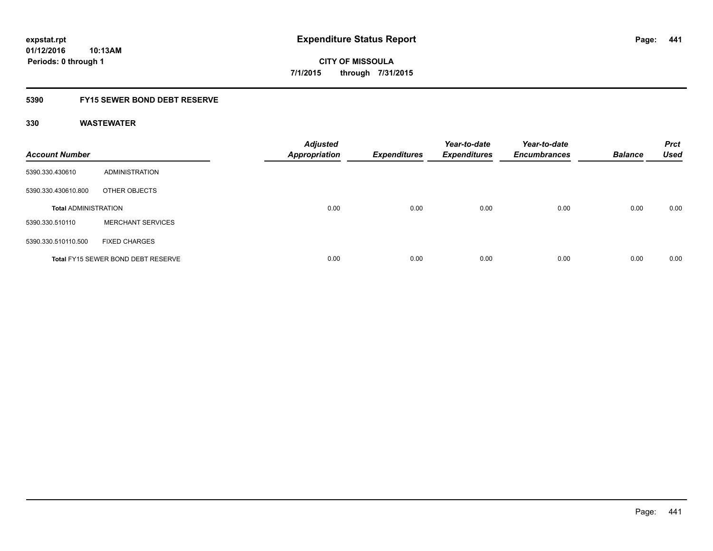**Periods: 0 through 1**

**CITY OF MISSOULA 7/1/2015 through 7/31/2015**

## **5390 FY15 SEWER BOND DEBT RESERVE**

| <b>Account Number</b>       |                                           | <b>Adjusted</b><br><b>Appropriation</b> | <b>Expenditures</b> | Year-to-date<br><b>Expenditures</b> | Year-to-date<br><b>Encumbrances</b> | <b>Balance</b> | <b>Prct</b><br><b>Used</b> |
|-----------------------------|-------------------------------------------|-----------------------------------------|---------------------|-------------------------------------|-------------------------------------|----------------|----------------------------|
| 5390.330.430610             | <b>ADMINISTRATION</b>                     |                                         |                     |                                     |                                     |                |                            |
| 5390.330.430610.800         | OTHER OBJECTS                             |                                         |                     |                                     |                                     |                |                            |
| <b>Total ADMINISTRATION</b> |                                           | 0.00                                    | 0.00                | 0.00                                | 0.00                                | 0.00           | 0.00                       |
| 5390.330.510110             | <b>MERCHANT SERVICES</b>                  |                                         |                     |                                     |                                     |                |                            |
| 5390.330.510110.500         | <b>FIXED CHARGES</b>                      |                                         |                     |                                     |                                     |                |                            |
|                             | <b>Total FY15 SEWER BOND DEBT RESERVE</b> | 0.00                                    | 0.00                | 0.00                                | 0.00                                | 0.00           | 0.00                       |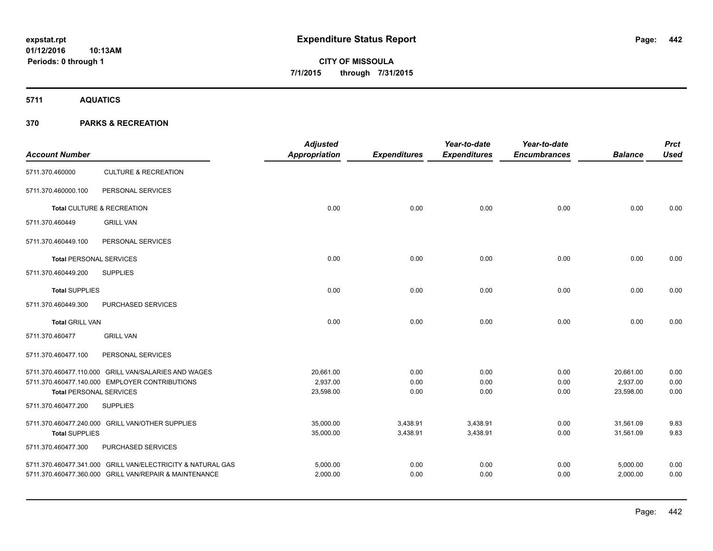**5711 AQUATICS**

| <b>Account Number</b>                                 |                                                             | <b>Adjusted</b><br>Appropriation | <b>Expenditures</b> | Year-to-date<br><b>Expenditures</b> | Year-to-date<br><b>Encumbrances</b> | <b>Balance</b> | <b>Prct</b><br><b>Used</b> |
|-------------------------------------------------------|-------------------------------------------------------------|----------------------------------|---------------------|-------------------------------------|-------------------------------------|----------------|----------------------------|
| 5711.370.460000                                       | <b>CULTURE &amp; RECREATION</b>                             |                                  |                     |                                     |                                     |                |                            |
| 5711.370.460000.100                                   | PERSONAL SERVICES                                           |                                  |                     |                                     |                                     |                |                            |
|                                                       | Total CULTURE & RECREATION                                  | 0.00                             | 0.00                | 0.00                                | 0.00                                | 0.00           | 0.00                       |
| 5711.370.460449                                       | <b>GRILL VAN</b>                                            |                                  |                     |                                     |                                     |                |                            |
| 5711.370.460449.100                                   | PERSONAL SERVICES                                           |                                  |                     |                                     |                                     |                |                            |
| <b>Total PERSONAL SERVICES</b>                        |                                                             | 0.00                             | 0.00                | 0.00                                | 0.00                                | 0.00           | 0.00                       |
| 5711.370.460449.200                                   | <b>SUPPLIES</b>                                             |                                  |                     |                                     |                                     |                |                            |
| <b>Total SUPPLIES</b>                                 |                                                             | 0.00                             | 0.00                | 0.00                                | 0.00                                | 0.00           | 0.00                       |
| 5711.370.460449.300                                   | PURCHASED SERVICES                                          |                                  |                     |                                     |                                     |                |                            |
| <b>Total GRILL VAN</b>                                |                                                             | 0.00                             | 0.00                | 0.00                                | 0.00                                | 0.00           | 0.00                       |
| 5711.370.460477                                       | <b>GRILL VAN</b>                                            |                                  |                     |                                     |                                     |                |                            |
| 5711.370.460477.100                                   | PERSONAL SERVICES                                           |                                  |                     |                                     |                                     |                |                            |
|                                                       | 5711.370.460477.110.000 GRILL VAN/SALARIES AND WAGES        | 20,661.00                        | 0.00                | 0.00                                | 0.00                                | 20,661.00      | 0.00                       |
|                                                       | 5711.370.460477.140.000 EMPLOYER CONTRIBUTIONS              | 2,937.00<br>23,598.00            | 0.00                | 0.00                                | 0.00<br>0.00                        | 2,937.00       | 0.00<br>0.00               |
| <b>Total PERSONAL SERVICES</b><br>5711.370.460477.200 | <b>SUPPLIES</b>                                             |                                  | 0.00                | 0.00                                |                                     | 23,598.00      |                            |
|                                                       |                                                             |                                  |                     |                                     |                                     |                |                            |
|                                                       | 5711.370.460477.240.000 GRILL VAN/OTHER SUPPLIES            | 35,000.00                        | 3,438.91            | 3,438.91                            | 0.00                                | 31,561.09      | 9.83                       |
| <b>Total SUPPLIES</b>                                 |                                                             | 35,000.00                        | 3,438.91            | 3,438.91                            | 0.00                                | 31,561.09      | 9.83                       |
| 5711.370.460477.300                                   | PURCHASED SERVICES                                          |                                  |                     |                                     |                                     |                |                            |
|                                                       | 5711.370.460477.341.000 GRILL VAN/ELECTRICITY & NATURAL GAS | 5,000.00                         | 0.00                | 0.00                                | 0.00                                | 5,000.00       | 0.00                       |
|                                                       | 5711.370.460477.360.000 GRILL VAN/REPAIR & MAINTENANCE      | 2,000.00                         | 0.00                | 0.00                                | 0.00                                | 2,000.00       | 0.00                       |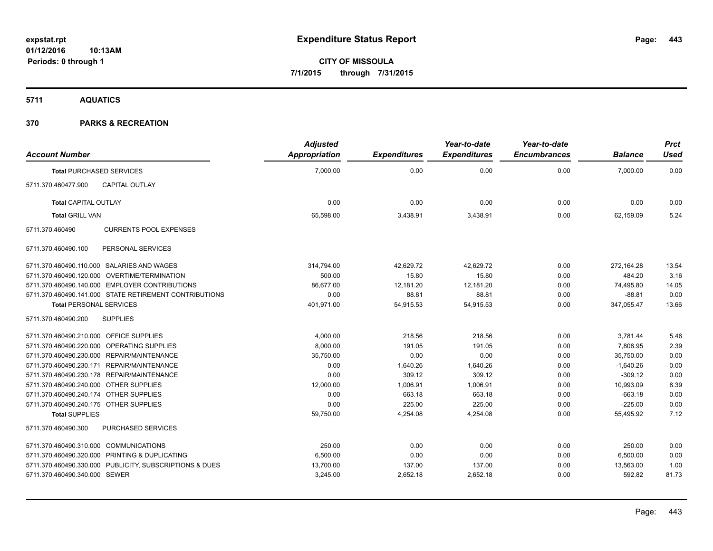**5711 AQUATICS**

| <b>Account Number</b>                                   | <b>Adjusted</b><br><b>Appropriation</b> | <b>Expenditures</b> | Year-to-date<br><b>Expenditures</b> | Year-to-date<br><b>Encumbrances</b> | <b>Balance</b> | <b>Prct</b><br><b>Used</b> |
|---------------------------------------------------------|-----------------------------------------|---------------------|-------------------------------------|-------------------------------------|----------------|----------------------------|
| <b>Total PURCHASED SERVICES</b>                         | 7,000.00                                | 0.00                | 0.00                                | 0.00                                | 7,000.00       | 0.00                       |
| CAPITAL OUTLAY<br>5711.370.460477.900                   |                                         |                     |                                     |                                     |                |                            |
| <b>Total CAPITAL OUTLAY</b>                             | 0.00                                    | 0.00                | 0.00                                | 0.00                                | 0.00           | 0.00                       |
| <b>Total GRILL VAN</b>                                  | 65,598.00                               | 3,438.91            | 3,438.91                            | 0.00                                | 62,159.09      | 5.24                       |
| <b>CURRENTS POOL EXPENSES</b><br>5711.370.460490        |                                         |                     |                                     |                                     |                |                            |
| 5711.370.460490.100<br>PERSONAL SERVICES                |                                         |                     |                                     |                                     |                |                            |
| 5711.370.460490.110.000 SALARIES AND WAGES              | 314,794.00                              | 42,629.72           | 42,629.72                           | 0.00                                | 272,164.28     | 13.54                      |
| 5711.370.460490.120.000 OVERTIME/TERMINATION            | 500.00                                  | 15.80               | 15.80                               | 0.00                                | 484.20         | 3.16                       |
| 5711.370.460490.140.000 EMPLOYER CONTRIBUTIONS          | 86.677.00                               | 12,181.20           | 12,181.20                           | 0.00                                | 74,495.80      | 14.05                      |
| 5711.370.460490.141.000 STATE RETIREMENT CONTRIBUTIONS  | 0.00                                    | 88.81               | 88.81                               | 0.00                                | $-88.81$       | 0.00                       |
| <b>Total PERSONAL SERVICES</b>                          | 401,971.00                              | 54,915.53           | 54,915.53                           | 0.00                                | 347,055.47     | 13.66                      |
| <b>SUPPLIES</b><br>5711.370.460490.200                  |                                         |                     |                                     |                                     |                |                            |
| 5711.370.460490.210.000 OFFICE SUPPLIES                 | 4,000.00                                | 218.56              | 218.56                              | 0.00                                | 3,781.44       | 5.46                       |
| 5711.370.460490.220.000 OPERATING SUPPLIES              | 8,000.00                                | 191.05              | 191.05                              | 0.00                                | 7,808.95       | 2.39                       |
| 5711.370.460490.230.000 REPAIR/MAINTENANCE              | 35,750.00                               | 0.00                | 0.00                                | 0.00                                | 35,750.00      | 0.00                       |
| 5711.370.460490.230.171 REPAIR/MAINTENANCE              | 0.00                                    | 1,640.26            | 1,640.26                            | 0.00                                | $-1,640.26$    | 0.00                       |
| 5711.370.460490.230.178 REPAIR/MAINTENANCE              | 0.00                                    | 309.12              | 309.12                              | 0.00                                | $-309.12$      | 0.00                       |
| 5711.370.460490.240.000 OTHER SUPPLIES                  | 12,000.00                               | 1,006.91            | 1,006.91                            | 0.00                                | 10,993.09      | 8.39                       |
| 5711.370.460490.240.174 OTHER SUPPLIES                  | 0.00                                    | 663.18              | 663.18                              | 0.00                                | $-663.18$      | 0.00                       |
| 5711.370.460490.240.175 OTHER SUPPLIES                  | 0.00                                    | 225.00              | 225.00                              | 0.00                                | $-225.00$      | 0.00                       |
| <b>Total SUPPLIES</b>                                   | 59,750.00                               | 4,254.08            | 4,254.08                            | 0.00                                | 55,495.92      | 7.12                       |
| PURCHASED SERVICES<br>5711.370.460490.300               |                                         |                     |                                     |                                     |                |                            |
| 5711.370.460490.310.000 COMMUNICATIONS                  | 250.00                                  | 0.00                | 0.00                                | 0.00                                | 250.00         | 0.00                       |
| 5711.370.460490.320.000 PRINTING & DUPLICATING          | 6,500.00                                | 0.00                | 0.00                                | 0.00                                | 6,500.00       | 0.00                       |
| 5711.370.460490.330.000 PUBLICITY, SUBSCRIPTIONS & DUES | 13,700.00                               | 137.00              | 137.00                              | 0.00                                | 13,563.00      | 1.00                       |
| 5711.370.460490.340.000 SEWER                           | 3,245.00                                | 2,652.18            | 2,652.18                            | 0.00                                | 592.82         | 81.73                      |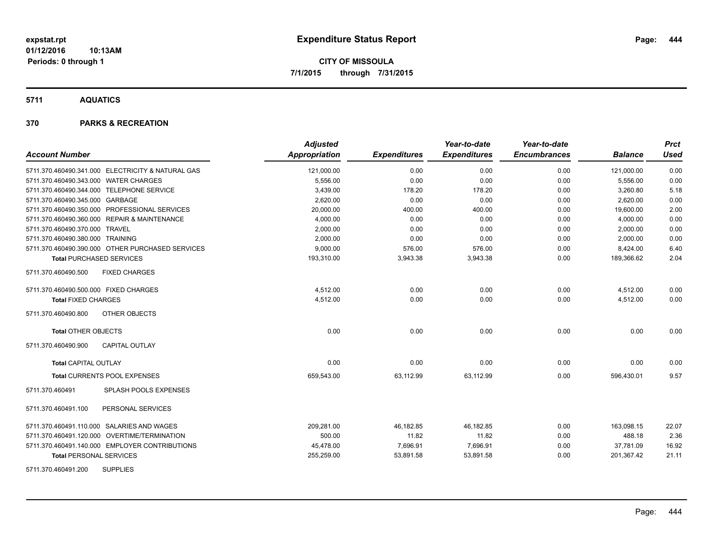**5711 AQUATICS**

| <b>Account Number</b>                             | <b>Adjusted</b><br><b>Appropriation</b> | <b>Expenditures</b> | Year-to-date<br><b>Expenditures</b> | Year-to-date<br><b>Encumbrances</b> | <b>Balance</b> | <b>Prct</b><br><b>Used</b> |
|---------------------------------------------------|-----------------------------------------|---------------------|-------------------------------------|-------------------------------------|----------------|----------------------------|
| 5711.370.460490.341.000 ELECTRICITY & NATURAL GAS | 121,000.00                              | 0.00                | 0.00                                | 0.00                                | 121,000.00     | 0.00                       |
| 5711.370.460490.343.000 WATER CHARGES             | 5,556.00                                | 0.00                | 0.00                                | 0.00                                | 5,556.00       | 0.00                       |
| 5711.370.460490.344.000 TELEPHONE SERVICE         | 3,439.00                                | 178.20              | 178.20                              | 0.00                                | 3,260.80       | 5.18                       |
| 5711.370.460490.345.000 GARBAGE                   | 2,620.00                                | 0.00                | 0.00                                | 0.00                                | 2,620.00       | 0.00                       |
| 5711.370.460490.350.000 PROFESSIONAL SERVICES     | 20,000.00                               | 400.00              | 400.00                              | 0.00                                | 19,600.00      | 2.00                       |
| 5711.370.460490.360.000 REPAIR & MAINTENANCE      | 4,000.00                                | 0.00                | 0.00                                | 0.00                                | 4,000.00       | 0.00                       |
| 5711.370.460490.370.000 TRAVEL                    | 2,000.00                                | 0.00                | 0.00                                | 0.00                                | 2,000.00       | 0.00                       |
| 5711.370.460490.380.000 TRAINING                  | 2,000.00                                | 0.00                | 0.00                                | 0.00                                | 2,000.00       | 0.00                       |
| 5711.370.460490.390.000 OTHER PURCHASED SERVICES  | 9,000.00                                | 576.00              | 576.00                              | 0.00                                | 8,424.00       | 6.40                       |
| <b>Total PURCHASED SERVICES</b>                   | 193,310.00                              | 3,943.38            | 3,943.38                            | 0.00                                | 189,366.62     | 2.04                       |
| 5711.370.460490.500<br><b>FIXED CHARGES</b>       |                                         |                     |                                     |                                     |                |                            |
| 5711.370.460490.500.000 FIXED CHARGES             | 4,512.00                                | 0.00                | 0.00                                | 0.00                                | 4,512.00       | 0.00                       |
| <b>Total FIXED CHARGES</b>                        | 4,512.00                                | 0.00                | 0.00                                | 0.00                                | 4,512.00       | 0.00                       |
| 5711.370.460490.800<br>OTHER OBJECTS              |                                         |                     |                                     |                                     |                |                            |
| <b>Total OTHER OBJECTS</b>                        | 0.00                                    | 0.00                | 0.00                                | 0.00                                | 0.00           | 0.00                       |
| <b>CAPITAL OUTLAY</b><br>5711.370.460490.900      |                                         |                     |                                     |                                     |                |                            |
| <b>Total CAPITAL OUTLAY</b>                       | 0.00                                    | 0.00                | 0.00                                | 0.00                                | 0.00           | 0.00                       |
| <b>Total CURRENTS POOL EXPENSES</b>               | 659,543.00                              | 63,112.99           | 63,112.99                           | 0.00                                | 596,430.01     | 9.57                       |
| 5711.370.460491<br>SPLASH POOLS EXPENSES          |                                         |                     |                                     |                                     |                |                            |
| PERSONAL SERVICES<br>5711.370.460491.100          |                                         |                     |                                     |                                     |                |                            |
| 5711.370.460491.110.000 SALARIES AND WAGES        | 209.281.00                              | 46,182.85           | 46,182.85                           | 0.00                                | 163,098.15     | 22.07                      |
| 5711.370.460491.120.000 OVERTIME/TERMINATION      | 500.00                                  | 11.82               | 11.82                               | 0.00                                | 488.18         | 2.36                       |
| 5711.370.460491.140.000 EMPLOYER CONTRIBUTIONS    | 45,478.00                               | 7,696.91            | 7,696.91                            | 0.00                                | 37,781.09      | 16.92                      |
| <b>Total PERSONAL SERVICES</b>                    | 255,259.00                              | 53,891.58           | 53,891.58                           | 0.00                                | 201,367.42     | 21.11                      |
| <b>SUPPLIES</b><br>5711.370.460491.200            |                                         |                     |                                     |                                     |                |                            |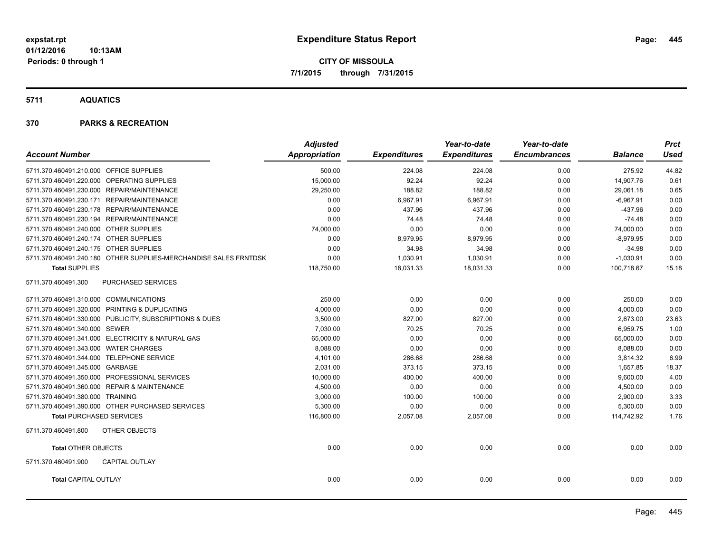**CITY OF MISSOULA 7/1/2015 through 7/31/2015**

**5711 AQUATICS**

|                                                                  | <b>Adjusted</b>      |                     | Year-to-date        | Year-to-date        |                | <b>Prct</b> |
|------------------------------------------------------------------|----------------------|---------------------|---------------------|---------------------|----------------|-------------|
| <b>Account Number</b>                                            | <b>Appropriation</b> | <b>Expenditures</b> | <b>Expenditures</b> | <b>Encumbrances</b> | <b>Balance</b> | Used        |
| 5711.370.460491.210.000 OFFICE SUPPLIES                          | 500.00               | 224.08              | 224.08              | 0.00                | 275.92         | 44.82       |
| 5711.370.460491.220.000 OPERATING SUPPLIES                       | 15,000.00            | 92.24               | 92.24               | 0.00                | 14,907.76      | 0.61        |
| 5711.370.460491.230.000 REPAIR/MAINTENANCE                       | 29,250.00            | 188.82              | 188.82              | 0.00                | 29,061.18      | 0.65        |
| 5711.370.460491.230.171 REPAIR/MAINTENANCE                       | 0.00                 | 6,967.91            | 6,967.91            | 0.00                | $-6,967.91$    | 0.00        |
| 5711.370.460491.230.178 REPAIR/MAINTENANCE                       | 0.00                 | 437.96              | 437.96              | 0.00                | $-437.96$      | 0.00        |
| 5711.370.460491.230.194 REPAIR/MAINTENANCE                       | 0.00                 | 74.48               | 74.48               | 0.00                | $-74.48$       | 0.00        |
| 5711.370.460491.240.000 OTHER SUPPLIES                           | 74,000.00            | 0.00                | 0.00                | 0.00                | 74,000.00      | 0.00        |
| 5711.370.460491.240.174 OTHER SUPPLIES                           | 0.00                 | 8,979.95            | 8,979.95            | 0.00                | $-8,979.95$    | 0.00        |
| 5711.370.460491.240.175 OTHER SUPPLIES                           | 0.00                 | 34.98               | 34.98               | 0.00                | $-34.98$       | 0.00        |
| 5711.370.460491.240.180 OTHER SUPPLIES-MERCHANDISE SALES FRNTDSK | 0.00                 | 1,030.91            | 1,030.91            | 0.00                | $-1,030.91$    | 0.00        |
| <b>Total SUPPLIES</b>                                            | 118,750.00           | 18,031.33           | 18,031.33           | 0.00                | 100,718.67     | 15.18       |
| 5711.370.460491.300<br>PURCHASED SERVICES                        |                      |                     |                     |                     |                |             |
| 5711.370.460491.310.000 COMMUNICATIONS                           | 250.00               | 0.00                | 0.00                | 0.00                | 250.00         | 0.00        |
| 5711.370.460491.320.000 PRINTING & DUPLICATING                   | 4,000.00             | 0.00                | 0.00                | 0.00                | 4,000.00       | 0.00        |
| 5711.370.460491.330.000 PUBLICITY, SUBSCRIPTIONS & DUES          | 3,500.00             | 827.00              | 827.00              | 0.00                | 2,673.00       | 23.63       |
| 5711.370.460491.340.000 SEWER                                    | 7,030.00             | 70.25               | 70.25               | 0.00                | 6,959.75       | 1.00        |
| 5711.370.460491.341.000 ELECTRICITY & NATURAL GAS                | 65,000.00            | 0.00                | 0.00                | 0.00                | 65,000.00      | 0.00        |
| 5711.370.460491.343.000 WATER CHARGES                            | 8,088.00             | 0.00                | 0.00                | 0.00                | 8,088.00       | 0.00        |
| 5711.370.460491.344.000 TELEPHONE SERVICE                        | 4,101.00             | 286.68              | 286.68              | 0.00                | 3,814.32       | 6.99        |
| 5711.370.460491.345.000 GARBAGE                                  | 2.031.00             | 373.15              | 373.15              | 0.00                | 1.657.85       | 18.37       |
| 5711.370.460491.350.000 PROFESSIONAL SERVICES                    | 10,000.00            | 400.00              | 400.00              | 0.00                | 9,600.00       | 4.00        |
| 5711.370.460491.360.000 REPAIR & MAINTENANCE                     | 4,500.00             | 0.00                | 0.00                | 0.00                | 4,500.00       | 0.00        |
| 5711.370.460491.380.000 TRAINING                                 | 3,000.00             | 100.00              | 100.00              | 0.00                | 2,900.00       | 3.33        |
| 5711.370.460491.390.000 OTHER PURCHASED SERVICES                 | 5,300.00             | 0.00                | 0.00                | 0.00                | 5,300.00       | 0.00        |
| <b>Total PURCHASED SERVICES</b>                                  | 116,800.00           | 2,057.08            | 2,057.08            | 0.00                | 114,742.92     | 1.76        |
| OTHER OBJECTS<br>5711.370.460491.800                             |                      |                     |                     |                     |                |             |
| <b>Total OTHER OBJECTS</b>                                       | 0.00                 | 0.00                | 0.00                | 0.00                | 0.00           | 0.00        |
| 5711.370.460491.900<br><b>CAPITAL OUTLAY</b>                     |                      |                     |                     |                     |                |             |
| <b>Total CAPITAL OUTLAY</b>                                      | 0.00                 | 0.00                | 0.00                | 0.00                | 0.00           | 0.00        |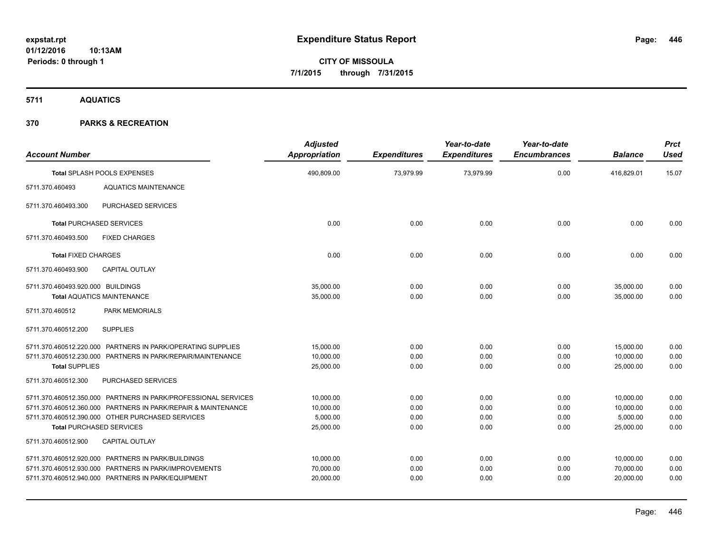**5711 AQUATICS**

| <b>Account Number</b>             |                                                                                                                                                                                                                        | <b>Adjusted</b><br><b>Appropriation</b>         | <b>Expenditures</b>                                                                                                                                                                                                                                                       | Year-to-date<br><b>Expenditures</b> | Year-to-date<br><b>Encumbrances</b> | <b>Balance</b>                                  | <b>Prct</b><br><b>Used</b>   |
|-----------------------------------|------------------------------------------------------------------------------------------------------------------------------------------------------------------------------------------------------------------------|-------------------------------------------------|---------------------------------------------------------------------------------------------------------------------------------------------------------------------------------------------------------------------------------------------------------------------------|-------------------------------------|-------------------------------------|-------------------------------------------------|------------------------------|
|                                   | Total SPLASH POOLS EXPENSES                                                                                                                                                                                            | 490,809.00                                      | 73,979.99<br>73,979.99<br>0.00<br>416,829.01<br>15.07<br>0.00<br>0.00<br>0.00<br>0.00<br>0.00<br>0.00<br>0.00<br>0.00<br>0.00<br>0.00<br>0.00<br>0.00<br>35,000.00<br>0.00<br>0.00<br>0.00<br>35,000.00<br>0.00<br>35,000.00<br>0.00<br>0.00<br>0.00<br>35.000.00<br>0.00 |                                     |                                     |                                                 |                              |
| 5711.370.460493                   | <b>AQUATICS MAINTENANCE</b>                                                                                                                                                                                            |                                                 |                                                                                                                                                                                                                                                                           |                                     |                                     |                                                 |                              |
| 5711.370.460493.300               | PURCHASED SERVICES                                                                                                                                                                                                     |                                                 |                                                                                                                                                                                                                                                                           |                                     |                                     |                                                 |                              |
|                                   | <b>Total PURCHASED SERVICES</b>                                                                                                                                                                                        |                                                 |                                                                                                                                                                                                                                                                           |                                     |                                     |                                                 |                              |
| 5711.370.460493.500               | <b>FIXED CHARGES</b>                                                                                                                                                                                                   |                                                 |                                                                                                                                                                                                                                                                           |                                     |                                     |                                                 |                              |
| <b>Total FIXED CHARGES</b>        |                                                                                                                                                                                                                        |                                                 |                                                                                                                                                                                                                                                                           |                                     |                                     |                                                 |                              |
| 5711.370.460493.900               | <b>CAPITAL OUTLAY</b>                                                                                                                                                                                                  |                                                 |                                                                                                                                                                                                                                                                           |                                     |                                     |                                                 |                              |
| 5711.370.460493.920.000 BUILDINGS | <b>Total AQUATICS MAINTENANCE</b>                                                                                                                                                                                      |                                                 |                                                                                                                                                                                                                                                                           |                                     |                                     |                                                 |                              |
| 5711.370.460512                   | <b>PARK MEMORIALS</b>                                                                                                                                                                                                  |                                                 |                                                                                                                                                                                                                                                                           |                                     |                                     |                                                 |                              |
| 5711.370.460512.200               | <b>SUPPLIES</b>                                                                                                                                                                                                        |                                                 |                                                                                                                                                                                                                                                                           |                                     |                                     |                                                 |                              |
|                                   | 5711.370.460512.220.000 PARTNERS IN PARK/OPERATING SUPPLIES<br>5711.370.460512.230.000 PARTNERS IN PARK/REPAIR/MAINTENANCE                                                                                             | 15.000.00<br>10,000.00                          | 0.00<br>0.00                                                                                                                                                                                                                                                              | 0.00<br>0.00                        | 0.00<br>0.00                        | 15,000.00<br>10,000.00                          | 0.00<br>0.00                 |
| <b>Total SUPPLIES</b>             |                                                                                                                                                                                                                        | 25,000.00                                       | 0.00                                                                                                                                                                                                                                                                      | 0.00                                | 0.00                                | 25,000.00                                       | 0.00                         |
| 5711.370.460512.300               | PURCHASED SERVICES                                                                                                                                                                                                     |                                                 |                                                                                                                                                                                                                                                                           |                                     |                                     |                                                 |                              |
|                                   | 5711.370.460512.350.000 PARTNERS IN PARK/PROFESSIONAL SERVICES<br>5711.370.460512.360.000 PARTNERS IN PARK/REPAIR & MAINTENANCE<br>5711.370.460512.390.000 OTHER PURCHASED SERVICES<br><b>Total PURCHASED SERVICES</b> | 10,000.00<br>10,000.00<br>5,000.00<br>25,000.00 | 0.00<br>0.00<br>0.00<br>0.00                                                                                                                                                                                                                                              | 0.00<br>0.00<br>0.00<br>0.00        | 0.00<br>0.00<br>0.00<br>0.00        | 10,000.00<br>10,000.00<br>5,000.00<br>25,000.00 | 0.00<br>0.00<br>0.00<br>0.00 |
| 5711.370.460512.900               | <b>CAPITAL OUTLAY</b>                                                                                                                                                                                                  |                                                 |                                                                                                                                                                                                                                                                           |                                     |                                     |                                                 |                              |
|                                   | 5711.370.460512.920.000 PARTNERS IN PARK/BUILDINGS<br>5711.370.460512.930.000 PARTNERS IN PARK/IMPROVEMENTS<br>5711.370.460512.940.000 PARTNERS IN PARK/EQUIPMENT                                                      | 10,000.00<br>70,000.00<br>20,000.00             | 0.00<br>0.00<br>0.00                                                                                                                                                                                                                                                      | 0.00<br>0.00<br>0.00                | 0.00<br>0.00<br>0.00                | 10,000.00<br>70,000.00<br>20,000.00             | 0.00<br>0.00<br>0.00         |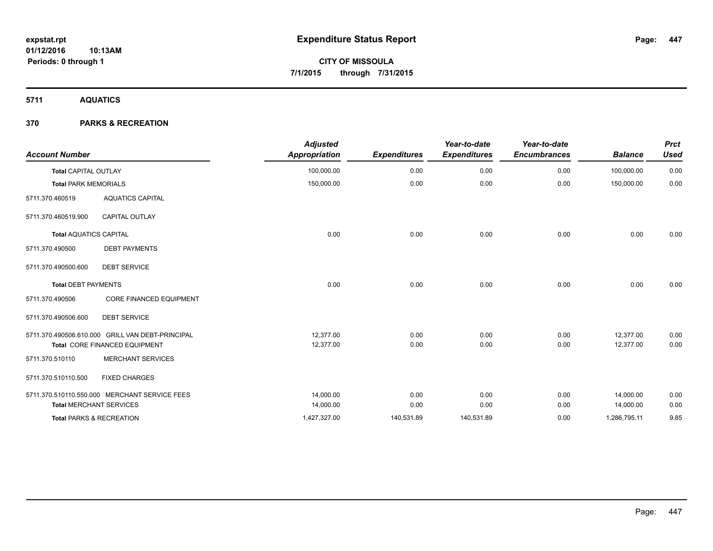## **5711 AQUATICS**

| <b>Account Number</b>         |                                                  | <b>Adjusted</b><br><b>Appropriation</b> | <b>Expenditures</b> | Year-to-date<br><b>Expenditures</b> | Year-to-date<br><b>Encumbrances</b> | <b>Balance</b> | <b>Prct</b><br><b>Used</b> |
|-------------------------------|--------------------------------------------------|-----------------------------------------|---------------------|-------------------------------------|-------------------------------------|----------------|----------------------------|
| <b>Total CAPITAL OUTLAY</b>   |                                                  | 100,000.00                              | 0.00                | 0.00                                | 0.00                                | 100,000.00     | 0.00                       |
| <b>Total PARK MEMORIALS</b>   |                                                  | 150,000.00                              | 0.00                | 0.00                                | 0.00                                | 150,000.00     | 0.00                       |
| 5711.370.460519               | <b>AQUATICS CAPITAL</b>                          |                                         |                     |                                     |                                     |                |                            |
| 5711.370.460519.900           | <b>CAPITAL OUTLAY</b>                            |                                         |                     |                                     |                                     |                |                            |
| <b>Total AQUATICS CAPITAL</b> |                                                  | 0.00                                    | 0.00                | 0.00                                | 0.00                                | 0.00           | 0.00                       |
| 5711.370.490500               | <b>DEBT PAYMENTS</b>                             |                                         |                     |                                     |                                     |                |                            |
| 5711.370.490500.600           | <b>DEBT SERVICE</b>                              |                                         |                     |                                     |                                     |                |                            |
| <b>Total DEBT PAYMENTS</b>    |                                                  | 0.00                                    | 0.00                | 0.00                                | 0.00                                | 0.00           | 0.00                       |
| 5711.370.490506               | <b>CORE FINANCED EQUIPMENT</b>                   |                                         |                     |                                     |                                     |                |                            |
| 5711.370.490506.600           | <b>DEBT SERVICE</b>                              |                                         |                     |                                     |                                     |                |                            |
|                               | 5711.370.490506.610.000 GRILL VAN DEBT-PRINCIPAL | 12.377.00                               | 0.00                | 0.00                                | 0.00                                | 12,377.00      | 0.00                       |
|                               | Total CORE FINANCED EQUIPMENT                    | 12,377.00                               | 0.00                | 0.00                                | 0.00                                | 12,377.00      | 0.00                       |
| 5711.370.510110               | <b>MERCHANT SERVICES</b>                         |                                         |                     |                                     |                                     |                |                            |
| 5711.370.510110.500           | <b>FIXED CHARGES</b>                             |                                         |                     |                                     |                                     |                |                            |
|                               | 5711.370.510110.550.000 MERCHANT SERVICE FEES    | 14,000.00                               | 0.00                | 0.00                                | 0.00                                | 14,000.00      | 0.00                       |
|                               | <b>Total MERCHANT SERVICES</b>                   | 14,000.00                               | 0.00                | 0.00                                | 0.00                                | 14,000.00      | 0.00                       |
|                               | <b>Total PARKS &amp; RECREATION</b>              | 1,427,327.00                            | 140,531.89          | 140,531.89                          | 0.00                                | 1,286,795.11   | 9.85                       |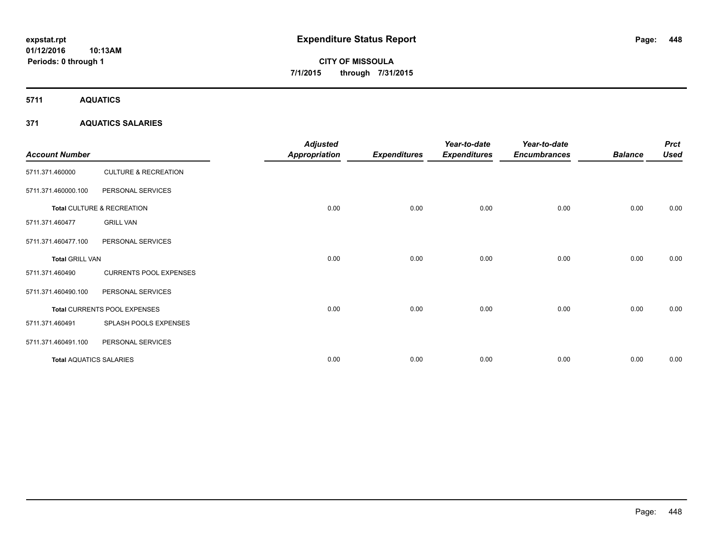# **CITY OF MISSOULA 7/1/2015 through 7/31/2015**

**5711 AQUATICS**

## **371 AQUATICS SALARIES**

| <b>Account Number</b>          |                                 | <b>Adjusted</b><br><b>Appropriation</b> | <b>Expenditures</b> | Year-to-date<br><b>Expenditures</b> | Year-to-date<br><b>Encumbrances</b> | <b>Balance</b> | <b>Prct</b><br><b>Used</b> |
|--------------------------------|---------------------------------|-----------------------------------------|---------------------|-------------------------------------|-------------------------------------|----------------|----------------------------|
| 5711.371.460000                | <b>CULTURE &amp; RECREATION</b> |                                         |                     |                                     |                                     |                |                            |
| 5711.371.460000.100            | PERSONAL SERVICES               |                                         |                     |                                     |                                     |                |                            |
|                                | Total CULTURE & RECREATION      | 0.00                                    | 0.00                | 0.00                                | 0.00                                | 0.00           | 0.00                       |
| 5711.371.460477                | <b>GRILL VAN</b>                |                                         |                     |                                     |                                     |                |                            |
| 5711.371.460477.100            | PERSONAL SERVICES               |                                         |                     |                                     |                                     |                |                            |
| <b>Total GRILL VAN</b>         |                                 | 0.00                                    | 0.00                | 0.00                                | 0.00                                | 0.00           | 0.00                       |
| 5711.371.460490                | <b>CURRENTS POOL EXPENSES</b>   |                                         |                     |                                     |                                     |                |                            |
| 5711.371.460490.100            | PERSONAL SERVICES               |                                         |                     |                                     |                                     |                |                            |
|                                | Total CURRENTS POOL EXPENSES    | 0.00                                    | 0.00                | 0.00                                | 0.00                                | 0.00           | 0.00                       |
| 5711.371.460491                | SPLASH POOLS EXPENSES           |                                         |                     |                                     |                                     |                |                            |
| 5711.371.460491.100            | PERSONAL SERVICES               |                                         |                     |                                     |                                     |                |                            |
| <b>Total AQUATICS SALARIES</b> |                                 | 0.00                                    | 0.00                | 0.00                                | 0.00                                | 0.00           | 0.00                       |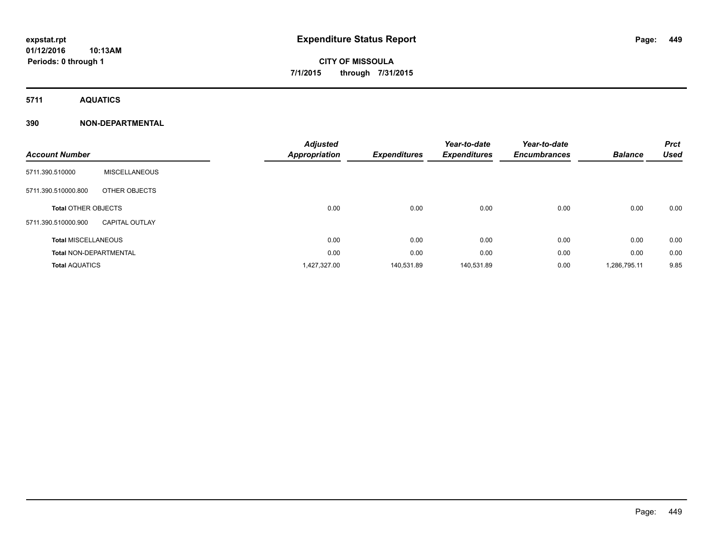# **CITY OF MISSOULA 7/1/2015 through 7/31/2015**

**5711 AQUATICS**

## **390 NON-DEPARTMENTAL**

| <b>Account Number</b>         |                       | <b>Adjusted</b><br>Appropriation | <b>Expenditures</b> | Year-to-date<br><b>Expenditures</b> | Year-to-date<br><b>Encumbrances</b> | <b>Balance</b> | <b>Prct</b><br><b>Used</b> |
|-------------------------------|-----------------------|----------------------------------|---------------------|-------------------------------------|-------------------------------------|----------------|----------------------------|
| 5711.390.510000               | <b>MISCELLANEOUS</b>  |                                  |                     |                                     |                                     |                |                            |
| 5711.390.510000.800           | OTHER OBJECTS         |                                  |                     |                                     |                                     |                |                            |
| <b>Total OTHER OBJECTS</b>    |                       | 0.00                             | 0.00                | 0.00                                | 0.00                                | 0.00           | 0.00                       |
| 5711.390.510000.900           | <b>CAPITAL OUTLAY</b> |                                  |                     |                                     |                                     |                |                            |
| <b>Total MISCELLANEOUS</b>    |                       | 0.00                             | 0.00                | 0.00                                | 0.00                                | 0.00           | 0.00                       |
| <b>Total NON-DEPARTMENTAL</b> |                       | 0.00                             | 0.00                | 0.00                                | 0.00                                | 0.00           | 0.00                       |
| <b>Total AQUATICS</b>         |                       | 1,427,327.00                     | 140,531.89          | 140,531.89                          | 0.00                                | 1,286,795.11   | 9.85                       |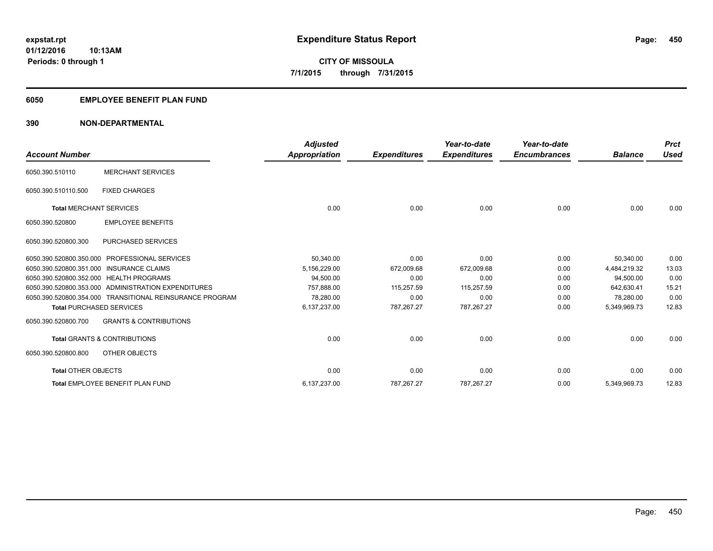## **6050 EMPLOYEE BENEFIT PLAN FUND**

## **390 NON-DEPARTMENTAL**

| <b>Account Number</b>           |                                                          | <b>Adjusted</b><br><b>Appropriation</b> | <b>Expenditures</b> | Year-to-date<br><b>Expenditures</b> | Year-to-date<br><b>Encumbrances</b> | <b>Balance</b> | <b>Prct</b><br><b>Used</b> |
|---------------------------------|----------------------------------------------------------|-----------------------------------------|---------------------|-------------------------------------|-------------------------------------|----------------|----------------------------|
| 6050.390.510110                 | <b>MERCHANT SERVICES</b>                                 |                                         |                     |                                     |                                     |                |                            |
| 6050.390.510110.500             | <b>FIXED CHARGES</b>                                     |                                         |                     |                                     |                                     |                |                            |
| <b>Total MERCHANT SERVICES</b>  |                                                          | 0.00                                    | 0.00                | 0.00                                | 0.00                                | 0.00           | 0.00                       |
| 6050.390.520800                 | <b>EMPLOYEE BENEFITS</b>                                 |                                         |                     |                                     |                                     |                |                            |
| 6050.390.520800.300             | <b>PURCHASED SERVICES</b>                                |                                         |                     |                                     |                                     |                |                            |
| 6050.390.520800.350.000         | <b>PROFESSIONAL SERVICES</b>                             | 50,340.00                               | 0.00                | 0.00                                | 0.00                                | 50,340.00      | 0.00                       |
|                                 | 6050.390.520800.351.000 INSURANCE CLAIMS                 | 5,156,229.00                            | 672.009.68          | 672.009.68                          | 0.00                                | 4,484,219.32   | 13.03                      |
|                                 | 6050.390.520800.352.000 HEALTH PROGRAMS                  | 94,500.00                               | 0.00                | 0.00                                | 0.00                                | 94,500.00      | 0.00                       |
|                                 | 6050.390.520800.353.000 ADMINISTRATION EXPENDITURES      | 757.888.00                              | 115,257.59          | 115,257.59                          | 0.00                                | 642.630.41     | 15.21                      |
|                                 | 6050.390.520800.354.000 TRANSITIONAL REINSURANCE PROGRAM | 78.280.00                               | 0.00                | 0.00                                | 0.00                                | 78,280.00      | 0.00                       |
| <b>Total PURCHASED SERVICES</b> |                                                          | 6,137,237.00                            | 787,267.27          | 787,267.27                          | 0.00                                | 5,349,969.73   | 12.83                      |
| 6050.390.520800.700             | <b>GRANTS &amp; CONTRIBUTIONS</b>                        |                                         |                     |                                     |                                     |                |                            |
|                                 | <b>Total GRANTS &amp; CONTRIBUTIONS</b>                  | 0.00                                    | 0.00                | 0.00                                | 0.00                                | 0.00           | 0.00                       |
| 6050.390.520800.800             | OTHER OBJECTS                                            |                                         |                     |                                     |                                     |                |                            |
| <b>Total OTHER OBJECTS</b>      |                                                          | 0.00                                    | 0.00                | 0.00                                | 0.00                                | 0.00           | 0.00                       |
|                                 | Total EMPLOYEE BENEFIT PLAN FUND                         | 6,137,237.00                            | 787,267.27          | 787,267.27                          | 0.00                                | 5,349,969.73   | 12.83                      |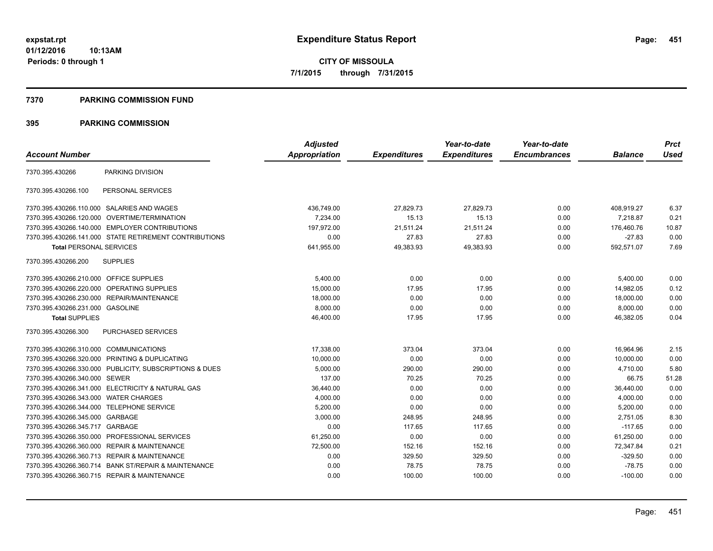#### **7370 PARKING COMMISSION FUND**

| <b>Account Number</b>                      |                                                         | <b>Adjusted</b><br>Appropriation | <b>Expenditures</b> | Year-to-date<br><b>Expenditures</b> | Year-to-date<br><b>Encumbrances</b> | <b>Balance</b> | <b>Prct</b><br><b>Used</b> |
|--------------------------------------------|---------------------------------------------------------|----------------------------------|---------------------|-------------------------------------|-------------------------------------|----------------|----------------------------|
|                                            |                                                         |                                  |                     |                                     |                                     |                |                            |
| 7370.395.430266                            | PARKING DIVISION                                        |                                  |                     |                                     |                                     |                |                            |
| 7370.395.430266.100                        | PERSONAL SERVICES                                       |                                  |                     |                                     |                                     |                |                            |
| 7370.395.430266.110.000 SALARIES AND WAGES |                                                         | 436,749.00                       | 27,829.73           | 27,829.73                           | 0.00                                | 408,919.27     | 6.37                       |
|                                            | 7370.395.430266.120.000 OVERTIME/TERMINATION            | 7,234.00                         | 15.13               | 15.13                               | 0.00                                | 7.218.87       | 0.21                       |
|                                            | 7370.395.430266.140.000 EMPLOYER CONTRIBUTIONS          | 197.972.00                       | 21,511.24           | 21,511.24                           | 0.00                                | 176,460.76     | 10.87                      |
|                                            | 7370.395.430266.141.000 STATE RETIREMENT CONTRIBUTIONS  | 0.00                             | 27.83               | 27.83                               | 0.00                                | $-27.83$       | 0.00                       |
| <b>Total PERSONAL SERVICES</b>             |                                                         | 641,955.00                       | 49,383.93           | 49,383.93                           | 0.00                                | 592,571.07     | 7.69                       |
| 7370.395.430266.200                        | <b>SUPPLIES</b>                                         |                                  |                     |                                     |                                     |                |                            |
| 7370.395.430266.210.000 OFFICE SUPPLIES    |                                                         | 5,400.00                         | 0.00                | 0.00                                | 0.00                                | 5,400.00       | 0.00                       |
| 7370.395.430266.220.000                    | OPERATING SUPPLIES                                      | 15,000.00                        | 17.95               | 17.95                               | 0.00                                | 14.982.05      | 0.12                       |
|                                            | 7370.395.430266.230.000 REPAIR/MAINTENANCE              | 18,000.00                        | 0.00                | 0.00                                | 0.00                                | 18,000.00      | 0.00                       |
| 7370.395.430266.231.000 GASOLINE           |                                                         | 8,000.00                         | 0.00                | 0.00                                | 0.00                                | 8,000.00       | 0.00                       |
| <b>Total SUPPLIES</b>                      |                                                         | 46,400.00                        | 17.95               | 17.95                               | 0.00                                | 46,382.05      | 0.04                       |
| 7370.395.430266.300                        | PURCHASED SERVICES                                      |                                  |                     |                                     |                                     |                |                            |
| 7370.395.430266.310.000 COMMUNICATIONS     |                                                         | 17,338.00                        | 373.04              | 373.04                              | 0.00                                | 16,964.96      | 2.15                       |
|                                            | 7370.395.430266.320.000 PRINTING & DUPLICATING          | 10,000.00                        | 0.00                | 0.00                                | 0.00                                | 10,000.00      | 0.00                       |
|                                            | 7370.395.430266.330.000 PUBLICITY, SUBSCRIPTIONS & DUES | 5,000.00                         | 290.00              | 290.00                              | 0.00                                | 4,710.00       | 5.80                       |
| 7370.395.430266.340.000 SEWER              |                                                         | 137.00                           | 70.25               | 70.25                               | 0.00                                | 66.75          | 51.28                      |
|                                            | 7370.395.430266.341.000 ELECTRICITY & NATURAL GAS       | 36,440.00                        | 0.00                | 0.00                                | 0.00                                | 36,440.00      | 0.00                       |
| 7370.395.430266.343.000 WATER CHARGES      |                                                         | 4,000.00                         | 0.00                | 0.00                                | 0.00                                | 4,000.00       | 0.00                       |
| 7370.395.430266.344.000                    | <b>TELEPHONE SERVICE</b>                                | 5,200.00                         | 0.00                | 0.00                                | 0.00                                | 5,200.00       | 0.00                       |
| 7370.395.430266.345.000                    | GARBAGE                                                 | 3,000.00                         | 248.95              | 248.95                              | 0.00                                | 2.751.05       | 8.30                       |
| 7370.395.430266.345.717                    | GARBAGE                                                 | 0.00                             | 117.65              | 117.65                              | 0.00                                | $-117.65$      | 0.00                       |
| 7370.395.430266.350.000                    | PROFESSIONAL SERVICES                                   | 61,250.00                        | 0.00                | 0.00                                | 0.00                                | 61,250.00      | 0.00                       |
| 7370.395.430266.360.000                    | <b>REPAIR &amp; MAINTENANCE</b>                         | 72,500.00                        | 152.16              | 152.16                              | 0.00                                | 72,347.84      | 0.21                       |
|                                            | 7370.395.430266.360.713 REPAIR & MAINTENANCE            | 0.00                             | 329.50              | 329.50                              | 0.00                                | $-329.50$      | 0.00                       |
| 7370.395.430266.360.714                    | <b>BANK ST/REPAIR &amp; MAINTENANCE</b>                 | 0.00                             | 78.75               | 78.75                               | 0.00                                | $-78.75$       | 0.00                       |
|                                            | 7370.395.430266.360.715 REPAIR & MAINTENANCE            | 0.00                             | 100.00              | 100.00                              | 0.00                                | $-100.00$      | 0.00                       |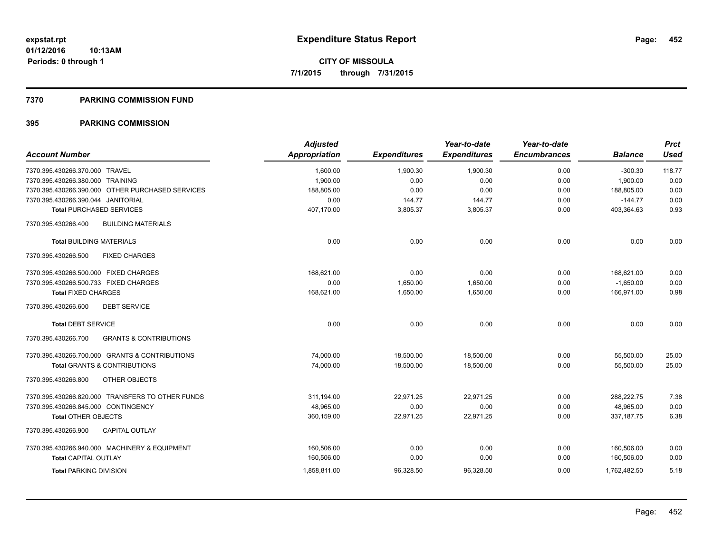#### **7370 PARKING COMMISSION FUND**

| <b>Account Number</b>                                    | <b>Adjusted</b><br>Appropriation | <b>Expenditures</b> | Year-to-date<br><b>Expenditures</b> | Year-to-date<br><b>Encumbrances</b> | <b>Balance</b> | <b>Prct</b><br><b>Used</b> |
|----------------------------------------------------------|----------------------------------|---------------------|-------------------------------------|-------------------------------------|----------------|----------------------------|
| 7370.395.430266.370.000 TRAVEL                           | 1,600.00                         | 1,900.30            | 1,900.30                            | 0.00                                | $-300.30$      | 118.77                     |
| 7370.395.430266.380.000 TRAINING                         | 1,900.00                         | 0.00                | 0.00                                | 0.00                                | 1,900.00       | 0.00                       |
| 7370.395.430266.390.000 OTHER PURCHASED SERVICES         | 188,805.00                       | 0.00                | 0.00                                | 0.00                                | 188,805.00     | 0.00                       |
| 7370.395.430266.390.044 JANITORIAL                       | 0.00                             | 144.77              | 144.77                              | 0.00                                | $-144.77$      | 0.00                       |
| Total PURCHASED SERVICES                                 | 407,170.00                       | 3,805.37            | 3,805.37                            | 0.00                                | 403.364.63     | 0.93                       |
| <b>BUILDING MATERIALS</b><br>7370.395.430266.400         |                                  |                     |                                     |                                     |                |                            |
| <b>Total BUILDING MATERIALS</b>                          | 0.00                             | 0.00                | 0.00                                | 0.00                                | 0.00           | 0.00                       |
| 7370.395.430266.500<br><b>FIXED CHARGES</b>              |                                  |                     |                                     |                                     |                |                            |
| 7370.395.430266.500.000 FIXED CHARGES                    | 168.621.00                       | 0.00                | 0.00                                | 0.00                                | 168.621.00     | 0.00                       |
| 7370.395.430266.500.733 FIXED CHARGES                    | 0.00                             | 1,650.00            | 1,650.00                            | 0.00                                | $-1,650.00$    | 0.00                       |
| <b>Total FIXED CHARGES</b>                               | 168,621.00                       | 1,650.00            | 1.650.00                            | 0.00                                | 166.971.00     | 0.98                       |
| 7370.395.430266.600<br><b>DEBT SERVICE</b>               |                                  |                     |                                     |                                     |                |                            |
| <b>Total DEBT SERVICE</b>                                | 0.00                             | 0.00                | 0.00                                | 0.00                                | 0.00           | 0.00                       |
| <b>GRANTS &amp; CONTRIBUTIONS</b><br>7370.395.430266.700 |                                  |                     |                                     |                                     |                |                            |
| 7370.395.430266.700.000 GRANTS & CONTRIBUTIONS           | 74,000.00                        | 18,500.00           | 18,500.00                           | 0.00                                | 55,500.00      | 25.00                      |
| Total GRANTS & CONTRIBUTIONS                             | 74,000.00                        | 18,500.00           | 18,500.00                           | 0.00                                | 55,500.00      | 25.00                      |
| 7370.395.430266.800<br>OTHER OBJECTS                     |                                  |                     |                                     |                                     |                |                            |
| 7370.395.430266.820.000 TRANSFERS TO OTHER FUNDS         | 311,194.00                       | 22,971.25           | 22.971.25                           | 0.00                                | 288,222.75     | 7.38                       |
| 7370.395.430266.845.000 CONTINGENCY                      | 48,965.00                        | 0.00                | 0.00                                | 0.00                                | 48,965.00      | 0.00                       |
| Total OTHER OBJECTS                                      | 360,159.00                       | 22,971.25           | 22,971.25                           | 0.00                                | 337, 187. 75   | 6.38                       |
| <b>CAPITAL OUTLAY</b><br>7370.395.430266.900             |                                  |                     |                                     |                                     |                |                            |
| 7370.395.430266.940.000 MACHINERY & EQUIPMENT            | 160,506.00                       | 0.00                | 0.00                                | 0.00                                | 160,506.00     | 0.00                       |
| <b>Total CAPITAL OUTLAY</b>                              | 160,506.00                       | 0.00                | 0.00                                | 0.00                                | 160,506.00     | 0.00                       |
| <b>Total PARKING DIVISION</b>                            | 1,858,811.00                     | 96,328.50           | 96,328.50                           | 0.00                                | 1,762,482.50   | 5.18                       |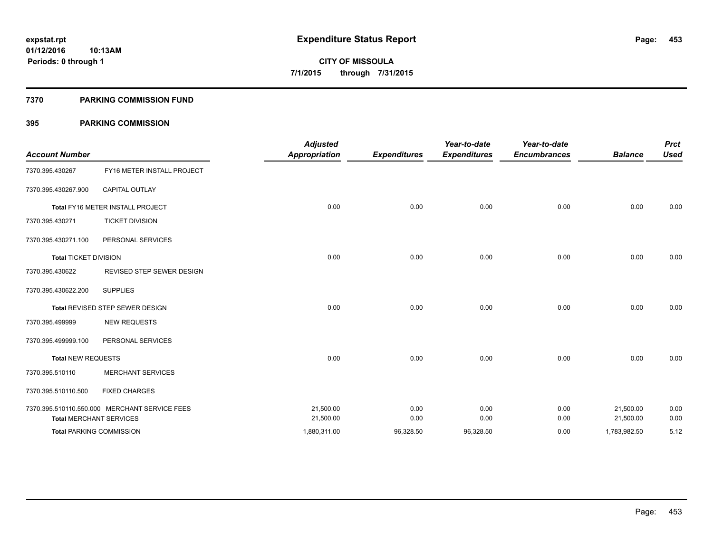#### **7370 PARKING COMMISSION FUND**

| <b>Account Number</b>        |                                               | <b>Adjusted</b><br><b>Appropriation</b> | <b>Expenditures</b> | Year-to-date<br><b>Expenditures</b> | Year-to-date<br><b>Encumbrances</b> | <b>Balance</b> | <b>Prct</b><br><b>Used</b> |
|------------------------------|-----------------------------------------------|-----------------------------------------|---------------------|-------------------------------------|-------------------------------------|----------------|----------------------------|
| 7370.395.430267              | FY16 METER INSTALL PROJECT                    |                                         |                     |                                     |                                     |                |                            |
| 7370.395.430267.900          | <b>CAPITAL OUTLAY</b>                         |                                         |                     |                                     |                                     |                |                            |
|                              | Total FY16 METER INSTALL PROJECT              | 0.00                                    | 0.00                | 0.00                                | 0.00                                | 0.00           | 0.00                       |
| 7370.395.430271              | <b>TICKET DIVISION</b>                        |                                         |                     |                                     |                                     |                |                            |
| 7370.395.430271.100          | PERSONAL SERVICES                             |                                         |                     |                                     |                                     |                |                            |
| <b>Total TICKET DIVISION</b> |                                               | 0.00                                    | 0.00                | 0.00                                | 0.00                                | 0.00           | 0.00                       |
| 7370.395.430622              | REVISED STEP SEWER DESIGN                     |                                         |                     |                                     |                                     |                |                            |
| 7370.395.430622.200          | <b>SUPPLIES</b>                               |                                         |                     |                                     |                                     |                |                            |
|                              | Total REVISED STEP SEWER DESIGN               | 0.00                                    | 0.00                | 0.00                                | 0.00                                | 0.00           | 0.00                       |
| 7370.395.499999              | <b>NEW REQUESTS</b>                           |                                         |                     |                                     |                                     |                |                            |
| 7370.395.499999.100          | PERSONAL SERVICES                             |                                         |                     |                                     |                                     |                |                            |
| <b>Total NEW REQUESTS</b>    |                                               | 0.00                                    | 0.00                | 0.00                                | 0.00                                | 0.00           | 0.00                       |
| 7370.395.510110              | <b>MERCHANT SERVICES</b>                      |                                         |                     |                                     |                                     |                |                            |
| 7370.395.510110.500          | <b>FIXED CHARGES</b>                          |                                         |                     |                                     |                                     |                |                            |
|                              | 7370.395.510110.550.000 MERCHANT SERVICE FEES | 21,500.00                               | 0.00                | 0.00                                | 0.00                                | 21,500.00      | 0.00                       |
|                              | <b>Total MERCHANT SERVICES</b>                | 21,500.00                               | 0.00                | 0.00                                | 0.00                                | 21,500.00      | 0.00                       |
|                              | <b>Total PARKING COMMISSION</b>               | 1,880,311.00                            | 96,328.50           | 96,328.50                           | 0.00                                | 1,783,982.50   | 5.12                       |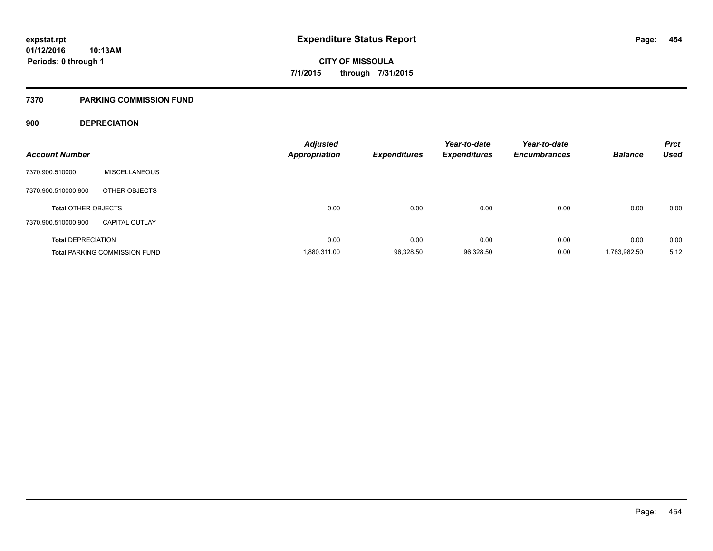#### **7370 PARKING COMMISSION FUND**

## **900 DEPRECIATION**

| <b>Account Number</b>      |                                      | <b>Adjusted</b><br><b>Appropriation</b> | <b>Expenditures</b> | Year-to-date<br><b>Expenditures</b> | Year-to-date<br><b>Encumbrances</b> | <b>Balance</b> | <b>Prct</b><br><b>Used</b> |
|----------------------------|--------------------------------------|-----------------------------------------|---------------------|-------------------------------------|-------------------------------------|----------------|----------------------------|
| 7370.900.510000            | <b>MISCELLANEOUS</b>                 |                                         |                     |                                     |                                     |                |                            |
| 7370.900.510000.800        | OTHER OBJECTS                        |                                         |                     |                                     |                                     |                |                            |
| <b>Total OTHER OBJECTS</b> |                                      | 0.00                                    | 0.00                | 0.00                                | 0.00                                | 0.00           | 0.00                       |
| 7370.900.510000.900        | <b>CAPITAL OUTLAY</b>                |                                         |                     |                                     |                                     |                |                            |
| <b>Total DEPRECIATION</b>  |                                      | 0.00                                    | 0.00                | 0.00                                | 0.00                                | 0.00           | 0.00                       |
|                            | <b>Total PARKING COMMISSION FUND</b> | 1,880,311.00                            | 96,328.50           | 96,328.50                           | 0.00                                | 1,783,982.50   | 5.12                       |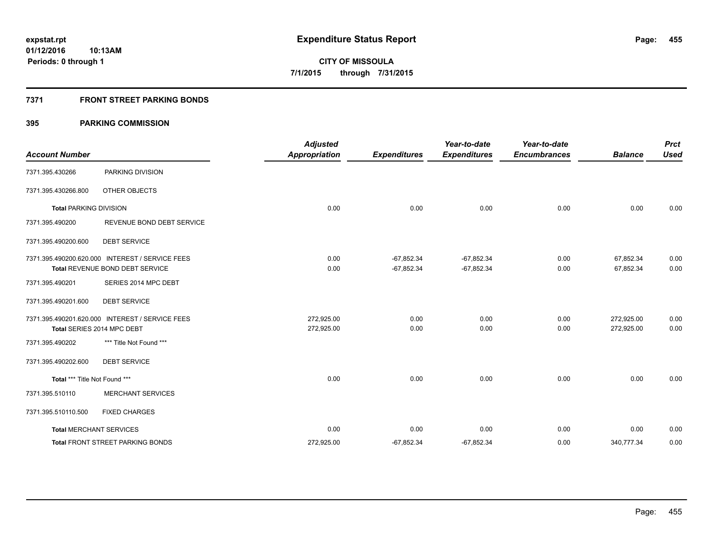## **7371 FRONT STREET PARKING BONDS**

| <b>Account Number</b>         |                                                                                    | <b>Adjusted</b><br><b>Appropriation</b> | <b>Expenditures</b>          | Year-to-date<br><b>Expenditures</b> | Year-to-date<br><b>Encumbrances</b> | <b>Balance</b>           | <b>Prct</b><br><b>Used</b> |
|-------------------------------|------------------------------------------------------------------------------------|-----------------------------------------|------------------------------|-------------------------------------|-------------------------------------|--------------------------|----------------------------|
| 7371.395.430266               | PARKING DIVISION                                                                   |                                         |                              |                                     |                                     |                          |                            |
| 7371.395.430266.800           | OTHER OBJECTS                                                                      |                                         |                              |                                     |                                     |                          |                            |
| <b>Total PARKING DIVISION</b> |                                                                                    | 0.00                                    | 0.00                         | 0.00                                | 0.00                                | 0.00                     | 0.00                       |
| 7371.395.490200               | REVENUE BOND DEBT SERVICE                                                          |                                         |                              |                                     |                                     |                          |                            |
| 7371.395.490200.600           | <b>DEBT SERVICE</b>                                                                |                                         |                              |                                     |                                     |                          |                            |
|                               | 7371.395.490200.620.000 INTEREST / SERVICE FEES<br>Total REVENUE BOND DEBT SERVICE | 0.00<br>0.00                            | $-67,852.34$<br>$-67,852.34$ | $-67,852.34$<br>$-67,852.34$        | 0.00<br>0.00                        | 67,852.34<br>67,852.34   | 0.00<br>0.00               |
| 7371.395.490201               | SERIES 2014 MPC DEBT                                                               |                                         |                              |                                     |                                     |                          |                            |
| 7371.395.490201.600           | <b>DEBT SERVICE</b>                                                                |                                         |                              |                                     |                                     |                          |                            |
|                               | 7371.395.490201.620.000 INTEREST / SERVICE FEES<br>Total SERIES 2014 MPC DEBT      | 272,925.00<br>272,925.00                | 0.00<br>0.00                 | 0.00<br>0.00                        | 0.00<br>0.00                        | 272,925.00<br>272,925.00 | 0.00<br>0.00               |
| 7371.395.490202               | *** Title Not Found ***                                                            |                                         |                              |                                     |                                     |                          |                            |
| 7371.395.490202.600           | <b>DEBT SERVICE</b>                                                                |                                         |                              |                                     |                                     |                          |                            |
| Total *** Title Not Found *** |                                                                                    | 0.00                                    | 0.00                         | 0.00                                | 0.00                                | 0.00                     | 0.00                       |
| 7371.395.510110               | <b>MERCHANT SERVICES</b>                                                           |                                         |                              |                                     |                                     |                          |                            |
| 7371.395.510110.500           | <b>FIXED CHARGES</b>                                                               |                                         |                              |                                     |                                     |                          |                            |
|                               | <b>Total MERCHANT SERVICES</b>                                                     | 0.00                                    | 0.00                         | 0.00                                | 0.00                                | 0.00                     | 0.00                       |
|                               | <b>Total FRONT STREET PARKING BONDS</b>                                            | 272,925.00                              | $-67,852.34$                 | $-67,852.34$                        | 0.00                                | 340,777.34               | 0.00                       |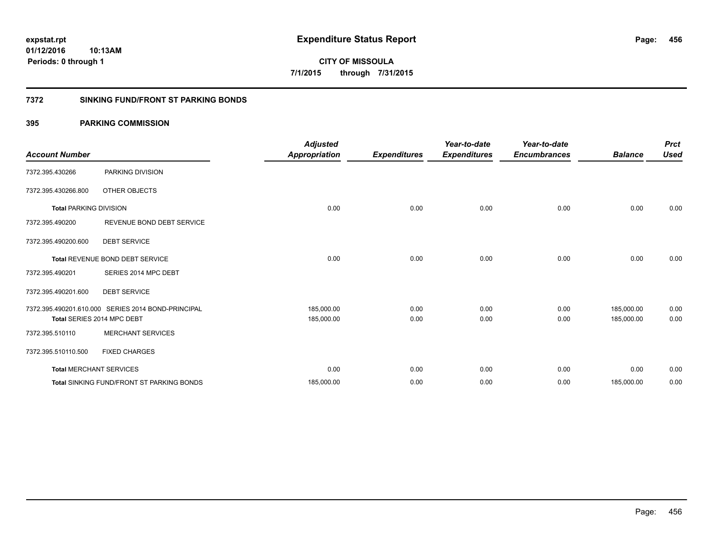**456**

**01/12/2016 10:13AM Periods: 0 through 1**

**CITY OF MISSOULA 7/1/2015 through 7/31/2015**

#### **7372 SINKING FUND/FRONT ST PARKING BONDS**

| <b>Account Number</b>         |                                                    | <b>Adjusted</b><br><b>Appropriation</b> | <b>Expenditures</b> | Year-to-date<br><b>Expenditures</b> | Year-to-date<br><b>Encumbrances</b> | <b>Balance</b> | <b>Prct</b><br><b>Used</b> |
|-------------------------------|----------------------------------------------------|-----------------------------------------|---------------------|-------------------------------------|-------------------------------------|----------------|----------------------------|
| 7372.395.430266               | PARKING DIVISION                                   |                                         |                     |                                     |                                     |                |                            |
| 7372.395.430266.800           | OTHER OBJECTS                                      |                                         |                     |                                     |                                     |                |                            |
| <b>Total PARKING DIVISION</b> |                                                    | 0.00                                    | 0.00                | 0.00                                | 0.00                                | 0.00           | 0.00                       |
| 7372.395.490200               | REVENUE BOND DEBT SERVICE                          |                                         |                     |                                     |                                     |                |                            |
| 7372.395.490200.600           | <b>DEBT SERVICE</b>                                |                                         |                     |                                     |                                     |                |                            |
|                               | Total REVENUE BOND DEBT SERVICE                    | 0.00                                    | 0.00                | 0.00                                | 0.00                                | 0.00           | 0.00                       |
| 7372.395.490201               | SERIES 2014 MPC DEBT                               |                                         |                     |                                     |                                     |                |                            |
| 7372.395.490201.600           | <b>DEBT SERVICE</b>                                |                                         |                     |                                     |                                     |                |                            |
|                               | 7372.395.490201.610.000 SERIES 2014 BOND-PRINCIPAL | 185,000.00                              | 0.00                | 0.00                                | 0.00                                | 185,000.00     | 0.00                       |
|                               | Total SERIES 2014 MPC DEBT                         | 185,000.00                              | 0.00                | 0.00                                | 0.00                                | 185,000.00     | 0.00                       |
| 7372.395.510110               | <b>MERCHANT SERVICES</b>                           |                                         |                     |                                     |                                     |                |                            |
| 7372.395.510110.500           | <b>FIXED CHARGES</b>                               |                                         |                     |                                     |                                     |                |                            |
|                               | <b>Total MERCHANT SERVICES</b>                     | 0.00                                    | 0.00                | 0.00                                | 0.00                                | 0.00           | 0.00                       |
|                               | <b>Total SINKING FUND/FRONT ST PARKING BONDS</b>   | 185,000.00                              | 0.00                | 0.00                                | 0.00                                | 185,000.00     | 0.00                       |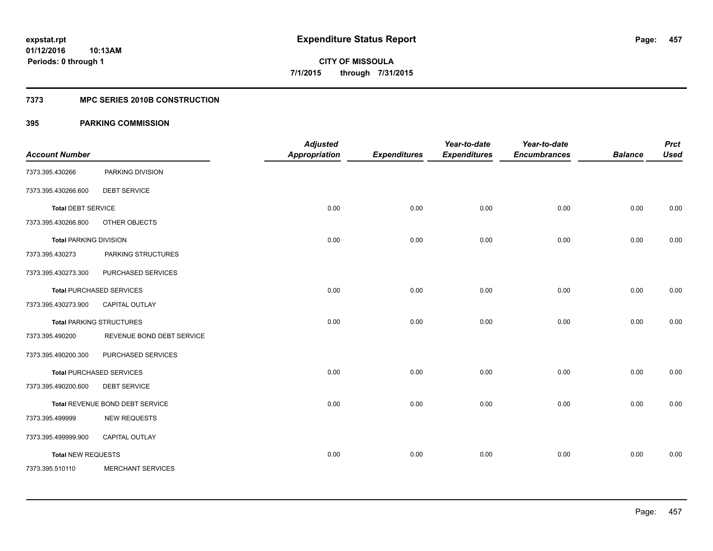## **7373 MPC SERIES 2010B CONSTRUCTION**

| <b>Account Number</b>         |                                 | <b>Adjusted</b><br><b>Appropriation</b> | <b>Expenditures</b> | Year-to-date<br><b>Expenditures</b> | Year-to-date<br><b>Encumbrances</b> | <b>Balance</b> | <b>Prct</b><br><b>Used</b> |
|-------------------------------|---------------------------------|-----------------------------------------|---------------------|-------------------------------------|-------------------------------------|----------------|----------------------------|
| 7373.395.430266               | PARKING DIVISION                |                                         |                     |                                     |                                     |                |                            |
| 7373.395.430266.600           | <b>DEBT SERVICE</b>             |                                         |                     |                                     |                                     |                |                            |
| <b>Total DEBT SERVICE</b>     |                                 | 0.00                                    | 0.00                | 0.00                                | 0.00                                | 0.00           | 0.00                       |
| 7373.395.430266.800           | OTHER OBJECTS                   |                                         |                     |                                     |                                     |                |                            |
| <b>Total PARKING DIVISION</b> |                                 | 0.00                                    | 0.00                | 0.00                                | 0.00                                | 0.00           | 0.00                       |
| 7373.395.430273               | PARKING STRUCTURES              |                                         |                     |                                     |                                     |                |                            |
| 7373.395.430273.300           | PURCHASED SERVICES              |                                         |                     |                                     |                                     |                |                            |
|                               | <b>Total PURCHASED SERVICES</b> | 0.00                                    | 0.00                | 0.00                                | 0.00                                | 0.00           | 0.00                       |
| 7373.395.430273.900           | CAPITAL OUTLAY                  |                                         |                     |                                     |                                     |                |                            |
|                               | <b>Total PARKING STRUCTURES</b> | 0.00                                    | 0.00                | 0.00                                | 0.00                                | 0.00           | 0.00                       |
| 7373.395.490200               | REVENUE BOND DEBT SERVICE       |                                         |                     |                                     |                                     |                |                            |
| 7373.395.490200.300           | PURCHASED SERVICES              |                                         |                     |                                     |                                     |                |                            |
|                               | <b>Total PURCHASED SERVICES</b> | 0.00                                    | 0.00                | 0.00                                | 0.00                                | 0.00           | 0.00                       |
| 7373.395.490200.600           | <b>DEBT SERVICE</b>             |                                         |                     |                                     |                                     |                |                            |
|                               | Total REVENUE BOND DEBT SERVICE | 0.00                                    | 0.00                | 0.00                                | 0.00                                | 0.00           | 0.00                       |
| 7373.395.499999               | <b>NEW REQUESTS</b>             |                                         |                     |                                     |                                     |                |                            |
| 7373.395.499999.900           | <b>CAPITAL OUTLAY</b>           |                                         |                     |                                     |                                     |                |                            |
| <b>Total NEW REQUESTS</b>     |                                 | 0.00                                    | 0.00                | 0.00                                | 0.00                                | 0.00           | 0.00                       |
| 7373.395.510110               | MERCHANT SERVICES               |                                         |                     |                                     |                                     |                |                            |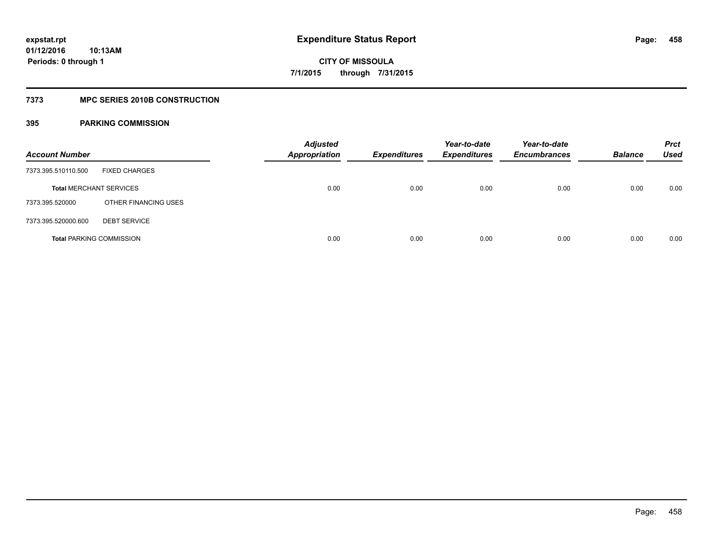### **7373 MPC SERIES 2010B CONSTRUCTION**

| <b>Account Number</b>           |                      | <b>Adjusted</b><br><b>Appropriation</b> | <b>Expenditures</b> | Year-to-date<br><b>Expenditures</b> | Year-to-date<br><b>Encumbrances</b> | <b>Balance</b> | <b>Prct</b><br>Used |
|---------------------------------|----------------------|-----------------------------------------|---------------------|-------------------------------------|-------------------------------------|----------------|---------------------|
| 7373.395.510110.500             | <b>FIXED CHARGES</b> |                                         |                     |                                     |                                     |                |                     |
| <b>Total MERCHANT SERVICES</b>  |                      | 0.00                                    | 0.00                | 0.00                                | 0.00                                | 0.00           | 0.00                |
| 7373.395.520000                 | OTHER FINANCING USES |                                         |                     |                                     |                                     |                |                     |
| 7373.395.520000.600             | <b>DEBT SERVICE</b>  |                                         |                     |                                     |                                     |                |                     |
| <b>Total PARKING COMMISSION</b> |                      | 0.00                                    | 0.00                | 0.00                                | 0.00                                | 0.00           | 0.00                |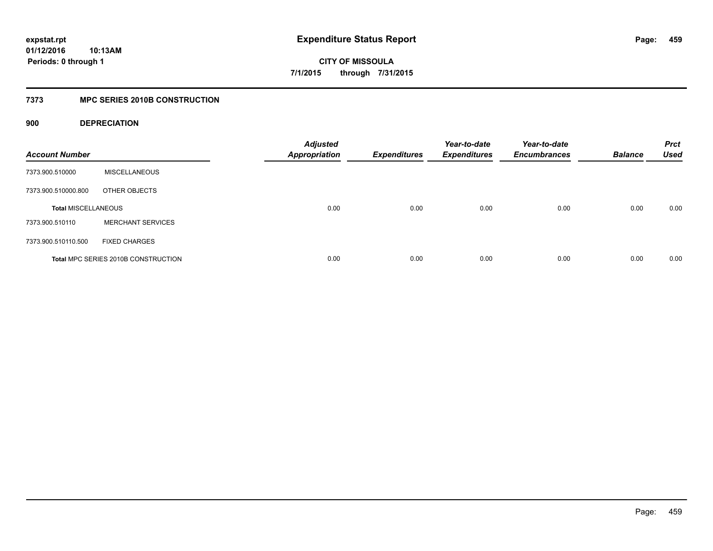**CITY OF MISSOULA 7/1/2015 through 7/31/2015**

## **7373 MPC SERIES 2010B CONSTRUCTION**

## **900 DEPRECIATION**

| <b>Account Number</b>      |                                     | <b>Adjusted</b><br><b>Appropriation</b> | <b>Expenditures</b> | Year-to-date<br><b>Expenditures</b> | Year-to-date<br><b>Encumbrances</b> | <b>Balance</b> | <b>Prct</b><br><b>Used</b> |
|----------------------------|-------------------------------------|-----------------------------------------|---------------------|-------------------------------------|-------------------------------------|----------------|----------------------------|
| 7373.900.510000            | <b>MISCELLANEOUS</b>                |                                         |                     |                                     |                                     |                |                            |
| 7373.900.510000.800        | OTHER OBJECTS                       |                                         |                     |                                     |                                     |                |                            |
| <b>Total MISCELLANEOUS</b> |                                     | 0.00                                    | 0.00                | 0.00                                | 0.00                                | 0.00           | 0.00                       |
| 7373.900.510110            | <b>MERCHANT SERVICES</b>            |                                         |                     |                                     |                                     |                |                            |
| 7373.900.510110.500        | <b>FIXED CHARGES</b>                |                                         |                     |                                     |                                     |                |                            |
|                            | Total MPC SERIES 2010B CONSTRUCTION | 0.00                                    | 0.00                | 0.00                                | 0.00                                | 0.00           | 0.00                       |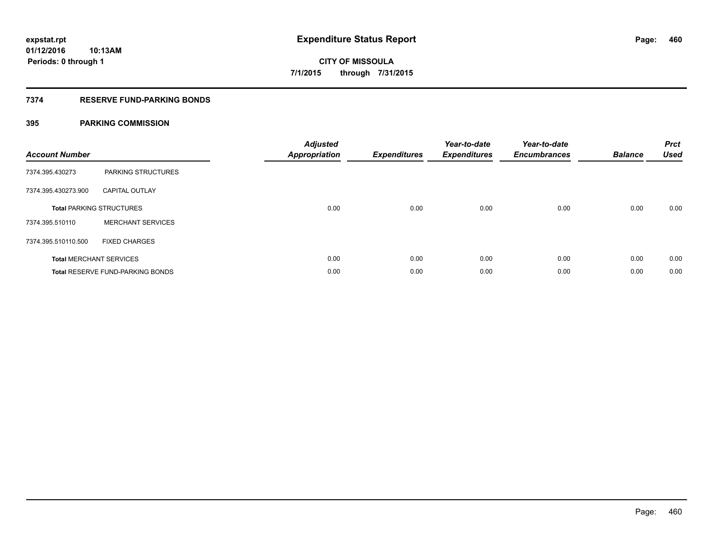## **7374 RESERVE FUND-PARKING BONDS**

| <b>Account Number</b> |                                         | <b>Adjusted</b><br>Appropriation | <b>Expenditures</b> | Year-to-date<br><b>Expenditures</b> | Year-to-date<br><b>Encumbrances</b> | <b>Balance</b> | <b>Prct</b><br><b>Used</b> |
|-----------------------|-----------------------------------------|----------------------------------|---------------------|-------------------------------------|-------------------------------------|----------------|----------------------------|
| 7374.395.430273       | PARKING STRUCTURES                      |                                  |                     |                                     |                                     |                |                            |
| 7374.395.430273.900   | <b>CAPITAL OUTLAY</b>                   |                                  |                     |                                     |                                     |                |                            |
|                       | <b>Total PARKING STRUCTURES</b>         | 0.00                             | 0.00                | 0.00                                | 0.00                                | 0.00           | 0.00                       |
| 7374.395.510110       | <b>MERCHANT SERVICES</b>                |                                  |                     |                                     |                                     |                |                            |
| 7374.395.510110.500   | <b>FIXED CHARGES</b>                    |                                  |                     |                                     |                                     |                |                            |
|                       | <b>Total MERCHANT SERVICES</b>          | 0.00                             | 0.00                | 0.00                                | 0.00                                | 0.00           | 0.00                       |
|                       | <b>Total RESERVE FUND-PARKING BONDS</b> | 0.00                             | 0.00                | 0.00                                | 0.00                                | 0.00           | 0.00                       |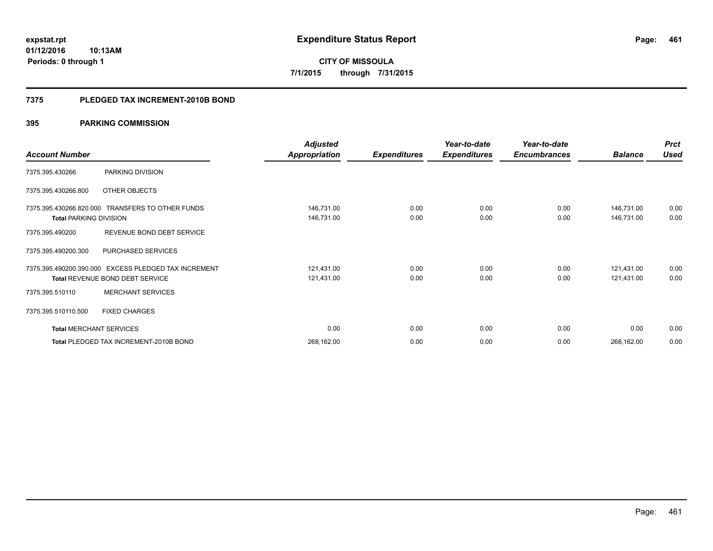**Periods: 0 through 1**

**CITY OF MISSOULA 7/1/2015 through 7/31/2015**

#### **7375 PLEDGED TAX INCREMENT-2010B BOND**

## **395 PARKING COMMISSION**

**10:13AM**

|                                |                                                      | <b>Adjusted</b>      |                     | Year-to-date        | Year-to-date        |                | <b>Prct</b> |
|--------------------------------|------------------------------------------------------|----------------------|---------------------|---------------------|---------------------|----------------|-------------|
| <b>Account Number</b>          |                                                      | <b>Appropriation</b> | <b>Expenditures</b> | <b>Expenditures</b> | <b>Encumbrances</b> | <b>Balance</b> | <b>Used</b> |
| 7375.395.430266                | PARKING DIVISION                                     |                      |                     |                     |                     |                |             |
| 7375.395.430266.800            | OTHER OBJECTS                                        |                      |                     |                     |                     |                |             |
|                                | 7375.395.430266.820.000 TRANSFERS TO OTHER FUNDS     | 146,731.00           | 0.00                | 0.00                | 0.00                | 146,731.00     | 0.00        |
| <b>Total PARKING DIVISION</b>  |                                                      | 146,731.00           | 0.00                | 0.00                | 0.00                | 146,731.00     | 0.00        |
| 7375.395.490200                | REVENUE BOND DEBT SERVICE                            |                      |                     |                     |                     |                |             |
| 7375.395.490200.300            | PURCHASED SERVICES                                   |                      |                     |                     |                     |                |             |
|                                | 7375.395.490200.390.000 EXCESS PLEDGED TAX INCREMENT | 121,431.00           | 0.00                | 0.00                | 0.00                | 121,431.00     | 0.00        |
|                                | <b>Total REVENUE BOND DEBT SERVICE</b>               | 121,431.00           | 0.00                | 0.00                | 0.00                | 121,431.00     | 0.00        |
| 7375.395.510110                | <b>MERCHANT SERVICES</b>                             |                      |                     |                     |                     |                |             |
| 7375.395.510110.500            | <b>FIXED CHARGES</b>                                 |                      |                     |                     |                     |                |             |
| <b>Total MERCHANT SERVICES</b> |                                                      | 0.00                 | 0.00                | 0.00                | 0.00                | 0.00           | 0.00        |
|                                | Total PLEDGED TAX INCREMENT-2010B BOND               | 268,162.00           | 0.00                | 0.00                | 0.00                | 268,162.00     | 0.00        |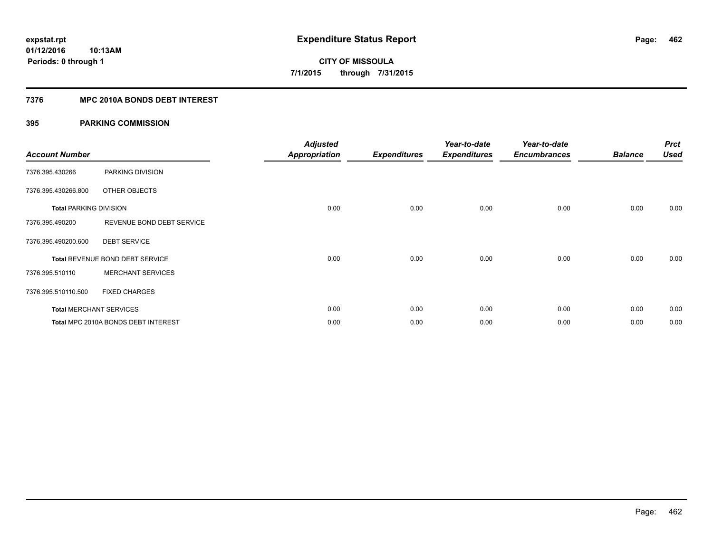## **7376 MPC 2010A BONDS DEBT INTEREST**

| <b>Account Number</b>         |                                     | <b>Adjusted</b><br><b>Appropriation</b> | <b>Expenditures</b> | Year-to-date<br><b>Expenditures</b> | Year-to-date<br><b>Encumbrances</b> | <b>Balance</b> | <b>Prct</b><br><b>Used</b> |
|-------------------------------|-------------------------------------|-----------------------------------------|---------------------|-------------------------------------|-------------------------------------|----------------|----------------------------|
| 7376.395.430266               | PARKING DIVISION                    |                                         |                     |                                     |                                     |                |                            |
| 7376.395.430266.800           | OTHER OBJECTS                       |                                         |                     |                                     |                                     |                |                            |
| <b>Total PARKING DIVISION</b> |                                     | 0.00                                    | 0.00                | 0.00                                | 0.00                                | 0.00           | 0.00                       |
| 7376.395.490200               | REVENUE BOND DEBT SERVICE           |                                         |                     |                                     |                                     |                |                            |
| 7376.395.490200.600           | <b>DEBT SERVICE</b>                 |                                         |                     |                                     |                                     |                |                            |
|                               | Total REVENUE BOND DEBT SERVICE     | 0.00                                    | 0.00                | 0.00                                | 0.00                                | 0.00           | 0.00                       |
| 7376.395.510110               | <b>MERCHANT SERVICES</b>            |                                         |                     |                                     |                                     |                |                            |
| 7376.395.510110.500           | <b>FIXED CHARGES</b>                |                                         |                     |                                     |                                     |                |                            |
|                               | <b>Total MERCHANT SERVICES</b>      | 0.00                                    | 0.00                | 0.00                                | 0.00                                | 0.00           | 0.00                       |
|                               | Total MPC 2010A BONDS DEBT INTEREST | 0.00                                    | 0.00                | 0.00                                | 0.00                                | 0.00           | 0.00                       |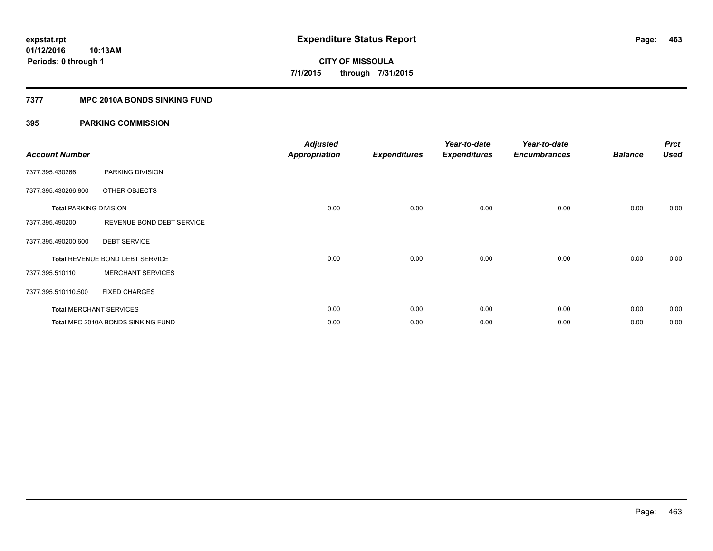### **7377 MPC 2010A BONDS SINKING FUND**

| <b>Account Number</b>         |                                    | <b>Adjusted</b><br><b>Appropriation</b> | <b>Expenditures</b> | Year-to-date<br><b>Expenditures</b> | Year-to-date<br><b>Encumbrances</b> | <b>Balance</b> | <b>Prct</b><br><b>Used</b> |
|-------------------------------|------------------------------------|-----------------------------------------|---------------------|-------------------------------------|-------------------------------------|----------------|----------------------------|
| 7377.395.430266               | PARKING DIVISION                   |                                         |                     |                                     |                                     |                |                            |
| 7377.395.430266.800           | OTHER OBJECTS                      |                                         |                     |                                     |                                     |                |                            |
| <b>Total PARKING DIVISION</b> |                                    | 0.00                                    | 0.00                | 0.00                                | 0.00                                | 0.00           | 0.00                       |
| 7377.395.490200               | REVENUE BOND DEBT SERVICE          |                                         |                     |                                     |                                     |                |                            |
| 7377.395.490200.600           | <b>DEBT SERVICE</b>                |                                         |                     |                                     |                                     |                |                            |
|                               | Total REVENUE BOND DEBT SERVICE    | 0.00                                    | 0.00                | 0.00                                | 0.00                                | 0.00           | 0.00                       |
| 7377.395.510110               | <b>MERCHANT SERVICES</b>           |                                         |                     |                                     |                                     |                |                            |
| 7377.395.510110.500           | <b>FIXED CHARGES</b>               |                                         |                     |                                     |                                     |                |                            |
|                               | <b>Total MERCHANT SERVICES</b>     | 0.00                                    | 0.00                | 0.00                                | 0.00                                | 0.00           | 0.00                       |
|                               | Total MPC 2010A BONDS SINKING FUND | 0.00                                    | 0.00                | 0.00                                | 0.00                                | 0.00           | 0.00                       |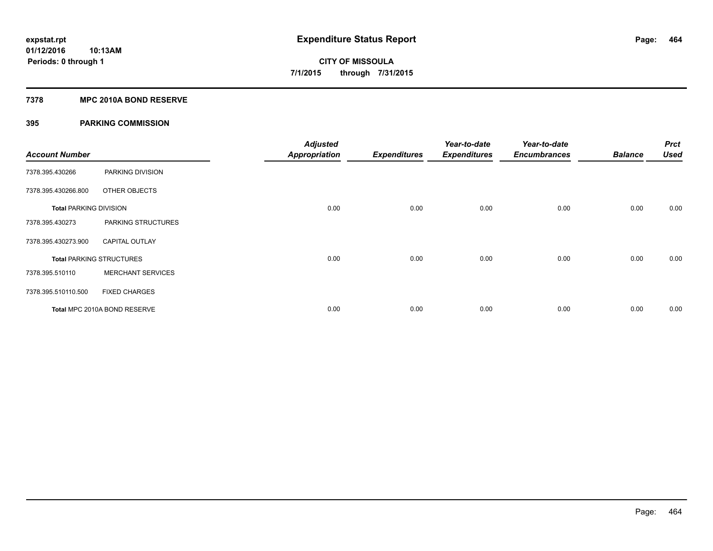#### **7378 MPC 2010A BOND RESERVE**

| <b>Account Number</b>         |                                 | <b>Adjusted</b><br><b>Appropriation</b> | <b>Expenditures</b> | Year-to-date<br><b>Expenditures</b> | Year-to-date<br><b>Encumbrances</b> | <b>Balance</b> | <b>Prct</b><br><b>Used</b> |
|-------------------------------|---------------------------------|-----------------------------------------|---------------------|-------------------------------------|-------------------------------------|----------------|----------------------------|
| 7378.395.430266               | PARKING DIVISION                |                                         |                     |                                     |                                     |                |                            |
| 7378.395.430266.800           | OTHER OBJECTS                   |                                         |                     |                                     |                                     |                |                            |
| <b>Total PARKING DIVISION</b> |                                 | 0.00                                    | 0.00                | 0.00                                | 0.00                                | 0.00           | 0.00                       |
| 7378.395.430273               | PARKING STRUCTURES              |                                         |                     |                                     |                                     |                |                            |
| 7378.395.430273.900           | <b>CAPITAL OUTLAY</b>           |                                         |                     |                                     |                                     |                |                            |
|                               | <b>Total PARKING STRUCTURES</b> | 0.00                                    | 0.00                | 0.00                                | 0.00                                | 0.00           | 0.00                       |
| 7378.395.510110               | <b>MERCHANT SERVICES</b>        |                                         |                     |                                     |                                     |                |                            |
| 7378.395.510110.500           | <b>FIXED CHARGES</b>            |                                         |                     |                                     |                                     |                |                            |
|                               | Total MPC 2010A BOND RESERVE    | 0.00                                    | 0.00                | 0.00                                | 0.00                                | 0.00           | 0.00                       |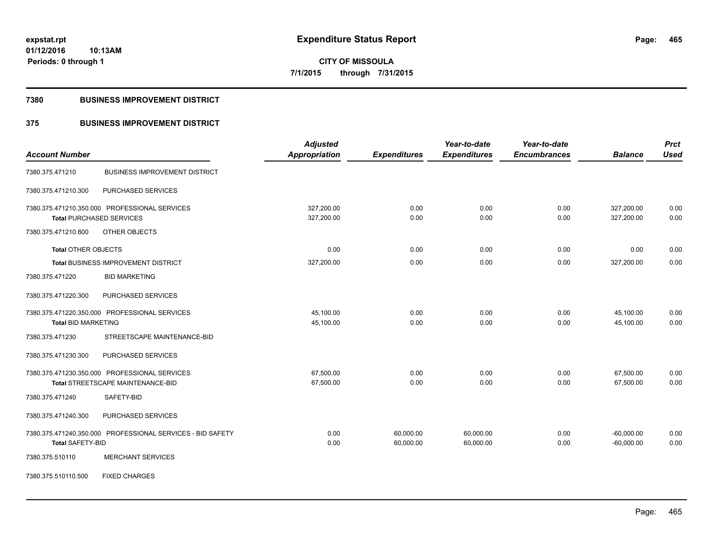**465**

**01/12/2016 10:13AM Periods: 0 through 1**

**CITY OF MISSOULA 7/1/2015 through 7/31/2015**

#### **7380 BUSINESS IMPROVEMENT DISTRICT**

## **375 BUSINESS IMPROVEMENT DISTRICT**

|                                                            | <b>Adjusted</b>      |                     | Year-to-date        | Year-to-date        |                | <b>Prct</b> |
|------------------------------------------------------------|----------------------|---------------------|---------------------|---------------------|----------------|-------------|
| <b>Account Number</b>                                      | <b>Appropriation</b> | <b>Expenditures</b> | <b>Expenditures</b> | <b>Encumbrances</b> | <b>Balance</b> | <b>Used</b> |
| <b>BUSINESS IMPROVEMENT DISTRICT</b><br>7380.375.471210    |                      |                     |                     |                     |                |             |
| 7380.375.471210.300<br>PURCHASED SERVICES                  |                      |                     |                     |                     |                |             |
| 7380.375.471210.350.000 PROFESSIONAL SERVICES              | 327,200.00           | 0.00                | 0.00                | 0.00                | 327,200.00     | 0.00        |
| <b>Total PURCHASED SERVICES</b>                            | 327,200.00           | 0.00                | 0.00                | 0.00                | 327,200.00     | 0.00        |
| 7380.375.471210.800<br>OTHER OBJECTS                       |                      |                     |                     |                     |                |             |
| Total OTHER OBJECTS                                        | 0.00                 | 0.00                | 0.00                | 0.00                | 0.00           | 0.00        |
| Total BUSINESS IMPROVEMENT DISTRICT                        | 327,200.00           | 0.00                | 0.00                | 0.00                | 327,200.00     | 0.00        |
| <b>BID MARKETING</b><br>7380.375.471220                    |                      |                     |                     |                     |                |             |
| 7380.375.471220.300<br>PURCHASED SERVICES                  |                      |                     |                     |                     |                |             |
| 7380.375.471220.350.000 PROFESSIONAL SERVICES              | 45,100.00            | 0.00                | 0.00                | 0.00                | 45,100.00      | 0.00        |
| <b>Total BID MARKETING</b>                                 | 45,100.00            | 0.00                | 0.00                | 0.00                | 45,100.00      | 0.00        |
| STREETSCAPE MAINTENANCE-BID<br>7380.375.471230             |                      |                     |                     |                     |                |             |
| PURCHASED SERVICES<br>7380.375.471230.300                  |                      |                     |                     |                     |                |             |
| 7380.375.471230.350.000 PROFESSIONAL SERVICES              | 67,500.00            | 0.00                | 0.00                | 0.00                | 67,500.00      | 0.00        |
| Total STREETSCAPE MAINTENANCE-BID                          | 67,500.00            | 0.00                | 0.00                | 0.00                | 67,500.00      | 0.00        |
| SAFETY-BID<br>7380.375.471240                              |                      |                     |                     |                     |                |             |
| PURCHASED SERVICES<br>7380.375.471240.300                  |                      |                     |                     |                     |                |             |
| 7380.375.471240.350.000 PROFESSIONAL SERVICES - BID SAFETY | 0.00                 | 60,000.00           | 60,000.00           | 0.00                | $-60,000.00$   | 0.00        |
| <b>Total SAFETY-BID</b>                                    | 0.00                 | 60,000.00           | 60,000.00           | 0.00                | $-60,000.00$   | 0.00        |
| 7380.375.510110<br><b>MERCHANT SERVICES</b>                |                      |                     |                     |                     |                |             |
| <b>FIXED CHARGES</b><br>7380.375.510110.500                |                      |                     |                     |                     |                |             |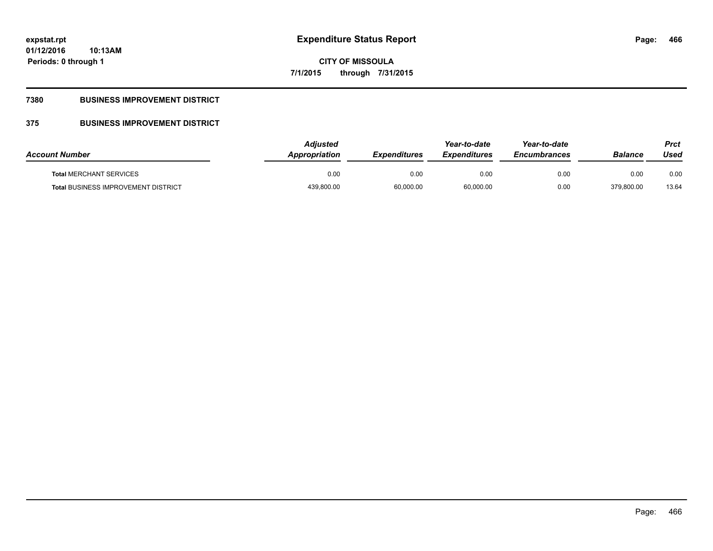**CITY OF MISSOULA 7/1/2015 through 7/31/2015**

## **7380 BUSINESS IMPROVEMENT DISTRICT**

## **375 BUSINESS IMPROVEMENT DISTRICT**

| <b>Account Number</b>                      | Adjusted<br>Appropriation | <b>Expenditures</b> | Year-to-date<br><b>Expenditures</b> | Year-to-date<br><b>Encumbrances</b> | <b>Balance</b> | Prct<br>Used |
|--------------------------------------------|---------------------------|---------------------|-------------------------------------|-------------------------------------|----------------|--------------|
| <b>Total MERCHANT SERVICES</b>             | 0.00                      | 0.00                | 0.00                                | 0.00                                | 0.00           | 0.00         |
| <b>Total BUSINESS IMPROVEMENT DISTRICT</b> | 439,800.00                | 60,000.00           | 60,000.00                           | 0.00                                | 379,800.00     | 13.64        |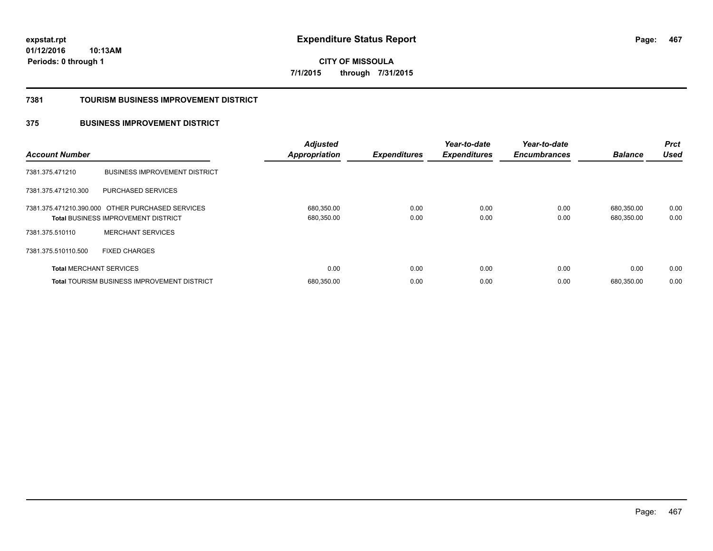**467**

**01/12/2016 10:13AM Periods: 0 through 1**

**CITY OF MISSOULA 7/1/2015 through 7/31/2015**

#### **7381 TOURISM BUSINESS IMPROVEMENT DISTRICT**

## **375 BUSINESS IMPROVEMENT DISTRICT**

| <b>Account Number</b>          |                                                                                         | <b>Adjusted</b><br><b>Appropriation</b> | <b>Expenditures</b> | Year-to-date<br><b>Expenditures</b> | Year-to-date<br><b>Encumbrances</b> | <b>Balance</b>           | <b>Prct</b><br><b>Used</b> |
|--------------------------------|-----------------------------------------------------------------------------------------|-----------------------------------------|---------------------|-------------------------------------|-------------------------------------|--------------------------|----------------------------|
| 7381.375.471210                | <b>BUSINESS IMPROVEMENT DISTRICT</b>                                                    |                                         |                     |                                     |                                     |                          |                            |
| 7381.375.471210.300            | <b>PURCHASED SERVICES</b>                                                               |                                         |                     |                                     |                                     |                          |                            |
|                                | 7381.375.471210.390.000 OTHER PURCHASED SERVICES<br>Total BUSINESS IMPROVEMENT DISTRICT | 680,350.00<br>680,350.00                | 0.00<br>0.00        | 0.00<br>0.00                        | 0.00<br>0.00                        | 680.350.00<br>680,350.00 | 0.00<br>0.00               |
| 7381.375.510110                | <b>MERCHANT SERVICES</b>                                                                |                                         |                     |                                     |                                     |                          |                            |
| 7381.375.510110.500            | <b>FIXED CHARGES</b>                                                                    |                                         |                     |                                     |                                     |                          |                            |
| <b>Total MERCHANT SERVICES</b> |                                                                                         | 0.00                                    | 0.00                | 0.00                                | 0.00                                | 0.00                     | 0.00                       |
|                                | <b>Total TOURISM BUSINESS IMPROVEMENT DISTRICT</b>                                      | 680,350.00                              | 0.00                | 0.00                                | 0.00                                | 680.350.00               | 0.00                       |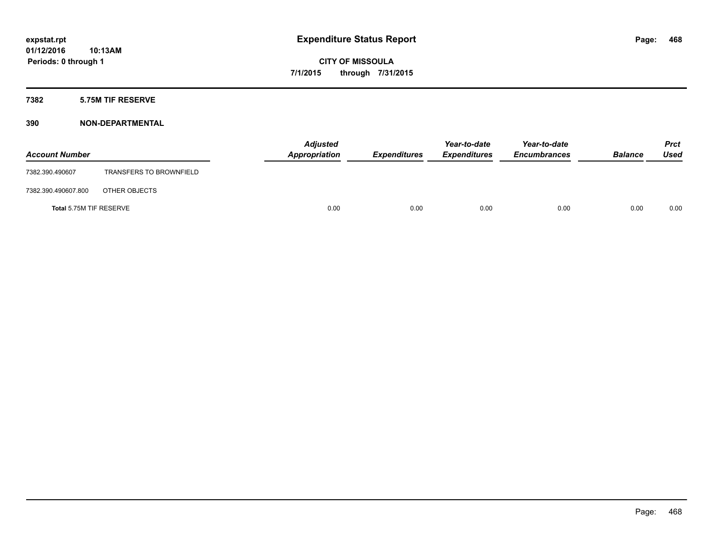## **7382 5.75M TIF RESERVE**

## **390 NON-DEPARTMENTAL**

| <b>Account Number</b>   |                                | <b>Adjusted</b><br>Appropriation | <b>Expenditures</b> | Year-to-date<br><b>Expenditures</b> | Year-to-date<br><b>Encumbrances</b> | <b>Balance</b> | Prct<br><b>Used</b> |
|-------------------------|--------------------------------|----------------------------------|---------------------|-------------------------------------|-------------------------------------|----------------|---------------------|
| 7382.390.490607         | <b>TRANSFERS TO BROWNFIELD</b> |                                  |                     |                                     |                                     |                |                     |
| 7382.390.490607.800     | OTHER OBJECTS                  |                                  |                     |                                     |                                     |                |                     |
| Total 5.75M TIF RESERVE |                                | 0.00                             | 0.00                | 0.00                                | 0.00                                | 0.00           | 0.00                |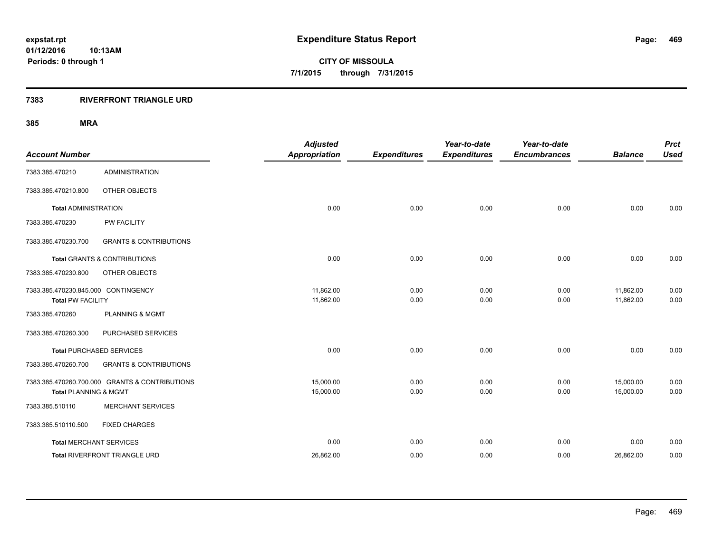**CITY OF MISSOULA 7/1/2015 through 7/31/2015**

### **7383 RIVERFRONT TRIANGLE URD**

| <b>Account Number</b>                                           |                                                | <b>Adjusted</b><br><b>Appropriation</b> | <b>Expenditures</b> | Year-to-date<br><b>Expenditures</b> | Year-to-date<br><b>Encumbrances</b> | <b>Balance</b>         | <b>Prct</b><br><b>Used</b> |
|-----------------------------------------------------------------|------------------------------------------------|-----------------------------------------|---------------------|-------------------------------------|-------------------------------------|------------------------|----------------------------|
| 7383.385.470210                                                 | <b>ADMINISTRATION</b>                          |                                         |                     |                                     |                                     |                        |                            |
| 7383.385.470210.800                                             | OTHER OBJECTS                                  |                                         |                     |                                     |                                     |                        |                            |
| <b>Total ADMINISTRATION</b>                                     |                                                | 0.00                                    | 0.00                | 0.00                                | 0.00                                | 0.00                   | 0.00                       |
| 7383.385.470230                                                 | <b>PW FACILITY</b>                             |                                         |                     |                                     |                                     |                        |                            |
| 7383.385.470230.700                                             | <b>GRANTS &amp; CONTRIBUTIONS</b>              |                                         |                     |                                     |                                     |                        |                            |
|                                                                 | <b>Total GRANTS &amp; CONTRIBUTIONS</b>        | 0.00                                    | 0.00                | 0.00                                | 0.00                                | 0.00                   | 0.00                       |
| 7383.385.470230.800                                             | OTHER OBJECTS                                  |                                         |                     |                                     |                                     |                        |                            |
| 7383.385.470230.845.000 CONTINGENCY<br><b>Total PW FACILITY</b> |                                                | 11,862.00<br>11,862.00                  | 0.00<br>0.00        | 0.00<br>0.00                        | 0.00<br>0.00                        | 11,862.00<br>11,862.00 | 0.00<br>0.00               |
| 7383.385.470260                                                 | <b>PLANNING &amp; MGMT</b>                     |                                         |                     |                                     |                                     |                        |                            |
| 7383.385.470260.300                                             | PURCHASED SERVICES                             |                                         |                     |                                     |                                     |                        |                            |
|                                                                 | <b>Total PURCHASED SERVICES</b>                | 0.00                                    | 0.00                | 0.00                                | 0.00                                | 0.00                   | 0.00                       |
| 7383.385.470260.700                                             | <b>GRANTS &amp; CONTRIBUTIONS</b>              |                                         |                     |                                     |                                     |                        |                            |
| <b>Total PLANNING &amp; MGMT</b>                                | 7383.385.470260.700.000 GRANTS & CONTRIBUTIONS | 15,000.00<br>15,000.00                  | 0.00<br>0.00        | 0.00<br>0.00                        | 0.00<br>0.00                        | 15,000.00<br>15,000.00 | 0.00<br>0.00               |
| 7383.385.510110                                                 | <b>MERCHANT SERVICES</b>                       |                                         |                     |                                     |                                     |                        |                            |
| 7383.385.510110.500                                             | <b>FIXED CHARGES</b>                           |                                         |                     |                                     |                                     |                        |                            |
|                                                                 | <b>Total MERCHANT SERVICES</b>                 | 0.00                                    | 0.00                | 0.00                                | 0.00                                | 0.00                   | 0.00                       |
|                                                                 | Total RIVERFRONT TRIANGLE URD                  | 26,862.00                               | 0.00                | 0.00                                | 0.00                                | 26,862.00              | 0.00                       |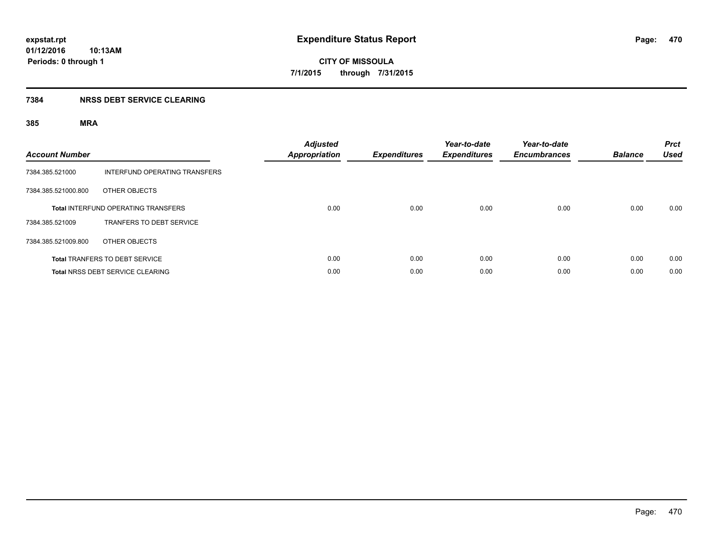**CITY OF MISSOULA 7/1/2015 through 7/31/2015**

### **7384 NRSS DEBT SERVICE CLEARING**

| <b>Account Number</b> |                                            | <b>Adjusted</b><br><b>Appropriation</b> | <b>Expenditures</b> | Year-to-date<br><b>Expenditures</b> | Year-to-date<br><b>Encumbrances</b> | <b>Balance</b> | <b>Prct</b><br><b>Used</b> |
|-----------------------|--------------------------------------------|-----------------------------------------|---------------------|-------------------------------------|-------------------------------------|----------------|----------------------------|
| 7384.385.521000       | INTERFUND OPERATING TRANSFERS              |                                         |                     |                                     |                                     |                |                            |
| 7384.385.521000.800   | OTHER OBJECTS                              |                                         |                     |                                     |                                     |                |                            |
|                       | <b>Total INTERFUND OPERATING TRANSFERS</b> | 0.00                                    | 0.00                | 0.00                                | 0.00                                | 0.00           | 0.00                       |
| 7384.385.521009       | <b>TRANFERS TO DEBT SERVICE</b>            |                                         |                     |                                     |                                     |                |                            |
| 7384.385.521009.800   | OTHER OBJECTS                              |                                         |                     |                                     |                                     |                |                            |
|                       | <b>Total TRANFERS TO DEBT SERVICE</b>      | 0.00                                    | 0.00                | 0.00                                | 0.00                                | 0.00           | 0.00                       |
|                       | Total NRSS DEBT SERVICE CLEARING           | 0.00                                    | 0.00                | 0.00                                | 0.00                                | 0.00           | 0.00                       |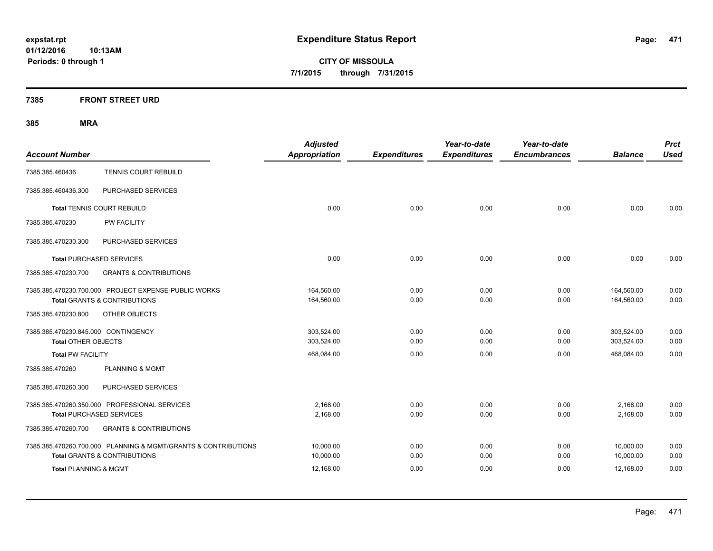**CITY OF MISSOULA 7/1/2015 through 7/31/2015**

### **7385 FRONT STREET URD**

| <b>Account Number</b>                                                                                     | <b>Adjusted</b><br><b>Appropriation</b> | <b>Expenditures</b> | Year-to-date<br><b>Expenditures</b> | Year-to-date<br><b>Encumbrances</b> | <b>Balance</b>           | <b>Prct</b><br><b>Used</b> |
|-----------------------------------------------------------------------------------------------------------|-----------------------------------------|---------------------|-------------------------------------|-------------------------------------|--------------------------|----------------------------|
| TENNIS COURT REBUILD<br>7385.385.460436                                                                   |                                         |                     |                                     |                                     |                          |                            |
| PURCHASED SERVICES<br>7385.385.460436.300                                                                 |                                         |                     |                                     |                                     |                          |                            |
| <b>Total TENNIS COURT REBUILD</b>                                                                         | 0.00                                    | 0.00                | 0.00                                | 0.00                                | 0.00                     | 0.00                       |
| PW FACILITY<br>7385.385.470230                                                                            |                                         |                     |                                     |                                     |                          |                            |
| PURCHASED SERVICES<br>7385.385.470230.300                                                                 |                                         |                     |                                     |                                     |                          |                            |
| <b>Total PURCHASED SERVICES</b>                                                                           | 0.00                                    | 0.00                | 0.00                                | 0.00                                | 0.00                     | 0.00                       |
| 7385.385.470230.700<br><b>GRANTS &amp; CONTRIBUTIONS</b>                                                  |                                         |                     |                                     |                                     |                          |                            |
| 7385.385.470230.700.000 PROJECT EXPENSE-PUBLIC WORKS<br><b>Total GRANTS &amp; CONTRIBUTIONS</b>           | 164,560.00<br>164,560.00                | 0.00<br>0.00        | 0.00<br>0.00                        | 0.00<br>0.00                        | 164,560.00<br>164,560.00 | 0.00<br>0.00               |
| 7385.385.470230.800<br>OTHER OBJECTS                                                                      |                                         |                     |                                     |                                     |                          |                            |
| 7385.385.470230.845.000 CONTINGENCY<br><b>Total OTHER OBJECTS</b>                                         | 303,524.00<br>303,524.00                | 0.00<br>0.00        | 0.00<br>0.00                        | 0.00<br>0.00                        | 303,524.00<br>303,524.00 | 0.00<br>0.00               |
| <b>Total PW FACILITY</b>                                                                                  | 468,084.00                              | 0.00                | 0.00                                | 0.00                                | 468,084.00               | 0.00                       |
| 7385.385.470260<br><b>PLANNING &amp; MGMT</b>                                                             |                                         |                     |                                     |                                     |                          |                            |
| PURCHASED SERVICES<br>7385.385.470260.300                                                                 |                                         |                     |                                     |                                     |                          |                            |
| 7385.385.470260.350.000 PROFESSIONAL SERVICES<br><b>Total PURCHASED SERVICES</b>                          | 2.168.00<br>2,168.00                    | 0.00<br>0.00        | 0.00<br>0.00                        | 0.00<br>0.00                        | 2,168.00<br>2,168.00     | 0.00<br>0.00               |
| <b>GRANTS &amp; CONTRIBUTIONS</b><br>7385.385.470260.700                                                  |                                         |                     |                                     |                                     |                          |                            |
| 7385.385.470260.700.000 PLANNING & MGMT/GRANTS & CONTRIBUTIONS<br><b>Total GRANTS &amp; CONTRIBUTIONS</b> | 10,000.00<br>10,000.00                  | 0.00<br>0.00        | 0.00<br>0.00                        | 0.00<br>0.00                        | 10,000.00<br>10,000.00   | 0.00<br>0.00               |
| <b>Total PLANNING &amp; MGMT</b>                                                                          | 12,168.00                               | 0.00                | 0.00                                | 0.00                                | 12,168.00                | 0.00                       |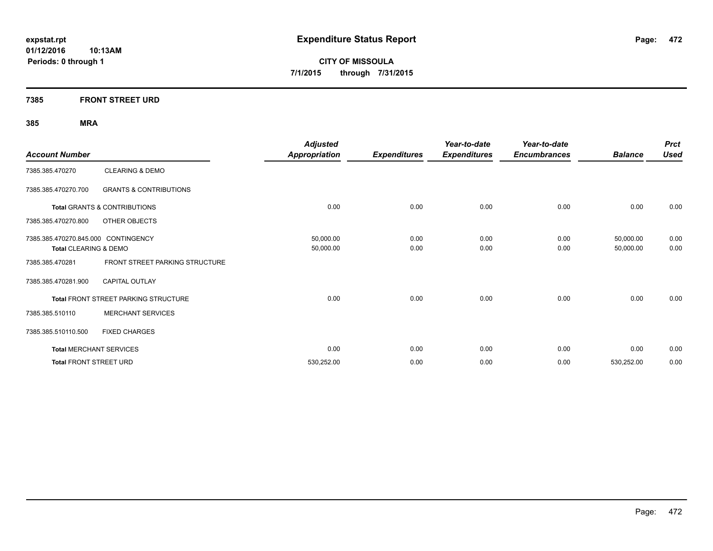**CITY OF MISSOULA 7/1/2015 through 7/31/2015**

### **7385 FRONT STREET URD**

| <b>Account Number</b>               |                                             | <b>Adjusted</b><br><b>Appropriation</b> | <b>Expenditures</b> | Year-to-date<br><b>Expenditures</b> | Year-to-date<br><b>Encumbrances</b> | <b>Balance</b> | <b>Prct</b><br><b>Used</b> |
|-------------------------------------|---------------------------------------------|-----------------------------------------|---------------------|-------------------------------------|-------------------------------------|----------------|----------------------------|
| 7385.385.470270                     | <b>CLEARING &amp; DEMO</b>                  |                                         |                     |                                     |                                     |                |                            |
| 7385.385.470270.700                 | <b>GRANTS &amp; CONTRIBUTIONS</b>           |                                         |                     |                                     |                                     |                |                            |
|                                     | <b>Total GRANTS &amp; CONTRIBUTIONS</b>     | 0.00                                    | 0.00                | 0.00                                | 0.00                                | 0.00           | 0.00                       |
| 7385.385.470270.800                 | OTHER OBJECTS                               |                                         |                     |                                     |                                     |                |                            |
| 7385.385.470270.845.000 CONTINGENCY |                                             | 50,000.00                               | 0.00                | 0.00                                | 0.00                                | 50,000.00      | 0.00                       |
| Total CLEARING & DEMO               |                                             | 50,000.00                               | 0.00                | 0.00                                | 0.00                                | 50,000.00      | 0.00                       |
| 7385.385.470281                     | FRONT STREET PARKING STRUCTURE              |                                         |                     |                                     |                                     |                |                            |
| 7385.385.470281.900                 | <b>CAPITAL OUTLAY</b>                       |                                         |                     |                                     |                                     |                |                            |
|                                     | <b>Total FRONT STREET PARKING STRUCTURE</b> | 0.00                                    | 0.00                | 0.00                                | 0.00                                | 0.00           | 0.00                       |
| 7385.385.510110                     | <b>MERCHANT SERVICES</b>                    |                                         |                     |                                     |                                     |                |                            |
| 7385.385.510110.500                 | <b>FIXED CHARGES</b>                        |                                         |                     |                                     |                                     |                |                            |
|                                     | <b>Total MERCHANT SERVICES</b>              | 0.00                                    | 0.00                | 0.00                                | 0.00                                | 0.00           | 0.00                       |
| <b>Total FRONT STREET URD</b>       |                                             | 530,252.00                              | 0.00                | 0.00                                | 0.00                                | 530,252.00     | 0.00                       |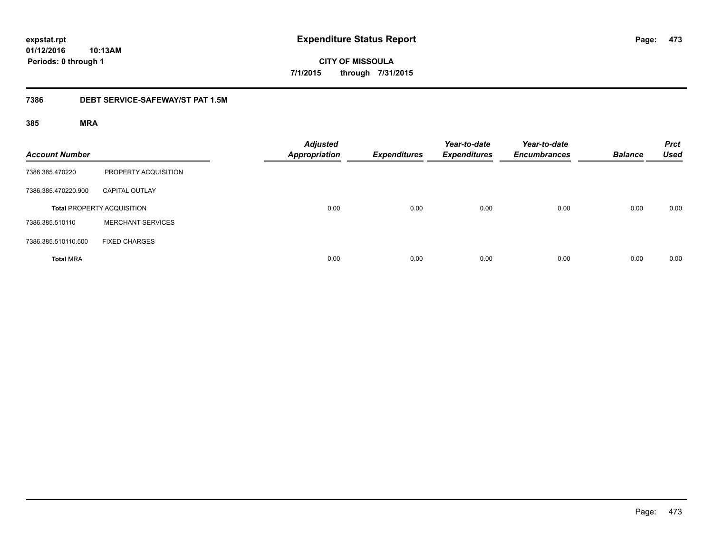**CITY OF MISSOULA 7/1/2015 through 7/31/2015**

### **7386 DEBT SERVICE-SAFEWAY/ST PAT 1.5M**

| <b>Account Number</b> |                                   | <b>Adjusted</b><br><b>Appropriation</b> | <b>Expenditures</b> | Year-to-date<br><b>Expenditures</b> | Year-to-date<br><b>Encumbrances</b> | <b>Balance</b> | <b>Prct</b><br><b>Used</b> |
|-----------------------|-----------------------------------|-----------------------------------------|---------------------|-------------------------------------|-------------------------------------|----------------|----------------------------|
| 7386.385.470220       | PROPERTY ACQUISITION              |                                         |                     |                                     |                                     |                |                            |
| 7386.385.470220.900   | <b>CAPITAL OUTLAY</b>             |                                         |                     |                                     |                                     |                |                            |
|                       | <b>Total PROPERTY ACQUISITION</b> | 0.00                                    | 0.00                | 0.00                                | 0.00                                | 0.00           | 0.00                       |
| 7386.385.510110       | <b>MERCHANT SERVICES</b>          |                                         |                     |                                     |                                     |                |                            |
| 7386.385.510110.500   | <b>FIXED CHARGES</b>              |                                         |                     |                                     |                                     |                |                            |
| <b>Total MRA</b>      |                                   | 0.00                                    | 0.00                | 0.00                                | 0.00                                | 0.00           | 0.00                       |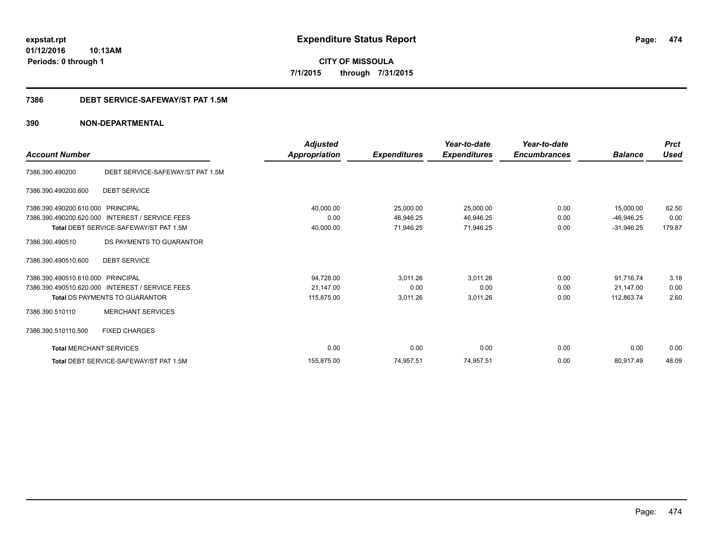**CITY OF MISSOULA 7/1/2015 through 7/31/2015**

### **7386 DEBT SERVICE-SAFEWAY/ST PAT 1.5M**

| <b>Account Number</b>          |                                                 | <b>Adjusted</b><br>Appropriation | <b>Expenditures</b> | Year-to-date<br><b>Expenditures</b> | Year-to-date<br><b>Encumbrances</b> | <b>Balance</b> | <b>Prct</b><br><b>Used</b> |
|--------------------------------|-------------------------------------------------|----------------------------------|---------------------|-------------------------------------|-------------------------------------|----------------|----------------------------|
| 7386.390.490200                | DEBT SERVICE-SAFEWAY/ST PAT 1.5M                |                                  |                     |                                     |                                     |                |                            |
| 7386.390.490200.600            | <b>DEBT SERVICE</b>                             |                                  |                     |                                     |                                     |                |                            |
| 7386.390.490200.610.000        | PRINCIPAL                                       | 40,000.00                        | 25,000.00           | 25,000.00                           | 0.00                                | 15,000.00      | 62.50                      |
| 7386.390.490200.620.000        | <b>INTEREST / SERVICE FEES</b>                  | 0.00                             | 46,946.25           | 46,946.25                           | 0.00                                | $-46,946.25$   | 0.00                       |
|                                | Total DEBT SERVICE-SAFEWAY/ST PAT 1.5M          | 40,000.00                        | 71,946.25           | 71,946.25                           | 0.00                                | $-31,946.25$   | 179.87                     |
| 7386.390.490510                | DS PAYMENTS TO GUARANTOR                        |                                  |                     |                                     |                                     |                |                            |
| 7386.390.490510.600            | <b>DEBT SERVICE</b>                             |                                  |                     |                                     |                                     |                |                            |
| 7386.390.490510.610.000        | <b>PRINCIPAL</b>                                | 94,728.00                        | 3,011.26            | 3,011.26                            | 0.00                                | 91,716.74      | 3.18                       |
|                                | 7386.390.490510.620.000 INTEREST / SERVICE FEES | 21,147.00                        | 0.00                | 0.00                                | 0.00                                | 21,147.00      | 0.00                       |
|                                | Total DS PAYMENTS TO GUARANTOR                  | 115,875.00                       | 3,011.26            | 3,011.26                            | 0.00                                | 112,863.74     | 2.60                       |
| 7386.390.510110                | <b>MERCHANT SERVICES</b>                        |                                  |                     |                                     |                                     |                |                            |
| 7386.390.510110.500            | <b>FIXED CHARGES</b>                            |                                  |                     |                                     |                                     |                |                            |
| <b>Total MERCHANT SERVICES</b> |                                                 | 0.00                             | 0.00                | 0.00                                | 0.00                                | 0.00           | 0.00                       |
|                                | <b>Total DEBT SERVICE-SAFEWAY/ST PAT 1.5M</b>   | 155.875.00                       | 74,957.51           | 74,957.51                           | 0.00                                | 80,917.49      | 48.09                      |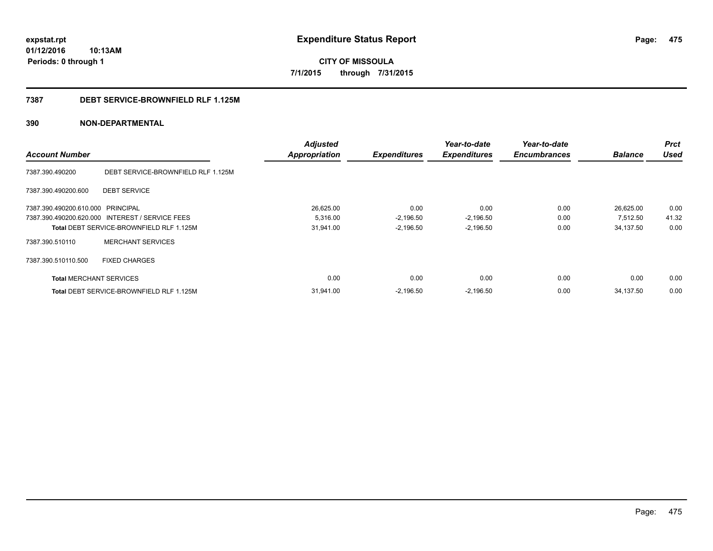**expstat.rpt Expenditure Status Report** 

**01/12/2016 10:13AM Periods: 0 through 1**

**CITY OF MISSOULA 7/1/2015 through 7/31/2015**

### **7387 DEBT SERVICE-BROWNFIELD RLF 1.125M**

|                                   |                                                 | <b>Adjusted</b>      |                     | Year-to-date        | Year-to-date        |                | <b>Prct</b> |
|-----------------------------------|-------------------------------------------------|----------------------|---------------------|---------------------|---------------------|----------------|-------------|
| <b>Account Number</b>             |                                                 | <b>Appropriation</b> | <b>Expenditures</b> | <b>Expenditures</b> | <b>Encumbrances</b> | <b>Balance</b> | <b>Used</b> |
| 7387.390.490200                   | DEBT SERVICE-BROWNFIELD RLF 1.125M              |                      |                     |                     |                     |                |             |
| 7387.390.490200.600               | <b>DEBT SERVICE</b>                             |                      |                     |                     |                     |                |             |
| 7387.390.490200.610.000 PRINCIPAL |                                                 | 26,625.00            | 0.00                | 0.00                | 0.00                | 26,625.00      | 0.00        |
|                                   | 7387.390.490200.620.000 INTEREST / SERVICE FEES | 5,316.00             | $-2,196.50$         | $-2,196.50$         | 0.00                | 7,512.50       | 41.32       |
|                                   | Total DEBT SERVICE-BROWNFIELD RLF 1.125M        | 31,941.00            | $-2,196.50$         | $-2,196.50$         | 0.00                | 34,137.50      | 0.00        |
| 7387.390.510110                   | <b>MERCHANT SERVICES</b>                        |                      |                     |                     |                     |                |             |
| 7387.390.510110.500               | <b>FIXED CHARGES</b>                            |                      |                     |                     |                     |                |             |
| <b>Total MERCHANT SERVICES</b>    |                                                 | 0.00                 | 0.00                | 0.00                | 0.00                | 0.00           | 0.00        |
|                                   | <b>Total DEBT SERVICE-BROWNFIELD RLF 1.125M</b> | 31,941.00            | $-2.196.50$         | $-2,196.50$         | 0.00                | 34.137.50      | 0.00        |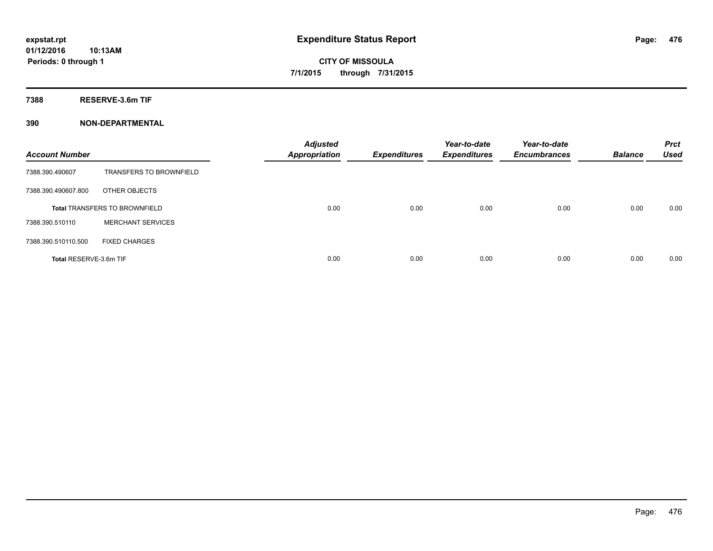**CITY OF MISSOULA 7/1/2015 through 7/31/2015**

**7388 RESERVE-3.6m TIF**

| <b>Account Number</b>  |                                      | <b>Adjusted</b><br>Appropriation | <b>Expenditures</b> | Year-to-date<br><b>Expenditures</b> | Year-to-date<br><b>Encumbrances</b> | <b>Balance</b> | <b>Prct</b><br><b>Used</b> |
|------------------------|--------------------------------------|----------------------------------|---------------------|-------------------------------------|-------------------------------------|----------------|----------------------------|
| 7388.390.490607        | <b>TRANSFERS TO BROWNFIELD</b>       |                                  |                     |                                     |                                     |                |                            |
| 7388.390.490607.800    | OTHER OBJECTS                        |                                  |                     |                                     |                                     |                |                            |
|                        | <b>Total TRANSFERS TO BROWNFIELD</b> | 0.00                             | 0.00                | 0.00                                | 0.00                                | 0.00           | 0.00                       |
| 7388.390.510110        | <b>MERCHANT SERVICES</b>             |                                  |                     |                                     |                                     |                |                            |
| 7388.390.510110.500    | <b>FIXED CHARGES</b>                 |                                  |                     |                                     |                                     |                |                            |
| Total RESERVE-3.6m TIF |                                      | 0.00                             | 0.00                | 0.00                                | 0.00                                | 0.00           | 0.00                       |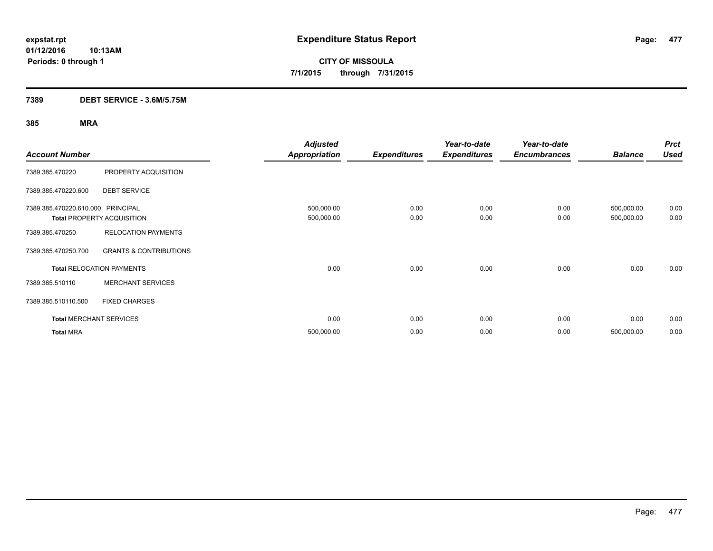**CITY OF MISSOULA 7/1/2015 through 7/31/2015**

### **7389 DEBT SERVICE - 3.6M/5.75M**

|                                   |                                   | <b>Adjusted</b>      |                     | Year-to-date        | Year-to-date        |                | <b>Prct</b> |
|-----------------------------------|-----------------------------------|----------------------|---------------------|---------------------|---------------------|----------------|-------------|
| <b>Account Number</b>             |                                   | <b>Appropriation</b> | <b>Expenditures</b> | <b>Expenditures</b> | <b>Encumbrances</b> | <b>Balance</b> | <b>Used</b> |
| 7389.385.470220                   | PROPERTY ACQUISITION              |                      |                     |                     |                     |                |             |
| 7389.385.470220.600               | <b>DEBT SERVICE</b>               |                      |                     |                     |                     |                |             |
| 7389.385.470220.610.000 PRINCIPAL |                                   | 500,000.00           | 0.00                | 0.00                | 0.00                | 500,000.00     | 0.00        |
|                                   | <b>Total PROPERTY ACQUISITION</b> | 500,000.00           | 0.00                | 0.00                | 0.00                | 500,000.00     | 0.00        |
| 7389.385.470250                   | <b>RELOCATION PAYMENTS</b>        |                      |                     |                     |                     |                |             |
| 7389.385.470250.700               | <b>GRANTS &amp; CONTRIBUTIONS</b> |                      |                     |                     |                     |                |             |
|                                   | <b>Total RELOCATION PAYMENTS</b>  | 0.00                 | 0.00                | 0.00                | 0.00                | 0.00           | 0.00        |
| 7389.385.510110                   | <b>MERCHANT SERVICES</b>          |                      |                     |                     |                     |                |             |
| 7389.385.510110.500               | <b>FIXED CHARGES</b>              |                      |                     |                     |                     |                |             |
|                                   | <b>Total MERCHANT SERVICES</b>    | 0.00                 | 0.00                | 0.00                | 0.00                | 0.00           | 0.00        |
| <b>Total MRA</b>                  |                                   | 500,000.00           | 0.00                | 0.00                | 0.00                | 500,000.00     | 0.00        |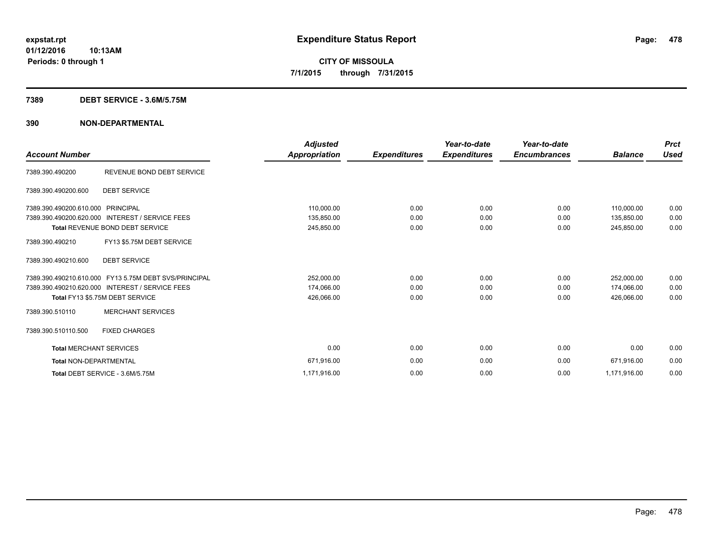# **CITY OF MISSOULA 7/1/2015 through 7/31/2015**

### **7389 DEBT SERVICE - 3.6M/5.75M**

| <b>Account Number</b>             |                                                       | <b>Adjusted</b><br>Appropriation | <b>Expenditures</b> | Year-to-date<br><b>Expenditures</b> | Year-to-date<br><b>Encumbrances</b> | <b>Balance</b> | <b>Prct</b><br><b>Used</b> |
|-----------------------------------|-------------------------------------------------------|----------------------------------|---------------------|-------------------------------------|-------------------------------------|----------------|----------------------------|
| 7389.390.490200                   | REVENUE BOND DEBT SERVICE                             |                                  |                     |                                     |                                     |                |                            |
| 7389.390.490200.600               | <b>DEBT SERVICE</b>                                   |                                  |                     |                                     |                                     |                |                            |
| 7389.390.490200.610.000 PRINCIPAL |                                                       | 110,000.00                       | 0.00                | 0.00                                | 0.00                                | 110,000.00     | 0.00                       |
|                                   | 7389.390.490200.620.000 INTEREST / SERVICE FEES       | 135,850.00                       | 0.00                | 0.00                                | 0.00                                | 135,850.00     | 0.00                       |
|                                   | <b>Total REVENUE BOND DEBT SERVICE</b>                | 245,850.00                       | 0.00                | 0.00                                | 0.00                                | 245,850.00     | 0.00                       |
| 7389.390.490210                   | FY13 \$5.75M DEBT SERVICE                             |                                  |                     |                                     |                                     |                |                            |
| 7389.390.490210.600               | <b>DEBT SERVICE</b>                                   |                                  |                     |                                     |                                     |                |                            |
|                                   | 7389.390.490210.610.000 FY13 5.75M DEBT SVS/PRINCIPAL | 252,000.00                       | 0.00                | 0.00                                | 0.00                                | 252,000.00     | 0.00                       |
|                                   | 7389.390.490210.620.000 INTEREST / SERVICE FEES       | 174,066.00                       | 0.00                | 0.00                                | 0.00                                | 174,066.00     | 0.00                       |
|                                   | Total FY13 \$5.75M DEBT SERVICE                       | 426,066.00                       | 0.00                | 0.00                                | 0.00                                | 426,066.00     | 0.00                       |
| 7389.390.510110                   | <b>MERCHANT SERVICES</b>                              |                                  |                     |                                     |                                     |                |                            |
| 7389.390.510110.500               | <b>FIXED CHARGES</b>                                  |                                  |                     |                                     |                                     |                |                            |
| <b>Total MERCHANT SERVICES</b>    |                                                       | 0.00                             | 0.00                | 0.00                                | 0.00                                | 0.00           | 0.00                       |
| <b>Total NON-DEPARTMENTAL</b>     |                                                       | 671,916.00                       | 0.00                | 0.00                                | 0.00                                | 671.916.00     | 0.00                       |
|                                   | Total DEBT SERVICE - 3.6M/5.75M                       | 1,171,916.00                     | 0.00                | 0.00                                | 0.00                                | 1,171,916.00   | 0.00                       |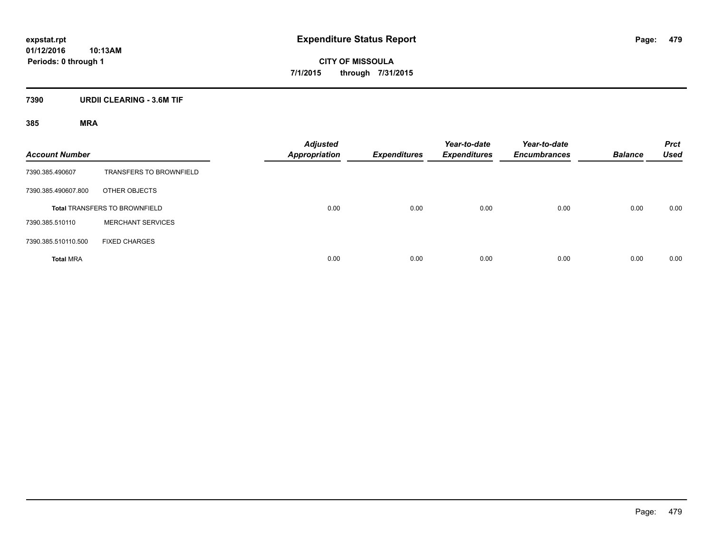**CITY OF MISSOULA 7/1/2015 through 7/31/2015**

### **7390 URDII CLEARING - 3.6M TIF**

| <b>Account Number</b> |                                      | <b>Adjusted</b><br><b>Appropriation</b> | <b>Expenditures</b> | Year-to-date<br><b>Expenditures</b> | Year-to-date<br><b>Encumbrances</b> | <b>Balance</b> | <b>Prct</b><br><b>Used</b> |
|-----------------------|--------------------------------------|-----------------------------------------|---------------------|-------------------------------------|-------------------------------------|----------------|----------------------------|
| 7390.385.490607       | <b>TRANSFERS TO BROWNFIELD</b>       |                                         |                     |                                     |                                     |                |                            |
| 7390.385.490607.800   | OTHER OBJECTS                        |                                         |                     |                                     |                                     |                |                            |
|                       | <b>Total TRANSFERS TO BROWNFIELD</b> | 0.00                                    | 0.00                | 0.00                                | 0.00                                | 0.00           | 0.00                       |
| 7390.385.510110       | <b>MERCHANT SERVICES</b>             |                                         |                     |                                     |                                     |                |                            |
| 7390.385.510110.500   | <b>FIXED CHARGES</b>                 |                                         |                     |                                     |                                     |                |                            |
| <b>Total MRA</b>      |                                      | 0.00                                    | 0.00                | 0.00                                | 0.00                                | 0.00           | 0.00                       |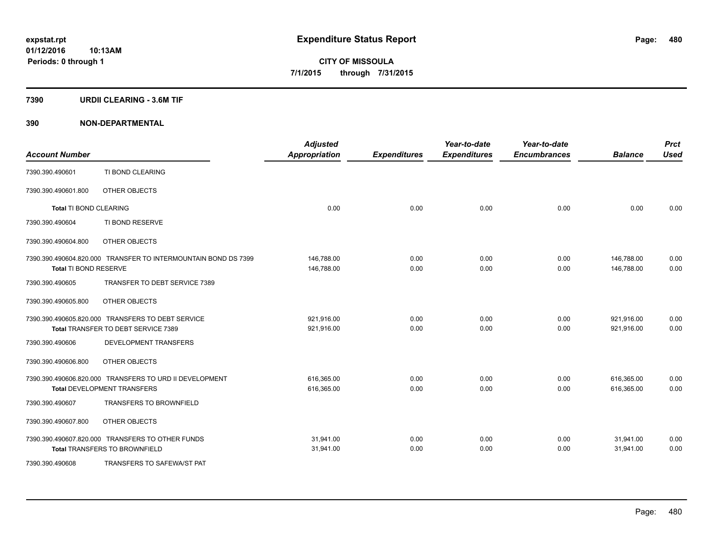**CITY OF MISSOULA 7/1/2015 through 7/31/2015**

### **7390 URDII CLEARING - 3.6M TIF**

| <b>Account Number</b>         |                                                                | <b>Adjusted</b><br><b>Appropriation</b> | <b>Expenditures</b> | Year-to-date<br><b>Expenditures</b> | Year-to-date<br><b>Encumbrances</b> | <b>Balance</b> | <b>Prct</b><br><b>Used</b> |
|-------------------------------|----------------------------------------------------------------|-----------------------------------------|---------------------|-------------------------------------|-------------------------------------|----------------|----------------------------|
| 7390.390.490601               | TI BOND CLEARING                                               |                                         |                     |                                     |                                     |                |                            |
| 7390.390.490601.800           | OTHER OBJECTS                                                  |                                         |                     |                                     |                                     |                |                            |
| <b>Total TI BOND CLEARING</b> |                                                                | 0.00                                    | 0.00                | 0.00                                | 0.00                                | 0.00           | 0.00                       |
| 7390.390.490604               | TI BOND RESERVE                                                |                                         |                     |                                     |                                     |                |                            |
| 7390.390.490604.800           | OTHER OBJECTS                                                  |                                         |                     |                                     |                                     |                |                            |
|                               | 7390.390.490604.820.000 TRANSFER TO INTERMOUNTAIN BOND DS 7399 | 146,788.00                              | 0.00                | 0.00                                | 0.00                                | 146,788.00     | 0.00                       |
| Total TI BOND RESERVE         |                                                                | 146,788.00                              | 0.00                | 0.00                                | 0.00                                | 146,788.00     | 0.00                       |
| 7390.390.490605               | TRANSFER TO DEBT SERVICE 7389                                  |                                         |                     |                                     |                                     |                |                            |
| 7390.390.490605.800           | OTHER OBJECTS                                                  |                                         |                     |                                     |                                     |                |                            |
|                               | 7390.390.490605.820.000 TRANSFERS TO DEBT SERVICE              | 921,916.00                              | 0.00                | 0.00                                | 0.00                                | 921,916.00     | 0.00                       |
|                               | Total TRANSFER TO DEBT SERVICE 7389                            | 921,916.00                              | 0.00                | 0.00                                | 0.00                                | 921,916.00     | 0.00                       |
| 7390.390.490606               | DEVELOPMENT TRANSFERS                                          |                                         |                     |                                     |                                     |                |                            |
| 7390.390.490606.800           | OTHER OBJECTS                                                  |                                         |                     |                                     |                                     |                |                            |
|                               | 7390.390.490606.820.000 TRANSFERS TO URD II DEVELOPMENT        | 616,365.00                              | 0.00                | 0.00                                | 0.00                                | 616,365.00     | 0.00                       |
|                               | <b>Total DEVELOPMENT TRANSFERS</b>                             | 616,365.00                              | 0.00                | 0.00                                | 0.00                                | 616,365.00     | 0.00                       |
| 7390.390.490607               | <b>TRANSFERS TO BROWNFIELD</b>                                 |                                         |                     |                                     |                                     |                |                            |
| 7390.390.490607.800           | OTHER OBJECTS                                                  |                                         |                     |                                     |                                     |                |                            |
|                               | 7390.390.490607.820.000 TRANSFERS TO OTHER FUNDS               | 31,941.00                               | 0.00                | 0.00                                | 0.00                                | 31,941.00      | 0.00                       |
|                               | <b>Total TRANSFERS TO BROWNFIELD</b>                           | 31,941.00                               | 0.00                | 0.00                                | 0.00                                | 31,941.00      | 0.00                       |
| 7390.390.490608               | TRANSFERS TO SAFEWA/ST PAT                                     |                                         |                     |                                     |                                     |                |                            |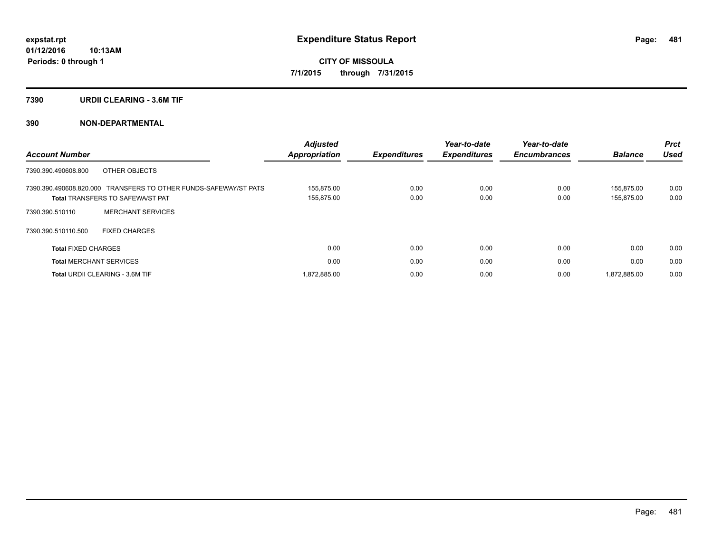**CITY OF MISSOULA 7/1/2015 through 7/31/2015**

### **7390 URDII CLEARING - 3.6M TIF**

| <b>Account Number</b>                                                                                       | <b>Adjusted</b><br>Appropriation | <b>Expenditures</b> | Year-to-date<br><b>Expenditures</b> | Year-to-date<br><b>Encumbrances</b> | <b>Balance</b>           | <b>Prct</b><br><b>Used</b> |
|-------------------------------------------------------------------------------------------------------------|----------------------------------|---------------------|-------------------------------------|-------------------------------------|--------------------------|----------------------------|
| 7390.390.490608.800<br>OTHER OBJECTS                                                                        |                                  |                     |                                     |                                     |                          |                            |
| 7390.390.490608.820.000 TRANSFERS TO OTHER FUNDS-SAFEWAY/ST PATS<br><b>Total TRANSFERS TO SAFEWA/ST PAT</b> | 155.875.00<br>155,875.00         | 0.00<br>0.00        | 0.00<br>0.00                        | 0.00<br>0.00                        | 155.875.00<br>155,875.00 | 0.00<br>0.00               |
| <b>MERCHANT SERVICES</b><br>7390.390.510110                                                                 |                                  |                     |                                     |                                     |                          |                            |
| 7390.390.510110.500<br><b>FIXED CHARGES</b>                                                                 |                                  |                     |                                     |                                     |                          |                            |
| <b>Total FIXED CHARGES</b>                                                                                  | 0.00                             | 0.00                | 0.00                                | 0.00                                | 0.00                     | 0.00                       |
| <b>Total MERCHANT SERVICES</b>                                                                              | 0.00                             | 0.00                | 0.00                                | 0.00                                | 0.00                     | 0.00                       |
| <b>Total URDII CLEARING - 3.6M TIF</b>                                                                      | 1.872.885.00                     | 0.00                | 0.00                                | 0.00                                | 1.872.885.00             | 0.00                       |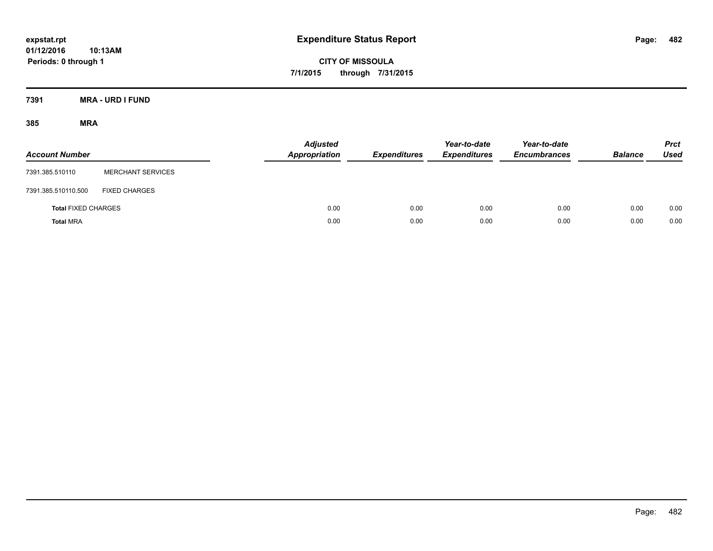**CITY OF MISSOULA 7/1/2015 through 7/31/2015**

**7391 MRA - URD I FUND**

| <b>Account Number</b>      |                          | <b>Adjusted</b><br><b>Appropriation</b> | <b>Expenditures</b> | Year-to-date<br><b>Expenditures</b> | Year-to-date<br><b>Encumbrances</b> | <b>Balance</b> | <b>Prct</b><br><b>Used</b> |
|----------------------------|--------------------------|-----------------------------------------|---------------------|-------------------------------------|-------------------------------------|----------------|----------------------------|
| 7391.385.510110            | <b>MERCHANT SERVICES</b> |                                         |                     |                                     |                                     |                |                            |
| 7391.385.510110.500        | <b>FIXED CHARGES</b>     |                                         |                     |                                     |                                     |                |                            |
| <b>Total FIXED CHARGES</b> |                          | 0.00                                    | 0.00                | 0.00                                | 0.00                                | 0.00           | 0.00                       |
| <b>Total MRA</b>           |                          | 0.00                                    | 0.00                | 0.00                                | 0.00                                | 0.00           | 0.00                       |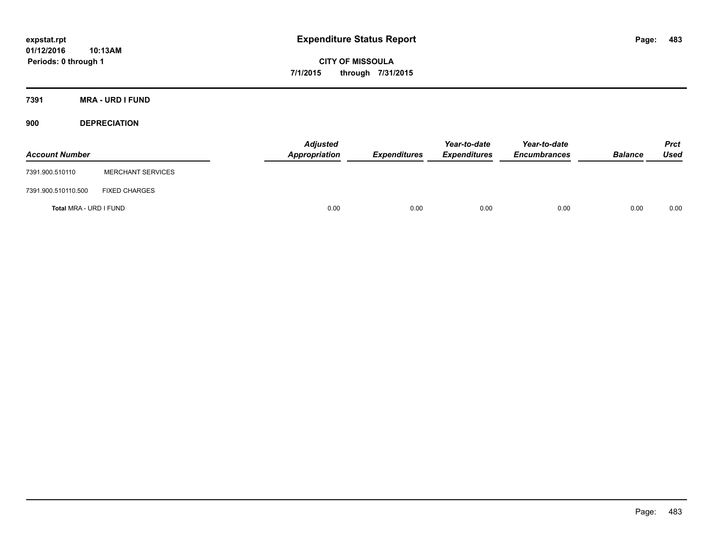**CITY OF MISSOULA 7/1/2015 through 7/31/2015**

**7391 MRA - URD I FUND**

**900 DEPRECIATION**

| <b>Account Number</b>  |                          | <b>Adjusted</b><br>Appropriation | <b>Expenditures</b> | Year-to-date<br><b>Expenditures</b> | Year-to-date<br><b>Encumbrances</b> | <b>Balance</b> | <b>Prct</b><br><b>Used</b> |
|------------------------|--------------------------|----------------------------------|---------------------|-------------------------------------|-------------------------------------|----------------|----------------------------|
| 7391.900.510110        | <b>MERCHANT SERVICES</b> |                                  |                     |                                     |                                     |                |                            |
| 7391.900.510110.500    | <b>FIXED CHARGES</b>     |                                  |                     |                                     |                                     |                |                            |
| Total MRA - URD I FUND |                          | 0.00                             | 0.00                | 0.00                                | 0.00                                | 0.00           | 0.00                       |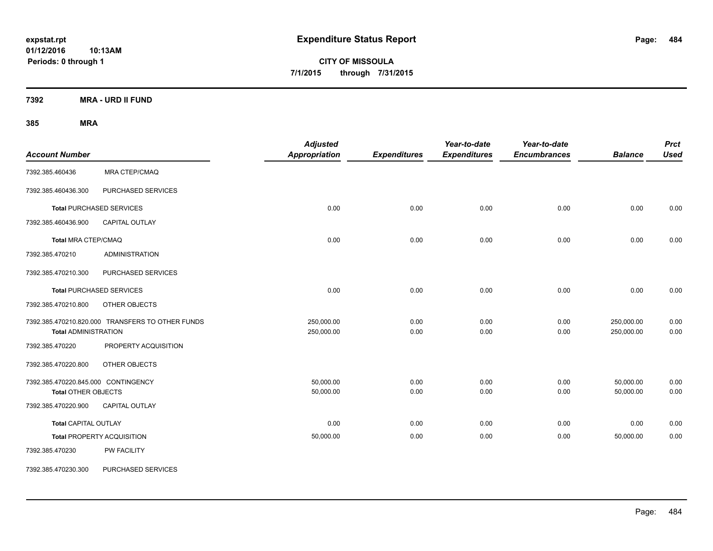**CITY OF MISSOULA 7/1/2015 through 7/31/2015**

**7392 MRA - URD II FUND**

| <b>Account Number</b>                                      |                                                  | <b>Adjusted</b><br><b>Appropriation</b> | <b>Expenditures</b> | Year-to-date<br><b>Expenditures</b> | Year-to-date<br><b>Encumbrances</b> | <b>Balance</b>           | <b>Prct</b><br><b>Used</b> |
|------------------------------------------------------------|--------------------------------------------------|-----------------------------------------|---------------------|-------------------------------------|-------------------------------------|--------------------------|----------------------------|
| 7392.385.460436                                            | <b>MRA CTEP/CMAQ</b>                             |                                         |                     |                                     |                                     |                          |                            |
| 7392.385.460436.300                                        | PURCHASED SERVICES                               |                                         |                     |                                     |                                     |                          |                            |
|                                                            | <b>Total PURCHASED SERVICES</b>                  | 0.00                                    | 0.00                | 0.00                                | 0.00                                | 0.00                     | 0.00                       |
| 7392.385.460436.900                                        | CAPITAL OUTLAY                                   |                                         |                     |                                     |                                     |                          |                            |
| <b>Total MRA CTEP/CMAQ</b>                                 |                                                  | 0.00                                    | 0.00                | 0.00                                | 0.00                                | 0.00                     | 0.00                       |
| 7392.385.470210                                            | <b>ADMINISTRATION</b>                            |                                         |                     |                                     |                                     |                          |                            |
| 7392.385.470210.300                                        | PURCHASED SERVICES                               |                                         |                     |                                     |                                     |                          |                            |
|                                                            | <b>Total PURCHASED SERVICES</b>                  | 0.00                                    | 0.00                | 0.00                                | 0.00                                | 0.00                     | 0.00                       |
| 7392.385.470210.800                                        | OTHER OBJECTS                                    |                                         |                     |                                     |                                     |                          |                            |
| <b>Total ADMINISTRATION</b>                                | 7392.385.470210.820.000 TRANSFERS TO OTHER FUNDS | 250,000.00<br>250,000.00                | 0.00<br>0.00        | 0.00<br>0.00                        | 0.00<br>0.00                        | 250,000.00<br>250,000.00 | 0.00<br>0.00               |
| 7392.385.470220                                            | PROPERTY ACQUISITION                             |                                         |                     |                                     |                                     |                          |                            |
| 7392.385.470220.800                                        | OTHER OBJECTS                                    |                                         |                     |                                     |                                     |                          |                            |
| 7392.385.470220.845.000 CONTINGENCY<br>Total OTHER OBJECTS |                                                  | 50,000.00<br>50,000.00                  | 0.00<br>0.00        | 0.00<br>0.00                        | 0.00<br>0.00                        | 50,000.00<br>50,000.00   | 0.00<br>0.00               |
| 7392.385.470220.900                                        | CAPITAL OUTLAY                                   |                                         |                     |                                     |                                     |                          |                            |
| <b>Total CAPITAL OUTLAY</b>                                |                                                  | 0.00                                    | 0.00                | 0.00                                | 0.00                                | 0.00                     | 0.00                       |
|                                                            | <b>Total PROPERTY ACQUISITION</b>                | 50,000.00                               | 0.00                | 0.00                                | 0.00                                | 50,000.00                | 0.00                       |
| 7392.385.470230                                            | PW FACILITY                                      |                                         |                     |                                     |                                     |                          |                            |
| 7392.385.470230.300                                        | PURCHASED SERVICES                               |                                         |                     |                                     |                                     |                          |                            |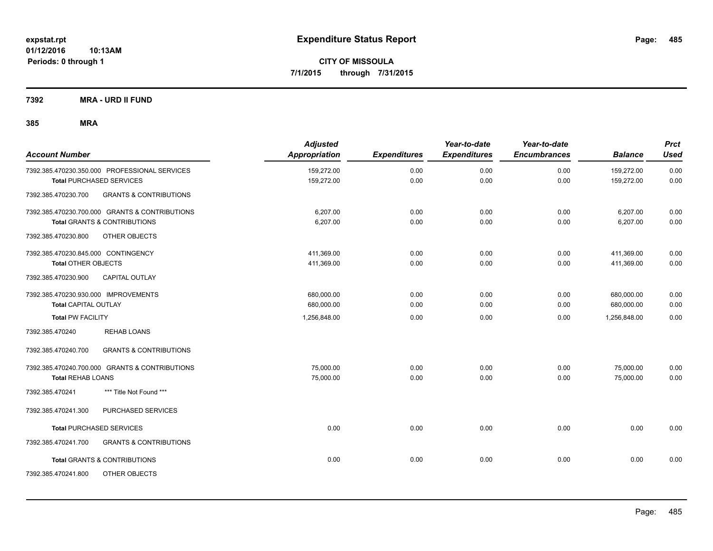**CITY OF MISSOULA 7/1/2015 through 7/31/2015**

**7392 MRA - URD II FUND**

| <b>Account Number</b>                                    | <b>Adjusted</b><br><b>Appropriation</b> | <b>Expenditures</b> | Year-to-date<br><b>Expenditures</b> | Year-to-date<br><b>Encumbrances</b> | <b>Balance</b> | <b>Prct</b><br><b>Used</b> |
|----------------------------------------------------------|-----------------------------------------|---------------------|-------------------------------------|-------------------------------------|----------------|----------------------------|
| 7392.385.470230.350.000 PROFESSIONAL SERVICES            | 159,272.00                              | 0.00                | 0.00                                | 0.00                                | 159,272.00     | 0.00                       |
| <b>Total PURCHASED SERVICES</b>                          | 159,272.00                              | 0.00                | 0.00                                | 0.00                                | 159,272.00     | 0.00                       |
| 7392.385.470230.700<br><b>GRANTS &amp; CONTRIBUTIONS</b> |                                         |                     |                                     |                                     |                |                            |
| 7392.385.470230.700.000 GRANTS & CONTRIBUTIONS           | 6,207.00                                | 0.00                | 0.00                                | 0.00                                | 6,207.00       | 0.00                       |
| <b>Total GRANTS &amp; CONTRIBUTIONS</b>                  | 6,207.00                                | 0.00                | 0.00                                | 0.00                                | 6,207.00       | 0.00                       |
| 7392.385.470230.800<br><b>OTHER OBJECTS</b>              |                                         |                     |                                     |                                     |                |                            |
| 7392.385.470230.845.000 CONTINGENCY                      | 411,369.00                              | 0.00                | 0.00                                | 0.00                                | 411,369.00     | 0.00                       |
| <b>Total OTHER OBJECTS</b>                               | 411,369.00                              | 0.00                | 0.00                                | 0.00                                | 411,369.00     | 0.00                       |
| <b>CAPITAL OUTLAY</b><br>7392.385.470230.900             |                                         |                     |                                     |                                     |                |                            |
| 7392.385.470230.930.000 IMPROVEMENTS                     | 680,000.00                              | 0.00                | 0.00                                | 0.00                                | 680.000.00     | 0.00                       |
| <b>Total CAPITAL OUTLAY</b>                              | 680,000.00                              | 0.00                | 0.00                                | 0.00                                | 680,000.00     | 0.00                       |
| <b>Total PW FACILITY</b>                                 | 1,256,848.00                            | 0.00                | 0.00                                | 0.00                                | 1,256,848.00   | 0.00                       |
| 7392.385.470240<br><b>REHAB LOANS</b>                    |                                         |                     |                                     |                                     |                |                            |
| <b>GRANTS &amp; CONTRIBUTIONS</b><br>7392.385.470240.700 |                                         |                     |                                     |                                     |                |                            |
| 7392.385.470240.700.000 GRANTS & CONTRIBUTIONS           | 75,000.00                               | 0.00                | 0.00                                | 0.00                                | 75,000.00      | 0.00                       |
| <b>Total REHAB LOANS</b>                                 | 75,000.00                               | 0.00                | 0.00                                | 0.00                                | 75,000.00      | 0.00                       |
| 7392.385.470241<br>*** Title Not Found ***               |                                         |                     |                                     |                                     |                |                            |
| PURCHASED SERVICES<br>7392.385.470241.300                |                                         |                     |                                     |                                     |                |                            |
| <b>Total PURCHASED SERVICES</b>                          | 0.00                                    | 0.00                | 0.00                                | 0.00                                | 0.00           | 0.00                       |
| 7392.385.470241.700<br><b>GRANTS &amp; CONTRIBUTIONS</b> |                                         |                     |                                     |                                     |                |                            |
| <b>Total GRANTS &amp; CONTRIBUTIONS</b>                  | 0.00                                    | 0.00                | 0.00                                | 0.00                                | 0.00           | 0.00                       |
| 7392.385.470241.800<br>OTHER OBJECTS                     |                                         |                     |                                     |                                     |                |                            |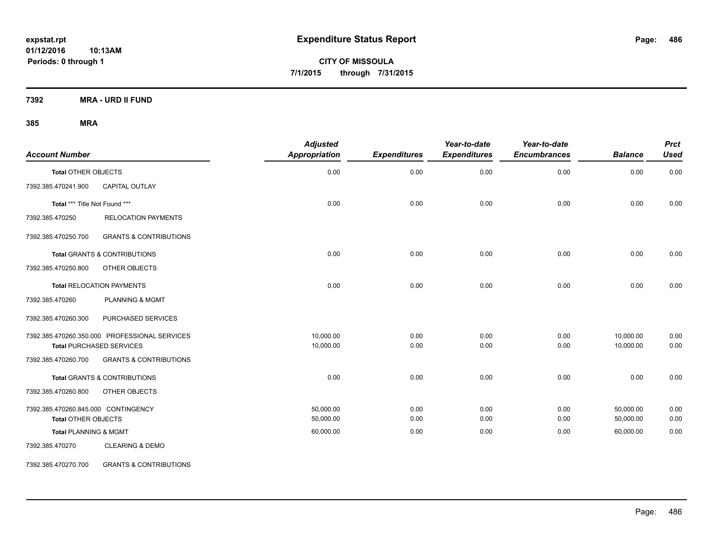**CITY OF MISSOULA 7/1/2015 through 7/31/2015**

**7392 MRA - URD II FUND**

### **385 MRA**

| <b>Account Number</b>               |                                               | <b>Adjusted</b><br>Appropriation | <b>Expenditures</b> | Year-to-date<br><b>Expenditures</b> | Year-to-date<br><b>Encumbrances</b> | <b>Balance</b> | <b>Prct</b><br><b>Used</b> |
|-------------------------------------|-----------------------------------------------|----------------------------------|---------------------|-------------------------------------|-------------------------------------|----------------|----------------------------|
| <b>Total OTHER OBJECTS</b>          |                                               | 0.00                             | 0.00                | 0.00                                | 0.00                                | 0.00           | 0.00                       |
| 7392.385.470241.900                 | CAPITAL OUTLAY                                |                                  |                     |                                     |                                     |                |                            |
| Total *** Title Not Found ***       |                                               | 0.00                             | 0.00                | 0.00                                | 0.00                                | 0.00           | 0.00                       |
| 7392.385.470250                     | <b>RELOCATION PAYMENTS</b>                    |                                  |                     |                                     |                                     |                |                            |
| 7392.385.470250.700                 | <b>GRANTS &amp; CONTRIBUTIONS</b>             |                                  |                     |                                     |                                     |                |                            |
|                                     | <b>Total GRANTS &amp; CONTRIBUTIONS</b>       | 0.00                             | 0.00                | 0.00                                | 0.00                                | 0.00           | 0.00                       |
| 7392.385.470250.800                 | OTHER OBJECTS                                 |                                  |                     |                                     |                                     |                |                            |
|                                     | <b>Total RELOCATION PAYMENTS</b>              | 0.00                             | 0.00                | 0.00                                | 0.00                                | 0.00           | 0.00                       |
| 7392.385.470260                     | <b>PLANNING &amp; MGMT</b>                    |                                  |                     |                                     |                                     |                |                            |
| 7392.385.470260.300                 | PURCHASED SERVICES                            |                                  |                     |                                     |                                     |                |                            |
|                                     | 7392.385.470260.350.000 PROFESSIONAL SERVICES | 10,000.00                        | 0.00                | 0.00                                | 0.00                                | 10,000.00      | 0.00                       |
|                                     | <b>Total PURCHASED SERVICES</b>               | 10,000.00                        | 0.00                | 0.00                                | 0.00                                | 10,000.00      | 0.00                       |
| 7392.385.470260.700                 | <b>GRANTS &amp; CONTRIBUTIONS</b>             |                                  |                     |                                     |                                     |                |                            |
|                                     | Total GRANTS & CONTRIBUTIONS                  | 0.00                             | 0.00                | 0.00                                | 0.00                                | 0.00           | 0.00                       |
| 7392.385.470260.800                 | OTHER OBJECTS                                 |                                  |                     |                                     |                                     |                |                            |
| 7392.385.470260.845.000 CONTINGENCY |                                               | 50.000.00                        | 0.00                | 0.00                                | 0.00                                | 50,000.00      | 0.00                       |
| <b>Total OTHER OBJECTS</b>          |                                               | 50,000.00                        | 0.00                | 0.00                                | 0.00                                | 50,000.00      | 0.00                       |
| <b>Total PLANNING &amp; MGMT</b>    |                                               | 60,000.00                        | 0.00                | 0.00                                | 0.00                                | 60,000.00      | 0.00                       |
| 7392.385.470270                     | <b>CLEARING &amp; DEMO</b>                    |                                  |                     |                                     |                                     |                |                            |

7392.385.470270.700 GRANTS & CONTRIBUTIONS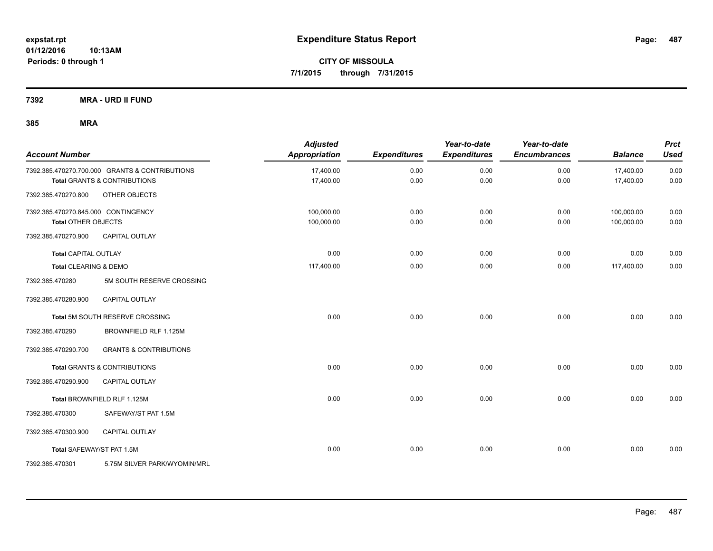**CITY OF MISSOULA 7/1/2015 through 7/31/2015**

**7392 MRA - URD II FUND**

| <b>Account Number</b>               |                                                | <b>Adjusted</b><br>Appropriation | <b>Expenditures</b> | Year-to-date<br><b>Expenditures</b> | Year-to-date<br><b>Encumbrances</b> | <b>Balance</b> | <b>Prct</b><br><b>Used</b> |
|-------------------------------------|------------------------------------------------|----------------------------------|---------------------|-------------------------------------|-------------------------------------|----------------|----------------------------|
|                                     | 7392.385.470270.700.000 GRANTS & CONTRIBUTIONS | 17,400.00                        | 0.00                | 0.00                                | 0.00                                | 17,400.00      | 0.00                       |
|                                     | <b>Total GRANTS &amp; CONTRIBUTIONS</b>        | 17,400.00                        | 0.00                | 0.00                                | 0.00                                | 17,400.00      | 0.00                       |
| 7392.385.470270.800                 | OTHER OBJECTS                                  |                                  |                     |                                     |                                     |                |                            |
| 7392.385.470270.845.000 CONTINGENCY |                                                | 100,000.00                       | 0.00                | 0.00                                | 0.00                                | 100,000.00     | 0.00                       |
| <b>Total OTHER OBJECTS</b>          |                                                | 100,000.00                       | 0.00                | 0.00                                | 0.00                                | 100,000.00     | 0.00                       |
| 7392.385.470270.900                 | CAPITAL OUTLAY                                 |                                  |                     |                                     |                                     |                |                            |
| <b>Total CAPITAL OUTLAY</b>         |                                                | 0.00                             | 0.00                | 0.00                                | 0.00                                | 0.00           | 0.00                       |
| Total CLEARING & DEMO               |                                                | 117,400.00                       | 0.00                | 0.00                                | 0.00                                | 117,400.00     | 0.00                       |
| 7392.385.470280                     | 5M SOUTH RESERVE CROSSING                      |                                  |                     |                                     |                                     |                |                            |
| 7392.385.470280.900                 | <b>CAPITAL OUTLAY</b>                          |                                  |                     |                                     |                                     |                |                            |
|                                     | Total 5M SOUTH RESERVE CROSSING                | 0.00                             | 0.00                | 0.00                                | 0.00                                | 0.00           | 0.00                       |
| 7392.385.470290                     | BROWNFIELD RLF 1.125M                          |                                  |                     |                                     |                                     |                |                            |
| 7392.385.470290.700                 | <b>GRANTS &amp; CONTRIBUTIONS</b>              |                                  |                     |                                     |                                     |                |                            |
|                                     | Total GRANTS & CONTRIBUTIONS                   | 0.00                             | 0.00                | 0.00                                | 0.00                                | 0.00           | 0.00                       |
| 7392.385.470290.900                 | <b>CAPITAL OUTLAY</b>                          |                                  |                     |                                     |                                     |                |                            |
|                                     | Total BROWNFIELD RLF 1.125M                    | 0.00                             | 0.00                | 0.00                                | 0.00                                | 0.00           | 0.00                       |
| 7392.385.470300                     | SAFEWAY/ST PAT 1.5M                            |                                  |                     |                                     |                                     |                |                            |
| 7392.385.470300.900                 | <b>CAPITAL OUTLAY</b>                          |                                  |                     |                                     |                                     |                |                            |
|                                     | Total SAFEWAY/ST PAT 1.5M                      | 0.00                             | 0.00                | 0.00                                | 0.00                                | 0.00           | 0.00                       |
| 7392.385.470301                     | 5.75M SILVER PARK/WYOMIN/MRL                   |                                  |                     |                                     |                                     |                |                            |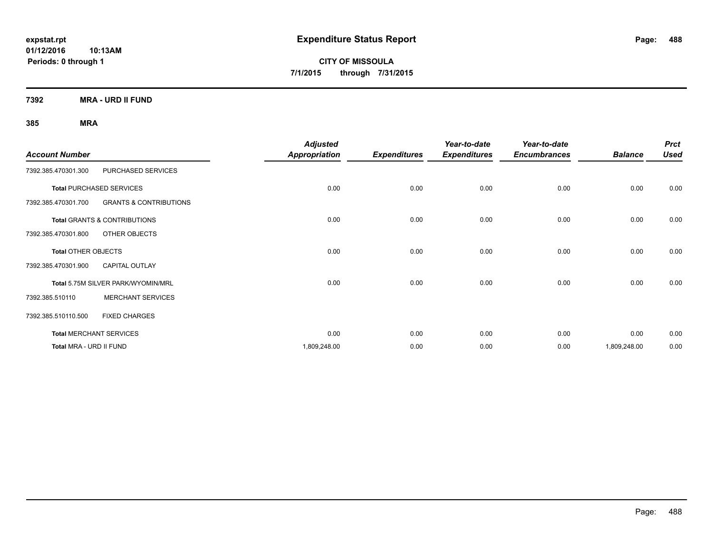**CITY OF MISSOULA 7/1/2015 through 7/31/2015**

**7392 MRA - URD II FUND**

|                            |                                         | <b>Adjusted</b>      |                     | Year-to-date        | Year-to-date        |                | <b>Prct</b> |
|----------------------------|-----------------------------------------|----------------------|---------------------|---------------------|---------------------|----------------|-------------|
| <b>Account Number</b>      |                                         | <b>Appropriation</b> | <b>Expenditures</b> | <b>Expenditures</b> | <b>Encumbrances</b> | <b>Balance</b> | <b>Used</b> |
| 7392.385.470301.300        | PURCHASED SERVICES                      |                      |                     |                     |                     |                |             |
|                            | <b>Total PURCHASED SERVICES</b>         | 0.00                 | 0.00                | 0.00                | 0.00                | 0.00           | 0.00        |
| 7392.385.470301.700        | <b>GRANTS &amp; CONTRIBUTIONS</b>       |                      |                     |                     |                     |                |             |
|                            | <b>Total GRANTS &amp; CONTRIBUTIONS</b> | 0.00                 | 0.00                | 0.00                | 0.00                | 0.00           | 0.00        |
| 7392.385.470301.800        | OTHER OBJECTS                           |                      |                     |                     |                     |                |             |
| <b>Total OTHER OBJECTS</b> |                                         | 0.00                 | 0.00                | 0.00                | 0.00                | 0.00           | 0.00        |
| 7392.385.470301.900        | <b>CAPITAL OUTLAY</b>                   |                      |                     |                     |                     |                |             |
|                            | Total 5.75M SILVER PARK/WYOMIN/MRL      | 0.00                 | 0.00                | 0.00                | 0.00                | 0.00           | 0.00        |
| 7392.385.510110            | <b>MERCHANT SERVICES</b>                |                      |                     |                     |                     |                |             |
| 7392.385.510110.500        | <b>FIXED CHARGES</b>                    |                      |                     |                     |                     |                |             |
|                            | <b>Total MERCHANT SERVICES</b>          | 0.00                 | 0.00                | 0.00                | 0.00                | 0.00           | 0.00        |
| Total MRA - URD II FUND    |                                         | 1,809,248.00         | 0.00                | 0.00                | 0.00                | 1,809,248.00   | 0.00        |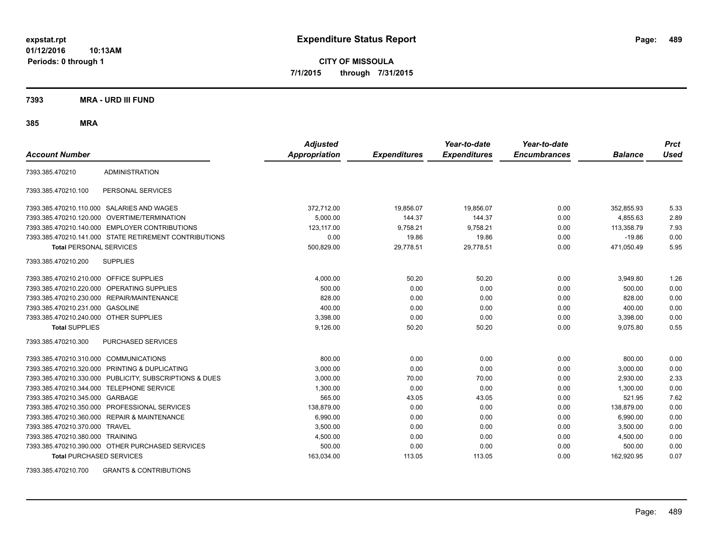**CITY OF MISSOULA 7/1/2015 through 7/31/2015**

**7393 MRA - URD III FUND**

**385 MRA**

| <b>Account Number</b>                     |                                                         | <b>Adjusted</b><br><b>Appropriation</b> | <b>Expenditures</b> | Year-to-date<br><b>Expenditures</b> | Year-to-date<br><b>Encumbrances</b> | <b>Balance</b> | <b>Prct</b><br><b>Used</b> |
|-------------------------------------------|---------------------------------------------------------|-----------------------------------------|---------------------|-------------------------------------|-------------------------------------|----------------|----------------------------|
| 7393.385.470210                           | <b>ADMINISTRATION</b>                                   |                                         |                     |                                     |                                     |                |                            |
| 7393.385.470210.100                       | PERSONAL SERVICES                                       |                                         |                     |                                     |                                     |                |                            |
|                                           | 7393.385.470210.110.000 SALARIES AND WAGES              | 372,712.00                              | 19,856.07           | 19,856.07                           | 0.00                                | 352,855.93     | 5.33                       |
|                                           | 7393.385.470210.120.000 OVERTIME/TERMINATION            | 5,000.00                                | 144.37              | 144.37                              | 0.00                                | 4,855.63       | 2.89                       |
|                                           | 7393.385.470210.140.000 EMPLOYER CONTRIBUTIONS          | 123.117.00                              | 9,758.21            | 9,758.21                            | 0.00                                | 113,358.79     | 7.93                       |
|                                           | 7393.385.470210.141.000 STATE RETIREMENT CONTRIBUTIONS  | 0.00                                    | 19.86               | 19.86                               | 0.00                                | $-19.86$       | 0.00                       |
| <b>Total PERSONAL SERVICES</b>            |                                                         | 500,829.00                              | 29,778.51           | 29,778.51                           | 0.00                                | 471,050.49     | 5.95                       |
| 7393.385.470210.200                       | <b>SUPPLIES</b>                                         |                                         |                     |                                     |                                     |                |                            |
| 7393.385.470210.210.000 OFFICE SUPPLIES   |                                                         | 4,000.00                                | 50.20               | 50.20                               | 0.00                                | 3,949.80       | 1.26                       |
|                                           | 7393.385.470210.220.000 OPERATING SUPPLIES              | 500.00                                  | 0.00                | 0.00                                | 0.00                                | 500.00         | 0.00                       |
|                                           | 7393.385.470210.230.000 REPAIR/MAINTENANCE              | 828.00                                  | 0.00                | 0.00                                | 0.00                                | 828.00         | 0.00                       |
| 7393.385.470210.231.000 GASOLINE          |                                                         | 400.00                                  | 0.00                | 0.00                                | 0.00                                | 400.00         | 0.00                       |
| 7393.385.470210.240.000 OTHER SUPPLIES    |                                                         | 3,398.00                                | 0.00                | 0.00                                | 0.00                                | 3,398.00       | 0.00                       |
| <b>Total SUPPLIES</b>                     |                                                         | 9,126.00                                | 50.20               | 50.20                               | 0.00                                | 9,075.80       | 0.55                       |
| 7393.385.470210.300                       | <b>PURCHASED SERVICES</b>                               |                                         |                     |                                     |                                     |                |                            |
| 7393.385.470210.310.000 COMMUNICATIONS    |                                                         | 800.00                                  | 0.00                | 0.00                                | 0.00                                | 800.00         | 0.00                       |
|                                           | 7393.385.470210.320.000 PRINTING & DUPLICATING          | 3,000.00                                | 0.00                | 0.00                                | 0.00                                | 3,000.00       | 0.00                       |
|                                           | 7393.385.470210.330.000 PUBLICITY, SUBSCRIPTIONS & DUES | 3,000.00                                | 70.00               | 70.00                               | 0.00                                | 2,930.00       | 2.33                       |
| 7393.385.470210.344.000 TELEPHONE SERVICE |                                                         | 1,300.00                                | 0.00                | 0.00                                | 0.00                                | 1,300.00       | 0.00                       |
| 7393.385.470210.345.000 GARBAGE           |                                                         | 565.00                                  | 43.05               | 43.05                               | 0.00                                | 521.95         | 7.62                       |
|                                           | 7393.385.470210.350.000 PROFESSIONAL SERVICES           | 138.879.00                              | 0.00                | 0.00                                | 0.00                                | 138,879.00     | 0.00                       |
|                                           | 7393.385.470210.360.000 REPAIR & MAINTENANCE            | 6.990.00                                | 0.00                | 0.00                                | 0.00                                | 6.990.00       | 0.00                       |
| 7393.385.470210.370.000 TRAVEL            |                                                         | 3,500.00                                | 0.00                | 0.00                                | 0.00                                | 3,500.00       | 0.00                       |
| 7393.385.470210.380.000 TRAINING          |                                                         | 4,500.00                                | 0.00                | 0.00                                | 0.00                                | 4,500.00       | 0.00                       |
|                                           | 7393.385.470210.390.000 OTHER PURCHASED SERVICES        | 500.00                                  | 0.00                | 0.00                                | 0.00                                | 500.00         | 0.00                       |
| <b>Total PURCHASED SERVICES</b>           |                                                         | 163,034.00                              | 113.05              | 113.05                              | 0.00                                | 162,920.95     | 0.07                       |

7393.385.470210.700 GRANTS & CONTRIBUTIONS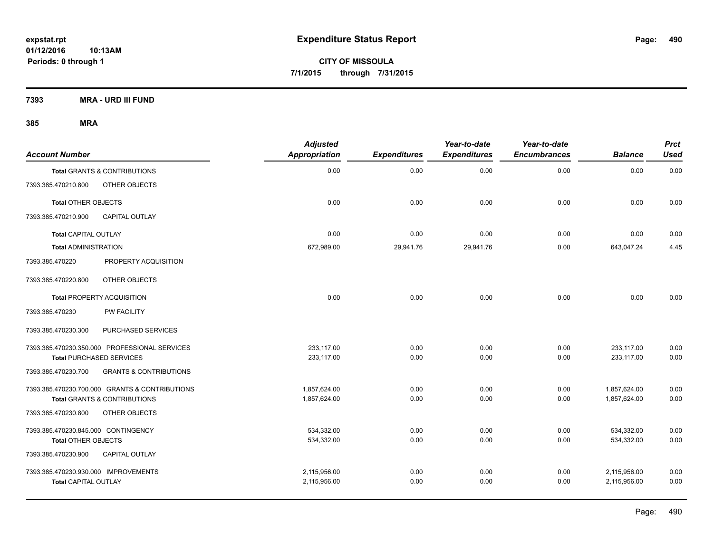**CITY OF MISSOULA 7/1/2015 through 7/31/2015**

**7393 MRA - URD III FUND**

| <b>Account Number</b>                |                                                | <b>Adjusted</b><br><b>Appropriation</b> | <b>Expenditures</b> | Year-to-date<br><b>Expenditures</b> | Year-to-date<br><b>Encumbrances</b> | <b>Balance</b> | <b>Prct</b><br><b>Used</b> |
|--------------------------------------|------------------------------------------------|-----------------------------------------|---------------------|-------------------------------------|-------------------------------------|----------------|----------------------------|
|                                      | <b>Total GRANTS &amp; CONTRIBUTIONS</b>        | 0.00                                    | 0.00                | 0.00                                | 0.00                                | 0.00           | 0.00                       |
| 7393.385.470210.800                  | OTHER OBJECTS                                  |                                         |                     |                                     |                                     |                |                            |
| <b>Total OTHER OBJECTS</b>           |                                                | 0.00                                    | 0.00                | 0.00                                | 0.00                                | 0.00           | 0.00                       |
| 7393.385.470210.900                  | CAPITAL OUTLAY                                 |                                         |                     |                                     |                                     |                |                            |
| Total CAPITAL OUTLAY                 |                                                | 0.00                                    | 0.00                | 0.00                                | 0.00                                | 0.00           | 0.00                       |
| <b>Total ADMINISTRATION</b>          |                                                | 672,989.00                              | 29,941.76           | 29,941.76                           | 0.00                                | 643,047.24     | 4.45                       |
| 7393.385.470220                      | PROPERTY ACQUISITION                           |                                         |                     |                                     |                                     |                |                            |
| 7393.385.470220.800                  | OTHER OBJECTS                                  |                                         |                     |                                     |                                     |                |                            |
|                                      | <b>Total PROPERTY ACQUISITION</b>              | 0.00                                    | 0.00                | 0.00                                | 0.00                                | 0.00           | 0.00                       |
| 7393.385.470230                      | <b>PW FACILITY</b>                             |                                         |                     |                                     |                                     |                |                            |
| 7393.385.470230.300                  | PURCHASED SERVICES                             |                                         |                     |                                     |                                     |                |                            |
|                                      | 7393.385.470230.350.000 PROFESSIONAL SERVICES  | 233.117.00                              | 0.00                | 0.00                                | 0.00                                | 233,117.00     | 0.00                       |
|                                      | <b>Total PURCHASED SERVICES</b>                | 233,117.00                              | 0.00                | 0.00                                | 0.00                                | 233,117.00     | 0.00                       |
| 7393.385.470230.700                  | <b>GRANTS &amp; CONTRIBUTIONS</b>              |                                         |                     |                                     |                                     |                |                            |
|                                      | 7393.385.470230.700.000 GRANTS & CONTRIBUTIONS | 1,857,624.00                            | 0.00                | 0.00                                | 0.00                                | 1,857,624.00   | 0.00                       |
|                                      | <b>Total GRANTS &amp; CONTRIBUTIONS</b>        | 1,857,624.00                            | 0.00                | 0.00                                | 0.00                                | 1.857.624.00   | 0.00                       |
| 7393.385.470230.800                  | OTHER OBJECTS                                  |                                         |                     |                                     |                                     |                |                            |
| 7393.385.470230.845.000 CONTINGENCY  |                                                | 534,332.00                              | 0.00                | 0.00                                | 0.00                                | 534,332.00     | 0.00                       |
| <b>Total OTHER OBJECTS</b>           |                                                | 534,332.00                              | 0.00                | 0.00                                | 0.00                                | 534,332.00     | 0.00                       |
| 7393.385.470230.900                  | <b>CAPITAL OUTLAY</b>                          |                                         |                     |                                     |                                     |                |                            |
| 7393.385.470230.930.000 IMPROVEMENTS |                                                | 2,115,956.00                            | 0.00                | 0.00                                | 0.00                                | 2,115,956.00   | 0.00                       |
| <b>Total CAPITAL OUTLAY</b>          |                                                | 2,115,956.00                            | 0.00                | 0.00                                | 0.00                                | 2,115,956.00   | 0.00                       |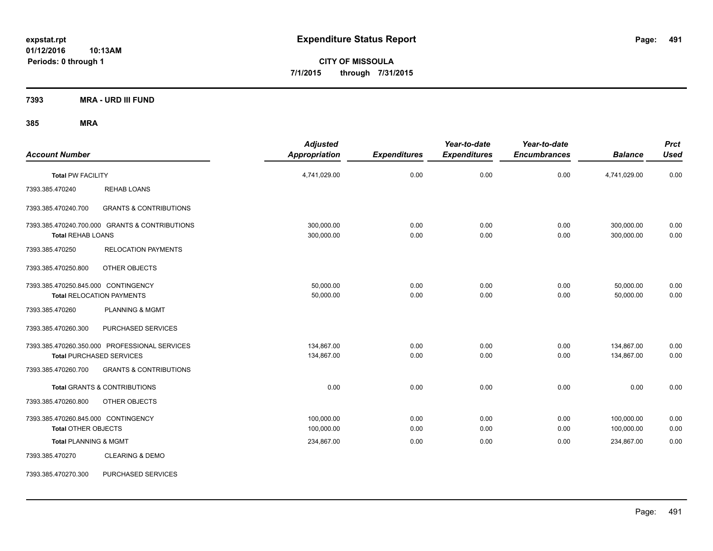**CITY OF MISSOULA 7/1/2015 through 7/31/2015**

**7393 MRA - URD III FUND**

| <b>Account Number</b>                                                            | <b>Adjusted</b><br><b>Appropriation</b> | <b>Expenditures</b> | Year-to-date<br><b>Expenditures</b> | Year-to-date<br><b>Encumbrances</b> | <b>Balance</b>           | <b>Prct</b><br><b>Used</b> |
|----------------------------------------------------------------------------------|-----------------------------------------|---------------------|-------------------------------------|-------------------------------------|--------------------------|----------------------------|
| <b>Total PW FACILITY</b>                                                         | 4,741,029.00                            | 0.00                | 0.00                                | 0.00                                | 4,741,029.00             | 0.00                       |
| 7393.385.470240<br><b>REHAB LOANS</b>                                            |                                         |                     |                                     |                                     |                          |                            |
| <b>GRANTS &amp; CONTRIBUTIONS</b><br>7393.385.470240.700                         |                                         |                     |                                     |                                     |                          |                            |
| 7393.385.470240.700.000 GRANTS & CONTRIBUTIONS<br><b>Total REHAB LOANS</b>       | 300,000.00<br>300,000.00                | 0.00<br>0.00        | 0.00<br>0.00                        | 0.00<br>0.00                        | 300,000.00<br>300,000.00 | 0.00<br>0.00               |
| 7393.385.470250<br><b>RELOCATION PAYMENTS</b>                                    |                                         |                     |                                     |                                     |                          |                            |
| 7393.385.470250.800<br>OTHER OBJECTS                                             |                                         |                     |                                     |                                     |                          |                            |
| 7393.385.470250.845.000 CONTINGENCY<br><b>Total RELOCATION PAYMENTS</b>          | 50,000.00<br>50,000.00                  | 0.00<br>0.00        | 0.00<br>0.00                        | 0.00<br>0.00                        | 50,000.00<br>50,000.00   | 0.00<br>0.00               |
| <b>PLANNING &amp; MGMT</b><br>7393.385.470260                                    |                                         |                     |                                     |                                     |                          |                            |
| 7393.385.470260.300<br>PURCHASED SERVICES                                        |                                         |                     |                                     |                                     |                          |                            |
| 7393.385.470260.350.000 PROFESSIONAL SERVICES<br><b>Total PURCHASED SERVICES</b> | 134,867.00<br>134,867.00                | 0.00<br>0.00        | 0.00<br>0.00                        | 0.00<br>0.00                        | 134,867.00<br>134,867.00 | 0.00<br>0.00               |
| <b>GRANTS &amp; CONTRIBUTIONS</b><br>7393.385.470260.700                         |                                         |                     |                                     |                                     |                          |                            |
| <b>Total GRANTS &amp; CONTRIBUTIONS</b>                                          | 0.00                                    | 0.00                | 0.00                                | 0.00                                | 0.00                     | 0.00                       |
| 7393.385.470260.800<br>OTHER OBJECTS                                             |                                         |                     |                                     |                                     |                          |                            |
| 7393.385.470260.845.000 CONTINGENCY<br><b>Total OTHER OBJECTS</b>                | 100,000.00<br>100,000.00                | 0.00<br>0.00        | 0.00<br>0.00                        | 0.00<br>0.00                        | 100,000.00<br>100,000.00 | 0.00<br>0.00               |
| <b>Total PLANNING &amp; MGMT</b>                                                 | 234,867.00                              | 0.00                | 0.00                                | 0.00                                | 234,867.00               | 0.00                       |
| <b>CLEARING &amp; DEMO</b><br>7393.385.470270                                    |                                         |                     |                                     |                                     |                          |                            |
| 7393.385.470270.300<br>PURCHASED SERVICES                                        |                                         |                     |                                     |                                     |                          |                            |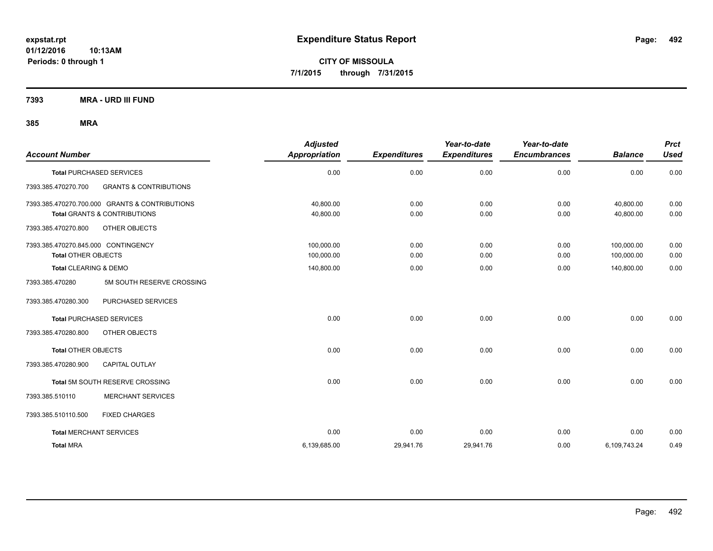**CITY OF MISSOULA 7/1/2015 through 7/31/2015**

**7393 MRA - URD III FUND**

| <b>Account Number</b>               |                                                | <b>Adjusted</b><br><b>Appropriation</b> | <b>Expenditures</b> | Year-to-date<br><b>Expenditures</b> | Year-to-date<br><b>Encumbrances</b> | <b>Balance</b> | <b>Prct</b><br><b>Used</b> |
|-------------------------------------|------------------------------------------------|-----------------------------------------|---------------------|-------------------------------------|-------------------------------------|----------------|----------------------------|
|                                     | <b>Total PURCHASED SERVICES</b>                | 0.00                                    | 0.00                | 0.00                                | 0.00                                | 0.00           | 0.00                       |
| 7393.385.470270.700                 | <b>GRANTS &amp; CONTRIBUTIONS</b>              |                                         |                     |                                     |                                     |                |                            |
|                                     | 7393.385.470270.700.000 GRANTS & CONTRIBUTIONS | 40.800.00                               | 0.00                | 0.00                                | 0.00                                | 40.800.00      | 0.00                       |
|                                     | <b>Total GRANTS &amp; CONTRIBUTIONS</b>        | 40,800.00                               | 0.00                | 0.00                                | 0.00                                | 40,800.00      | 0.00                       |
| 7393.385.470270.800                 | OTHER OBJECTS                                  |                                         |                     |                                     |                                     |                |                            |
| 7393.385.470270.845.000 CONTINGENCY |                                                | 100,000.00                              | 0.00                | 0.00                                | 0.00                                | 100,000.00     | 0.00                       |
| <b>Total OTHER OBJECTS</b>          |                                                | 100,000.00                              | 0.00                | 0.00                                | 0.00                                | 100,000.00     | 0.00                       |
| <b>Total CLEARING &amp; DEMO</b>    |                                                | 140,800.00                              | 0.00                | 0.00                                | 0.00                                | 140,800.00     | 0.00                       |
| 7393.385.470280                     | 5M SOUTH RESERVE CROSSING                      |                                         |                     |                                     |                                     |                |                            |
| 7393.385.470280.300                 | PURCHASED SERVICES                             |                                         |                     |                                     |                                     |                |                            |
|                                     | <b>Total PURCHASED SERVICES</b>                | 0.00                                    | 0.00                | 0.00                                | 0.00                                | 0.00           | 0.00                       |
| 7393.385.470280.800                 | OTHER OBJECTS                                  |                                         |                     |                                     |                                     |                |                            |
| <b>Total OTHER OBJECTS</b>          |                                                | 0.00                                    | 0.00                | 0.00                                | 0.00                                | 0.00           | 0.00                       |
| 7393.385.470280.900                 | <b>CAPITAL OUTLAY</b>                          |                                         |                     |                                     |                                     |                |                            |
|                                     | Total 5M SOUTH RESERVE CROSSING                | 0.00                                    | 0.00                | 0.00                                | 0.00                                | 0.00           | 0.00                       |
| 7393.385.510110                     | <b>MERCHANT SERVICES</b>                       |                                         |                     |                                     |                                     |                |                            |
| 7393.385.510110.500                 | <b>FIXED CHARGES</b>                           |                                         |                     |                                     |                                     |                |                            |
| <b>Total MERCHANT SERVICES</b>      |                                                | 0.00                                    | 0.00                | 0.00                                | 0.00                                | 0.00           | 0.00                       |
| <b>Total MRA</b>                    |                                                | 6,139,685.00                            | 29,941.76           | 29,941.76                           | 0.00                                | 6,109,743.24   | 0.49                       |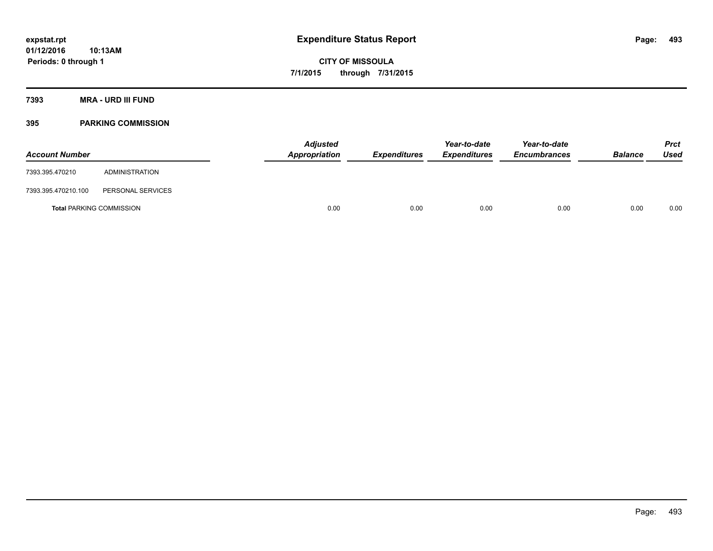**CITY OF MISSOULA 7/1/2015 through 7/31/2015**

**7393 MRA - URD III FUND**

## **395 PARKING COMMISSION**

| <b>Account Number</b> |                                 | <b>Adjusted</b><br>Appropriation | <b>Expenditures</b> | Year-to-date<br><b>Expenditures</b> | Year-to-date<br><b>Encumbrances</b> | <b>Balance</b> | <b>Prct</b><br>Used |
|-----------------------|---------------------------------|----------------------------------|---------------------|-------------------------------------|-------------------------------------|----------------|---------------------|
| 7393.395.470210       | ADMINISTRATION                  |                                  |                     |                                     |                                     |                |                     |
| 7393.395.470210.100   | PERSONAL SERVICES               |                                  |                     |                                     |                                     |                |                     |
|                       | <b>Total PARKING COMMISSION</b> | 0.00                             | 0.00                | 0.00                                | 0.00                                | 0.00           | 0.00                |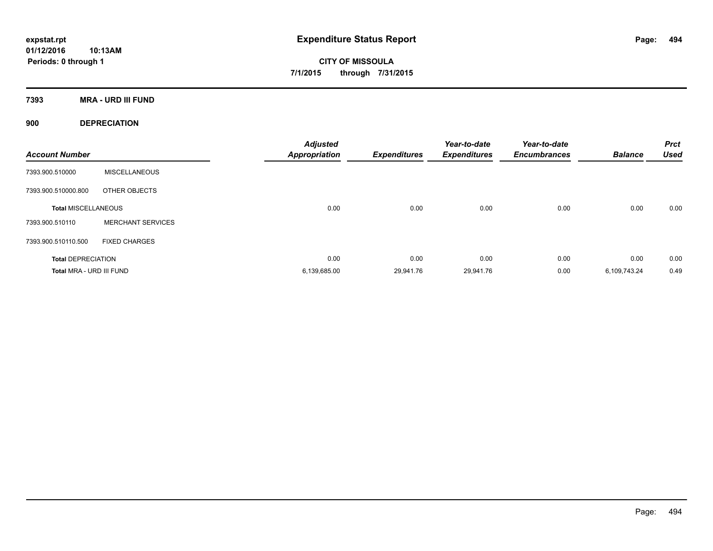**CITY OF MISSOULA 7/1/2015 through 7/31/2015**

**7393 MRA - URD III FUND**

**900 DEPRECIATION**

| <b>Account Number</b>      |                          | <b>Adjusted</b><br><b>Appropriation</b> | <b>Expenditures</b> | Year-to-date<br><b>Expenditures</b> | Year-to-date<br><b>Encumbrances</b> | <b>Balance</b> | <b>Prct</b><br><b>Used</b> |
|----------------------------|--------------------------|-----------------------------------------|---------------------|-------------------------------------|-------------------------------------|----------------|----------------------------|
| 7393.900.510000            | <b>MISCELLANEOUS</b>     |                                         |                     |                                     |                                     |                |                            |
| 7393.900.510000.800        | OTHER OBJECTS            |                                         |                     |                                     |                                     |                |                            |
| <b>Total MISCELLANEOUS</b> |                          | 0.00                                    | 0.00                | 0.00                                | 0.00                                | 0.00           | 0.00                       |
| 7393.900.510110            | <b>MERCHANT SERVICES</b> |                                         |                     |                                     |                                     |                |                            |
| 7393.900.510110.500        | <b>FIXED CHARGES</b>     |                                         |                     |                                     |                                     |                |                            |
| <b>Total DEPRECIATION</b>  |                          | 0.00                                    | 0.00                | 0.00                                | 0.00                                | 0.00           | 0.00                       |
| Total MRA - URD III FUND   |                          | 6,139,685.00                            | 29,941.76           | 29,941.76                           | 0.00                                | 6,109,743.24   | 0.49                       |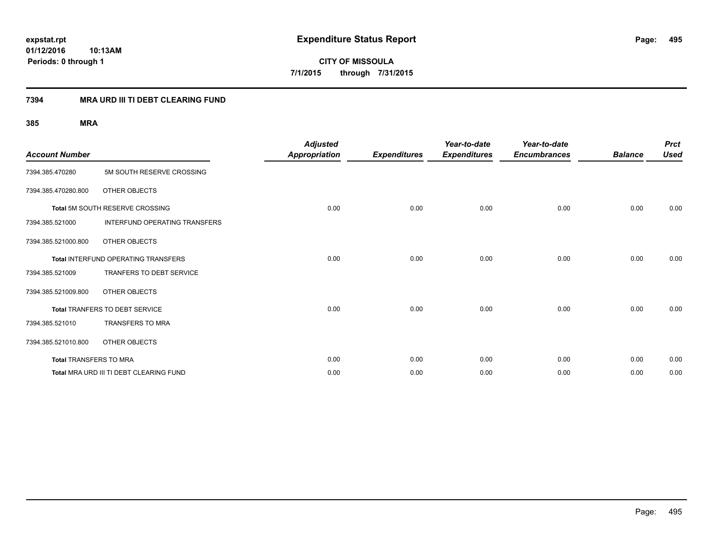**CITY OF MISSOULA 7/1/2015 through 7/31/2015**

### **7394 MRA URD III TI DEBT CLEARING FUND**

| <b>Account Number</b>  |                                            | <b>Adjusted</b><br><b>Appropriation</b> | <b>Expenditures</b> | Year-to-date<br><b>Expenditures</b> | Year-to-date<br><b>Encumbrances</b> | <b>Balance</b> | <b>Prct</b><br><b>Used</b> |
|------------------------|--------------------------------------------|-----------------------------------------|---------------------|-------------------------------------|-------------------------------------|----------------|----------------------------|
| 7394.385.470280        | 5M SOUTH RESERVE CROSSING                  |                                         |                     |                                     |                                     |                |                            |
| 7394.385.470280.800    | <b>OTHER OBJECTS</b>                       |                                         |                     |                                     |                                     |                |                            |
|                        | Total 5M SOUTH RESERVE CROSSING            | 0.00                                    | 0.00                | 0.00                                | 0.00                                | 0.00           | 0.00                       |
| 7394.385.521000        | INTERFUND OPERATING TRANSFERS              |                                         |                     |                                     |                                     |                |                            |
| 7394.385.521000.800    | <b>OTHER OBJECTS</b>                       |                                         |                     |                                     |                                     |                |                            |
|                        | <b>Total INTERFUND OPERATING TRANSFERS</b> | 0.00                                    | 0.00                | 0.00                                | 0.00                                | 0.00           | 0.00                       |
| 7394.385.521009        | <b>TRANFERS TO DEBT SERVICE</b>            |                                         |                     |                                     |                                     |                |                            |
| 7394.385.521009.800    | <b>OTHER OBJECTS</b>                       |                                         |                     |                                     |                                     |                |                            |
|                        | Total TRANFERS TO DEBT SERVICE             | 0.00                                    | 0.00                | 0.00                                | 0.00                                | 0.00           | 0.00                       |
| 7394.385.521010        | <b>TRANSFERS TO MRA</b>                    |                                         |                     |                                     |                                     |                |                            |
| 7394.385.521010.800    | <b>OTHER OBJECTS</b>                       |                                         |                     |                                     |                                     |                |                            |
| Total TRANSFERS TO MRA |                                            | 0.00                                    | 0.00                | 0.00                                | 0.00                                | 0.00           | 0.00                       |
|                        | Total MRA URD III TI DEBT CLEARING FUND    | 0.00                                    | 0.00                | 0.00                                | 0.00                                | 0.00           | 0.00                       |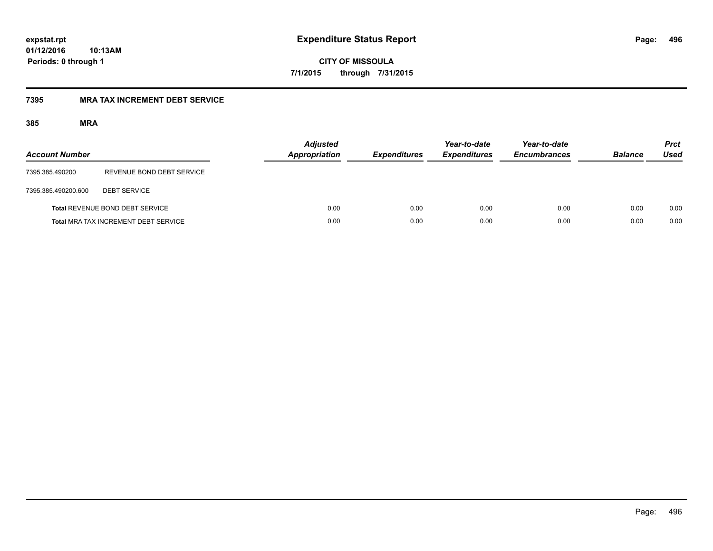**CITY OF MISSOULA 7/1/2015 through 7/31/2015**

### **7395 MRA TAX INCREMENT DEBT SERVICE**

| <b>Account Number</b> |                                             | <b>Adjusted</b><br>Appropriation | <b>Expenditures</b> | Year-to-date<br><b>Expenditures</b> | Year-to-date<br><b>Encumbrances</b> | <b>Balance</b> | <b>Prct</b><br>Used |
|-----------------------|---------------------------------------------|----------------------------------|---------------------|-------------------------------------|-------------------------------------|----------------|---------------------|
| 7395.385.490200       | REVENUE BOND DEBT SERVICE                   |                                  |                     |                                     |                                     |                |                     |
| 7395.385.490200.600   | <b>DEBT SERVICE</b>                         |                                  |                     |                                     |                                     |                |                     |
|                       | <b>Total REVENUE BOND DEBT SERVICE</b>      | 0.00                             | 0.00                | 0.00                                | 0.00                                | 0.00           | 0.00                |
|                       | <b>Total MRA TAX INCREMENT DEBT SERVICE</b> | 0.00                             | 0.00                | 0.00                                | 0.00                                | 0.00           | 0.00                |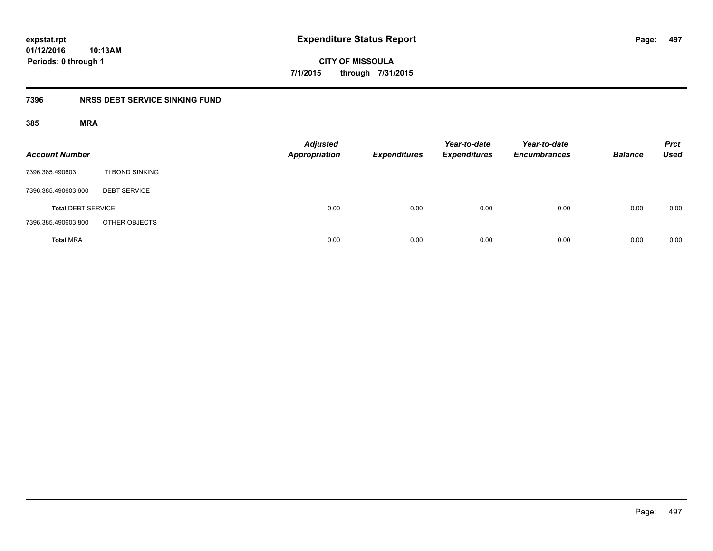**expstat.rpt Expenditure Status Report** 

**01/12/2016 10:13AM Periods: 0 through 1**

**CITY OF MISSOULA 7/1/2015 through 7/31/2015**

## **7396 NRSS DEBT SERVICE SINKING FUND**

| <b>Account Number</b>     |                     | <b>Adjusted</b><br>Appropriation | <b>Expenditures</b> | Year-to-date<br><b>Expenditures</b> | Year-to-date<br><b>Encumbrances</b> | <b>Balance</b> | <b>Prct</b><br><b>Used</b> |
|---------------------------|---------------------|----------------------------------|---------------------|-------------------------------------|-------------------------------------|----------------|----------------------------|
| 7396.385.490603           | TI BOND SINKING     |                                  |                     |                                     |                                     |                |                            |
| 7396.385.490603.600       | <b>DEBT SERVICE</b> |                                  |                     |                                     |                                     |                |                            |
| <b>Total DEBT SERVICE</b> |                     | 0.00                             | 0.00                | 0.00                                | 0.00                                | 0.00           | 0.00                       |
| 7396.385.490603.800       | OTHER OBJECTS       |                                  |                     |                                     |                                     |                |                            |
| <b>Total MRA</b>          |                     | 0.00                             | 0.00                | 0.00                                | 0.00                                | 0.00           | 0.00                       |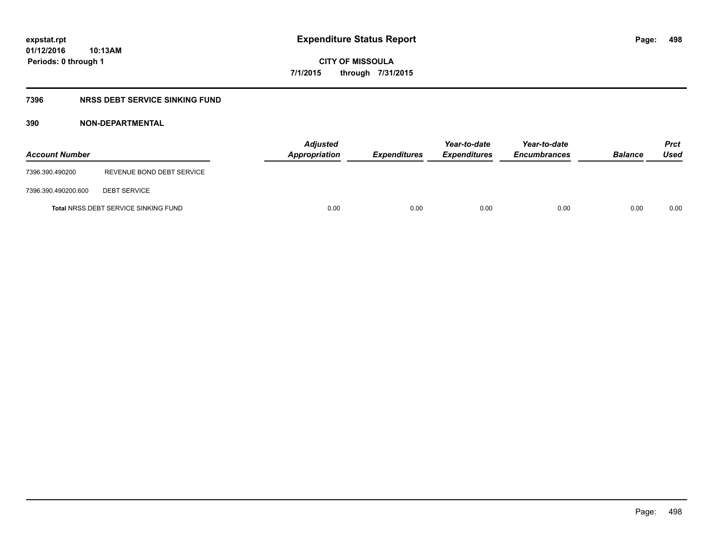**CITY OF MISSOULA 7/1/2015 through 7/31/2015**

## **7396 NRSS DEBT SERVICE SINKING FUND**

| <b>Account Number</b> |                                             | <b>Adjusted</b><br>Appropriation | <b>Expenditures</b> | Year-to-date<br><b>Expenditures</b> | Year-to-date<br><b>Encumbrances</b> | <b>Balance</b> | <b>Prct</b><br>Used |
|-----------------------|---------------------------------------------|----------------------------------|---------------------|-------------------------------------|-------------------------------------|----------------|---------------------|
| 7396.390.490200       | REVENUE BOND DEBT SERVICE                   |                                  |                     |                                     |                                     |                |                     |
| 7396.390.490200.600   | <b>DEBT SERVICE</b>                         |                                  |                     |                                     |                                     |                |                     |
|                       | <b>Total NRSS DEBT SERVICE SINKING FUND</b> | 0.00                             | 0.00                | 0.00                                | 0.00                                | 0.00           | 0.00                |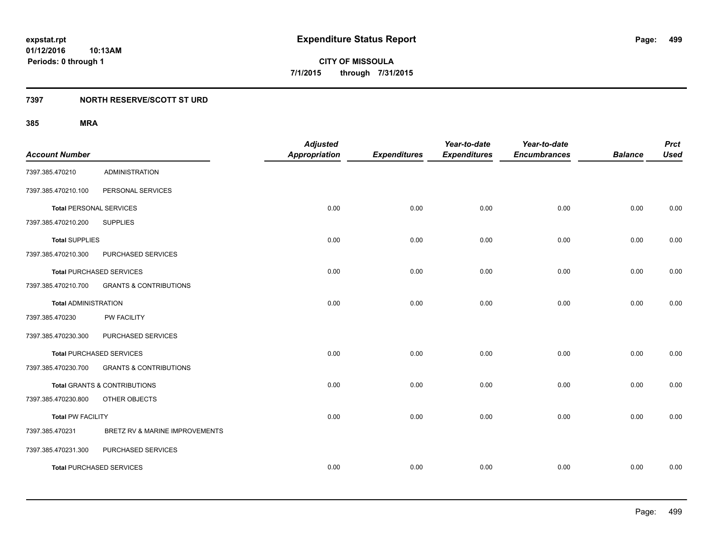**499**

**01/12/2016 10:13AM Periods: 0 through 1**

**CITY OF MISSOULA 7/1/2015 through 7/31/2015**

## **7397 NORTH RESERVE/SCOTT ST URD**

| <b>Account Number</b>          |                                         | <b>Adjusted</b><br><b>Appropriation</b> | <b>Expenditures</b> | Year-to-date<br><b>Expenditures</b> | Year-to-date<br><b>Encumbrances</b> | <b>Balance</b> | <b>Prct</b><br><b>Used</b> |
|--------------------------------|-----------------------------------------|-----------------------------------------|---------------------|-------------------------------------|-------------------------------------|----------------|----------------------------|
| 7397.385.470210                | <b>ADMINISTRATION</b>                   |                                         |                     |                                     |                                     |                |                            |
| 7397.385.470210.100            | PERSONAL SERVICES                       |                                         |                     |                                     |                                     |                |                            |
| <b>Total PERSONAL SERVICES</b> |                                         | 0.00                                    | 0.00                | 0.00                                | 0.00                                | 0.00           | 0.00                       |
| 7397.385.470210.200            | <b>SUPPLIES</b>                         |                                         |                     |                                     |                                     |                |                            |
| <b>Total SUPPLIES</b>          |                                         | 0.00                                    | 0.00                | 0.00                                | 0.00                                | 0.00           | 0.00                       |
| 7397.385.470210.300            | PURCHASED SERVICES                      |                                         |                     |                                     |                                     |                |                            |
|                                | <b>Total PURCHASED SERVICES</b>         | 0.00                                    | 0.00                | 0.00                                | 0.00                                | 0.00           | 0.00                       |
| 7397.385.470210.700            | <b>GRANTS &amp; CONTRIBUTIONS</b>       |                                         |                     |                                     |                                     |                |                            |
| <b>Total ADMINISTRATION</b>    |                                         | 0.00                                    | 0.00                | 0.00                                | 0.00                                | 0.00           | 0.00                       |
| 7397.385.470230                | PW FACILITY                             |                                         |                     |                                     |                                     |                |                            |
| 7397.385.470230.300            | PURCHASED SERVICES                      |                                         |                     |                                     |                                     |                |                            |
|                                | <b>Total PURCHASED SERVICES</b>         | 0.00                                    | 0.00                | 0.00                                | 0.00                                | 0.00           | 0.00                       |
| 7397.385.470230.700            | <b>GRANTS &amp; CONTRIBUTIONS</b>       |                                         |                     |                                     |                                     |                |                            |
|                                | <b>Total GRANTS &amp; CONTRIBUTIONS</b> | 0.00                                    | 0.00                | 0.00                                | 0.00                                | 0.00           | 0.00                       |
| 7397.385.470230.800            | OTHER OBJECTS                           |                                         |                     |                                     |                                     |                |                            |
| <b>Total PW FACILITY</b>       |                                         | 0.00                                    | 0.00                | 0.00                                | 0.00                                | 0.00           | 0.00                       |
| 7397.385.470231                | BRETZ RV & MARINE IMPROVEMENTS          |                                         |                     |                                     |                                     |                |                            |
| 7397.385.470231.300            | PURCHASED SERVICES                      |                                         |                     |                                     |                                     |                |                            |
|                                | <b>Total PURCHASED SERVICES</b>         | 0.00                                    | 0.00                | 0.00                                | 0.00                                | 0.00           | 0.00                       |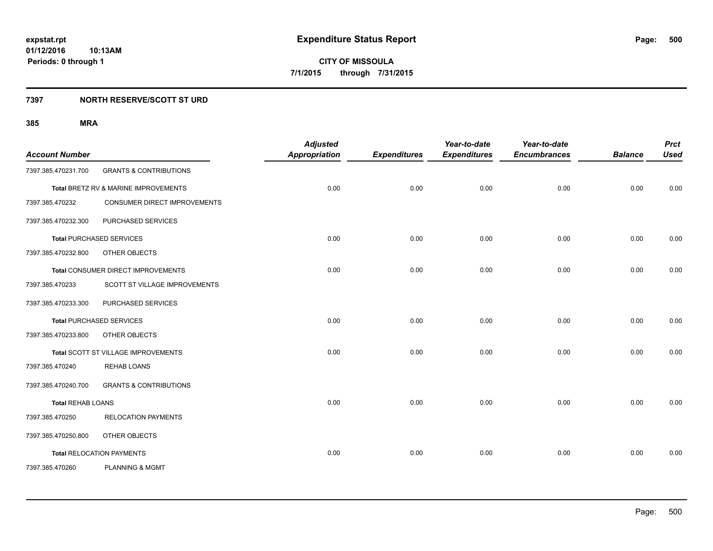**500**

**01/12/2016 10:13AM Periods: 0 through 1**

**CITY OF MISSOULA 7/1/2015 through 7/31/2015**

### **7397 NORTH RESERVE/SCOTT ST URD**

| <b>Account Number</b>    |                                      | <b>Adjusted</b><br><b>Appropriation</b> | <b>Expenditures</b> | Year-to-date<br><b>Expenditures</b> | Year-to-date<br><b>Encumbrances</b> | <b>Balance</b> | <b>Prct</b><br><b>Used</b> |
|--------------------------|--------------------------------------|-----------------------------------------|---------------------|-------------------------------------|-------------------------------------|----------------|----------------------------|
| 7397.385.470231.700      | <b>GRANTS &amp; CONTRIBUTIONS</b>    |                                         |                     |                                     |                                     |                |                            |
|                          | Total BRETZ RV & MARINE IMPROVEMENTS | 0.00                                    | 0.00                | 0.00                                | 0.00                                | 0.00           | 0.00                       |
| 7397.385.470232          | <b>CONSUMER DIRECT IMPROVEMENTS</b>  |                                         |                     |                                     |                                     |                |                            |
| 7397.385.470232.300      | PURCHASED SERVICES                   |                                         |                     |                                     |                                     |                |                            |
|                          | <b>Total PURCHASED SERVICES</b>      | 0.00                                    | 0.00                | 0.00                                | 0.00                                | 0.00           | 0.00                       |
| 7397.385.470232.800      | OTHER OBJECTS                        |                                         |                     |                                     |                                     |                |                            |
|                          | Total CONSUMER DIRECT IMPROVEMENTS   | 0.00                                    | 0.00                | 0.00                                | 0.00                                | 0.00           | 0.00                       |
| 7397.385.470233          | SCOTT ST VILLAGE IMPROVEMENTS        |                                         |                     |                                     |                                     |                |                            |
| 7397.385.470233.300      | PURCHASED SERVICES                   |                                         |                     |                                     |                                     |                |                            |
|                          | <b>Total PURCHASED SERVICES</b>      | 0.00                                    | 0.00                | 0.00                                | 0.00                                | 0.00           | 0.00                       |
| 7397.385.470233.800      | OTHER OBJECTS                        |                                         |                     |                                     |                                     |                |                            |
|                          | Total SCOTT ST VILLAGE IMPROVEMENTS  | 0.00                                    | 0.00                | 0.00                                | 0.00                                | 0.00           | 0.00                       |
| 7397.385.470240          | <b>REHAB LOANS</b>                   |                                         |                     |                                     |                                     |                |                            |
| 7397.385.470240.700      | <b>GRANTS &amp; CONTRIBUTIONS</b>    |                                         |                     |                                     |                                     |                |                            |
| <b>Total REHAB LOANS</b> |                                      | 0.00                                    | 0.00                | 0.00                                | 0.00                                | 0.00           | 0.00                       |
| 7397.385.470250          | <b>RELOCATION PAYMENTS</b>           |                                         |                     |                                     |                                     |                |                            |
| 7397.385.470250.800      | OTHER OBJECTS                        |                                         |                     |                                     |                                     |                |                            |
|                          | <b>Total RELOCATION PAYMENTS</b>     | 0.00                                    | 0.00                | 0.00                                | 0.00                                | 0.00           | 0.00                       |
| 7397.385.470260          | <b>PLANNING &amp; MGMT</b>           |                                         |                     |                                     |                                     |                |                            |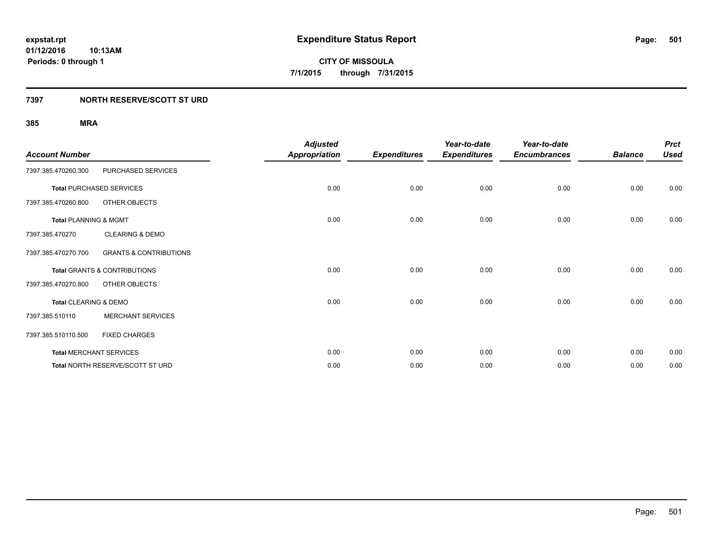**Periods: 0 through 1**

**CITY OF MISSOULA 7/1/2015 through 7/31/2015**

### **7397 NORTH RESERVE/SCOTT ST URD**

| <b>Account Number</b>            |                                         | <b>Adjusted</b><br><b>Appropriation</b> | <b>Expenditures</b> | Year-to-date<br><b>Expenditures</b> | Year-to-date<br><b>Encumbrances</b> | <b>Balance</b> | <b>Prct</b><br><b>Used</b> |
|----------------------------------|-----------------------------------------|-----------------------------------------|---------------------|-------------------------------------|-------------------------------------|----------------|----------------------------|
| 7397.385.470260.300              | PURCHASED SERVICES                      |                                         |                     |                                     |                                     |                |                            |
|                                  | <b>Total PURCHASED SERVICES</b>         | 0.00                                    | 0.00                | 0.00                                | 0.00                                | 0.00           | 0.00                       |
| 7397.385.470260.800              | OTHER OBJECTS                           |                                         |                     |                                     |                                     |                |                            |
| <b>Total PLANNING &amp; MGMT</b> |                                         | 0.00                                    | 0.00                | 0.00                                | 0.00                                | 0.00           | 0.00                       |
| 7397.385.470270                  | <b>CLEARING &amp; DEMO</b>              |                                         |                     |                                     |                                     |                |                            |
| 7397.385.470270.700              | <b>GRANTS &amp; CONTRIBUTIONS</b>       |                                         |                     |                                     |                                     |                |                            |
|                                  | <b>Total GRANTS &amp; CONTRIBUTIONS</b> | 0.00                                    | 0.00                | 0.00                                | 0.00                                | 0.00           | 0.00                       |
| 7397.385.470270.800              | OTHER OBJECTS                           |                                         |                     |                                     |                                     |                |                            |
| Total CLEARING & DEMO            |                                         | 0.00                                    | 0.00                | 0.00                                | 0.00                                | 0.00           | 0.00                       |
| 7397.385.510110                  | <b>MERCHANT SERVICES</b>                |                                         |                     |                                     |                                     |                |                            |
| 7397.385.510110.500              | <b>FIXED CHARGES</b>                    |                                         |                     |                                     |                                     |                |                            |
|                                  | <b>Total MERCHANT SERVICES</b>          | 0.00                                    | 0.00                | 0.00                                | 0.00                                | 0.00           | 0.00                       |
|                                  | Total NORTH RESERVE/SCOTT ST URD        | 0.00                                    | 0.00                | 0.00                                | 0.00                                | 0.00           | 0.00                       |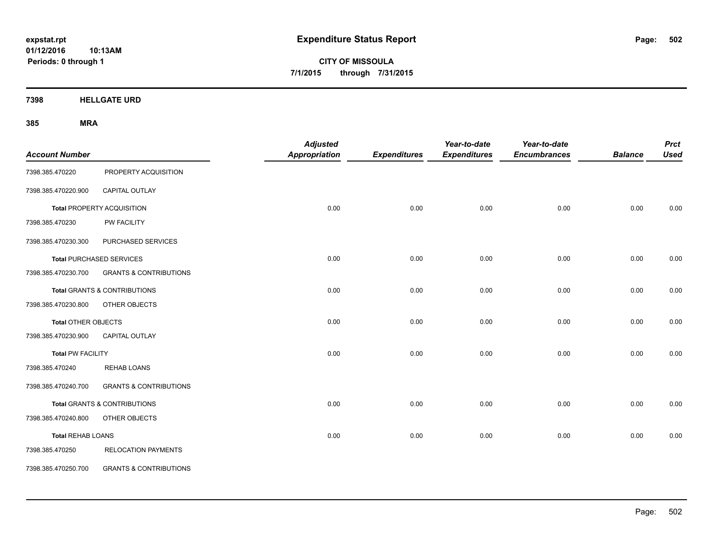**CITY OF MISSOULA 7/1/2015 through 7/31/2015**

**7398 HELLGATE URD**

| <b>Account Number</b>      |                                         | <b>Adjusted</b><br><b>Appropriation</b> | <b>Expenditures</b> | Year-to-date<br><b>Expenditures</b> | Year-to-date<br><b>Encumbrances</b> | <b>Balance</b> | <b>Prct</b><br><b>Used</b> |
|----------------------------|-----------------------------------------|-----------------------------------------|---------------------|-------------------------------------|-------------------------------------|----------------|----------------------------|
| 7398.385.470220            | PROPERTY ACQUISITION                    |                                         |                     |                                     |                                     |                |                            |
| 7398.385.470220.900        | CAPITAL OUTLAY                          |                                         |                     |                                     |                                     |                |                            |
|                            | <b>Total PROPERTY ACQUISITION</b>       | 0.00                                    | 0.00                | 0.00                                | 0.00                                | 0.00           | 0.00                       |
| 7398.385.470230            | PW FACILITY                             |                                         |                     |                                     |                                     |                |                            |
| 7398.385.470230.300        | PURCHASED SERVICES                      |                                         |                     |                                     |                                     |                |                            |
|                            | <b>Total PURCHASED SERVICES</b>         | 0.00                                    | 0.00                | 0.00                                | 0.00                                | 0.00           | 0.00                       |
| 7398.385.470230.700        | <b>GRANTS &amp; CONTRIBUTIONS</b>       |                                         |                     |                                     |                                     |                |                            |
|                            | <b>Total GRANTS &amp; CONTRIBUTIONS</b> | 0.00                                    | 0.00                | 0.00                                | 0.00                                | 0.00           | 0.00                       |
| 7398.385.470230.800        | OTHER OBJECTS                           |                                         |                     |                                     |                                     |                |                            |
| <b>Total OTHER OBJECTS</b> |                                         | 0.00                                    | 0.00                | 0.00                                | 0.00                                | 0.00           | 0.00                       |
| 7398.385.470230.900        | CAPITAL OUTLAY                          |                                         |                     |                                     |                                     |                |                            |
| <b>Total PW FACILITY</b>   |                                         | 0.00                                    | 0.00                | 0.00                                | 0.00                                | 0.00           | 0.00                       |
| 7398.385.470240            | <b>REHAB LOANS</b>                      |                                         |                     |                                     |                                     |                |                            |
| 7398.385.470240.700        | <b>GRANTS &amp; CONTRIBUTIONS</b>       |                                         |                     |                                     |                                     |                |                            |
|                            | <b>Total GRANTS &amp; CONTRIBUTIONS</b> | 0.00                                    | 0.00                | 0.00                                | 0.00                                | 0.00           | 0.00                       |
| 7398.385.470240.800        | OTHER OBJECTS                           |                                         |                     |                                     |                                     |                |                            |
| <b>Total REHAB LOANS</b>   |                                         | 0.00                                    | 0.00                | 0.00                                | 0.00                                | 0.00           | 0.00                       |
| 7398.385.470250            | <b>RELOCATION PAYMENTS</b>              |                                         |                     |                                     |                                     |                |                            |
| 7398.385.470250.700        | <b>GRANTS &amp; CONTRIBUTIONS</b>       |                                         |                     |                                     |                                     |                |                            |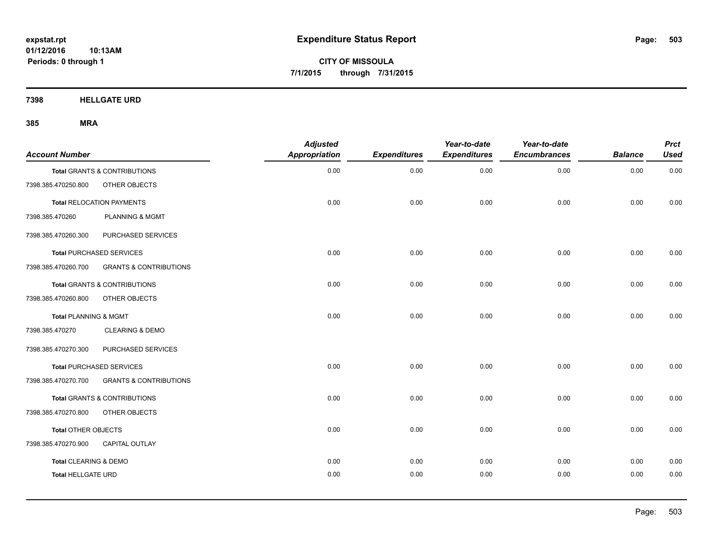**CITY OF MISSOULA 7/1/2015 through 7/31/2015**

**7398 HELLGATE URD**

| <b>Account Number</b>     |                                   | <b>Adjusted</b><br><b>Appropriation</b> | <b>Expenditures</b> | Year-to-date<br><b>Expenditures</b> | Year-to-date<br><b>Encumbrances</b> | <b>Balance</b> | <b>Prct</b><br><b>Used</b> |
|---------------------------|-----------------------------------|-----------------------------------------|---------------------|-------------------------------------|-------------------------------------|----------------|----------------------------|
|                           | Total GRANTS & CONTRIBUTIONS      | 0.00                                    | 0.00                | 0.00                                | 0.00                                | 0.00           | 0.00                       |
| 7398.385.470250.800       | OTHER OBJECTS                     |                                         |                     |                                     |                                     |                |                            |
|                           | <b>Total RELOCATION PAYMENTS</b>  | 0.00                                    | 0.00                | 0.00                                | 0.00                                | 0.00           | 0.00                       |
| 7398.385.470260           | <b>PLANNING &amp; MGMT</b>        |                                         |                     |                                     |                                     |                |                            |
| 7398.385.470260.300       | PURCHASED SERVICES                |                                         |                     |                                     |                                     |                |                            |
|                           | <b>Total PURCHASED SERVICES</b>   | 0.00                                    | 0.00                | 0.00                                | 0.00                                | 0.00           | 0.00                       |
| 7398.385.470260.700       | <b>GRANTS &amp; CONTRIBUTIONS</b> |                                         |                     |                                     |                                     |                |                            |
|                           | Total GRANTS & CONTRIBUTIONS      | 0.00                                    | 0.00                | 0.00                                | 0.00                                | 0.00           | 0.00                       |
| 7398.385.470260.800       | OTHER OBJECTS                     |                                         |                     |                                     |                                     |                |                            |
| Total PLANNING & MGMT     |                                   | 0.00                                    | 0.00                | 0.00                                | 0.00                                | 0.00           | 0.00                       |
| 7398.385.470270           | <b>CLEARING &amp; DEMO</b>        |                                         |                     |                                     |                                     |                |                            |
| 7398.385.470270.300       | PURCHASED SERVICES                |                                         |                     |                                     |                                     |                |                            |
|                           | <b>Total PURCHASED SERVICES</b>   | 0.00                                    | 0.00                | 0.00                                | 0.00                                | 0.00           | 0.00                       |
| 7398.385.470270.700       | <b>GRANTS &amp; CONTRIBUTIONS</b> |                                         |                     |                                     |                                     |                |                            |
|                           | Total GRANTS & CONTRIBUTIONS      | 0.00                                    | 0.00                | 0.00                                | 0.00                                | 0.00           | 0.00                       |
| 7398.385.470270.800       | OTHER OBJECTS                     |                                         |                     |                                     |                                     |                |                            |
| Total OTHER OBJECTS       |                                   | 0.00                                    | 0.00                | 0.00                                | 0.00                                | 0.00           | 0.00                       |
| 7398.385.470270.900       | <b>CAPITAL OUTLAY</b>             |                                         |                     |                                     |                                     |                |                            |
| Total CLEARING & DEMO     |                                   | 0.00                                    | 0.00                | 0.00                                | 0.00                                | 0.00           | 0.00                       |
| <b>Total HELLGATE URD</b> |                                   | 0.00                                    | 0.00                | 0.00                                | 0.00                                | 0.00           | 0.00                       |
|                           |                                   |                                         |                     |                                     |                                     |                |                            |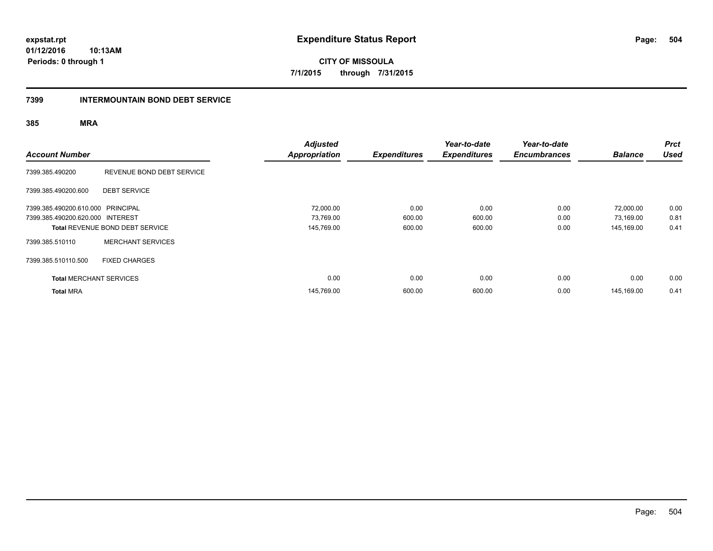**CITY OF MISSOULA 7/1/2015 through 7/31/2015**

### **7399 INTERMOUNTAIN BOND DEBT SERVICE**

| <b>Account Number</b>             |                                        | <b>Adjusted</b><br><b>Appropriation</b> | <b>Expenditures</b> | Year-to-date<br><b>Expenditures</b> | Year-to-date<br><b>Encumbrances</b> | <b>Balance</b> | <b>Prct</b><br><b>Used</b> |
|-----------------------------------|----------------------------------------|-----------------------------------------|---------------------|-------------------------------------|-------------------------------------|----------------|----------------------------|
| 7399.385.490200                   | REVENUE BOND DEBT SERVICE              |                                         |                     |                                     |                                     |                |                            |
| 7399.385.490200.600               | <b>DEBT SERVICE</b>                    |                                         |                     |                                     |                                     |                |                            |
| 7399.385.490200.610.000 PRINCIPAL |                                        | 72,000.00                               | 0.00                | 0.00                                | 0.00                                | 72,000.00      | 0.00                       |
| 7399.385.490200.620.000 INTEREST  |                                        | 73,769.00                               | 600.00              | 600.00                              | 0.00                                | 73,169.00      | 0.81                       |
|                                   | <b>Total REVENUE BOND DEBT SERVICE</b> | 145,769.00                              | 600.00              | 600.00                              | 0.00                                | 145.169.00     | 0.41                       |
| 7399.385.510110                   | <b>MERCHANT SERVICES</b>               |                                         |                     |                                     |                                     |                |                            |
| 7399.385.510110.500               | <b>FIXED CHARGES</b>                   |                                         |                     |                                     |                                     |                |                            |
| <b>Total MERCHANT SERVICES</b>    |                                        | 0.00                                    | 0.00                | 0.00                                | 0.00                                | 0.00           | 0.00                       |
| <b>Total MRA</b>                  |                                        | 145.769.00                              | 600.00              | 600.00                              | 0.00                                | 145.169.00     | 0.41                       |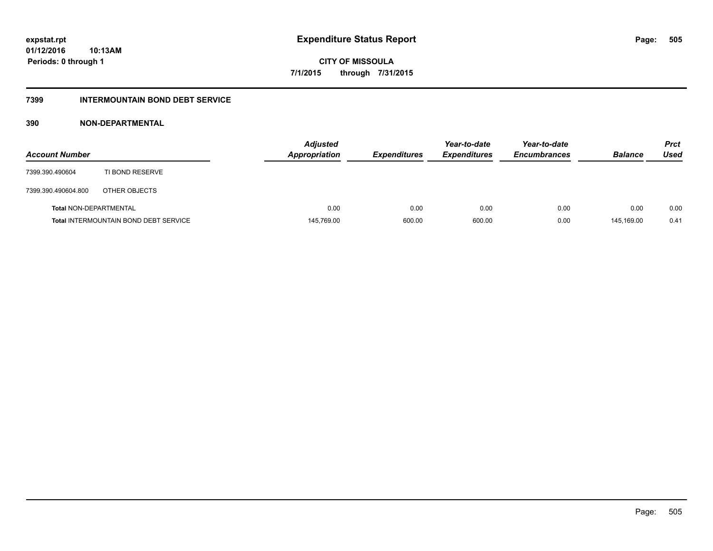**Periods: 0 through 1**

**CITY OF MISSOULA 7/1/2015 through 7/31/2015**

## **7399 INTERMOUNTAIN BOND DEBT SERVICE**

## **390 NON-DEPARTMENTAL**

**10:13AM**

| <b>Account Number</b>         |                                              | <b>Adjusted</b><br><b>Appropriation</b> | <b>Expenditures</b> | Year-to-date<br><b>Expenditures</b> | Year-to-date<br><b>Encumbrances</b> | <b>Balance</b> | <b>Prct</b><br>Used |
|-------------------------------|----------------------------------------------|-----------------------------------------|---------------------|-------------------------------------|-------------------------------------|----------------|---------------------|
| 7399.390.490604               | TI BOND RESERVE                              |                                         |                     |                                     |                                     |                |                     |
| 7399.390.490604.800           | OTHER OBJECTS                                |                                         |                     |                                     |                                     |                |                     |
| <b>Total NON-DEPARTMENTAL</b> |                                              | 0.00                                    | 0.00                | 0.00                                | 0.00                                | 0.00           | 0.00                |
|                               | <b>Total INTERMOUNTAIN BOND DEBT SERVICE</b> | 145,769.00                              | 600.00              | 600.00                              | 0.00                                | 145.169.00     | 0.41                |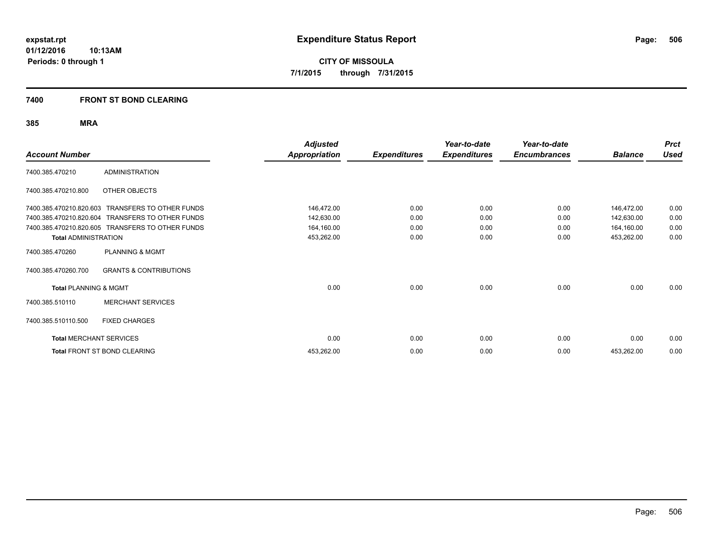**CITY OF MISSOULA 7/1/2015 through 7/31/2015**

## **7400 FRONT ST BOND CLEARING**

## **385 MRA**

| <b>Account Number</b>            |                                                  | <b>Adjusted</b><br><b>Appropriation</b> | <b>Expenditures</b> | Year-to-date<br><b>Expenditures</b> | Year-to-date<br><b>Encumbrances</b> | <b>Balance</b> | <b>Prct</b><br><b>Used</b> |
|----------------------------------|--------------------------------------------------|-----------------------------------------|---------------------|-------------------------------------|-------------------------------------|----------------|----------------------------|
| 7400.385.470210                  | <b>ADMINISTRATION</b>                            |                                         |                     |                                     |                                     |                |                            |
| 7400.385.470210.800              | OTHER OBJECTS                                    |                                         |                     |                                     |                                     |                |                            |
| 7400.385.470210.820.603          | <b>TRANSFERS TO OTHER FUNDS</b>                  | 146,472.00                              | 0.00                | 0.00                                | 0.00                                | 146,472.00     | 0.00                       |
| 7400.385.470210.820.604          | TRANSFERS TO OTHER FUNDS                         | 142,630.00                              | 0.00                | 0.00                                | 0.00                                | 142,630.00     | 0.00                       |
|                                  | 7400.385.470210.820.605 TRANSFERS TO OTHER FUNDS | 164,160.00                              | 0.00                | 0.00                                | 0.00                                | 164,160.00     | 0.00                       |
| <b>Total ADMINISTRATION</b>      |                                                  | 453,262.00                              | 0.00                | 0.00                                | 0.00                                | 453,262.00     | 0.00                       |
| 7400.385.470260                  | <b>PLANNING &amp; MGMT</b>                       |                                         |                     |                                     |                                     |                |                            |
| 7400.385.470260.700              | <b>GRANTS &amp; CONTRIBUTIONS</b>                |                                         |                     |                                     |                                     |                |                            |
| <b>Total PLANNING &amp; MGMT</b> |                                                  | 0.00                                    | 0.00                | 0.00                                | 0.00                                | 0.00           | 0.00                       |
| 7400.385.510110                  | <b>MERCHANT SERVICES</b>                         |                                         |                     |                                     |                                     |                |                            |
| 7400.385.510110.500              | <b>FIXED CHARGES</b>                             |                                         |                     |                                     |                                     |                |                            |
| <b>Total MERCHANT SERVICES</b>   |                                                  | 0.00                                    | 0.00                | 0.00                                | 0.00                                | 0.00           | 0.00                       |
|                                  | Total FRONT ST BOND CLEARING                     | 453,262.00                              | 0.00                | 0.00                                | 0.00                                | 453,262.00     | 0.00                       |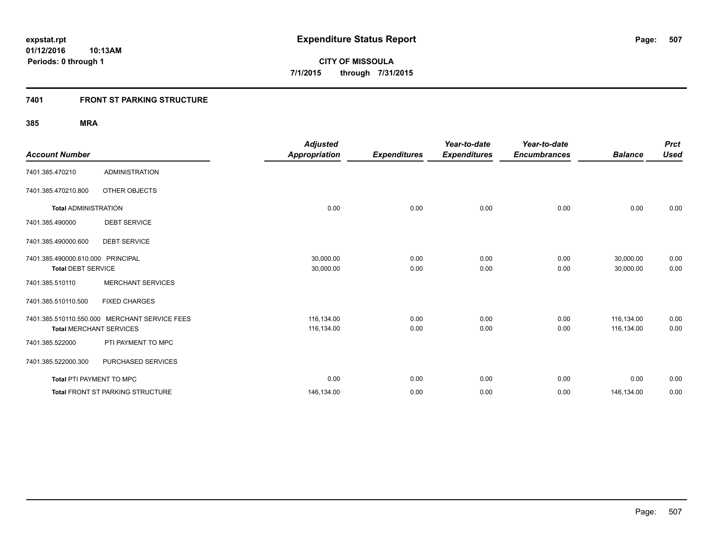## **7401 FRONT ST PARKING STRUCTURE**

## **385 MRA**

| <b>Account Number</b>                                          |                                               | <b>Adjusted</b><br><b>Appropriation</b> | <b>Expenditures</b> | Year-to-date<br><b>Expenditures</b> | Year-to-date<br><b>Encumbrances</b> | <b>Balance</b>           | <b>Prct</b><br><b>Used</b> |
|----------------------------------------------------------------|-----------------------------------------------|-----------------------------------------|---------------------|-------------------------------------|-------------------------------------|--------------------------|----------------------------|
| 7401.385.470210                                                | <b>ADMINISTRATION</b>                         |                                         |                     |                                     |                                     |                          |                            |
| 7401.385.470210.800                                            | OTHER OBJECTS                                 |                                         |                     |                                     |                                     |                          |                            |
| <b>Total ADMINISTRATION</b>                                    |                                               | 0.00                                    | 0.00                | 0.00                                | 0.00                                | 0.00                     | 0.00                       |
| 7401.385.490000                                                | <b>DEBT SERVICE</b>                           |                                         |                     |                                     |                                     |                          |                            |
| 7401.385.490000.600                                            | <b>DEBT SERVICE</b>                           |                                         |                     |                                     |                                     |                          |                            |
| 7401.385.490000.610.000 PRINCIPAL<br><b>Total DEBT SERVICE</b> |                                               | 30,000.00<br>30,000.00                  | 0.00<br>0.00        | 0.00<br>0.00                        | 0.00<br>0.00                        | 30,000.00<br>30,000.00   | 0.00<br>0.00               |
| 7401.385.510110                                                | <b>MERCHANT SERVICES</b>                      |                                         |                     |                                     |                                     |                          |                            |
| 7401.385.510110.500                                            | <b>FIXED CHARGES</b>                          |                                         |                     |                                     |                                     |                          |                            |
| <b>Total MERCHANT SERVICES</b>                                 | 7401.385.510110.550.000 MERCHANT SERVICE FEES | 116,134.00<br>116,134.00                | 0.00<br>0.00        | 0.00<br>0.00                        | 0.00<br>0.00                        | 116,134.00<br>116,134.00 | 0.00<br>0.00               |
| 7401.385.522000                                                | PTI PAYMENT TO MPC                            |                                         |                     |                                     |                                     |                          |                            |
| 7401.385.522000.300                                            | PURCHASED SERVICES                            |                                         |                     |                                     |                                     |                          |                            |
| Total PTI PAYMENT TO MPC                                       |                                               | 0.00                                    | 0.00                | 0.00                                | 0.00                                | 0.00                     | 0.00                       |
|                                                                | <b>Total FRONT ST PARKING STRUCTURE</b>       | 146,134.00                              | 0.00                | 0.00                                | 0.00                                | 146,134.00               | 0.00                       |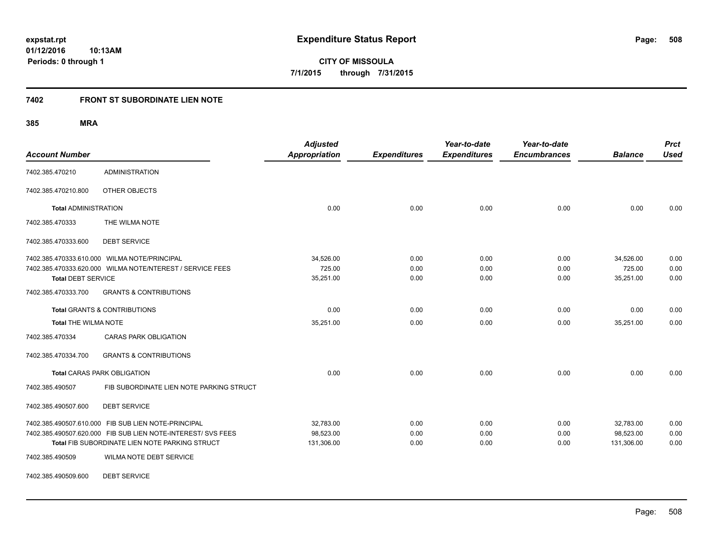**508**

**01/12/2016 10:13AM Periods: 0 through 1**

**CITY OF MISSOULA 7/1/2015 through 7/31/2015**

## **7402 FRONT ST SUBORDINATE LIEN NOTE**

**385 MRA**

| <b>Account Number</b>       |                                                                                                                     | <b>Adjusted</b><br><b>Appropriation</b> | <b>Expenditures</b> | Year-to-date<br><b>Expenditures</b> | Year-to-date<br><b>Encumbrances</b> | <b>Balance</b>         | <b>Prct</b><br><b>Used</b> |
|-----------------------------|---------------------------------------------------------------------------------------------------------------------|-----------------------------------------|---------------------|-------------------------------------|-------------------------------------|------------------------|----------------------------|
| 7402.385.470210             | <b>ADMINISTRATION</b>                                                                                               |                                         |                     |                                     |                                     |                        |                            |
| 7402.385.470210.800         | OTHER OBJECTS                                                                                                       |                                         |                     |                                     |                                     |                        |                            |
| <b>Total ADMINISTRATION</b> |                                                                                                                     | 0.00                                    | 0.00                | 0.00                                | 0.00                                | 0.00                   | 0.00                       |
| 7402.385.470333             | THE WILMA NOTE                                                                                                      |                                         |                     |                                     |                                     |                        |                            |
| 7402.385.470333.600         | <b>DEBT SERVICE</b>                                                                                                 |                                         |                     |                                     |                                     |                        |                            |
|                             | 7402.385.470333.610.000 WILMA NOTE/PRINCIPAL                                                                        | 34,526.00                               | 0.00                | 0.00                                | 0.00                                | 34,526.00              | 0.00                       |
| <b>Total DEBT SERVICE</b>   | 7402.385.470333.620.000 WILMA NOTE/NTEREST / SERVICE FEES                                                           | 725.00<br>35,251.00                     | 0.00<br>0.00        | 0.00<br>0.00                        | 0.00<br>0.00                        | 725.00<br>35,251.00    | 0.00<br>0.00               |
| 7402.385.470333.700         | <b>GRANTS &amp; CONTRIBUTIONS</b>                                                                                   |                                         |                     |                                     |                                     |                        |                            |
|                             | <b>Total GRANTS &amp; CONTRIBUTIONS</b>                                                                             | 0.00                                    | 0.00                | 0.00                                | 0.00                                | 0.00                   | 0.00                       |
| <b>Total THE WILMA NOTE</b> |                                                                                                                     | 35,251.00                               | 0.00                | 0.00                                | 0.00                                | 35,251.00              | 0.00                       |
| 7402.385.470334             | <b>CARAS PARK OBLIGATION</b>                                                                                        |                                         |                     |                                     |                                     |                        |                            |
| 7402.385.470334.700         | <b>GRANTS &amp; CONTRIBUTIONS</b>                                                                                   |                                         |                     |                                     |                                     |                        |                            |
|                             | <b>Total CARAS PARK OBLIGATION</b>                                                                                  | 0.00                                    | 0.00                | 0.00                                | 0.00                                | 0.00                   | 0.00                       |
| 7402.385.490507             | FIB SUBORDINATE LIEN NOTE PARKING STRUCT                                                                            |                                         |                     |                                     |                                     |                        |                            |
| 7402.385.490507.600         | <b>DEBT SERVICE</b>                                                                                                 |                                         |                     |                                     |                                     |                        |                            |
|                             | 7402.385.490507.610.000 FIB SUB LIEN NOTE-PRINCIPAL<br>7402.385.490507.620.000 FIB SUB LIEN NOTE-INTEREST/ SVS FEES | 32.783.00<br>98,523.00                  | 0.00<br>0.00        | 0.00<br>0.00                        | 0.00<br>0.00                        | 32.783.00<br>98.523.00 | 0.00<br>0.00               |
|                             | Total FIB SUBORDINATE LIEN NOTE PARKING STRUCT                                                                      | 131,306.00                              | 0.00                | 0.00                                | 0.00                                | 131,306.00             | 0.00                       |
| 7402.385.490509             | <b>WILMA NOTE DEBT SERVICE</b>                                                                                      |                                         |                     |                                     |                                     |                        |                            |

7402.385.490509.600 DEBT SERVICE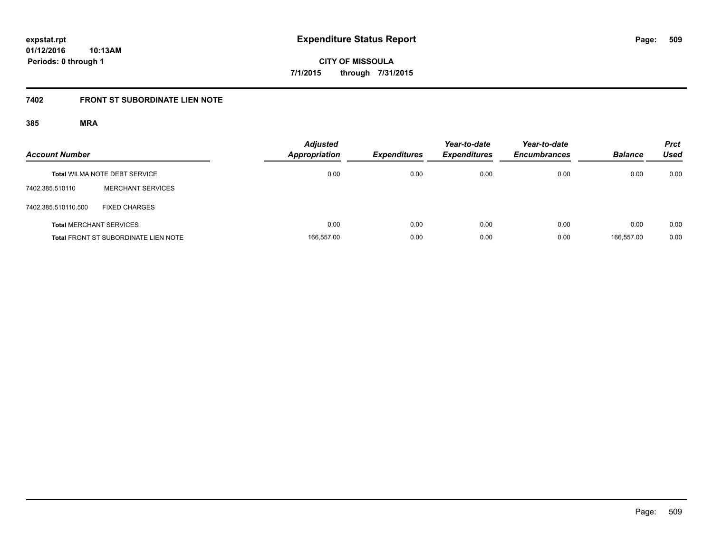**CITY OF MISSOULA 7/1/2015 through 7/31/2015**

## **7402 FRONT ST SUBORDINATE LIEN NOTE**

## **385 MRA**

| <b>Account Number</b> |                                             | <b>Adjusted</b><br>Appropriation | <b>Expenditures</b> | Year-to-date<br><b>Expenditures</b> | Year-to-date<br><b>Encumbrances</b> | <b>Balance</b> | <b>Prct</b><br><b>Used</b> |
|-----------------------|---------------------------------------------|----------------------------------|---------------------|-------------------------------------|-------------------------------------|----------------|----------------------------|
|                       | <b>Total WILMA NOTE DEBT SERVICE</b>        | 0.00                             | 0.00                | 0.00                                | 0.00                                | 0.00           | 0.00                       |
| 7402.385.510110       | <b>MERCHANT SERVICES</b>                    |                                  |                     |                                     |                                     |                |                            |
| 7402.385.510110.500   | <b>FIXED CHARGES</b>                        |                                  |                     |                                     |                                     |                |                            |
|                       | <b>Total MERCHANT SERVICES</b>              | 0.00                             | 0.00                | 0.00                                | 0.00                                | 0.00           | 0.00                       |
|                       | <b>Total FRONT ST SUBORDINATE LIEN NOTE</b> | 166,557.00                       | 0.00                | 0.00                                | 0.00                                | 166.557.00     | 0.00                       |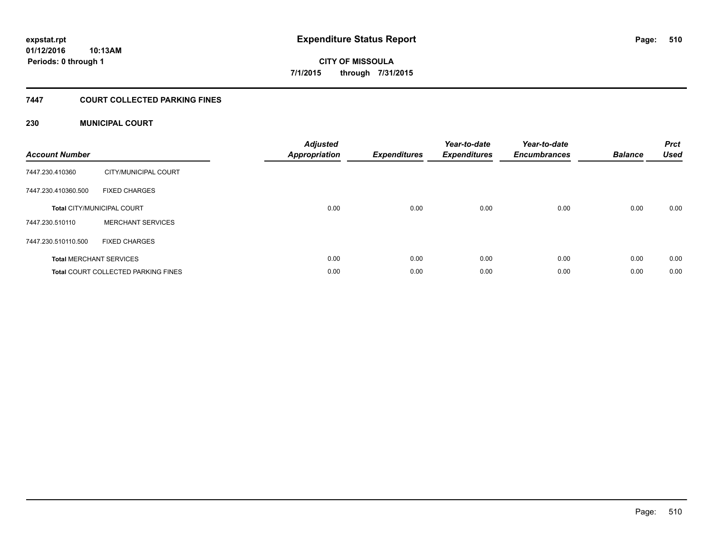# **CITY OF MISSOULA 7/1/2015 through 7/31/2015**

## **7447 COURT COLLECTED PARKING FINES**

## **230 MUNICIPAL COURT**

| <b>Account Number</b> |                                            | <b>Adjusted</b><br>Appropriation | <b>Expenditures</b> | Year-to-date<br><b>Expenditures</b> | Year-to-date<br><b>Encumbrances</b> | <b>Balance</b> | <b>Prct</b><br><b>Used</b> |
|-----------------------|--------------------------------------------|----------------------------------|---------------------|-------------------------------------|-------------------------------------|----------------|----------------------------|
| 7447.230.410360       | CITY/MUNICIPAL COURT                       |                                  |                     |                                     |                                     |                |                            |
| 7447.230.410360.500   | <b>FIXED CHARGES</b>                       |                                  |                     |                                     |                                     |                |                            |
|                       | <b>Total CITY/MUNICIPAL COURT</b>          | 0.00                             | 0.00                | 0.00                                | 0.00                                | 0.00           | 0.00                       |
| 7447.230.510110       | <b>MERCHANT SERVICES</b>                   |                                  |                     |                                     |                                     |                |                            |
| 7447.230.510110.500   | <b>FIXED CHARGES</b>                       |                                  |                     |                                     |                                     |                |                            |
|                       | <b>Total MERCHANT SERVICES</b>             | 0.00                             | 0.00                | 0.00                                | 0.00                                | 0.00           | 0.00                       |
|                       | <b>Total COURT COLLECTED PARKING FINES</b> | 0.00                             | 0.00                | 0.00                                | 0.00                                | 0.00           | 0.00                       |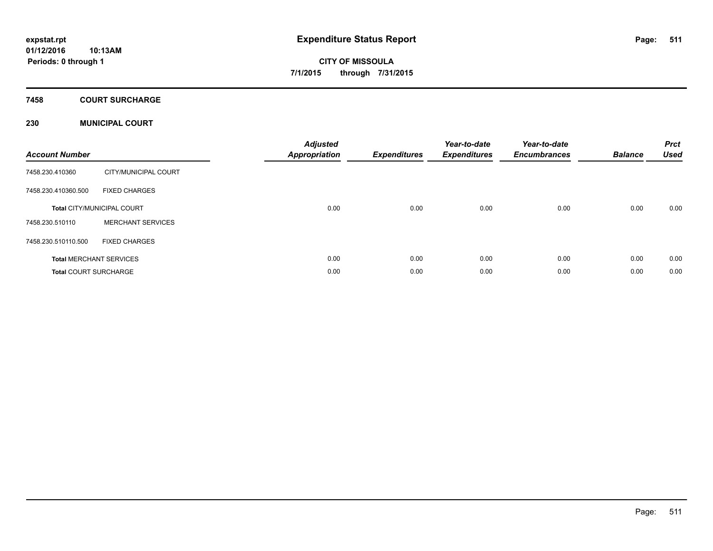## **7458 COURT SURCHARGE**

## **230 MUNICIPAL COURT**

| <b>Account Number</b>        |                                   | <b>Adjusted</b><br>Appropriation | <b>Expenditures</b> | Year-to-date<br><b>Expenditures</b> | Year-to-date<br><b>Encumbrances</b> | <b>Balance</b> | <b>Prct</b><br><b>Used</b> |
|------------------------------|-----------------------------------|----------------------------------|---------------------|-------------------------------------|-------------------------------------|----------------|----------------------------|
| 7458.230.410360              | CITY/MUNICIPAL COURT              |                                  |                     |                                     |                                     |                |                            |
| 7458.230.410360.500          | <b>FIXED CHARGES</b>              |                                  |                     |                                     |                                     |                |                            |
|                              | <b>Total CITY/MUNICIPAL COURT</b> | 0.00                             | 0.00                | 0.00                                | 0.00                                | 0.00           | 0.00                       |
| 7458.230.510110              | <b>MERCHANT SERVICES</b>          |                                  |                     |                                     |                                     |                |                            |
| 7458.230.510110.500          | <b>FIXED CHARGES</b>              |                                  |                     |                                     |                                     |                |                            |
|                              | <b>Total MERCHANT SERVICES</b>    | 0.00                             | 0.00                | 0.00                                | 0.00                                | 0.00           | 0.00                       |
| <b>Total COURT SURCHARGE</b> |                                   | 0.00                             | 0.00                | 0.00                                | 0.00                                | 0.00           | 0.00                       |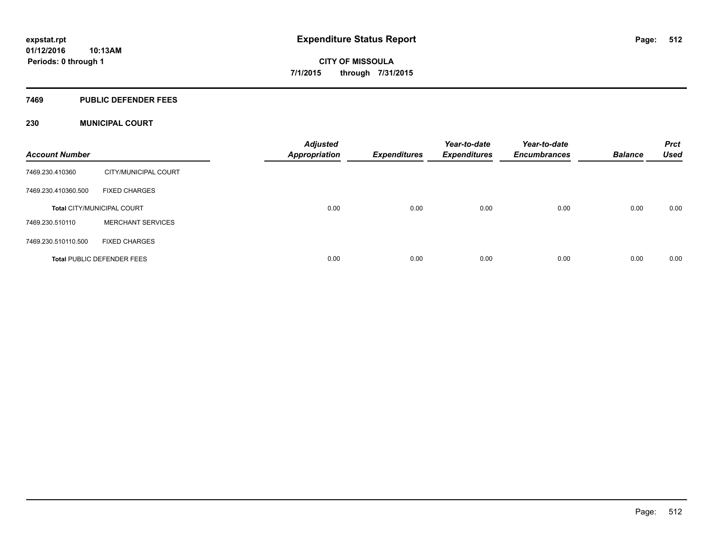#### **7469 PUBLIC DEFENDER FEES**

## **230 MUNICIPAL COURT**

| <b>Account Number</b> |                                   | <b>Adjusted</b><br><b>Appropriation</b> | <b>Expenditures</b> | Year-to-date<br><b>Expenditures</b> | Year-to-date<br><b>Encumbrances</b> | <b>Balance</b> | <b>Prct</b><br><b>Used</b> |
|-----------------------|-----------------------------------|-----------------------------------------|---------------------|-------------------------------------|-------------------------------------|----------------|----------------------------|
| 7469.230.410360       | CITY/MUNICIPAL COURT              |                                         |                     |                                     |                                     |                |                            |
| 7469.230.410360.500   | <b>FIXED CHARGES</b>              |                                         |                     |                                     |                                     |                |                            |
|                       | <b>Total CITY/MUNICIPAL COURT</b> | 0.00                                    | 0.00                | 0.00                                | 0.00                                | 0.00           | 0.00                       |
| 7469.230.510110       | <b>MERCHANT SERVICES</b>          |                                         |                     |                                     |                                     |                |                            |
| 7469.230.510110.500   | <b>FIXED CHARGES</b>              |                                         |                     |                                     |                                     |                |                            |
|                       | <b>Total PUBLIC DEFENDER FEES</b> | 0.00                                    | 0.00                | 0.00                                | 0.00                                | 0.00           | 0.00                       |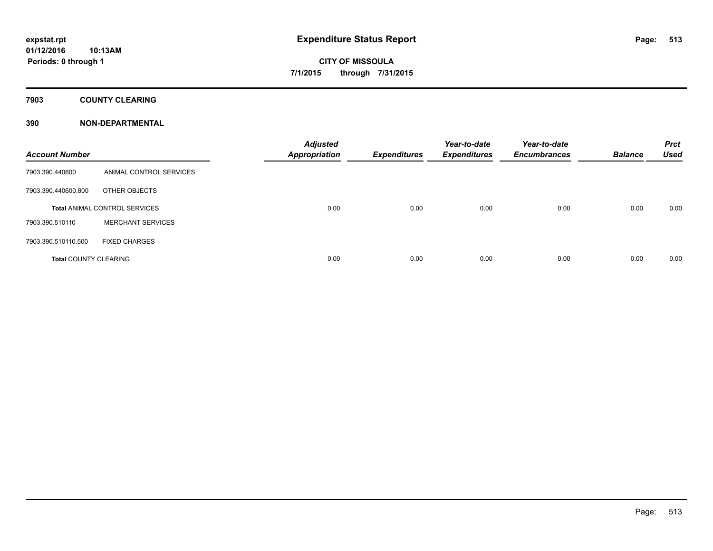## **7903 COUNTY CLEARING**

## **390 NON-DEPARTMENTAL**

| <b>Account Number</b>        |                                      | <b>Adjusted</b><br><b>Appropriation</b> | <b>Expenditures</b> | Year-to-date<br><b>Expenditures</b> | Year-to-date<br><b>Encumbrances</b> | <b>Balance</b> | <b>Prct</b><br><b>Used</b> |
|------------------------------|--------------------------------------|-----------------------------------------|---------------------|-------------------------------------|-------------------------------------|----------------|----------------------------|
| 7903.390.440600              | ANIMAL CONTROL SERVICES              |                                         |                     |                                     |                                     |                |                            |
| 7903.390.440600.800          | OTHER OBJECTS                        |                                         |                     |                                     |                                     |                |                            |
|                              | <b>Total ANIMAL CONTROL SERVICES</b> | 0.00                                    | 0.00                | 0.00                                | 0.00                                | 0.00           | 0.00                       |
| 7903.390.510110              | <b>MERCHANT SERVICES</b>             |                                         |                     |                                     |                                     |                |                            |
| 7903.390.510110.500          | <b>FIXED CHARGES</b>                 |                                         |                     |                                     |                                     |                |                            |
| <b>Total COUNTY CLEARING</b> |                                      | 0.00                                    | 0.00                | 0.00                                | 0.00                                | 0.00           | 0.00                       |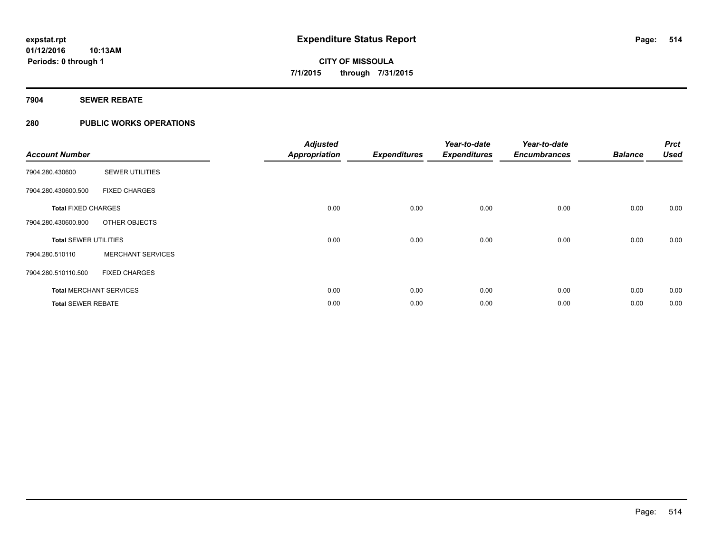## **7904 SEWER REBATE**

## **280 PUBLIC WORKS OPERATIONS**

| <b>Account Number</b>        |                                | <b>Adjusted</b><br><b>Appropriation</b> | <b>Expenditures</b> | Year-to-date<br><b>Expenditures</b> | Year-to-date<br><b>Encumbrances</b> | <b>Balance</b> | <b>Prct</b><br><b>Used</b> |
|------------------------------|--------------------------------|-----------------------------------------|---------------------|-------------------------------------|-------------------------------------|----------------|----------------------------|
| 7904.280.430600              | <b>SEWER UTILITIES</b>         |                                         |                     |                                     |                                     |                |                            |
| 7904.280.430600.500          | <b>FIXED CHARGES</b>           |                                         |                     |                                     |                                     |                |                            |
| <b>Total FIXED CHARGES</b>   |                                | 0.00                                    | 0.00                | 0.00                                | 0.00                                | 0.00           | 0.00                       |
| 7904.280.430600.800          | OTHER OBJECTS                  |                                         |                     |                                     |                                     |                |                            |
| <b>Total SEWER UTILITIES</b> |                                | 0.00                                    | 0.00                | 0.00                                | 0.00                                | 0.00           | 0.00                       |
| 7904.280.510110              | <b>MERCHANT SERVICES</b>       |                                         |                     |                                     |                                     |                |                            |
| 7904.280.510110.500          | <b>FIXED CHARGES</b>           |                                         |                     |                                     |                                     |                |                            |
|                              | <b>Total MERCHANT SERVICES</b> | 0.00                                    | 0.00                | 0.00                                | 0.00                                | 0.00           | 0.00                       |
| <b>Total SEWER REBATE</b>    |                                | 0.00                                    | 0.00                | 0.00                                | 0.00                                | 0.00           | 0.00                       |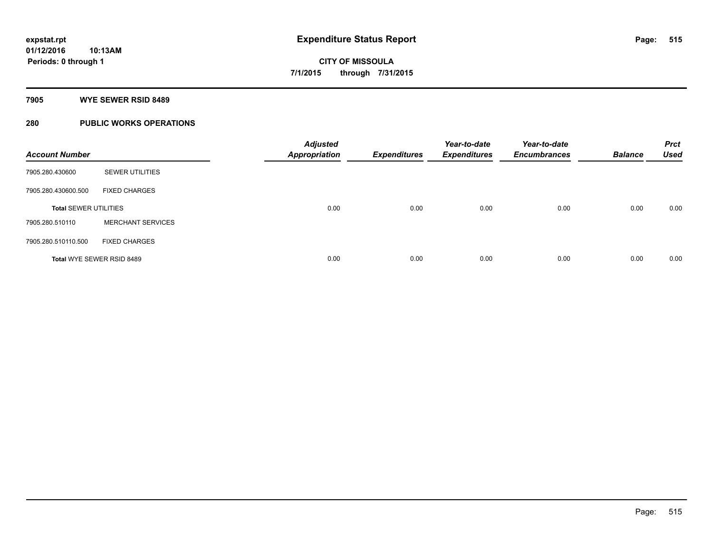## **7905 WYE SEWER RSID 8489**

## **280 PUBLIC WORKS OPERATIONS**

| <b>Account Number</b>        |                           | <b>Adjusted</b><br><b>Appropriation</b> | <b>Expenditures</b> | Year-to-date<br><b>Expenditures</b> | Year-to-date<br><b>Encumbrances</b> | <b>Balance</b> | <b>Prct</b><br><b>Used</b> |
|------------------------------|---------------------------|-----------------------------------------|---------------------|-------------------------------------|-------------------------------------|----------------|----------------------------|
| 7905.280.430600              | <b>SEWER UTILITIES</b>    |                                         |                     |                                     |                                     |                |                            |
| 7905.280.430600.500          | <b>FIXED CHARGES</b>      |                                         |                     |                                     |                                     |                |                            |
| <b>Total SEWER UTILITIES</b> |                           | 0.00                                    | 0.00                | 0.00                                | 0.00                                | 0.00           | 0.00                       |
| 7905.280.510110              | <b>MERCHANT SERVICES</b>  |                                         |                     |                                     |                                     |                |                            |
| 7905.280.510110.500          | <b>FIXED CHARGES</b>      |                                         |                     |                                     |                                     |                |                            |
|                              | Total WYE SEWER RSID 8489 | 0.00                                    | 0.00                | 0.00                                | 0.00                                | 0.00           | 0.00                       |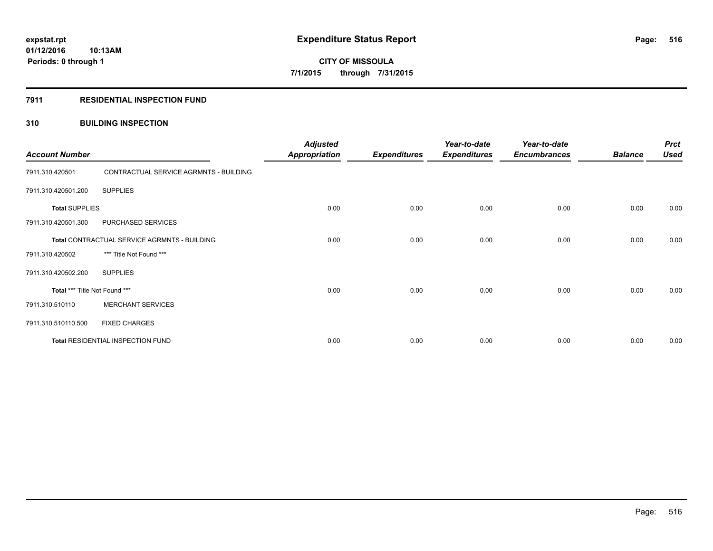#### **7911 RESIDENTIAL INSPECTION FUND**

## **310 BUILDING INSPECTION**

| <b>Account Number</b>         |                                              | <b>Adjusted</b><br><b>Appropriation</b> | <b>Expenditures</b> | Year-to-date<br><b>Expenditures</b> | Year-to-date<br><b>Encumbrances</b> | <b>Balance</b> | <b>Prct</b><br><b>Used</b> |
|-------------------------------|----------------------------------------------|-----------------------------------------|---------------------|-------------------------------------|-------------------------------------|----------------|----------------------------|
| 7911.310.420501               | CONTRACTUAL SERVICE AGRMNTS - BUILDING       |                                         |                     |                                     |                                     |                |                            |
| 7911.310.420501.200           | <b>SUPPLIES</b>                              |                                         |                     |                                     |                                     |                |                            |
| <b>Total SUPPLIES</b>         |                                              | 0.00                                    | 0.00                | 0.00                                | 0.00                                | 0.00           | 0.00                       |
| 7911.310.420501.300           | PURCHASED SERVICES                           |                                         |                     |                                     |                                     |                |                            |
|                               | Total CONTRACTUAL SERVICE AGRMNTS - BUILDING | 0.00                                    | 0.00                | 0.00                                | 0.00                                | 0.00           | 0.00                       |
| 7911.310.420502               | *** Title Not Found ***                      |                                         |                     |                                     |                                     |                |                            |
| 7911.310.420502.200           | <b>SUPPLIES</b>                              |                                         |                     |                                     |                                     |                |                            |
| Total *** Title Not Found *** |                                              | 0.00                                    | 0.00                | 0.00                                | 0.00                                | 0.00           | 0.00                       |
| 7911.310.510110               | <b>MERCHANT SERVICES</b>                     |                                         |                     |                                     |                                     |                |                            |
| 7911.310.510110.500           | <b>FIXED CHARGES</b>                         |                                         |                     |                                     |                                     |                |                            |
|                               | Total RESIDENTIAL INSPECTION FUND            | 0.00                                    | 0.00                | 0.00                                | 0.00                                | 0.00           | 0.00                       |